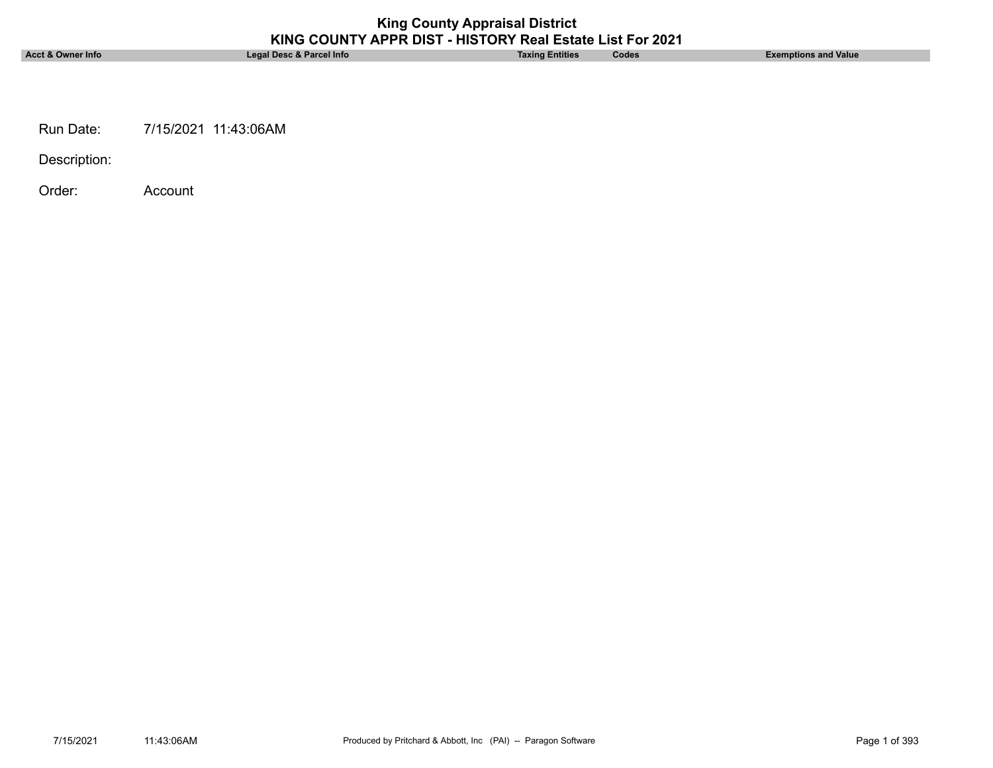| <b>King County Appraisal District</b><br>KING COUNTY APPR DIST - HISTORY Real Estate List For 2021 |                          |                        |       |                             |  |
|----------------------------------------------------------------------------------------------------|--------------------------|------------------------|-------|-----------------------------|--|
| Acct & Owner Info                                                                                  | Legal Desc & Parcel Info | <b>Taxing Entities</b> | Codes | <b>Exemptions and Value</b> |  |
|                                                                                                    |                          |                        |       |                             |  |
|                                                                                                    |                          |                        |       |                             |  |
|                                                                                                    |                          |                        |       |                             |  |
| Run Date:                                                                                          | 7/15/2021 11:43:06AM     |                        |       |                             |  |
|                                                                                                    |                          |                        |       |                             |  |
| Description:                                                                                       |                          |                        |       |                             |  |
| Order:                                                                                             | Account                  |                        |       |                             |  |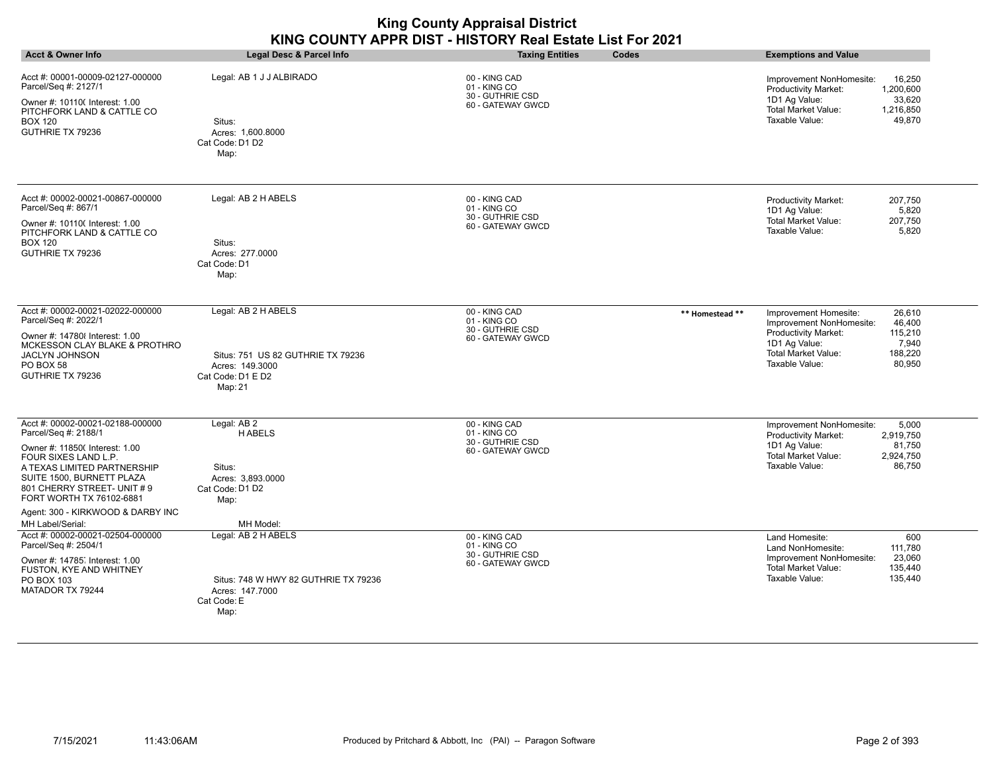|                                                                                                                                                                              |                                                                                      | <b>King County Appraisal District</b><br>KING COUNTY APPR DIST - HISTORY Real Estate List For 2021 |                 |                                                                                                                                                                      |
|------------------------------------------------------------------------------------------------------------------------------------------------------------------------------|--------------------------------------------------------------------------------------|----------------------------------------------------------------------------------------------------|-----------------|----------------------------------------------------------------------------------------------------------------------------------------------------------------------|
| <b>Acct &amp; Owner Info</b>                                                                                                                                                 | <b>Legal Desc &amp; Parcel Info</b>                                                  | <b>Taxing Entities</b>                                                                             | Codes           | <b>Exemptions and Value</b>                                                                                                                                          |
| Acct #: 00001-00009-02127-000000<br>Parcel/Seq #: 2127/1                                                                                                                     | Legal: AB 1 J J ALBIRADO                                                             | 00 - KING CAD<br>01 - KING CO<br>30 - GUTHRIE CSD                                                  |                 | 16,250<br>Improvement NonHomesite:<br>Productivity Market:<br>1,200,600<br>1D1 Ag Value:<br>33,620                                                                   |
| Owner #: 10110( Interest: 1.00<br>PITCHFORK LAND & CATTLE CO                                                                                                                 |                                                                                      | 60 - GATEWAY GWCD                                                                                  |                 | <b>Total Market Value:</b><br>1,216,850                                                                                                                              |
| <b>BOX 120</b><br>GUTHRIE TX 79236                                                                                                                                           | Situs:<br>Acres: 1,600.8000<br>Cat Code: D1 D2<br>Map:                               |                                                                                                    |                 | Taxable Value:<br>49,870                                                                                                                                             |
| Acct #: 00002-00021-00867-000000<br>Parcel/Seq #: 867/1                                                                                                                      | Legal: AB 2 H ABELS                                                                  | 00 - KING CAD<br>01 - KING CO                                                                      |                 | Productivity Market:<br>207,750<br>1D1 Ag Value:<br>5,820                                                                                                            |
| Owner #: 10110( Interest: 1.00<br>PITCHFORK LAND & CATTLE CO                                                                                                                 |                                                                                      | 30 - GUTHRIE CSD<br>60 - GATEWAY GWCD                                                              |                 | Total Market Value:<br>207,750<br>Taxable Value:<br>5,820                                                                                                            |
| <b>BOX 120</b><br>GUTHRIE TX 79236                                                                                                                                           | Situs:<br>Acres: 277,0000<br>Cat Code: D1<br>Map:                                    |                                                                                                    |                 |                                                                                                                                                                      |
| Acct #: 00002-00021-02022-000000<br>Parcel/Seq #: 2022/1                                                                                                                     | Legal: AB 2 H ABELS                                                                  | 00 - KING CAD<br>01 - KING CO                                                                      | ** Homestead ** | 26,610<br>Improvement Homesite:                                                                                                                                      |
| Owner #: 14780 {Interest: 1.00<br>MCKESSON CLAY BLAKE & PROTHRO<br>JACLYN JOHNSON<br>PO BOX 58<br>GUTHRIE TX 79236                                                           | Situs: 751 US 82 GUTHRIE TX 79236<br>Acres: 149.3000<br>Cat Code: D1 E D2<br>Map: 21 | 30 - GUTHRIE CSD<br>60 - GATEWAY GWCD                                                              |                 | Improvement NonHomesite:<br>46,400<br>Productivity Market:<br>115,210<br>1D1 Ag Value:<br>7,940<br><b>Total Market Value:</b><br>188,220<br>Taxable Value:<br>80,950 |
| Acct #: 00002-00021-02188-000000<br>Parcel/Seq #: 2188/1                                                                                                                     | Legal: AB 2<br><b>HABELS</b>                                                         | 00 - KING CAD<br>01 - KING CO                                                                      |                 | Improvement NonHomesite:<br>5,000<br>Productivity Market:<br>2,919,750                                                                                               |
| Owner #: 11850( Interest: 1.00<br>FOUR SIXES LAND L.P.<br>A TEXAS LIMITED PARTNERSHIP<br>SUITE 1500, BURNETT PLAZA<br>801 CHERRY STREET- UNIT #9<br>FORT WORTH TX 76102-6881 | Situs:<br>Acres: 3.893.0000<br>Cat Code: D1 D2<br>Map:                               | 30 - GUTHRIE CSD<br>60 - GATEWAY GWCD                                                              |                 | 1D1 Ag Value:<br>81,750<br><b>Total Market Value:</b><br>2,924,750<br>Taxable Value:<br>86,750                                                                       |
| Agent: 300 - KIRKWOOD & DARBY INC                                                                                                                                            |                                                                                      |                                                                                                    |                 |                                                                                                                                                                      |
| MH Label/Serial:<br>Acct #: 00002-00021-02504-000000                                                                                                                         | MH Model:<br>Legal: AB 2 H ABELS                                                     | 00 - KING CAD                                                                                      |                 | 600<br>Land Homesite:                                                                                                                                                |
| Parcel/Seq #: 2504/1<br>Owner #: 14785, Interest: 1.00<br>FUSTON, KYE AND WHITNEY<br>PO BOX 103<br>MATADOR TX 79244                                                          | Situs: 748 W HWY 82 GUTHRIE TX 79236<br>Acres: 147.7000<br>Cat Code: E<br>Map:       | 01 - KING CO<br>30 - GUTHRIE CSD<br>60 - GATEWAY GWCD                                              |                 | Land NonHomesite:<br>111,780<br>Improvement NonHomesite:<br>23,060<br>135,440<br><b>Total Market Value:</b><br>Taxable Value:<br>135,440                             |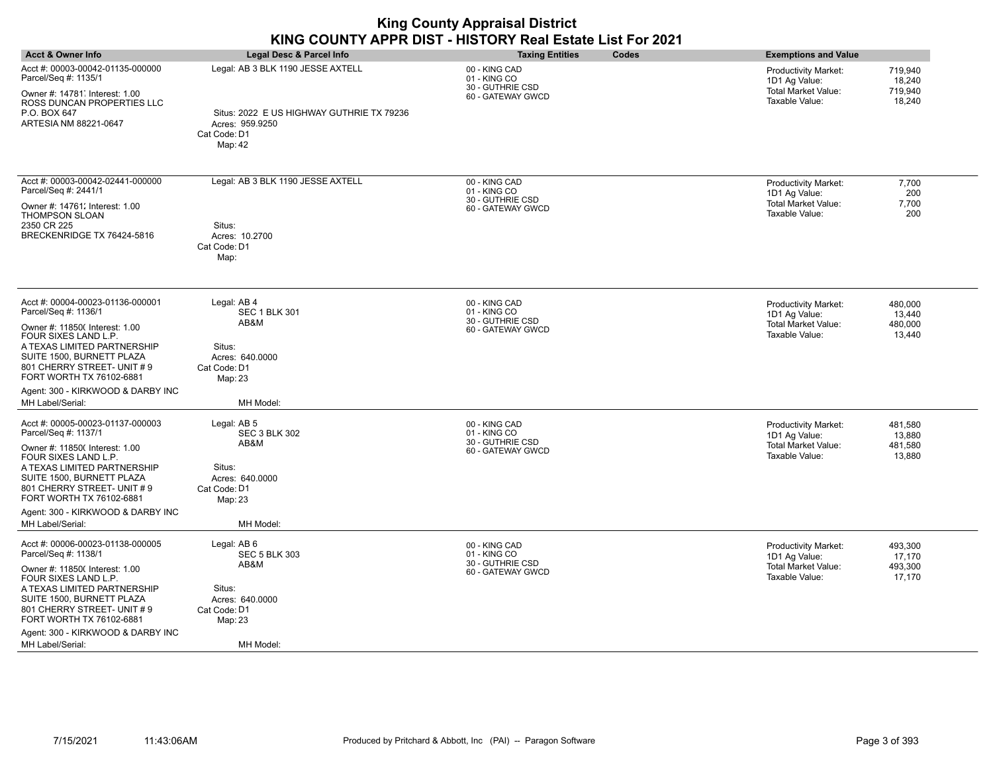| <b>Acct &amp; Owner Info</b>                                                                                                                                                                                                                                                                      | Legal Desc & Parcel Info                                                                                                     | <b>Taxing Entities</b><br>Codes                                        | <b>Exemptions and Value</b>                                                                                                            |
|---------------------------------------------------------------------------------------------------------------------------------------------------------------------------------------------------------------------------------------------------------------------------------------------------|------------------------------------------------------------------------------------------------------------------------------|------------------------------------------------------------------------|----------------------------------------------------------------------------------------------------------------------------------------|
| Acct #: 00003-00042-01135-000000<br>Parcel/Seq #: 1135/1<br>Owner #: 14781, Interest: 1.00<br>ROSS DUNCAN PROPERTIES LLC<br>P.O. BOX 647<br>ARTESIA NM 88221-0647                                                                                                                                 | Legal: AB 3 BLK 1190 JESSE AXTELL<br>Situs: 2022 E US HIGHWAY GUTHRIE TX 79236<br>Acres: 959.9250<br>Cat Code: D1<br>Map: 42 | 00 - KING CAD<br>01 - KING CO<br>30 - GUTHRIE CSD<br>60 - GATEWAY GWCD | 719,940<br>Productivity Market:<br>1D1 Ag Value:<br>18,240<br>719,940<br><b>Total Market Value:</b><br>Taxable Value:<br>18,240        |
| Acct #: 00003-00042-02441-000000<br>Parcel/Seq #: 2441/1<br>Owner #: 14761; Interest: 1.00<br>THOMPSON SLOAN<br>2350 CR 225<br>BRECKENRIDGE TX 76424-5816                                                                                                                                         | Legal: AB 3 BLK 1190 JESSE AXTELL<br>Situs:<br>Acres: 10.2700<br>Cat Code: D1<br>Map:                                        | 00 - KING CAD<br>01 - KING CO<br>30 - GUTHRIE CSD<br>60 - GATEWAY GWCD | <b>Productivity Market:</b><br>7,700<br>1D1 Ag Value:<br>200<br>7,700<br>Total Market Value:<br>Taxable Value:<br>200                  |
| Acct #: 00004-00023-01136-000001<br>Parcel/Seq #: 1136/1<br>Owner #: 11850( Interest: 1.00<br>FOUR SIXES LAND L.P.<br>A TEXAS LIMITED PARTNERSHIP<br>SUITE 1500, BURNETT PLAZA<br>801 CHERRY STREET- UNIT #9<br>FORT WORTH TX 76102-6881<br>Agent: 300 - KIRKWOOD & DARBY INC<br>MH Label/Serial: | Legal: AB 4<br><b>SEC 1 BLK 301</b><br>AB&M<br>Situs:<br>Acres: 640.0000<br>Cat Code: D1<br>Map: 23<br>MH Model:             | 00 - KING CAD<br>01 - KING CO<br>30 - GUTHRIE CSD<br>60 - GATEWAY GWCD | 480,000<br><b>Productivity Market:</b><br>1D1 Ag Value:<br>13,440<br>Total Market Value:<br>480,000<br>Taxable Value:<br>13,440        |
| Acct #: 00005-00023-01137-000003<br>Parcel/Seq #: 1137/1<br>Owner #: 11850( Interest: 1.00<br>FOUR SIXES LAND L.P.<br>A TEXAS LIMITED PARTNERSHIP<br>SUITE 1500, BURNETT PLAZA<br>801 CHERRY STREET- UNIT #9<br>FORT WORTH TX 76102-6881<br>Agent: 300 - KIRKWOOD & DARBY INC<br>MH Label/Serial: | Legal: AB 5<br><b>SEC 3 BLK 302</b><br>AB&M<br>Situs:<br>Acres: 640.0000<br>Cat Code: D1<br>Map: 23<br>MH Model:             | 00 - KING CAD<br>01 - KING CO<br>30 - GUTHRIE CSD<br>60 - GATEWAY GWCD | 481,580<br><b>Productivity Market:</b><br>13,880<br>1D1 Ag Value:<br><b>Total Market Value:</b><br>481,580<br>Taxable Value:<br>13,880 |
| Acct #: 00006-00023-01138-000005<br>Parcel/Seq #: 1138/1<br>Owner #: 11850( Interest: 1.00<br>FOUR SIXES LAND L.P.<br>A TEXAS LIMITED PARTNERSHIP<br>SUITE 1500, BURNETT PLAZA<br>801 CHERRY STREET- UNIT #9<br>FORT WORTH TX 76102-6881<br>Agent: 300 - KIRKWOOD & DARBY INC<br>MH Label/Serial: | Legal: AB 6<br><b>SEC 5 BLK 303</b><br>AB&M<br>Situs:<br>Acres: 640.0000<br>Cat Code: D1<br>Map: 23<br>MH Model:             | 00 - KING CAD<br>01 - KING CO<br>30 - GUTHRIE CSD<br>60 - GATEWAY GWCD | 493,300<br>Productivity Market:<br>1D1 Ag Value:<br>17,170<br>Total Market Value:<br>493,300<br>Taxable Value:<br>17,170               |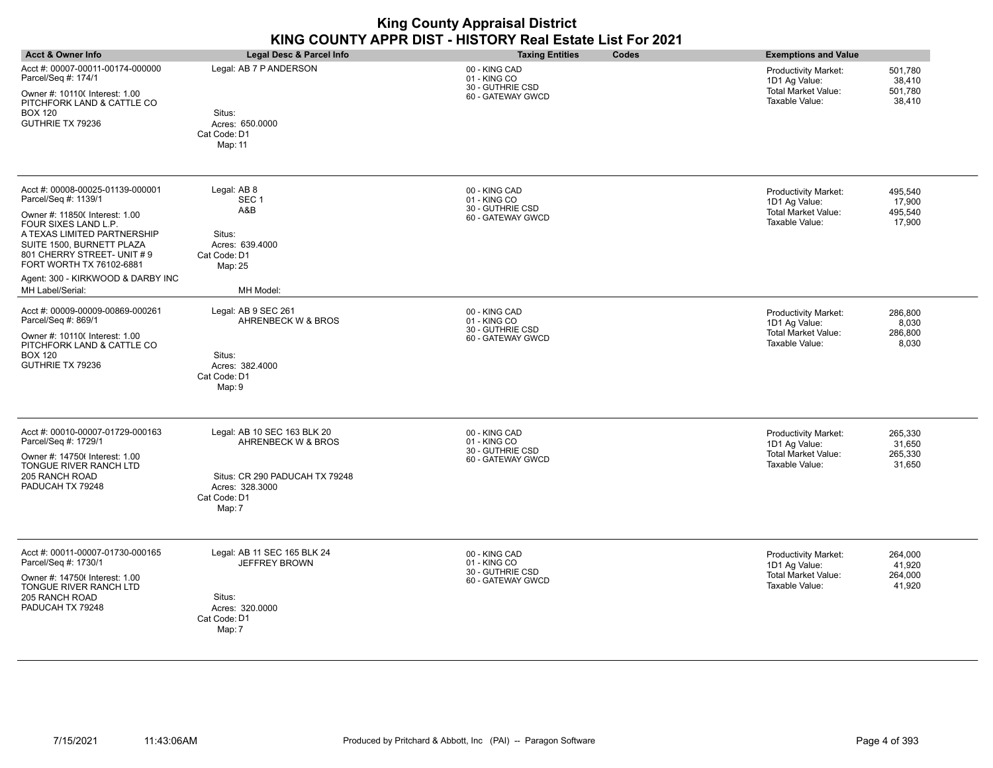| <b>Acct &amp; Owner Info</b>                                                                                                                                                                                                                                                                      | <b>Legal Desc &amp; Parcel Info</b>                                                                                              | <b>Taxing Entities</b><br>Codes                                        | <b>Exemptions and Value</b>                                                                                                          |
|---------------------------------------------------------------------------------------------------------------------------------------------------------------------------------------------------------------------------------------------------------------------------------------------------|----------------------------------------------------------------------------------------------------------------------------------|------------------------------------------------------------------------|--------------------------------------------------------------------------------------------------------------------------------------|
| Acct #: 00007-00011-00174-000000<br>Parcel/Seq #: 174/1<br>Owner #: 10110( Interest: 1.00<br>PITCHFORK LAND & CATTLE CO<br><b>BOX 120</b><br>GUTHRIE TX 79236                                                                                                                                     | Legal: AB 7 P ANDERSON<br>Situs:<br>Acres: 650.0000<br>Cat Code: D1<br>Map: 11                                                   | 00 - KING CAD<br>01 - KING CO<br>30 - GUTHRIE CSD<br>60 - GATEWAY GWCD | 501,780<br>Productivity Market:<br>1D1 Ag Value:<br>38,410<br><b>Total Market Value:</b><br>501,780<br>Taxable Value:<br>38,410      |
| Acct #: 00008-00025-01139-000001<br>Parcel/Seq #: 1139/1<br>Owner #: 11850( Interest: 1.00<br>FOUR SIXES LAND L.P.<br>A TEXAS LIMITED PARTNERSHIP<br>SUITE 1500, BURNETT PLAZA<br>801 CHERRY STREET- UNIT #9<br>FORT WORTH TX 76102-6881<br>Agent: 300 - KIRKWOOD & DARBY INC<br>MH Label/Serial: | Legal: AB 8<br>SEC <sub>1</sub><br>A&B<br>Situs:<br>Acres: 639.4000<br>Cat Code: D1<br>Map: 25<br>MH Model:                      | 00 - KING CAD<br>01 - KING CO<br>30 - GUTHRIE CSD<br>60 - GATEWAY GWCD | <b>Productivity Market:</b><br>495,540<br>17,900<br>1D1 Ag Value:<br>Total Market Value:<br>495,540<br>Taxable Value:<br>17,900      |
| Acct #: 00009-00009-00869-000261<br>Parcel/Seq #: 869/1<br>Owner #: 10110( Interest: 1.00<br>PITCHFORK LAND & CATTLE CO<br><b>BOX 120</b><br>GUTHRIE TX 79236                                                                                                                                     | Legal: AB 9 SEC 261<br>AHRENBECK W & BROS<br>Situs:<br>Acres: 382.4000<br>Cat Code: D1<br>Map: 9                                 | 00 - KING CAD<br>01 - KING CO<br>30 - GUTHRIE CSD<br>60 - GATEWAY GWCD | <b>Productivity Market:</b><br>286,800<br>8,030<br>1D1 Ag Value:<br><b>Total Market Value:</b><br>286,800<br>Taxable Value:<br>8,030 |
| Acct #: 00010-00007-01729-000163<br>Parcel/Seq #: 1729/1<br>Owner #: 14750(Interest: 1.00<br>TONGUE RIVER RANCH LTD<br>205 RANCH ROAD<br>PADUCAH TX 79248                                                                                                                                         | Legal: AB 10 SEC 163 BLK 20<br>AHRENBECK W & BROS<br>Situs: CR 290 PADUCAH TX 79248<br>Acres: 328.3000<br>Cat Code: D1<br>Map: 7 | 00 - KING CAD<br>01 - KING CO<br>30 - GUTHRIE CSD<br>60 - GATEWAY GWCD | Productivity Market:<br>265,330<br>31,650<br>1D1 Ag Value:<br><b>Total Market Value:</b><br>265,330<br>Taxable Value:<br>31,650      |
| Acct #: 00011-00007-01730-000165<br>Parcel/Seq #: 1730/1<br>Owner #: 147506 Interest: 1.00<br>TONGUE RIVER RANCH LTD<br>205 RANCH ROAD<br>PADUCAH TX 79248                                                                                                                                        | Legal: AB 11 SEC 165 BLK 24<br>JEFFREY BROWN<br>Situs:<br>Acres: 320.0000<br>Cat Code: D1<br>Map: 7                              | 00 - KING CAD<br>01 - KING CO<br>30 - GUTHRIE CSD<br>60 - GATEWAY GWCD | Productivity Market:<br>264,000<br>1D1 Ag Value:<br>41,920<br>Total Market Value:<br>264,000<br>Taxable Value:<br>41,920             |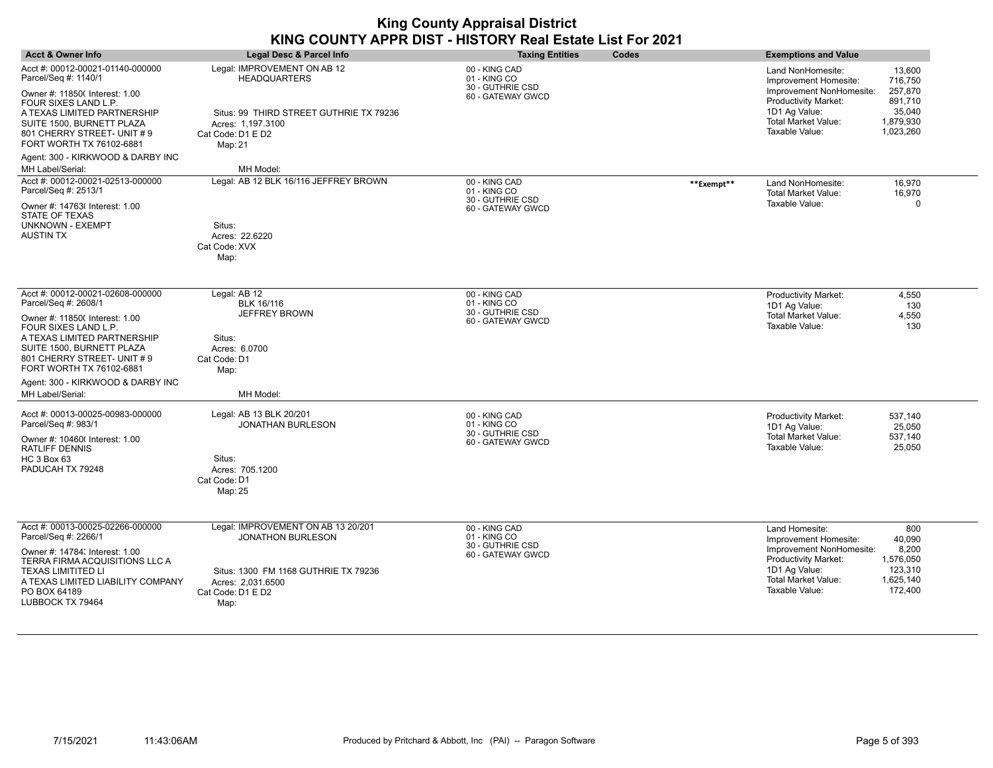| <b>Acct &amp; Owner Info</b>                                                                                                                                                 |                                                                                              |                                                   |            |                                                                                                                                                                             |  |
|------------------------------------------------------------------------------------------------------------------------------------------------------------------------------|----------------------------------------------------------------------------------------------|---------------------------------------------------|------------|-----------------------------------------------------------------------------------------------------------------------------------------------------------------------------|--|
|                                                                                                                                                                              | Legal Desc & Parcel Info                                                                     | <b>Taxing Entities</b>                            | Codes      | <b>Exemptions and Value</b>                                                                                                                                                 |  |
| Acct #: 00012-00021-01140-000000<br>Parcel/Seq #: 1140/1                                                                                                                     | Legal: IMPROVEMENT ON AB 12<br><b>HEADQUARTERS</b>                                           | 00 - KING CAD<br>01 - KING CO<br>30 - GUTHRIE CSD |            | 13,600<br>Land NonHomesite:<br>716,750<br>Improvement Homesite:                                                                                                             |  |
| Owner #: 11850( Interest: 1.00<br>FOUR SIXES LAND L.P.<br>A TEXAS LIMITED PARTNERSHIP<br>SUITE 1500, BURNETT PLAZA<br>801 CHERRY STREET- UNIT #9<br>FORT WORTH TX 76102-6881 | Situs: 99 THIRD STREET GUTHRIE TX 79236<br>Acres: 1,197.3100<br>Cat Code: D1 E D2<br>Map: 21 | 60 - GATEWAY GWCD                                 |            | 257,870<br>Improvement NonHomesite:<br>891,710<br><b>Productivity Market:</b><br>1D1 Ag Value:<br>35,040<br>Total Market Value:<br>1,879,930<br>Taxable Value:<br>1,023,260 |  |
| Agent: 300 - KIRKWOOD & DARBY INC                                                                                                                                            |                                                                                              |                                                   |            |                                                                                                                                                                             |  |
| MH Label/Serial:                                                                                                                                                             | MH Model:                                                                                    |                                                   |            |                                                                                                                                                                             |  |
| Acct #: 00012-00021-02513-000000<br>Parcel/Seq #: 2513/1                                                                                                                     | Legal: AB 12 BLK 16/116 JEFFREY BROWN                                                        | 00 - KING CAD<br>01 - KING CO                     | **Exempt** | 16,970<br>Land NonHomesite:<br><b>Total Market Value:</b><br>16,970                                                                                                         |  |
| Owner #: 14763( Interest: 1.00<br>STATE OF TEXAS<br>UNKNOWN - EXEMPT<br>AUSTIN TX                                                                                            | Situs:<br>Acres: 22.6220<br>Cat Code: XVX<br>Map:                                            | 30 - GUTHRIE CSD<br>60 - GATEWAY GWCD             |            | Taxable Value:<br>$\Omega$                                                                                                                                                  |  |
| Acct #: 00012-00021-02608-000000                                                                                                                                             | Legal: AB 12                                                                                 | 00 - KING CAD                                     |            | <b>Productivity Market:</b><br>4,550                                                                                                                                        |  |
| Parcel/Seq #: 2608/1                                                                                                                                                         | <b>BLK 16/116</b><br><b>JEFFREY BROWN</b>                                                    | 01 - KING CO<br>30 - GUTHRIE CSD                  |            | 1D1 Ag Value:<br>130                                                                                                                                                        |  |
| Owner #: 11850( Interest: 1.00<br>FOUR SIXES LAND L.P.                                                                                                                       | Situs:                                                                                       | 60 - GATEWAY GWCD                                 |            | <b>Total Market Value:</b><br>4,550<br>Taxable Value:<br>130                                                                                                                |  |
| A TEXAS LIMITED PARTNERSHIP<br>SUITE 1500, BURNETT PLAZA<br>801 CHERRY STREET- UNIT #9<br>FORT WORTH TX 76102-6881                                                           | Acres: 6.0700<br>Cat Code: D1<br>Map:                                                        |                                                   |            |                                                                                                                                                                             |  |
| Agent: 300 - KIRKWOOD & DARBY INC<br>MH Label/Serial:                                                                                                                        | MH Model:                                                                                    |                                                   |            |                                                                                                                                                                             |  |
| Acct #: 00013-00025-00983-000000<br>Parcel/Seq #: 983/1                                                                                                                      | Legal: AB 13 BLK 20/201<br><b>JONATHAN BURLESON</b>                                          | 00 - KING CAD<br>01 - KING CO                     |            | 537,140<br><b>Productivity Market:</b><br>1D1 Ag Value:<br>25,050                                                                                                           |  |
| Owner #: 10460( Interest: 1.00<br>RATLIFF DENNIS                                                                                                                             |                                                                                              | 30 - GUTHRIE CSD<br>60 - GATEWAY GWCD             |            | <b>Total Market Value:</b><br>537,140<br>Taxable Value:<br>25,050                                                                                                           |  |
| <b>HC 3 Box 63</b><br>PADUCAH TX 79248                                                                                                                                       | Situs:<br>Acres: 705.1200<br>Cat Code: D1<br>Map: 25                                         |                                                   |            |                                                                                                                                                                             |  |
| Acct #: 00013-00025-02266-000000                                                                                                                                             | Legal: IMPROVEMENT ON AB 13 20/201                                                           | 00 - KING CAD                                     |            | Land Homesite:<br>800                                                                                                                                                       |  |
| Parcel/Seq #: 2266/1                                                                                                                                                         | <b>JONATHON BURLESON</b>                                                                     | 01 - KING CO<br>30 - GUTHRIE CSD                  |            | Improvement Homesite:<br>40,090                                                                                                                                             |  |
| Owner #: 14784; Interest: 1.00<br>TERRA FIRMA ACQUISITIONS LLC A                                                                                                             |                                                                                              | 60 - GATEWAY GWCD                                 |            | Improvement NonHomesite:<br>8,200<br>Productivity Market:<br>1,576,050<br>1D1 Ag Value:<br>123,310                                                                          |  |
| TEXAS LIMITITED LI<br>A TEXAS LIMITED LIABILITY COMPANY                                                                                                                      | Situs: 1300 FM 1168 GUTHRIE TX 79236<br>Acres: 2.031.6500                                    |                                                   |            | <b>Total Market Value:</b><br>1,625,140                                                                                                                                     |  |
| PO BOX 64189<br>LUBBOCK TX 79464                                                                                                                                             | Cat Code: D1 E D2<br>Map:                                                                    |                                                   |            | Taxable Value:<br>172,400                                                                                                                                                   |  |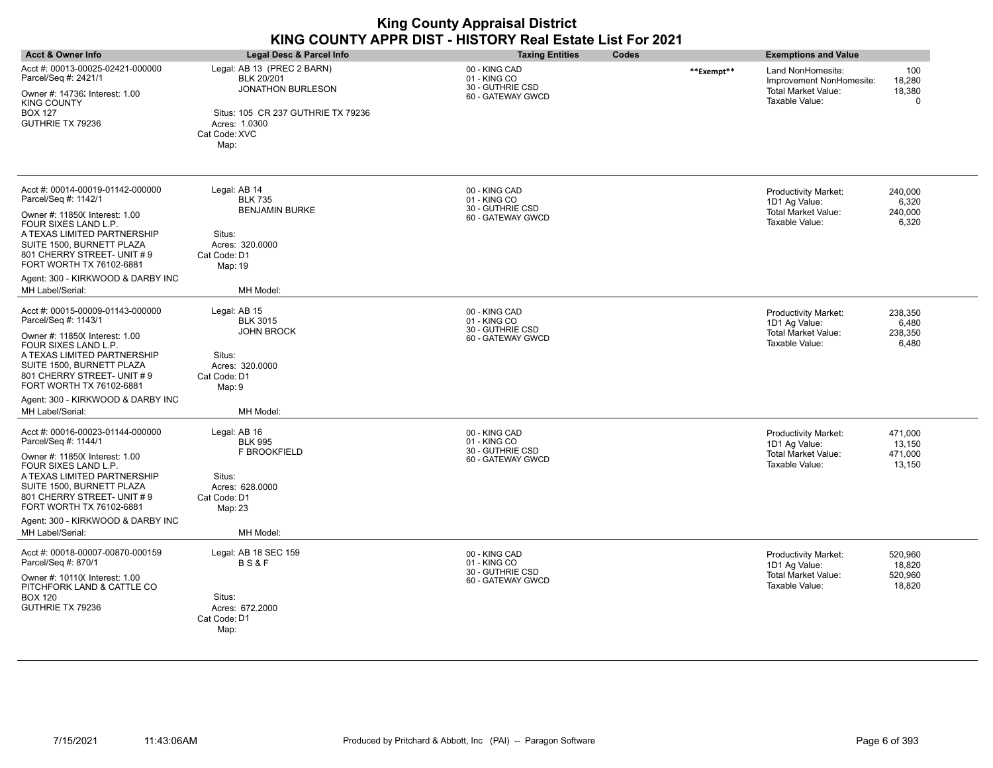| <b>Acct &amp; Owner Info</b>                                                                                                                                                                                                                                                                      | Legal Desc & Parcel Info                                                                                                                             | <b>Taxing Entities</b><br>Codes                                        |            | <b>Exemptions and Value</b>                                                                   |                                        |
|---------------------------------------------------------------------------------------------------------------------------------------------------------------------------------------------------------------------------------------------------------------------------------------------------|------------------------------------------------------------------------------------------------------------------------------------------------------|------------------------------------------------------------------------|------------|-----------------------------------------------------------------------------------------------|----------------------------------------|
| Acct #: 00013-00025-02421-000000<br>Parcel/Seq #: 2421/1<br>Owner #: 14736; Interest: 1.00<br><b>KING COUNTY</b><br><b>BOX 127</b><br>GUTHRIE TX 79236                                                                                                                                            | Legal: AB 13 (PREC 2 BARN)<br><b>BLK 20/201</b><br>JONATHON BURLESON<br>Situs: 105 CR 237 GUTHRIE TX 79236<br>Acres: 1.0300<br>Cat Code: XVC<br>Map: | 00 - KING CAD<br>01 - KING CO<br>30 - GUTHRIE CSD<br>60 - GATEWAY GWCD | **Exempt** | Land NonHomesite:<br>Improvement NonHomesite:<br><b>Total Market Value:</b><br>Taxable Value: | 100<br>18,280<br>18,380<br>0           |
| Acct #: 00014-00019-01142-000000<br>Parcel/Seq #: 1142/1<br>Owner #: 11850( Interest: 1.00<br>FOUR SIXES LAND L.P.<br>A TEXAS LIMITED PARTNERSHIP<br>SUITE 1500, BURNETT PLAZA<br>801 CHERRY STREET- UNIT #9<br>FORT WORTH TX 76102-6881<br>Agent: 300 - KIRKWOOD & DARBY INC<br>MH Label/Serial: | Legal: AB 14<br><b>BLK 735</b><br><b>BENJAMIN BURKE</b><br>Situs:<br>Acres: 320.0000<br>Cat Code: D1<br>Map: 19<br>MH Model:                         | 00 - KING CAD<br>01 - KING CO<br>30 - GUTHRIE CSD<br>60 - GATEWAY GWCD |            | Productivity Market:<br>1D1 Ag Value:<br><b>Total Market Value:</b><br>Taxable Value:         | 240,000<br>6,320<br>240,000<br>6,320   |
| Acct #: 00015-00009-01143-000000<br>Parcel/Seq #: 1143/1<br>Owner #: 11850( Interest: 1.00<br>FOUR SIXES LAND L.P.<br>A TEXAS LIMITED PARTNERSHIP<br>SUITE 1500, BURNETT PLAZA<br>801 CHERRY STREET- UNIT #9<br>FORT WORTH TX 76102-6881<br>Agent: 300 - KIRKWOOD & DARBY INC<br>MH Label/Serial: | Legal: AB 15<br><b>BLK 3015</b><br><b>JOHN BROCK</b><br>Situs:<br>Acres: 320.0000<br>Cat Code: D1<br>Map: 9<br>MH Model:                             | 00 - KING CAD<br>01 - KING CO<br>30 - GUTHRIE CSD<br>60 - GATEWAY GWCD |            | <b>Productivity Market:</b><br>1D1 Ag Value:<br><b>Total Market Value:</b><br>Taxable Value:  | 238,350<br>6,480<br>238,350<br>6,480   |
| Acct #: 00016-00023-01144-000000<br>Parcel/Seq #: 1144/1<br>Owner #: 11850( Interest: 1.00<br>FOUR SIXES LAND L.P.<br>A TEXAS LIMITED PARTNERSHIP<br>SUITE 1500, BURNETT PLAZA<br>801 CHERRY STREET- UNIT #9<br>FORT WORTH TX 76102-6881<br>Agent: 300 - KIRKWOOD & DARBY INC<br>MH Label/Serial: | Legal: AB 16<br><b>BLK 995</b><br>F BROOKFIELD<br>Situs:<br>Acres: 628,0000<br>Cat Code: D1<br>Map: 23<br>MH Model:                                  | 00 - KING CAD<br>01 - KING CO<br>30 - GUTHRIE CSD<br>60 - GATEWAY GWCD |            | Productivity Market:<br>1D1 Ag Value:<br><b>Total Market Value:</b><br>Taxable Value:         | 471,000<br>13,150<br>471,000<br>13,150 |
| Acct #: 00018-00007-00870-000159<br>Parcel/Seq #: 870/1<br>Owner #: 10110( Interest: 1.00<br>PITCHFORK LAND & CATTLE CO<br><b>BOX 120</b><br>GUTHRIE TX 79236                                                                                                                                     | Legal: AB 18 SEC 159<br><b>BS&amp;F</b><br>Situs:<br>Acres: 672.2000<br>Cat Code: D1<br>Map:                                                         | 00 - KING CAD<br>01 - KING CO<br>30 - GUTHRIE CSD<br>60 - GATEWAY GWCD |            | Productivity Market:<br>1D1 Ag Value:<br>Total Market Value:<br>Taxable Value:                | 520.960<br>18,820<br>520,960<br>18,820 |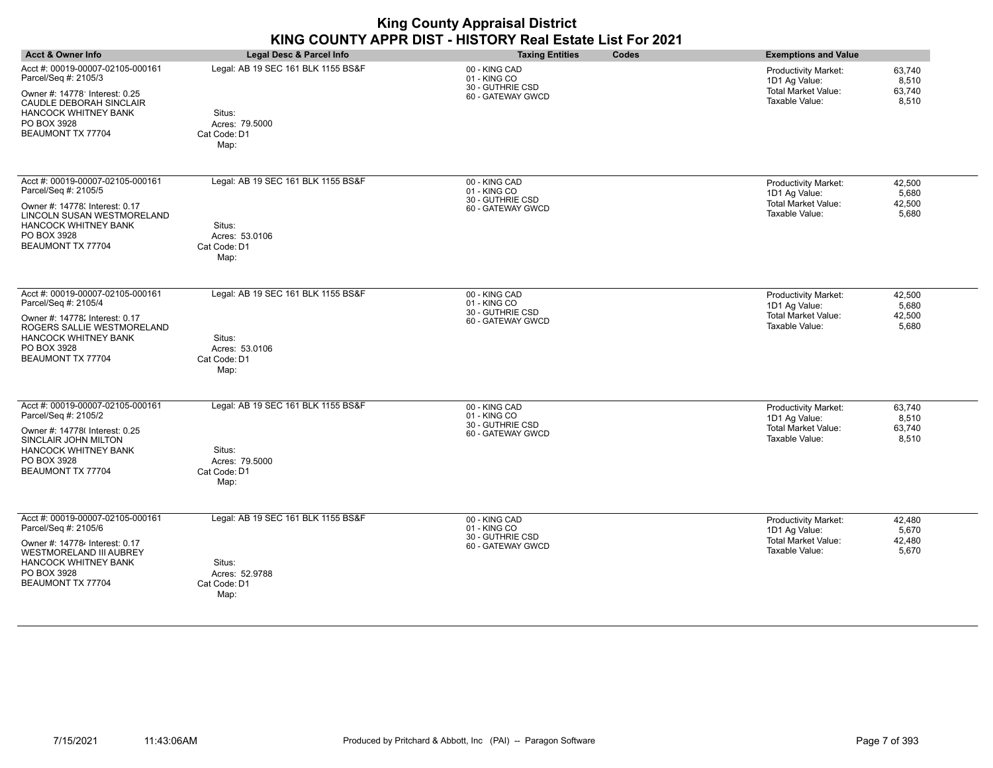| <b>Acct &amp; Owner Info</b>                                                                                                                                                                    | Legal Desc & Parcel Info                                                               | <b>Taxing Entities</b><br>Codes                                        | <b>Exemptions and Value</b>                                                                                                 |
|-------------------------------------------------------------------------------------------------------------------------------------------------------------------------------------------------|----------------------------------------------------------------------------------------|------------------------------------------------------------------------|-----------------------------------------------------------------------------------------------------------------------------|
| Acct #: 00019-00007-02105-000161<br>Parcel/Seq #: 2105/3<br>Owner #: 14778' Interest: 0.25<br>CAUDLE DEBORAH SINCLAIR<br><b>HANCOCK WHITNEY BANK</b><br>PO BOX 3928<br>BEAUMONT TX 77704        | Legal: AB 19 SEC 161 BLK 1155 BS&F<br>Situs:<br>Acres: 79.5000<br>Cat Code: D1<br>Map: | 00 - KING CAD<br>01 - KING CO<br>30 - GUTHRIE CSD<br>60 - GATEWAY GWCD | 63,740<br>Productivity Market:<br>1D1 Ag Value:<br>8,510<br><b>Total Market Value:</b><br>63,740<br>Taxable Value:<br>8,510 |
| Acct #: 00019-00007-02105-000161<br>Parcel/Seq #: 2105/5<br>Owner #: 14778; Interest: 0.17<br>LINCOLN SUSAN WESTMORELAND<br><b>HANCOCK WHITNEY BANK</b><br>PO BOX 3928<br>BEAUMONT TX 77704     | Legal: AB 19 SEC 161 BLK 1155 BS&F<br>Situs:<br>Acres: 53.0106<br>Cat Code: D1<br>Map: | 00 - KING CAD<br>01 - KING CO<br>30 - GUTHRIE CSD<br>60 - GATEWAY GWCD | Productivity Market:<br>42,500<br>1D1 Ag Value:<br>5,680<br><b>Total Market Value:</b><br>42,500<br>Taxable Value:<br>5,680 |
| Acct #: 00019-00007-02105-000161<br>Parcel/Seq #: 2105/4<br>Owner #: 14778; Interest: 0.17<br>ROGERS SALLIE WESTMORELAND<br><b>HANCOCK WHITNEY BANK</b><br>PO BOX 3928<br>BEAUMONT TX 77704     | Legal: AB 19 SEC 161 BLK 1155 BS&F<br>Situs:<br>Acres: 53.0106<br>Cat Code: D1<br>Map: | 00 - KING CAD<br>01 - KING CO<br>30 - GUTHRIE CSD<br>60 - GATEWAY GWCD | Productivity Market:<br>42,500<br>1D1 Ag Value:<br>5,680<br><b>Total Market Value:</b><br>42,500<br>5,680<br>Taxable Value: |
| Acct #: 00019-00007-02105-000161<br>Parcel/Seq #: 2105/2<br>Owner #: 14778( Interest: 0.25<br>SINCLAIR JOHN MILTON<br><b>HANCOCK WHITNEY BANK</b><br>PO BOX 3928<br>BEAUMONT TX 77704           | Legal: AB 19 SEC 161 BLK 1155 BS&F<br>Situs:<br>Acres: 79.5000<br>Cat Code: D1<br>Map: | 00 - KING CAD<br>01 - KING CO<br>30 - GUTHRIE CSD<br>60 - GATEWAY GWCD | 63,740<br>Productivity Market:<br>1D1 Ag Value:<br>8,510<br><b>Total Market Value:</b><br>63,740<br>Taxable Value:<br>8,510 |
| Acct #: 00019-00007-02105-000161<br>Parcel/Seq #: 2105/6<br>Owner #: 147784 Interest: 0.17<br><b>WESTMORELAND III AUBREY</b><br><b>HANCOCK WHITNEY BANK</b><br>PO BOX 3928<br>BEAUMONT TX 77704 | Legal: AB 19 SEC 161 BLK 1155 BS&F<br>Situs:<br>Acres: 52.9788<br>Cat Code: D1<br>Map: | 00 - KING CAD<br>01 - KING CO<br>30 - GUTHRIE CSD<br>60 - GATEWAY GWCD | Productivity Market:<br>42,480<br>1D1 Ag Value:<br>5,670<br><b>Total Market Value:</b><br>42,480<br>Taxable Value:<br>5,670 |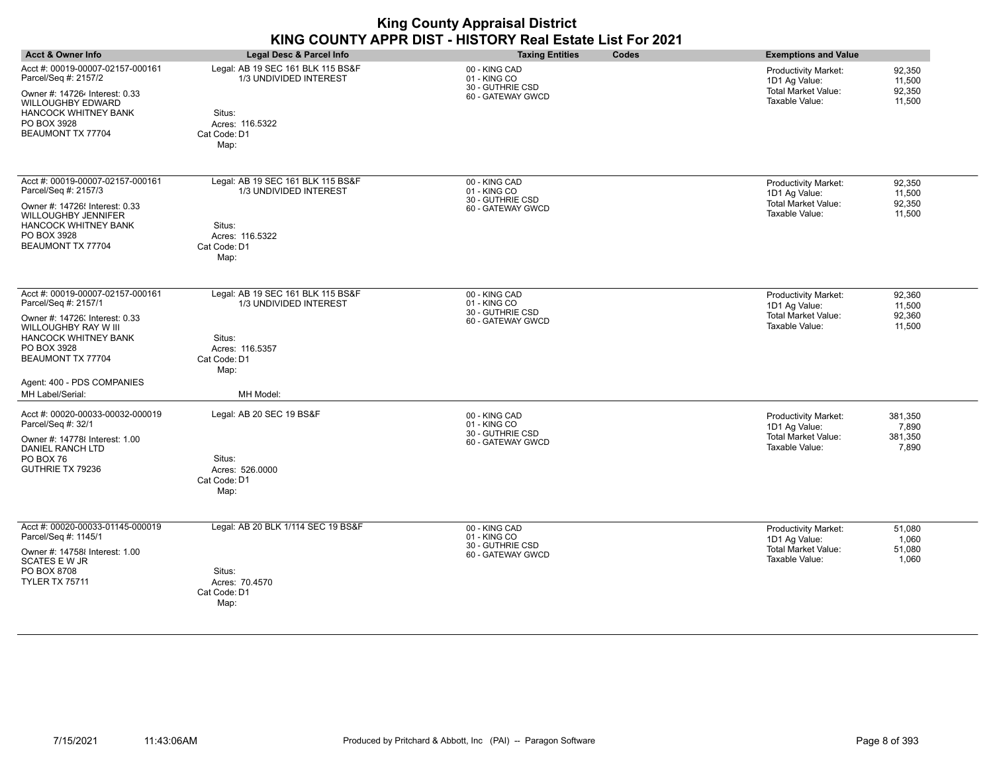| <b>Acct &amp; Owner Info</b>                                                                                                                                                                                                            | Legal Desc & Parcel Info                                                                                                      | <b>Taxing Entities</b><br>Codes                                        | <b>Exemptions and Value</b>                                                                                                          |
|-----------------------------------------------------------------------------------------------------------------------------------------------------------------------------------------------------------------------------------------|-------------------------------------------------------------------------------------------------------------------------------|------------------------------------------------------------------------|--------------------------------------------------------------------------------------------------------------------------------------|
| Acct #: 00019-00007-02157-000161<br>Parcel/Seq #: 2157/2<br>Owner #: 147264 Interest: 0.33<br><b>WILLOUGHBY EDWARD</b><br><b>HANCOCK WHITNEY BANK</b><br>PO BOX 3928<br>BEAUMONT TX 77704                                               | Legal: AB 19 SEC 161 BLK 115 BS&F<br>1/3 UNDIVIDED INTEREST<br>Situs:<br>Acres: 116.5322<br>Cat Code: D1<br>Map:              | 00 - KING CAD<br>01 - KING CO<br>30 - GUTHRIE CSD<br>60 - GATEWAY GWCD | 92,350<br>Productivity Market:<br>1D1 Ag Value:<br>11,500<br>92,350<br>Total Market Value:<br>Taxable Value:<br>11,500               |
| Acct #: 00019-00007-02157-000161<br>Parcel/Seq #: 2157/3<br>Owner #: 14726! Interest: 0.33<br><b>WILLOUGHBY JENNIFER</b><br><b>HANCOCK WHITNEY BANK</b><br>PO BOX 3928<br>BEAUMONT TX 77704                                             | Legal: AB 19 SEC 161 BLK 115 BS&F<br>1/3 UNDIVIDED INTEREST<br>Situs:<br>Acres: 116.5322<br>Cat Code: D1<br>Map:              | 00 - KING CAD<br>01 - KING CO<br>30 - GUTHRIE CSD<br>60 - GATEWAY GWCD | <b>Productivity Market:</b><br>92,350<br>1D1 Ag Value:<br>11,500<br><b>Total Market Value:</b><br>92,350<br>Taxable Value:<br>11,500 |
| Acct #: 00019-00007-02157-000161<br>Parcel/Seq #: 2157/1<br>Owner #: 14726; Interest: 0.33<br>WILLOUGHBY RAY W III<br><b>HANCOCK WHITNEY BANK</b><br>PO BOX 3928<br>BEAUMONT TX 77704<br>Agent: 400 - PDS COMPANIES<br>MH Label/Serial: | Legal: AB 19 SEC 161 BLK 115 BS&F<br>1/3 UNDIVIDED INTEREST<br>Situs:<br>Acres: 116.5357<br>Cat Code: D1<br>Map:<br>MH Model: | 00 - KING CAD<br>01 - KING CO<br>30 - GUTHRIE CSD<br>60 - GATEWAY GWCD | Productivity Market:<br>92,360<br>1D1 Ag Value:<br>11,500<br>92,360<br>Total Market Value:<br>Taxable Value:<br>11,500               |
| Acct #: 00020-00033-00032-000019<br>Parcel/Seq #: 32/1<br>Owner #: 14778 {Interest: 1.00<br>DANIEL RANCH LTD<br>PO BOX 76<br>GUTHRIE TX 79236                                                                                           | Legal: AB 20 SEC 19 BS&F<br>Situs:<br>Acres: 526,0000<br>Cat Code: D1<br>Map:                                                 | 00 - KING CAD<br>01 - KING CO<br>30 - GUTHRIE CSD<br>60 - GATEWAY GWCD | 381,350<br>Productivity Market:<br>1D1 Ag Value:<br>7,890<br><b>Total Market Value:</b><br>381,350<br>Taxable Value:<br>7,890        |
| Acct #: 00020-00033-01145-000019<br>Parcel/Seq #: 1145/1<br>Owner #: 14758 Interest: 1.00<br><b>SCATES E W JR</b><br>PO BOX 8708<br><b>TYLER TX 75711</b>                                                                               | Legal: AB 20 BLK 1/114 SEC 19 BS&F<br>Situs:<br>Acres: 70.4570<br>Cat Code: D1<br>Map:                                        | 00 - KING CAD<br>01 - KING CO<br>30 - GUTHRIE CSD<br>60 - GATEWAY GWCD | 51,080<br><b>Productivity Market:</b><br>1,060<br>1D1 Ag Value:<br><b>Total Market Value:</b><br>51,080<br>Taxable Value:<br>1,060   |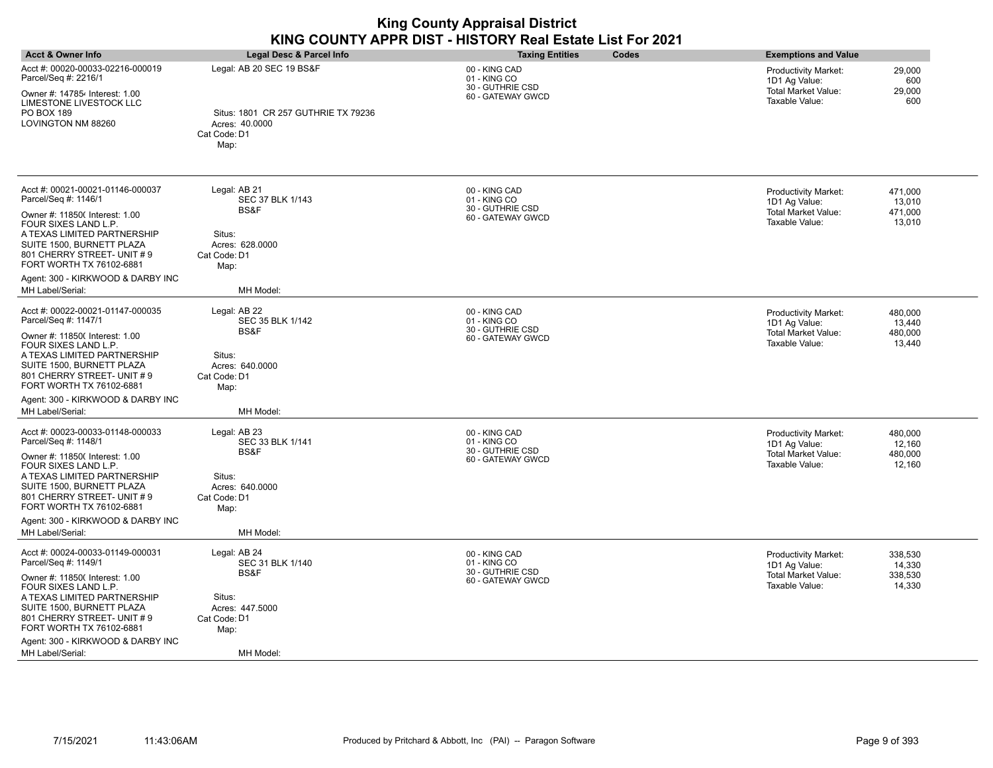| <b>Acct &amp; Owner Info</b>                                                                                                                                                                                      | <b>Legal Desc &amp; Parcel Info</b>                                           | <b>Taxing Entities</b><br>Codes                                        | <b>Exemptions and Value</b>                                                                    |
|-------------------------------------------------------------------------------------------------------------------------------------------------------------------------------------------------------------------|-------------------------------------------------------------------------------|------------------------------------------------------------------------|------------------------------------------------------------------------------------------------|
| Acct #: 00020-00033-02216-000019<br>Parcel/Seq #: 2216/1<br>Owner #: 147854 Interest: 1.00                                                                                                                        | Legal: AB 20 SEC 19 BS&F                                                      | 00 - KING CAD<br>01 - KING CO<br>30 - GUTHRIE CSD<br>60 - GATEWAY GWCD | 29,000<br>Productivity Market:<br>600<br>1D1 Ag Value:<br><b>Total Market Value:</b><br>29,000 |
| LIMESTONE LIVESTOCK LLC<br>PO BOX 189<br>LOVINGTON NM 88260                                                                                                                                                       | Situs: 1801 CR 257 GUTHRIE TX 79236<br>Acres: 40.0000<br>Cat Code: D1<br>Map: |                                                                        | Taxable Value:<br>600                                                                          |
| Acct #: 00021-00021-01146-000037<br>Parcel/Seq #: 1146/1                                                                                                                                                          | Legal: AB 21<br>SEC 37 BLK 1/143                                              | 00 - KING CAD<br>01 - KING CO                                          | 471,000<br>Productivity Market:<br>13,010<br>1D1 Ag Value:                                     |
| Owner #: 11850( Interest: 1.00<br>FOUR SIXES LAND L.P.<br>A TEXAS LIMITED PARTNERSHIP<br>SUITE 1500, BURNETT PLAZA<br>801 CHERRY STREET- UNIT #9                                                                  | BS&F<br>Situs:<br>Acres: 628.0000<br>Cat Code: D1                             | 30 - GUTHRIE CSD<br>60 - GATEWAY GWCD                                  | <b>Total Market Value:</b><br>471,000<br>Taxable Value:<br>13,010                              |
| FORT WORTH TX 76102-6881<br>Agent: 300 - KIRKWOOD & DARBY INC<br>MH Label/Serial:                                                                                                                                 | Map:<br>MH Model:                                                             |                                                                        |                                                                                                |
| Acct #: 00022-00021-01147-000035<br>Parcel/Seq #: 1147/1                                                                                                                                                          | Legal: AB 22<br>SEC 35 BLK 1/142                                              | 00 - KING CAD<br>01 - KING CO                                          | 480,000<br>Productivity Market:<br>1D1 Ag Value:<br>13,440                                     |
| Owner #: 11850( Interest: 1.00<br>FOUR SIXES LAND L.P.<br>A TEXAS LIMITED PARTNERSHIP<br>SUITE 1500, BURNETT PLAZA<br>801 CHERRY STREET- UNIT #9<br>FORT WORTH TX 76102-6881<br>Agent: 300 - KIRKWOOD & DARBY INC | BS&F<br>Situs:<br>Acres: 640.0000<br>Cat Code: D1<br>Map:                     | 30 - GUTHRIE CSD<br>60 - GATEWAY GWCD                                  | 480,000<br><b>Total Market Value:</b><br>Taxable Value:<br>13,440                              |
| MH Label/Serial:                                                                                                                                                                                                  | MH Model:                                                                     |                                                                        |                                                                                                |
| Acct #: 00023-00033-01148-000033<br>Parcel/Seq #: 1148/1                                                                                                                                                          | Legal: AB 23<br>SEC 33 BLK 1/141                                              | 00 - KING CAD<br>01 - KING CO<br>30 - GUTHRIE CSD                      | Productivity Market:<br>480,000<br>1D1 Ag Value:<br>12,160                                     |
| Owner #: 11850( Interest: 1.00<br>FOUR SIXES LAND L.P.<br>A TEXAS LIMITED PARTNERSHIP<br>SUITE 1500, BURNETT PLAZA<br>801 CHERRY STREET- UNIT #9<br>FORT WORTH TX 76102-6881                                      | BS&F<br>Situs:<br>Acres: 640.0000<br>Cat Code: D1<br>Map:                     | 60 - GATEWAY GWCD                                                      | <b>Total Market Value:</b><br>480,000<br>Taxable Value:<br>12,160                              |
| Agent: 300 - KIRKWOOD & DARBY INC<br>MH Label/Serial:                                                                                                                                                             | MH Model:                                                                     |                                                                        |                                                                                                |
| Acct #: 00024-00033-01149-000031<br>Parcel/Seq #: 1149/1                                                                                                                                                          | Legal: AB 24<br>SEC 31 BLK 1/140                                              | 00 - KING CAD<br>01 - KING CO<br>30 - GUTHRIE CSD                      | 338,530<br>Productivity Market:<br>1D1 Ag Value:<br>14,330                                     |
| Owner #: 11850( Interest: 1.00<br>FOUR SIXES LAND L.P.<br>A TEXAS LIMITED PARTNERSHIP<br>SUITE 1500, BURNETT PLAZA<br>801 CHERRY STREET- UNIT #9<br>FORT WORTH TX 76102-6881                                      | BS&F<br>Situs:<br>Acres: 447.5000<br>Cat Code: D1<br>Map:                     | 60 - GATEWAY GWCD                                                      | <b>Total Market Value:</b><br>338,530<br>Taxable Value:<br>14,330                              |
| Agent: 300 - KIRKWOOD & DARBY INC<br>MH Label/Serial:                                                                                                                                                             | MH Model:                                                                     |                                                                        |                                                                                                |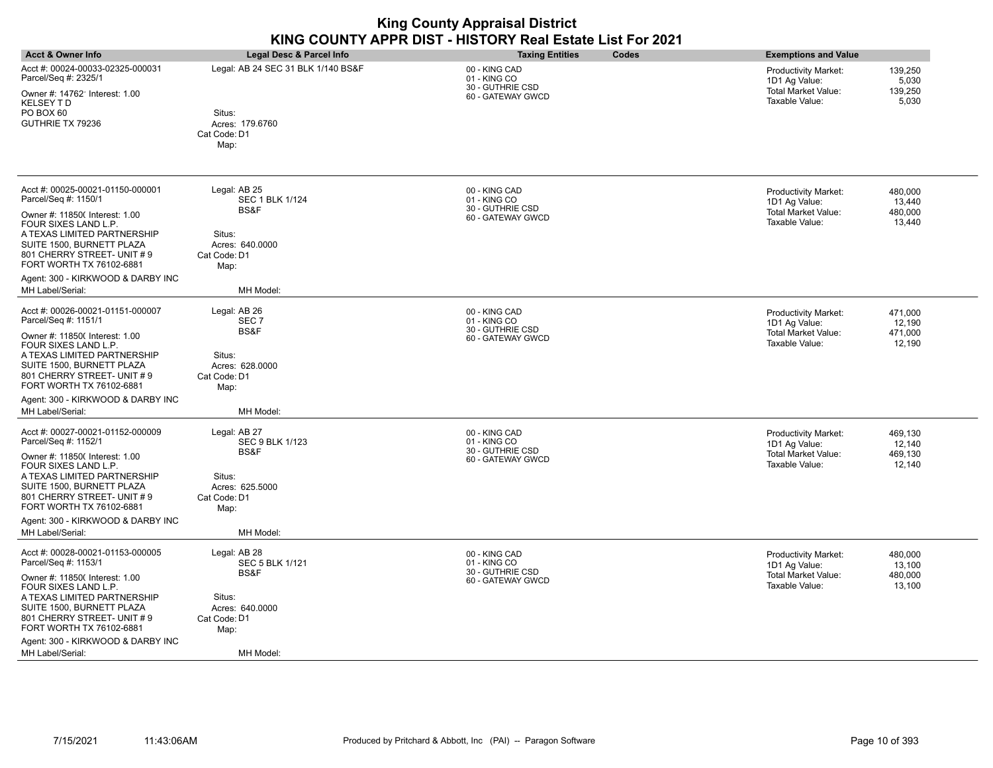| <b>Acct &amp; Owner Info</b>                                                                                                                                                                                                                                                                      | Legal Desc & Parcel Info                                                                                         | Codes<br><b>Taxing Entities</b>                                        | <b>Exemptions and Value</b>                                                                                                     |
|---------------------------------------------------------------------------------------------------------------------------------------------------------------------------------------------------------------------------------------------------------------------------------------------------|------------------------------------------------------------------------------------------------------------------|------------------------------------------------------------------------|---------------------------------------------------------------------------------------------------------------------------------|
| Acct #: 00024-00033-02325-000031<br>Parcel/Seq #: 2325/1<br>Owner #: 14762' Interest: 1.00<br><b>KELSEY TD</b><br>PO BOX 60<br>GUTHRIE TX 79236                                                                                                                                                   | Legal: AB 24 SEC 31 BLK 1/140 BS&F<br>Situs:<br>Acres: 179.6760<br>Cat Code: D1<br>Map:                          | 00 - KING CAD<br>01 - KING CO<br>30 - GUTHRIE CSD<br>60 - GATEWAY GWCD | Productivity Market:<br>139,250<br>1D1 Ag Value:<br>5,030<br><b>Total Market Value:</b><br>139,250<br>Taxable Value:<br>5,030   |
| Acct #: 00025-00021-01150-000001<br>Parcel/Seq #: 1150/1<br>Owner #: 11850( Interest: 1.00<br>FOUR SIXES LAND L.P.<br>A TEXAS LIMITED PARTNERSHIP<br>SUITE 1500, BURNETT PLAZA<br>801 CHERRY STREET- UNIT #9<br>FORT WORTH TX 76102-6881<br>Agent: 300 - KIRKWOOD & DARBY INC<br>MH Label/Serial: | Legal: AB 25<br><b>SEC 1 BLK 1/124</b><br>BS&F<br>Situs:<br>Acres: 640,0000<br>Cat Code: D1<br>Map:<br>MH Model: | 00 - KING CAD<br>01 - KING CO<br>30 - GUTHRIE CSD<br>60 - GATEWAY GWCD | 480,000<br>Productivity Market:<br>13,440<br>1D1 Ag Value:<br>480.000<br><b>Total Market Value:</b><br>Taxable Value:<br>13,440 |
| Acct #: 00026-00021-01151-000007<br>Parcel/Seq #: 1151/1<br>Owner #: 11850( Interest: 1.00<br>FOUR SIXES LAND L.P.<br>A TEXAS LIMITED PARTNERSHIP<br>SUITE 1500, BURNETT PLAZA<br>801 CHERRY STREET- UNIT #9<br>FORT WORTH TX 76102-6881<br>Agent: 300 - KIRKWOOD & DARBY INC<br>MH Label/Serial: | Legal: AB 26<br>SEC <sub>7</sub><br>BS&F<br>Situs:<br>Acres: 628.0000<br>Cat Code: D1<br>Map:<br>MH Model:       | 00 - KING CAD<br>01 - KING CO<br>30 - GUTHRIE CSD<br>60 - GATEWAY GWCD | 471,000<br>Productivity Market:<br>12,190<br>1D1 Ag Value:<br><b>Total Market Value:</b><br>471,000<br>Taxable Value:<br>12,190 |
| Acct #: 00027-00021-01152-000009<br>Parcel/Seq #: 1152/1<br>Owner #: 11850( Interest: 1.00<br>FOUR SIXES LAND L.P.<br>A TEXAS LIMITED PARTNERSHIP<br>SUITE 1500, BURNETT PLAZA<br>801 CHERRY STREET- UNIT #9<br>FORT WORTH TX 76102-6881<br>Agent: 300 - KIRKWOOD & DARBY INC<br>MH Label/Serial: | Legal: AB 27<br><b>SEC 9 BLK 1/123</b><br>BS&F<br>Situs:<br>Acres: 625.5000<br>Cat Code: D1<br>Map:<br>MH Model: | 00 - KING CAD<br>01 - KING CO<br>30 - GUTHRIE CSD<br>60 - GATEWAY GWCD | 469,130<br>Productivity Market:<br>12.140<br>1D1 Ag Value:<br>469.130<br><b>Total Market Value:</b><br>Taxable Value:<br>12,140 |
| Acct #: 00028-00021-01153-000005<br>Parcel/Seq #: 1153/1<br>Owner #: 11850( Interest: 1.00<br>FOUR SIXES LAND L.P.<br>A TEXAS LIMITED PARTNERSHIP<br>SUITE 1500, BURNETT PLAZA<br>801 CHERRY STREET- UNIT #9<br>FORT WORTH TX 76102-6881<br>Agent: 300 - KIRKWOOD & DARBY INC<br>MH Label/Serial: | Legal: AB 28<br><b>SEC 5 BLK 1/121</b><br>BS&F<br>Situs:<br>Acres: 640.0000<br>Cat Code: D1<br>Map:<br>MH Model: | 00 - KING CAD<br>01 - KING CO<br>30 - GUTHRIE CSD<br>60 - GATEWAY GWCD | 480,000<br>Productivity Market:<br>1D1 Ag Value:<br>13,100<br><b>Total Market Value:</b><br>480,000<br>Taxable Value:<br>13,100 |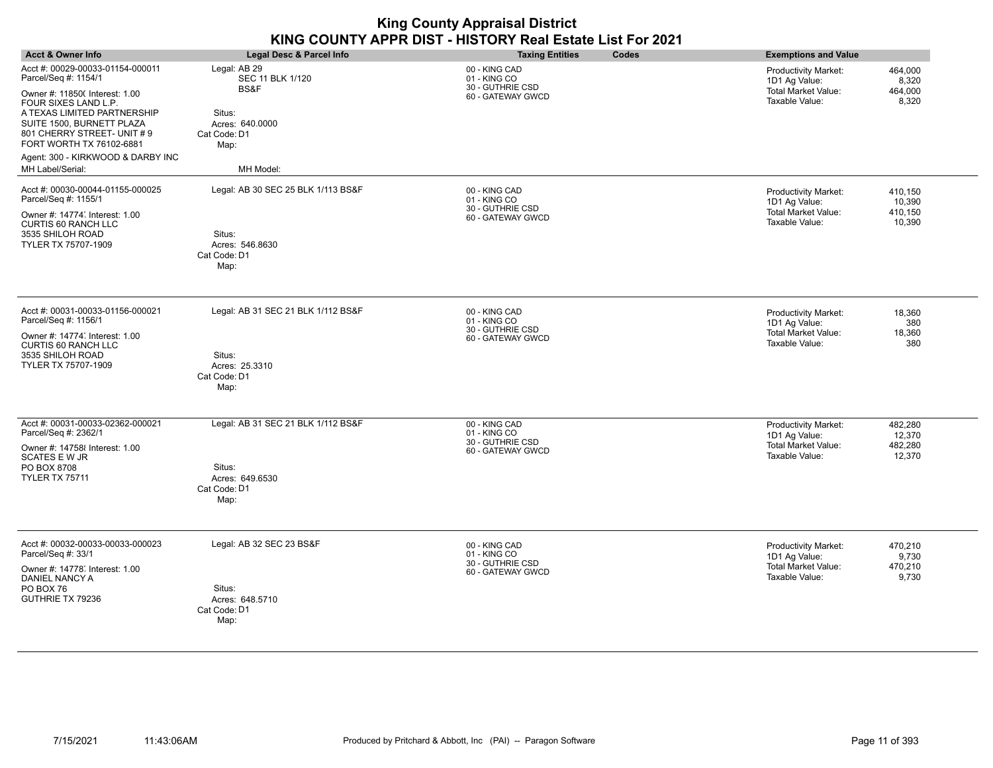|                                                                                                                                                                              |                                                   | KING COUNTY APPR DIST - HISTORY Real Estate List For 2021 |                                                                   |
|------------------------------------------------------------------------------------------------------------------------------------------------------------------------------|---------------------------------------------------|-----------------------------------------------------------|-------------------------------------------------------------------|
| <b>Acct &amp; Owner Info</b>                                                                                                                                                 | <b>Legal Desc &amp; Parcel Info</b>               | Codes<br><b>Taxing Entities</b>                           | <b>Exemptions and Value</b>                                       |
| Acct #: 00029-00033-01154-000011<br>Parcel/Seq #: 1154/1                                                                                                                     | Legal: AB 29<br>SEC 11 BLK 1/120                  | 00 - KING CAD<br>01 - KING CO<br>30 - GUTHRIE CSD         | 464,000<br>Productivity Market:<br>1D1 Ag Value:<br>8,320         |
| Owner #: 11850( Interest: 1.00<br>FOUR SIXES LAND L.P.<br>A TEXAS LIMITED PARTNERSHIP<br>SUITE 1500, BURNETT PLAZA<br>801 CHERRY STREET- UNIT #9<br>FORT WORTH TX 76102-6881 | BS&F<br>Situs:<br>Acres: 640.0000<br>Cat Code: D1 | 60 - GATEWAY GWCD                                         | <b>Total Market Value:</b><br>464,000<br>Taxable Value:<br>8,320  |
| Agent: 300 - KIRKWOOD & DARBY INC                                                                                                                                            | Map:                                              |                                                           |                                                                   |
| MH Label/Serial:                                                                                                                                                             | MH Model:                                         |                                                           |                                                                   |
| Acct #: 00030-00044-01155-000025<br>Parcel/Seq #: 1155/1                                                                                                                     | Legal: AB 30 SEC 25 BLK 1/113 BS&F                | 00 - KING CAD<br>01 - KING CO                             | Productivity Market:<br>410,150<br>1D1 Ag Value:<br>10,390        |
| Owner #: 14774: Interest: 1.00<br>CURTIS 60 RANCH LLC<br>3535 SHILOH ROAD<br>TYLER TX 75707-1909                                                                             | Situs:<br>Acres: 546.8630<br>Cat Code: D1<br>Map: | 30 - GUTHRIE CSD<br>60 - GATEWAY GWCD                     | <b>Total Market Value:</b><br>410,150<br>Taxable Value:<br>10,390 |
| Acct #: 00031-00033-01156-000021<br>Parcel/Seq #: 1156/1                                                                                                                     | Legal: AB 31 SEC 21 BLK 1/112 BS&F                | 00 - KING CAD<br>01 - KING CO                             | 18,360<br>Productivity Market:<br>1D1 Ag Value:<br>380            |
| Owner #: 14774, Interest: 1.00<br><b>CURTIS 60 RANCH LLC</b><br>3535 SHILOH ROAD<br>TYLER TX 75707-1909                                                                      | Situs:<br>Acres: 25.3310<br>Cat Code: D1<br>Map:  | 30 - GUTHRIE CSD<br>60 - GATEWAY GWCD                     | <b>Total Market Value:</b><br>18,360<br>Taxable Value:<br>380     |
| Acct #: 00031-00033-02362-000021<br>Parcel/Seq #: 2362/1                                                                                                                     | Legal: AB 31 SEC 21 BLK 1/112 BS&F                | 00 - KING CAD<br>01 - KING CO                             | 482,280<br>Productivity Market:<br>1D1 Ag Value:<br>12,370        |
| Owner #: 14758 Interest: 1.00<br><b>SCATES E W JR</b><br>PO BOX 8708<br><b>TYLER TX 75711</b>                                                                                | Situs:<br>Acres: 649.6530<br>Cat Code: D1<br>Map: | 30 - GUTHRIE CSD<br>60 - GATEWAY GWCD                     | <b>Total Market Value:</b><br>482,280<br>Taxable Value:<br>12,370 |
| Acct #: 00032-00033-00033-000023<br>Parcel/Seq #: 33/1                                                                                                                       | Legal: AB 32 SEC 23 BS&F                          | 00 - KING CAD<br>01 - KING CO                             | 470,210<br>Productivity Market:<br>1D1 Ag Value:<br>9,730         |
| Owner #: 14778, Interest: 1.00                                                                                                                                               |                                                   | 30 - GUTHRIE CSD<br>60 - GATEWAY GWCD                     | <b>Total Market Value:</b><br>470,210                             |
| DANIEL NANCY A<br>PO BOX 76<br>GUTHRIE TX 79236                                                                                                                              | Situs:<br>Acres: 648.5710<br>Cat Code: D1<br>Map: |                                                           | Taxable Value:<br>9,730                                           |

# **King County Appraisal District**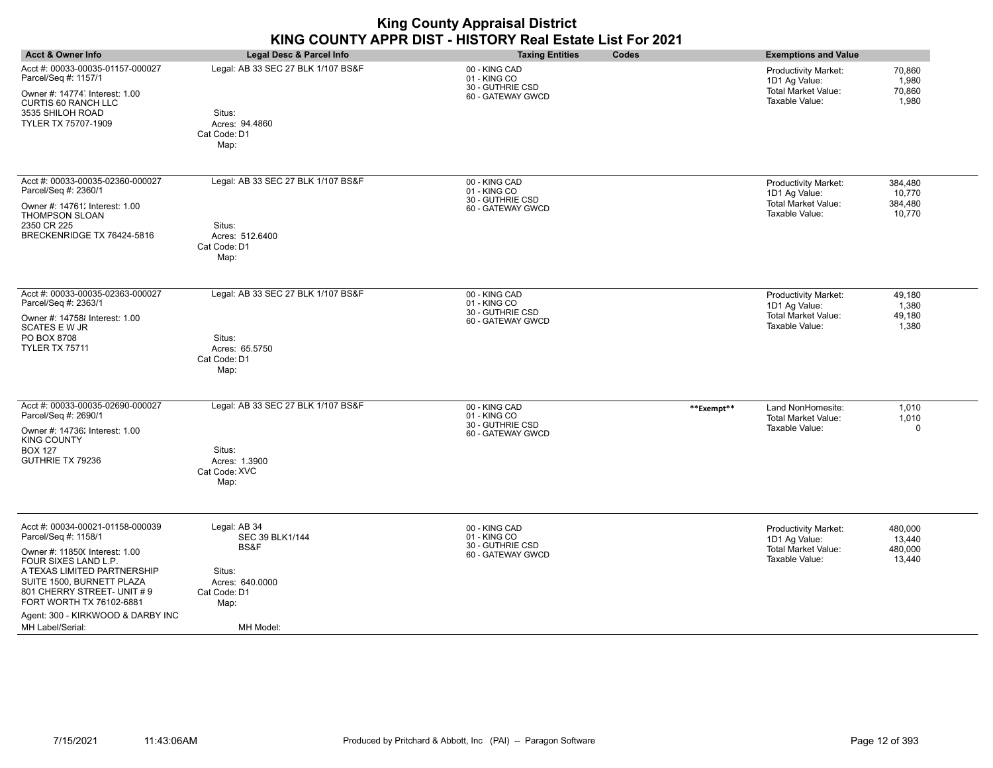| <b>Acct &amp; Owner Info</b>                                                                                                                                                                                                                                                                      | <b>Legal Desc &amp; Parcel Info</b>                                                                       | <b>Taxing Entities</b><br>Codes                                        |            | <b>Exemptions and Value</b>                                                                  |                                        |
|---------------------------------------------------------------------------------------------------------------------------------------------------------------------------------------------------------------------------------------------------------------------------------------------------|-----------------------------------------------------------------------------------------------------------|------------------------------------------------------------------------|------------|----------------------------------------------------------------------------------------------|----------------------------------------|
| Acct #: 00033-00035-01157-000027<br>Parcel/Seq #: 1157/1<br>Owner #: 14774 Interest: 1.00<br><b>CURTIS 60 RANCH LLC</b><br>3535 SHILOH ROAD<br>TYLER TX 75707-1909                                                                                                                                | Legal: AB 33 SEC 27 BLK 1/107 BS&F<br>Situs:<br>Acres: 94.4860<br>Cat Code: D1<br>Map:                    | 00 - KING CAD<br>01 - KING CO<br>30 - GUTHRIE CSD<br>60 - GATEWAY GWCD |            | <b>Productivity Market:</b><br>1D1 Ag Value:<br>Total Market Value:<br>Taxable Value:        | 70,860<br>1,980<br>70,860<br>1,980     |
| Acct #: 00033-00035-02360-000027<br>Parcel/Seq #: 2360/1<br>Owner #: 14761. Interest: 1.00<br>THOMPSON SLOAN<br>2350 CR 225<br>BRECKENRIDGE TX 76424-5816                                                                                                                                         | Legal: AB 33 SEC 27 BLK 1/107 BS&F<br>Situs:<br>Acres: 512.6400<br>Cat Code: D1<br>Map:                   | 00 - KING CAD<br>01 - KING CO<br>30 - GUTHRIE CSD<br>60 - GATEWAY GWCD |            | <b>Productivity Market:</b><br>1D1 Ag Value:<br>Total Market Value:<br>Taxable Value:        | 384,480<br>10,770<br>384,480<br>10,770 |
| Acct #: 00033-00035-02363-000027<br>Parcel/Seq #: 2363/1<br>Owner #: 14758 Interest: 1.00<br><b>SCATES E W JR</b><br>PO BOX 8708<br><b>TYLER TX 75711</b>                                                                                                                                         | Legal: AB 33 SEC 27 BLK 1/107 BS&F<br>Situs:<br>Acres: 65.5750<br>Cat Code: D1<br>Map:                    | 00 - KING CAD<br>01 - KING CO<br>30 - GUTHRIE CSD<br>60 - GATEWAY GWCD |            | <b>Productivity Market:</b><br>1D1 Ag Value:<br><b>Total Market Value:</b><br>Taxable Value: | 49,180<br>1,380<br>49,180<br>1,380     |
| Acct #: 00033-00035-02690-000027<br>Parcel/Seq #: 2690/1<br>Owner #: 14736; Interest: 1.00<br><b>KING COUNTY</b><br><b>BOX 127</b><br>GUTHRIE TX 79236                                                                                                                                            | Legal: AB 33 SEC 27 BLK 1/107 BS&F<br>Situs:<br>Acres: 1.3900<br>Cat Code: XVC<br>Map:                    | 00 - KING CAD<br>01 - KING CO<br>30 - GUTHRIE CSD<br>60 - GATEWAY GWCD | **Exempt** | Land NonHomesite:<br>Total Market Value:<br>Taxable Value:                                   | 1,010<br>1,010<br>0                    |
| Acct #: 00034-00021-01158-000039<br>Parcel/Seq #: 1158/1<br>Owner #: 11850( Interest: 1.00<br>FOUR SIXES LAND L.P.<br>A TEXAS LIMITED PARTNERSHIP<br>SUITE 1500, BURNETT PLAZA<br>801 CHERRY STREET- UNIT #9<br>FORT WORTH TX 76102-6881<br>Agent: 300 - KIRKWOOD & DARBY INC<br>MH Label/Serial: | Legal: AB 34<br>SEC 39 BLK1/144<br>BS&F<br>Situs:<br>Acres: 640.0000<br>Cat Code: D1<br>Map:<br>MH Model: | 00 - KING CAD<br>01 - KING CO<br>30 - GUTHRIE CSD<br>60 - GATEWAY GWCD |            | <b>Productivity Market:</b><br>1D1 Ag Value:<br><b>Total Market Value:</b><br>Taxable Value: | 480,000<br>13,440<br>480,000<br>13,440 |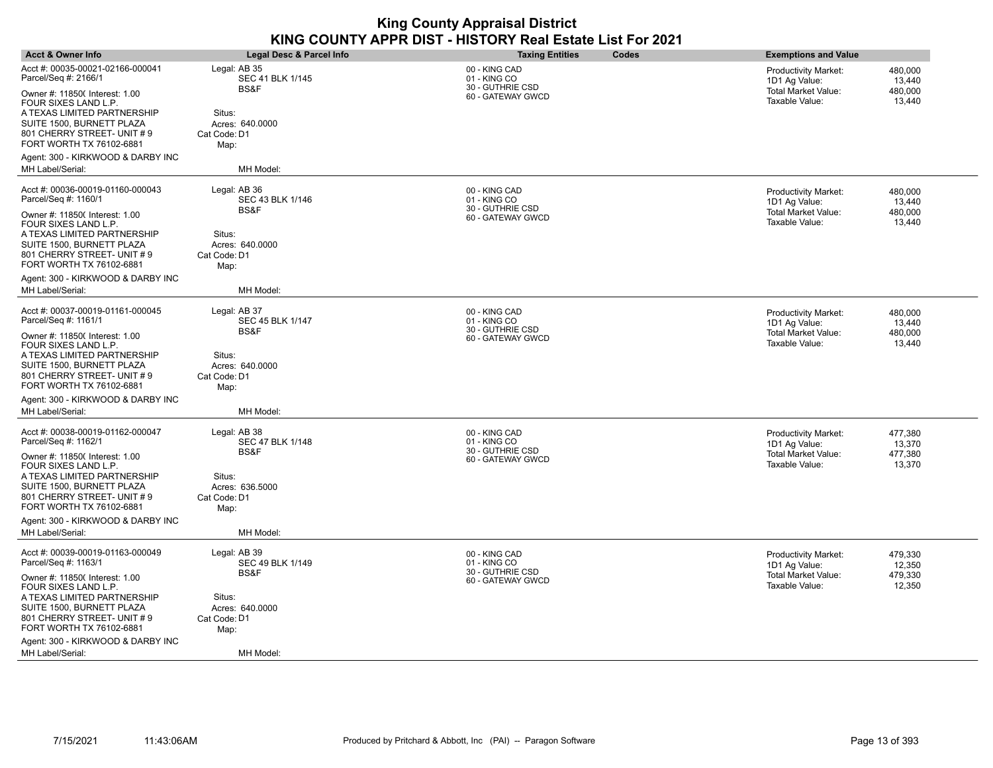| <b>Acct &amp; Owner Info</b>                                                          | Legal Desc & Parcel Info                | <b>Taxing Entities</b><br>Codes       | <b>Exemptions and Value</b>                                                           |
|---------------------------------------------------------------------------------------|-----------------------------------------|---------------------------------------|---------------------------------------------------------------------------------------|
| Acct #: 00035-00021-02166-000041<br>Parcel/Seq #: 2166/1                              | Legal: AB 35<br>SEC 41 BLK 1/145        | 00 - KING CAD<br>01 - KING CO         | 480,000<br><b>Productivity Market:</b><br>1D1 Ag Value:<br>13,440                     |
| Owner #: 11850( Interest: 1.00<br>FOUR SIXES LAND L.P.<br>A TEXAS LIMITED PARTNERSHIP | BS&F<br>Situs:                          | 30 - GUTHRIE CSD<br>60 - GATEWAY GWCD | Total Market Value:<br>480,000<br>Taxable Value:<br>13,440                            |
| SUITE 1500, BURNETT PLAZA<br>801 CHERRY STREET- UNIT # 9<br>FORT WORTH TX 76102-6881  | Acres: 640.0000<br>Cat Code: D1<br>Map: |                                       |                                                                                       |
| Agent: 300 - KIRKWOOD & DARBY INC                                                     |                                         |                                       |                                                                                       |
| MH Label/Serial:                                                                      | MH Model:                               |                                       |                                                                                       |
| Acct #: 00036-00019-01160-000043<br>Parcel/Seq #: 1160/1                              | Legal: AB 36<br>SEC 43 BLK 1/146        | 00 - KING CAD<br>01 - KING CO         | 480,000<br><b>Productivity Market:</b><br>13,440<br>1D1 Ag Value:                     |
| Owner #: 11850( Interest: 1.00<br>FOUR SIXES LAND L.P.                                | BS&F                                    | 30 - GUTHRIE CSD<br>60 - GATEWAY GWCD | Total Market Value:<br>480,000<br>Taxable Value:<br>13,440                            |
| A TEXAS LIMITED PARTNERSHIP                                                           | Situs:                                  |                                       |                                                                                       |
| SUITE 1500, BURNETT PLAZA<br>801 CHERRY STREET- UNIT # 9<br>FORT WORTH TX 76102-6881  | Acres: 640,0000<br>Cat Code: D1<br>Map: |                                       |                                                                                       |
| Agent: 300 - KIRKWOOD & DARBY INC<br>MH Label/Serial:                                 | MH Model:                               |                                       |                                                                                       |
| Acct #: 00037-00019-01161-000045                                                      | Legal: AB 37                            | 00 - KING CAD                         | Productivity Market:<br>480,000                                                       |
| Parcel/Seq #: 1161/1                                                                  | SEC 45 BLK 1/147                        | 01 - KING CO                          | 1D1 Ag Value:<br>13,440                                                               |
| Owner #: 11850( Interest: 1.00<br>FOUR SIXES LAND L.P.                                | BS&F                                    | 30 - GUTHRIE CSD<br>60 - GATEWAY GWCD | <b>Total Market Value:</b><br>480,000<br>Taxable Value:<br>13,440                     |
| A TEXAS LIMITED PARTNERSHIP                                                           | Situs:                                  |                                       |                                                                                       |
| SUITE 1500, BURNETT PLAZA<br>801 CHERRY STREET- UNIT # 9                              | Acres: 640.0000<br>Cat Code: D1         |                                       |                                                                                       |
| FORT WORTH TX 76102-6881                                                              | Map:                                    |                                       |                                                                                       |
| Agent: 300 - KIRKWOOD & DARBY INC                                                     |                                         |                                       |                                                                                       |
| MH Label/Serial:                                                                      | MH Model:                               |                                       |                                                                                       |
| Acct #: 00038-00019-01162-000047<br>Parcel/Seq #: 1162/1                              | Legal: AB 38<br>SEC 47 BLK 1/148        | 00 - KING CAD<br>01 - KING CO         | 477,380<br><b>Productivity Market:</b>                                                |
| Owner #: 11850( Interest: 1.00<br>FOUR SIXES LAND L.P.                                | BS&F                                    | 30 - GUTHRIE CSD<br>60 - GATEWAY GWCD | 1D1 Ag Value:<br>13,370<br>Total Market Value:<br>477,380<br>Taxable Value:<br>13,370 |
| A TEXAS LIMITED PARTNERSHIP                                                           | Situs:                                  |                                       |                                                                                       |
| SUITE 1500, BURNETT PLAZA                                                             | Acres: 636.5000                         |                                       |                                                                                       |
| 801 CHERRY STREET- UNIT # 9<br>FORT WORTH TX 76102-6881                               | Cat Code: D1                            |                                       |                                                                                       |
|                                                                                       | Map:                                    |                                       |                                                                                       |
| Agent: 300 - KIRKWOOD & DARBY INC<br>MH Label/Serial:                                 | MH Model:                               |                                       |                                                                                       |
|                                                                                       |                                         |                                       |                                                                                       |
| Acct #: 00039-00019-01163-000049<br>Parcel/Seq #: 1163/1                              | Legal: AB 39<br>SEC 49 BLK 1/149        | 00 - KING CAD<br>01 - KING CO         | 479,330<br><b>Productivity Market:</b><br>12,350<br>1D1 Ag Value:                     |
| Owner #: 11850( Interest: 1.00                                                        | BS&F                                    | 30 - GUTHRIE CSD<br>60 - GATEWAY GWCD | Total Market Value:<br>479,330<br>12,350<br>Taxable Value:                            |
| FOUR SIXES LAND L.P.<br>A TEXAS LIMITED PARTNERSHIP                                   | Situs:                                  |                                       |                                                                                       |
| SUITE 1500, BURNETT PLAZA                                                             | Acres: 640.0000                         |                                       |                                                                                       |
| 801 CHERRY STREET- UNIT # 9<br>FORT WORTH TX 76102-6881                               | Cat Code: D1<br>Map:                    |                                       |                                                                                       |
| Agent: 300 - KIRKWOOD & DARBY INC                                                     |                                         |                                       |                                                                                       |
| MH Label/Serial:                                                                      | MH Model:                               |                                       |                                                                                       |
|                                                                                       |                                         |                                       |                                                                                       |

 $\overline{\phantom{a}}$ 

 $\overline{\phantom{a}}$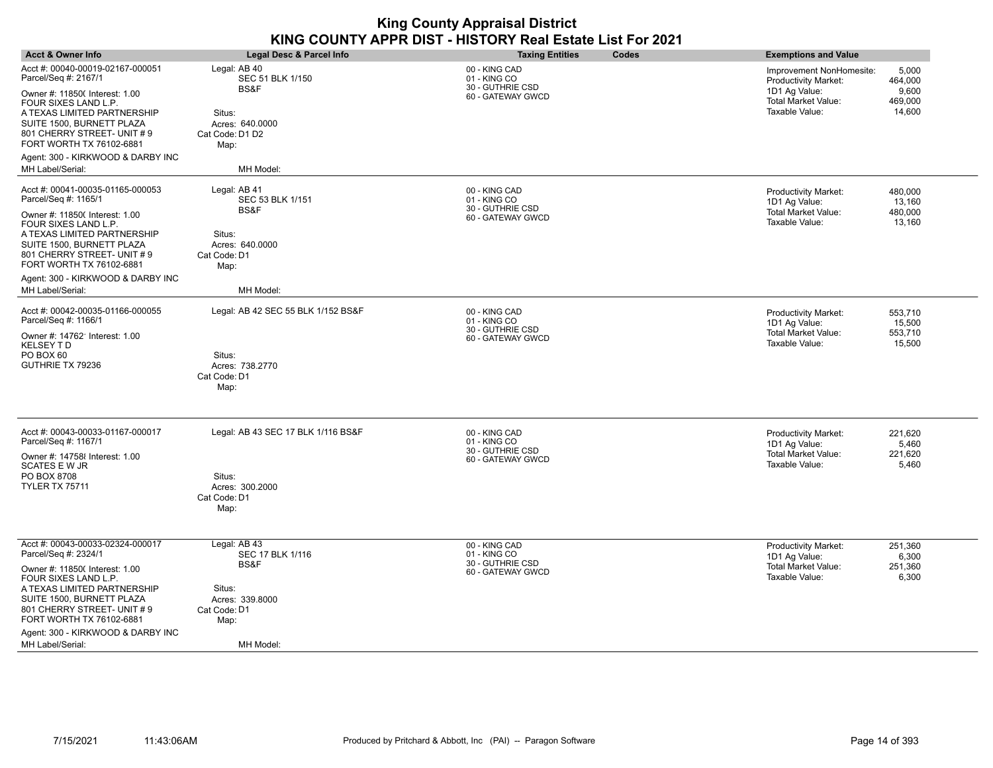| <b>Acct &amp; Owner Info</b>                                                                                                                                                                          | Legal Desc & Parcel Info                                        | <b>Taxing Entities</b><br>Codes                                        | <b>Exemptions and Value</b>                                                                                                          |
|-------------------------------------------------------------------------------------------------------------------------------------------------------------------------------------------------------|-----------------------------------------------------------------|------------------------------------------------------------------------|--------------------------------------------------------------------------------------------------------------------------------------|
| Acct #: 00040-00019-02167-000051<br>Parcel/Seq #: 2167/1                                                                                                                                              | Legal: AB 40<br>SEC 51 BLK 1/150                                | 00 - KING CAD<br>01 - KING CO                                          | 5,000<br>Improvement NonHomesite:<br>464,000<br><b>Productivity Market:</b>                                                          |
| Owner #: 11850( Interest: 1.00<br>FOUR SIXES LAND L.P.<br>A TEXAS LIMITED PARTNERSHIP<br>SUITE 1500, BURNETT PLAZA<br>801 CHERRY STREET- UNIT # 9                                                     | BS&F<br>Situs:<br>Acres: 640,0000<br>Cat Code: D1 D2            | 30 - GUTHRIE CSD<br>60 - GATEWAY GWCD                                  | 1D1 Ag Value:<br>9,600<br>Total Market Value:<br>469,000<br>Taxable Value:<br>14,600                                                 |
| FORT WORTH TX 76102-6881                                                                                                                                                                              | Map:                                                            |                                                                        |                                                                                                                                      |
| Agent: 300 - KIRKWOOD & DARBY INC<br>MH Label/Serial:                                                                                                                                                 | MH Model:                                                       |                                                                        |                                                                                                                                      |
| Acct #: 00041-00035-01165-000053<br>Parcel/Seq #: 1165/1                                                                                                                                              | Legal: AB 41<br>SEC 53 BLK 1/151<br>BS&F                        | 00 - KING CAD<br>01 - KING CO<br>30 - GUTHRIE CSD                      | <b>Productivity Market:</b><br>480,000<br>1D1 Ag Value:<br>13,160                                                                    |
| Owner #: 11850( Interest: 1.00<br>FOUR SIXES LAND L.P.<br>A TEXAS LIMITED PARTNERSHIP<br>SUITE 1500, BURNETT PLAZA<br>801 CHERRY STREET- UNIT # 9<br>FORT WORTH TX 76102-6881                         | Situs:<br>Acres: 640.0000<br>Cat Code: D1<br>Map:               | 60 - GATEWAY GWCD                                                      | 480,000<br>Total Market Value:<br>Taxable Value:<br>13,160                                                                           |
| Agent: 300 - KIRKWOOD & DARBY INC<br>MH Label/Serial:                                                                                                                                                 | MH Model:                                                       |                                                                        |                                                                                                                                      |
|                                                                                                                                                                                                       |                                                                 |                                                                        |                                                                                                                                      |
| Acct #: 00042-00035-01166-000055<br>Parcel/Seq #: 1166/1                                                                                                                                              | Legal: AB 42 SEC 55 BLK 1/152 BS&F                              | 00 - KING CAD<br>01 - KING CO                                          | Productivity Market:<br>553,710<br>15,500<br>1D1 Ag Value:                                                                           |
| Owner #: 14762' Interest: 1.00<br>KELSEY T D<br>PO BOX 60<br>GUTHRIE TX 79236                                                                                                                         | Situs:<br>Acres: 738.2770<br>Cat Code: D1<br>Map:               | 30 - GUTHRIE CSD<br>60 - GATEWAY GWCD                                  | Total Market Value:<br>553,710<br>Taxable Value:<br>15,500                                                                           |
| Acct #: 00043-00033-01167-000017<br>Parcel/Seq #: 1167/1<br>Owner #: 14758 {Interest: 1.00<br>SCATES E W JR<br>PO BOX 8708<br>TYLER TX 75711                                                          | Legal: AB 43 SEC 17 BLK 1/116 BS&F<br>Situs:<br>Acres: 300.2000 | 00 - KING CAD<br>01 - KING CO<br>30 - GUTHRIE CSD<br>60 - GATEWAY GWCD | <b>Productivity Market:</b><br>221,620<br>5,460<br>1D1 Ag Value:<br><b>Total Market Value:</b><br>221,620<br>Taxable Value:<br>5,460 |
|                                                                                                                                                                                                       | Cat Code: D1<br>Map:                                            |                                                                        |                                                                                                                                      |
| Acct #: 00043-00033-02324-000017                                                                                                                                                                      | Legal: AB 43                                                    | 00 - KING CAD<br>01 - KING CO                                          | Productivity Market:<br>251,360<br>6,300<br>1D1 Ag Value:                                                                            |
|                                                                                                                                                                                                       | SEC 17 BLK 1/116                                                |                                                                        |                                                                                                                                      |
|                                                                                                                                                                                                       | BS&F                                                            | 30 - GUTHRIE CSD<br>60 - GATEWAY GWCD                                  | 251,360<br>Total Market Value:<br>Taxable Value:<br>6,300                                                                            |
| Parcel/Seq #: 2324/1<br>Owner #: 11850( Interest: 1.00<br>FOUR SIXES LAND L.P.<br>A TEXAS LIMITED PARTNERSHIP<br>SUITE 1500, BURNETT PLAZA<br>801 CHERRY STREET- UNIT # 9<br>FORT WORTH TX 76102-6881 | Situs:<br>Acres: 339.8000<br>Cat Code: D1<br>Map:               |                                                                        |                                                                                                                                      |

 $\overline{\phantom{a}}$ 

 $\overline{\phantom{a}}$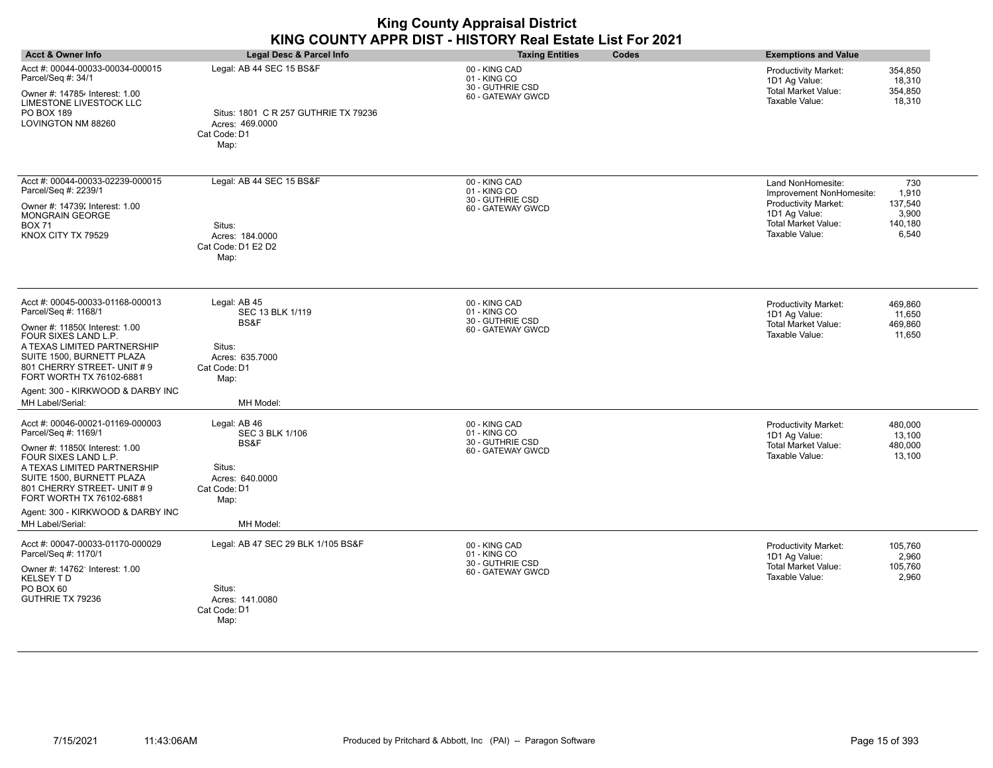| <b>Acct &amp; Owner Info</b>                                                                                                                                                                                                                                                                      | <b>Legal Desc &amp; Parcel Info</b>                                                                              | <b>Taxing Entities</b><br>Codes                                        | <b>Exemptions and Value</b>                                                                                                                                                                           |
|---------------------------------------------------------------------------------------------------------------------------------------------------------------------------------------------------------------------------------------------------------------------------------------------------|------------------------------------------------------------------------------------------------------------------|------------------------------------------------------------------------|-------------------------------------------------------------------------------------------------------------------------------------------------------------------------------------------------------|
| Acct #: 00044-00033-00034-000015<br>Parcel/Seq #: 34/1<br>Owner #: 147854 Interest: 1.00<br>LIMESTONE LIVESTOCK LLC<br>PO BOX 189<br>LOVINGTON NM 88260                                                                                                                                           | Legal: AB 44 SEC 15 BS&F<br>Situs: 1801 C R 257 GUTHRIE TX 79236<br>Acres: 469.0000<br>Cat Code: D1<br>Map:      | 00 - KING CAD<br>01 - KING CO<br>30 - GUTHRIE CSD<br>60 - GATEWAY GWCD | 354,850<br><b>Productivity Market:</b><br>18,310<br>1D1 Ag Value:<br><b>Total Market Value:</b><br>354,850<br>Taxable Value:<br>18,310                                                                |
| Acct #: 00044-00033-02239-000015<br>Parcel/Seq #: 2239/1<br>Owner #: 14739; Interest: 1.00<br>MONGRAIN GEORGE<br><b>BOX 71</b><br>KNOX CITY TX 79529                                                                                                                                              | Legal: AB 44 SEC 15 BS&F<br>Situs:<br>Acres: 184.0000<br>Cat Code: D1 E2 D2<br>Map:                              | 00 - KING CAD<br>01 - KING CO<br>30 - GUTHRIE CSD<br>60 - GATEWAY GWCD | 730<br>Land NonHomesite:<br>1,910<br>Improvement NonHomesite:<br>137,540<br><b>Productivity Market:</b><br>3,900<br>1D1 Ag Value:<br><b>Total Market Value:</b><br>140,180<br>Taxable Value:<br>6,540 |
| Acct #: 00045-00033-01168-000013<br>Parcel/Seq #: 1168/1<br>Owner #: 11850( Interest: 1.00<br>FOUR SIXES LAND L.P.<br>A TEXAS LIMITED PARTNERSHIP<br>SUITE 1500, BURNETT PLAZA<br>801 CHERRY STREET- UNIT #9<br>FORT WORTH TX 76102-6881<br>Agent: 300 - KIRKWOOD & DARBY INC<br>MH Label/Serial: | Legal: AB 45<br>SEC 13 BLK 1/119<br>BS&F<br>Situs:<br>Acres: 635.7000<br>Cat Code: D1<br>Map:<br>MH Model:       | 00 - KING CAD<br>01 - KING CO<br>30 - GUTHRIE CSD<br>60 - GATEWAY GWCD | Productivity Market:<br>469,860<br>1D1 Ag Value:<br>11,650<br><b>Total Market Value:</b><br>469,860<br>Taxable Value:<br>11,650                                                                       |
| Acct #: 00046-00021-01169-000003<br>Parcel/Seq #: 1169/1<br>Owner #: 11850( Interest: 1.00<br>FOUR SIXES LAND L.P.<br>A TEXAS LIMITED PARTNERSHIP<br>SUITE 1500, BURNETT PLAZA<br>801 CHERRY STREET- UNIT #9<br>FORT WORTH TX 76102-6881<br>Agent: 300 - KIRKWOOD & DARBY INC<br>MH Label/Serial: | Legal: AB 46<br><b>SEC 3 BLK 1/106</b><br>BS&F<br>Situs:<br>Acres: 640.0000<br>Cat Code: D1<br>Map:<br>MH Model: | 00 - KING CAD<br>01 - KING CO<br>30 - GUTHRIE CSD<br>60 - GATEWAY GWCD | 480,000<br>Productivity Market:<br>1D1 Ag Value:<br>13,100<br>Total Market Value:<br>480,000<br>Taxable Value:<br>13,100                                                                              |
| Acct #: 00047-00033-01170-000029<br>Parcel/Seq #: 1170/1<br>Owner #: 14762' Interest: 1.00<br><b>KELSEY TD</b><br>PO BOX 60<br>GUTHRIE TX 79236                                                                                                                                                   | Legal: AB 47 SEC 29 BLK 1/105 BS&F<br>Situs:<br>Acres: 141.0080<br>Cat Code: D1<br>Map:                          | 00 - KING CAD<br>01 - KING CO<br>30 - GUTHRIE CSD<br>60 - GATEWAY GWCD | Productivity Market:<br>105,760<br>1D1 Ag Value:<br>2,960<br><b>Total Market Value:</b><br>105,760<br>Taxable Value:<br>2,960                                                                         |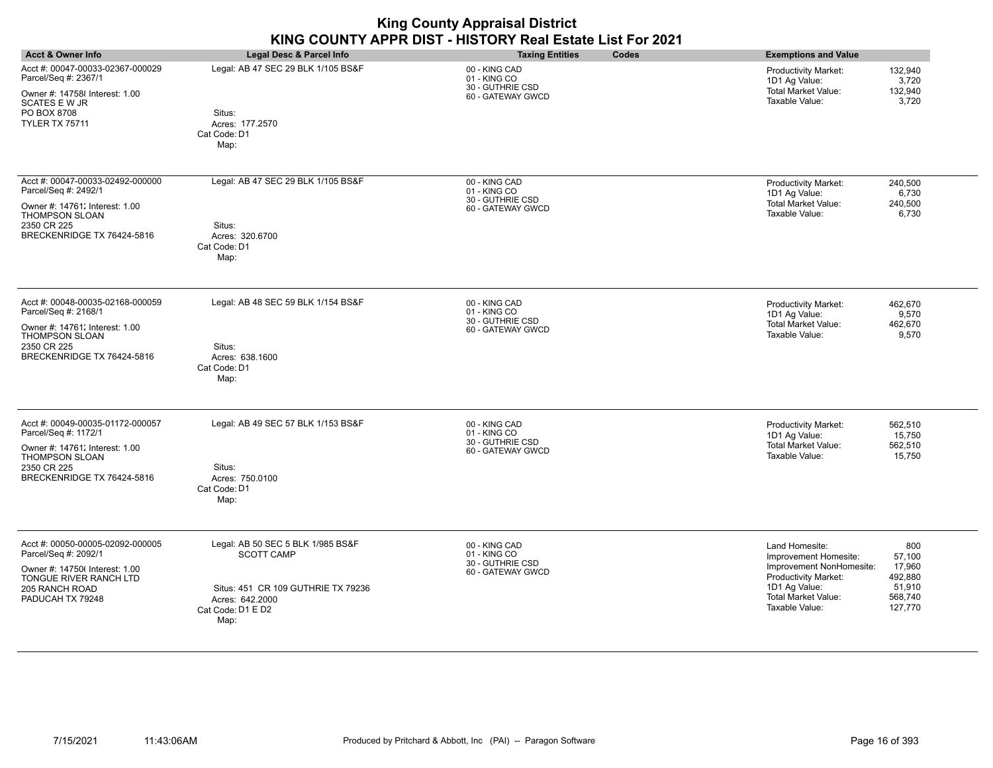| <b>Acct &amp; Owner Info</b>                                                                                                                               | Legal Desc & Parcel Info                                                                                                                     | <b>Taxing Entities</b><br>Codes                                        | <b>Exemptions and Value</b>                                                                                                                                                                                                               |
|------------------------------------------------------------------------------------------------------------------------------------------------------------|----------------------------------------------------------------------------------------------------------------------------------------------|------------------------------------------------------------------------|-------------------------------------------------------------------------------------------------------------------------------------------------------------------------------------------------------------------------------------------|
| Acct #: 00047-00033-02367-000029<br>Parcel/Seq #: 2367/1<br>Owner #: 14758 Interest: 1.00<br><b>SCATES E W JR</b><br>PO BOX 8708<br><b>TYLER TX 75711</b>  | Legal: AB 47 SEC 29 BLK 1/105 BS&F<br>Situs:<br>Acres: 177.2570<br>Cat Code: D1<br>Map:                                                      | 00 - KING CAD<br>01 - KING CO<br>30 - GUTHRIE CSD<br>60 - GATEWAY GWCD | 132,940<br>Productivity Market:<br>3,720<br>1D1 Ag Value:<br>132,940<br><b>Total Market Value:</b><br>Taxable Value:<br>3,720                                                                                                             |
| Acct #: 00047-00033-02492-000000<br>Parcel/Seq #: 2492/1<br>Owner #: 14761; Interest: 1.00<br>THOMPSON SLOAN<br>2350 CR 225<br>BRECKENRIDGE TX 76424-5816  | Legal: AB 47 SEC 29 BLK 1/105 BS&F<br>Situs:<br>Acres: 320.6700<br>Cat Code: D1<br>Map:                                                      | 00 - KING CAD<br>01 - KING CO<br>30 - GUTHRIE CSD<br>60 - GATEWAY GWCD | 240,500<br><b>Productivity Market:</b><br>6,730<br>1D1 Ag Value:<br><b>Total Market Value:</b><br>240,500<br>Taxable Value:<br>6,730                                                                                                      |
| Acct #: 00048-00035-02168-000059<br>Parcel/Seq #: 2168/1<br>Owner #: 14761; Interest: 1.00<br>THOMPSON SLOAN<br>2350 CR 225<br>BRECKENRIDGE TX 76424-5816  | Legal: AB 48 SEC 59 BLK 1/154 BS&F<br>Situs:<br>Acres: 638.1600<br>Cat Code: D1<br>Map:                                                      | 00 - KING CAD<br>01 - KING CO<br>30 - GUTHRIE CSD<br>60 - GATEWAY GWCD | 462,670<br><b>Productivity Market:</b><br>1D1 Ag Value:<br>9,570<br><b>Total Market Value:</b><br>462,670<br>Taxable Value:<br>9,570                                                                                                      |
| Acct #: 00049-00035-01172-000057<br>Parcel/Seq #: 1172/1<br>Owner #: 14761; Interest: 1.00<br>THOMPSON SLOAN<br>2350 CR 225<br>BRECKENRIDGE TX 76424-5816  | Legal: AB 49 SEC 57 BLK 1/153 BS&F<br>Situs:<br>Acres: 750.0100<br>Cat Code: D1<br>Map:                                                      | 00 - KING CAD<br>01 - KING CO<br>30 - GUTHRIE CSD<br>60 - GATEWAY GWCD | <b>Productivity Market:</b><br>562,510<br>1D1 Ag Value:<br>15,750<br><b>Total Market Value:</b><br>562,510<br>Taxable Value:<br>15,750                                                                                                    |
| Acct #: 00050-00005-02092-000005<br>Parcel/Seq #: 2092/1<br>Owner #: 147506 Interest: 1.00<br>TONGUE RIVER RANCH LTD<br>205 RANCH ROAD<br>PADUCAH TX 79248 | Legal: AB 50 SEC 5 BLK 1/985 BS&F<br><b>SCOTT CAMP</b><br>Situs: 451 CR 109 GUTHRIE TX 79236<br>Acres: 642.2000<br>Cat Code: D1 E D2<br>Map: | 00 - KING CAD<br>01 - KING CO<br>30 - GUTHRIE CSD<br>60 - GATEWAY GWCD | Land Homesite:<br>800<br>57,100<br>Improvement Homesite:<br>17,960<br>Improvement NonHomesite:<br><b>Productivity Market:</b><br>492,880<br>1D1 Ag Value:<br>51,910<br><b>Total Market Value:</b><br>568,740<br>Taxable Value:<br>127,770 |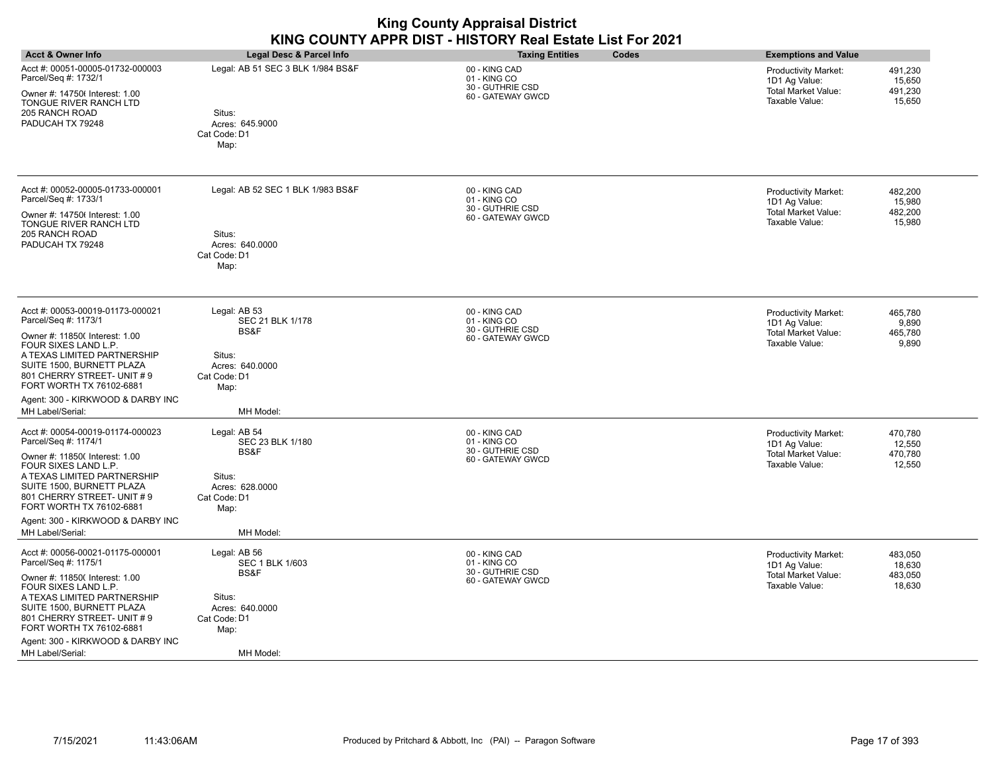| <b>Acct &amp; Owner Info</b>                                                                                                                                                                                                                                                                      | Legal Desc & Parcel Info                                                                                         | Codes<br><b>Taxing Entities</b>                                        | <b>Exemptions and Value</b>                                                                                                            |
|---------------------------------------------------------------------------------------------------------------------------------------------------------------------------------------------------------------------------------------------------------------------------------------------------|------------------------------------------------------------------------------------------------------------------|------------------------------------------------------------------------|----------------------------------------------------------------------------------------------------------------------------------------|
| Acct #: 00051-00005-01732-000003<br>Parcel/Seq #: 1732/1<br>Owner #: 147506 Interest: 1.00<br>TONGUE RIVER RANCH LTD<br>205 RANCH ROAD<br>PADUCAH TX 79248                                                                                                                                        | Legal: AB 51 SEC 3 BLK 1/984 BS&F<br>Situs:<br>Acres: 645.9000<br>Cat Code: D1<br>Map:                           | 00 - KING CAD<br>01 - KING CO<br>30 - GUTHRIE CSD<br>60 - GATEWAY GWCD | 491,230<br><b>Productivity Market:</b><br>15,650<br>1D1 Ag Value:<br>491,230<br>Total Market Value:<br>Taxable Value:<br>15,650        |
| Acct #: 00052-00005-01733-000001<br>Parcel/Seq #: 1733/1<br>Owner #: 14750 (Interest: 1.00<br>TONGUE RIVER RANCH LTD<br>205 RANCH ROAD<br>PADUCAH TX 79248                                                                                                                                        | Legal: AB 52 SEC 1 BLK 1/983 BS&F<br>Situs:<br>Acres: 640,0000<br>Cat Code: D1<br>Map:                           | 00 - KING CAD<br>01 - KING CO<br>30 - GUTHRIE CSD<br>60 - GATEWAY GWCD | <b>Productivity Market:</b><br>482.200<br>15,980<br>1D1 Ag Value:<br><b>Total Market Value:</b><br>482,200<br>Taxable Value:<br>15,980 |
| Acct #: 00053-00019-01173-000021<br>Parcel/Seq #: 1173/1<br>Owner #: 11850( Interest: 1.00<br>FOUR SIXES LAND L.P.<br>A TEXAS LIMITED PARTNERSHIP<br>SUITE 1500, BURNETT PLAZA<br>801 CHERRY STREET- UNIT #9<br>FORT WORTH TX 76102-6881<br>Agent: 300 - KIRKWOOD & DARBY INC<br>MH Label/Serial: | Legal: AB 53<br>SEC 21 BLK 1/178<br>BS&F<br>Situs:<br>Acres: 640.0000<br>Cat Code: D1<br>Map:<br>MH Model:       | 00 - KING CAD<br>01 - KING CO<br>30 - GUTHRIE CSD<br>60 - GATEWAY GWCD | 465,780<br><b>Productivity Market:</b><br>1D1 Ag Value:<br>9,890<br><b>Total Market Value:</b><br>465,780<br>Taxable Value:<br>9,890   |
| Acct #: 00054-00019-01174-000023<br>Parcel/Seq #: 1174/1<br>Owner #: 11850( Interest: 1.00<br>FOUR SIXES LAND L.P.<br>A TEXAS LIMITED PARTNERSHIP<br>SUITE 1500, BURNETT PLAZA<br>801 CHERRY STREET- UNIT #9<br>FORT WORTH TX 76102-6881<br>Agent: 300 - KIRKWOOD & DARBY INC<br>MH Label/Serial: | Legal: AB 54<br>SEC 23 BLK 1/180<br>BS&F<br>Situs:<br>Acres: 628,0000<br>Cat Code: D1<br>Map:<br>MH Model:       | 00 - KING CAD<br>01 - KING CO<br>30 - GUTHRIE CSD<br>60 - GATEWAY GWCD | 470,780<br>Productivity Market:<br>12,550<br>1D1 Ag Value:<br>470,780<br><b>Total Market Value:</b><br>Taxable Value:<br>12,550        |
| Acct #: 00056-00021-01175-000001<br>Parcel/Seq #: 1175/1<br>Owner #: 11850( Interest: 1.00<br>FOUR SIXES LAND L.P.<br>A TEXAS LIMITED PARTNERSHIP<br>SUITE 1500, BURNETT PLAZA<br>801 CHERRY STREET- UNIT #9<br>FORT WORTH TX 76102-6881<br>Agent: 300 - KIRKWOOD & DARBY INC<br>MH Label/Serial: | Legal: AB 56<br><b>SEC 1 BLK 1/603</b><br>BS&F<br>Situs:<br>Acres: 640.0000<br>Cat Code: D1<br>Map:<br>MH Model: | 00 - KING CAD<br>01 - KING CO<br>30 - GUTHRIE CSD<br>60 - GATEWAY GWCD | Productivity Market:<br>483,050<br>18,630<br>1D1 Ag Value:<br>483,050<br>Total Market Value:<br>Taxable Value:<br>18,630               |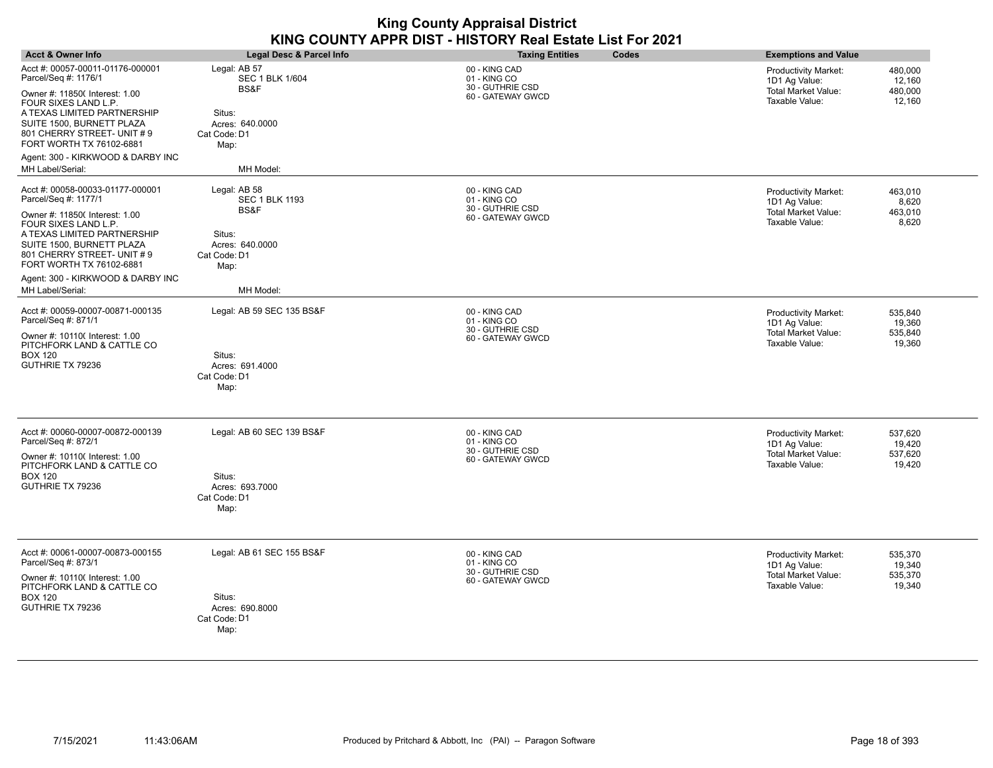| <b>Acct &amp; Owner Info</b>                                                                                                                                                                                                                                                  | <b>Legal Desc &amp; Parcel Info</b>                                                                | <b>Taxing Entities</b><br>Codes                                        | <b>Exemptions and Value</b>                                                                                                            |
|-------------------------------------------------------------------------------------------------------------------------------------------------------------------------------------------------------------------------------------------------------------------------------|----------------------------------------------------------------------------------------------------|------------------------------------------------------------------------|----------------------------------------------------------------------------------------------------------------------------------------|
| Acct #: 00057-00011-01176-000001<br>Parcel/Seq #: 1176/1                                                                                                                                                                                                                      | Legal: AB 57<br><b>SEC 1 BLK 1/604</b><br>BS&F                                                     | 00 - KING CAD<br>01 - KING CO<br>30 - GUTHRIE CSD                      | 480,000<br><b>Productivity Market:</b><br>1D1 Ag Value:<br>12,160<br>Total Market Value:<br>480,000                                    |
| Owner #: 11850( Interest: 1.00<br>FOUR SIXES LAND L.P.<br>A TEXAS LIMITED PARTNERSHIP<br>SUITE 1500, BURNETT PLAZA<br>801 CHERRY STREET- UNIT #9<br>FORT WORTH TX 76102-6881                                                                                                  | Situs:<br>Acres: 640.0000<br>Cat Code: D1<br>Map:                                                  | 60 - GATEWAY GWCD                                                      | Taxable Value:<br>12,160                                                                                                               |
| Agent: 300 - KIRKWOOD & DARBY INC<br>MH Label/Serial:                                                                                                                                                                                                                         | MH Model:                                                                                          |                                                                        |                                                                                                                                        |
| Acct #: 00058-00033-01177-000001<br>Parcel/Seq #: 1177/1<br>Owner #: 11850( Interest: 1.00<br>FOUR SIXES LAND L.P.<br>A TEXAS LIMITED PARTNERSHIP<br>SUITE 1500, BURNETT PLAZA<br>801 CHERRY STREET- UNIT #9<br>FORT WORTH TX 76102-6881<br>Agent: 300 - KIRKWOOD & DARBY INC | Legal: AB 58<br><b>SEC 1 BLK 1193</b><br>BS&F<br>Situs:<br>Acres: 640.0000<br>Cat Code: D1<br>Map: | 00 - KING CAD<br>01 - KING CO<br>30 - GUTHRIE CSD<br>60 - GATEWAY GWCD | <b>Productivity Market:</b><br>463,010<br>1D1 Ag Value:<br>8,620<br>Total Market Value:<br>463,010<br>Taxable Value:<br>8,620          |
| MH Label/Serial:                                                                                                                                                                                                                                                              | MH Model:                                                                                          |                                                                        |                                                                                                                                        |
| Acct #: 00059-00007-00871-000135<br>Parcel/Seq #: 871/1<br>Owner #: 10110( Interest: 1.00<br>PITCHFORK LAND & CATTLE CO<br><b>BOX 120</b><br>GUTHRIE TX 79236                                                                                                                 | Legal: AB 59 SEC 135 BS&F<br>Situs:<br>Acres: 691.4000<br>Cat Code: D1<br>Map:                     | 00 - KING CAD<br>01 - KING CO<br>30 - GUTHRIE CSD<br>60 - GATEWAY GWCD | <b>Productivity Market:</b><br>535,840<br>19,360<br>1D1 Ag Value:<br><b>Total Market Value:</b><br>535,840<br>Taxable Value:<br>19,360 |
| Acct #: 00060-00007-00872-000139<br>Parcel/Seq #: 872/1<br>Owner #: 10110( Interest: 1.00<br>PITCHFORK LAND & CATTLE CO<br><b>BOX 120</b><br>GUTHRIE TX 79236                                                                                                                 | Legal: AB 60 SEC 139 BS&F<br>Situs:<br>Acres: 693.7000<br>Cat Code: D1<br>Map:                     | 00 - KING CAD<br>01 - KING CO<br>30 - GUTHRIE CSD<br>60 - GATEWAY GWCD | <b>Productivity Market:</b><br>537,620<br>19,420<br>1D1 Ag Value:<br><b>Total Market Value:</b><br>537,620<br>Taxable Value:<br>19,420 |
| Acct #: 00061-00007-00873-000155<br>Parcel/Seq #: 873/1<br>Owner #: 10110( Interest: 1.00<br>PITCHFORK LAND & CATTLE CO<br><b>BOX 120</b><br>GUTHRIE TX 79236                                                                                                                 | Legal: AB 61 SEC 155 BS&F<br>Situs:<br>Acres: 690.8000<br>Cat Code: D1<br>Map:                     | 00 - KING CAD<br>01 - KING CO<br>30 - GUTHRIE CSD<br>60 - GATEWAY GWCD | <b>Productivity Market:</b><br>535,370<br>1D1 Ag Value:<br>19,340<br>Total Market Value:<br>535,370<br>Taxable Value:<br>19,340        |

÷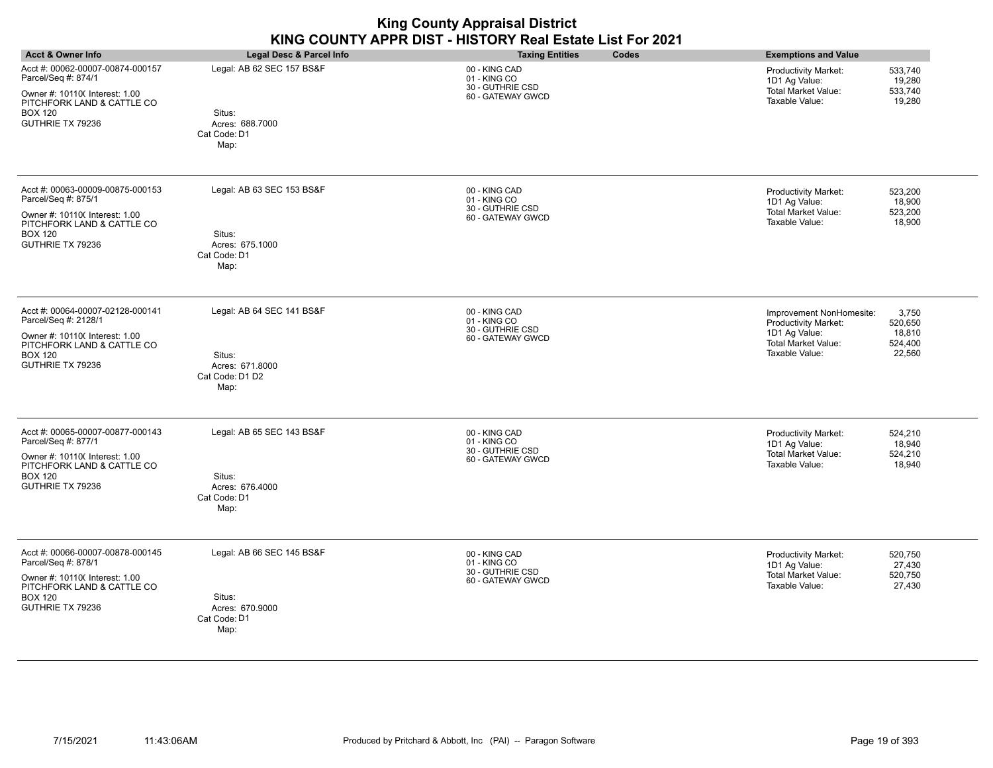| <b>King County Appraisal District</b>                     |  |
|-----------------------------------------------------------|--|
| KING COUNTY APPR DIST - HISTORY Real Estate List For 2021 |  |

|                                                                                                                                                                | ו יוט טער שיוויו<br>vill i<br>əlulu                                               |                                                                        |                                                                                                                                                                      |  |  |
|----------------------------------------------------------------------------------------------------------------------------------------------------------------|-----------------------------------------------------------------------------------|------------------------------------------------------------------------|----------------------------------------------------------------------------------------------------------------------------------------------------------------------|--|--|
| <b>Acct &amp; Owner Info</b>                                                                                                                                   | Legal Desc & Parcel Info                                                          | <b>Taxing Entities</b><br>Codes                                        | <b>Exemptions and Value</b>                                                                                                                                          |  |  |
| Acct #: 00062-00007-00874-000157<br>Parcel/Seq #: 874/1<br>Owner #: 10110( Interest: 1.00<br>PITCHFORK LAND & CATTLE CO<br><b>BOX 120</b><br>GUTHRIE TX 79236  | Legal: AB 62 SEC 157 BS&F<br>Situs:<br>Acres: 688.7000<br>Cat Code: D1<br>Map:    | 00 - KING CAD<br>01 - KING CO<br>30 - GUTHRIE CSD<br>60 - GATEWAY GWCD | 533,740<br><b>Productivity Market:</b><br>1D1 Ag Value:<br>19,280<br>Total Market Value:<br>533,740<br>Taxable Value:<br>19,280                                      |  |  |
| Acct #: 00063-00009-00875-000153<br>Parcel/Seq #: 875/1<br>Owner #: 10110( Interest: 1.00<br>PITCHFORK LAND & CATTLE CO<br><b>BOX 120</b><br>GUTHRIE TX 79236  | Legal: AB 63 SEC 153 BS&F<br>Situs:<br>Acres: 675.1000<br>Cat Code: D1<br>Map:    | 00 - KING CAD<br>01 - KING CO<br>30 - GUTHRIE CSD<br>60 - GATEWAY GWCD | 523,200<br><b>Productivity Market:</b><br>18,900<br>1D1 Ag Value:<br><b>Total Market Value:</b><br>523,200<br>18,900<br>Taxable Value:                               |  |  |
| Acct #: 00064-00007-02128-000141<br>Parcel/Seq #: 2128/1<br>Owner #: 10110( Interest: 1.00<br>PITCHFORK LAND & CATTLE CO<br><b>BOX 120</b><br>GUTHRIE TX 79236 | Legal: AB 64 SEC 141 BS&F<br>Situs:<br>Acres: 671.8000<br>Cat Code: D1 D2<br>Map: | 00 - KING CAD<br>01 - KING CO<br>30 - GUTHRIE CSD<br>60 - GATEWAY GWCD | Improvement NonHomesite:<br>3,750<br><b>Productivity Market:</b><br>520,650<br>1D1 Ag Value:<br>18,810<br>Total Market Value:<br>524,400<br>Taxable Value:<br>22,560 |  |  |
| Acct #: 00065-00007-00877-000143<br>Parcel/Seq #: 877/1<br>Owner #: 10110( Interest: 1.00<br>PITCHFORK LAND & CATTLE CO<br><b>BOX 120</b><br>GUTHRIE TX 79236  | Legal: AB 65 SEC 143 BS&F<br>Situs:<br>Acres: 676.4000<br>Cat Code: D1<br>Map:    | 00 - KING CAD<br>01 - KING CO<br>30 - GUTHRIE CSD<br>60 - GATEWAY GWCD | 524,210<br>Productivity Market:<br>1D1 Ag Value:<br>18,940<br>Total Market Value:<br>524,210<br>Taxable Value:<br>18,940                                             |  |  |
| Acct #: 00066-00007-00878-000145<br>Parcel/Seq #: 878/1<br>Owner #: 10110( Interest: 1.00<br>PITCHFORK LAND & CATTLE CO<br><b>BOX 120</b><br>GUTHRIE TX 79236  | Legal: AB 66 SEC 145 BS&F<br>Situs:<br>Acres: 670.9000<br>Cat Code: D1<br>Map:    | 00 - KING CAD<br>01 - KING CO<br>30 - GUTHRIE CSD<br>60 - GATEWAY GWCD | Productivity Market:<br>520,750<br>1D1 Ag Value:<br>27,430<br><b>Total Market Value:</b><br>520,750<br>Taxable Value:<br>27,430                                      |  |  |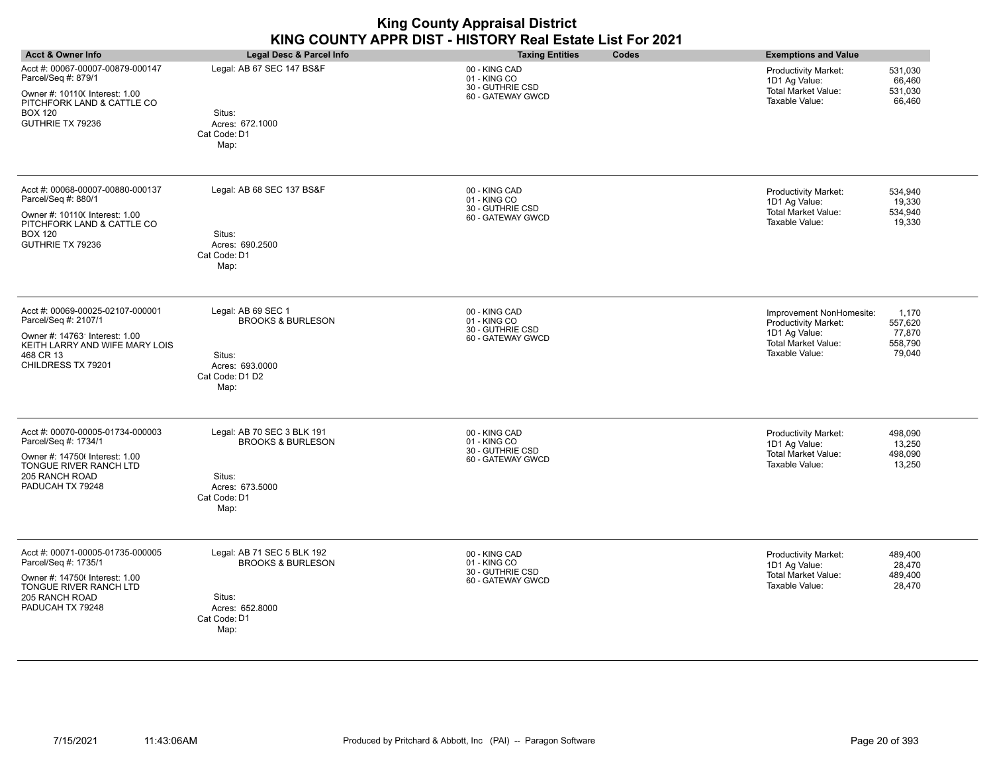| <b>Acct &amp; Owner Info</b>                                                                                                                                    | Legal Desc & Parcel Info                                                                                        | <b>Taxing Entities</b><br>Codes                                        | <b>Exemptions and Value</b>                                                                                                                                                 |
|-----------------------------------------------------------------------------------------------------------------------------------------------------------------|-----------------------------------------------------------------------------------------------------------------|------------------------------------------------------------------------|-----------------------------------------------------------------------------------------------------------------------------------------------------------------------------|
| Acct #: 00067-00007-00879-000147<br>Parcel/Seq #: 879/1<br>Owner #: 10110( Interest: 1.00<br>PITCHFORK LAND & CATTLE CO<br><b>BOX 120</b><br>GUTHRIE TX 79236   | Legal: AB 67 SEC 147 BS&F<br>Situs:<br>Acres: 672.1000<br>Cat Code: D1<br>Map:                                  | 00 - KING CAD<br>01 - KING CO<br>30 - GUTHRIE CSD<br>60 - GATEWAY GWCD | Productivity Market:<br>531,030<br>66,460<br>1D1 Ag Value:<br><b>Total Market Value:</b><br>531,030<br>Taxable Value:<br>66,460                                             |
| Acct #: 00068-00007-00880-000137<br>Parcel/Seq #: 880/1<br>Owner #: 10110( Interest: 1.00<br>PITCHFORK LAND & CATTLE CO<br><b>BOX 120</b><br>GUTHRIE TX 79236   | Legal: AB 68 SEC 137 BS&F<br>Situs:<br>Acres: 690.2500<br>Cat Code: D1<br>Map:                                  | 00 - KING CAD<br>01 - KING CO<br>30 - GUTHRIE CSD<br>60 - GATEWAY GWCD | 534,940<br><b>Productivity Market:</b><br>1D1 Ag Value:<br>19,330<br><b>Total Market Value:</b><br>534,940<br>Taxable Value:<br>19,330                                      |
| Acct #: 00069-00025-02107-000001<br>Parcel/Seq #: 2107/1<br>Owner #: 14763' Interest: 1.00<br>KEITH LARRY AND WIFE MARY LOIS<br>468 CR 13<br>CHILDRESS TX 79201 | Legal: AB 69 SEC 1<br><b>BROOKS &amp; BURLESON</b><br>Situs:<br>Acres: 693.0000<br>Cat Code: D1 D2<br>Map:      | 00 - KING CAD<br>01 - KING CO<br>30 - GUTHRIE CSD<br>60 - GATEWAY GWCD | 1,170<br>Improvement NonHomesite:<br><b>Productivity Market:</b><br>557,620<br>77,870<br>1D1 Ag Value:<br><b>Total Market Value:</b><br>558,790<br>Taxable Value:<br>79,040 |
| Acct #: 00070-00005-01734-000003<br>Parcel/Seq #: 1734/1<br>Owner #: 147506 Interest: 1.00<br>TONGUE RIVER RANCH LTD<br>205 RANCH ROAD<br>PADUCAH TX 79248      | Legal: AB 70 SEC 3 BLK 191<br><b>BROOKS &amp; BURLESON</b><br>Situs:<br>Acres: 673.5000<br>Cat Code: D1<br>Map: | 00 - KING CAD<br>01 - KING CO<br>30 - GUTHRIE CSD<br>60 - GATEWAY GWCD | 498.090<br><b>Productivity Market:</b><br>13,250<br>1D1 Ag Value:<br><b>Total Market Value:</b><br>498,090<br>Taxable Value:<br>13,250                                      |
| Acct #: 00071-00005-01735-000005<br>Parcel/Seq #: 1735/1<br>Owner #: 147506 Interest: 1.00<br>TONGUE RIVER RANCH LTD<br>205 RANCH ROAD<br>PADUCAH TX 79248      | Legal: AB 71 SEC 5 BLK 192<br><b>BROOKS &amp; BURLESON</b><br>Situs:<br>Acres: 652.8000<br>Cat Code: D1<br>Map: | 00 - KING CAD<br>01 - KING CO<br>30 - GUTHRIE CSD<br>60 - GATEWAY GWCD | <b>Productivity Market:</b><br>489,400<br>28,470<br>1D1 Ag Value:<br><b>Total Market Value:</b><br>489,400<br>Taxable Value:<br>28,470                                      |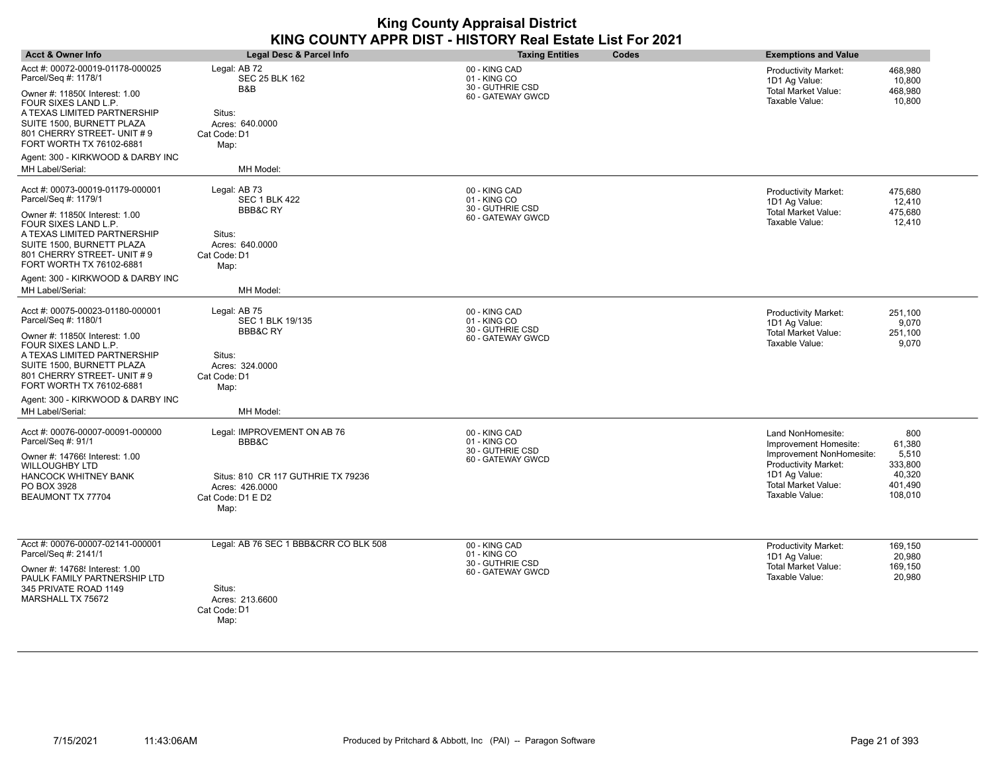| <b>Acct &amp; Owner Info</b>                                                                                                                                                  | Legal Desc & Parcel Info                                                           | <b>Taxing Entities</b><br>Codes                                        | <b>Exemptions and Value</b>                                                                                                      |
|-------------------------------------------------------------------------------------------------------------------------------------------------------------------------------|------------------------------------------------------------------------------------|------------------------------------------------------------------------|----------------------------------------------------------------------------------------------------------------------------------|
| Acct #: 00072-00019-01178-000025<br>Parcel/Seq #: 1178/1                                                                                                                      | Legal: AB 72<br><b>SEC 25 BLK 162</b>                                              | 00 - KING CAD<br>01 - KING CO                                          | <b>Productivity Market:</b><br>468,980<br>1D1 Ag Value:<br>10,800                                                                |
| Owner #: 11850( Interest: 1.00<br>FOUR SIXES LAND L.P.<br>A TEXAS LIMITED PARTNERSHIP<br>SUITE 1500, BURNETT PLAZA<br>801 CHERRY STREET- UNIT # 9<br>FORT WORTH TX 76102-6881 | B&B<br>Situs:<br>Acres: 640.0000<br>Cat Code: D1<br>Map:                           | 30 - GUTHRIE CSD<br>60 - GATEWAY GWCD                                  | <b>Total Market Value:</b><br>468,980<br>Taxable Value:<br>10,800                                                                |
| Agent: 300 - KIRKWOOD & DARBY INC                                                                                                                                             |                                                                                    |                                                                        |                                                                                                                                  |
| MH Label/Serial:                                                                                                                                                              | MH Model:                                                                          |                                                                        |                                                                                                                                  |
| Acct #: 00073-00019-01179-000001<br>Parcel/Seq #: 1179/1                                                                                                                      | Legal: AB 73<br><b>SEC 1 BLK 422</b><br><b>BBB&amp;C RY</b>                        | 00 - KING CAD<br>01 - KING CO<br>30 - GUTHRIE CSD                      | <b>Productivity Market:</b><br>475,680<br>1D1 Ag Value:<br>12,410<br><b>Total Market Value:</b><br>475,680                       |
| Owner #: 11850( Interest: 1.00<br>FOUR SIXES LAND L.P.<br>A TEXAS LIMITED PARTNERSHIP<br>SUITE 1500, BURNETT PLAZA<br>801 CHERRY STREET- UNIT # 9<br>FORT WORTH TX 76102-6881 | Situs:<br>Acres: 640.0000<br>Cat Code: D1<br>Map:                                  | 60 - GATEWAY GWCD                                                      | Taxable Value:<br>12,410                                                                                                         |
| Agent: 300 - KIRKWOOD & DARBY INC<br>MH Label/Serial:                                                                                                                         | MH Model:                                                                          |                                                                        |                                                                                                                                  |
| Acct #: 00075-00023-01180-000001<br>Parcel/Seq #: 1180/1                                                                                                                      | Legal: AB 75<br>SEC 1 BLK 19/135                                                   | 00 - KING CAD<br>01 - KING CO                                          | <b>Productivity Market:</b><br>251.100<br>1D1 Ag Value:<br>9,070                                                                 |
| Owner #: 11850( Interest: 1.00<br>FOUR SIXES LAND L.P.<br>A TEXAS LIMITED PARTNERSHIP<br>SUITE 1500, BURNETT PLAZA<br>801 CHERRY STREET- UNIT # 9<br>FORT WORTH TX 76102-6881 | <b>BBB&amp;C RY</b><br>Situs:<br>Acres: 324,0000<br>Cat Code: D1<br>Map:           | 30 - GUTHRIE CSD<br>60 - GATEWAY GWCD                                  | Total Market Value:<br>251,100<br>Taxable Value:<br>9,070                                                                        |
| Agent: 300 - KIRKWOOD & DARBY INC<br>MH Label/Serial:                                                                                                                         | MH Model:                                                                          |                                                                        |                                                                                                                                  |
| Acct #: 00076-00007-00091-000000<br>Parcel/Seq #: 91/1<br>Owner #: 14766! Interest: 1.00                                                                                      | Legal: IMPROVEMENT ON AB 76<br>BBB&C                                               | 00 - KING CAD<br>01 - KING CO<br>30 - GUTHRIE CSD<br>60 - GATEWAY GWCD | Land NonHomesite:<br>800<br>61,380<br>Improvement Homesite:<br>Improvement NonHomesite:<br>5,510                                 |
| WILLOUGHBY LTD<br>HANCOCK WHITNEY BANK<br>PO BOX 3928<br>BEAUMONT TX 77704                                                                                                    | Situs: 810 CR 117 GUTHRIE TX 79236<br>Acres: 426,0000<br>Cat Code: D1 E D2<br>Map: |                                                                        | Productivity Market:<br>333,800<br>1D1 Ag Value:<br>40,320<br><b>Total Market Value:</b><br>401,490<br>Taxable Value:<br>108,010 |
| Acct #: 00076-00007-02141-000001<br>Parcel/Seq #: 2141/1                                                                                                                      | Legal: AB 76 SEC 1 BBB&CRR CO BLK 508                                              | 00 - KING CAD<br>01 - KING CO                                          | 169,150<br><b>Productivity Market:</b>                                                                                           |
| Owner #: 14768! Interest: 1.00<br>PAULK FAMILY PARTNERSHIP LTD                                                                                                                |                                                                                    | 30 - GUTHRIE CSD<br>60 - GATEWAY GWCD                                  | 1D1 Ag Value:<br>20,980<br><b>Total Market Value:</b><br>169,150<br>Taxable Value:<br>20,980                                     |
| 345 PRIVATE ROAD 1149<br>MARSHALL TX 75672                                                                                                                                    | Situs:<br>Acres: 213.6600                                                          |                                                                        |                                                                                                                                  |

 $\overline{\phantom{a}}$ 

 $\overline{\phantom{a}}$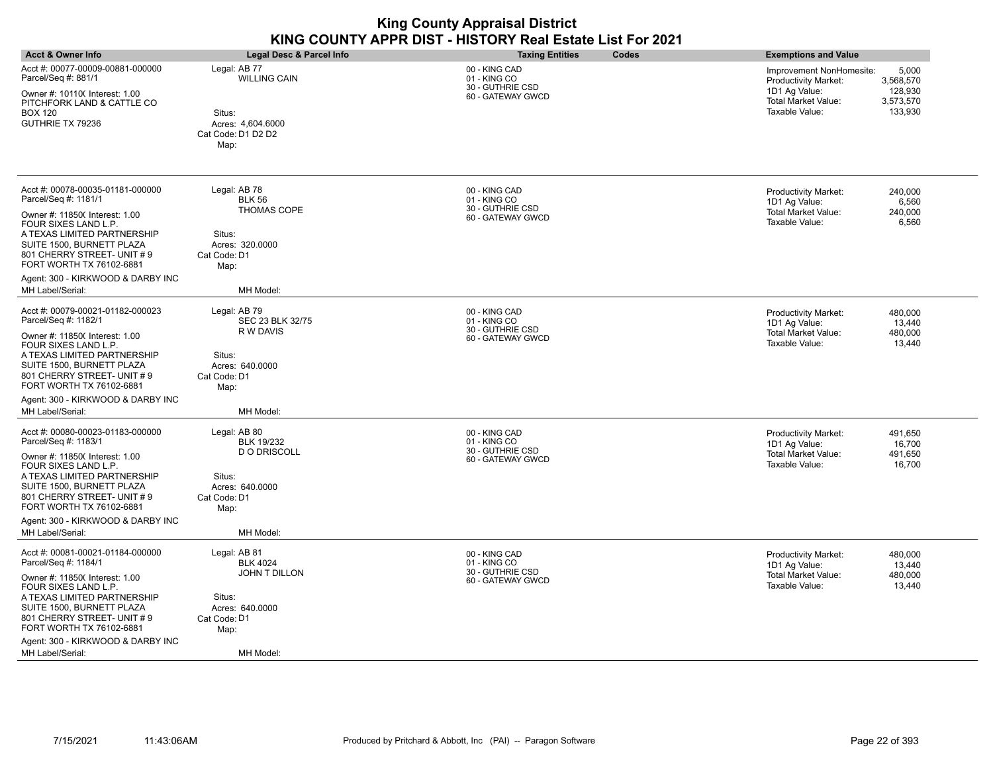| <b>Acct &amp; Owner Info</b>                                                                                                                                                 | <b>Legal Desc &amp; Parcel Info</b>                            | <b>Taxing Entities</b><br>Codes                                        | <b>Exemptions and Value</b>                                                                                                            |
|------------------------------------------------------------------------------------------------------------------------------------------------------------------------------|----------------------------------------------------------------|------------------------------------------------------------------------|----------------------------------------------------------------------------------------------------------------------------------------|
| Acct #: 00077-00009-00881-000000<br>Parcel/Seq #: 881/1                                                                                                                      | Legal: AB 77<br><b>WILLING CAIN</b>                            | 00 - KING CAD<br>01 - KING CO<br>30 - GUTHRIE CSD                      | 5,000<br>Improvement NonHomesite:<br>3,568,570<br><b>Productivity Market:</b>                                                          |
| Owner #: 10110( Interest: 1.00<br>PITCHFORK LAND & CATTLE CO<br><b>BOX 120</b><br>GUTHRIE TX 79236                                                                           | Situs:<br>Acres: 4,604.6000<br>Cat Code: D1 D2 D2<br>Map:      | 60 - GATEWAY GWCD                                                      | 128,930<br>1D1 Ag Value:<br>3,573,570<br>Total Market Value:<br>Taxable Value:<br>133,930                                              |
| Acct #: 00078-00035-01181-000000<br>Parcel/Seq #: 1181/1                                                                                                                     | Legal: AB 78<br><b>BLK 56</b>                                  | 00 - KING CAD<br>01 - KING CO                                          | Productivity Market:<br>240,000<br>6,560<br>1D1 Ag Value:                                                                              |
| Owner #: 11850( Interest: 1.00<br>FOUR SIXES LAND L.P.                                                                                                                       | <b>THOMAS COPE</b>                                             | 30 - GUTHRIE CSD<br>60 - GATEWAY GWCD                                  | <b>Total Market Value:</b><br>240,000<br>Taxable Value:<br>6,560                                                                       |
| A TEXAS LIMITED PARTNERSHIP<br>SUITE 1500, BURNETT PLAZA<br>801 CHERRY STREET- UNIT #9<br>FORT WORTH TX 76102-6881                                                           | Situs:<br>Acres: 320.0000<br>Cat Code: D1<br>Map:              |                                                                        |                                                                                                                                        |
| Agent: 300 - KIRKWOOD & DARBY INC<br>MH Label/Serial:                                                                                                                        | MH Model:                                                      |                                                                        |                                                                                                                                        |
| Acct #: 00079-00021-01182-000023<br>Parcel/Seq #: 1182/1                                                                                                                     | Legal: AB 79<br>SEC 23 BLK 32/75                               | 00 - KING CAD<br>01 - KING CO                                          | 480,000<br>Productivity Market:<br>13,440<br>1D1 Ag Value:                                                                             |
| Owner #: 11850( Interest: 1.00<br>FOUR SIXES LAND L.P.<br>A TEXAS LIMITED PARTNERSHIP<br>SUITE 1500, BURNETT PLAZA<br>801 CHERRY STREET- UNIT #9<br>FORT WORTH TX 76102-6881 | R W DAVIS<br>Situs:<br>Acres: 640.0000<br>Cat Code: D1<br>Map: | 30 - GUTHRIE CSD<br>60 - GATEWAY GWCD                                  | Total Market Value:<br>480,000<br>Taxable Value:<br>13,440                                                                             |
| Agent: 300 - KIRKWOOD & DARBY INC<br>MH Label/Serial:                                                                                                                        | MH Model:                                                      |                                                                        |                                                                                                                                        |
| Acct #: 00080-00023-01183-000000<br>Parcel/Seq #: 1183/1<br>Owner #: 11850( Interest: 1.00<br>FOUR SIXES LAND L.P.                                                           | Legal: AB 80<br><b>BLK 19/232</b><br><b>DO DRISCOLL</b>        | 00 - KING CAD<br>01 - KING CO<br>30 - GUTHRIE CSD<br>60 - GATEWAY GWCD | 491,650<br><b>Productivity Market:</b><br>16,700<br>1D1 Ag Value:<br><b>Total Market Value:</b><br>491,650<br>16,700<br>Taxable Value: |
| A TEXAS LIMITED PARTNERSHIP<br>SUITE 1500, BURNETT PLAZA<br>801 CHERRY STREET- UNIT #9<br>FORT WORTH TX 76102-6881                                                           | Situs:<br>Acres: 640,0000<br>Cat Code: D1<br>Map:              |                                                                        |                                                                                                                                        |
| Agent: 300 - KIRKWOOD & DARBY INC<br>MH Label/Serial:                                                                                                                        | MH Model:                                                      |                                                                        |                                                                                                                                        |
| Acct #: 00081-00021-01184-000000<br>Parcel/Seq #: 1184/1                                                                                                                     | Legal: AB 81<br><b>BLK 4024</b>                                | 00 - KING CAD<br>01 - KING CO                                          | <b>Productivity Market:</b><br>480,000<br>13,440<br>1D1 Ag Value:                                                                      |
| Owner #: 11850( Interest: 1.00<br>FOUR SIXES LAND L.P.<br>A TEXAS LIMITED PARTNERSHIP<br>SUITE 1500, BURNETT PLAZA<br>801 CHERRY STREET- UNIT #9                             | JOHN T DILLON<br>Situs:<br>Acres: 640.0000<br>Cat Code: D1     | 30 - GUTHRIE CSD<br>60 - GATEWAY GWCD                                  | Total Market Value:<br>480,000<br>Taxable Value:<br>13,440                                                                             |
| FORT WORTH TX 76102-6881<br>Agent: 300 - KIRKWOOD & DARBY INC                                                                                                                | Map:                                                           |                                                                        |                                                                                                                                        |
| MH Label/Serial:                                                                                                                                                             | MH Model:                                                      |                                                                        |                                                                                                                                        |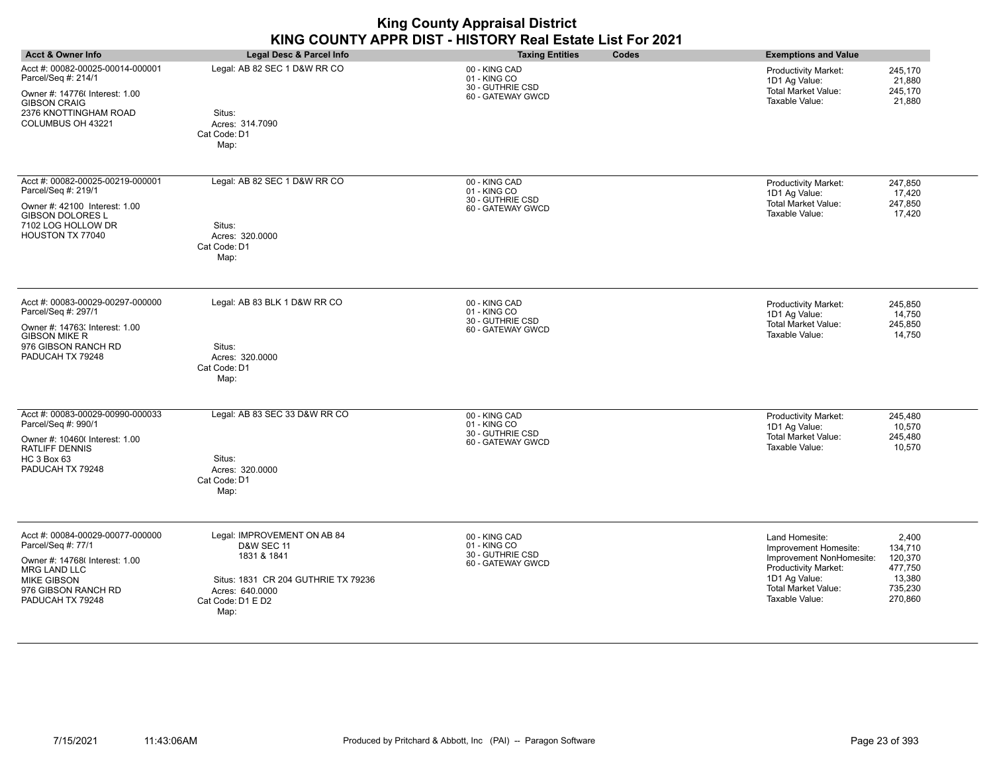| <b>King County Appraisal District</b><br>KING COUNTY APPR DIST - HISTORY Real Estate List For 2021                                                                              |                                                                                                                                                            |                                                                        |       |                                                                                                                                                              |                                                                        |
|---------------------------------------------------------------------------------------------------------------------------------------------------------------------------------|------------------------------------------------------------------------------------------------------------------------------------------------------------|------------------------------------------------------------------------|-------|--------------------------------------------------------------------------------------------------------------------------------------------------------------|------------------------------------------------------------------------|
| <b>Acct &amp; Owner Info</b>                                                                                                                                                    | <b>Legal Desc &amp; Parcel Info</b>                                                                                                                        | <b>Taxing Entities</b>                                                 | Codes | <b>Exemptions and Value</b>                                                                                                                                  |                                                                        |
| Acct #: 00082-00025-00014-000001<br>Parcel/Seq #: 214/1<br>Owner #: 14776( Interest: 1.00<br><b>GIBSON CRAIG</b><br>2376 KNOTTINGHAM ROAD<br>COLUMBUS OH 43221                  | Legal: AB 82 SEC 1 D&W RR CO<br>Situs:<br>Acres: 314.7090<br>Cat Code: D1<br>Map:                                                                          | 00 - KING CAD<br>01 - KING CO<br>30 - GUTHRIE CSD<br>60 - GATEWAY GWCD |       | Productivity Market:<br>1D1 Ag Value:<br><b>Total Market Value:</b><br>Taxable Value:                                                                        | 245,170<br>21.880<br>245,170<br>21,880                                 |
| Acct #: 00082-00025-00219-000001<br>Parcel/Seq #: 219/1<br>Owner #: 42100 Interest: 1.00<br><b>GIBSON DOLORES L</b><br>7102 LOG HOLLOW DR<br>HOUSTON TX 77040                   | Legal: AB 82 SEC 1 D&W RR CO<br>Situs:<br>Acres: 320,0000<br>Cat Code: D1<br>Map:                                                                          | 00 - KING CAD<br>01 - KING CO<br>30 - GUTHRIE CSD<br>60 - GATEWAY GWCD |       | Productivity Market:<br>1D1 Ag Value:<br><b>Total Market Value:</b><br>Taxable Value:                                                                        | 247,850<br>17.420<br>247,850<br>17,420                                 |
| Acct #: 00083-00029-00297-000000<br>Parcel/Seq #: 297/1<br>Owner #: 14763. Interest: 1.00<br><b>GIBSON MIKE R</b><br>976 GIBSON RANCH RD<br>PADUCAH TX 79248                    | Legal: AB 83 BLK 1 D&W RR CO<br>Situs:<br>Acres: 320.0000<br>Cat Code: D1<br>Map:                                                                          | 00 - KING CAD<br>01 - KING CO<br>30 - GUTHRIE CSD<br>60 - GATEWAY GWCD |       | <b>Productivity Market:</b><br>1D1 Ag Value:<br><b>Total Market Value:</b><br>Taxable Value:                                                                 | 245.850<br>14,750<br>245.850<br>14,750                                 |
| Acct #: 00083-00029-00990-000033<br>Parcel/Seq #: 990/1<br>Owner #: 10460( Interest: 1.00<br><b>RATLIFF DENNIS</b><br><b>HC 3 Box 63</b><br>PADUCAH TX 79248                    | Legal: AB 83 SEC 33 D&W RR CO<br>Situs:<br>Acres: 320.0000<br>Cat Code: D1<br>Map:                                                                         | 00 - KING CAD<br>01 - KING CO<br>30 - GUTHRIE CSD<br>60 - GATEWAY GWCD |       | Productivity Market:<br>1D1 Ag Value:<br><b>Total Market Value:</b><br>Taxable Value:                                                                        | 245,480<br>10,570<br>245,480<br>10,570                                 |
| Acct #: 00084-00029-00077-000000<br>Parcel/Seq #: 77/1<br>Owner #: 14768(Interest: 1.00<br><b>MRG LAND LLC</b><br><b>MIKE GIBSON</b><br>976 GIBSON RANCH RD<br>PADUCAH TX 79248 | Legal: IMPROVEMENT ON AB 84<br><b>D&amp;W SEC 11</b><br>1831 & 1841<br>Situs: 1831 CR 204 GUTHRIE TX 79236<br>Acres: 640,0000<br>Cat Code: D1 E D2<br>Map: | 00 - KING CAD<br>01 - KING CO<br>30 - GUTHRIE CSD<br>60 - GATEWAY GWCD |       | Land Homesite:<br>Improvement Homesite:<br>Improvement NonHomesite:<br>Productivity Market:<br>1D1 Ag Value:<br><b>Total Market Value:</b><br>Taxable Value: | 2,400<br>134.710<br>120,370<br>477,750<br>13,380<br>735,230<br>270.860 |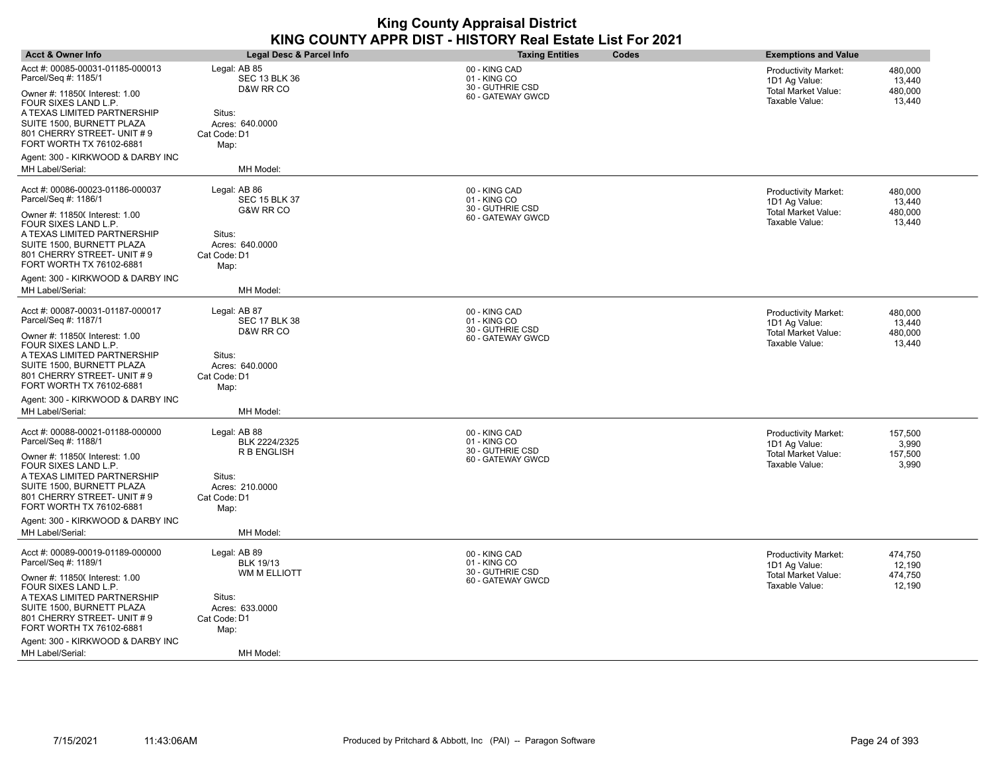| <b>Acct &amp; Owner Info</b>                                                               | Legal Desc & Parcel Info                          | <b>Taxing Entities</b>                            | Codes | <b>Exemptions and Value</b>                                         |                              |
|--------------------------------------------------------------------------------------------|---------------------------------------------------|---------------------------------------------------|-------|---------------------------------------------------------------------|------------------------------|
| Acct #: 00085-00031-01185-000013<br>Parcel/Seq #: 1185/1<br>Owner #: 11850( Interest: 1.00 | Legal: AB 85<br><b>SEC 13 BLK 36</b><br>D&W RR CO | 00 - KING CAD<br>01 - KING CO<br>30 - GUTHRIE CSD |       | <b>Productivity Market:</b><br>1D1 Ag Value:<br>Total Market Value: | 480,000<br>13,440<br>480,000 |
| FOUR SIXES LAND L.P.<br>A TEXAS LIMITED PARTNERSHIP                                        | Situs:                                            | 60 - GATEWAY GWCD                                 |       | Taxable Value:                                                      | 13,440                       |
| SUITE 1500, BURNETT PLAZA<br>801 CHERRY STREET- UNIT # 9<br>FORT WORTH TX 76102-6881       | Acres: 640.0000<br>Cat Code: D1<br>Map:           |                                                   |       |                                                                     |                              |
| Agent: 300 - KIRKWOOD & DARBY INC                                                          |                                                   |                                                   |       |                                                                     |                              |
| MH Label/Serial:                                                                           | MH Model:                                         |                                                   |       |                                                                     |                              |
| Acct #: 00086-00023-01186-000037<br>Parcel/Seq #: 1186/1                                   | Legal: AB 86<br><b>SEC 15 BLK 37</b>              | 00 - KING CAD<br>01 - KING CO                     |       | <b>Productivity Market:</b><br>1D1 Ag Value:                        | 480,000<br>13,440            |
| Owner #: 11850( Interest: 1.00<br>FOUR SIXES LAND L.P.                                     | G&W RR CO                                         | 30 - GUTHRIE CSD<br>60 - GATEWAY GWCD             |       | <b>Total Market Value:</b><br>Taxable Value:                        | 480,000<br>13,440            |
| A TEXAS LIMITED PARTNERSHIP                                                                | Situs:                                            |                                                   |       |                                                                     |                              |
| SUITE 1500, BURNETT PLAZA<br>801 CHERRY STREET- UNIT # 9<br>FORT WORTH TX 76102-6881       | Acres: 640.0000<br>Cat Code: D1<br>Map:           |                                                   |       |                                                                     |                              |
| Agent: 300 - KIRKWOOD & DARBY INC                                                          |                                                   |                                                   |       |                                                                     |                              |
| MH Label/Serial:                                                                           | MH Model:                                         |                                                   |       |                                                                     |                              |
| Acct #: 00087-00031-01187-000017<br>Parcel/Seq #: 1187/1                                   | Legal: AB 87<br><b>SEC 17 BLK 38</b>              | 00 - KING CAD<br>01 - KING CO                     |       | Productivity Market:<br>1D1 Ag Value:                               | 480,000<br>13,440            |
| Owner #: 11850( Interest: 1.00<br>FOUR SIXES LAND L.P.                                     | D&W RR CO                                         | 30 - GUTHRIE CSD<br>60 - GATEWAY GWCD             |       | Total Market Value:<br>Taxable Value:                               | 480,000<br>13,440            |
| A TEXAS LIMITED PARTNERSHIP<br>SUITE 1500, BURNETT PLAZA                                   | Situs:<br>Acres: 640.0000                         |                                                   |       |                                                                     |                              |
| 801 CHERRY STREET- UNIT # 9                                                                | Cat Code: D1                                      |                                                   |       |                                                                     |                              |
| FORT WORTH TX 76102-6881                                                                   | Map:                                              |                                                   |       |                                                                     |                              |
| Agent: 300 - KIRKWOOD & DARBY INC                                                          |                                                   |                                                   |       |                                                                     |                              |
| MH Label/Serial:                                                                           | MH Model:                                         |                                                   |       |                                                                     |                              |
| Acct #: 00088-00021-01188-000000<br>Parcel/Seq #: 1188/1                                   | Legal: AB 88<br>BLK 2224/2325                     | 00 - KING CAD<br>01 - KING CO                     |       | <b>Productivity Market:</b><br>1D1 Ag Value:                        | 157,500<br>3,990             |
| Owner #: 11850( Interest: 1.00<br>FOUR SIXES LAND L.P.                                     | R B ENGLISH                                       | 30 - GUTHRIE CSD<br>60 - GATEWAY GWCD             |       | Total Market Value:<br>Taxable Value:                               | 157,500<br>3,990             |
| A TEXAS LIMITED PARTNERSHIP                                                                | Situs:                                            |                                                   |       |                                                                     |                              |
| SUITE 1500, BURNETT PLAZA<br>801 CHERRY STREET- UNIT # 9                                   | Acres: 210,0000                                   |                                                   |       |                                                                     |                              |
| FORT WORTH TX 76102-6881                                                                   | Cat Code: D1<br>Map:                              |                                                   |       |                                                                     |                              |
| Agent: 300 - KIRKWOOD & DARBY INC                                                          |                                                   |                                                   |       |                                                                     |                              |
| MH Label/Serial:                                                                           | MH Model:                                         |                                                   |       |                                                                     |                              |
| Acct #: 00089-00019-01189-000000                                                           | Legal: AB 89                                      | 00 - KING CAD                                     |       | <b>Productivity Market:</b>                                         | 474,750                      |
| Parcel/Seq #: 1189/1                                                                       | <b>BLK 19/13</b>                                  | 01 - KING CO                                      |       | 1D1 Ag Value:                                                       | 12,190                       |
| Owner #: 11850( Interest: 1.00<br>FOUR SIXES LAND L.P.                                     | WM M ELLIOTT                                      | 30 - GUTHRIE CSD<br>60 - GATEWAY GWCD             |       | <b>Total Market Value:</b><br>Taxable Value:                        | 474,750<br>12,190            |
| A TEXAS LIMITED PARTNERSHIP                                                                | Situs:                                            |                                                   |       |                                                                     |                              |
| SUITE 1500, BURNETT PLAZA                                                                  | Acres: 633.0000                                   |                                                   |       |                                                                     |                              |
| 801 CHERRY STREET- UNIT # 9<br>FORT WORTH TX 76102-6881                                    | Cat Code: D1<br>Map:                              |                                                   |       |                                                                     |                              |
| Agent: 300 - KIRKWOOD & DARBY INC                                                          |                                                   |                                                   |       |                                                                     |                              |
| MH Label/Serial:                                                                           | MH Model:                                         |                                                   |       |                                                                     |                              |

 $\overline{\phantom{a}}$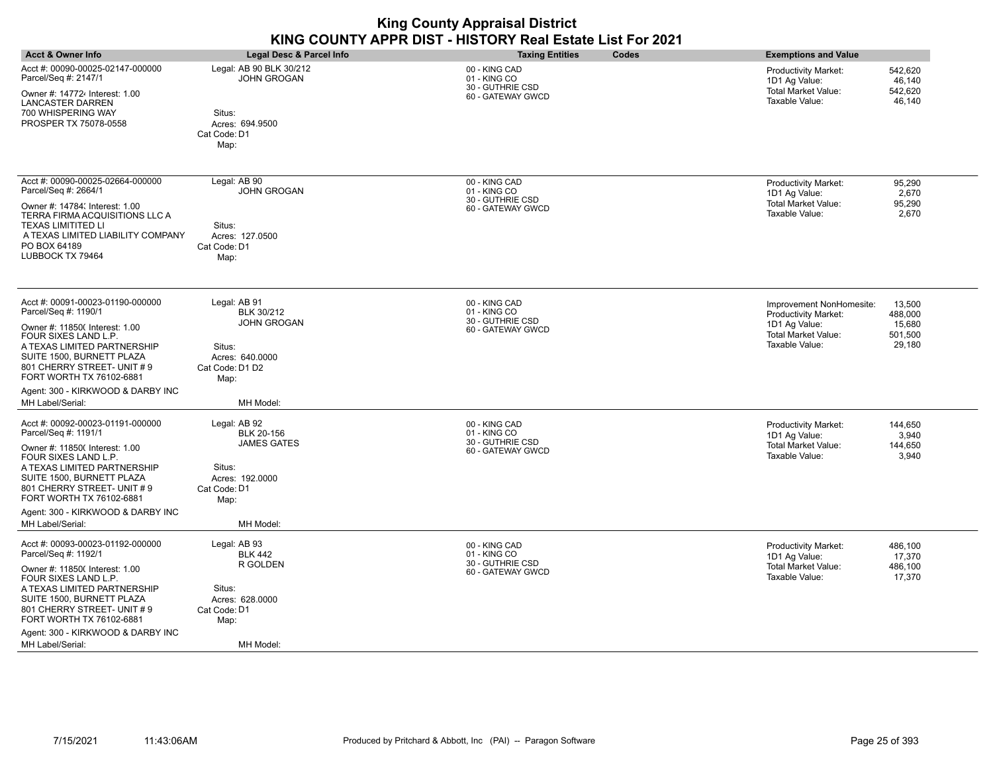| <b>Acct &amp; Owner Info</b>                                                                                                                                                                                                                                                                      | Legal Desc & Parcel Info                                                                                              | <b>Taxing Entities</b><br>Codes                                        | <b>Exemptions and Value</b>                                                                                                                                    |
|---------------------------------------------------------------------------------------------------------------------------------------------------------------------------------------------------------------------------------------------------------------------------------------------------|-----------------------------------------------------------------------------------------------------------------------|------------------------------------------------------------------------|----------------------------------------------------------------------------------------------------------------------------------------------------------------|
| Acct #: 00090-00025-02147-000000<br>Parcel/Seq #: 2147/1<br>Owner #: 147724 Interest: 1.00<br>LANCASTER DARREN<br>700 WHISPERING WAY<br>PROSPER TX 75078-0558                                                                                                                                     | Legal: AB 90 BLK 30/212<br><b>JOHN GROGAN</b><br>Situs:<br>Acres: 694.9500<br>Cat Code: D1<br>Map:                    | 00 - KING CAD<br>01 - KING CO<br>30 - GUTHRIE CSD<br>60 - GATEWAY GWCD | <b>Productivity Market:</b><br>542,620<br>46,140<br>1D1 Ag Value:<br>Total Market Value:<br>542,620<br>Taxable Value:<br>46,140                                |
| Acct #: 00090-00025-02664-000000<br>Parcel/Seq #: 2664/1<br>Owner #: 14784; Interest: 1.00<br>TERRA FIRMA ACQUISITIONS LLC A<br><b>TEXAS LIMITITED LI</b><br>A TEXAS LIMITED LIABILITY COMPANY<br>PO BOX 64189<br>LUBBOCK TX 79464                                                                | Legal: AB 90<br><b>JOHN GROGAN</b><br>Situs:<br>Acres: 127.0500<br>Cat Code: D1<br>Map:                               | 00 - KING CAD<br>01 - KING CO<br>30 - GUTHRIE CSD<br>60 - GATEWAY GWCD | 95,290<br>Productivity Market:<br>2,670<br>1D1 Ag Value:<br><b>Total Market Value:</b><br>95,290<br>Taxable Value:<br>2,670                                    |
| Acct #: 00091-00023-01190-000000<br>Parcel/Seq #: 1190/1<br>Owner #: 11850( Interest: 1.00<br>FOUR SIXES LAND L.P.<br>A TEXAS LIMITED PARTNERSHIP<br>SUITE 1500, BURNETT PLAZA<br>801 CHERRY STREET- UNIT #9<br>FORT WORTH TX 76102-6881<br>Agent: 300 - KIRKWOOD & DARBY INC<br>MH Label/Serial: | Legal: AB 91<br>BLK 30/212<br><b>JOHN GROGAN</b><br>Situs:<br>Acres: 640.0000<br>Cat Code: D1 D2<br>Map:<br>MH Model: | 00 - KING CAD<br>01 - KING CO<br>30 - GUTHRIE CSD<br>60 - GATEWAY GWCD | Improvement NonHomesite:<br>13,500<br>Productivity Market:<br>488,000<br>15,680<br>1D1 Ag Value:<br>Total Market Value:<br>501,500<br>Taxable Value:<br>29,180 |
| Acct #: 00092-00023-01191-000000<br>Parcel/Seq #: 1191/1<br>Owner #: 11850( Interest: 1.00<br>FOUR SIXES LAND L.P.<br>A TEXAS LIMITED PARTNERSHIP<br>SUITE 1500, BURNETT PLAZA<br>801 CHERRY STREET- UNIT #9<br>FORT WORTH TX 76102-6881<br>Agent: 300 - KIRKWOOD & DARBY INC<br>MH Label/Serial: | Legal: AB 92<br>BLK 20-156<br><b>JAMES GATES</b><br>Situs:<br>Acres: 192,0000<br>Cat Code: D1<br>Map:<br>MH Model:    | 00 - KING CAD<br>01 - KING CO<br>30 - GUTHRIE CSD<br>60 - GATEWAY GWCD | 144,650<br>Productivity Market:<br>3,940<br>1D1 Ag Value:<br><b>Total Market Value:</b><br>144,650<br>Taxable Value:<br>3,940                                  |
| Acct #: 00093-00023-01192-000000<br>Parcel/Seq #: 1192/1<br>Owner #: 11850( Interest: 1.00<br>FOUR SIXES LAND L.P.<br>A TEXAS LIMITED PARTNERSHIP<br>SUITE 1500, BURNETT PLAZA<br>801 CHERRY STREET- UNIT #9<br>FORT WORTH TX 76102-6881<br>Agent: 300 - KIRKWOOD & DARBY INC<br>MH Label/Serial: | Legal: AB 93<br><b>BLK 442</b><br>R GOLDEN<br>Situs:<br>Acres: 628,0000<br>Cat Code: D1<br>Map:<br>MH Model:          | 00 - KING CAD<br>01 - KING CO<br>30 - GUTHRIE CSD<br>60 - GATEWAY GWCD | 486,100<br>Productivity Market:<br>1D1 Ag Value:<br>17,370<br>Total Market Value:<br>486,100<br>Taxable Value:<br>17,370                                       |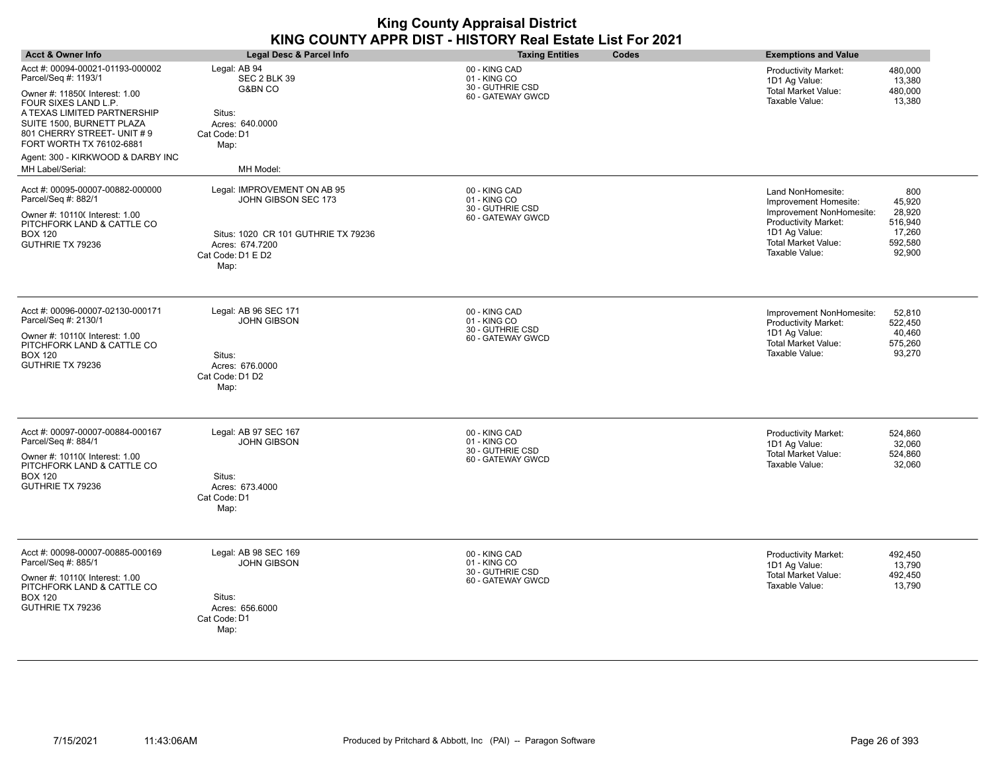|                                                                                                                                                                              |                                                                                     | <b>King County Appraisal District</b><br>KING COUNTY APPR DIST - HISTORY Real Estate List For 2021 |                                                                                                                                                                |
|------------------------------------------------------------------------------------------------------------------------------------------------------------------------------|-------------------------------------------------------------------------------------|----------------------------------------------------------------------------------------------------|----------------------------------------------------------------------------------------------------------------------------------------------------------------|
| <b>Acct &amp; Owner Info</b>                                                                                                                                                 | Legal Desc & Parcel Info                                                            | <b>Taxing Entities</b><br>Codes                                                                    | <b>Exemptions and Value</b>                                                                                                                                    |
| Acct #: 00094-00021-01193-000002<br>Parcel/Seq #: 1193/1                                                                                                                     | Legal: AB 94<br>SEC 2 BLK 39                                                        | 00 - KING CAD<br>01 - KING CO                                                                      | 480.000<br><b>Productivity Market:</b><br>13.380<br>1D1 Ag Value:                                                                                              |
| Owner #: 11850( Interest: 1.00<br>FOUR SIXES LAND L.P.<br>A TEXAS LIMITED PARTNERSHIP<br>SUITE 1500, BURNETT PLAZA<br>801 CHERRY STREET- UNIT #9<br>FORT WORTH TX 76102-6881 | G&BN CO<br>Situs:<br>Acres: 640.0000<br>Cat Code: D1<br>Map:                        | 30 - GUTHRIE CSD<br>60 - GATEWAY GWCD                                                              | <b>Total Market Value:</b><br>480,000<br>Taxable Value:<br>13,380                                                                                              |
| Agent: 300 - KIRKWOOD & DARBY INC                                                                                                                                            |                                                                                     |                                                                                                    |                                                                                                                                                                |
| MH Label/Serial:                                                                                                                                                             | MH Model:                                                                           |                                                                                                    |                                                                                                                                                                |
| Acct #: 00095-00007-00882-000000<br>Parcel/Seq #: 882/1                                                                                                                      | Legal: IMPROVEMENT ON AB 95<br>JOHN GIBSON SEC 173                                  | 00 - KING CAD<br>01 - KING CO<br>30 - GUTHRIE CSD                                                  | 800<br>Land NonHomesite:<br>45,920<br>Improvement Homesite:                                                                                                    |
| Owner #: 10110( Interest: 1.00<br>PITCHFORK LAND & CATTLE CO<br><b>BOX 120</b><br>GUTHRIE TX 79236                                                                           | Situs: 1020 CR 101 GUTHRIE TX 79236<br>Acres: 674.7200<br>Cat Code: D1 E D2<br>Map: | 60 - GATEWAY GWCD                                                                                  | Improvement NonHomesite:<br>28.920<br>Productivity Market:<br>516,940<br>1D1 Ag Value:<br>17,260<br>Total Market Value:<br>592,580<br>Taxable Value:<br>92,900 |
| Acct #: 00096-00007-02130-000171<br>Parcel/Seq #: 2130/1                                                                                                                     | Legal: AB 96 SEC 171<br><b>JOHN GIBSON</b>                                          | 00 - KING CAD<br>01 - KING CO<br>30 - GUTHRIE CSD                                                  | Improvement NonHomesite:<br>52,810<br>Productivity Market:<br>522,450                                                                                          |
| Owner #: 10110( Interest: 1.00<br>PITCHFORK LAND & CATTLE CO<br><b>BOX 120</b><br>GUTHRIE TX 79236                                                                           | Situs:<br>Acres: 676.0000<br>Cat Code: D1 D2<br>Map:                                | 60 - GATEWAY GWCD                                                                                  | 1D1 Ag Value:<br>40,460<br><b>Total Market Value:</b><br>575,260<br>Taxable Value:<br>93,270                                                                   |
| Acct #: 00097-00007-00884-000167                                                                                                                                             | Legal: AB 97 SEC 167                                                                | 00 - KING CAD                                                                                      | 524,860<br>Productivity Market:                                                                                                                                |
| Parcel/Seq #: 884/1<br>Owner #: 10110( Interest: 1.00<br>PITCHFORK LAND & CATTLE CO                                                                                          | <b>JOHN GIBSON</b>                                                                  | 01 - KING CO<br>30 - GUTHRIE CSD<br>60 - GATEWAY GWCD                                              | 1D1 Ag Value:<br>32,060<br><b>Total Market Value:</b><br>524,860<br>Taxable Value:<br>32,060                                                                   |
| <b>BOX 120</b><br>GUTHRIE TX 79236                                                                                                                                           | Situs:<br>Acres: 673.4000<br>Cat Code: D1<br>Map:                                   |                                                                                                    |                                                                                                                                                                |
| Acct #: 00098-00007-00885-000169<br>Parcel/Seq #: 885/1                                                                                                                      | Legal: AB 98 SEC 169<br><b>JOHN GIBSON</b>                                          | 00 - KING CAD<br>01 - KING CO                                                                      | Productivity Market:<br>492,450<br>13,790<br>1D1 Ag Value:                                                                                                     |
| Owner #: 10110( Interest: 1.00<br>PITCHFORK LAND & CATTLE CO<br><b>BOX 120</b><br>GUTHRIE TX 79236                                                                           | Situs:<br>Acres: 656.6000                                                           | 30 - GUTHRIE CSD<br>60 - GATEWAY GWCD                                                              | <b>Total Market Value:</b><br>492,450<br>Taxable Value:<br>13,790                                                                                              |
|                                                                                                                                                                              | Cat Code: D1<br>Map:                                                                |                                                                                                    |                                                                                                                                                                |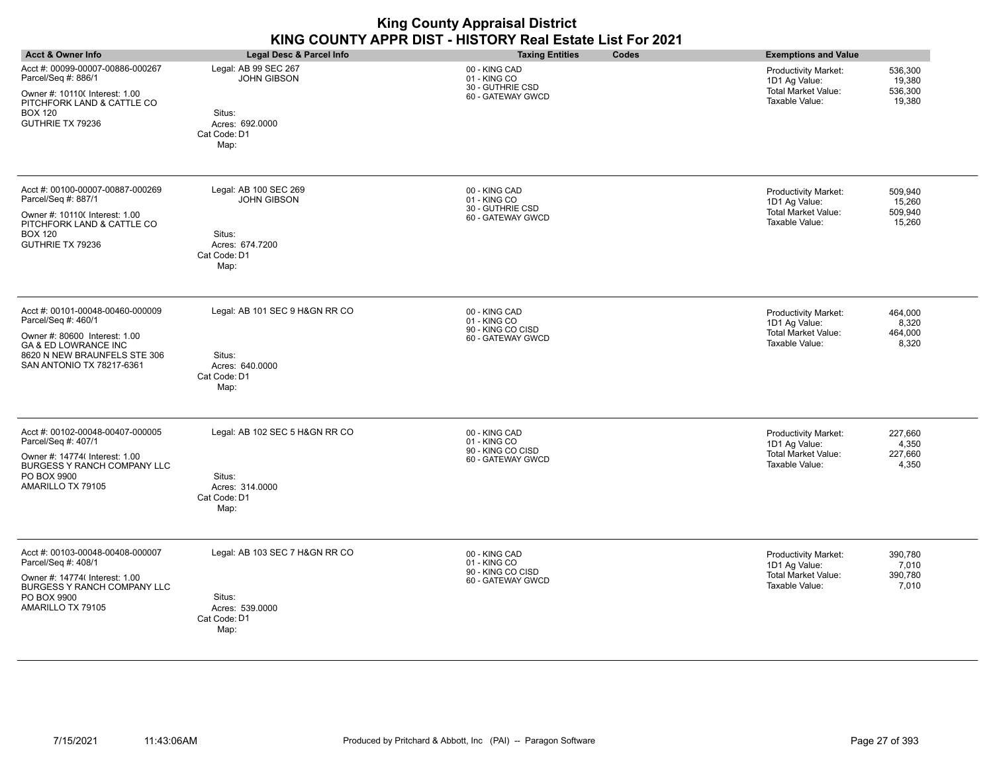|                                                                                                                                                                                          |                                                                                                  | <b>King County Appraisal District</b><br>KING COUNTY APPR DIST - HISTORY Real Estate List For 2021 |                                                                                                                                        |
|------------------------------------------------------------------------------------------------------------------------------------------------------------------------------------------|--------------------------------------------------------------------------------------------------|----------------------------------------------------------------------------------------------------|----------------------------------------------------------------------------------------------------------------------------------------|
| <b>Acct &amp; Owner Info</b>                                                                                                                                                             | Legal Desc & Parcel Info                                                                         | Codes<br><b>Taxing Entities</b>                                                                    | <b>Exemptions and Value</b>                                                                                                            |
| Acct #: 00099-00007-00886-000267<br>Parcel/Seq #: 886/1<br>Owner #: 10110( Interest: 1.00<br>PITCHFORK LAND & CATTLE CO<br><b>BOX 120</b><br>GUTHRIE TX 79236                            | Legal: AB 99 SEC 267<br><b>JOHN GIBSON</b><br>Situs:<br>Acres: 692.0000<br>Cat Code: D1<br>Map:  | 00 - KING CAD<br>01 - KING CO<br>30 - GUTHRIE CSD<br>60 - GATEWAY GWCD                             | 536.300<br><b>Productivity Market:</b><br>19.380<br>1D1 Ag Value:<br><b>Total Market Value:</b><br>536,300<br>Taxable Value:<br>19,380 |
| Acct #: 00100-00007-00887-000269<br>Parcel/Seq #: 887/1<br>Owner #: 10110( Interest: 1.00<br>PITCHFORK LAND & CATTLE CO<br><b>BOX 120</b><br>GUTHRIE TX 79236                            | Legal: AB 100 SEC 269<br><b>JOHN GIBSON</b><br>Situs:<br>Acres: 674.7200<br>Cat Code: D1<br>Map: | 00 - KING CAD<br>01 - KING CO<br>30 - GUTHRIE CSD<br>60 - GATEWAY GWCD                             | <b>Productivity Market:</b><br>509.940<br>1D1 Ag Value:<br>15,260<br><b>Total Market Value:</b><br>509.940<br>Taxable Value:<br>15,260 |
| Acct #: 00101-00048-00460-000009<br>Parcel/Seq #: 460/1<br>Owner #: 80600 Interest: 1.00<br><b>GA &amp; ED LOWRANCE INC</b><br>8620 N NEW BRAUNFELS STE 306<br>SAN ANTONIO TX 78217-6361 | Legal: AB 101 SEC 9 H&GN RR CO<br>Situs:<br>Acres: 640.0000<br>Cat Code: D1<br>Map:              | 00 - KING CAD<br>01 - KING CO<br>90 - KING CO CISD<br>60 - GATEWAY GWCD                            | 464,000<br>Productivity Market:<br>1D1 Ag Value:<br>8,320<br><b>Total Market Value:</b><br>464,000<br>Taxable Value:<br>8,320          |
| Acct #: 00102-00048-00407-000005<br>Parcel/Seq #: 407/1<br>Owner #: 14774( Interest: 1.00<br>BURGESS Y RANCH COMPANY LLC<br>PO BOX 9900<br>AMARILLO TX 79105                             | Legal: AB 102 SEC 5 H&GN RR CO<br>Situs:<br>Acres: 314,0000<br>Cat Code: D1<br>Map:              | 00 - KING CAD<br>01 - KING CO<br>90 - KING CO CISD<br>60 - GATEWAY GWCD                            | 227,660<br>Productivity Market:<br>1D1 Ag Value:<br>4,350<br><b>Total Market Value:</b><br>227,660<br>Taxable Value:<br>4,350          |
| Acct #: 00103-00048-00408-000007<br>Parcel/Seq #: 408/1<br>Owner #: 14774( Interest: 1.00<br>BURGESS Y RANCH COMPANY LLC<br>PO BOX 9900<br>AMARILLO TX 79105                             | Legal: AB 103 SEC 7 H&GN RR CO<br>Situs:<br>Acres: 539.0000<br>Cat Code: D1<br>Map:              | 00 - KING CAD<br>01 - KING CO<br>90 - KING CO CISD<br>60 - GATEWAY GWCD                            | 390,780<br><b>Productivity Market:</b><br>1D1 Ag Value:<br>7,010<br><b>Total Market Value:</b><br>390,780<br>Taxable Value:<br>7,010   |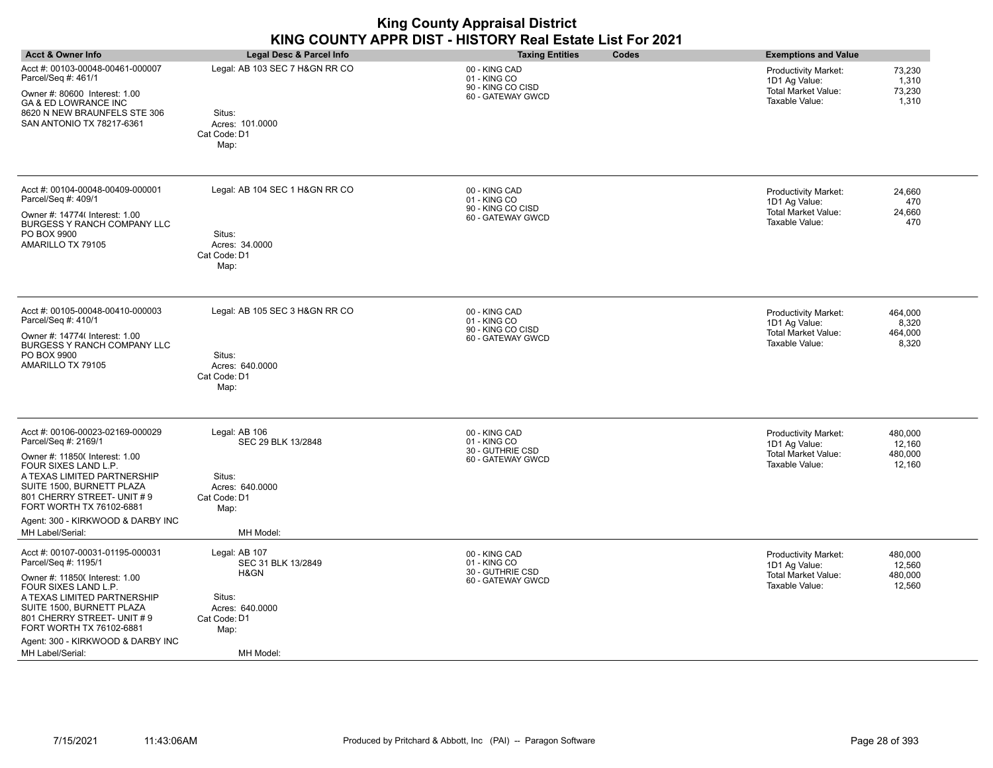| <b>Acct &amp; Owner Info</b>                                                                                                                                                                                                                                                                      | <b>Legal Desc &amp; Parcel Info</b>                                                                           | <b>Taxing Entities</b>                                                  | Codes | <b>Exemptions and Value</b>                                                                  |                                        |
|---------------------------------------------------------------------------------------------------------------------------------------------------------------------------------------------------------------------------------------------------------------------------------------------------|---------------------------------------------------------------------------------------------------------------|-------------------------------------------------------------------------|-------|----------------------------------------------------------------------------------------------|----------------------------------------|
| Acct #: 00103-00048-00461-000007<br>Parcel/Seq #: 461/1<br>Owner #: 80600 Interest: 1.00<br>GA & ED LOWRANCE INC<br>8620 N NEW BRAUNFELS STE 306<br>SAN ANTONIO TX 78217-6361                                                                                                                     | Legal: AB 103 SEC 7 H&GN RR CO<br>Situs:<br>Acres: 101.0000<br>Cat Code: D1<br>Map:                           | 00 - KING CAD<br>01 - KING CO<br>90 - KING CO CISD<br>60 - GATEWAY GWCD |       | <b>Productivity Market:</b><br>1D1 Ag Value:<br>Total Market Value:<br>Taxable Value:        | 73,230<br>1,310<br>73,230<br>1,310     |
| Acct #: 00104-00048-00409-000001<br>Parcel/Seq #: 409/1<br>Owner #: 14774( Interest: 1.00<br>BURGESS Y RANCH COMPANY LLC<br>PO BOX 9900<br>AMARILLO TX 79105                                                                                                                                      | Legal: AB 104 SEC 1 H&GN RR CO<br>Situs:<br>Acres: 34,0000<br>Cat Code: D1<br>Map:                            | 00 - KING CAD<br>01 - KING CO<br>90 - KING CO CISD<br>60 - GATEWAY GWCD |       | <b>Productivity Market:</b><br>1D1 Ag Value:<br><b>Total Market Value:</b><br>Taxable Value: | 24,660<br>470<br>24,660<br>470         |
| Acct #: 00105-00048-00410-000003<br>Parcel/Seq #: 410/1<br>Owner #: 14774( Interest: 1.00<br>BURGESS Y RANCH COMPANY LLC<br>PO BOX 9900<br>AMARILLO TX 79105                                                                                                                                      | Legal: AB 105 SEC 3 H&GN RR CO<br>Situs:<br>Acres: 640.0000<br>Cat Code: D1<br>Map:                           | 00 - KING CAD<br>01 - KING CO<br>90 - KING CO CISD<br>60 - GATEWAY GWCD |       | Productivity Market:<br>1D1 Ag Value:<br><b>Total Market Value:</b><br>Taxable Value:        | 464,000<br>8,320<br>464,000<br>8,320   |
| Acct #: 00106-00023-02169-000029<br>Parcel/Seq #: 2169/1<br>Owner #: 11850( Interest: 1.00<br>FOUR SIXES LAND L.P.<br>A TEXAS LIMITED PARTNERSHIP<br>SUITE 1500, BURNETT PLAZA<br>801 CHERRY STREET- UNIT #9<br>FORT WORTH TX 76102-6881<br>Agent: 300 - KIRKWOOD & DARBY INC<br>MH Label/Serial: | Legal: AB 106<br>SEC 29 BLK 13/2848<br>Situs:<br>Acres: 640,0000<br>Cat Code: D1<br>Map:<br>MH Model:         | 00 - KING CAD<br>01 - KING CO<br>30 - GUTHRIE CSD<br>60 - GATEWAY GWCD  |       | <b>Productivity Market:</b><br>1D1 Ag Value:<br>Total Market Value:<br>Taxable Value:        | 480,000<br>12,160<br>480,000<br>12,160 |
| Acct #: 00107-00031-01195-000031<br>Parcel/Seq #: 1195/1<br>Owner #: 11850( Interest: 1.00<br>FOUR SIXES LAND L.P.<br>A TEXAS LIMITED PARTNERSHIP<br>SUITE 1500, BURNETT PLAZA<br>801 CHERRY STREET- UNIT #9<br>FORT WORTH TX 76102-6881<br>Agent: 300 - KIRKWOOD & DARBY INC<br>MH Label/Serial: | Legal: AB 107<br>SEC 31 BLK 13/2849<br>H&GN<br>Situs:<br>Acres: 640.0000<br>Cat Code: D1<br>Map:<br>MH Model: | 00 - KING CAD<br>01 - KING CO<br>30 - GUTHRIE CSD<br>60 - GATEWAY GWCD  |       | <b>Productivity Market:</b><br>1D1 Ag Value:<br>Total Market Value:<br>Taxable Value:        | 480,000<br>12,560<br>480,000<br>12,560 |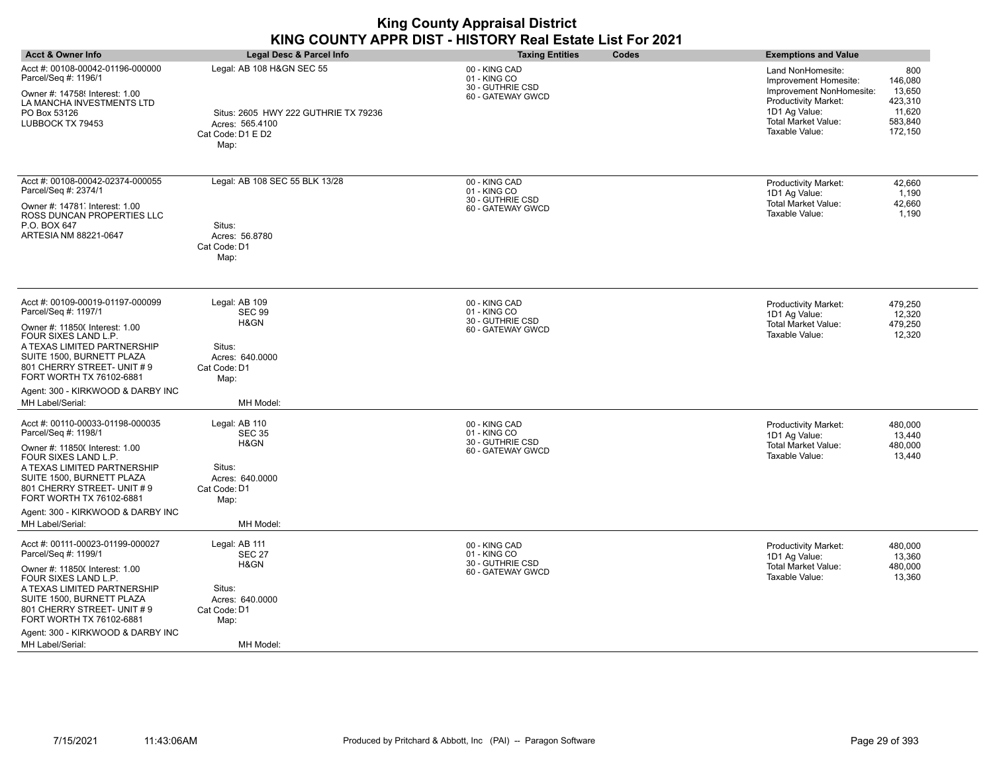| <b>Acct &amp; Owner Info</b>                                                                                                                                                                                                                                                                      | <b>Legal Desc &amp; Parcel Info</b>                                                                               | <b>Taxing Entities</b>                                                 | Codes | <b>Exemptions and Value</b>                                                                                                                                     |                                                                     |
|---------------------------------------------------------------------------------------------------------------------------------------------------------------------------------------------------------------------------------------------------------------------------------------------------|-------------------------------------------------------------------------------------------------------------------|------------------------------------------------------------------------|-------|-----------------------------------------------------------------------------------------------------------------------------------------------------------------|---------------------------------------------------------------------|
| Acct #: 00108-00042-01196-000000<br>Parcel/Seq #: 1196/1<br>Owner #: 14758! Interest: 1.00<br>LA MANCHA INVESTMENTS LTD<br>PO Box 53126<br>LUBBOCK TX 79453                                                                                                                                       | Legal: AB 108 H&GN SEC 55<br>Situs: 2605 HWY 222 GUTHRIE TX 79236<br>Acres: 565.4100<br>Cat Code: D1 E D2<br>Map: | 00 - KING CAD<br>01 - KING CO<br>30 - GUTHRIE CSD<br>60 - GATEWAY GWCD |       | Land NonHomesite:<br>Improvement Homesite:<br>Improvement NonHomesite:<br><b>Productivity Market:</b><br>1D1 Ag Value:<br>Total Market Value:<br>Taxable Value: | 800<br>146,080<br>13,650<br>423,310<br>11,620<br>583,840<br>172,150 |
| Acct #: 00108-00042-02374-000055<br>Parcel/Seq #: 2374/1<br>Owner #: 14781 Interest: 1.00<br>ROSS DUNCAN PROPERTIES LLC<br>P.O. BOX 647<br>ARTESIA NM 88221-0647                                                                                                                                  | Legal: AB 108 SEC 55 BLK 13/28<br>Situs:<br>Acres: 56.8780<br>Cat Code: D1<br>Map:                                | 00 - KING CAD<br>01 - KING CO<br>30 - GUTHRIE CSD<br>60 - GATEWAY GWCD |       | <b>Productivity Market:</b><br>1D1 Ag Value:<br>Total Market Value:<br>Taxable Value:                                                                           | 42,660<br>1,190<br>42,660<br>1,190                                  |
| Acct #: 00109-00019-01197-000099<br>Parcel/Seq #: 1197/1<br>Owner #: 11850( Interest: 1.00<br>FOUR SIXES LAND L.P.<br>A TEXAS LIMITED PARTNERSHIP<br>SUITE 1500, BURNETT PLAZA<br>801 CHERRY STREET- UNIT #9<br>FORT WORTH TX 76102-6881<br>Agent: 300 - KIRKWOOD & DARBY INC<br>MH Label/Serial: | Legal: AB 109<br><b>SEC 99</b><br>H&GN<br>Situs:<br>Acres: 640.0000<br>Cat Code: D1<br>Map:<br>MH Model:          | 00 - KING CAD<br>01 - KING CO<br>30 - GUTHRIE CSD<br>60 - GATEWAY GWCD |       | <b>Productivity Market:</b><br>1D1 Ag Value:<br>Total Market Value:<br>Taxable Value:                                                                           | 479,250<br>12,320<br>479,250<br>12,320                              |
| Acct #: 00110-00033-01198-000035<br>Parcel/Seq #: 1198/1<br>Owner #: 11850( Interest: 1.00<br>FOUR SIXES LAND L.P.<br>A TEXAS LIMITED PARTNERSHIP<br>SUITE 1500, BURNETT PLAZA<br>801 CHERRY STREET- UNIT #9<br>FORT WORTH TX 76102-6881<br>Agent: 300 - KIRKWOOD & DARBY INC<br>MH Label/Serial: | Legal: AB 110<br><b>SEC 35</b><br>H&GN<br>Situs:<br>Acres: 640,0000<br>Cat Code: D1<br>Map:<br>MH Model:          | 00 - KING CAD<br>01 - KING CO<br>30 - GUTHRIE CSD<br>60 - GATEWAY GWCD |       | Productivity Market:<br>1D1 Ag Value:<br><b>Total Market Value:</b><br>Taxable Value:                                                                           | 480,000<br>13,440<br>480,000<br>13,440                              |
| Acct #: 00111-00023-01199-000027<br>Parcel/Seq #: 1199/1<br>Owner #: 11850( Interest: 1.00<br>FOUR SIXES LAND L.P.<br>A TEXAS LIMITED PARTNERSHIP<br>SUITE 1500, BURNETT PLAZA<br>801 CHERRY STREET- UNIT #9<br>FORT WORTH TX 76102-6881<br>Agent: 300 - KIRKWOOD & DARBY INC<br>MH Label/Serial: | Legal: AB 111<br><b>SEC 27</b><br>H&GN<br>Situs:<br>Acres: 640.0000<br>Cat Code: D1<br>Map:<br>MH Model:          | 00 - KING CAD<br>01 - KING CO<br>30 - GUTHRIE CSD<br>60 - GATEWAY GWCD |       | Productivity Market:<br>1D1 Ag Value:<br><b>Total Market Value:</b><br>Taxable Value:                                                                           | 480,000<br>13,360<br>480,000<br>13,360                              |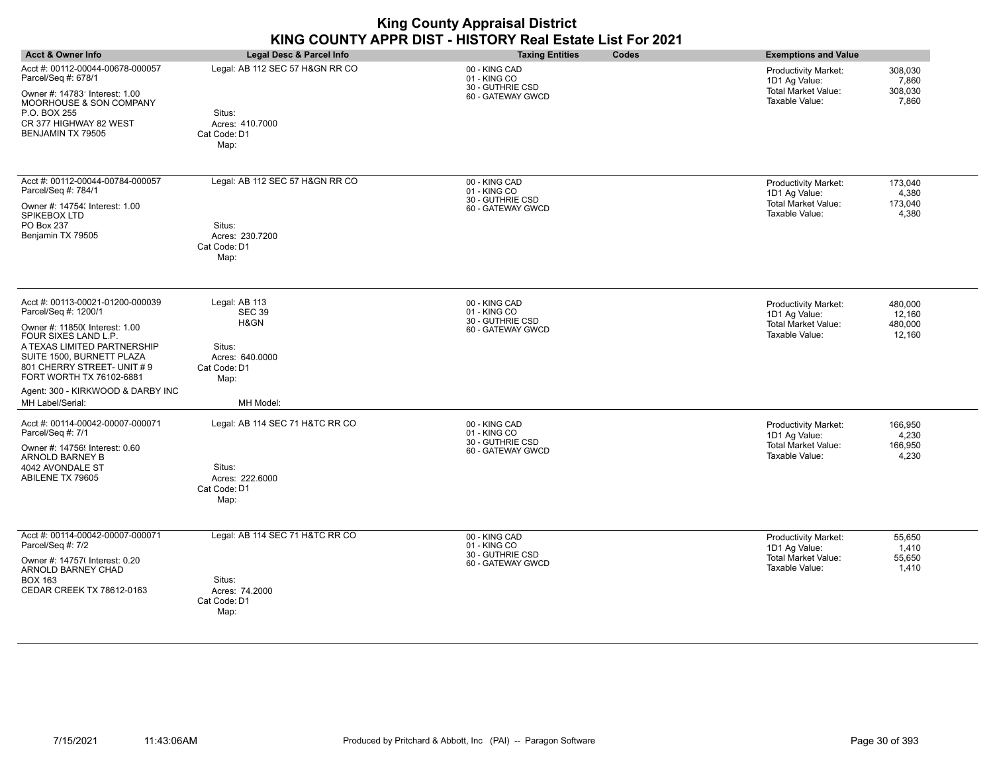| <b>Acct &amp; Owner Info</b>                                                                                                                                                                                                                                                                      | <b>Legal Desc &amp; Parcel Info</b>                                                                      | <b>Taxing Entities</b><br>Codes                                        | <b>Exemptions and Value</b>                                                                                                     |
|---------------------------------------------------------------------------------------------------------------------------------------------------------------------------------------------------------------------------------------------------------------------------------------------------|----------------------------------------------------------------------------------------------------------|------------------------------------------------------------------------|---------------------------------------------------------------------------------------------------------------------------------|
| Acct #: 00112-00044-00678-000057<br>Parcel/Seq #: 678/1<br>Owner #: 14783' Interest: 1.00<br>MOORHOUSE & SON COMPANY<br>P.O. BOX 255<br>CR 377 HIGHWAY 82 WEST<br>BENJAMIN TX 79505                                                                                                               | Legal: AB 112 SEC 57 H&GN RR CO<br>Situs:<br>Acres: 410.7000<br>Cat Code: D1<br>Map:                     | 00 - KING CAD<br>01 - KING CO<br>30 - GUTHRIE CSD<br>60 - GATEWAY GWCD | Productivity Market:<br>308,030<br>1D1 Ag Value:<br>7,860<br>Total Market Value:<br>308,030<br>Taxable Value:<br>7,860          |
| Acct #: 00112-00044-00784-000057<br>Parcel/Seq #: 784/1<br>Owner #: 14754; Interest: 1.00<br>SPIKEBOX LTD<br>PO Box 237<br>Benjamin TX 79505                                                                                                                                                      | Legal: AB 112 SEC 57 H&GN RR CO<br>Situs:<br>Acres: 230.7200<br>Cat Code: D1<br>Map:                     | 00 - KING CAD<br>01 - KING CO<br>30 - GUTHRIE CSD<br>60 - GATEWAY GWCD | <b>Productivity Market:</b><br>173,040<br>1D1 Ag Value:<br>4,380<br>Total Market Value:<br>173,040<br>Taxable Value:<br>4,380   |
| Acct #: 00113-00021-01200-000039<br>Parcel/Seq #: 1200/1<br>Owner #: 11850( Interest: 1.00<br>FOUR SIXES LAND L.P.<br>A TEXAS LIMITED PARTNERSHIP<br>SUITE 1500, BURNETT PLAZA<br>801 CHERRY STREET- UNIT #9<br>FORT WORTH TX 76102-6881<br>Agent: 300 - KIRKWOOD & DARBY INC<br>MH Label/Serial: | Legal: AB 113<br><b>SEC 39</b><br>H&GN<br>Situs:<br>Acres: 640.0000<br>Cat Code: D1<br>Map:<br>MH Model: | 00 - KING CAD<br>01 - KING CO<br>30 - GUTHRIE CSD<br>60 - GATEWAY GWCD | 480,000<br>Productivity Market:<br>12,160<br>1D1 Ag Value:<br><b>Total Market Value:</b><br>480,000<br>Taxable Value:<br>12,160 |
| Acct #: 00114-00042-00007-000071<br>Parcel/Seq #: 7/1<br>Owner #: 14756! Interest: 0.60<br>ARNOLD BARNEY B<br>4042 AVONDALE ST<br>ABILENE TX 79605                                                                                                                                                | Legal: AB 114 SEC 71 H&TC RR CO<br>Situs:<br>Acres: 222.6000<br>Cat Code: D1<br>Map:                     | 00 - KING CAD<br>01 - KING CO<br>30 - GUTHRIE CSD<br>60 - GATEWAY GWCD | Productivity Market:<br>166,950<br>1D1 Ag Value:<br>4,230<br><b>Total Market Value:</b><br>166,950<br>Taxable Value:<br>4,230   |
| Acct #: 00114-00042-00007-000071<br>Parcel/Seq #: 7/2<br>Owner #: 14757( Interest: 0.20<br>ARNOLD BARNEY CHAD<br><b>BOX 163</b><br>CEDAR CREEK TX 78612-0163                                                                                                                                      | Legal: AB 114 SEC 71 H&TC RR CO<br>Situs:<br>Acres: 74.2000<br>Cat Code: D1<br>Map:                      | 00 - KING CAD<br>01 - KING CO<br>30 - GUTHRIE CSD<br>60 - GATEWAY GWCD | Productivity Market:<br>55,650<br>1D1 Ag Value:<br>1,410<br>Total Market Value:<br>55,650<br>Taxable Value:<br>1,410            |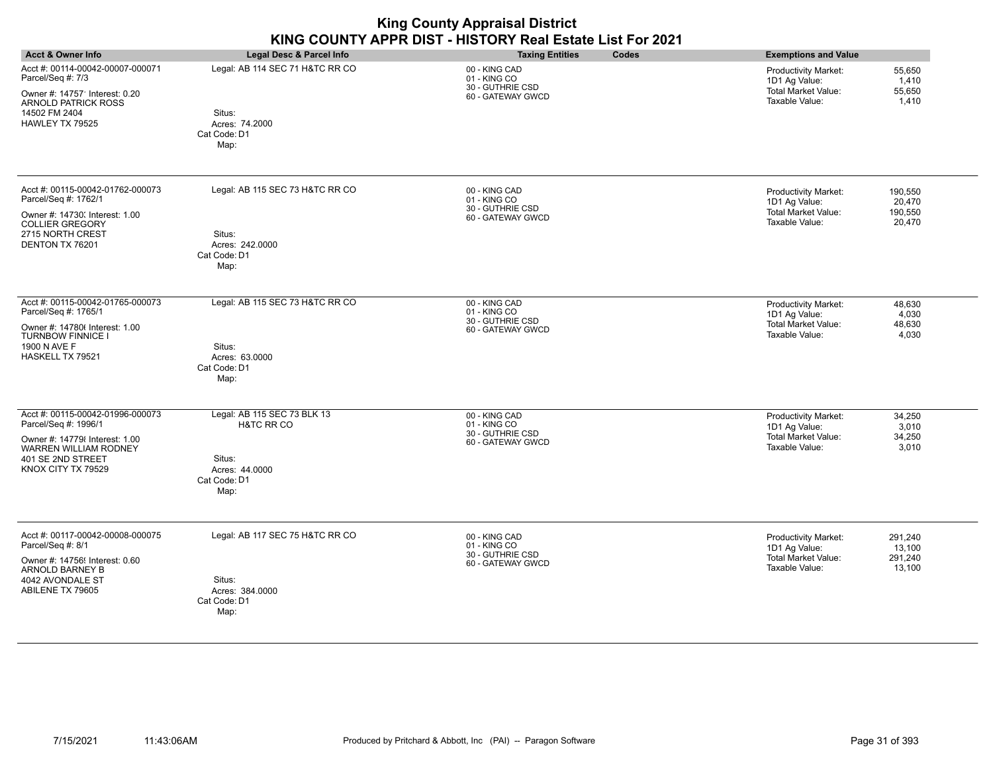|                                                                                                                                                                |                                                                                               | ่⊨งเนเง                                                                |                                                                                                                                    |
|----------------------------------------------------------------------------------------------------------------------------------------------------------------|-----------------------------------------------------------------------------------------------|------------------------------------------------------------------------|------------------------------------------------------------------------------------------------------------------------------------|
| <b>Acct &amp; Owner Info</b>                                                                                                                                   | Legal Desc & Parcel Info                                                                      | <b>Taxing Entities</b><br>Codes                                        | <b>Exemptions and Value</b>                                                                                                        |
| Acct #: 00114-00042-00007-000071<br>Parcel/Seq #: 7/3<br>Owner #: 14757 Interest: 0.20<br><b>ARNOLD PATRICK ROSS</b><br>14502 FM 2404<br>HAWLEY TX 79525       | Legal: AB 114 SEC 71 H&TC RR CO<br>Situs:<br>Acres: 74.2000<br>Cat Code: D1<br>Map:           | 00 - KING CAD<br>01 - KING CO<br>30 - GUTHRIE CSD<br>60 - GATEWAY GWCD | 55,650<br><b>Productivity Market:</b><br>1D1 Ag Value:<br>1,410<br><b>Total Market Value:</b><br>55,650<br>Taxable Value:<br>1,410 |
| Acct #: 00115-00042-01762-000073<br>Parcel/Seq #: 1762/1<br>Owner #: 14730; Interest: 1.00<br><b>COLLIER GREGORY</b><br>2715 NORTH CREST<br>DENTON TX 76201    | Legal: AB 115 SEC 73 H&TC RR CO<br>Situs:<br>Acres: 242.0000<br>Cat Code: D1<br>Map:          | 00 - KING CAD<br>01 - KING CO<br>30 - GUTHRIE CSD<br>60 - GATEWAY GWCD | Productivity Market:<br>190,550<br>1D1 Ag Value:<br>20,470<br><b>Total Market Value:</b><br>190,550<br>Taxable Value:<br>20,470    |
| Acct #: 00115-00042-01765-000073<br>Parcel/Seq #: 1765/1<br>Owner #: 14780( Interest: 1.00<br><b>TURNBOW FINNICE I</b><br>1900 N AVE F<br>HASKELL TX 79521     | Legal: AB 115 SEC 73 H&TC RR CO<br>Situs:<br>Acres: 63.0000<br>Cat Code: D1<br>Map:           | 00 - KING CAD<br>01 - KING CO<br>30 - GUTHRIE CSD<br>60 - GATEWAY GWCD | <b>Productivity Market:</b><br>48,630<br>1D1 Ag Value:<br>4,030<br><b>Total Market Value:</b><br>48,630<br>Taxable Value:<br>4,030 |
| Acct #: 00115-00042-01996-000073<br>Parcel/Seq #: 1996/1<br>Owner #: 147798 Interest: 1.00<br>WARREN WILLIAM RODNEY<br>401 SE 2ND STREET<br>KNOX CITY TX 79529 | Legal: AB 115 SEC 73 BLK 13<br>H&TC RR CO<br>Situs:<br>Acres: 44.0000<br>Cat Code: D1<br>Map: | 00 - KING CAD<br>01 - KING CO<br>30 - GUTHRIE CSD<br>60 - GATEWAY GWCD | <b>Productivity Market:</b><br>34,250<br>1D1 Ag Value:<br>3,010<br><b>Total Market Value:</b><br>34,250<br>Taxable Value:<br>3,010 |
| Acct #: 00117-00042-00008-000075<br>Parcel/Seq #: 8/1<br>Owner #: 14756! Interest: 0.60<br>ARNOLD BARNEY B<br>4042 AVONDALE ST<br>ABILENE TX 79605             | Legal: AB 117 SEC 75 H&TC RR CO<br>Situs:<br>Acres: 384.0000<br>Cat Code: D1<br>Map:          | 00 - KING CAD<br>01 - KING CO<br>30 - GUTHRIE CSD<br>60 - GATEWAY GWCD | Productivity Market:<br>291,240<br>1D1 Ag Value:<br>13,100<br>Total Market Value:<br>291,240<br>Taxable Value:<br>13,100           |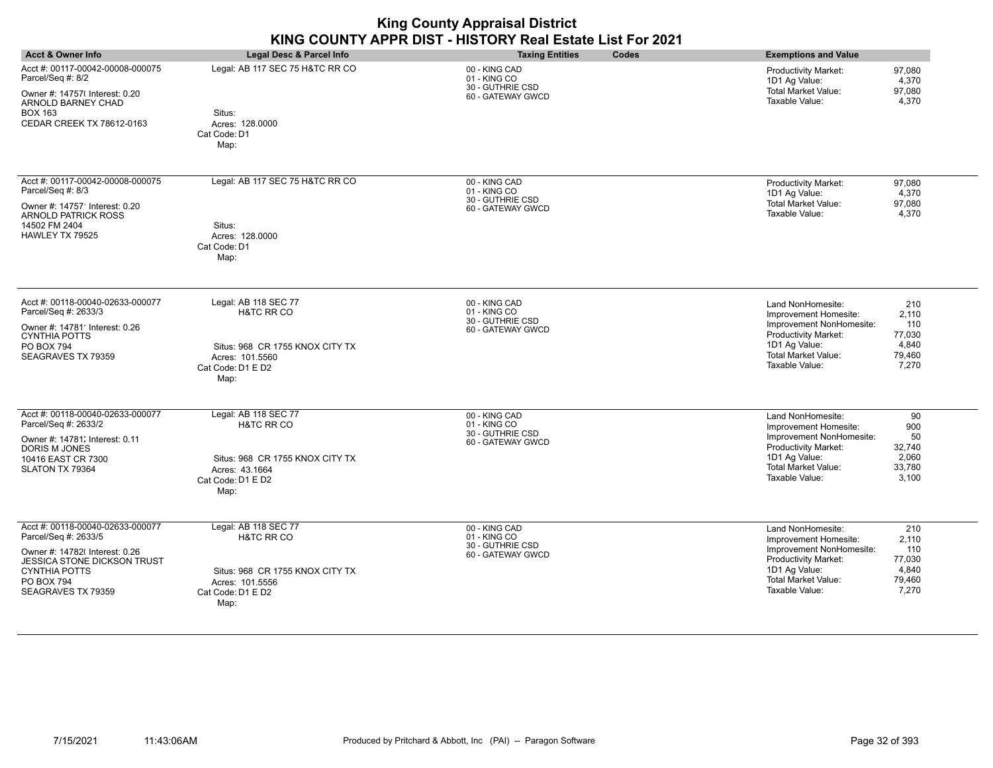| <b>Acct &amp; Owner Info</b>                                                                                                                                                                 | Legal Desc & Parcel Info                                                                                                         | <b>Taxing Entities</b><br>Codes                                        | <b>Exemptions and Value</b>                                                                                                                                                                                              |
|----------------------------------------------------------------------------------------------------------------------------------------------------------------------------------------------|----------------------------------------------------------------------------------------------------------------------------------|------------------------------------------------------------------------|--------------------------------------------------------------------------------------------------------------------------------------------------------------------------------------------------------------------------|
| Acct #: 00117-00042-00008-000075<br>Parcel/Seq #: 8/2<br>Owner #: 14757( Interest: 0.20<br>ARNOLD BARNEY CHAD<br><b>BOX 163</b><br>CEDAR CREEK TX 78612-0163                                 | Legal: AB 117 SEC 75 H&TC RR CO<br>Situs:<br>Acres: 128,0000<br>Cat Code: D1<br>Map:                                             | 00 - KING CAD<br>01 - KING CO<br>30 - GUTHRIE CSD<br>60 - GATEWAY GWCD | Productivity Market:<br>97,080<br>1D1 Ag Value:<br>4,370<br>Total Market Value:<br>97,080<br>Taxable Value:<br>4,370                                                                                                     |
| Acct #: 00117-00042-00008-000075<br>Parcel/Seq #: 8/3<br>Owner #: 14757' Interest: 0.20<br>ARNOLD PATRICK ROSS<br>14502 FM 2404<br>HAWLEY TX 79525                                           | Legal: AB 117 SEC 75 H&TC RR CO<br>Situs:<br>Acres: 128.0000<br>Cat Code: D1<br>Map:                                             | 00 - KING CAD<br>01 - KING CO<br>30 - GUTHRIE CSD<br>60 - GATEWAY GWCD | 97,080<br><b>Productivity Market:</b><br>1D1 Ag Value:<br>4,370<br><b>Total Market Value:</b><br>97,080<br>Taxable Value:<br>4,370                                                                                       |
| Acct #: 00118-00040-02633-000077<br>Parcel/Seq #: 2633/3<br>Owner #: 147811 Interest: 0.26<br><b>CYNTHIA POTTS</b><br>PO BOX 794<br>SEAGRAVES TX 79359                                       | Legal: AB 118 SEC 77<br><b>H&amp;TC RR CO</b><br>Situs: 968 CR 1755 KNOX CITY TX<br>Acres: 101.5560<br>Cat Code: D1 E D2<br>Map: | 00 - KING CAD<br>01 - KING CO<br>30 - GUTHRIE CSD<br>60 - GATEWAY GWCD | 210<br>Land NonHomesite:<br>2,110<br>Improvement Homesite:<br>Improvement NonHomesite:<br>110<br>Productivity Market:<br>77,030<br>1D1 Ag Value:<br>4,840<br>Total Market Value:<br>79,460<br>Taxable Value:<br>7,270    |
| Acct #: 00118-00040-02633-000077<br>Parcel/Seq #: 2633/2<br>Owner #: 14781; Interest: 0.11<br>DORIS M JONES<br>10416 EAST CR 7300<br>SLATON TX 79364                                         | Legal: AB 118 SEC 77<br><b>H&amp;TC RR CO</b><br>Situs: 968 CR 1755 KNOX CITY TX<br>Acres: 43.1664<br>Cat Code: D1 E D2<br>Map:  | 00 - KING CAD<br>01 - KING CO<br>30 - GUTHRIE CSD<br>60 - GATEWAY GWCD | Land NonHomesite:<br>90<br>900<br>Improvement Homesite:<br>Improvement NonHomesite:<br>50<br>Productivity Market:<br>32,740<br>1D1 Ag Value:<br>2,060<br><b>Total Market Value:</b><br>33,780<br>Taxable Value:<br>3,100 |
| Acct #: 00118-00040-02633-000077<br>Parcel/Seq #: 2633/5<br>Owner #: 14782( Interest: 0.26<br>JESSICA STONE DICKSON TRUST<br><b>CYNTHIA POTTS</b><br><b>PO BOX 794</b><br>SEAGRAVES TX 79359 | Legal: AB 118 SEC 77<br><b>H&amp;TC RR CO</b><br>Situs: 968 CR 1755 KNOX CITY TX<br>Acres: 101.5556<br>Cat Code: D1 E D2<br>Map: | 00 - KING CAD<br>01 - KING CO<br>30 - GUTHRIE CSD<br>60 - GATEWAY GWCD | 210<br>Land NonHomesite:<br>Improvement Homesite:<br>2,110<br>Improvement NonHomesite:<br>110<br>Productivity Market:<br>77,030<br>1D1 Ag Value:<br>4,840<br>Total Market Value:<br>79,460<br>Taxable Value:<br>7,270    |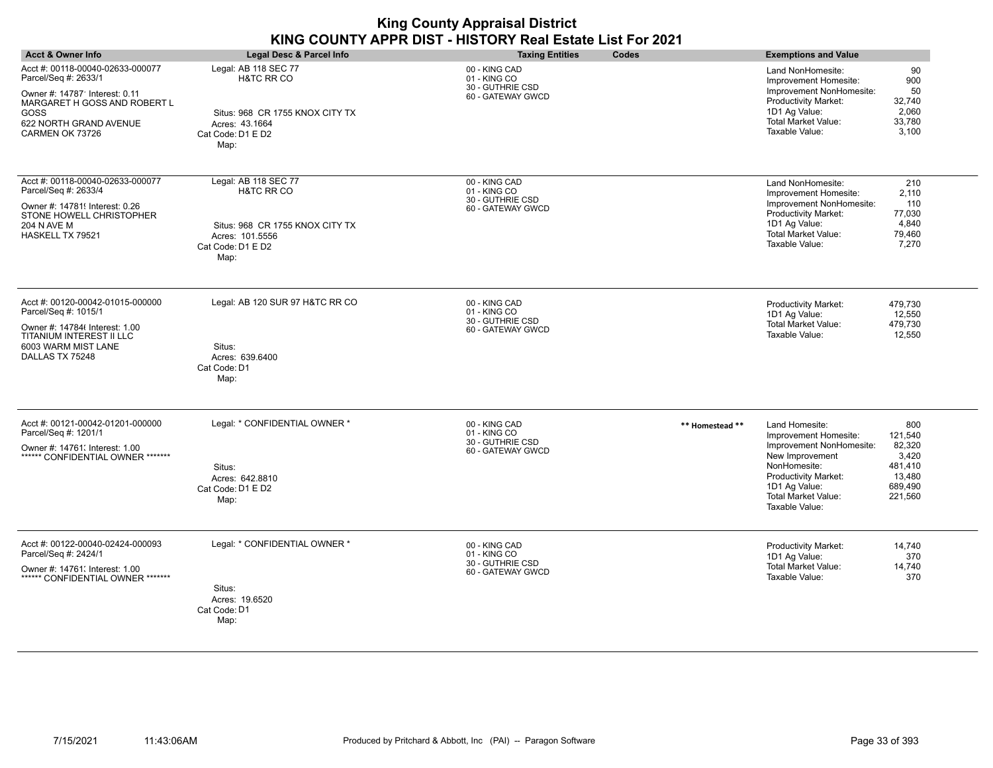|                                                                                                                                                                                |                                                                                                                                  | <b>King County Appraisal District</b><br>KING COUNTY APPR DIST - HISTORY Real Estate List For 2021 |                 |                                                                                                                                                                                                        |                                                                              |
|--------------------------------------------------------------------------------------------------------------------------------------------------------------------------------|----------------------------------------------------------------------------------------------------------------------------------|----------------------------------------------------------------------------------------------------|-----------------|--------------------------------------------------------------------------------------------------------------------------------------------------------------------------------------------------------|------------------------------------------------------------------------------|
| <b>Acct &amp; Owner Info</b>                                                                                                                                                   | Legal Desc & Parcel Info                                                                                                         | <b>Taxing Entities</b>                                                                             | Codes           | <b>Exemptions and Value</b>                                                                                                                                                                            |                                                                              |
| Acct #: 00118-00040-02633-000077<br>Parcel/Seq #: 2633/1<br>Owner #: 14787 Interest: 0.11<br>MARGARET H GOSS AND ROBERT L<br>GOSS<br>622 NORTH GRAND AVENUE<br>CARMEN OK 73726 | Legal: AB 118 SEC 77<br>H&TC RR CO<br>Situs: 968 CR 1755 KNOX CITY TX<br>Acres: 43.1664<br>Cat Code: D1 E D2<br>Map:             | 00 - KING CAD<br>01 - KING CO<br>30 - GUTHRIE CSD<br>60 - GATEWAY GWCD                             |                 | Land NonHomesite:<br>Improvement Homesite:<br>Improvement NonHomesite:<br><b>Productivity Market:</b><br>1D1 Ag Value:<br><b>Total Market Value:</b><br>Taxable Value:                                 | 90<br>900<br>50<br>32,740<br>2,060<br>33,780<br>3,100                        |
| Acct #: 00118-00040-02633-000077<br>Parcel/Seq #: 2633/4<br>Owner #: 14781! Interest: 0.26<br>STONE HOWELL CHRISTOPHER<br>204 N AVE M<br>HASKELL TX 79521                      | Legal: AB 118 SEC 77<br><b>H&amp;TC RR CO</b><br>Situs: 968 CR 1755 KNOX CITY TX<br>Acres: 101.5556<br>Cat Code: D1 E D2<br>Map: | 00 - KING CAD<br>01 - KING CO<br>30 - GUTHRIE CSD<br>60 - GATEWAY GWCD                             |                 | Land NonHomesite:<br>Improvement Homesite:<br>Improvement NonHomesite:<br><b>Productivity Market:</b><br>1D1 Ag Value:<br><b>Total Market Value:</b><br>Taxable Value:                                 | 210<br>2,110<br>110<br>77,030<br>4,840<br>79.460<br>7,270                    |
| Acct #: 00120-00042-01015-000000<br>Parcel/Seq #: 1015/1<br>Owner #: 147846 Interest: 1.00<br>TITANIUM INTEREST II LLC<br>6003 WARM MIST LANE<br>DALLAS TX 75248               | Legal: AB 120 SUR 97 H&TC RR CO<br>Situs:<br>Acres: 639.6400<br>Cat Code: D1<br>Map:                                             | 00 - KING CAD<br>01 - KING CO<br>30 - GUTHRIE CSD<br>60 - GATEWAY GWCD                             |                 | Productivity Market:<br>1D1 Ag Value:<br>Total Market Value:<br>Taxable Value:                                                                                                                         | 479,730<br>12,550<br>479,730<br>12,550                                       |
| Acct #: 00121-00042-01201-000000<br>Parcel/Seq #: 1201/1<br>Owner #: 14761; Interest: 1.00<br>****** CONFIDENTIAL OWNER *******                                                | Legal: * CONFIDENTIAL OWNER *<br>Situs:<br>Acres: 642.8810<br>Cat Code: D1 E D2<br>Map:                                          | 00 - KING CAD<br>01 - KING CO<br>30 - GUTHRIE CSD<br>60 - GATEWAY GWCD                             | ** Homestead ** | Land Homesite:<br>Improvement Homesite:<br>Improvement NonHomesite:<br>New Improvement<br>NonHomesite:<br><b>Productivity Market:</b><br>1D1 Ag Value:<br><b>Total Market Value:</b><br>Taxable Value: | 800<br>121,540<br>82,320<br>3,420<br>481,410<br>13,480<br>689,490<br>221,560 |
| Acct #: 00122-00040-02424-000093<br>Parcel/Seq #: 2424/1<br>Owner #: 14761; Interest: 1.00<br>****** CONFIDENTIAL OWNER *******                                                | Legal: * CONFIDENTIAL OWNER *<br>Situs:<br>Acres: 19.6520<br>Cat Code: D1<br>Map:                                                | 00 - KING CAD<br>01 - KING CO<br>30 - GUTHRIE CSD<br>60 - GATEWAY GWCD                             |                 | <b>Productivity Market:</b><br>1D1 Ag Value:<br><b>Total Market Value:</b><br>Taxable Value:                                                                                                           | 14.740<br>370<br>14,740<br>370                                               |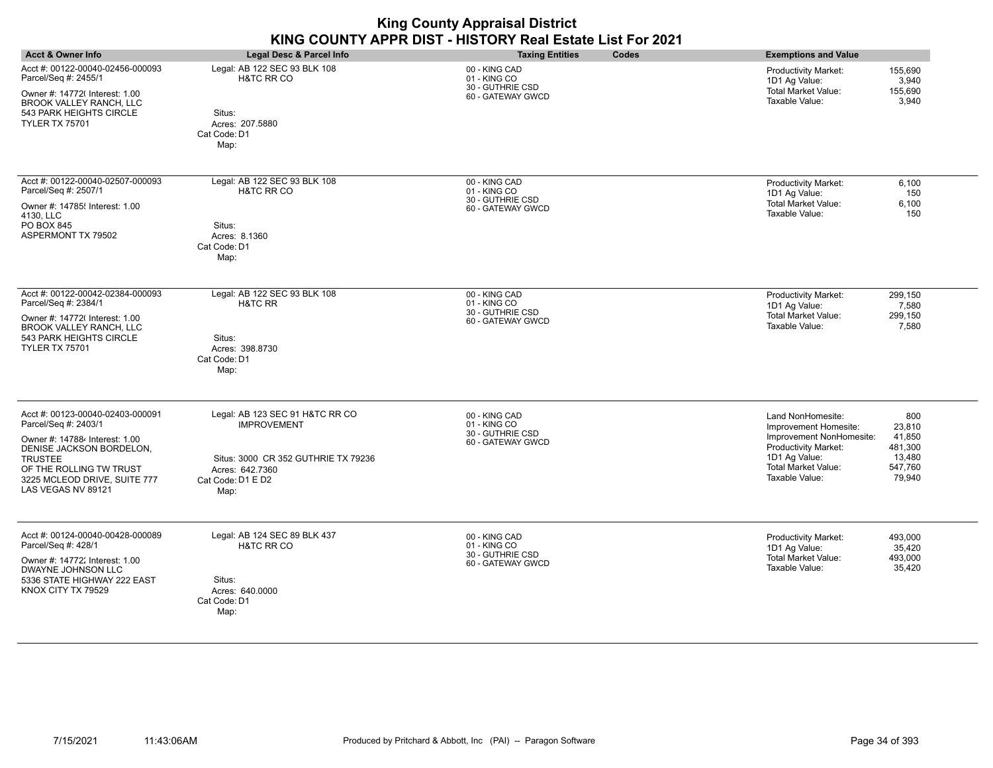|                                                                                                                                                                                                                           |                                                                                                                                              | <b>King County Appraisal District</b><br>KING COUNTY APPR DIST - HISTORY Real Estate List For 2021 |                                                                                                                                                                                                                                             |
|---------------------------------------------------------------------------------------------------------------------------------------------------------------------------------------------------------------------------|----------------------------------------------------------------------------------------------------------------------------------------------|----------------------------------------------------------------------------------------------------|---------------------------------------------------------------------------------------------------------------------------------------------------------------------------------------------------------------------------------------------|
| <b>Acct &amp; Owner Info</b>                                                                                                                                                                                              | <b>Legal Desc &amp; Parcel Info</b>                                                                                                          | <b>Taxing Entities</b><br>Codes                                                                    | <b>Exemptions and Value</b>                                                                                                                                                                                                                 |
| Acct #: 00122-00040-02456-000093<br>Parcel/Seq #: 2455/1<br>Owner #: 14772(Interest: 1.00<br><b>BROOK VALLEY RANCH. LLC</b><br>543 PARK HEIGHTS CIRCLE<br><b>TYLER TX 75701</b>                                           | Legal: AB 122 SEC 93 BLK 108<br>H&TC RR CO<br>Situs:<br>Acres: 207.5880<br>Cat Code: D1<br>Map:                                              | 00 - KING CAD<br>01 - KING CO<br>30 - GUTHRIE CSD<br>60 - GATEWAY GWCD                             | <b>Productivity Market:</b><br>155.690<br>1D1 Ag Value:<br>3,940<br><b>Total Market Value:</b><br>155,690<br>Taxable Value:<br>3.940                                                                                                        |
| Acct #: 00122-00040-02507-000093<br>Parcel/Seq #: 2507/1<br>Owner #: 14785! Interest: 1.00<br>4130, LLC<br>PO BOX 845<br>ASPERMONT TX 79502                                                                               | Legal: AB 122 SEC 93 BLK 108<br><b>H&amp;TC RR CO</b><br>Situs:<br>Acres: 8.1360<br>Cat Code: D1<br>Map:                                     | 00 - KING CAD<br>01 - KING CO<br>30 - GUTHRIE CSD<br>60 - GATEWAY GWCD                             | Productivity Market:<br>6.100<br>1D1 Ag Value:<br>150<br><b>Total Market Value:</b><br>6.100<br>Taxable Value:<br>150                                                                                                                       |
| Acct #: 00122-00042-02384-000093<br>Parcel/Seq #: 2384/1<br>Owner #: 14772(Interest: 1.00<br><b>BROOK VALLEY RANCH, LLC</b><br>543 PARK HEIGHTS CIRCLE<br><b>TYLER TX 75701</b>                                           | Legal: AB 122 SEC 93 BLK 108<br>H&TC RR<br>Situs:<br>Acres: 398.8730<br>Cat Code: D1<br>Map:                                                 | 00 - KING CAD<br>01 - KING CO<br>30 - GUTHRIE CSD<br>60 - GATEWAY GWCD                             | Productivity Market:<br>299,150<br>1D1 Ag Value:<br>7,580<br><b>Total Market Value:</b><br>299,150<br>Taxable Value:<br>7.580                                                                                                               |
| Acct #: 00123-00040-02403-000091<br>Parcel/Seq #: 2403/1<br>Owner #: 147884 Interest: 1.00<br>DENISE JACKSON BORDELON,<br><b>TRUSTEE</b><br>OF THE ROLLING TW TRUST<br>3225 MCLEOD DRIVE, SUITE 777<br>LAS VEGAS NV 89121 | Legal: AB 123 SEC 91 H&TC RR CO<br><b>IMPROVEMENT</b><br>Situs: 3000 CR 352 GUTHRIE TX 79236<br>Acres: 642.7360<br>Cat Code: D1 E D2<br>Map: | 00 - KING CAD<br>01 - KING CO<br>30 - GUTHRIE CSD<br>60 - GATEWAY GWCD                             | 800<br>Land NonHomesite:<br>23,810<br>Improvement Homesite:<br>Improvement NonHomesite:<br>41,850<br><b>Productivity Market:</b><br>481,300<br>1D1 Ag Value:<br>13,480<br><b>Total Market Value:</b><br>547,760<br>Taxable Value:<br>79,940 |
| Acct #: 00124-00040-00428-000089<br>Parcel/Seq #: 428/1<br>Owner #: 14772; Interest: 1.00<br>DWAYNE JOHNSON LLC<br>5336 STATE HIGHWAY 222 EAST<br>KNOX CITY TX 79529                                                      | Legal: AB 124 SEC 89 BLK 437<br>H&TC RR CO<br>Situs:<br>Acres: 640,0000<br>Cat Code: D1<br>Map:                                              | 00 - KING CAD<br>01 - KING CO<br>30 - GUTHRIE CSD<br>60 - GATEWAY GWCD                             | 493.000<br><b>Productivity Market:</b><br>1D1 Ag Value:<br>35,420<br><b>Total Market Value:</b><br>493,000<br>Taxable Value:<br>35,420                                                                                                      |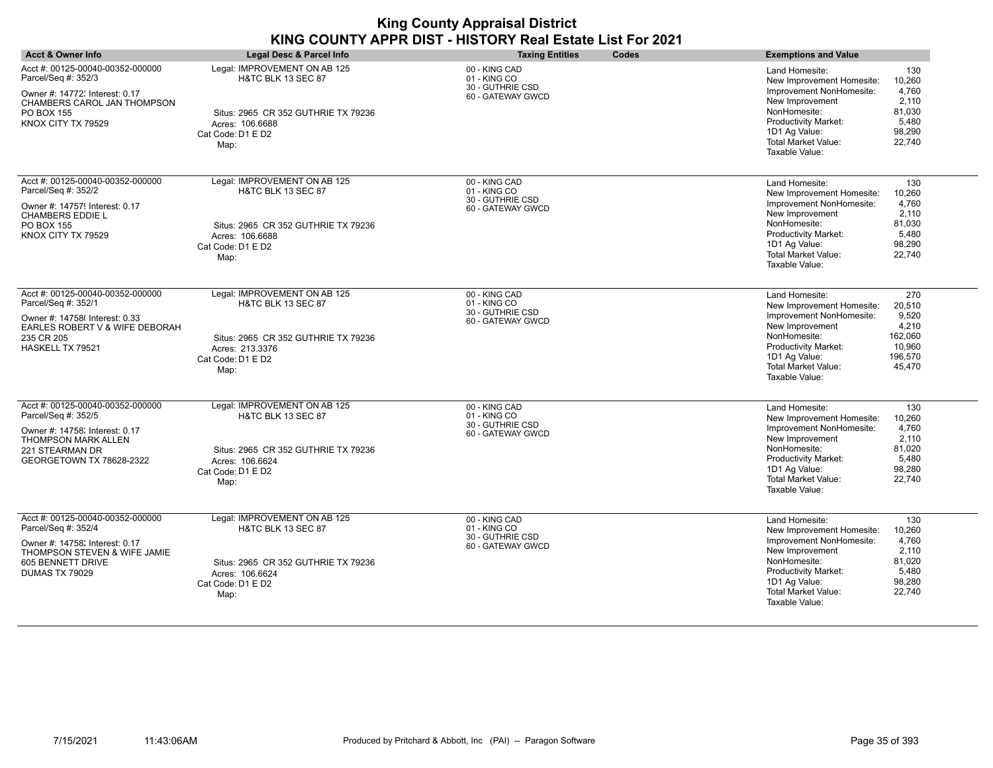| <b>Acct &amp; Owner Info</b>                                                                                                                                           | Legal Desc & Parcel Info                                                                                                                             | <b>Taxing Entities</b><br>Codes                                        | <b>Exemptions and Value</b>                                                                                                                                                                                                                                                             |
|------------------------------------------------------------------------------------------------------------------------------------------------------------------------|------------------------------------------------------------------------------------------------------------------------------------------------------|------------------------------------------------------------------------|-----------------------------------------------------------------------------------------------------------------------------------------------------------------------------------------------------------------------------------------------------------------------------------------|
| Acct #: 00125-00040-00352-000000<br>Parcel/Seq #: 352/3<br>Owner #: 14772; Interest: 0.17<br>CHAMBERS CAROL JAN THOMPSON<br>PO BOX 155<br>KNOX CITY TX 79529           | Legal: IMPROVEMENT ON AB 125<br><b>H&amp;TC BLK 13 SEC 87</b><br>Situs: 2965 CR 352 GUTHRIE TX 79236<br>Acres: 106.6688<br>Cat Code: D1 E D2<br>Map: | 00 - KING CAD<br>01 - KING CO<br>30 - GUTHRIE CSD<br>60 - GATEWAY GWCD | 130<br>Land Homesite:<br>10,260<br>New Improvement Homesite:<br>Improvement NonHomesite:<br>4,760<br>2,110<br>New Improvement<br>NonHomesite:<br>81,030<br>Productivity Market:<br>5.480<br>1D1 Ag Value:<br>98,290<br><b>Total Market Value:</b><br>22,740<br>Taxable Value:           |
| Acct #: 00125-00040-00352-000000<br>Parcel/Seq #: 352/2<br>Owner #: 14757! Interest: 0.17<br><b>CHAMBERS EDDIE L</b><br>PO BOX 155<br>KNOX CITY TX 79529               | Legal: IMPROVEMENT ON AB 125<br><b>H&amp;TC BLK 13 SEC 87</b><br>Situs: 2965 CR 352 GUTHRIE TX 79236<br>Acres: 106.6688<br>Cat Code: D1 E D2<br>Map: | 00 - KING CAD<br>01 - KING CO<br>30 - GUTHRIE CSD<br>60 - GATEWAY GWCD | Land Homesite:<br>130<br>10.260<br>New Improvement Homesite:<br>4,760<br>Improvement NonHomesite:<br>New Improvement<br>2,110<br>NonHomesite:<br>81,030<br>5,480<br><b>Productivity Market:</b><br>1D1 Ag Value:<br>98,290<br>22,740<br><b>Total Market Value:</b><br>Taxable Value:    |
| Acct #: 00125-00040-00352-000000<br>Parcel/Seq #: 352/1<br>Owner #: 14758(Interest: 0.33<br>EARLES ROBERT V & WIFE DEBORAH<br>235 CR 205<br>HASKELL TX 79521           | Legal: IMPROVEMENT ON AB 125<br>H&TC BLK 13 SEC 87<br>Situs: 2965 CR 352 GUTHRIE TX 79236<br>Acres: 213.3376<br>Cat Code: D1 E D2<br>Map:            | 00 - KING CAD<br>01 - KING CO<br>30 - GUTHRIE CSD<br>60 - GATEWAY GWCD | 270<br>Land Homesite:<br>New Improvement Homesite:<br>20,510<br>Improvement NonHomesite:<br>9,520<br>New Improvement<br>4,210<br>NonHomesite:<br>162,060<br>10.960<br><b>Productivity Market:</b><br>196,570<br>1D1 Ag Value:<br><b>Total Market Value:</b><br>45,470<br>Taxable Value: |
| Acct #: 00125-00040-00352-000000<br>Parcel/Seq #: 352/5<br>Owner #: 14758; Interest: 0.17<br><b>THOMPSON MARK ALLEN</b><br>221 STEARMAN DR<br>GEORGETOWN TX 78628-2322 | Legal: IMPROVEMENT ON AB 125<br><b>H&amp;TC BLK 13 SEC 87</b><br>Situs: 2965 CR 352 GUTHRIE TX 79236<br>Acres: 106.6624<br>Cat Code: D1 E D2<br>Map: | 00 - KING CAD<br>01 - KING CO<br>30 - GUTHRIE CSD<br>60 - GATEWAY GWCD | Land Homesite:<br>130<br>New Improvement Homesite:<br>10,260<br>Improvement NonHomesite:<br>4,760<br>2,110<br>New Improvement<br>NonHomesite:<br>81,020<br>5,480<br><b>Productivity Market:</b><br>1D1 Ag Value:<br>98,280<br><b>Total Market Value:</b><br>22,740<br>Taxable Value:    |
| Acct #: 00125-00040-00352-000000<br>Parcel/Seq #: 352/4<br>Owner #: 14758; Interest: 0.17<br>THOMPSON STEVEN & WIFE JAMIE<br>605 BENNETT DRIVE<br>DUMAS TX 79029       | Legal: IMPROVEMENT ON AB 125<br>H&TC BLK 13 SEC 87<br>Situs: 2965 CR 352 GUTHRIE TX 79236<br>Acres: 106.6624<br>Cat Code: D1 E D2<br>Map:            | 00 - KING CAD<br>01 - KING CO<br>30 - GUTHRIE CSD<br>60 - GATEWAY GWCD | Land Homesite:<br>130<br>10,260<br>New Improvement Homesite:<br>Improvement NonHomesite:<br>4,760<br>New Improvement<br>2,110<br>NonHomesite:<br>81,020<br><b>Productivity Market:</b><br>5,480<br>1D1 Ag Value:<br>98,280<br><b>Total Market Value:</b><br>22,740<br>Taxable Value:    |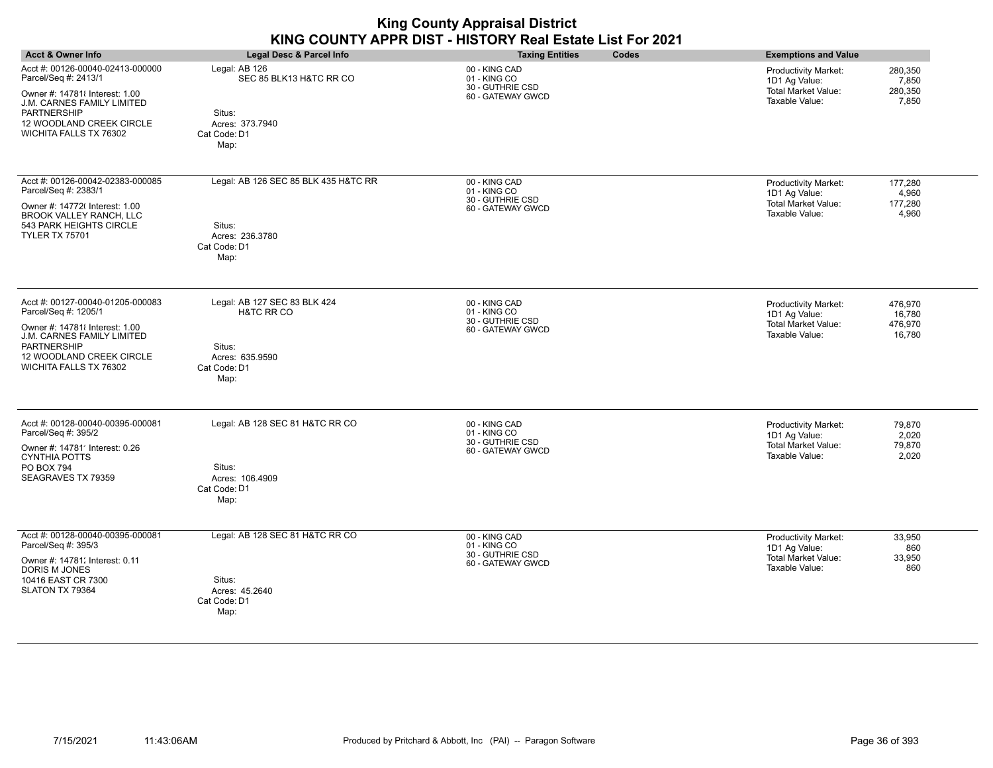| <b>Acct &amp; Owner Info</b>                                                                                                                                                                         | Legal Desc & Parcel Info                                                                        | <b>Taxing Entities</b><br>Codes                                        | <b>Exemptions and Value</b>                                                                                                     |
|------------------------------------------------------------------------------------------------------------------------------------------------------------------------------------------------------|-------------------------------------------------------------------------------------------------|------------------------------------------------------------------------|---------------------------------------------------------------------------------------------------------------------------------|
| Acct #: 00126-00040-02413-000000<br>Parcel/Seq #: 2413/1<br>Owner #: 147818 Interest: 1.00<br>J.M. CARNES FAMILY LIMITED<br><b>PARTNERSHIP</b><br>12 WOODLAND CREEK CIRCLE<br>WICHITA FALLS TX 76302 | Legal: AB 126<br>SEC 85 BLK13 H&TC RR CO<br>Situs:<br>Acres: 373.7940<br>Cat Code: D1<br>Map:   | 00 - KING CAD<br>01 - KING CO<br>30 - GUTHRIE CSD<br>60 - GATEWAY GWCD | Productivity Market:<br>280,350<br>1D1 Ag Value:<br>7,850<br><b>Total Market Value:</b><br>280,350<br>Taxable Value:<br>7,850   |
| Acct #: 00126-00042-02383-000085<br>Parcel/Seq #: 2383/1<br>Owner #: 14772( Interest: 1.00<br><b>BROOK VALLEY RANCH. LLC</b><br>543 PARK HEIGHTS CIRCLE<br><b>TYLER TX 75701</b>                     | Legal: AB 126 SEC 85 BLK 435 H&TC RR<br>Situs:<br>Acres: 236.3780<br>Cat Code: D1<br>Map:       | 00 - KING CAD<br>01 - KING CO<br>30 - GUTHRIE CSD<br>60 - GATEWAY GWCD | 177,280<br>Productivity Market:<br>1D1 Ag Value:<br>4,960<br>177,280<br>Total Market Value:<br>Taxable Value:<br>4,960          |
| Acct #: 00127-00040-01205-000083<br>Parcel/Seq #: 1205/1<br>Owner #: 147818 Interest: 1.00<br>J.M. CARNES FAMILY LIMITED<br><b>PARTNERSHIP</b><br>12 WOODLAND CREEK CIRCLE<br>WICHITA FALLS TX 76302 | Legal: AB 127 SEC 83 BLK 424<br>H&TC RR CO<br>Situs:<br>Acres: 635.9590<br>Cat Code: D1<br>Map: | 00 - KING CAD<br>01 - KING CO<br>30 - GUTHRIE CSD<br>60 - GATEWAY GWCD | Productivity Market:<br>476,970<br>1D1 Ag Value:<br>16,780<br><b>Total Market Value:</b><br>476,970<br>16,780<br>Taxable Value: |
| Acct #: 00128-00040-00395-000081<br>Parcel/Seq #: 395/2<br>Owner #: 147811 Interest: 0.26<br>CYNTHIA POTTS<br>PO BOX 794<br>SEAGRAVES TX 79359                                                       | Legal: AB 128 SEC 81 H&TC RR CO<br>Situs:<br>Acres: 106.4909<br>Cat Code: D1<br>Map:            | 00 - KING CAD<br>01 - KING CO<br>30 - GUTHRIE CSD<br>60 - GATEWAY GWCD | 79,870<br>Productivity Market:<br>1D1 Ag Value:<br>2,020<br><b>Total Market Value:</b><br>79,870<br>Taxable Value:<br>2,020     |
| Acct #: 00128-00040-00395-000081<br>Parcel/Seq #: 395/3<br>Owner #: 14781; Interest: 0.11<br>DORIS M JONES<br>10416 EAST CR 7300<br>SLATON TX 79364                                                  | Legal: AB 128 SEC 81 H&TC RR CO<br>Situs:<br>Acres: 45.2640<br>Cat Code: D1<br>Map:             | 00 - KING CAD<br>01 - KING CO<br>30 - GUTHRIE CSD<br>60 - GATEWAY GWCD | Productivity Market:<br>33,950<br>860<br>1D1 Ag Value:<br><b>Total Market Value:</b><br>33,950<br>Taxable Value:<br>860         |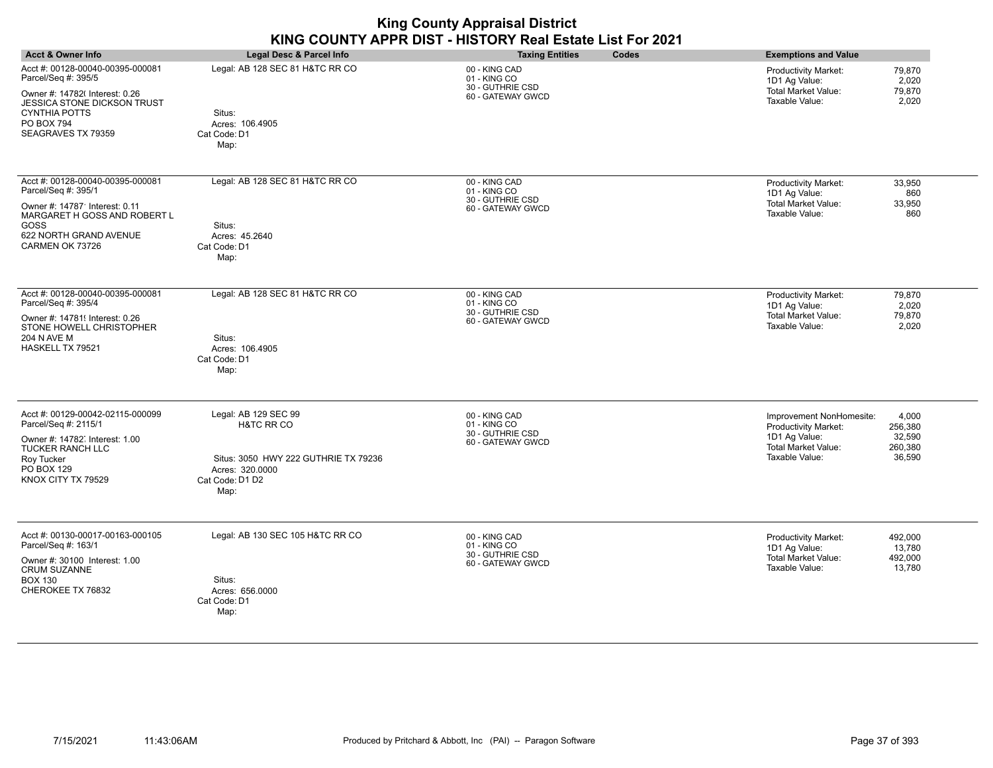| <b>King County Appraisal District</b>                     |  |
|-----------------------------------------------------------|--|
| KING COUNTY APPR DIST - HISTORY Real Estate List For 2021 |  |

| ם היוסדים ומוסדים ומוחדרים ומוסדים והיוסטטיס שיוורו                                                                                                                                                |                                                                                                                          |                                                                        |                                                                                                                                                                      |  |
|----------------------------------------------------------------------------------------------------------------------------------------------------------------------------------------------------|--------------------------------------------------------------------------------------------------------------------------|------------------------------------------------------------------------|----------------------------------------------------------------------------------------------------------------------------------------------------------------------|--|
| <b>Acct &amp; Owner Info</b>                                                                                                                                                                       | Legal Desc & Parcel Info                                                                                                 | <b>Taxing Entities</b><br>Codes                                        | <b>Exemptions and Value</b>                                                                                                                                          |  |
| Acct #: 00128-00040-00395-000081<br>Parcel/Seq #: 395/5<br>Owner #: 14782( Interest: 0.26<br><b>JESSICA STONE DICKSON TRUST</b><br><b>CYNTHIA POTTS</b><br><b>PO BOX 794</b><br>SEAGRAVES TX 79359 | Legal: AB 128 SEC 81 H&TC RR CO<br>Situs:<br>Acres: 106.4905<br>Cat Code: D1<br>Map:                                     | 00 - KING CAD<br>01 - KING CO<br>30 - GUTHRIE CSD<br>60 - GATEWAY GWCD | 79,870<br><b>Productivity Market:</b><br>2,020<br>1D1 Ag Value:<br>Total Market Value:<br>79,870<br>Taxable Value:<br>2,020                                          |  |
| Acct #: 00128-00040-00395-000081<br>Parcel/Seq #: 395/1<br>Owner #: 14787' Interest: 0.11<br>MARGARET H GOSS AND ROBERT L<br>GOSS<br>622 NORTH GRAND AVENUE<br>CARMEN OK 73726                     | Legal: AB 128 SEC 81 H&TC RR CO<br>Situs:<br>Acres: 45.2640<br>Cat Code: D1<br>Map:                                      | 00 - KING CAD<br>01 - KING CO<br>30 - GUTHRIE CSD<br>60 - GATEWAY GWCD | Productivity Market:<br>33,950<br>1D1 Ag Value:<br>860<br><b>Total Market Value:</b><br>33,950<br>Taxable Value:<br>860                                              |  |
| Acct #: 00128-00040-00395-000081<br>Parcel/Seq #: 395/4<br>Owner #: 14781! Interest: 0.26<br>STONE HOWELL CHRISTOPHER<br>204 N AVE M<br>HASKELL TX 79521                                           | Legal: AB 128 SEC 81 H&TC RR CO<br>Situs:<br>Acres: 106.4905<br>Cat Code: D1<br>Map:                                     | 00 - KING CAD<br>01 - KING CO<br>30 - GUTHRIE CSD<br>60 - GATEWAY GWCD | <b>Productivity Market:</b><br>79,870<br>1D1 Ag Value:<br>2,020<br><b>Total Market Value:</b><br>79,870<br>Taxable Value:<br>2,020                                   |  |
| Acct #: 00129-00042-02115-000099<br>Parcel/Seq #: 2115/1<br>Owner #: 14782, Interest: 1.00<br>TUCKER RANCH LLC<br>Roy Tucker<br>PO BOX 129<br>KNOX CITY TX 79529                                   | Legal: AB 129 SEC 99<br>H&TC RR CO<br>Situs: 3050 HWY 222 GUTHRIE TX 79236<br>Acres: 320.0000<br>Cat Code: D1 D2<br>Map: | 00 - KING CAD<br>01 - KING CO<br>30 - GUTHRIE CSD<br>60 - GATEWAY GWCD | Improvement NonHomesite:<br>4,000<br>Productivity Market:<br>256,380<br>1D1 Ag Value:<br>32,590<br><b>Total Market Value:</b><br>260,380<br>Taxable Value:<br>36,590 |  |
| Acct #: 00130-00017-00163-000105<br>Parcel/Seq #: 163/1<br>Owner #: 30100 Interest: 1.00<br><b>CRUM SUZANNE</b><br><b>BOX 130</b><br>CHEROKEE TX 76832                                             | Legal: AB 130 SEC 105 H&TC RR CO<br>Situs:<br>Acres: 656.0000<br>Cat Code: D1<br>Map:                                    | 00 - KING CAD<br>01 - KING CO<br>30 - GUTHRIE CSD<br>60 - GATEWAY GWCD | 492.000<br><b>Productivity Market:</b><br>13,780<br>1D1 Ag Value:<br><b>Total Market Value:</b><br>492,000<br>Taxable Value:<br>13,780                               |  |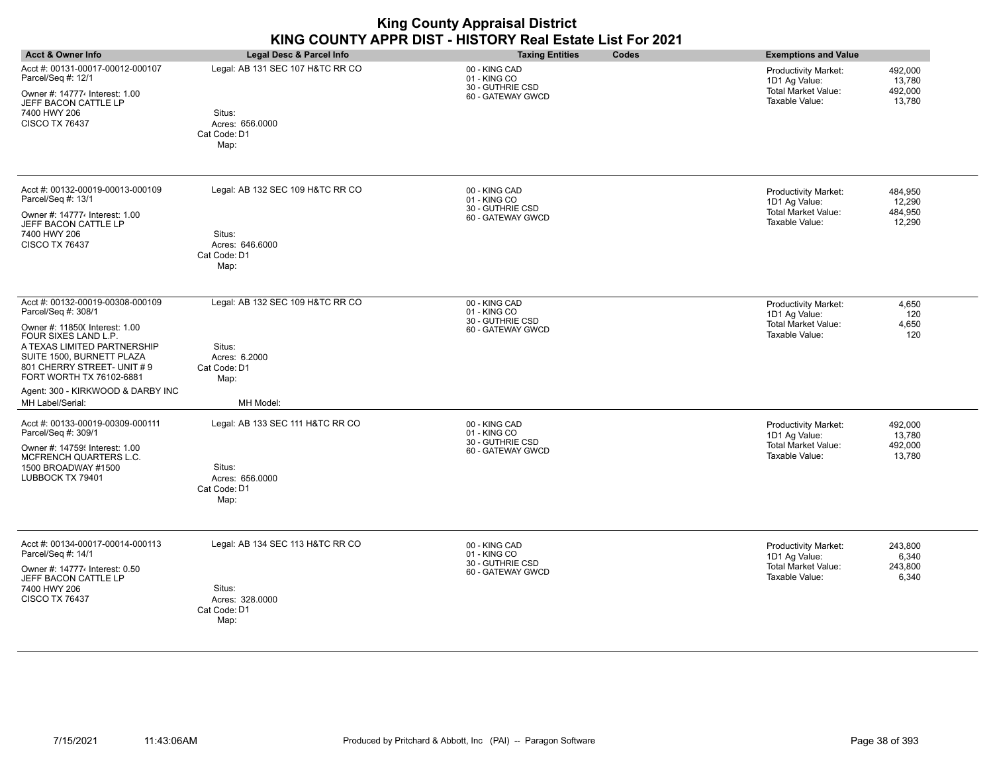| <b>Acct &amp; Owner Info</b>                                                                                                                                                                                                                                                                     | <b>Legal Desc &amp; Parcel Info</b>                                                              | <b>Taxing Entities</b><br>Codes                                        | <b>Exemptions and Value</b>                                                                                                            |
|--------------------------------------------------------------------------------------------------------------------------------------------------------------------------------------------------------------------------------------------------------------------------------------------------|--------------------------------------------------------------------------------------------------|------------------------------------------------------------------------|----------------------------------------------------------------------------------------------------------------------------------------|
| Acct #: 00131-00017-00012-000107<br>Parcel/Seq #: 12/1<br>Owner #: 147774 Interest: 1.00<br>JEFF BACON CATTLE LP<br>7400 HWY 206<br><b>CISCO TX 76437</b>                                                                                                                                        | Legal: AB 131 SEC 107 H&TC RR CO<br>Situs:<br>Acres: 656.0000<br>Cat Code: D1<br>Map:            | 00 - KING CAD<br>01 - KING CO<br>30 - GUTHRIE CSD<br>60 - GATEWAY GWCD | 492,000<br><b>Productivity Market:</b><br>13,780<br>1D1 Ag Value:<br><b>Total Market Value:</b><br>492,000<br>Taxable Value:<br>13,780 |
| Acct #: 00132-00019-00013-000109<br>Parcel/Seq #: 13/1<br>Owner #: 147774 Interest: 1.00<br>JEFF BACON CATTLE LP<br>7400 HWY 206<br><b>CISCO TX 76437</b>                                                                                                                                        | Legal: AB 132 SEC 109 H&TC RR CO<br>Situs:<br>Acres: 646,6000<br>Cat Code: D1<br>Map:            | 00 - KING CAD<br>01 - KING CO<br>30 - GUTHRIE CSD<br>60 - GATEWAY GWCD | Productivity Market:<br>484,950<br>1D1 Ag Value:<br>12,290<br>Total Market Value:<br>484,950<br>Taxable Value:<br>12,290               |
| Acct #: 00132-00019-00308-000109<br>Parcel/Seq #: 308/1<br>Owner #: 11850( Interest: 1.00<br>FOUR SIXES LAND L.P.<br>A TEXAS LIMITED PARTNERSHIP<br>SUITE 1500, BURNETT PLAZA<br>801 CHERRY STREET- UNIT #9<br>FORT WORTH TX 76102-6881<br>Agent: 300 - KIRKWOOD & DARBY INC<br>MH Label/Serial: | Legal: AB 132 SEC 109 H&TC RR CO<br>Situs:<br>Acres: 6.2000<br>Cat Code: D1<br>Map:<br>MH Model: | 00 - KING CAD<br>01 - KING CO<br>30 - GUTHRIE CSD<br>60 - GATEWAY GWCD | Productivity Market:<br>4,650<br>1D1 Ag Value:<br>120<br>Total Market Value:<br>4,650<br>120<br>Taxable Value:                         |
| Acct #: 00133-00019-00309-000111<br>Parcel/Seq #: 309/1<br>Owner #: 14759! Interest: 1.00<br>MCFRENCH QUARTERS L.C.<br>1500 BROADWAY #1500<br>LUBBOCK TX 79401                                                                                                                                   | Legal: AB 133 SEC 111 H&TC RR CO<br>Situs:<br>Acres: 656.0000<br>Cat Code: D1<br>Map:            | 00 - KING CAD<br>01 - KING CO<br>30 - GUTHRIE CSD<br>60 - GATEWAY GWCD | <b>Productivity Market:</b><br>492,000<br>13,780<br>1D1 Ag Value:<br><b>Total Market Value:</b><br>492,000<br>Taxable Value:<br>13,780 |
| Acct #: 00134-00017-00014-000113<br>Parcel/Seq #: 14/1<br>Owner #: 147774 Interest: 0.50<br>JEFF BACON CATTLE LP<br>7400 HWY 206<br><b>CISCO TX 76437</b>                                                                                                                                        | Legal: AB 134 SEC 113 H&TC RR CO<br>Situs:<br>Acres: 328.0000<br>Cat Code: D1<br>Map:            | 00 - KING CAD<br>01 - KING CO<br>30 - GUTHRIE CSD<br>60 - GATEWAY GWCD | Productivity Market:<br>243,800<br>6,340<br>1D1 Ag Value:<br>Total Market Value:<br>243,800<br>Taxable Value:<br>6,340                 |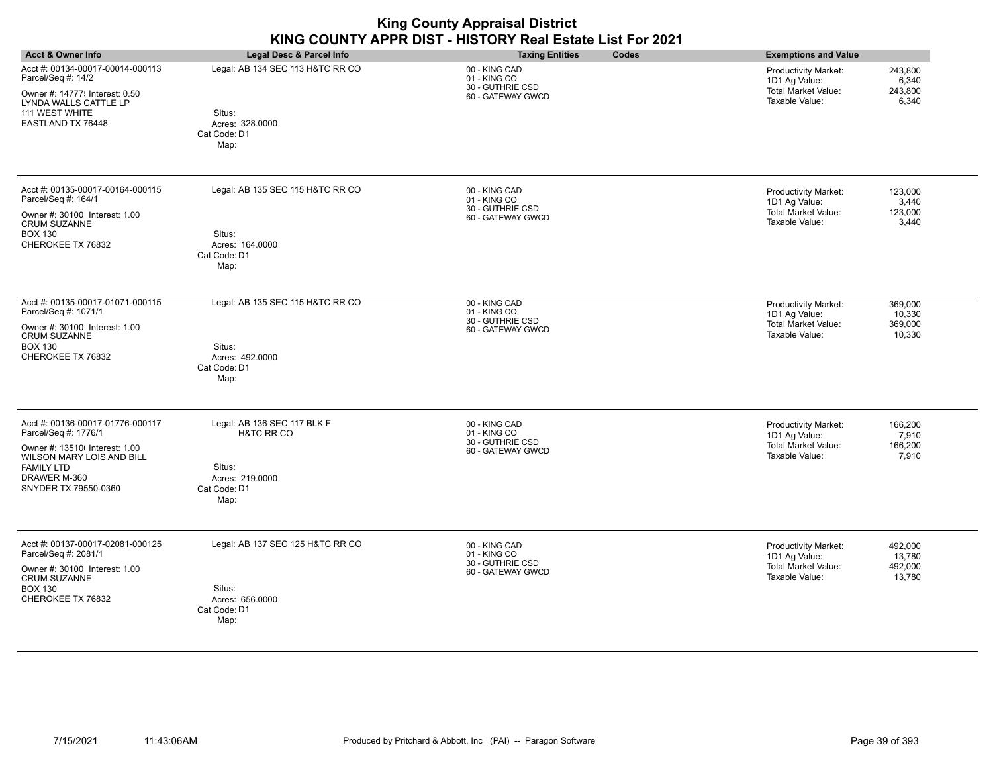| <b>Acct &amp; Owner Info</b>                                                                                                                                                                | Legal Desc & Parcel Info                                                                                  | <b>Taxing Entities</b><br>Codes                                        | <b>Exemptions and Value</b>                                                                                                          |  |
|---------------------------------------------------------------------------------------------------------------------------------------------------------------------------------------------|-----------------------------------------------------------------------------------------------------------|------------------------------------------------------------------------|--------------------------------------------------------------------------------------------------------------------------------------|--|
| Acct #: 00134-00017-00014-000113<br>Parcel/Seq #: 14/2<br>Owner #: 14777! Interest: 0.50<br>LYNDA WALLS CATTLE LP<br>111 WEST WHITE<br>EASTLAND TX 76448                                    | Legal: AB 134 SEC 113 H&TC RR CO<br>Situs:<br>Acres: 328.0000<br>Cat Code: D1<br>Map:                     | 00 - KING CAD<br>01 - KING CO<br>30 - GUTHRIE CSD<br>60 - GATEWAY GWCD | <b>Productivity Market:</b><br>243,800<br>6,340<br>1D1 Ag Value:<br><b>Total Market Value:</b><br>243,800<br>Taxable Value:<br>6,340 |  |
| Acct #: 00135-00017-00164-000115<br>Parcel/Seq #: 164/1<br>Owner #: 30100 Interest: 1.00<br><b>CRUM SUZANNE</b><br><b>BOX 130</b><br>CHEROKEE TX 76832                                      | Legal: AB 135 SEC 115 H&TC RR CO<br>Situs:<br>Acres: 164.0000<br>Cat Code: D1<br>Map:                     | 00 - KING CAD<br>01 - KING CO<br>30 - GUTHRIE CSD<br>60 - GATEWAY GWCD | <b>Productivity Market:</b><br>123,000<br>1D1 Ag Value:<br>3,440<br><b>Total Market Value:</b><br>123,000<br>Taxable Value:<br>3,440 |  |
| Acct #: 00135-00017-01071-000115<br>Parcel/Seq #: 1071/1<br>Owner #: 30100 Interest: 1.00<br><b>CRUM SUZANNE</b><br><b>BOX 130</b><br>CHEROKEE TX 76832                                     | Legal: AB 135 SEC 115 H&TC RR CO<br>Situs:<br>Acres: 492,0000<br>Cat Code: D1<br>Map:                     | 00 - KING CAD<br>01 - KING CO<br>30 - GUTHRIE CSD<br>60 - GATEWAY GWCD | Productivity Market:<br>369,000<br>1D1 Ag Value:<br>10,330<br><b>Total Market Value:</b><br>369,000<br>Taxable Value:<br>10,330      |  |
| Acct #: 00136-00017-01776-000117<br>Parcel/Seq #: 1776/1<br>Owner #: 13510( Interest: 1.00<br><b>WILSON MARY LOIS AND BILL</b><br><b>FAMILY LTD</b><br>DRAWER M-360<br>SNYDER TX 79550-0360 | Legal: AB 136 SEC 117 BLK F<br><b>H&amp;TC RR CO</b><br>Situs:<br>Acres: 219.0000<br>Cat Code: D1<br>Map: | 00 - KING CAD<br>01 - KING CO<br>30 - GUTHRIE CSD<br>60 - GATEWAY GWCD | 166,200<br><b>Productivity Market:</b><br>1D1 Ag Value:<br>7,910<br><b>Total Market Value:</b><br>166,200<br>7,910<br>Taxable Value: |  |
| Acct #: 00137-00017-02081-000125<br>Parcel/Seq #: 2081/1<br>Owner #: 30100 Interest: 1.00<br>CRUM SUZANNE<br><b>BOX 130</b><br>CHEROKEE TX 76832                                            | Legal: AB 137 SEC 125 H&TC RR CO<br>Situs:<br>Acres: 656.0000<br>Cat Code: D1<br>Map:                     | 00 - KING CAD<br>01 - KING CO<br>30 - GUTHRIE CSD<br>60 - GATEWAY GWCD | 492,000<br>Productivity Market:<br>13,780<br>1D1 Ag Value:<br>Total Market Value:<br>492,000<br>Taxable Value:<br>13,780             |  |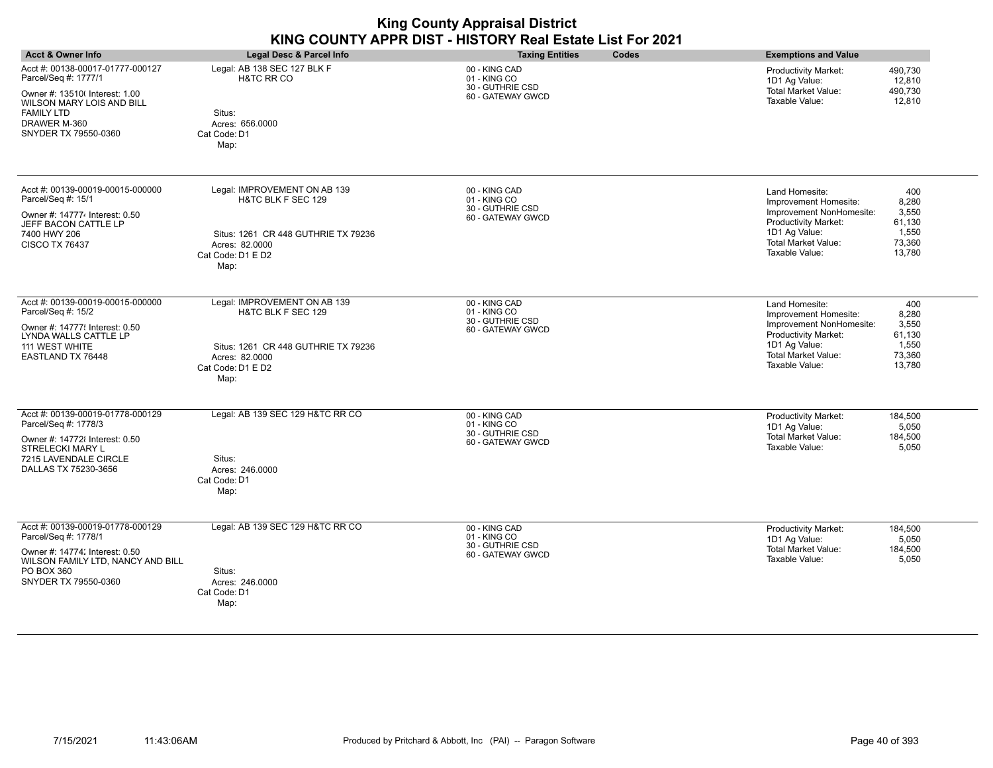| <b>King County Appraisal District</b><br>KING COUNTY APPR DIST - HISTORY Real Estate List For 2021                                                                                          |                                                                                                                                          |                                                                        |                                                                                                                                                                                                                                     |  |
|---------------------------------------------------------------------------------------------------------------------------------------------------------------------------------------------|------------------------------------------------------------------------------------------------------------------------------------------|------------------------------------------------------------------------|-------------------------------------------------------------------------------------------------------------------------------------------------------------------------------------------------------------------------------------|--|
| <b>Acct &amp; Owner Info</b>                                                                                                                                                                | <b>Legal Desc &amp; Parcel Info</b>                                                                                                      | <b>Taxing Entities</b><br>Codes                                        | <b>Exemptions and Value</b>                                                                                                                                                                                                         |  |
| Acct #: 00138-00017-01777-000127<br>Parcel/Seq #: 1777/1<br>Owner #: 13510( Interest: 1.00<br><b>WILSON MARY LOIS AND BILL</b><br><b>FAMILY LTD</b><br>DRAWER M-360<br>SNYDER TX 79550-0360 | Legal: AB 138 SEC 127 BLK F<br>H&TC RR CO<br>Situs:<br>Acres: 656.0000<br>Cat Code: D1<br>Map:                                           | 00 - KING CAD<br>01 - KING CO<br>30 - GUTHRIE CSD<br>60 - GATEWAY GWCD | Productivity Market:<br>490,730<br>1D1 Ag Value:<br>12.810<br><b>Total Market Value:</b><br>490,730<br>Taxable Value:<br>12,810                                                                                                     |  |
| Acct #: 00139-00019-00015-000000<br>Parcel/Seq #: 15/1<br>Owner #: 147774 Interest: 0.50<br>JEFF BACON CATTLE LP<br>7400 HWY 206<br><b>CISCO TX 76437</b>                                   | Legal: IMPROVEMENT ON AB 139<br>H&TC BLK F SEC 129<br>Situs: 1261 CR 448 GUTHRIE TX 79236<br>Acres: 82.0000<br>Cat Code: D1 E D2<br>Map: | 00 - KING CAD<br>01 - KING CO<br>30 - GUTHRIE CSD<br>60 - GATEWAY GWCD | 400<br>Land Homesite:<br>8,280<br>Improvement Homesite:<br>3,550<br>Improvement NonHomesite:<br>Productivity Market:<br>61,130<br>1D1 Ag Value:<br>1,550<br><b>Total Market Value:</b><br>73,360<br>Taxable Value:<br>13,780        |  |
| Acct #: 00139-00019-00015-000000<br>Parcel/Seq #: 15/2<br>Owner #: 14777! Interest: 0.50<br>LYNDA WALLS CATTLE LP<br><b>111 WEST WHITE</b><br>EASTLAND TX 76448                             | Legal: IMPROVEMENT ON AB 139<br>H&TC BLK F SEC 129<br>Situs: 1261 CR 448 GUTHRIE TX 79236<br>Acres: 82.0000<br>Cat Code: D1 E D2<br>Map: | 00 - KING CAD<br>01 - KING CO<br>30 - GUTHRIE CSD<br>60 - GATEWAY GWCD | 400<br>Land Homesite:<br>8,280<br>Improvement Homesite:<br>Improvement NonHomesite:<br>3,550<br><b>Productivity Market:</b><br>61.130<br>1D1 Ag Value:<br>1,550<br><b>Total Market Value:</b><br>73,360<br>Taxable Value:<br>13,780 |  |
| Acct #: 00139-00019-01778-000129<br>Parcel/Seq #: 1778/3<br>Owner #: 147728 Interest: 0.50<br>STRELECKI MARY L<br>7215 LAVENDALE CIRCLE<br>DALLAS TX 75230-3656                             | Legal: AB 139 SEC 129 H&TC RR CO<br>Situs:<br>Acres: 246.0000<br>Cat Code: D1<br>Map:                                                    | 00 - KING CAD<br>01 - KING CO<br>30 - GUTHRIE CSD<br>60 - GATEWAY GWCD | 184,500<br>Productivity Market:<br>1D1 Ag Value:<br>5,050<br><b>Total Market Value:</b><br>184,500<br>Taxable Value:<br>5.050                                                                                                       |  |
| Acct #: 00139-00019-01778-000129<br>Parcel/Seq #: 1778/1<br>Owner #: 14774; Interest: 0.50<br>WILSON FAMILY LTD. NANCY AND BILL<br>PO BOX 360<br>SNYDER TX 79550-0360                       | Legal: AB 139 SEC 129 H&TC RR CO<br>Situs:<br>Acres: 246.0000<br>Cat Code: D1<br>Map:                                                    | 00 - KING CAD<br>01 - KING CO<br>30 - GUTHRIE CSD<br>60 - GATEWAY GWCD | <b>Productivity Market:</b><br>184,500<br>1D1 Ag Value:<br>5,050<br><b>Total Market Value:</b><br>184,500<br>Taxable Value:<br>5,050                                                                                                |  |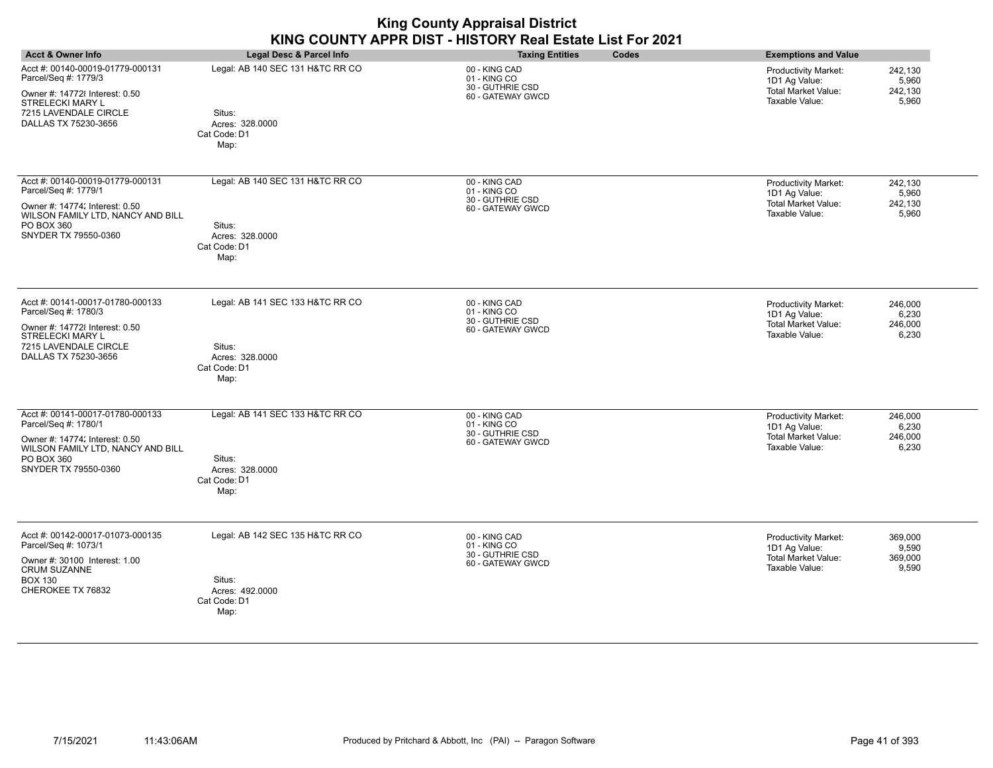| <b>Acct &amp; Owner Info</b>                                                                                                                                          | Legal Desc & Parcel Info                                                              | <b>Taxing Entities</b><br><b>Codes</b>                                 | <b>Exemptions and Value</b>                                                                                                          |
|-----------------------------------------------------------------------------------------------------------------------------------------------------------------------|---------------------------------------------------------------------------------------|------------------------------------------------------------------------|--------------------------------------------------------------------------------------------------------------------------------------|
| Acct #: 00140-00019-01779-000131<br>Parcel/Seq #: 1779/3<br>Owner #: 147728 Interest: 0.50<br>STRELECKI MARY L<br>7215 LAVENDALE CIRCLE<br>DALLAS TX 75230-3656       | Legal: AB 140 SEC 131 H&TC RR CO<br>Situs:<br>Acres: 328.0000<br>Cat Code: D1<br>Map: | 00 - KING CAD<br>01 - KING CO<br>30 - GUTHRIE CSD<br>60 - GATEWAY GWCD | 242,130<br><b>Productivity Market:</b><br>1D1 Ag Value:<br>5,960<br><b>Total Market Value:</b><br>242,130<br>Taxable Value:<br>5,960 |
| Acct #: 00140-00019-01779-000131<br>Parcel/Seq #: 1779/1<br>Owner #: 14774; Interest: 0.50<br>WILSON FAMILY LTD, NANCY AND BILL<br>PO BOX 360<br>SNYDER TX 79550-0360 | Legal: AB 140 SEC 131 H&TC RR CO<br>Situs:<br>Acres: 328.0000<br>Cat Code: D1<br>Map: | 00 - KING CAD<br>01 - KING CO<br>30 - GUTHRIE CSD<br>60 - GATEWAY GWCD | <b>Productivity Market:</b><br>242,130<br>1D1 Ag Value:<br>5,960<br><b>Total Market Value:</b><br>242,130<br>Taxable Value:<br>5,960 |
| Acct #: 00141-00017-01780-000133<br>Parcel/Seq #: 1780/3<br>Owner #: 147728 Interest: 0.50<br>STRELECKI MARY L<br>7215 LAVENDALE CIRCLE<br>DALLAS TX 75230-3656       | Legal: AB 141 SEC 133 H&TC RR CO<br>Situs:<br>Acres: 328.0000<br>Cat Code: D1<br>Map: | 00 - KING CAD<br>01 - KING CO<br>30 - GUTHRIE CSD<br>60 - GATEWAY GWCD | <b>Productivity Market:</b><br>246,000<br>1D1 Ag Value:<br>6,230<br>Total Market Value:<br>246,000<br>Taxable Value:<br>6,230        |
| Acct #: 00141-00017-01780-000133<br>Parcel/Seq #: 1780/1<br>Owner #: 14774; Interest: 0.50<br>WILSON FAMILY LTD, NANCY AND BILL<br>PO BOX 360<br>SNYDER TX 79550-0360 | Legal: AB 141 SEC 133 H&TC RR CO<br>Situs:<br>Acres: 328.0000<br>Cat Code: D1<br>Map: | 00 - KING CAD<br>01 - KING CO<br>30 - GUTHRIE CSD<br>60 - GATEWAY GWCD | <b>Productivity Market:</b><br>246,000<br>6,230<br>1D1 Ag Value:<br><b>Total Market Value:</b><br>246,000<br>Taxable Value:<br>6,230 |
| Acct #: 00142-00017-01073-000135<br>Parcel/Seq #: 1073/1<br>Owner #: 30100 Interest: 1.00<br><b>CRUM SUZANNE</b><br><b>BOX 130</b><br>CHEROKEE TX 76832               | Legal: AB 142 SEC 135 H&TC RR CO<br>Situs:<br>Acres: 492.0000<br>Cat Code: D1<br>Map: | 00 - KING CAD<br>01 - KING CO<br>30 - GUTHRIE CSD<br>60 - GATEWAY GWCD | Productivity Market:<br>369,000<br>9,590<br>1D1 Ag Value:<br><b>Total Market Value:</b><br>369,000<br>Taxable Value:<br>9,590        |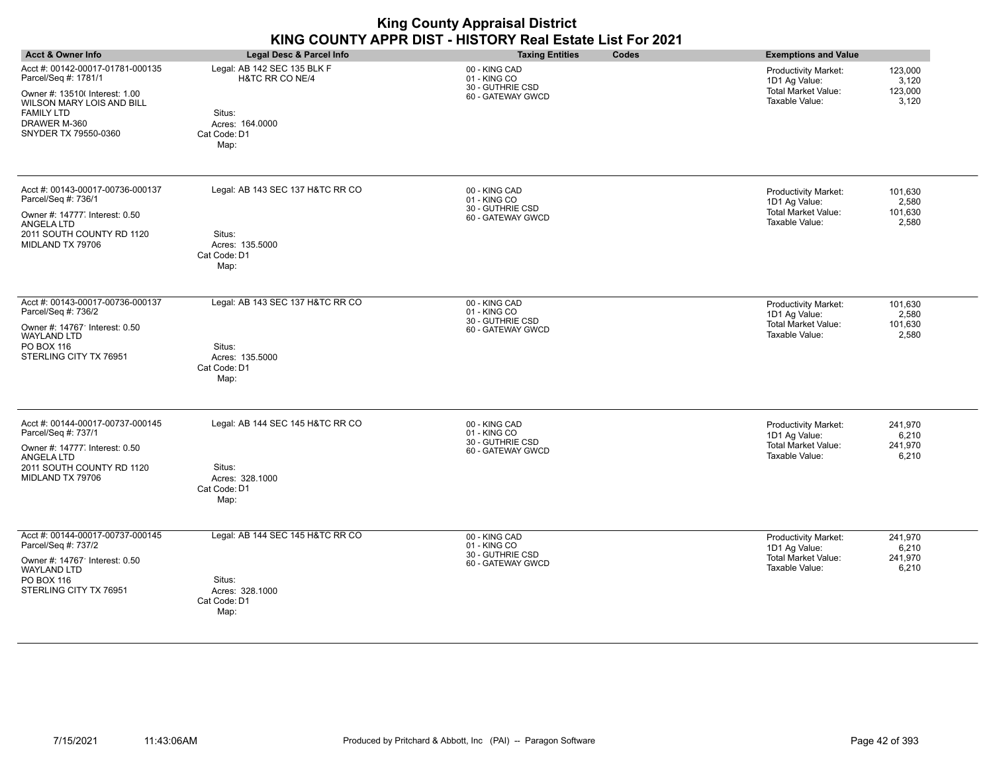| <b>King County Appraisal District</b><br>KING COUNTY APPR DIST - HISTORY Real Estate List For 2021                             |                                                   |                                                                        |                                                                                                                        |  |
|--------------------------------------------------------------------------------------------------------------------------------|---------------------------------------------------|------------------------------------------------------------------------|------------------------------------------------------------------------------------------------------------------------|--|
| <b>Acct &amp; Owner Info</b>                                                                                                   | <b>Legal Desc &amp; Parcel Info</b>               | <b>Taxing Entities</b><br>Codes                                        | <b>Exemptions and Value</b>                                                                                            |  |
| Acct #: 00142-00017-01781-000135<br>Parcel/Seq #: 1781/1<br>Owner #: 13510( Interest: 1.00<br><b>WILSON MARY LOIS AND BILL</b> | Legal: AB 142 SEC 135 BLK F<br>H&TC RR CO NE/4    | 00 - KING CAD<br>01 - KING CO<br>30 - GUTHRIE CSD<br>60 - GATEWAY GWCD | Productivity Market:<br>123,000<br>1D1 Ag Value:<br>3,120<br>Total Market Value:<br>123,000<br>Taxable Value:<br>3,120 |  |
| <b>FAMILY LTD</b><br>DRAWER M-360<br>SNYDER TX 79550-0360                                                                      | Situs:<br>Acres: 164.0000<br>Cat Code: D1<br>Map: |                                                                        |                                                                                                                        |  |
| Acct #: 00143-00017-00736-000137<br>Parcel/Seq #: 736/1                                                                        | Legal: AB 143 SEC 137 H&TC RR CO                  | 00 - KING CAD<br>01 - KING CO                                          | Productivity Market:<br>101,630<br>2,580<br>1D1 Ag Value:                                                              |  |
| Owner #: 14777 Interest: 0.50<br>ANGELA LTD                                                                                    |                                                   | 30 - GUTHRIE CSD<br>60 - GATEWAY GWCD                                  | Total Market Value:<br>101,630<br>Taxable Value:<br>2,580                                                              |  |
| 2011 SOUTH COUNTY RD 1120<br>MIDLAND TX 79706                                                                                  | Situs:<br>Acres: 135.5000<br>Cat Code: D1<br>Map: |                                                                        |                                                                                                                        |  |
| Acct #: 00143-00017-00736-000137<br>Parcel/Seq #: 736/2                                                                        | Legal: AB 143 SEC 137 H&TC RR CO                  | 00 - KING CAD<br>01 - KING CO                                          | Productivity Market:<br>101,630<br>1D1 Ag Value:<br>2,580                                                              |  |
| Owner #: 14767 Interest: 0.50<br><b>WAYLAND LTD</b>                                                                            |                                                   | 30 - GUTHRIE CSD<br>60 - GATEWAY GWCD                                  | Total Market Value:<br>101,630<br>Taxable Value:<br>2,580                                                              |  |
| PO BOX 116<br>STERLING CITY TX 76951                                                                                           | Situs:<br>Acres: 135.5000<br>Cat Code: D1<br>Map: |                                                                        |                                                                                                                        |  |
| Acct #: 00144-00017-00737-000145<br>Parcel/Seq #: 737/1                                                                        | Legal: AB 144 SEC 145 H&TC RR CO                  | 00 - KING CAD<br>01 - KING CO                                          | Productivity Market:<br>241,970<br>1D1 Ag Value:<br>6,210                                                              |  |
| Owner #: 14777, Interest: 0.50<br>ANGELA LTD<br>2011 SOUTH COUNTY RD 1120<br>MIDLAND TX 79706                                  | Situs:<br>Acres: 328.1000<br>Cat Code: D1<br>Map: | 30 - GUTHRIE CSD<br>60 - GATEWAY GWCD                                  | Total Market Value:<br>241,970<br>Taxable Value:<br>6,210                                                              |  |
| Acct #: 00144-00017-00737-000145<br>Parcel/Seq #: 737/2                                                                        | Legal: AB 144 SEC 145 H&TC RR CO                  | 00 - KING CAD<br>01 - KING CO                                          | Productivity Market:<br>241,970<br>1D1 Ag Value:<br>6,210                                                              |  |
| Owner #: 14767' Interest: 0.50<br><b>WAYLAND LTD</b>                                                                           |                                                   | 30 - GUTHRIE CSD<br>60 - GATEWAY GWCD                                  | <b>Total Market Value:</b><br>241,970<br>6,210<br>Taxable Value:                                                       |  |
| PO BOX 116<br>STERLING CITY TX 76951                                                                                           | Situs:<br>Acres: 328.1000<br>Cat Code: D1         |                                                                        |                                                                                                                        |  |
|                                                                                                                                | Map:                                              |                                                                        |                                                                                                                        |  |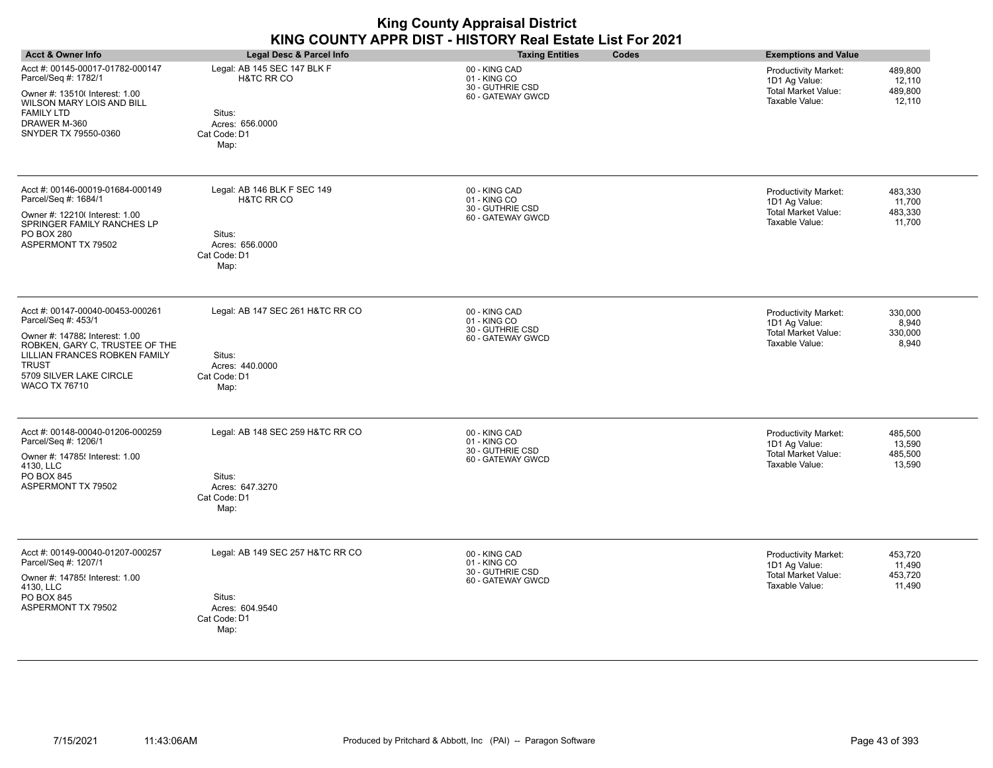| <b>King County Appraisal District</b><br>KING COUNTY APPR DIST - HISTORY Real Estate List For 2021                                                                   |                                                      |                                                                        |                                                                                                     |  |
|----------------------------------------------------------------------------------------------------------------------------------------------------------------------|------------------------------------------------------|------------------------------------------------------------------------|-----------------------------------------------------------------------------------------------------|--|
| <b>Acct &amp; Owner Info</b>                                                                                                                                         | Legal Desc & Parcel Info                             | <b>Taxing Entities</b><br>Codes                                        | <b>Exemptions and Value</b>                                                                         |  |
| Acct #: 00145-00017-01782-000147<br>Parcel/Seq #: 1782/1<br>Owner #: 13510( Interest: 1.00                                                                           | Legal: AB 145 SEC 147 BLK F<br>H&TC RR CO            | 00 - KING CAD<br>01 - KING CO<br>30 - GUTHRIE CSD<br>60 - GATEWAY GWCD | 489.800<br><b>Productivity Market:</b><br>12,110<br>1D1 Ag Value:<br>Total Market Value:<br>489,800 |  |
| <b>WILSON MARY LOIS AND BILL</b><br><b>FAMILY LTD</b><br>DRAWER M-360<br>SNYDER TX 79550-0360                                                                        | Situs:<br>Acres: 656.0000<br>Cat Code: D1<br>Map:    |                                                                        | Taxable Value:<br>12,110                                                                            |  |
| Acct #: 00146-00019-01684-000149<br>Parcel/Seq #: 1684/1                                                                                                             | Legal: AB 146 BLK F SEC 149<br><b>H&amp;TC RR CO</b> | 00 - KING CAD<br>01 - KING CO                                          | Productivity Market:<br>483,330<br>1D1 Ag Value:<br>11,700                                          |  |
| Owner #: 12210( Interest: 1.00<br>SPRINGER FAMILY RANCHES LP<br><b>PO BOX 280</b>                                                                                    | Situs:                                               | 30 - GUTHRIE CSD<br>60 - GATEWAY GWCD                                  | Total Market Value:<br>483,330<br>Taxable Value:<br>11,700                                          |  |
| ASPERMONT TX 79502                                                                                                                                                   | Acres: 656.0000<br>Cat Code: D1<br>Map:              |                                                                        |                                                                                                     |  |
| Acct #: 00147-00040-00453-000261<br>Parcel/Seq #: 453/1                                                                                                              | Legal: AB 147 SEC 261 H&TC RR CO                     | 00 - KING CAD<br>01 - KING CO                                          | Productivity Market:<br>330,000<br>1D1 Ag Value:<br>8,940                                           |  |
| Owner #: 14788; Interest: 1.00<br>ROBKEN, GARY C, TRUSTEE OF THE<br>LILLIAN FRANCES ROBKEN FAMILY<br><b>TRUST</b><br>5709 SILVER LAKE CIRCLE<br><b>WACO TX 76710</b> | Situs:<br>Acres: 440.0000<br>Cat Code: D1<br>Map:    | 30 - GUTHRIE CSD<br>60 - GATEWAY GWCD                                  | <b>Total Market Value:</b><br>330,000<br>8,940<br>Taxable Value:                                    |  |
| Acct #: 00148-00040-01206-000259                                                                                                                                     | Legal: AB 148 SEC 259 H&TC RR CO                     | 00 - KING CAD                                                          | Productivity Market:<br>485,500                                                                     |  |
| Parcel/Seq #: 1206/1<br>Owner #: 14785! Interest: 1.00                                                                                                               |                                                      | 01 - KING CO<br>30 - GUTHRIE CSD<br>60 - GATEWAY GWCD                  | 1D1 Ag Value:<br>13,590<br>Total Market Value:<br>485,500                                           |  |
| 4130, LLC<br><b>PO BOX 845</b><br>ASPERMONT TX 79502                                                                                                                 | Situs:<br>Acres: 647.3270<br>Cat Code: D1<br>Map:    |                                                                        | Taxable Value:<br>13,590                                                                            |  |
| Acct #: 00149-00040-01207-000257<br>Parcel/Seq #: 1207/1                                                                                                             | Legal: AB 149 SEC 257 H&TC RR CO                     | 00 - KING CAD<br>01 - KING CO                                          | 453,720<br>Productivity Market:<br>1D1 Ag Value:<br>11,490                                          |  |
| Owner #: 14785! Interest: 1.00<br>4130, LLC<br>PO BOX 845                                                                                                            | Situs:                                               | 30 - GUTHRIE CSD<br>60 - GATEWAY GWCD                                  | <b>Total Market Value:</b><br>453,720<br>11,490<br>Taxable Value:                                   |  |
| ASPERMONT TX 79502                                                                                                                                                   | Acres: 604.9540<br>Cat Code: D1<br>Map:              |                                                                        |                                                                                                     |  |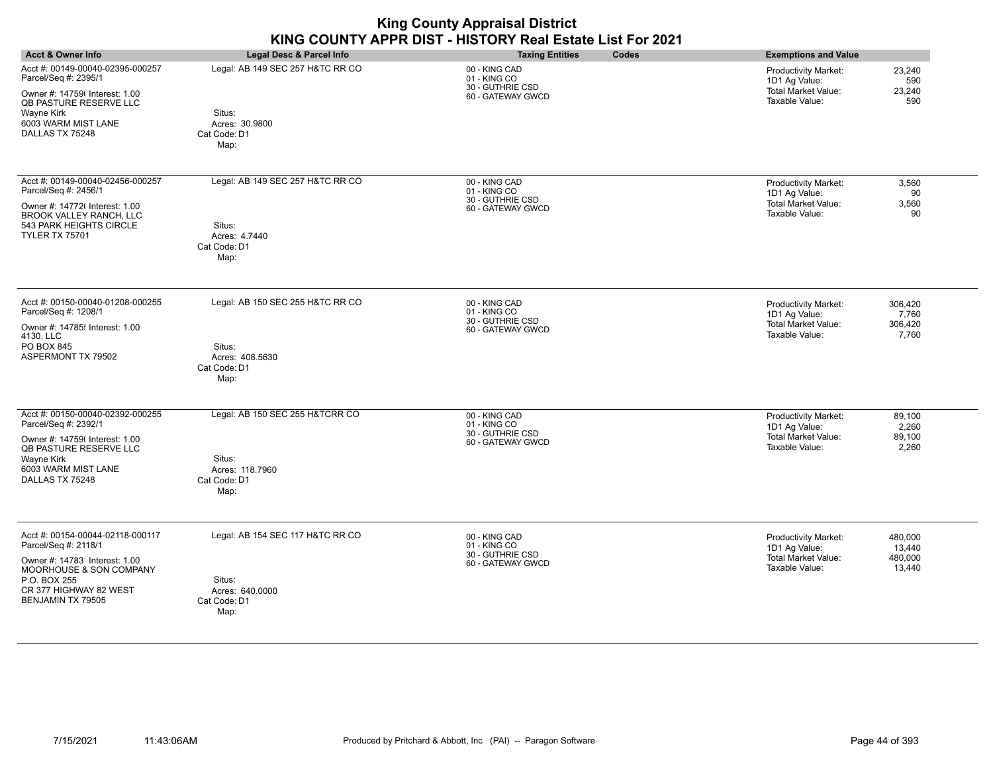| <b>Acct &amp; Owner Info</b>                                                                                                                                                         | <b>Legal Desc &amp; Parcel Info</b>                                                   | <b>Taxing Entities</b><br>Codes                                        | <b>Exemptions and Value</b>                                                                                                        |
|--------------------------------------------------------------------------------------------------------------------------------------------------------------------------------------|---------------------------------------------------------------------------------------|------------------------------------------------------------------------|------------------------------------------------------------------------------------------------------------------------------------|
| Acct #: 00149-00040-02395-000257<br>Parcel/Seq #: 2395/1<br>Owner #: 14759(Interest: 1.00<br>QB PASTURE RESERVE LLC<br>Wayne Kirk<br>6003 WARM MIST LANE<br>DALLAS TX 75248          | Legal: AB 149 SEC 257 H&TC RR CO<br>Situs:<br>Acres: 30.9800<br>Cat Code: D1<br>Map:  | 00 - KING CAD<br>01 - KING CO<br>30 - GUTHRIE CSD<br>60 - GATEWAY GWCD | 23,240<br><b>Productivity Market:</b><br>1D1 Ag Value:<br>590<br><b>Total Market Value:</b><br>23,240<br>Taxable Value:<br>590     |
| Acct #: 00149-00040-02456-000257<br>Parcel/Seq #: 2456/1<br>Owner #: 14772( Interest: 1.00<br>BROOK VALLEY RANCH, LLC<br>543 PARK HEIGHTS CIRCLE<br><b>TYLER TX 75701</b>            | Legal: AB 149 SEC 257 H&TC RR CO<br>Situs:<br>Acres: 4.7440<br>Cat Code: D1<br>Map:   | 00 - KING CAD<br>01 - KING CO<br>30 - GUTHRIE CSD<br>60 - GATEWAY GWCD | <b>Productivity Market:</b><br>3,560<br>1D1 Ag Value:<br>90<br><b>Total Market Value:</b><br>3,560<br>Taxable Value:<br>90         |
| Acct #: 00150-00040-01208-000255<br>Parcel/Seq #: 1208/1<br>Owner #: 14785{ Interest: 1.00<br>4130, LLC<br>PO BOX 845<br>ASPERMONT TX 79502                                          | Legal: AB 150 SEC 255 H&TC RR CO<br>Situs:<br>Acres: 408.5630<br>Cat Code: D1<br>Map: | 00 - KING CAD<br>01 - KING CO<br>30 - GUTHRIE CSD<br>60 - GATEWAY GWCD | Productivity Market:<br>306,420<br>7,760<br>1D1 Ag Value:<br><b>Total Market Value:</b><br>306,420<br>Taxable Value:<br>7,760      |
| Acct #: 00150-00040-02392-000255<br>Parcel/Seq #: 2392/1<br>Owner #: 14759( Interest: 1.00<br>QB PASTURE RESERVE LLC<br>Wayne Kirk<br>6003 WARM MIST LANE<br>DALLAS TX 75248         | Legal: AB 150 SEC 255 H&TCRR CO<br>Situs:<br>Acres: 118.7960<br>Cat Code: D1<br>Map:  | 00 - KING CAD<br>01 - KING CO<br>30 - GUTHRIE CSD<br>60 - GATEWAY GWCD | <b>Productivity Market:</b><br>89,100<br>1D1 Ag Value:<br>2,260<br><b>Total Market Value:</b><br>89,100<br>Taxable Value:<br>2,260 |
| Acct #: 00154-00044-02118-000117<br>Parcel/Seq #: 2118/1<br>Owner #: 14783' Interest: 1.00<br>MOORHOUSE & SON COMPANY<br>P.O. BOX 255<br>CR 377 HIGHWAY 82 WEST<br>BENJAMIN TX 79505 | Legal: AB 154 SEC 117 H&TC RR CO<br>Situs:<br>Acres: 640.0000<br>Cat Code: D1<br>Map: | 00 - KING CAD<br>01 - KING CO<br>30 - GUTHRIE CSD<br>60 - GATEWAY GWCD | <b>Productivity Market:</b><br>480,000<br>1D1 Ag Value:<br>13,440<br>Total Market Value:<br>480,000<br>Taxable Value:<br>13,440    |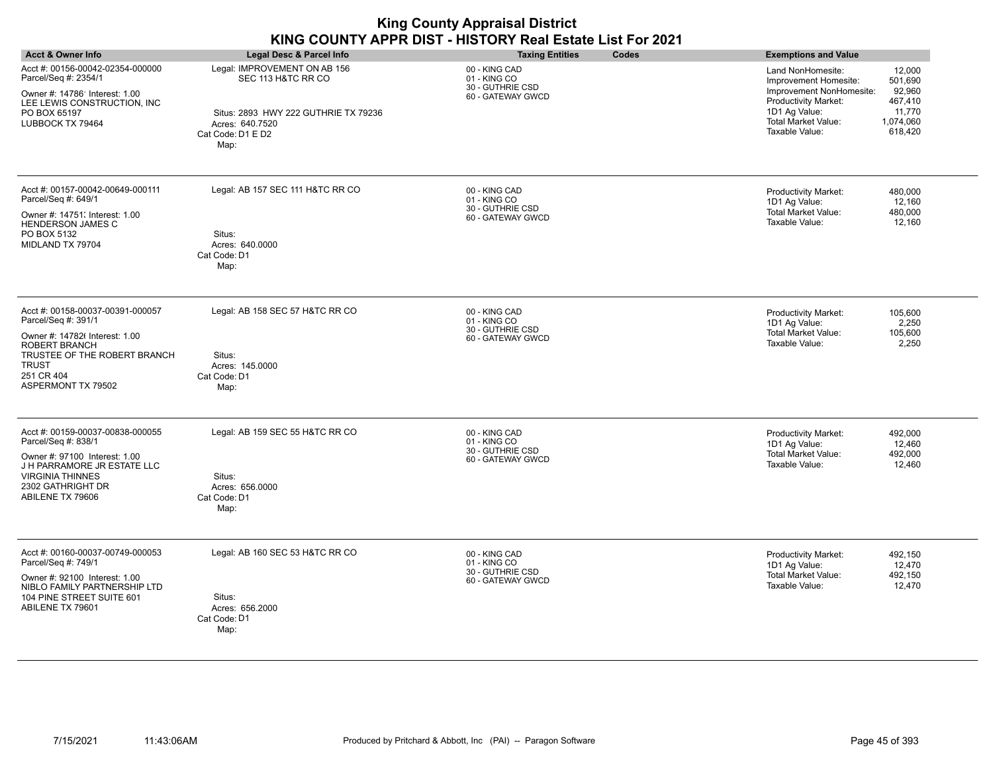| <b>Acct &amp; Owner Info</b>                                                                                                                                                                   | Legal Desc & Parcel Info                                                                                                                   | <b>Taxing Entities</b><br>Codes                                        | <b>Exemptions and Value</b>                                                                                                                                                                                                                        |
|------------------------------------------------------------------------------------------------------------------------------------------------------------------------------------------------|--------------------------------------------------------------------------------------------------------------------------------------------|------------------------------------------------------------------------|----------------------------------------------------------------------------------------------------------------------------------------------------------------------------------------------------------------------------------------------------|
| Acct #: 00156-00042-02354-000000<br>Parcel/Seq #: 2354/1<br>Owner #: 14786' Interest: 1.00<br>LEE LEWIS CONSTRUCTION, INC<br>PO BOX 65197<br>LUBBOCK TX 79464                                  | Legal: IMPROVEMENT ON AB 156<br>SEC 113 H&TC RR CO<br>Situs: 2893 HWY 222 GUTHRIE TX 79236<br>Acres: 640.7520<br>Cat Code: D1 E D2<br>Map: | 00 - KING CAD<br>01 - KING CO<br>30 - GUTHRIE CSD<br>60 - GATEWAY GWCD | Land NonHomesite:<br>12,000<br>Improvement Homesite:<br>501,690<br>92,960<br>Improvement NonHomesite:<br><b>Productivity Market:</b><br>467,410<br>1D1 Ag Value:<br>11,770<br><b>Total Market Value:</b><br>1,074,060<br>Taxable Value:<br>618,420 |
| Acct #: 00157-00042-00649-000111<br>Parcel/Seq #: 649/1<br>Owner #: 14751; Interest: 1.00<br>HENDERSON JAMES C<br>PO BOX 5132<br>MIDLAND TX 79704                                              | Legal: AB 157 SEC 111 H&TC RR CO<br>Situs:<br>Acres: 640.0000<br>Cat Code: D1<br>Map:                                                      | 00 - KING CAD<br>01 - KING CO<br>30 - GUTHRIE CSD<br>60 - GATEWAY GWCD | Productivity Market:<br>480,000<br>1D1 Ag Value:<br>12,160<br><b>Total Market Value:</b><br>480.000<br>Taxable Value:<br>12,160                                                                                                                    |
| Acct #: 00158-00037-00391-000057<br>Parcel/Seq #: 391/1<br>Owner #: 147826 Interest: 1.00<br>ROBERT BRANCH<br>TRUSTEE OF THE ROBERT BRANCH<br><b>TRUST</b><br>251 CR 404<br>ASPERMONT TX 79502 | Legal: AB 158 SEC 57 H&TC RR CO<br>Situs:<br>Acres: 145,0000<br>Cat Code: D1<br>Map:                                                       | 00 - KING CAD<br>01 - KING CO<br>30 - GUTHRIE CSD<br>60 - GATEWAY GWCD | Productivity Market:<br>105,600<br>1D1 Ag Value:<br>2,250<br><b>Total Market Value:</b><br>105,600<br>Taxable Value:<br>2,250                                                                                                                      |
| Acct #: 00159-00037-00838-000055<br>Parcel/Seq #: 838/1<br>Owner #: 97100 Interest: 1.00<br>J H PARRAMORE JR ESTATE LLC<br><b>VIRGINIA THINNES</b><br>2302 GATHRIGHT DR<br>ABILENE TX 79606    | Legal: AB 159 SEC 55 H&TC RR CO<br>Situs:<br>Acres: 656,0000<br>Cat Code: D1<br>Map:                                                       | 00 - KING CAD<br>01 - KING CO<br>30 - GUTHRIE CSD<br>60 - GATEWAY GWCD | Productivity Market:<br>492,000<br>1D1 Ag Value:<br>12,460<br><b>Total Market Value:</b><br>492,000<br>Taxable Value:<br>12,460                                                                                                                    |
| Acct #: 00160-00037-00749-000053<br>Parcel/Seq #: 749/1<br>Owner #: 92100 Interest: 1.00<br>NIBLO FAMILY PARTNERSHIP LTD<br>104 PINE STREET SUITE 601<br>ABILENE TX 79601                      | Legal: AB 160 SEC 53 H&TC RR CO<br>Situs:<br>Acres: 656.2000<br>Cat Code: D1<br>Map:                                                       | 00 - KING CAD<br>01 - KING CO<br>30 - GUTHRIE CSD<br>60 - GATEWAY GWCD | 492.150<br>Productivity Market:<br>1D1 Ag Value:<br>12,470<br><b>Total Market Value:</b><br>492,150<br>Taxable Value:<br>12,470                                                                                                                    |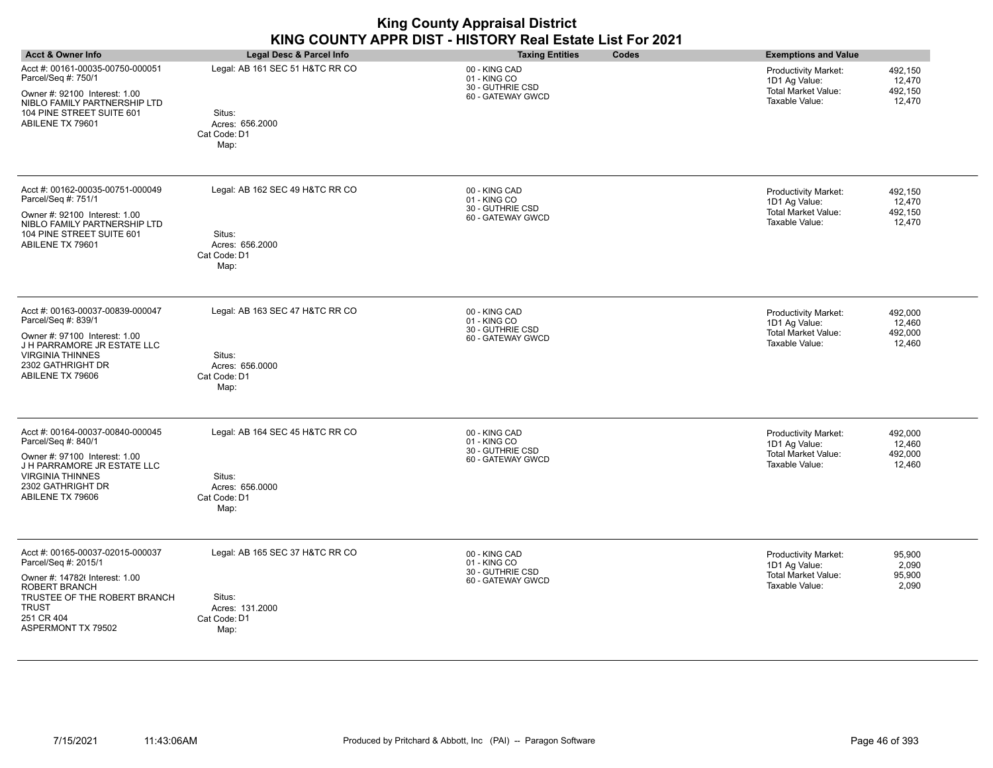| <b>King County Appraisal District</b><br>KING COUNTY APPR DIST - HISTORY Real Estate List For 2021                               |                                                   |                                                   |                                                                                                            |  |
|----------------------------------------------------------------------------------------------------------------------------------|---------------------------------------------------|---------------------------------------------------|------------------------------------------------------------------------------------------------------------|--|
| <b>Acct &amp; Owner Info</b>                                                                                                     | <b>Legal Desc &amp; Parcel Info</b>               | <b>Taxing Entities</b><br>Codes                   | <b>Exemptions and Value</b>                                                                                |  |
| Acct #: 00161-00035-00750-000051<br>Parcel/Seq #: 750/1                                                                          | Legal: AB 161 SEC 51 H&TC RR CO                   | 00 - KING CAD<br>01 - KING CO<br>30 - GUTHRIE CSD | <b>Productivity Market:</b><br>492.150<br>12.470<br>1D1 Ag Value:<br><b>Total Market Value:</b><br>492,150 |  |
| Owner #: 92100 Interest: 1.00<br>NIBLO FAMILY PARTNERSHIP LTD<br>104 PINE STREET SUITE 601<br>ABILENE TX 79601                   | Situs:<br>Acres: 656.2000<br>Cat Code: D1<br>Map: | 60 - GATEWAY GWCD                                 | Taxable Value:<br>12,470                                                                                   |  |
| Acct #: 00162-00035-00751-000049<br>Parcel/Seq #: 751/1                                                                          | Legal: AB 162 SEC 49 H&TC RR CO                   | 00 - KING CAD<br>01 - KING CO<br>30 - GUTHRIE CSD | <b>Productivity Market:</b><br>492.150<br>1D1 Ag Value:<br>12.470<br><b>Total Market Value:</b><br>492.150 |  |
| Owner #: 92100 Interest: 1.00<br>NIBLO FAMILY PARTNERSHIP LTD<br>104 PINE STREET SUITE 601<br>ABILENE TX 79601                   | Situs:<br>Acres: 656.2000<br>Cat Code: D1<br>Map: | 60 - GATEWAY GWCD                                 | Taxable Value:<br>12,470                                                                                   |  |
| Acct #: 00163-00037-00839-000047<br>Parcel/Seq #: 839/1                                                                          | Legal: AB 163 SEC 47 H&TC RR CO                   | 00 - KING CAD<br>01 - KING CO                     | 492,000<br>Productivity Market:<br>1D1 Ag Value:<br>12,460                                                 |  |
| Owner #: 97100 Interest: 1.00<br>J H PARRAMORE JR ESTATE LLC<br><b>VIRGINIA THINNES</b><br>2302 GATHRIGHT DR<br>ABILENE TX 79606 | Situs:<br>Acres: 656,0000<br>Cat Code: D1<br>Map: | 30 - GUTHRIE CSD<br>60 - GATEWAY GWCD             | <b>Total Market Value:</b><br>492,000<br>Taxable Value:<br>12,460                                          |  |
| Acct #: 00164-00037-00840-000045<br>Parcel/Seq #: 840/1                                                                          | Legal: AB 164 SEC 45 H&TC RR CO                   | 00 - KING CAD<br>01 - KING CO                     | Productivity Market:<br>492,000<br>1D1 Ag Value:<br>12,460                                                 |  |
| Owner #: 97100 Interest: 1.00<br>J H PARRAMORE JR ESTATE LLC<br><b>VIRGINIA THINNES</b><br>2302 GATHRIGHT DR<br>ABILENE TX 79606 | Situs:<br>Acres: 656,0000<br>Cat Code: D1<br>Map: | 30 - GUTHRIE CSD<br>60 - GATEWAY GWCD             | <b>Total Market Value:</b><br>492,000<br>Taxable Value:<br>12,460                                          |  |
| Acct #: 00165-00037-02015-000037<br>Parcel/Seq #: 2015/1                                                                         | Legal: AB 165 SEC 37 H&TC RR CO                   | 00 - KING CAD<br>01 - KING CO<br>30 - GUTHRIE CSD | Productivity Market:<br>95,900<br>2,090<br>1D1 Ag Value:                                                   |  |
| Owner #: 147826 Interest: 1.00<br>ROBERT BRANCH<br>TRUSTEE OF THE ROBERT BRANCH<br><b>TRUST</b><br>251 CR 404                    | Situs:<br>Acres: 131.2000<br>Cat Code: D1         | 60 - GATEWAY GWCD                                 | Total Market Value:<br>95,900<br>2,090<br>Taxable Value:                                                   |  |
| ASPERMONT TX 79502                                                                                                               | Map:                                              |                                                   |                                                                                                            |  |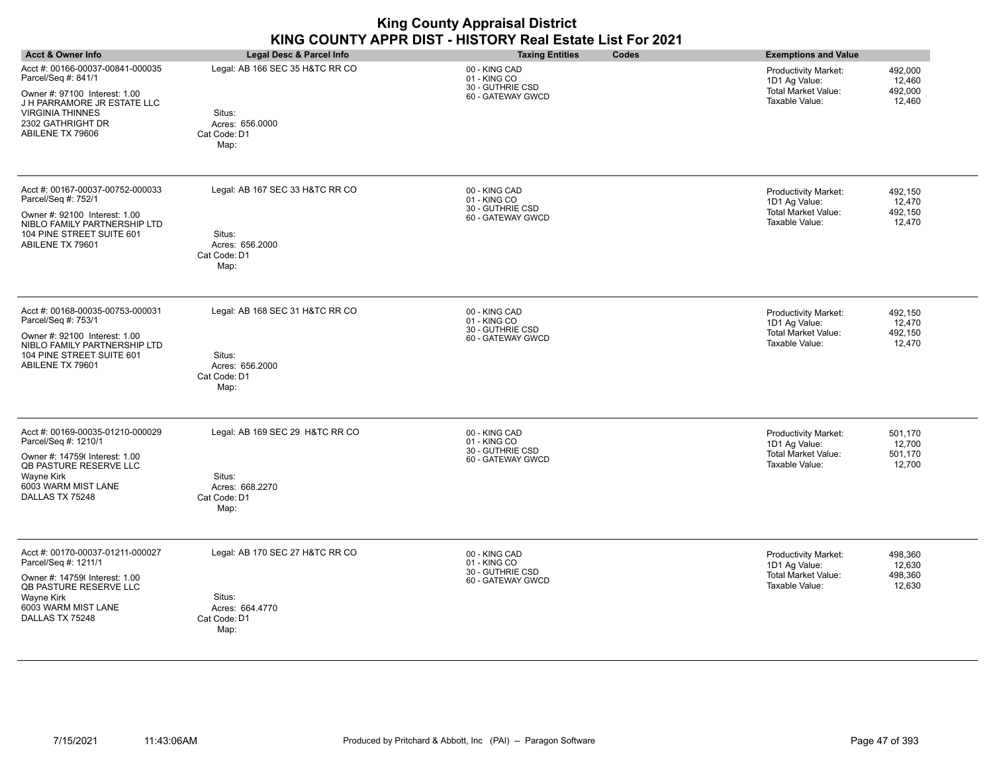| <b>King County Appraisal District</b>                     |  |
|-----------------------------------------------------------|--|
| KING COUNTY APPR DIST - HISTORY Real Estate List For 2021 |  |

| וואס טטווי - וטוס ראשון את האטטט<br>LJIAIT LIJI I VI<br>LVL I                                                                                                                               |                                                                                      |                                                                        |                                                                                                                                        |  |
|---------------------------------------------------------------------------------------------------------------------------------------------------------------------------------------------|--------------------------------------------------------------------------------------|------------------------------------------------------------------------|----------------------------------------------------------------------------------------------------------------------------------------|--|
| <b>Acct &amp; Owner Info</b>                                                                                                                                                                | Legal Desc & Parcel Info                                                             | <b>Taxing Entities</b><br>Codes                                        | <b>Exemptions and Value</b>                                                                                                            |  |
| Acct #: 00166-00037-00841-000035<br>Parcel/Seq #: 841/1<br>Owner #: 97100 Interest: 1.00<br>J H PARRAMORE JR ESTATE LLC<br><b>VIRGINIA THINNES</b><br>2302 GATHRIGHT DR<br>ABILENE TX 79606 | Legal: AB 166 SEC 35 H&TC RR CO<br>Situs:<br>Acres: 656.0000<br>Cat Code: D1<br>Map: | 00 - KING CAD<br>01 - KING CO<br>30 - GUTHRIE CSD<br>60 - GATEWAY GWCD | 492,000<br><b>Productivity Market:</b><br>12,460<br>1D1 Ag Value:<br>Total Market Value:<br>492,000<br>Taxable Value:<br>12,460        |  |
| Acct #: 00167-00037-00752-000033<br>Parcel/Seq #: 752/1<br>Owner #: 92100 Interest: 1.00<br>NIBLO FAMILY PARTNERSHIP LTD<br>104 PINE STREET SUITE 601<br>ABILENE TX 79601                   | Legal: AB 167 SEC 33 H&TC RR CO<br>Situs:<br>Acres: 656.2000<br>Cat Code: D1<br>Map: | 00 - KING CAD<br>01 - KING CO<br>30 - GUTHRIE CSD<br>60 - GATEWAY GWCD | <b>Productivity Market:</b><br>492,150<br>1D1 Ag Value:<br>12,470<br>Total Market Value:<br>492,150<br>Taxable Value:<br>12,470        |  |
| Acct #: 00168-00035-00753-000031<br>Parcel/Seq #: 753/1<br>Owner #: 92100 Interest: 1.00<br>NIBLO FAMILY PARTNERSHIP LTD<br>104 PINE STREET SUITE 601<br>ABILENE TX 79601                   | Legal: AB 168 SEC 31 H&TC RR CO<br>Situs:<br>Acres: 656.2000<br>Cat Code: D1<br>Map: | 00 - KING CAD<br>01 - KING CO<br>30 - GUTHRIE CSD<br>60 - GATEWAY GWCD | <b>Productivity Market:</b><br>492,150<br>1D1 Ag Value:<br>12,470<br><b>Total Market Value:</b><br>492,150<br>Taxable Value:<br>12,470 |  |
| Acct #: 00169-00035-01210-000029<br>Parcel/Seq #: 1210/1<br>Owner #: 14759( Interest: 1.00<br>QB PASTURE RESERVE LLC<br>Wayne Kirk<br>6003 WARM MIST LANE<br>DALLAS TX 75248                | Legal: AB 169 SEC 29 H&TC RR CO<br>Situs:<br>Acres: 668.2270<br>Cat Code: D1<br>Map: | 00 - KING CAD<br>01 - KING CO<br>30 - GUTHRIE CSD<br>60 - GATEWAY GWCD | <b>Productivity Market:</b><br>501,170<br>1D1 Ag Value:<br>12,700<br><b>Total Market Value:</b><br>501,170<br>Taxable Value:<br>12,700 |  |
| Acct #: 00170-00037-01211-000027<br>Parcel/Seq #: 1211/1<br>Owner #: 14759( Interest: 1.00<br>QB PASTURE RESERVE LLC<br>Wayne Kirk<br>6003 WARM MIST LANE<br>DALLAS TX 75248                | Legal: AB 170 SEC 27 H&TC RR CO<br>Situs:<br>Acres: 664.4770<br>Cat Code: D1<br>Map: | 00 - KING CAD<br>01 - KING CO<br>30 - GUTHRIE CSD<br>60 - GATEWAY GWCD | <b>Productivity Market:</b><br>498,360<br>1D1 Ag Value:<br>12,630<br>498,360<br>Total Market Value:<br>Taxable Value:<br>12,630        |  |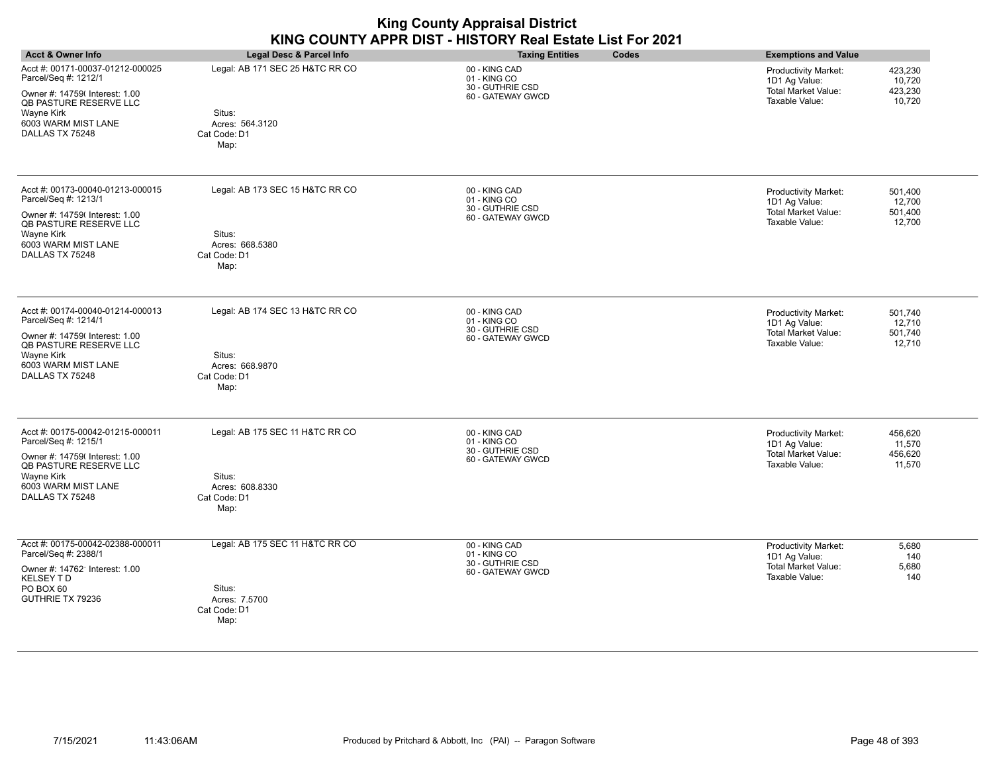| <b>Acct &amp; Owner Info</b>                                                                                                                                                 | Legal Desc & Parcel Info                                                             | <b>Taxing Entities</b><br>Codes                                        | <b>Exemptions and Value</b>                                                                                                            |
|------------------------------------------------------------------------------------------------------------------------------------------------------------------------------|--------------------------------------------------------------------------------------|------------------------------------------------------------------------|----------------------------------------------------------------------------------------------------------------------------------------|
| Acct #: 00171-00037-01212-000025<br>Parcel/Seq #: 1212/1<br>Owner #: 14759( Interest: 1.00<br>QB PASTURE RESERVE LLC<br>Wayne Kirk<br>6003 WARM MIST LANE<br>DALLAS TX 75248 | Legal: AB 171 SEC 25 H&TC RR CO<br>Situs:<br>Acres: 564.3120<br>Cat Code: D1<br>Map: | 00 - KING CAD<br>01 - KING CO<br>30 - GUTHRIE CSD<br>60 - GATEWAY GWCD | 423,230<br><b>Productivity Market:</b><br>1D1 Ag Value:<br>10,720<br><b>Total Market Value:</b><br>423,230<br>Taxable Value:<br>10,720 |
| Acct #: 00173-00040-01213-000015<br>Parcel/Seq #: 1213/1<br>Owner #: 14759( Interest: 1.00<br>QB PASTURE RESERVE LLC<br>Wayne Kirk<br>6003 WARM MIST LANE<br>DALLAS TX 75248 | Legal: AB 173 SEC 15 H&TC RR CO<br>Situs:<br>Acres: 668.5380<br>Cat Code: D1<br>Map: | 00 - KING CAD<br>01 - KING CO<br>30 - GUTHRIE CSD<br>60 - GATEWAY GWCD | Productivity Market:<br>501,400<br>1D1 Ag Value:<br>12,700<br>Total Market Value:<br>501,400<br>Taxable Value:<br>12,700               |
| Acct #: 00174-00040-01214-000013<br>Parcel/Seq #: 1214/1<br>Owner #: 14759( Interest: 1.00<br>QB PASTURE RESERVE LLC<br>Wayne Kirk<br>6003 WARM MIST LANE<br>DALLAS TX 75248 | Legal: AB 174 SEC 13 H&TC RR CO<br>Situs:<br>Acres: 668.9870<br>Cat Code: D1<br>Map: | 00 - KING CAD<br>01 - KING CO<br>30 - GUTHRIE CSD<br>60 - GATEWAY GWCD | 501,740<br>Productivity Market:<br>1D1 Ag Value:<br>12,710<br>Total Market Value:<br>501,740<br>Taxable Value:<br>12,710               |
| Acct #: 00175-00042-01215-000011<br>Parcel/Seq #: 1215/1<br>Owner #: 14759( Interest: 1.00<br>QB PASTURE RESERVE LLC<br>Wayne Kirk<br>6003 WARM MIST LANE<br>DALLAS TX 75248 | Legal: AB 175 SEC 11 H&TC RR CO<br>Situs:<br>Acres: 608.8330<br>Cat Code: D1<br>Map: | 00 - KING CAD<br>01 - KING CO<br>30 - GUTHRIE CSD<br>60 - GATEWAY GWCD | <b>Productivity Market:</b><br>456,620<br>1D1 Ag Value:<br>11,570<br><b>Total Market Value:</b><br>456,620<br>Taxable Value:<br>11,570 |
| Acct #: 00175-00042-02388-000011<br>Parcel/Seq #: 2388/1<br>Owner #: 14762' Interest: 1.00<br><b>KELSEY TD</b><br>PO BOX 60<br>GUTHRIE TX 79236                              | Legal: AB 175 SEC 11 H&TC RR CO<br>Situs:<br>Acres: 7.5700<br>Cat Code: D1<br>Map:   | 00 - KING CAD<br>01 - KING CO<br>30 - GUTHRIE CSD<br>60 - GATEWAY GWCD | 5,680<br><b>Productivity Market:</b><br>1D1 Ag Value:<br>140<br><b>Total Market Value:</b><br>5,680<br>Taxable Value:<br>140           |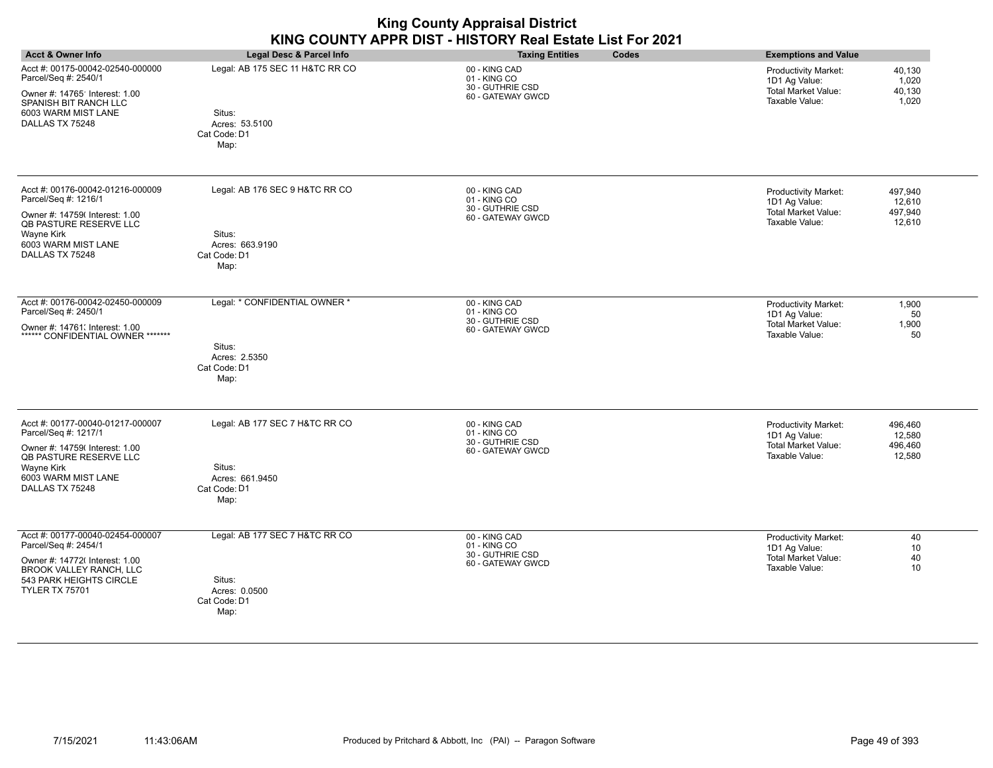|                                                                                                                                                                              |                                                                                     | <b>King County Appraisal District</b><br>KING COUNTY APPR DIST - HISTORY Real Estate List For 2021 |                                                                                                                                 |
|------------------------------------------------------------------------------------------------------------------------------------------------------------------------------|-------------------------------------------------------------------------------------|----------------------------------------------------------------------------------------------------|---------------------------------------------------------------------------------------------------------------------------------|
| <b>Acct &amp; Owner Info</b>                                                                                                                                                 | Legal Desc & Parcel Info                                                            | Codes<br><b>Taxing Entities</b>                                                                    | <b>Exemptions and Value</b>                                                                                                     |
| Acct #: 00175-00042-02540-000000<br>Parcel/Seq #: 2540/1<br>Owner #: 14765' Interest: 1.00<br>SPANISH BIT RANCH LLC<br>6003 WARM MIST LANE<br>DALLAS TX 75248                | Legal: AB 175 SEC 11 H&TC RR CO<br>Situs:<br>Acres: 53.5100<br>Cat Code: D1<br>Map: | 00 - KING CAD<br>01 - KING CO<br>30 - GUTHRIE CSD<br>60 - GATEWAY GWCD                             | 40,130<br><b>Productivity Market:</b><br>1D1 Ag Value:<br>1.020<br>Total Market Value:<br>40,130<br>Taxable Value:<br>1,020     |
| Acct #: 00176-00042-01216-000009<br>Parcel/Seq #: 1216/1<br>Owner #: 14759( Interest: 1.00<br>QB PASTURE RESERVE LLC<br>Wayne Kirk<br>6003 WARM MIST LANE<br>DALLAS TX 75248 | Legal: AB 176 SEC 9 H&TC RR CO<br>Situs:<br>Acres: 663.9190<br>Cat Code: D1<br>Map: | 00 - KING CAD<br>01 - KING CO<br>30 - GUTHRIE CSD<br>60 - GATEWAY GWCD                             | Productivity Market:<br>497,940<br>12,610<br>1D1 Ag Value:<br><b>Total Market Value:</b><br>497,940<br>Taxable Value:<br>12,610 |
| Acct #: 00176-00042-02450-000009<br>Parcel/Seq #: 2450/1<br>Owner #: 14761. Interest: 1.00<br>****** CONFIDENTIAL OWNER *******                                              | Legal: * CONFIDENTIAL OWNER *<br>Situs:<br>Acres: 2.5350<br>Cat Code: D1<br>Map:    | 00 - KING CAD<br>01 - KING CO<br>30 - GUTHRIE CSD<br>60 - GATEWAY GWCD                             | <b>Productivity Market:</b><br>1,900<br>1D1 Ag Value:<br>50<br><b>Total Market Value:</b><br>1,900<br>Taxable Value:<br>50      |
| Acct #: 00177-00040-01217-000007<br>Parcel/Seq #: 1217/1<br>Owner #: 14759(Interest: 1.00<br>QB PASTURE RESERVE LLC<br>Wayne Kirk<br>6003 WARM MIST LANE<br>DALLAS TX 75248  | Legal: AB 177 SEC 7 H&TC RR CO<br>Situs:<br>Acres: 661.9450<br>Cat Code: D1<br>Map: | 00 - KING CAD<br>01 - KING CO<br>30 - GUTHRIE CSD<br>60 - GATEWAY GWCD                             | Productivity Market:<br>496,460<br>12,580<br>1D1 Ag Value:<br><b>Total Market Value:</b><br>496,460<br>Taxable Value:<br>12,580 |
| Acct #: 00177-00040-02454-000007<br>Parcel/Seq #: 2454/1<br>Owner #: 14772( Interest: 1.00<br>BROOK VALLEY RANCH, LLC<br>543 PARK HEIGHTS CIRCLE<br><b>TYLER TX 75701</b>    | Legal: AB 177 SEC 7 H&TC RR CO<br>Situs:<br>Acres: 0.0500<br>Cat Code: D1<br>Map:   | 00 - KING CAD<br>01 - KING CO<br>30 - GUTHRIE CSD<br>60 - GATEWAY GWCD                             | Productivity Market:<br>40<br>1D1 Ag Value:<br>10<br>Total Market Value:<br>40<br>Taxable Value:<br>10                          |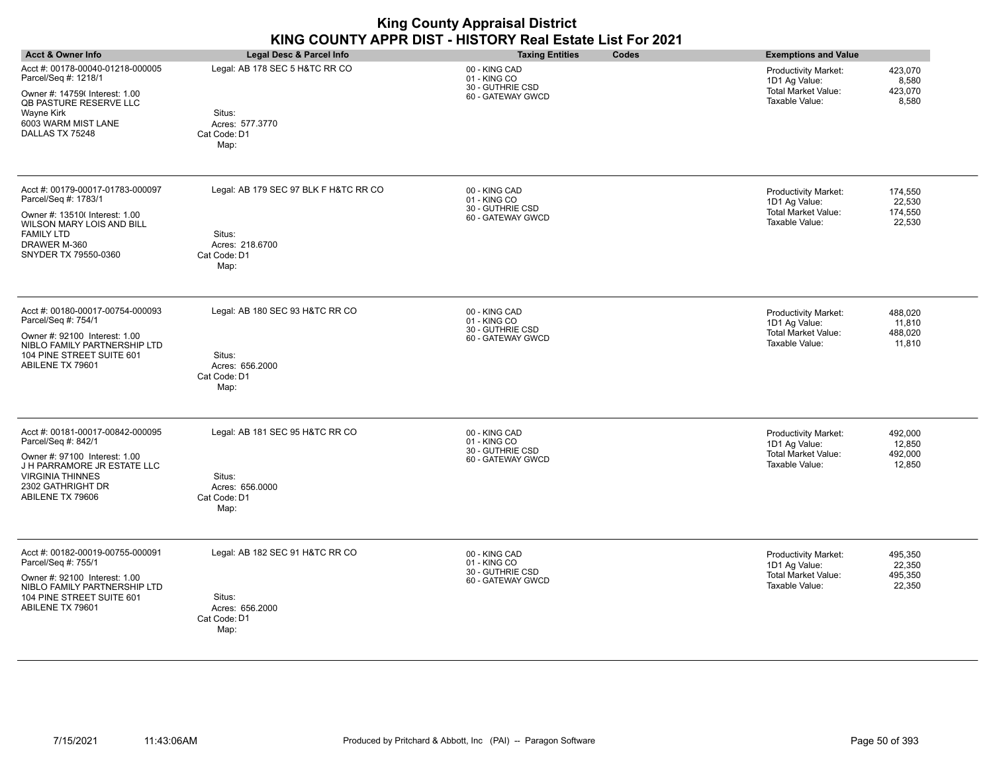| <b>Acct &amp; Owner Info</b>                                                                                                                                                                | Legal Desc & Parcel Info                                                                   | <b>Taxing Entities</b><br>Codes                                        | <b>Exemptions and Value</b>                                                                                                     |
|---------------------------------------------------------------------------------------------------------------------------------------------------------------------------------------------|--------------------------------------------------------------------------------------------|------------------------------------------------------------------------|---------------------------------------------------------------------------------------------------------------------------------|
| Acct #: 00178-00040-01218-000005<br>Parcel/Seq #: 1218/1<br>Owner #: 14759( Interest: 1.00<br>QB PASTURE RESERVE LLC<br>Wayne Kirk<br>6003 WARM MIST LANE<br>DALLAS TX 75248                | Legal: AB 178 SEC 5 H&TC RR CO<br>Situs:<br>Acres: 577.3770<br>Cat Code: D1<br>Map:        | 00 - KING CAD<br>01 - KING CO<br>30 - GUTHRIE CSD<br>60 - GATEWAY GWCD | Productivity Market:<br>423,070<br>1D1 Ag Value:<br>8,580<br><b>Total Market Value:</b><br>423,070<br>8,580<br>Taxable Value:   |
| Acct #: 00179-00017-01783-000097<br>Parcel/Seq #: 1783/1<br>Owner #: 13510( Interest: 1.00<br><b>WILSON MARY LOIS AND BILL</b><br><b>FAMILY LTD</b><br>DRAWER M-360<br>SNYDER TX 79550-0360 | Legal: AB 179 SEC 97 BLK F H&TC RR CO<br>Situs:<br>Acres: 218.6700<br>Cat Code: D1<br>Map: | 00 - KING CAD<br>01 - KING CO<br>30 - GUTHRIE CSD<br>60 - GATEWAY GWCD | Productivity Market:<br>174,550<br>22,530<br>1D1 Ag Value:<br>Total Market Value:<br>174,550<br>Taxable Value:<br>22,530        |
| Acct #: 00180-00017-00754-000093<br>Parcel/Seq #: 754/1<br>Owner #: 92100 Interest: 1.00<br>NIBLO FAMILY PARTNERSHIP LTD<br>104 PINE STREET SUITE 601<br><b>ABILENE TX 79601</b>            | Legal: AB 180 SEC 93 H&TC RR CO<br>Situs:<br>Acres: 656.2000<br>Cat Code: D1<br>Map:       | 00 - KING CAD<br>01 - KING CO<br>30 - GUTHRIE CSD<br>60 - GATEWAY GWCD | Productivity Market:<br>488,020<br>1D1 Ag Value:<br>11,810<br><b>Total Market Value:</b><br>488,020<br>Taxable Value:<br>11,810 |
| Acct #: 00181-00017-00842-000095<br>Parcel/Seq #: 842/1<br>Owner #: 97100 Interest: 1.00<br>J H PARRAMORE JR ESTATE LLC<br>VIRGINIA THINNES<br>2302 GATHRIGHT DR<br>ABILENE TX 79606        | Legal: AB 181 SEC 95 H&TC RR CO<br>Situs:<br>Acres: 656.0000<br>Cat Code: D1<br>Map:       | 00 - KING CAD<br>01 - KING CO<br>30 - GUTHRIE CSD<br>60 - GATEWAY GWCD | Productivity Market:<br>492,000<br>1D1 Ag Value:<br>12,850<br><b>Total Market Value:</b><br>492,000<br>Taxable Value:<br>12,850 |
| Acct #: 00182-00019-00755-000091<br>Parcel/Seq #: 755/1<br>Owner #: 92100 Interest: 1.00<br>NIBLO FAMILY PARTNERSHIP LTD<br>104 PINE STREET SUITE 601<br>ABILENE TX 79601                   | Legal: AB 182 SEC 91 H&TC RR CO<br>Situs:<br>Acres: 656.2000<br>Cat Code: D1<br>Map:       | 00 - KING CAD<br>01 - KING CO<br>30 - GUTHRIE CSD<br>60 - GATEWAY GWCD | Productivity Market:<br>495,350<br>1D1 Ag Value:<br>22,350<br><b>Total Market Value:</b><br>495,350<br>22,350<br>Taxable Value: |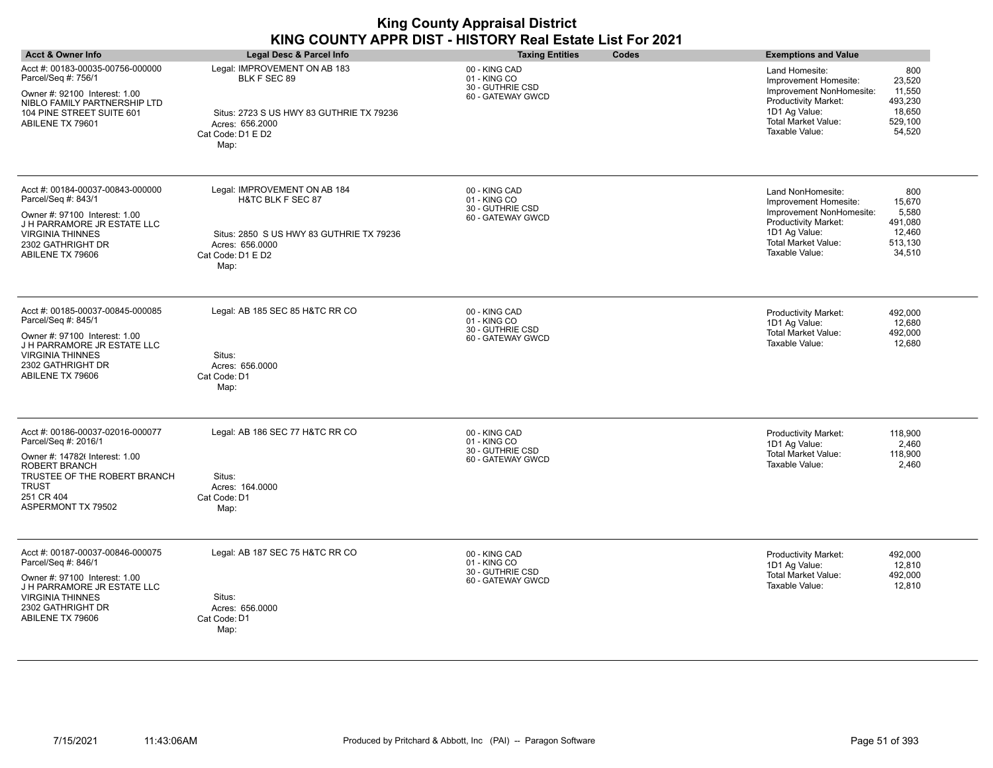| Acct #: 00183-00035-00756-000000<br>Legal: IMPROVEMENT ON AB 183<br>00 - KING CAD<br>800<br>Land Homesite:<br>01 - KING CO<br>BLK F SEC 89<br>23,520<br>Improvement Homesite:<br>30 - GUTHRIE CSD<br>11,550<br>Improvement NonHomesite:<br>60 - GATEWAY GWCD<br>Productivity Market:<br>493,230<br>NIBLO FAMILY PARTNERSHIP LTD<br>1D1 Ag Value:<br>18,650<br>Situs: 2723 S US HWY 83 GUTHRIE TX 79236<br>104 PINE STREET SUITE 601<br>Total Market Value:<br>529,100<br>Acres: 656.2000<br>Taxable Value:<br>54,520<br>Cat Code: D1 E D2<br>Map:<br>Legal: IMPROVEMENT ON AB 184<br>00 - KING CAD<br>Land NonHomesite:<br>800<br>Parcel/Seq #: 843/1<br>01 - KING CO<br><b>H&amp;TC BLK F SEC 87</b><br>15,670<br>Improvement Homesite:<br>30 - GUTHRIE CSD<br>5,580<br>Improvement NonHomesite:<br>Owner #: 97100 Interest: 1.00<br>60 - GATEWAY GWCD<br>Productivity Market:<br>491,080<br>J H PARRAMORE JR ESTATE LLC<br>1D1 Ag Value:<br>12,460<br>Situs: 2850 S US HWY 83 GUTHRIE TX 79236<br><b>Total Market Value:</b><br>513,130<br>2302 GATHRIGHT DR<br>Acres: 656.0000<br>Taxable Value:<br>34,510<br>ABILENE TX 79606<br>Cat Code: D1 E D2<br>Map:<br>Legal: AB 185 SEC 85 H&TC RR CO<br>00 - KING CAD<br>492,000<br>Productivity Market:<br>Parcel/Seq #: 845/1<br>01 - KING CO<br>1D1 Ag Value:<br>12,680<br>30 - GUTHRIE CSD<br>Total Market Value:<br>492,000<br>Owner #: 97100 Interest: 1.00<br>60 - GATEWAY GWCD<br>Taxable Value:<br>12,680<br>J H PARRAMORE JR ESTATE LLC<br>Situs:<br>Acres: 656.0000<br>ABILENE TX 79606<br>Cat Code: D1<br>Map:<br>Legal: AB 186 SEC 77 H&TC RR CO<br>00 - KING CAD<br>118,900<br>Productivity Market:<br>Parcel/Seq #: 2016/1<br>01 - KING CO<br>1D1 Ag Value:<br>2,460<br>30 - GUTHRIE CSD<br><b>Total Market Value:</b><br>118,900<br>Owner #: 147826 Interest: 1.00<br>60 - GATEWAY GWCD<br>Taxable Value:<br>2,460<br>ROBERT BRANCH<br>Situs:<br>Acres: 164.0000<br>251 CR 404<br>Cat Code: D1<br>ASPERMONT TX 79502<br>Map:<br>Legal: AB 187 SEC 75 H&TC RR CO<br>00 - KING CAD<br>492,000<br>Productivity Market:<br>01 - KING CO<br>1D1 Ag Value:<br>12,810<br>30 - GUTHRIE CSD<br><b>Total Market Value:</b><br>492,000<br>Owner #: 97100 Interest: 1.00<br>60 - GATEWAY GWCD<br>Taxable Value:<br>12,810<br>Situs:<br>2302 GATHRIGHT DR<br>Acres: 656.0000<br>ABILENE TX 79606<br>Cat Code: D1<br>Map: | <b>Acct &amp; Owner Info</b>                            | Legal Desc & Parcel Info | <b>Taxing Entities</b><br>Codes | <b>Exemptions and Value</b> |
|--------------------------------------------------------------------------------------------------------------------------------------------------------------------------------------------------------------------------------------------------------------------------------------------------------------------------------------------------------------------------------------------------------------------------------------------------------------------------------------------------------------------------------------------------------------------------------------------------------------------------------------------------------------------------------------------------------------------------------------------------------------------------------------------------------------------------------------------------------------------------------------------------------------------------------------------------------------------------------------------------------------------------------------------------------------------------------------------------------------------------------------------------------------------------------------------------------------------------------------------------------------------------------------------------------------------------------------------------------------------------------------------------------------------------------------------------------------------------------------------------------------------------------------------------------------------------------------------------------------------------------------------------------------------------------------------------------------------------------------------------------------------------------------------------------------------------------------------------------------------------------------------------------------------------------------------------------------------------------------------------------------------------------------------------------------------------------------------------------------------------------------------------------------------------------------------------------------------------------------------------------------------------------------------------------------------------------------------------------------------------|---------------------------------------------------------|--------------------------|---------------------------------|-----------------------------|
|                                                                                                                                                                                                                                                                                                                                                                                                                                                                                                                                                                                                                                                                                                                                                                                                                                                                                                                                                                                                                                                                                                                                                                                                                                                                                                                                                                                                                                                                                                                                                                                                                                                                                                                                                                                                                                                                                                                                                                                                                                                                                                                                                                                                                                                                                                                                                                          |                                                         |                          |                                 |                             |
|                                                                                                                                                                                                                                                                                                                                                                                                                                                                                                                                                                                                                                                                                                                                                                                                                                                                                                                                                                                                                                                                                                                                                                                                                                                                                                                                                                                                                                                                                                                                                                                                                                                                                                                                                                                                                                                                                                                                                                                                                                                                                                                                                                                                                                                                                                                                                                          | Parcel/Seq #: 756/1                                     |                          |                                 |                             |
|                                                                                                                                                                                                                                                                                                                                                                                                                                                                                                                                                                                                                                                                                                                                                                                                                                                                                                                                                                                                                                                                                                                                                                                                                                                                                                                                                                                                                                                                                                                                                                                                                                                                                                                                                                                                                                                                                                                                                                                                                                                                                                                                                                                                                                                                                                                                                                          | Owner #: 92100 Interest: 1.00                           |                          |                                 |                             |
|                                                                                                                                                                                                                                                                                                                                                                                                                                                                                                                                                                                                                                                                                                                                                                                                                                                                                                                                                                                                                                                                                                                                                                                                                                                                                                                                                                                                                                                                                                                                                                                                                                                                                                                                                                                                                                                                                                                                                                                                                                                                                                                                                                                                                                                                                                                                                                          |                                                         |                          |                                 |                             |
|                                                                                                                                                                                                                                                                                                                                                                                                                                                                                                                                                                                                                                                                                                                                                                                                                                                                                                                                                                                                                                                                                                                                                                                                                                                                                                                                                                                                                                                                                                                                                                                                                                                                                                                                                                                                                                                                                                                                                                                                                                                                                                                                                                                                                                                                                                                                                                          | ABILENE TX 79601                                        |                          |                                 |                             |
|                                                                                                                                                                                                                                                                                                                                                                                                                                                                                                                                                                                                                                                                                                                                                                                                                                                                                                                                                                                                                                                                                                                                                                                                                                                                                                                                                                                                                                                                                                                                                                                                                                                                                                                                                                                                                                                                                                                                                                                                                                                                                                                                                                                                                                                                                                                                                                          |                                                         |                          |                                 |                             |
|                                                                                                                                                                                                                                                                                                                                                                                                                                                                                                                                                                                                                                                                                                                                                                                                                                                                                                                                                                                                                                                                                                                                                                                                                                                                                                                                                                                                                                                                                                                                                                                                                                                                                                                                                                                                                                                                                                                                                                                                                                                                                                                                                                                                                                                                                                                                                                          |                                                         |                          |                                 |                             |
|                                                                                                                                                                                                                                                                                                                                                                                                                                                                                                                                                                                                                                                                                                                                                                                                                                                                                                                                                                                                                                                                                                                                                                                                                                                                                                                                                                                                                                                                                                                                                                                                                                                                                                                                                                                                                                                                                                                                                                                                                                                                                                                                                                                                                                                                                                                                                                          | Acct #: 00184-00037-00843-000000                        |                          |                                 |                             |
|                                                                                                                                                                                                                                                                                                                                                                                                                                                                                                                                                                                                                                                                                                                                                                                                                                                                                                                                                                                                                                                                                                                                                                                                                                                                                                                                                                                                                                                                                                                                                                                                                                                                                                                                                                                                                                                                                                                                                                                                                                                                                                                                                                                                                                                                                                                                                                          |                                                         |                          |                                 |                             |
|                                                                                                                                                                                                                                                                                                                                                                                                                                                                                                                                                                                                                                                                                                                                                                                                                                                                                                                                                                                                                                                                                                                                                                                                                                                                                                                                                                                                                                                                                                                                                                                                                                                                                                                                                                                                                                                                                                                                                                                                                                                                                                                                                                                                                                                                                                                                                                          |                                                         |                          |                                 |                             |
|                                                                                                                                                                                                                                                                                                                                                                                                                                                                                                                                                                                                                                                                                                                                                                                                                                                                                                                                                                                                                                                                                                                                                                                                                                                                                                                                                                                                                                                                                                                                                                                                                                                                                                                                                                                                                                                                                                                                                                                                                                                                                                                                                                                                                                                                                                                                                                          | <b>VIRGINIA THINNES</b>                                 |                          |                                 |                             |
|                                                                                                                                                                                                                                                                                                                                                                                                                                                                                                                                                                                                                                                                                                                                                                                                                                                                                                                                                                                                                                                                                                                                                                                                                                                                                                                                                                                                                                                                                                                                                                                                                                                                                                                                                                                                                                                                                                                                                                                                                                                                                                                                                                                                                                                                                                                                                                          |                                                         |                          |                                 |                             |
|                                                                                                                                                                                                                                                                                                                                                                                                                                                                                                                                                                                                                                                                                                                                                                                                                                                                                                                                                                                                                                                                                                                                                                                                                                                                                                                                                                                                                                                                                                                                                                                                                                                                                                                                                                                                                                                                                                                                                                                                                                                                                                                                                                                                                                                                                                                                                                          |                                                         |                          |                                 |                             |
|                                                                                                                                                                                                                                                                                                                                                                                                                                                                                                                                                                                                                                                                                                                                                                                                                                                                                                                                                                                                                                                                                                                                                                                                                                                                                                                                                                                                                                                                                                                                                                                                                                                                                                                                                                                                                                                                                                                                                                                                                                                                                                                                                                                                                                                                                                                                                                          | Acct #: 00185-00037-00845-000085                        |                          |                                 |                             |
|                                                                                                                                                                                                                                                                                                                                                                                                                                                                                                                                                                                                                                                                                                                                                                                                                                                                                                                                                                                                                                                                                                                                                                                                                                                                                                                                                                                                                                                                                                                                                                                                                                                                                                                                                                                                                                                                                                                                                                                                                                                                                                                                                                                                                                                                                                                                                                          |                                                         |                          |                                 |                             |
|                                                                                                                                                                                                                                                                                                                                                                                                                                                                                                                                                                                                                                                                                                                                                                                                                                                                                                                                                                                                                                                                                                                                                                                                                                                                                                                                                                                                                                                                                                                                                                                                                                                                                                                                                                                                                                                                                                                                                                                                                                                                                                                                                                                                                                                                                                                                                                          |                                                         |                          |                                 |                             |
|                                                                                                                                                                                                                                                                                                                                                                                                                                                                                                                                                                                                                                                                                                                                                                                                                                                                                                                                                                                                                                                                                                                                                                                                                                                                                                                                                                                                                                                                                                                                                                                                                                                                                                                                                                                                                                                                                                                                                                                                                                                                                                                                                                                                                                                                                                                                                                          | <b>VIRGINIA THINNES</b>                                 |                          |                                 |                             |
|                                                                                                                                                                                                                                                                                                                                                                                                                                                                                                                                                                                                                                                                                                                                                                                                                                                                                                                                                                                                                                                                                                                                                                                                                                                                                                                                                                                                                                                                                                                                                                                                                                                                                                                                                                                                                                                                                                                                                                                                                                                                                                                                                                                                                                                                                                                                                                          | 2302 GATHRIGHT DR                                       |                          |                                 |                             |
|                                                                                                                                                                                                                                                                                                                                                                                                                                                                                                                                                                                                                                                                                                                                                                                                                                                                                                                                                                                                                                                                                                                                                                                                                                                                                                                                                                                                                                                                                                                                                                                                                                                                                                                                                                                                                                                                                                                                                                                                                                                                                                                                                                                                                                                                                                                                                                          |                                                         |                          |                                 |                             |
|                                                                                                                                                                                                                                                                                                                                                                                                                                                                                                                                                                                                                                                                                                                                                                                                                                                                                                                                                                                                                                                                                                                                                                                                                                                                                                                                                                                                                                                                                                                                                                                                                                                                                                                                                                                                                                                                                                                                                                                                                                                                                                                                                                                                                                                                                                                                                                          | Acct #: 00186-00037-02016-000077                        |                          |                                 |                             |
|                                                                                                                                                                                                                                                                                                                                                                                                                                                                                                                                                                                                                                                                                                                                                                                                                                                                                                                                                                                                                                                                                                                                                                                                                                                                                                                                                                                                                                                                                                                                                                                                                                                                                                                                                                                                                                                                                                                                                                                                                                                                                                                                                                                                                                                                                                                                                                          |                                                         |                          |                                 |                             |
|                                                                                                                                                                                                                                                                                                                                                                                                                                                                                                                                                                                                                                                                                                                                                                                                                                                                                                                                                                                                                                                                                                                                                                                                                                                                                                                                                                                                                                                                                                                                                                                                                                                                                                                                                                                                                                                                                                                                                                                                                                                                                                                                                                                                                                                                                                                                                                          |                                                         |                          |                                 |                             |
|                                                                                                                                                                                                                                                                                                                                                                                                                                                                                                                                                                                                                                                                                                                                                                                                                                                                                                                                                                                                                                                                                                                                                                                                                                                                                                                                                                                                                                                                                                                                                                                                                                                                                                                                                                                                                                                                                                                                                                                                                                                                                                                                                                                                                                                                                                                                                                          | TRUSTEE OF THE ROBERT BRANCH                            |                          |                                 |                             |
|                                                                                                                                                                                                                                                                                                                                                                                                                                                                                                                                                                                                                                                                                                                                                                                                                                                                                                                                                                                                                                                                                                                                                                                                                                                                                                                                                                                                                                                                                                                                                                                                                                                                                                                                                                                                                                                                                                                                                                                                                                                                                                                                                                                                                                                                                                                                                                          | <b>TRUST</b>                                            |                          |                                 |                             |
|                                                                                                                                                                                                                                                                                                                                                                                                                                                                                                                                                                                                                                                                                                                                                                                                                                                                                                                                                                                                                                                                                                                                                                                                                                                                                                                                                                                                                                                                                                                                                                                                                                                                                                                                                                                                                                                                                                                                                                                                                                                                                                                                                                                                                                                                                                                                                                          |                                                         |                          |                                 |                             |
|                                                                                                                                                                                                                                                                                                                                                                                                                                                                                                                                                                                                                                                                                                                                                                                                                                                                                                                                                                                                                                                                                                                                                                                                                                                                                                                                                                                                                                                                                                                                                                                                                                                                                                                                                                                                                                                                                                                                                                                                                                                                                                                                                                                                                                                                                                                                                                          |                                                         |                          |                                 |                             |
|                                                                                                                                                                                                                                                                                                                                                                                                                                                                                                                                                                                                                                                                                                                                                                                                                                                                                                                                                                                                                                                                                                                                                                                                                                                                                                                                                                                                                                                                                                                                                                                                                                                                                                                                                                                                                                                                                                                                                                                                                                                                                                                                                                                                                                                                                                                                                                          | Acct #: 00187-00037-00846-000075<br>Parcel/Seq #: 846/1 |                          |                                 |                             |
|                                                                                                                                                                                                                                                                                                                                                                                                                                                                                                                                                                                                                                                                                                                                                                                                                                                                                                                                                                                                                                                                                                                                                                                                                                                                                                                                                                                                                                                                                                                                                                                                                                                                                                                                                                                                                                                                                                                                                                                                                                                                                                                                                                                                                                                                                                                                                                          |                                                         |                          |                                 |                             |
|                                                                                                                                                                                                                                                                                                                                                                                                                                                                                                                                                                                                                                                                                                                                                                                                                                                                                                                                                                                                                                                                                                                                                                                                                                                                                                                                                                                                                                                                                                                                                                                                                                                                                                                                                                                                                                                                                                                                                                                                                                                                                                                                                                                                                                                                                                                                                                          | J H PARRAMORE JR ESTATE LLC                             |                          |                                 |                             |
|                                                                                                                                                                                                                                                                                                                                                                                                                                                                                                                                                                                                                                                                                                                                                                                                                                                                                                                                                                                                                                                                                                                                                                                                                                                                                                                                                                                                                                                                                                                                                                                                                                                                                                                                                                                                                                                                                                                                                                                                                                                                                                                                                                                                                                                                                                                                                                          | <b>VIRGINIA THINNES</b>                                 |                          |                                 |                             |
|                                                                                                                                                                                                                                                                                                                                                                                                                                                                                                                                                                                                                                                                                                                                                                                                                                                                                                                                                                                                                                                                                                                                                                                                                                                                                                                                                                                                                                                                                                                                                                                                                                                                                                                                                                                                                                                                                                                                                                                                                                                                                                                                                                                                                                                                                                                                                                          |                                                         |                          |                                 |                             |
|                                                                                                                                                                                                                                                                                                                                                                                                                                                                                                                                                                                                                                                                                                                                                                                                                                                                                                                                                                                                                                                                                                                                                                                                                                                                                                                                                                                                                                                                                                                                                                                                                                                                                                                                                                                                                                                                                                                                                                                                                                                                                                                                                                                                                                                                                                                                                                          |                                                         |                          |                                 |                             |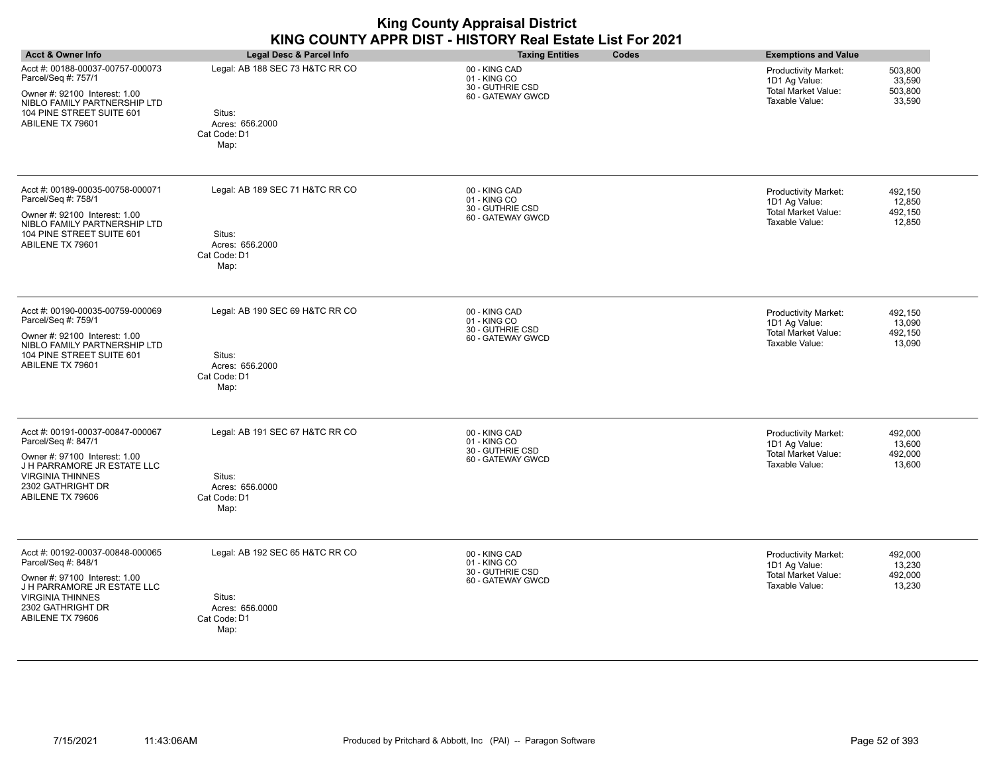| <b>King County Appraisal District</b><br>KING COUNTY APPR DIST - HISTORY Real Estate List For 2021                                                                                          |                                                                                      |                                                                        |                                                                                                                                        |
|---------------------------------------------------------------------------------------------------------------------------------------------------------------------------------------------|--------------------------------------------------------------------------------------|------------------------------------------------------------------------|----------------------------------------------------------------------------------------------------------------------------------------|
| <b>Acct &amp; Owner Info</b>                                                                                                                                                                | <b>Legal Desc &amp; Parcel Info</b>                                                  | <b>Taxing Entities</b><br>Codes                                        | <b>Exemptions and Value</b>                                                                                                            |
| Acct #: 00188-00037-00757-000073<br>Parcel/Seq #: 757/1<br>Owner #: 92100 Interest: 1.00<br>NIBLO FAMILY PARTNERSHIP LTD<br>104 PINE STREET SUITE 601<br>ABILENE TX 79601                   | Legal: AB 188 SEC 73 H&TC RR CO<br>Situs:<br>Acres: 656.2000<br>Cat Code: D1<br>Map: | 00 - KING CAD<br>01 - KING CO<br>30 - GUTHRIE CSD<br>60 - GATEWAY GWCD | 503,800<br><b>Productivity Market:</b><br>1D1 Ag Value:<br>33,590<br><b>Total Market Value:</b><br>503,800<br>Taxable Value:<br>33,590 |
| Acct #: 00189-00035-00758-000071<br>Parcel/Seq #: 758/1<br>Owner #: 92100 Interest: 1.00<br>NIBLO FAMILY PARTNERSHIP LTD<br>104 PINE STREET SUITE 601<br>ABILENE TX 79601                   | Legal: AB 189 SEC 71 H&TC RR CO<br>Situs:<br>Acres: 656.2000<br>Cat Code: D1<br>Map: | 00 - KING CAD<br>01 - KING CO<br>30 - GUTHRIE CSD<br>60 - GATEWAY GWCD | 492,150<br>Productivity Market:<br>1D1 Ag Value:<br>12,850<br><b>Total Market Value:</b><br>492,150<br>Taxable Value:<br>12,850        |
| Acct #: 00190-00035-00759-000069<br>Parcel/Seq #: 759/1<br>Owner #: 92100 Interest: 1.00<br>NIBLO FAMILY PARTNERSHIP LTD<br>104 PINE STREET SUITE 601<br>ABILENE TX 79601                   | Legal: AB 190 SEC 69 H&TC RR CO<br>Situs:<br>Acres: 656.2000<br>Cat Code: D1<br>Map: | 00 - KING CAD<br>01 - KING CO<br>30 - GUTHRIE CSD<br>60 - GATEWAY GWCD | Productivity Market:<br>492,150<br>1D1 Ag Value:<br>13,090<br><b>Total Market Value:</b><br>492,150<br>Taxable Value:<br>13,090        |
| Acct #: 00191-00037-00847-000067<br>Parcel/Seq #: 847/1<br>Owner #: 97100 Interest: 1.00<br>J H PARRAMORE JR ESTATE LLC<br><b>VIRGINIA THINNES</b><br>2302 GATHRIGHT DR<br>ABILENE TX 79606 | Legal: AB 191 SEC 67 H&TC RR CO<br>Situs:<br>Acres: 656.0000<br>Cat Code: D1<br>Map: | 00 - KING CAD<br>01 - KING CO<br>30 - GUTHRIE CSD<br>60 - GATEWAY GWCD | Productivity Market:<br>492,000<br>1D1 Ag Value:<br>13,600<br><b>Total Market Value:</b><br>492,000<br>Taxable Value:<br>13,600        |
| Acct #: 00192-00037-00848-000065<br>Parcel/Seq #: 848/1<br>Owner #: 97100 Interest: 1.00<br>J H PARRAMORE JR ESTATE LLC<br><b>VIRGINIA THINNES</b><br>2302 GATHRIGHT DR<br>ABILENE TX 79606 | Legal: AB 192 SEC 65 H&TC RR CO<br>Situs:<br>Acres: 656.0000<br>Cat Code: D1<br>Map: | 00 - KING CAD<br>01 - KING CO<br>30 - GUTHRIE CSD<br>60 - GATEWAY GWCD | Productivity Market:<br>492,000<br>1D1 Ag Value:<br>13,230<br><b>Total Market Value:</b><br>492,000<br>Taxable Value:<br>13,230        |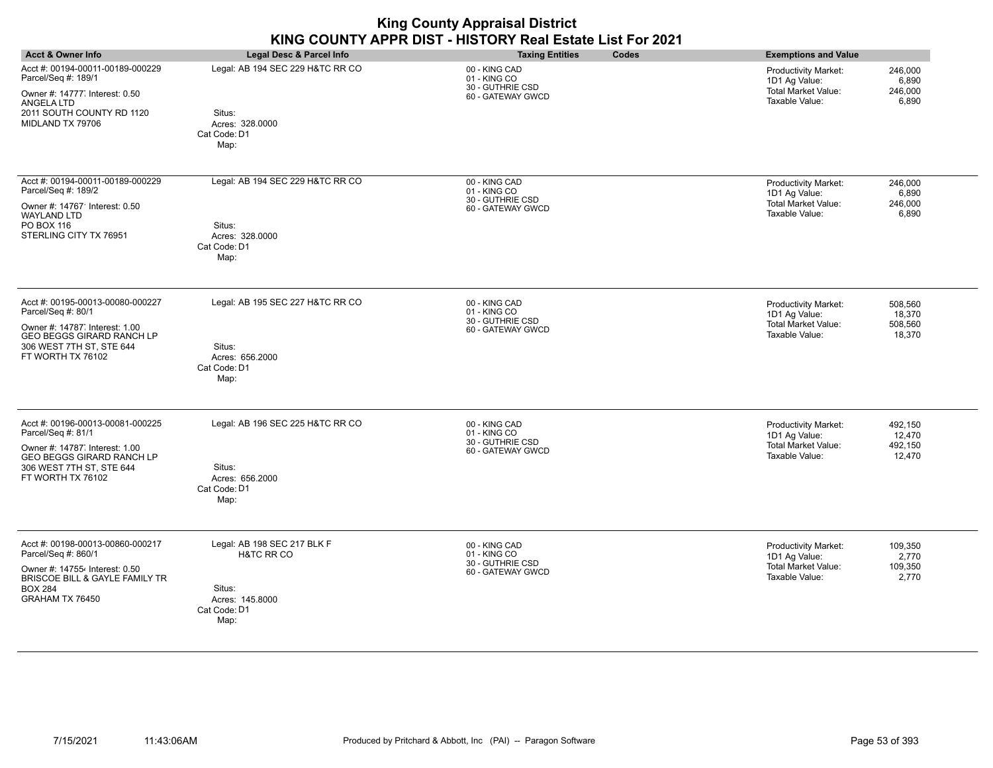| <b>Acct &amp; Owner Info</b>                                                                                                                                           | Legal Desc & Parcel Info                                                                                  | <b>Taxing Entities</b><br>Codes                                        | <b>Exemptions and Value</b>                                                                                                            |
|------------------------------------------------------------------------------------------------------------------------------------------------------------------------|-----------------------------------------------------------------------------------------------------------|------------------------------------------------------------------------|----------------------------------------------------------------------------------------------------------------------------------------|
| Acct #: 00194-00011-00189-000229<br>Parcel/Seq #: 189/1<br>Owner #: 14777, Interest: 0.50<br>ANGELA LTD<br>2011 SOUTH COUNTY RD 1120<br>MIDLAND TX 79706               | Legal: AB 194 SEC 229 H&TC RR CO<br>Situs:<br>Acres: 328.0000<br>Cat Code: D1<br>Map:                     | 00 - KING CAD<br>01 - KING CO<br>30 - GUTHRIE CSD<br>60 - GATEWAY GWCD | <b>Productivity Market:</b><br>246,000<br>1D1 Ag Value:<br>6,890<br><b>Total Market Value:</b><br>246,000<br>Taxable Value:<br>6,890   |
| Acct #: 00194-00011-00189-000229<br>Parcel/Seq #: 189/2<br>Owner #: 14767 Interest: 0.50<br><b>WAYLAND LTD</b><br>PO BOX 116<br>STERLING CITY TX 76951                 | Legal: AB 194 SEC 229 H&TC RR CO<br>Situs:<br>Acres: 328.0000<br>Cat Code: D1<br>Map:                     | 00 - KING CAD<br>01 - KING CO<br>30 - GUTHRIE CSD<br>60 - GATEWAY GWCD | 246,000<br><b>Productivity Market:</b><br>6,890<br>1D1 Ag Value:<br><b>Total Market Value:</b><br>246,000<br>Taxable Value:<br>6,890   |
| Acct #: 00195-00013-00080-000227<br>Parcel/Seq #: 80/1<br>Owner #: 14787 Interest: 1.00<br>GEO BEGGS GIRARD RANCH LP<br>306 WEST 7TH ST, STE 644<br>FT WORTH TX 76102  | Legal: AB 195 SEC 227 H&TC RR CO<br>Situs:<br>Acres: 656.2000<br>Cat Code: D1<br>Map:                     | 00 - KING CAD<br>01 - KING CO<br>30 - GUTHRIE CSD<br>60 - GATEWAY GWCD | 508,560<br><b>Productivity Market:</b><br>1D1 Ag Value:<br>18,370<br><b>Total Market Value:</b><br>508,560<br>Taxable Value:<br>18,370 |
| Acct #: 00196-00013-00081-000225<br>Parcel/Seq #: 81/1<br>Owner #: 14787, Interest: 1.00<br>GEO BEGGS GIRARD RANCH LP<br>306 WEST 7TH ST, STE 644<br>FT WORTH TX 76102 | Legal: AB 196 SEC 225 H&TC RR CO<br>Situs:<br>Acres: 656.2000<br>Cat Code: D1<br>Map:                     | 00 - KING CAD<br>01 - KING CO<br>30 - GUTHRIE CSD<br>60 - GATEWAY GWCD | <b>Productivity Market:</b><br>492,150<br>12,470<br>1D1 Ag Value:<br><b>Total Market Value:</b><br>492,150<br>Taxable Value:<br>12,470 |
| Acct #: 00198-00013-00860-000217<br>Parcel/Seq #: 860/1<br>Owner #: 147554 Interest: 0.50<br>BRISCOE BILL & GAYLE FAMILY TR<br><b>BOX 284</b><br>GRAHAM TX 76450       | Legal: AB 198 SEC 217 BLK F<br><b>H&amp;TC RR CO</b><br>Situs:<br>Acres: 145.8000<br>Cat Code: D1<br>Map: | 00 - KING CAD<br>01 - KING CO<br>30 - GUTHRIE CSD<br>60 - GATEWAY GWCD | Productivity Market:<br>109,350<br>1D1 Ag Value:<br>2,770<br><b>Total Market Value:</b><br>109,350<br>Taxable Value:<br>2,770          |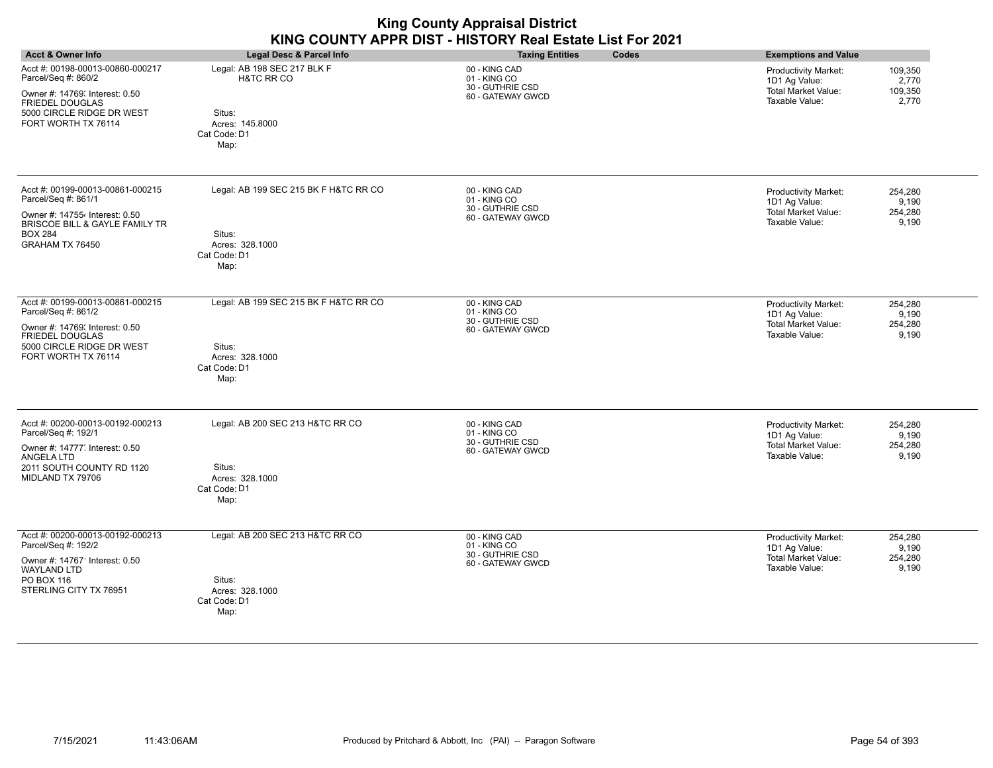|                                                                                                                                                                         |                                                                                                | <b>King County Appraisal District</b><br>KING COUNTY APPR DIST - HISTORY Real Estate List For 2021 |                                                                                                                                      |
|-------------------------------------------------------------------------------------------------------------------------------------------------------------------------|------------------------------------------------------------------------------------------------|----------------------------------------------------------------------------------------------------|--------------------------------------------------------------------------------------------------------------------------------------|
| <b>Acct &amp; Owner Info</b>                                                                                                                                            | Legal Desc & Parcel Info                                                                       | Codes<br><b>Taxing Entities</b>                                                                    | <b>Exemptions and Value</b>                                                                                                          |
| Acct #: 00198-00013-00860-000217<br>Parcel/Seq #: 860/2<br>Owner #: 14769; Interest: 0.50<br><b>FRIEDEL DOUGLAS</b><br>5000 CIRCLE RIDGE DR WEST<br>FORT WORTH TX 76114 | Legal: AB 198 SEC 217 BLK F<br>H&TC RR CO<br>Situs:<br>Acres: 145.8000<br>Cat Code: D1<br>Map: | 00 - KING CAD<br>01 - KING CO<br>30 - GUTHRIE CSD<br>60 - GATEWAY GWCD                             | Productivity Market:<br>109,350<br>1D1 Ag Value:<br>2.770<br>Total Market Value:<br>109,350<br>Taxable Value:<br>2,770               |
| Acct #: 00199-00013-00861-000215<br>Parcel/Seq #: 861/1<br>Owner #: 147554 Interest: 0.50<br>BRISCOE BILL & GAYLE FAMILY TR<br><b>BOX 284</b><br>GRAHAM TX 76450        | Legal: AB 199 SEC 215 BK F H&TC RR CO<br>Situs:<br>Acres: 328.1000<br>Cat Code: D1<br>Map:     | 00 - KING CAD<br>01 - KING CO<br>30 - GUTHRIE CSD<br>60 - GATEWAY GWCD                             | Productivity Market:<br>254,280<br>9,190<br>1D1 Ag Value:<br><b>Total Market Value:</b><br>254,280<br>Taxable Value:<br>9,190        |
| Acct #: 00199-00013-00861-000215<br>Parcel/Seq #: 861/2<br>Owner #: 14769; Interest: 0.50<br><b>FRIEDEL DOUGLAS</b><br>5000 CIRCLE RIDGE DR WEST<br>FORT WORTH TX 76114 | Legal: AB 199 SEC 215 BK F H&TC RR CO<br>Situs:<br>Acres: 328.1000<br>Cat Code: D1<br>Map:     | 00 - KING CAD<br>01 - KING CO<br>30 - GUTHRIE CSD<br>60 - GATEWAY GWCD                             | Productivity Market:<br>254,280<br>1D1 Ag Value:<br>9,190<br><b>Total Market Value:</b><br>254,280<br>Taxable Value:<br>9,190        |
| Acct #: 00200-00013-00192-000213<br>Parcel/Seq #: 192/1<br>Owner #: 14777, Interest: 0.50<br>ANGELA LTD<br>2011 SOUTH COUNTY RD 1120<br>MIDLAND TX 79706                | Legal: AB 200 SEC 213 H&TC RR CO<br>Situs:<br>Acres: 328.1000<br>Cat Code: D1<br>Map:          | 00 - KING CAD<br>01 - KING CO<br>30 - GUTHRIE CSD<br>60 - GATEWAY GWCD                             | 254,280<br><b>Productivity Market:</b><br>9,190<br>1D1 Ag Value:<br><b>Total Market Value:</b><br>254,280<br>Taxable Value:<br>9.190 |
| Acct #: 00200-00013-00192-000213<br>Parcel/Seq #: 192/2<br>Owner #: 14767 Interest: 0.50<br><b>WAYLAND LTD</b><br>PO BOX 116<br>STERLING CITY TX 76951                  | Legal: AB 200 SEC 213 H&TC RR CO<br>Situs:<br>Acres: 328.1000<br>Cat Code: D1<br>Map:          | 00 - KING CAD<br>01 - KING CO<br>30 - GUTHRIE CSD<br>60 - GATEWAY GWCD                             | Productivity Market:<br>254,280<br>1D1 Ag Value:<br>9,190<br>Total Market Value:<br>254,280<br>Taxable Value:<br>9,190               |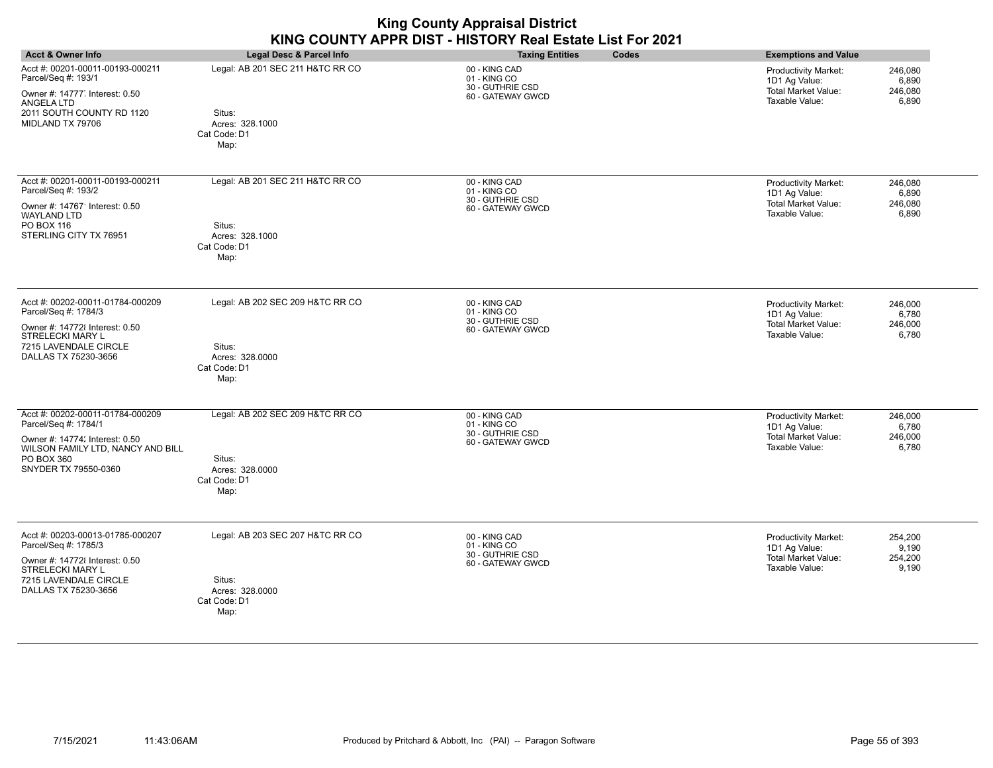| <b>Acct &amp; Owner Info</b>                                                                                                                                           | Legal Desc & Parcel Info                                                              | <b>Taxing Entities</b><br>Codes                                        | <b>Exemptions and Value</b>                                                                                                          |
|------------------------------------------------------------------------------------------------------------------------------------------------------------------------|---------------------------------------------------------------------------------------|------------------------------------------------------------------------|--------------------------------------------------------------------------------------------------------------------------------------|
| Acct #: 00201-00011-00193-000211<br>Parcel/Seq #: 193/1<br>Owner #: 14777 Interest: 0.50<br><b>ANGELA LTD</b><br>2011 SOUTH COUNTY RD 1120<br>MIDLAND TX 79706         | Legal: AB 201 SEC 211 H&TC RR CO<br>Situs:<br>Acres: 328.1000<br>Cat Code: D1<br>Map: | 00 - KING CAD<br>01 - KING CO<br>30 - GUTHRIE CSD<br>60 - GATEWAY GWCD | 246,080<br><b>Productivity Market:</b><br>1D1 Ag Value:<br>6,890<br><b>Total Market Value:</b><br>246,080<br>Taxable Value:<br>6,890 |
| Acct #: 00201-00011-00193-000211<br>Parcel/Seq #: 193/2<br>Owner #: 14767' Interest: 0.50<br>WAYLAND LTD<br>PO BOX 116<br>STERLING CITY TX 76951                       | Legal: AB 201 SEC 211 H&TC RR CO<br>Situs:<br>Acres: 328.1000<br>Cat Code: D1<br>Map: | 00 - KING CAD<br>01 - KING CO<br>30 - GUTHRIE CSD<br>60 - GATEWAY GWCD | <b>Productivity Market:</b><br>246,080<br>1D1 Ag Value:<br>6,890<br><b>Total Market Value:</b><br>246,080<br>Taxable Value:<br>6,890 |
| Acct #: 00202-00011-01784-000209<br>Parcel/Seq #: 1784/3<br>Owner #: 147728 Interest: 0.50<br>STRELECKI MARY L<br>7215 LAVENDALE CIRCLE<br>DALLAS TX 75230-3656        | Legal: AB 202 SEC 209 H&TC RR CO<br>Situs:<br>Acres: 328.0000<br>Cat Code: D1<br>Map: | 00 - KING CAD<br>01 - KING CO<br>30 - GUTHRIE CSD<br>60 - GATEWAY GWCD | 246,000<br><b>Productivity Market:</b><br>1D1 Ag Value:<br>6,780<br><b>Total Market Value:</b><br>246,000<br>Taxable Value:<br>6,780 |
| Acct #: 00202-00011-01784-000209<br>Parcel/Seq #: 1784/1<br>Owner #: 14774; Interest: 0.50<br>WILSON FAMILY LTD, NANCY AND BILL<br>PO BOX 360<br>SNYDER TX 79550-0360  | Legal: AB 202 SEC 209 H&TC RR CO<br>Situs:<br>Acres: 328.0000<br>Cat Code: D1<br>Map: | 00 - KING CAD<br>01 - KING CO<br>30 - GUTHRIE CSD<br>60 - GATEWAY GWCD | <b>Productivity Market:</b><br>246,000<br>1D1 Ag Value:<br>6,780<br><b>Total Market Value:</b><br>246,000<br>Taxable Value:<br>6,780 |
| Acct #: 00203-00013-01785-000207<br>Parcel/Seq #: 1785/3<br>Owner #: 147728 Interest: 0.50<br><b>STRELECKI MARY L</b><br>7215 LAVENDALE CIRCLE<br>DALLAS TX 75230-3656 | Legal: AB 203 SEC 207 H&TC RR CO<br>Situs:<br>Acres: 328.0000<br>Cat Code: D1<br>Map: | 00 - KING CAD<br>01 - KING CO<br>30 - GUTHRIE CSD<br>60 - GATEWAY GWCD | Productivity Market:<br>254,200<br>1D1 Ag Value:<br>9,190<br><b>Total Market Value:</b><br>254,200<br>Taxable Value:<br>9,190        |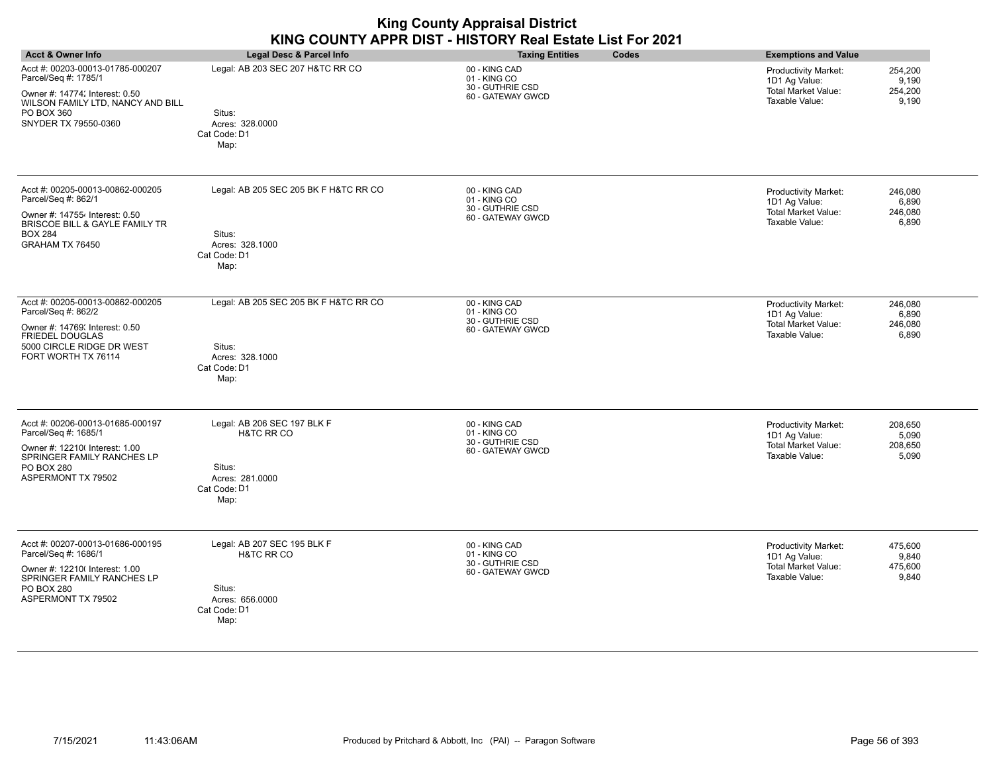| <b>Acct &amp; Owner Info</b>                                                                                                                                               | <b>Legal Desc &amp; Parcel Info</b>                                                                       | <b>Taxing Entities</b><br>Codes                                        | <b>Exemptions and Value</b>                                                                                                          |
|----------------------------------------------------------------------------------------------------------------------------------------------------------------------------|-----------------------------------------------------------------------------------------------------------|------------------------------------------------------------------------|--------------------------------------------------------------------------------------------------------------------------------------|
| Acct #: 00203-00013-01785-000207<br>Parcel/Seq #: 1785/1<br>Owner #: 14774; Interest: 0.50<br>WILSON FAMILY LTD, NANCY AND BILL<br>PO BOX 360<br>SNYDER TX 79550-0360      | Legal: AB 203 SEC 207 H&TC RR CO<br>Situs:<br>Acres: 328.0000<br>Cat Code: D1<br>Map:                     | 00 - KING CAD<br>01 - KING CO<br>30 - GUTHRIE CSD<br>60 - GATEWAY GWCD | 254,200<br><b>Productivity Market:</b><br>1D1 Ag Value:<br>9,190<br><b>Total Market Value:</b><br>254,200<br>Taxable Value:<br>9,190 |
| Acct #: 00205-00013-00862-000205<br>Parcel/Seq #: 862/1<br>Owner #: 147554 Interest: 0.50<br>BRISCOE BILL & GAYLE FAMILY TR<br><b>BOX 284</b><br>GRAHAM TX 76450           | Legal: AB 205 SEC 205 BK F H&TC RR CO<br>Situs:<br>Acres: 328.1000<br>Cat Code: D1<br>Map:                | 00 - KING CAD<br>01 - KING CO<br>30 - GUTHRIE CSD<br>60 - GATEWAY GWCD | Productivity Market:<br>246,080<br>6,890<br>1D1 Ag Value:<br><b>Total Market Value:</b><br>246,080<br>Taxable Value:<br>6,890        |
| Acct #: 00205-00013-00862-000205<br>Parcel/Seq #: 862/2<br>Owner #: 14769; Interest: 0.50<br><b>FRIEDEL DOUGLAS</b><br>5000 CIRCLE RIDGE DR WEST<br>FORT WORTH TX 76114    | Legal: AB 205 SEC 205 BK F H&TC RR CO<br>Situs:<br>Acres: 328.1000<br>Cat Code: D1<br>Map:                | 00 - KING CAD<br>01 - KING CO<br>30 - GUTHRIE CSD<br>60 - GATEWAY GWCD | Productivity Market:<br>246,080<br>1D1 Ag Value:<br>6,890<br><b>Total Market Value:</b><br>246,080<br>Taxable Value:<br>6,890        |
| Acct #: 00206-00013-01685-000197<br>Parcel/Seq #: 1685/1<br>Owner #: 12210( Interest: 1.00<br>SPRINGER FAMILY RANCHES LP<br>PO BOX 280<br>ASPERMONT TX 79502               | Legal: AB 206 SEC 197 BLK F<br><b>H&amp;TC RR CO</b><br>Situs:<br>Acres: 281,0000<br>Cat Code: D1<br>Map: | 00 - KING CAD<br>01 - KING CO<br>30 - GUTHRIE CSD<br>60 - GATEWAY GWCD | <b>Productivity Market:</b><br>208,650<br>1D1 Ag Value:<br>5,090<br><b>Total Market Value:</b><br>208,650<br>Taxable Value:<br>5,090 |
| Acct #: 00207-00013-01686-000195<br>Parcel/Seq #: 1686/1<br>Owner #: 12210( Interest: 1.00<br>SPRINGER FAMILY RANCHES LP<br><b>PO BOX 280</b><br><b>ASPERMONT TX 79502</b> | Legal: AB 207 SEC 195 BLK F<br><b>H&amp;TC RR CO</b><br>Situs:<br>Acres: 656.0000<br>Cat Code: D1<br>Map: | 00 - KING CAD<br>01 - KING CO<br>30 - GUTHRIE CSD<br>60 - GATEWAY GWCD | 475,600<br>Productivity Market:<br>1D1 Ag Value:<br>9,840<br><b>Total Market Value:</b><br>475,600<br>Taxable Value:<br>9,840        |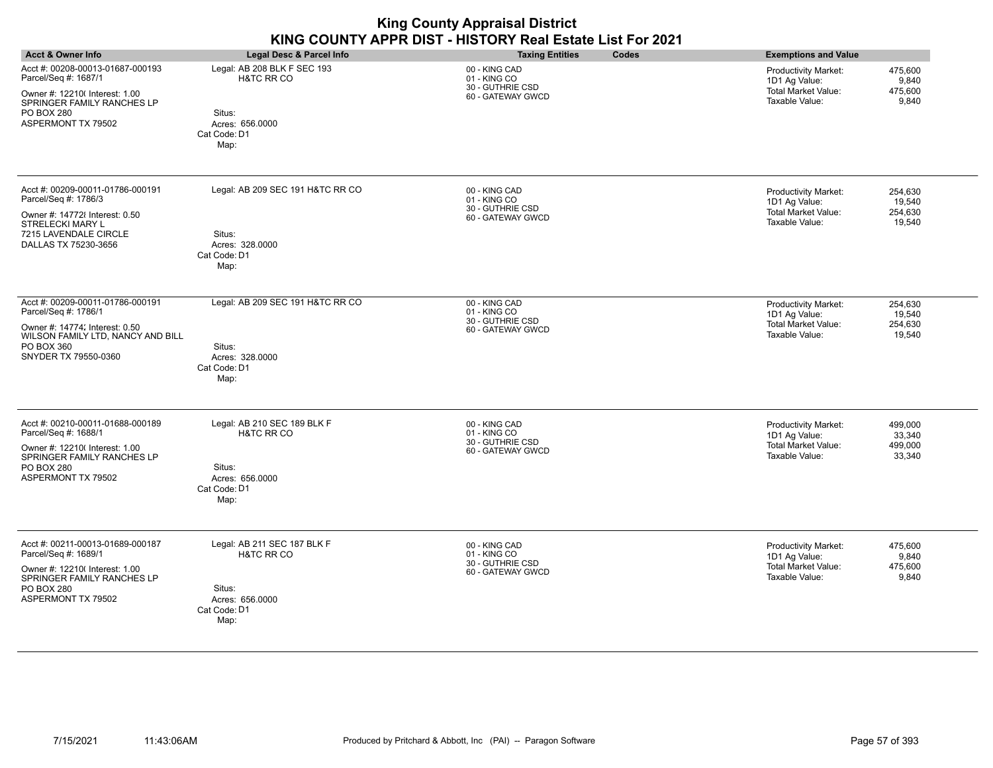| <b>King County Appraisal District</b><br>KING COUNTY APPR DIST - HISTORY Real Estate List For 2021                                                                    |                                                                                                           |                                                                        |                                                                                                                                 |  |
|-----------------------------------------------------------------------------------------------------------------------------------------------------------------------|-----------------------------------------------------------------------------------------------------------|------------------------------------------------------------------------|---------------------------------------------------------------------------------------------------------------------------------|--|
| <b>Acct &amp; Owner Info</b>                                                                                                                                          | <b>Legal Desc &amp; Parcel Info</b>                                                                       | Codes<br><b>Taxing Entities</b>                                        | <b>Exemptions and Value</b>                                                                                                     |  |
| Acct #: 00208-00013-01687-000193<br>Parcel/Seq #: 1687/1<br>Owner #: 12210( Interest: 1.00<br>SPRINGER FAMILY RANCHES LP<br><b>PO BOX 280</b><br>ASPERMONT TX 79502   | Legal: AB 208 BLK F SEC 193<br><b>H&amp;TC RR CO</b><br>Situs:<br>Acres: 656,0000<br>Cat Code: D1<br>Map: | 00 - KING CAD<br>01 - KING CO<br>30 - GUTHRIE CSD<br>60 - GATEWAY GWCD | 475,600<br>Productivity Market:<br>1D1 Ag Value:<br>9,840<br><b>Total Market Value:</b><br>475,600<br>Taxable Value:<br>9.840   |  |
| Acct #: 00209-00011-01786-000191<br>Parcel/Seq #: 1786/3<br>Owner #: 147728 Interest: 0.50<br>STRELECKI MARY L<br>7215 LAVENDALE CIRCLE<br>DALLAS TX 75230-3656       | Legal: AB 209 SEC 191 H&TC RR CO<br>Situs:<br>Acres: 328,0000<br>Cat Code: D1<br>Map:                     | 00 - KING CAD<br>01 - KING CO<br>30 - GUTHRIE CSD<br>60 - GATEWAY GWCD | Productivity Market:<br>254,630<br>1D1 Ag Value:<br>19,540<br><b>Total Market Value:</b><br>254,630<br>Taxable Value:<br>19,540 |  |
| Acct #: 00209-00011-01786-000191<br>Parcel/Seq #: 1786/1<br>Owner #: 14774; Interest: 0.50<br>WILSON FAMILY LTD, NANCY AND BILL<br>PO BOX 360<br>SNYDER TX 79550-0360 | Legal: AB 209 SEC 191 H&TC RR CO<br>Situs:<br>Acres: 328.0000<br>Cat Code: D1<br>Map:                     | 00 - KING CAD<br>01 - KING CO<br>30 - GUTHRIE CSD<br>60 - GATEWAY GWCD | 254.630<br>Productivity Market:<br>1D1 Ag Value:<br>19,540<br><b>Total Market Value:</b><br>254,630<br>Taxable Value:<br>19,540 |  |
| Acct #: 00210-00011-01688-000189<br>Parcel/Seq #: 1688/1<br>Owner #: 12210( Interest: 1.00<br>SPRINGER FAMILY RANCHES LP<br><b>PO BOX 280</b><br>ASPERMONT TX 79502   | Legal: AB 210 SEC 189 BLK F<br><b>H&amp;TC RR CO</b><br>Situs:<br>Acres: 656.0000<br>Cat Code: D1<br>Map: | 00 - KING CAD<br>01 - KING CO<br>30 - GUTHRIE CSD<br>60 - GATEWAY GWCD | 499,000<br>Productivity Market:<br>1D1 Ag Value:<br>33,340<br><b>Total Market Value:</b><br>499,000<br>Taxable Value:<br>33,340 |  |
| Acct #: 00211-00013-01689-000187<br>Parcel/Seq #: 1689/1<br>Owner #: 12210( Interest: 1.00<br>SPRINGER FAMILY RANCHES LP<br><b>PO BOX 280</b><br>ASPERMONT TX 79502   | Legal: AB 211 SEC 187 BLK F<br><b>H&amp;TC RR CO</b><br>Situs:<br>Acres: 656.0000<br>Cat Code: D1<br>Map: | 00 - KING CAD<br>01 - KING CO<br>30 - GUTHRIE CSD<br>60 - GATEWAY GWCD | Productivity Market:<br>475,600<br>1D1 Ag Value:<br>9,840<br><b>Total Market Value:</b><br>475,600<br>Taxable Value:<br>9,840   |  |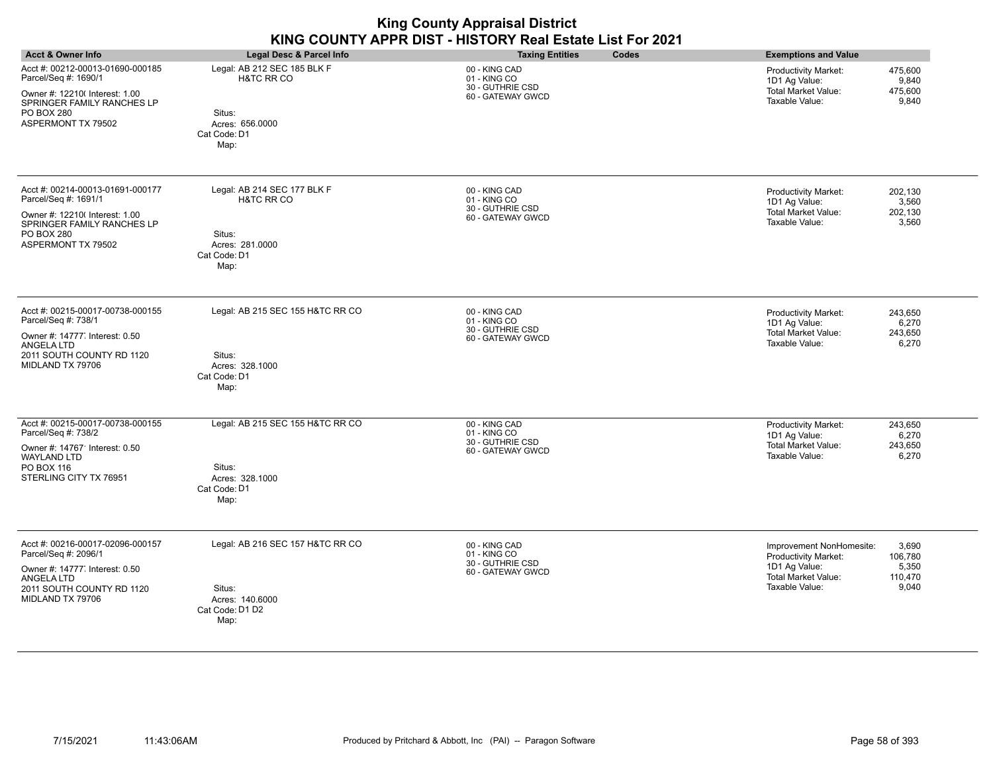| <b>King County Appraisal District</b><br>KING COUNTY APPR DIST - HISTORY Real Estate List For 2021                                                           |                                                                                                           |                                                                        |                                                                                                                                                                    |  |
|--------------------------------------------------------------------------------------------------------------------------------------------------------------|-----------------------------------------------------------------------------------------------------------|------------------------------------------------------------------------|--------------------------------------------------------------------------------------------------------------------------------------------------------------------|--|
| <b>Acct &amp; Owner Info</b>                                                                                                                                 | <b>Legal Desc &amp; Parcel Info</b>                                                                       | <b>Taxing Entities</b><br>Codes                                        | <b>Exemptions and Value</b>                                                                                                                                        |  |
| Acct #: 00212-00013-01690-000185<br>Parcel/Seq #: 1690/1<br>Owner #: 12210( Interest: 1.00<br>SPRINGER FAMILY RANCHES LP<br>PO BOX 280<br>ASPERMONT TX 79502 | Legal: AB 212 SEC 185 BLK F<br><b>H&amp;TC RR CO</b><br>Situs:<br>Acres: 656.0000<br>Cat Code: D1<br>Map: | 00 - KING CAD<br>01 - KING CO<br>30 - GUTHRIE CSD<br>60 - GATEWAY GWCD | Productivity Market:<br>475,600<br>1D1 Ag Value:<br>9,840<br><b>Total Market Value:</b><br>475,600<br>Taxable Value:<br>9,840                                      |  |
| Acct #: 00214-00013-01691-000177<br>Parcel/Seq #: 1691/1<br>Owner #: 12210( Interest: 1.00<br>SPRINGER FAMILY RANCHES LP<br>PO BOX 280<br>ASPERMONT TX 79502 | Legal: AB 214 SEC 177 BLK F<br><b>H&amp;TC RR CO</b><br>Situs:<br>Acres: 281.0000<br>Cat Code: D1<br>Map: | 00 - KING CAD<br>01 - KING CO<br>30 - GUTHRIE CSD<br>60 - GATEWAY GWCD | Productivity Market:<br>202,130<br>1D1 Ag Value:<br>3,560<br><b>Total Market Value:</b><br>202,130<br>Taxable Value:<br>3,560                                      |  |
| Acct #: 00215-00017-00738-000155<br>Parcel/Seq #: 738/1<br>Owner #: 14777 Interest: 0.50<br>ANGELA LTD<br>2011 SOUTH COUNTY RD 1120<br>MIDLAND TX 79706      | Legal: AB 215 SEC 155 H&TC RR CO<br>Situs:<br>Acres: 328.1000<br>Cat Code: D1<br>Map:                     | 00 - KING CAD<br>01 - KING CO<br>30 - GUTHRIE CSD<br>60 - GATEWAY GWCD | Productivity Market:<br>243,650<br>1D1 Ag Value:<br>6,270<br><b>Total Market Value:</b><br>243,650<br>Taxable Value:<br>6,270                                      |  |
| Acct #: 00215-00017-00738-000155<br>Parcel/Seq #: 738/2<br>Owner #: 14767 ' Interest: 0.50<br><b>WAYLAND LTD</b><br>PO BOX 116<br>STERLING CITY TX 76951     | Legal: AB 215 SEC 155 H&TC RR CO<br>Situs:<br>Acres: 328.1000<br>Cat Code: D1<br>Map:                     | 00 - KING CAD<br>01 - KING CO<br>30 - GUTHRIE CSD<br>60 - GATEWAY GWCD | Productivity Market:<br>243,650<br>1D1 Ag Value:<br>6.270<br><b>Total Market Value:</b><br>243,650<br>Taxable Value:<br>6,270                                      |  |
| Acct #: 00216-00017-02096-000157<br>Parcel/Seq #: 2096/1<br>Owner #: 14777. Interest: 0.50<br>ANGELA LTD<br>2011 SOUTH COUNTY RD 1120<br>MIDLAND TX 79706    | Legal: AB 216 SEC 157 H&TC RR CO<br>Situs:<br>Acres: 140.6000<br>Cat Code: D1 D2<br>Map:                  | 00 - KING CAD<br>01 - KING CO<br>30 - GUTHRIE CSD<br>60 - GATEWAY GWCD | 3,690<br>Improvement NonHomesite:<br>Productivity Market:<br>106,780<br>1D1 Ag Value:<br>5,350<br><b>Total Market Value:</b><br>110.470<br>Taxable Value:<br>9,040 |  |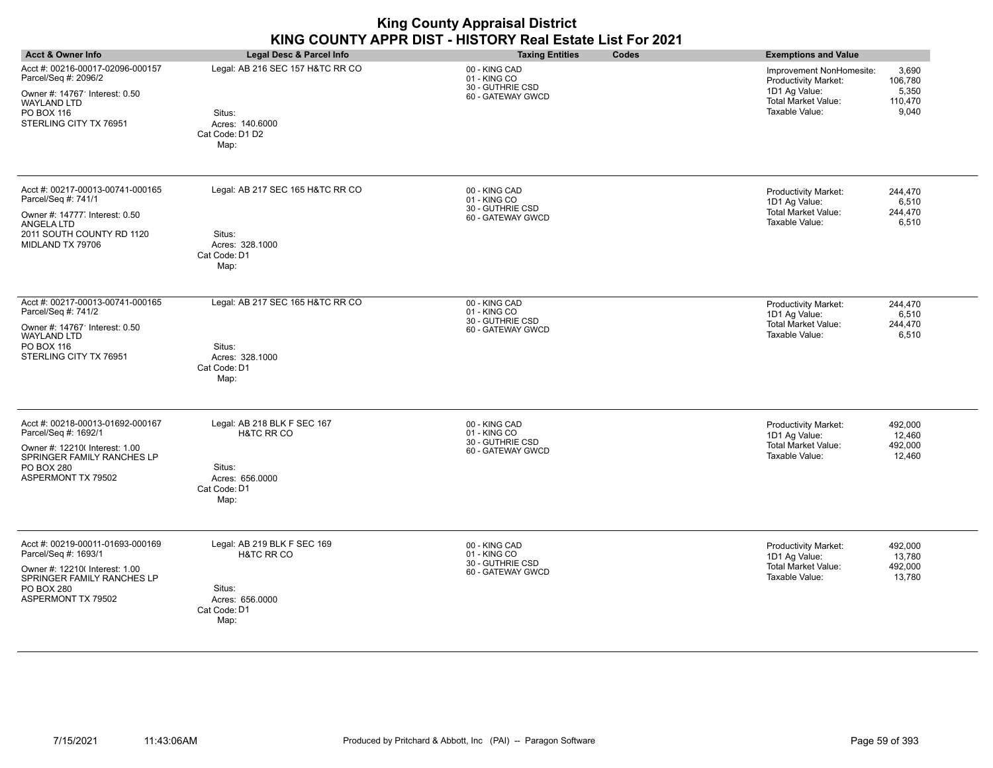| <b>Acct &amp; Owner Info</b>                                                                                                                                 | Legal Desc & Parcel Info                                                                       | <b>Taxing Entities</b><br>Codes                                        | <b>Exemptions and Value</b>                                                                                                                                        |
|--------------------------------------------------------------------------------------------------------------------------------------------------------------|------------------------------------------------------------------------------------------------|------------------------------------------------------------------------|--------------------------------------------------------------------------------------------------------------------------------------------------------------------|
| Acct #: 00216-00017-02096-000157<br>Parcel/Seq #: 2096/2<br>Owner #: 14767 ' Interest: 0.50<br><b>WAYLAND LTD</b><br>PO BOX 116<br>STERLING CITY TX 76951    | Legal: AB 216 SEC 157 H&TC RR CO<br>Situs:<br>Acres: 140.6000<br>Cat Code: D1 D2<br>Map:       | 00 - KING CAD<br>01 - KING CO<br>30 - GUTHRIE CSD<br>60 - GATEWAY GWCD | 3,690<br>Improvement NonHomesite:<br>106,780<br><b>Productivity Market:</b><br>5,350<br>1D1 Ag Value:<br>Total Market Value:<br>110,470<br>Taxable Value:<br>9,040 |
| Acct #: 00217-00013-00741-000165<br>Parcel/Seq #: 741/1<br>Owner #: 14777. Interest: 0.50<br>ANGELA LTD<br>2011 SOUTH COUNTY RD 1120<br>MIDLAND TX 79706     | Legal: AB 217 SEC 165 H&TC RR CO<br>Situs:<br>Acres: 328.1000<br>Cat Code: D1<br>Map:          | 00 - KING CAD<br>01 - KING CO<br>30 - GUTHRIE CSD<br>60 - GATEWAY GWCD | <b>Productivity Market:</b><br>244,470<br>1D1 Ag Value:<br>6,510<br><b>Total Market Value:</b><br>244,470<br>Taxable Value:<br>6,510                               |
| Acct #: 00217-00013-00741-000165<br>Parcel/Seq #: 741/2<br>Owner #: 14767' Interest: 0.50<br>WAYLAND LTD<br>PO BOX 116<br>STERLING CITY TX 76951             | Legal: AB 217 SEC 165 H&TC RR CO<br>Situs:<br>Acres: 328.1000<br>Cat Code: D1<br>Map:          | 00 - KING CAD<br>01 - KING CO<br>30 - GUTHRIE CSD<br>60 - GATEWAY GWCD | <b>Productivity Market:</b><br>244,470<br>1D1 Ag Value:<br>6,510<br>Total Market Value:<br>244,470<br>Taxable Value:<br>6,510                                      |
| Acct #: 00218-00013-01692-000167<br>Parcel/Seq #: 1692/1<br>Owner #: 12210( Interest: 1.00<br>SPRINGER FAMILY RANCHES LP<br>PO BOX 280<br>ASPERMONT TX 79502 | Legal: AB 218 BLK F SEC 167<br>H&TC RR CO<br>Situs:<br>Acres: 656.0000<br>Cat Code: D1<br>Map: | 00 - KING CAD<br>01 - KING CO<br>30 - GUTHRIE CSD<br>60 - GATEWAY GWCD | 492,000<br><b>Productivity Market:</b><br>1D1 Ag Value:<br>12,460<br><b>Total Market Value:</b><br>492,000<br>Taxable Value:<br>12,460                             |
| Acct #: 00219-00011-01693-000169<br>Parcel/Seq #: 1693/1<br>Owner #: 12210( Interest: 1.00<br>SPRINGER FAMILY RANCHES LP<br>PO BOX 280<br>ASPERMONT TX 79502 | Legal: AB 219 BLK F SEC 169<br>H&TC RR CO<br>Situs:<br>Acres: 656.0000<br>Cat Code: D1<br>Map: | 00 - KING CAD<br>01 - KING CO<br>30 - GUTHRIE CSD<br>60 - GATEWAY GWCD | 492,000<br><b>Productivity Market:</b><br>1D1 Ag Value:<br>13,780<br>Total Market Value:<br>492,000<br>Taxable Value:<br>13,780                                    |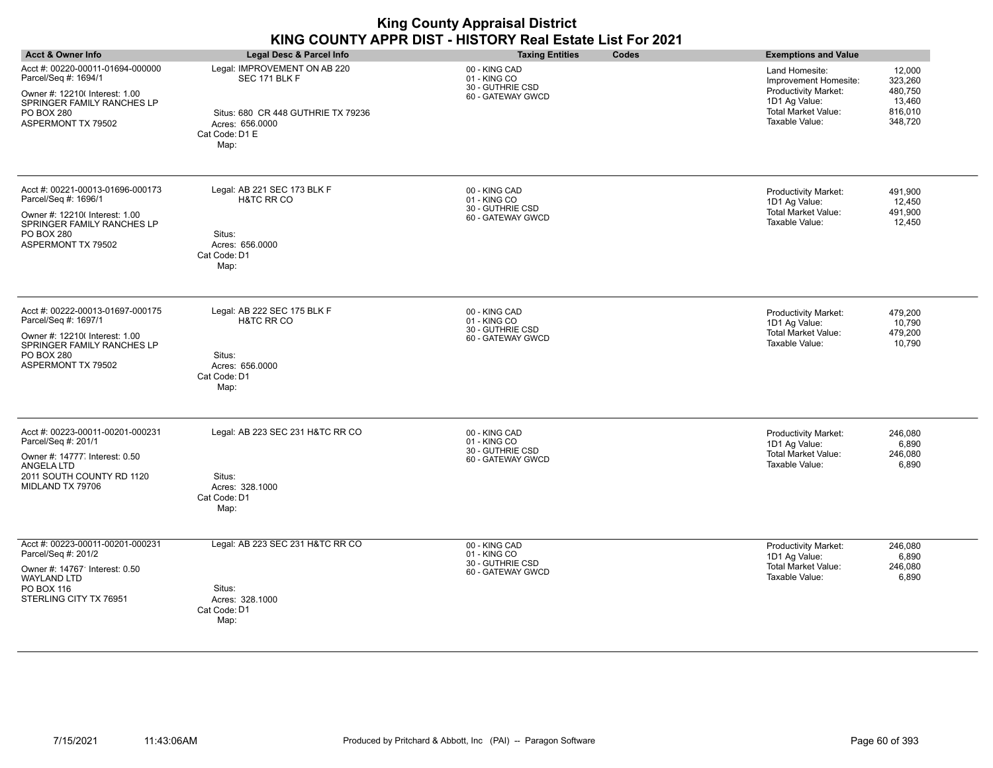| <b>Acct &amp; Owner Info</b>                                                                                                                                 | Legal Desc & Parcel Info                                                                                                         | <b>Taxing Entities</b><br>Codes                                        | <b>Exemptions and Value</b>                                                                                                                                                               |
|--------------------------------------------------------------------------------------------------------------------------------------------------------------|----------------------------------------------------------------------------------------------------------------------------------|------------------------------------------------------------------------|-------------------------------------------------------------------------------------------------------------------------------------------------------------------------------------------|
| Acct #: 00220-00011-01694-000000<br>Parcel/Seq #: 1694/1<br>Owner #: 12210( Interest: 1.00<br>SPRINGER FAMILY RANCHES LP<br>PO BOX 280<br>ASPERMONT TX 79502 | Legal: IMPROVEMENT ON AB 220<br>SEC 171 BLK F<br>Situs: 680 CR 448 GUTHRIE TX 79236<br>Acres: 656.0000<br>Cat Code: D1 E<br>Map: | 00 - KING CAD<br>01 - KING CO<br>30 - GUTHRIE CSD<br>60 - GATEWAY GWCD | Land Homesite:<br>12,000<br>323,260<br>Improvement Homesite:<br>480,750<br>Productivity Market:<br>1D1 Ag Value:<br>13,460<br>Total Market Value:<br>816,010<br>Taxable Value:<br>348,720 |
| Acct #: 00221-00013-01696-000173<br>Parcel/Seq #: 1696/1<br>Owner #: 12210( Interest: 1.00<br>SPRINGER FAMILY RANCHES LP<br>PO BOX 280<br>ASPERMONT TX 79502 | Legal: AB 221 SEC 173 BLK F<br>H&TC RR CO<br>Situs:<br>Acres: 656.0000<br>Cat Code: D1<br>Map:                                   | 00 - KING CAD<br>01 - KING CO<br>30 - GUTHRIE CSD<br>60 - GATEWAY GWCD | <b>Productivity Market:</b><br>491,900<br>1D1 Ag Value:<br>12,450<br><b>Total Market Value:</b><br>491,900<br>Taxable Value:<br>12,450                                                    |
| Acct #: 00222-00013-01697-000175<br>Parcel/Seq #: 1697/1<br>Owner #: 12210( Interest: 1.00<br>SPRINGER FAMILY RANCHES LP<br>PO BOX 280<br>ASPERMONT TX 79502 | Legal: AB 222 SEC 175 BLK F<br>H&TC RR CO<br>Situs:<br>Acres: 656.0000<br>Cat Code: D1<br>Map:                                   | 00 - KING CAD<br>01 - KING CO<br>30 - GUTHRIE CSD<br>60 - GATEWAY GWCD | 479,200<br>Productivity Market:<br>1D1 Ag Value:<br>10,790<br>Total Market Value:<br>479,200<br>Taxable Value:<br>10,790                                                                  |
| Acct #: 00223-00011-00201-000231<br>Parcel/Seq #: 201/1<br>Owner #: 14777, Interest: 0.50<br>ANGELA LTD<br>2011 SOUTH COUNTY RD 1120<br>MIDLAND TX 79706     | Legal: AB 223 SEC 231 H&TC RR CO<br>Situs:<br>Acres: 328.1000<br>Cat Code: D1<br>Map:                                            | 00 - KING CAD<br>01 - KING CO<br>30 - GUTHRIE CSD<br>60 - GATEWAY GWCD | <b>Productivity Market:</b><br>246,080<br>1D1 Ag Value:<br>6,890<br><b>Total Market Value:</b><br>246,080<br>Taxable Value:<br>6,890                                                      |
| Acct #: 00223-00011-00201-000231<br>Parcel/Seq #: 201/2<br>Owner #: 14767' Interest: 0.50<br><b>WAYLAND LTD</b><br>PO BOX 116<br>STERLING CITY TX 76951      | Legal: AB 223 SEC 231 H&TC RR CO<br>Situs:<br>Acres: 328.1000<br>Cat Code: D1<br>Map:                                            | 00 - KING CAD<br>01 - KING CO<br>30 - GUTHRIE CSD<br>60 - GATEWAY GWCD | <b>Productivity Market:</b><br>246,080<br>1D1 Ag Value:<br>6,890<br><b>Total Market Value:</b><br>246,080<br>Taxable Value:<br>6,890                                                      |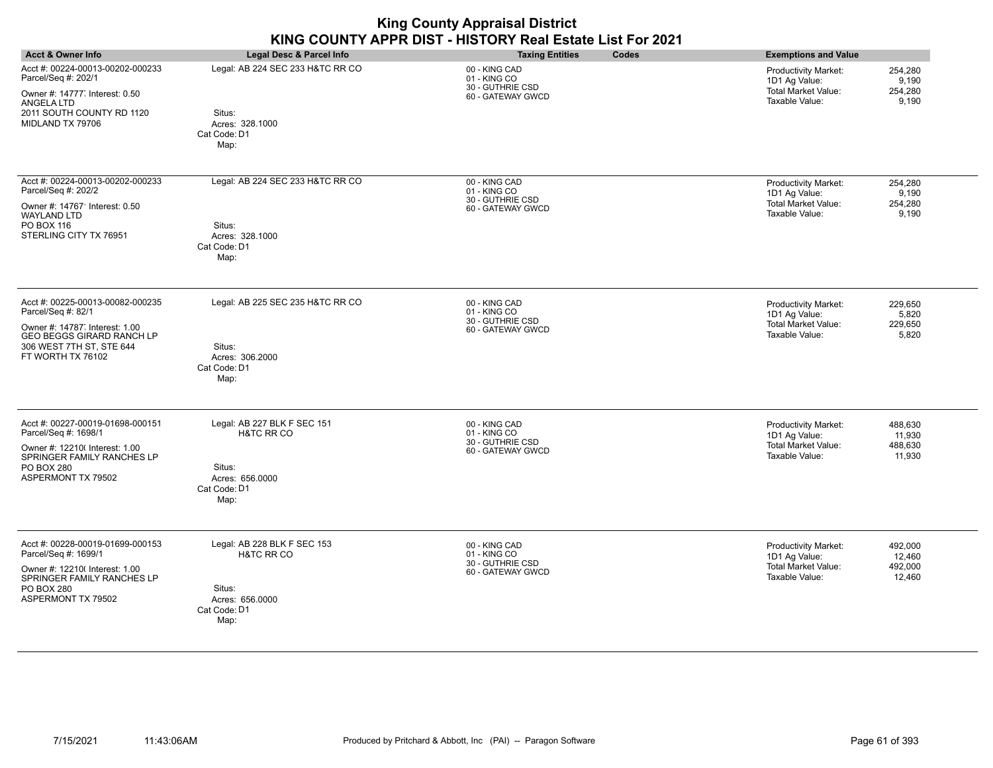| <b>Acct &amp; Owner Info</b>                                                                                                                                          | Legal Desc & Parcel Info                                                                                  | <b>Taxing Entities</b><br>Codes                                        | <b>Exemptions and Value</b>                                                                                                            |
|-----------------------------------------------------------------------------------------------------------------------------------------------------------------------|-----------------------------------------------------------------------------------------------------------|------------------------------------------------------------------------|----------------------------------------------------------------------------------------------------------------------------------------|
| Acct #: 00224-00013-00202-000233<br>Parcel/Seq #: 202/1<br>Owner #: 14777. Interest: 0.50<br><b>ANGELA LTD</b><br>2011 SOUTH COUNTY RD 1120<br>MIDLAND TX 79706       | Legal: AB 224 SEC 233 H&TC RR CO<br>Situs:<br>Acres: 328.1000<br>Cat Code: D1<br>Map:                     | 00 - KING CAD<br>01 - KING CO<br>30 - GUTHRIE CSD<br>60 - GATEWAY GWCD | 254,280<br><b>Productivity Market:</b><br>9,190<br>1D1 Ag Value:<br><b>Total Market Value:</b><br>254,280<br>Taxable Value:<br>9,190   |
| Acct #: 00224-00013-00202-000233<br>Parcel/Seq #: 202/2<br>Owner #: 14767' Interest: 0.50<br><b>WAYLAND LTD</b><br>PO BOX 116<br>STERLING CITY TX 76951               | Legal: AB 224 SEC 233 H&TC RR CO<br>Situs:<br>Acres: 328.1000<br>Cat Code: D1<br>Map:                     | 00 - KING CAD<br>01 - KING CO<br>30 - GUTHRIE CSD<br>60 - GATEWAY GWCD | <b>Productivity Market:</b><br>254,280<br>9,190<br>1D1 Ag Value:<br><b>Total Market Value:</b><br>254,280<br>Taxable Value:<br>9,190   |
| Acct #: 00225-00013-00082-000235<br>Parcel/Seq #: 82/1<br>Owner #: 14787 Interest: 1.00<br>GEO BEGGS GIRARD RANCH LP<br>306 WEST 7TH ST, STE 644<br>FT WORTH TX 76102 | Legal: AB 225 SEC 235 H&TC RR CO<br>Situs:<br>Acres: 306.2000<br>Cat Code: D1<br>Map:                     | 00 - KING CAD<br>01 - KING CO<br>30 - GUTHRIE CSD<br>60 - GATEWAY GWCD | 229,650<br><b>Productivity Market:</b><br>1D1 Ag Value:<br>5,820<br>229,650<br><b>Total Market Value:</b><br>Taxable Value:<br>5,820   |
| Acct #: 00227-00019-01698-000151<br>Parcel/Seq #: 1698/1<br>Owner #: 12210( Interest: 1.00<br>SPRINGER FAMILY RANCHES LP<br>PO BOX 280<br>ASPERMONT TX 79502          | Legal: AB 227 BLK F SEC 151<br><b>H&amp;TC RR CO</b><br>Situs:<br>Acres: 656.0000<br>Cat Code: D1<br>Map: | 00 - KING CAD<br>01 - KING CO<br>30 - GUTHRIE CSD<br>60 - GATEWAY GWCD | <b>Productivity Market:</b><br>488,630<br>1D1 Ag Value:<br>11,930<br><b>Total Market Value:</b><br>488,630<br>Taxable Value:<br>11,930 |
| Acct #: 00228-00019-01699-000153<br>Parcel/Seq #: 1699/1<br>Owner #: 12210( Interest: 1.00<br>SPRINGER FAMILY RANCHES LP<br>PO BOX 280<br>ASPERMONT TX 79502          | Legal: AB 228 BLK F SEC 153<br><b>H&amp;TC RR CO</b><br>Situs:<br>Acres: 656.0000<br>Cat Code: D1<br>Map: | 00 - KING CAD<br>01 - KING CO<br>30 - GUTHRIE CSD<br>60 - GATEWAY GWCD | 492,000<br><b>Productivity Market:</b><br>1D1 Ag Value:<br>12,460<br>492,000<br>Total Market Value:<br>Taxable Value:<br>12,460        |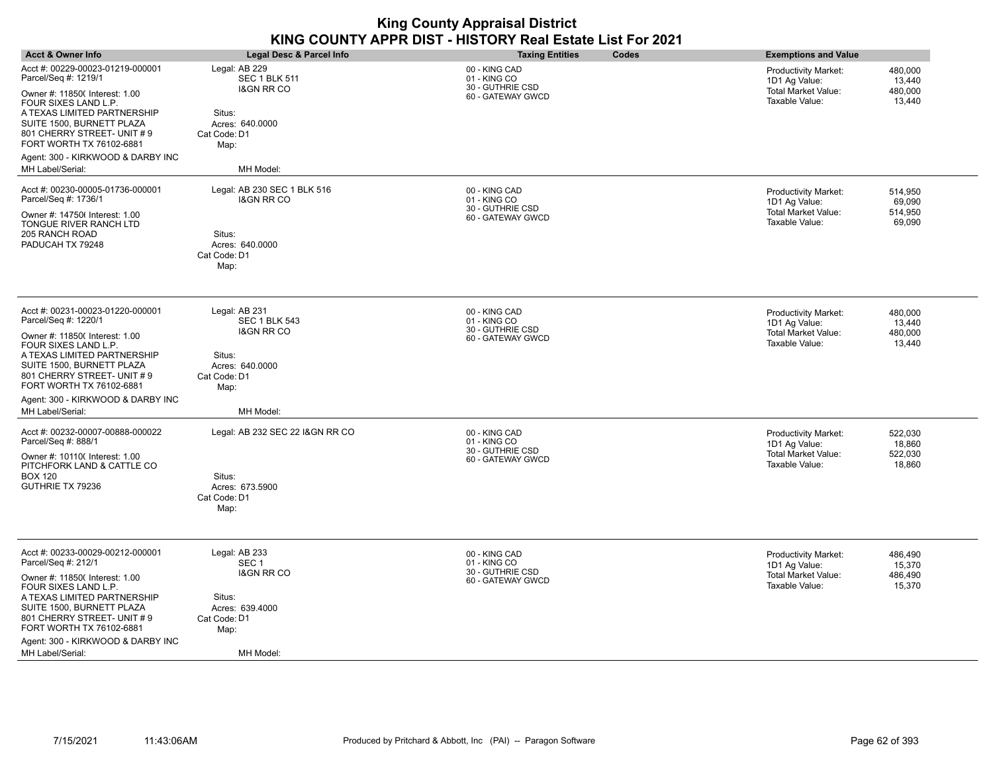|                                                                                                                                                                                                                                                                                                   |                                                                                                                                  | <b>King County Appraisal District</b><br>KING COUNTY APPR DIST - HISTORY Real Estate List For 2021 |                                                                                                                                        |
|---------------------------------------------------------------------------------------------------------------------------------------------------------------------------------------------------------------------------------------------------------------------------------------------------|----------------------------------------------------------------------------------------------------------------------------------|----------------------------------------------------------------------------------------------------|----------------------------------------------------------------------------------------------------------------------------------------|
| <b>Acct &amp; Owner Info</b>                                                                                                                                                                                                                                                                      | <b>Legal Desc &amp; Parcel Info</b>                                                                                              | <b>Taxing Entities</b><br>Codes                                                                    | <b>Exemptions and Value</b>                                                                                                            |
| Acct #: 00229-00023-01219-000001<br>Parcel/Seq #: 1219/1                                                                                                                                                                                                                                          | Legal: AB 229<br><b>SEC 1 BLK 511</b>                                                                                            | 00 - KING CAD<br>01 - KING CO                                                                      | <b>Productivity Market:</b><br>480,000<br>1D1 Ag Value:<br>13.440                                                                      |
| Owner #: 11850( Interest: 1.00<br>FOUR SIXES LAND L.P.<br>A TEXAS LIMITED PARTNERSHIP<br>SUITE 1500, BURNETT PLAZA<br>801 CHERRY STREET- UNIT #9<br>FORT WORTH TX 76102-6881                                                                                                                      | <b>I&amp;GN RR CO</b><br>Situs:<br>Acres: 640.0000<br>Cat Code: D1<br>Map:                                                       | 30 - GUTHRIE CSD<br>60 - GATEWAY GWCD                                                              | <b>Total Market Value:</b><br>480,000<br>Taxable Value:<br>13,440                                                                      |
| Agent: 300 - KIRKWOOD & DARBY INC<br>MH Label/Serial:                                                                                                                                                                                                                                             | MH Model:                                                                                                                        |                                                                                                    |                                                                                                                                        |
| Acct #: 00230-00005-01736-000001<br>Parcel/Seq #: 1736/1<br>Owner #: 147506 Interest: 1.00<br>TONGUE RIVER RANCH LTD<br>205 RANCH ROAD<br>PADUCAH TX 79248                                                                                                                                        | Legal: AB 230 SEC 1 BLK 516<br><b>I&amp;GN RR CO</b><br>Situs:<br>Acres: 640,0000<br>Cat Code: D1<br>Map:                        | 00 - KING CAD<br>01 - KING CO<br>30 - GUTHRIE CSD<br>60 - GATEWAY GWCD                             | Productivity Market:<br>514,950<br>1D1 Ag Value:<br>69,090<br>Total Market Value:<br>514,950<br>Taxable Value:<br>69,090               |
| Acct #: 00231-00023-01220-000001<br>Parcel/Seq #: 1220/1<br>Owner #: 11850( Interest: 1.00<br>FOUR SIXES LAND L.P.<br>A TEXAS LIMITED PARTNERSHIP<br>SUITE 1500, BURNETT PLAZA<br>801 CHERRY STREET- UNIT #9<br>FORT WORTH TX 76102-6881<br>Agent: 300 - KIRKWOOD & DARBY INC<br>MH Label/Serial: | Legal: AB 231<br><b>SEC 1 BLK 543</b><br><b>I&amp;GN RR CO</b><br>Situs:<br>Acres: 640.0000<br>Cat Code: D1<br>Map:<br>MH Model: | 00 - KING CAD<br>01 - KING CO<br>30 - GUTHRIE CSD<br>60 - GATEWAY GWCD                             | Productivity Market:<br>480,000<br>1D1 Ag Value:<br>13,440<br>Total Market Value:<br>480,000<br>Taxable Value:<br>13,440               |
| Acct #: 00232-00007-00888-000022<br>Parcel/Seq #: 888/1<br>Owner #: 10110( Interest: 1.00<br>PITCHFORK LAND & CATTLE CO<br><b>BOX 120</b><br>GUTHRIE TX 79236                                                                                                                                     | Legal: AB 232 SEC 22 I&GN RR CO<br>Situs:<br>Acres: 673.5900<br>Cat Code: D1<br>Map:                                             | 00 - KING CAD<br>01 - KING CO<br>30 - GUTHRIE CSD<br>60 - GATEWAY GWCD                             | <b>Productivity Market:</b><br>522,030<br>18,860<br>1D1 Ag Value:<br><b>Total Market Value:</b><br>522,030<br>Taxable Value:<br>18,860 |
| Acct #: 00233-00029-00212-000001<br>Parcel/Seq #: 212/1<br>Owner #: 11850( Interest: 1.00<br>FOUR SIXES LAND L.P.<br>A TEXAS LIMITED PARTNERSHIP<br>SUITE 1500, BURNETT PLAZA<br>801 CHERRY STREET- UNIT #9<br>FORT WORTH TX 76102-6881<br>Agent: 300 - KIRKWOOD & DARBY INC<br>MH Label/Serial:  | Legal: AB 233<br>SEC <sub>1</sub><br><b>I&amp;GN RR CO</b><br>Situs:<br>Acres: 639.4000<br>Cat Code: D1<br>Map:<br>MH Model:     | 00 - KING CAD<br>01 - KING CO<br>30 - GUTHRIE CSD<br>60 - GATEWAY GWCD                             | <b>Productivity Market:</b><br>486,490<br>15,370<br>1D1 Ag Value:<br><b>Total Market Value:</b><br>486,490<br>Taxable Value:<br>15,370 |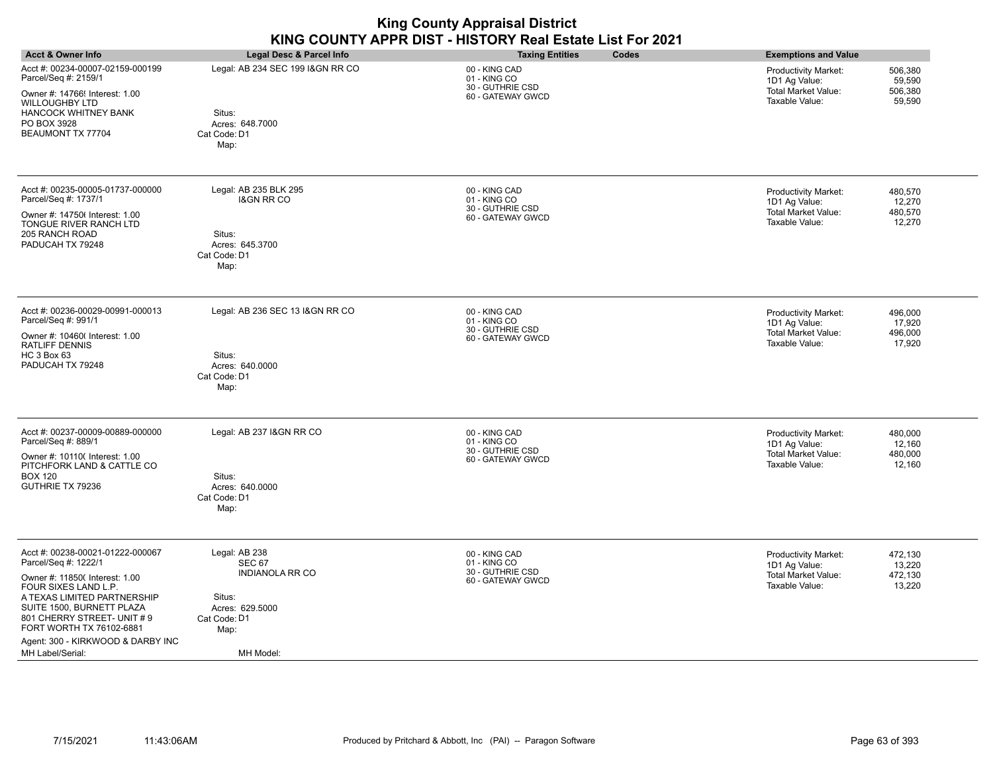| <b>Acct &amp; Owner Info</b>                                                                                                                                                                                                                                                                      | <b>Legal Desc &amp; Parcel Info</b>                                                                                        | <b>Taxing Entities</b><br>Codes                                        | <b>Exemptions and Value</b>                                                                                                            |
|---------------------------------------------------------------------------------------------------------------------------------------------------------------------------------------------------------------------------------------------------------------------------------------------------|----------------------------------------------------------------------------------------------------------------------------|------------------------------------------------------------------------|----------------------------------------------------------------------------------------------------------------------------------------|
| Acct #: 00234-00007-02159-000199<br>Parcel/Seq #: 2159/1<br>Owner #: 14766! Interest: 1.00<br><b>WILLOUGHBY LTD</b><br><b>HANCOCK WHITNEY BANK</b><br>PO BOX 3928<br>BEAUMONT TX 77704                                                                                                            | Legal: AB 234 SEC 199 I&GN RR CO<br>Situs:<br>Acres: 648.7000<br>Cat Code: D1<br>Map:                                      | 00 - KING CAD<br>01 - KING CO<br>30 - GUTHRIE CSD<br>60 - GATEWAY GWCD | 506,380<br><b>Productivity Market:</b><br>59,590<br>1D1 Ag Value:<br>Total Market Value:<br>506,380<br>59,590<br>Taxable Value:        |
| Acct #: 00235-00005-01737-000000<br>Parcel/Seq #: 1737/1<br>Owner #: 147506 Interest: 1.00<br>TONGUE RIVER RANCH LTD<br>205 RANCH ROAD<br>PADUCAH TX 79248                                                                                                                                        | Legal: AB 235 BLK 295<br><b>I&amp;GN RR CO</b><br>Situs:<br>Acres: 645.3700<br>Cat Code: D1<br>Map:                        | 00 - KING CAD<br>01 - KING CO<br>30 - GUTHRIE CSD<br>60 - GATEWAY GWCD | <b>Productivity Market:</b><br>480,570<br>1D1 Ag Value:<br>12,270<br><b>Total Market Value:</b><br>480,570<br>12,270<br>Taxable Value: |
| Acct #: 00236-00029-00991-000013<br>Parcel/Seq #: 991/1<br>Owner #: 10460( Interest: 1.00<br>RATLIFF DENNIS<br><b>HC 3 Box 63</b><br>PADUCAH TX 79248                                                                                                                                             | Legal: AB 236 SEC 13 I&GN RR CO<br>Situs:<br>Acres: 640.0000<br>Cat Code: D1<br>Map:                                       | 00 - KING CAD<br>01 - KING CO<br>30 - GUTHRIE CSD<br>60 - GATEWAY GWCD | 496,000<br><b>Productivity Market:</b><br>1D1 Ag Value:<br>17,920<br>Total Market Value:<br>496,000<br>Taxable Value:<br>17,920        |
| Acct #: 00237-00009-00889-000000<br>Parcel/Seq #: 889/1<br>Owner #: 10110( Interest: 1.00<br>PITCHFORK LAND & CATTLE CO<br><b>BOX 120</b><br>GUTHRIE TX 79236                                                                                                                                     | Legal: AB 237 I&GN RR CO<br>Situs:<br>Acres: 640.0000<br>Cat Code: D1<br>Map:                                              | 00 - KING CAD<br>01 - KING CO<br>30 - GUTHRIE CSD<br>60 - GATEWAY GWCD | <b>Productivity Market:</b><br>480,000<br>1D1 Ag Value:<br>12,160<br>Total Market Value:<br>480,000<br>Taxable Value:<br>12,160        |
| Acct #: 00238-00021-01222-000067<br>Parcel/Seq #: 1222/1<br>Owner #: 11850( Interest: 1.00<br>FOUR SIXES LAND L.P.<br>A TEXAS LIMITED PARTNERSHIP<br>SUITE 1500, BURNETT PLAZA<br>801 CHERRY STREET- UNIT #9<br>FORT WORTH TX 76102-6881<br>Agent: 300 - KIRKWOOD & DARBY INC<br>MH Label/Serial: | Legal: AB 238<br><b>SEC 67</b><br><b>INDIANOLA RR CO</b><br>Situs:<br>Acres: 629.5000<br>Cat Code: D1<br>Map:<br>MH Model: | 00 - KING CAD<br>01 - KING CO<br>30 - GUTHRIE CSD<br>60 - GATEWAY GWCD | 472,130<br><b>Productivity Market:</b><br>13,220<br>1D1 Ag Value:<br>472,130<br><b>Total Market Value:</b><br>13,220<br>Taxable Value: |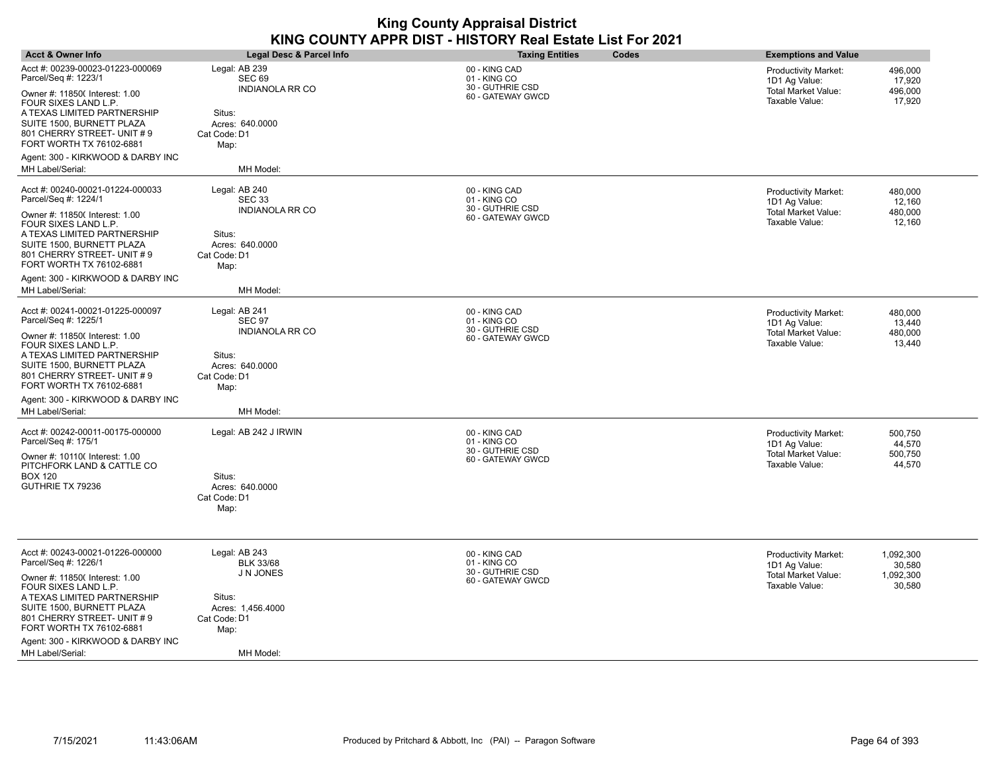| <b>Acct &amp; Owner Info</b>                                                                                                                                                                                                                                                                             | Legal Desc & Parcel Info                                                                                                   | <b>Taxing Entities</b><br>Codes                                        | <b>Exemptions and Value</b>                                                                                                                |
|----------------------------------------------------------------------------------------------------------------------------------------------------------------------------------------------------------------------------------------------------------------------------------------------------------|----------------------------------------------------------------------------------------------------------------------------|------------------------------------------------------------------------|--------------------------------------------------------------------------------------------------------------------------------------------|
| Acct #: 00239-00023-01223-000069<br>Parcel/Seq #: 1223/1<br>Owner #: 11850( Interest: 1.00<br>FOUR SIXES LAND L.P.<br>A TEXAS LIMITED PARTNERSHIP<br>SUITE 1500, BURNETT PLAZA<br>801 CHERRY STREET- UNIT # 9<br>FORT WORTH TX 76102-6881<br>Agent: 300 - KIRKWOOD & DARBY INC                           | Legal: AB 239<br><b>SEC 69</b><br><b>INDIANOLA RR CO</b><br>Situs:<br>Acres: 640.0000<br>Cat Code: D1<br>Map:              | 00 - KING CAD<br>01 - KING CO<br>30 - GUTHRIE CSD<br>60 - GATEWAY GWCD | <b>Productivity Market:</b><br>496,000<br>1D1 Ag Value:<br>17,920<br>Total Market Value:<br>496,000<br>Taxable Value:<br>17,920            |
| MH Label/Serial:                                                                                                                                                                                                                                                                                         | MH Model:                                                                                                                  |                                                                        |                                                                                                                                            |
| Acct #: 00240-00021-01224-000033<br>Parcel/Seq #: 1224/1<br>Owner #: 11850( Interest: 1.00<br>FOUR SIXES LAND L.P.<br>A TEXAS LIMITED PARTNERSHIP<br>SUITE 1500, BURNETT PLAZA<br>801 CHERRY STREET- UNIT # 9<br>FORT WORTH TX 76102-6881<br>Agent: 300 - KIRKWOOD & DARBY INC                           | Legal: AB 240<br><b>SEC 33</b><br><b>INDIANOLA RR CO</b><br>Situs:<br>Acres: 640.0000<br>Cat Code: D1<br>Map:              | 00 - KING CAD<br>01 - KING CO<br>30 - GUTHRIE CSD<br>60 - GATEWAY GWCD | 480,000<br><b>Productivity Market:</b><br>12,160<br>1D1 Ag Value:<br><b>Total Market Value:</b><br>480.000<br>Taxable Value:<br>12,160     |
| MH Label/Serial:                                                                                                                                                                                                                                                                                         | MH Model:                                                                                                                  |                                                                        |                                                                                                                                            |
| Acct #: 00241-00021-01225-000097<br>Parcel/Seq #: 1225/1<br>Owner #: 11850( Interest: 1.00<br>FOUR SIXES LAND L.P.<br>A TEXAS LIMITED PARTNERSHIP<br>SUITE 1500, BURNETT PLAZA<br>801 CHERRY STREET- UNIT # 9<br>FORT WORTH TX 76102-6881<br>Agent: 300 - KIRKWOOD & DARBY INC<br>MH Label/Serial:       | Legal: AB 241<br><b>SEC 97</b><br><b>INDIANOLA RR CO</b><br>Situs:<br>Acres: 640.0000<br>Cat Code: D1<br>Map:<br>MH Model: | 00 - KING CAD<br>01 - KING CO<br>30 - GUTHRIE CSD<br>60 - GATEWAY GWCD | 480,000<br><b>Productivity Market:</b><br>1D1 Ag Value:<br>13,440<br>480,000<br>Total Market Value:<br>Taxable Value:<br>13,440            |
| Acct #: 00242-00011-00175-000000<br>Parcel/Seq #: 175/1<br>Owner #: 10110( Interest: 1.00<br>PITCHFORK LAND & CATTLE CO<br>BOX 120<br>GUTHRIE TX 79236                                                                                                                                                   | Legal: AB 242 J IRWIN<br>Situs:<br>Acres: 640.0000<br>Cat Code: D1<br>Map:                                                 | 00 - KING CAD<br>01 - KING CO<br>30 - GUTHRIE CSD<br>60 - GATEWAY GWCD | <b>Productivity Market:</b><br>500,750<br>1D1 Ag Value:<br>44,570<br><b>Total Market Value:</b><br>500,750<br>Taxable Value:<br>44,570     |
| Acct #: 00243-00021-01226-000000<br>Parcel/Seq #: 1226/1<br>Owner #: 11850( Interest: 1.00<br>FOUR SIXES LAND L.P.<br>A TEXAS LIMITED PARTNERSHIP<br>SUITE 1500, BURNETT PLAZA<br>801 CHERRY STREET- UNIT #9<br>FORT WORTH TX 76102-6881<br>Agent: 300 - KIRKWOOD & DARBY INC<br><b>MH Label/Serial:</b> | Legal: AB 243<br><b>BLK 33/68</b><br>J N JONES<br>Situs:<br>Acres: 1,456.4000<br>Cat Code: D1<br>Map:<br>MH Model:         | 00 - KING CAD<br>01 - KING CO<br>30 - GUTHRIE CSD<br>60 - GATEWAY GWCD | 1,092,300<br><b>Productivity Market:</b><br>30,580<br>1D1 Ag Value:<br><b>Total Market Value:</b><br>1,092,300<br>Taxable Value:<br>30,580 |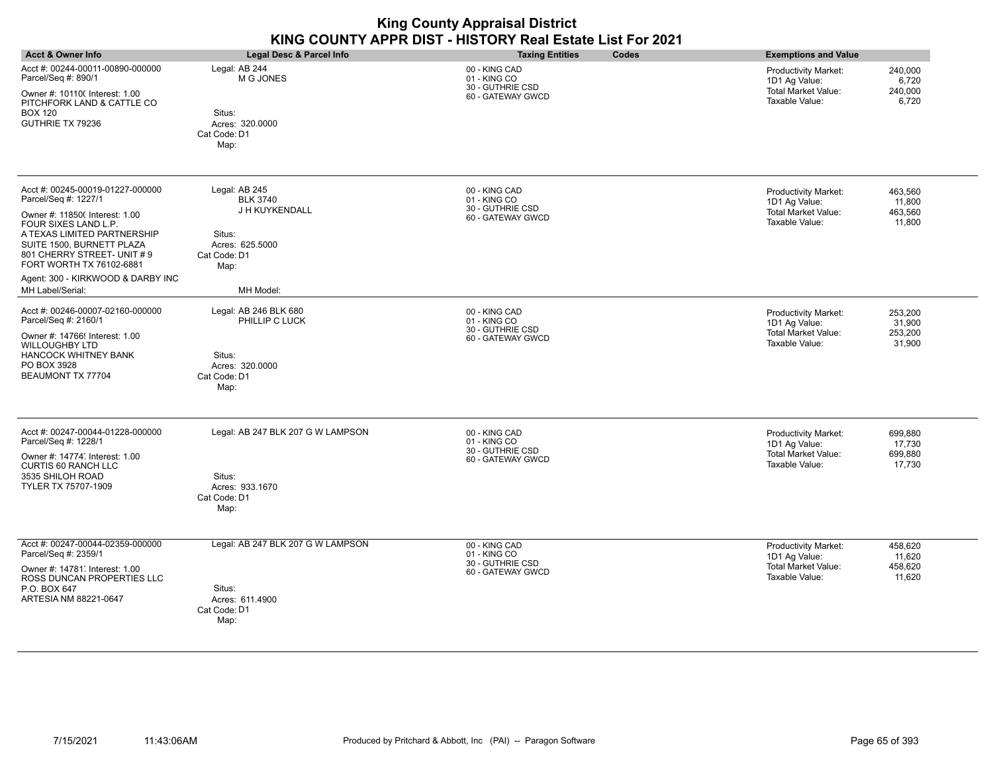| <b>King County Appraisal District</b><br>KING COUNTY APPR DIST - HISTORY Real Estate List For 2021                                                                                                                                                                                                |                                                                                                                      |                                                                        |                                                                                              |                                        |  |
|---------------------------------------------------------------------------------------------------------------------------------------------------------------------------------------------------------------------------------------------------------------------------------------------------|----------------------------------------------------------------------------------------------------------------------|------------------------------------------------------------------------|----------------------------------------------------------------------------------------------|----------------------------------------|--|
| <b>Acct &amp; Owner Info</b>                                                                                                                                                                                                                                                                      | Legal Desc & Parcel Info                                                                                             | <b>Taxing Entities</b><br>Codes                                        | <b>Exemptions and Value</b>                                                                  |                                        |  |
| Acct #: 00244-00011-00890-000000<br>Parcel/Seq #: 890/1                                                                                                                                                                                                                                           | Legal: AB 244<br>M G JONES                                                                                           | 00 - KING CAD<br>01 - KING CO<br>30 - GUTHRIE CSD                      | <b>Productivity Market:</b><br>1D1 Ag Value:                                                 | 240,000<br>6,720                       |  |
| Owner #: 10110( Interest: 1.00<br>PITCHFORK LAND & CATTLE CO<br><b>BOX 120</b><br>GUTHRIE TX 79236                                                                                                                                                                                                | Situs:<br>Acres: 320.0000<br>Cat Code: D1<br>Map:                                                                    | 60 - GATEWAY GWCD                                                      | <b>Total Market Value:</b><br>Taxable Value:                                                 | 240,000<br>6,720                       |  |
| Acct #: 00245-00019-01227-000000<br>Parcel/Seq #: 1227/1<br>Owner #: 11850( Interest: 1.00<br>FOUR SIXES LAND L.P.<br>A TEXAS LIMITED PARTNERSHIP<br>SUITE 1500, BURNETT PLAZA<br>801 CHERRY STREET- UNIT #9<br>FORT WORTH TX 76102-6881<br>Agent: 300 - KIRKWOOD & DARBY INC<br>MH Label/Serial: | Legal: AB 245<br><b>BLK 3740</b><br>J H KUYKENDALL<br>Situs:<br>Acres: 625,5000<br>Cat Code: D1<br>Map:<br>MH Model: | 00 - KING CAD<br>01 - KING CO<br>30 - GUTHRIE CSD<br>60 - GATEWAY GWCD | <b>Productivity Market:</b><br>1D1 Ag Value:<br><b>Total Market Value:</b><br>Taxable Value: | 463.560<br>11,800<br>463,560<br>11,800 |  |
| Acct #: 00246-00007-02160-000000<br>Parcel/Seq #: 2160/1<br>Owner #: 14766! Interest: 1.00<br><b>WILLOUGHBY LTD</b><br>HANCOCK WHITNEY BANK<br>PO BOX 3928<br>BEAUMONT TX 77704                                                                                                                   | Legal: AB 246 BLK 680<br>PHILLIP C LUCK<br>Situs:<br>Acres: 320.0000<br>Cat Code: D1<br>Map:                         | 00 - KING CAD<br>01 - KING CO<br>30 - GUTHRIE CSD<br>60 - GATEWAY GWCD | <b>Productivity Market:</b><br>1D1 Ag Value:<br><b>Total Market Value:</b><br>Taxable Value: | 253,200<br>31.900<br>253,200<br>31,900 |  |
| Acct #: 00247-00044-01228-000000<br>Parcel/Seq #: 1228/1<br>Owner #: 14774, Interest: 1.00<br><b>CURTIS 60 RANCH LLC</b><br>3535 SHILOH ROAD<br>TYLER TX 75707-1909                                                                                                                               | Legal: AB 247 BLK 207 G W LAMPSON<br>Situs:<br>Acres: 933.1670<br>Cat Code: D1<br>Map:                               | 00 - KING CAD<br>01 - KING CO<br>30 - GUTHRIE CSD<br>60 - GATEWAY GWCD | <b>Productivity Market:</b><br>1D1 Ag Value:<br>Total Market Value:<br>Taxable Value:        | 699,880<br>17,730<br>699,880<br>17,730 |  |
| Acct #: 00247-00044-02359-000000<br>Parcel/Seq #: 2359/1<br>Owner #: 14781, Interest: 1.00<br>ROSS DUNCAN PROPERTIES LLC<br>P.O. BOX 647<br>ARTESIA NM 88221-0647                                                                                                                                 | Legal: AB 247 BLK 207 G W LAMPSON<br>Situs:<br>Acres: 611.4900<br>Cat Code: D1<br>Map:                               | 00 - KING CAD<br>01 - KING CO<br>30 - GUTHRIE CSD<br>60 - GATEWAY GWCD | <b>Productivity Market:</b><br>1D1 Ag Value:<br>Total Market Value:<br>Taxable Value:        | 458,620<br>11,620<br>458,620<br>11,620 |  |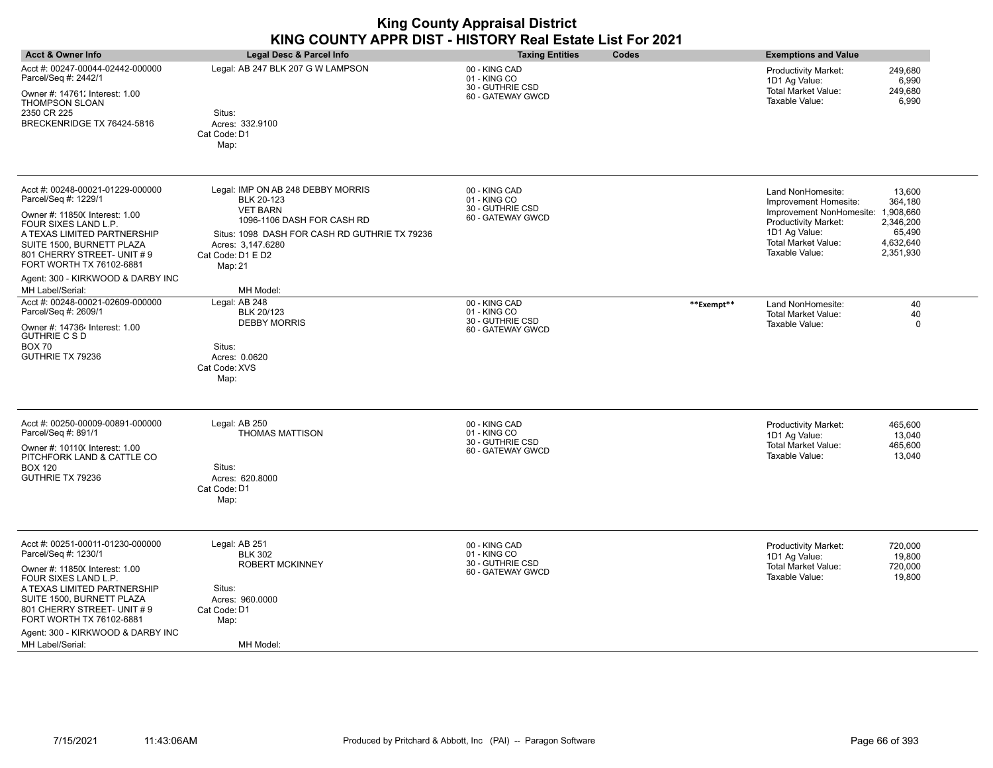| <b>Acct &amp; Owner Info</b>                                                                                       | Legal Desc & Parcel Info                                                                           | <b>Taxing Entities</b><br>Codes       |            | <b>Exemptions and Value</b>                                   |                                  |
|--------------------------------------------------------------------------------------------------------------------|----------------------------------------------------------------------------------------------------|---------------------------------------|------------|---------------------------------------------------------------|----------------------------------|
| Acct #: 00247-00044-02442-000000                                                                                   | Legal: AB 247 BLK 207 G W LAMPSON                                                                  | 00 - KING CAD                         |            | Productivity Market:                                          | 249,680                          |
| Parcel/Seq #: 2442/1                                                                                               |                                                                                                    | 01 - KING CO                          |            | 1D1 Ag Value:                                                 | 6,990                            |
| Owner #: 14761; Interest: 1.00<br>THOMPSON SLOAN<br>2350 CR 225<br>BRECKENRIDGE TX 76424-5816                      | Situs:<br>Acres: 332.9100<br>Cat Code: D1<br>Map:                                                  | 30 - GUTHRIE CSD<br>60 - GATEWAY GWCD |            | <b>Total Market Value:</b><br>Taxable Value:                  | 249,680<br>6,990                 |
| Acct #: 00248-00021-01229-000000<br>Parcel/Seq #: 1229/1                                                           | Legal: IMP ON AB 248 DEBBY MORRIS<br><b>BLK 20-123</b>                                             | 00 - KING CAD<br>01 - KING CO         |            | Land NonHomesite:<br>Improvement Homesite:                    | 13,600<br>364,180                |
| Owner #: 11850( Interest: 1.00<br>FOUR SIXES LAND L.P.                                                             | <b>VET BARN</b><br>1096-1106 DASH FOR CASH RD                                                      | 30 - GUTHRIE CSD<br>60 - GATEWAY GWCD |            | Improvement NonHomesite: 1,908,660<br>Productivity Market:    | 2,346,200                        |
| A TEXAS LIMITED PARTNERSHIP<br>SUITE 1500, BURNETT PLAZA<br>801 CHERRY STREET- UNIT #9<br>FORT WORTH TX 76102-6881 | Situs: 1098 DASH FOR CASH RD GUTHRIE TX 79236<br>Acres: 3,147.6280<br>Cat Code: D1 E D2<br>Map: 21 |                                       |            | 1D1 Ag Value:<br><b>Total Market Value:</b><br>Taxable Value: | 65,490<br>4,632,640<br>2,351,930 |
| Agent: 300 - KIRKWOOD & DARBY INC<br>MH Label/Serial:                                                              | MH Model:                                                                                          |                                       |            |                                                               |                                  |
| Acct #: 00248-00021-02609-000000<br>Parcel/Seq #: 2609/1                                                           | Legal: AB 248<br>BLK 20/123                                                                        | 00 - KING CAD<br>01 - KING CO         | **Exempt** | Land NonHomesite:<br><b>Total Market Value:</b>               | 40<br>40                         |
| Owner #: 147364 Interest: 1.00<br><b>GUTHRIE C S D</b><br><b>BOX 70</b><br>GUTHRIE TX 79236                        | <b>DEBBY MORRIS</b><br>Situs:<br>Acres: 0.0620<br>Cat Code: XVS<br>Map:                            | 30 - GUTHRIE CSD<br>60 - GATEWAY GWCD |            | Taxable Value:                                                | $\Omega$                         |
| Acct #: 00250-00009-00891-000000<br>Parcel/Seq #: 891/1                                                            | Legal: AB 250<br><b>THOMAS MATTISON</b>                                                            | 00 - KING CAD<br>01 - KING CO         |            | Productivity Market:                                          | 465,600                          |
| Owner #: 10110( Interest: 1.00<br>PITCHFORK LAND & CATTLE CO                                                       |                                                                                                    | 30 - GUTHRIE CSD<br>60 - GATEWAY GWCD |            | 1D1 Ag Value:<br><b>Total Market Value:</b><br>Taxable Value: | 13,040<br>465,600<br>13,040      |
| <b>BOX 120</b><br>GUTHRIE TX 79236                                                                                 | Situs:<br>Acres: 620.8000<br>Cat Code: D1<br>Map:                                                  |                                       |            |                                                               |                                  |
| Acct #: 00251-00011-01230-000000<br>Parcel/Seq #: 1230/1                                                           | Legal: AB 251<br><b>BLK 302</b>                                                                    | 00 - KING CAD<br>01 - KING CO         |            | Productivity Market:<br>1D1 Ag Value:                         | 720,000<br>19,800                |
| Owner #: 11850( Interest: 1.00<br>FOUR SIXES LAND L.P.<br>A TEXAS LIMITED PARTNERSHIP<br>SUITE 1500, BURNETT PLAZA | <b>ROBERT MCKINNEY</b><br>Situs:<br>Acres: 960.0000                                                | 30 - GUTHRIE CSD<br>60 - GATEWAY GWCD |            | <b>Total Market Value:</b><br>Taxable Value:                  | 720,000<br>19,800                |
| 801 CHERRY STREET- UNIT #9<br>FORT WORTH TX 76102-6881                                                             | Cat Code: D1<br>Map:                                                                               |                                       |            |                                                               |                                  |
| Agent: 300 - KIRKWOOD & DARBY INC<br>MH Label/Serial:                                                              | MH Model:                                                                                          |                                       |            |                                                               |                                  |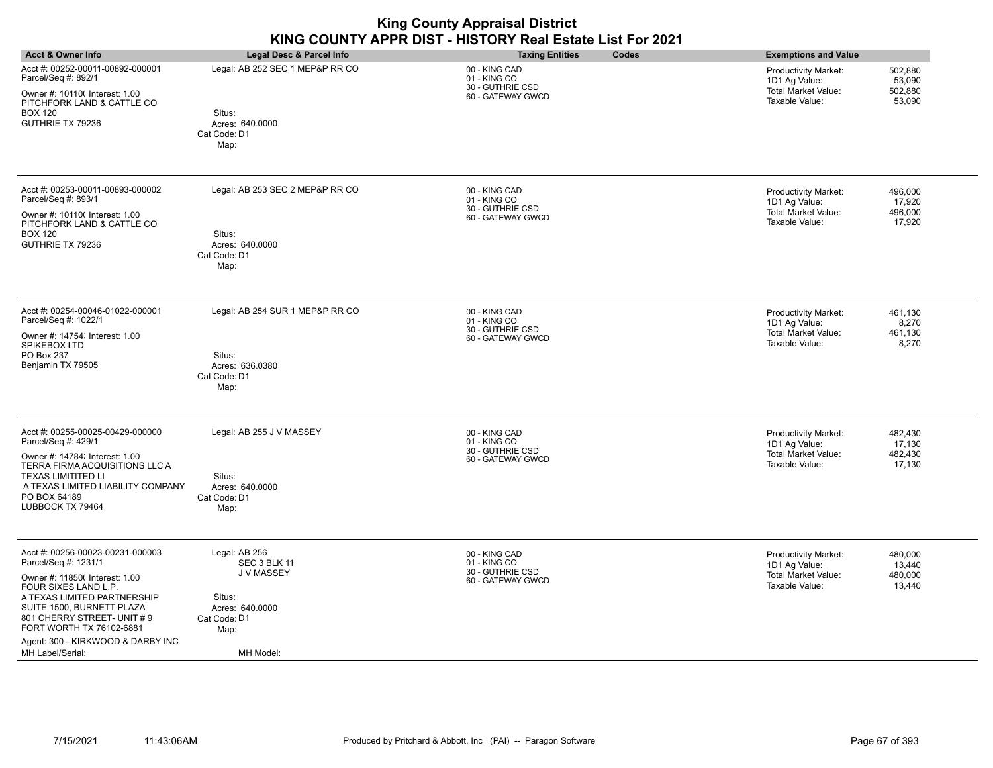| <b>Acct &amp; Owner Info</b>                                                                                                                                                                                                                                                                      | Legal Desc & Parcel Info                                                                                      | <b>Taxing Entities</b><br>Codes                                        | <b>Exemptions and Value</b>                                                                                                          |
|---------------------------------------------------------------------------------------------------------------------------------------------------------------------------------------------------------------------------------------------------------------------------------------------------|---------------------------------------------------------------------------------------------------------------|------------------------------------------------------------------------|--------------------------------------------------------------------------------------------------------------------------------------|
| Acct #: 00252-00011-00892-000001<br>Parcel/Seq #: 892/1<br>Owner #: 10110( Interest: 1.00<br>PITCHFORK LAND & CATTLE CO<br><b>BOX 120</b><br>GUTHRIE TX 79236                                                                                                                                     | Legal: AB 252 SEC 1 MEP&P RR CO<br>Situs:<br>Acres: 640.0000<br>Cat Code: D1<br>Map:                          | 00 - KING CAD<br>01 - KING CO<br>30 - GUTHRIE CSD<br>60 - GATEWAY GWCD | <b>Productivity Market:</b><br>502,880<br>1D1 Ag Value:<br>53,090<br>Total Market Value:<br>502,880<br>53,090<br>Taxable Value:      |
| Acct #: 00253-00011-00893-000002<br>Parcel/Seq #: 893/1<br>Owner #: 10110( Interest: 1.00<br>PITCHFORK LAND & CATTLE CO<br><b>BOX 120</b><br>GUTHRIE TX 79236                                                                                                                                     | Legal: AB 253 SEC 2 MEP&P RR CO<br>Situs:<br>Acres: 640.0000<br>Cat Code: D1<br>Map:                          | 00 - KING CAD<br>01 - KING CO<br>30 - GUTHRIE CSD<br>60 - GATEWAY GWCD | <b>Productivity Market:</b><br>496,000<br>17,920<br>1D1 Ag Value:<br>Total Market Value:<br>496,000<br>Taxable Value:<br>17,920      |
| Acct #: 00254-00046-01022-000001<br>Parcel/Seq #: 1022/1<br>Owner #: 14754; Interest: 1.00<br>SPIKEBOX LTD<br>PO Box 237<br>Benjamin TX 79505                                                                                                                                                     | Legal: AB 254 SUR 1 MEP&P RR CO<br>Situs:<br>Acres: 636.0380<br>Cat Code: D1<br>Map:                          | 00 - KING CAD<br>01 - KING CO<br>30 - GUTHRIE CSD<br>60 - GATEWAY GWCD | <b>Productivity Market:</b><br>461,130<br>1D1 Ag Value:<br>8,270<br><b>Total Market Value:</b><br>461,130<br>Taxable Value:<br>8,270 |
| Acct #: 00255-00025-00429-000000<br>Parcel/Seq #: 429/1<br>Owner #: 14784; Interest: 1.00<br>TERRA FIRMA ACQUISITIONS LLC A<br><b>TEXAS LIMITITED LI</b><br>A TEXAS LIMITED LIABILITY COMPANY<br>PO BOX 64189<br>LUBBOCK TX 79464                                                                 | Legal: AB 255 J V MASSEY<br>Situs:<br>Acres: 640.0000<br>Cat Code: D1<br>Map:                                 | 00 - KING CAD<br>01 - KING CO<br>30 - GUTHRIE CSD<br>60 - GATEWAY GWCD | 482,430<br><b>Productivity Market:</b><br>1D1 Ag Value:<br>17,130<br>482,430<br>Total Market Value:<br>Taxable Value:<br>17,130      |
| Acct #: 00256-00023-00231-000003<br>Parcel/Seq #: 1231/1<br>Owner #: 11850( Interest: 1.00<br>FOUR SIXES LAND L.P.<br>A TEXAS LIMITED PARTNERSHIP<br>SUITE 1500, BURNETT PLAZA<br>801 CHERRY STREET- UNIT #9<br>FORT WORTH TX 76102-6881<br>Agent: 300 - KIRKWOOD & DARBY INC<br>MH Label/Serial: | Legal: AB 256<br>SEC 3 BLK 11<br>J V MASSEY<br>Situs:<br>Acres: 640,0000<br>Cat Code: D1<br>Map:<br>MH Model: | 00 - KING CAD<br>01 - KING CO<br>30 - GUTHRIE CSD<br>60 - GATEWAY GWCD | <b>Productivity Market:</b><br>480,000<br>13,440<br>1D1 Ag Value:<br>Total Market Value:<br>480,000<br>Taxable Value:<br>13,440      |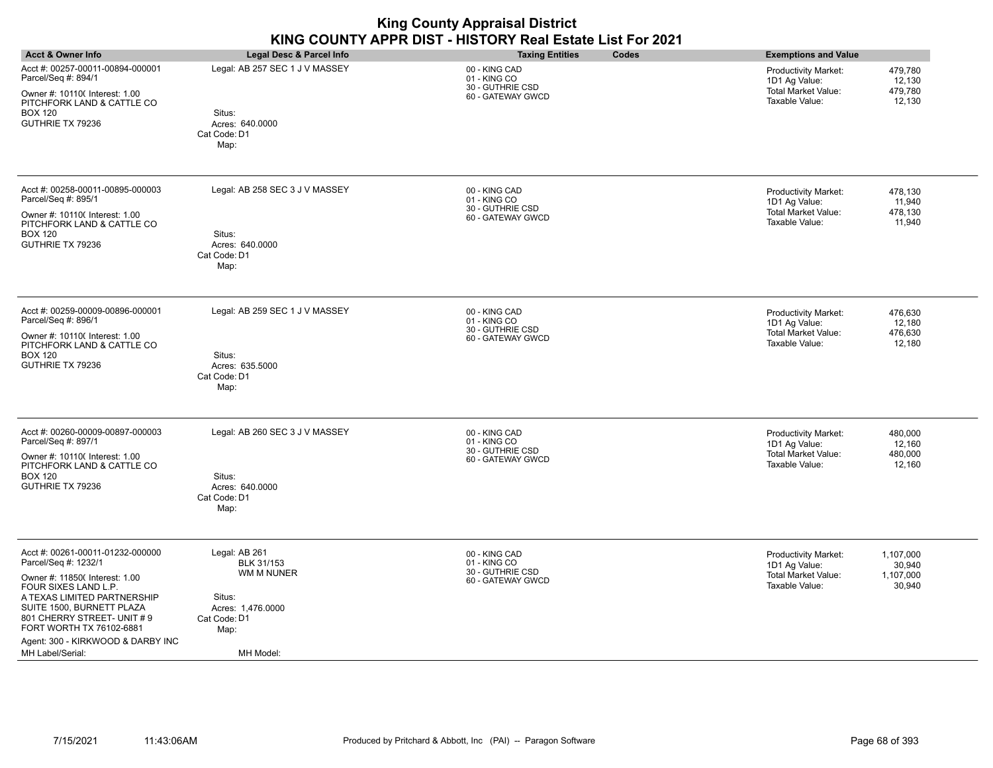| <b>King County Appraisal District</b><br>KING COUNTY APPR DIST - HISTORY Real Estate List For 2021                                                                                                                                                                                                |                                                                                                                      |                                                                        |                                                                                                                                        |  |
|---------------------------------------------------------------------------------------------------------------------------------------------------------------------------------------------------------------------------------------------------------------------------------------------------|----------------------------------------------------------------------------------------------------------------------|------------------------------------------------------------------------|----------------------------------------------------------------------------------------------------------------------------------------|--|
| <b>Acct &amp; Owner Info</b>                                                                                                                                                                                                                                                                      | Legal Desc & Parcel Info                                                                                             | <b>Taxing Entities</b><br>Codes                                        | <b>Exemptions and Value</b>                                                                                                            |  |
| Acct #: 00257-00011-00894-000001<br>Parcel/Seq #: 894/1<br>Owner #: 10110( Interest: 1.00<br>PITCHFORK LAND & CATTLE CO<br><b>BOX 120</b><br>GUTHRIE TX 79236                                                                                                                                     | Legal: AB 257 SEC 1 J V MASSEY<br>Situs:<br>Acres: 640.0000<br>Cat Code: D1<br>Map:                                  | 00 - KING CAD<br>01 - KING CO<br>30 - GUTHRIE CSD<br>60 - GATEWAY GWCD | 479,780<br><b>Productivity Market:</b><br>1D1 Ag Value:<br>12,130<br>479,780<br><b>Total Market Value:</b><br>Taxable Value:<br>12,130 |  |
| Acct #: 00258-00011-00895-000003<br>Parcel/Seq #: 895/1<br>Owner #: 10110( Interest: 1.00<br>PITCHFORK LAND & CATTLE CO<br><b>BOX 120</b><br>GUTHRIE TX 79236                                                                                                                                     | Legal: AB 258 SEC 3 J V MASSEY<br>Situs:<br>Acres: 640,0000<br>Cat Code: D1<br>Map:                                  | 00 - KING CAD<br>01 - KING CO<br>30 - GUTHRIE CSD<br>60 - GATEWAY GWCD | Productivity Market:<br>478,130<br>1D1 Ag Value:<br>11,940<br><b>Total Market Value:</b><br>478,130<br>Taxable Value:<br>11,940        |  |
| Acct #: 00259-00009-00896-000001<br>Parcel/Seq #: 896/1<br>Owner #: 10110( Interest: 1.00<br>PITCHFORK LAND & CATTLE CO<br><b>BOX 120</b><br>GUTHRIE TX 79236                                                                                                                                     | Legal: AB 259 SEC 1 J V MASSEY<br>Situs:<br>Acres: 635.5000<br>Cat Code: D1<br>Map:                                  | 00 - KING CAD<br>01 - KING CO<br>30 - GUTHRIE CSD<br>60 - GATEWAY GWCD | Productivity Market:<br>476,630<br>1D1 Ag Value:<br>12,180<br><b>Total Market Value:</b><br>476,630<br>Taxable Value:<br>12,180        |  |
| Acct #: 00260-00009-00897-000003<br>Parcel/Seq #: 897/1<br>Owner #: 10110( Interest: 1.00<br>PITCHFORK LAND & CATTLE CO<br><b>BOX 120</b><br>GUTHRIE TX 79236                                                                                                                                     | Legal: AB 260 SEC 3 J V MASSEY<br>Situs:<br>Acres: 640.0000<br>Cat Code: D1<br>Map:                                  | 00 - KING CAD<br>01 - KING CO<br>30 - GUTHRIE CSD<br>60 - GATEWAY GWCD | 480,000<br>Productivity Market:<br>1D1 Ag Value:<br>12,160<br><b>Total Market Value:</b><br>480,000<br>Taxable Value:<br>12,160        |  |
| Acct #: 00261-00011-01232-000000<br>Parcel/Seq #: 1232/1<br>Owner #: 11850( Interest: 1.00<br>FOUR SIXES LAND L.P.<br>A TEXAS LIMITED PARTNERSHIP<br>SUITE 1500, BURNETT PLAZA<br>801 CHERRY STREET- UNIT #9<br>FORT WORTH TX 76102-6881<br>Agent: 300 - KIRKWOOD & DARBY INC<br>MH Label/Serial: | Legal: AB 261<br><b>BLK 31/153</b><br>WM M NUNER<br>Situs:<br>Acres: 1,476.0000<br>Cat Code: D1<br>Map:<br>MH Model: | 00 - KING CAD<br>01 - KING CO<br>30 - GUTHRIE CSD<br>60 - GATEWAY GWCD | Productivity Market:<br>1,107,000<br>1D1 Ag Value:<br>30,940<br>Total Market Value:<br>1,107,000<br>Taxable Value:<br>30,940           |  |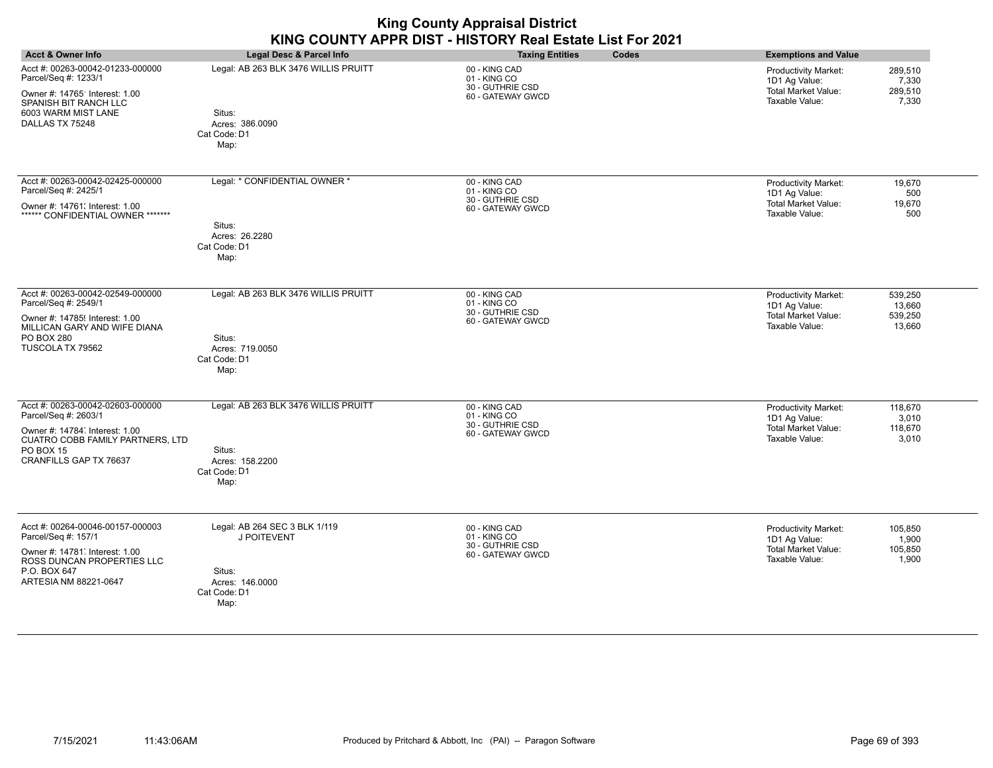| <b>Acct &amp; Owner Info</b>                                                                                                                                         | Legal Desc & Parcel Info                                                                          | <b>Taxing Entities</b><br>Codes                                        | <b>Exemptions and Value</b>                                                                                                     |
|----------------------------------------------------------------------------------------------------------------------------------------------------------------------|---------------------------------------------------------------------------------------------------|------------------------------------------------------------------------|---------------------------------------------------------------------------------------------------------------------------------|
| Acct #: 00263-00042-01233-000000<br>Parcel/Seq #: 1233/1<br>Owner #: 14765' Interest: 1.00<br>SPANISH BIT RANCH LLC<br>6003 WARM MIST LANE<br>DALLAS TX 75248        | Legal: AB 263 BLK 3476 WILLIS PRUITT<br>Situs:<br>Acres: 386.0090<br>Cat Code: D1<br>Map:         | 00 - KING CAD<br>01 - KING CO<br>30 - GUTHRIE CSD<br>60 - GATEWAY GWCD | <b>Productivity Market:</b><br>289,510<br>7,330<br>1D1 Ag Value:<br>Total Market Value:<br>289,510<br>Taxable Value:<br>7,330   |
| Acct #: 00263-00042-02425-000000<br>Parcel/Seq #: 2425/1<br>Owner #: 14761. Interest: 1.00<br>****** CONFIDENTIAL OWNER *******                                      | Legal: * CONFIDENTIAL OWNER *<br>Situs:<br>Acres: 26.2280<br>Cat Code: D1<br>Map:                 | 00 - KING CAD<br>01 - KING CO<br>30 - GUTHRIE CSD<br>60 - GATEWAY GWCD | Productivity Market:<br>19,670<br>1D1 Ag Value:<br>500<br><b>Total Market Value:</b><br>19,670<br>Taxable Value:<br>500         |
| Acct #: 00263-00042-02549-000000<br>Parcel/Seq #: 2549/1<br>Owner #: 14785{ Interest: 1.00<br>MILLICAN GARY AND WIFE DIANA<br>PO BOX 280<br>TUSCOLA TX 79562         | Legal: AB 263 BLK 3476 WILLIS PRUITT<br>Situs:<br>Acres: 719.0050<br>Cat Code: D1<br>Map:         | 00 - KING CAD<br>01 - KING CO<br>30 - GUTHRIE CSD<br>60 - GATEWAY GWCD | Productivity Market:<br>539,250<br>1D1 Ag Value:<br>13,660<br><b>Total Market Value:</b><br>539,250<br>Taxable Value:<br>13,660 |
| Acct #: 00263-00042-02603-000000<br>Parcel/Seq #: 2603/1<br>Owner #: 14784 Interest: 1.00<br>CUATRO COBB FAMILY PARTNERS, LTD<br>PO BOX 15<br>CRANFILLS GAP TX 76637 | Legal: AB 263 BLK 3476 WILLIS PRUITT<br>Situs:<br>Acres: 158.2200<br>Cat Code: D1<br>Map:         | 00 - KING CAD<br>01 - KING CO<br>30 - GUTHRIE CSD<br>60 - GATEWAY GWCD | Productivity Market:<br>118,670<br>1D1 Ag Value:<br>3,010<br>Total Market Value:<br>118,670<br>Taxable Value:<br>3,010          |
| Acct #: 00264-00046-00157-000003<br>Parcel/Seq #: 157/1<br>Owner #: 14781 Interest: 1.00<br>ROSS DUNCAN PROPERTIES LLC<br>P.O. BOX 647<br>ARTESIA NM 88221-0647      | Legal: AB 264 SEC 3 BLK 1/119<br>J POITEVENT<br>Situs:<br>Acres: 146.0000<br>Cat Code: D1<br>Map: | 00 - KING CAD<br>01 - KING CO<br>30 - GUTHRIE CSD<br>60 - GATEWAY GWCD | 105.850<br>Productivity Market:<br>1D1 Ag Value:<br>1,900<br><b>Total Market Value:</b><br>105,850<br>Taxable Value:<br>1,900   |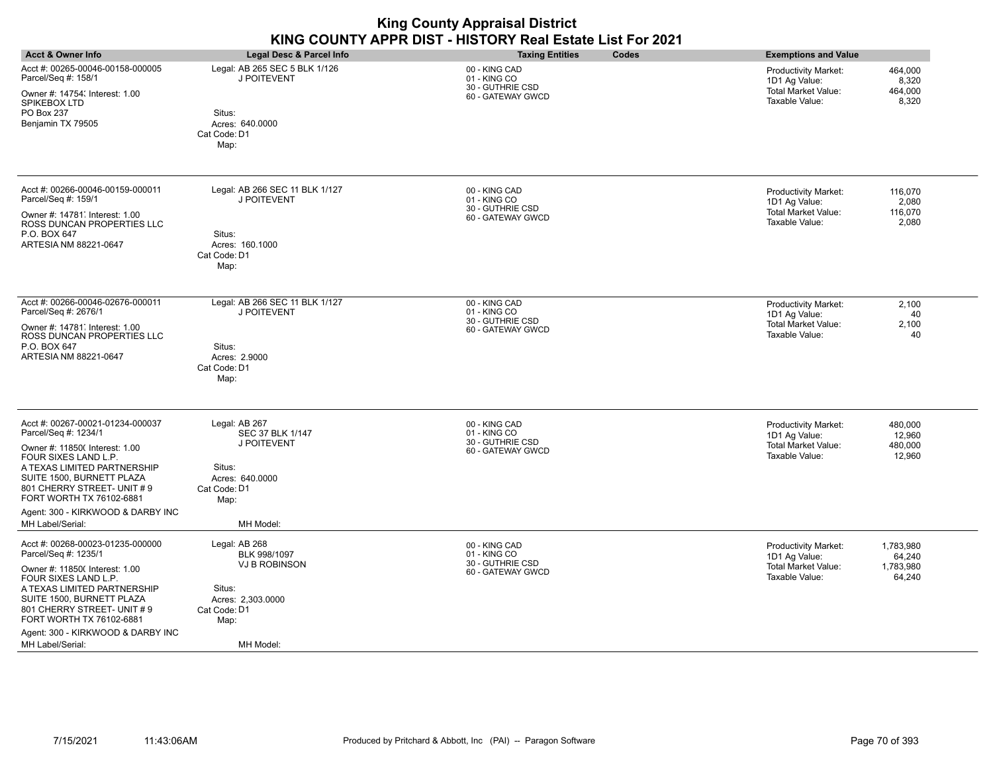|                                                                                                                                                                                                                                                                                                   |                                                                                                                           | <b>King County Appraisal District</b><br>KING COUNTY APPR DIST - HISTORY Real Estate List For 2021 |                                                                                                                                            |
|---------------------------------------------------------------------------------------------------------------------------------------------------------------------------------------------------------------------------------------------------------------------------------------------------|---------------------------------------------------------------------------------------------------------------------------|----------------------------------------------------------------------------------------------------|--------------------------------------------------------------------------------------------------------------------------------------------|
| <b>Acct &amp; Owner Info</b>                                                                                                                                                                                                                                                                      | Legal Desc & Parcel Info                                                                                                  | <b>Taxing Entities</b><br>Codes                                                                    | <b>Exemptions and Value</b>                                                                                                                |
| Acct #: 00265-00046-00158-000005<br>Parcel/Seq #: 158/1<br>Owner #: 14754; Interest: 1.00<br>SPIKEBOX LTD<br>PO Box 237<br>Benjamin TX 79505                                                                                                                                                      | Legal: AB 265 SEC 5 BLK 1/126<br>J POITEVENT<br>Situs:<br>Acres: 640,0000<br>Cat Code: D1<br>Map:                         | 00 - KING CAD<br>01 - KING CO<br>30 - GUTHRIE CSD<br>60 - GATEWAY GWCD                             | <b>Productivity Market:</b><br>464,000<br>8,320<br>1D1 Ag Value:<br>Total Market Value:<br>464,000<br>Taxable Value:<br>8,320              |
| Acct #: 00266-00046-00159-000011<br>Parcel/Seq #: 159/1<br>Owner #: 14781 Interest: 1.00<br>ROSS DUNCAN PROPERTIES LLC<br>P.O. BOX 647<br>ARTESIA NM 88221-0647                                                                                                                                   | Legal: AB 266 SEC 11 BLK 1/127<br>J POITEVENT<br>Situs:<br>Acres: 160.1000<br>Cat Code: D1<br>Map:                        | 00 - KING CAD<br>01 - KING CO<br>30 - GUTHRIE CSD<br>60 - GATEWAY GWCD                             | 116,070<br><b>Productivity Market:</b><br>1D1 Ag Value:<br>2,080<br><b>Total Market Value:</b><br>116,070<br>Taxable Value:<br>2,080       |
| Acct #: 00266-00046-02676-000011<br>Parcel/Seq #: 2676/1<br>Owner #: 14781. Interest: 1.00<br>ROSS DUNCAN PROPERTIES LLC<br>P.O. BOX 647<br>ARTESIA NM 88221-0647                                                                                                                                 | Legal: AB 266 SEC 11 BLK 1/127<br>J POITEVENT<br>Situs:<br>Acres: 2.9000<br>Cat Code: D1<br>Map:                          | 00 - KING CAD<br>01 - KING CO<br>30 - GUTHRIE CSD<br>60 - GATEWAY GWCD                             | <b>Productivity Market:</b><br>2,100<br>1D1 Ag Value:<br>40<br>2,100<br>Total Market Value:<br>Taxable Value:<br>40                        |
| Acct #: 00267-00021-01234-000037<br>Parcel/Seq #: 1234/1<br>Owner #: 11850( Interest: 1.00<br>FOUR SIXES LAND L.P.<br>A TEXAS LIMITED PARTNERSHIP<br>SUITE 1500, BURNETT PLAZA<br>801 CHERRY STREET- UNIT #9<br>FORT WORTH TX 76102-6881<br>Agent: 300 - KIRKWOOD & DARBY INC<br>MH Label/Serial: | Legal: AB 267<br>SEC 37 BLK 1/147<br>J POITEVENT<br>Situs:<br>Acres: 640.0000<br>Cat Code: D1<br>Map:<br>MH Model:        | 00 - KING CAD<br>01 - KING CO<br>30 - GUTHRIE CSD<br>60 - GATEWAY GWCD                             | 480.000<br><b>Productivity Market:</b><br>1D1 Ag Value:<br>12,960<br><b>Total Market Value:</b><br>480,000<br>Taxable Value:<br>12,960     |
| Acct #: 00268-00023-01235-000000<br>Parcel/Seq #: 1235/1<br>Owner #: 11850( Interest: 1.00<br>FOUR SIXES LAND L.P.<br>A TEXAS LIMITED PARTNERSHIP<br>SUITE 1500, BURNETT PLAZA<br>801 CHERRY STREET- UNIT #9<br>FORT WORTH TX 76102-6881<br>Agent: 300 - KIRKWOOD & DARBY INC<br>MH Label/Serial: | Legal: AB 268<br>BLK 998/1097<br><b>VJ B ROBINSON</b><br>Situs:<br>Acres: 2,303.0000<br>Cat Code: D1<br>Map:<br>MH Model: | 00 - KING CAD<br>01 - KING CO<br>30 - GUTHRIE CSD<br>60 - GATEWAY GWCD                             | <b>Productivity Market:</b><br>1,783,980<br>1D1 Ag Value:<br>64,240<br><b>Total Market Value:</b><br>1,783,980<br>Taxable Value:<br>64,240 |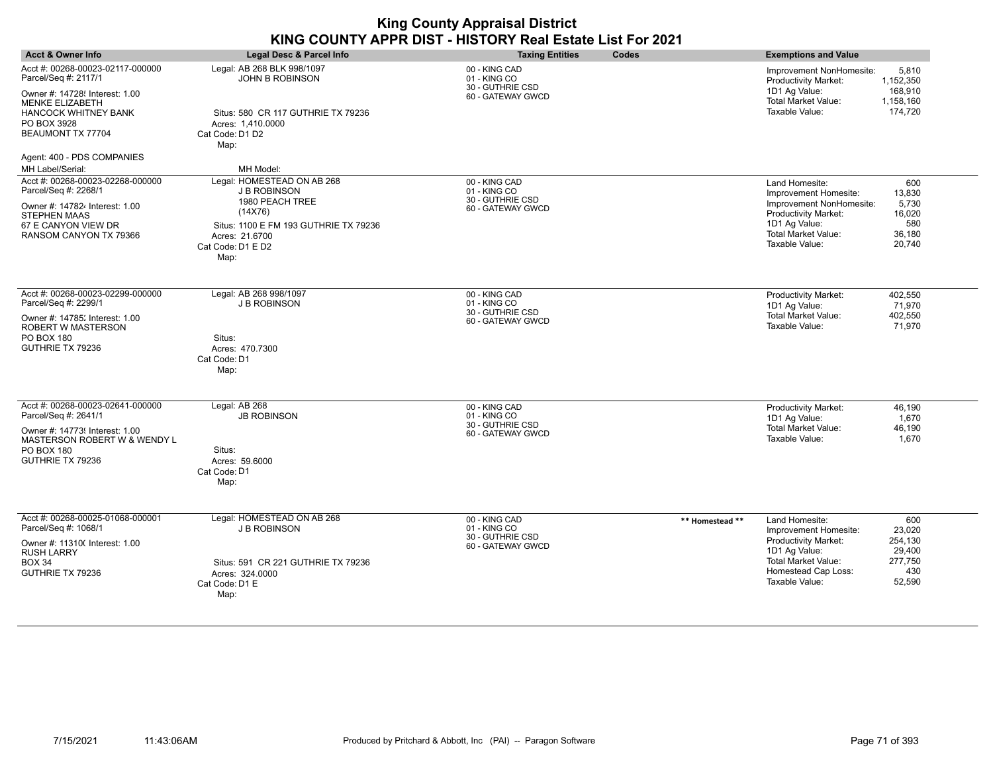| <b>Acct &amp; Owner Info</b>                                                                                                                                              | Legal Desc & Parcel Info                                                                                                                                                | <b>Taxing Entities</b><br>Codes                                        | <b>Exemptions and Value</b>                                                                                                                                                                                                                  |
|---------------------------------------------------------------------------------------------------------------------------------------------------------------------------|-------------------------------------------------------------------------------------------------------------------------------------------------------------------------|------------------------------------------------------------------------|----------------------------------------------------------------------------------------------------------------------------------------------------------------------------------------------------------------------------------------------|
| Acct #: 00268-00023-02117-000000<br>Parcel/Seq #: 2117/1<br>Owner #: 14728! Interest: 1.00<br>MENKE ELIZABETH<br>HANCOCK WHITNEY BANK<br>PO BOX 3928<br>BEAUMONT TX 77704 | Legal: AB 268 BLK 998/1097<br><b>JOHN B ROBINSON</b><br>Situs: 580 CR 117 GUTHRIE TX 79236<br>Acres: 1,410.0000<br>Cat Code: D1 D2<br>Map:                              | 00 - KING CAD<br>01 - KING CO<br>30 - GUTHRIE CSD<br>60 - GATEWAY GWCD | 5,810<br>Improvement NonHomesite:<br>Productivity Market:<br>1,152,350<br>1D1 Ag Value:<br>168,910<br><b>Total Market Value:</b><br>1,158,160<br>Taxable Value:<br>174,720                                                                   |
| Agent: 400 - PDS COMPANIES<br>MH Label/Serial:                                                                                                                            | MH Model:                                                                                                                                                               |                                                                        |                                                                                                                                                                                                                                              |
| Acct #: 00268-00023-02268-000000<br>Parcel/Seq #: 2268/1<br>Owner #: 147824 Interest: 1.00<br><b>STEPHEN MAAS</b><br>67 E CANYON VIEW DR<br>RANSOM CANYON TX 79366        | Legal: HOMESTEAD ON AB 268<br><b>J B ROBINSON</b><br>1980 PEACH TREE<br>(14X76)<br>Situs: 1100 E FM 193 GUTHRIE TX 79236<br>Acres: 21.6700<br>Cat Code: D1 E D2<br>Map: | 00 - KING CAD<br>01 - KING CO<br>30 - GUTHRIE CSD<br>60 - GATEWAY GWCD | Land Homesite:<br>600<br>Improvement Homesite:<br>13,830<br>Improvement NonHomesite:<br>5,730<br>Productivity Market:<br>16,020<br>1D1 Ag Value:<br>580<br><b>Total Market Value:</b><br>36,180<br>Taxable Value:<br>20,740                  |
| Acct #: 00268-00023-02299-000000<br>Parcel/Seq #: 2299/1<br>Owner #: 14785; Interest: 1.00<br>ROBERT W MASTERSON<br>PO BOX 180<br>GUTHRIE TX 79236                        | Legal: AB 268 998/1097<br><b>J B ROBINSON</b><br>Situs:<br>Acres: 470.7300<br>Cat Code: D1<br>Map:                                                                      | 00 - KING CAD<br>01 - KING CO<br>30 - GUTHRIE CSD<br>60 - GATEWAY GWCD | Productivity Market:<br>402,550<br>1D1 Ag Value:<br>71,970<br><b>Total Market Value:</b><br>402,550<br>Taxable Value:<br>71,970                                                                                                              |
| Acct #: 00268-00023-02641-000000<br>Parcel/Seq #: 2641/1<br>Owner #: 14773! Interest: 1.00<br>MASTERSON ROBERT W & WENDY L<br>PO BOX 180<br>GUTHRIE TX 79236              | Legal: AB 268<br><b>JB ROBINSON</b><br>Situs:<br>Acres: 59.6000<br>Cat Code: D1<br>Map:                                                                                 | 00 - KING CAD<br>01 - KING CO<br>30 - GUTHRIE CSD<br>60 - GATEWAY GWCD | Productivity Market:<br>46,190<br>1D1 Ag Value:<br>1,670<br><b>Total Market Value:</b><br>46,190<br>Taxable Value:<br>1,670                                                                                                                  |
| Acct #: 00268-00025-01068-000001<br>Parcel/Seq #: 1068/1<br>Owner #: 11310( Interest: 1.00<br><b>RUSH LARRY</b><br><b>BOX 34</b><br>GUTHRIE TX 79236                      | Legal: HOMESTEAD ON AB 268<br><b>J B ROBINSON</b><br>Situs: 591 CR 221 GUTHRIE TX 79236<br>Acres: 324.0000<br>Cat Code: D1 E<br>Map:                                    | 00 - KING CAD<br>01 - KING CO<br>30 - GUTHRIE CSD<br>60 - GATEWAY GWCD | Land Homesite:<br>600<br>** Homestead **<br>23,020<br>Improvement Homesite:<br>254.130<br><b>Productivity Market:</b><br>1D1 Ag Value:<br>29,400<br>Total Market Value:<br>277,750<br>Homestead Cap Loss:<br>430<br>Taxable Value:<br>52,590 |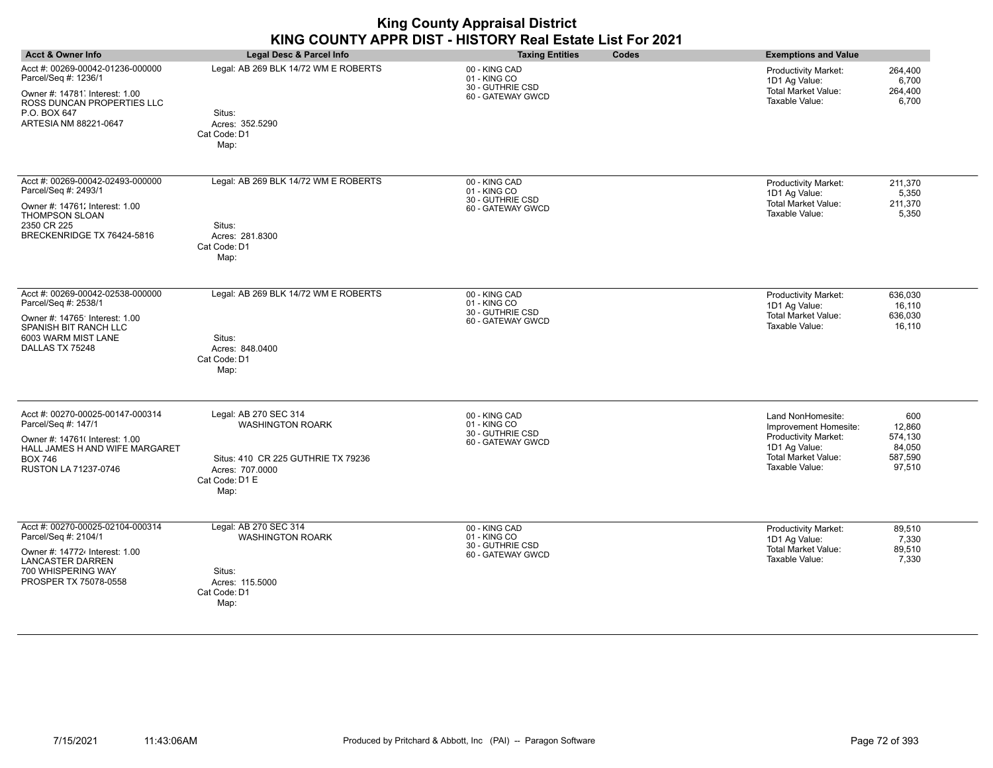| <b>Acct &amp; Owner Info</b>                                                                                                                                          | Legal Desc & Parcel Info                                                                                                            | <b>Taxing Entities</b><br>Codes                                        | <b>Exemptions and Value</b>                                                                                                                                                                    |
|-----------------------------------------------------------------------------------------------------------------------------------------------------------------------|-------------------------------------------------------------------------------------------------------------------------------------|------------------------------------------------------------------------|------------------------------------------------------------------------------------------------------------------------------------------------------------------------------------------------|
| Acct #: 00269-00042-01236-000000<br>Parcel/Seq #: 1236/1<br>Owner #: 14781, Interest: 1.00<br>ROSS DUNCAN PROPERTIES LLC<br>P.O. BOX 647<br>ARTESIA NM 88221-0647     | Legal: AB 269 BLK 14/72 WM E ROBERTS<br>Situs:<br>Acres: 352.5290<br>Cat Code: D1<br>Map:                                           | 00 - KING CAD<br>01 - KING CO<br>30 - GUTHRIE CSD<br>60 - GATEWAY GWCD | <b>Productivity Market:</b><br>264,400<br>1D1 Ag Value:<br>6,700<br><b>Total Market Value:</b><br>264,400<br>Taxable Value:<br>6,700                                                           |
| Acct #: 00269-00042-02493-000000<br>Parcel/Seq #: 2493/1<br>Owner #: 14761. Interest: 1.00<br><b>THOMPSON SLOAN</b><br>2350 CR 225<br>BRECKENRIDGE TX 76424-5816      | Legal: AB 269 BLK 14/72 WM E ROBERTS<br>Situs:<br>Acres: 281.8300<br>Cat Code: D1<br>Map:                                           | 00 - KING CAD<br>01 - KING CO<br>30 - GUTHRIE CSD<br>60 - GATEWAY GWCD | 211,370<br><b>Productivity Market:</b><br>5,350<br>1D1 Ag Value:<br><b>Total Market Value:</b><br>211,370<br>Taxable Value:<br>5,350                                                           |
| Acct #: 00269-00042-02538-000000<br>Parcel/Seq #: 2538/1<br>Owner #: 14765' Interest: 1.00<br>SPANISH BIT RANCH LLC<br>6003 WARM MIST LANE<br>DALLAS TX 75248         | Legal: AB 269 BLK 14/72 WM E ROBERTS<br>Situs:<br>Acres: 848.0400<br>Cat Code: D1<br>Map:                                           | 00 - KING CAD<br>01 - KING CO<br>30 - GUTHRIE CSD<br>60 - GATEWAY GWCD | <b>Productivity Market:</b><br>636,030<br>1D1 Ag Value:<br>16,110<br><b>Total Market Value:</b><br>636,030<br>Taxable Value:<br>16,110                                                         |
| Acct #: 00270-00025-00147-000314<br>Parcel/Seq #: 147/1<br>Owner #: 14761( Interest: 1.00<br>HALL JAMES H AND WIFE MARGARET<br><b>BOX 746</b><br>RUSTON LA 71237-0746 | Legal: AB 270 SEC 314<br><b>WASHINGTON ROARK</b><br>Situs: 410 CR 225 GUTHRIE TX 79236<br>Acres: 707.0000<br>Cat Code: D1 E<br>Map: | 00 - KING CAD<br>01 - KING CO<br>30 - GUTHRIE CSD<br>60 - GATEWAY GWCD | Land NonHomesite:<br>600<br>12,860<br>Improvement Homesite:<br><b>Productivity Market:</b><br>574,130<br>1D1 Ag Value:<br>84,050<br>Total Market Value:<br>587,590<br>Taxable Value:<br>97,510 |
| Acct #: 00270-00025-02104-000314<br>Parcel/Seq #: 2104/1<br>Owner #: 147724 Interest: 1.00<br><b>LANCASTER DARREN</b><br>700 WHISPERING WAY<br>PROSPER TX 75078-0558  | Legal: AB 270 SEC 314<br>WASHINGTON ROARK<br>Situs:<br>Acres: 115.5000<br>Cat Code: D1<br>Map:                                      | 00 - KING CAD<br>01 - KING CO<br>30 - GUTHRIE CSD<br>60 - GATEWAY GWCD | <b>Productivity Market:</b><br>89,510<br>1D1 Ag Value:<br>7,330<br><b>Total Market Value:</b><br>89,510<br>Taxable Value:<br>7,330                                                             |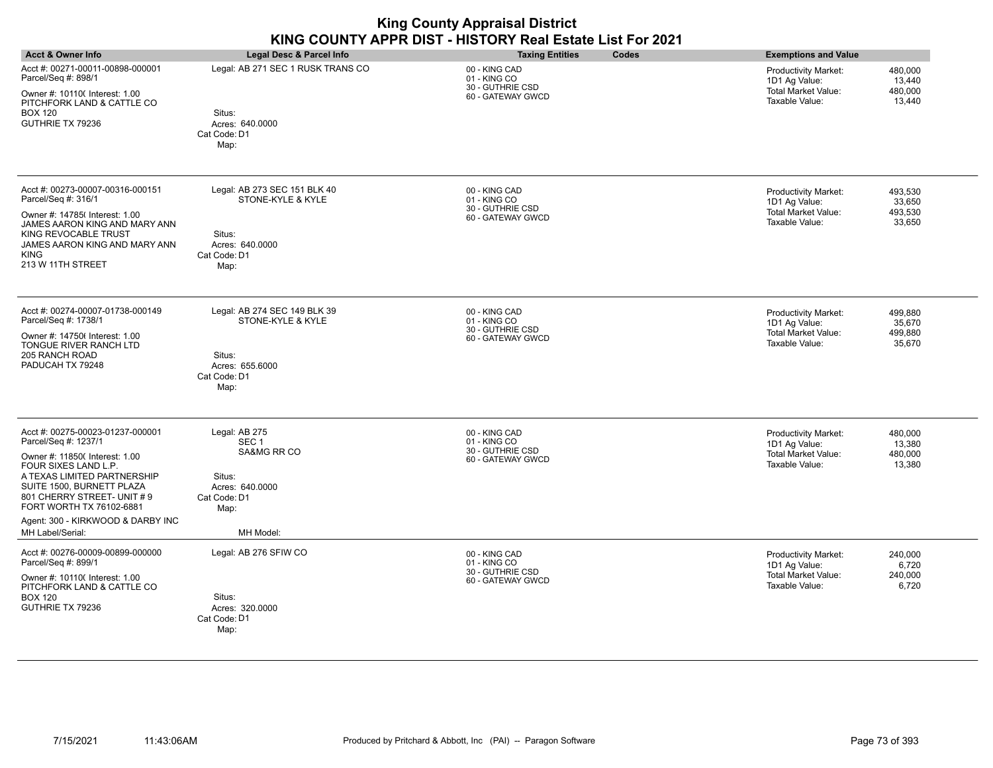| <b>Acct &amp; Owner Info</b>                                                                                                                                                                                                                                                                      | <b>Legal Desc &amp; Parcel Info</b>                                                                                | <b>Taxing Entities</b><br>Codes                                        | <b>Exemptions and Value</b>                                                                                                     |
|---------------------------------------------------------------------------------------------------------------------------------------------------------------------------------------------------------------------------------------------------------------------------------------------------|--------------------------------------------------------------------------------------------------------------------|------------------------------------------------------------------------|---------------------------------------------------------------------------------------------------------------------------------|
| Acct #: 00271-00011-00898-000001<br>Parcel/Seq #: 898/1<br>Owner #: 10110( Interest: 1.00<br>PITCHFORK LAND & CATTLE CO<br><b>BOX 120</b><br>GUTHRIE TX 79236                                                                                                                                     | Legal: AB 271 SEC 1 RUSK TRANS CO<br>Situs:<br>Acres: 640.0000<br>Cat Code: D1<br>Map:                             | 00 - KING CAD<br>01 - KING CO<br>30 - GUTHRIE CSD<br>60 - GATEWAY GWCD | 480,000<br>Productivity Market:<br>1D1 Ag Value:<br>13,440<br>Total Market Value:<br>480,000<br>Taxable Value:<br>13,440        |
| Acct #: 00273-00007-00316-000151<br>Parcel/Seq #: 316/1<br>Owner #: 14785(Interest: 1.00<br>JAMES AARON KING AND MARY ANN<br>KING REVOCABLE TRUST<br>JAMES AARON KING AND MARY ANN<br><b>KING</b><br>213 W 11TH STREET                                                                            | Legal: AB 273 SEC 151 BLK 40<br>STONE-KYLE & KYLE<br>Situs:<br>Acres: 640.0000<br>Cat Code: D1<br>Map:             | 00 - KING CAD<br>01 - KING CO<br>30 - GUTHRIE CSD<br>60 - GATEWAY GWCD | Productivity Market:<br>493,530<br>1D1 Ag Value:<br>33,650<br>Total Market Value:<br>493,530<br>Taxable Value:<br>33,650        |
| Acct #: 00274-00007-01738-000149<br>Parcel/Seq #: 1738/1<br>Owner #: 14750 (Interest: 1.00<br>TONGUE RIVER RANCH LTD<br>205 RANCH ROAD<br>PADUCAH TX 79248                                                                                                                                        | Legal: AB 274 SEC 149 BLK 39<br>STONE-KYLE & KYLE<br>Situs:<br>Acres: 655.6000<br>Cat Code: D1<br>Map:             | 00 - KING CAD<br>01 - KING CO<br>30 - GUTHRIE CSD<br>60 - GATEWAY GWCD | 499,880<br>Productivity Market:<br>35,670<br>1D1 Ag Value:<br><b>Total Market Value:</b><br>499,880<br>Taxable Value:<br>35,670 |
| Acct #: 00275-00023-01237-000001<br>Parcel/Seq #: 1237/1<br>Owner #: 11850( Interest: 1.00<br>FOUR SIXES LAND L.P.<br>A TEXAS LIMITED PARTNERSHIP<br>SUITE 1500, BURNETT PLAZA<br>801 CHERRY STREET- UNIT #9<br>FORT WORTH TX 76102-6881<br>Agent: 300 - KIRKWOOD & DARBY INC<br>MH Label/Serial: | Legal: AB 275<br>SEC <sub>1</sub><br>SA&MG RR CO<br>Situs:<br>Acres: 640.0000<br>Cat Code: D1<br>Map:<br>MH Model: | 00 - KING CAD<br>01 - KING CO<br>30 - GUTHRIE CSD<br>60 - GATEWAY GWCD | Productivity Market:<br>480,000<br>13,380<br>1D1 Ag Value:<br><b>Total Market Value:</b><br>480,000<br>Taxable Value:<br>13,380 |
| Acct #: 00276-00009-00899-000000<br>Parcel/Seq #: 899/1<br>Owner #: 10110( Interest: 1.00<br>PITCHFORK LAND & CATTLE CO<br><b>BOX 120</b><br>GUTHRIE TX 79236                                                                                                                                     | Legal: AB 276 SFIW CO<br>Situs:<br>Acres: 320.0000<br>Cat Code: D1<br>Map:                                         | 00 - KING CAD<br>01 - KING CO<br>30 - GUTHRIE CSD<br>60 - GATEWAY GWCD | Productivity Market:<br>240,000<br>1D1 Ag Value:<br>6,720<br>Total Market Value:<br>240,000<br>Taxable Value:<br>6,720          |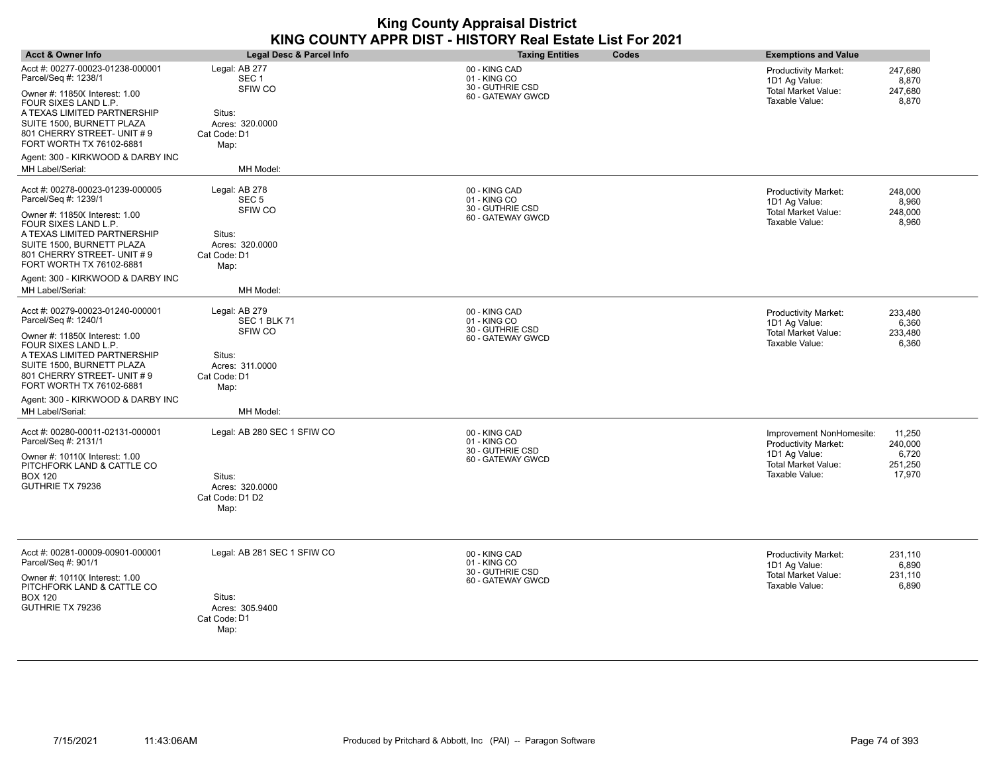| <b>Acct &amp; Owner Info</b>                                                                                                                                                                                                                                                                                           | Legal Desc & Parcel Info                                                                                                       | <b>Taxing Entities</b><br>Codes                                        | <b>Exemptions and Value</b>                                                                                                                                          |
|------------------------------------------------------------------------------------------------------------------------------------------------------------------------------------------------------------------------------------------------------------------------------------------------------------------------|--------------------------------------------------------------------------------------------------------------------------------|------------------------------------------------------------------------|----------------------------------------------------------------------------------------------------------------------------------------------------------------------|
| Acct #: 00277-00023-01238-000001<br>Parcel/Seq #: 1238/1<br>Owner #: 11850( Interest: 1.00<br>FOUR SIXES LAND L.P.<br>A TEXAS LIMITED PARTNERSHIP<br>SUITE 1500, BURNETT PLAZA<br>801 CHERRY STREET- UNIT # 9<br>FORT WORTH TX 76102-6881                                                                              | Legal: AB 277<br>SEC <sub>1</sub><br>SFIW CO<br>Situs:<br>Acres: 320,0000<br>Cat Code: D1<br>Map:                              | 00 - KING CAD<br>01 - KING CO<br>30 - GUTHRIE CSD<br>60 - GATEWAY GWCD | 247,680<br><b>Productivity Market:</b><br>1D1 Ag Value:<br>8,870<br>247,680<br>Total Market Value:<br>Taxable Value:<br>8,870                                        |
| Agent: 300 - KIRKWOOD & DARBY INC<br>MH Label/Serial:                                                                                                                                                                                                                                                                  | MH Model:                                                                                                                      |                                                                        |                                                                                                                                                                      |
| Acct #: 00278-00023-01239-000005<br>Parcel/Seq #: 1239/1<br>Owner #: 11850( Interest: 1.00<br>FOUR SIXES LAND L.P.<br>A TEXAS LIMITED PARTNERSHIP<br>SUITE 1500, BURNETT PLAZA<br>801 CHERRY STREET- UNIT # 9<br>FORT WORTH TX 76102-6881<br>Agent: 300 - KIRKWOOD & DARBY INC                                         | Legal: AB 278<br>SEC <sub>5</sub><br>SFIW CO<br>Situs:<br>Acres: 320,0000<br>Cat Code: D1<br>Map:                              | 00 - KING CAD<br>01 - KING CO<br>30 - GUTHRIE CSD<br>60 - GATEWAY GWCD | 248,000<br><b>Productivity Market:</b><br>8,960<br>1D1 Ag Value:<br>Total Market Value:<br>248,000<br>Taxable Value:<br>8,960                                        |
| MH Label/Serial:<br>Acct #: 00279-00023-01240-000001<br>Parcel/Seq #: 1240/1<br>Owner #: 11850( Interest: 1.00<br>FOUR SIXES LAND L.P.<br>A TEXAS LIMITED PARTNERSHIP<br>SUITE 1500, BURNETT PLAZA<br>801 CHERRY STREET- UNIT # 9<br>FORT WORTH TX 76102-6881<br>Agent: 300 - KIRKWOOD & DARBY INC<br>MH Label/Serial: | MH Model:<br>Legal: AB 279<br><b>SEC 1 BLK 71</b><br>SFIW CO<br>Situs:<br>Acres: 311.0000<br>Cat Code: D1<br>Map:<br>MH Model: | 00 - KING CAD<br>01 - KING CO<br>30 - GUTHRIE CSD<br>60 - GATEWAY GWCD | 233,480<br><b>Productivity Market:</b><br>6,360<br>1D1 Ag Value:<br>Total Market Value:<br>233,480<br>Taxable Value:<br>6,360                                        |
| Acct #: 00280-00011-02131-000001<br>Parcel/Seq #: 2131/1<br>Owner #: 10110( Interest: 1.00<br>PITCHFORK LAND & CATTLE CO<br>BOX 120<br>GUTHRIE TX 79236                                                                                                                                                                | Legal: AB 280 SEC 1 SFIW CO<br>Situs:<br>Acres: 320,0000<br>Cat Code: D1 D2<br>Map:                                            | 00 - KING CAD<br>01 - KING CO<br>30 - GUTHRIE CSD<br>60 - GATEWAY GWCD | 11,250<br>Improvement NonHomesite:<br>240,000<br><b>Productivity Market:</b><br>1D1 Ag Value:<br>6,720<br>Total Market Value:<br>251,250<br>Taxable Value:<br>17,970 |
| Acct #: 00281-00009-00901-000001<br>Parcel/Seq #: 901/1<br>Owner #: 10110( Interest: 1.00<br>PITCHFORK LAND & CATTLE CO<br>BOX 120<br>GUTHRIE TX 79236                                                                                                                                                                 | Legal: AB 281 SEC 1 SFIW CO<br>Situs:<br>Acres: 305.9400<br>Cat Code: D1<br>Map:                                               | 00 - KING CAD<br>01 - KING CO<br>30 - GUTHRIE CSD<br>60 - GATEWAY GWCD | 231,110<br><b>Productivity Market:</b><br>1D1 Ag Value:<br>6,890<br><b>Total Market Value:</b><br>231,110<br>Taxable Value:<br>6,890                                 |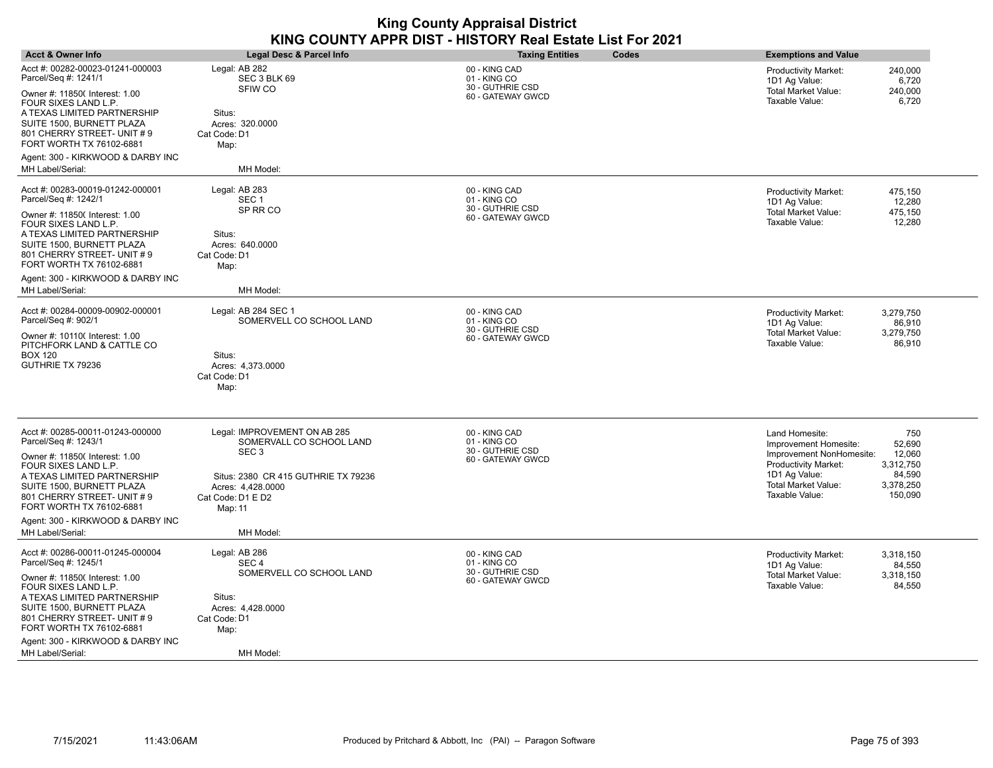| <b>Acct &amp; Owner Info</b>                                                                                                                                                                                                                                                                      | <b>Legal Desc &amp; Parcel Info</b>                                                                                                                                      | <b>Taxing Entities</b>                                                 | Codes | <b>Exemptions and Value</b>                                                                                                                                         |                                                                        |
|---------------------------------------------------------------------------------------------------------------------------------------------------------------------------------------------------------------------------------------------------------------------------------------------------|--------------------------------------------------------------------------------------------------------------------------------------------------------------------------|------------------------------------------------------------------------|-------|---------------------------------------------------------------------------------------------------------------------------------------------------------------------|------------------------------------------------------------------------|
| Acct #: 00282-00023-01241-000003<br>Parcel/Seq #: 1241/1<br>Owner #: 11850( Interest: 1.00<br>FOUR SIXES LAND L.P.<br>A TEXAS LIMITED PARTNERSHIP<br>SUITE 1500, BURNETT PLAZA<br>801 CHERRY STREET- UNIT # 9<br>FORT WORTH TX 76102-6881<br>Agent: 300 - KIRKWOOD & DARBY INC                    | Legal: AB 282<br>SEC 3 BLK 69<br>SFIW CO<br>Situs:<br>Acres: 320,0000<br>Cat Code: D1<br>Map:                                                                            | 00 - KING CAD<br>01 - KING CO<br>30 - GUTHRIE CSD<br>60 - GATEWAY GWCD |       | <b>Productivity Market:</b><br>1D1 Ag Value:<br><b>Total Market Value:</b><br>Taxable Value:                                                                        | 240,000<br>6,720<br>240,000<br>6,720                                   |
| MH Label/Serial:                                                                                                                                                                                                                                                                                  | MH Model:                                                                                                                                                                |                                                                        |       |                                                                                                                                                                     |                                                                        |
| Acct #: 00283-00019-01242-000001<br>Parcel/Seq #: 1242/1<br>Owner #: 11850( Interest: 1.00<br>FOUR SIXES LAND L.P.<br>A TEXAS LIMITED PARTNERSHIP<br>SUITE 1500, BURNETT PLAZA<br>801 CHERRY STREET- UNIT # 9<br>FORT WORTH TX 76102-6881<br>Agent: 300 - KIRKWOOD & DARBY INC                    | Legal: AB 283<br>SEC <sub>1</sub><br>SP RR CO<br>Situs:<br>Acres: 640.0000<br>Cat Code: D1<br>Map:                                                                       | 00 - KING CAD<br>01 - KING CO<br>30 - GUTHRIE CSD<br>60 - GATEWAY GWCD |       | <b>Productivity Market:</b><br>1D1 Ag Value:<br>Total Market Value:<br>Taxable Value:                                                                               | 475,150<br>12,280<br>475,150<br>12,280                                 |
| MH Label/Serial:                                                                                                                                                                                                                                                                                  | MH Model:                                                                                                                                                                |                                                                        |       |                                                                                                                                                                     |                                                                        |
| Acct #: 00284-00009-00902-000001<br>Parcel/Seq #: 902/1<br>Owner #: 10110( Interest: 1.00<br>PITCHFORK LAND & CATTLE CO<br>BOX 120<br>GUTHRIE TX 79236                                                                                                                                            | Legal: AB 284 SEC 1<br>SOMERVELL CO SCHOOL LAND<br>Situs:<br>Acres: 4,373.0000<br>Cat Code: D1<br>Map:                                                                   | 00 - KING CAD<br>01 - KING CO<br>30 - GUTHRIE CSD<br>60 - GATEWAY GWCD |       | <b>Productivity Market:</b><br>1D1 Ag Value:<br>Total Market Value:<br>Taxable Value:                                                                               | 3,279,750<br>86,910<br>3,279,750<br>86,910                             |
| Acct #: 00285-00011-01243-000000<br>Parcel/Seq #: 1243/1<br>Owner #: 11850( Interest: 1.00<br>FOUR SIXES LAND L.P.<br>A TEXAS LIMITED PARTNERSHIP<br>SUITE 1500, BURNETT PLAZA<br>801 CHERRY STREET- UNIT # 9<br>FORT WORTH TX 76102-6881<br>Agent: 300 - KIRKWOOD & DARBY INC                    | Legal: IMPROVEMENT ON AB 285<br>SOMERVALL CO SCHOOL LAND<br>SEC <sub>3</sub><br>Situs: 2380 CR 415 GUTHRIE TX 79236<br>Acres: 4.428,0000<br>Cat Code: D1 E D2<br>Map: 11 | 00 - KING CAD<br>01 - KING CO<br>30 - GUTHRIE CSD<br>60 - GATEWAY GWCD |       | Land Homesite:<br>Improvement Homesite:<br>Improvement NonHomesite:<br><b>Productivity Market:</b><br>1D1 Ag Value:<br><b>Total Market Value:</b><br>Taxable Value: | 750<br>52,690<br>12,060<br>3,312,750<br>84,590<br>3,378,250<br>150,090 |
| MH Label/Serial:                                                                                                                                                                                                                                                                                  | MH Model:                                                                                                                                                                |                                                                        |       |                                                                                                                                                                     |                                                                        |
| Acct #: 00286-00011-01245-000004<br>Parcel/Seq #: 1245/1<br>Owner #: 11850( Interest: 1.00<br>FOUR SIXES LAND L.P.<br>A TEXAS LIMITED PARTNERSHIP<br>SUITE 1500, BURNETT PLAZA<br>801 CHERRY STREET- UNIT #9<br>FORT WORTH TX 76102-6881<br>Agent: 300 - KIRKWOOD & DARBY INC<br>MH Label/Serial: | Legal: AB 286<br>SEC <sub>4</sub><br>SOMERVELL CO SCHOOL LAND<br>Situs:<br>Acres: 4,428.0000<br>Cat Code: D1<br>Map:<br>MH Model:                                        | 00 - KING CAD<br>01 - KING CO<br>30 - GUTHRIE CSD<br>60 - GATEWAY GWCD |       | <b>Productivity Market:</b><br>1D1 Ag Value:<br>Total Market Value:<br>Taxable Value:                                                                               | 3,318,150<br>84,550<br>3,318,150<br>84,550                             |

 $\overline{\phantom{a}}$ 

 $\overline{\phantom{a}}$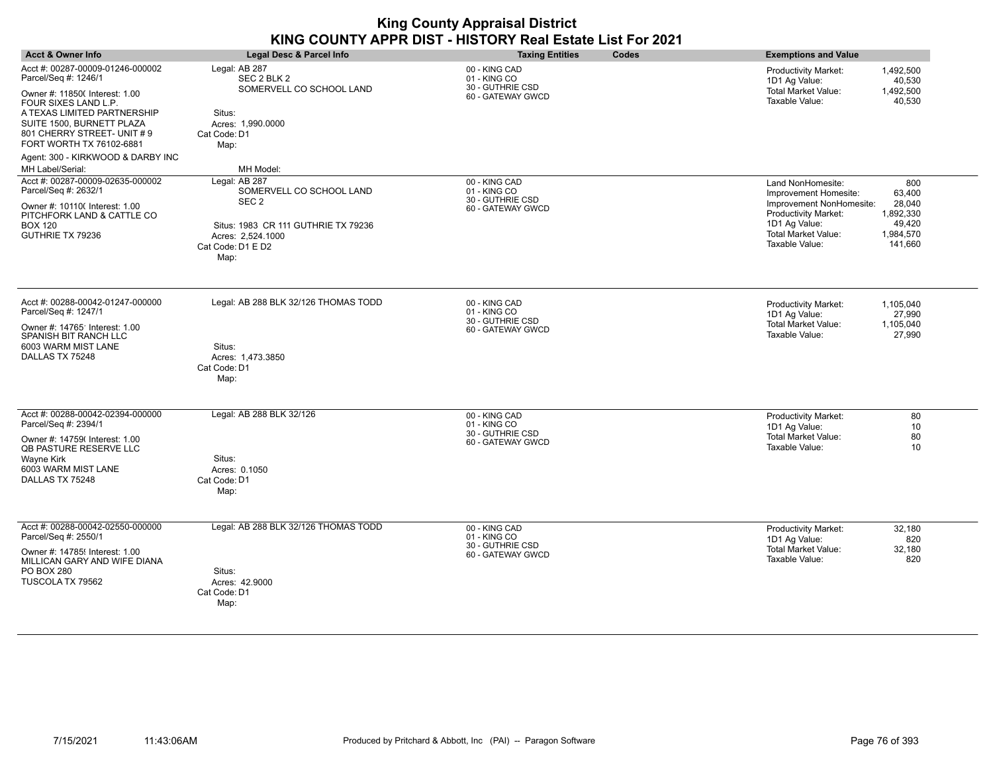| <b>Acct &amp; Owner Info</b>                                                                                                                                                   | Legal Desc & Parcel Info                                                                                                              | <b>Taxing Entities</b><br>Codes                                        | <b>Exemptions and Value</b>                                                                                                                                                                                                        |
|--------------------------------------------------------------------------------------------------------------------------------------------------------------------------------|---------------------------------------------------------------------------------------------------------------------------------------|------------------------------------------------------------------------|------------------------------------------------------------------------------------------------------------------------------------------------------------------------------------------------------------------------------------|
| Acct #: 00287-00009-01246-000002<br>Parcel/Seq #: 1246/1<br>Owner #: 11850( Interest: 1.00<br>FOUR SIXES LAND L.P.<br>A TEXAS LIMITED PARTNERSHIP<br>SUITE 1500, BURNETT PLAZA | Legal: AB 287<br>SEC 2 BLK 2<br>SOMERVELL CO SCHOOL LAND<br>Situs:<br>Acres: 1,990.0000                                               | 00 - KING CAD<br>01 - KING CO<br>30 - GUTHRIE CSD<br>60 - GATEWAY GWCD | 1,492,500<br>Productivity Market:<br>1D1 Ag Value:<br>40,530<br>Total Market Value:<br>1,492,500<br>Taxable Value:<br>40,530                                                                                                       |
| 801 CHERRY STREET- UNIT #9<br>FORT WORTH TX 76102-6881<br>Agent: 300 - KIRKWOOD & DARBY INC<br>MH Label/Serial:<br>Acct #: 00287-00009-02635-000002                            | Cat Code: D1<br>Map:<br>MH Model:<br>Legal: AB 287                                                                                    |                                                                        |                                                                                                                                                                                                                                    |
| Parcel/Seq #: 2632/1<br>Owner #: 10110( Interest: 1.00<br>PITCHFORK LAND & CATTLE CO<br><b>BOX 120</b><br>GUTHRIE TX 79236                                                     | SOMERVELL CO SCHOOL LAND<br>SEC <sub>2</sub><br>Situs: 1983 CR 111 GUTHRIE TX 79236<br>Acres: 2.524.1000<br>Cat Code: D1 E D2<br>Map: | 00 - KING CAD<br>01 - KING CO<br>30 - GUTHRIE CSD<br>60 - GATEWAY GWCD | 800<br>Land NonHomesite:<br>63,400<br>Improvement Homesite:<br>28,040<br>Improvement NonHomesite:<br>Productivity Market:<br>1,892,330<br>1D1 Ag Value:<br>49,420<br>Total Market Value:<br>1,984,570<br>Taxable Value:<br>141,660 |
| Acct #: 00288-00042-01247-000000<br>Parcel/Seq #: 1247/1<br>Owner #: 14765' Interest: 1.00<br>SPANISH BIT RANCH LLC<br>6003 WARM MIST LANE<br>DALLAS TX 75248                  | Legal: AB 288 BLK 32/126 THOMAS TODD<br>Situs:<br>Acres: 1,473.3850<br>Cat Code: D1<br>Map:                                           | 00 - KING CAD<br>01 - KING CO<br>30 - GUTHRIE CSD<br>60 - GATEWAY GWCD | Productivity Market:<br>1,105,040<br>1D1 Ag Value:<br>27,990<br>Total Market Value:<br>1,105,040<br>Taxable Value:<br>27,990                                                                                                       |
| Acct #: 00288-00042-02394-000000<br>Parcel/Seq #: 2394/1<br>Owner #: 14759( Interest: 1.00<br>QB PASTURE RESERVE LLC<br>Wayne Kirk<br>6003 WARM MIST LANE<br>DALLAS TX 75248   | Legal: AB 288 BLK 32/126<br>Situs:<br>Acres: 0.1050<br>Cat Code: D1<br>Map:                                                           | 00 - KING CAD<br>01 - KING CO<br>30 - GUTHRIE CSD<br>60 - GATEWAY GWCD | Productivity Market:<br>80<br>1D1 Ag Value:<br>10<br><b>Total Market Value:</b><br>80<br>Taxable Value:<br>10                                                                                                                      |
| Acct #: 00288-00042-02550-000000<br>Parcel/Seq #: 2550/1<br>Owner #: 14785! Interest: 1.00<br>MILLICAN GARY AND WIFE DIANA<br>PO BOX 280<br>TUSCOLA TX 79562                   | Legal: AB 288 BLK 32/126 THOMAS TODD<br>Situs:<br>Acres: 42.9000<br>Cat Code: D1<br>Map:                                              | 00 - KING CAD<br>01 - KING CO<br>30 - GUTHRIE CSD<br>60 - GATEWAY GWCD | Productivity Market:<br>32,180<br>1D1 Ag Value:<br>820<br>Total Market Value:<br>32,180<br>Taxable Value:<br>820                                                                                                                   |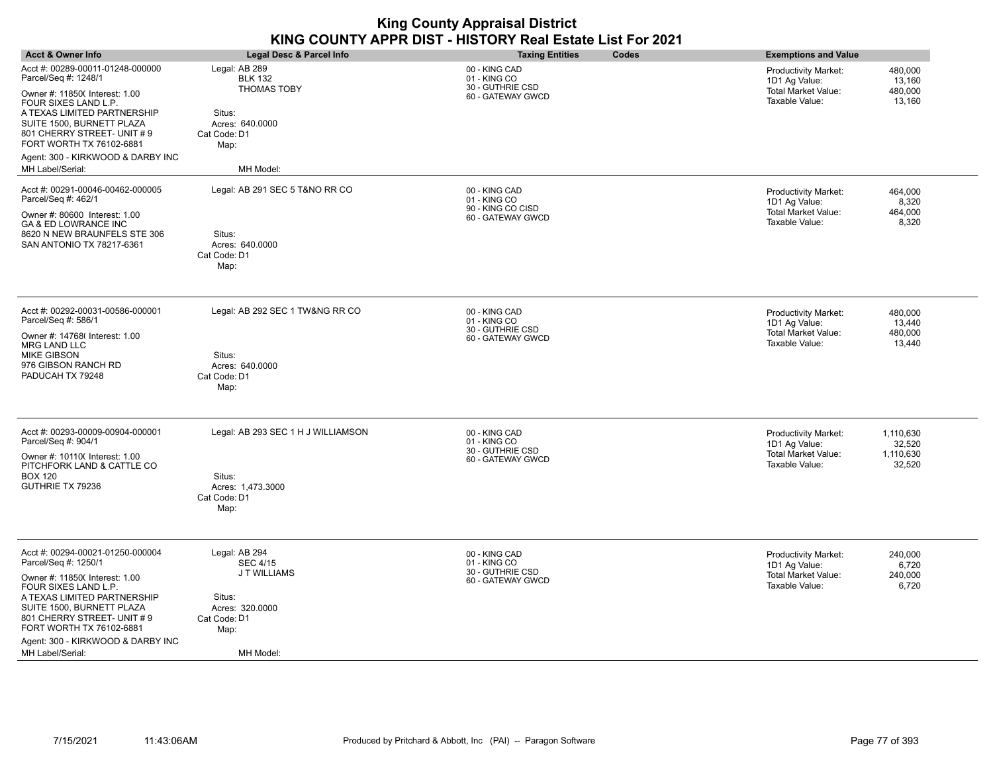| <b>Acct &amp; Owner Info</b>                                                                                                                                                                                                                                                                       | Legal Desc & Parcel Info                                                                                                | <b>Taxing Entities</b><br>Codes                                         | <b>Exemptions and Value</b>                                                                                                          |
|----------------------------------------------------------------------------------------------------------------------------------------------------------------------------------------------------------------------------------------------------------------------------------------------------|-------------------------------------------------------------------------------------------------------------------------|-------------------------------------------------------------------------|--------------------------------------------------------------------------------------------------------------------------------------|
| Acct #: 00289-00011-01248-000000<br>Parcel/Seq #: 1248/1<br>Owner #: 11850( Interest: 1.00<br>FOUR SIXES LAND L.P.<br>A TEXAS LIMITED PARTNERSHIP<br>SUITE 1500, BURNETT PLAZA<br>801 CHERRY STREET- UNIT # 9<br>FORT WORTH TX 76102-6881<br>Agent: 300 - KIRKWOOD & DARBY INC<br>MH Label/Serial: | Legal: AB 289<br><b>BLK 132</b><br><b>THOMAS TOBY</b><br>Situs:<br>Acres: 640.0000<br>Cat Code: D1<br>Map:<br>MH Model: | 00 - KING CAD<br>01 - KING CO<br>30 - GUTHRIE CSD<br>60 - GATEWAY GWCD  | <b>Productivity Market:</b><br>480,000<br>1D1 Ag Value:<br>13,160<br>Total Market Value:<br>480,000<br>Taxable Value:<br>13,160      |
| Acct #: 00291-00046-00462-000005<br>Parcel/Seq #: 462/1<br>Owner #: 80600 Interest: 1.00<br><b>GA &amp; ED LOWRANCE INC</b><br>8620 N NEW BRAUNFELS STE 306<br>SAN ANTONIO TX 78217-6361                                                                                                           | Legal: AB 291 SEC 5 T&NO RR CO<br>Situs:<br>Acres: 640.0000<br>Cat Code: D1<br>Map:                                     | 00 - KING CAD<br>01 - KING CO<br>90 - KING CO CISD<br>60 - GATEWAY GWCD | 464,000<br><b>Productivity Market:</b><br>8,320<br>1D1 Ag Value:<br><b>Total Market Value:</b><br>464,000<br>Taxable Value:<br>8,320 |
| Acct #: 00292-00031-00586-000001<br>Parcel/Seq #: 586/1<br>Owner #: 14768( Interest: 1.00<br><b>MRG LAND LLC</b><br><b>MIKE GIBSON</b><br>976 GIBSON RANCH RD<br>PADUCAH TX 79248                                                                                                                  | Legal: AB 292 SEC 1 TW&NG RR CO<br>Situs:<br>Acres: 640.0000<br>Cat Code: D1<br>Map:                                    | 00 - KING CAD<br>01 - KING CO<br>30 - GUTHRIE CSD<br>60 - GATEWAY GWCD  | 480,000<br><b>Productivity Market:</b><br>13,440<br>1D1 Ag Value:<br>Total Market Value:<br>480,000<br>Taxable Value:<br>13,440      |
| Acct #: 00293-00009-00904-000001<br>Parcel/Seq #: 904/1<br>Owner #: 10110( Interest: 1.00<br>PITCHFORK LAND & CATTLE CO<br><b>BOX 120</b><br>GUTHRIE TX 79236                                                                                                                                      | Legal: AB 293 SEC 1 H J WILLIAMSON<br>Situs:<br>Acres: 1,473.3000<br>Cat Code: D1<br>Map:                               | 00 - KING CAD<br>01 - KING CO<br>30 - GUTHRIE CSD<br>60 - GATEWAY GWCD  | <b>Productivity Market:</b><br>1,110,630<br>1D1 Ag Value:<br>32,520<br>Total Market Value:<br>1,110,630<br>Taxable Value:<br>32,520  |
| Acct #: 00294-00021-01250-000004<br>Parcel/Seq #: 1250/1<br>Owner #: 11850( Interest: 1.00<br>FOUR SIXES LAND L.P.<br>A TEXAS LIMITED PARTNERSHIP<br>SUITE 1500, BURNETT PLAZA<br>801 CHERRY STREET- UNIT #9<br>FORT WORTH TX 76102-6881<br>Agent: 300 - KIRKWOOD & DARBY INC<br>MH Label/Serial:  | Legal: AB 294<br><b>SEC 4/15</b><br>J T WILLIAMS<br>Situs:<br>Acres: 320.0000<br>Cat Code: D1<br>Map:<br>MH Model:      | 00 - KING CAD<br>01 - KING CO<br>30 - GUTHRIE CSD<br>60 - GATEWAY GWCD  | Productivity Market:<br>240,000<br>6,720<br>1D1 Ag Value:<br>Total Market Value:<br>240,000<br>Taxable Value:<br>6,720               |

 $\overline{\phantom{a}}$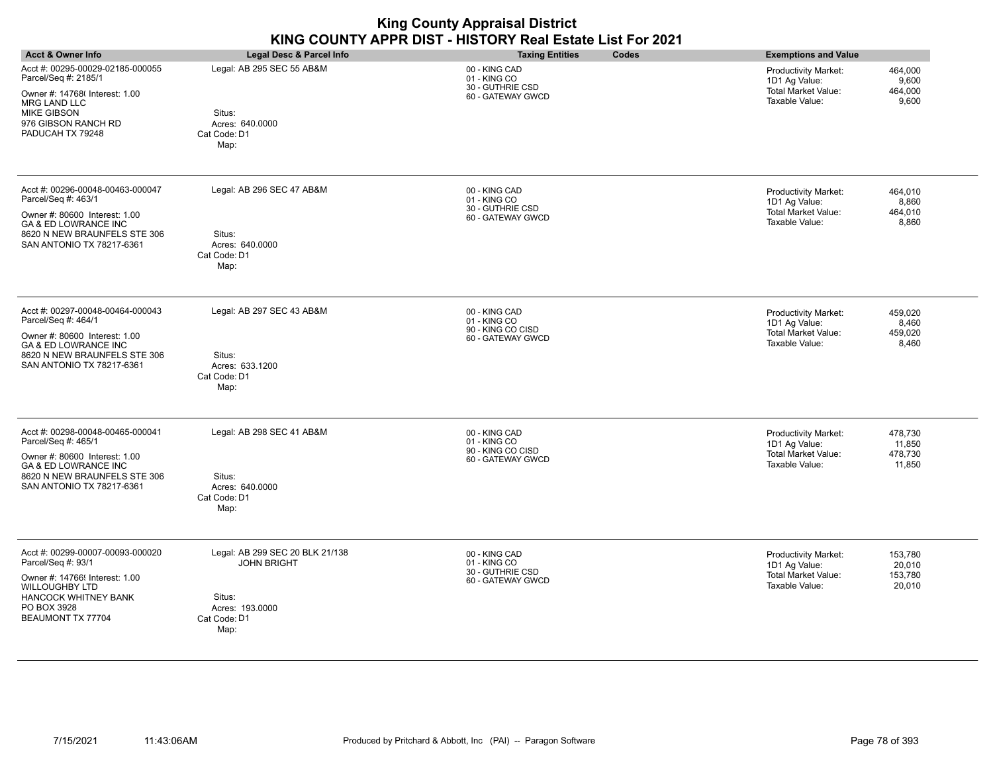| <b>Acct &amp; Owner Info</b>                                                                                                                                                             | <b>Legal Desc &amp; Parcel Info</b>                                                                        | <b>Taxing Entities</b><br>Codes                                         | <b>Exemptions and Value</b>                                                                                                            |
|------------------------------------------------------------------------------------------------------------------------------------------------------------------------------------------|------------------------------------------------------------------------------------------------------------|-------------------------------------------------------------------------|----------------------------------------------------------------------------------------------------------------------------------------|
| Acct #: 00295-00029-02185-000055<br>Parcel/Seq #: 2185/1<br>Owner #: 14768( Interest: 1.00<br><b>MRG LAND LLC</b><br><b>MIKE GIBSON</b><br>976 GIBSON RANCH RD<br>PADUCAH TX 79248       | Legal: AB 295 SEC 55 AB&M<br>Situs:<br>Acres: 640.0000<br>Cat Code: D1<br>Map:                             | 00 - KING CAD<br>01 - KING CO<br>30 - GUTHRIE CSD<br>60 - GATEWAY GWCD  | 464,000<br><b>Productivity Market:</b><br>1D1 Ag Value:<br>9,600<br><b>Total Market Value:</b><br>464,000<br>Taxable Value:<br>9,600   |
| Acct #: 00296-00048-00463-000047<br>Parcel/Seq #: 463/1<br>Owner #: 80600 Interest: 1.00<br><b>GA &amp; ED LOWRANCE INC</b><br>8620 N NEW BRAUNFELS STE 306<br>SAN ANTONIO TX 78217-6361 | Legal: AB 296 SEC 47 AB&M<br>Situs:<br>Acres: 640.0000<br>Cat Code: D1<br>Map:                             | 00 - KING CAD<br>01 - KING CO<br>30 - GUTHRIE CSD<br>60 - GATEWAY GWCD  | 464,010<br>Productivity Market:<br>8,860<br>1D1 Ag Value:<br><b>Total Market Value:</b><br>464,010<br>Taxable Value:<br>8,860          |
| Acct #: 00297-00048-00464-000043<br>Parcel/Seq #: 464/1<br>Owner #: 80600 Interest: 1.00<br>GA & ED LOWRANCE INC<br>8620 N NEW BRAUNFELS STE 306<br>SAN ANTONIO TX 78217-6361            | Legal: AB 297 SEC 43 AB&M<br>Situs:<br>Acres: 633.1200<br>Cat Code: D1<br>Map:                             | 00 - KING CAD<br>01 - KING CO<br>90 - KING CO CISD<br>60 - GATEWAY GWCD | Productivity Market:<br>459,020<br>8,460<br>1D1 Ag Value:<br><b>Total Market Value:</b><br>459,020<br>Taxable Value:<br>8,460          |
| Acct #: 00298-00048-00465-000041<br>Parcel/Seq #: 465/1<br>Owner #: 80600 Interest: 1.00<br><b>GA &amp; ED LOWRANCE INC</b><br>8620 N NEW BRAUNFELS STE 306<br>SAN ANTONIO TX 78217-6361 | Legal: AB 298 SEC 41 AB&M<br>Situs:<br>Acres: 640.0000<br>Cat Code: D1<br>Map:                             | 00 - KING CAD<br>01 - KING CO<br>90 - KING CO CISD<br>60 - GATEWAY GWCD | 478,730<br><b>Productivity Market:</b><br>1D1 Ag Value:<br>11,850<br><b>Total Market Value:</b><br>478,730<br>Taxable Value:<br>11,850 |
| Acct #: 00299-00007-00093-000020<br>Parcel/Seq #: 93/1<br>Owner #: 14766! Interest: 1.00<br>WILLOUGHBY LTD<br>HANCOCK WHITNEY BANK<br>PO BOX 3928<br>BEAUMONT TX 77704                   | Legal: AB 299 SEC 20 BLK 21/138<br><b>JOHN BRIGHT</b><br>Situs:<br>Acres: 193.0000<br>Cat Code: D1<br>Map: | 00 - KING CAD<br>01 - KING CO<br>30 - GUTHRIE CSD<br>60 - GATEWAY GWCD  | 153,780<br><b>Productivity Market:</b><br>20,010<br>1D1 Ag Value:<br>Total Market Value:<br>153,780<br>Taxable Value:<br>20,010        |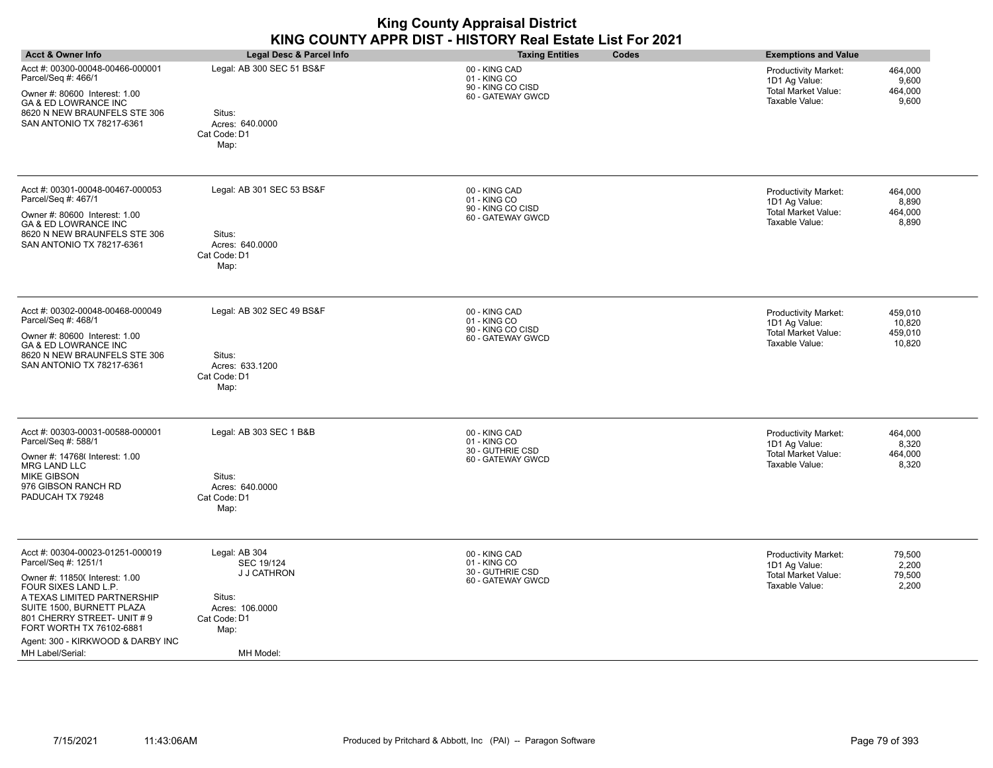| <b>King County Appraisal District</b>                            |
|------------------------------------------------------------------|
| <b>KING COUNTY APPR DIST - HISTORY Real Estate List For 2021</b> |

| <b>Acct &amp; Owner Info</b>                                                                                                                                                                                                                                                                      | Legal Desc & Parcel Info                                                                                     | <b>Taxing Entities</b><br>Codes                                         | <b>Exemptions and Value</b>                                                                                                            |
|---------------------------------------------------------------------------------------------------------------------------------------------------------------------------------------------------------------------------------------------------------------------------------------------------|--------------------------------------------------------------------------------------------------------------|-------------------------------------------------------------------------|----------------------------------------------------------------------------------------------------------------------------------------|
| Acct #: 00300-00048-00466-000001<br>Parcel/Seq #: 466/1<br>Owner #: 80600 Interest: 1.00<br>GA & ED LOWRANCE INC<br>8620 N NEW BRAUNFELS STE 306<br>SAN ANTONIO TX 78217-6361                                                                                                                     | Legal: AB 300 SEC 51 BS&F<br>Situs:<br>Acres: 640,0000<br>Cat Code: D1<br>Map:                               | 00 - KING CAD<br>01 - KING CO<br>90 - KING CO CISD<br>60 - GATEWAY GWCD | 464,000<br><b>Productivity Market:</b><br>9,600<br>1D1 Ag Value:<br><b>Total Market Value:</b><br>464,000<br>Taxable Value:<br>9,600   |
| Acct #: 00301-00048-00467-000053<br>Parcel/Seq #: 467/1<br>Owner #: 80600 Interest: 1.00<br>GA & ED LOWRANCE INC<br>8620 N NEW BRAUNFELS STE 306<br>SAN ANTONIO TX 78217-6361                                                                                                                     | Legal: AB 301 SEC 53 BS&F<br>Situs:<br>Acres: 640.0000<br>Cat Code: D1<br>Map:                               | 00 - KING CAD<br>01 - KING CO<br>90 - KING CO CISD<br>60 - GATEWAY GWCD | <b>Productivity Market:</b><br>464,000<br>8,890<br>1D1 Ag Value:<br>Total Market Value:<br>464,000<br>Taxable Value:<br>8,890          |
| Acct #: 00302-00048-00468-000049<br>Parcel/Seq #: 468/1<br>Owner #: 80600 Interest: 1.00<br><b>GA &amp; ED LOWRANCE INC</b><br>8620 N NEW BRAUNFELS STE 306<br>SAN ANTONIO TX 78217-6361                                                                                                          | Legal: AB 302 SEC 49 BS&F<br>Situs:<br>Acres: 633.1200<br>Cat Code: D1<br>Map:                               | 00 - KING CAD<br>01 - KING CO<br>90 - KING CO CISD<br>60 - GATEWAY GWCD | 459,010<br><b>Productivity Market:</b><br>10,820<br>1D1 Ag Value:<br><b>Total Market Value:</b><br>459,010<br>Taxable Value:<br>10,820 |
| Acct #: 00303-00031-00588-000001<br>Parcel/Seq #: 588/1<br>Owner #: 14768(Interest: 1.00<br><b>MRG LAND LLC</b><br><b>MIKE GIBSON</b><br>976 GIBSON RANCH RD<br>PADUCAH TX 79248                                                                                                                  | Legal: AB 303 SEC 1 B&B<br>Situs:<br>Acres: 640.0000<br>Cat Code: D1<br>Map:                                 | 00 - KING CAD<br>01 - KING CO<br>30 - GUTHRIE CSD<br>60 - GATEWAY GWCD  | 464,000<br><b>Productivity Market:</b><br>8,320<br>1D1 Ag Value:<br><b>Total Market Value:</b><br>464,000<br>Taxable Value:<br>8,320   |
| Acct #: 00304-00023-01251-000019<br>Parcel/Seq #: 1251/1<br>Owner #: 11850( Interest: 1.00<br>FOUR SIXES LAND L.P.<br>A TEXAS LIMITED PARTNERSHIP<br>SUITE 1500, BURNETT PLAZA<br>801 CHERRY STREET- UNIT #9<br>FORT WORTH TX 76102-6881<br>Agent: 300 - KIRKWOOD & DARBY INC<br>MH Label/Serial: | Legal: AB 304<br>SEC 19/124<br>J J CATHRON<br>Situs:<br>Acres: 106.0000<br>Cat Code: D1<br>Map:<br>MH Model: | 00 - KING CAD<br>01 - KING CO<br>30 - GUTHRIE CSD<br>60 - GATEWAY GWCD  | 79,500<br><b>Productivity Market:</b><br>2,200<br>1D1 Ag Value:<br><b>Total Market Value:</b><br>79,500<br>Taxable Value:<br>2,200     |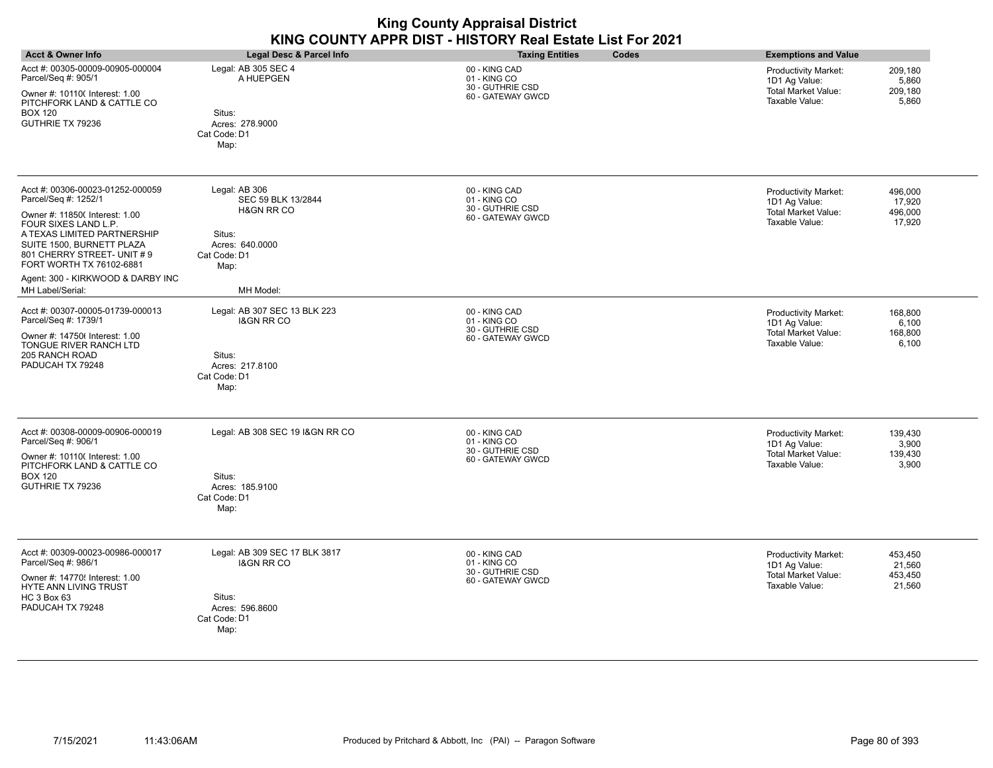| <b>King County Appraisal District</b><br>KING COUNTY APPR DIST - HISTORY Real Estate List For 2021                                                                                                                                                                                                |                                                                                                                                |                                                                        |                                                                                                                                        |
|---------------------------------------------------------------------------------------------------------------------------------------------------------------------------------------------------------------------------------------------------------------------------------------------------|--------------------------------------------------------------------------------------------------------------------------------|------------------------------------------------------------------------|----------------------------------------------------------------------------------------------------------------------------------------|
| <b>Acct &amp; Owner Info</b>                                                                                                                                                                                                                                                                      | Legal Desc & Parcel Info                                                                                                       | <b>Taxing Entities</b><br>Codes                                        | <b>Exemptions and Value</b>                                                                                                            |
| Acct #: 00305-00009-00905-000004<br>Parcel/Seq #: 905/1<br>Owner #: 10110( Interest: 1.00<br>PITCHFORK LAND & CATTLE CO<br><b>BOX 120</b><br>GUTHRIE TX 79236                                                                                                                                     | Legal: AB 305 SEC 4<br>A HUEPGEN<br>Situs:<br>Acres: 278.9000<br>Cat Code: D1<br>Map:                                          | 00 - KING CAD<br>01 - KING CO<br>30 - GUTHRIE CSD<br>60 - GATEWAY GWCD | 209,180<br><b>Productivity Market:</b><br>1D1 Ag Value:<br>5,860<br><b>Total Market Value:</b><br>209,180<br>Taxable Value:<br>5,860   |
| Acct #: 00306-00023-01252-000059<br>Parcel/Seq #: 1252/1<br>Owner #: 11850( Interest: 1.00<br>FOUR SIXES LAND L.P.<br>A TEXAS LIMITED PARTNERSHIP<br>SUITE 1500, BURNETT PLAZA<br>801 CHERRY STREET- UNIT #9<br>FORT WORTH TX 76102-6881<br>Agent: 300 - KIRKWOOD & DARBY INC<br>MH Label/Serial: | Legal: AB 306<br>SEC 59 BLK 13/2844<br><b>H&amp;GN RR CO</b><br>Situs:<br>Acres: 640.0000<br>Cat Code: D1<br>Map:<br>MH Model: | 00 - KING CAD<br>01 - KING CO<br>30 - GUTHRIE CSD<br>60 - GATEWAY GWCD | Productivity Market:<br>496,000<br>1D1 Ag Value:<br>17,920<br>Total Market Value:<br>496,000<br>Taxable Value:<br>17,920               |
| Acct #: 00307-00005-01739-000013<br>Parcel/Seq #: 1739/1<br>Owner #: 147506 Interest: 1.00<br>TONGUE RIVER RANCH LTD<br>205 RANCH ROAD<br>PADUCAH TX 79248                                                                                                                                        | Legal: AB 307 SEC 13 BLK 223<br><b>I&amp;GN RR CO</b><br>Situs:<br>Acres: 217.8100<br>Cat Code: D1<br>Map:                     | 00 - KING CAD<br>01 - KING CO<br>30 - GUTHRIE CSD<br>60 - GATEWAY GWCD | 168.800<br><b>Productivity Market:</b><br>1D1 Ag Value:<br>6,100<br><b>Total Market Value:</b><br>168,800<br>Taxable Value:<br>6,100   |
| Acct #: 00308-00009-00906-000019<br>Parcel/Seq #: 906/1<br>Owner #: 10110( Interest: 1.00<br>PITCHFORK LAND & CATTLE CO<br><b>BOX 120</b><br>GUTHRIE TX 79236                                                                                                                                     | Legal: AB 308 SEC 19 I&GN RR CO<br>Situs:<br>Acres: 185.9100<br>Cat Code: D1<br>Map:                                           | 00 - KING CAD<br>01 - KING CO<br>30 - GUTHRIE CSD<br>60 - GATEWAY GWCD | 139.430<br><b>Productivity Market:</b><br>3.900<br>1D1 Ag Value:<br><b>Total Market Value:</b><br>139,430<br>Taxable Value:<br>3,900   |
| Acct #: 00309-00023-00986-000017<br>Parcel/Seq #: 986/1<br>Owner #: 14770! Interest: 1.00<br>HYTE ANN LIVING TRUST<br><b>HC 3 Box 63</b><br>PADUCAH TX 79248                                                                                                                                      | Legal: AB 309 SEC 17 BLK 3817<br><b>I&amp;GN RR CO</b><br>Situs:<br>Acres: 596.8600<br>Cat Code: D1<br>Map:                    | 00 - KING CAD<br>01 - KING CO<br>30 - GUTHRIE CSD<br>60 - GATEWAY GWCD | <b>Productivity Market:</b><br>453.450<br>21,560<br>1D1 Ag Value:<br><b>Total Market Value:</b><br>453,450<br>Taxable Value:<br>21,560 |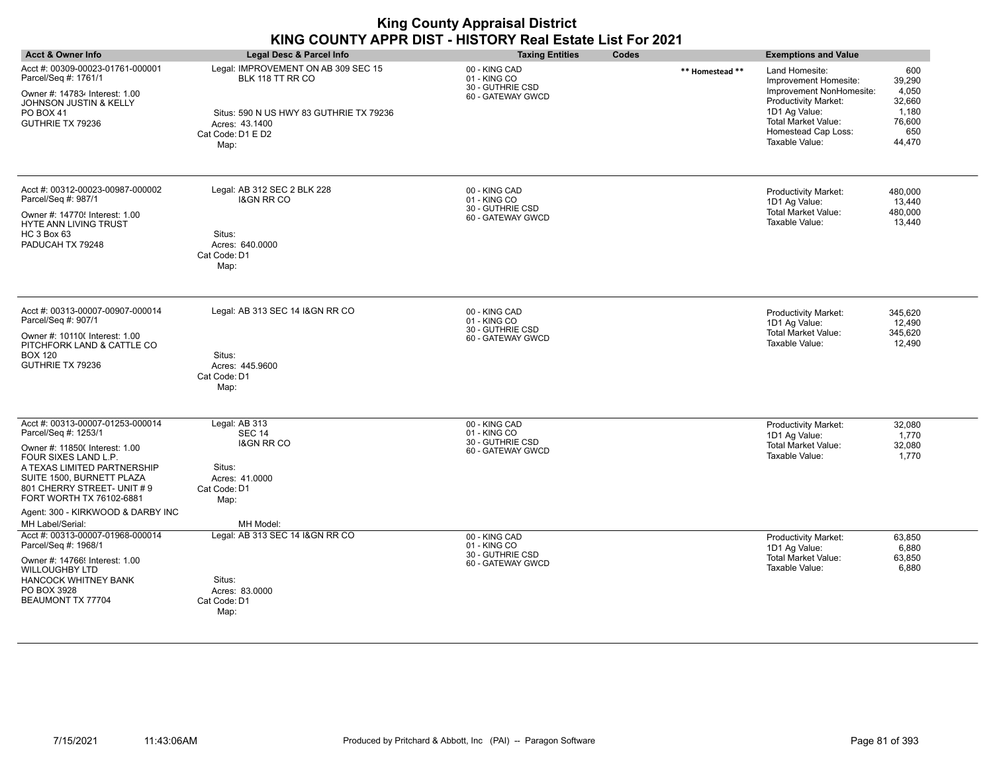| <b>Acct &amp; Owner Info</b>                                                                                                                                                                                                                                                  | Legal Desc & Parcel Info                                                                                                                          | <b>Taxing Entities</b>                                                 | Codes           | <b>Exemptions and Value</b>                                                                                                                                                                |                                                                      |
|-------------------------------------------------------------------------------------------------------------------------------------------------------------------------------------------------------------------------------------------------------------------------------|---------------------------------------------------------------------------------------------------------------------------------------------------|------------------------------------------------------------------------|-----------------|--------------------------------------------------------------------------------------------------------------------------------------------------------------------------------------------|----------------------------------------------------------------------|
| Acct #: 00309-00023-01761-000001<br>Parcel/Seq #: 1761/1<br>Owner #: 147834 Interest: 1.00<br>JOHNSON JUSTIN & KELLY<br><b>PO BOX 41</b><br>GUTHRIE TX 79236                                                                                                                  | Legal: IMPROVEMENT ON AB 309 SEC 15<br>BLK 118 TT RR CO<br>Situs: 590 N US HWY 83 GUTHRIE TX 79236<br>Acres: 43.1400<br>Cat Code: D1 E D2<br>Map: | 00 - KING CAD<br>01 - KING CO<br>30 - GUTHRIE CSD<br>60 - GATEWAY GWCD | ** Homestead ** | Land Homesite:<br>Improvement Homesite:<br>Improvement NonHomesite:<br><b>Productivity Market:</b><br>1D1 Ag Value:<br><b>Total Market Value:</b><br>Homestead Cap Loss:<br>Taxable Value: | 600<br>39,290<br>4,050<br>32,660<br>1,180<br>76,600<br>650<br>44,470 |
| Acct #: 00312-00023-00987-000002<br>Parcel/Seq #: 987/1<br>Owner #: 14770! Interest: 1.00<br>HYTE ANN LIVING TRUST<br><b>HC 3 Box 63</b><br>PADUCAH TX 79248                                                                                                                  | Legal: AB 312 SEC 2 BLK 228<br><b>I&amp;GN RR CO</b><br>Situs:<br>Acres: 640.0000<br>Cat Code: D1<br>Map:                                         | 00 - KING CAD<br>01 - KING CO<br>30 - GUTHRIE CSD<br>60 - GATEWAY GWCD |                 | <b>Productivity Market:</b><br>1D1 Ag Value:<br>Total Market Value:<br>Taxable Value:                                                                                                      | 480,000<br>13,440<br>480,000<br>13,440                               |
| Acct #: 00313-00007-00907-000014<br>Parcel/Seq #: 907/1<br>Owner #: 10110( Interest: 1.00<br>PITCHFORK LAND & CATTLE CO<br><b>BOX 120</b><br>GUTHRIE TX 79236                                                                                                                 | Legal: AB 313 SEC 14 I&GN RR CO<br>Situs:<br>Acres: 445.9600<br>Cat Code: D1<br>Map:                                                              | 00 - KING CAD<br>01 - KING CO<br>30 - GUTHRIE CSD<br>60 - GATEWAY GWCD |                 | <b>Productivity Market:</b><br>1D1 Ag Value:<br><b>Total Market Value:</b><br>Taxable Value:                                                                                               | 345,620<br>12,490<br>345,620<br>12,490                               |
| Acct #: 00313-00007-01253-000014<br>Parcel/Seq #: 1253/1<br>Owner #: 11850( Interest: 1.00<br>FOUR SIXES LAND L.P.<br>A TEXAS LIMITED PARTNERSHIP<br>SUITE 1500, BURNETT PLAZA<br>801 CHERRY STREET- UNIT #9<br>FORT WORTH TX 76102-6881<br>Agent: 300 - KIRKWOOD & DARBY INC | Legal: AB 313<br><b>SEC 14</b><br><b>I&amp;GN RR CO</b><br>Situs:<br>Acres: 41,0000<br>Cat Code: D1<br>Map:                                       | 00 - KING CAD<br>01 - KING CO<br>30 - GUTHRIE CSD<br>60 - GATEWAY GWCD |                 | Productivity Market:<br>1D1 Ag Value:<br><b>Total Market Value:</b><br>Taxable Value:                                                                                                      | 32,080<br>1,770<br>32,080<br>1.770                                   |
| MH Label/Serial:<br>Acct #: 00313-00007-01968-000014<br>Parcel/Seq #: 1968/1<br>Owner #: 14766! Interest: 1.00<br><b>WILLOUGHBY LTD</b><br>HANCOCK WHITNEY BANK<br>PO BOX 3928<br>BEAUMONT TX 77704                                                                           | MH Model:<br>Legal: AB 313 SEC 14 I&GN RR CO<br>Situs:<br>Acres: 83,0000<br>Cat Code: D1<br>Map:                                                  | 00 - KING CAD<br>01 - KING CO<br>30 - GUTHRIE CSD<br>60 - GATEWAY GWCD |                 | <b>Productivity Market:</b><br>1D1 Ag Value:<br><b>Total Market Value:</b><br>Taxable Value:                                                                                               | 63,850<br>6,880<br>63,850<br>6,880                                   |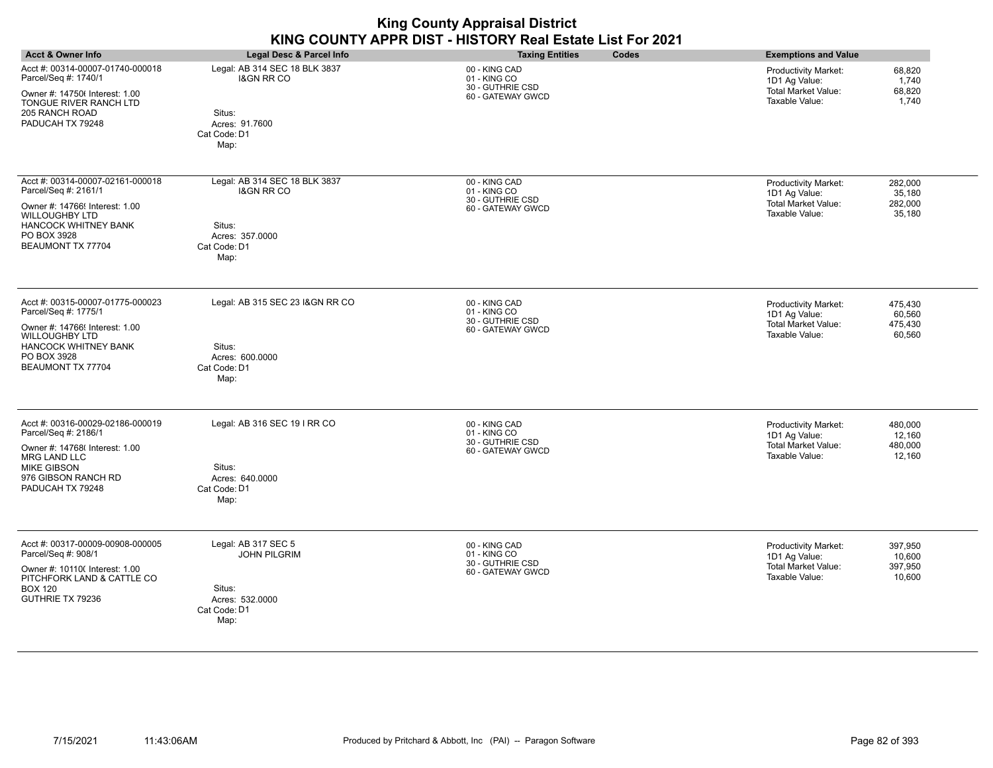|                                                                                                                                                                                    |                                                                                                             | <b>King County Appraisal District</b><br>KING COUNTY APPR DIST - HISTORY Real Estate List For 2021 |                                                                                                                                 |
|------------------------------------------------------------------------------------------------------------------------------------------------------------------------------------|-------------------------------------------------------------------------------------------------------------|----------------------------------------------------------------------------------------------------|---------------------------------------------------------------------------------------------------------------------------------|
| <b>Acct &amp; Owner Info</b>                                                                                                                                                       | Legal Desc & Parcel Info                                                                                    | <b>Taxing Entities</b><br>Codes                                                                    | <b>Exemptions and Value</b>                                                                                                     |
| Acct #: 00314-00007-01740-000018<br>Parcel/Seq #: 1740/1<br>Owner #: 147506 Interest: 1.00<br>TONGUE RIVER RANCH LTD<br>205 RANCH ROAD<br>PADUCAH TX 79248                         | Legal: AB 314 SEC 18 BLK 3837<br><b>I&amp;GN RR CO</b><br>Situs:<br>Acres: 91.7600<br>Cat Code: D1<br>Map:  | 00 - KING CAD<br>01 - KING CO<br>30 - GUTHRIE CSD<br>60 - GATEWAY GWCD                             | Productivity Market:<br>68,820<br>1D1 Ag Value:<br>1,740<br><b>Total Market Value:</b><br>68,820<br>Taxable Value:<br>1,740     |
| Acct #: 00314-00007-02161-000018<br>Parcel/Seq #: 2161/1<br>Owner #: 14766! Interest: 1.00<br><b>WILLOUGHBY LTD</b><br>HANCOCK WHITNEY BANK<br>PO BOX 3928<br>BEAUMONT TX 77704    | Legal: AB 314 SEC 18 BLK 3837<br><b>I&amp;GN RR CO</b><br>Situs:<br>Acres: 357.0000<br>Cat Code: D1<br>Map: | 00 - KING CAD<br>01 - KING CO<br>30 - GUTHRIE CSD<br>60 - GATEWAY GWCD                             | Productivity Market:<br>282,000<br>1D1 Ag Value:<br>35,180<br><b>Total Market Value:</b><br>282,000<br>Taxable Value:<br>35,180 |
| Acct #: 00315-00007-01775-000023<br>Parcel/Seq #: 1775/1<br>Owner #: 14766! Interest: 1.00<br>WILLOUGHBY LTD<br><b>HANCOCK WHITNEY BANK</b><br>PO BOX 3928<br>BEAUMONT TX 77704    | Legal: AB 315 SEC 23 I&GN RR CO<br>Situs:<br>Acres: 600.0000<br>Cat Code: D1<br>Map:                        | 00 - KING CAD<br>01 - KING CO<br>30 - GUTHRIE CSD<br>60 - GATEWAY GWCD                             | Productivity Market:<br>475.430<br>1D1 Ag Value:<br>60,560<br><b>Total Market Value:</b><br>475,430<br>Taxable Value:<br>60,560 |
| Acct #: 00316-00029-02186-000019<br>Parcel/Seq #: 2186/1<br>Owner #: 14768( Interest: 1.00<br><b>MRG LAND LLC</b><br><b>MIKE GIBSON</b><br>976 GIBSON RANCH RD<br>PADUCAH TX 79248 | Legal: AB 316 SEC 19 I RR CO<br>Situs:<br>Acres: 640.0000<br>Cat Code: D1<br>Map:                           | 00 - KING CAD<br>01 - KING CO<br>30 - GUTHRIE CSD<br>60 - GATEWAY GWCD                             | Productivity Market:<br>480,000<br>1D1 Ag Value:<br>12,160<br><b>Total Market Value:</b><br>480,000<br>Taxable Value:<br>12,160 |
| Acct #: 00317-00009-00908-000005<br>Parcel/Seq #: 908/1<br>Owner #: 10110( Interest: 1.00<br>PITCHFORK LAND & CATTLE CO<br><b>BOX 120</b><br>GUTHRIE TX 79236                      | Legal: AB 317 SEC 5<br><b>JOHN PILGRIM</b><br>Situs:<br>Acres: 532.0000<br>Cat Code: D1<br>Map:             | 00 - KING CAD<br>01 - KING CO<br>30 - GUTHRIE CSD<br>60 - GATEWAY GWCD                             | Productivity Market:<br>397.950<br>1D1 Ag Value:<br>10,600<br><b>Total Market Value:</b><br>397,950<br>Taxable Value:<br>10,600 |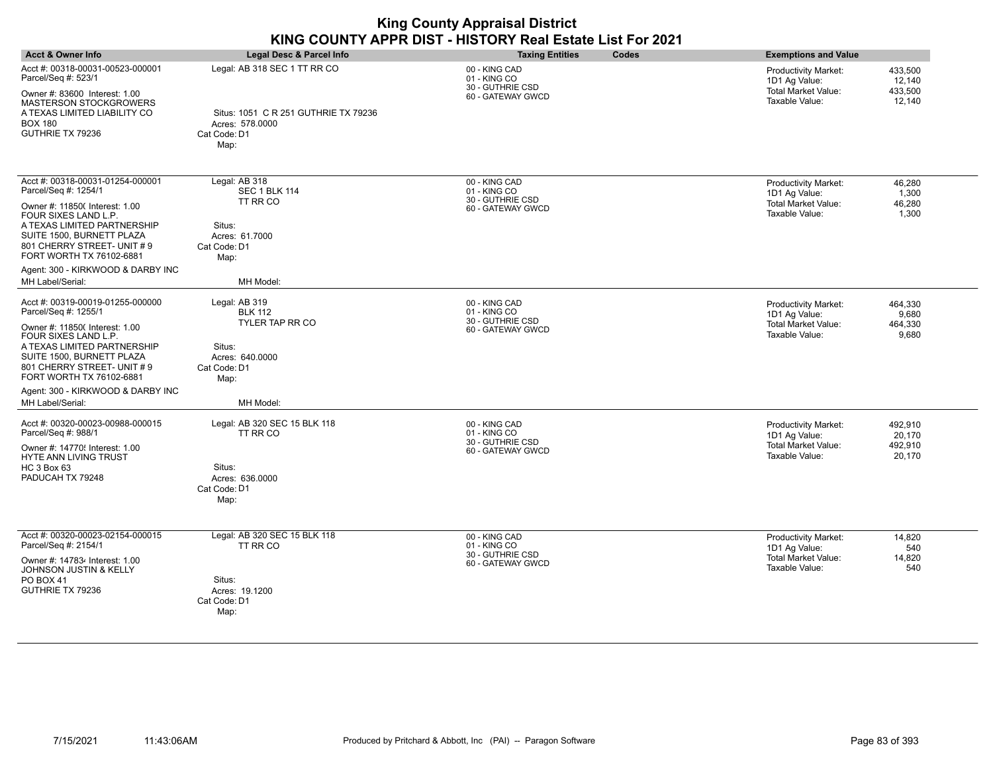| <b>Acct &amp; Owner Info</b>                                                                                                                                                                                                                                                                      | Legal Desc & Parcel Info                                                                                             | Codes<br><b>Taxing Entities</b>                                        | <b>Exemptions and Value</b>                                                                                                     |
|---------------------------------------------------------------------------------------------------------------------------------------------------------------------------------------------------------------------------------------------------------------------------------------------------|----------------------------------------------------------------------------------------------------------------------|------------------------------------------------------------------------|---------------------------------------------------------------------------------------------------------------------------------|
| Acct #: 00318-00031-00523-000001<br>Parcel/Seq #: 523/1<br>Owner #: 83600 Interest: 1.00<br>MASTERSON STOCKGROWERS<br>A TEXAS LIMITED LIABILITY CO<br><b>BOX 180</b><br>GUTHRIE TX 79236                                                                                                          | Legal: AB 318 SEC 1 TT RR CO<br>Situs: 1051 C R 251 GUTHRIE TX 79236<br>Acres: 578.0000<br>Cat Code: D1<br>Map:      | 00 - KING CAD<br>01 - KING CO<br>30 - GUTHRIE CSD<br>60 - GATEWAY GWCD | 433,500<br><b>Productivity Market:</b><br>1D1 Ag Value:<br>12,140<br>Total Market Value:<br>433,500<br>Taxable Value:<br>12,140 |
| Acct #: 00318-00031-01254-000001<br>Parcel/Seq #: 1254/1<br>Owner #: 11850( Interest: 1.00<br>FOUR SIXES LAND L.P.<br>A TEXAS LIMITED PARTNERSHIP<br>SUITE 1500, BURNETT PLAZA<br>801 CHERRY STREET- UNIT #9<br>FORT WORTH TX 76102-6881<br>Agent: 300 - KIRKWOOD & DARBY INC<br>MH Label/Serial: | Legal: AB 318<br><b>SEC 1 BLK 114</b><br>TT RR CO<br>Situs:<br>Acres: 61.7000<br>Cat Code: D1<br>Map:<br>MH Model:   | 00 - KING CAD<br>01 - KING CO<br>30 - GUTHRIE CSD<br>60 - GATEWAY GWCD | 46,280<br>Productivity Market:<br>1D1 Ag Value:<br>1,300<br>Total Market Value:<br>46,280<br>Taxable Value:<br>1,300            |
| Acct #: 00319-00019-01255-000000<br>Parcel/Seq #: 1255/1<br>Owner #: 11850( Interest: 1.00<br>FOUR SIXES LAND L.P.<br>A TEXAS LIMITED PARTNERSHIP<br>SUITE 1500, BURNETT PLAZA<br>801 CHERRY STREET- UNIT #9<br>FORT WORTH TX 76102-6881<br>Agent: 300 - KIRKWOOD & DARBY INC<br>MH Label/Serial: | Legal: AB 319<br><b>BLK 112</b><br>TYLER TAP RR CO<br>Situs:<br>Acres: 640.0000<br>Cat Code: D1<br>Map:<br>MH Model: | 00 - KING CAD<br>01 - KING CO<br>30 - GUTHRIE CSD<br>60 - GATEWAY GWCD | Productivity Market:<br>464,330<br>1D1 Ag Value:<br>9,680<br>Total Market Value:<br>464,330<br>Taxable Value:<br>9,680          |
| Acct #: 00320-00023-00988-000015<br>Parcel/Seq #: 988/1<br>Owner #: 14770! Interest: 1.00<br>HYTE ANN LIVING TRUST<br><b>HC 3 Box 63</b><br>PADUCAH TX 79248                                                                                                                                      | Legal: AB 320 SEC 15 BLK 118<br>TT RR CO<br>Situs:<br>Acres: 636,0000<br>Cat Code: D1<br>Map:                        | 00 - KING CAD<br>01 - KING CO<br>30 - GUTHRIE CSD<br>60 - GATEWAY GWCD | 492,910<br>Productivity Market:<br>1D1 Ag Value:<br>20,170<br><b>Total Market Value:</b><br>492,910<br>Taxable Value:<br>20,170 |
| Acct #: 00320-00023-02154-000015<br>Parcel/Seq #: 2154/1<br>Owner #: 147834 Interest: 1.00<br>JOHNSON JUSTIN & KELLY<br>PO BOX 41<br>GUTHRIE TX 79236                                                                                                                                             | Legal: AB 320 SEC 15 BLK 118<br>TT RR CO<br>Situs:<br>Acres: 19.1200<br>Cat Code: D1<br>Map:                         | 00 - KING CAD<br>01 - KING CO<br>30 - GUTHRIE CSD<br>60 - GATEWAY GWCD | 14,820<br><b>Productivity Market:</b><br>1D1 Ag Value:<br>540<br>Total Market Value:<br>14,820<br>Taxable Value:<br>540         |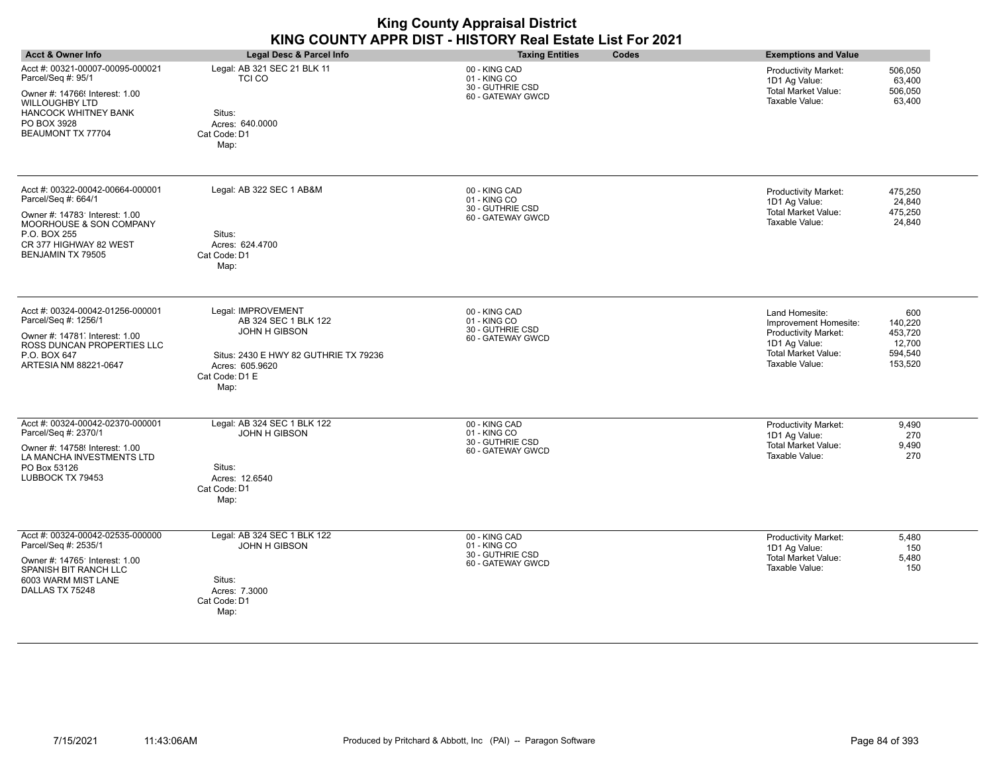| <b>Acct &amp; Owner Info</b>                                                                                                                                                        | Legal Desc & Parcel Info                                                                                                                                 | <b>Taxing Entities</b><br>Codes                                        | <b>Exemptions and Value</b>                                                                                                                                                                   |
|-------------------------------------------------------------------------------------------------------------------------------------------------------------------------------------|----------------------------------------------------------------------------------------------------------------------------------------------------------|------------------------------------------------------------------------|-----------------------------------------------------------------------------------------------------------------------------------------------------------------------------------------------|
| Acct #: 00321-00007-00095-000021<br>Parcel/Seq #: 95/1<br>Owner #: 14766! Interest: 1.00<br>WILLOUGHBY LTD<br><b>HANCOCK WHITNEY BANK</b><br>PO BOX 3928<br>BEAUMONT TX 77704       | Legal: AB 321 SEC 21 BLK 11<br><b>TCI CO</b><br>Situs:<br>Acres: 640.0000<br>Cat Code: D1<br>Map:                                                        | 00 - KING CAD<br>01 - KING CO<br>30 - GUTHRIE CSD<br>60 - GATEWAY GWCD | Productivity Market:<br>506,050<br>1D1 Ag Value:<br>63,400<br><b>Total Market Value:</b><br>506,050<br>Taxable Value:<br>63,400                                                               |
| Acct #: 00322-00042-00664-000001<br>Parcel/Seq #: 664/1<br>Owner #: 14783' Interest: 1.00<br>MOORHOUSE & SON COMPANY<br>P.O. BOX 255<br>CR 377 HIGHWAY 82 WEST<br>BENJAMIN TX 79505 | Legal: AB 322 SEC 1 AB&M<br>Situs:<br>Acres: 624.4700<br>Cat Code: D1<br>Map:                                                                            | 00 - KING CAD<br>01 - KING CO<br>30 - GUTHRIE CSD<br>60 - GATEWAY GWCD | Productivity Market:<br>475,250<br>1D1 Ag Value:<br>24,840<br><b>Total Market Value:</b><br>475,250<br>24,840<br>Taxable Value:                                                               |
| Acct #: 00324-00042-01256-000001<br>Parcel/Seq #: 1256/1<br>Owner #: 14781, Interest: 1.00<br>ROSS DUNCAN PROPERTIES LLC<br>P.O. BOX 647<br>ARTESIA NM 88221-0647                   | Legal: IMPROVEMENT<br>AB 324 SEC 1 BLK 122<br><b>JOHN H GIBSON</b><br>Situs: 2430 E HWY 82 GUTHRIE TX 79236<br>Acres: 605.9620<br>Cat Code: D1 E<br>Map: | 00 - KING CAD<br>01 - KING CO<br>30 - GUTHRIE CSD<br>60 - GATEWAY GWCD | Land Homesite:<br>600<br>140,220<br>Improvement Homesite:<br>453,720<br>Productivity Market:<br>1D1 Ag Value:<br>12,700<br><b>Total Market Value:</b><br>594,540<br>Taxable Value:<br>153,520 |
| Acct #: 00324-00042-02370-000001<br>Parcel/Seq #: 2370/1<br>Owner #: 147589 Interest: 1.00<br>LA MANCHA INVESTMENTS LTD<br>PO Box 53126<br>LUBBOCK TX 79453                         | Legal: AB 324 SEC 1 BLK 122<br><b>JOHN H GIBSON</b><br>Situs:<br>Acres: 12.6540<br>Cat Code: D1<br>Map:                                                  | 00 - KING CAD<br>01 - KING CO<br>30 - GUTHRIE CSD<br>60 - GATEWAY GWCD | Productivity Market:<br>9,490<br>1D1 Ag Value:<br>270<br><b>Total Market Value:</b><br>9,490<br>Taxable Value:<br>270                                                                         |
| Acct #: 00324-00042-02535-000000<br>Parcel/Seq #: 2535/1<br>Owner #: 14765' Interest: 1.00<br>SPANISH BIT RANCH LLC<br>6003 WARM MIST LANE<br>DALLAS TX 75248                       | Legal: AB 324 SEC 1 BLK 122<br>JOHN H GIBSON<br>Situs:<br>Acres: 7.3000<br>Cat Code: D1<br>Map:                                                          | 00 - KING CAD<br>01 - KING CO<br>30 - GUTHRIE CSD<br>60 - GATEWAY GWCD | Productivity Market:<br>5,480<br>1D1 Ag Value:<br>150<br><b>Total Market Value:</b><br>5,480<br>Taxable Value:<br>150                                                                         |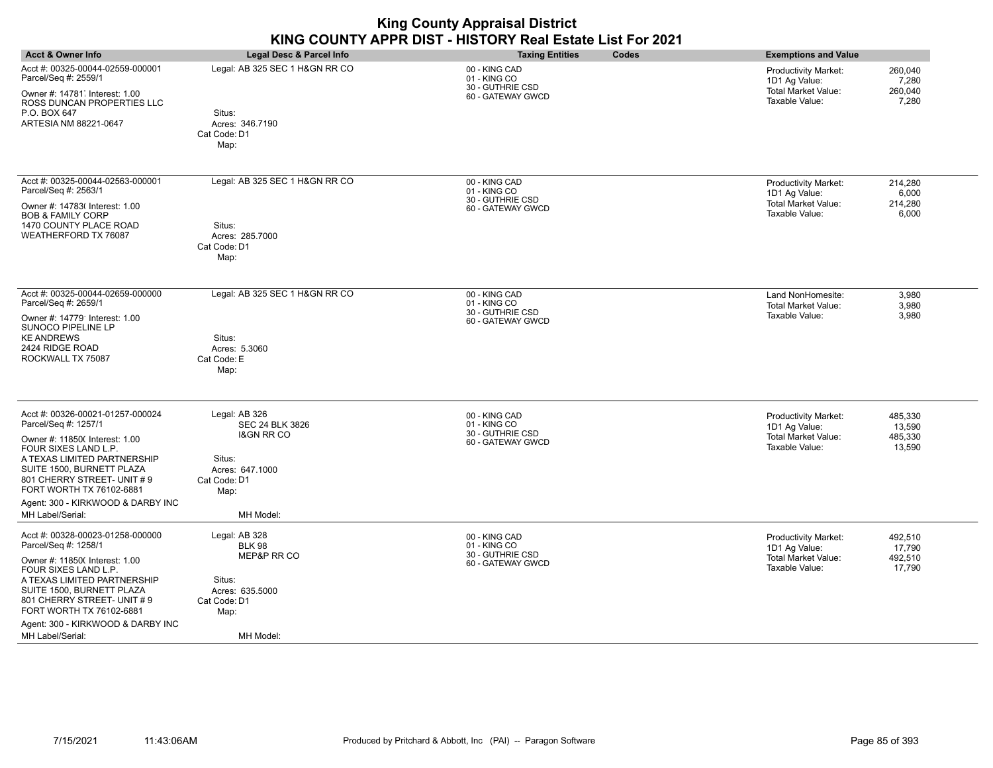| <b>Acct &amp; Owner Info</b>                                                                                                                                                                                                                                                                      | <b>Legal Desc &amp; Parcel Info</b>                                                                                                | <b>Taxing Entities</b><br>Codes                                        | <b>Exemptions and Value</b>                                                                                                     |
|---------------------------------------------------------------------------------------------------------------------------------------------------------------------------------------------------------------------------------------------------------------------------------------------------|------------------------------------------------------------------------------------------------------------------------------------|------------------------------------------------------------------------|---------------------------------------------------------------------------------------------------------------------------------|
| Acct #: 00325-00044-02559-000001<br>Parcel/Seq #: 2559/1<br>Owner #: 14781 Interest: 1.00<br>ROSS DUNCAN PROPERTIES LLC<br>P.O. BOX 647<br>ARTESIA NM 88221-0647                                                                                                                                  | Legal: AB 325 SEC 1 H&GN RR CO<br>Situs:<br>Acres: 346.7190<br>Cat Code: D1<br>Map:                                                | 00 - KING CAD<br>01 - KING CO<br>30 - GUTHRIE CSD<br>60 - GATEWAY GWCD | 260,040<br><b>Productivity Market:</b><br>1D1 Ag Value:<br>7,280<br>Total Market Value:<br>260,040<br>Taxable Value:<br>7,280   |
| Acct #: 00325-00044-02563-000001<br>Parcel/Seq #: 2563/1<br>Owner #: 14783( Interest: 1.00<br><b>BOB &amp; FAMILY CORP</b><br>1470 COUNTY PLACE ROAD<br>WEATHERFORD TX 76087                                                                                                                      | Legal: AB 325 SEC 1 H&GN RR CO<br>Situs:<br>Acres: 285.7000<br>Cat Code: D1<br>Map:                                                | 00 - KING CAD<br>01 - KING CO<br>30 - GUTHRIE CSD<br>60 - GATEWAY GWCD | Productivity Market:<br>214,280<br>1D1 Ag Value:<br>6,000<br>Total Market Value:<br>214,280<br>Taxable Value:<br>6,000          |
| Acct #: 00325-00044-02659-000000<br>Parcel/Seq #: 2659/1<br>Owner #: 14779' Interest: 1.00<br>SUNOCO PIPELINE LP<br><b>KE ANDREWS</b><br>2424 RIDGE ROAD<br>ROCKWALL TX 75087                                                                                                                     | Legal: AB 325 SEC 1 H&GN RR CO<br>Situs:<br>Acres: 5.3060<br>Cat Code: E<br>Map:                                                   | 00 - KING CAD<br>01 - KING CO<br>30 - GUTHRIE CSD<br>60 - GATEWAY GWCD | Land NonHomesite:<br>3,980<br><b>Total Market Value:</b><br>3,980<br>Taxable Value:<br>3,980                                    |
| Acct #: 00326-00021-01257-000024<br>Parcel/Seq #: 1257/1<br>Owner #: 11850( Interest: 1.00<br>FOUR SIXES LAND L.P.<br>A TEXAS LIMITED PARTNERSHIP<br>SUITE 1500, BURNETT PLAZA<br>801 CHERRY STREET- UNIT #9<br>FORT WORTH TX 76102-6881<br>Agent: 300 - KIRKWOOD & DARBY INC<br>MH Label/Serial: | Legal: AB 326<br><b>SEC 24 BLK 3826</b><br><b>I&amp;GN RR CO</b><br>Situs:<br>Acres: 647.1000<br>Cat Code: D1<br>Map:<br>MH Model: | 00 - KING CAD<br>01 - KING CO<br>30 - GUTHRIE CSD<br>60 - GATEWAY GWCD | Productivity Market:<br>485,330<br>13,590<br>1D1 Ag Value:<br>485,330<br><b>Total Market Value:</b><br>Taxable Value:<br>13,590 |
| Acct #: 00328-00023-01258-000000<br>Parcel/Seq #: 1258/1<br>Owner #: 11850( Interest: 1.00<br>FOUR SIXES LAND L.P.<br>A TEXAS LIMITED PARTNERSHIP<br>SUITE 1500, BURNETT PLAZA<br>801 CHERRY STREET- UNIT #9<br>FORT WORTH TX 76102-6881<br>Agent: 300 - KIRKWOOD & DARBY INC<br>MH Label/Serial: | Legal: AB 328<br><b>BLK 98</b><br>MEP&P RR CO<br>Situs:<br>Acres: 635.5000<br>Cat Code: D1<br>Map:<br>MH Model:                    | 00 - KING CAD<br>01 - KING CO<br>30 - GUTHRIE CSD<br>60 - GATEWAY GWCD | Productivity Market:<br>492,510<br>1D1 Ag Value:<br>17,790<br><b>Total Market Value:</b><br>492,510<br>Taxable Value:<br>17,790 |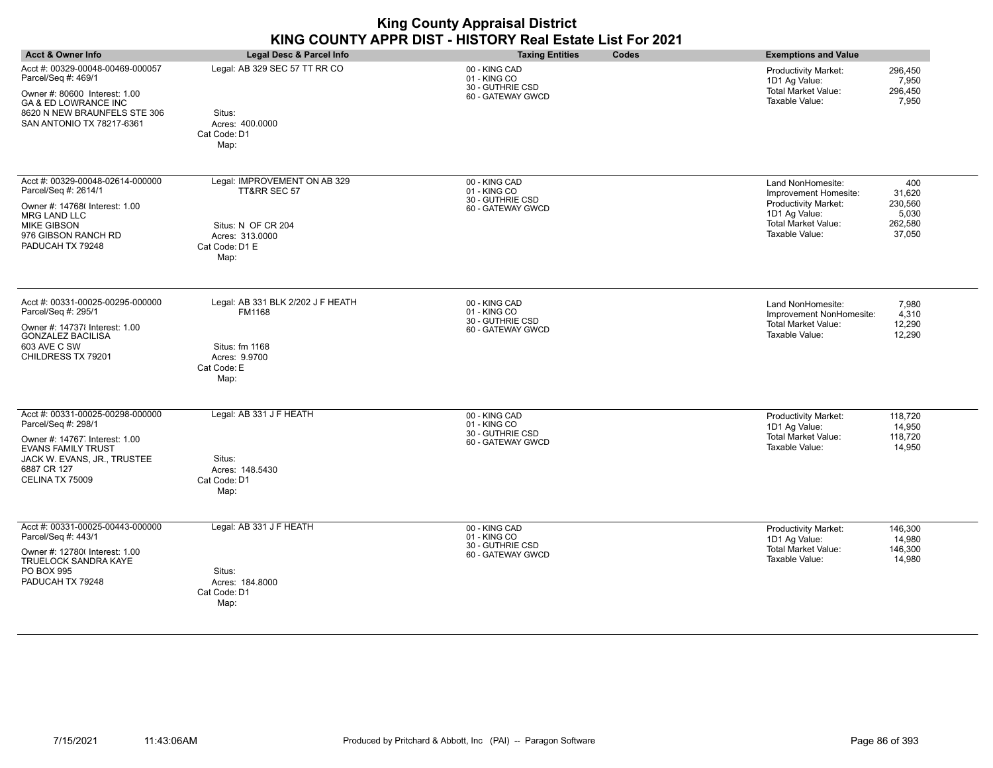| <b>King County Appraisal District</b><br>KING COUNTY APPR DIST - HISTORY Real Estate List For 2021                                                                                       |                                                                                                                 |                                                                        |                                                                                                                                                                                                      |
|------------------------------------------------------------------------------------------------------------------------------------------------------------------------------------------|-----------------------------------------------------------------------------------------------------------------|------------------------------------------------------------------------|------------------------------------------------------------------------------------------------------------------------------------------------------------------------------------------------------|
| <b>Acct &amp; Owner Info</b>                                                                                                                                                             | <b>Legal Desc &amp; Parcel Info</b>                                                                             | <b>Taxing Entities</b><br>Codes                                        | <b>Exemptions and Value</b>                                                                                                                                                                          |
| Acct #: 00329-00048-00469-000057<br>Parcel/Seq #: 469/1<br>Owner #: 80600 Interest: 1.00<br><b>GA &amp; ED LOWRANCE INC</b><br>8620 N NEW BRAUNFELS STE 306<br>SAN ANTONIO TX 78217-6361 | Legal: AB 329 SEC 57 TT RR CO<br>Situs:<br>Acres: 400.0000<br>Cat Code: D1<br>Map:                              | 00 - KING CAD<br>01 - KING CO<br>30 - GUTHRIE CSD<br>60 - GATEWAY GWCD | Productivity Market:<br>296,450<br>1D1 Ag Value:<br>7,950<br><b>Total Market Value:</b><br>296,450<br>Taxable Value:<br>7,950                                                                        |
| Acct #: 00329-00048-02614-000000<br>Parcel/Seq #: 2614/1<br>Owner #: 14768( Interest: 1.00<br><b>MRG LAND LLC</b><br><b>MIKE GIBSON</b><br>976 GIBSON RANCH RD<br>PADUCAH TX 79248       | Legal: IMPROVEMENT ON AB 329<br>TT&RR SEC 57<br>Situs: N OF CR 204<br>Acres: 313.0000<br>Cat Code: D1 E<br>Map: | 00 - KING CAD<br>01 - KING CO<br>30 - GUTHRIE CSD<br>60 - GATEWAY GWCD | Land NonHomesite:<br>400<br>Improvement Homesite:<br>31,620<br><b>Productivity Market:</b><br>230,560<br>1D1 Ag Value:<br>5,030<br><b>Total Market Value:</b><br>262,580<br>Taxable Value:<br>37.050 |
| Acct #: 00331-00025-00295-000000<br>Parcel/Seq #: 295/1<br>Owner #: 14737{ Interest: 1.00<br><b>GONZALEZ BACILISA</b><br>603 AVE C SW<br>CHILDRESS TX 79201                              | Legal: AB 331 BLK 2/202 J F HEATH<br>FM1168<br>Situs: fm 1168<br>Acres: 9.9700<br>Cat Code: E<br>Map:           | 00 - KING CAD<br>01 - KING CO<br>30 - GUTHRIE CSD<br>60 - GATEWAY GWCD | Land NonHomesite:<br>7,980<br>Improvement NonHomesite:<br>4,310<br>12,290<br>Total Market Value:<br>Taxable Value:<br>12,290                                                                         |
| Acct #: 00331-00025-00298-000000<br>Parcel/Seq #: 298/1<br>Owner #: 14767, Interest: 1.00<br><b>EVANS FAMILY TRUST</b><br>JACK W. EVANS, JR., TRUSTEE<br>6887 CR 127<br>CELINA TX 75009  | Legal: AB 331 J F HEATH<br>Situs:<br>Acres: 148.5430<br>Cat Code: D1<br>Map:                                    | 00 - KING CAD<br>01 - KING CO<br>30 - GUTHRIE CSD<br>60 - GATEWAY GWCD | Productivity Market:<br>118.720<br>1D1 Ag Value:<br>14,950<br><b>Total Market Value:</b><br>118,720<br>Taxable Value:<br>14.950                                                                      |
| Acct #: 00331-00025-00443-000000<br>Parcel/Seq #: 443/1<br>Owner #: 12780( Interest: 1.00<br>TRUELOCK SANDRA KAYE<br><b>PO BOX 995</b><br>PADUCAH TX 79248                               | Legal: AB 331 J F HEATH<br>Situs:<br>Acres: 184.8000<br>Cat Code: D1<br>Map:                                    | 00 - KING CAD<br>01 - KING CO<br>30 - GUTHRIE CSD<br>60 - GATEWAY GWCD | Productivity Market:<br>146,300<br>1D1 Ag Value:<br>14,980<br><b>Total Market Value:</b><br>146,300<br>Taxable Value:<br>14,980                                                                      |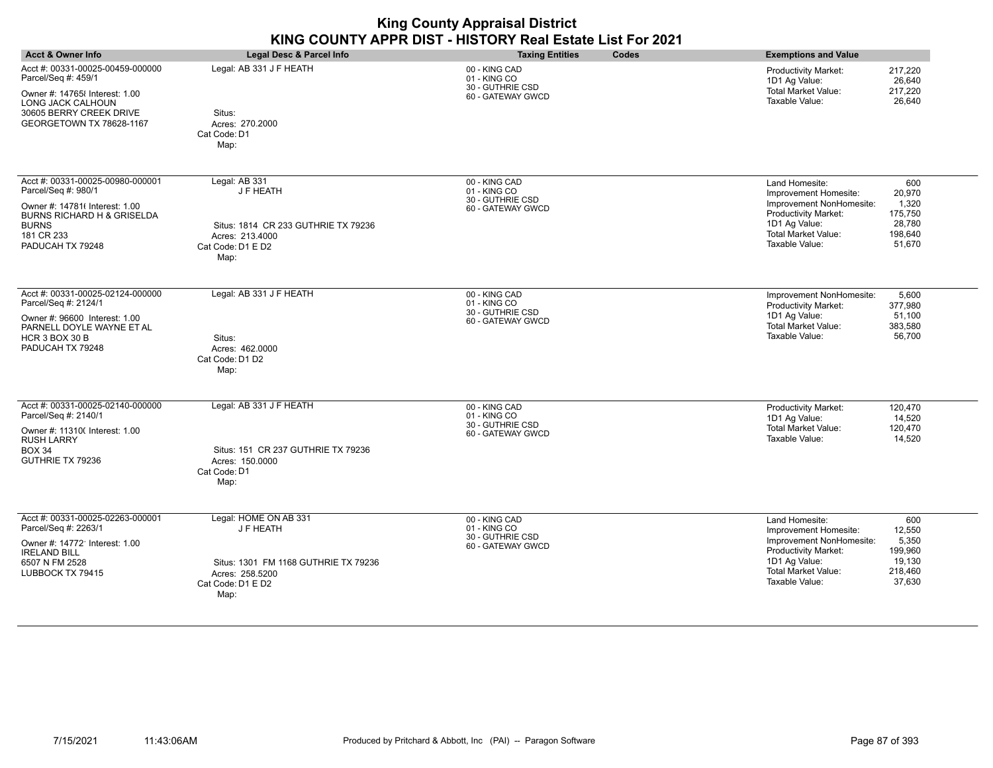| <b>Acct &amp; Owner Info</b>                                                                                                                                                         | Legal Desc & Parcel Info                                                                                                   | Codes<br><b>Taxing Entities</b>                                        | <b>Exemptions and Value</b>                                                                                                                                                                                                      |
|--------------------------------------------------------------------------------------------------------------------------------------------------------------------------------------|----------------------------------------------------------------------------------------------------------------------------|------------------------------------------------------------------------|----------------------------------------------------------------------------------------------------------------------------------------------------------------------------------------------------------------------------------|
| Acct #: 00331-00025-00459-000000<br>Parcel/Seq #: 459/1<br>Owner #: 14765 { Interest: 1.00<br>LONG JACK CALHOUN<br>30605 BERRY CREEK DRIVE<br>GEORGETOWN TX 78628-1167               | Legal: AB 331 J F HEATH<br>Situs:<br>Acres: 270.2000<br>Cat Code: D1<br>Map:                                               | 00 - KING CAD<br>01 - KING CO<br>30 - GUTHRIE CSD<br>60 - GATEWAY GWCD | Productivity Market:<br>217,220<br>1D1 Ag Value:<br>26,640<br><b>Total Market Value:</b><br>217,220<br>Taxable Value:<br>26,640                                                                                                  |
| Acct #: 00331-00025-00980-000001<br>Parcel/Seq #: 980/1<br>Owner #: 14781( Interest: 1.00<br><b>BURNS RICHARD H &amp; GRISELDA</b><br><b>BURNS</b><br>181 CR 233<br>PADUCAH TX 79248 | Legal: AB 331<br>J F HEATH<br>Situs: 1814 CR 233 GUTHRIE TX 79236<br>Acres: 213.4000<br>Cat Code: D1 E D2<br>Map:          | 00 - KING CAD<br>01 - KING CO<br>30 - GUTHRIE CSD<br>60 - GATEWAY GWCD | 600<br>Land Homesite:<br>20,970<br>Improvement Homesite:<br>Improvement NonHomesite:<br>1,320<br>Productivity Market:<br>175,750<br>1D1 Ag Value:<br>28,780<br><b>Total Market Value:</b><br>198.640<br>Taxable Value:<br>51,670 |
| Acct #: 00331-00025-02124-000000<br>Parcel/Seq #: 2124/1<br>Owner #: 96600 Interest: 1.00<br>PARNELL DOYLE WAYNE ET AL<br>HCR 3 BOX 30 B<br>PADUCAH TX 79248                         | Legal: AB 331 J F HEATH<br>Situs:<br>Acres: 462.0000<br>Cat Code: D1 D2<br>Map:                                            | 00 - KING CAD<br>01 - KING CO<br>30 - GUTHRIE CSD<br>60 - GATEWAY GWCD | 5,600<br>Improvement NonHomesite:<br>Productivity Market:<br>377.980<br>1D1 Ag Value:<br>51,100<br><b>Total Market Value:</b><br>383,580<br>Taxable Value:<br>56,700                                                             |
| Acct #: 00331-00025-02140-000000<br>Parcel/Seq #: 2140/1<br>Owner #: 11310( Interest: 1.00<br><b>RUSH LARRY</b><br><b>BOX 34</b><br>GUTHRIE TX 79236                                 | Legal: AB 331 J F HEATH<br>Situs: 151 CR 237 GUTHRIE TX 79236<br>Acres: 150,0000<br>Cat Code: D1<br>Map:                   | 00 - KING CAD<br>01 - KING CO<br>30 - GUTHRIE CSD<br>60 - GATEWAY GWCD | <b>Productivity Market:</b><br>120,470<br>1D1 Ag Value:<br>14,520<br>Total Market Value:<br>120,470<br>Taxable Value:<br>14,520                                                                                                  |
| Acct #: 00331-00025-02263-000001<br>Parcel/Seq #: 2263/1<br>Owner #: 14772' Interest: 1.00<br><b>IRELAND BILL</b><br>6507 N FM 2528<br>LUBBOCK TX 79415                              | Legal: HOME ON AB 331<br>J F HEATH<br>Situs: 1301 FM 1168 GUTHRIE TX 79236<br>Acres: 258,5200<br>Cat Code: D1 E D2<br>Map: | 00 - KING CAD<br>01 - KING CO<br>30 - GUTHRIE CSD<br>60 - GATEWAY GWCD | Land Homesite:<br>600<br>12,550<br>Improvement Homesite:<br>Improvement NonHomesite:<br>5,350<br>Productivity Market:<br>199,960<br>1D1 Ag Value:<br>19,130<br><b>Total Market Value:</b><br>218.460<br>37,630<br>Taxable Value: |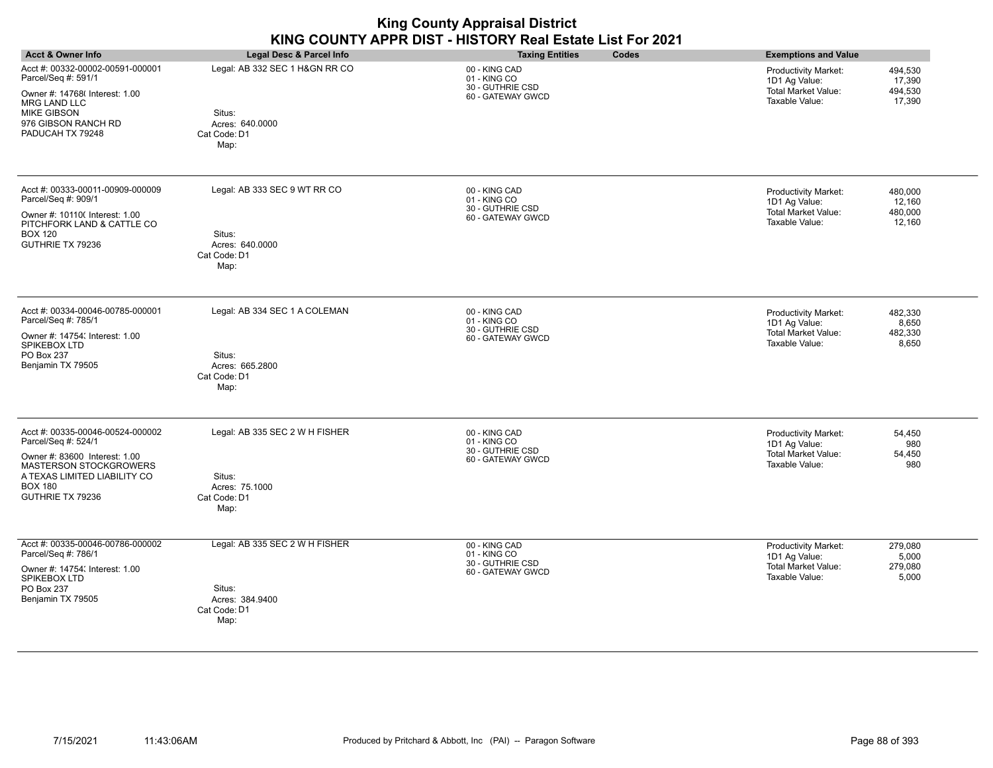| <b>Acct &amp; Owner Info</b>                                                                                                                                                                    | <b>Legal Desc &amp; Parcel Info</b>                                                 | <b>Taxing Entities</b><br>Codes                                        | <b>Exemptions and Value</b>                                                                                                            |
|-------------------------------------------------------------------------------------------------------------------------------------------------------------------------------------------------|-------------------------------------------------------------------------------------|------------------------------------------------------------------------|----------------------------------------------------------------------------------------------------------------------------------------|
| Acct #: 00332-00002-00591-000001<br>Parcel/Seq #: 591/1<br>Owner #: 14768( Interest: 1.00<br><b>MRG LAND LLC</b><br><b>MIKE GIBSON</b><br>976 GIBSON RANCH RD<br>PADUCAH TX 79248               | Legal: AB 332 SEC 1 H&GN RR CO<br>Situs:<br>Acres: 640.0000<br>Cat Code: D1<br>Map: | 00 - KING CAD<br>01 - KING CO<br>30 - GUTHRIE CSD<br>60 - GATEWAY GWCD | 494,530<br><b>Productivity Market:</b><br>1D1 Ag Value:<br>17,390<br><b>Total Market Value:</b><br>494,530<br>Taxable Value:<br>17,390 |
| Acct #: 00333-00011-00909-000009<br>Parcel/Seq #: 909/1<br>Owner #: 10110( Interest: 1.00<br>PITCHFORK LAND & CATTLE CO<br><b>BOX 120</b><br>GUTHRIE TX 79236                                   | Legal: AB 333 SEC 9 WT RR CO<br>Situs:<br>Acres: 640.0000<br>Cat Code: D1<br>Map:   | 00 - KING CAD<br>01 - KING CO<br>30 - GUTHRIE CSD<br>60 - GATEWAY GWCD | Productivity Market:<br>480,000<br>1D1 Ag Value:<br>12,160<br>Total Market Value:<br>480,000<br>Taxable Value:<br>12,160               |
| Acct #: 00334-00046-00785-000001<br>Parcel/Seq #: 785/1<br>Owner #: 14754; Interest: 1.00<br>SPIKEBOX LTD<br>PO Box 237<br>Benjamin TX 79505                                                    | Legal: AB 334 SEC 1 A COLEMAN<br>Situs:<br>Acres: 665.2800<br>Cat Code: D1<br>Map:  | 00 - KING CAD<br>01 - KING CO<br>30 - GUTHRIE CSD<br>60 - GATEWAY GWCD | 482,330<br>Productivity Market:<br>1D1 Ag Value:<br>8,650<br><b>Total Market Value:</b><br>482,330<br>Taxable Value:<br>8,650          |
| Acct #: 00335-00046-00524-000002<br>Parcel/Seq #: 524/1<br>Owner #: 83600 Interest: 1.00<br><b>MASTERSON STOCKGROWERS</b><br>A TEXAS LIMITED LIABILITY CO<br><b>BOX 180</b><br>GUTHRIE TX 79236 | Legal: AB 335 SEC 2 W H FISHER<br>Situs:<br>Acres: 75.1000<br>Cat Code: D1<br>Map:  | 00 - KING CAD<br>01 - KING CO<br>30 - GUTHRIE CSD<br>60 - GATEWAY GWCD | <b>Productivity Market:</b><br>54,450<br>980<br>1D1 Ag Value:<br>Total Market Value:<br>54,450<br>Taxable Value:<br>980                |
| Acct #: 00335-00046-00786-000002<br>Parcel/Seq #: 786/1<br>Owner #: 14754; Interest: 1.00<br>SPIKEBOX LTD<br>PO Box 237<br>Benjamin TX 79505                                                    | Legal: AB 335 SEC 2 W H FISHER<br>Situs:<br>Acres: 384.9400<br>Cat Code: D1<br>Map: | 00 - KING CAD<br>01 - KING CO<br>30 - GUTHRIE CSD<br>60 - GATEWAY GWCD | 279,080<br><b>Productivity Market:</b><br>1D1 Ag Value:<br>5,000<br><b>Total Market Value:</b><br>279,080<br>Taxable Value:<br>5,000   |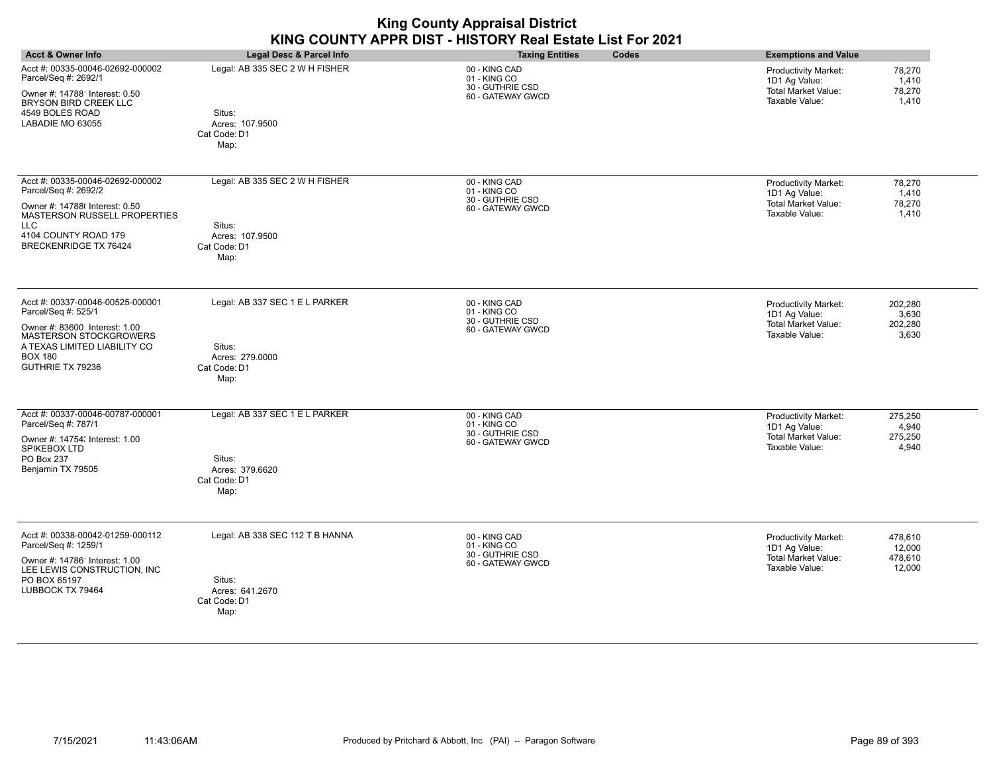| <b>King County Appraisal District</b>                     |
|-----------------------------------------------------------|
| KING COUNTY APPR DIST - HISTORY Real Estate List For 2021 |

| <b>Acct &amp; Owner Info</b>                                                                                                                                                                     | Legal Desc & Parcel Info                                                             | <b>Taxing Entities</b><br>Codes                                        | <b>Exemptions and Value</b>                                                                                                            |
|--------------------------------------------------------------------------------------------------------------------------------------------------------------------------------------------------|--------------------------------------------------------------------------------------|------------------------------------------------------------------------|----------------------------------------------------------------------------------------------------------------------------------------|
| Acct #: 00335-00046-02692-000002<br>Parcel/Seq #: 2692/1<br>Owner #: 14788' Interest: 0.50<br>BRYSON BIRD CREEK LLC<br>4549 BOLES ROAD<br>LABADIE MO 63055                                       | Legal: AB 335 SEC 2 W H FISHER<br>Situs:<br>Acres: 107.9500<br>Cat Code: D1<br>Map:  | 00 - KING CAD<br>01 - KING CO<br>30 - GUTHRIE CSD<br>60 - GATEWAY GWCD | Productivity Market:<br>78,270<br>1,410<br>1D1 Ag Value:<br><b>Total Market Value:</b><br>78,270<br>Taxable Value:<br>1,410            |
| Acct #: 00335-00046-02692-000002<br>Parcel/Seq #: 2692/2<br>Owner #: 14788( Interest: 0.50<br>MASTERSON RUSSELL PROPERTIES<br><b>LLC</b><br>4104 COUNTY ROAD 179<br><b>BRECKENRIDGE TX 76424</b> | Legal: AB 335 SEC 2 W H FISHER<br>Situs:<br>Acres: 107.9500<br>Cat Code: D1<br>Map:  | 00 - KING CAD<br>01 - KING CO<br>30 - GUTHRIE CSD<br>60 - GATEWAY GWCD | Productivity Market:<br>78,270<br>1D1 Ag Value:<br>1,410<br><b>Total Market Value:</b><br>78,270<br>Taxable Value:<br>1,410            |
| Acct #: 00337-00046-00525-000001<br>Parcel/Seq #: 525/1<br>Owner #: 83600 Interest: 1.00<br><b>MASTERSON STOCKGROWERS</b><br>A TEXAS LIMITED LIABILITY CO<br><b>BOX 180</b><br>GUTHRIE TX 79236  | Legal: AB 337 SEC 1 E L PARKER<br>Situs:<br>Acres: 279.0000<br>Cat Code: D1<br>Map:  | 00 - KING CAD<br>01 - KING CO<br>30 - GUTHRIE CSD<br>60 - GATEWAY GWCD | Productivity Market:<br>202,280<br>3,630<br>1D1 Ag Value:<br><b>Total Market Value:</b><br>202,280<br>Taxable Value:<br>3,630          |
| Acct #: 00337-00046-00787-000001<br>Parcel/Seq #: 787/1<br>Owner #: 14754; Interest: 1.00<br>SPIKEBOX LTD<br>PO Box 237<br>Benjamin TX 79505                                                     | Legal: AB 337 SEC 1 E L PARKER<br>Situs:<br>Acres: 379.6620<br>Cat Code: D1<br>Map:  | 00 - KING CAD<br>01 - KING CO<br>30 - GUTHRIE CSD<br>60 - GATEWAY GWCD | 275,250<br>Productivity Market:<br>1D1 Ag Value:<br>4,940<br><b>Total Market Value:</b><br>275,250<br>Taxable Value:<br>4,940          |
| Acct #: 00338-00042-01259-000112<br>Parcel/Seq #: 1259/1<br>Owner #: 14786' Interest: 1.00<br>LEE LEWIS CONSTRUCTION, INC<br>PO BOX 65197<br>LUBBOCK TX 79464                                    | Legal: AB 338 SEC 112 T B HANNA<br>Situs:<br>Acres: 641.2670<br>Cat Code: D1<br>Map: | 00 - KING CAD<br>01 - KING CO<br>30 - GUTHRIE CSD<br>60 - GATEWAY GWCD | <b>Productivity Market:</b><br>478,610<br>1D1 Ag Value:<br>12,000<br><b>Total Market Value:</b><br>478,610<br>Taxable Value:<br>12,000 |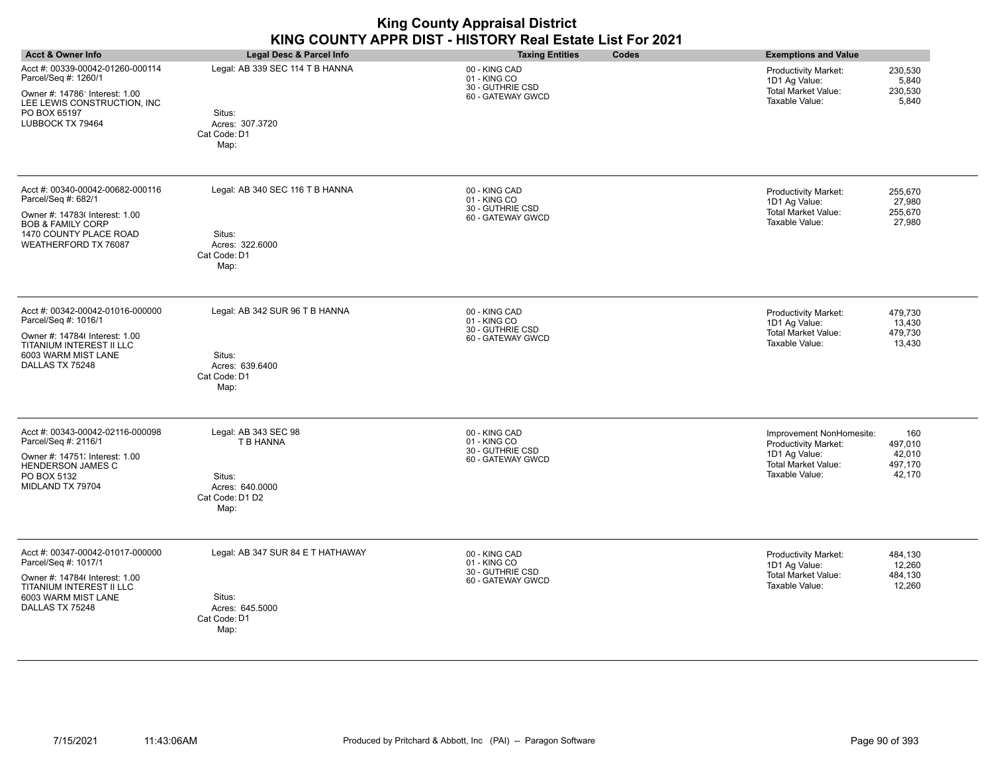| <b>Acct &amp; Owner Info</b>                                                                                                                                                | Legal Desc & Parcel Info                                                                  | <b>Taxing Entities</b><br>Codes                                        | <b>Exemptions and Value</b>                                                                                                                                        |
|-----------------------------------------------------------------------------------------------------------------------------------------------------------------------------|-------------------------------------------------------------------------------------------|------------------------------------------------------------------------|--------------------------------------------------------------------------------------------------------------------------------------------------------------------|
| Acct #: 00339-00042-01260-000114<br>Parcel/Seq #: 1260/1<br>Owner #: 14786' Interest: 1.00<br>LEE LEWIS CONSTRUCTION, INC<br>PO BOX 65197<br>LUBBOCK TX 79464               | Legal: AB 339 SEC 114 T B HANNA<br>Situs:<br>Acres: 307.3720<br>Cat Code: D1<br>Map:      | 00 - KING CAD<br>01 - KING CO<br>30 - GUTHRIE CSD<br>60 - GATEWAY GWCD | 230,530<br><b>Productivity Market:</b><br>5,840<br>1D1 Ag Value:<br><b>Total Market Value:</b><br>230,530<br>Taxable Value:<br>5,840                               |
| Acct #: 00340-00042-00682-000116<br>Parcel/Seq #: 682/1<br>Owner #: 14783( Interest: 1.00<br><b>BOB &amp; FAMILY CORP</b><br>1470 COUNTY PLACE ROAD<br>WEATHERFORD TX 76087 | Legal: AB 340 SEC 116 T B HANNA<br>Situs:<br>Acres: 322.6000<br>Cat Code: D1<br>Map:      | 00 - KING CAD<br>01 - KING CO<br>30 - GUTHRIE CSD<br>60 - GATEWAY GWCD | 255,670<br>Productivity Market:<br>27,980<br>1D1 Ag Value:<br>Total Market Value:<br>255,670<br>Taxable Value:<br>27,980                                           |
| Acct #: 00342-00042-01016-000000<br>Parcel/Seq #: 1016/1<br>Owner #: 14784 Interest: 1.00<br>TITANIUM INTEREST II LLC<br>6003 WARM MIST LANE<br>DALLAS TX 75248             | Legal: AB 342 SUR 96 T B HANNA<br>Situs:<br>Acres: 639.6400<br>Cat Code: D1<br>Map:       | 00 - KING CAD<br>01 - KING CO<br>30 - GUTHRIE CSD<br>60 - GATEWAY GWCD | 479,730<br><b>Productivity Market:</b><br>1D1 Ag Value:<br>13,430<br><b>Total Market Value:</b><br>479,730<br>Taxable Value:<br>13,430                             |
| Acct #: 00343-00042-02116-000098<br>Parcel/Seq #: 2116/1<br>Owner #: 14751; Interest: 1.00<br>HENDERSON JAMES C<br>PO BOX 5132<br>MIDLAND TX 79704                          | Legal: AB 343 SEC 98<br>T B HANNA<br>Situs:<br>Acres: 640,0000<br>Cat Code: D1 D2<br>Map: | 00 - KING CAD<br>01 - KING CO<br>30 - GUTHRIE CSD<br>60 - GATEWAY GWCD | Improvement NonHomesite:<br>160<br>Productivity Market:<br>497,010<br>1D1 Ag Value:<br>42,010<br><b>Total Market Value:</b><br>497,170<br>Taxable Value:<br>42,170 |
| Acct #: 00347-00042-01017-000000<br>Parcel/Seq #: 1017/1<br>Owner #: 14784( Interest: 1.00<br>TITANIUM INTEREST II LLC<br>6003 WARM MIST LANE<br>DALLAS TX 75248            | Legal: AB 347 SUR 84 E T HATHAWAY<br>Situs:<br>Acres: 645.5000<br>Cat Code: D1<br>Map:    | 00 - KING CAD<br>01 - KING CO<br>30 - GUTHRIE CSD<br>60 - GATEWAY GWCD | Productivity Market:<br>484,130<br>1D1 Ag Value:<br>12,260<br><b>Total Market Value:</b><br>484,130<br>Taxable Value:<br>12,260                                    |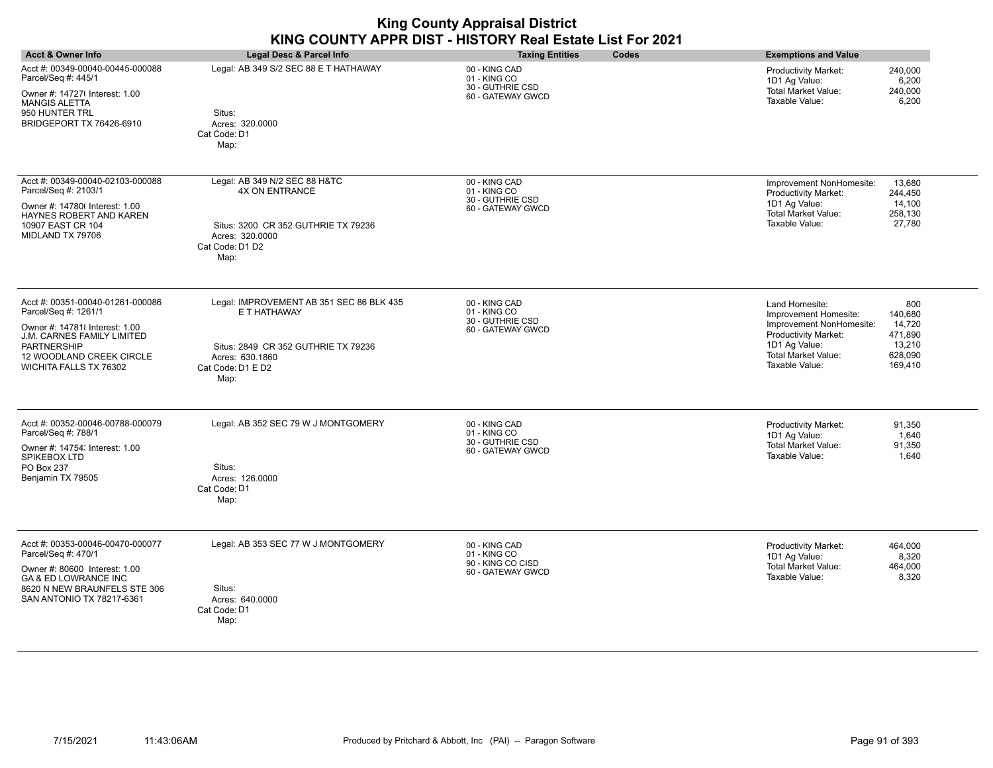| <b>Acct &amp; Owner Info</b>                                                                                                                                                                         | Legal Desc & Parcel Info                                                                                                                        | <b>Taxing Entities</b><br>Codes                                         | <b>Exemptions and Value</b>                                                                                                                                                                                                         |
|------------------------------------------------------------------------------------------------------------------------------------------------------------------------------------------------------|-------------------------------------------------------------------------------------------------------------------------------------------------|-------------------------------------------------------------------------|-------------------------------------------------------------------------------------------------------------------------------------------------------------------------------------------------------------------------------------|
| Acct #: 00349-00040-00445-000088<br>Parcel/Seq #: 445/1<br>Owner #: 14727( Interest: 1.00<br><b>MANGIS ALETTA</b><br>950 HUNTER TRL<br>BRIDGEPORT TX 76426-6910                                      | Legal: AB 349 S/2 SEC 88 E T HATHAWAY<br>Situs:<br>Acres: 320.0000<br>Cat Code: D1<br>Map:                                                      | 00 - KING CAD<br>01 - KING CO<br>30 - GUTHRIE CSD<br>60 - GATEWAY GWCD  | <b>Productivity Market:</b><br>240,000<br>1D1 Ag Value:<br>6,200<br><b>Total Market Value:</b><br>240,000<br>Taxable Value:<br>6,200                                                                                                |
| Acct #: 00349-00040-02103-000088<br>Parcel/Seq #: 2103/1<br>Owner #: 14780( Interest: 1.00<br>HAYNES ROBERT AND KAREN<br>10907 EAST CR 104<br>MIDLAND TX 79706                                       | Legal: AB 349 N/2 SEC 88 H&TC<br><b>4X ON ENTRANCE</b><br>Situs: 3200 CR 352 GUTHRIE TX 79236<br>Acres: 320.0000<br>Cat Code: D1 D2<br>Map:     | 00 - KING CAD<br>01 - KING CO<br>30 - GUTHRIE CSD<br>60 - GATEWAY GWCD  | Improvement NonHomesite:<br>13,680<br>Productivity Market:<br>244,450<br>1D1 Ag Value:<br>14,100<br>Total Market Value:<br>258,130<br>27,780<br>Taxable Value:                                                                      |
| Acct #: 00351-00040-01261-000086<br>Parcel/Seq #: 1261/1<br>Owner #: 147818 Interest: 1.00<br>J.M. CARNES FAMILY LIMITED<br><b>PARTNERSHIP</b><br>12 WOODLAND CREEK CIRCLE<br>WICHITA FALLS TX 76302 | Legal: IMPROVEMENT AB 351 SEC 86 BLK 435<br>E T HATHAWAY<br>Situs: 2849 CR 352 GUTHRIE TX 79236<br>Acres: 630.1860<br>Cat Code: D1 E D2<br>Map: | 00 - KING CAD<br>01 - KING CO<br>30 - GUTHRIE CSD<br>60 - GATEWAY GWCD  | Land Homesite:<br>800<br>Improvement Homesite:<br>140,680<br>Improvement NonHomesite:<br>14,720<br>Productivity Market:<br>471,890<br>1D1 Ag Value:<br>13,210<br><b>Total Market Value:</b><br>628,090<br>Taxable Value:<br>169,410 |
| Acct #: 00352-00046-00788-000079<br>Parcel/Seq #: 788/1<br>Owner #: 14754; Interest: 1.00<br>SPIKEBOX LTD<br>PO Box 237<br>Benjamin TX 79505                                                         | Legal: AB 352 SEC 79 W J MONTGOMERY<br>Situs:<br>Acres: 126,0000<br>Cat Code: D1<br>Map:                                                        | 00 - KING CAD<br>01 - KING CO<br>30 - GUTHRIE CSD<br>60 - GATEWAY GWCD  | Productivity Market:<br>91,350<br>1D1 Ag Value:<br>1,640<br><b>Total Market Value:</b><br>91,350<br>Taxable Value:<br>1,640                                                                                                         |
| Acct #: 00353-00046-00470-000077<br>Parcel/Seq #: 470/1<br>Owner #: 80600 Interest: 1.00<br><b>GA &amp; ED LOWRANCE INC</b><br>8620 N NEW BRAUNFELS STE 306<br>SAN ANTONIO TX 78217-6361             | Legal: AB 353 SEC 77 W J MONTGOMERY<br>Situs:<br>Acres: 640,0000<br>Cat Code: D1<br>Map:                                                        | 00 - KING CAD<br>01 - KING CO<br>90 - KING CO CISD<br>60 - GATEWAY GWCD | Productivity Market:<br>464,000<br>1D1 Ag Value:<br>8,320<br>Total Market Value:<br>464,000<br>Taxable Value:<br>8,320                                                                                                              |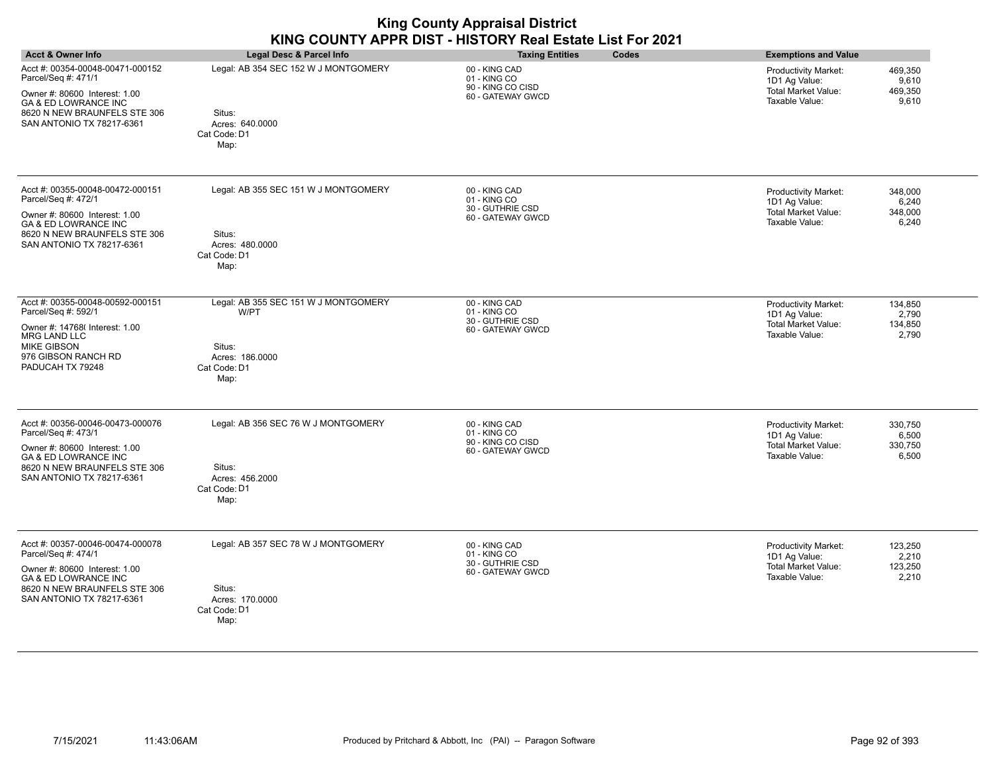| <b>Acct &amp; Owner Info</b>                                                                                                                                                             | Legal Desc & Parcel Info                                                                          | <b>Taxing Entities</b><br>Codes                                         | <b>Exemptions and Value</b>                                                                                                          |
|------------------------------------------------------------------------------------------------------------------------------------------------------------------------------------------|---------------------------------------------------------------------------------------------------|-------------------------------------------------------------------------|--------------------------------------------------------------------------------------------------------------------------------------|
| Acct #: 00354-00048-00471-000152<br>Parcel/Seq #: 471/1<br>Owner #: 80600 Interest: 1.00<br><b>GA &amp; ED LOWRANCE INC</b><br>8620 N NEW BRAUNFELS STE 306<br>SAN ANTONIO TX 78217-6361 | Legal: AB 354 SEC 152 W J MONTGOMERY<br>Situs:<br>Acres: 640,0000<br>Cat Code: D1<br>Map:         | 00 - KING CAD<br>01 - KING CO<br>90 - KING CO CISD<br>60 - GATEWAY GWCD | <b>Productivity Market:</b><br>469,350<br>1D1 Ag Value:<br>9,610<br><b>Total Market Value:</b><br>469,350<br>Taxable Value:<br>9,610 |
| Acct #: 00355-00048-00472-000151<br>Parcel/Seq #: 472/1<br>Owner #: 80600 Interest: 1.00<br><b>GA &amp; ED LOWRANCE INC</b><br>8620 N NEW BRAUNFELS STE 306<br>SAN ANTONIO TX 78217-6361 | Legal: AB 355 SEC 151 W J MONTGOMERY<br>Situs:<br>Acres: 480.0000<br>Cat Code: D1<br>Map:         | 00 - KING CAD<br>01 - KING CO<br>30 - GUTHRIE CSD<br>60 - GATEWAY GWCD  | Productivity Market:<br>348,000<br>1D1 Ag Value:<br>6,240<br><b>Total Market Value:</b><br>348,000<br>Taxable Value:<br>6,240        |
| Acct #: 00355-00048-00592-000151<br>Parcel/Seq #: 592/1<br>Owner #: 14768(Interest: 1.00<br>MRG LAND LLC<br><b>MIKE GIBSON</b><br>976 GIBSON RANCH RD<br>PADUCAH TX 79248                | Legal: AB 355 SEC 151 W J MONTGOMERY<br>W/PT<br>Situs:<br>Acres: 186.0000<br>Cat Code: D1<br>Map: | 00 - KING CAD<br>01 - KING CO<br>30 - GUTHRIE CSD<br>60 - GATEWAY GWCD  | Productivity Market:<br>134,850<br>1D1 Ag Value:<br>2,790<br><b>Total Market Value:</b><br>134,850<br>2,790<br>Taxable Value:        |
| Acct #: 00356-00046-00473-000076<br>Parcel/Seq #: 473/1<br>Owner #: 80600 Interest: 1.00<br><b>GA &amp; ED LOWRANCE INC</b><br>8620 N NEW BRAUNFELS STE 306<br>SAN ANTONIO TX 78217-6361 | Legal: AB 356 SEC 76 W J MONTGOMERY<br>Situs:<br>Acres: 456.2000<br>Cat Code: D1<br>Map:          | 00 - KING CAD<br>01 - KING CO<br>90 - KING CO CISD<br>60 - GATEWAY GWCD | <b>Productivity Market:</b><br>330,750<br>1D1 Ag Value:<br>6,500<br><b>Total Market Value:</b><br>330,750<br>Taxable Value:<br>6,500 |
| Acct #: 00357-00046-00474-000078<br>Parcel/Seq #: 474/1<br>Owner #: 80600 Interest: 1.00<br>GA & ED LOWRANCE INC<br>8620 N NEW BRAUNFELS STE 306<br>SAN ANTONIO TX 78217-6361            | Legal: AB 357 SEC 78 W J MONTGOMERY<br>Situs:<br>Acres: 170.0000<br>Cat Code: D1<br>Map:          | 00 - KING CAD<br>01 - KING CO<br>30 - GUTHRIE CSD<br>60 - GATEWAY GWCD  | 123,250<br>Productivity Market:<br>1D1 Ag Value:<br>2,210<br>123,250<br>Total Market Value:<br>Taxable Value:<br>2,210               |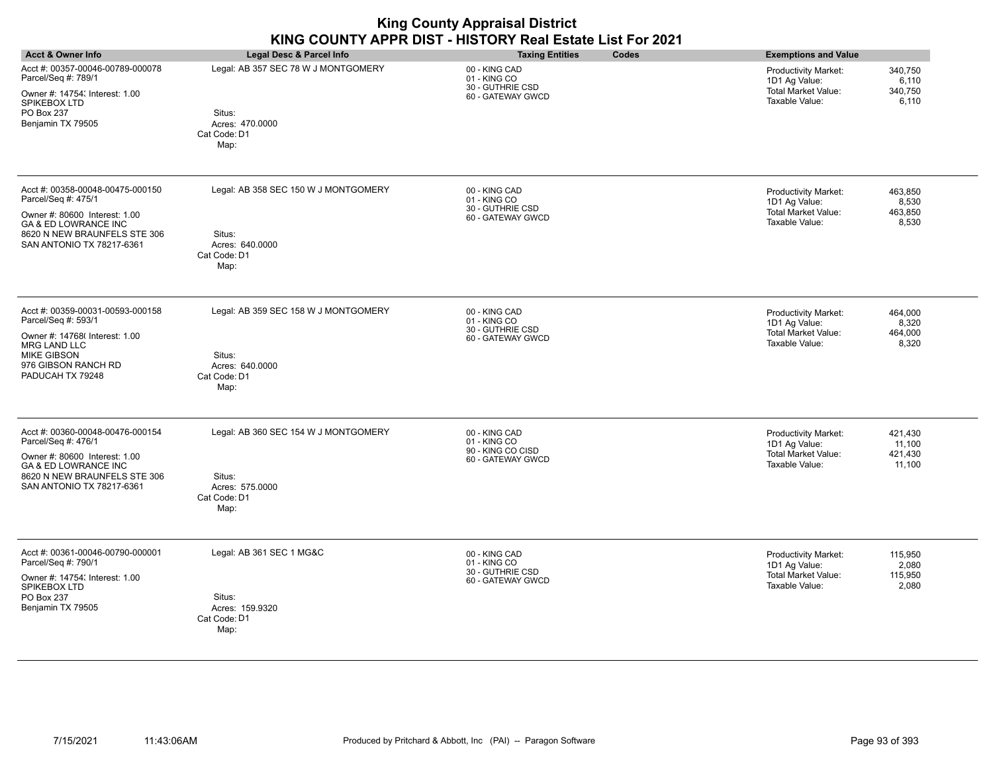| <b>Acct &amp; Owner Info</b>                                                                                                                                                             | Legal Desc & Parcel Info                                                                  | <b>Taxing Entities</b><br>Codes                                         | <b>Exemptions and Value</b>                                                                                                     |
|------------------------------------------------------------------------------------------------------------------------------------------------------------------------------------------|-------------------------------------------------------------------------------------------|-------------------------------------------------------------------------|---------------------------------------------------------------------------------------------------------------------------------|
| Acct #: 00357-00046-00789-000078<br>Parcel/Seq #: 789/1<br>Owner #: 14754; Interest: 1.00<br>SPIKEBOX LTD<br>PO Box 237<br>Benjamin TX 79505                                             | Legal: AB 357 SEC 78 W J MONTGOMERY<br>Situs:<br>Acres: 470.0000<br>Cat Code: D1<br>Map:  | 00 - KING CAD<br>01 - KING CO<br>30 - GUTHRIE CSD<br>60 - GATEWAY GWCD  | 340,750<br>Productivity Market:<br>1D1 Ag Value:<br>6,110<br>Total Market Value:<br>340,750<br>Taxable Value:<br>6,110          |
| Acct #: 00358-00048-00475-000150<br>Parcel/Seq #: 475/1<br>Owner #: 80600 Interest: 1.00<br>GA & ED LOWRANCE INC<br>8620 N NEW BRAUNFELS STE 306<br>SAN ANTONIO TX 78217-6361            | Legal: AB 358 SEC 150 W J MONTGOMERY<br>Situs:<br>Acres: 640.0000<br>Cat Code: D1<br>Map: | 00 - KING CAD<br>01 - KING CO<br>30 - GUTHRIE CSD<br>60 - GATEWAY GWCD  | Productivity Market:<br>463,850<br>1D1 Ag Value:<br>8,530<br>Total Market Value:<br>463,850<br>Taxable Value:<br>8,530          |
| Acct #: 00359-00031-00593-000158<br>Parcel/Seq #: 593/1<br>Owner #: 14768( Interest: 1.00<br>MRG LAND LLC<br><b>MIKE GIBSON</b><br>976 GIBSON RANCH RD<br>PADUCAH TX 79248               | Legal: AB 359 SEC 158 W J MONTGOMERY<br>Situs:<br>Acres: 640.0000<br>Cat Code: D1<br>Map: | 00 - KING CAD<br>01 - KING CO<br>30 - GUTHRIE CSD<br>60 - GATEWAY GWCD  | 464,000<br><b>Productivity Market:</b><br>1D1 Ag Value:<br>8,320<br>Total Market Value:<br>464,000<br>Taxable Value:<br>8,320   |
| Acct #: 00360-00048-00476-000154<br>Parcel/Seq #: 476/1<br>Owner #: 80600 Interest: 1.00<br><b>GA &amp; ED LOWRANCE INC</b><br>8620 N NEW BRAUNFELS STE 306<br>SAN ANTONIO TX 78217-6361 | Legal: AB 360 SEC 154 W J MONTGOMERY<br>Situs:<br>Acres: 575.0000<br>Cat Code: D1<br>Map: | 00 - KING CAD<br>01 - KING CO<br>90 - KING CO CISD<br>60 - GATEWAY GWCD | Productivity Market:<br>421,430<br>1D1 Ag Value:<br>11,100<br><b>Total Market Value:</b><br>421,430<br>Taxable Value:<br>11,100 |
| Acct #: 00361-00046-00790-000001<br>Parcel/Seq #: 790/1<br>Owner #: 14754; Interest: 1.00<br>SPIKEBOX LTD<br>PO Box 237<br>Benjamin TX 79505                                             | Legal: AB 361 SEC 1 MG&C<br>Situs:<br>Acres: 159.9320<br>Cat Code: D1<br>Map:             | 00 - KING CAD<br>01 - KING CO<br>30 - GUTHRIE CSD<br>60 - GATEWAY GWCD  | <b>Productivity Market:</b><br>115,950<br>2,080<br>1D1 Ag Value:<br>Total Market Value:<br>115,950<br>2,080<br>Taxable Value:   |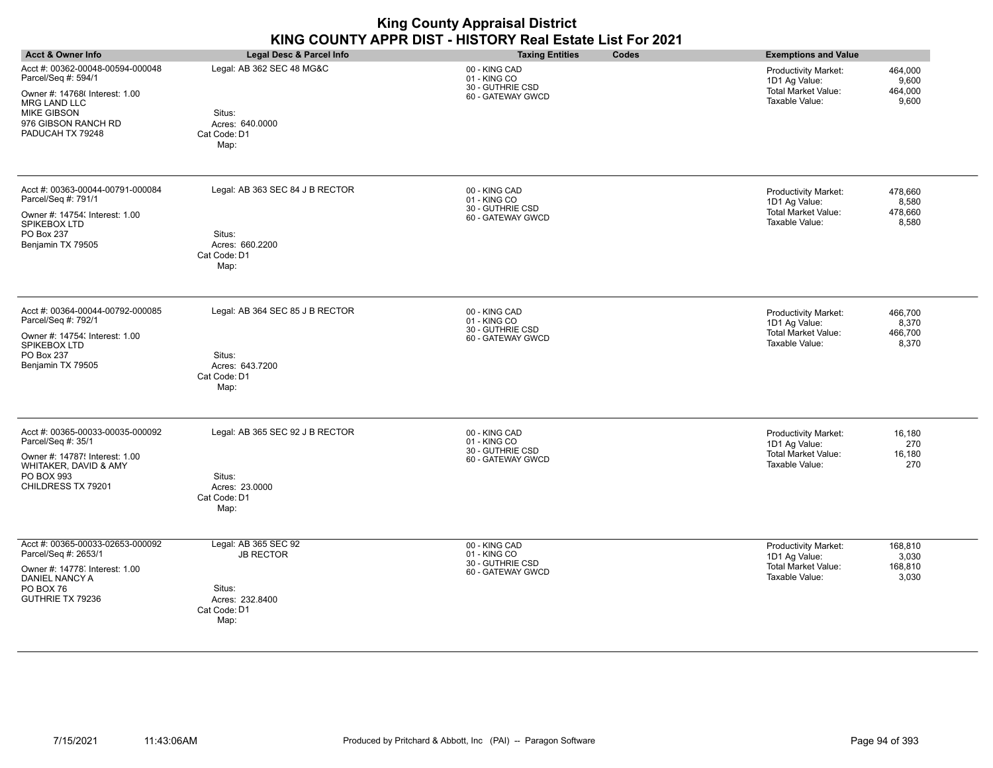| <b>Acct &amp; Owner Info</b>                                                                                                                                                      | Legal Desc & Parcel Info                                                                      | <b>Taxing Entities</b><br>Codes                                        | <b>Exemptions and Value</b>                                                                                                          |
|-----------------------------------------------------------------------------------------------------------------------------------------------------------------------------------|-----------------------------------------------------------------------------------------------|------------------------------------------------------------------------|--------------------------------------------------------------------------------------------------------------------------------------|
| Acct #: 00362-00048-00594-000048<br>Parcel/Seq #: 594/1<br>Owner #: 14768( Interest: 1.00<br><b>MRG LAND LLC</b><br><b>MIKE GIBSON</b><br>976 GIBSON RANCH RD<br>PADUCAH TX 79248 | Legal: AB 362 SEC 48 MG&C<br>Situs:<br>Acres: 640.0000<br>Cat Code: D1<br>Map:                | 00 - KING CAD<br>01 - KING CO<br>30 - GUTHRIE CSD<br>60 - GATEWAY GWCD | Productivity Market:<br>464,000<br>1D1 Ag Value:<br>9,600<br><b>Total Market Value:</b><br>464,000<br>Taxable Value:<br>9,600        |
| Acct #: 00363-00044-00791-000084<br>Parcel/Seq #: 791/1<br>Owner #: 14754; Interest: 1.00<br>SPIKEBOX LTD<br><b>PO Box 237</b><br>Benjamin TX 79505                               | Legal: AB 363 SEC 84 J B RECTOR<br>Situs:<br>Acres: 660.2200<br>Cat Code: D1<br>Map:          | 00 - KING CAD<br>01 - KING CO<br>30 - GUTHRIE CSD<br>60 - GATEWAY GWCD | <b>Productivity Market:</b><br>478.660<br>8,580<br>1D1 Ag Value:<br>Total Market Value:<br>478,660<br>Taxable Value:<br>8,580        |
| Acct #: 00364-00044-00792-000085<br>Parcel/Seq #: 792/1<br>Owner #: 14754; Interest: 1.00<br>SPIKEBOX LTD<br>PO Box 237<br>Benjamin TX 79505                                      | Legal: AB 364 SEC 85 J B RECTOR<br>Situs:<br>Acres: 643.7200<br>Cat Code: D1<br>Map:          | 00 - KING CAD<br>01 - KING CO<br>30 - GUTHRIE CSD<br>60 - GATEWAY GWCD | 466,700<br><b>Productivity Market:</b><br>1D1 Ag Value:<br>8,370<br><b>Total Market Value:</b><br>466,700<br>Taxable Value:<br>8,370 |
| Acct #: 00365-00033-00035-000092<br>Parcel/Seq #: 35/1<br>Owner #: 14787! Interest: 1.00<br>WHITAKER, DAVID & AMY<br>PO BOX 993<br>CHILDRESS TX 79201                             | Legal: AB 365 SEC 92 J B RECTOR<br>Situs:<br>Acres: 23.0000<br>Cat Code: D1<br>Map:           | 00 - KING CAD<br>01 - KING CO<br>30 - GUTHRIE CSD<br>60 - GATEWAY GWCD | Productivity Market:<br>16,180<br>1D1 Ag Value:<br>270<br><b>Total Market Value:</b><br>16,180<br>Taxable Value:<br>270              |
| Acct #: 00365-00033-02653-000092<br>Parcel/Seq #: 2653/1<br>Owner #: 14778, Interest: 1.00<br>DANIEL NANCY A<br>PO BOX 76<br>GUTHRIE TX 79236                                     | Legal: AB 365 SEC 92<br><b>JB RECTOR</b><br>Situs:<br>Acres: 232.8400<br>Cat Code: D1<br>Map: | 00 - KING CAD<br>01 - KING CO<br>30 - GUTHRIE CSD<br>60 - GATEWAY GWCD | <b>Productivity Market:</b><br>168,810<br>1D1 Ag Value:<br>3,030<br><b>Total Market Value:</b><br>168,810<br>Taxable Value:<br>3,030 |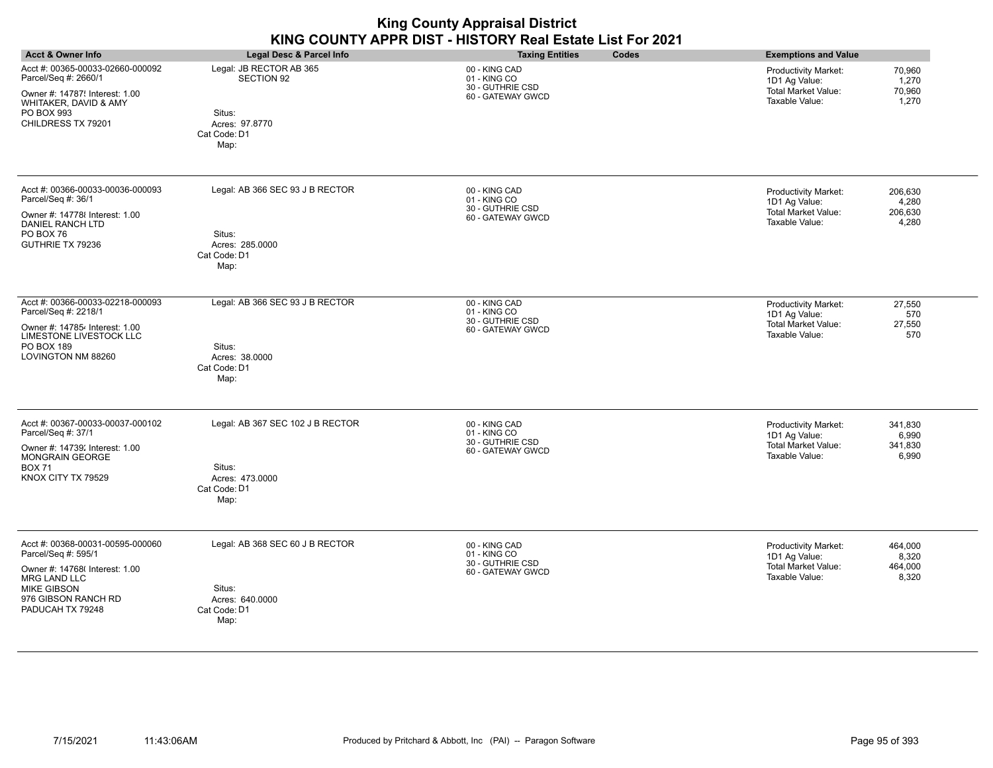| <b>King County Appraisal District</b><br>KING COUNTY APPR DIST - HISTORY Real Estate List For 2021                                                                                |                                                                                                  |                                                                        |                                                                                                                                      |  |  |
|-----------------------------------------------------------------------------------------------------------------------------------------------------------------------------------|--------------------------------------------------------------------------------------------------|------------------------------------------------------------------------|--------------------------------------------------------------------------------------------------------------------------------------|--|--|
| <b>Acct &amp; Owner Info</b>                                                                                                                                                      | Legal Desc & Parcel Info                                                                         | <b>Taxing Entities</b><br>Codes                                        | <b>Exemptions and Value</b>                                                                                                          |  |  |
| Acct #: 00365-00033-02660-000092<br>Parcel/Seq #: 2660/1<br>Owner #: 14787! Interest: 1.00<br>WHITAKER, DAVID & AMY<br>PO BOX 993<br>CHILDRESS TX 79201                           | Legal: JB RECTOR AB 365<br><b>SECTION 92</b><br>Situs:<br>Acres: 97.8770<br>Cat Code: D1<br>Map: | 00 - KING CAD<br>01 - KING CO<br>30 - GUTHRIE CSD<br>60 - GATEWAY GWCD | <b>Productivity Market:</b><br>70,960<br>1D1 Ag Value:<br>1,270<br><b>Total Market Value:</b><br>70,960<br>Taxable Value:<br>1,270   |  |  |
| Acct #: 00366-00033-00036-000093<br>Parcel/Seq #: 36/1<br>Owner #: 14778 Interest: 1.00<br><b>DANIEL RANCH LTD</b><br>PO BOX 76<br>GUTHRIE TX 79236                               | Legal: AB 366 SEC 93 J B RECTOR<br>Situs:<br>Acres: 285.0000<br>Cat Code: D1<br>Map:             | 00 - KING CAD<br>01 - KING CO<br>30 - GUTHRIE CSD<br>60 - GATEWAY GWCD | <b>Productivity Market:</b><br>206.630<br>4,280<br>1D1 Ag Value:<br><b>Total Market Value:</b><br>206,630<br>Taxable Value:<br>4,280 |  |  |
| Acct #: 00366-00033-02218-000093<br>Parcel/Seq #: 2218/1<br>Owner #: 147854 Interest: 1.00<br>LIMESTONE LIVESTOCK LLC<br>PO BOX 189<br>LOVINGTON NM 88260                         | Legal: AB 366 SEC 93 J B RECTOR<br>Situs:<br>Acres: 38.0000<br>Cat Code: D1<br>Map:              | 00 - KING CAD<br>01 - KING CO<br>30 - GUTHRIE CSD<br>60 - GATEWAY GWCD | 27,550<br>Productivity Market:<br>1D1 Ag Value:<br>570<br>Total Market Value:<br>27,550<br>Taxable Value:<br>570                     |  |  |
| Acct #: 00367-00033-00037-000102<br>Parcel/Seq #: 37/1<br>Owner #: 14739; Interest: 1.00<br>MONGRAIN GEORGE<br><b>BOX 71</b><br>KNOX CITY TX 79529                                | Legal: AB 367 SEC 102 J B RECTOR<br>Situs:<br>Acres: 473,0000<br>Cat Code: D1<br>Map:            | 00 - KING CAD<br>01 - KING CO<br>30 - GUTHRIE CSD<br>60 - GATEWAY GWCD | <b>Productivity Market:</b><br>341,830<br>1D1 Ag Value:<br>6,990<br><b>Total Market Value:</b><br>341,830<br>Taxable Value:<br>6,990 |  |  |
| Acct #: 00368-00031-00595-000060<br>Parcel/Seq #: 595/1<br>Owner #: 14768( Interest: 1.00<br><b>MRG LAND LLC</b><br><b>MIKE GIBSON</b><br>976 GIBSON RANCH RD<br>PADUCAH TX 79248 | Legal: AB 368 SEC 60 J B RECTOR<br>Situs:<br>Acres: 640.0000<br>Cat Code: D1<br>Map:             | 00 - KING CAD<br>01 - KING CO<br>30 - GUTHRIE CSD<br>60 - GATEWAY GWCD | 464,000<br><b>Productivity Market:</b><br>1D1 Ag Value:<br>8,320<br><b>Total Market Value:</b><br>464,000<br>Taxable Value:<br>8,320 |  |  |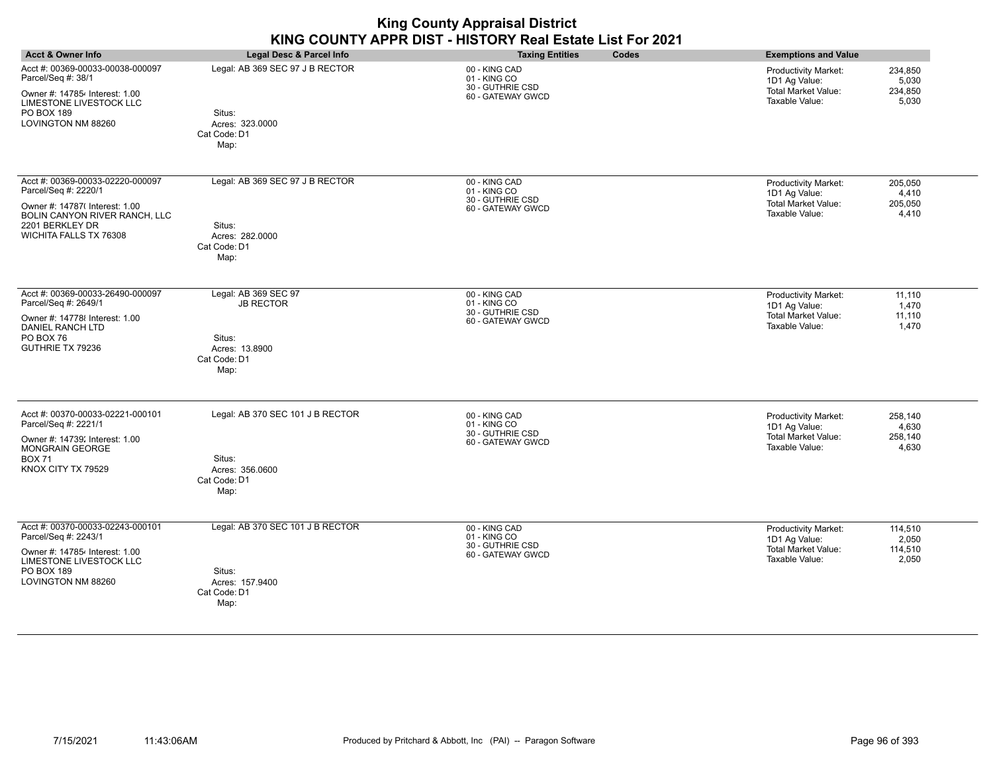| <b>King County Appraisal District</b><br>KING COUNTY APPR DIST - HISTORY Real Estate List For 2021                                                                       |                                                                                              |                                                                        |                                                                                                                                      |  |
|--------------------------------------------------------------------------------------------------------------------------------------------------------------------------|----------------------------------------------------------------------------------------------|------------------------------------------------------------------------|--------------------------------------------------------------------------------------------------------------------------------------|--|
| <b>Acct &amp; Owner Info</b>                                                                                                                                             | Legal Desc & Parcel Info                                                                     | <b>Taxing Entities</b><br>Codes                                        | <b>Exemptions and Value</b>                                                                                                          |  |
| Acct #: 00369-00033-00038-000097<br>Parcel/Seq #: 38/1<br>Owner #: 147854 Interest: 1.00<br><b>LIMESTONE LIVESTOCK LLC</b><br>PO BOX 189<br>LOVINGTON NM 88260           | Legal: AB 369 SEC 97 J B RECTOR<br>Situs:<br>Acres: 323.0000<br>Cat Code: D1<br>Map:         | 00 - KING CAD<br>01 - KING CO<br>30 - GUTHRIE CSD<br>60 - GATEWAY GWCD | 234,850<br><b>Productivity Market:</b><br>1D1 Ag Value:<br>5,030<br><b>Total Market Value:</b><br>234,850<br>Taxable Value:<br>5,030 |  |
| Acct #: 00369-00033-02220-000097<br>Parcel/Seq #: 2220/1<br>Owner #: 14787( Interest: 1.00<br>BOLIN CANYON RIVER RANCH, LLC<br>2201 BERKLEY DR<br>WICHITA FALLS TX 76308 | Legal: AB 369 SEC 97 J B RECTOR<br>Situs:<br>Acres: 282.0000<br>Cat Code: D1<br>Map:         | 00 - KING CAD<br>01 - KING CO<br>30 - GUTHRIE CSD<br>60 - GATEWAY GWCD | Productivity Market:<br>205,050<br>1D1 Ag Value:<br>4,410<br><b>Total Market Value:</b><br>205,050<br>Taxable Value:<br>4,410        |  |
| Acct #: 00369-00033-26490-000097<br>Parcel/Seq #: 2649/1<br>Owner #: 14778 Interest: 1.00<br><b>DANIEL RANCH LTD</b><br>PO BOX 76<br>GUTHRIE TX 79236                    | Legal: AB 369 SEC 97<br><b>JB RECTOR</b><br>Situs:<br>Acres: 13.8900<br>Cat Code: D1<br>Map: | 00 - KING CAD<br>01 - KING CO<br>30 - GUTHRIE CSD<br>60 - GATEWAY GWCD | Productivity Market:<br>11,110<br>1D1 Ag Value:<br>1.470<br><b>Total Market Value:</b><br>11,110<br>Taxable Value:<br>1,470          |  |
| Acct #: 00370-00033-02221-000101<br>Parcel/Seq #: 2221/1<br>Owner #: 14739; Interest: 1.00<br><b>MONGRAIN GEORGE</b><br><b>BOX 71</b><br>KNOX CITY TX 79529              | Legal: AB 370 SEC 101 J B RECTOR<br>Situs:<br>Acres: 356.0600<br>Cat Code: D1<br>Map:        | 00 - KING CAD<br>01 - KING CO<br>30 - GUTHRIE CSD<br>60 - GATEWAY GWCD | Productivity Market:<br>258,140<br>1D1 Ag Value:<br>4,630<br><b>Total Market Value:</b><br>258,140<br>Taxable Value:<br>4,630        |  |
| Acct #: 00370-00033-02243-000101<br>Parcel/Seq #: 2243/1<br>Owner #: 147854 Interest: 1.00<br>LIMESTONE LIVESTOCK LLC<br>PO BOX 189<br>LOVINGTON NM 88260                | Legal: AB 370 SEC 101 J B RECTOR<br>Situs:<br>Acres: 157.9400<br>Cat Code: D1<br>Map:        | 00 - KING CAD<br>01 - KING CO<br>30 - GUTHRIE CSD<br>60 - GATEWAY GWCD | Productivity Market:<br>114,510<br>1D1 Ag Value:<br>2,050<br><b>Total Market Value:</b><br>114,510<br>Taxable Value:<br>2,050        |  |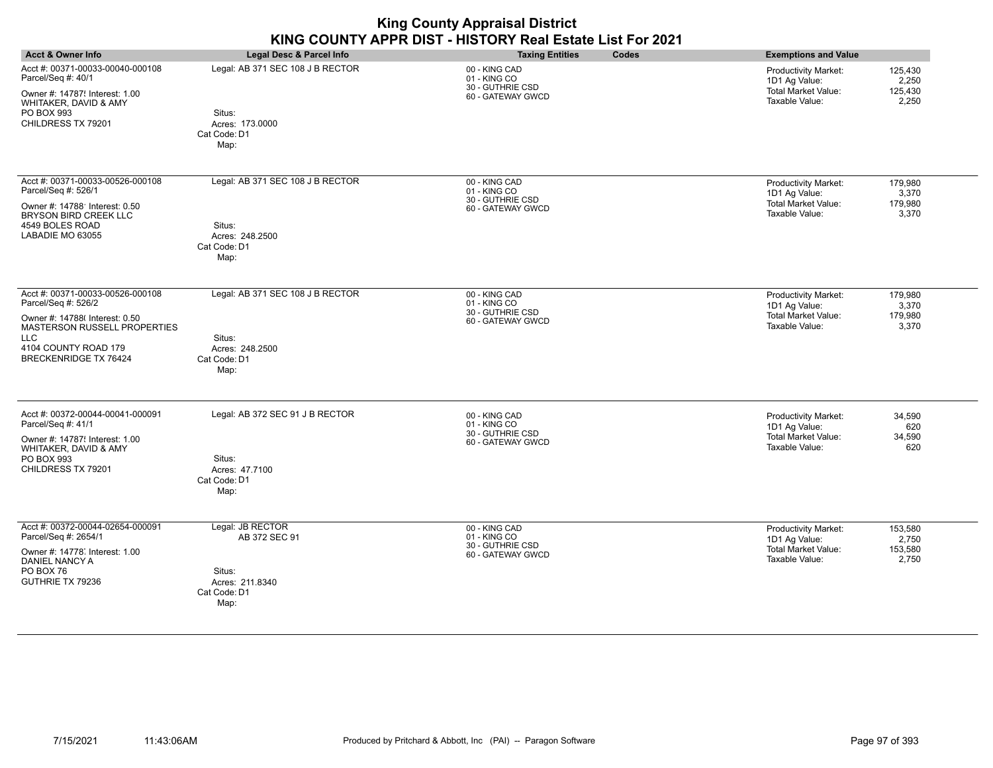| <b>Acct &amp; Owner Info</b>                                                                                                                                                             | Legal Desc & Parcel Info                                                               | <b>Taxing Entities</b><br>Codes                                        | <b>Exemptions and Value</b>                                                                                                    |
|------------------------------------------------------------------------------------------------------------------------------------------------------------------------------------------|----------------------------------------------------------------------------------------|------------------------------------------------------------------------|--------------------------------------------------------------------------------------------------------------------------------|
| Acct #: 00371-00033-00040-000108<br>Parcel/Seq #: 40/1<br>Owner #: 14787! Interest: 1.00<br>WHITAKER, DAVID & AMY<br>PO BOX 993<br>CHILDRESS TX 79201                                    | Legal: AB 371 SEC 108 J B RECTOR<br>Situs:<br>Acres: 173.0000<br>Cat Code: D1<br>Map:  | 00 - KING CAD<br>01 - KING CO<br>30 - GUTHRIE CSD<br>60 - GATEWAY GWCD | 125,430<br><b>Productivity Market:</b><br>2,250<br>1D1 Ag Value:<br>Total Market Value:<br>125,430<br>Taxable Value:<br>2,250  |
| Acct #: 00371-00033-00526-000108<br>Parcel/Seq #: 526/1<br>Owner #: 14788' Interest: 0.50<br>BRYSON BIRD CREEK LLC<br>4549 BOLES ROAD<br>LABADIE MO 63055                                | Legal: AB 371 SEC 108 J B RECTOR<br>Situs:<br>Acres: 248.2500<br>Cat Code: D1<br>Map:  | 00 - KING CAD<br>01 - KING CO<br>30 - GUTHRIE CSD<br>60 - GATEWAY GWCD | <b>Productivity Market:</b><br>179,980<br>1D1 Ag Value:<br>3,370<br>Total Market Value:<br>179,980<br>Taxable Value:<br>3,370  |
| Acct #: 00371-00033-00526-000108<br>Parcel/Seq #: 526/2<br>Owner #: 14788( Interest: 0.50<br>MASTERSON RUSSELL PROPERTIES<br>LLC<br>4104 COUNTY ROAD 179<br><b>BRECKENRIDGE TX 76424</b> | Legal: AB 371 SEC 108 J B RECTOR<br>Situs:<br>Acres: 248.2500<br>Cat Code: D1<br>Map:  | 00 - KING CAD<br>01 - KING CO<br>30 - GUTHRIE CSD<br>60 - GATEWAY GWCD | 179,980<br>Productivity Market:<br>3,370<br>1D1 Ag Value:<br>Total Market Value:<br>179,980<br>Taxable Value:<br>3,370         |
| Acct #: 00372-00044-00041-000091<br>Parcel/Seq #: 41/1<br>Owner #: 14787! Interest: 1.00<br>WHITAKER, DAVID & AMY<br>PO BOX 993<br>CHILDRESS TX 79201                                    | Legal: AB 372 SEC 91 J B RECTOR<br>Situs:<br>Acres: 47.7100<br>Cat Code: D1<br>Map:    | 00 - KING CAD<br>01 - KING CO<br>30 - GUTHRIE CSD<br>60 - GATEWAY GWCD | 34,590<br><b>Productivity Market:</b><br>620<br>1D1 Ag Value:<br><b>Total Market Value:</b><br>34,590<br>Taxable Value:<br>620 |
| Acct #: 00372-00044-02654-000091<br>Parcel/Seq #: 2654/1<br>Owner #: 14778: Interest: 1.00<br>DANIEL NANCY A<br>PO BOX 76<br>GUTHRIE TX 79236                                            | Legal: JB RECTOR<br>AB 372 SEC 91<br>Situs:<br>Acres: 211.8340<br>Cat Code: D1<br>Map: | 00 - KING CAD<br>01 - KING CO<br>30 - GUTHRIE CSD<br>60 - GATEWAY GWCD | Productivity Market:<br>153,580<br>1D1 Ag Value:<br>2,750<br><b>Total Market Value:</b><br>153,580<br>Taxable Value:<br>2,750  |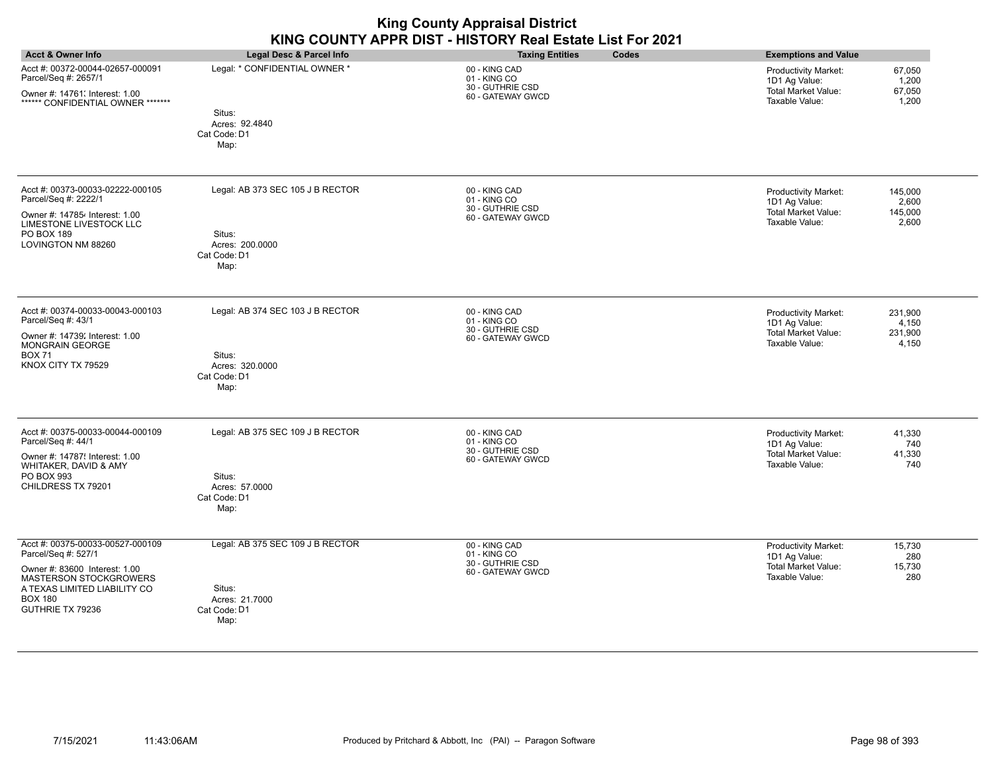| <b>King County Appraisal District</b>                     |  |
|-----------------------------------------------------------|--|
| KING COUNTY APPR DIST - HISTORY Real Estate List For 2021 |  |

| <b>Acct &amp; Owner Info</b>                                                                                                                                                                    | Legal Desc & Parcel Info                                                                                      | <b>Taxing Entities</b><br>Codes                                        | <b>Exemptions and Value</b>                                                                                                          |
|-------------------------------------------------------------------------------------------------------------------------------------------------------------------------------------------------|---------------------------------------------------------------------------------------------------------------|------------------------------------------------------------------------|--------------------------------------------------------------------------------------------------------------------------------------|
| Acct #: 00372-00044-02657-000091<br>Parcel/Seq #: 2657/1<br>Owner #: 14761; Interest: 1.00<br>****** CONFIDENTIAL OWNER *******                                                                 | Legal: * CONFIDENTIAL OWNER *<br>Situs:<br>Acres: 92.4840                                                     | 00 - KING CAD<br>01 - KING CO<br>30 - GUTHRIE CSD<br>60 - GATEWAY GWCD | <b>Productivity Market:</b><br>67,050<br>1D1 Ag Value:<br>1,200<br>Total Market Value:<br>67,050<br>Taxable Value:<br>1,200          |
| Acct #: 00373-00033-02222-000105<br>Parcel/Seq #: 2222/1<br>Owner #: 147854 Interest: 1.00<br>LIMESTONE LIVESTOCK LLC<br>PO BOX 189<br>LOVINGTON NM 88260                                       | Cat Code: D1<br>Map:<br>Legal: AB 373 SEC 105 J B RECTOR<br>Situs:<br>Acres: 200.0000<br>Cat Code: D1<br>Map: | 00 - KING CAD<br>01 - KING CO<br>30 - GUTHRIE CSD<br>60 - GATEWAY GWCD | <b>Productivity Market:</b><br>145,000<br>1D1 Ag Value:<br>2,600<br><b>Total Market Value:</b><br>145,000<br>Taxable Value:<br>2,600 |
| Acct #: 00374-00033-00043-000103<br>Parcel/Seq #: 43/1<br>Owner #: 14739; Interest: 1.00<br>MONGRAIN GEORGE<br><b>BOX 71</b><br>KNOX CITY TX 79529                                              | Legal: AB 374 SEC 103 J B RECTOR<br>Situs:<br>Acres: 320.0000<br>Cat Code: D1<br>Map:                         | 00 - KING CAD<br>01 - KING CO<br>30 - GUTHRIE CSD<br>60 - GATEWAY GWCD | Productivity Market:<br>231,900<br>1D1 Ag Value:<br>4,150<br>Total Market Value:<br>231,900<br>Taxable Value:<br>4,150               |
| Acct #: 00375-00033-00044-000109<br>Parcel/Seq #: 44/1<br>Owner #: 14787! Interest: 1.00<br>WHITAKER, DAVID & AMY<br>PO BOX 993<br>CHILDRESS TX 79201                                           | Legal: AB 375 SEC 109 J B RECTOR<br>Situs:<br>Acres: 57.0000<br>Cat Code: D1<br>Map:                          | 00 - KING CAD<br>01 - KING CO<br>30 - GUTHRIE CSD<br>60 - GATEWAY GWCD | Productivity Market:<br>41,330<br>1D1 Ag Value:<br>740<br><b>Total Market Value:</b><br>41,330<br>Taxable Value:<br>740              |
| Acct #: 00375-00033-00527-000109<br>Parcel/Seq #: 527/1<br>Owner #: 83600 Interest: 1.00<br><b>MASTERSON STOCKGROWERS</b><br>A TEXAS LIMITED LIABILITY CO<br><b>BOX 180</b><br>GUTHRIE TX 79236 | Legal: AB 375 SEC 109 J B RECTOR<br>Situs:<br>Acres: 21.7000<br>Cat Code: D1<br>Map:                          | 00 - KING CAD<br>01 - KING CO<br>30 - GUTHRIE CSD<br>60 - GATEWAY GWCD | <b>Productivity Market:</b><br>15,730<br>1D1 Ag Value:<br>280<br><b>Total Market Value:</b><br>15,730<br>Taxable Value:<br>280       |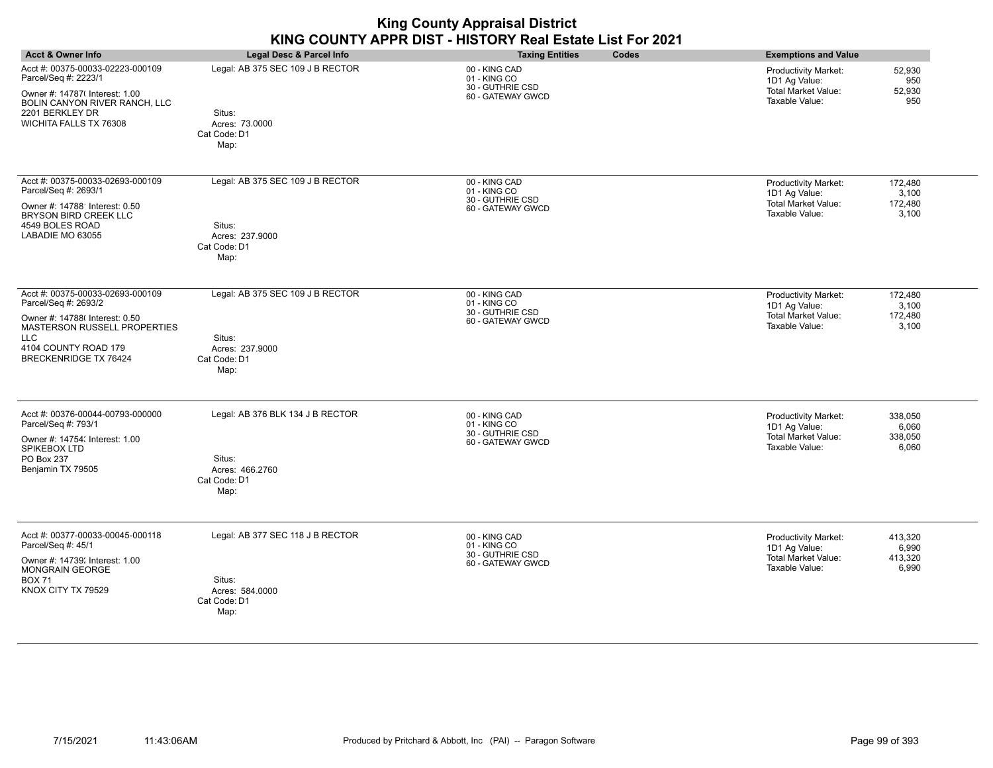| <b>King County Appraisal District</b><br>KING COUNTY APPR DIST - HISTORY Real Estate List For 2021                                                                                        |                                                                                       |                                                                        |                                                                                                                               |  |  |
|-------------------------------------------------------------------------------------------------------------------------------------------------------------------------------------------|---------------------------------------------------------------------------------------|------------------------------------------------------------------------|-------------------------------------------------------------------------------------------------------------------------------|--|--|
| <b>Acct &amp; Owner Info</b>                                                                                                                                                              | <b>Legal Desc &amp; Parcel Info</b>                                                   | <b>Taxing Entities</b><br>Codes                                        | <b>Exemptions and Value</b>                                                                                                   |  |  |
| Acct #: 00375-00033-02223-000109<br>Parcel/Seq #: 2223/1<br>Owner #: 14787( Interest: 1.00<br>BOLIN CANYON RIVER RANCH, LLC<br>2201 BERKLEY DR<br>WICHITA FALLS TX 76308                  | Legal: AB 375 SEC 109 J B RECTOR<br>Situs:<br>Acres: 73,0000<br>Cat Code: D1<br>Map:  | 00 - KING CAD<br>01 - KING CO<br>30 - GUTHRIE CSD<br>60 - GATEWAY GWCD | Productivity Market:<br>52,930<br>1D1 Ag Value:<br>950<br>Total Market Value:<br>52,930<br>Taxable Value:<br>950              |  |  |
| Acct #: 00375-00033-02693-000109<br>Parcel/Seq #: 2693/1<br>Owner #: 14788' Interest: 0.50<br>BRYSON BIRD CREEK LLC<br>4549 BOLES ROAD<br>LABADIE MO 63055                                | Legal: AB 375 SEC 109 J B RECTOR<br>Situs:<br>Acres: 237.9000<br>Cat Code: D1<br>Map: | 00 - KING CAD<br>01 - KING CO<br>30 - GUTHRIE CSD<br>60 - GATEWAY GWCD | Productivity Market:<br>172,480<br>3,100<br>1D1 Ag Value:<br>Total Market Value:<br>172,480<br>Taxable Value:<br>3,100        |  |  |
| Acct #: 00375-00033-02693-000109<br>Parcel/Seq #: 2693/2<br>Owner #: 14788(Interest: 0.50<br>MASTERSON RUSSELL PROPERTIES<br>LLC.<br>4104 COUNTY ROAD 179<br><b>BRECKENRIDGE TX 76424</b> | Legal: AB 375 SEC 109 J B RECTOR<br>Situs:<br>Acres: 237.9000<br>Cat Code: D1<br>Map: | 00 - KING CAD<br>01 - KING CO<br>30 - GUTHRIE CSD<br>60 - GATEWAY GWCD | Productivity Market:<br>172,480<br>1D1 Ag Value:<br>3,100<br><b>Total Market Value:</b><br>172,480<br>Taxable Value:<br>3,100 |  |  |
| Acct #: 00376-00044-00793-000000<br>Parcel/Seq #: 793/1<br>Owner #: 14754; Interest: 1.00<br>SPIKEBOX LTD<br>PO Box 237<br>Benjamin TX 79505                                              | Legal: AB 376 BLK 134 J B RECTOR<br>Situs:<br>Acres: 466.2760<br>Cat Code: D1<br>Map: | 00 - KING CAD<br>01 - KING CO<br>30 - GUTHRIE CSD<br>60 - GATEWAY GWCD | Productivity Market:<br>338,050<br>1D1 Ag Value:<br>6,060<br><b>Total Market Value:</b><br>338,050<br>Taxable Value:<br>6,060 |  |  |
| Acct #: 00377-00033-00045-000118<br>Parcel/Seq #: 45/1<br>Owner #: 14739; Interest: 1.00<br><b>MONGRAIN GEORGE</b><br><b>BOX 71</b><br>KNOX CITY TX 79529                                 | Legal: AB 377 SEC 118 J B RECTOR<br>Situs:<br>Acres: 584.0000<br>Cat Code: D1<br>Map: | 00 - KING CAD<br>01 - KING CO<br>30 - GUTHRIE CSD<br>60 - GATEWAY GWCD | Productivity Market:<br>413,320<br>1D1 Ag Value:<br>6,990<br><b>Total Market Value:</b><br>413,320<br>Taxable Value:<br>6,990 |  |  |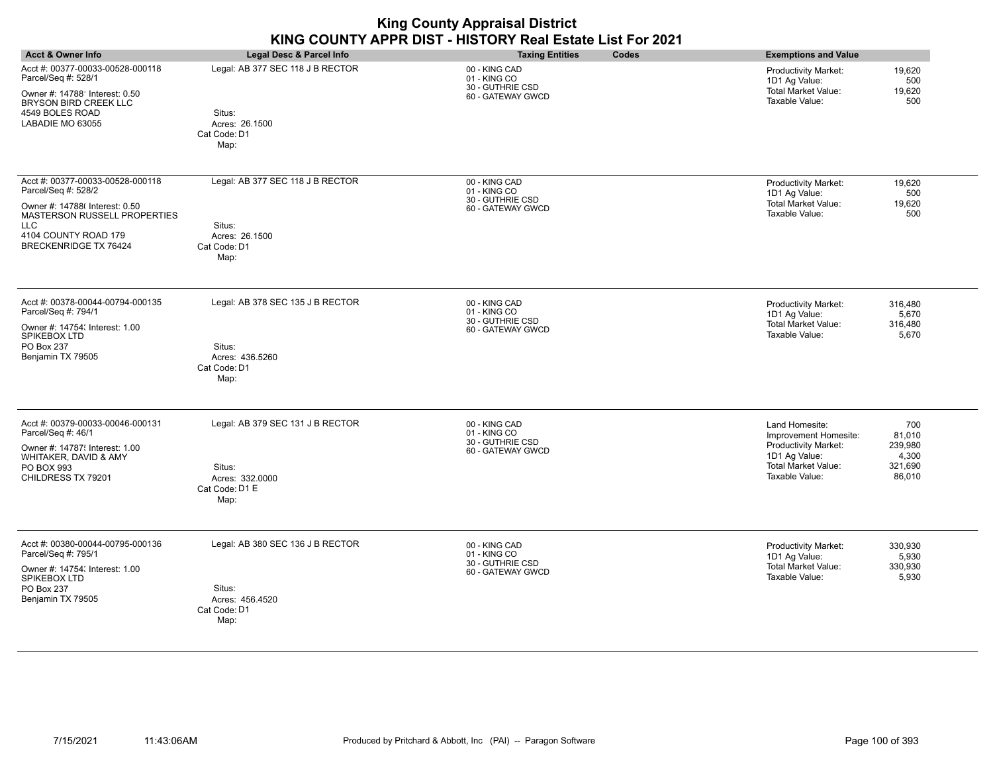| <b>King County Appraisal District</b>                     |  |
|-----------------------------------------------------------|--|
| KING COUNTY APPR DIST - HISTORY Real Estate List For 2021 |  |

| <b>Acct &amp; Owner Info</b>                                                                                                                                                                    | Legal Desc & Parcel Info                                                                | <b>Taxing Entities</b><br>Codes                                        | <b>Exemptions and Value</b>                                                                                                                                                                       |
|-------------------------------------------------------------------------------------------------------------------------------------------------------------------------------------------------|-----------------------------------------------------------------------------------------|------------------------------------------------------------------------|---------------------------------------------------------------------------------------------------------------------------------------------------------------------------------------------------|
| Acct #: 00377-00033-00528-000118<br>Parcel/Seq #: 528/1<br>Owner #: 14788' Interest: 0.50<br>BRYSON BIRD CREEK LLC<br>4549 BOLES ROAD<br>LABADIE MO 63055                                       | Legal: AB 377 SEC 118 J B RECTOR<br>Situs:<br>Acres: 26.1500<br>Cat Code: D1<br>Map:    | 00 - KING CAD<br>01 - KING CO<br>30 - GUTHRIE CSD<br>60 - GATEWAY GWCD | Productivity Market:<br>19,620<br>1D1 Ag Value:<br>500<br><b>Total Market Value:</b><br>19,620<br>Taxable Value:<br>500                                                                           |
| Acct #: 00377-00033-00528-000118<br>Parcel/Seq #: 528/2<br>Owner #: 14788( Interest: 0.50<br>MASTERSON RUSSELL PROPERTIES<br><b>LLC</b><br>4104 COUNTY ROAD 179<br><b>BRECKENRIDGE TX 76424</b> | Legal: AB 377 SEC 118 J B RECTOR<br>Situs:<br>Acres: 26.1500<br>Cat Code: D1<br>Map:    | 00 - KING CAD<br>01 - KING CO<br>30 - GUTHRIE CSD<br>60 - GATEWAY GWCD | 19,620<br><b>Productivity Market:</b><br>1D1 Ag Value:<br>500<br><b>Total Market Value:</b><br>19,620<br>Taxable Value:<br>500                                                                    |
| Acct #: 00378-00044-00794-000135<br>Parcel/Seq #: 794/1<br>Owner #: 14754; Interest: 1.00<br>SPIKEBOX LTD<br>PO Box 237<br>Benjamin TX 79505                                                    | Legal: AB 378 SEC 135 J B RECTOR<br>Situs:<br>Acres: 436.5260<br>Cat Code: D1<br>Map:   | 00 - KING CAD<br>01 - KING CO<br>30 - GUTHRIE CSD<br>60 - GATEWAY GWCD | Productivity Market:<br>316,480<br>1D1 Ag Value:<br>5,670<br><b>Total Market Value:</b><br>316,480<br>Taxable Value:<br>5,670                                                                     |
| Acct #: 00379-00033-00046-000131<br>Parcel/Seq #: 46/1<br>Owner #: 14787! Interest: 1.00<br>WHITAKER, DAVID & AMY<br><b>PO BOX 993</b><br>CHILDRESS TX 79201                                    | Legal: AB 379 SEC 131 J B RECTOR<br>Situs:<br>Acres: 332.0000<br>Cat Code: D1 E<br>Map: | 00 - KING CAD<br>01 - KING CO<br>30 - GUTHRIE CSD<br>60 - GATEWAY GWCD | Land Homesite:<br>700<br>81,010<br>Improvement Homesite:<br><b>Productivity Market:</b><br>239,980<br>1D1 Ag Value:<br>4,300<br><b>Total Market Value:</b><br>321,690<br>Taxable Value:<br>86,010 |
| Acct #: 00380-00044-00795-000136<br>Parcel/Seq #: 795/1<br>Owner #: 14754; Interest: 1.00<br>SPIKEBOX LTD<br>PO Box 237<br>Benjamin TX 79505                                                    | Legal: AB 380 SEC 136 J B RECTOR<br>Situs:<br>Acres: 456.4520<br>Cat Code: D1<br>Map:   | 00 - KING CAD<br>01 - KING CO<br>30 - GUTHRIE CSD<br>60 - GATEWAY GWCD | Productivity Market:<br>330,930<br>1D1 Ag Value:<br>5,930<br><b>Total Market Value:</b><br>330,930<br>Taxable Value:<br>5,930                                                                     |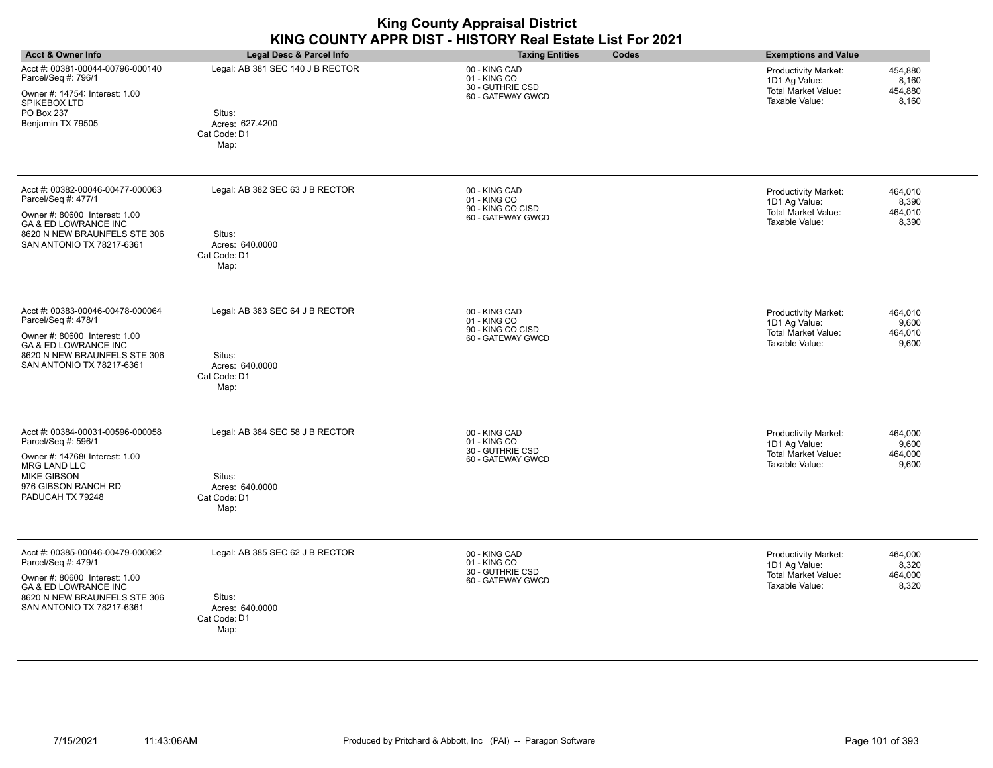| <b>Acct &amp; Owner Info</b>                                                                                                                                                             | Legal Desc & Parcel Info                                                              | <b>Taxing Entities</b><br>Codes                                         | <b>Exemptions and Value</b>                                                                                                   |
|------------------------------------------------------------------------------------------------------------------------------------------------------------------------------------------|---------------------------------------------------------------------------------------|-------------------------------------------------------------------------|-------------------------------------------------------------------------------------------------------------------------------|
| Acct #: 00381-00044-00796-000140<br>Parcel/Seq #: 796/1<br>Owner #: 14754; Interest: 1.00<br>SPIKEBOX LTD<br>PO Box 237<br>Benjamin TX 79505                                             | Legal: AB 381 SEC 140 J B RECTOR<br>Situs:<br>Acres: 627.4200<br>Cat Code: D1<br>Map: | 00 - KING CAD<br>01 - KING CO<br>30 - GUTHRIE CSD<br>60 - GATEWAY GWCD  | Productivity Market:<br>454,880<br>1D1 Ag Value:<br>8,160<br><b>Total Market Value:</b><br>454,880<br>Taxable Value:<br>8,160 |
| Acct #: 00382-00046-00477-000063<br>Parcel/Seq #: 477/1<br>Owner #: 80600 Interest: 1.00<br>GA & ED LOWRANCE INC<br>8620 N NEW BRAUNFELS STE 306<br>SAN ANTONIO TX 78217-6361            | Legal: AB 382 SEC 63 J B RECTOR<br>Situs:<br>Acres: 640.0000<br>Cat Code: D1<br>Map:  | 00 - KING CAD<br>01 - KING CO<br>90 - KING CO CISD<br>60 - GATEWAY GWCD | Productivity Market:<br>464,010<br>1D1 Ag Value:<br>8,390<br><b>Total Market Value:</b><br>464,010<br>Taxable Value:<br>8,390 |
| Acct #: 00383-00046-00478-000064<br>Parcel/Seq #: 478/1<br>Owner #: 80600 Interest: 1.00<br><b>GA &amp; ED LOWRANCE INC</b><br>8620 N NEW BRAUNFELS STE 306<br>SAN ANTONIO TX 78217-6361 | Legal: AB 383 SEC 64 J B RECTOR<br>Situs:<br>Acres: 640.0000<br>Cat Code: D1<br>Map:  | 00 - KING CAD<br>01 - KING CO<br>90 - KING CO CISD<br>60 - GATEWAY GWCD | 464,010<br>Productivity Market:<br>1D1 Ag Value:<br>9,600<br><b>Total Market Value:</b><br>464,010<br>Taxable Value:<br>9,600 |
| Acct #: 00384-00031-00596-000058<br>Parcel/Seq #: 596/1<br>Owner #: 14768( Interest: 1.00<br>MRG LAND LLC<br><b>MIKE GIBSON</b><br>976 GIBSON RANCH RD<br>PADUCAH TX 79248               | Legal: AB 384 SEC 58 J B RECTOR<br>Situs:<br>Acres: 640.0000<br>Cat Code: D1<br>Map:  | 00 - KING CAD<br>01 - KING CO<br>30 - GUTHRIE CSD<br>60 - GATEWAY GWCD  | Productivity Market:<br>464,000<br>1D1 Ag Value:<br>9,600<br><b>Total Market Value:</b><br>464,000<br>Taxable Value:<br>9,600 |
| Acct #: 00385-00046-00479-000062<br>Parcel/Seq #: 479/1<br>Owner #: 80600 Interest: 1.00<br>GA & ED LOWRANCE INC<br>8620 N NEW BRAUNFELS STE 306<br>SAN ANTONIO TX 78217-6361            | Legal: AB 385 SEC 62 J B RECTOR<br>Situs:<br>Acres: 640.0000<br>Cat Code: D1<br>Map:  | 00 - KING CAD<br>01 - KING CO<br>30 - GUTHRIE CSD<br>60 - GATEWAY GWCD  | Productivity Market:<br>464,000<br>1D1 Ag Value:<br>8,320<br><b>Total Market Value:</b><br>464,000<br>Taxable Value:<br>8,320 |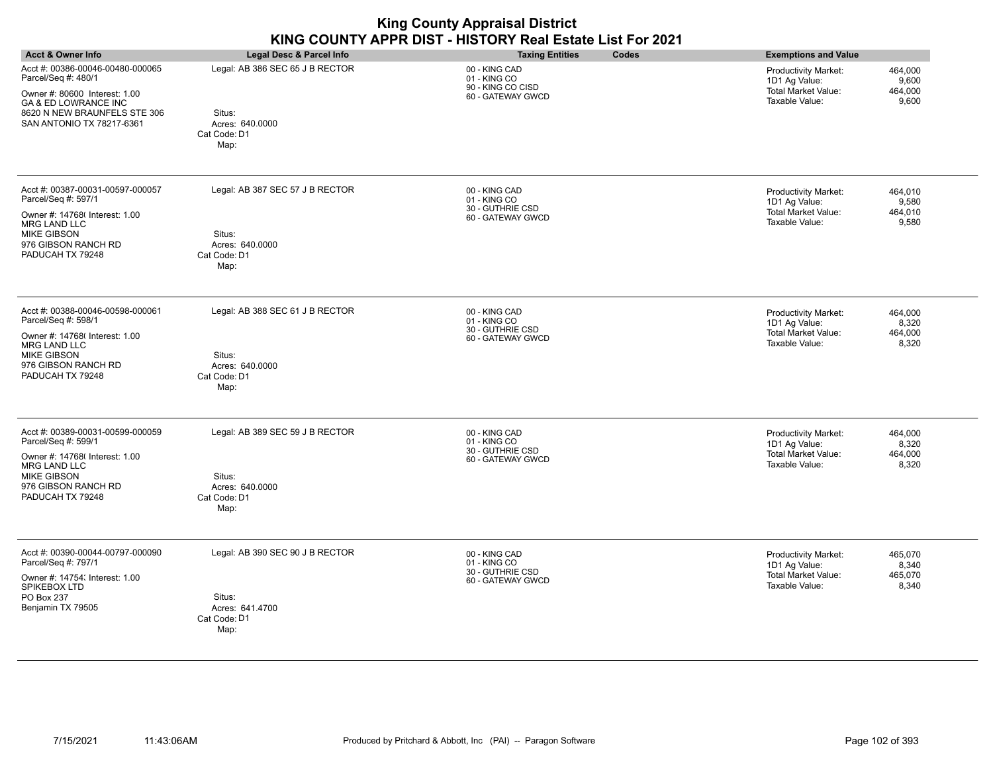| <b>King County Appraisal District</b>                     |
|-----------------------------------------------------------|
| KING COUNTY APPR DIST - HISTORY Real Estate List For 2021 |

| <b>Acct &amp; Owner Info</b>                                                                                                                                                             | Legal Desc & Parcel Info                                                             | <b>Taxing Entities</b><br>Codes                                         | <b>Exemptions and Value</b>                                                                                                          |
|------------------------------------------------------------------------------------------------------------------------------------------------------------------------------------------|--------------------------------------------------------------------------------------|-------------------------------------------------------------------------|--------------------------------------------------------------------------------------------------------------------------------------|
| Acct #: 00386-00046-00480-000065<br>Parcel/Seq #: 480/1<br>Owner #: 80600 Interest: 1.00<br><b>GA &amp; ED LOWRANCE INC</b><br>8620 N NEW BRAUNFELS STE 306<br>SAN ANTONIO TX 78217-6361 | Legal: AB 386 SEC 65 J B RECTOR<br>Situs:<br>Acres: 640.0000<br>Cat Code: D1<br>Map: | 00 - KING CAD<br>01 - KING CO<br>90 - KING CO CISD<br>60 - GATEWAY GWCD | 464,000<br><b>Productivity Market:</b><br>1D1 Ag Value:<br>9,600<br><b>Total Market Value:</b><br>464,000<br>Taxable Value:<br>9,600 |
| Acct #: 00387-00031-00597-000057<br>Parcel/Seq #: 597/1<br>Owner #: 14768( Interest: 1.00<br>MRG LAND LLC<br><b>MIKE GIBSON</b><br>976 GIBSON RANCH RD<br>PADUCAH TX 79248               | Legal: AB 387 SEC 57 J B RECTOR<br>Situs:<br>Acres: 640.0000<br>Cat Code: D1<br>Map: | 00 - KING CAD<br>01 - KING CO<br>30 - GUTHRIE CSD<br>60 - GATEWAY GWCD  | <b>Productivity Market:</b><br>464,010<br>1D1 Ag Value:<br>9,580<br><b>Total Market Value:</b><br>464,010<br>Taxable Value:<br>9,580 |
| Acct #: 00388-00046-00598-000061<br>Parcel/Seq #: 598/1<br>Owner #: 14768( Interest: 1.00<br><b>MRG LAND LLC</b><br><b>MIKE GIBSON</b><br>976 GIBSON RANCH RD<br>PADUCAH TX 79248        | Legal: AB 388 SEC 61 J B RECTOR<br>Situs:<br>Acres: 640.0000<br>Cat Code: D1<br>Map: | 00 - KING CAD<br>01 - KING CO<br>30 - GUTHRIE CSD<br>60 - GATEWAY GWCD  | <b>Productivity Market:</b><br>464,000<br>1D1 Ag Value:<br>8,320<br><b>Total Market Value:</b><br>464,000<br>Taxable Value:<br>8,320 |
| Acct #: 00389-00031-00599-000059<br>Parcel/Seq #: 599/1<br>Owner #: 14768(Interest: 1.00<br><b>MRG LAND LLC</b><br><b>MIKE GIBSON</b><br>976 GIBSON RANCH RD<br>PADUCAH TX 79248         | Legal: AB 389 SEC 59 J B RECTOR<br>Situs:<br>Acres: 640,0000<br>Cat Code: D1<br>Map: | 00 - KING CAD<br>01 - KING CO<br>30 - GUTHRIE CSD<br>60 - GATEWAY GWCD  | <b>Productivity Market:</b><br>464,000<br>8,320<br>1D1 Ag Value:<br><b>Total Market Value:</b><br>464,000<br>Taxable Value:<br>8,320 |
| Acct #: 00390-00044-00797-000090<br>Parcel/Seq #: 797/1<br>Owner #: 14754; Interest: 1.00<br>SPIKEBOX LTD<br>PO Box 237<br>Benjamin TX 79505                                             | Legal: AB 390 SEC 90 J B RECTOR<br>Situs:<br>Acres: 641.4700<br>Cat Code: D1<br>Map: | 00 - KING CAD<br>01 - KING CO<br>30 - GUTHRIE CSD<br>60 - GATEWAY GWCD  | 465,070<br><b>Productivity Market:</b><br>1D1 Ag Value:<br>8,340<br><b>Total Market Value:</b><br>465,070<br>Taxable Value:<br>8,340 |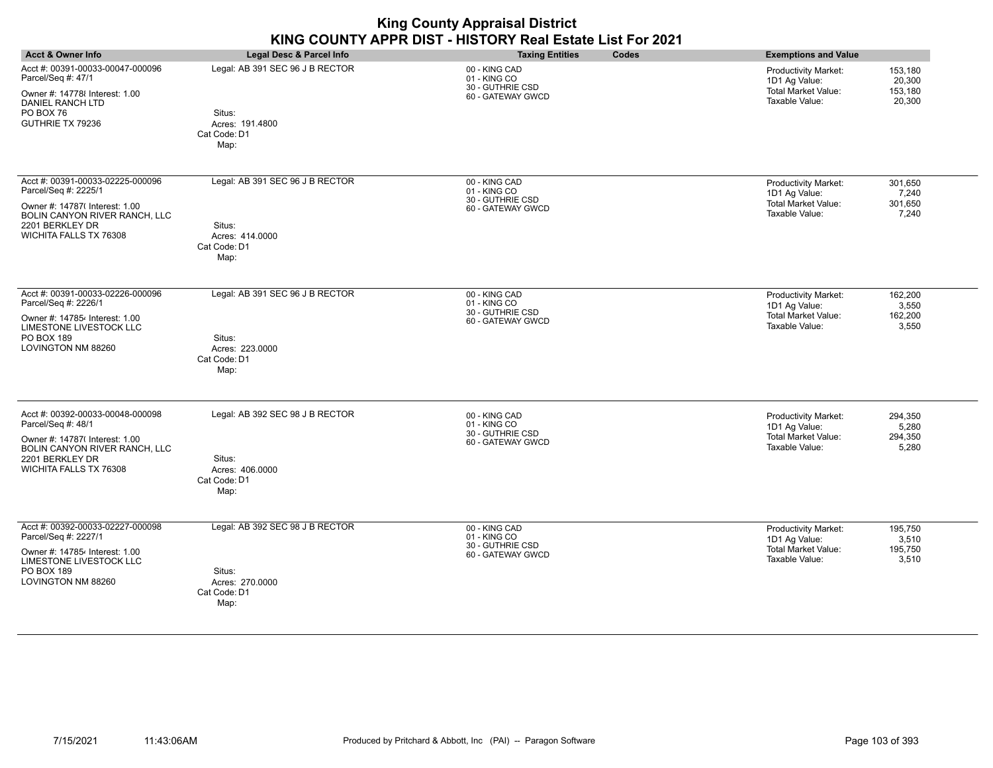| <b>King County Appraisal District</b><br>KING COUNTY APPR DIST - HISTORY Real Estate List For 2021                           |                                                   |                                                                        |                                                                                                                                 |  |
|------------------------------------------------------------------------------------------------------------------------------|---------------------------------------------------|------------------------------------------------------------------------|---------------------------------------------------------------------------------------------------------------------------------|--|
| <b>Acct &amp; Owner Info</b>                                                                                                 | Legal Desc & Parcel Info                          | <b>Taxing Entities</b><br>Codes                                        | <b>Exemptions and Value</b>                                                                                                     |  |
| Acct #: 00391-00033-00047-000096<br>Parcel/Seq #: 47/1<br>Owner #: 14778 Interest: 1.00<br><b>DANIEL RANCH LTD</b>           | Legal: AB 391 SEC 96 J B RECTOR                   | 00 - KING CAD<br>01 - KING CO<br>30 - GUTHRIE CSD<br>60 - GATEWAY GWCD | Productivity Market:<br>153.180<br>1D1 Ag Value:<br>20,300<br><b>Total Market Value:</b><br>153,180<br>Taxable Value:<br>20,300 |  |
| PO BOX 76<br>GUTHRIE TX 79236                                                                                                | Situs:<br>Acres: 191.4800<br>Cat Code: D1<br>Map: |                                                                        |                                                                                                                                 |  |
| Acct #: 00391-00033-02225-000096<br>Parcel/Seq #: 2225/1                                                                     | Legal: AB 391 SEC 96 J B RECTOR                   | 00 - KING CAD<br>01 - KING CO<br>30 - GUTHRIE CSD                      | Productivity Market:<br>301,650<br>1D1 Ag Value:<br>7,240                                                                       |  |
| Owner #: 14787(Interest: 1.00<br>BOLIN CANYON RIVER RANCH, LLC<br>2201 BERKLEY DR<br>WICHITA FALLS TX 76308                  | Situs:<br>Acres: 414,0000<br>Cat Code: D1<br>Map: | 60 - GATEWAY GWCD                                                      | Total Market Value:<br>301,650<br>Taxable Value:<br>7.240                                                                       |  |
| Acct #: 00391-00033-02226-000096<br>Parcel/Seq #: 2226/1<br>Owner #: 147854 Interest: 1.00<br><b>LIMESTONE LIVESTOCK LLC</b> | Legal: AB 391 SEC 96 J B RECTOR                   | 00 - KING CAD<br>01 - KING CO<br>30 - GUTHRIE CSD<br>60 - GATEWAY GWCD | Productivity Market:<br>162,200<br>1D1 Ag Value:<br>3,550<br><b>Total Market Value:</b><br>162,200<br>Taxable Value:<br>3,550   |  |
| PO BOX 189<br>LOVINGTON NM 88260                                                                                             | Situs:<br>Acres: 223.0000<br>Cat Code: D1<br>Map: |                                                                        |                                                                                                                                 |  |
| Acct #: 00392-00033-00048-000098<br>Parcel/Seq #: 48/1                                                                       | Legal: AB 392 SEC 98 J B RECTOR                   | 00 - KING CAD<br>01 - KING CO<br>30 - GUTHRIE CSD                      | Productivity Market:<br>294.350<br>1D1 Ag Value:<br>5.280                                                                       |  |
| Owner #: 14787( Interest: 1.00<br>BOLIN CANYON RIVER RANCH, LLC<br>2201 BERKLEY DR<br>WICHITA FALLS TX 76308                 | Situs:<br>Acres: 406,0000<br>Cat Code: D1<br>Map: | 60 - GATEWAY GWCD                                                      | <b>Total Market Value:</b><br>294,350<br>5,280<br>Taxable Value:                                                                |  |

| Acct #: 00392-00033-02227-000098<br>Parcel/Seq #: 2227/1                                      | Legal: AB 392 SEC 98 J B RECTOR                   | 00 - KING CAD<br>01 - KING CO         | <b>Productivity Market:</b><br>1D1 Ag Value: | 195,750<br>3,510 |  |
|-----------------------------------------------------------------------------------------------|---------------------------------------------------|---------------------------------------|----------------------------------------------|------------------|--|
| Owner #: 147854 Interest: 1.00<br>LIMESTONE LIVESTOCK LLC<br>PO BOX 189<br>LOVINGTON NM 88260 | Situs:<br>Acres: 270,0000<br>Cat Code: D1<br>Map: | 30 - GUTHRIE CSD<br>60 - GATEWAY GWCD | Total Market Value:<br>Taxable Value:        | 195,750<br>3,510 |  |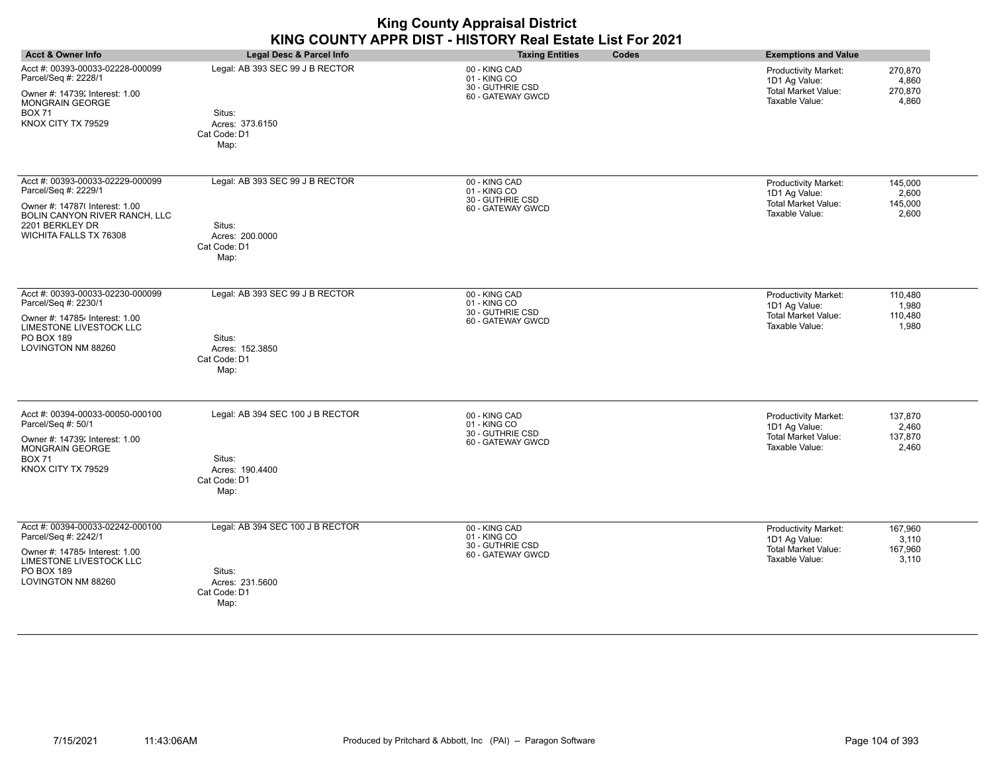| <b>Acct &amp; Owner Info</b>                                                                                                                                             | Legal Desc & Parcel Info                                                              | <b>Taxing Entities</b><br>Codes                                        | <b>Exemptions and Value</b>                                                                                                          |
|--------------------------------------------------------------------------------------------------------------------------------------------------------------------------|---------------------------------------------------------------------------------------|------------------------------------------------------------------------|--------------------------------------------------------------------------------------------------------------------------------------|
| Acct #: 00393-00033-02228-000099<br>Parcel/Seq #: 2228/1<br>Owner #: 14739; Interest: 1.00<br>MONGRAIN GEORGE<br><b>BOX 71</b><br>KNOX CITY TX 79529                     | Legal: AB 393 SEC 99 J B RECTOR<br>Situs:<br>Acres: 373.6150<br>Cat Code: D1<br>Map:  | 00 - KING CAD<br>01 - KING CO<br>30 - GUTHRIE CSD<br>60 - GATEWAY GWCD | 270,870<br><b>Productivity Market:</b><br>1D1 Ag Value:<br>4,860<br><b>Total Market Value:</b><br>270,870<br>Taxable Value:<br>4,860 |
| Acct #: 00393-00033-02229-000099<br>Parcel/Seq #: 2229/1<br>Owner #: 14787( Interest: 1.00<br>BOLIN CANYON RIVER RANCH, LLC<br>2201 BERKLEY DR<br>WICHITA FALLS TX 76308 | Legal: AB 393 SEC 99 J B RECTOR<br>Situs:<br>Acres: 200.0000<br>Cat Code: D1<br>Map:  | 00 - KING CAD<br>01 - KING CO<br>30 - GUTHRIE CSD<br>60 - GATEWAY GWCD | 145,000<br>Productivity Market:<br>1D1 Ag Value:<br>2,600<br><b>Total Market Value:</b><br>145,000<br>2,600<br>Taxable Value:        |
| Acct #: 00393-00033-02230-000099<br>Parcel/Seq #: 2230/1<br>Owner #: 147854 Interest: 1.00<br>LIMESTONE LIVESTOCK LLC<br>PO BOX 189<br>LOVINGTON NM 88260                | Legal: AB 393 SEC 99 J B RECTOR<br>Situs:<br>Acres: 152.3850<br>Cat Code: D1<br>Map:  | 00 - KING CAD<br>01 - KING CO<br>30 - GUTHRIE CSD<br>60 - GATEWAY GWCD | 110,480<br><b>Productivity Market:</b><br>1D1 Ag Value:<br>1,980<br><b>Total Market Value:</b><br>110,480<br>Taxable Value:<br>1,980 |
| Acct #: 00394-00033-00050-000100<br>Parcel/Seq #: 50/1<br>Owner #: 14739; Interest: 1.00<br><b>MONGRAIN GEORGE</b><br><b>BOX 71</b><br>KNOX CITY TX 79529                | Legal: AB 394 SEC 100 J B RECTOR<br>Situs:<br>Acres: 190.4400<br>Cat Code: D1<br>Map: | 00 - KING CAD<br>01 - KING CO<br>30 - GUTHRIE CSD<br>60 - GATEWAY GWCD | Productivity Market:<br>137,870<br>2,460<br>1D1 Ag Value:<br><b>Total Market Value:</b><br>137,870<br>Taxable Value:<br>2,460        |
| Acct #: 00394-00033-02242-000100<br>Parcel/Seq #: 2242/1<br>Owner #: 147854 Interest: 1.00<br>LIMESTONE LIVESTOCK LLC<br>PO BOX 189<br>LOVINGTON NM 88260                | Legal: AB 394 SEC 100 J B RECTOR<br>Situs:<br>Acres: 231.5600<br>Cat Code: D1<br>Map: | 00 - KING CAD<br>01 - KING CO<br>30 - GUTHRIE CSD<br>60 - GATEWAY GWCD | <b>Productivity Market:</b><br>167,960<br>1D1 Ag Value:<br>3,110<br><b>Total Market Value:</b><br>167,960<br>Taxable Value:<br>3,110 |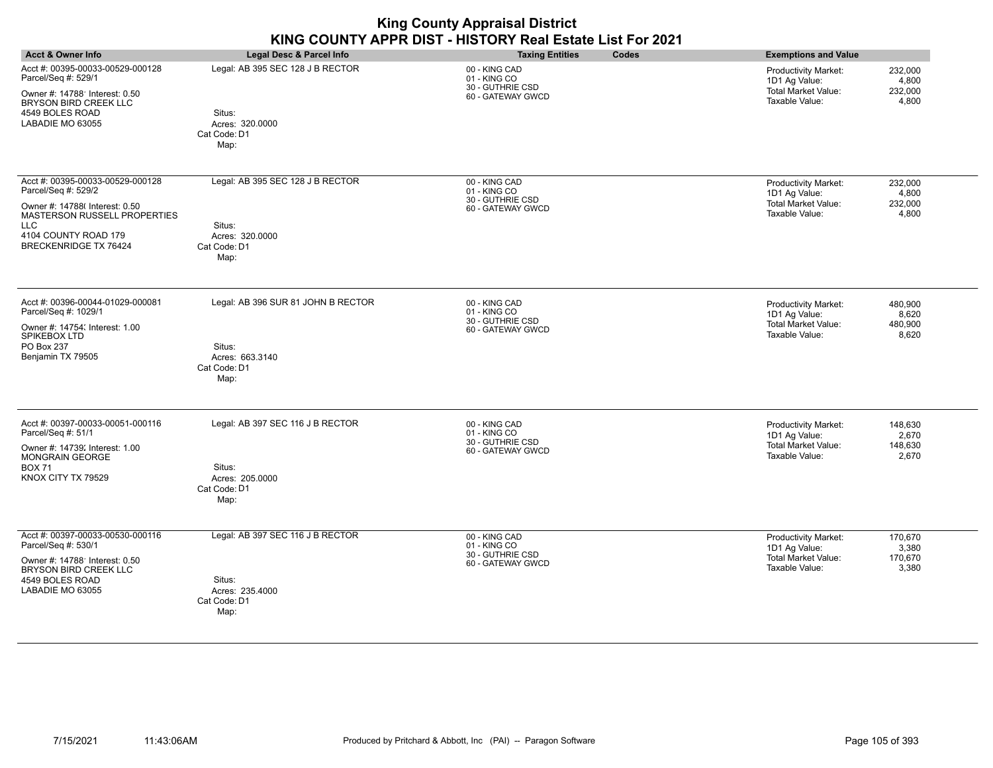| <b>King County Appraisal District</b>                     |  |
|-----------------------------------------------------------|--|
| KING COUNTY APPR DIST - HISTORY Real Estate List For 2021 |  |

| <b>Acct &amp; Owner Info</b>                                                                                                                                                                    | Legal Desc & Parcel Info                                                                | <b>Taxing Entities</b><br>Codes                                        | <b>Exemptions and Value</b>                                                                                                          |
|-------------------------------------------------------------------------------------------------------------------------------------------------------------------------------------------------|-----------------------------------------------------------------------------------------|------------------------------------------------------------------------|--------------------------------------------------------------------------------------------------------------------------------------|
| Acct #: 00395-00033-00529-000128<br>Parcel/Seq #: 529/1<br>Owner #: 14788' Interest: 0.50<br><b>BRYSON BIRD CREEK LLC</b><br>4549 BOLES ROAD<br>LABADIE MO 63055                                | Legal: AB 395 SEC 128 J B RECTOR<br>Situs:<br>Acres: 320.0000<br>Cat Code: D1<br>Map:   | 00 - KING CAD<br>01 - KING CO<br>30 - GUTHRIE CSD<br>60 - GATEWAY GWCD | 232,000<br><b>Productivity Market:</b><br>1D1 Ag Value:<br>4,800<br><b>Total Market Value:</b><br>232,000<br>Taxable Value:<br>4,800 |
| Acct #: 00395-00033-00529-000128<br>Parcel/Seq #: 529/2<br>Owner #: 14788( Interest: 0.50<br><b>MASTERSON RUSSELL PROPERTIES</b><br>LLC<br>4104 COUNTY ROAD 179<br><b>BRECKENRIDGE TX 76424</b> | Legal: AB 395 SEC 128 J B RECTOR<br>Situs:<br>Acres: 320.0000<br>Cat Code: D1<br>Map:   | 00 - KING CAD<br>01 - KING CO<br>30 - GUTHRIE CSD<br>60 - GATEWAY GWCD | 232,000<br><b>Productivity Market:</b><br>1D1 Ag Value:<br>4,800<br><b>Total Market Value:</b><br>232,000<br>Taxable Value:<br>4,800 |
| Acct #: 00396-00044-01029-000081<br>Parcel/Seq #: 1029/1<br>Owner #: 14754; Interest: 1.00<br>SPIKEBOX LTD<br>PO Box 237<br>Benjamin TX 79505                                                   | Legal: AB 396 SUR 81 JOHN B RECTOR<br>Situs:<br>Acres: 663.3140<br>Cat Code: D1<br>Map: | 00 - KING CAD<br>01 - KING CO<br>30 - GUTHRIE CSD<br>60 - GATEWAY GWCD | Productivity Market:<br>480,900<br>1D1 Ag Value:<br>8,620<br><b>Total Market Value:</b><br>480,900<br>Taxable Value:<br>8,620        |
| Acct #: 00397-00033-00051-000116<br>Parcel/Seq #: 51/1<br>Owner #: 14739; Interest: 1.00<br><b>MONGRAIN GEORGE</b><br><b>BOX 71</b><br>KNOX CITY TX 79529                                       | Legal: AB 397 SEC 116 J B RECTOR<br>Situs:<br>Acres: 205.0000<br>Cat Code: D1<br>Map:   | 00 - KING CAD<br>01 - KING CO<br>30 - GUTHRIE CSD<br>60 - GATEWAY GWCD | Productivity Market:<br>148,630<br>1D1 Ag Value:<br>2,670<br><b>Total Market Value:</b><br>148,630<br>Taxable Value:<br>2,670        |
| Acct #: 00397-00033-00530-000116<br>Parcel/Seq #: 530/1<br>Owner #: 14788' Interest: 0.50<br>BRYSON BIRD CREEK LLC<br>4549 BOLES ROAD<br>LABADIE MO 63055                                       | Legal: AB 397 SEC 116 J B RECTOR<br>Situs:<br>Acres: 235.4000<br>Cat Code: D1<br>Map:   | 00 - KING CAD<br>01 - KING CO<br>30 - GUTHRIE CSD<br>60 - GATEWAY GWCD | 170,670<br><b>Productivity Market:</b><br>1D1 Ag Value:<br>3,380<br><b>Total Market Value:</b><br>170,670<br>Taxable Value:<br>3,380 |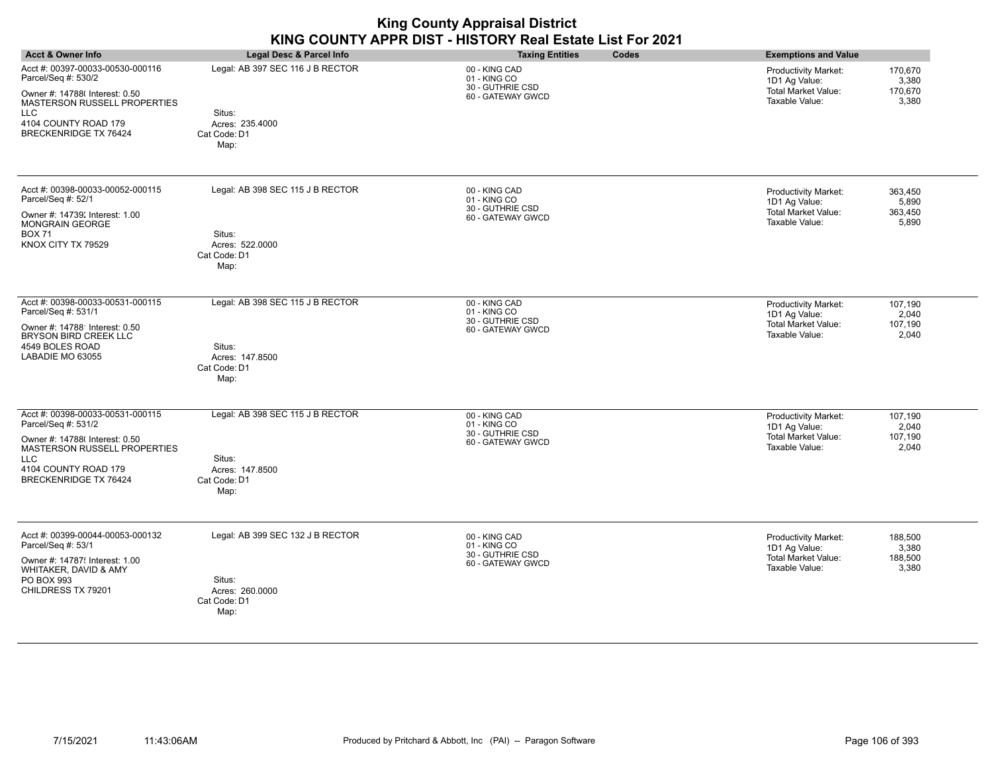| <b>Acct &amp; Owner Info</b>                                                                                                                                                                    | <b>Legal Desc &amp; Parcel Info</b>                                                   | <b>Taxing Entities</b><br>Codes                                        | <b>Exemptions and Value</b>                                                                                                          |
|-------------------------------------------------------------------------------------------------------------------------------------------------------------------------------------------------|---------------------------------------------------------------------------------------|------------------------------------------------------------------------|--------------------------------------------------------------------------------------------------------------------------------------|
| Acct #: 00397-00033-00530-000116<br>Parcel/Seq #: 530/2<br>Owner #: 14788( Interest: 0.50<br><b>MASTERSON RUSSELL PROPERTIES</b><br>LLC<br>4104 COUNTY ROAD 179<br><b>BRECKENRIDGE TX 76424</b> | Legal: AB 397 SEC 116 J B RECTOR<br>Situs:<br>Acres: 235.4000<br>Cat Code: D1<br>Map: | 00 - KING CAD<br>01 - KING CO<br>30 - GUTHRIE CSD<br>60 - GATEWAY GWCD | 170,670<br><b>Productivity Market:</b><br>1D1 Ag Value:<br>3,380<br><b>Total Market Value:</b><br>170,670<br>Taxable Value:<br>3,380 |
| Acct #: 00398-00033-00052-000115<br>Parcel/Seq #: 52/1<br>Owner #: 14739; Interest: 1.00<br><b>MONGRAIN GEORGE</b><br><b>BOX 71</b><br>KNOX CITY TX 79529                                       | Legal: AB 398 SEC 115 J B RECTOR<br>Situs:<br>Acres: 522.0000<br>Cat Code: D1<br>Map: | 00 - KING CAD<br>01 - KING CO<br>30 - GUTHRIE CSD<br>60 - GATEWAY GWCD | 363,450<br>Productivity Market:<br>1D1 Ag Value:<br>5,890<br><b>Total Market Value:</b><br>363,450<br>Taxable Value:<br>5,890        |
| Acct #: 00398-00033-00531-000115<br>Parcel/Seq #: 531/1<br>Owner #: 14788' Interest: 0.50<br>BRYSON BIRD CREEK LLC<br>4549 BOLES ROAD<br>LABADIE MO 63055                                       | Legal: AB 398 SEC 115 J B RECTOR<br>Situs:<br>Acres: 147.8500<br>Cat Code: D1<br>Map: | 00 - KING CAD<br>01 - KING CO<br>30 - GUTHRIE CSD<br>60 - GATEWAY GWCD | <b>Productivity Market:</b><br>107,190<br>1D1 Ag Value:<br>2,040<br><b>Total Market Value:</b><br>107,190<br>Taxable Value:<br>2,040 |
| Acct #: 00398-00033-00531-000115<br>Parcel/Seq #: 531/2<br>Owner #: 14788( Interest: 0.50<br><b>MASTERSON RUSSELL PROPERTIES</b><br>LLC<br>4104 COUNTY ROAD 179<br><b>BRECKENRIDGE TX 76424</b> | Legal: AB 398 SEC 115 J B RECTOR<br>Situs:<br>Acres: 147.8500<br>Cat Code: D1<br>Map: | 00 - KING CAD<br>01 - KING CO<br>30 - GUTHRIE CSD<br>60 - GATEWAY GWCD | <b>Productivity Market:</b><br>107,190<br>2,040<br>1D1 Ag Value:<br><b>Total Market Value:</b><br>107,190<br>Taxable Value:<br>2,040 |
| Acct #: 00399-00044-00053-000132<br>Parcel/Seq #: 53/1<br>Owner #: 14787! Interest: 1.00<br>WHITAKER, DAVID & AMY<br>PO BOX 993<br>CHILDRESS TX 79201                                           | Legal: AB 399 SEC 132 J B RECTOR<br>Situs:<br>Acres: 260.0000<br>Cat Code: D1<br>Map: | 00 - KING CAD<br>01 - KING CO<br>30 - GUTHRIE CSD<br>60 - GATEWAY GWCD | Productivity Market:<br>188,500<br>1D1 Ag Value:<br>3,380<br><b>Total Market Value:</b><br>188,500<br>Taxable Value:<br>3,380        |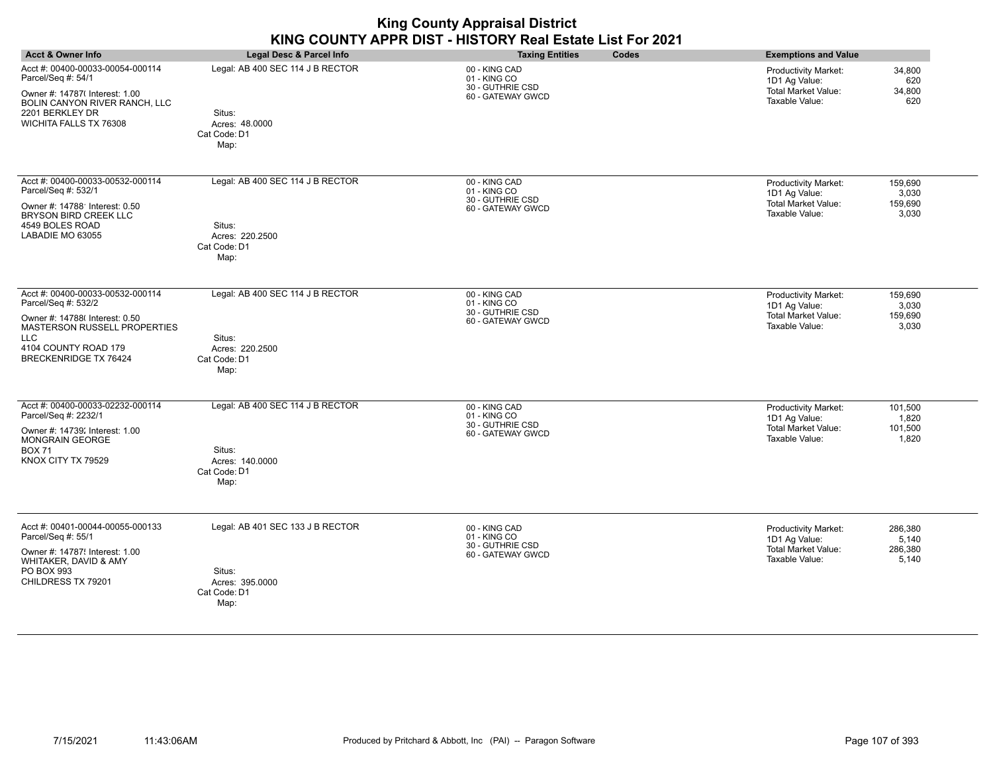|                                                                                                                          |                                                   | <b>King County Appraisal District</b><br>KING COUNTY APPR DIST - HISTORY Real Estate List For 2021 |                                                                                                                                |
|--------------------------------------------------------------------------------------------------------------------------|---------------------------------------------------|----------------------------------------------------------------------------------------------------|--------------------------------------------------------------------------------------------------------------------------------|
| <b>Acct &amp; Owner Info</b>                                                                                             | Legal Desc & Parcel Info                          | <b>Taxing Entities</b><br>Codes                                                                    | <b>Exemptions and Value</b>                                                                                                    |
| Acct #: 00400-00033-00054-000114<br>Parcel/Seq #: 54/1<br>Owner #: 14787(Interest: 1.00<br>BOLIN CANYON RIVER RANCH, LLC | Legal: AB 400 SEC 114 J B RECTOR                  | 00 - KING CAD<br>01 - KING CO<br>30 - GUTHRIE CSD<br>60 - GATEWAY GWCD                             | 34,800<br><b>Productivity Market:</b><br>1D1 Ag Value:<br>620<br><b>Total Market Value:</b><br>34,800<br>Taxable Value:<br>620 |
| 2201 BERKLEY DR<br>WICHITA FALLS TX 76308                                                                                | Situs:<br>Acres: 48,0000<br>Cat Code: D1<br>Map:  |                                                                                                    |                                                                                                                                |
| Acct #: 00400-00033-00532-000114<br>Parcel/Seq #: 532/1                                                                  | Legal: AB 400 SEC 114 J B RECTOR                  | 00 - KING CAD<br>01 - KING CO                                                                      | 159.690<br><b>Productivity Market:</b><br>1D1 Ag Value:<br>3,030                                                               |
| Owner #: 14788' Interest: 0.50<br>BRYSON BIRD CREEK LLC                                                                  |                                                   | 30 - GUTHRIE CSD<br>60 - GATEWAY GWCD                                                              | <b>Total Market Value:</b><br>159,690<br>Taxable Value:<br>3,030                                                               |
| 4549 BOLES ROAD<br>LABADIE MO 63055                                                                                      | Situs:<br>Acres: 220.2500<br>Cat Code: D1<br>Map: |                                                                                                    |                                                                                                                                |
| Acct #: 00400-00033-00532-000114<br>Parcel/Seq #: 532/2                                                                  | Legal: AB 400 SEC 114 J B RECTOR                  | 00 - KING CAD<br>01 - KING CO                                                                      | Productivity Market:<br>159,690<br>1D1 Ag Value:<br>3,030                                                                      |
| Owner #: 14788( Interest: 0.50<br>MASTERSON RUSSELL PROPERTIES                                                           | Situs:                                            | 30 - GUTHRIE CSD<br>60 - GATEWAY GWCD                                                              | Total Market Value:<br>159,690<br>Taxable Value:<br>3,030                                                                      |
| <b>LLC</b><br>4104 COUNTY ROAD 179<br><b>BRECKENRIDGE TX 76424</b>                                                       | Acres: 220.2500<br>Cat Code: D1<br>Map:           |                                                                                                    |                                                                                                                                |
| Acct #: 00400-00033-02232-000114<br>Parcel/Seq #: 2232/1                                                                 | Legal: AB 400 SEC 114 J B RECTOR                  | 00 - KING CAD<br>01 - KING CO                                                                      | <b>Productivity Market:</b><br>101,500<br>1D1 Ag Value:<br>1,820                                                               |
| Owner #: 14739; Interest: 1.00<br><b>MONGRAIN GEORGE</b>                                                                 |                                                   | 30 - GUTHRIE CSD<br>60 - GATEWAY GWCD                                                              | <b>Total Market Value:</b><br>101,500<br>Taxable Value:<br>1,820                                                               |
| <b>BOX 71</b><br>KNOX CITY TX 79529                                                                                      | Situs:<br>Acres: 140,0000<br>Cat Code: D1<br>Map: |                                                                                                    |                                                                                                                                |
| Acct #: 00401-00044-00055-000133<br>Parcel/Seq #: 55/1                                                                   | Legal: AB 401 SEC 133 J B RECTOR                  | 00 - KING CAD<br>01 - KING CO                                                                      | Productivity Market:<br>286,380<br>1D1 Ag Value:<br>5,140                                                                      |
| Owner #: 14787! Interest: 1.00<br>WHITAKER, DAVID & AMY                                                                  |                                                   | 30 - GUTHRIE CSD<br>60 - GATEWAY GWCD                                                              | <b>Total Market Value:</b><br>286,380<br>Taxable Value:<br>5,140                                                               |
| PO BOX 993<br>CHILDRESS TX 79201                                                                                         | Situs:<br>Acres: 395,0000<br>Cat Code: D1<br>Map: |                                                                                                    |                                                                                                                                |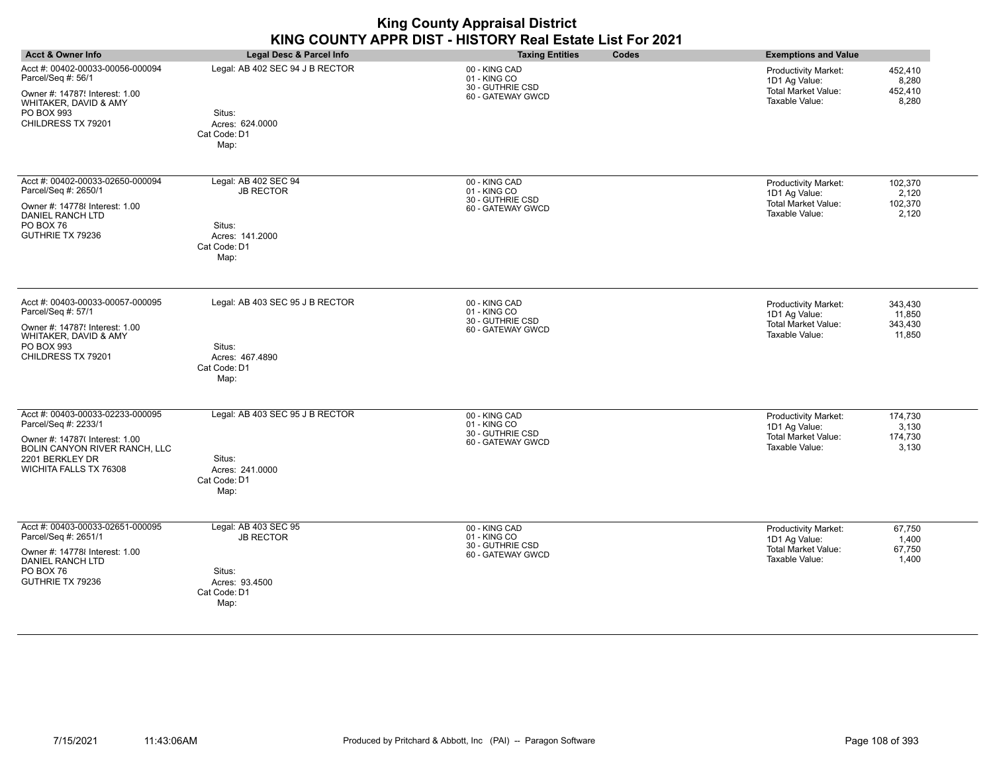| <b>Acct &amp; Owner Info</b>                                                                                                                                             | Legal Desc & Parcel Info                                                                      | <b>Taxing Entities</b><br>Codes                                        | <b>Exemptions and Value</b>                                                                                                          |
|--------------------------------------------------------------------------------------------------------------------------------------------------------------------------|-----------------------------------------------------------------------------------------------|------------------------------------------------------------------------|--------------------------------------------------------------------------------------------------------------------------------------|
| Acct #: 00402-00033-00056-000094<br>Parcel/Seq #: 56/1<br>Owner #: 14787! Interest: 1.00<br>WHITAKER, DAVID & AMY<br>PO BOX 993<br>CHILDRESS TX 79201                    | Legal: AB 402 SEC 94 J B RECTOR<br>Situs:<br>Acres: 624.0000<br>Cat Code: D1<br>Map:          | 00 - KING CAD<br>01 - KING CO<br>30 - GUTHRIE CSD<br>60 - GATEWAY GWCD | 452,410<br><b>Productivity Market:</b><br>1D1 Ag Value:<br>8,280<br><b>Total Market Value:</b><br>452,410<br>Taxable Value:<br>8,280 |
| Acct #: 00402-00033-02650-000094<br>Parcel/Seq #: 2650/1<br>Owner #: 14778 {Interest: 1.00<br><b>DANIEL RANCH LTD</b><br>PO BOX 76<br>GUTHRIE TX 79236                   | Legal: AB 402 SEC 94<br><b>JB RECTOR</b><br>Situs:<br>Acres: 141.2000<br>Cat Code: D1<br>Map: | 00 - KING CAD<br>01 - KING CO<br>30 - GUTHRIE CSD<br>60 - GATEWAY GWCD | 102,370<br><b>Productivity Market:</b><br>1D1 Ag Value:<br>2,120<br><b>Total Market Value:</b><br>102,370<br>Taxable Value:<br>2,120 |
| Acct #: 00403-00033-00057-000095<br>Parcel/Seq #: 57/1<br>Owner #: 14787! Interest: 1.00<br>WHITAKER, DAVID & AMY<br>PO BOX 993<br>CHILDRESS TX 79201                    | Legal: AB 403 SEC 95 J B RECTOR<br>Situs:<br>Acres: 467.4890<br>Cat Code: D1<br>Map:          | 00 - KING CAD<br>01 - KING CO<br>30 - GUTHRIE CSD<br>60 - GATEWAY GWCD | Productivity Market:<br>343,430<br>1D1 Ag Value:<br>11,850<br>Total Market Value:<br>343,430<br>Taxable Value:<br>11,850             |
| Acct #: 00403-00033-02233-000095<br>Parcel/Seq #: 2233/1<br>Owner #: 14787( Interest: 1.00<br>BOLIN CANYON RIVER RANCH, LLC<br>2201 BERKLEY DR<br>WICHITA FALLS TX 76308 | Legal: AB 403 SEC 95 J B RECTOR<br>Situs:<br>Acres: 241.0000<br>Cat Code: D1<br>Map:          | 00 - KING CAD<br>01 - KING CO<br>30 - GUTHRIE CSD<br>60 - GATEWAY GWCD | <b>Productivity Market:</b><br>174,730<br>3,130<br>1D1 Ag Value:<br><b>Total Market Value:</b><br>174,730<br>Taxable Value:<br>3,130 |
| Acct #: 00403-00033-02651-000095<br>Parcel/Seq #: 2651/1<br>Owner #: 14778 {Interest: 1.00<br>DANIEL RANCH LTD<br>PO BOX 76<br>GUTHRIE TX 79236                          | Legal: AB 403 SEC 95<br><b>JB RECTOR</b><br>Situs:<br>Acres: 93.4500<br>Cat Code: D1<br>Map:  | 00 - KING CAD<br>01 - KING CO<br>30 - GUTHRIE CSD<br>60 - GATEWAY GWCD | Productivity Market:<br>67,750<br>1D1 Ag Value:<br>1,400<br><b>Total Market Value:</b><br>67,750<br>Taxable Value:<br>1,400          |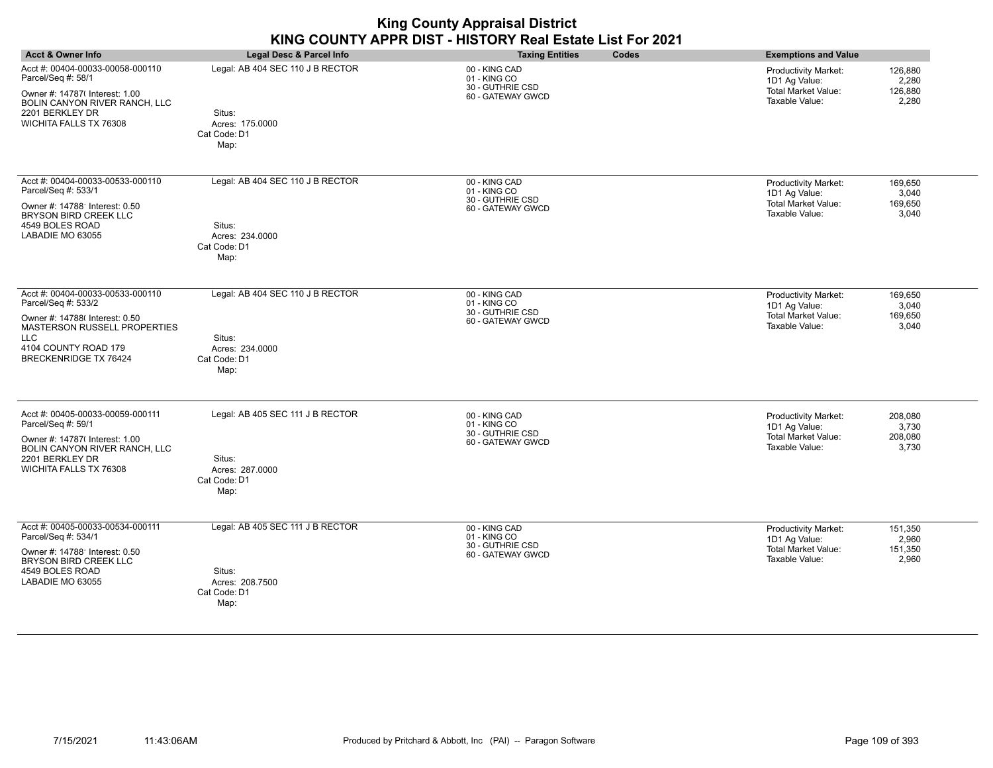|                                                                                                                                                                  |                                                               | <b>King County Appraisal District</b><br>KING COUNTY APPR DIST - HISTORY Real Estate List For 2021 |                                                                                                                               |
|------------------------------------------------------------------------------------------------------------------------------------------------------------------|---------------------------------------------------------------|----------------------------------------------------------------------------------------------------|-------------------------------------------------------------------------------------------------------------------------------|
| <b>Acct &amp; Owner Info</b>                                                                                                                                     | <b>Legal Desc &amp; Parcel Info</b>                           | <b>Taxing Entities</b><br>Codes                                                                    | <b>Exemptions and Value</b>                                                                                                   |
| Acct #: 00404-00033-00058-000110<br>Parcel/Seq #: 58/1<br>Owner #: 14787(Interest: 1.00<br>BOLIN CANYON RIVER RANCH, LLC<br>2201 BERKLEY DR                      | Legal: AB 404 SEC 110 J B RECTOR<br>Situs:                    | 00 - KING CAD<br>01 - KING CO<br>30 - GUTHRIE CSD<br>60 - GATEWAY GWCD                             | Productivity Market:<br>126,880<br>1D1 Ag Value:<br>2,280<br><b>Total Market Value:</b><br>126,880<br>Taxable Value:<br>2,280 |
| WICHITA FALLS TX 76308                                                                                                                                           | Acres: 175.0000<br>Cat Code: D1<br>Map:                       |                                                                                                    |                                                                                                                               |
| Acct #: 00404-00033-00533-000110<br>Parcel/Seq #: 533/1                                                                                                          | Legal: AB 404 SEC 110 J B RECTOR                              | 00 - KING CAD<br>01 - KING CO<br>30 - GUTHRIE CSD                                                  | Productivity Market:<br>169,650<br>1D1 Ag Value:<br>3,040                                                                     |
| Owner #: 14788' Interest: 0.50<br>BRYSON BIRD CREEK LLC<br>4549 BOLES ROAD<br>LABADIE MO 63055                                                                   | Situs:<br>Acres: 234.0000<br>Cat Code: D1<br>Map:             | 60 - GATEWAY GWCD                                                                                  | <b>Total Market Value:</b><br>169,650<br>Taxable Value:<br>3,040                                                              |
| Acct #: 00404-00033-00533-000110<br>Parcel/Seq #: 533/2<br>Owner #: 14788( Interest: 0.50<br>MASTERSON RUSSELL PROPERTIES<br>LLC<br>4104 COUNTY ROAD 179         | Legal: AB 404 SEC 110 J B RECTOR<br>Situs:<br>Acres: 234.0000 | 00 - KING CAD<br>01 - KING CO<br>30 - GUTHRIE CSD<br>60 - GATEWAY GWCD                             | Productivity Market:<br>169,650<br>1D1 Ag Value:<br>3,040<br>Total Market Value:<br>169,650<br>Taxable Value:<br>3,040        |
| <b>BRECKENRIDGE TX 76424</b>                                                                                                                                     | Cat Code: D1<br>Map:                                          |                                                                                                    |                                                                                                                               |
| Acct #: 00405-00033-00059-000111<br>Parcel/Seq #: 59/1<br>Owner #: 14787(Interest: 1.00                                                                          | Legal: AB 405 SEC 111 J B RECTOR                              | 00 - KING CAD<br>01 - KING CO<br>30 - GUTHRIE CSD<br>60 - GATEWAY GWCD                             | Productivity Market:<br>208.080<br>1D1 Ag Value:<br>3,730<br><b>Total Market Value:</b><br>208,080                            |
| <b>BOLIN CANYON RIVER RANCH. LLC</b><br>2201 BERKLEY DR<br>WICHITA FALLS TX 76308                                                                                | Situs:<br>Acres: 287.0000<br>Cat Code: D1<br>Map:             |                                                                                                    | Taxable Value:<br>3.730                                                                                                       |
| Acct #: 00405-00033-00534-000111<br>Parcel/Seq #: 534/1<br>Owner #: 14788' Interest: 0.50<br><b>BRYSON BIRD CREEK LLC</b><br>4549 BOLES ROAD<br>LABADIE MO 63055 | Legal: AB 405 SEC 111 J B RECTOR<br>Situs:                    | 00 - KING CAD<br>01 - KING CO<br>30 - GUTHRIE CSD<br>60 - GATEWAY GWCD                             | Productivity Market:<br>151,350<br>1D1 Ag Value:<br>2,960<br><b>Total Market Value:</b><br>151,350<br>2,960<br>Taxable Value: |
|                                                                                                                                                                  | Acres: 208.7500<br>Cat Code: D1<br>Map:                       |                                                                                                    |                                                                                                                               |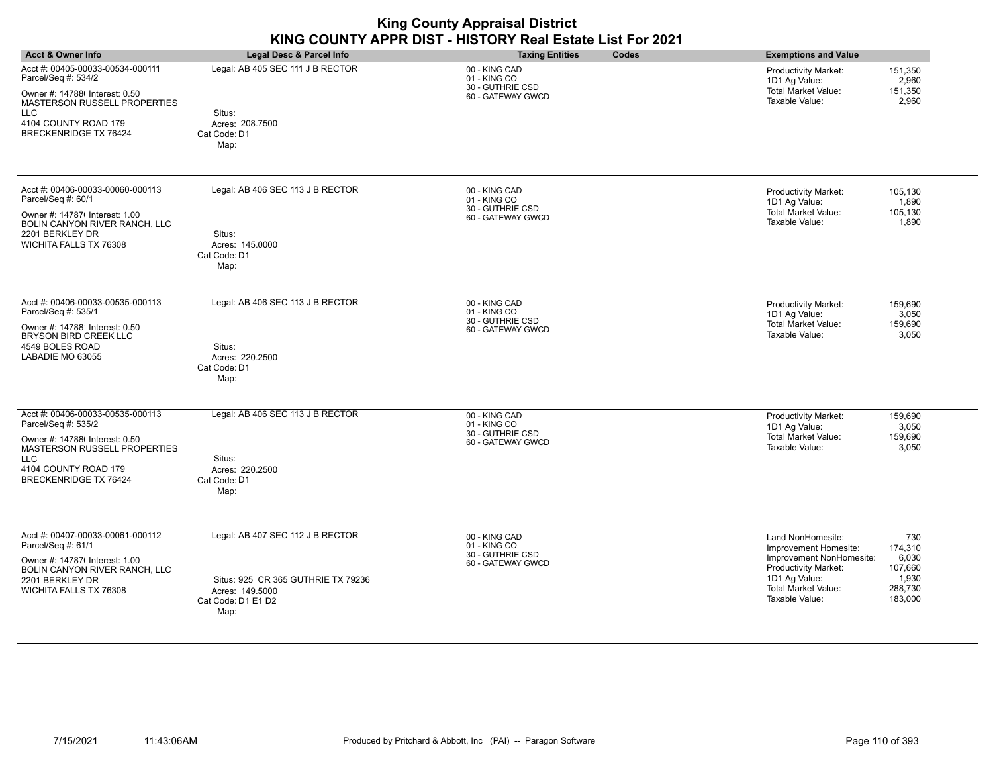| <b>Acct &amp; Owner Info</b>                                                                                                                                                                    | Legal Desc & Parcel Info                                                                                                | <b>Taxing Entities</b><br>Codes                                        | <b>Exemptions and Value</b>                                                                                                                                                                                                                 |
|-------------------------------------------------------------------------------------------------------------------------------------------------------------------------------------------------|-------------------------------------------------------------------------------------------------------------------------|------------------------------------------------------------------------|---------------------------------------------------------------------------------------------------------------------------------------------------------------------------------------------------------------------------------------------|
| Acct #: 00405-00033-00534-000111<br>Parcel/Seq #: 534/2<br>Owner #: 14788( Interest: 0.50<br>MASTERSON RUSSELL PROPERTIES<br><b>LLC</b><br>4104 COUNTY ROAD 179<br><b>BRECKENRIDGE TX 76424</b> | Legal: AB 405 SEC 111 J B RECTOR<br>Situs:<br>Acres: 208.7500<br>Cat Code: D1<br>Map:                                   | 00 - KING CAD<br>01 - KING CO<br>30 - GUTHRIE CSD<br>60 - GATEWAY GWCD | 151,350<br><b>Productivity Market:</b><br>2,960<br>1D1 Ag Value:<br><b>Total Market Value:</b><br>151,350<br>Taxable Value:<br>2,960                                                                                                        |
| Acct #: 00406-00033-00060-000113<br>Parcel/Seq #: 60/1<br>Owner #: 14787( Interest: 1.00<br>BOLIN CANYON RIVER RANCH, LLC<br>2201 BERKLEY DR<br>WICHITA FALLS TX 76308                          | Legal: AB 406 SEC 113 J B RECTOR<br>Situs:<br>Acres: 145.0000<br>Cat Code: D1<br>Map:                                   | 00 - KING CAD<br>01 - KING CO<br>30 - GUTHRIE CSD<br>60 - GATEWAY GWCD | 105,130<br><b>Productivity Market:</b><br>1D1 Ag Value:<br>1,890<br><b>Total Market Value:</b><br>105,130<br>Taxable Value:<br>1,890                                                                                                        |
| Acct #: 00406-00033-00535-000113<br>Parcel/Seq #: 535/1<br>Owner #: 14788' Interest: 0.50<br><b>BRYSON BIRD CREEK LLC</b><br>4549 BOLES ROAD<br>LABADIE MO 63055                                | Legal: AB 406 SEC 113 J B RECTOR<br>Situs:<br>Acres: 220.2500<br>Cat Code: D1<br>Map:                                   | 00 - KING CAD<br>01 - KING CO<br>30 - GUTHRIE CSD<br>60 - GATEWAY GWCD | 159,690<br><b>Productivity Market:</b><br>1D1 Ag Value:<br>3,050<br>159,690<br><b>Total Market Value:</b><br>Taxable Value:<br>3,050                                                                                                        |
| Acct #: 00406-00033-00535-000113<br>Parcel/Seq #: 535/2<br>Owner #: 14788( Interest: 0.50<br>MASTERSON RUSSELL PROPERTIES<br>LLC<br>4104 COUNTY ROAD 179<br><b>BRECKENRIDGE TX 76424</b>        | Legal: AB 406 SEC 113 J B RECTOR<br>Situs:<br>Acres: 220.2500<br>Cat Code: D1<br>Map:                                   | 00 - KING CAD<br>01 - KING CO<br>30 - GUTHRIE CSD<br>60 - GATEWAY GWCD | <b>Productivity Market:</b><br>159,690<br>3,050<br>1D1 Ag Value:<br><b>Total Market Value:</b><br>159,690<br>Taxable Value:<br>3,050                                                                                                        |
| Acct #: 00407-00033-00061-000112<br>Parcel/Seq #: 61/1<br>Owner #: 14787( Interest: 1.00<br>BOLIN CANYON RIVER RANCH, LLC<br>2201 BERKLEY DR<br>WICHITA FALLS TX 76308                          | Legal: AB 407 SEC 112 J B RECTOR<br>Situs: 925 CR 365 GUTHRIE TX 79236<br>Acres: 149.5000<br>Cat Code: D1 E1 D2<br>Map: | 00 - KING CAD<br>01 - KING CO<br>30 - GUTHRIE CSD<br>60 - GATEWAY GWCD | Land NonHomesite:<br>730<br>174,310<br>Improvement Homesite:<br>6,030<br>Improvement NonHomesite:<br><b>Productivity Market:</b><br>107,660<br>1,930<br>1D1 Ag Value:<br><b>Total Market Value:</b><br>288,730<br>Taxable Value:<br>183,000 |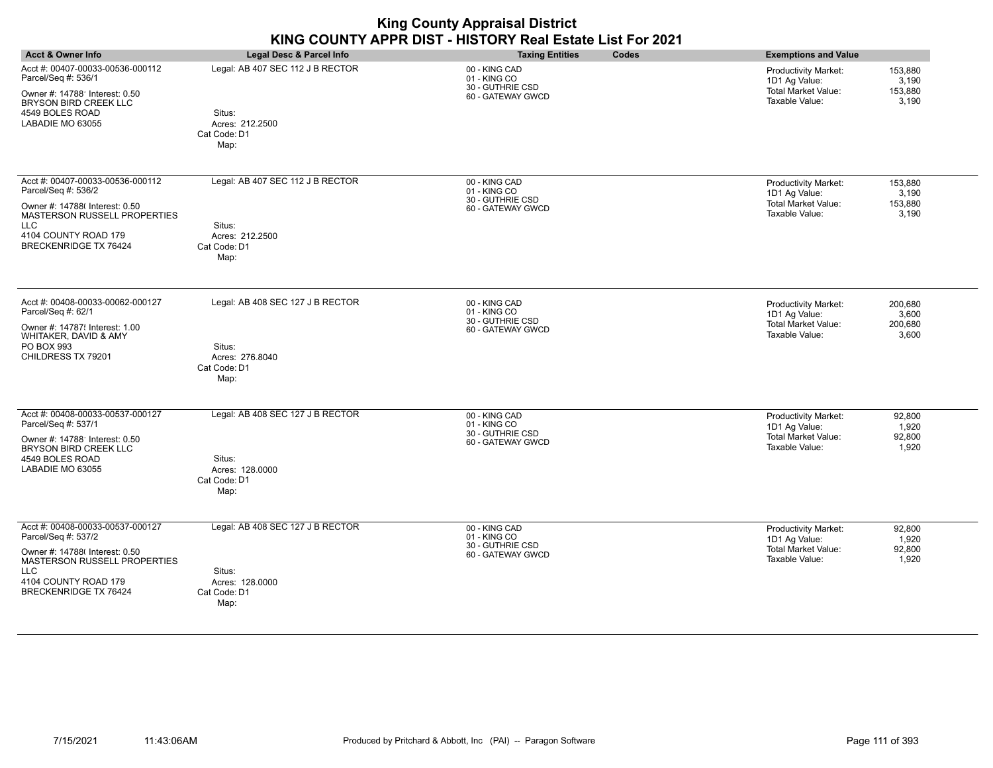| <b>Acct &amp; Owner Info</b>                                                                                                                                                             | Legal Desc & Parcel Info                                                              | <b>Taxing Entities</b><br>Codes                                        | <b>Exemptions and Value</b>                                                                                                          |
|------------------------------------------------------------------------------------------------------------------------------------------------------------------------------------------|---------------------------------------------------------------------------------------|------------------------------------------------------------------------|--------------------------------------------------------------------------------------------------------------------------------------|
| Acct #: 00407-00033-00536-000112<br>Parcel/Seq #: 536/1<br>Owner #: 14788' Interest: 0.50<br><b>BRYSON BIRD CREEK LLC</b><br>4549 BOLES ROAD<br>LABADIE MO 63055                         | Legal: AB 407 SEC 112 J B RECTOR<br>Situs:<br>Acres: 212.2500<br>Cat Code: D1<br>Map: | 00 - KING CAD<br>01 - KING CO<br>30 - GUTHRIE CSD<br>60 - GATEWAY GWCD | 153,880<br><b>Productivity Market:</b><br>1D1 Ag Value:<br>3,190<br><b>Total Market Value:</b><br>153,880<br>Taxable Value:<br>3,190 |
| Acct #: 00407-00033-00536-000112<br>Parcel/Seq #: 536/2<br>Owner #: 14788( Interest: 0.50<br>MASTERSON RUSSELL PROPERTIES<br>LLC<br>4104 COUNTY ROAD 179<br><b>BRECKENRIDGE TX 76424</b> | Legal: AB 407 SEC 112 J B RECTOR<br>Situs:<br>Acres: 212.2500<br>Cat Code: D1<br>Map: | 00 - KING CAD<br>01 - KING CO<br>30 - GUTHRIE CSD<br>60 - GATEWAY GWCD | Productivity Market:<br>153,880<br>1D1 Ag Value:<br>3,190<br><b>Total Market Value:</b><br>153,880<br>Taxable Value:<br>3,190        |
| Acct #: 00408-00033-00062-000127<br>Parcel/Seq #: 62/1<br>Owner #: 14787! Interest: 1.00<br>WHITAKER, DAVID & AMY<br>PO BOX 993<br>CHILDRESS TX 79201                                    | Legal: AB 408 SEC 127 J B RECTOR<br>Situs:<br>Acres: 276.8040<br>Cat Code: D1<br>Map: | 00 - KING CAD<br>01 - KING CO<br>30 - GUTHRIE CSD<br>60 - GATEWAY GWCD | <b>Productivity Market:</b><br>200,680<br>1D1 Ag Value:<br>3,600<br>Total Market Value:<br>200,680<br>Taxable Value:<br>3,600        |
| Acct #: 00408-00033-00537-000127<br>Parcel/Seq #: 537/1<br>Owner #: 14788' Interest: 0.50<br>BRYSON BIRD CREEK LLC<br>4549 BOLES ROAD<br>LABADIE MO 63055                                | Legal: AB 408 SEC 127 J B RECTOR<br>Situs:<br>Acres: 128,0000<br>Cat Code: D1<br>Map: | 00 - KING CAD<br>01 - KING CO<br>30 - GUTHRIE CSD<br>60 - GATEWAY GWCD | 92,800<br><b>Productivity Market:</b><br>1D1 Ag Value:<br>1,920<br><b>Total Market Value:</b><br>92,800<br>Taxable Value:<br>1,920   |
| Acct #: 00408-00033-00537-000127<br>Parcel/Seq #: 537/2<br>Owner #: 14788( Interest: 0.50<br>MASTERSON RUSSELL PROPERTIES<br>LLC<br>4104 COUNTY ROAD 179<br><b>BRECKENRIDGE TX 76424</b> | Legal: AB 408 SEC 127 J B RECTOR<br>Situs:<br>Acres: 128.0000<br>Cat Code: D1<br>Map: | 00 - KING CAD<br>01 - KING CO<br>30 - GUTHRIE CSD<br>60 - GATEWAY GWCD | <b>Productivity Market:</b><br>92,800<br>1D1 Ag Value:<br>1,920<br><b>Total Market Value:</b><br>92,800<br>Taxable Value:<br>1,920   |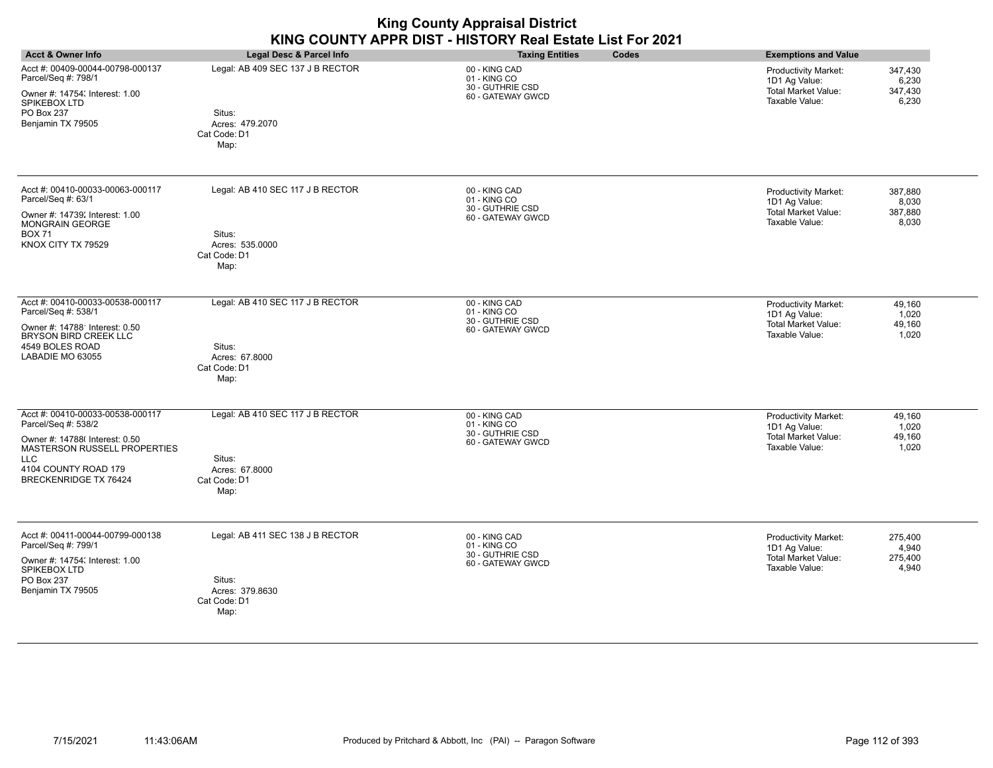| <b>Acct &amp; Owner Info</b>                                                                          | Legal Desc & Parcel Info                          | <b>Taxing Entities</b><br>Codes                   | <b>Exemptions and Value</b>                                                                               |
|-------------------------------------------------------------------------------------------------------|---------------------------------------------------|---------------------------------------------------|-----------------------------------------------------------------------------------------------------------|
| Acct #: 00409-00044-00798-000137<br>Parcel/Seq #: 798/1                                               | Legal: AB 409 SEC 137 J B RECTOR                  | 00 - KING CAD<br>01 - KING CO<br>30 - GUTHRIE CSD | 347,430<br><b>Productivity Market:</b><br>1D1 Ag Value:<br>6,230<br><b>Total Market Value:</b><br>347,430 |
| Owner #: 14754; Interest: 1.00<br>SPIKEBOX LTD<br>PO Box 237<br>Benjamin TX 79505                     | Situs:<br>Acres: 479.2070<br>Cat Code: D1<br>Map: | 60 - GATEWAY GWCD                                 | Taxable Value:<br>6,230                                                                                   |
| Acct #: 00410-00033-00063-000117<br>Parcel/Seq #: 63/1<br>Owner #: 14739; Interest: 1.00              | Legal: AB 410 SEC 117 J B RECTOR                  | 00 - KING CAD<br>01 - KING CO<br>30 - GUTHRIE CSD | 387,880<br>Productivity Market:<br>1D1 Ag Value:<br>8,030<br><b>Total Market Value:</b><br>387,880        |
| MONGRAIN GEORGE<br><b>BOX 71</b><br>KNOX CITY TX 79529                                                | Situs:<br>Acres: 535.0000<br>Cat Code: D1<br>Map: | 60 - GATEWAY GWCD                                 | Taxable Value:<br>8,030                                                                                   |
| Acct #: 00410-00033-00538-000117<br>Parcel/Seq #: 538/1                                               | Legal: AB 410 SEC 117 J B RECTOR                  | 00 - KING CAD<br>01 - KING CO<br>30 - GUTHRIE CSD | 49,160<br><b>Productivity Market:</b><br>1D1 Ag Value:<br>1,020                                           |
| Owner #: 14788' Interest: 0.50<br><b>BRYSON BIRD CREEK LLC</b><br>4549 BOLES ROAD<br>LABADIE MO 63055 | Situs:<br>Acres: 67.8000<br>Cat Code: D1          | 60 - GATEWAY GWCD                                 | <b>Total Market Value:</b><br>49,160<br>Taxable Value:<br>1,020                                           |
|                                                                                                       | Map:                                              |                                                   |                                                                                                           |
| Acct #: 00410-00033-00538-000117<br>Parcel/Seq #: 538/2                                               | Legal: AB 410 SEC 117 J B RECTOR                  | 00 - KING CAD<br>01 - KING CO<br>30 - GUTHRIE CSD | <b>Productivity Market:</b><br>49,160<br>1,020<br>1D1 Ag Value:                                           |
| Owner #: 14788( Interest: 0.50<br>MASTERSON RUSSELL PROPERTIES<br>LLC                                 | Situs:                                            | 60 - GATEWAY GWCD                                 | Total Market Value:<br>49,160<br>Taxable Value:<br>1,020                                                  |
| 4104 COUNTY ROAD 179<br><b>BRECKENRIDGE TX 76424</b>                                                  | Acres: 67.8000<br>Cat Code: D1<br>Map:            |                                                   |                                                                                                           |
| Acct #: 00411-00044-00799-000138<br>Parcel/Seq #: 799/1                                               | Legal: AB 411 SEC 138 J B RECTOR                  | 00 - KING CAD<br>01 - KING CO                     | Productivity Market:<br>275,400<br>1D1 Ag Value:<br>4,940                                                 |
| Owner #: 14754; Interest: 1.00<br>SPIKEBOX LTD                                                        |                                                   | 30 - GUTHRIE CSD<br>60 - GATEWAY GWCD             | <b>Total Market Value:</b><br>275,400<br>Taxable Value:<br>4,940                                          |
| PO Box 237<br>Benjamin TX 79505                                                                       | Situs:<br>Acres: 379.8630<br>Cat Code: D1<br>Map: |                                                   |                                                                                                           |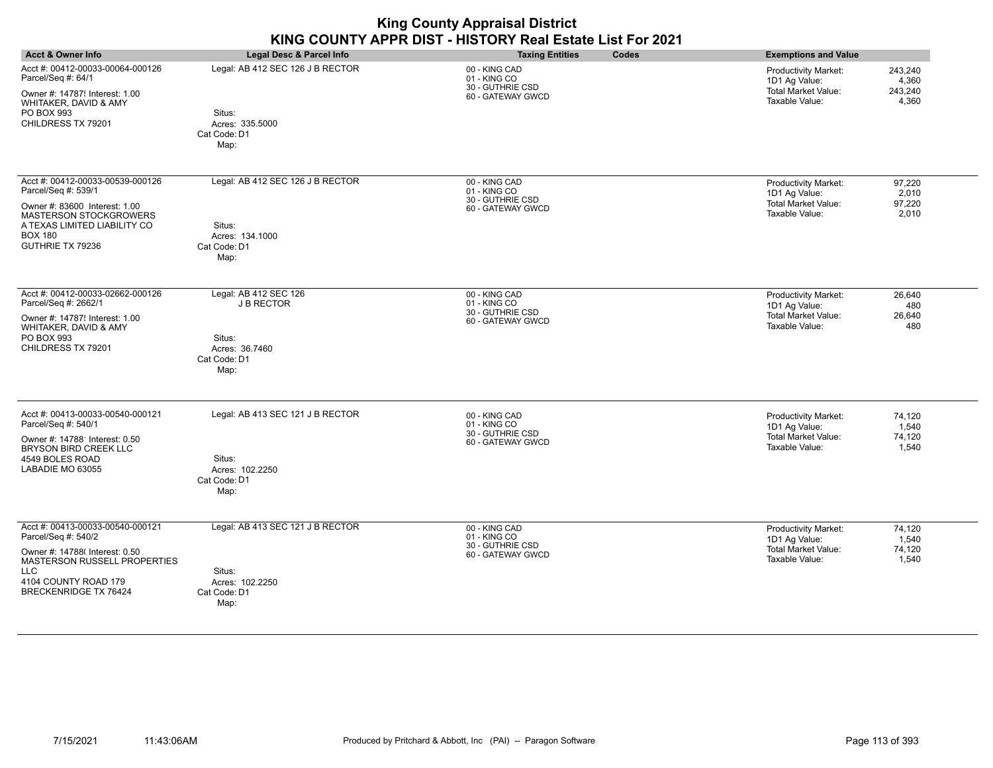|                                                                                                                                                                                                 |                                                                                                | <b>King County Appraisal District</b><br>KING COUNTY APPR DIST - HISTORY Real Estate List For 2021 |                                                                                                                                      |
|-------------------------------------------------------------------------------------------------------------------------------------------------------------------------------------------------|------------------------------------------------------------------------------------------------|----------------------------------------------------------------------------------------------------|--------------------------------------------------------------------------------------------------------------------------------------|
| <b>Acct &amp; Owner Info</b>                                                                                                                                                                    | Legal Desc & Parcel Info                                                                       | <b>Taxing Entities</b><br>Codes                                                                    | <b>Exemptions and Value</b>                                                                                                          |
| Acct #: 00412-00033-00064-000126<br>Parcel/Seq #: 64/1<br>Owner #: 14787! Interest: 1.00<br>WHITAKER, DAVID & AMY<br>PO BOX 993<br>CHILDRESS TX 79201                                           | Legal: AB 412 SEC 126 J B RECTOR<br>Situs:<br>Acres: 335.5000<br>Cat Code: D1<br>Map:          | 00 - KING CAD<br>01 - KING CO<br>30 - GUTHRIE CSD<br>60 - GATEWAY GWCD                             | 243,240<br><b>Productivity Market:</b><br>1D1 Ag Value:<br>4,360<br><b>Total Market Value:</b><br>243,240<br>Taxable Value:<br>4,360 |
| Acct #: 00412-00033-00539-000126<br>Parcel/Seq #: 539/1<br>Owner #: 83600 Interest: 1.00<br><b>MASTERSON STOCKGROWERS</b><br>A TEXAS LIMITED LIABILITY CO<br><b>BOX 180</b><br>GUTHRIE TX 79236 | Legal: AB 412 SEC 126 J B RECTOR<br>Situs:<br>Acres: 134.1000<br>Cat Code: D1<br>Map:          | 00 - KING CAD<br>01 - KING CO<br>30 - GUTHRIE CSD<br>60 - GATEWAY GWCD                             | Productivity Market:<br>97,220<br>2,010<br>1D1 Ag Value:<br>97,220<br><b>Total Market Value:</b><br>Taxable Value:<br>2,010          |
| Acct #: 00412-00033-02662-000126<br>Parcel/Seq #: 2662/1<br>Owner #: 14787! Interest: 1.00<br>WHITAKER, DAVID & AMY<br>PO BOX 993<br>CHILDRESS TX 79201                                         | Legal: AB 412 SEC 126<br><b>J B RECTOR</b><br>Situs:<br>Acres: 36.7460<br>Cat Code: D1<br>Map: | 00 - KING CAD<br>01 - KING CO<br>30 - GUTHRIE CSD<br>60 - GATEWAY GWCD                             | 26,640<br>Productivity Market:<br>1D1 Ag Value:<br>480<br><b>Total Market Value:</b><br>26,640<br>Taxable Value:<br>480              |
| Acct #: 00413-00033-00540-000121<br>Parcel/Seq #: 540/1<br>Owner #: 14788' Interest: 0.50<br>BRYSON BIRD CREEK LLC<br>4549 BOLES ROAD<br>LABADIE MO 63055                                       | Legal: AB 413 SEC 121 J B RECTOR<br>Situs:<br>Acres: 102.2250<br>Cat Code: D1<br>Map:          | 00 - KING CAD<br>01 - KING CO<br>30 - GUTHRIE CSD<br>60 - GATEWAY GWCD                             | <b>Productivity Market:</b><br>74,120<br>1D1 Ag Value:<br>1,540<br><b>Total Market Value:</b><br>74,120<br>Taxable Value:<br>1,540   |
| Acct #: 00413-00033-00540-000121<br>Parcel/Seq #: 540/2<br>Owner #: 14788(Interest: 0.50<br>MASTERSON RUSSELL PROPERTIES<br><b>LLC</b><br>4104 COUNTY ROAD 179<br><b>BRECKENRIDGE TX 76424</b>  | Legal: AB 413 SEC 121 J B RECTOR<br>Situs:<br>Acres: 102.2250<br>Cat Code: D1<br>Map:          | 00 - KING CAD<br>01 - KING CO<br>30 - GUTHRIE CSD<br>60 - GATEWAY GWCD                             | Productivity Market:<br>74,120<br>1,540<br>1D1 Ag Value:<br><b>Total Market Value:</b><br>74,120<br>Taxable Value:<br>1,540          |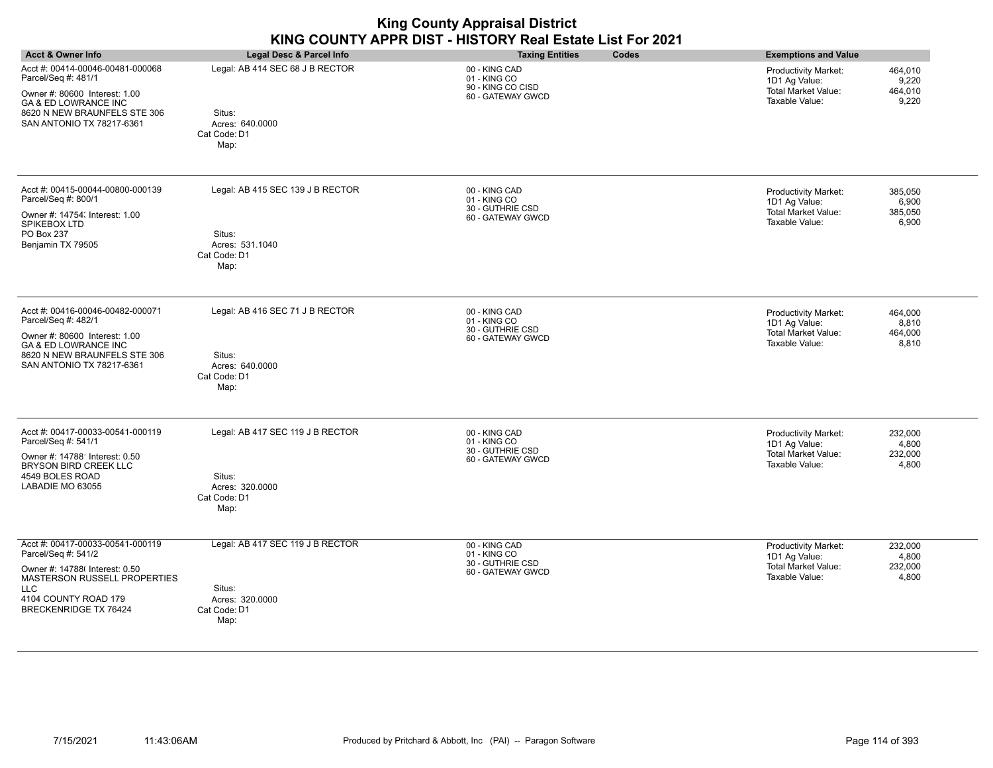| <b>King County Appraisal District</b><br>KING COUNTY APPR DIST - HISTORY Real Estate List For 2021                                                                                              |                                                                                                               |                                                                         |                                                                                                                               |
|-------------------------------------------------------------------------------------------------------------------------------------------------------------------------------------------------|---------------------------------------------------------------------------------------------------------------|-------------------------------------------------------------------------|-------------------------------------------------------------------------------------------------------------------------------|
| <b>Acct &amp; Owner Info</b>                                                                                                                                                                    | <b>Legal Desc &amp; Parcel Info</b>                                                                           | Codes<br><b>Taxing Entities</b>                                         | <b>Exemptions and Value</b>                                                                                                   |
| Acct #: 00414-00046-00481-000068<br>Parcel/Seq #: 481/1<br>Owner #: 80600 Interest: 1.00<br><b>GA &amp; ED LOWRANCE INC</b><br>8620 N NEW BRAUNFELS STE 306<br>SAN ANTONIO TX 78217-6361        | Legal: AB 414 SEC 68 J B RECTOR<br>Situs:<br>Acres: 640,0000                                                  | 00 - KING CAD<br>01 - KING CO<br>90 - KING CO CISD<br>60 - GATEWAY GWCD | Productivity Market:<br>464,010<br>9,220<br>1D1 Ag Value:<br>Total Market Value:<br>464,010<br>Taxable Value:<br>9,220        |
| Acct #: 00415-00044-00800-000139<br>Parcel/Seq #: 800/1<br>Owner #: 14754; Interest: 1.00<br>SPIKEBOX LTD<br>PO Box 237<br>Benjamin TX 79505                                                    | Cat Code: D1<br>Map:<br>Legal: AB 415 SEC 139 J B RECTOR<br>Situs:<br>Acres: 531.1040<br>Cat Code: D1<br>Map: | 00 - KING CAD<br>01 - KING CO<br>30 - GUTHRIE CSD<br>60 - GATEWAY GWCD  | Productivity Market:<br>385,050<br>6,900<br>1D1 Ag Value:<br><b>Total Market Value:</b><br>385,050<br>Taxable Value:<br>6,900 |
| Acct #: 00416-00046-00482-000071<br>Parcel/Seq #: 482/1<br>Owner #: 80600 Interest: 1.00<br>GA & ED LOWRANCE INC<br>8620 N NEW BRAUNFELS STE 306<br>SAN ANTONIO TX 78217-6361                   | Legal: AB 416 SEC 71 J B RECTOR<br>Situs:<br>Acres: 640,0000<br>Cat Code: D1<br>Map:                          | 00 - KING CAD<br>01 - KING CO<br>30 - GUTHRIE CSD<br>60 - GATEWAY GWCD  | Productivity Market:<br>464,000<br>1D1 Ag Value:<br>8,810<br><b>Total Market Value:</b><br>464,000<br>Taxable Value:<br>8,810 |
| Acct #: 00417-00033-00541-000119<br>Parcel/Seq #: 541/1<br>Owner #: 14788' Interest: 0.50<br><b>BRYSON BIRD CREEK LLC</b><br>4549 BOLES ROAD<br>LABADIE MO 63055                                | Legal: AB 417 SEC 119 J B RECTOR<br>Situs:<br>Acres: 320,0000<br>Cat Code: D1<br>Map:                         | 00 - KING CAD<br>01 - KING CO<br>30 - GUTHRIE CSD<br>60 - GATEWAY GWCD  | <b>Productivity Market:</b><br>232,000<br>1D1 Ag Value:<br>4,800<br>Total Market Value:<br>232,000<br>Taxable Value:<br>4,800 |
| Acct #: 00417-00033-00541-000119<br>Parcel/Seq #: 541/2<br>Owner #: 14788( Interest: 0.50<br>MASTERSON RUSSELL PROPERTIES<br><b>LLC</b><br>4104 COUNTY ROAD 179<br><b>BRECKENRIDGE TX 76424</b> | Legal: AB 417 SEC 119 J B RECTOR<br>Situs:<br>Acres: 320.0000<br>Cat Code: D1<br>Map:                         | 00 - KING CAD<br>01 - KING CO<br>30 - GUTHRIE CSD<br>60 - GATEWAY GWCD  | Productivity Market:<br>232,000<br>1D1 Ag Value:<br>4,800<br>Total Market Value:<br>232,000<br>Taxable Value:<br>4,800        |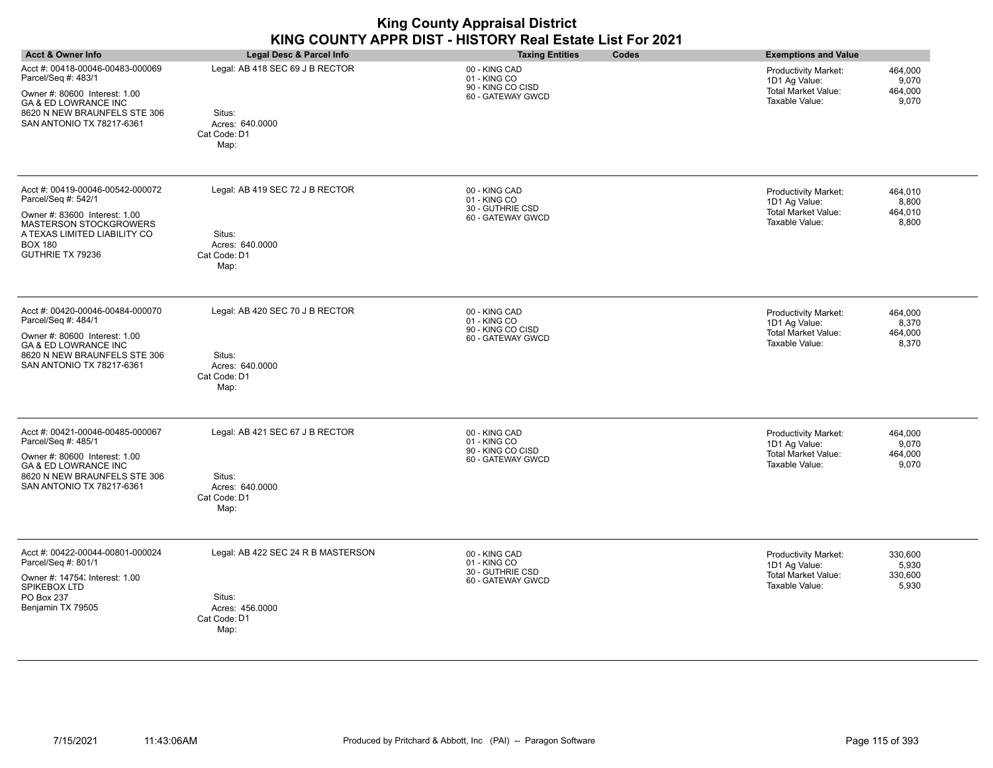| <b>King County Appraisal District</b>                     |  |
|-----------------------------------------------------------|--|
| KING COUNTY APPR DIST - HISTORY Real Estate List For 2021 |  |

|                                                                                                                                                                                          | וואט טטווור וטוט וואט טאט טאווו                                                         | LJIAIT LIJI I<br>LVL I                                                  |                                                                                                                                      |
|------------------------------------------------------------------------------------------------------------------------------------------------------------------------------------------|-----------------------------------------------------------------------------------------|-------------------------------------------------------------------------|--------------------------------------------------------------------------------------------------------------------------------------|
| <b>Acct &amp; Owner Info</b>                                                                                                                                                             | Legal Desc & Parcel Info                                                                | <b>Taxing Entities</b><br>Codes                                         | <b>Exemptions and Value</b>                                                                                                          |
| Acct #: 00418-00046-00483-000069<br>Parcel/Seq #: 483/1<br>Owner #: 80600 Interest: 1.00<br>GA & ED LOWRANCE INC<br>8620 N NEW BRAUNFELS STE 306<br>SAN ANTONIO TX 78217-6361            | Legal: AB 418 SEC 69 J B RECTOR<br>Situs:<br>Acres: 640.0000<br>Cat Code: D1<br>Map:    | 00 - KING CAD<br>01 - KING CO<br>90 - KING CO CISD<br>60 - GATEWAY GWCD | 464,000<br><b>Productivity Market:</b><br>9,070<br>1D1 Ag Value:<br><b>Total Market Value:</b><br>464,000<br>Taxable Value:<br>9,070 |
| Acct #: 00419-00046-00542-000072<br>Parcel/Seq #: 542/1<br>Owner #: 83600 Interest: 1.00<br>MASTERSON STOCKGROWERS<br>A TEXAS LIMITED LIABILITY CO<br><b>BOX 180</b><br>GUTHRIE TX 79236 | Legal: AB 419 SEC 72 J B RECTOR<br>Situs:<br>Acres: 640.0000<br>Cat Code: D1<br>Map:    | 00 - KING CAD<br>01 - KING CO<br>30 - GUTHRIE CSD<br>60 - GATEWAY GWCD  | <b>Productivity Market:</b><br>464,010<br>1D1 Ag Value:<br>8,800<br><b>Total Market Value:</b><br>464,010<br>Taxable Value:<br>8,800 |
| Acct #: 00420-00046-00484-000070<br>Parcel/Seq #: 484/1<br>Owner #: 80600 Interest: 1.00<br>GA & ED LOWRANCE INC<br>8620 N NEW BRAUNFELS STE 306<br>SAN ANTONIO TX 78217-6361            | Legal: AB 420 SEC 70 J B RECTOR<br>Situs:<br>Acres: 640.0000<br>Cat Code: D1<br>Map:    | 00 - KING CAD<br>01 - KING CO<br>90 - KING CO CISD<br>60 - GATEWAY GWCD | <b>Productivity Market:</b><br>464,000<br>1D1 Ag Value:<br>8,370<br><b>Total Market Value:</b><br>464,000<br>Taxable Value:<br>8,370 |
| Acct #: 00421-00046-00485-000067<br>Parcel/Seq #: 485/1<br>Owner #: 80600 Interest: 1.00<br>GA & ED LOWRANCE INC<br>8620 N NEW BRAUNFELS STE 306<br>SAN ANTONIO TX 78217-6361            | Legal: AB 421 SEC 67 J B RECTOR<br>Situs:<br>Acres: 640.0000<br>Cat Code: D1<br>Map:    | 00 - KING CAD<br>01 - KING CO<br>90 - KING CO CISD<br>60 - GATEWAY GWCD | <b>Productivity Market:</b><br>464,000<br>1D1 Ag Value:<br>9,070<br><b>Total Market Value:</b><br>464,000<br>Taxable Value:<br>9,070 |
| Acct #: 00422-00044-00801-000024<br>Parcel/Seq #: 801/1<br>Owner #: 14754; Interest: 1.00<br>SPIKEBOX LTD<br>PO Box 237<br>Benjamin TX 79505                                             | Legal: AB 422 SEC 24 R B MASTERSON<br>Situs:<br>Acres: 456.0000<br>Cat Code: D1<br>Map: | 00 - KING CAD<br>01 - KING CO<br>30 - GUTHRIE CSD<br>60 - GATEWAY GWCD  | Productivity Market:<br>330,600<br>1D1 Ag Value:<br>5,930<br><b>Total Market Value:</b><br>330,600<br>Taxable Value:<br>5,930        |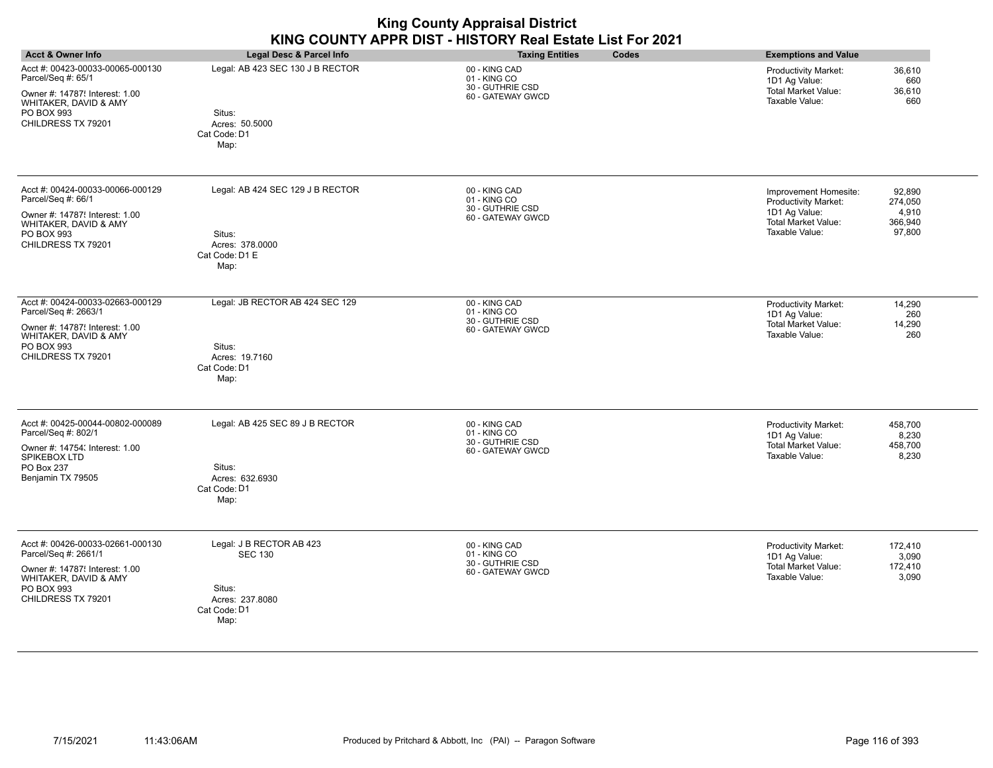| <b>Acct &amp; Owner Info</b>                                                                                                                            | <b>Legal Desc &amp; Parcel Info</b>                                                             | <b>Taxing Entities</b><br>Codes                                        | <b>Exemptions and Value</b>                                                                                                                                |
|---------------------------------------------------------------------------------------------------------------------------------------------------------|-------------------------------------------------------------------------------------------------|------------------------------------------------------------------------|------------------------------------------------------------------------------------------------------------------------------------------------------------|
| Acct #: 00423-00033-00065-000130<br>Parcel/Seq #: 65/1<br>Owner #: 14787! Interest: 1.00<br>WHITAKER, DAVID & AMY<br>PO BOX 993<br>CHILDRESS TX 79201   | Legal: AB 423 SEC 130 J B RECTOR<br>Situs:<br>Acres: 50.5000<br>Cat Code: D1<br>Map:            | 00 - KING CAD<br>01 - KING CO<br>30 - GUTHRIE CSD<br>60 - GATEWAY GWCD | 36,610<br>Productivity Market:<br>1D1 Ag Value:<br>660<br><b>Total Market Value:</b><br>36,610<br>Taxable Value:<br>660                                    |
| Acct #: 00424-00033-00066-000129<br>Parcel/Seq #: 66/1<br>Owner #: 14787! Interest: 1.00<br>WHITAKER, DAVID & AMY<br>PO BOX 993<br>CHILDRESS TX 79201   | Legal: AB 424 SEC 129 J B RECTOR<br>Situs:<br>Acres: 378.0000<br>Cat Code: D1 E<br>Map:         | 00 - KING CAD<br>01 - KING CO<br>30 - GUTHRIE CSD<br>60 - GATEWAY GWCD | Improvement Homesite:<br>92,890<br>Productivity Market:<br>274,050<br>1D1 Ag Value:<br>4,910<br>Total Market Value:<br>366,940<br>Taxable Value:<br>97,800 |
| Acct #: 00424-00033-02663-000129<br>Parcel/Seq #: 2663/1<br>Owner #: 14787! Interest: 1.00<br>WHITAKER, DAVID & AMY<br>PO BOX 993<br>CHILDRESS TX 79201 | Legal: JB RECTOR AB 424 SEC 129<br>Situs:<br>Acres: 19.7160<br>Cat Code: D1<br>Map:             | 00 - KING CAD<br>01 - KING CO<br>30 - GUTHRIE CSD<br>60 - GATEWAY GWCD | 14,290<br>Productivity Market:<br>1D1 Ag Value:<br>260<br><b>Total Market Value:</b><br>14,290<br>260<br>Taxable Value:                                    |
| Acct #: 00425-00044-00802-000089<br>Parcel/Seq #: 802/1<br>Owner #: 14754; Interest: 1.00<br>SPIKEBOX LTD<br>PO Box 237<br>Benjamin TX 79505            | Legal: AB 425 SEC 89 J B RECTOR<br>Situs:<br>Acres: 632.6930<br>Cat Code: D1<br>Map:            | 00 - KING CAD<br>01 - KING CO<br>30 - GUTHRIE CSD<br>60 - GATEWAY GWCD | Productivity Market:<br>458,700<br>1D1 Ag Value:<br>8,230<br>Total Market Value:<br>458,700<br>Taxable Value:<br>8,230                                     |
| Acct #: 00426-00033-02661-000130<br>Parcel/Seq #: 2661/1<br>Owner #: 14787! Interest: 1.00<br>WHITAKER, DAVID & AMY<br>PO BOX 993<br>CHILDRESS TX 79201 | Legal: J B RECTOR AB 423<br><b>SEC 130</b><br>Situs:<br>Acres: 237.8080<br>Cat Code: D1<br>Map: | 00 - KING CAD<br>01 - KING CO<br>30 - GUTHRIE CSD<br>60 - GATEWAY GWCD | 172,410<br>Productivity Market:<br>3,090<br>1D1 Ag Value:<br><b>Total Market Value:</b><br>172,410<br>Taxable Value:<br>3,090                              |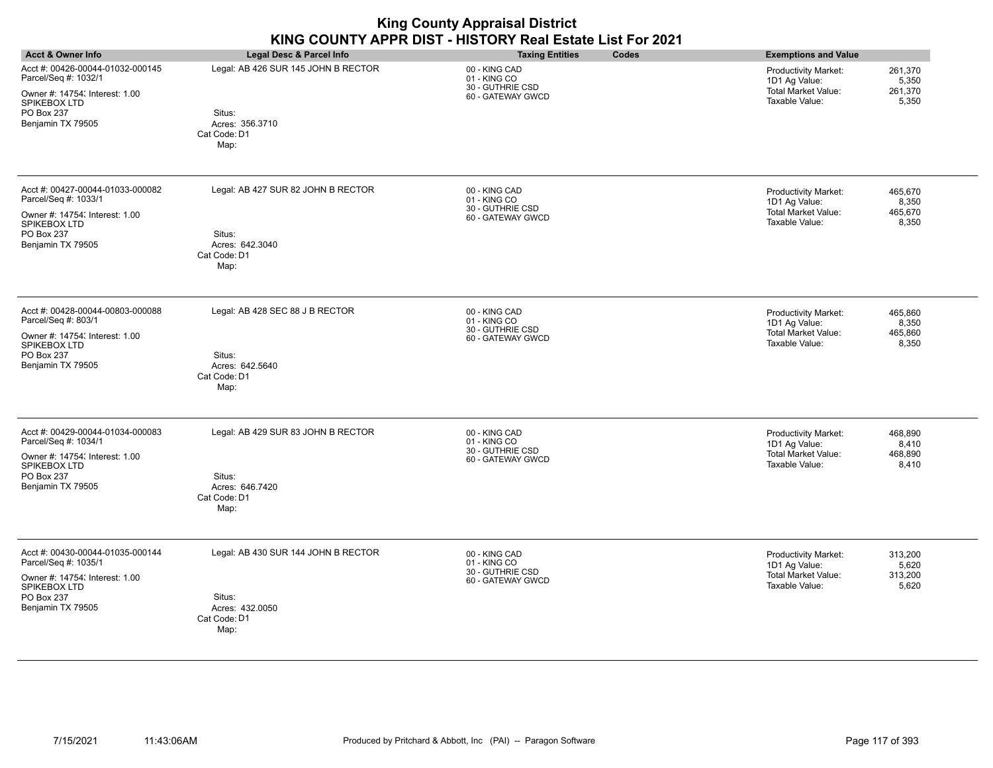| <b>Acct &amp; Owner Info</b>                                                                                                                         | Legal Desc & Parcel Info                                                                 | <b>Taxing Entities</b><br>Codes                                        | <b>Exemptions and Value</b>                                                                                                   |
|------------------------------------------------------------------------------------------------------------------------------------------------------|------------------------------------------------------------------------------------------|------------------------------------------------------------------------|-------------------------------------------------------------------------------------------------------------------------------|
| Acct #: 00426-00044-01032-000145<br>Parcel/Seq #: 1032/1<br>Owner #: 14754; Interest: 1.00<br>SPIKEBOX LTD<br>PO Box 237<br>Benjamin TX 79505        | Legal: AB 426 SUR 145 JOHN B RECTOR<br>Situs:<br>Acres: 356.3710<br>Cat Code: D1<br>Map: | 00 - KING CAD<br>01 - KING CO<br>30 - GUTHRIE CSD<br>60 - GATEWAY GWCD | Productivity Market:<br>261,370<br>1D1 Ag Value:<br>5,350<br><b>Total Market Value:</b><br>261,370<br>Taxable Value:<br>5,350 |
| Acct #: 00427-00044-01033-000082<br>Parcel/Seq #: 1033/1<br>Owner #: 14754; Interest: 1.00<br>SPIKEBOX LTD<br>PO Box 237<br>Benjamin TX 79505        | Legal: AB 427 SUR 82 JOHN B RECTOR<br>Situs:<br>Acres: 642.3040<br>Cat Code: D1<br>Map:  | 00 - KING CAD<br>01 - KING CO<br>30 - GUTHRIE CSD<br>60 - GATEWAY GWCD | Productivity Market:<br>465,670<br>1D1 Ag Value:<br>8,350<br><b>Total Market Value:</b><br>465,670<br>Taxable Value:<br>8,350 |
| Acct #: 00428-00044-00803-000088<br>Parcel/Seq #: 803/1<br>Owner #: 14754; Interest: 1.00<br>SPIKEBOX LTD<br>PO Box 237<br>Benjamin TX 79505         | Legal: AB 428 SEC 88 J B RECTOR<br>Situs:<br>Acres: 642.5640<br>Cat Code: D1<br>Map:     | 00 - KING CAD<br>01 - KING CO<br>30 - GUTHRIE CSD<br>60 - GATEWAY GWCD | Productivity Market:<br>465,860<br>1D1 Ag Value:<br>8,350<br><b>Total Market Value:</b><br>465,860<br>Taxable Value:<br>8,350 |
| Acct #: 00429-00044-01034-000083<br>Parcel/Seq #: 1034/1<br>Owner #: 14754; Interest: 1.00<br>SPIKEBOX LTD<br><b>PO Box 237</b><br>Benjamin TX 79505 | Legal: AB 429 SUR 83 JOHN B RECTOR<br>Situs:<br>Acres: 646.7420<br>Cat Code: D1<br>Map:  | 00 - KING CAD<br>01 - KING CO<br>30 - GUTHRIE CSD<br>60 - GATEWAY GWCD | 468,890<br>Productivity Market:<br>8,410<br>1D1 Ag Value:<br><b>Total Market Value:</b><br>468,890<br>Taxable Value:<br>8,410 |
| Acct #: 00430-00044-01035-000144<br>Parcel/Seq #: 1035/1<br>Owner #: 14754; Interest: 1.00<br>SPIKEBOX LTD<br>PO Box 237<br>Benjamin TX 79505        | Legal: AB 430 SUR 144 JOHN B RECTOR<br>Situs:<br>Acres: 432.0050<br>Cat Code: D1<br>Map: | 00 - KING CAD<br>01 - KING CO<br>30 - GUTHRIE CSD<br>60 - GATEWAY GWCD | 313,200<br>Productivity Market:<br>1D1 Ag Value:<br>5,620<br><b>Total Market Value:</b><br>313,200<br>5,620<br>Taxable Value: |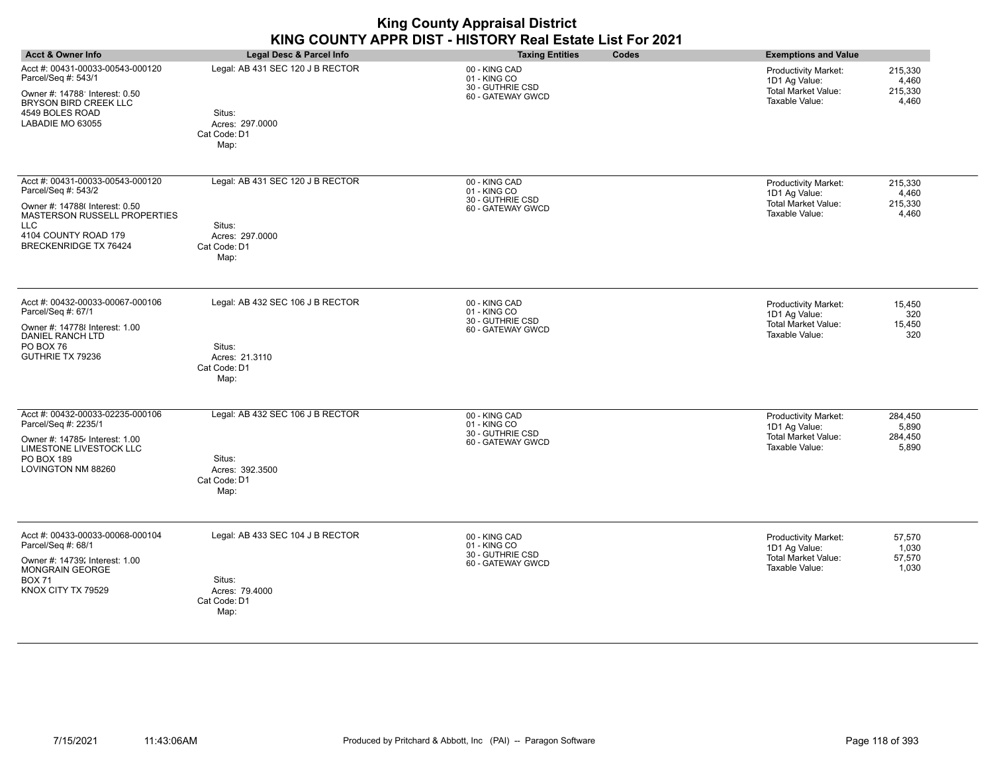| <b>Acct &amp; Owner Info</b>                                                                                                         |                                                   | Codes                                                                  |                                                                                                                                      |
|--------------------------------------------------------------------------------------------------------------------------------------|---------------------------------------------------|------------------------------------------------------------------------|--------------------------------------------------------------------------------------------------------------------------------------|
|                                                                                                                                      | Legal Desc & Parcel Info                          | <b>Taxing Entities</b>                                                 | <b>Exemptions and Value</b>                                                                                                          |
| Acct #: 00431-00033-00543-000120<br>Parcel/Seq #: 543/1<br>Owner #: 14788' Interest: 0.50<br>BRYSON BIRD CREEK LLC                   | Legal: AB 431 SEC 120 J B RECTOR                  | 00 - KING CAD<br>01 - KING CO<br>30 - GUTHRIE CSD<br>60 - GATEWAY GWCD | 215,330<br><b>Productivity Market:</b><br>1D1 Ag Value:<br>4,460<br><b>Total Market Value:</b><br>215,330<br>Taxable Value:<br>4,460 |
| 4549 BOLES ROAD<br>LABADIE MO 63055                                                                                                  | Situs:<br>Acres: 297.0000<br>Cat Code: D1<br>Map: |                                                                        |                                                                                                                                      |
| Acct #: 00431-00033-00543-000120<br>Parcel/Seq #: 543/2                                                                              | Legal: AB 431 SEC 120 J B RECTOR                  | 00 - KING CAD<br>01 - KING CO<br>30 - GUTHRIE CSD                      | <b>Productivity Market:</b><br>215,330<br>1D1 Ag Value:<br>4,460                                                                     |
| Owner #: 14788( Interest: 0.50<br>MASTERSON RUSSELL PROPERTIES<br><b>LLC</b><br>4104 COUNTY ROAD 179<br><b>BRECKENRIDGE TX 76424</b> | Situs:<br>Acres: 297.0000<br>Cat Code: D1<br>Map: | 60 - GATEWAY GWCD                                                      | <b>Total Market Value:</b><br>215,330<br>Taxable Value:<br>4,460                                                                     |
| Acct #: 00432-00033-00067-000106<br>Parcel/Seq #: 67/1                                                                               | Legal: AB 432 SEC 106 J B RECTOR                  | 00 - KING CAD<br>01 - KING CO                                          | <b>Productivity Market:</b><br>15,450<br>1D1 Ag Value:<br>320                                                                        |
| Owner #: 14778 {Interest: 1.00<br><b>DANIEL RANCH LTD</b>                                                                            |                                                   | 30 - GUTHRIE CSD<br>60 - GATEWAY GWCD                                  | Total Market Value:<br>15,450<br>Taxable Value:<br>320                                                                               |
| PO BOX 76<br>GUTHRIE TX 79236                                                                                                        | Situs:<br>Acres: 21.3110<br>Cat Code: D1<br>Map:  |                                                                        |                                                                                                                                      |
| Acct #: 00432-00033-02235-000106<br>Parcel/Seq #: 2235/1                                                                             | Legal: AB 432 SEC 106 J B RECTOR                  | 00 - KING CAD<br>01 - KING CO                                          | <b>Productivity Market:</b><br>284,450<br>5,890<br>1D1 Ag Value:                                                                     |
| Owner #: 147854 Interest: 1.00<br>LIMESTONE LIVESTOCK LLC                                                                            |                                                   | 30 - GUTHRIE CSD<br>60 - GATEWAY GWCD                                  | Total Market Value:<br>284,450<br>Taxable Value:<br>5,890                                                                            |
| PO BOX 189<br>LOVINGTON NM 88260                                                                                                     | Situs:<br>Acres: 392.3500<br>Cat Code: D1<br>Map: |                                                                        |                                                                                                                                      |
| Acct #: 00433-00033-00068-000104<br>Parcel/Seq #: 68/1                                                                               | Legal: AB 433 SEC 104 J B RECTOR                  | 00 - KING CAD<br>01 - KING CO                                          | <b>Productivity Market:</b><br>57,570<br>1D1 Ag Value:<br>1,030                                                                      |
| Owner #: 14739; Interest: 1.00<br><b>MONGRAIN GEORGE</b>                                                                             |                                                   | 30 - GUTHRIE CSD<br>60 - GATEWAY GWCD                                  | <b>Total Market Value:</b><br>57,570<br>Taxable Value:<br>1,030                                                                      |
| <b>BOX 71</b><br>KNOX CITY TX 79529                                                                                                  | Situs:<br>Acres: 79.4000<br>Cat Code: D1          |                                                                        |                                                                                                                                      |
|                                                                                                                                      | Map:                                              |                                                                        |                                                                                                                                      |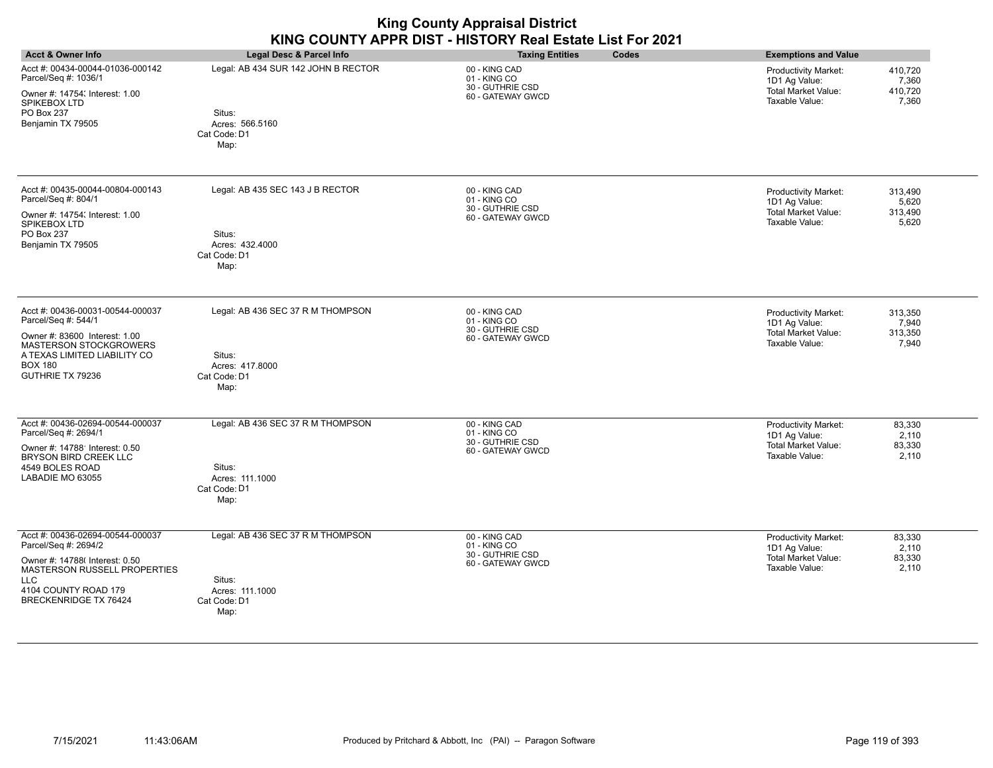| <b>Acct &amp; Owner Info</b>                                                                                                                                                                     | Legal Desc & Parcel Info                                                                 | <b>Taxing Entities</b><br>Codes                                        | <b>Exemptions and Value</b>                                                                                                          |
|--------------------------------------------------------------------------------------------------------------------------------------------------------------------------------------------------|------------------------------------------------------------------------------------------|------------------------------------------------------------------------|--------------------------------------------------------------------------------------------------------------------------------------|
| Acct #: 00434-00044-01036-000142<br>Parcel/Seq #: 1036/1<br>Owner #: 14754; Interest: 1.00<br>SPIKEBOX LTD<br><b>PO Box 237</b><br>Benjamin TX 79505                                             | Legal: AB 434 SUR 142 JOHN B RECTOR<br>Situs:<br>Acres: 566.5160<br>Cat Code: D1<br>Map: | 00 - KING CAD<br>01 - KING CO<br>30 - GUTHRIE CSD<br>60 - GATEWAY GWCD | <b>Productivity Market:</b><br>410,720<br>1D1 Ag Value:<br>7,360<br><b>Total Market Value:</b><br>410,720<br>Taxable Value:<br>7,360 |
| Acct #: 00435-00044-00804-000143<br>Parcel/Seq #: 804/1<br>Owner #: 14754; Interest: 1.00<br>SPIKEBOX LTD<br><b>PO Box 237</b><br>Benjamin TX 79505                                              | Legal: AB 435 SEC 143 J B RECTOR<br>Situs:<br>Acres: 432.4000<br>Cat Code: D1<br>Map:    | 00 - KING CAD<br>01 - KING CO<br>30 - GUTHRIE CSD<br>60 - GATEWAY GWCD | 313,490<br><b>Productivity Market:</b><br>1D1 Ag Value:<br>5,620<br><b>Total Market Value:</b><br>313,490<br>Taxable Value:<br>5,620 |
| Acct #: 00436-00031-00544-000037<br>Parcel/Seq #: 544/1<br>Owner #: 83600 Interest: 1.00<br><b>MASTERSON STOCKGROWERS</b><br>A TEXAS LIMITED LIABILITY CO<br><b>BOX 180</b><br>GUTHRIE TX 79236  | Legal: AB 436 SEC 37 R M THOMPSON<br>Situs:<br>Acres: 417,8000<br>Cat Code: D1<br>Map:   | 00 - KING CAD<br>01 - KING CO<br>30 - GUTHRIE CSD<br>60 - GATEWAY GWCD | <b>Productivity Market:</b><br>313,350<br>1D1 Ag Value:<br>7,940<br><b>Total Market Value:</b><br>313,350<br>Taxable Value:<br>7,940 |
| Acct #: 00436-02694-00544-000037<br>Parcel/Seq #: 2694/1<br>Owner #: 14788' Interest: 0.50<br><b>BRYSON BIRD CREEK LLC</b><br>4549 BOLES ROAD<br>LABADIE MO 63055                                | Legal: AB 436 SEC 37 R M THOMPSON<br>Situs:<br>Acres: 111.1000<br>Cat Code: D1<br>Map:   | 00 - KING CAD<br>01 - KING CO<br>30 - GUTHRIE CSD<br>60 - GATEWAY GWCD | 83,330<br><b>Productivity Market:</b><br>1D1 Ag Value:<br>2,110<br><b>Total Market Value:</b><br>83,330<br>Taxable Value:<br>2,110   |
| Acct #: 00436-02694-00544-000037<br>Parcel/Seq #: 2694/2<br>Owner #: 14788( Interest: 0.50<br>MASTERSON RUSSELL PROPERTIES<br><b>LLC</b><br>4104 COUNTY ROAD 179<br><b>BRECKENRIDGE TX 76424</b> | Legal: AB 436 SEC 37 R M THOMPSON<br>Situs:<br>Acres: 111.1000<br>Cat Code: D1<br>Map:   | 00 - KING CAD<br>01 - KING CO<br>30 - GUTHRIE CSD<br>60 - GATEWAY GWCD | <b>Productivity Market:</b><br>83,330<br>1D1 Ag Value:<br>2,110<br><b>Total Market Value:</b><br>83,330<br>2,110<br>Taxable Value:   |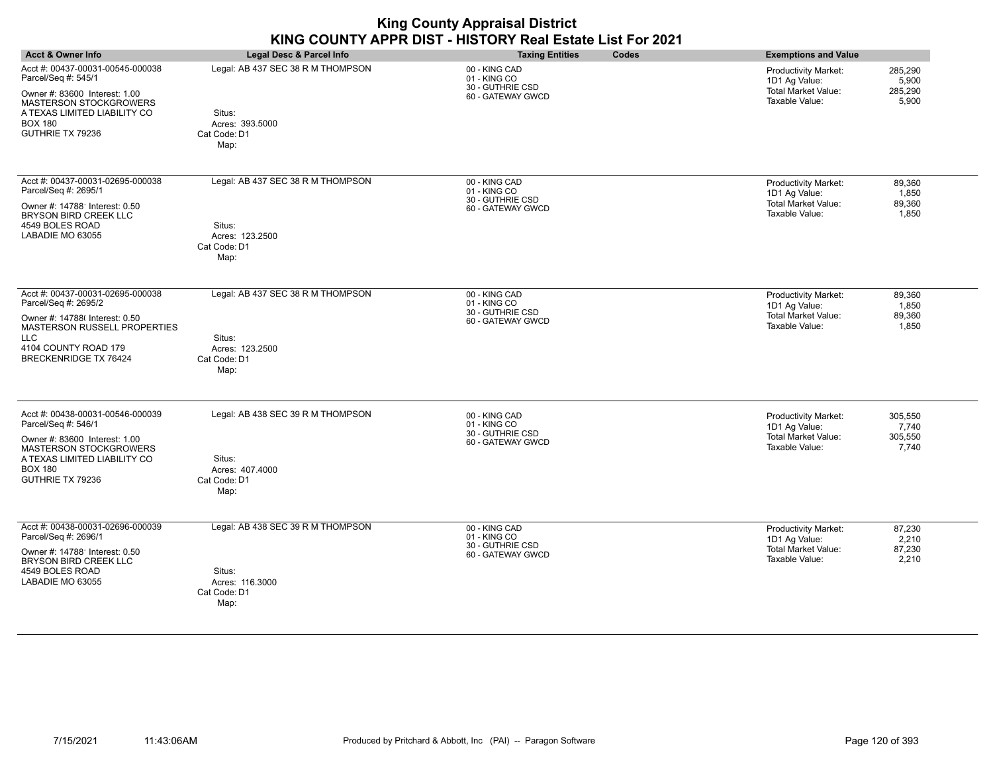| <b>Acct &amp; Owner Info</b>                                                                                                                                                                    | Legal Desc & Parcel Info                                                               | <b>Taxing Entities</b><br>Codes                                        | <b>Exemptions and Value</b>                                                                                                          |
|-------------------------------------------------------------------------------------------------------------------------------------------------------------------------------------------------|----------------------------------------------------------------------------------------|------------------------------------------------------------------------|--------------------------------------------------------------------------------------------------------------------------------------|
| Acct #: 00437-00031-00545-000038<br>Parcel/Seq #: 545/1<br>Owner #: 83600 Interest: 1.00<br><b>MASTERSON STOCKGROWERS</b><br>A TEXAS LIMITED LIABILITY CO<br><b>BOX 180</b><br>GUTHRIE TX 79236 | Legal: AB 437 SEC 38 R M THOMPSON<br>Situs:<br>Acres: 393.5000<br>Cat Code: D1<br>Map: | 00 - KING CAD<br>01 - KING CO<br>30 - GUTHRIE CSD<br>60 - GATEWAY GWCD | 285,290<br><b>Productivity Market:</b><br>1D1 Ag Value:<br>5,900<br><b>Total Market Value:</b><br>285,290<br>Taxable Value:<br>5,900 |
| Acct #: 00437-00031-02695-000038<br>Parcel/Seq #: 2695/1<br>Owner #: 14788' Interest: 0.50<br>BRYSON BIRD CREEK LLC<br>4549 BOLES ROAD<br>LABADIE MO 63055                                      | Legal: AB 437 SEC 38 R M THOMPSON<br>Situs:<br>Acres: 123.2500<br>Cat Code: D1<br>Map: | 00 - KING CAD<br>01 - KING CO<br>30 - GUTHRIE CSD<br>60 - GATEWAY GWCD | <b>Productivity Market:</b><br>89,360<br>1D1 Ag Value:<br>1,850<br><b>Total Market Value:</b><br>89,360<br>Taxable Value:<br>1,850   |
| Acct #: 00437-00031-02695-000038<br>Parcel/Seq #: 2695/2<br>Owner #: 14788(Interest: 0.50<br>MASTERSON RUSSELL PROPERTIES<br><b>LLC</b><br>4104 COUNTY ROAD 179<br><b>BRECKENRIDGE TX 76424</b> | Legal: AB 437 SEC 38 R M THOMPSON<br>Situs:<br>Acres: 123.2500<br>Cat Code: D1<br>Map: | 00 - KING CAD<br>01 - KING CO<br>30 - GUTHRIE CSD<br>60 - GATEWAY GWCD | 89,360<br><b>Productivity Market:</b><br>1,850<br>1D1 Ag Value:<br><b>Total Market Value:</b><br>89,360<br>Taxable Value:<br>1,850   |
| Acct #: 00438-00031-00546-000039<br>Parcel/Seq #: 546/1<br>Owner #: 83600 Interest: 1.00<br><b>MASTERSON STOCKGROWERS</b><br>A TEXAS LIMITED LIABILITY CO<br><b>BOX 180</b><br>GUTHRIE TX 79236 | Legal: AB 438 SEC 39 R M THOMPSON<br>Situs:<br>Acres: 407.4000<br>Cat Code: D1<br>Map: | 00 - KING CAD<br>01 - KING CO<br>30 - GUTHRIE CSD<br>60 - GATEWAY GWCD | 305,550<br><b>Productivity Market:</b><br>7,740<br>1D1 Ag Value:<br><b>Total Market Value:</b><br>305,550<br>Taxable Value:<br>7,740 |
| Acct #: 00438-00031-02696-000039<br>Parcel/Seq #: 2696/1<br>Owner #: 14788' Interest: 0.50<br>BRYSON BIRD CREEK LLC<br>4549 BOLES ROAD<br>LABADIE MO 63055                                      | Legal: AB 438 SEC 39 R M THOMPSON<br>Situs:<br>Acres: 116.3000<br>Cat Code: D1<br>Map: | 00 - KING CAD<br>01 - KING CO<br>30 - GUTHRIE CSD<br>60 - GATEWAY GWCD | Productivity Market:<br>87,230<br>1D1 Ag Value:<br>2,210<br><b>Total Market Value:</b><br>87,230<br>Taxable Value:<br>2,210          |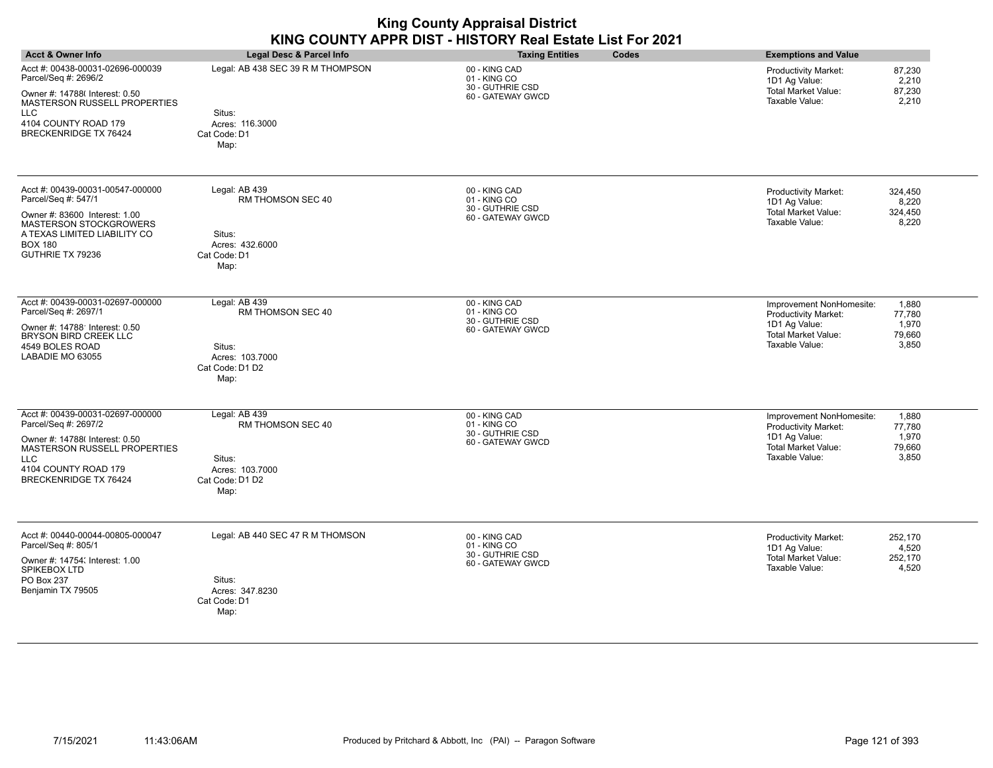| <b>Acct &amp; Owner Info</b>                                                                                                                                                                     | Legal Desc & Parcel Info                                                                     | <b>Taxing Entities</b><br>Codes                                        | <b>Exemptions and Value</b>                                                                                                                                             |
|--------------------------------------------------------------------------------------------------------------------------------------------------------------------------------------------------|----------------------------------------------------------------------------------------------|------------------------------------------------------------------------|-------------------------------------------------------------------------------------------------------------------------------------------------------------------------|
| Acct #: 00438-00031-02696-000039<br>Parcel/Seq #: 2696/2<br>Owner #: 14788( Interest: 0.50<br>MASTERSON RUSSELL PROPERTIES<br>LLC<br>4104 COUNTY ROAD 179<br>BRECKENRIDGE TX 76424               | Legal: AB 438 SEC 39 R M THOMPSON<br>Situs:<br>Acres: 116.3000<br>Cat Code: D1<br>Map:       | 00 - KING CAD<br>01 - KING CO<br>30 - GUTHRIE CSD<br>60 - GATEWAY GWCD | 87,230<br><b>Productivity Market:</b><br>1D1 Ag Value:<br>2,210<br><b>Total Market Value:</b><br>87,230<br>Taxable Value:<br>2,210                                      |
| Acct #: 00439-00031-00547-000000<br>Parcel/Seq #: 547/1<br>Owner #: 83600 Interest: 1.00<br>MASTERSON STOCKGROWERS<br>A TEXAS LIMITED LIABILITY CO<br><b>BOX 180</b><br>GUTHRIE TX 79236         | Legal: AB 439<br>RM THOMSON SEC 40<br>Situs:<br>Acres: 432,6000<br>Cat Code: D1<br>Map:      | 00 - KING CAD<br>01 - KING CO<br>30 - GUTHRIE CSD<br>60 - GATEWAY GWCD | <b>Productivity Market:</b><br>324,450<br>1D1 Ag Value:<br>8,220<br><b>Total Market Value:</b><br>324,450<br>Taxable Value:<br>8,220                                    |
| Acct #: 00439-00031-02697-000000<br>Parcel/Seq #: 2697/1<br>Owner #: 14788' Interest: 0.50<br>BRYSON BIRD CREEK LLC<br>4549 BOLES ROAD<br>LABADIE MO 63055                                       | Legal: AB 439<br>RM THOMSON SEC 40<br>Situs:<br>Acres: 103.7000<br>Cat Code: D1 D2<br>Map:   | 00 - KING CAD<br>01 - KING CO<br>30 - GUTHRIE CSD<br>60 - GATEWAY GWCD | 1,880<br>Improvement NonHomesite:<br>Productivity Market:<br>77,780<br>1D1 Ag Value:<br>1,970<br>79,660<br><b>Total Market Value:</b><br>Taxable Value:<br>3,850        |
| Acct #: 00439-00031-02697-000000<br>Parcel/Seq #: 2697/2<br>Owner #: 14788( Interest: 0.50<br>MASTERSON RUSSELL PROPERTIES<br><b>LLC</b><br>4104 COUNTY ROAD 179<br><b>BRECKENRIDGE TX 76424</b> | Legal: AB $439$<br>RM THOMSON SEC 40<br>Situs:<br>Acres: 103.7000<br>Cat Code: D1 D2<br>Map: | 00 - KING CAD<br>01 - KING CO<br>30 - GUTHRIE CSD<br>60 - GATEWAY GWCD | 1,880<br>Improvement NonHomesite:<br><b>Productivity Market:</b><br>77,780<br>1D1 Ag Value:<br>1,970<br><b>Total Market Value:</b><br>79,660<br>Taxable Value:<br>3,850 |
| Acct #: 00440-00044-00805-000047<br>Parcel/Seq #: 805/1<br>Owner #: 14754; Interest: 1.00<br>SPIKEBOX LTD<br>PO Box 237<br>Benjamin TX 79505                                                     | Legal: AB 440 SEC 47 R M THOMSON<br>Situs:<br>Acres: 347.8230<br>Cat Code: D1<br>Map:        | 00 - KING CAD<br>01 - KING CO<br>30 - GUTHRIE CSD<br>60 - GATEWAY GWCD | <b>Productivity Market:</b><br>252,170<br>4,520<br>1D1 Ag Value:<br><b>Total Market Value:</b><br>252,170<br>Taxable Value:<br>4,520                                    |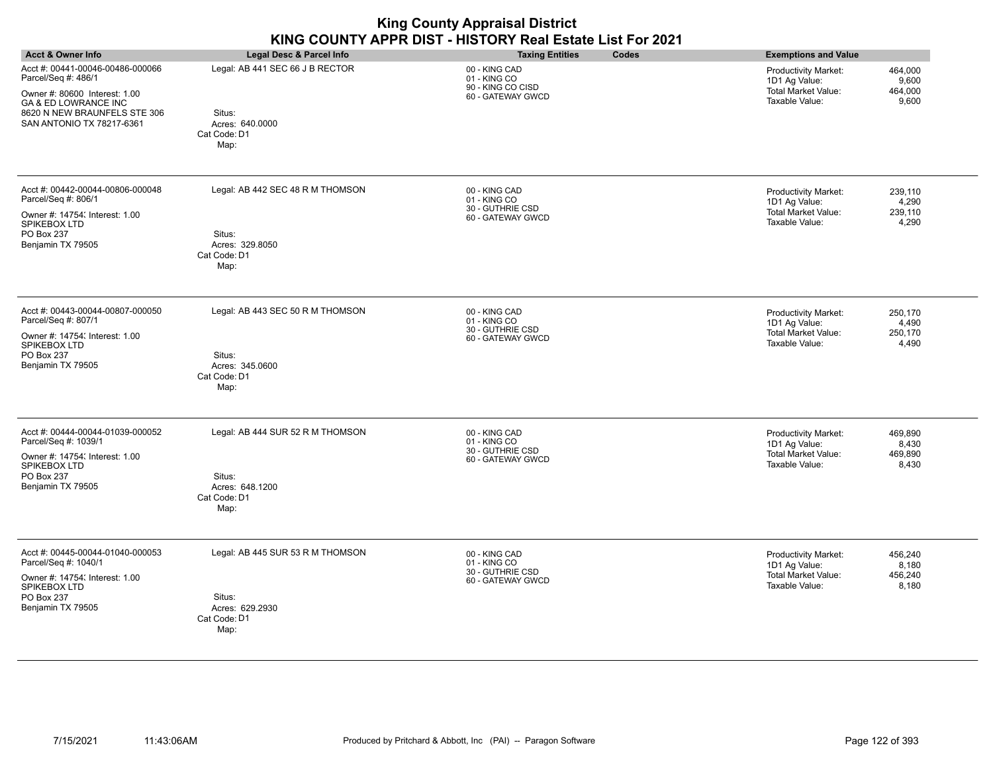| <b>Acct &amp; Owner Info</b>                                                                                                                                                             | Legal Desc & Parcel Info                                                              | <b>Taxing Entities</b><br>Codes                                         | <b>Exemptions and Value</b>                                                                                                   |
|------------------------------------------------------------------------------------------------------------------------------------------------------------------------------------------|---------------------------------------------------------------------------------------|-------------------------------------------------------------------------|-------------------------------------------------------------------------------------------------------------------------------|
| Acct #: 00441-00046-00486-000066<br>Parcel/Seq #: 486/1<br>Owner #: 80600 Interest: 1.00<br><b>GA &amp; ED LOWRANCE INC</b><br>8620 N NEW BRAUNFELS STE 306<br>SAN ANTONIO TX 78217-6361 | Legal: AB 441 SEC 66 J B RECTOR<br>Situs:<br>Acres: 640.0000<br>Cat Code: D1<br>Map:  | 00 - KING CAD<br>01 - KING CO<br>90 - KING CO CISD<br>60 - GATEWAY GWCD | 464,000<br>Productivity Market:<br>1D1 Ag Value:<br>9,600<br>Total Market Value:<br>464,000<br>Taxable Value:<br>9,600        |
| Acct #: 00442-00044-00806-000048<br>Parcel/Seq #: 806/1<br>Owner #: 14754; Interest: 1.00<br>SPIKEBOX LTD<br>PO Box 237<br>Benjamin TX 79505                                             | Legal: AB 442 SEC 48 R M THOMSON<br>Situs:<br>Acres: 329.8050<br>Cat Code: D1<br>Map: | 00 - KING CAD<br>01 - KING CO<br>30 - GUTHRIE CSD<br>60 - GATEWAY GWCD  | Productivity Market:<br>239,110<br>1D1 Ag Value:<br>4,290<br>Total Market Value:<br>239,110<br>Taxable Value:<br>4,290        |
| Acct #: 00443-00044-00807-000050<br>Parcel/Seq #: 807/1<br>Owner #: 14754; Interest: 1.00<br>SPIKEBOX LTD<br>PO Box 237<br>Benjamin TX 79505                                             | Legal: AB 443 SEC 50 R M THOMSON<br>Situs:<br>Acres: 345.0600<br>Cat Code: D1<br>Map: | 00 - KING CAD<br>01 - KING CO<br>30 - GUTHRIE CSD<br>60 - GATEWAY GWCD  | 250,170<br>Productivity Market:<br>1D1 Ag Value:<br>4,490<br><b>Total Market Value:</b><br>250,170<br>Taxable Value:<br>4,490 |
| Acct #: 00444-00044-01039-000052<br>Parcel/Seq #: 1039/1<br>Owner #: 14754; Interest: 1.00<br><b>SPIKEBOX LTD</b><br>PO Box 237<br>Benjamin TX 79505                                     | Legal: AB 444 SUR 52 R M THOMSON<br>Situs:<br>Acres: 648.1200<br>Cat Code: D1<br>Map: | 00 - KING CAD<br>01 - KING CO<br>30 - GUTHRIE CSD<br>60 - GATEWAY GWCD  | 469,890<br>Productivity Market:<br>8,430<br>1D1 Ag Value:<br><b>Total Market Value:</b><br>469,890<br>Taxable Value:<br>8,430 |
| Acct #: 00445-00044-01040-000053<br>Parcel/Seq #: 1040/1<br>Owner #: 14754; Interest: 1.00<br>SPIKEBOX LTD<br>PO Box 237<br>Benjamin TX 79505                                            | Legal: AB 445 SUR 53 R M THOMSON<br>Situs:<br>Acres: 629.2930<br>Cat Code: D1<br>Map: | 00 - KING CAD<br>01 - KING CO<br>30 - GUTHRIE CSD<br>60 - GATEWAY GWCD  | Productivity Market:<br>456,240<br>1D1 Ag Value:<br>8,180<br><b>Total Market Value:</b><br>456,240<br>Taxable Value:<br>8,180 |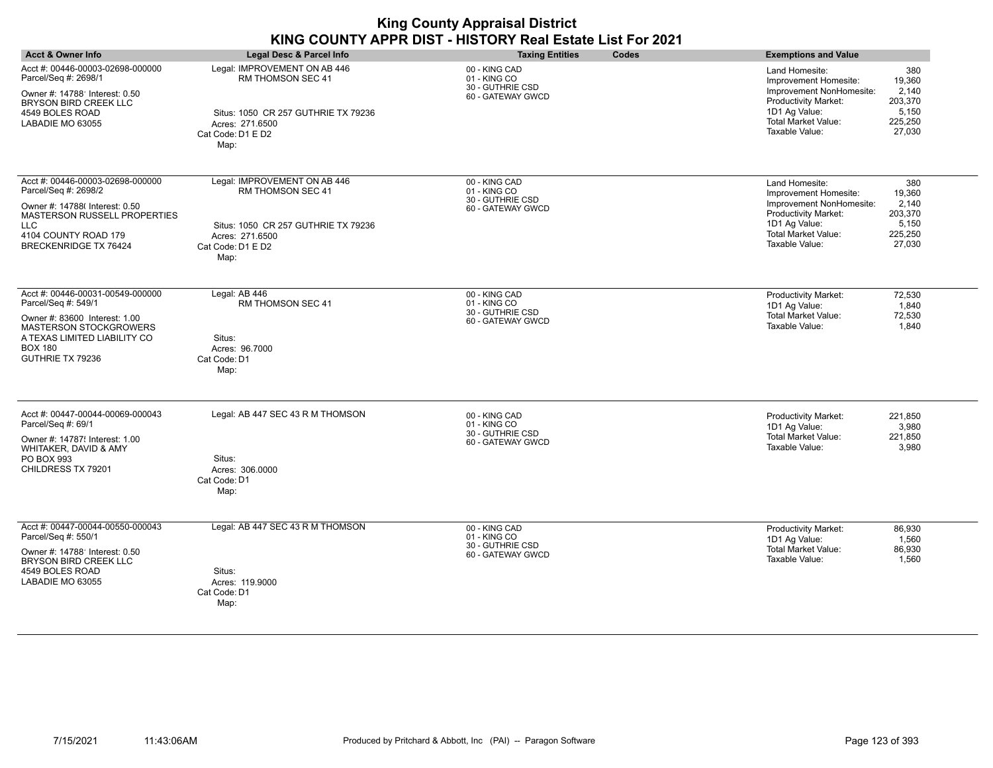| <b>Acct &amp; Owner Info</b>                                                                                                                                                                     | Legal Desc & Parcel Info                                                                                                                 | <b>Taxing Entities</b>                                                 | Codes | <b>Exemptions and Value</b>                                                                                                                                  |                                                                 |
|--------------------------------------------------------------------------------------------------------------------------------------------------------------------------------------------------|------------------------------------------------------------------------------------------------------------------------------------------|------------------------------------------------------------------------|-------|--------------------------------------------------------------------------------------------------------------------------------------------------------------|-----------------------------------------------------------------|
| Acct #: 00446-00003-02698-000000<br>Parcel/Seq #: 2698/1<br>Owner #: 14788' Interest: 0.50<br>BRYSON BIRD CREEK LLC<br>4549 BOLES ROAD<br>LABADIE MO 63055                                       | Legal: IMPROVEMENT ON AB 446<br>RM THOMSON SEC 41<br>Situs: 1050 CR 257 GUTHRIE TX 79236<br>Acres: 271.6500<br>Cat Code: D1 E D2<br>Map: | 00 - KING CAD<br>01 - KING CO<br>30 - GUTHRIE CSD<br>60 - GATEWAY GWCD |       | Land Homesite:<br>Improvement Homesite:<br>Improvement NonHomesite:<br>Productivity Market:<br>1D1 Ag Value:<br><b>Total Market Value:</b><br>Taxable Value: | 380<br>19,360<br>2,140<br>203,370<br>5,150<br>225,250<br>27,030 |
| Acct #: 00446-00003-02698-000000<br>Parcel/Seq #: 2698/2<br>Owner #: 14788( Interest: 0.50<br>MASTERSON RUSSELL PROPERTIES<br><b>LLC</b><br>4104 COUNTY ROAD 179<br><b>BRECKENRIDGE TX 76424</b> | Legal: IMPROVEMENT ON AB 446<br>RM THOMSON SEC 41<br>Situs: 1050 CR 257 GUTHRIE TX 79236<br>Acres: 271.6500<br>Cat Code: D1 E D2<br>Map: | 00 - KING CAD<br>01 - KING CO<br>30 - GUTHRIE CSD<br>60 - GATEWAY GWCD |       | Land Homesite:<br>Improvement Homesite:<br>Improvement NonHomesite:<br><b>Productivity Market:</b><br>1D1 Ag Value:<br>Total Market Value:<br>Taxable Value: | 380<br>19,360<br>2,140<br>203,370<br>5,150<br>225,250<br>27,030 |
| Acct #: 00446-00031-00549-000000<br>Parcel/Seq #: 549/1<br>Owner #: 83600 Interest: 1.00<br><b>MASTERSON STOCKGROWERS</b><br>A TEXAS LIMITED LIABILITY CO<br><b>BOX 180</b><br>GUTHRIE TX 79236  | Legal: AB 446<br><b>RM THOMSON SEC 41</b><br>Situs:<br>Acres: 96.7000<br>Cat Code: D1<br>Map:                                            | 00 - KING CAD<br>01 - KING CO<br>30 - GUTHRIE CSD<br>60 - GATEWAY GWCD |       | <b>Productivity Market:</b><br>1D1 Ag Value:<br><b>Total Market Value:</b><br>Taxable Value:                                                                 | 72,530<br>1.840<br>72,530<br>1,840                              |
| Acct #: 00447-00044-00069-000043<br>Parcel/Seq #: 69/1<br>Owner #: 14787! Interest: 1.00<br>WHITAKER, DAVID & AMY<br><b>PO BOX 993</b><br>CHILDRESS TX 79201                                     | Legal: AB 447 SEC 43 R M THOMSON<br>Situs:<br>Acres: 306.0000<br>Cat Code: D1<br>Map:                                                    | 00 - KING CAD<br>01 - KING CO<br>30 - GUTHRIE CSD<br>60 - GATEWAY GWCD |       | <b>Productivity Market:</b><br>1D1 Ag Value:<br><b>Total Market Value:</b><br>Taxable Value:                                                                 | 221,850<br>3,980<br>221,850<br>3,980                            |
| Acct #: 00447-00044-00550-000043<br>Parcel/Seq #: 550/1<br>Owner #: 14788' Interest: 0.50<br>BRYSON BIRD CREEK LLC<br>4549 BOLES ROAD<br>LABADIE MO 63055                                        | Legal: AB 447 SEC 43 R M THOMSON<br>Situs:<br>Acres: 119.9000<br>Cat Code: D1<br>Map:                                                    | 00 - KING CAD<br>01 - KING CO<br>30 - GUTHRIE CSD<br>60 - GATEWAY GWCD |       | Productivity Market:<br>1D1 Ag Value:<br><b>Total Market Value:</b><br>Taxable Value:                                                                        | 86,930<br>1,560<br>86,930<br>1,560                              |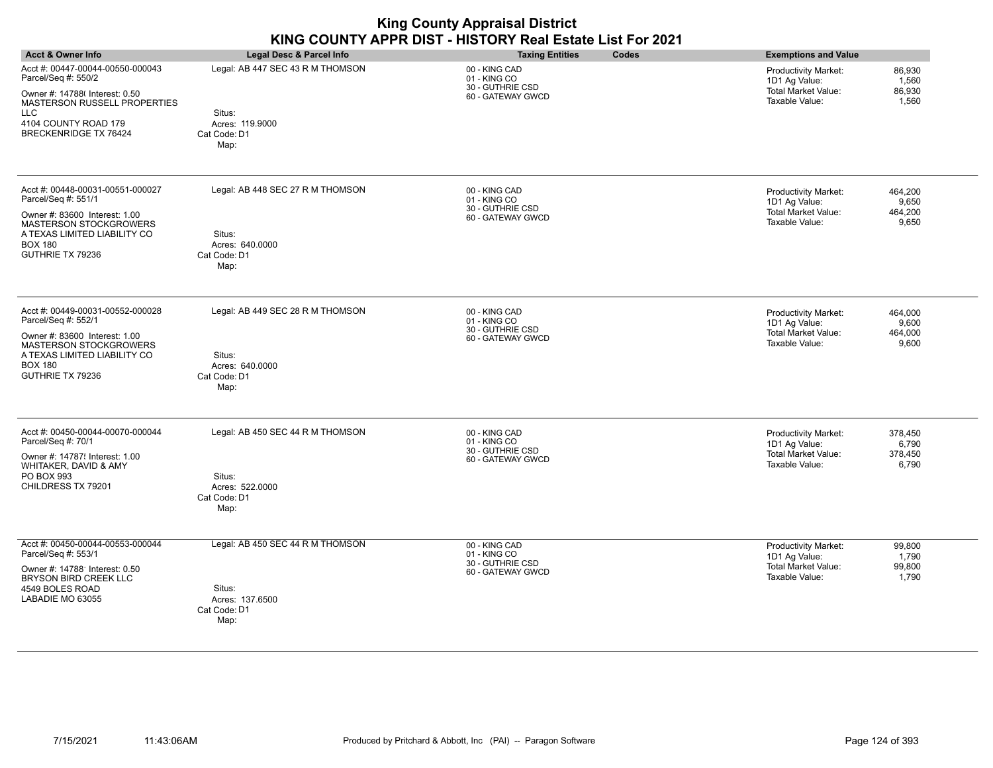| <b>Acct &amp; Owner Info</b>                                                                                                                                                                    | <b>Legal Desc &amp; Parcel Info</b>                                                   | <b>Taxing Entities</b><br>Codes                                        | <b>Exemptions and Value</b>                                                                                                          |
|-------------------------------------------------------------------------------------------------------------------------------------------------------------------------------------------------|---------------------------------------------------------------------------------------|------------------------------------------------------------------------|--------------------------------------------------------------------------------------------------------------------------------------|
| Acct #: 00447-00044-00550-000043<br>Parcel/Seq #: 550/2<br>Owner #: 14788( Interest: 0.50<br>MASTERSON RUSSELL PROPERTIES<br><b>LLC</b><br>4104 COUNTY ROAD 179<br><b>BRECKENRIDGE TX 76424</b> | Legal: AB 447 SEC 43 R M THOMSON<br>Situs:<br>Acres: 119.9000<br>Cat Code: D1<br>Map: | 00 - KING CAD<br>01 - KING CO<br>30 - GUTHRIE CSD<br>60 - GATEWAY GWCD | 86,930<br><b>Productivity Market:</b><br>1D1 Ag Value:<br>1,560<br><b>Total Market Value:</b><br>86,930<br>Taxable Value:<br>1,560   |
| Acct #: 00448-00031-00551-000027<br>Parcel/Seq #: 551/1<br>Owner #: 83600 Interest: 1.00<br><b>MASTERSON STOCKGROWERS</b><br>A TEXAS LIMITED LIABILITY CO<br><b>BOX 180</b><br>GUTHRIE TX 79236 | Legal: AB 448 SEC 27 R M THOMSON<br>Situs:<br>Acres: 640,0000<br>Cat Code: D1<br>Map: | 00 - KING CAD<br>01 - KING CO<br>30 - GUTHRIE CSD<br>60 - GATEWAY GWCD | <b>Productivity Market:</b><br>464,200<br>9,650<br>1D1 Ag Value:<br><b>Total Market Value:</b><br>464,200<br>Taxable Value:<br>9,650 |
| Acct #: 00449-00031-00552-000028<br>Parcel/Seq #: 552/1<br>Owner #: 83600 Interest: 1.00<br><b>MASTERSON STOCKGROWERS</b><br>A TEXAS LIMITED LIABILITY CO<br><b>BOX 180</b><br>GUTHRIE TX 79236 | Legal: AB 449 SEC 28 R M THOMSON<br>Situs:<br>Acres: 640.0000<br>Cat Code: D1<br>Map: | 00 - KING CAD<br>01 - KING CO<br>30 - GUTHRIE CSD<br>60 - GATEWAY GWCD | 464,000<br>Productivity Market:<br>9,600<br>1D1 Ag Value:<br><b>Total Market Value:</b><br>464,000<br>Taxable Value:<br>9,600        |
| Acct #: 00450-00044-00070-000044<br>Parcel/Seq #: 70/1<br>Owner #: 14787! Interest: 1.00<br>WHITAKER, DAVID & AMY<br>PO BOX 993<br>CHILDRESS TX 79201                                           | Legal: AB 450 SEC 44 R M THOMSON<br>Situs:<br>Acres: 522.0000<br>Cat Code: D1<br>Map: | 00 - KING CAD<br>01 - KING CO<br>30 - GUTHRIE CSD<br>60 - GATEWAY GWCD | Productivity Market:<br>378,450<br>1D1 Ag Value:<br>6,790<br><b>Total Market Value:</b><br>378,450<br>Taxable Value:<br>6,790        |
| Acct #: 00450-00044-00553-000044<br>Parcel/Seq #: 553/1<br>Owner #: 14788' Interest: 0.50<br>BRYSON BIRD CREEK LLC<br>4549 BOLES ROAD<br>LABADIE MO 63055                                       | Legal: AB 450 SEC 44 R M THOMSON<br>Situs:<br>Acres: 137.6500<br>Cat Code: D1<br>Map: | 00 - KING CAD<br>01 - KING CO<br>30 - GUTHRIE CSD<br>60 - GATEWAY GWCD | <b>Productivity Market:</b><br>99,800<br>1D1 Ag Value:<br>1,790<br><b>Total Market Value:</b><br>99,800<br>Taxable Value:<br>1,790   |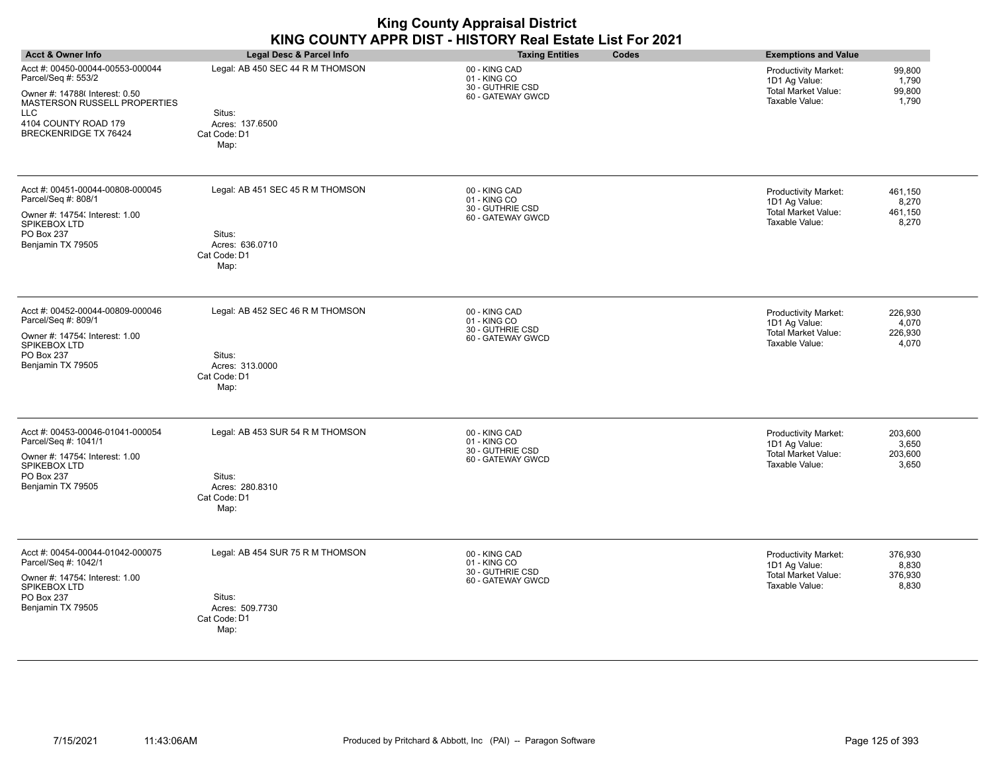| <b>Acct &amp; Owner Info</b>                                                                                                                                                                    | Legal Desc & Parcel Info                                                              | <b>Taxing Entities</b><br>Codes                                        | <b>Exemptions and Value</b>                                                                                                   |
|-------------------------------------------------------------------------------------------------------------------------------------------------------------------------------------------------|---------------------------------------------------------------------------------------|------------------------------------------------------------------------|-------------------------------------------------------------------------------------------------------------------------------|
| Acct #: 00450-00044-00553-000044<br>Parcel/Seq #: 553/2<br>Owner #: 14788( Interest: 0.50<br>MASTERSON RUSSELL PROPERTIES<br><b>LLC</b><br>4104 COUNTY ROAD 179<br><b>BRECKENRIDGE TX 76424</b> | Legal: AB 450 SEC 44 R M THOMSON<br>Situs:<br>Acres: 137.6500<br>Cat Code: D1<br>Map: | 00 - KING CAD<br>01 - KING CO<br>30 - GUTHRIE CSD<br>60 - GATEWAY GWCD | 99,800<br>Productivity Market:<br>1D1 Ag Value:<br>1,790<br><b>Total Market Value:</b><br>99,800<br>1,790<br>Taxable Value:   |
| Acct #: 00451-00044-00808-000045<br>Parcel/Seq #: 808/1<br>Owner #: 14754; Interest: 1.00<br>SPIKEBOX LTD<br>PO Box 237<br>Benjamin TX 79505                                                    | Legal: AB 451 SEC 45 R M THOMSON<br>Situs:<br>Acres: 636.0710<br>Cat Code: D1<br>Map: | 00 - KING CAD<br>01 - KING CO<br>30 - GUTHRIE CSD<br>60 - GATEWAY GWCD | Productivity Market:<br>461,150<br>1D1 Ag Value:<br>8,270<br>Total Market Value:<br>461,150<br>Taxable Value:<br>8,270        |
| Acct #: 00452-00044-00809-000046<br>Parcel/Seq #: 809/1<br>Owner #: 14754; Interest: 1.00<br>SPIKEBOX LTD<br>PO Box 237<br>Benjamin TX 79505                                                    | Legal: AB 452 SEC 46 R M THOMSON<br>Situs:<br>Acres: 313.0000<br>Cat Code: D1<br>Map: | 00 - KING CAD<br>01 - KING CO<br>30 - GUTHRIE CSD<br>60 - GATEWAY GWCD | Productivity Market:<br>226,930<br>1D1 Ag Value:<br>4,070<br><b>Total Market Value:</b><br>226,930<br>Taxable Value:<br>4,070 |
| Acct #: 00453-00046-01041-000054<br>Parcel/Seq #: 1041/1<br>Owner #: 14754; Interest: 1.00<br>SPIKEBOX LTD<br>PO Box 237<br>Benjamin TX 79505                                                   | Legal: AB 453 SUR 54 R M THOMSON<br>Situs:<br>Acres: 280.8310<br>Cat Code: D1<br>Map: | 00 - KING CAD<br>01 - KING CO<br>30 - GUTHRIE CSD<br>60 - GATEWAY GWCD | Productivity Market:<br>203,600<br>1D1 Ag Value:<br>3,650<br><b>Total Market Value:</b><br>203,600<br>3,650<br>Taxable Value: |
| Acct #: 00454-00044-01042-000075<br>Parcel/Seq #: 1042/1<br>Owner #: 14754; Interest: 1.00<br><b>SPIKEBOX LTD</b><br>PO Box 237<br>Benjamin TX 79505                                            | Legal: AB 454 SUR 75 R M THOMSON<br>Situs:<br>Acres: 509.7730<br>Cat Code: D1<br>Map: | 00 - KING CAD<br>01 - KING CO<br>30 - GUTHRIE CSD<br>60 - GATEWAY GWCD | 376,930<br>Productivity Market:<br>8,830<br>1D1 Ag Value:<br>Total Market Value:<br>376,930<br>Taxable Value:<br>8,830        |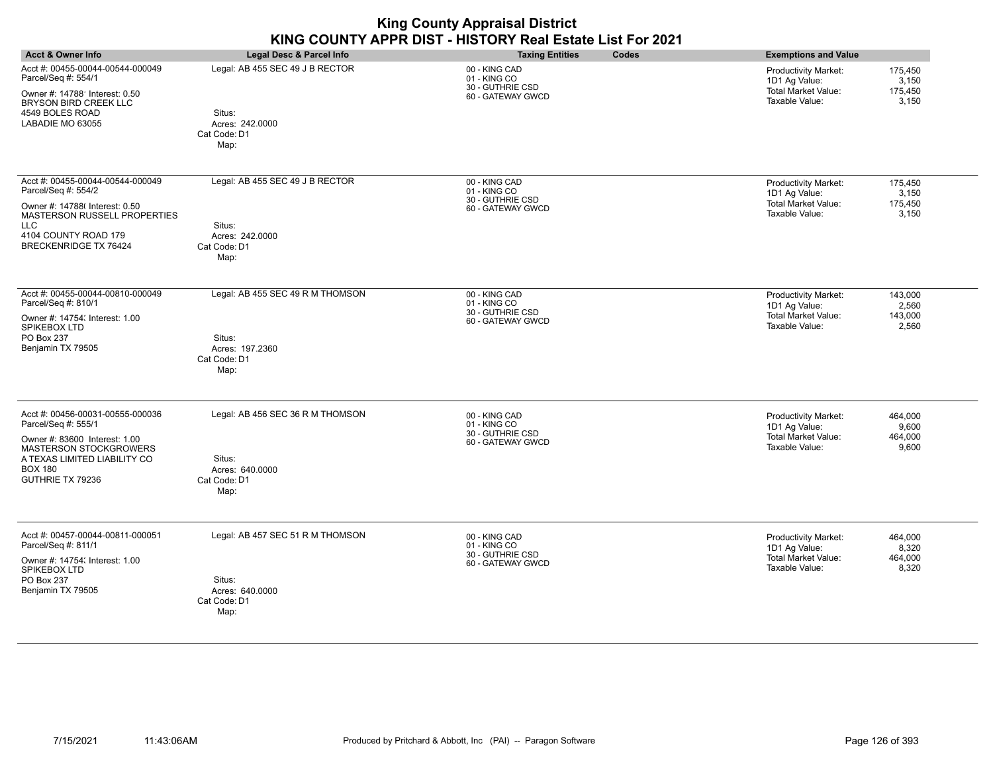| <b>King County Appraisal District</b>                     |  |
|-----------------------------------------------------------|--|
| KING COUNTY APPR DIST - HISTORY Real Estate List For 2021 |  |

|                                                                                                                                                                                                        | <u>ו טוש זו ואז ו וויטט טאנוזו</u>                                                    | vı                                                                     |                                                                                                                               |
|--------------------------------------------------------------------------------------------------------------------------------------------------------------------------------------------------------|---------------------------------------------------------------------------------------|------------------------------------------------------------------------|-------------------------------------------------------------------------------------------------------------------------------|
| <b>Acct &amp; Owner Info</b>                                                                                                                                                                           | Legal Desc & Parcel Info                                                              | <b>Taxing Entities</b><br>Codes                                        | <b>Exemptions and Value</b>                                                                                                   |
| Acct #: 00455-00044-00544-000049<br>Parcel/Seq #: 554/1<br>Owner #: 14788' Interest: 0.50<br>BRYSON BIRD CREEK LLC<br>4549 BOLES ROAD<br>LABADIE MO 63055                                              | Legal: AB 455 SEC 49 J B RECTOR<br>Situs:<br>Acres: 242.0000<br>Cat Code: D1<br>Map:  | 00 - KING CAD<br>01 - KING CO<br>30 - GUTHRIE CSD<br>60 - GATEWAY GWCD | 175,450<br><b>Productivity Market:</b><br>1D1 Ag Value:<br>3,150<br>Total Market Value:<br>175,450<br>Taxable Value:<br>3,150 |
| Acct #: 00455-00044-00544-000049<br>Parcel/Seq #: 554/2<br>Owner #: 14788( Interest: 0.50<br><b>MASTERSON RUSSELL PROPERTIES</b><br><b>LLC</b><br>4104 COUNTY ROAD 179<br><b>BRECKENRIDGE TX 76424</b> | Legal: AB 455 SEC 49 J B RECTOR<br>Situs:<br>Acres: 242.0000<br>Cat Code: D1<br>Map:  | 00 - KING CAD<br>01 - KING CO<br>30 - GUTHRIE CSD<br>60 - GATEWAY GWCD | 175,450<br>Productivity Market:<br>1D1 Ag Value:<br>3,150<br><b>Total Market Value:</b><br>175,450<br>Taxable Value:<br>3,150 |
| Acct #: 00455-00044-00810-000049<br>Parcel/Seq #: 810/1<br>Owner #: 14754; Interest: 1.00<br>SPIKEBOX LTD<br>PO Box 237<br>Benjamin TX 79505                                                           | Legal: AB 455 SEC 49 R M THOMSON<br>Situs:<br>Acres: 197.2360<br>Cat Code: D1<br>Map: | 00 - KING CAD<br>01 - KING CO<br>30 - GUTHRIE CSD<br>60 - GATEWAY GWCD | 143,000<br>Productivity Market:<br>1D1 Ag Value:<br>2,560<br><b>Total Market Value:</b><br>143,000<br>Taxable Value:<br>2,560 |
| Acct #: 00456-00031-00555-000036<br>Parcel/Seq #: 555/1<br>Owner #: 83600 Interest: 1.00<br>MASTERSON STOCKGROWERS<br>A TEXAS LIMITED LIABILITY CO<br><b>BOX 180</b><br>GUTHRIE TX 79236               | Legal: AB 456 SEC 36 R M THOMSON<br>Situs:<br>Acres: 640.0000<br>Cat Code: D1<br>Map: | 00 - KING CAD<br>01 - KING CO<br>30 - GUTHRIE CSD<br>60 - GATEWAY GWCD | Productivity Market:<br>464,000<br>1D1 Ag Value:<br>9,600<br><b>Total Market Value:</b><br>464,000<br>9,600<br>Taxable Value: |
| Acct #: 00457-00044-00811-000051<br>Parcel/Seq #: 811/1<br>Owner #: 14754; Interest: 1.00<br>SPIKEBOX LTD<br><b>PO Box 237</b><br>Benjamin TX 79505                                                    | Legal: AB 457 SEC 51 R M THOMSON<br>Situs:<br>Acres: 640.0000<br>Cat Code: D1<br>Map: | 00 - KING CAD<br>01 - KING CO<br>30 - GUTHRIE CSD<br>60 - GATEWAY GWCD | Productivity Market:<br>464,000<br>8,320<br>1D1 Ag Value:<br><b>Total Market Value:</b><br>464,000<br>Taxable Value:<br>8,320 |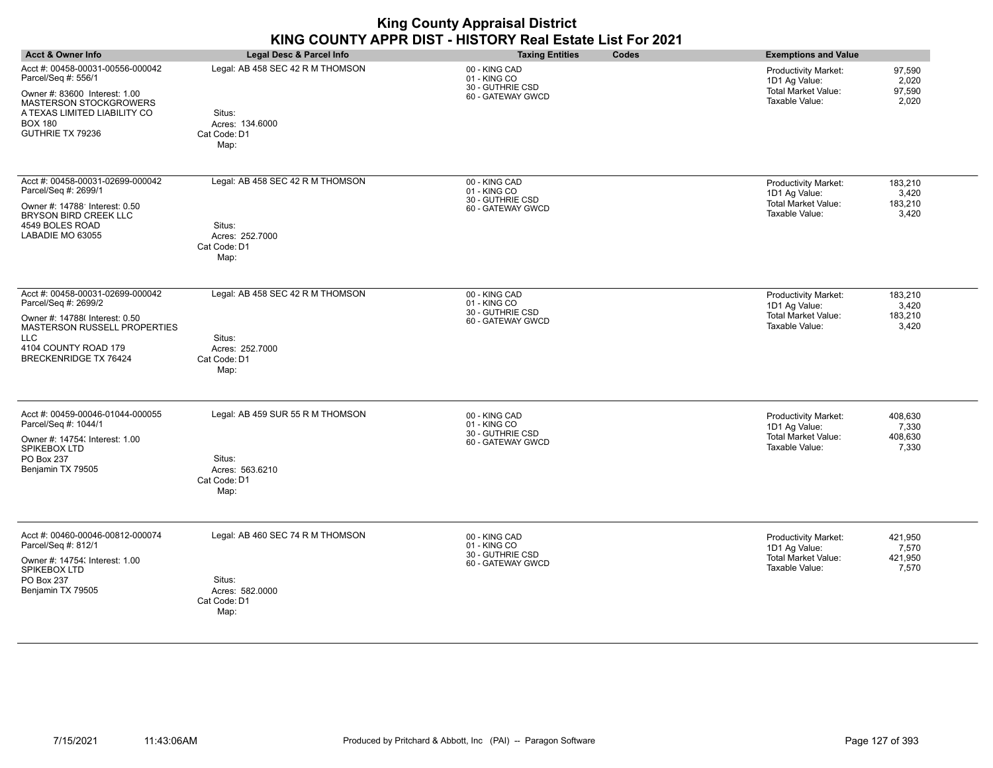| <b>Acct &amp; Owner Info</b>                                                                                                                                                                     | Legal Desc & Parcel Info                                                              | <b>Taxing Entities</b><br>Codes                                        | <b>Exemptions and Value</b>                                                                                                          |
|--------------------------------------------------------------------------------------------------------------------------------------------------------------------------------------------------|---------------------------------------------------------------------------------------|------------------------------------------------------------------------|--------------------------------------------------------------------------------------------------------------------------------------|
| Acct #: 00458-00031-00556-000042<br>Parcel/Seq #: 556/1<br>Owner #: 83600 Interest: 1.00<br>MASTERSON STOCKGROWERS<br>A TEXAS LIMITED LIABILITY CO<br><b>BOX 180</b><br>GUTHRIE TX 79236         | Legal: AB 458 SEC 42 R M THOMSON<br>Situs:<br>Acres: 134,6000<br>Cat Code: D1<br>Map: | 00 - KING CAD<br>01 - KING CO<br>30 - GUTHRIE CSD<br>60 - GATEWAY GWCD | 97,590<br><b>Productivity Market:</b><br>2,020<br>1D1 Ag Value:<br><b>Total Market Value:</b><br>97,590<br>Taxable Value:<br>2,020   |
| Acct #: 00458-00031-02699-000042<br>Parcel/Seq #: 2699/1<br>Owner #: 14788' Interest: 0.50<br>BRYSON BIRD CREEK LLC<br>4549 BOLES ROAD<br>LABADIE MO 63055                                       | Legal: AB 458 SEC 42 R M THOMSON<br>Situs:<br>Acres: 252.7000<br>Cat Code: D1<br>Map: | 00 - KING CAD<br>01 - KING CO<br>30 - GUTHRIE CSD<br>60 - GATEWAY GWCD | <b>Productivity Market:</b><br>183,210<br>1D1 Ag Value:<br>3,420<br><b>Total Market Value:</b><br>183,210<br>Taxable Value:<br>3,420 |
| Acct #: 00458-00031-02699-000042<br>Parcel/Seq #: 2699/2<br>Owner #: 14788( Interest: 0.50<br>MASTERSON RUSSELL PROPERTIES<br><b>LLC</b><br>4104 COUNTY ROAD 179<br><b>BRECKENRIDGE TX 76424</b> | Legal: AB 458 SEC 42 R M THOMSON<br>Situs:<br>Acres: 252.7000<br>Cat Code: D1<br>Map: | 00 - KING CAD<br>01 - KING CO<br>30 - GUTHRIE CSD<br>60 - GATEWAY GWCD | 183,210<br><b>Productivity Market:</b><br>1D1 Ag Value:<br>3,420<br><b>Total Market Value:</b><br>183,210<br>Taxable Value:<br>3,420 |
| Acct #: 00459-00046-01044-000055<br>Parcel/Seq #: 1044/1<br>Owner #: 14754; Interest: 1.00<br>SPIKEBOX LTD<br>PO Box 237<br>Benjamin TX 79505                                                    | Legal: AB 459 SUR 55 R M THOMSON<br>Situs:<br>Acres: 563.6210<br>Cat Code: D1<br>Map: | 00 - KING CAD<br>01 - KING CO<br>30 - GUTHRIE CSD<br>60 - GATEWAY GWCD | <b>Productivity Market:</b><br>408,630<br>1D1 Ag Value:<br>7,330<br>Total Market Value:<br>408,630<br>Taxable Value:<br>7,330        |
| Acct #: 00460-00046-00812-000074<br>Parcel/Seq #: 812/1<br>Owner #: 14754; Interest: 1.00<br>SPIKEBOX LTD<br>PO Box 237<br>Benjamin TX 79505                                                     | Legal: AB 460 SEC 74 R M THOMSON<br>Situs:<br>Acres: 582.0000<br>Cat Code: D1<br>Map: | 00 - KING CAD<br>01 - KING CO<br>30 - GUTHRIE CSD<br>60 - GATEWAY GWCD | <b>Productivity Market:</b><br>421,950<br>1D1 Ag Value:<br>7,570<br><b>Total Market Value:</b><br>421,950<br>Taxable Value:<br>7,570 |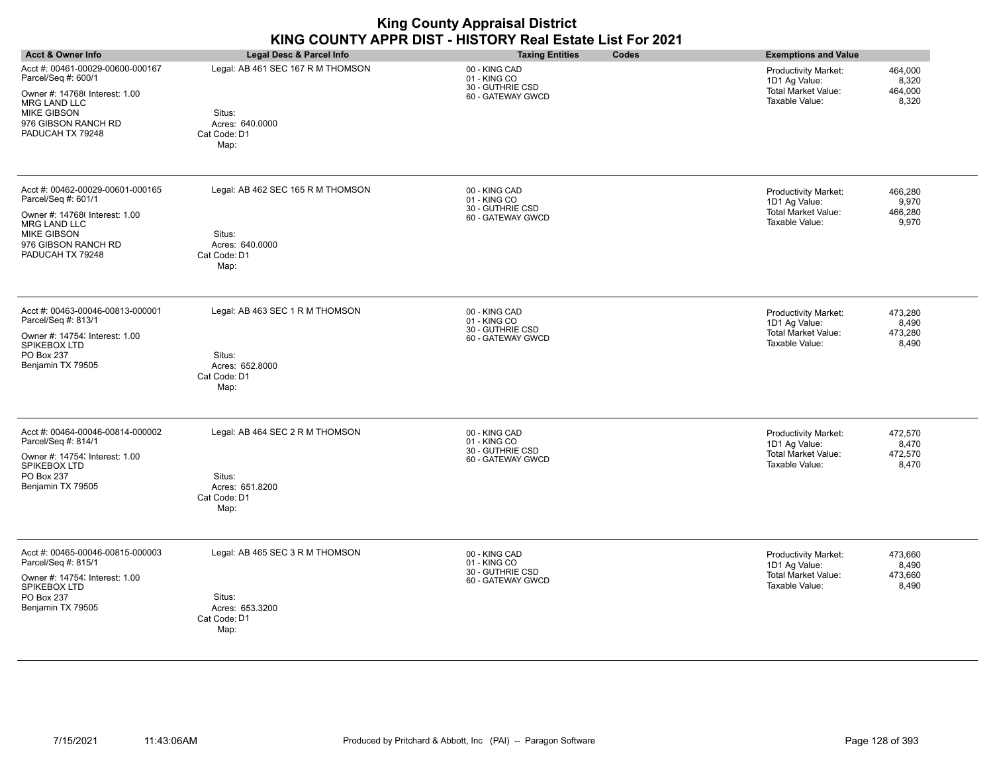| <b>Acct &amp; Owner Info</b>                                                                                                                                                      | Legal Desc & Parcel Info                                                               | <b>Taxing Entities</b><br>Codes                                        | <b>Exemptions and Value</b>                                                                                                          |
|-----------------------------------------------------------------------------------------------------------------------------------------------------------------------------------|----------------------------------------------------------------------------------------|------------------------------------------------------------------------|--------------------------------------------------------------------------------------------------------------------------------------|
| Acct #: 00461-00029-00600-000167<br>Parcel/Seq #: 600/1<br>Owner #: 14768( Interest: 1.00<br><b>MRG LAND LLC</b><br><b>MIKE GIBSON</b><br>976 GIBSON RANCH RD<br>PADUCAH TX 79248 | Legal: AB 461 SEC 167 R M THOMSON<br>Situs:<br>Acres: 640.0000<br>Cat Code: D1<br>Map: | 00 - KING CAD<br>01 - KING CO<br>30 - GUTHRIE CSD<br>60 - GATEWAY GWCD | 464,000<br><b>Productivity Market:</b><br>1D1 Ag Value:<br>8,320<br><b>Total Market Value:</b><br>464,000<br>Taxable Value:<br>8,320 |
| Acct #: 00462-00029-00601-000165<br>Parcel/Seq #: 601/1<br>Owner #: 14768( Interest: 1.00<br><b>MRG LAND LLC</b><br><b>MIKE GIBSON</b><br>976 GIBSON RANCH RD<br>PADUCAH TX 79248 | Legal: AB 462 SEC 165 R M THOMSON<br>Situs:<br>Acres: 640.0000<br>Cat Code: D1<br>Map: | 00 - KING CAD<br>01 - KING CO<br>30 - GUTHRIE CSD<br>60 - GATEWAY GWCD | 466,280<br>Productivity Market:<br>1D1 Ag Value:<br>9,970<br><b>Total Market Value:</b><br>466,280<br>Taxable Value:<br>9,970        |
| Acct #: 00463-00046-00813-000001<br>Parcel/Seq #: 813/1<br>Owner #: 14754; Interest: 1.00<br>SPIKEBOX LTD<br>PO Box 237<br>Benjamin TX 79505                                      | Legal: AB 463 SEC 1 R M THOMSON<br>Situs:<br>Acres: 652.8000<br>Cat Code: D1<br>Map:   | 00 - KING CAD<br>01 - KING CO<br>30 - GUTHRIE CSD<br>60 - GATEWAY GWCD | Productivity Market:<br>473,280<br>1D1 Ag Value:<br>8,490<br><b>Total Market Value:</b><br>473,280<br>Taxable Value:<br>8,490        |
| Acct #: 00464-00046-00814-000002<br>Parcel/Seq #: 814/1<br>Owner #: 14754; Interest: 1.00<br>SPIKEBOX LTD<br>PO Box 237<br>Benjamin TX 79505                                      | Legal: AB 464 SEC 2 R M THOMSON<br>Situs:<br>Acres: 651.8200<br>Cat Code: D1<br>Map:   | 00 - KING CAD<br>01 - KING CO<br>30 - GUTHRIE CSD<br>60 - GATEWAY GWCD | 472,570<br><b>Productivity Market:</b><br>1D1 Ag Value:<br>8,470<br><b>Total Market Value:</b><br>472,570<br>Taxable Value:<br>8,470 |
| Acct #: 00465-00046-00815-000003<br>Parcel/Seq #: 815/1<br>Owner #: 14754; Interest: 1.00<br>SPIKEBOX LTD<br>PO Box 237<br>Benjamin TX 79505                                      | Legal: AB 465 SEC 3 R M THOMSON<br>Situs:<br>Acres: 653.3200<br>Cat Code: D1<br>Map:   | 00 - KING CAD<br>01 - KING CO<br>30 - GUTHRIE CSD<br>60 - GATEWAY GWCD | <b>Productivity Market:</b><br>473,660<br>8,490<br>1D1 Ag Value:<br><b>Total Market Value:</b><br>473,660<br>Taxable Value:<br>8,490 |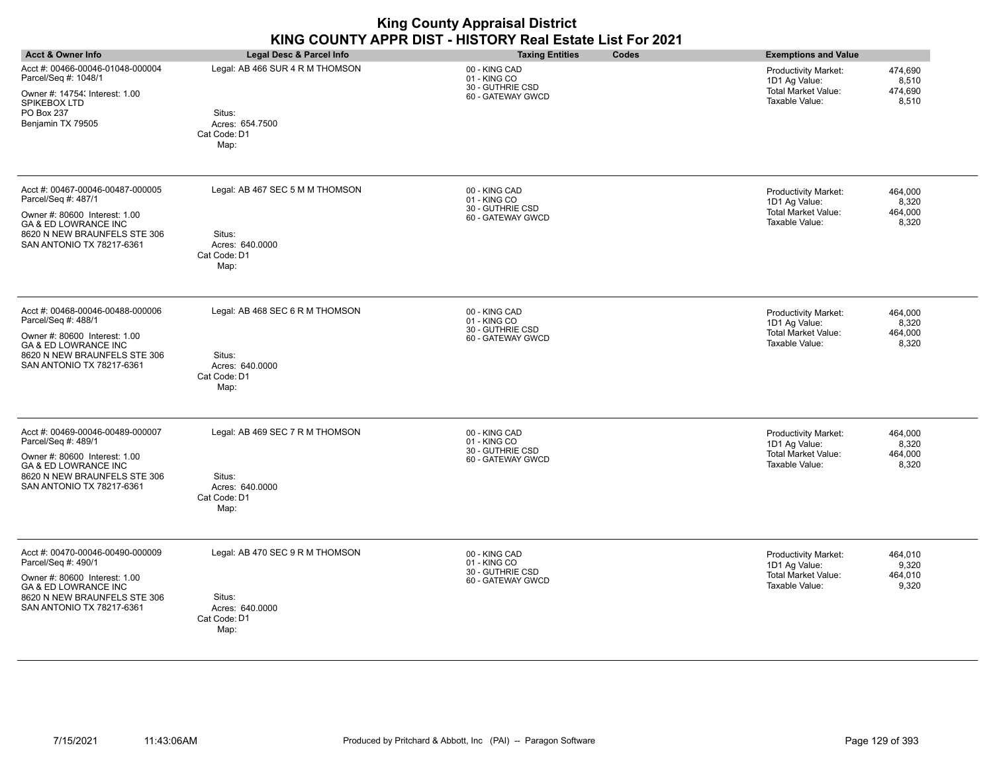| <b>Acct &amp; Owner Info</b>                                                                                                                                                  | Legal Desc & Parcel Info                                                             | <b>Taxing Entities</b><br>Codes                                        | <b>Exemptions and Value</b>                                                                                                   |
|-------------------------------------------------------------------------------------------------------------------------------------------------------------------------------|--------------------------------------------------------------------------------------|------------------------------------------------------------------------|-------------------------------------------------------------------------------------------------------------------------------|
| Acct #: 00466-00046-01048-000004<br>Parcel/Seq #: 1048/1<br>Owner #: 14754; Interest: 1.00<br>SPIKEBOX LTD<br>PO Box 237<br>Benjamin TX 79505                                 | Legal: AB 466 SUR 4 R M THOMSON<br>Situs:<br>Acres: 654.7500<br>Cat Code: D1<br>Map: | 00 - KING CAD<br>01 - KING CO<br>30 - GUTHRIE CSD<br>60 - GATEWAY GWCD | Productivity Market:<br>474,690<br>8,510<br>1D1 Ag Value:<br><b>Total Market Value:</b><br>474,690<br>Taxable Value:<br>8,510 |
| Acct #: 00467-00046-00487-000005<br>Parcel/Seq #: 487/1<br>Owner #: 80600 Interest: 1.00<br>GA & ED LOWRANCE INC<br>8620 N NEW BRAUNFELS STE 306<br>SAN ANTONIO TX 78217-6361 | Legal: AB 467 SEC 5 M M THOMSON<br>Situs:<br>Acres: 640.0000<br>Cat Code: D1<br>Map: | 00 - KING CAD<br>01 - KING CO<br>30 - GUTHRIE CSD<br>60 - GATEWAY GWCD | 464,000<br>Productivity Market:<br>1D1 Ag Value:<br>8,320<br><b>Total Market Value:</b><br>464,000<br>Taxable Value:<br>8,320 |
| Acct #: 00468-00046-00488-000006<br>Parcel/Seq #: 488/1<br>Owner #: 80600 Interest: 1.00<br>GA & ED LOWRANCE INC<br>8620 N NEW BRAUNFELS STE 306<br>SAN ANTONIO TX 78217-6361 | Legal: AB 468 SEC 6 R M THOMSON<br>Situs:<br>Acres: 640.0000<br>Cat Code: D1<br>Map: | 00 - KING CAD<br>01 - KING CO<br>30 - GUTHRIE CSD<br>60 - GATEWAY GWCD | 464,000<br>Productivity Market:<br>1D1 Ag Value:<br>8,320<br><b>Total Market Value:</b><br>464,000<br>Taxable Value:<br>8,320 |
| Acct #: 00469-00046-00489-000007<br>Parcel/Seq #: 489/1<br>Owner #: 80600 Interest: 1.00<br>GA & ED LOWRANCE INC<br>8620 N NEW BRAUNFELS STE 306<br>SAN ANTONIO TX 78217-6361 | Legal: AB 469 SEC 7 R M THOMSON<br>Situs:<br>Acres: 640.0000<br>Cat Code: D1<br>Map: | 00 - KING CAD<br>01 - KING CO<br>30 - GUTHRIE CSD<br>60 - GATEWAY GWCD | 464,000<br>Productivity Market:<br>1D1 Ag Value:<br>8,320<br>Total Market Value:<br>464,000<br>Taxable Value:<br>8,320        |
| Acct #: 00470-00046-00490-000009<br>Parcel/Seq #: 490/1<br>Owner #: 80600 Interest: 1.00<br>GA & ED LOWRANCE INC<br>8620 N NEW BRAUNFELS STE 306<br>SAN ANTONIO TX 78217-6361 | Legal: AB 470 SEC 9 R M THOMSON<br>Situs:<br>Acres: 640.0000<br>Cat Code: D1<br>Map: | 00 - KING CAD<br>01 - KING CO<br>30 - GUTHRIE CSD<br>60 - GATEWAY GWCD | Productivity Market:<br>464,010<br>1D1 Ag Value:<br>9,320<br><b>Total Market Value:</b><br>464,010<br>9,320<br>Taxable Value: |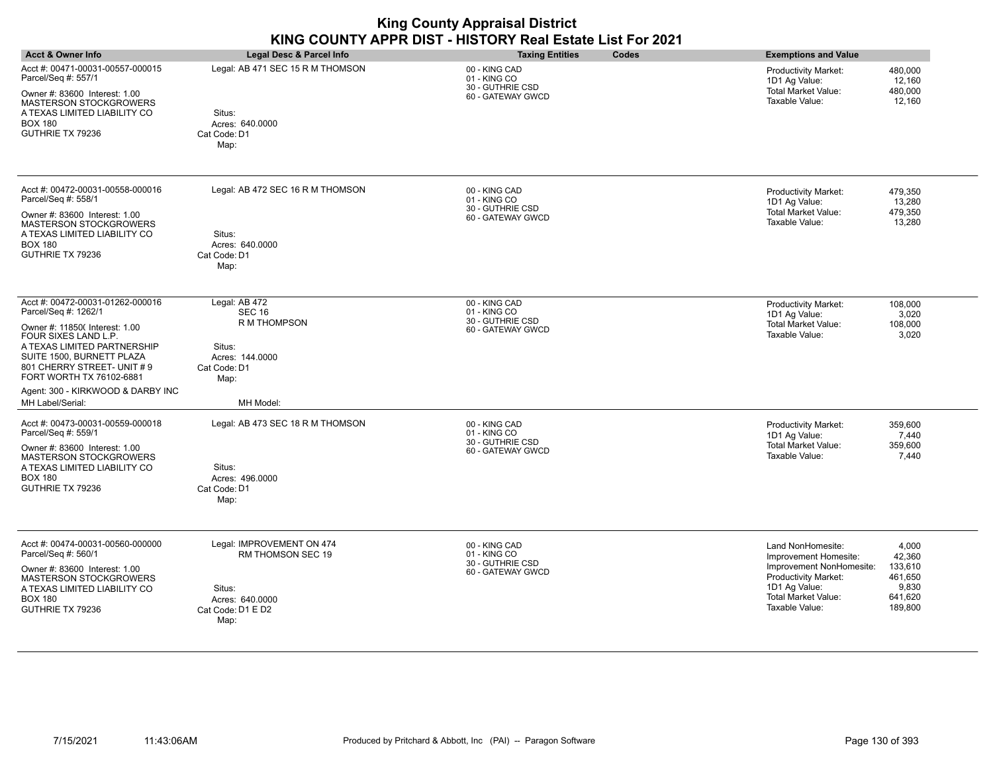| <b>Acct &amp; Owner Info</b>                                                                                                                                                                                                                                                                      | <b>Legal Desc &amp; Parcel Info</b>                                                                              | <b>Taxing Entities</b><br>Codes                                        | <b>Exemptions and Value</b>                                                                                                                                                                                                             |
|---------------------------------------------------------------------------------------------------------------------------------------------------------------------------------------------------------------------------------------------------------------------------------------------------|------------------------------------------------------------------------------------------------------------------|------------------------------------------------------------------------|-----------------------------------------------------------------------------------------------------------------------------------------------------------------------------------------------------------------------------------------|
| Acct #: 00471-00031-00557-000015<br>Parcel/Seq #: 557/1<br>Owner #: 83600 Interest: 1.00<br><b>MASTERSON STOCKGROWERS</b><br>A TEXAS LIMITED LIABILITY CO<br><b>BOX 180</b><br>GUTHRIE TX 79236                                                                                                   | Legal: AB 471 SEC 15 R M THOMSON<br>Situs:<br>Acres: 640.0000<br>Cat Code: D1<br>Map:                            | 00 - KING CAD<br>01 - KING CO<br>30 - GUTHRIE CSD<br>60 - GATEWAY GWCD | <b>Productivity Market:</b><br>480,000<br>12,160<br>1D1 Ag Value:<br>Total Market Value:<br>480,000<br>Taxable Value:<br>12,160                                                                                                         |
| Acct #: 00472-00031-00558-000016<br>Parcel/Seq #: 558/1<br>Owner #: 83600 Interest: 1.00<br>MASTERSON STOCKGROWERS<br>A TEXAS LIMITED LIABILITY CO<br><b>BOX 180</b><br>GUTHRIE TX 79236                                                                                                          | Legal: AB 472 SEC 16 R M THOMSON<br>Situs:<br>Acres: 640.0000<br>Cat Code: D1<br>Map:                            | 00 - KING CAD<br>01 - KING CO<br>30 - GUTHRIE CSD<br>60 - GATEWAY GWCD | Productivity Market:<br>479,350<br>13,280<br>1D1 Ag Value:<br><b>Total Market Value:</b><br>479,350<br>Taxable Value:<br>13,280                                                                                                         |
| Acct #: 00472-00031-01262-000016<br>Parcel/Seq #: 1262/1<br>Owner #: 11850( Interest: 1.00<br>FOUR SIXES LAND L.P.<br>A TEXAS LIMITED PARTNERSHIP<br>SUITE 1500, BURNETT PLAZA<br>801 CHERRY STREET- UNIT #9<br>FORT WORTH TX 76102-6881<br>Agent: 300 - KIRKWOOD & DARBY INC<br>MH Label/Serial: | Legal: AB 472<br><b>SEC 16</b><br>R M THOMPSON<br>Situs:<br>Acres: 144,0000<br>Cat Code: D1<br>Map:<br>MH Model: | 00 - KING CAD<br>01 - KING CO<br>30 - GUTHRIE CSD<br>60 - GATEWAY GWCD | Productivity Market:<br>108,000<br>3,020<br>1D1 Ag Value:<br>Total Market Value:<br>108,000<br>Taxable Value:<br>3,020                                                                                                                  |
| Acct #: 00473-00031-00559-000018<br>Parcel/Seq #: 559/1<br>Owner #: 83600 Interest: 1.00<br><b>MASTERSON STOCKGROWERS</b><br>A TEXAS LIMITED LIABILITY CO<br><b>BOX 180</b><br>GUTHRIE TX 79236                                                                                                   | Legal: AB 473 SEC 18 R M THOMSON<br>Situs:<br>Acres: 496.0000<br>Cat Code: D1<br>Map:                            | 00 - KING CAD<br>01 - KING CO<br>30 - GUTHRIE CSD<br>60 - GATEWAY GWCD | Productivity Market:<br>359,600<br>1D1 Ag Value:<br>7,440<br><b>Total Market Value:</b><br>359,600<br>Taxable Value:<br>7,440                                                                                                           |
| Acct #: 00474-00031-00560-000000<br>Parcel/Seq #: 560/1<br>Owner #: 83600 Interest: 1.00<br>MASTERSON STOCKGROWERS<br>A TEXAS LIMITED LIABILITY CO<br><b>BOX 180</b><br>GUTHRIE TX 79236                                                                                                          | Legal: IMPROVEMENT ON 474<br>RM THOMSON SEC 19<br>Situs:<br>Acres: 640.0000<br>Cat Code: D1 E D2<br>Map:         | 00 - KING CAD<br>01 - KING CO<br>30 - GUTHRIE CSD<br>60 - GATEWAY GWCD | Land NonHomesite:<br>4,000<br>42,360<br>Improvement Homesite:<br>133,610<br>Improvement NonHomesite:<br><b>Productivity Market:</b><br>461,650<br>1D1 Ag Value:<br>9,830<br>Total Market Value:<br>641,620<br>189,800<br>Taxable Value: |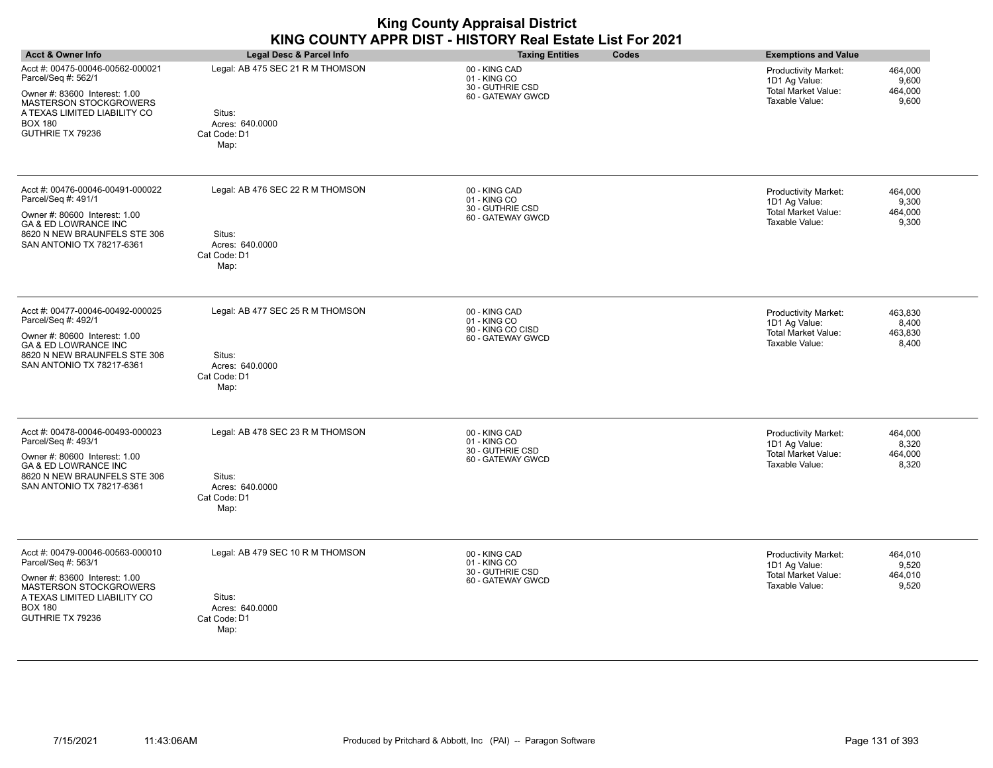| <b>Acct &amp; Owner Info</b>                                                                                                                                                             | Legal Desc & Parcel Info                                                              | <b>Taxing Entities</b><br>Codes                                         | <b>Exemptions and Value</b>                                                                                                   |
|------------------------------------------------------------------------------------------------------------------------------------------------------------------------------------------|---------------------------------------------------------------------------------------|-------------------------------------------------------------------------|-------------------------------------------------------------------------------------------------------------------------------|
| Acct #: 00475-00046-00562-000021<br>Parcel/Seq #: 562/1<br>Owner #: 83600 Interest: 1.00<br>MASTERSON STOCKGROWERS<br>A TEXAS LIMITED LIABILITY CO<br><b>BOX 180</b><br>GUTHRIE TX 79236 | Legal: AB 475 SEC 21 R M THOMSON<br>Situs:<br>Acres: 640.0000<br>Cat Code: D1<br>Map: | 00 - KING CAD<br>01 - KING CO<br>30 - GUTHRIE CSD<br>60 - GATEWAY GWCD  | Productivity Market:<br>464,000<br>1D1 Ag Value:<br>9,600<br>Total Market Value:<br>464,000<br>Taxable Value:<br>9,600        |
| Acct #: 00476-00046-00491-000022<br>Parcel/Seq #: 491/1<br>Owner #: 80600 Interest: 1.00<br>GA & ED LOWRANCE INC<br>8620 N NEW BRAUNFELS STE 306<br>SAN ANTONIO TX 78217-6361            | Legal: AB 476 SEC 22 R M THOMSON<br>Situs:<br>Acres: 640.0000<br>Cat Code: D1<br>Map: | 00 - KING CAD<br>01 - KING CO<br>30 - GUTHRIE CSD<br>60 - GATEWAY GWCD  | 464.000<br>Productivity Market:<br>1D1 Ag Value:<br>9,300<br>Total Market Value:<br>464,000<br>Taxable Value:<br>9,300        |
| Acct #: 00477-00046-00492-000025<br>Parcel/Seq #: 492/1<br>Owner #: 80600 Interest: 1.00<br>GA & ED LOWRANCE INC<br>8620 N NEW BRAUNFELS STE 306<br>SAN ANTONIO TX 78217-6361            | Legal: AB 477 SEC 25 R M THOMSON<br>Situs:<br>Acres: 640.0000<br>Cat Code: D1<br>Map: | 00 - KING CAD<br>01 - KING CO<br>90 - KING CO CISD<br>60 - GATEWAY GWCD | Productivity Market:<br>463,830<br>1D1 Ag Value:<br>8,400<br><b>Total Market Value:</b><br>463,830<br>Taxable Value:<br>8,400 |
| Acct #: 00478-00046-00493-000023<br>Parcel/Seq #: 493/1<br>Owner #: 80600 Interest: 1.00<br><b>GA &amp; ED LOWRANCE INC</b><br>8620 N NEW BRAUNFELS STE 306<br>SAN ANTONIO TX 78217-6361 | Legal: AB 478 SEC 23 R M THOMSON<br>Situs:<br>Acres: 640.0000<br>Cat Code: D1<br>Map: | 00 - KING CAD<br>01 - KING CO<br>30 - GUTHRIE CSD<br>60 - GATEWAY GWCD  | 464,000<br>Productivity Market:<br>8,320<br>1D1 Ag Value:<br>Total Market Value:<br>464,000<br>Taxable Value:<br>8,320        |
| Acct #: 00479-00046-00563-000010<br>Parcel/Seq #: 563/1<br>Owner #: 83600 Interest: 1.00<br>MASTERSON STOCKGROWERS<br>A TEXAS LIMITED LIABILITY CO<br><b>BOX 180</b><br>GUTHRIE TX 79236 | Legal: AB 479 SEC 10 R M THOMSON<br>Situs:<br>Acres: 640.0000<br>Cat Code: D1<br>Map: | 00 - KING CAD<br>01 - KING CO<br>30 - GUTHRIE CSD<br>60 - GATEWAY GWCD  | Productivity Market:<br>464,010<br>1D1 Ag Value:<br>9,520<br><b>Total Market Value:</b><br>464,010<br>Taxable Value:<br>9,520 |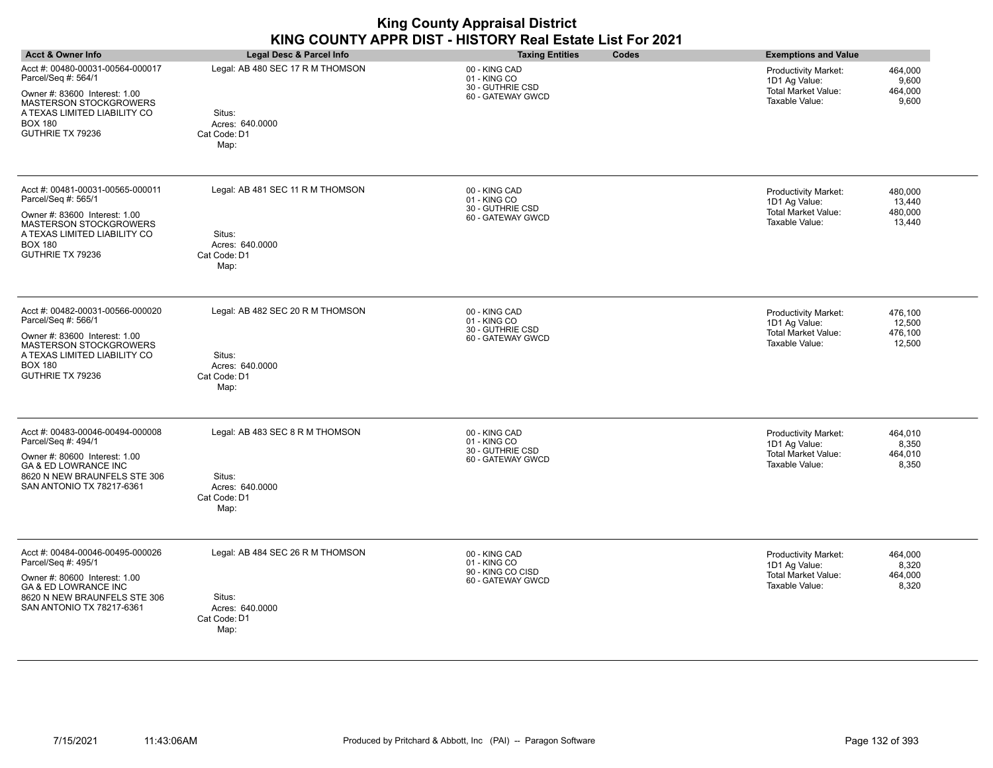| <b>Acct &amp; Owner Info</b>                                                                                                                                                             | Legal Desc & Parcel Info                                                              | <b>Taxing Entities</b><br>Codes                                         | <b>Exemptions and Value</b>                                                                                                   |
|------------------------------------------------------------------------------------------------------------------------------------------------------------------------------------------|---------------------------------------------------------------------------------------|-------------------------------------------------------------------------|-------------------------------------------------------------------------------------------------------------------------------|
| Acct #: 00480-00031-00564-000017<br>Parcel/Seq #: 564/1<br>Owner #: 83600 Interest: 1.00<br>MASTERSON STOCKGROWERS<br>A TEXAS LIMITED LIABILITY CO<br><b>BOX 180</b><br>GUTHRIE TX 79236 | Legal: AB 480 SEC 17 R M THOMSON<br>Situs:<br>Acres: 640.0000<br>Cat Code: D1<br>Map: | 00 - KING CAD<br>01 - KING CO<br>30 - GUTHRIE CSD<br>60 - GATEWAY GWCD  | Productivity Market:<br>464,000<br>1D1 Ag Value:<br>9,600<br>Total Market Value:<br>464,000<br>Taxable Value:<br>9,600        |
| Acct #: 00481-00031-00565-000011<br>Parcel/Seq #: 565/1<br>Owner #: 83600 Interest: 1.00<br>MASTERSON STOCKGROWERS<br>A TEXAS LIMITED LIABILITY CO<br><b>BOX 180</b><br>GUTHRIE TX 79236 | Legal: AB 481 SEC 11 R M THOMSON<br>Situs:<br>Acres: 640.0000<br>Cat Code: D1<br>Map: | 00 - KING CAD<br>01 - KING CO<br>30 - GUTHRIE CSD<br>60 - GATEWAY GWCD  | Productivity Market:<br>480,000<br>1D1 Ag Value:<br>13,440<br>Total Market Value:<br>480,000<br>Taxable Value:<br>13,440      |
| Acct #: 00482-00031-00566-000020<br>Parcel/Seq #: 566/1<br>Owner #: 83600 Interest: 1.00<br>MASTERSON STOCKGROWERS<br>A TEXAS LIMITED LIABILITY CO<br><b>BOX 180</b><br>GUTHRIE TX 79236 | Legal: AB 482 SEC 20 R M THOMSON<br>Situs:<br>Acres: 640.0000<br>Cat Code: D1<br>Map: | 00 - KING CAD<br>01 - KING CO<br>30 - GUTHRIE CSD<br>60 - GATEWAY GWCD  | 476,100<br>Productivity Market:<br>1D1 Ag Value:<br>12,500<br>Total Market Value:<br>476,100<br>Taxable Value:<br>12,500      |
| Acct #: 00483-00046-00494-000008<br>Parcel/Seq #: 494/1<br>Owner #: 80600 Interest: 1.00<br>GA & ED LOWRANCE INC<br>8620 N NEW BRAUNFELS STE 306<br>SAN ANTONIO TX 78217-6361            | Legal: AB 483 SEC 8 R M THOMSON<br>Situs:<br>Acres: 640.0000<br>Cat Code: D1<br>Map:  | 00 - KING CAD<br>01 - KING CO<br>30 - GUTHRIE CSD<br>60 - GATEWAY GWCD  | 464,010<br>Productivity Market:<br>1D1 Ag Value:<br>8,350<br><b>Total Market Value:</b><br>464,010<br>Taxable Value:<br>8,350 |
| Acct #: 00484-00046-00495-000026<br>Parcel/Seq #: 495/1<br>Owner #: 80600 Interest: 1.00<br><b>GA &amp; ED LOWRANCE INC</b><br>8620 N NEW BRAUNFELS STE 306<br>SAN ANTONIO TX 78217-6361 | Legal: AB 484 SEC 26 R M THOMSON<br>Situs:<br>Acres: 640.0000<br>Cat Code: D1<br>Map: | 00 - KING CAD<br>01 - KING CO<br>90 - KING CO CISD<br>60 - GATEWAY GWCD | Productivity Market:<br>464,000<br>1D1 Ag Value:<br>8,320<br><b>Total Market Value:</b><br>464,000<br>Taxable Value:<br>8,320 |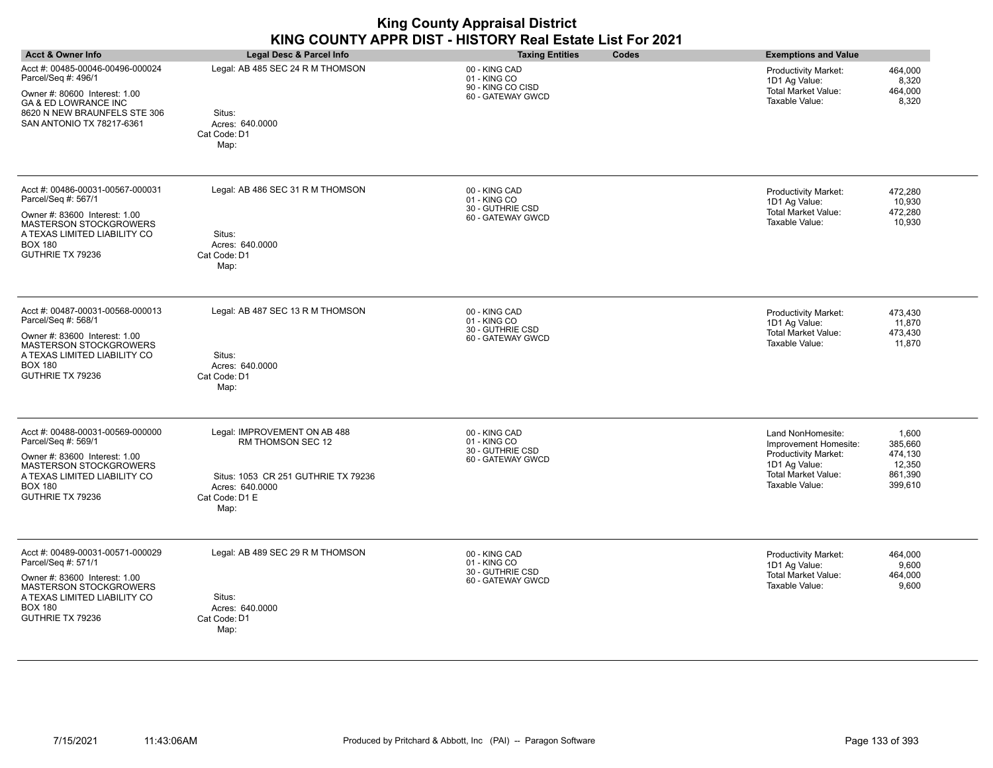| <b>Acct &amp; Owner Info</b>                                                                                                                                                                    | Legal Desc & Parcel Info                                                                                                              | <b>Taxing Entities</b><br>Codes                                         | <b>Exemptions and Value</b>                                                                                                                                                                               |
|-------------------------------------------------------------------------------------------------------------------------------------------------------------------------------------------------|---------------------------------------------------------------------------------------------------------------------------------------|-------------------------------------------------------------------------|-----------------------------------------------------------------------------------------------------------------------------------------------------------------------------------------------------------|
| Acct #: 00485-00046-00496-000024<br>Parcel/Seq #: 496/1<br>Owner #: 80600 Interest: 1.00<br><b>GA &amp; ED LOWRANCE INC</b><br>8620 N NEW BRAUNFELS STE 306<br>SAN ANTONIO TX 78217-6361        | Legal: AB 485 SEC 24 R M THOMSON<br>Situs:<br>Acres: 640.0000<br>Cat Code: D1<br>Map:                                                 | 00 - KING CAD<br>01 - KING CO<br>90 - KING CO CISD<br>60 - GATEWAY GWCD | 464,000<br><b>Productivity Market:</b><br>8,320<br>1D1 Ag Value:<br>Total Market Value:<br>464,000<br>Taxable Value:<br>8,320                                                                             |
| Acct #: 00486-00031-00567-000031<br>Parcel/Seq #: 567/1<br>Owner #: 83600 Interest: 1.00<br>MASTERSON STOCKGROWERS<br>A TEXAS LIMITED LIABILITY CO<br><b>BOX 180</b><br>GUTHRIE TX 79236        | Legal: AB 486 SEC 31 R M THOMSON<br>Situs:<br>Acres: 640.0000<br>Cat Code: D1<br>Map:                                                 | 00 - KING CAD<br>01 - KING CO<br>30 - GUTHRIE CSD<br>60 - GATEWAY GWCD  | 472,280<br><b>Productivity Market:</b><br>10,930<br>1D1 Ag Value:<br>Total Market Value:<br>472,280<br>Taxable Value:<br>10,930                                                                           |
| Acct #: 00487-00031-00568-000013<br>Parcel/Seq #: 568/1<br>Owner #: 83600 Interest: 1.00<br>MASTERSON STOCKGROWERS<br>A TEXAS LIMITED LIABILITY CO<br><b>BOX 180</b><br>GUTHRIE TX 79236        | Legal: AB 487 SEC 13 R M THOMSON<br>Situs:<br>Acres: 640.0000<br>Cat Code: D1<br>Map:                                                 | 00 - KING CAD<br>01 - KING CO<br>30 - GUTHRIE CSD<br>60 - GATEWAY GWCD  | 473,430<br><b>Productivity Market:</b><br>11,870<br>1D1 Ag Value:<br><b>Total Market Value:</b><br>473,430<br>Taxable Value:<br>11,870                                                                    |
| Acct #: 00488-00031-00569-000000<br>Parcel/Seq #: 569/1<br>Owner #: 83600 Interest: 1.00<br>MASTERSON STOCKGROWERS<br>A TEXAS LIMITED LIABILITY CO<br><b>BOX 180</b><br>GUTHRIE TX 79236        | Legal: IMPROVEMENT ON AB 488<br>RM THOMSON SEC 12<br>Situs: 1053 CR 251 GUTHRIE TX 79236<br>Acres: 640.0000<br>Cat Code: D1 E<br>Map: | 00 - KING CAD<br>01 - KING CO<br>30 - GUTHRIE CSD<br>60 - GATEWAY GWCD  | Land NonHomesite:<br>1,600<br>Improvement Homesite:<br>385,660<br>474,130<br><b>Productivity Market:</b><br>1D1 Ag Value:<br>12,350<br><b>Total Market Value:</b><br>861,390<br>Taxable Value:<br>399,610 |
| Acct #: 00489-00031-00571-000029<br>Parcel/Seq #: 571/1<br>Owner #: 83600 Interest: 1.00<br><b>MASTERSON STOCKGROWERS</b><br>A TEXAS LIMITED LIABILITY CO<br><b>BOX 180</b><br>GUTHRIE TX 79236 | Legal: AB 489 SEC 29 R M THOMSON<br>Situs:<br>Acres: 640.0000<br>Cat Code: D1<br>Map:                                                 | 00 - KING CAD<br>01 - KING CO<br>30 - GUTHRIE CSD<br>60 - GATEWAY GWCD  | 464,000<br><b>Productivity Market:</b><br>1D1 Ag Value:<br>9,600<br><b>Total Market Value:</b><br>464,000<br>Taxable Value:<br>9,600                                                                      |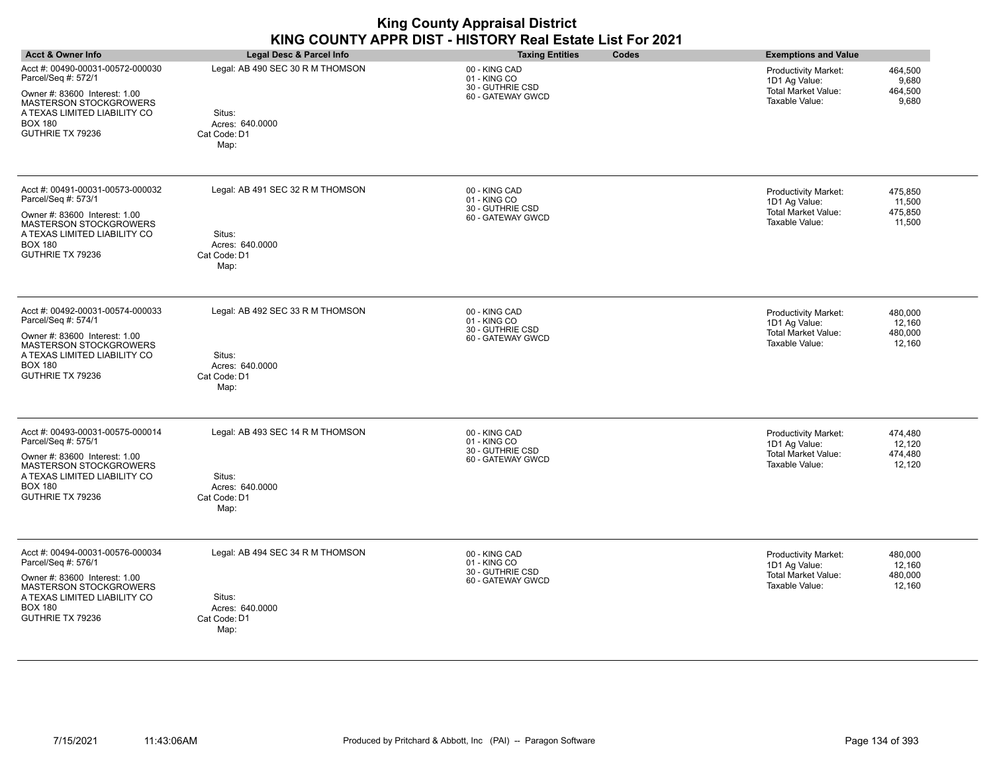| <b>Acct &amp; Owner Info</b>                                                                                                                                                             | Legal Desc & Parcel Info                                                              | <b>Taxing Entities</b><br>Codes                                        | <b>Exemptions and Value</b>                                                                                                   |
|------------------------------------------------------------------------------------------------------------------------------------------------------------------------------------------|---------------------------------------------------------------------------------------|------------------------------------------------------------------------|-------------------------------------------------------------------------------------------------------------------------------|
| Acct #: 00490-00031-00572-000030<br>Parcel/Seq #: 572/1<br>Owner #: 83600 Interest: 1.00<br>MASTERSON STOCKGROWERS<br>A TEXAS LIMITED LIABILITY CO<br><b>BOX 180</b><br>GUTHRIE TX 79236 | Legal: AB 490 SEC 30 R M THOMSON<br>Situs:<br>Acres: 640.0000<br>Cat Code: D1<br>Map: | 00 - KING CAD<br>01 - KING CO<br>30 - GUTHRIE CSD<br>60 - GATEWAY GWCD | <b>Productivity Market:</b><br>464,500<br>1D1 Ag Value:<br>9,680<br>464,500<br>Total Market Value:<br>Taxable Value:<br>9,680 |
| Acct #: 00491-00031-00573-000032<br>Parcel/Seq #: 573/1<br>Owner #: 83600 Interest: 1.00<br>MASTERSON STOCKGROWERS<br>A TEXAS LIMITED LIABILITY CO<br><b>BOX 180</b><br>GUTHRIE TX 79236 | Legal: AB 491 SEC 32 R M THOMSON<br>Situs:<br>Acres: 640.0000<br>Cat Code: D1<br>Map: | 00 - KING CAD<br>01 - KING CO<br>30 - GUTHRIE CSD<br>60 - GATEWAY GWCD | 475,850<br>Productivity Market:<br>1D1 Ag Value:<br>11,500<br>Total Market Value:<br>475,850<br>Taxable Value:<br>11,500      |
| Acct #: 00492-00031-00574-000033<br>Parcel/Seq #: 574/1<br>Owner #: 83600 Interest: 1.00<br>MASTERSON STOCKGROWERS<br>A TEXAS LIMITED LIABILITY CO<br><b>BOX 180</b><br>GUTHRIE TX 79236 | Legal: AB 492 SEC 33 R M THOMSON<br>Situs:<br>Acres: 640.0000<br>Cat Code: D1<br>Map: | 00 - KING CAD<br>01 - KING CO<br>30 - GUTHRIE CSD<br>60 - GATEWAY GWCD | Productivity Market:<br>480,000<br>1D1 Ag Value:<br>12,160<br>Total Market Value:<br>480,000<br>Taxable Value:<br>12,160      |
| Acct #: 00493-00031-00575-000014<br>Parcel/Seq #: 575/1<br>Owner #: 83600 Interest: 1.00<br>MASTERSON STOCKGROWERS<br>A TEXAS LIMITED LIABILITY CO<br><b>BOX 180</b><br>GUTHRIE TX 79236 | Legal: AB 493 SEC 14 R M THOMSON<br>Situs:<br>Acres: 640.0000<br>Cat Code: D1<br>Map: | 00 - KING CAD<br>01 - KING CO<br>30 - GUTHRIE CSD<br>60 - GATEWAY GWCD | Productivity Market:<br>474,480<br>1D1 Ag Value:<br>12,120<br>Total Market Value:<br>474,480<br>Taxable Value:<br>12,120      |
| Acct #: 00494-00031-00576-000034<br>Parcel/Seq #: 576/1<br>Owner #: 83600 Interest: 1.00<br>MASTERSON STOCKGROWERS<br>A TEXAS LIMITED LIABILITY CO<br><b>BOX 180</b><br>GUTHRIE TX 79236 | Legal: AB 494 SEC 34 R M THOMSON<br>Situs:<br>Acres: 640.0000<br>Cat Code: D1<br>Map: | 00 - KING CAD<br>01 - KING CO<br>30 - GUTHRIE CSD<br>60 - GATEWAY GWCD | 480,000<br>Productivity Market:<br>1D1 Ag Value:<br>12,160<br>Total Market Value:<br>480,000<br>Taxable Value:<br>12,160      |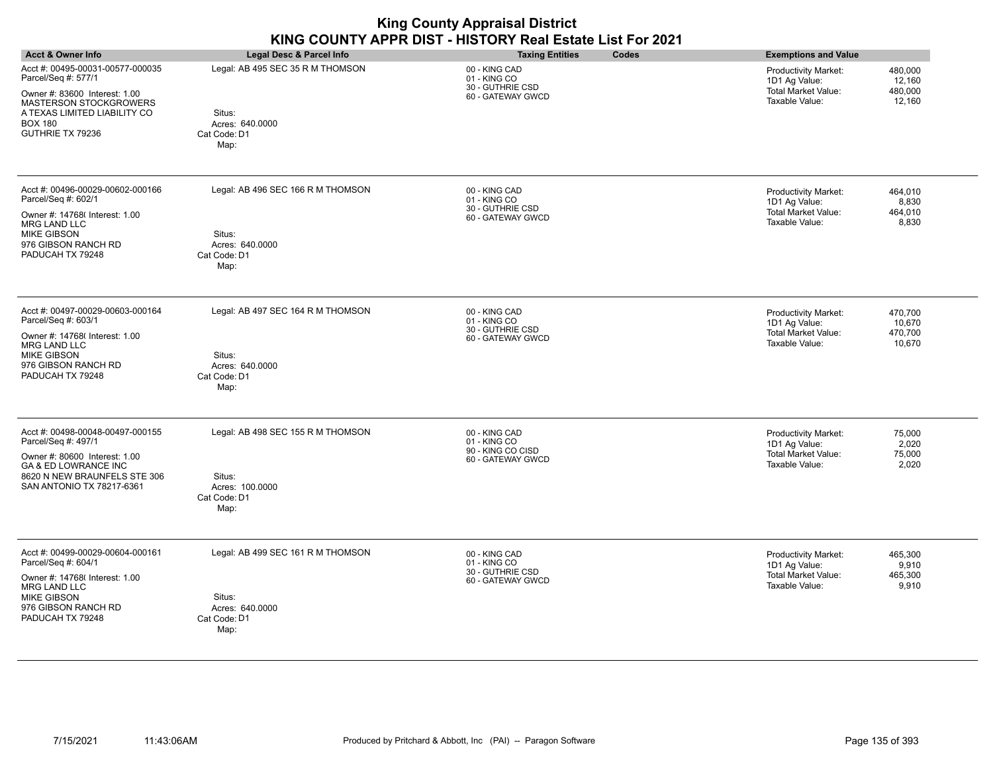| <b>Acct &amp; Owner Info</b>                                                                                                                                                             | Legal Desc & Parcel Info                                                               | <b>Taxing Entities</b><br>Codes                                         | <b>Exemptions and Value</b>                                                                                                   |
|------------------------------------------------------------------------------------------------------------------------------------------------------------------------------------------|----------------------------------------------------------------------------------------|-------------------------------------------------------------------------|-------------------------------------------------------------------------------------------------------------------------------|
| Acct #: 00495-00031-00577-000035<br>Parcel/Seq #: 577/1<br>Owner #: 83600 Interest: 1.00<br>MASTERSON STOCKGROWERS<br>A TEXAS LIMITED LIABILITY CO<br><b>BOX 180</b><br>GUTHRIE TX 79236 | Legal: AB 495 SEC 35 R M THOMSON<br>Situs:<br>Acres: 640.0000<br>Cat Code: D1<br>Map:  | 00 - KING CAD<br>01 - KING CO<br>30 - GUTHRIE CSD<br>60 - GATEWAY GWCD  | Productivity Market:<br>480,000<br>1D1 Ag Value:<br>12,160<br>Total Market Value:<br>480,000<br>Taxable Value:<br>12,160      |
| Acct #: 00496-00029-00602-000166<br>Parcel/Seq #: 602/1<br>Owner #: 14768( Interest: 1.00<br><b>MRG LAND LLC</b><br><b>MIKE GIBSON</b><br>976 GIBSON RANCH RD<br>PADUCAH TX 79248        | Legal: AB 496 SEC 166 R M THOMSON<br>Situs:<br>Acres: 640.0000<br>Cat Code: D1<br>Map: | 00 - KING CAD<br>01 - KING CO<br>30 - GUTHRIE CSD<br>60 - GATEWAY GWCD  | Productivity Market:<br>464,010<br>1D1 Ag Value:<br>8,830<br>Total Market Value:<br>464,010<br>Taxable Value:<br>8,830        |
| Acct #: 00497-00029-00603-000164<br>Parcel/Seq #: 603/1<br>Owner #: 14768(Interest: 1.00<br><b>MRG LAND LLC</b><br><b>MIKE GIBSON</b><br>976 GIBSON RANCH RD<br>PADUCAH TX 79248         | Legal: AB 497 SEC 164 R M THOMSON<br>Situs:<br>Acres: 640.0000<br>Cat Code: D1<br>Map: | 00 - KING CAD<br>01 - KING CO<br>30 - GUTHRIE CSD<br>60 - GATEWAY GWCD  | Productivity Market:<br>470,700<br>1D1 Ag Value:<br>10,670<br>Total Market Value:<br>470,700<br>Taxable Value:<br>10,670      |
| Acct #: 00498-00048-00497-000155<br>Parcel/Seq #: 497/1<br>Owner #: 80600 Interest: 1.00<br><b>GA &amp; ED LOWRANCE INC</b><br>8620 N NEW BRAUNFELS STE 306<br>SAN ANTONIO TX 78217-6361 | Legal: AB 498 SEC 155 R M THOMSON<br>Situs:<br>Acres: 100.0000<br>Cat Code: D1<br>Map: | 00 - KING CAD<br>01 - KING CO<br>90 - KING CO CISD<br>60 - GATEWAY GWCD | 75,000<br>Productivity Market:<br>1D1 Ag Value:<br>2,020<br><b>Total Market Value:</b><br>75,000<br>Taxable Value:<br>2,020   |
| Acct #: 00499-00029-00604-000161<br>Parcel/Seq #: 604/1<br>Owner #: 14768( Interest: 1.00<br><b>MRG LAND LLC</b><br><b>MIKE GIBSON</b><br>976 GIBSON RANCH RD<br>PADUCAH TX 79248        | Legal: AB 499 SEC 161 R M THOMSON<br>Situs:<br>Acres: 640.0000<br>Cat Code: D1<br>Map: | 00 - KING CAD<br>01 - KING CO<br>30 - GUTHRIE CSD<br>60 - GATEWAY GWCD  | Productivity Market:<br>465,300<br>1D1 Ag Value:<br>9,910<br><b>Total Market Value:</b><br>465,300<br>Taxable Value:<br>9,910 |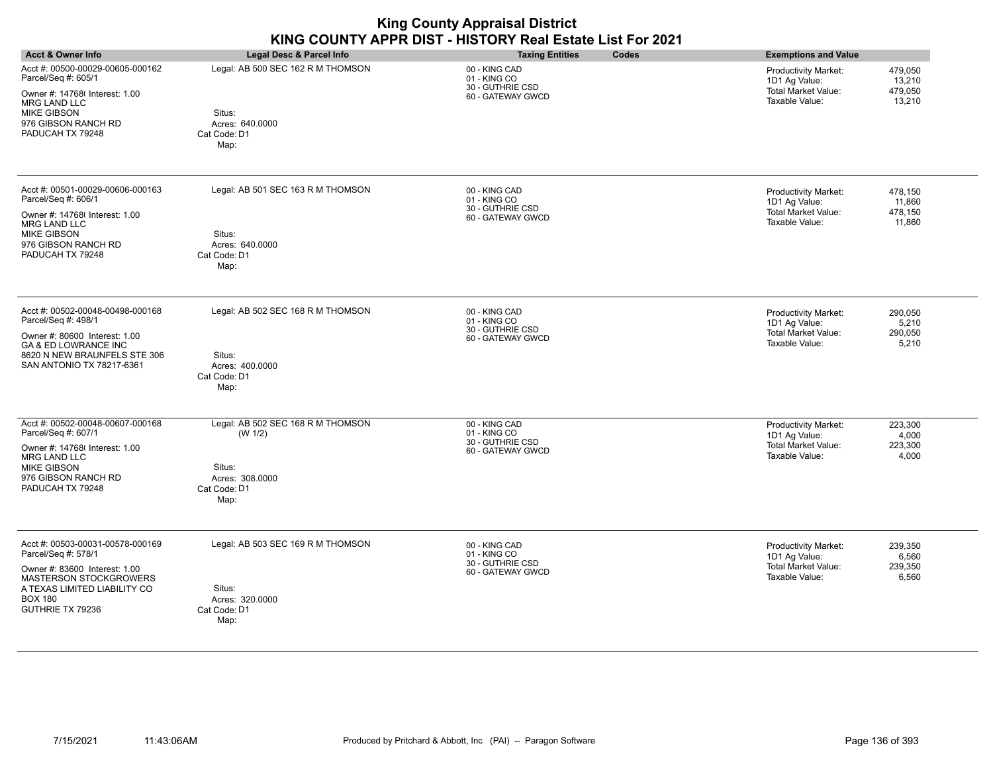| <b>Acct &amp; Owner Info</b>                                                                                                                                                             | <b>Legal Desc &amp; Parcel Info</b>                                                               | <b>Taxing Entities</b><br>Codes                                        | <b>Exemptions and Value</b>                                                                                                            |
|------------------------------------------------------------------------------------------------------------------------------------------------------------------------------------------|---------------------------------------------------------------------------------------------------|------------------------------------------------------------------------|----------------------------------------------------------------------------------------------------------------------------------------|
| Acct #: 00500-00029-00605-000162<br>Parcel/Seq #: 605/1<br>Owner #: 14768(Interest: 1.00<br><b>MRG LAND LLC</b><br><b>MIKE GIBSON</b><br>976 GIBSON RANCH RD<br>PADUCAH TX 79248         | Legal: AB 500 SEC 162 R M THOMSON<br>Situs:<br>Acres: 640.0000<br>Cat Code: D1<br>Map:            | 00 - KING CAD<br>01 - KING CO<br>30 - GUTHRIE CSD<br>60 - GATEWAY GWCD | <b>Productivity Market:</b><br>479,050<br>1D1 Ag Value:<br>13,210<br><b>Total Market Value:</b><br>479,050<br>Taxable Value:<br>13,210 |
| Acct #: 00501-00029-00606-000163<br>Parcel/Seq #: 606/1<br>Owner #: 14768( Interest: 1.00<br>MRG LAND LLC<br><b>MIKE GIBSON</b><br>976 GIBSON RANCH RD<br>PADUCAH TX 79248               | Legal: AB 501 SEC 163 R M THOMSON<br>Situs:<br>Acres: 640,0000<br>Cat Code: D1<br>Map:            | 00 - KING CAD<br>01 - KING CO<br>30 - GUTHRIE CSD<br>60 - GATEWAY GWCD | <b>Productivity Market:</b><br>478,150<br>11,860<br>1D1 Ag Value:<br><b>Total Market Value:</b><br>478,150<br>Taxable Value:<br>11,860 |
| Acct #: 00502-00048-00498-000168<br>Parcel/Seq #: 498/1<br>Owner #: 80600 Interest: 1.00<br><b>GA &amp; ED LOWRANCE INC</b><br>8620 N NEW BRAUNFELS STE 306<br>SAN ANTONIO TX 78217-6361 | Legal: AB 502 SEC 168 R M THOMSON<br>Situs:<br>Acres: 400.0000<br>Cat Code: D1<br>Map:            | 00 - KING CAD<br>01 - KING CO<br>30 - GUTHRIE CSD<br>60 - GATEWAY GWCD | Productivity Market:<br>290,050<br>1D1 Ag Value:<br>5,210<br><b>Total Market Value:</b><br>290,050<br>Taxable Value:<br>5,210          |
| Acct #: 00502-00048-00607-000168<br>Parcel/Seq #: 607/1<br>Owner #: 14768( Interest: 1.00<br><b>MRG LAND LLC</b><br><b>MIKE GIBSON</b><br>976 GIBSON RANCH RD<br>PADUCAH TX 79248        | Legal: AB 502 SEC 168 R M THOMSON<br>(W 1/2)<br>Situs:<br>Acres: 308.0000<br>Cat Code: D1<br>Map: | 00 - KING CAD<br>01 - KING CO<br>30 - GUTHRIE CSD<br>60 - GATEWAY GWCD | 223,300<br><b>Productivity Market:</b><br>1D1 Ag Value:<br>4,000<br><b>Total Market Value:</b><br>223,300<br>Taxable Value:<br>4,000   |
| Acct #: 00503-00031-00578-000169<br>Parcel/Seq #: 578/1<br>Owner #: 83600 Interest: 1.00<br>MASTERSON STOCKGROWERS<br>A TEXAS LIMITED LIABILITY CO<br><b>BOX 180</b><br>GUTHRIE TX 79236 | Legal: AB 503 SEC 169 R M THOMSON<br>Situs:<br>Acres: 320.0000<br>Cat Code: D1<br>Map:            | 00 - KING CAD<br>01 - KING CO<br>30 - GUTHRIE CSD<br>60 - GATEWAY GWCD | 239,350<br><b>Productivity Market:</b><br>1D1 Ag Value:<br>6,560<br><b>Total Market Value:</b><br>239,350<br>6,560<br>Taxable Value:   |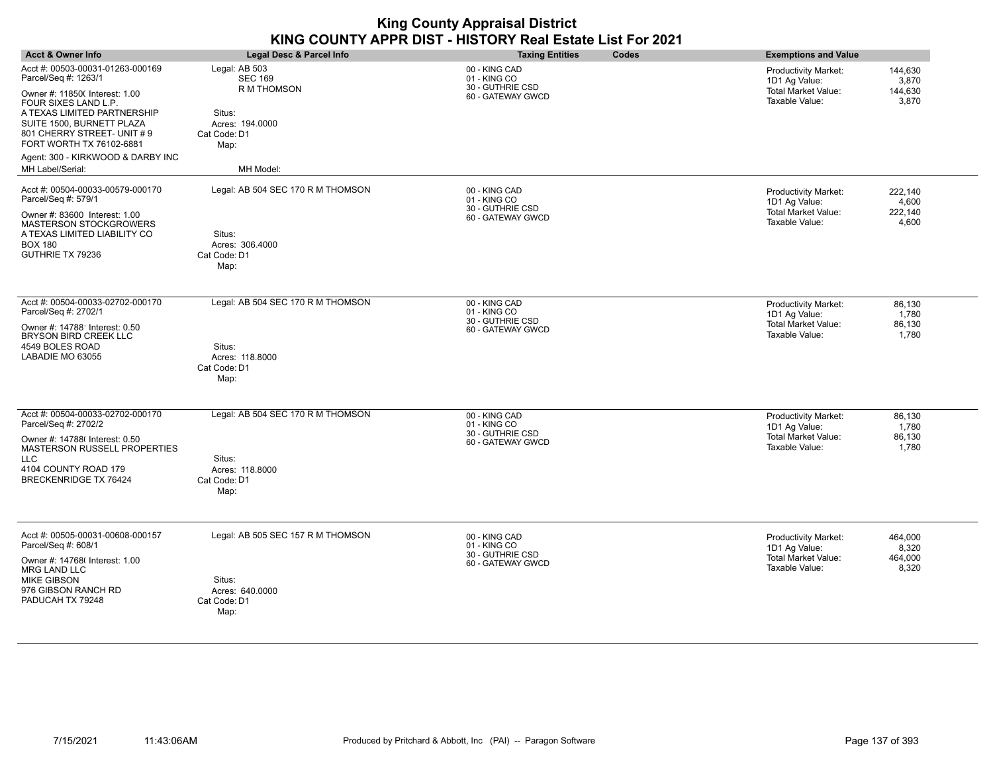|                                                                                                                                                                                                                                                                               |                                                                                                            | <b>King County Appraisal District</b><br>KING COUNTY APPR DIST - HISTORY Real Estate List For 2021 |                                                                                                                                      |
|-------------------------------------------------------------------------------------------------------------------------------------------------------------------------------------------------------------------------------------------------------------------------------|------------------------------------------------------------------------------------------------------------|----------------------------------------------------------------------------------------------------|--------------------------------------------------------------------------------------------------------------------------------------|
| <b>Acct &amp; Owner Info</b>                                                                                                                                                                                                                                                  | Legal Desc & Parcel Info                                                                                   | <b>Taxing Entities</b><br>Codes                                                                    | <b>Exemptions and Value</b>                                                                                                          |
| Acct #: 00503-00031-01263-000169<br>Parcel/Seq #: 1263/1<br>Owner #: 11850( Interest: 1.00<br>FOUR SIXES LAND L.P.<br>A TEXAS LIMITED PARTNERSHIP<br>SUITE 1500, BURNETT PLAZA<br>801 CHERRY STREET- UNIT #9<br>FORT WORTH TX 76102-6881<br>Agent: 300 - KIRKWOOD & DARBY INC | Legal: AB 503<br><b>SEC 169</b><br><b>R M THOMSON</b><br>Situs:<br>Acres: 194.0000<br>Cat Code: D1<br>Map: | 00 - KING CAD<br>01 - KING CO<br>30 - GUTHRIE CSD<br>60 - GATEWAY GWCD                             | Productivity Market:<br>144,630<br>1D1 Ag Value:<br>3,870<br><b>Total Market Value:</b><br>144,630<br>Taxable Value:<br>3,870        |
| MH Label/Serial:                                                                                                                                                                                                                                                              | MH Model:                                                                                                  |                                                                                                    |                                                                                                                                      |
| Acct #: 00504-00033-00579-000170<br>Parcel/Seq #: 579/1<br>Owner #: 83600 Interest: 1.00<br>MASTERSON STOCKGROWERS<br>A TEXAS LIMITED LIABILITY CO<br><b>BOX 180</b><br>GUTHRIE TX 79236                                                                                      | Legal: AB 504 SEC 170 R M THOMSON<br>Situs:<br>Acres: 306.4000<br>Cat Code: D1<br>Map:                     | 00 - KING CAD<br>01 - KING CO<br>30 - GUTHRIE CSD<br>60 - GATEWAY GWCD                             | 222,140<br><b>Productivity Market:</b><br>1D1 Ag Value:<br>4.600<br><b>Total Market Value:</b><br>222,140<br>Taxable Value:<br>4,600 |
| Acct #: 00504-00033-02702-000170<br>Parcel/Seq #: 2702/1<br>Owner #: 14788' Interest: 0.50<br>BRYSON BIRD CREEK LLC<br>4549 BOLES ROAD<br>LABADIE MO 63055                                                                                                                    | Legal: AB 504 SEC 170 R M THOMSON<br>Situs:<br>Acres: 118.8000<br>Cat Code: D1<br>Map:                     | 00 - KING CAD<br>01 - KING CO<br>30 - GUTHRIE CSD<br>60 - GATEWAY GWCD                             | Productivity Market:<br>86,130<br>1D1 Ag Value:<br>1,780<br><b>Total Market Value:</b><br>86,130<br>Taxable Value:<br>1,780          |
| Acct #: 00504-00033-02702-000170<br>Parcel/Seq #: 2702/2<br>Owner #: 14788( Interest: 0.50<br>MASTERSON RUSSELL PROPERTIES<br><b>LLC</b><br>4104 COUNTY ROAD 179<br><b>BRECKENRIDGE TX 76424</b>                                                                              | Legal: AB 504 SEC 170 R M THOMSON<br>Situs:<br>Acres: 118.8000<br>Cat Code: D1<br>Map:                     | 00 - KING CAD<br>01 - KING CO<br>30 - GUTHRIE CSD<br>60 - GATEWAY GWCD                             | Productivity Market:<br>86,130<br>1D1 Ag Value:<br>1,780<br><b>Total Market Value:</b><br>86.130<br>Taxable Value:<br>1,780          |
| Acct #: 00505-00031-00608-000157<br>Parcel/Seq #: 608/1<br>Owner #: 14768(Interest: 1.00<br>MRG LAND LLC<br><b>MIKE GIBSON</b><br>976 GIBSON RANCH RD<br>PADUCAH TX 79248                                                                                                     | Legal: AB 505 SEC 157 R M THOMSON<br>Situs:<br>Acres: 640.0000<br>Cat Code: D1<br>Map:                     | 00 - KING CAD<br>01 - KING CO<br>30 - GUTHRIE CSD<br>60 - GATEWAY GWCD                             | Productivity Market:<br>464,000<br>1D1 Ag Value:<br>8,320<br><b>Total Market Value:</b><br>464,000<br>Taxable Value:<br>8,320        |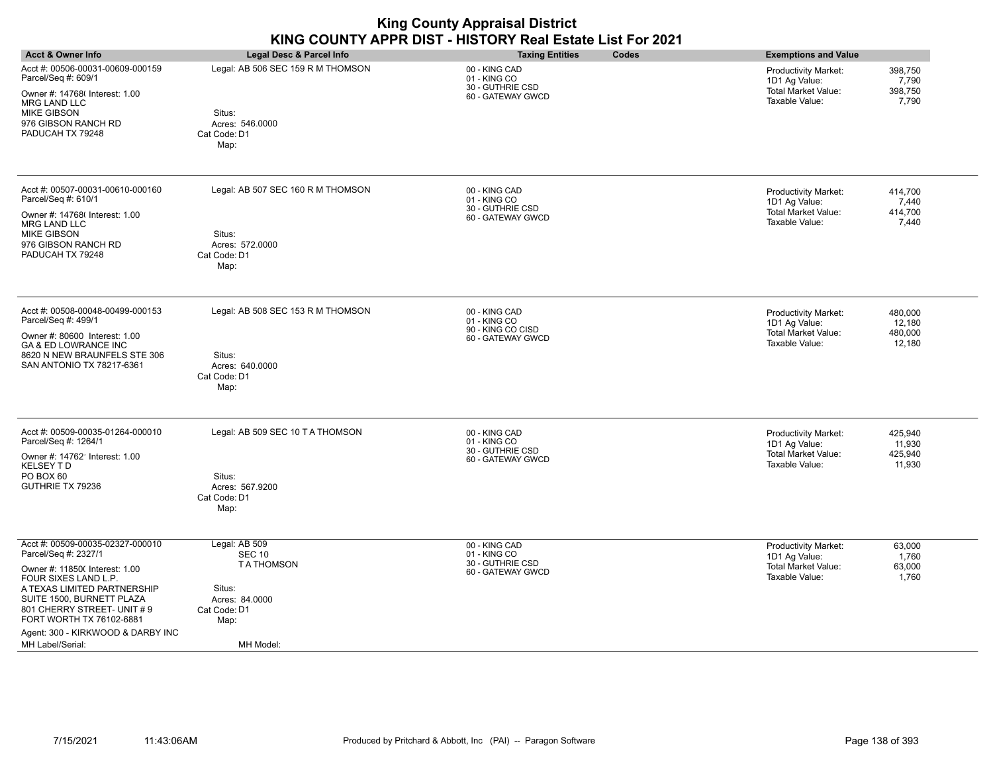| <b>Acct &amp; Owner Info</b>                                                                                                                                                                                                                                                                      | Legal Desc & Parcel Info                                                                                            | <b>Taxing Entities</b><br>Codes                                         | <b>Exemptions and Value</b>                                                                                                            |
|---------------------------------------------------------------------------------------------------------------------------------------------------------------------------------------------------------------------------------------------------------------------------------------------------|---------------------------------------------------------------------------------------------------------------------|-------------------------------------------------------------------------|----------------------------------------------------------------------------------------------------------------------------------------|
| Acct #: 00506-00031-00609-000159<br>Parcel/Seq #: 609/1<br>Owner #: 14768( Interest: 1.00<br>MRG LAND LLC<br><b>MIKE GIBSON</b><br>976 GIBSON RANCH RD<br>PADUCAH TX 79248                                                                                                                        | Legal: AB 506 SEC 159 R M THOMSON<br>Situs:<br>Acres: 546.0000<br>Cat Code: D1<br>Map:                              | 00 - KING CAD<br>01 - KING CO<br>30 - GUTHRIE CSD<br>60 - GATEWAY GWCD  | 398,750<br><b>Productivity Market:</b><br>1D1 Ag Value:<br>7,790<br>398,750<br>Total Market Value:<br>Taxable Value:<br>7,790          |
| Acct #: 00507-00031-00610-000160<br>Parcel/Seq #: 610/1<br>Owner #: 14768( Interest: 1.00<br><b>MRG LAND LLC</b><br><b>MIKE GIBSON</b><br>976 GIBSON RANCH RD<br>PADUCAH TX 79248                                                                                                                 | Legal: AB 507 SEC 160 R M THOMSON<br>Situs:<br>Acres: 572.0000<br>Cat Code: D1<br>Map:                              | 00 - KING CAD<br>01 - KING CO<br>30 - GUTHRIE CSD<br>60 - GATEWAY GWCD  | 414,700<br><b>Productivity Market:</b><br>1D1 Ag Value:<br>7,440<br>414,700<br>Total Market Value:<br>7,440<br>Taxable Value:          |
| Acct #: 00508-00048-00499-000153<br>Parcel/Seq #: 499/1<br>Owner #: 80600 Interest: 1.00<br>GA & ED LOWRANCE INC<br>8620 N NEW BRAUNFELS STE 306<br>SAN ANTONIO TX 78217-6361                                                                                                                     | Legal: AB 508 SEC 153 R M THOMSON<br>Situs:<br>Acres: 640.0000<br>Cat Code: D1<br>Map:                              | 00 - KING CAD<br>01 - KING CO<br>90 - KING CO CISD<br>60 - GATEWAY GWCD | 480,000<br><b>Productivity Market:</b><br>1D1 Ag Value:<br>12,180<br>Total Market Value:<br>480,000<br>Taxable Value:<br>12,180        |
| Acct #: 00509-00035-01264-000010<br>Parcel/Seq #: 1264/1<br>Owner #: 14762' Interest: 1.00<br><b>KELSEY TD</b><br>PO BOX 60<br>GUTHRIE TX 79236                                                                                                                                                   | Legal: AB 509 SEC 10 T A THOMSON<br>Situs:<br>Acres: 567.9200<br>Cat Code: D1<br>Map:                               | 00 - KING CAD<br>01 - KING CO<br>30 - GUTHRIE CSD<br>60 - GATEWAY GWCD  | <b>Productivity Market:</b><br>425,940<br>11,930<br>1D1 Ag Value:<br><b>Total Market Value:</b><br>425,940<br>Taxable Value:<br>11,930 |
| Acct #: 00509-00035-02327-000010<br>Parcel/Seq #: 2327/1<br>Owner #: 11850( Interest: 1.00<br>FOUR SIXES LAND L.P.<br>A TEXAS LIMITED PARTNERSHIP<br>SUITE 1500, BURNETT PLAZA<br>801 CHERRY STREET- UNIT #9<br>FORT WORTH TX 76102-6881<br>Agent: 300 - KIRKWOOD & DARBY INC<br>MH Label/Serial: | Legal: AB 509<br><b>SEC 10</b><br><b>TATHOMSON</b><br>Situs:<br>Acres: 84.0000<br>Cat Code: D1<br>Map:<br>MH Model: | 00 - KING CAD<br>01 - KING CO<br>30 - GUTHRIE CSD<br>60 - GATEWAY GWCD  | <b>Productivity Market:</b><br>63,000<br>1,760<br>1D1 Ag Value:<br><b>Total Market Value:</b><br>63,000<br>Taxable Value:<br>1,760     |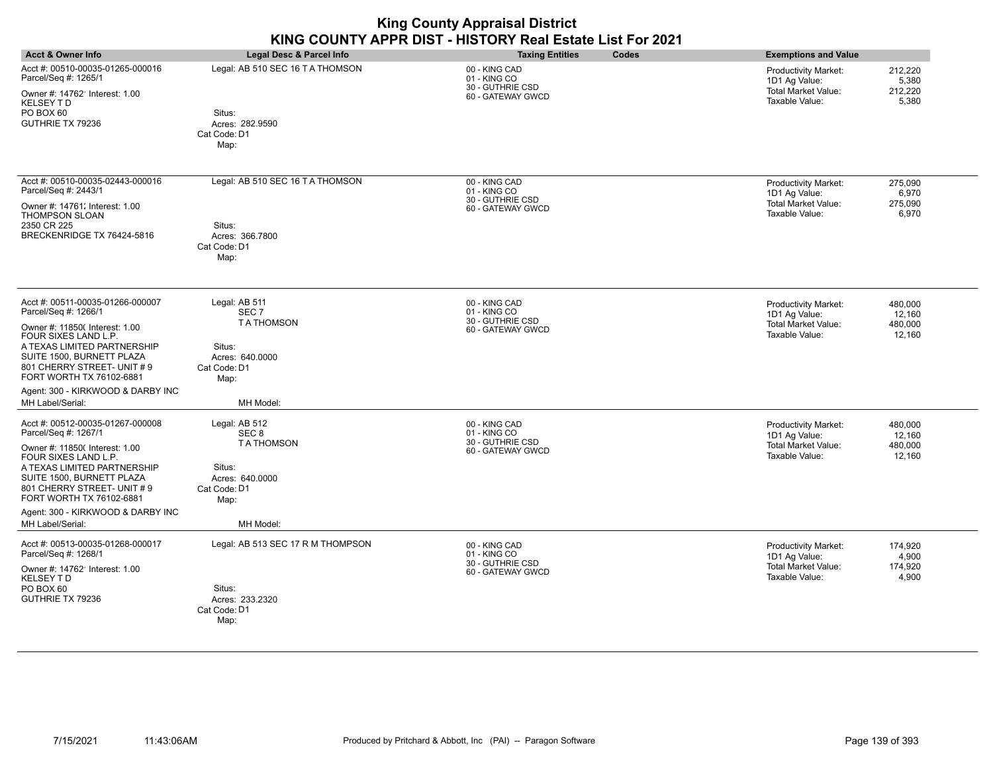| <b>Acct &amp; Owner Info</b>                                                                                                                                                                                                                                                                       | Legal Desc & Parcel Info                                                                                                | <b>Taxing Entities</b><br>Codes                                        | <b>Exemptions and Value</b>                                                                                                            |
|----------------------------------------------------------------------------------------------------------------------------------------------------------------------------------------------------------------------------------------------------------------------------------------------------|-------------------------------------------------------------------------------------------------------------------------|------------------------------------------------------------------------|----------------------------------------------------------------------------------------------------------------------------------------|
| Acct #: 00510-00035-01265-000016<br>Parcel/Seq #: 1265/1<br>Owner #: 14762' Interest: 1.00<br><b>KELSEY TD</b><br>PO BOX 60<br>GUTHRIE TX 79236                                                                                                                                                    | Legal: AB 510 SEC 16 T A THOMSON<br>Situs:<br>Acres: 282.9590<br>Cat Code: D1<br>Map:                                   | 00 - KING CAD<br>01 - KING CO<br>30 - GUTHRIE CSD<br>60 - GATEWAY GWCD | Productivity Market:<br>212,220<br>5,380<br>1D1 Ag Value:<br>Total Market Value:<br>212,220<br>Taxable Value:<br>5,380                 |
| Acct #: 00510-00035-02443-000016<br>Parcel/Seq #: 2443/1<br>Owner #: 14761; Interest: 1.00<br>THOMPSON SLOAN<br>2350 CR 225<br>BRECKENRIDGE TX 76424-5816                                                                                                                                          | Legal: AB 510 SEC 16 T A THOMSON<br>Situs:<br>Acres: 366.7800<br>Cat Code: D1<br>Map:                                   | 00 - KING CAD<br>01 - KING CO<br>30 - GUTHRIE CSD<br>60 - GATEWAY GWCD | Productivity Market:<br>275,090<br>1D1 Ag Value:<br>6,970<br><b>Total Market Value:</b><br>275,090<br>Taxable Value:<br>6,970          |
| Acct #: 00511-00035-01266-000007<br>Parcel/Seq #: 1266/1<br>Owner #: 11850( Interest: 1.00<br>FOUR SIXES LAND L.P.<br>A TEXAS LIMITED PARTNERSHIP<br>SUITE 1500, BURNETT PLAZA<br>801 CHERRY STREET- UNIT # 9<br>FORT WORTH TX 76102-6881<br>Agent: 300 - KIRKWOOD & DARBY INC<br>MH Label/Serial: | Legal: AB 511<br>SEC <sub>7</sub><br><b>TATHOMSON</b><br>Situs:<br>Acres: 640.0000<br>Cat Code: D1<br>Map:<br>MH Model: | 00 - KING CAD<br>01 - KING CO<br>30 - GUTHRIE CSD<br>60 - GATEWAY GWCD | Productivity Market:<br>480,000<br>1D1 Ag Value:<br>12,160<br><b>Total Market Value:</b><br>480,000<br>Taxable Value:<br>12,160        |
| Acct #: 00512-00035-01267-000008<br>Parcel/Seq #: 1267/1<br>Owner #: 11850( Interest: 1.00<br>FOUR SIXES LAND L.P.<br>A TEXAS LIMITED PARTNERSHIP<br>SUITE 1500, BURNETT PLAZA<br>801 CHERRY STREET- UNIT #9<br>FORT WORTH TX 76102-6881<br>Agent: 300 - KIRKWOOD & DARBY INC<br>MH Label/Serial:  | Legal: AB 512<br>SEC <sub>8</sub><br><b>TATHOMSON</b><br>Situs:<br>Acres: 640.0000<br>Cat Code: D1<br>Map:<br>MH Model: | 00 - KING CAD<br>01 - KING CO<br>30 - GUTHRIE CSD<br>60 - GATEWAY GWCD | 480,000<br><b>Productivity Market:</b><br>1D1 Ag Value:<br>12,160<br><b>Total Market Value:</b><br>480,000<br>Taxable Value:<br>12,160 |
| Acct #: 00513-00035-01268-000017<br>Parcel/Seq #: 1268/1<br>Owner #: 14762' Interest: 1.00<br><b>KELSEY TD</b><br>PO BOX 60<br>GUTHRIE TX 79236                                                                                                                                                    | Legal: AB 513 SEC 17 R M THOMPSON<br>Situs:<br>Acres: 233.2320<br>Cat Code: D1<br>Map:                                  | 00 - KING CAD<br>01 - KING CO<br>30 - GUTHRIE CSD<br>60 - GATEWAY GWCD | 174,920<br>Productivity Market:<br>1D1 Ag Value:<br>4,900<br><b>Total Market Value:</b><br>174,920<br>Taxable Value:<br>4,900          |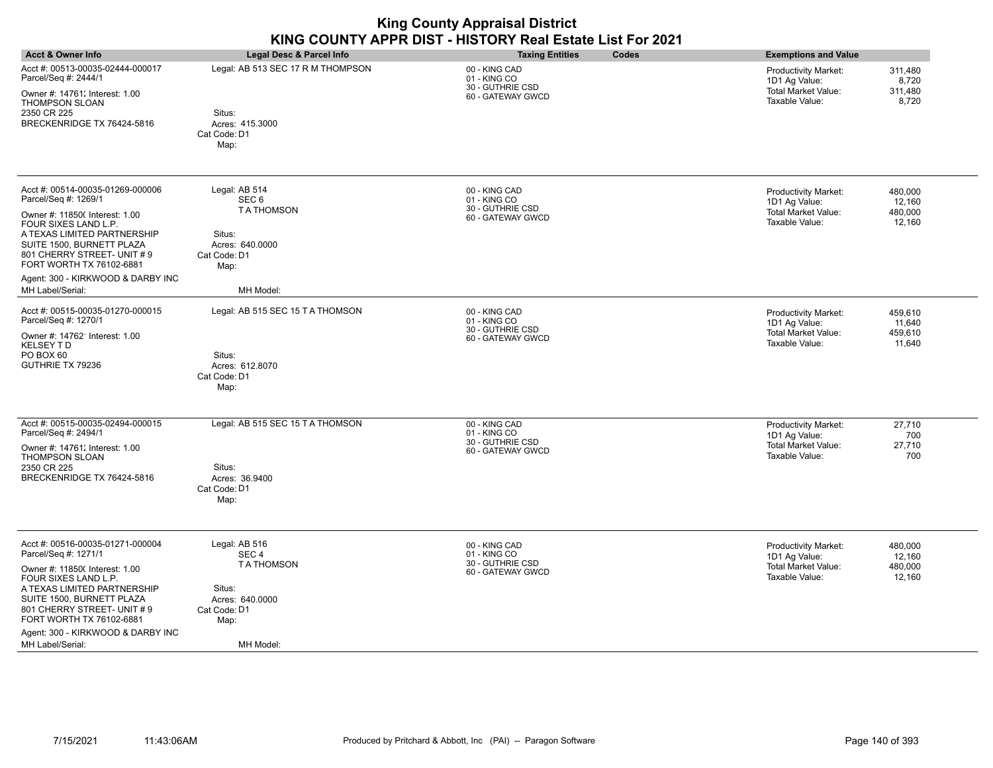| <b>Acct &amp; Owner Info</b>                                                                                                                                                                                                                                                                      | Legal Desc & Parcel Info                                                                                                | <b>Taxing Entities</b><br>Codes                                        | <b>Exemptions and Value</b>                                                                                                     |
|---------------------------------------------------------------------------------------------------------------------------------------------------------------------------------------------------------------------------------------------------------------------------------------------------|-------------------------------------------------------------------------------------------------------------------------|------------------------------------------------------------------------|---------------------------------------------------------------------------------------------------------------------------------|
| Acct #: 00513-00035-02444-000017<br>Parcel/Seq #: 2444/1<br>Owner #: 14761; Interest: 1.00<br><b>THOMPSON SLOAN</b><br>2350 CR 225<br>BRECKENRIDGE TX 76424-5816                                                                                                                                  | Legal: AB 513 SEC 17 R M THOMPSON<br>Situs:<br>Acres: 415.3000<br>Cat Code: D1<br>Map:                                  | 00 - KING CAD<br>01 - KING CO<br>30 - GUTHRIE CSD<br>60 - GATEWAY GWCD | 311,480<br>Productivity Market:<br>1D1 Ag Value:<br>8,720<br>Total Market Value:<br>311,480<br>Taxable Value:<br>8,720          |
| Acct #: 00514-00035-01269-000006<br>Parcel/Seq #: 1269/1<br>Owner #: 11850( Interest: 1.00<br>FOUR SIXES LAND L.P.<br>A TEXAS LIMITED PARTNERSHIP<br>SUITE 1500, BURNETT PLAZA<br>801 CHERRY STREET- UNIT #9<br>FORT WORTH TX 76102-6881<br>Agent: 300 - KIRKWOOD & DARBY INC<br>MH Label/Serial: | Legal: AB 514<br>SEC <sub>6</sub><br><b>TATHOMSON</b><br>Situs:<br>Acres: 640.0000<br>Cat Code: D1<br>Map:<br>MH Model: | 00 - KING CAD<br>01 - KING CO<br>30 - GUTHRIE CSD<br>60 - GATEWAY GWCD | 480,000<br>Productivity Market:<br>1D1 Ag Value:<br>12,160<br>Total Market Value:<br>480,000<br>Taxable Value:<br>12,160        |
| Acct #: 00515-00035-01270-000015<br>Parcel/Seq #: 1270/1<br>Owner #: 14762' Interest: 1.00<br><b>KELSEY TD</b><br>PO BOX 60<br>GUTHRIE TX 79236                                                                                                                                                   | Legal: AB 515 SEC 15 T A THOMSON<br>Situs:<br>Acres: 612.8070<br>Cat Code: D1<br>Map:                                   | 00 - KING CAD<br>01 - KING CO<br>30 - GUTHRIE CSD<br>60 - GATEWAY GWCD | 459.610<br>Productivity Market:<br>1D1 Ag Value:<br>11,640<br><b>Total Market Value:</b><br>459,610<br>Taxable Value:<br>11,640 |
| Acct #: 00515-00035-02494-000015<br>Parcel/Seq #: 2494/1<br>Owner #: 14761; Interest: 1.00<br><b>THOMPSON SLOAN</b><br>2350 CR 225<br>BRECKENRIDGE TX 76424-5816                                                                                                                                  | Legal: AB 515 SEC 15 T A THOMSON<br>Situs:<br>Acres: 36.9400<br>Cat Code: D1<br>Map:                                    | 00 - KING CAD<br>01 - KING CO<br>30 - GUTHRIE CSD<br>60 - GATEWAY GWCD | 27,710<br><b>Productivity Market:</b><br>1D1 Ag Value:<br>700<br><b>Total Market Value:</b><br>27,710<br>Taxable Value:<br>700  |
| Acct #: 00516-00035-01271-000004<br>Parcel/Seq #: 1271/1<br>Owner #: 11850( Interest: 1.00<br>FOUR SIXES LAND L.P.<br>A TEXAS LIMITED PARTNERSHIP<br>SUITE 1500, BURNETT PLAZA<br>801 CHERRY STREET- UNIT #9<br>FORT WORTH TX 76102-6881<br>Agent: 300 - KIRKWOOD & DARBY INC<br>MH Label/Serial: | Legal: AB 516<br>SEC <sub>4</sub><br><b>TATHOMSON</b><br>Situs:<br>Acres: 640.0000<br>Cat Code: D1<br>Map:<br>MH Model: | 00 - KING CAD<br>01 - KING CO<br>30 - GUTHRIE CSD<br>60 - GATEWAY GWCD | Productivity Market:<br>480,000<br>1D1 Ag Value:<br>12,160<br><b>Total Market Value:</b><br>480,000<br>Taxable Value:<br>12,160 |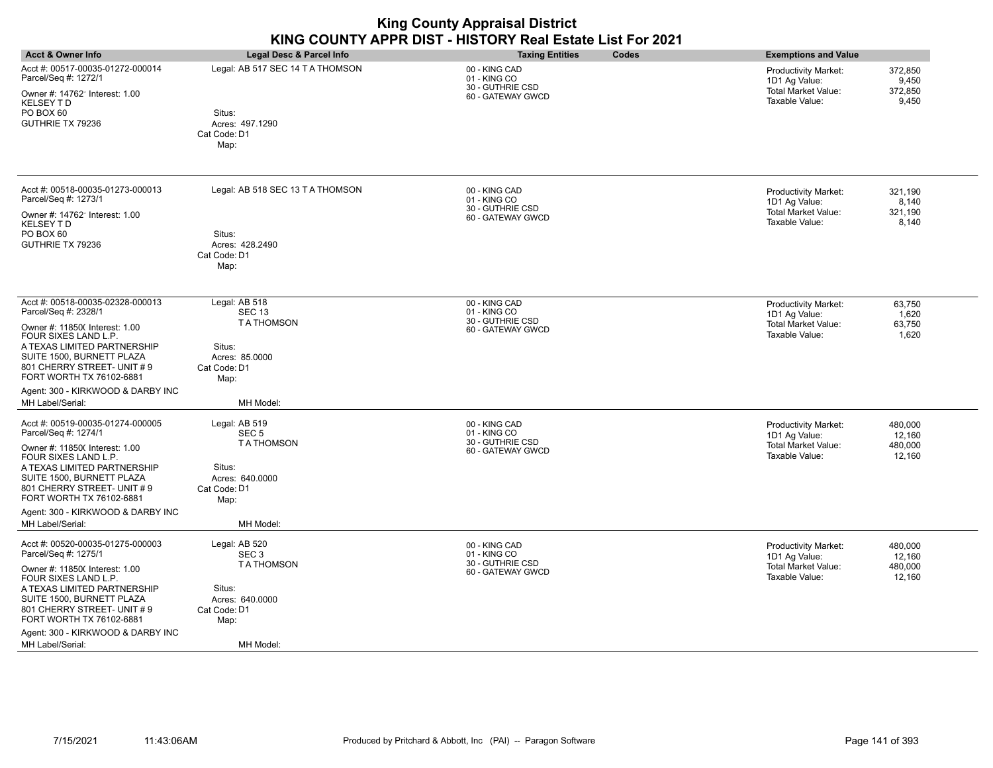| <b>Acct &amp; Owner Info</b>                                                                                                                                                                                                                                                                      | Legal Desc & Parcel Info                                                                                                | <b>Taxing Entities</b><br>Codes                                        | <b>Exemptions and Value</b>                                                                                                          |
|---------------------------------------------------------------------------------------------------------------------------------------------------------------------------------------------------------------------------------------------------------------------------------------------------|-------------------------------------------------------------------------------------------------------------------------|------------------------------------------------------------------------|--------------------------------------------------------------------------------------------------------------------------------------|
| Acct #: 00517-00035-01272-000014<br>Parcel/Seq #: 1272/1<br>Owner #: 14762 Interest: 1.00<br><b>KELSEY TD</b><br>PO BOX 60<br>GUTHRIE TX 79236                                                                                                                                                    | Legal: AB 517 SEC 14 TA THOMSON<br>Situs:<br>Acres: 497.1290<br>Cat Code: D1<br>Map:                                    | 00 - KING CAD<br>01 - KING CO<br>30 - GUTHRIE CSD<br>60 - GATEWAY GWCD | 372,850<br><b>Productivity Market:</b><br>9.450<br>1D1 Ag Value:<br><b>Total Market Value:</b><br>372,850<br>Taxable Value:<br>9,450 |
| Acct #: 00518-00035-01273-000013<br>Parcel/Seq #: 1273/1<br>Owner #: 14762' Interest: 1.00<br><b>KELSEY TD</b><br>PO BOX 60<br>GUTHRIE TX 79236                                                                                                                                                   | Legal: AB 518 SEC 13 T A THOMSON<br>Situs:<br>Acres: 428.2490<br>Cat Code: D1<br>Map:                                   | 00 - KING CAD<br>01 - KING CO<br>30 - GUTHRIE CSD<br>60 - GATEWAY GWCD | Productivity Market:<br>321,190<br>1D1 Ag Value:<br>8,140<br><b>Total Market Value:</b><br>321,190<br>Taxable Value:<br>8,140        |
| Acct #: 00518-00035-02328-000013<br>Parcel/Seq #: 2328/1<br>Owner #: 11850( Interest: 1.00<br>FOUR SIXES LAND L.P.<br>A TEXAS LIMITED PARTNERSHIP<br>SUITE 1500, BURNETT PLAZA<br>801 CHERRY STREET- UNIT #9<br>FORT WORTH TX 76102-6881<br>Agent: 300 - KIRKWOOD & DARBY INC<br>MH Label/Serial: | Legal: AB 518<br><b>SEC 13</b><br><b>TATHOMSON</b><br>Situs:<br>Acres: 85.0000<br>Cat Code: D1<br>Map:<br>MH Model:     | 00 - KING CAD<br>01 - KING CO<br>30 - GUTHRIE CSD<br>60 - GATEWAY GWCD | 63,750<br>Productivity Market:<br>1D1 Ag Value:<br>1,620<br><b>Total Market Value:</b><br>63,750<br>Taxable Value:<br>1,620          |
| Acct #: 00519-00035-01274-000005<br>Parcel/Seq #: 1274/1<br>Owner #: 11850( Interest: 1.00<br>FOUR SIXES LAND L.P.<br>A TEXAS LIMITED PARTNERSHIP<br>SUITE 1500, BURNETT PLAZA<br>801 CHERRY STREET- UNIT #9<br>FORT WORTH TX 76102-6881<br>Agent: 300 - KIRKWOOD & DARBY INC<br>MH Label/Serial: | Legal: AB 519<br>SEC <sub>5</sub><br><b>TATHOMSON</b><br>Situs:<br>Acres: 640.0000<br>Cat Code: D1<br>Map:<br>MH Model: | 00 - KING CAD<br>01 - KING CO<br>30 - GUTHRIE CSD<br>60 - GATEWAY GWCD | 480.000<br>Productivity Market:<br>1D1 Ag Value:<br>12,160<br><b>Total Market Value:</b><br>480,000<br>Taxable Value:<br>12,160      |
| Acct #: 00520-00035-01275-000003<br>Parcel/Seq #: 1275/1<br>Owner #: 11850( Interest: 1.00<br>FOUR SIXES LAND L.P.<br>A TEXAS LIMITED PARTNERSHIP<br>SUITE 1500, BURNETT PLAZA<br>801 CHERRY STREET- UNIT #9<br>FORT WORTH TX 76102-6881<br>Agent: 300 - KIRKWOOD & DARBY INC<br>MH Label/Serial: | Legal: AB 520<br>SEC <sub>3</sub><br><b>TATHOMSON</b><br>Situs:<br>Acres: 640.0000<br>Cat Code: D1<br>Map:<br>MH Model: | 00 - KING CAD<br>01 - KING CO<br>30 - GUTHRIE CSD<br>60 - GATEWAY GWCD | 480,000<br>Productivity Market:<br>1D1 Ag Value:<br>12,160<br><b>Total Market Value:</b><br>480,000<br>Taxable Value:<br>12,160      |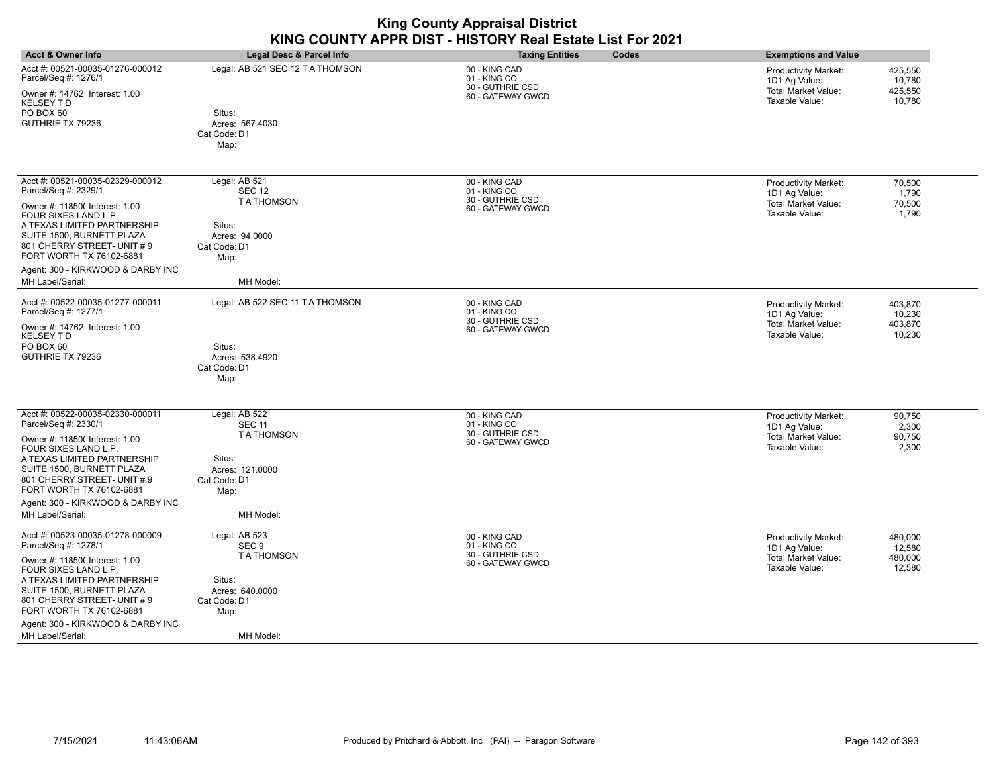| <b>Acct &amp; Owner Info</b>                                                                                                                                                                                                                                                                      | <b>Legal Desc &amp; Parcel Info</b>                                                                                     | <b>Taxing Entities</b><br>Codes                                        | <b>Exemptions and Value</b>                                                                                                            |
|---------------------------------------------------------------------------------------------------------------------------------------------------------------------------------------------------------------------------------------------------------------------------------------------------|-------------------------------------------------------------------------------------------------------------------------|------------------------------------------------------------------------|----------------------------------------------------------------------------------------------------------------------------------------|
| Acct #: 00521-00035-01276-000012<br>Parcel/Seq #: 1276/1<br>Owner #: 14762' Interest: 1.00<br><b>KELSEY TD</b><br>PO BOX 60<br>GUTHRIE TX 79236                                                                                                                                                   | Legal: AB 521 SEC 12 T A THOMSON<br>Situs:<br>Acres: 567.4030<br>Cat Code: D1<br>Map:                                   | 00 - KING CAD<br>01 - KING CO<br>30 - GUTHRIE CSD<br>60 - GATEWAY GWCD | <b>Productivity Market:</b><br>425,550<br>1D1 Ag Value:<br>10,780<br>Total Market Value:<br>425,550<br>Taxable Value:<br>10,780        |
| Acct #: 00521-00035-02329-000012<br>Parcel/Seq #: 2329/1<br>Owner #: 11850( Interest: 1.00<br>FOUR SIXES LAND L.P.<br>A TEXAS LIMITED PARTNERSHIP<br>SUITE 1500, BURNETT PLAZA<br>801 CHERRY STREET- UNIT #9<br>FORT WORTH TX 76102-6881<br>Agent: 300 - KIRKWOOD & DARBY INC<br>MH Label/Serial: | Legal: AB 521<br><b>SEC 12</b><br><b>TATHOMSON</b><br>Situs:<br>Acres: 94,0000<br>Cat Code: D1<br>Map:<br>MH Model:     | 00 - KING CAD<br>01 - KING CO<br>30 - GUTHRIE CSD<br>60 - GATEWAY GWCD | 70,500<br><b>Productivity Market:</b><br>1,790<br>1D1 Ag Value:<br>70,500<br>Total Market Value:<br>Taxable Value:<br>1,790            |
| Acct #: 00522-00035-01277-000011<br>Parcel/Seq #: 1277/1<br>Owner #: 14762' Interest: 1.00<br><b>KELSEY TD</b><br>PO BOX 60<br>GUTHRIE TX 79236                                                                                                                                                   | Legal: AB 522 SEC 11 T A THOMSON<br>Situs:<br>Acres: 538.4920<br>Cat Code: D1<br>Map:                                   | 00 - KING CAD<br>01 - KING CO<br>30 - GUTHRIE CSD<br>60 - GATEWAY GWCD | 403,870<br><b>Productivity Market:</b><br>1D1 Ag Value:<br>10,230<br>403,870<br><b>Total Market Value:</b><br>10,230<br>Taxable Value: |
| Acct #: 00522-00035-02330-000011<br>Parcel/Seq #: 2330/1<br>Owner #: 11850( Interest: 1.00<br>FOUR SIXES LAND L.P.<br>A TEXAS LIMITED PARTNERSHIP<br>SUITE 1500, BURNETT PLAZA<br>801 CHERRY STREET- UNIT #9<br>FORT WORTH TX 76102-6881<br>Agent: 300 - KIRKWOOD & DARBY INC<br>MH Label/Serial: | Legal: AB 522<br><b>SEC 11</b><br><b>TATHOMSON</b><br>Situs:<br>Acres: 121.0000<br>Cat Code: D1<br>Map:<br>MH Model:    | 00 - KING CAD<br>01 - KING CO<br>30 - GUTHRIE CSD<br>60 - GATEWAY GWCD | 90,750<br>Productivity Market:<br>1D1 Ag Value:<br>2,300<br>Total Market Value:<br>90,750<br>Taxable Value:<br>2,300                   |
| Acct #: 00523-00035-01278-000009<br>Parcel/Seq #: 1278/1<br>Owner #: 11850( Interest: 1.00<br>FOUR SIXES LAND L.P.<br>A TEXAS LIMITED PARTNERSHIP<br>SUITE 1500, BURNETT PLAZA<br>801 CHERRY STREET- UNIT #9<br>FORT WORTH TX 76102-6881<br>Agent: 300 - KIRKWOOD & DARBY INC<br>MH Label/Serial: | Legal: AB 523<br>SEC <sub>9</sub><br><b>TATHOMSON</b><br>Situs:<br>Acres: 640,0000<br>Cat Code: D1<br>Map:<br>MH Model: | 00 - KING CAD<br>01 - KING CO<br>30 - GUTHRIE CSD<br>60 - GATEWAY GWCD | Productivity Market:<br>480,000<br>1D1 Ag Value:<br>12,580<br><b>Total Market Value:</b><br>480,000<br>Taxable Value:<br>12,580        |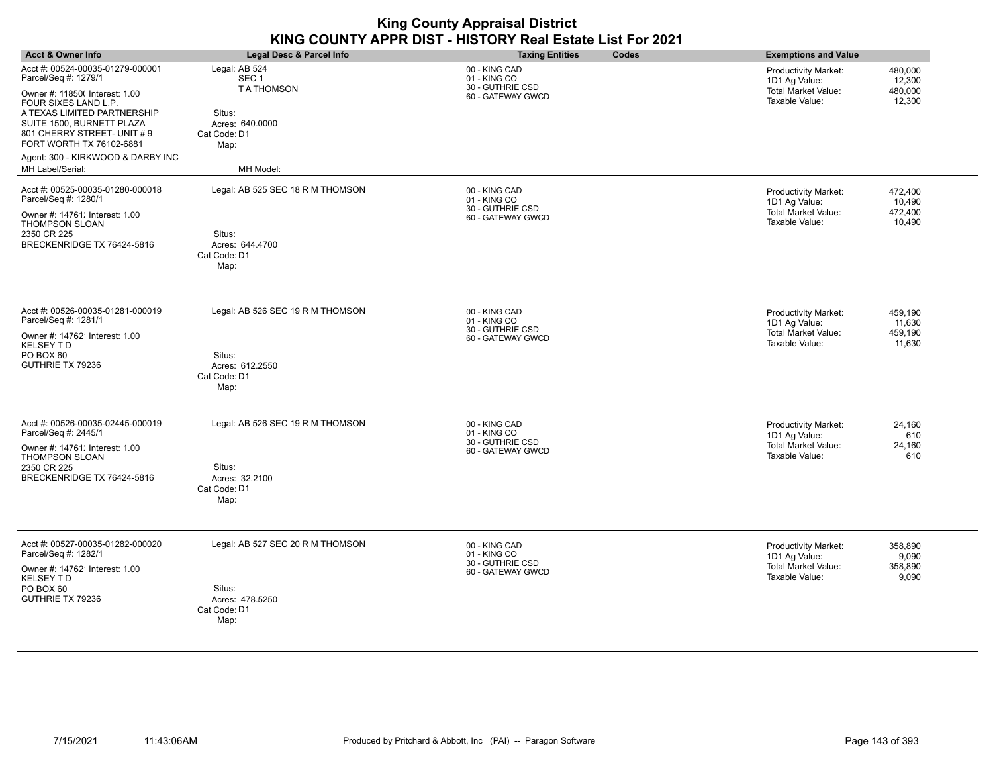| <b>Acct &amp; Owner Info</b>                             | Legal Desc & Parcel Info         | <b>Taxing Entities</b><br>Codes                   | <b>Exemptions and Value</b>                                       |
|----------------------------------------------------------|----------------------------------|---------------------------------------------------|-------------------------------------------------------------------|
| Acct #: 00524-00035-01279-000001                         | Legal: AB 524                    |                                                   |                                                                   |
| Parcel/Seq #: 1279/1                                     | SEC <sub>1</sub>                 | 00 - KING CAD<br>01 - KING CO<br>30 - GUTHRIE CSD | 480,000<br>Productivity Market:<br>12,300<br>1D1 Ag Value:        |
| Owner #: 11850( Interest: 1.00                           | <b>TATHOMSON</b>                 | 60 - GATEWAY GWCD                                 | <b>Total Market Value:</b><br>480,000<br>Taxable Value:<br>12,300 |
| FOUR SIXES LAND L.P.<br>A TEXAS LIMITED PARTNERSHIP      | Situs:                           |                                                   |                                                                   |
| SUITE 1500, BURNETT PLAZA                                | Acres: 640.0000                  |                                                   |                                                                   |
| 801 CHERRY STREET- UNIT #9<br>FORT WORTH TX 76102-6881   | Cat Code: D1                     |                                                   |                                                                   |
| Agent: 300 - KIRKWOOD & DARBY INC                        | Map:                             |                                                   |                                                                   |
| MH Label/Serial:                                         | MH Model:                        |                                                   |                                                                   |
| Acct #: 00525-00035-01280-000018                         | Legal: AB 525 SEC 18 R M THOMSON | 00 - KING CAD                                     |                                                                   |
| Parcel/Seq #: 1280/1                                     |                                  | 01 - KING CO                                      | Productivity Market:<br>472,400<br>10,490<br>1D1 Ag Value:        |
| Owner #: 14761: Interest: 1.00                           |                                  | 30 - GUTHRIE CSD<br>60 - GATEWAY GWCD             | <b>Total Market Value:</b><br>472,400<br>Taxable Value:<br>10,490 |
| THOMPSON SLOAN<br>2350 CR 225                            | Situs:                           |                                                   |                                                                   |
| BRECKENRIDGE TX 76424-5816                               | Acres: 644.4700                  |                                                   |                                                                   |
|                                                          | Cat Code: D1<br>Map:             |                                                   |                                                                   |
|                                                          |                                  |                                                   |                                                                   |
|                                                          |                                  |                                                   |                                                                   |
| Acct #: 00526-00035-01281-000019                         | Legal: AB 526 SEC 19 R M THOMSON | 00 - KING CAD                                     | Productivity Market:<br>459,190                                   |
| Parcel/Seq #: 1281/1                                     |                                  | 01 - KING CO<br>30 - GUTHRIE CSD                  | 1D1 Ag Value:<br>11,630                                           |
| Owner #: 14762' Interest: 1.00<br><b>KELSEY TD</b>       |                                  | 60 - GATEWAY GWCD                                 | <b>Total Market Value:</b><br>459,190<br>Taxable Value:<br>11,630 |
| PO BOX 60                                                | Situs:                           |                                                   |                                                                   |
| GUTHRIE TX 79236                                         | Acres: 612.2550                  |                                                   |                                                                   |
|                                                          | Cat Code: D1<br>Map:             |                                                   |                                                                   |
|                                                          |                                  |                                                   |                                                                   |
| Acct #: 00526-00035-02445-000019                         | Legal: AB 526 SEC 19 R M THOMSON | 00 - KING CAD                                     | Productivity Market:<br>24,160                                    |
| Parcel/Seq #: 2445/1                                     |                                  | 01 - KING CO                                      | 1D1 Ag Value:<br>610                                              |
| Owner #: 14761; Interest: 1.00                           |                                  | 30 - GUTHRIE CSD<br>60 - GATEWAY GWCD             | <b>Total Market Value:</b><br>24,160                              |
| THOMPSON SLOAN<br>2350 CR 225                            | Situs:                           |                                                   | Taxable Value:<br>610                                             |
| BRECKENRIDGE TX 76424-5816                               | Acres: 32.2100                   |                                                   |                                                                   |
|                                                          | Cat Code: D1                     |                                                   |                                                                   |
|                                                          | Map:                             |                                                   |                                                                   |
|                                                          |                                  |                                                   |                                                                   |
| Acct #: 00527-00035-01282-000020<br>Parcel/Seq #: 1282/1 | Legal: AB 527 SEC 20 R M THOMSON | 00 - KING CAD<br>01 - KING CO<br>30 - GUTHRIE CSD | Productivity Market:<br>358,890                                   |
| Owner #: 14762' Interest: 1.00                           |                                  |                                                   | 1D1 Ag Value:<br>9,090<br>Total Market Value:<br>358,890          |
| KELSEY T D                                               |                                  | 60 - GATEWAY GWCD                                 | Taxable Value:<br>9,090                                           |
| PO BOX 60                                                | Situs:                           |                                                   |                                                                   |
| GUTHRIE TX 79236                                         | Acres: 478.5250<br>Cat Code: D1  |                                                   |                                                                   |
|                                                          | Map:                             |                                                   |                                                                   |
|                                                          |                                  |                                                   |                                                                   |

 $\overline{\phantom{a}}$ 

 $\overline{\phantom{a}}$ 

 $\overline{\phantom{a}}$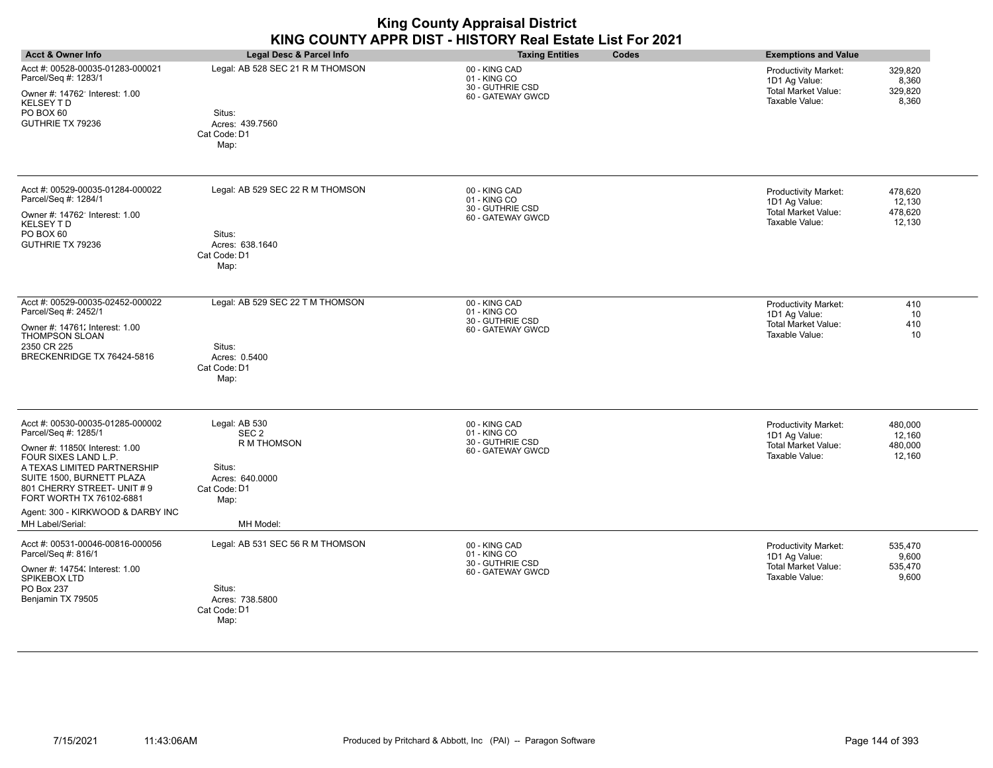| <b>Acct &amp; Owner Info</b>                                                                                                                                                                                                                                                                      | Legal Desc & Parcel Info                                                                                                  | <b>Taxing Entities</b><br>Codes                                        | <b>Exemptions and Value</b>                                                                                                            |
|---------------------------------------------------------------------------------------------------------------------------------------------------------------------------------------------------------------------------------------------------------------------------------------------------|---------------------------------------------------------------------------------------------------------------------------|------------------------------------------------------------------------|----------------------------------------------------------------------------------------------------------------------------------------|
| Acct #: 00528-00035-01283-000021<br>Parcel/Seq #: 1283/1<br>Owner #: 14762' Interest: 1.00<br><b>KELSEY TD</b><br>PO BOX 60<br>GUTHRIE TX 79236                                                                                                                                                   | Legal: AB 528 SEC 21 R M THOMSON<br>Situs:<br>Acres: 439.7560<br>Cat Code: D1<br>Map:                                     | 00 - KING CAD<br>01 - KING CO<br>30 - GUTHRIE CSD<br>60 - GATEWAY GWCD | 329,820<br><b>Productivity Market:</b><br>8,360<br>1D1 Ag Value:<br><b>Total Market Value:</b><br>329,820<br>Taxable Value:<br>8,360   |
| Acct #: 00529-00035-01284-000022<br>Parcel/Seq #: 1284/1<br>Owner #: 14762' Interest: 1.00<br><b>KELSEY TD</b><br>PO BOX 60<br>GUTHRIE TX 79236                                                                                                                                                   | Legal: AB 529 SEC 22 R M THOMSON<br>Situs:<br>Acres: 638.1640<br>Cat Code: D1<br>Map:                                     | 00 - KING CAD<br>01 - KING CO<br>30 - GUTHRIE CSD<br>60 - GATEWAY GWCD | 478,620<br><b>Productivity Market:</b><br>1D1 Ag Value:<br>12,130<br><b>Total Market Value:</b><br>478,620<br>Taxable Value:<br>12,130 |
| Acct #: 00529-00035-02452-000022<br>Parcel/Seq #: 2452/1<br>Owner #: 14761. Interest: 1.00<br>THOMPSON SLOAN<br>2350 CR 225<br>BRECKENRIDGE TX 76424-5816                                                                                                                                         | Legal: AB 529 SEC 22 T M THOMSON<br>Situs:<br>Acres: 0.5400<br>Cat Code: D1<br>Map:                                       | 00 - KING CAD<br>01 - KING CO<br>30 - GUTHRIE CSD<br>60 - GATEWAY GWCD | Productivity Market:<br>410<br>1D1 Ag Value:<br>10<br><b>Total Market Value:</b><br>410<br>Taxable Value:<br>10                        |
| Acct #: 00530-00035-01285-000002<br>Parcel/Seq #: 1285/1<br>Owner #: 11850( Interest: 1.00<br>FOUR SIXES LAND L.P.<br>A TEXAS LIMITED PARTNERSHIP<br>SUITE 1500, BURNETT PLAZA<br>801 CHERRY STREET- UNIT #9<br>FORT WORTH TX 76102-6881<br>Agent: 300 - KIRKWOOD & DARBY INC<br>MH Label/Serial: | Legal: AB 530<br>SEC <sub>2</sub><br><b>R M THOMSON</b><br>Situs:<br>Acres: 640.0000<br>Cat Code: D1<br>Map:<br>MH Model: | 00 - KING CAD<br>01 - KING CO<br>30 - GUTHRIE CSD<br>60 - GATEWAY GWCD | 480,000<br><b>Productivity Market:</b><br>1D1 Ag Value:<br>12,160<br><b>Total Market Value:</b><br>480,000<br>Taxable Value:<br>12,160 |
| Acct #: 00531-00046-00816-000056<br>Parcel/Seq #: 816/1<br>Owner #: 14754; Interest: 1.00<br>SPIKEBOX LTD<br>PO Box 237<br>Benjamin TX 79505                                                                                                                                                      | Legal: AB 531 SEC 56 R M THOMSON<br>Situs:<br>Acres: 738.5800<br>Cat Code: D1<br>Map:                                     | 00 - KING CAD<br>01 - KING CO<br>30 - GUTHRIE CSD<br>60 - GATEWAY GWCD | 535,470<br>Productivity Market:<br>1D1 Ag Value:<br>9,600<br><b>Total Market Value:</b><br>535,470<br>Taxable Value:<br>9,600          |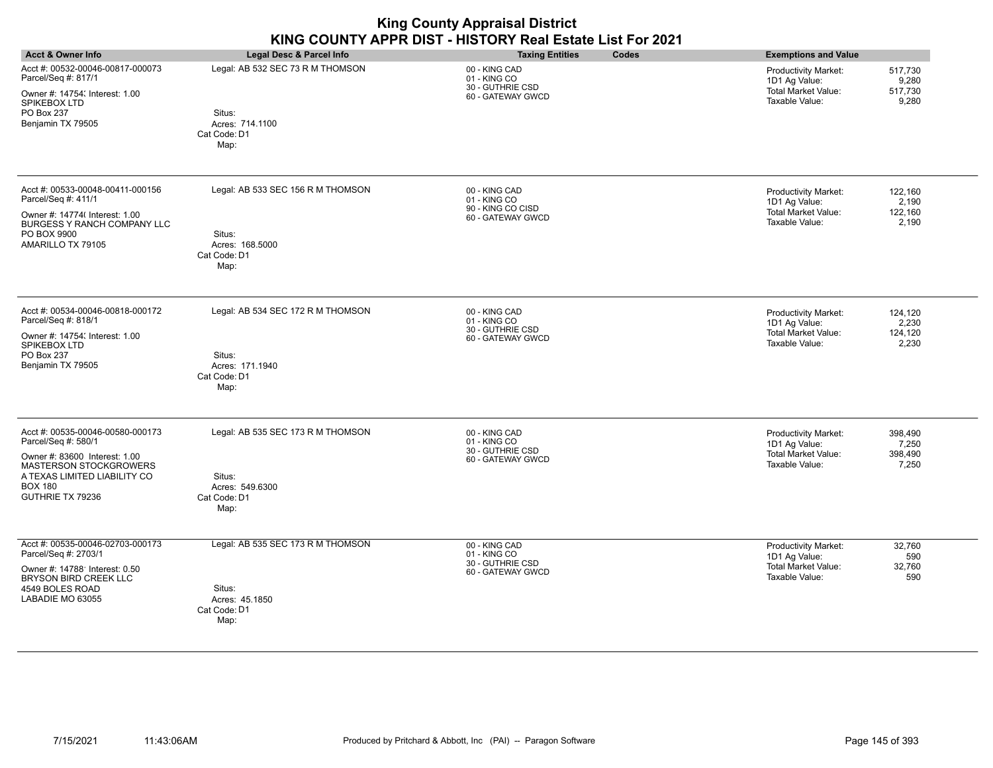| <b>Acct &amp; Owner Info</b>                                                                                                  | <b>Legal Desc &amp; Parcel Info</b>               | <b>Taxing Entities</b><br>Codes                                        | <b>Exemptions and Value</b>                                                                                                          |
|-------------------------------------------------------------------------------------------------------------------------------|---------------------------------------------------|------------------------------------------------------------------------|--------------------------------------------------------------------------------------------------------------------------------------|
| Acct #: 00532-00046-00817-000073                                                                                              | Legal: AB 532 SEC 73 R M THOMSON                  |                                                                        |                                                                                                                                      |
| Parcel/Seq #: 817/1<br>Owner #: 14754; Interest: 1.00<br>SPIKEBOX LTD                                                         |                                                   | 00 - KING CAD<br>01 - KING CO<br>30 - GUTHRIE CSD<br>60 - GATEWAY GWCD | 517,730<br><b>Productivity Market:</b><br>1D1 Ag Value:<br>9,280<br><b>Total Market Value:</b><br>517,730<br>Taxable Value:<br>9,280 |
| PO Box 237<br>Benjamin TX 79505                                                                                               | Situs:<br>Acres: 714.1100<br>Cat Code: D1<br>Map: |                                                                        |                                                                                                                                      |
| Acct #: 00533-00048-00411-000156<br>Parcel/Seq #: 411/1                                                                       | Legal: AB 533 SEC 156 R M THOMSON                 | 00 - KING CAD<br>01 - KING CO<br>90 - KING CO CISD                     | <b>Productivity Market:</b><br>122,160<br>1D1 Ag Value:<br>2,190                                                                     |
| Owner #: 14774( Interest: 1.00<br>BURGESS Y RANCH COMPANY LLC<br>PO BOX 9900<br>AMARILLO TX 79105                             | Situs:<br>Acres: 168.5000<br>Cat Code: D1<br>Map: | 60 - GATEWAY GWCD                                                      | <b>Total Market Value:</b><br>122,160<br>Taxable Value:<br>2,190                                                                     |
| Acct #: 00534-00046-00818-000172<br>Parcel/Seq #: 818/1<br>Owner #: 14754; Interest: 1.00<br>SPIKEBOX LTD                     | Legal: AB 534 SEC 172 R M THOMSON                 | 00 - KING CAD<br>01 - KING CO<br>30 - GUTHRIE CSD<br>60 - GATEWAY GWCD | <b>Productivity Market:</b><br>124,120<br>1D1 Ag Value:<br>2,230<br><b>Total Market Value:</b><br>124,120<br>Taxable Value:<br>2,230 |
| PO Box 237<br>Benjamin TX 79505                                                                                               | Situs:<br>Acres: 171.1940<br>Cat Code: D1<br>Map: |                                                                        |                                                                                                                                      |
| Acct #: 00535-00046-00580-000173<br>Parcel/Seq #: 580/1                                                                       | Legal: AB 535 SEC 173 R M THOMSON                 | 00 - KING CAD<br>01 - KING CO<br>30 - GUTHRIE CSD                      | 398,490<br><b>Productivity Market:</b><br>1D1 Ag Value:<br>7,250                                                                     |
| Owner #: 83600 Interest: 1.00<br>MASTERSON STOCKGROWERS<br>A TEXAS LIMITED LIABILITY CO<br><b>BOX 180</b><br>GUTHRIE TX 79236 | Situs:<br>Acres: 549.6300<br>Cat Code: D1<br>Map: | 60 - GATEWAY GWCD                                                      | <b>Total Market Value:</b><br>398,490<br>Taxable Value:<br>7,250                                                                     |
| Acct #: 00535-00046-02703-000173<br>Parcel/Seq #: 2703/1                                                                      | Legal: AB 535 SEC 173 R M THOMSON                 | 00 - KING CAD<br>01 - KING CO<br>30 - GUTHRIE CSD                      | <b>Productivity Market:</b><br>32,760<br>1D1 Ag Value:<br>590                                                                        |
| Owner #: 14788' Interest: 0.50<br>BRYSON BIRD CREEK LLC<br>4549 BOLES ROAD<br>LABADIE MO 63055                                | Situs:<br>Acres: 45.1850<br>Cat Code: D1          | 60 - GATEWAY GWCD                                                      | <b>Total Market Value:</b><br>32,760<br>Taxable Value:<br>590                                                                        |
|                                                                                                                               | Map:                                              |                                                                        |                                                                                                                                      |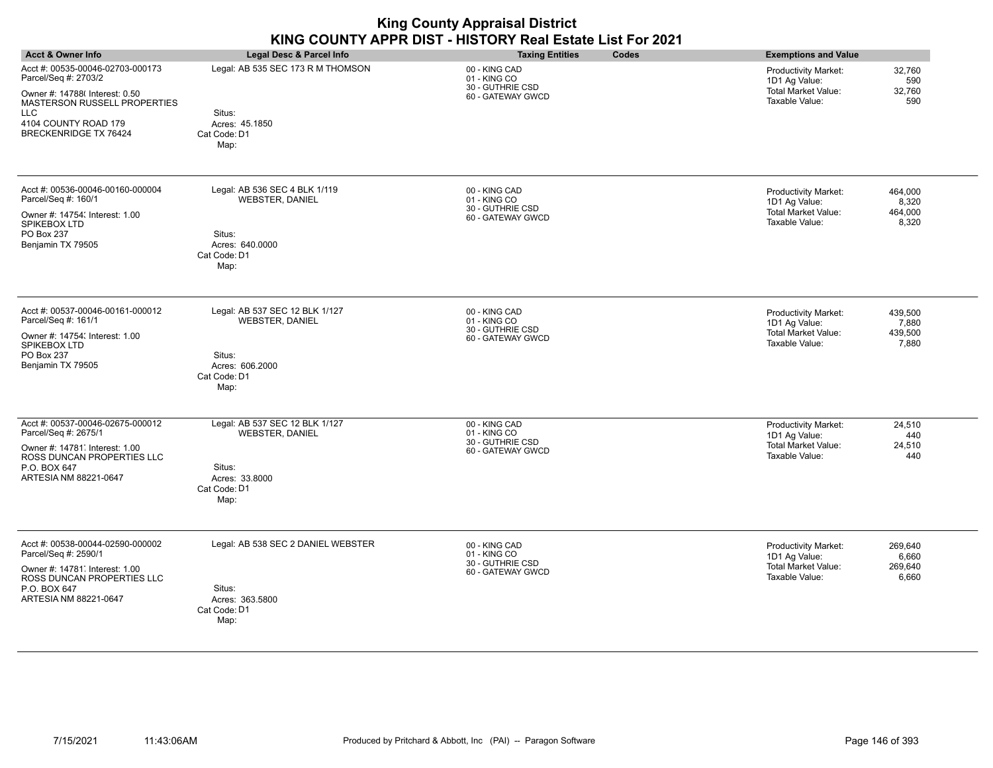| <b>Acct &amp; Owner Info</b>                                  | <b>Legal Desc &amp; Parcel Info</b>                      | <b>Taxing Entities</b><br>Codes                   | <b>Exemptions and Value</b>                                      |
|---------------------------------------------------------------|----------------------------------------------------------|---------------------------------------------------|------------------------------------------------------------------|
| Acct #: 00535-00046-02703-000173<br>Parcel/Seq #: 2703/2      | Legal: AB 535 SEC 173 R M THOMSON                        | 00 - KING CAD<br>01 - KING CO<br>30 - GUTHRIE CSD | 32,760<br><b>Productivity Market:</b><br>1D1 Ag Value:<br>590    |
| Owner #: 14788(Interest: 0.50<br>MASTERSON RUSSELL PROPERTIES |                                                          | 60 - GATEWAY GWCD                                 | <b>Total Market Value:</b><br>32,760<br>Taxable Value:<br>590    |
| <b>LLC</b>                                                    | Situs:                                                   |                                                   |                                                                  |
| 4104 COUNTY ROAD 179<br><b>BRECKENRIDGE TX 76424</b>          | Acres: 45.1850<br>Cat Code: D1<br>Map:                   |                                                   |                                                                  |
| Acct #: 00536-00046-00160-000004<br>Parcel/Seq #: 160/1       | Legal: AB 536 SEC 4 BLK 1/119<br><b>WEBSTER, DANIEL</b>  | 00 - KING CAD<br>01 - KING CO                     | <b>Productivity Market:</b><br>464,000<br>1D1 Ag Value:<br>8,320 |
| Owner #: 14754; Interest: 1.00<br>SPIKEBOX LTD                |                                                          | 30 - GUTHRIE CSD<br>60 - GATEWAY GWCD             | <b>Total Market Value:</b><br>464,000<br>Taxable Value:<br>8,320 |
| PO Box 237                                                    | Situs:                                                   |                                                   |                                                                  |
| Benjamin TX 79505                                             | Acres: 640.0000<br>Cat Code: D1<br>Map:                  |                                                   |                                                                  |
| Acct #: 00537-00046-00161-000012<br>Parcel/Seq #: 161/1       | Legal: AB 537 SEC 12 BLK 1/127<br><b>WEBSTER, DANIEL</b> | 00 - KING CAD<br>01 - KING CO                     | <b>Productivity Market:</b><br>439,500<br>1D1 Ag Value:<br>7,880 |
| Owner #: 14754; Interest: 1.00<br>SPIKEBOX LTD                |                                                          | 30 - GUTHRIE CSD<br>60 - GATEWAY GWCD             | <b>Total Market Value:</b><br>439,500<br>Taxable Value:<br>7,880 |
| PO Box 237                                                    | Situs:                                                   |                                                   |                                                                  |
| Benjamin TX 79505                                             | Acres: 606.2000<br>Cat Code: D1<br>Map:                  |                                                   |                                                                  |
| Acct #: 00537-00046-02675-000012                              | Legal: AB 537 SEC 12 BLK 1/127                           | 00 - KING CAD                                     | 24,510<br><b>Productivity Market:</b>                            |
| Parcel/Seq #: 2675/1                                          | <b>WEBSTER, DANIEL</b>                                   | 01 - KING CO<br>30 - GUTHRIE CSD                  | 1D1 Ag Value:<br>440                                             |
| Owner #: 14781 Interest: 1.00<br>ROSS DUNCAN PROPERTIES LLC   |                                                          | 60 - GATEWAY GWCD                                 | <b>Total Market Value:</b><br>24,510<br>Taxable Value:<br>440    |
| P.O. BOX 647                                                  | Situs:                                                   |                                                   |                                                                  |
| ARTESIA NM 88221-0647                                         | Acres: 33.8000                                           |                                                   |                                                                  |
|                                                               | Cat Code: D1<br>Map:                                     |                                                   |                                                                  |
|                                                               |                                                          |                                                   |                                                                  |
| Acct #: 00538-00044-02590-000002<br>Parcel/Seq #: 2590/1      | Legal: AB 538 SEC 2 DANIEL WEBSTER                       | 00 - KING CAD<br>01 - KING CO                     | <b>Productivity Market:</b><br>269,640<br>1D1 Ag Value:<br>6,660 |
| Owner #: 14781, Interest: 1.00                                |                                                          | 30 - GUTHRIE CSD                                  | <b>Total Market Value:</b><br>269,640                            |
| ROSS DUNCAN PROPERTIES LLC                                    |                                                          | 60 - GATEWAY GWCD                                 | Taxable Value:<br>6,660                                          |
| P.O. BOX 647<br>ARTESIA NM 88221-0647                         | Situs:<br>Acres: 363.5800                                |                                                   |                                                                  |
|                                                               | Cat Code: D1<br>Map:                                     |                                                   |                                                                  |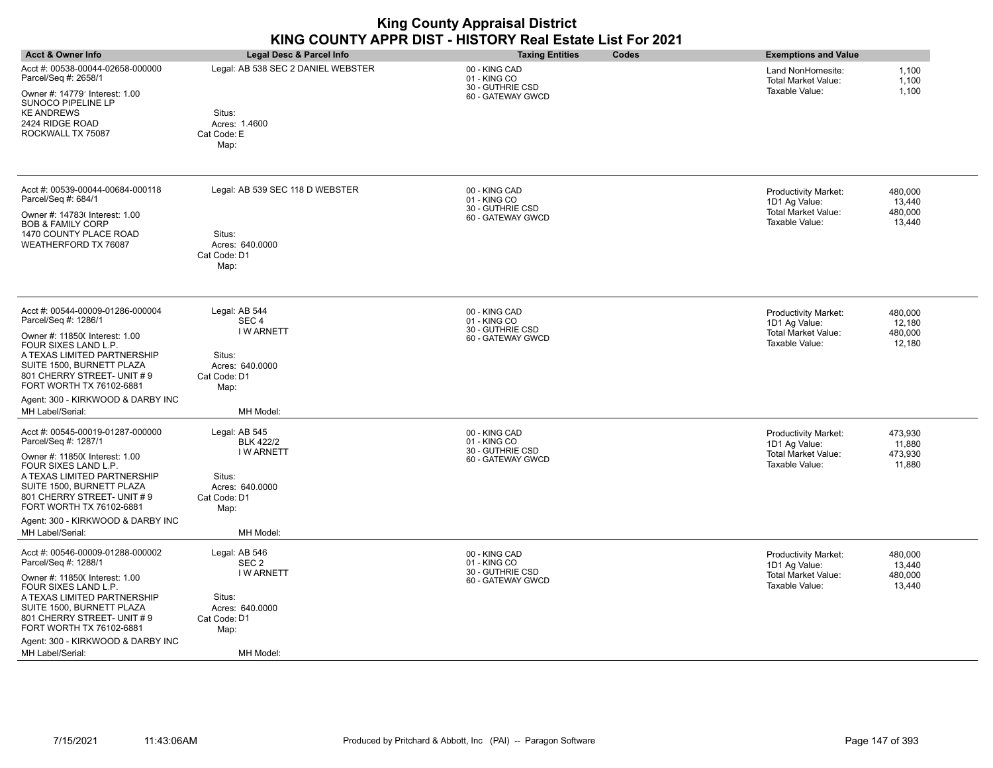| Acct & Owner Info                                                                                                                                        | <b>Legal Desc &amp; Parcel Info</b>                           | Codes<br><b>Taxing Entities</b>                                        | <b>Exemptions and Value</b>                                                                  |
|----------------------------------------------------------------------------------------------------------------------------------------------------------|---------------------------------------------------------------|------------------------------------------------------------------------|----------------------------------------------------------------------------------------------|
| Acct #: 00538-00044-02658-000000<br>Parcel/Seq #: 2658/1<br>Owner #: 14779' Interest: 1.00<br>SUNOCO PIPELINE LP<br><b>KE ANDREWS</b><br>2424 RIDGE ROAD | Legal: AB 538 SEC 2 DANIEL WEBSTER<br>Situs:<br>Acres: 1.4600 | 00 - KING CAD<br>01 - KING CO<br>30 - GUTHRIE CSD<br>60 - GATEWAY GWCD | Land NonHomesite:<br>1,100<br><b>Total Market Value:</b><br>1,100<br>Taxable Value:<br>1,100 |
| ROCKWALL TX 75087                                                                                                                                        | Cat Code: E<br>Map:                                           |                                                                        |                                                                                              |
| Acct #: 00539-00044-00684-000118<br>Parcel/Seq #: 684/1                                                                                                  | Legal: AB 539 SEC 118 D WEBSTER                               | 00 - KING CAD<br>01 - KING CO                                          | Productivity Market:<br>480,000<br>13,440<br>1D1 Ag Value:                                   |
| Owner #: 14783( Interest: 1.00<br><b>BOB &amp; FAMILY CORP</b>                                                                                           |                                                               | 30 - GUTHRIE CSD<br>60 - GATEWAY GWCD                                  | <b>Total Market Value:</b><br>480,000<br>Taxable Value:<br>13,440                            |
| 1470 COUNTY PLACE ROAD<br>WEATHERFORD TX 76087                                                                                                           | Situs:<br>Acres: 640,0000<br>Cat Code: D1<br>Map:             |                                                                        |                                                                                              |
| Acct #: 00544-00009-01286-000004<br>Parcel/Seq #: 1286/1                                                                                                 | Legal: AB 544<br>SEC <sub>4</sub>                             | 00 - KING CAD<br>01 - KING CO                                          | 480,000<br>Productivity Market:<br>12,180<br>1D1 Ag Value:                                   |
| Owner #: 11850( Interest: 1.00<br>FOUR SIXES LAND L.P.                                                                                                   | <b>I WARNETT</b>                                              | 30 - GUTHRIE CSD<br>60 - GATEWAY GWCD                                  | <b>Total Market Value:</b><br>480,000<br>Taxable Value:<br>12,180                            |
| A TEXAS LIMITED PARTNERSHIP<br>SUITE 1500, BURNETT PLAZA                                                                                                 | Situs:<br>Acres: 640.0000                                     |                                                                        |                                                                                              |
| 801 CHERRY STREET- UNIT #9<br>FORT WORTH TX 76102-6881                                                                                                   | Cat Code: D1<br>Map:                                          |                                                                        |                                                                                              |
| Agent: 300 - KIRKWOOD & DARBY INC                                                                                                                        |                                                               |                                                                        |                                                                                              |
| MH Label/Serial:                                                                                                                                         | MH Model:                                                     |                                                                        |                                                                                              |
| Acct #: 00545-00019-01287-000000<br>Parcel/Seq #: 1287/1                                                                                                 | Legal: AB 545<br><b>BLK 422/2</b>                             | 00 - KING CAD<br>01 - KING CO                                          | 473,930<br><b>Productivity Market:</b><br>11,880<br>1D1 Ag Value:                            |
| Owner #: 118500 Interest: 1.00<br>FOUR SIXES LAND L.P.                                                                                                   | <b>I WARNETT</b>                                              | 30 - GUTHRIE CSD<br>60 - GATEWAY GWCD                                  | 473,930<br><b>Total Market Value:</b><br>Taxable Value:<br>11,880                            |
| A TEXAS LIMITED PARTNERSHIP<br>SUITE 1500, BURNETT PLAZA<br>801 CHERRY STREET- UNIT #9<br>FORT WORTH TX 76102-6881                                       | Situs:<br>Acres: 640.0000<br>Cat Code: D1<br>Map:             |                                                                        |                                                                                              |
| Agent: 300 - KIRKWOOD & DARBY INC                                                                                                                        |                                                               |                                                                        |                                                                                              |
| MH Label/Serial:                                                                                                                                         | MH Model:                                                     |                                                                        |                                                                                              |
| Acct #: 00546-00009-01288-000002<br>Parcel/Seq #: 1288/1                                                                                                 | Legal: AB 546<br>SEC <sub>2</sub>                             | 00 - KING CAD<br>01 - KING CO<br>30 - GUTHRIE CSD                      | Productivity Market:<br>480,000<br>1D1 Ag Value:<br>13,440                                   |
| Owner #: 11850( Interest: 1.00<br>FOUR SIXES LAND L.P.                                                                                                   | <b>I W ARNETT</b>                                             | 60 - GATEWAY GWCD                                                      | <b>Total Market Value:</b><br>480,000<br>Taxable Value:<br>13,440                            |
| A TEXAS LIMITED PARTNERSHIP<br>SUITE 1500, BURNETT PLAZA                                                                                                 | Situs:<br>Acres: 640.0000                                     |                                                                        |                                                                                              |
| 801 CHERRY STREET- UNIT #9<br>FORT WORTH TX 76102-6881                                                                                                   | Cat Code: D1<br>Map:                                          |                                                                        |                                                                                              |
| Agent: 300 - KIRKWOOD & DARBY INC<br>MH Label/Serial:                                                                                                    | MH Model:                                                     |                                                                        |                                                                                              |
|                                                                                                                                                          |                                                               |                                                                        |                                                                                              |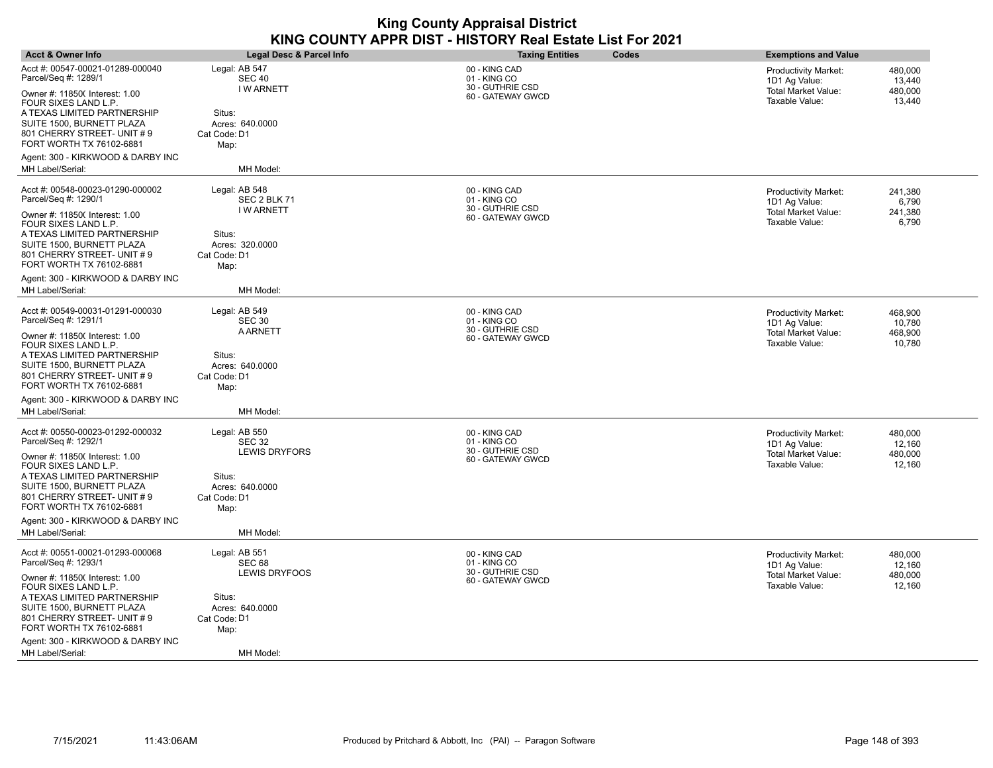| Acct #: 00547-00021-01289-000040<br>Legal: AB 547<br>00 - KING CAD<br><b>Productivity Market:</b><br>480,000<br>Parcel/Seq #: 1289/1<br>01 - KING CO<br><b>SEC 40</b><br>13,440<br>1D1 Ag Value:<br>30 - GUTHRIE CSD<br><b>IWARNETT</b><br>Total Market Value:<br>480,000<br>Owner #: 11850( Interest: 1.00<br>60 - GATEWAY GWCD<br>Taxable Value:<br>13,440<br>FOUR SIXES LAND L.P.<br>A TEXAS LIMITED PARTNERSHIP<br>Situs:<br>SUITE 1500, BURNETT PLAZA<br>Acres: 640.0000 |  |
|-------------------------------------------------------------------------------------------------------------------------------------------------------------------------------------------------------------------------------------------------------------------------------------------------------------------------------------------------------------------------------------------------------------------------------------------------------------------------------|--|
|                                                                                                                                                                                                                                                                                                                                                                                                                                                                               |  |
| 801 CHERRY STREET- UNIT # 9<br>Cat Code: D1<br>FORT WORTH TX 76102-6881<br>Map:<br>Agent: 300 - KIRKWOOD & DARBY INC                                                                                                                                                                                                                                                                                                                                                          |  |
| MH Label/Serial:<br>MH Model:                                                                                                                                                                                                                                                                                                                                                                                                                                                 |  |
| Acct #: 00548-00023-01290-000002<br>Legal: AB 548<br>00 - KING CAD<br>241,380<br><b>Productivity Market:</b><br>01 - KING CO<br>Parcel/Seq #: 1290/1<br>SEC 2 BLK 71<br>6,790<br>1D1 Ag Value:<br>30 - GUTHRIE CSD                                                                                                                                                                                                                                                            |  |
| <b>I WARNETT</b><br>Total Market Value:<br>241,380<br>Owner #: 11850( Interest: 1.00<br>60 - GATEWAY GWCD<br>Taxable Value:<br>6,790<br>FOUR SIXES LAND L.P.<br>A TEXAS LIMITED PARTNERSHIP<br>Situs:<br>SUITE 1500, BURNETT PLAZA<br>Acres: 320.0000<br>801 CHERRY STREET- UNIT # 9<br>Cat Code: D1<br>FORT WORTH TX 76102-6881<br>Map:                                                                                                                                      |  |
| Agent: 300 - KIRKWOOD & DARBY INC<br>MH Label/Serial:<br>MH Model:                                                                                                                                                                                                                                                                                                                                                                                                            |  |
|                                                                                                                                                                                                                                                                                                                                                                                                                                                                               |  |
| Acct #: 00549-00031-01291-000030<br>Legal: AB 549<br>00 - KING CAD<br>468,900<br><b>Productivity Market:</b><br>Parcel/Seq #: 1291/1<br>01 - KING CO<br><b>SEC 30</b><br>1D1 Ag Value:<br>10,780<br>30 - GUTHRIE CSD                                                                                                                                                                                                                                                          |  |
| <b>A ARNETT</b><br>Total Market Value:<br>468,900<br>Owner #: 11850( Interest: 1.00<br>60 - GATEWAY GWCD<br>Taxable Value:<br>10,780<br>FOUR SIXES LAND L.P.<br>A TEXAS LIMITED PARTNERSHIP<br>Situs:<br>SUITE 1500, BURNETT PLAZA<br>Acres: 640.0000<br>801 CHERRY STREET- UNIT # 9<br>Cat Code: D1<br>FORT WORTH TX 76102-6881<br>Map:                                                                                                                                      |  |
| Agent: 300 - KIRKWOOD & DARBY INC                                                                                                                                                                                                                                                                                                                                                                                                                                             |  |
| MH Label/Serial:<br>MH Model:                                                                                                                                                                                                                                                                                                                                                                                                                                                 |  |
| Acct #: 00550-00023-01292-000032<br>Legal: AB 550<br>00 - KING CAD<br><b>Productivity Market:</b><br>480,000<br>Parcel/Seq #: 1292/1<br>01 - KING CO<br><b>SEC 32</b><br>1D1 Ag Value:<br>12,160<br>30 - GUTHRIE CSD<br><b>LEWIS DRYFORS</b><br><b>Total Market Value:</b><br>480,000<br>Owner #: 11850( Interest: 1.00<br>60 - GATEWAY GWCD<br>Taxable Value:<br>12,160<br>FOUR SIXES LAND L.P.                                                                              |  |
| Situs:<br>A TEXAS LIMITED PARTNERSHIP<br>SUITE 1500, BURNETT PLAZA<br>Acres: 640,0000<br>801 CHERRY STREET- UNIT # 9<br>Cat Code: D1<br>FORT WORTH TX 76102-6881<br>Map:                                                                                                                                                                                                                                                                                                      |  |
| Agent: 300 - KIRKWOOD & DARBY INC<br>MH Label/Serial:<br>MH Model:                                                                                                                                                                                                                                                                                                                                                                                                            |  |
| Acct #: 00551-00021-01293-000068<br>Legal: AB 551<br>00 - KING CAD<br>480,000<br><b>Productivity Market:</b><br>Parcel/Seq #: 1293/1<br><b>SEC 68</b><br>01 - KING CO<br>12,160<br>1D1 Ag Value:                                                                                                                                                                                                                                                                              |  |
| 30 - GUTHRIE CSD<br><b>LEWIS DRYFOOS</b><br>Total Market Value:<br>480,000<br>Owner #: 11850( Interest: 1.00<br>60 - GATEWAY GWCD<br>Taxable Value:<br>12,160<br>FOUR SIXES LAND L.P.<br>A TEXAS LIMITED PARTNERSHIP<br>Situs:<br>SUITE 1500, BURNETT PLAZA<br>Acres: 640.0000<br>801 CHERRY STREET- UNIT # 9<br>Cat Code: D1<br>FORT WORTH TX 76102-6881<br>Map:                                                                                                             |  |
| Agent: 300 - KIRKWOOD & DARBY INC<br>MH Label/Serial:<br>MH Model:                                                                                                                                                                                                                                                                                                                                                                                                            |  |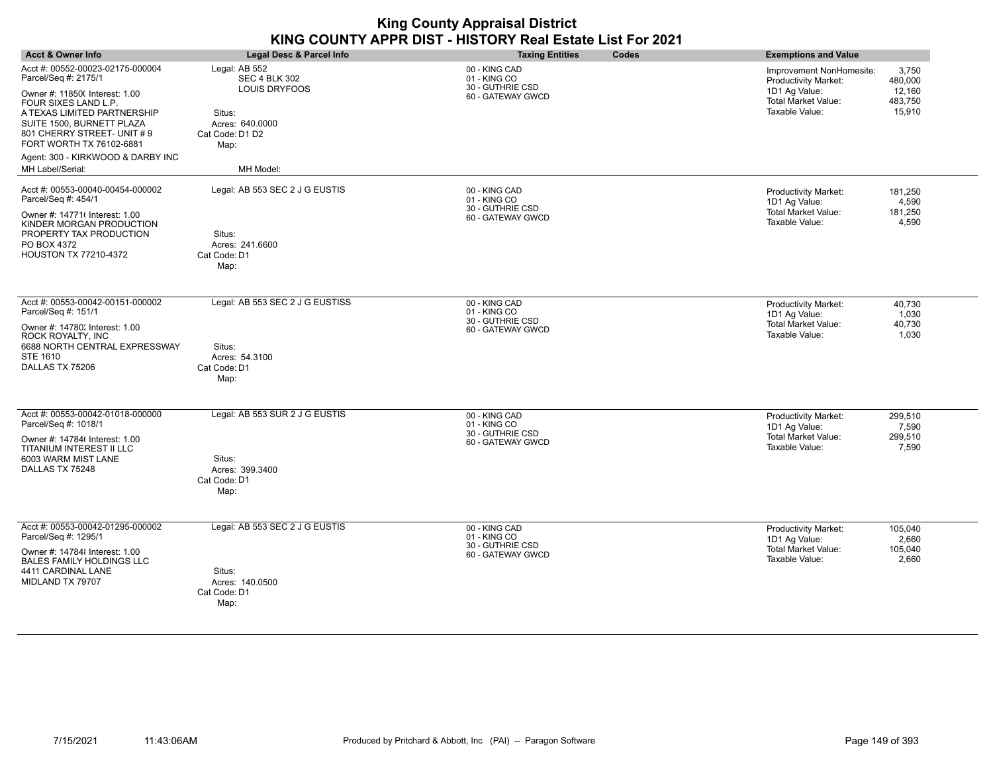|                                                                                                                                                                                                                                                                               |                                                                                                                | <b>King County Appraisal District</b><br>KING COUNTY APPR DIST - HISTORY Real Estate List For 2021 |                                                                                                                                                                             |
|-------------------------------------------------------------------------------------------------------------------------------------------------------------------------------------------------------------------------------------------------------------------------------|----------------------------------------------------------------------------------------------------------------|----------------------------------------------------------------------------------------------------|-----------------------------------------------------------------------------------------------------------------------------------------------------------------------------|
| <b>Acct &amp; Owner Info</b>                                                                                                                                                                                                                                                  | Legal Desc & Parcel Info                                                                                       | <b>Taxing Entities</b><br>Codes                                                                    | <b>Exemptions and Value</b>                                                                                                                                                 |
| Acct #: 00552-00023-02175-000004<br>Parcel/Seq #: 2175/1<br>Owner #: 11850( Interest: 1.00<br>FOUR SIXES LAND L.P.<br>A TEXAS LIMITED PARTNERSHIP<br>SUITE 1500, BURNETT PLAZA<br>801 CHERRY STREET- UNIT #9<br>FORT WORTH TX 76102-6881<br>Agent: 300 - KIRKWOOD & DARBY INC | Legal: AB 552<br><b>SEC 4 BLK 302</b><br>LOUIS DRYFOOS<br>Situs:<br>Acres: 640.0000<br>Cat Code: D1 D2<br>Map: | 00 - KING CAD<br>01 - KING CO<br>30 - GUTHRIE CSD<br>60 - GATEWAY GWCD                             | Improvement NonHomesite:<br>3,750<br><b>Productivity Market:</b><br>480.000<br>1D1 Ag Value:<br>12,160<br><b>Total Market Value:</b><br>483,750<br>Taxable Value:<br>15,910 |
| MH Label/Serial:                                                                                                                                                                                                                                                              | MH Model:                                                                                                      |                                                                                                    |                                                                                                                                                                             |
| Acct #: 00553-00040-00454-000002<br>Parcel/Seq #: 454/1<br>Owner #: 147716 Interest: 1.00<br>KINDER MORGAN PRODUCTION<br>PROPERTY TAX PRODUCTION<br>PO BOX 4372<br><b>HOUSTON TX 77210-4372</b>                                                                               | Legal: AB 553 SEC 2 J G EUSTIS<br>Situs:<br>Acres: 241,6600<br>Cat Code: D1<br>Map:                            | 00 - KING CAD<br>01 - KING CO<br>30 - GUTHRIE CSD<br>60 - GATEWAY GWCD                             | 181,250<br><b>Productivity Market:</b><br>1D1 Ag Value:<br>4,590<br><b>Total Market Value:</b><br>181,250<br>Taxable Value:<br>4,590                                        |
| Acct #: 00553-00042-00151-000002<br>Parcel/Seq #: 151/1<br>Owner #: 14780; Interest: 1.00<br>ROCK ROYALTY, INC<br>6688 NORTH CENTRAL EXPRESSWAY<br><b>STE 1610</b><br>DALLAS TX 75206                                                                                         | Legal: AB 553 SEC 2 J G EUSTISS<br>Situs:<br>Acres: 54.3100<br>Cat Code: D1<br>Map:                            | 00 - KING CAD<br>01 - KING CO<br>30 - GUTHRIE CSD<br>60 - GATEWAY GWCD                             | <b>Productivity Market:</b><br>40,730<br>1D1 Ag Value:<br>1,030<br><b>Total Market Value:</b><br>40,730<br>Taxable Value:<br>1,030                                          |
| Acct #: 00553-00042-01018-000000<br>Parcel/Seq #: 1018/1<br>Owner #: 14784(Interest: 1.00<br>TITANIUM INTEREST II LLC<br>6003 WARM MIST LANE<br>DALLAS TX 75248                                                                                                               | Legal: AB 553 SUR 2 J G EUSTIS<br>Situs:<br>Acres: 399.3400<br>Cat Code: D1<br>Map:                            | 00 - KING CAD<br>01 - KING CO<br>30 - GUTHRIE CSD<br>60 - GATEWAY GWCD                             | <b>Productivity Market:</b><br>299,510<br>7,590<br>1D1 Ag Value:<br><b>Total Market Value:</b><br>299,510<br>Taxable Value:<br>7,590                                        |
| Acct #: 00553-00042-01295-000002<br>Parcel/Seq #: 1295/1<br>Owner #: 147848 Interest: 1.00<br><b>BALES FAMILY HOLDINGS LLC</b><br>4411 CARDINAL LANE<br>MIDLAND TX 79707                                                                                                      | Legal: AB 553 SEC 2 J G EUSTIS<br>Situs:<br>Acres: 140.0500<br>Cat Code: D1<br>Map:                            | 00 - KING CAD<br>01 - KING CO<br>30 - GUTHRIE CSD<br>60 - GATEWAY GWCD                             | Productivity Market:<br>105,040<br>1D1 Ag Value:<br>2.660<br>Total Market Value:<br>105,040<br>Taxable Value:<br>2,660                                                      |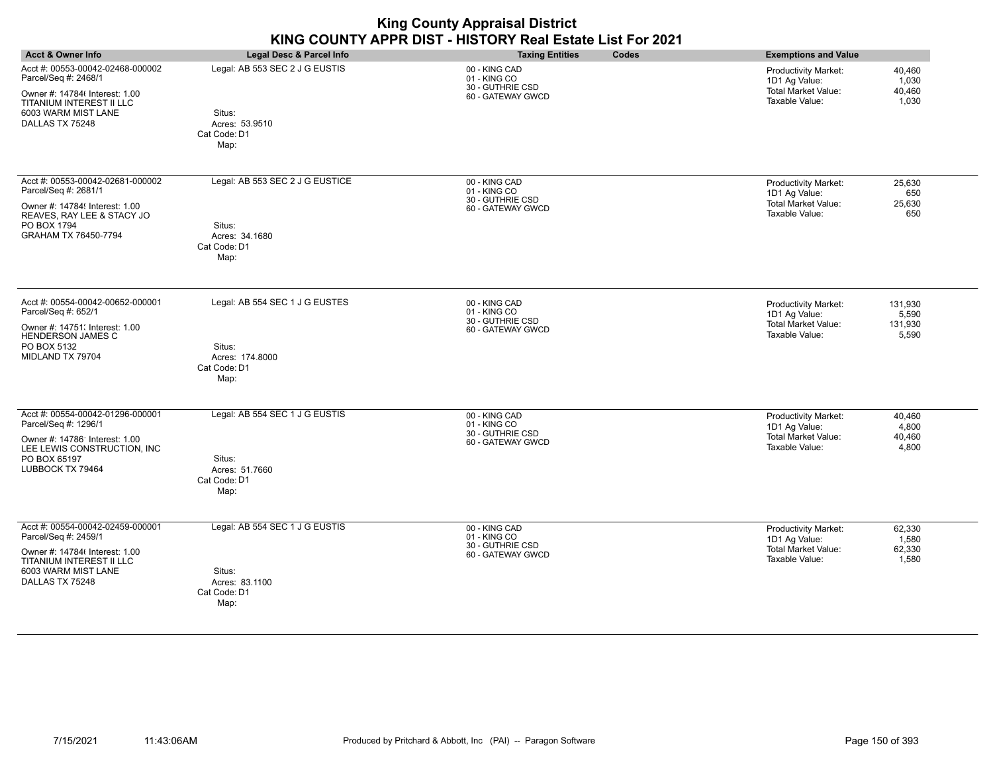|                                                                                                                                                                  |                                                                                     | <b>King County Appraisal District</b><br>KING COUNTY APPR DIST - HISTORY Real Estate List For 2021 |                                                                                                                               |
|------------------------------------------------------------------------------------------------------------------------------------------------------------------|-------------------------------------------------------------------------------------|----------------------------------------------------------------------------------------------------|-------------------------------------------------------------------------------------------------------------------------------|
| <b>Acct &amp; Owner Info</b>                                                                                                                                     | <b>Legal Desc &amp; Parcel Info</b>                                                 | <b>Taxing Entities</b><br>Codes                                                                    | <b>Exemptions and Value</b>                                                                                                   |
| Acct #: 00553-00042-02468-000002<br>Parcel/Seq #: 2468/1<br>Owner #: 14784( Interest: 1.00<br>TITANIUM INTEREST II LLC<br>6003 WARM MIST LANE<br>DALLAS TX 75248 | Legal: AB 553 SEC 2 J G EUSTIS<br>Situs:<br>Acres: 53.9510<br>Cat Code: D1<br>Map:  | 00 - KING CAD<br>01 - KING CO<br>30 - GUTHRIE CSD<br>60 - GATEWAY GWCD                             | 40,460<br>Productivity Market:<br>1D1 Ag Value:<br>1,030<br><b>Total Market Value:</b><br>40,460<br>Taxable Value:<br>1,030   |
| Acct #: 00553-00042-02681-000002<br>Parcel/Seq #: 2681/1<br>Owner #: 147849 Interest: 1.00<br>REAVES, RAY LEE & STACY JO<br>PO BOX 1794<br>GRAHAM TX 76450-7794  | Legal: AB 553 SEC 2 J G EUSTICE<br>Situs:<br>Acres: 34.1680<br>Cat Code: D1<br>Map: | 00 - KING CAD<br>01 - KING CO<br>30 - GUTHRIE CSD<br>60 - GATEWAY GWCD                             | Productivity Market:<br>25,630<br>1D1 Ag Value:<br>650<br><b>Total Market Value:</b><br>25,630<br>Taxable Value:<br>650       |
| Acct #: 00554-00042-00652-000001<br>Parcel/Seq #: 652/1<br>Owner #: 14751; Interest: 1.00<br><b>HENDERSON JAMES C</b><br>PO BOX 5132<br>MIDLAND TX 79704         | Legal: AB 554 SEC 1 J G EUSTES<br>Situs:<br>Acres: 174.8000<br>Cat Code: D1<br>Map: | 00 - KING CAD<br>01 - KING CO<br>30 - GUTHRIE CSD<br>60 - GATEWAY GWCD                             | Productivity Market:<br>131,930<br>1D1 Ag Value:<br>5,590<br><b>Total Market Value:</b><br>131,930<br>Taxable Value:<br>5,590 |
| Acct #: 00554-00042-01296-000001<br>Parcel/Seq #: 1296/1<br>Owner #: 14786' Interest: 1.00<br>LEE LEWIS CONSTRUCTION, INC<br>PO BOX 65197<br>LUBBOCK TX 79464    | Legal: AB 554 SEC 1 J G EUSTIS<br>Situs:<br>Acres: 51.7660<br>Cat Code: D1<br>Map:  | 00 - KING CAD<br>01 - KING CO<br>30 - GUTHRIE CSD<br>60 - GATEWAY GWCD                             | Productivity Market:<br>40,460<br>1D1 Ag Value:<br>4,800<br><b>Total Market Value:</b><br>40,460<br>Taxable Value:<br>4,800   |
| Acct #: 00554-00042-02459-000001<br>Parcel/Seq #: 2459/1<br>Owner #: 14784( Interest: 1.00<br>TITANIUM INTEREST II LLC<br>6003 WARM MIST LANE<br>DALLAS TX 75248 | Legal: AB 554 SEC 1 J G EUSTIS<br>Situs:<br>Acres: 83.1100<br>Cat Code: D1<br>Map:  | 00 - KING CAD<br>01 - KING CO<br>30 - GUTHRIE CSD<br>60 - GATEWAY GWCD                             | 62,330<br>Productivity Market:<br>1D1 Ag Value:<br>1,580<br><b>Total Market Value:</b><br>62,330<br>Taxable Value:<br>1,580   |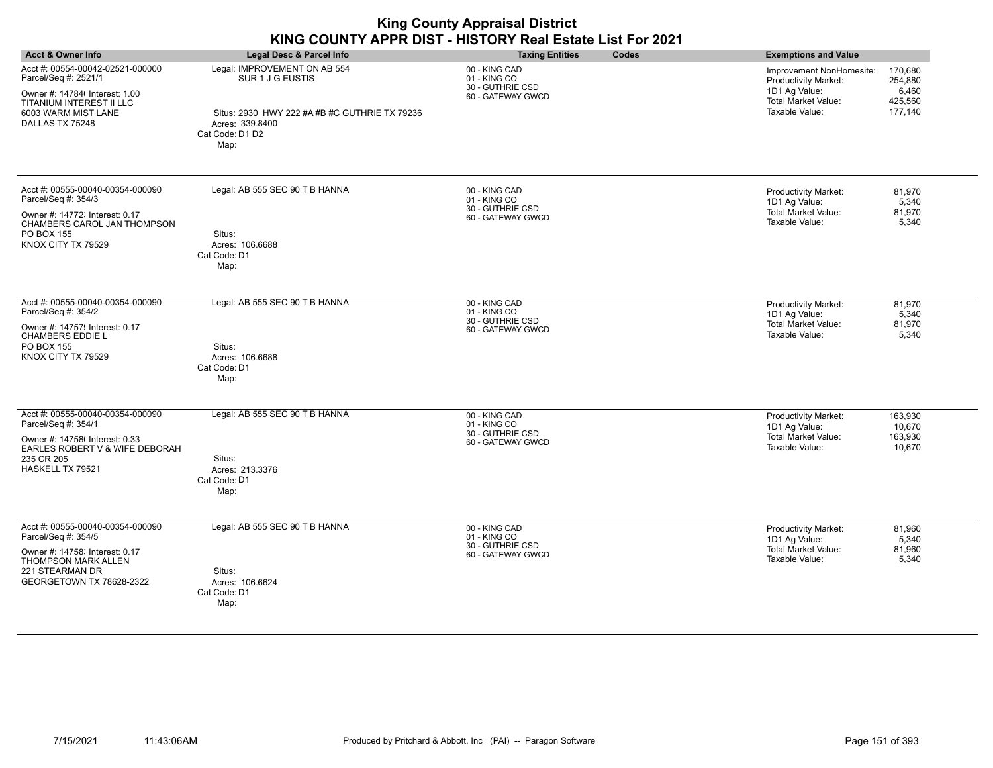| <b>Acct &amp; Owner Info</b>                                                                                                                                     | Legal Desc & Parcel Info                                                                                                                        | <b>Taxing Entities</b><br>Codes                                        | <b>Exemptions and Value</b>                                                                                                                                                   |
|------------------------------------------------------------------------------------------------------------------------------------------------------------------|-------------------------------------------------------------------------------------------------------------------------------------------------|------------------------------------------------------------------------|-------------------------------------------------------------------------------------------------------------------------------------------------------------------------------|
| Acct #: 00554-00042-02521-000000<br>Parcel/Seq #: 2521/1<br>Owner #: 14784( Interest: 1.00<br>TITANIUM INTEREST II LLC<br>6003 WARM MIST LANE<br>DALLAS TX 75248 | Legal: IMPROVEMENT ON AB 554<br>SUR 1 J G EUSTIS<br>Situs: 2930 HWY 222 #A #B #C GUTHRIE TX 79236<br>Acres: 339.8400<br>Cat Code: D1 D2<br>Map: | 00 - KING CAD<br>01 - KING CO<br>30 - GUTHRIE CSD<br>60 - GATEWAY GWCD | Improvement NonHomesite:<br>170,680<br><b>Productivity Market:</b><br>254,880<br>1D1 Ag Value:<br>6,460<br><b>Total Market Value:</b><br>425,560<br>Taxable Value:<br>177,140 |
| Acct #: 00555-00040-00354-000090<br>Parcel/Seq #: 354/3<br>Owner #: 14772. Interest: 0.17<br>CHAMBERS CAROL JAN THOMPSON<br>PO BOX 155<br>KNOX CITY TX 79529     | Legal: AB 555 SEC 90 T B HANNA<br>Situs:<br>Acres: 106.6688<br>Cat Code: D1<br>Map:                                                             | 00 - KING CAD<br>01 - KING CO<br>30 - GUTHRIE CSD<br>60 - GATEWAY GWCD | 81,970<br>Productivity Market:<br>1D1 Ag Value:<br>5,340<br><b>Total Market Value:</b><br>81,970<br>Taxable Value:<br>5,340                                                   |
| Acct #: 00555-00040-00354-000090<br>Parcel/Seq #: 354/2<br>Owner #: 14757! Interest: 0.17<br><b>CHAMBERS EDDIE L</b><br>PO BOX 155<br>KNOX CITY TX 79529         | Legal: AB 555 SEC 90 T B HANNA<br>Situs:<br>Acres: 106.6688<br>Cat Code: D1<br>Map:                                                             | 00 - KING CAD<br>01 - KING CO<br>30 - GUTHRIE CSD<br>60 - GATEWAY GWCD | 81,970<br>Productivity Market:<br>1D1 Ag Value:<br>5,340<br>Total Market Value:<br>81,970<br>Taxable Value:<br>5,340                                                          |
| Acct #: 00555-00040-00354-000090<br>Parcel/Seq #: 354/1<br>Owner #: 14758( Interest: 0.33<br>EARLES ROBERT V & WIFE DEBORAH<br>235 CR 205<br>HASKELL TX 79521    | Legal: AB 555 SEC 90 T B HANNA<br>Situs:<br>Acres: 213.3376<br>Cat Code: D1<br>Map:                                                             | 00 - KING CAD<br>01 - KING CO<br>30 - GUTHRIE CSD<br>60 - GATEWAY GWCD | Productivity Market:<br>163,930<br>10.670<br>1D1 Ag Value:<br>Total Market Value:<br>163,930<br>Taxable Value:<br>10,670                                                      |
| Acct #: 00555-00040-00354-000090<br>Parcel/Seq #: 354/5<br>Owner #: 14758; Interest: 0.17<br>THOMPSON MARK ALLEN<br>221 STEARMAN DR<br>GEORGETOWN TX 78628-2322  | Legal: AB 555 SEC 90 T B HANNA<br>Situs:<br>Acres: 106.6624<br>Cat Code: D1<br>Map:                                                             | 00 - KING CAD<br>01 - KING CO<br>30 - GUTHRIE CSD<br>60 - GATEWAY GWCD | 81,960<br><b>Productivity Market:</b><br>1D1 Ag Value:<br>5,340<br><b>Total Market Value:</b><br>81,960<br>Taxable Value:<br>5,340                                            |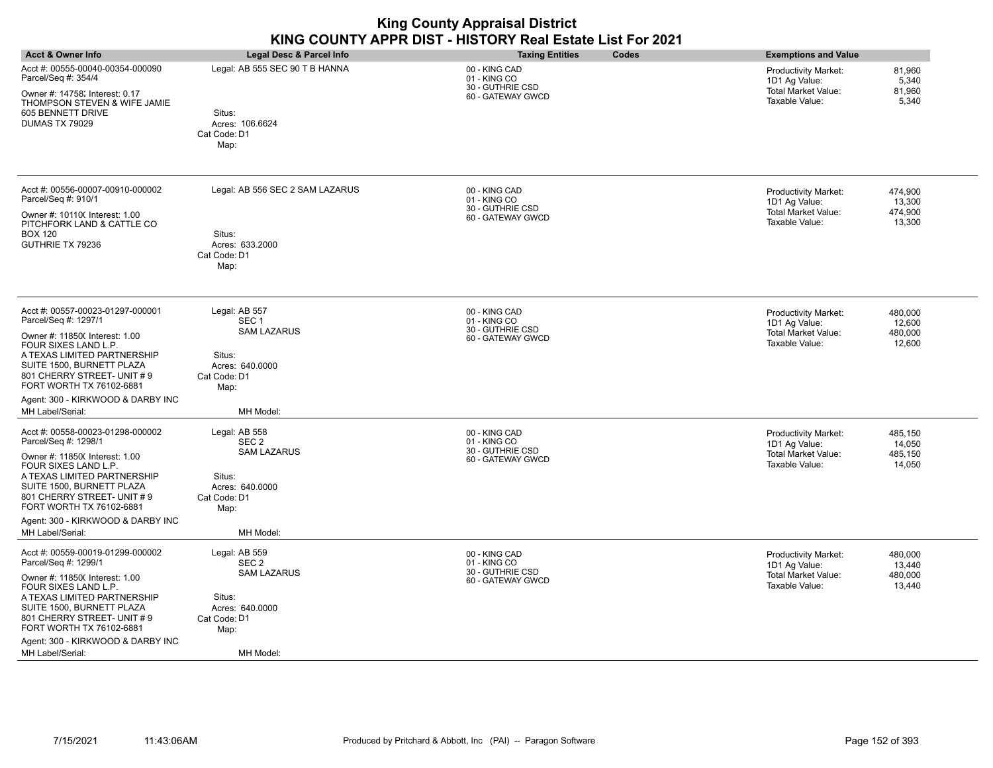| <b>Acct &amp; Owner Info</b>                                                                                                                                                                                                                                                                      | Legal Desc & Parcel Info                                                                                                  | Codes<br><b>Taxing Entities</b>                                        | <b>Exemptions and Value</b>                                                                                                            |
|---------------------------------------------------------------------------------------------------------------------------------------------------------------------------------------------------------------------------------------------------------------------------------------------------|---------------------------------------------------------------------------------------------------------------------------|------------------------------------------------------------------------|----------------------------------------------------------------------------------------------------------------------------------------|
| Acct #: 00555-00040-00354-000090<br>Parcel/Seq #: 354/4<br>Owner #: 14758; Interest: 0.17<br>THOMPSON STEVEN & WIFE JAMIE<br>605 BENNETT DRIVE<br>DUMAS TX 79029                                                                                                                                  | Legal: AB 555 SEC 90 T B HANNA<br>Situs:<br>Acres: 106.6624<br>Cat Code: D1<br>Map:                                       | 00 - KING CAD<br>01 - KING CO<br>30 - GUTHRIE CSD<br>60 - GATEWAY GWCD | 81,960<br><b>Productivity Market:</b><br>1D1 Ag Value:<br>5,340<br>81,960<br>Total Market Value:<br>5,340<br>Taxable Value:            |
| Acct #: 00556-00007-00910-000002<br>Parcel/Seq #: 910/1<br>Owner #: 10110( Interest: 1.00<br>PITCHFORK LAND & CATTLE CO<br><b>BOX 120</b><br>GUTHRIE TX 79236                                                                                                                                     | Legal: AB 556 SEC 2 SAM LAZARUS<br>Situs:<br>Acres: 633.2000<br>Cat Code: D1<br>Map:                                      | 00 - KING CAD<br>01 - KING CO<br>30 - GUTHRIE CSD<br>60 - GATEWAY GWCD | <b>Productivity Market:</b><br>474,900<br>13,300<br>1D1 Ag Value:<br>Total Market Value:<br>474,900<br>Taxable Value:<br>13,300        |
| Acct #: 00557-00023-01297-000001<br>Parcel/Seq #: 1297/1<br>Owner #: 11850( Interest: 1.00<br>FOUR SIXES LAND L.P.<br>A TEXAS LIMITED PARTNERSHIP<br>SUITE 1500, BURNETT PLAZA<br>801 CHERRY STREET- UNIT #9<br>FORT WORTH TX 76102-6881<br>Agent: 300 - KIRKWOOD & DARBY INC<br>MH Label/Serial: | Legal: AB 557<br>SEC <sub>1</sub><br><b>SAM LAZARUS</b><br>Situs:<br>Acres: 640,0000<br>Cat Code: D1<br>Map:<br>MH Model: | 00 - KING CAD<br>01 - KING CO<br>30 - GUTHRIE CSD<br>60 - GATEWAY GWCD | 480,000<br><b>Productivity Market:</b><br>12,600<br>1D1 Ag Value:<br><b>Total Market Value:</b><br>480,000<br>Taxable Value:<br>12,600 |
| Acct #: 00558-00023-01298-000002<br>Parcel/Seq #: 1298/1<br>Owner #: 11850( Interest: 1.00<br>FOUR SIXES LAND L.P.<br>A TEXAS LIMITED PARTNERSHIP<br>SUITE 1500, BURNETT PLAZA<br>801 CHERRY STREET- UNIT #9<br>FORT WORTH TX 76102-6881<br>Agent: 300 - KIRKWOOD & DARBY INC<br>MH Label/Serial: | Legal: AB 558<br>SEC <sub>2</sub><br><b>SAM LAZARUS</b><br>Situs:<br>Acres: 640,0000<br>Cat Code: D1<br>Map:<br>MH Model: | 00 - KING CAD<br>01 - KING CO<br>30 - GUTHRIE CSD<br>60 - GATEWAY GWCD | 485,150<br><b>Productivity Market:</b><br>14,050<br>1D1 Ag Value:<br><b>Total Market Value:</b><br>485,150<br>Taxable Value:<br>14,050 |
| Acct #: 00559-00019-01299-000002<br>Parcel/Seq #: 1299/1<br>Owner #: 118500 Interest: 1.00<br>FOUR SIXES LAND L.P.<br>A TEXAS LIMITED PARTNERSHIP<br>SUITE 1500, BURNETT PLAZA<br>801 CHERRY STREET- UNIT #9<br>FORT WORTH TX 76102-6881<br>Agent: 300 - KIRKWOOD & DARBY INC<br>MH Label/Serial: | Legal: AB 559<br>SEC <sub>2</sub><br><b>SAM LAZARUS</b><br>Situs:<br>Acres: 640.0000<br>Cat Code: D1<br>Map:<br>MH Model: | 00 - KING CAD<br>01 - KING CO<br>30 - GUTHRIE CSD<br>60 - GATEWAY GWCD | <b>Productivity Market:</b><br>480,000<br>1D1 Ag Value:<br>13,440<br>Total Market Value:<br>480,000<br>Taxable Value:<br>13,440        |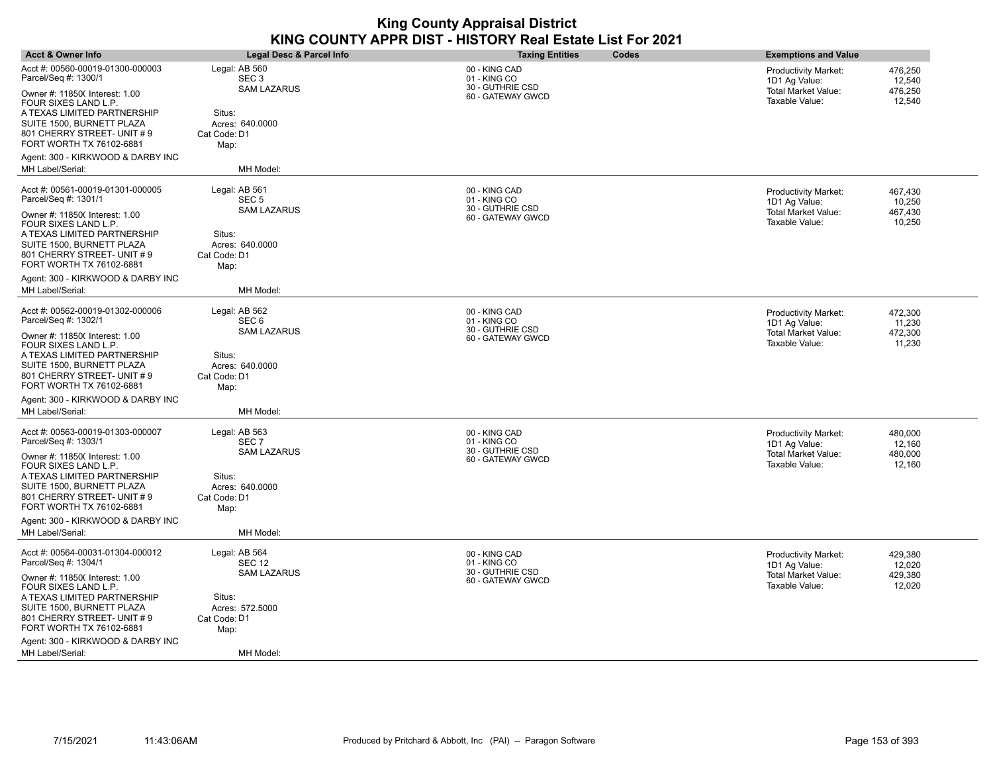| <b>Acct &amp; Owner Info</b>                                                                                                                                                  | Legal Desc & Parcel Info                                                | <b>Taxing Entities</b><br><b>Codes</b>                                 | <b>Exemptions and Value</b>                                                                                              |
|-------------------------------------------------------------------------------------------------------------------------------------------------------------------------------|-------------------------------------------------------------------------|------------------------------------------------------------------------|--------------------------------------------------------------------------------------------------------------------------|
| Acct #: 00560-00019-01300-000003<br>Parcel/Seq #: 1300/1<br>Owner #: 11850( Interest: 1.00<br>FOUR SIXES LAND L.P.                                                            | Legal: AB 560<br>SEC <sub>3</sub><br><b>SAM LAZARUS</b>                 | 00 - KING CAD<br>01 - KING CO<br>30 - GUTHRIE CSD<br>60 - GATEWAY GWCD | Productivity Market:<br>476,250<br>12,540<br>1D1 Ag Value:<br>Total Market Value:<br>476,250<br>Taxable Value:<br>12,540 |
| A TEXAS LIMITED PARTNERSHIP<br>SUITE 1500, BURNETT PLAZA<br>801 CHERRY STREET- UNIT # 9<br>FORT WORTH TX 76102-6881                                                           | Situs:<br>Acres: 640.0000<br>Cat Code: D1<br>Map:                       |                                                                        |                                                                                                                          |
| Agent: 300 - KIRKWOOD & DARBY INC<br>MH Label/Serial:                                                                                                                         | MH Model:                                                               |                                                                        |                                                                                                                          |
| Acct #: 00561-00019-01301-000005<br>Parcel/Seq #: 1301/1                                                                                                                      | Legal: AB 561<br>SEC <sub>5</sub>                                       | 00 - KING CAD<br>01 - KING CO<br>30 - GUTHRIE CSD                      | <b>Productivity Market:</b><br>467,430<br>10,250<br>1D1 Ag Value:                                                        |
| Owner #: 11850( Interest: 1.00<br>FOUR SIXES LAND L.P.<br>A TEXAS LIMITED PARTNERSHIP<br>SUITE 1500, BURNETT PLAZA<br>801 CHERRY STREET- UNIT # 9<br>FORT WORTH TX 76102-6881 | <b>SAM LAZARUS</b><br>Situs:<br>Acres: 640.0000<br>Cat Code: D1<br>Map: | 60 - GATEWAY GWCD                                                      | Total Market Value:<br>467,430<br>Taxable Value:<br>10,250                                                               |
| Agent: 300 - KIRKWOOD & DARBY INC<br>MH Label/Serial:                                                                                                                         | MH Model:                                                               |                                                                        |                                                                                                                          |
|                                                                                                                                                                               |                                                                         |                                                                        |                                                                                                                          |
| Acct #: 00562-00019-01302-000006<br>Parcel/Seq #: 1302/1                                                                                                                      | Legal: AB 562<br>SEC <sub>6</sub>                                       | 00 - KING CAD<br>01 - KING CO<br>30 - GUTHRIE CSD                      | 472,300<br>Productivity Market:<br>11,230<br>1D1 Ag Value:                                                               |
| Owner #: 11850( Interest: 1.00<br>FOUR SIXES LAND L.P.<br>A TEXAS LIMITED PARTNERSHIP<br>SUITE 1500, BURNETT PLAZA<br>801 CHERRY STREET- UNIT # 9<br>FORT WORTH TX 76102-6881 | <b>SAM LAZARUS</b><br>Situs:<br>Acres: 640.0000<br>Cat Code: D1<br>Map: | 60 - GATEWAY GWCD                                                      | Total Market Value:<br>472,300<br>Taxable Value:<br>11,230                                                               |
| Agent: 300 - KIRKWOOD & DARBY INC                                                                                                                                             |                                                                         |                                                                        |                                                                                                                          |
| MH Label/Serial:                                                                                                                                                              | MH Model:                                                               |                                                                        |                                                                                                                          |
| Acct #: 00563-00019-01303-000007<br>Parcel/Seq #: 1303/1<br>Owner #: 11850( Interest: 1.00<br>FOUR SIXES LAND L.P.                                                            | Legal: AB 563<br>SEC <sub>7</sub><br><b>SAM LAZARUS</b>                 | 00 - KING CAD<br>01 - KING CO<br>30 - GUTHRIE CSD<br>60 - GATEWAY GWCD | Productivity Market:<br>480.000<br>12,160<br>1D1 Ag Value:<br>480,000<br>Total Market Value:<br>Taxable Value:<br>12,160 |
| A TEXAS LIMITED PARTNERSHIP<br>SUITE 1500, BURNETT PLAZA<br>801 CHERRY STREET- UNIT # 9<br>FORT WORTH TX 76102-6881                                                           | Situs:<br>Acres: 640.0000<br>Cat Code: D1<br>Map:                       |                                                                        |                                                                                                                          |
| Agent: 300 - KIRKWOOD & DARBY INC                                                                                                                                             |                                                                         |                                                                        |                                                                                                                          |
| MH Label/Serial:                                                                                                                                                              | MH Model:                                                               |                                                                        |                                                                                                                          |
| Acct #: 00564-00031-01304-000012<br>Parcel/Seq #: 1304/1                                                                                                                      | Legal: AB 564<br><b>SEC 12</b>                                          | 00 - KING CAD<br>01 - KING CO                                          | Productivity Market:<br>429,380<br>12,020<br>1D1 Ag Value:                                                               |
| Owner #: 11850( Interest: 1.00<br>FOUR SIXES LAND L.P.<br>A TEXAS LIMITED PARTNERSHIP<br>SUITE 1500, BURNETT PLAZA<br>801 CHERRY STREET- UNIT # 9<br>FORT WORTH TX 76102-6881 | <b>SAM LAZARUS</b><br>Situs:<br>Acres: 572.5000<br>Cat Code: D1<br>Map: | 30 - GUTHRIE CSD<br>60 - GATEWAY GWCD                                  | <b>Total Market Value:</b><br>429,380<br>Taxable Value:<br>12,020                                                        |
| Agent: 300 - KIRKWOOD & DARBY INC                                                                                                                                             |                                                                         |                                                                        |                                                                                                                          |
| MH Label/Serial:                                                                                                                                                              | MH Model:                                                               |                                                                        |                                                                                                                          |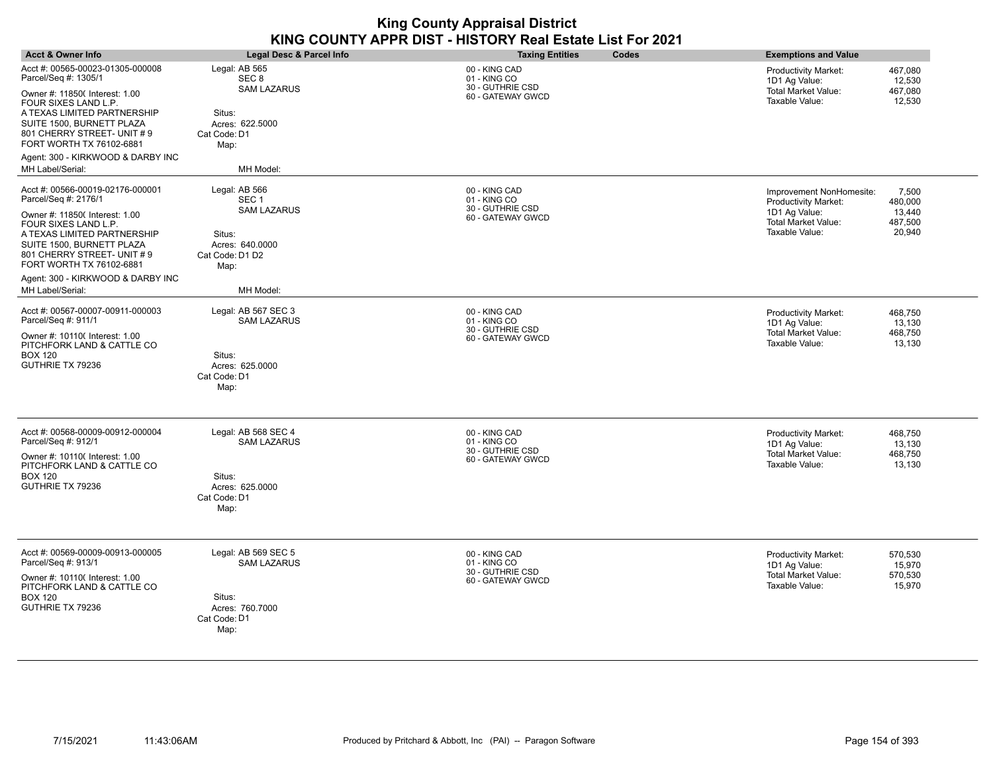| <b>Acct &amp; Owner Info</b>                                                                                                                                                  | <b>Legal Desc &amp; Parcel Info</b>                     | <b>Taxing Entities</b><br>Codes                                        | <b>Exemptions and Value</b>                                                                                                            |
|-------------------------------------------------------------------------------------------------------------------------------------------------------------------------------|---------------------------------------------------------|------------------------------------------------------------------------|----------------------------------------------------------------------------------------------------------------------------------------|
| Acct #: 00565-00023-01305-000008<br>Parcel/Seq #: 1305/1<br>Owner #: 11850( Interest: 1.00                                                                                    | Legal: AB 565<br>SEC <sub>8</sub><br><b>SAM LAZARUS</b> | 00 - KING CAD<br>01 - KING CO<br>30 - GUTHRIE CSD<br>60 - GATEWAY GWCD | <b>Productivity Market:</b><br>467,080<br>12,530<br>1D1 Ag Value:<br>Total Market Value:<br>467,080                                    |
| FOUR SIXES LAND L.P.<br>A TEXAS LIMITED PARTNERSHIP<br>SUITE 1500, BURNETT PLAZA<br>801 CHERRY STREET- UNIT # 9<br>FORT WORTH TX 76102-6881                                   | Situs:<br>Acres: 622.5000<br>Cat Code: D1<br>Map:       |                                                                        | 12,530<br>Taxable Value:                                                                                                               |
| Agent: 300 - KIRKWOOD & DARBY INC<br>MH Label/Serial:                                                                                                                         | MH Model:                                               |                                                                        |                                                                                                                                        |
|                                                                                                                                                                               |                                                         |                                                                        |                                                                                                                                        |
| Acct #: 00566-00019-02176-000001<br>Parcel/Seq #: 2176/1                                                                                                                      | Legal: AB 566<br>SEC 1<br><b>SAM LAZARUS</b>            | 00 - KING CAD<br>01 - KING CO<br>30 - GUTHRIE CSD                      | Improvement NonHomesite:<br>7,500<br>480,000<br><b>Productivity Market:</b>                                                            |
| Owner #: 11850( Interest: 1.00<br>FOUR SIXES LAND L.P.<br>A TEXAS LIMITED PARTNERSHIP<br>SUITE 1500, BURNETT PLAZA<br>801 CHERRY STREET- UNIT # 9<br>FORT WORTH TX 76102-6881 | Situs:<br>Acres: 640.0000<br>Cat Code: D1 D2<br>Map:    | 60 - GATEWAY GWCD                                                      | 1D1 Ag Value:<br>13,440<br>Total Market Value:<br>487,500<br>20,940<br>Taxable Value:                                                  |
| Agent: 300 - KIRKWOOD & DARBY INC<br>MH Label/Serial:                                                                                                                         | MH Model:                                               |                                                                        |                                                                                                                                        |
| Acct #: 00567-00007-00911-000003<br>Parcel/Seq #: 911/1                                                                                                                       | Legal: AB 567 SEC 3<br><b>SAM LAZARUS</b>               | 00 - KING CAD<br>01 - KING CO<br>30 - GUTHRIE CSD                      | <b>Productivity Market:</b><br>468,750<br>1D1 Ag Value:<br>13,130                                                                      |
| Owner #: 10110( Interest: 1.00<br>PITCHFORK LAND & CATTLE CO<br><b>BOX 120</b><br>GUTHRIE TX 79236                                                                            | Situs:<br>Acres: 625.0000<br>Cat Code: D1<br>Map:       | 60 - GATEWAY GWCD                                                      | Total Market Value:<br>468,750<br>13,130<br>Taxable Value:                                                                             |
| Acct #: 00568-00009-00912-000004<br>Parcel/Seq #: 912/1<br>Owner #: 10110( Interest: 1.00                                                                                     | Legal: AB 568 SEC 4<br><b>SAM LAZARUS</b>               | 00 - KING CAD<br>01 - KING CO<br>30 - GUTHRIE CSD<br>60 - GATEWAY GWCD | 468,750<br><b>Productivity Market:</b><br>1D1 Ag Value:<br>13,130<br><b>Total Market Value:</b><br>468,750<br>Taxable Value:<br>13,130 |
| PITCHFORK LAND & CATTLE CO<br>BOX 120<br>GUTHRIE TX 79236                                                                                                                     | Situs:<br>Acres: 625.0000<br>Cat Code: D1<br>Map:       |                                                                        |                                                                                                                                        |
| Acct #: 00569-00009-00913-000005<br>Parcel/Seq #: 913/1<br>Owner #: 10110( Interest: 1.00                                                                                     | Legal: AB 569 SEC 5<br><b>SAM LAZARUS</b>               | 00 - KING CAD<br>01 - KING CO<br>30 - GUTHRIE CSD<br>60 - GATEWAY GWCD | <b>Productivity Market:</b><br>570,530<br>1D1 Ag Value:<br>15,970<br>Total Market Value:<br>570,530                                    |
| PITCHFORK LAND & CATTLE CO<br>BOX 120<br>GUTHRIE TX 79236                                                                                                                     | Situs:<br>Acres: 760.7000<br>Cat Code: D1<br>Map:       |                                                                        | Taxable Value:<br>15,970                                                                                                               |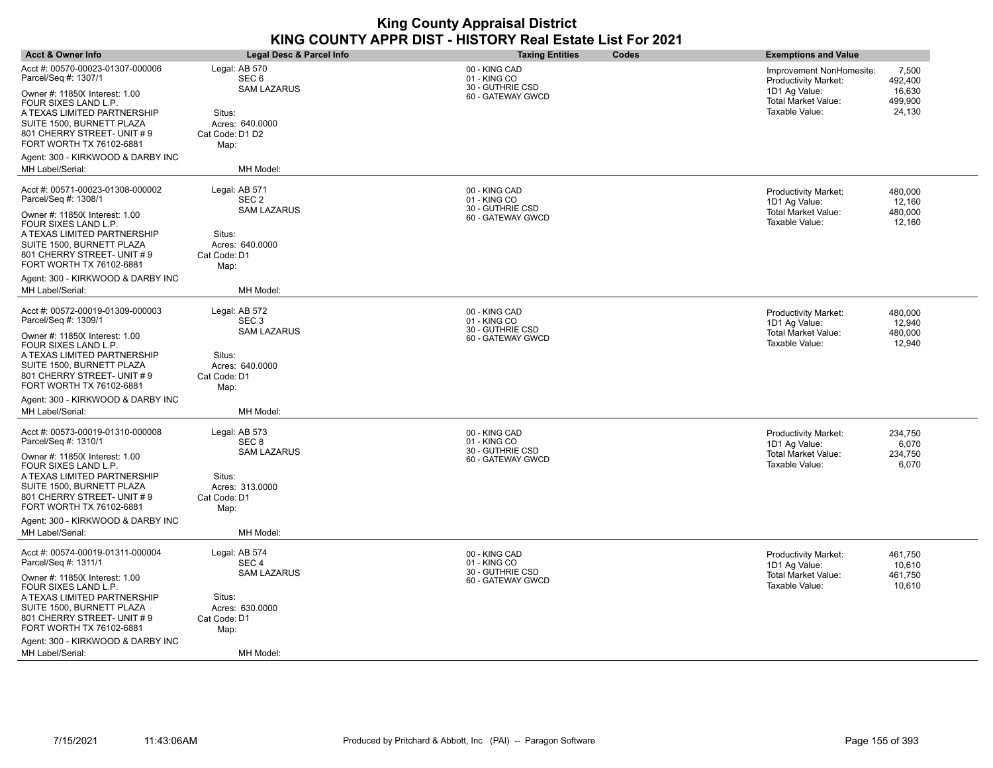| <b>Acct &amp; Owner Info</b>                                                                                                                                                  | <b>Legal Desc &amp; Parcel Info</b>                                     | <b>Taxing Entities</b>                                                 | Codes | <b>Exemptions and Value</b>                                                                                       |                                                 |
|-------------------------------------------------------------------------------------------------------------------------------------------------------------------------------|-------------------------------------------------------------------------|------------------------------------------------------------------------|-------|-------------------------------------------------------------------------------------------------------------------|-------------------------------------------------|
| Acct #: 00570-00023-01307-000006<br>Parcel/Seq #: 1307/1<br>Owner #: 11850( Interest: 1.00<br>FOUR SIXES LAND L.P.<br>A TEXAS LIMITED PARTNERSHIP                             | Legal: AB 570<br>SEC <sub>6</sub><br><b>SAM LAZARUS</b><br>Situs:       | 00 - KING CAD<br>01 - KING CO<br>30 - GUTHRIE CSD<br>60 - GATEWAY GWCD |       | Improvement NonHomesite:<br><b>Productivity Market:</b><br>1D1 Ag Value:<br>Total Market Value:<br>Taxable Value: | 7,500<br>492,400<br>16,630<br>499,900<br>24,130 |
| SUITE 1500, BURNETT PLAZA<br>801 CHERRY STREET- UNIT # 9<br>FORT WORTH TX 76102-6881<br>Agent: 300 - KIRKWOOD & DARBY INC                                                     | Acres: 640.0000<br>Cat Code: D1 D2<br>Map:                              |                                                                        |       |                                                                                                                   |                                                 |
| MH Label/Serial:                                                                                                                                                              | MH Model:                                                               |                                                                        |       |                                                                                                                   |                                                 |
| Acct #: 00571-00023-01308-000002<br>Parcel/Seq #: 1308/1                                                                                                                      | Legal: AB 571<br>SEC <sub>2</sub>                                       | 00 - KING CAD<br>01 - KING CO<br>30 - GUTHRIE CSD                      |       | <b>Productivity Market:</b><br>1D1 Ag Value:                                                                      | 480,000<br>12,160                               |
| Owner #: 11850( Interest: 1.00<br>FOUR SIXES LAND L.P.<br>A TEXAS LIMITED PARTNERSHIP<br>SUITE 1500, BURNETT PLAZA<br>801 CHERRY STREET- UNIT # 9<br>FORT WORTH TX 76102-6881 | <b>SAM LAZARUS</b><br>Situs:<br>Acres: 640.0000<br>Cat Code: D1<br>Map: | 60 - GATEWAY GWCD                                                      |       | Total Market Value:<br>Taxable Value:                                                                             | 480,000<br>12,160                               |
| Agent: 300 - KIRKWOOD & DARBY INC                                                                                                                                             |                                                                         |                                                                        |       |                                                                                                                   |                                                 |
| MH Label/Serial:                                                                                                                                                              | MH Model:                                                               |                                                                        |       |                                                                                                                   |                                                 |
| Acct #: 00572-00019-01309-000003<br>Parcel/Seq #: 1309/1                                                                                                                      | Legal: AB 572<br>SEC <sub>3</sub><br><b>SAM LAZARUS</b>                 | 00 - KING CAD<br>01 - KING CO<br>30 - GUTHRIE CSD                      |       | <b>Productivity Market:</b><br>1D1 Ag Value:                                                                      | 480.000<br>12,940                               |
| Owner #: 11850( Interest: 1.00<br>FOUR SIXES LAND L.P.<br>A TEXAS LIMITED PARTNERSHIP<br>SUITE 1500, BURNETT PLAZA<br>801 CHERRY STREET- UNIT # 9<br>FORT WORTH TX 76102-6881 | Situs:<br>Acres: 640.0000<br>Cat Code: D1<br>Map:                       | 60 - GATEWAY GWCD                                                      |       | Total Market Value:<br>Taxable Value:                                                                             | 480,000<br>12,940                               |
| Agent: 300 - KIRKWOOD & DARBY INC<br>MH Label/Serial:                                                                                                                         | MH Model:                                                               |                                                                        |       |                                                                                                                   |                                                 |
| Acct #: 00573-00019-01310-000008<br>Parcel/Seq #: 1310/1                                                                                                                      | Legal: AB 573<br>SEC <sub>8</sub>                                       | 00 - KING CAD<br>01 - KING CO                                          |       | <b>Productivity Market:</b><br>1D1 Ag Value:                                                                      | 234,750<br>6,070                                |
| Owner #: 11850( Interest: 1.00<br>FOUR SIXES LAND L.P.                                                                                                                        | <b>SAM LAZARUS</b>                                                      | 30 - GUTHRIE CSD<br>60 - GATEWAY GWCD                                  |       | <b>Total Market Value:</b><br>Taxable Value:                                                                      | 234,750<br>6,070                                |
| A TEXAS LIMITED PARTNERSHIP<br>SUITE 1500, BURNETT PLAZA<br>801 CHERRY STREET- UNIT # 9<br>FORT WORTH TX 76102-6881                                                           | Situs:<br>Acres: 313,0000<br>Cat Code: D1<br>Map:                       |                                                                        |       |                                                                                                                   |                                                 |
| Agent: 300 - KIRKWOOD & DARBY INC                                                                                                                                             |                                                                         |                                                                        |       |                                                                                                                   |                                                 |
| MH Label/Serial:                                                                                                                                                              | MH Model:                                                               |                                                                        |       |                                                                                                                   |                                                 |
| Acct #: 00574-00019-01311-000004<br>Parcel/Seq #: 1311/1                                                                                                                      | Legal: AB 574<br>SEC <sub>4</sub>                                       | 00 - KING CAD<br>01 - KING CO<br>30 - GUTHRIE CSD                      |       | <b>Productivity Market:</b><br>1D1 Ag Value:                                                                      | 461,750<br>10,610                               |
| Owner #: 11850( Interest: 1.00<br>FOUR SIXES LAND L.P.<br>A TEXAS LIMITED PARTNERSHIP<br>SUITE 1500, BURNETT PLAZA                                                            | <b>SAM LAZARUS</b><br>Situs:<br>Acres: 630.0000                         | 60 - GATEWAY GWCD                                                      |       | Total Market Value:<br>Taxable Value:                                                                             | 461,750<br>10,610                               |
| 801 CHERRY STREET- UNIT # 9<br>FORT WORTH TX 76102-6881                                                                                                                       | Cat Code: D1<br>Map:                                                    |                                                                        |       |                                                                                                                   |                                                 |
| Agent: 300 - KIRKWOOD & DARBY INC<br>MH Label/Serial:                                                                                                                         | MH Model:                                                               |                                                                        |       |                                                                                                                   |                                                 |

 $\overline{\phantom{a}}$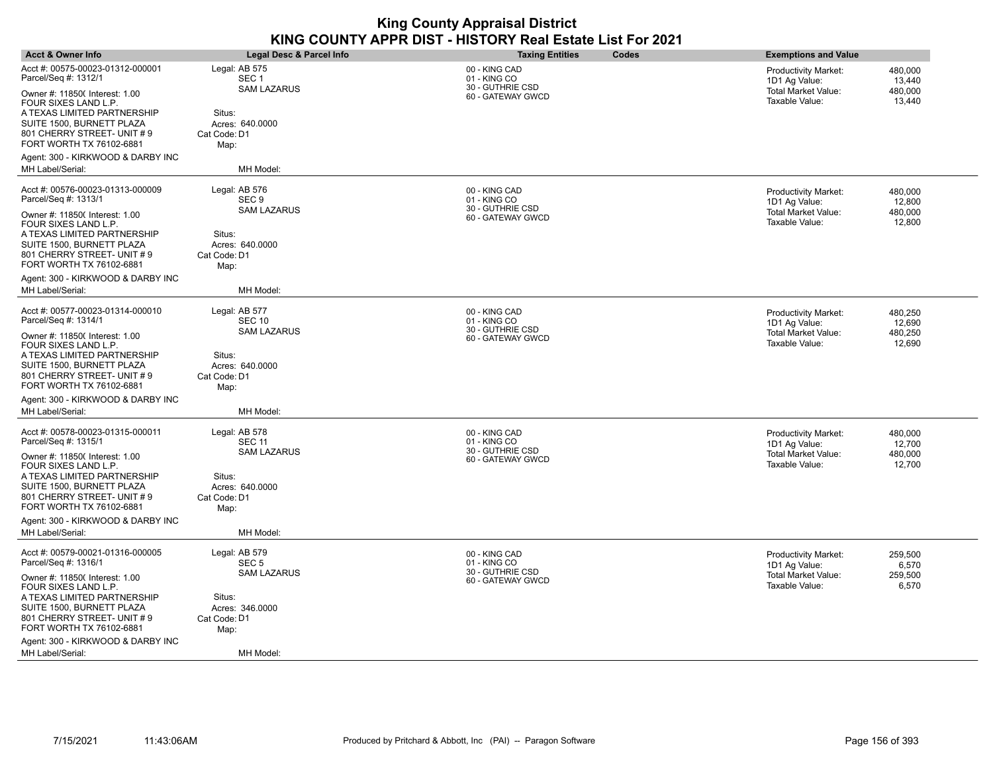| <b>Acct &amp; Owner Info</b>                                                          | Legal Desc & Parcel Info                                | <b>Taxing Entities</b>                            | Codes | <b>Exemptions and Value</b>                                         |                              |
|---------------------------------------------------------------------------------------|---------------------------------------------------------|---------------------------------------------------|-------|---------------------------------------------------------------------|------------------------------|
| Acct #: 00575-00023-01312-000001<br>Parcel/Seq #: 1312/1                              | Legal: AB 575<br>SEC <sub>1</sub><br><b>SAM LAZARUS</b> | 00 - KING CAD<br>01 - KING CO<br>30 - GUTHRIE CSD |       | <b>Productivity Market:</b><br>1D1 Ag Value:<br>Total Market Value: | 480,000<br>13,440<br>480,000 |
| Owner #: 11850( Interest: 1.00<br>FOUR SIXES LAND L.P.<br>A TEXAS LIMITED PARTNERSHIP | Situs:                                                  | 60 - GATEWAY GWCD                                 |       | Taxable Value:                                                      | 13,440                       |
| SUITE 1500, BURNETT PLAZA                                                             | Acres: 640.0000                                         |                                                   |       |                                                                     |                              |
| 801 CHERRY STREET- UNIT # 9<br>FORT WORTH TX 76102-6881                               | Cat Code: D1<br>Map:                                    |                                                   |       |                                                                     |                              |
| Agent: 300 - KIRKWOOD & DARBY INC                                                     |                                                         |                                                   |       |                                                                     |                              |
| MH Label/Serial:                                                                      | MH Model:                                               |                                                   |       |                                                                     |                              |
| Acct #: 00576-00023-01313-000009<br>Parcel/Seq #: 1313/1                              | Legal: AB 576<br>SEC <sub>9</sub>                       | 00 - KING CAD<br>01 - KING CO                     |       | <b>Productivity Market:</b><br>1D1 Ag Value:                        | 480,000<br>12,800            |
| Owner #: 11850( Interest: 1.00<br>FOUR SIXES LAND L.P.                                | <b>SAM LAZARUS</b>                                      | 30 - GUTHRIE CSD<br>60 - GATEWAY GWCD             |       | Total Market Value:<br>Taxable Value:                               | 480,000<br>12,800            |
| A TEXAS LIMITED PARTNERSHIP                                                           | Situs:                                                  |                                                   |       |                                                                     |                              |
| SUITE 1500, BURNETT PLAZA<br>801 CHERRY STREET- UNIT # 9<br>FORT WORTH TX 76102-6881  | Acres: 640.0000<br>Cat Code: D1<br>Map:                 |                                                   |       |                                                                     |                              |
| Agent: 300 - KIRKWOOD & DARBY INC                                                     |                                                         |                                                   |       |                                                                     |                              |
| MH Label/Serial:                                                                      | MH Model:                                               |                                                   |       |                                                                     |                              |
| Acct #: 00577-00023-01314-000010<br>Parcel/Seq #: 1314/1                              | Legal: AB 577<br><b>SEC 10</b>                          | 00 - KING CAD<br>01 - KING CO<br>30 - GUTHRIE CSD |       | Productivity Market:<br>1D1 Ag Value:                               | 480,250<br>12,690            |
| Owner #: 11850( Interest: 1.00<br>FOUR SIXES LAND L.P.                                | <b>SAM LAZARUS</b>                                      | 60 - GATEWAY GWCD                                 |       | Total Market Value:<br>Taxable Value:                               | 480,250<br>12,690            |
| A TEXAS LIMITED PARTNERSHIP<br>SUITE 1500, BURNETT PLAZA                              | Situs:<br>Acres: 640.0000                               |                                                   |       |                                                                     |                              |
| 801 CHERRY STREET- UNIT # 9<br>FORT WORTH TX 76102-6881                               | Cat Code: D1<br>Map:                                    |                                                   |       |                                                                     |                              |
| Agent: 300 - KIRKWOOD & DARBY INC                                                     |                                                         |                                                   |       |                                                                     |                              |
| MH Label/Serial:                                                                      | MH Model:                                               |                                                   |       |                                                                     |                              |
| Acct #: 00578-00023-01315-000011<br>Parcel/Seq #: 1315/1                              | Legal: AB 578<br><b>SEC 11</b>                          | 00 - KING CAD<br>01 - KING CO                     |       | <b>Productivity Market:</b><br>1D1 Ag Value:                        | 480,000<br>12,700            |
| Owner #: 11850( Interest: 1.00<br>FOUR SIXES LAND L.P.                                | <b>SAM LAZARUS</b>                                      | 30 - GUTHRIE CSD<br>60 - GATEWAY GWCD             |       | Total Market Value:<br>Taxable Value:                               | 480,000<br>12,700            |
| A TEXAS LIMITED PARTNERSHIP                                                           | Situs:                                                  |                                                   |       |                                                                     |                              |
| SUITE 1500, BURNETT PLAZA<br>801 CHERRY STREET- UNIT # 9<br>FORT WORTH TX 76102-6881  | Acres: 640,0000<br>Cat Code: D1<br>Map:                 |                                                   |       |                                                                     |                              |
| Agent: 300 - KIRKWOOD & DARBY INC                                                     |                                                         |                                                   |       |                                                                     |                              |
| MH Label/Serial:                                                                      | MH Model:                                               |                                                   |       |                                                                     |                              |
| Acct #: 00579-00021-01316-000005<br>Parcel/Seq #: 1316/1                              | Legal: AB 579<br>SEC <sub>5</sub>                       | 00 - KING CAD<br>01 - KING CO                     |       | <b>Productivity Market:</b><br>1D1 Ag Value:                        | 259,500<br>6,570             |
| Owner #: 11850( Interest: 1.00<br>FOUR SIXES LAND L.P.                                | <b>SAM LAZARUS</b>                                      | 30 - GUTHRIE CSD<br>60 - GATEWAY GWCD             |       | <b>Total Market Value:</b><br>Taxable Value:                        | 259,500<br>6,570             |
| A TEXAS LIMITED PARTNERSHIP                                                           | Situs:                                                  |                                                   |       |                                                                     |                              |
| SUITE 1500, BURNETT PLAZA<br>801 CHERRY STREET- UNIT # 9<br>FORT WORTH TX 76102-6881  | Acres: 346.0000<br>Cat Code: D1<br>Map:                 |                                                   |       |                                                                     |                              |
| Agent: 300 - KIRKWOOD & DARBY INC                                                     |                                                         |                                                   |       |                                                                     |                              |
| MH Label/Serial:                                                                      | MH Model:                                               |                                                   |       |                                                                     |                              |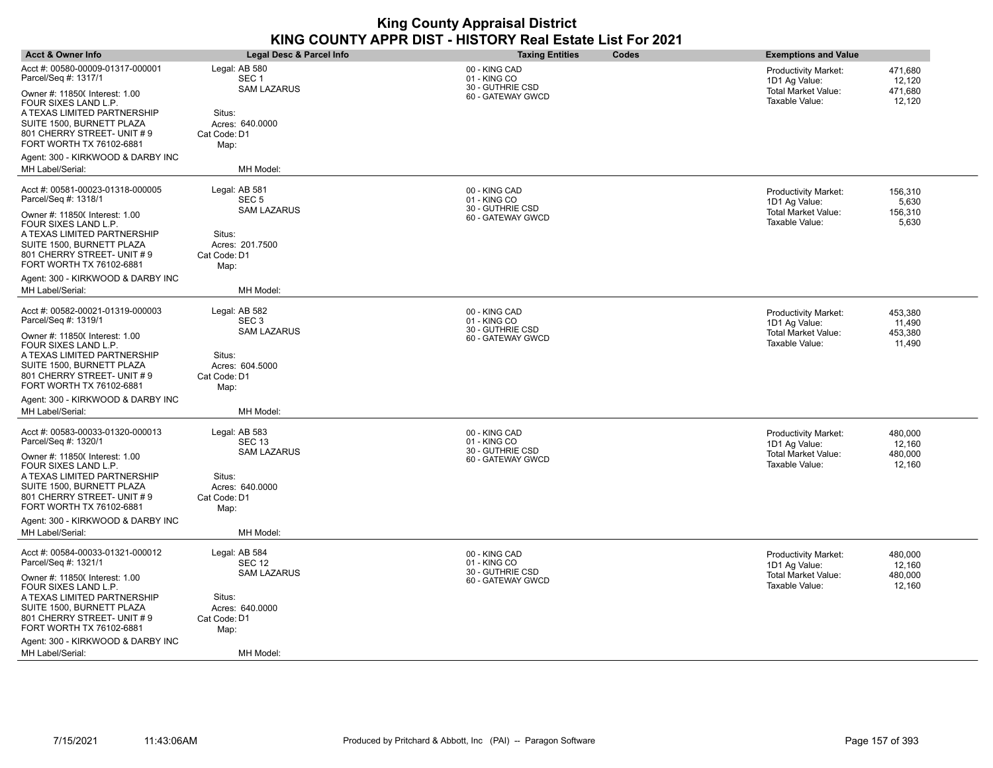| <b>Acct &amp; Owner Info</b>                                                                                                                                                  | Legal Desc & Parcel Info                                                | <b>Taxing Entities</b>                                                 | Codes | <b>Exemptions and Value</b>                                                                  |                                        |
|-------------------------------------------------------------------------------------------------------------------------------------------------------------------------------|-------------------------------------------------------------------------|------------------------------------------------------------------------|-------|----------------------------------------------------------------------------------------------|----------------------------------------|
| Acct #: 00580-00009-01317-000001<br>Parcel/Seq #: 1317/1<br>Owner #: 11850( Interest: 1.00<br>FOUR SIXES LAND L.P.                                                            | Legal: AB 580<br>SEC <sub>1</sub><br><b>SAM LAZARUS</b>                 | 00 - KING CAD<br>01 - KING CO<br>30 - GUTHRIE CSD<br>60 - GATEWAY GWCD |       | <b>Productivity Market:</b><br>1D1 Ag Value:<br>Total Market Value:<br>Taxable Value:        | 471,680<br>12,120<br>471,680<br>12,120 |
| A TEXAS LIMITED PARTNERSHIP<br>SUITE 1500, BURNETT PLAZA<br>801 CHERRY STREET- UNIT # 9<br>FORT WORTH TX 76102-6881<br>Agent: 300 - KIRKWOOD & DARBY INC                      | Situs:<br>Acres: 640.0000<br>Cat Code: D1<br>Map:                       |                                                                        |       |                                                                                              |                                        |
| MH Label/Serial:                                                                                                                                                              | MH Model:                                                               |                                                                        |       |                                                                                              |                                        |
| Acct #: 00581-00023-01318-000005<br>Parcel/Seq #: 1318/1                                                                                                                      | Legal: AB 581<br>SEC <sub>5</sub><br><b>SAM LAZARUS</b>                 | 00 - KING CAD<br>01 - KING CO<br>30 - GUTHRIE CSD                      |       | <b>Productivity Market:</b><br>1D1 Ag Value:                                                 | 156,310<br>5,630                       |
| Owner #: 11850( Interest: 1.00<br>FOUR SIXES LAND L.P.<br>A TEXAS LIMITED PARTNERSHIP<br>SUITE 1500, BURNETT PLAZA<br>801 CHERRY STREET- UNIT # 9<br>FORT WORTH TX 76102-6881 | Situs:<br>Acres: 201.7500<br>Cat Code: D1<br>Map:                       | 60 - GATEWAY GWCD                                                      |       | Total Market Value:<br>Taxable Value:                                                        | 156,310<br>5,630                       |
| Agent: 300 - KIRKWOOD & DARBY INC<br>MH Label/Serial:                                                                                                                         | MH Model:                                                               |                                                                        |       |                                                                                              |                                        |
| Acct #: 00582-00021-01319-000003<br>Parcel/Seq #: 1319/1                                                                                                                      | Legal: AB 582<br>SEC <sub>3</sub>                                       | 00 - KING CAD<br>01 - KING CO                                          |       | <b>Productivity Market:</b><br>1D1 Ag Value:                                                 | 453,380<br>11,490                      |
| Owner #: 11850( Interest: 1.00<br>FOUR SIXES LAND L.P.<br>A TEXAS LIMITED PARTNERSHIP<br>SUITE 1500, BURNETT PLAZA<br>801 CHERRY STREET- UNIT # 9<br>FORT WORTH TX 76102-6881 | <b>SAM LAZARUS</b><br>Situs:<br>Acres: 604.5000<br>Cat Code: D1<br>Map: | 30 - GUTHRIE CSD<br>60 - GATEWAY GWCD                                  |       | Total Market Value:<br>Taxable Value:                                                        | 453,380<br>11,490                      |
| Agent: 300 - KIRKWOOD & DARBY INC<br>MH Label/Serial:                                                                                                                         | MH Model:                                                               |                                                                        |       |                                                                                              |                                        |
| Acct #: 00583-00033-01320-000013<br>Parcel/Seq #: 1320/1<br>Owner #: 11850( Interest: 1.00                                                                                    | Legal: AB 583<br><b>SEC 13</b><br><b>SAM LAZARUS</b>                    | 00 - KING CAD<br>01 - KING CO<br>30 - GUTHRIE CSD<br>60 - GATEWAY GWCD |       | <b>Productivity Market:</b><br>1D1 Ag Value:<br><b>Total Market Value:</b><br>Taxable Value: | 480,000<br>12,160<br>480,000<br>12,160 |
| FOUR SIXES LAND L.P.<br>A TEXAS LIMITED PARTNERSHIP<br>SUITE 1500, BURNETT PLAZA<br>801 CHERRY STREET- UNIT # 9<br>FORT WORTH TX 76102-6881                                   | Situs:<br>Acres: 640,0000<br>Cat Code: D1<br>Map:                       |                                                                        |       |                                                                                              |                                        |
| Agent: 300 - KIRKWOOD & DARBY INC<br>MH Label/Serial:                                                                                                                         | MH Model:                                                               |                                                                        |       |                                                                                              |                                        |
| Acct #: 00584-00033-01321-000012<br>Parcel/Seq #: 1321/1                                                                                                                      | Legal: AB 584<br><b>SEC 12</b>                                          | 00 - KING CAD<br>01 - KING CO<br>30 - GUTHRIE CSD                      |       | <b>Productivity Market:</b><br>1D1 Ag Value:                                                 | 480,000<br>12,160                      |
| Owner #: 11850( Interest: 1.00<br>FOUR SIXES LAND L.P.<br>A TEXAS LIMITED PARTNERSHIP<br>SUITE 1500, BURNETT PLAZA<br>801 CHERRY STREET- UNIT # 9<br>FORT WORTH TX 76102-6881 | <b>SAM LAZARUS</b><br>Situs:<br>Acres: 640.0000<br>Cat Code: D1<br>Map: | 60 - GATEWAY GWCD                                                      |       | Total Market Value:<br>Taxable Value:                                                        | 480,000<br>12,160                      |
| Agent: 300 - KIRKWOOD & DARBY INC<br>MH Label/Serial:                                                                                                                         | MH Model:                                                               |                                                                        |       |                                                                                              |                                        |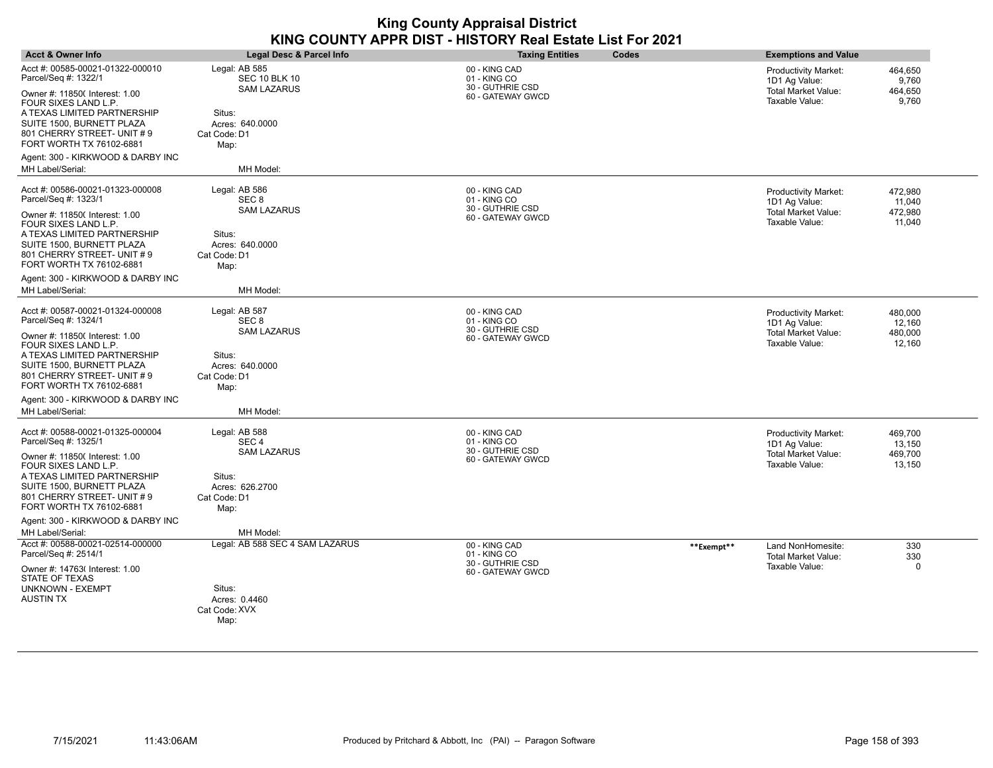| <b>Acct &amp; Owner Info</b>                                                                                                                                                  | Legal Desc & Parcel Info                                                | <b>Taxing Entities</b><br>Codes                                        |            | <b>Exemptions and Value</b>                                                    |                                        |
|-------------------------------------------------------------------------------------------------------------------------------------------------------------------------------|-------------------------------------------------------------------------|------------------------------------------------------------------------|------------|--------------------------------------------------------------------------------|----------------------------------------|
| Acct #: 00585-00021-01322-000010<br>Parcel/Seq #: 1322/1                                                                                                                      | Legal: AB 585<br><b>SEC 10 BLK 10</b><br><b>SAM LAZARUS</b>             | 00 - KING CAD<br>01 - KING CO<br>30 - GUTHRIE CSD                      |            | <b>Productivity Market:</b><br>1D1 Ag Value:                                   | 464,650<br>9.760                       |
| Owner #: 11850( Interest: 1.00<br>FOUR SIXES LAND L.P.<br>A TEXAS LIMITED PARTNERSHIP<br>SUITE 1500, BURNETT PLAZA<br>801 CHERRY STREET- UNIT # 9<br>FORT WORTH TX 76102-6881 | Situs:<br>Acres: 640.0000<br>Cat Code: D1<br>Map:                       | 60 - GATEWAY GWCD                                                      |            | Total Market Value:<br>Taxable Value:                                          | 464,650<br>9,760                       |
| Agent: 300 - KIRKWOOD & DARBY INC<br>MH Label/Serial:                                                                                                                         | MH Model:                                                               |                                                                        |            |                                                                                |                                        |
| Acct #: 00586-00021-01323-000008<br>Parcel/Seq #: 1323/1                                                                                                                      | Legal: AB 586<br>SEC <sub>8</sub>                                       | 00 - KING CAD<br>01 - KING CO                                          |            | <b>Productivity Market:</b><br>1D1 Ag Value:                                   | 472,980<br>11,040                      |
| Owner #: 11850( Interest: 1.00<br>FOUR SIXES LAND L.P.<br>A TEXAS LIMITED PARTNERSHIP<br>SUITE 1500, BURNETT PLAZA<br>801 CHERRY STREET- UNIT # 9<br>FORT WORTH TX 76102-6881 | <b>SAM LAZARUS</b><br>Situs:<br>Acres: 640,0000<br>Cat Code: D1<br>Map: | 30 - GUTHRIE CSD<br>60 - GATEWAY GWCD                                  |            | <b>Total Market Value:</b><br>Taxable Value:                                   | 472,980<br>11,040                      |
| Agent: 300 - KIRKWOOD & DARBY INC<br>MH Label/Serial:                                                                                                                         | MH Model:                                                               |                                                                        |            |                                                                                |                                        |
| Acct #: 00587-00021-01324-000008<br>Parcel/Seq #: 1324/1                                                                                                                      | Legal: AB 587<br>SEC 8                                                  | 00 - KING CAD<br>01 - KING CO                                          |            | Productivity Market:<br>1D1 Ag Value:                                          | 480,000<br>12,160                      |
| Owner #: 11850( Interest: 1.00<br>FOUR SIXES LAND L.P.<br>A TEXAS LIMITED PARTNERSHIP<br>SUITE 1500, BURNETT PLAZA<br>801 CHERRY STREET- UNIT # 9<br>FORT WORTH TX 76102-6881 | <b>SAM LAZARUS</b><br>Situs:<br>Acres: 640.0000<br>Cat Code: D1<br>Map: | 30 - GUTHRIE CSD<br>60 - GATEWAY GWCD                                  |            | Total Market Value:<br>Taxable Value:                                          | 480,000<br>12,160                      |
| Agent: 300 - KIRKWOOD & DARBY INC<br>MH Label/Serial:                                                                                                                         | MH Model:                                                               |                                                                        |            |                                                                                |                                        |
| Acct #: 00588-00021-01325-000004<br>Parcel/Seq #: 1325/1<br>Owner #: 11850( Interest: 1.00<br>FOUR SIXES LAND L.P.                                                            | Legal: AB 588<br>SEC <sub>4</sub><br><b>SAM LAZARUS</b>                 | 00 - KING CAD<br>01 - KING CO<br>30 - GUTHRIE CSD<br>60 - GATEWAY GWCD |            | Productivity Market:<br>1D1 Ag Value:<br>Total Market Value:<br>Taxable Value: | 469,700<br>13,150<br>469,700<br>13,150 |
| A TEXAS LIMITED PARTNERSHIP<br>SUITE 1500, BURNETT PLAZA<br>801 CHERRY STREET- UNIT # 9<br>FORT WORTH TX 76102-6881                                                           | Situs:<br>Acres: 626.2700<br>Cat Code: D1<br>Map:                       |                                                                        |            |                                                                                |                                        |
| Agent: 300 - KIRKWOOD & DARBY INC<br>MH Label/Serial:                                                                                                                         | MH Model:                                                               |                                                                        |            |                                                                                |                                        |
| Acct #: 00588-00021-02514-000000<br>Parcel/Seq #: 2514/1                                                                                                                      | Legal: AB 588 SEC 4 SAM LAZARUS                                         | 00 - KING CAD<br>01 - KING CO<br>30 - GUTHRIE CSD                      | **Exempt** | Land NonHomesite:<br>Total Market Value:                                       | 330<br>330                             |
| Owner #: 14763( Interest: 1.00<br>STATE OF TEXAS<br>UNKNOWN - EXEMPT<br>AUSTIN TX                                                                                             | Situs:<br>Acres: 0.4460<br>Cat Code: XVX<br>Map:                        | 60 - GATEWAY GWCD                                                      |            | Taxable Value:                                                                 | $\Omega$                               |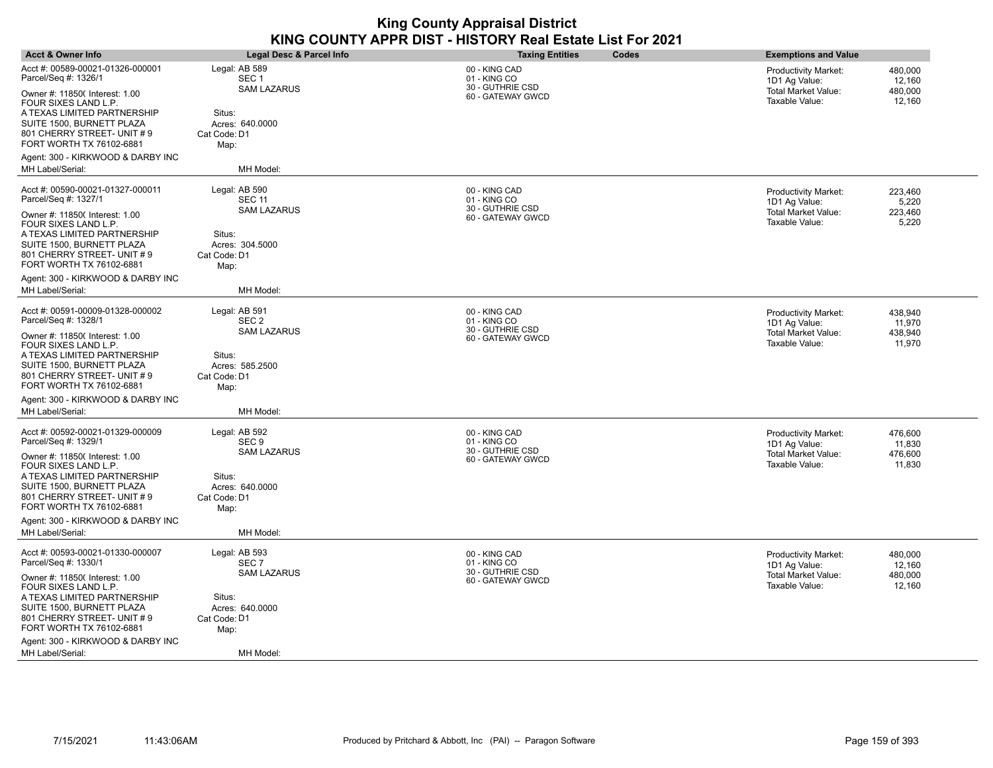| <b>Acct &amp; Owner Info</b>                                                                                                                                                                                                                                                                       | Legal Desc & Parcel Info                                                                                                  | <b>Taxing Entities</b><br><b>Codes</b>                                 | <b>Exemptions and Value</b>                                                                                                   |
|----------------------------------------------------------------------------------------------------------------------------------------------------------------------------------------------------------------------------------------------------------------------------------------------------|---------------------------------------------------------------------------------------------------------------------------|------------------------------------------------------------------------|-------------------------------------------------------------------------------------------------------------------------------|
| Acct #: 00589-00021-01326-000001<br>Parcel/Seq #: 1326/1<br>Owner #: 11850( Interest: 1.00<br>FOUR SIXES LAND L.P.<br>A TEXAS LIMITED PARTNERSHIP<br>SUITE 1500, BURNETT PLAZA<br>801 CHERRY STREET- UNIT # 9<br>FORT WORTH TX 76102-6881                                                          | Legal: AB 589<br>SEC <sub>1</sub><br><b>SAM LAZARUS</b><br>Situs:<br>Acres: 640,0000<br>Cat Code: D1<br>Map:              | 00 - KING CAD<br>01 - KING CO<br>30 - GUTHRIE CSD<br>60 - GATEWAY GWCD | Productivity Market:<br>480,000<br>12,160<br>1D1 Ag Value:<br>Total Market Value:<br>480,000<br>Taxable Value:<br>12,160      |
| Agent: 300 - KIRKWOOD & DARBY INC<br>MH Label/Serial:                                                                                                                                                                                                                                              | MH Model:                                                                                                                 |                                                                        |                                                                                                                               |
| Acct #: 00590-00021-01327-000011<br>Parcel/Seq #: 1327/1<br>Owner #: 11850( Interest: 1.00<br>FOUR SIXES LAND L.P.<br>A TEXAS LIMITED PARTNERSHIP<br>SUITE 1500, BURNETT PLAZA<br>801 CHERRY STREET- UNIT # 9<br>FORT WORTH TX 76102-6881                                                          | Legal: AB 590<br><b>SEC 11</b><br><b>SAM LAZARUS</b><br>Situs:<br>Acres: 304.5000<br>Cat Code: D1                         | 00 - KING CAD<br>01 - KING CO<br>30 - GUTHRIE CSD<br>60 - GATEWAY GWCD | <b>Productivity Market:</b><br>223,460<br>5,220<br>1D1 Ag Value:<br>Total Market Value:<br>223,460<br>Taxable Value:<br>5,220 |
| Agent: 300 - KIRKWOOD & DARBY INC                                                                                                                                                                                                                                                                  | Map:                                                                                                                      |                                                                        |                                                                                                                               |
| MH Label/Serial:                                                                                                                                                                                                                                                                                   | MH Model:                                                                                                                 |                                                                        |                                                                                                                               |
| Acct #: 00591-00009-01328-000002<br>Parcel/Seq #: 1328/1<br>Owner #: 11850( Interest: 1.00<br>FOUR SIXES LAND L.P.<br>A TEXAS LIMITED PARTNERSHIP<br>SUITE 1500, BURNETT PLAZA<br>801 CHERRY STREET- UNIT # 9<br>FORT WORTH TX 76102-6881<br>Agent: 300 - KIRKWOOD & DARBY INC<br>MH Label/Serial: | Legal: AB 591<br>SEC <sub>2</sub><br><b>SAM LAZARUS</b><br>Situs:<br>Acres: 585.2500<br>Cat Code: D1<br>Map:<br>MH Model: | 00 - KING CAD<br>01 - KING CO<br>30 - GUTHRIE CSD<br>60 - GATEWAY GWCD | Productivity Market:<br>438.940<br>11,970<br>1D1 Ag Value:<br>Total Market Value:<br>438,940<br>Taxable Value:<br>11,970      |
| Acct #: 00592-00021-01329-000009<br>Parcel/Seq #: 1329/1<br>Owner #: 11850( Interest: 1.00<br>FOUR SIXES LAND L.P.<br>A TEXAS LIMITED PARTNERSHIP<br>SUITE 1500, BURNETT PLAZA<br>801 CHERRY STREET- UNIT # 9<br>FORT WORTH TX 76102-6881<br>Agent: 300 - KIRKWOOD & DARBY INC<br>MH Label/Serial: | Legal: AB 592<br>SEC <sub>9</sub><br><b>SAM LAZARUS</b><br>Situs:<br>Acres: 640.0000<br>Cat Code: D1<br>Map:<br>MH Model: | 00 - KING CAD<br>01 - KING CO<br>30 - GUTHRIE CSD<br>60 - GATEWAY GWCD | Productivity Market:<br>476.600<br>11,830<br>1D1 Ag Value:<br>Total Market Value:<br>476,600<br>11,830<br>Taxable Value:      |
| Acct #: 00593-00021-01330-000007<br>Parcel/Seq #: 1330/1<br>Owner #: 11850( Interest: 1.00<br>FOUR SIXES LAND L.P.<br>A TEXAS LIMITED PARTNERSHIP<br>SUITE 1500, BURNETT PLAZA<br>801 CHERRY STREET- UNIT # 9<br>FORT WORTH TX 76102-6881<br>Agent: 300 - KIRKWOOD & DARBY INC<br>MH Label/Serial: | Legal: AB 593<br>SEC <sub>7</sub><br><b>SAM LAZARUS</b><br>Situs:<br>Acres: 640.0000<br>Cat Code: D1<br>Map:<br>MH Model: | 00 - KING CAD<br>01 - KING CO<br>30 - GUTHRIE CSD<br>60 - GATEWAY GWCD | Productivity Market:<br>480,000<br>1D1 Ag Value:<br>12,160<br>Total Market Value:<br>480,000<br>Taxable Value:<br>12,160      |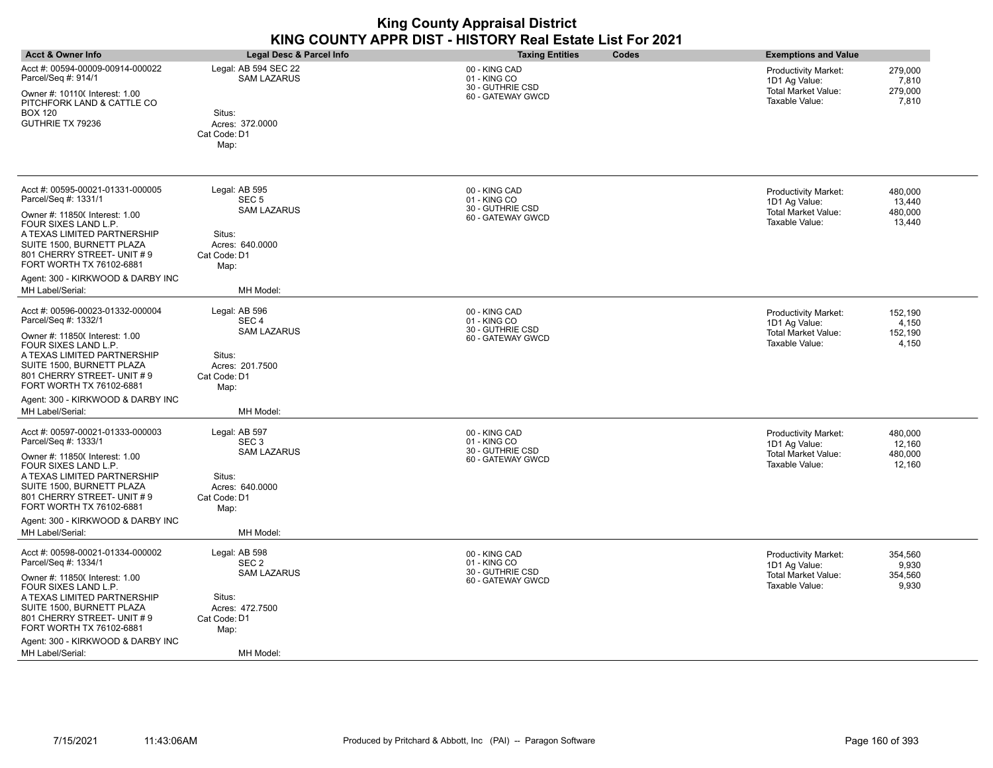|                                                                                                                                                                              |                                                                         | .<br>KING COUNTY APPR DIST - HISTORY Real Estate List For 2021 |                                                                   |
|------------------------------------------------------------------------------------------------------------------------------------------------------------------------------|-------------------------------------------------------------------------|----------------------------------------------------------------|-------------------------------------------------------------------|
| <b>Acct &amp; Owner Info</b>                                                                                                                                                 | Legal Desc & Parcel Info                                                | <b>Taxing Entities</b><br>Codes                                | <b>Exemptions and Value</b>                                       |
| Acct #: 00594-00009-00914-000022<br>Parcel/Seq #: 914/1                                                                                                                      | Legal: AB 594 SEC 22<br><b>SAM LAZARUS</b>                              | 00 - KING CAD<br>01 - KING CO<br>30 - GUTHRIE CSD              | Productivity Market:<br>279,000<br>1D1 Ag Value:<br>7,810         |
| Owner #: 10110( Interest: 1.00<br>PITCHFORK LAND & CATTLE CO<br><b>BOX 120</b><br>GUTHRIE TX 79236                                                                           | Situs:<br>Acres: 372.0000                                               | 60 - GATEWAY GWCD                                              | <b>Total Market Value:</b><br>279,000<br>Taxable Value:<br>7,810  |
|                                                                                                                                                                              | Cat Code: D1<br>Map:                                                    |                                                                |                                                                   |
| Acct #: 00595-00021-01331-000005<br>Parcel/Seq #: 1331/1                                                                                                                     | Legal: AB 595<br>SEC <sub>5</sub>                                       | 00 - KING CAD<br>01 - KING CO                                  | Productivity Market:<br>480,000<br>1D1 Ag Value:<br>13,440        |
| Owner #: 11850( Interest: 1.00<br>FOUR SIXES LAND L.P.<br>A TEXAS LIMITED PARTNERSHIP                                                                                        | <b>SAM LAZARUS</b><br>Situs:                                            | 30 - GUTHRIE CSD<br>60 - GATEWAY GWCD                          | <b>Total Market Value:</b><br>480,000<br>Taxable Value:<br>13,440 |
| SUITE 1500, BURNETT PLAZA<br>801 CHERRY STREET- UNIT #9<br>FORT WORTH TX 76102-6881                                                                                          | Acres: 640,0000<br>Cat Code: D1<br>Map:                                 |                                                                |                                                                   |
| Agent: 300 - KIRKWOOD & DARBY INC<br>MH Label/Serial:                                                                                                                        | MH Model:                                                               |                                                                |                                                                   |
| Acct #: 00596-00023-01332-000004<br>Parcel/Seq #: 1332/1                                                                                                                     | Legal: AB 596<br>SEC <sub>4</sub>                                       | 00 - KING CAD<br>01 - KING CO<br>30 - GUTHRIE CSD              | 152,190<br>Productivity Market:<br>4,150<br>1D1 Ag Value:         |
| Owner #: 11850( Interest: 1.00<br>FOUR SIXES LAND L.P.<br>A TEXAS LIMITED PARTNERSHIP<br>SUITE 1500, BURNETT PLAZA<br>801 CHERRY STREET- UNIT #9<br>FORT WORTH TX 76102-6881 | <b>SAM LAZARUS</b><br>Situs:<br>Acres: 201.7500<br>Cat Code: D1<br>Map: | 60 - GATEWAY GWCD                                              | <b>Total Market Value:</b><br>152,190<br>Taxable Value:<br>4,150  |
| Agent: 300 - KIRKWOOD & DARBY INC<br>MH Label/Serial:                                                                                                                        | MH Model:                                                               |                                                                |                                                                   |
| Acct #: 00597-00021-01333-000003<br>Parcel/Seq #: 1333/1                                                                                                                     | Legal: AB 597<br>SEC <sub>3</sub>                                       | 00 - KING CAD<br>01 - KING CO                                  | Productivity Market:<br>480,000<br>1D1 Ag Value:<br>12,160        |
| Owner #: 11850( Interest: 1.00<br>FOUR SIXES LAND L.P.                                                                                                                       | <b>SAM LAZARUS</b>                                                      | 30 - GUTHRIE CSD<br>60 - GATEWAY GWCD                          | <b>Total Market Value:</b><br>480,000<br>Taxable Value:<br>12,160 |
| A TEXAS LIMITED PARTNERSHIP<br>SUITE 1500, BURNETT PLAZA<br>801 CHERRY STREET- UNIT #9<br>FORT WORTH TX 76102-6881                                                           | Situs:<br>Acres: 640.0000<br>Cat Code: D1<br>Map:                       |                                                                |                                                                   |
| Agent: 300 - KIRKWOOD & DARBY INC<br>MH Label/Serial:                                                                                                                        | MH Model:                                                               |                                                                |                                                                   |
| Acct #: 00598-00021-01334-000002<br>Parcel/Seq #: 1334/1                                                                                                                     | Legal: AB 598<br>SEC <sub>2</sub>                                       | 00 - KING CAD<br>01 - KING CO                                  | Productivity Market:<br>354.560<br>1D1 Ag Value:<br>9,930         |
| Owner #: 11850( Interest: 1.00<br>FOUR SIXES LAND L.P.<br>A TEXAS LIMITED PARTNERSHIP                                                                                        | <b>SAM LAZARUS</b><br>Situs:                                            | 30 - GUTHRIE CSD<br>60 - GATEWAY GWCD                          | <b>Total Market Value:</b><br>354,560<br>Taxable Value:<br>9,930  |
| SUITE 1500, BURNETT PLAZA<br>801 CHERRY STREET- UNIT #9<br>FORT WORTH TX 76102-6881                                                                                          | Acres: 472.7500<br>Cat Code: D1<br>Map:                                 |                                                                |                                                                   |
| Agent: 300 - KIRKWOOD & DARBY INC<br>MH Label/Serial:                                                                                                                        | MH Model:                                                               |                                                                |                                                                   |

# **King County Appraisal District**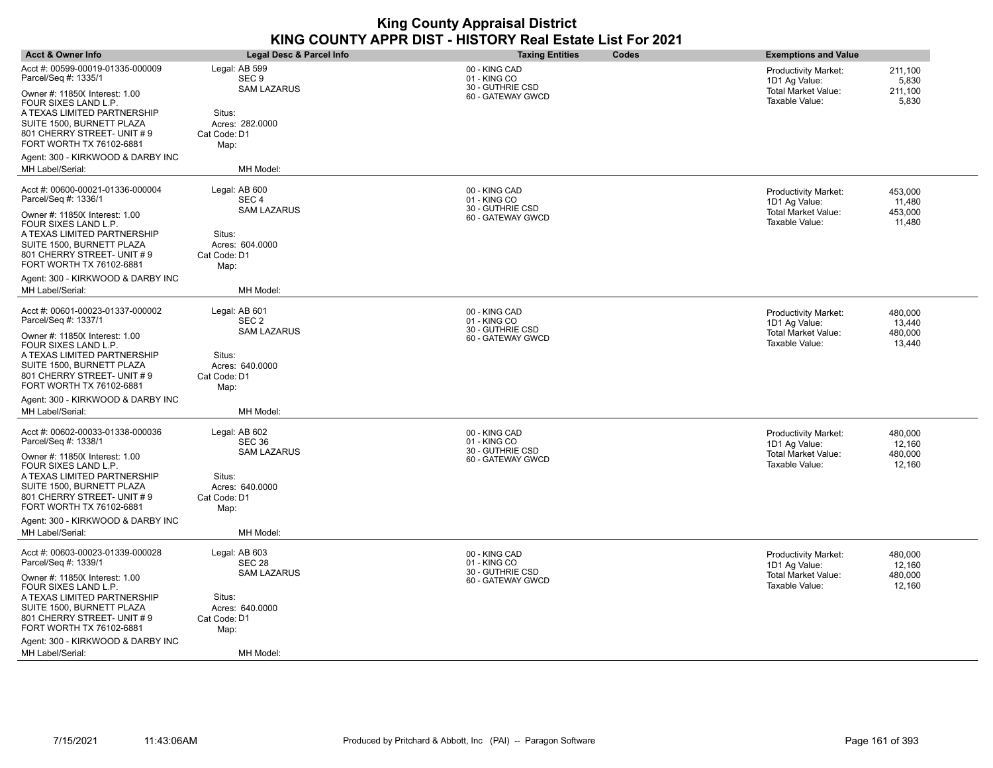| <b>Acct &amp; Owner Info</b>                                                                                                                                                  | <b>Legal Desc &amp; Parcel Info</b>                                     | <b>Taxing Entities</b>                                                 | Codes | <b>Exemptions and Value</b>                                                                  |                                        |
|-------------------------------------------------------------------------------------------------------------------------------------------------------------------------------|-------------------------------------------------------------------------|------------------------------------------------------------------------|-------|----------------------------------------------------------------------------------------------|----------------------------------------|
| Acct #: 00599-00019-01335-000009<br>Parcel/Seq #: 1335/1<br>Owner #: 11850( Interest: 1.00<br>FOUR SIXES LAND L.P.                                                            | Legal: AB 599<br>SEC <sub>9</sub><br><b>SAM LAZARUS</b>                 | 00 - KING CAD<br>01 - KING CO<br>30 - GUTHRIE CSD<br>60 - GATEWAY GWCD |       | <b>Productivity Market:</b><br>1D1 Ag Value:<br>Total Market Value:<br>Taxable Value:        | 211,100<br>5,830<br>211,100<br>5,830   |
| A TEXAS LIMITED PARTNERSHIP<br>SUITE 1500, BURNETT PLAZA<br>801 CHERRY STREET- UNIT # 9<br>FORT WORTH TX 76102-6881<br>Agent: 300 - KIRKWOOD & DARBY INC                      | Situs:<br>Acres: 282.0000<br>Cat Code: D1<br>Map:                       |                                                                        |       |                                                                                              |                                        |
| MH Label/Serial:                                                                                                                                                              | MH Model:                                                               |                                                                        |       |                                                                                              |                                        |
| Acct #: 00600-00021-01336-000004<br>Parcel/Seq #: 1336/1                                                                                                                      | Legal: AB 600<br>SEC <sub>4</sub><br><b>SAM LAZARUS</b>                 | 00 - KING CAD<br>01 - KING CO<br>30 - GUTHRIE CSD                      |       | <b>Productivity Market:</b><br>1D1 Ag Value:                                                 | 453,000<br>11,480                      |
| Owner #: 11850( Interest: 1.00<br>FOUR SIXES LAND L.P.<br>A TEXAS LIMITED PARTNERSHIP<br>SUITE 1500, BURNETT PLAZA<br>801 CHERRY STREET- UNIT # 9<br>FORT WORTH TX 76102-6881 | Situs:<br>Acres: 604.0000<br>Cat Code: D1<br>Map:                       | 60 - GATEWAY GWCD                                                      |       | Total Market Value:<br>Taxable Value:                                                        | 453,000<br>11,480                      |
| Agent: 300 - KIRKWOOD & DARBY INC<br>MH Label/Serial:                                                                                                                         | MH Model:                                                               |                                                                        |       |                                                                                              |                                        |
| Acct #: 00601-00023-01337-000002<br>Parcel/Seq #: 1337/1                                                                                                                      | Legal: AB 601<br>SEC <sub>2</sub>                                       | 00 - KING CAD<br>01 - KING CO                                          |       | <b>Productivity Market:</b><br>1D1 Ag Value:                                                 | 480,000<br>13,440                      |
| Owner #: 11850( Interest: 1.00<br>FOUR SIXES LAND L.P.<br>A TEXAS LIMITED PARTNERSHIP<br>SUITE 1500, BURNETT PLAZA<br>801 CHERRY STREET- UNIT # 9<br>FORT WORTH TX 76102-6881 | <b>SAM LAZARUS</b><br>Situs:<br>Acres: 640.0000<br>Cat Code: D1<br>Map: | 30 - GUTHRIE CSD<br>60 - GATEWAY GWCD                                  |       | Total Market Value:<br>Taxable Value:                                                        | 480,000<br>13,440                      |
| Agent: 300 - KIRKWOOD & DARBY INC<br>MH Label/Serial:                                                                                                                         | MH Model:                                                               |                                                                        |       |                                                                                              |                                        |
| Acct #: 00602-00033-01338-000036<br>Parcel/Seq #: 1338/1<br>Owner #: 11850( Interest: 1.00<br>FOUR SIXES LAND L.P.                                                            | Legal: AB 602<br><b>SEC 36</b><br><b>SAM LAZARUS</b>                    | 00 - KING CAD<br>01 - KING CO<br>30 - GUTHRIE CSD<br>60 - GATEWAY GWCD |       | <b>Productivity Market:</b><br>1D1 Ag Value:<br><b>Total Market Value:</b><br>Taxable Value: | 480,000<br>12,160<br>480,000<br>12,160 |
| A TEXAS LIMITED PARTNERSHIP<br>SUITE 1500, BURNETT PLAZA<br>801 CHERRY STREET- UNIT # 9<br>FORT WORTH TX 76102-6881                                                           | Situs:<br>Acres: 640,0000<br>Cat Code: D1<br>Map:                       |                                                                        |       |                                                                                              |                                        |
| Agent: 300 - KIRKWOOD & DARBY INC<br>MH Label/Serial:                                                                                                                         | MH Model:                                                               |                                                                        |       |                                                                                              |                                        |
| Acct #: 00603-00023-01339-000028<br>Parcel/Seq #: 1339/1                                                                                                                      | Legal: AB 603<br><b>SEC 28</b>                                          | 00 - KING CAD<br>01 - KING CO<br>30 - GUTHRIE CSD                      |       | <b>Productivity Market:</b><br>1D1 Ag Value:                                                 | 480,000<br>12,160                      |
| Owner #: 11850( Interest: 1.00<br>FOUR SIXES LAND L.P.<br>A TEXAS LIMITED PARTNERSHIP<br>SUITE 1500, BURNETT PLAZA<br>801 CHERRY STREET- UNIT # 9<br>FORT WORTH TX 76102-6881 | <b>SAM LAZARUS</b><br>Situs:<br>Acres: 640.0000<br>Cat Code: D1<br>Map: | 60 - GATEWAY GWCD                                                      |       | Total Market Value:<br>Taxable Value:                                                        | 480,000<br>12,160                      |
| Agent: 300 - KIRKWOOD & DARBY INC<br>MH Label/Serial:                                                                                                                         | MH Model:                                                               |                                                                        |       |                                                                                              |                                        |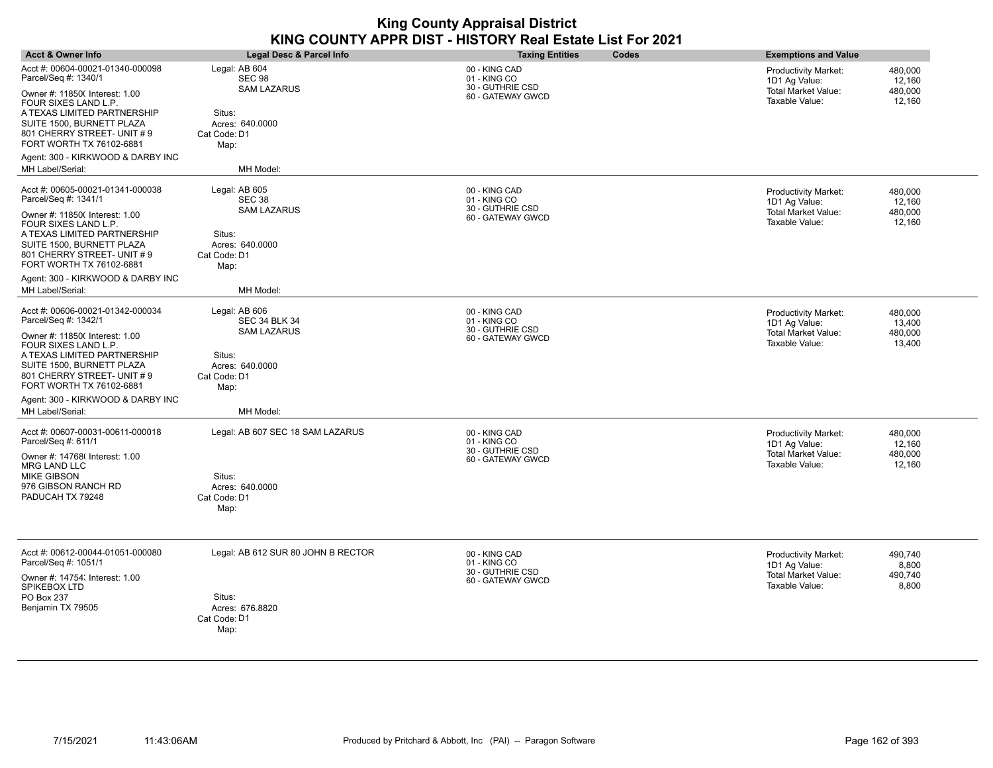| <b>Acct &amp; Owner Info</b>                                                                                                                                                                                  | Legal Desc & Parcel Info                                                                          | <b>Taxing Entities</b><br>Codes                                        | <b>Exemptions and Value</b>                                                                                                     |
|---------------------------------------------------------------------------------------------------------------------------------------------------------------------------------------------------------------|---------------------------------------------------------------------------------------------------|------------------------------------------------------------------------|---------------------------------------------------------------------------------------------------------------------------------|
| Acct #: 00604-00021-01340-000098<br>Parcel/Seq #: 1340/1<br>Owner #: 11850( Interest: 1.00<br>FOUR SIXES LAND L.P.<br>A TEXAS LIMITED PARTNERSHIP<br>SUITE 1500, BURNETT PLAZA<br>801 CHERRY STREET- UNIT # 9 | Legal: AB 604<br><b>SEC 98</b><br><b>SAM LAZARUS</b><br>Situs:<br>Acres: 640.0000<br>Cat Code: D1 | 00 - KING CAD<br>01 - KING CO<br>30 - GUTHRIE CSD<br>60 - GATEWAY GWCD | <b>Productivity Market:</b><br>480,000<br>1D1 Ag Value:<br>12,160<br>480,000<br>Total Market Value:<br>Taxable Value:<br>12,160 |
| FORT WORTH TX 76102-6881                                                                                                                                                                                      | Map:                                                                                              |                                                                        |                                                                                                                                 |
| Agent: 300 - KIRKWOOD & DARBY INC<br>MH Label/Serial:                                                                                                                                                         | MH Model:                                                                                         |                                                                        |                                                                                                                                 |
| Acct #: 00605-00021-01341-000038<br>Parcel/Seq #: 1341/1<br>Owner #: 11850( Interest: 1.00<br>FOUR SIXES LAND L.P.                                                                                            | Legal: AB 605<br>SEC 38<br><b>SAM LAZARUS</b>                                                     | 00 - KING CAD<br>01 - KING CO<br>30 - GUTHRIE CSD<br>60 - GATEWAY GWCD | <b>Productivity Market:</b><br>480.000<br>1D1 Ag Value:<br>12,160<br>Total Market Value:<br>480,000<br>Taxable Value:<br>12,160 |
| A TEXAS LIMITED PARTNERSHIP<br>SUITE 1500, BURNETT PLAZA<br>801 CHERRY STREET- UNIT # 9<br>FORT WORTH TX 76102-6881                                                                                           | Situs:<br>Acres: 640.0000<br>Cat Code: D1<br>Map:                                                 |                                                                        |                                                                                                                                 |
| Agent: 300 - KIRKWOOD & DARBY INC<br>MH Label/Serial:                                                                                                                                                         | MH Model:                                                                                         |                                                                        |                                                                                                                                 |
| Acct #: 00606-00021-01342-000034<br>Parcel/Seq #: 1342/1                                                                                                                                                      | Legal: AB 606<br><b>SEC 34 BLK 34</b>                                                             | 00 - KING CAD<br>01 - KING CO<br>30 - GUTHRIE CSD                      | <b>Productivity Market:</b><br>480,000<br>1D1 Ag Value:<br>13,400                                                               |
| Owner #: 11850( Interest: 1.00<br>FOUR SIXES LAND L.P.<br>A TEXAS LIMITED PARTNERSHIP<br>SUITE 1500, BURNETT PLAZA<br>801 CHERRY STREET- UNIT #9<br>FORT WORTH TX 76102-6881                                  | <b>SAM LAZARUS</b><br>Situs:<br>Acres: 640,0000<br>Cat Code: D1<br>Map:                           | 60 - GATEWAY GWCD                                                      | Total Market Value:<br>480,000<br>Taxable Value:<br>13,400                                                                      |
| Agent: 300 - KIRKWOOD & DARBY INC                                                                                                                                                                             |                                                                                                   |                                                                        |                                                                                                                                 |
| MH Label/Serial:                                                                                                                                                                                              | MH Model:                                                                                         |                                                                        |                                                                                                                                 |
| Acct #: 00607-00031-00611-000018<br>Parcel/Seq #: 611/1<br>Owner #: 14768( Interest: 1.00<br>MRG LAND LLC<br>MIKE GIBSON<br>976 GIBSON RANCH RD<br>PADUCAH TX 79248                                           | Legal: AB 607 SEC 18 SAM LAZARUS<br>Situs:<br>Acres: 640.0000<br>Cat Code: D1                     | 00 - KING CAD<br>01 - KING CO<br>30 - GUTHRIE CSD<br>60 - GATEWAY GWCD | Productivity Market:<br>480,000<br>1D1 Ag Value:<br>12,160<br>Total Market Value:<br>480,000<br>Taxable Value:<br>12,160        |
|                                                                                                                                                                                                               | Map:                                                                                              |                                                                        |                                                                                                                                 |
| Acct #: 00612-00044-01051-000080<br>Parcel/Seq #: 1051/1                                                                                                                                                      | Legal: AB 612 SUR 80 JOHN B RECTOR                                                                | 00 - KING CAD<br>01 - KING CO                                          | <b>Productivity Market:</b><br>490,740<br>1D1 Ag Value:<br>8,800                                                                |
| Owner #: 14754; Interest: 1.00<br>SPIKEBOX LTD<br>PO Box 237<br>Benjamin TX 79505                                                                                                                             | Situs:<br>Acres: 676.8820<br>Cat Code: D1<br>Map:                                                 | 30 - GUTHRIE CSD<br>60 - GATEWAY GWCD                                  | 490,740<br>Total Market Value:<br>Taxable Value:<br>8,800                                                                       |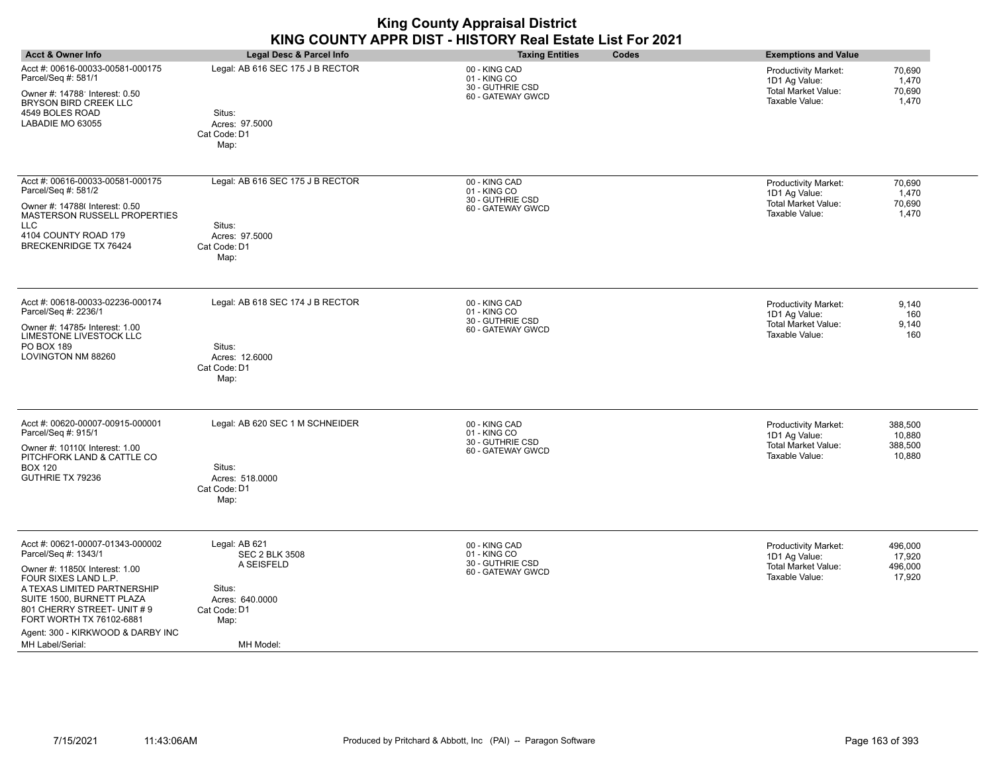| <b>Acct &amp; Owner Info</b>                                                                                                                                                                                                                                                                      | Legal Desc & Parcel Info                                                                                               | <b>Taxing Entities</b><br>Codes                                        | <b>Exemptions and Value</b>                                                                                                            |
|---------------------------------------------------------------------------------------------------------------------------------------------------------------------------------------------------------------------------------------------------------------------------------------------------|------------------------------------------------------------------------------------------------------------------------|------------------------------------------------------------------------|----------------------------------------------------------------------------------------------------------------------------------------|
| Acct #: 00616-00033-00581-000175<br>Parcel/Seq #: 581/1<br>Owner #: 14788' Interest: 0.50<br><b>BRYSON BIRD CREEK LLC</b><br>4549 BOLES ROAD<br>LABADIE MO 63055                                                                                                                                  | Legal: AB 616 SEC 175 J B RECTOR<br>Situs:<br>Acres: 97.5000<br>Cat Code: D1<br>Map:                                   | 00 - KING CAD<br>01 - KING CO<br>30 - GUTHRIE CSD<br>60 - GATEWAY GWCD | 70,690<br><b>Productivity Market:</b><br>1D1 Ag Value:<br>1,470<br>Total Market Value:<br>70,690<br>Taxable Value:<br>1,470            |
| Acct #: 00616-00033-00581-000175<br>Parcel/Seq #: 581/2<br>Owner #: 14788( Interest: 0.50<br><b>MASTERSON RUSSELL PROPERTIES</b><br><b>LLC</b><br>4104 COUNTY ROAD 179<br><b>BRECKENRIDGE TX 76424</b>                                                                                            | Legal: AB 616 SEC 175 J B RECTOR<br>Situs:<br>Acres: 97.5000<br>Cat Code: D1<br>Map:                                   | 00 - KING CAD<br>01 - KING CO<br>30 - GUTHRIE CSD<br>60 - GATEWAY GWCD | <b>Productivity Market:</b><br>70,690<br>1D1 Ag Value:<br>1,470<br>70,690<br><b>Total Market Value:</b><br>Taxable Value:<br>1,470     |
| Acct #: 00618-00033-02236-000174<br>Parcel/Seq #: 2236/1<br>Owner #: 147854 Interest: 1.00<br>LIMESTONE LIVESTOCK LLC<br>PO BOX 189<br>LOVINGTON NM 88260                                                                                                                                         | Legal: AB 618 SEC 174 J B RECTOR<br>Situs:<br>Acres: 12.6000<br>Cat Code: D1<br>Map:                                   | 00 - KING CAD<br>01 - KING CO<br>30 - GUTHRIE CSD<br>60 - GATEWAY GWCD | 9,140<br>Productivity Market:<br>160<br>1D1 Ag Value:<br>Total Market Value:<br>9,140<br>Taxable Value:<br>160                         |
| Acct #: 00620-00007-00915-000001<br>Parcel/Seq #: 915/1<br>Owner #: 10110( Interest: 1.00<br>PITCHFORK LAND & CATTLE CO<br><b>BOX 120</b><br>GUTHRIE TX 79236                                                                                                                                     | Legal: AB 620 SEC 1 M SCHNEIDER<br>Situs:<br>Acres: 518.0000<br>Cat Code: D1<br>Map:                                   | 00 - KING CAD<br>01 - KING CO<br>30 - GUTHRIE CSD<br>60 - GATEWAY GWCD | Productivity Market:<br>388,500<br>10,880<br>1D1 Ag Value:<br>Total Market Value:<br>388,500<br>Taxable Value:<br>10,880               |
| Acct #: 00621-00007-01343-000002<br>Parcel/Seq #: 1343/1<br>Owner #: 11850( Interest: 1.00<br>FOUR SIXES LAND L.P.<br>A TEXAS LIMITED PARTNERSHIP<br>SUITE 1500, BURNETT PLAZA<br>801 CHERRY STREET- UNIT #9<br>FORT WORTH TX 76102-6881<br>Agent: 300 - KIRKWOOD & DARBY INC<br>MH Label/Serial: | Legal: AB 621<br><b>SEC 2 BLK 3508</b><br>A SEISFELD<br>Situs:<br>Acres: 640.0000<br>Cat Code: D1<br>Map:<br>MH Model: | 00 - KING CAD<br>01 - KING CO<br>30 - GUTHRIE CSD<br>60 - GATEWAY GWCD | <b>Productivity Market:</b><br>496,000<br>17,920<br>1D1 Ag Value:<br><b>Total Market Value:</b><br>496.000<br>17,920<br>Taxable Value: |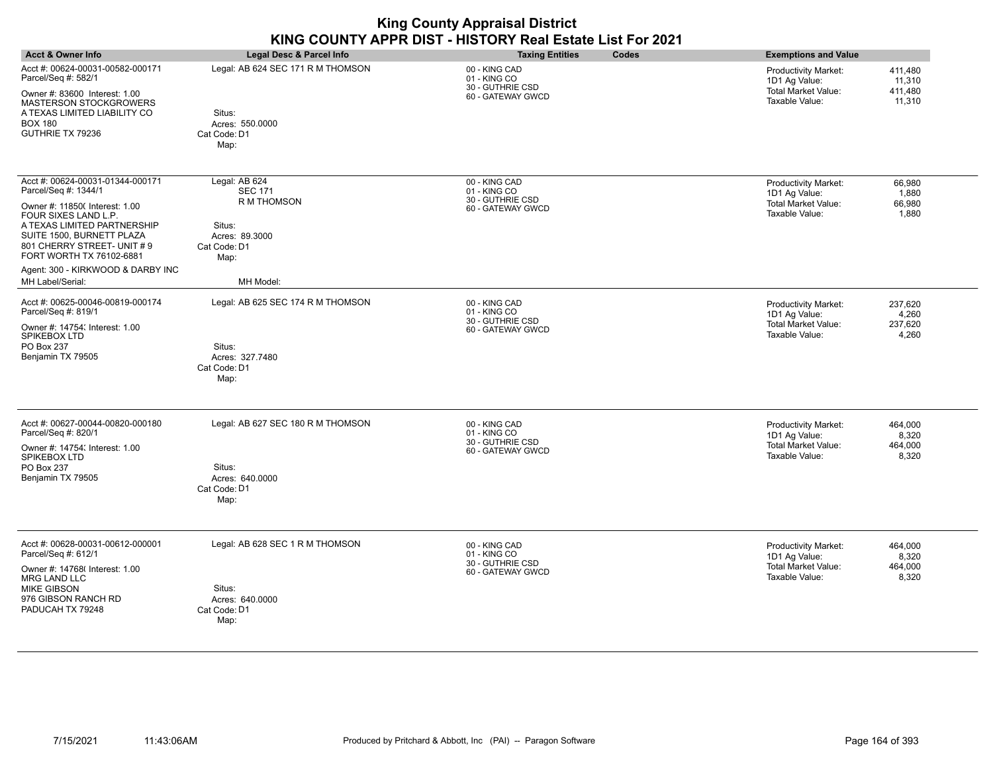| <b>Acct &amp; Owner Info</b>                                                                                                                                                                                                                                                                      | Legal Desc & Parcel Info                                                                                        | <b>Taxing Entities</b><br>Codes                                        | <b>Exemptions and Value</b>                                                                                                          |
|---------------------------------------------------------------------------------------------------------------------------------------------------------------------------------------------------------------------------------------------------------------------------------------------------|-----------------------------------------------------------------------------------------------------------------|------------------------------------------------------------------------|--------------------------------------------------------------------------------------------------------------------------------------|
| Acct #: 00624-00031-00582-000171<br>Parcel/Seq #: 582/1<br>Owner #: 83600 Interest: 1.00<br>MASTERSON STOCKGROWERS<br>A TEXAS LIMITED LIABILITY CO<br><b>BOX 180</b><br>GUTHRIE TX 79236                                                                                                          | Legal: AB 624 SEC 171 R M THOMSON<br>Situs:<br>Acres: 550.0000<br>Cat Code: D1<br>Map:                          | 00 - KING CAD<br>01 - KING CO<br>30 - GUTHRIE CSD<br>60 - GATEWAY GWCD | 411,480<br><b>Productivity Market:</b><br>1D1 Ag Value:<br>11,310<br>411,480<br>Total Market Value:<br>Taxable Value:<br>11,310      |
| Acct #: 00624-00031-01344-000171<br>Parcel/Seq #: 1344/1<br>Owner #: 11850( Interest: 1.00<br>FOUR SIXES LAND L.P.<br>A TEXAS LIMITED PARTNERSHIP<br>SUITE 1500, BURNETT PLAZA<br>801 CHERRY STREET- UNIT #9<br>FORT WORTH TX 76102-6881<br>Agent: 300 - KIRKWOOD & DARBY INC<br>MH Label/Serial: | Legal: AB 624<br><b>SEC 171</b><br>R M THOMSON<br>Situs:<br>Acres: 89.3000<br>Cat Code: D1<br>Map:<br>MH Model: | 00 - KING CAD<br>01 - KING CO<br>30 - GUTHRIE CSD<br>60 - GATEWAY GWCD | <b>Productivity Market:</b><br>66,980<br>1D1 Ag Value:<br>1,880<br><b>Total Market Value:</b><br>66,980<br>Taxable Value:<br>1,880   |
| Acct #: 00625-00046-00819-000174<br>Parcel/Seq #: 819/1<br>Owner #: 14754; Interest: 1.00<br>SPIKEBOX LTD<br>PO Box 237<br>Benjamin TX 79505                                                                                                                                                      | Legal: AB 625 SEC 174 R M THOMSON<br>Situs:<br>Acres: 327.7480<br>Cat Code: D1<br>Map:                          | 00 - KING CAD<br>01 - KING CO<br>30 - GUTHRIE CSD<br>60 - GATEWAY GWCD | 237,620<br>Productivity Market:<br>1D1 Ag Value:<br>4,260<br><b>Total Market Value:</b><br>237,620<br>Taxable Value:<br>4,260        |
| Acct #: 00627-00044-00820-000180<br>Parcel/Seq #: 820/1<br>Owner #: 14754; Interest: 1.00<br>SPIKEBOX LTD<br>PO Box 237<br>Benjamin TX 79505                                                                                                                                                      | Legal: AB 627 SEC 180 R M THOMSON<br>Situs:<br>Acres: 640.0000<br>Cat Code: D1<br>Map:                          | 00 - KING CAD<br>01 - KING CO<br>30 - GUTHRIE CSD<br>60 - GATEWAY GWCD | <b>Productivity Market:</b><br>464,000<br>1D1 Ag Value:<br>8,320<br><b>Total Market Value:</b><br>464,000<br>Taxable Value:<br>8,320 |
| Acct #: 00628-00031-00612-000001<br>Parcel/Seq #: 612/1<br>Owner #: 14768( Interest: 1.00<br>MRG LAND LLC<br><b>MIKE GIBSON</b><br>976 GIBSON RANCH RD<br>PADUCAH TX 79248                                                                                                                        | Legal: AB 628 SEC 1 R M THOMSON<br>Situs:<br>Acres: 640.0000<br>Cat Code: D1<br>Map:                            | 00 - KING CAD<br>01 - KING CO<br>30 - GUTHRIE CSD<br>60 - GATEWAY GWCD | Productivity Market:<br>464,000<br>1D1 Ag Value:<br>8,320<br><b>Total Market Value:</b><br>464,000<br>Taxable Value:<br>8,320        |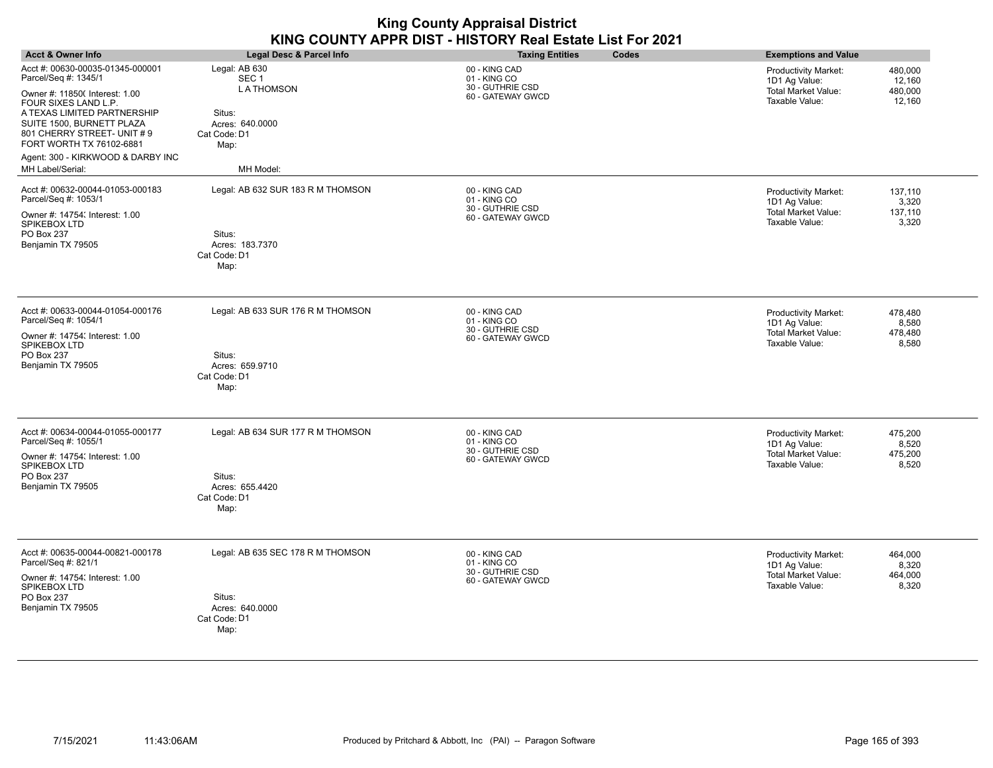| <b>Acct &amp; Owner Info</b>                                                          | Legal Desc & Parcel Info                | <b>Taxing Entities</b><br>Codes                   | <b>Exemptions and Value</b>                                       |
|---------------------------------------------------------------------------------------|-----------------------------------------|---------------------------------------------------|-------------------------------------------------------------------|
| Acct #: 00630-00035-01345-000001                                                      | Legal: AB 630                           |                                                   |                                                                   |
| Parcel/Seq #: 1345/1                                                                  | SEC <sub>1</sub>                        | 00 - KING CAD<br>01 - KING CO<br>30 - GUTHRIE CSD | <b>Productivity Market:</b><br>480,000<br>1D1 Ag Value:<br>12,160 |
| Owner #: 11850( Interest: 1.00<br>FOUR SIXES LAND L.P.<br>A TEXAS LIMITED PARTNERSHIP | <b>LATHOMSON</b><br>Situs:              | 60 - GATEWAY GWCD                                 | 480,000<br>Total Market Value:<br>Taxable Value:<br>12,160        |
| SUITE 1500, BURNETT PLAZA<br>801 CHERRY STREET- UNIT # 9<br>FORT WORTH TX 76102-6881  | Acres: 640.0000<br>Cat Code: D1<br>Map: |                                                   |                                                                   |
| Agent: 300 - KIRKWOOD & DARBY INC<br>MH Label/Serial:                                 | MH Model:                               |                                                   |                                                                   |
| Acct #: 00632-00044-01053-000183<br>Parcel/Seq #: 1053/1                              | Legal: AB 632 SUR 183 R M THOMSON       | 00 - KING CAD<br>01 - KING CO<br>30 - GUTHRIE CSD | 137,110<br><b>Productivity Market:</b><br>1D1 Ag Value:<br>3,320  |
| Owner #: 14754; Interest: 1.00<br>SPIKEBOX LTD<br>PO Box 237                          | Situs:                                  | 60 - GATEWAY GWCD                                 | <b>Total Market Value:</b><br>137,110<br>Taxable Value:<br>3,320  |
| Benjamin TX 79505                                                                     | Acres: 183.7370<br>Cat Code: D1<br>Map: |                                                   |                                                                   |
| Acct #: 00633-00044-01054-000176<br>Parcel/Seq #: 1054/1                              | Legal: AB 633 SUR 176 R M THOMSON       | 00 - KING CAD<br>01 - KING CO                     | 478,480<br><b>Productivity Market:</b><br>1D1 Ag Value:<br>8,580  |
| Owner #: 14754; Interest: 1.00<br>SPIKEBOX LTD<br>PO Box 237                          | Situs:                                  | 30 - GUTHRIE CSD<br>60 - GATEWAY GWCD             | <b>Total Market Value:</b><br>478,480<br>Taxable Value:<br>8,580  |
| Benjamin TX 79505                                                                     | Acres: 659.9710<br>Cat Code: D1<br>Map: |                                                   |                                                                   |
| Acct #: 00634-00044-01055-000177<br>Parcel/Seq #: 1055/1                              | Legal: AB 634 SUR 177 R M THOMSON       | 00 - KING CAD<br>01 - KING CO                     | 475,200<br><b>Productivity Market:</b><br>8,520<br>1D1 Ag Value:  |
| Owner #: 14754; Interest: 1.00<br>SPIKEBOX LTD                                        |                                         | 30 - GUTHRIE CSD<br>60 - GATEWAY GWCD             | <b>Total Market Value:</b><br>475,200<br>Taxable Value:<br>8,520  |
| PO Box 237                                                                            | Situs:                                  |                                                   |                                                                   |
| Benjamin TX 79505                                                                     | Acres: 655.4420<br>Cat Code: D1         |                                                   |                                                                   |
|                                                                                       | Map:                                    |                                                   |                                                                   |
| Acct #: 00635-00044-00821-000178<br>Parcel/Seq #: 821/1                               | Legal: AB 635 SEC 178 R M THOMSON       | 00 - KING CAD<br>01 - KING CO                     | <b>Productivity Market:</b><br>464,000<br>1D1 Ag Value:<br>8,320  |
| Owner #: 14754; Interest: 1.00<br>SPIKEBOX LTD                                        |                                         | 30 - GUTHRIE CSD<br>60 - GATEWAY GWCD             | Total Market Value:<br>464,000<br>Taxable Value:<br>8,320         |
| PO Box 237<br>Benjamin TX 79505                                                       | Situs:<br>Acres: 640.0000               |                                                   |                                                                   |
|                                                                                       | Cat Code: D1<br>Map:                    |                                                   |                                                                   |
|                                                                                       |                                         |                                                   |                                                                   |

÷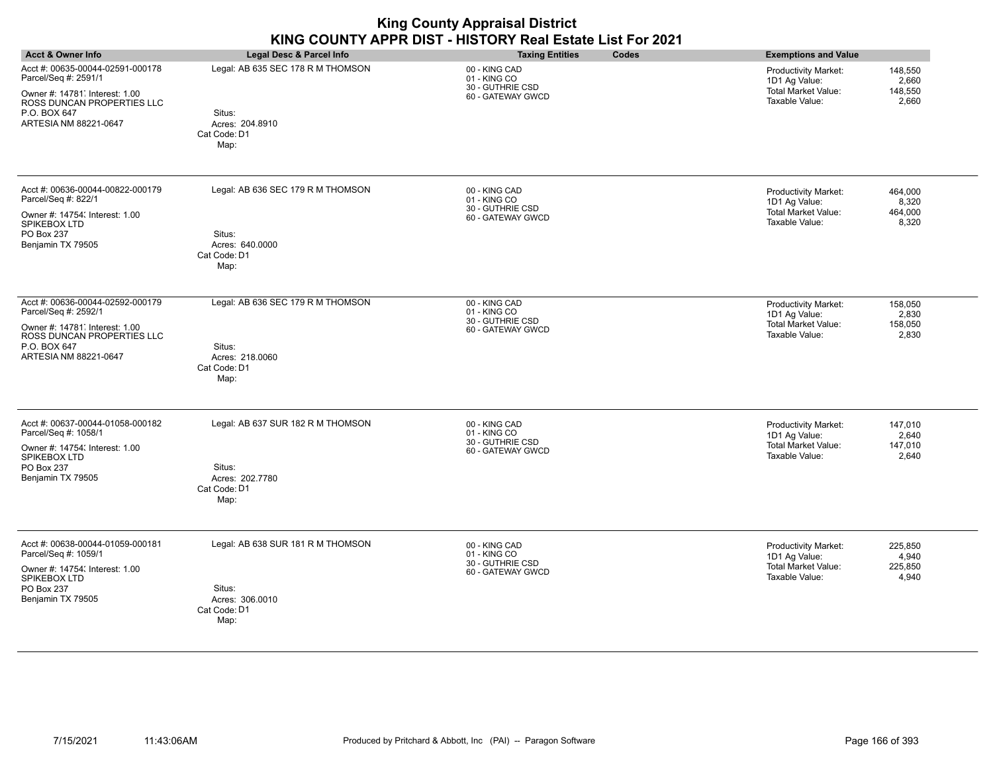| <b>Acct &amp; Owner Info</b>                                                                                                                                      | <b>Legal Desc &amp; Parcel Info</b>                                                    | <b>Taxing Entities</b><br>Codes                                        | <b>Exemptions and Value</b>                                                                                                          |
|-------------------------------------------------------------------------------------------------------------------------------------------------------------------|----------------------------------------------------------------------------------------|------------------------------------------------------------------------|--------------------------------------------------------------------------------------------------------------------------------------|
| Acct #: 00635-00044-02591-000178<br>Parcel/Seq #: 2591/1<br>Owner #: 14781, Interest: 1.00<br>ROSS DUNCAN PROPERTIES LLC<br>P.O. BOX 647<br>ARTESIA NM 88221-0647 | Legal: AB 635 SEC 178 R M THOMSON<br>Situs:<br>Acres: 204.8910<br>Cat Code: D1<br>Map: | 00 - KING CAD<br>01 - KING CO<br>30 - GUTHRIE CSD<br>60 - GATEWAY GWCD | 148,550<br><b>Productivity Market:</b><br>1D1 Ag Value:<br>2,660<br><b>Total Market Value:</b><br>148,550<br>Taxable Value:<br>2,660 |
| Acct #: 00636-00044-00822-000179<br>Parcel/Seq #: 822/1<br>Owner #: 14754; Interest: 1.00<br>SPIKEBOX LTD<br>PO Box 237<br>Benjamin TX 79505                      | Legal: AB 636 SEC 179 R M THOMSON<br>Situs:<br>Acres: 640.0000<br>Cat Code: D1<br>Map: | 00 - KING CAD<br>01 - KING CO<br>30 - GUTHRIE CSD<br>60 - GATEWAY GWCD | 464,000<br><b>Productivity Market:</b><br>1D1 Ag Value:<br>8,320<br><b>Total Market Value:</b><br>464,000<br>Taxable Value:<br>8,320 |
| Acct #: 00636-00044-02592-000179<br>Parcel/Seq #: 2592/1<br>Owner #: 14781, Interest: 1.00<br>ROSS DUNCAN PROPERTIES LLC<br>P.O. BOX 647<br>ARTESIA NM 88221-0647 | Legal: AB 636 SEC 179 R M THOMSON<br>Situs:<br>Acres: 218,0060<br>Cat Code: D1<br>Map: | 00 - KING CAD<br>01 - KING CO<br>30 - GUTHRIE CSD<br>60 - GATEWAY GWCD | <b>Productivity Market:</b><br>158,050<br>1D1 Ag Value:<br>2,830<br><b>Total Market Value:</b><br>158,050<br>Taxable Value:<br>2,830 |
| Acct #: 00637-00044-01058-000182<br>Parcel/Seq #: 1058/1<br>Owner #: 14754; Interest: 1.00<br>SPIKEBOX LTD<br>PO Box 237<br>Benjamin TX 79505                     | Legal: AB 637 SUR 182 R M THOMSON<br>Situs:<br>Acres: 202.7780<br>Cat Code: D1<br>Map: | 00 - KING CAD<br>01 - KING CO<br>30 - GUTHRIE CSD<br>60 - GATEWAY GWCD | <b>Productivity Market:</b><br>147,010<br>1D1 Ag Value:<br>2,640<br><b>Total Market Value:</b><br>147,010<br>Taxable Value:<br>2,640 |
| Acct #: 00638-00044-01059-000181<br>Parcel/Seq #: 1059/1<br>Owner #: 14754; Interest: 1.00<br>SPIKEBOX LTD<br>PO Box 237<br>Benjamin TX 79505                     | Legal: AB 638 SUR 181 R M THOMSON<br>Situs:<br>Acres: 306.0010<br>Cat Code: D1<br>Map: | 00 - KING CAD<br>01 - KING CO<br>30 - GUTHRIE CSD<br>60 - GATEWAY GWCD | 225,850<br>Productivity Market:<br>1D1 Ag Value:<br>4,940<br><b>Total Market Value:</b><br>225,850<br>Taxable Value:<br>4,940        |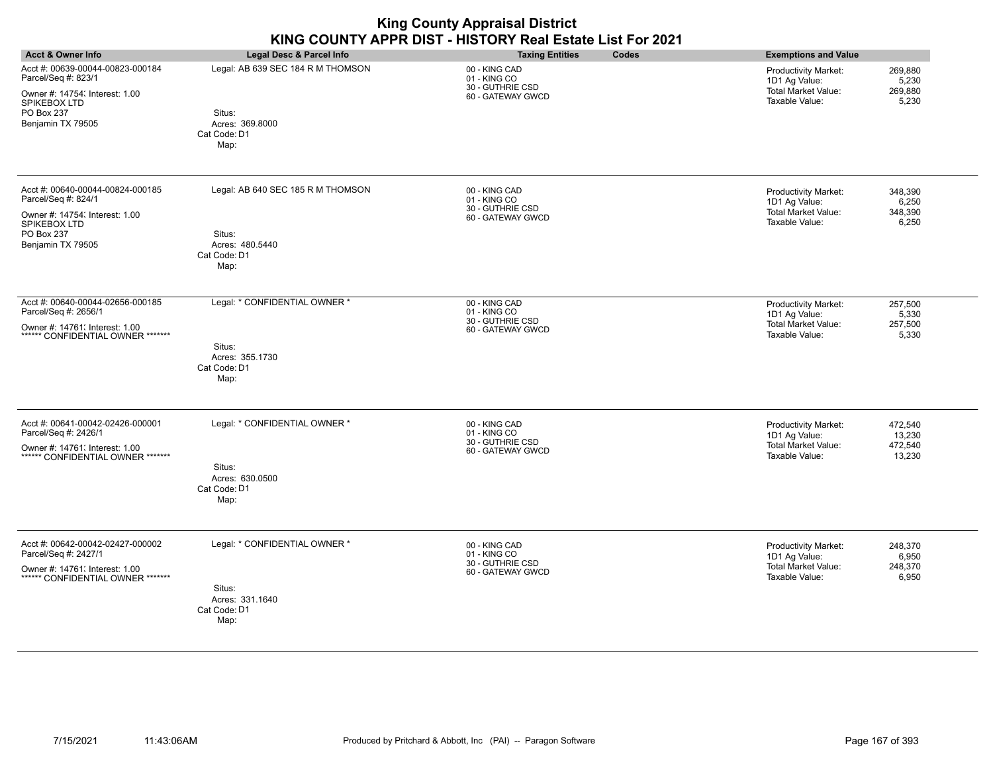| <b>Acct &amp; Owner Info</b>                                                                                                                 | <b>Legal Desc &amp; Parcel Info</b>                                                    | <b>Taxing Entities</b><br>Codes                                        | <b>Exemptions and Value</b>                                                                                                            |
|----------------------------------------------------------------------------------------------------------------------------------------------|----------------------------------------------------------------------------------------|------------------------------------------------------------------------|----------------------------------------------------------------------------------------------------------------------------------------|
| Acct #: 00639-00044-00823-000184<br>Parcel/Seq #: 823/1<br>Owner #: 14754; Interest: 1.00<br>SPIKEBOX LTD<br>PO Box 237<br>Benjamin TX 79505 | Legal: AB 639 SEC 184 R M THOMSON<br>Situs:<br>Acres: 369.8000<br>Cat Code: D1<br>Map: | 00 - KING CAD<br>01 - KING CO<br>30 - GUTHRIE CSD<br>60 - GATEWAY GWCD | 269,880<br><b>Productivity Market:</b><br>1D1 Ag Value:<br>5,230<br><b>Total Market Value:</b><br>269,880<br>Taxable Value:<br>5,230   |
| Acct #: 00640-00044-00824-000185<br>Parcel/Seq #: 824/1<br>Owner #: 14754; Interest: 1.00<br>SPIKEBOX LTD<br>PO Box 237<br>Benjamin TX 79505 | Legal: AB 640 SEC 185 R M THOMSON<br>Situs:<br>Acres: 480.5440<br>Cat Code: D1<br>Map: | 00 - KING CAD<br>01 - KING CO<br>30 - GUTHRIE CSD<br>60 - GATEWAY GWCD | <b>Productivity Market:</b><br>348,390<br>1D1 Ag Value:<br>6,250<br><b>Total Market Value:</b><br>348,390<br>Taxable Value:<br>6,250   |
| Acct #: 00640-00044-02656-000185<br>Parcel/Seq #: 2656/1<br>Owner #: 14761; Interest: 1.00<br>****** CONFIDENTIAL OWNER *******              | Legal: * CONFIDENTIAL OWNER *<br>Situs:<br>Acres: 355.1730<br>Cat Code: D1<br>Map:     | 00 - KING CAD<br>01 - KING CO<br>30 - GUTHRIE CSD<br>60 - GATEWAY GWCD | <b>Productivity Market:</b><br>257,500<br>1D1 Ag Value:<br>5,330<br><b>Total Market Value:</b><br>257,500<br>Taxable Value:<br>5,330   |
| Acct #: 00641-00042-02426-000001<br>Parcel/Seq #: 2426/1<br>Owner #: 14761. Interest: 1.00<br>****** CONFIDENTIAL OWNER *******              | Legal: * CONFIDENTIAL OWNER *<br>Situs:<br>Acres: 630.0500<br>Cat Code: D1<br>Map:     | 00 - KING CAD<br>01 - KING CO<br>30 - GUTHRIE CSD<br>60 - GATEWAY GWCD | <b>Productivity Market:</b><br>472,540<br>1D1 Ag Value:<br>13,230<br><b>Total Market Value:</b><br>472,540<br>13,230<br>Taxable Value: |
| Acct #: 00642-00042-02427-000002<br>Parcel/Seq #: 2427/1<br>Owner #: 14761. Interest: 1.00<br>****** CONFIDENTIAL OWNER *******              | Legal: * CONFIDENTIAL OWNER *<br>Situs:<br>Acres: 331.1640<br>Cat Code: D1<br>Map:     | 00 - KING CAD<br>01 - KING CO<br>30 - GUTHRIE CSD<br>60 - GATEWAY GWCD | 248,370<br>Productivity Market:<br>1D1 Ag Value:<br>6,950<br>Total Market Value:<br>248,370<br>Taxable Value:<br>6,950                 |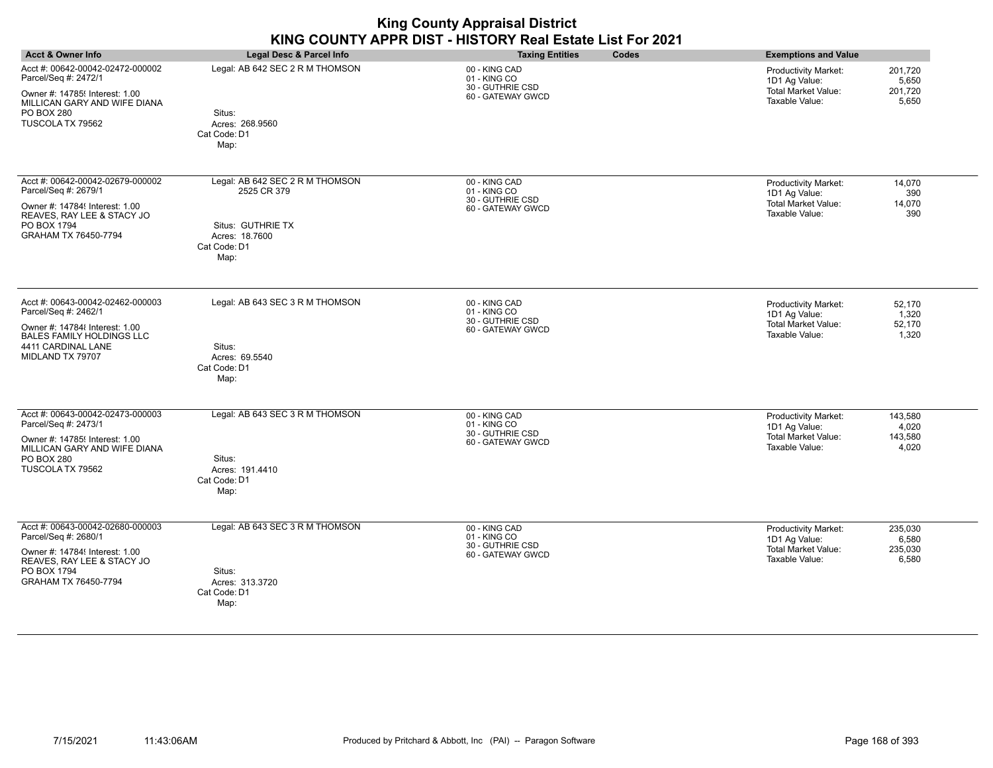| <b>Acct &amp; Owner Info</b>                                                                                                                                              | <b>Legal Desc &amp; Parcel Info</b>                                                                           | <b>Taxing Entities</b><br>Codes                                        | <b>Exemptions and Value</b>                                                                                                          |
|---------------------------------------------------------------------------------------------------------------------------------------------------------------------------|---------------------------------------------------------------------------------------------------------------|------------------------------------------------------------------------|--------------------------------------------------------------------------------------------------------------------------------------|
| Acct #: 00642-00042-02472-000002<br>Parcel/Seq #: 2472/1<br>Owner #: 14785! Interest: 1.00<br>MILLICAN GARY AND WIFE DIANA<br>PO BOX 280<br>TUSCOLA TX 79562              | Legal: AB 642 SEC 2 R M THOMSON<br>Situs:<br>Acres: 268.9560<br>Cat Code: D1<br>Map:                          | 00 - KING CAD<br>01 - KING CO<br>30 - GUTHRIE CSD<br>60 - GATEWAY GWCD | 201,720<br><b>Productivity Market:</b><br>1D1 Ag Value:<br>5,650<br><b>Total Market Value:</b><br>201,720<br>Taxable Value:<br>5,650 |
| Acct #: 00642-00042-02679-000002<br>Parcel/Seq #: 2679/1<br>Owner #: 14784! Interest: 1.00<br>REAVES, RAY LEE & STACY JO<br>PO BOX 1794<br>GRAHAM TX 76450-7794           | Legal: AB 642 SEC 2 R M THOMSON<br>2525 CR 379<br>Situs: GUTHRIE TX<br>Acres: 18.7600<br>Cat Code: D1<br>Map: | 00 - KING CAD<br>01 - KING CO<br>30 - GUTHRIE CSD<br>60 - GATEWAY GWCD | 14,070<br>Productivity Market:<br>1D1 Ag Value:<br>390<br><b>Total Market Value:</b><br>14,070<br>Taxable Value:<br>390              |
| Acct #: 00643-00042-02462-000003<br>Parcel/Seq #: 2462/1<br>Owner #: 14784 { Interest: 1.00<br><b>BALES FAMILY HOLDINGS LLC</b><br>4411 CARDINAL LANE<br>MIDLAND TX 79707 | Legal: AB 643 SEC 3 R M THOMSON<br>Situs:<br>Acres: 69.5540<br>Cat Code: D1<br>Map:                           | 00 - KING CAD<br>01 - KING CO<br>30 - GUTHRIE CSD<br>60 - GATEWAY GWCD | Productivity Market:<br>52,170<br>1D1 Ag Value:<br>1,320<br><b>Total Market Value:</b><br>52,170<br>1,320<br>Taxable Value:          |
| Acct #: 00643-00042-02473-000003<br>Parcel/Seq #: 2473/1<br>Owner #: 14785{ Interest: 1.00<br>MILLICAN GARY AND WIFE DIANA<br>PO BOX 280<br>TUSCOLA TX 79562              | Legal: AB 643 SEC 3 R M THOMSON<br>Situs:<br>Acres: 191.4410<br>Cat Code: D1<br>Map:                          | 00 - KING CAD<br>01 - KING CO<br>30 - GUTHRIE CSD<br>60 - GATEWAY GWCD | <b>Productivity Market:</b><br>143,580<br>1D1 Ag Value:<br>4,020<br><b>Total Market Value:</b><br>143,580<br>Taxable Value:<br>4,020 |
| Acct #: 00643-00042-02680-000003<br>Parcel/Seq #: 2680/1<br>Owner #: 14784! Interest: 1.00<br>REAVES, RAY LEE & STACY JO<br>PO BOX 1794<br>GRAHAM TX 76450-7794           | Legal: AB 643 SEC 3 R M THOMSON<br>Situs:<br>Acres: 313.3720<br>Cat Code: D1<br>Map:                          | 00 - KING CAD<br>01 - KING CO<br>30 - GUTHRIE CSD<br>60 - GATEWAY GWCD | 235,030<br><b>Productivity Market:</b><br>1D1 Ag Value:<br>6,580<br><b>Total Market Value:</b><br>235,030<br>Taxable Value:<br>6,580 |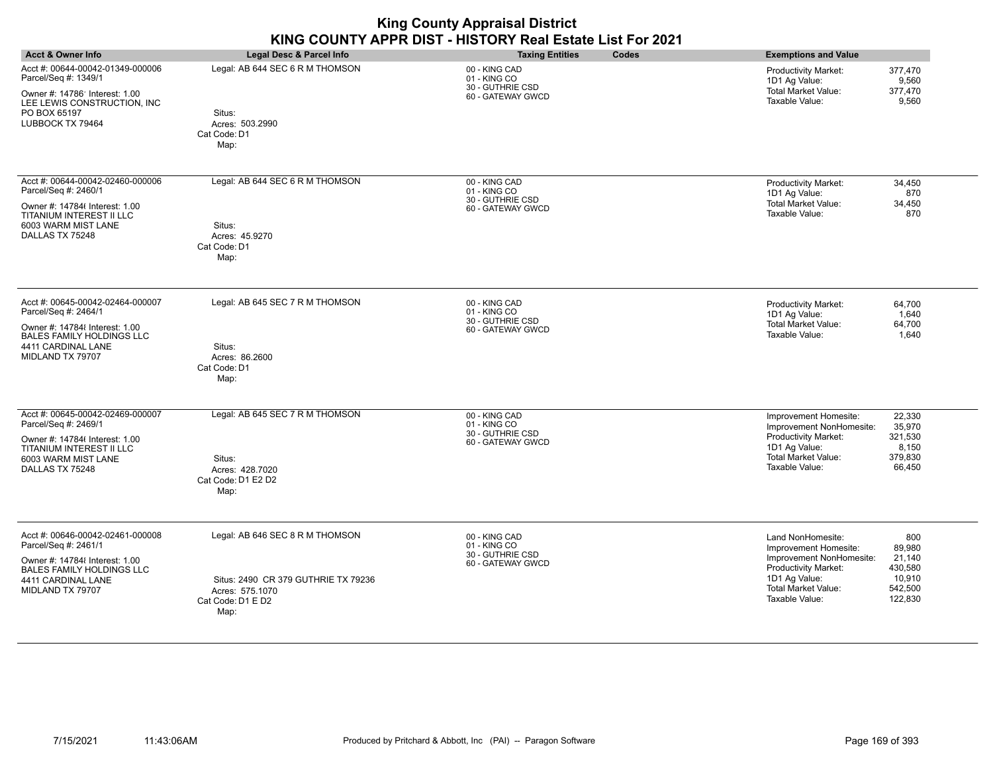| <b>Acct &amp; Owner Info</b>                                                                                                                                             | Legal Desc & Parcel Info                                                                                               | <b>Taxing Entities</b><br>Codes                                        | <b>Exemptions and Value</b>                                                                                                                                                                                                           |
|--------------------------------------------------------------------------------------------------------------------------------------------------------------------------|------------------------------------------------------------------------------------------------------------------------|------------------------------------------------------------------------|---------------------------------------------------------------------------------------------------------------------------------------------------------------------------------------------------------------------------------------|
| Acct #: 00644-00042-01349-000006<br>Parcel/Seq #: 1349/1<br>Owner #: 14786' Interest: 1.00<br>LEE LEWIS CONSTRUCTION, INC<br>PO BOX 65197<br>LUBBOCK TX 79464            | Legal: AB 644 SEC 6 R M THOMSON<br>Situs:<br>Acres: 503.2990<br>Cat Code: D1<br>Map:                                   | 00 - KING CAD<br>01 - KING CO<br>30 - GUTHRIE CSD<br>60 - GATEWAY GWCD | 377,470<br><b>Productivity Market:</b><br>1D1 Ag Value:<br>9,560<br><b>Total Market Value:</b><br>377,470<br>Taxable Value:<br>9,560                                                                                                  |
| Acct #: 00644-00042-02460-000006<br>Parcel/Seq #: 2460/1<br>Owner #: 14784( Interest: 1.00<br>TITANIUM INTEREST II LLC<br>6003 WARM MIST LANE<br>DALLAS TX 75248         | Legal: AB 644 SEC 6 R M THOMSON<br>Situs:<br>Acres: 45.9270<br>Cat Code: D1<br>Map:                                    | 00 - KING CAD<br>01 - KING CO<br>30 - GUTHRIE CSD<br>60 - GATEWAY GWCD | Productivity Market:<br>34,450<br>1D1 Ag Value:<br>870<br><b>Total Market Value:</b><br>34,450<br>Taxable Value:<br>870                                                                                                               |
| Acct #: 00645-00042-02464-000007<br>Parcel/Seq #: 2464/1<br>Owner #: 147848 Interest: 1.00<br><b>BALES FAMILY HOLDINGS LLC</b><br>4411 CARDINAL LANE<br>MIDLAND TX 79707 | Legal: AB 645 SEC 7 R M THOMSON<br>Situs:<br>Acres: 86.2600<br>Cat Code: D1<br>Map:                                    | 00 - KING CAD<br>01 - KING CO<br>30 - GUTHRIE CSD<br>60 - GATEWAY GWCD | Productivity Market:<br>64,700<br>1,640<br>1D1 Ag Value:<br><b>Total Market Value:</b><br>64,700<br>Taxable Value:<br>1,640                                                                                                           |
| Acct #: 00645-00042-02469-000007<br>Parcel/Seq #: 2469/1<br>Owner #: 14784( Interest: 1.00<br>TITANIUM INTEREST II LLC<br>6003 WARM MIST LANE<br>DALLAS TX 75248         | Legal: AB 645 SEC 7 R M THOMSON<br>Situs:<br>Acres: 428.7020<br>Cat Code: D1 E2 D2<br>Map:                             | 00 - KING CAD<br>01 - KING CO<br>30 - GUTHRIE CSD<br>60 - GATEWAY GWCD | 22,330<br>Improvement Homesite:<br>35,970<br>Improvement NonHomesite:<br>321,530<br>Productivity Market:<br>1D1 Ag Value:<br>8,150<br><b>Total Market Value:</b><br>379,830<br>Taxable Value:<br>66,450                               |
| Acct #: 00646-00042-02461-000008<br>Parcel/Seq #: 2461/1<br>Owner #: 147848 Interest: 1.00<br><b>BALES FAMILY HOLDINGS LLC</b><br>4411 CARDINAL LANE<br>MIDLAND TX 79707 | Legal: AB 646 SEC 8 R M THOMSON<br>Situs: 2490 CR 379 GUTHRIE TX 79236<br>Acres: 575.1070<br>Cat Code: D1 E D2<br>Map: | 00 - KING CAD<br>01 - KING CO<br>30 - GUTHRIE CSD<br>60 - GATEWAY GWCD | 800<br>Land NonHomesite:<br>89,980<br>Improvement Homesite:<br>21,140<br>Improvement NonHomesite:<br>Productivity Market:<br>430,580<br>1D1 Ag Value:<br>10,910<br><b>Total Market Value:</b><br>542,500<br>Taxable Value:<br>122,830 |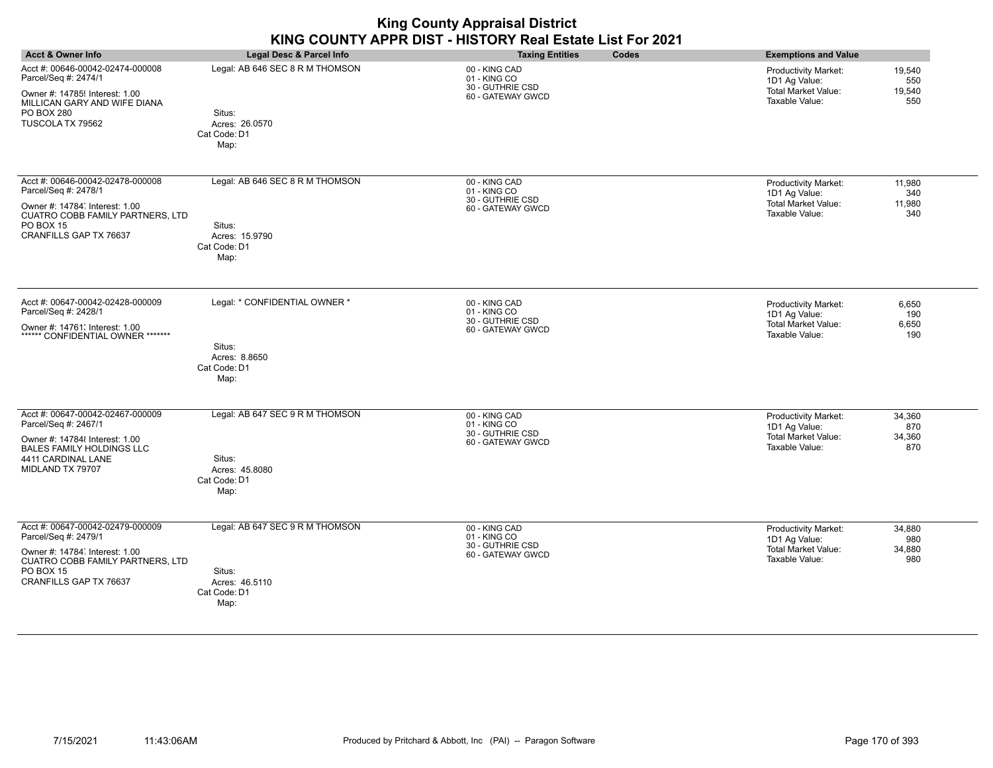| <b>Acct &amp; Owner Info</b>                                                                                                                                                 | Legal Desc & Parcel Info                                                            | <b>Taxing Entities</b><br>Codes                                        | <b>Exemptions and Value</b>                                                                                                    |
|------------------------------------------------------------------------------------------------------------------------------------------------------------------------------|-------------------------------------------------------------------------------------|------------------------------------------------------------------------|--------------------------------------------------------------------------------------------------------------------------------|
| Acct #: 00646-00042-02474-000008<br>Parcel/Seq #: 2474/1<br>Owner #: 14785! Interest: 1.00<br>MILLICAN GARY AND WIFE DIANA<br>PO BOX 280<br>TUSCOLA TX 79562                 | Legal: AB 646 SEC 8 R M THOMSON<br>Situs:<br>Acres: 26.0570<br>Cat Code: D1<br>Map: | 00 - KING CAD<br>01 - KING CO<br>30 - GUTHRIE CSD<br>60 - GATEWAY GWCD | 19,540<br><b>Productivity Market:</b><br>1D1 Ag Value:<br>550<br><b>Total Market Value:</b><br>19,540<br>Taxable Value:<br>550 |
| Acct #: 00646-00042-02478-000008<br>Parcel/Seq #: 2478/1<br>Owner #: 147841 Interest: 1.00<br>CUATRO COBB FAMILY PARTNERS, LTD<br><b>PO BOX 15</b><br>CRANFILLS GAP TX 76637 | Legal: AB 646 SEC 8 R M THOMSON<br>Situs:<br>Acres: 15.9790<br>Cat Code: D1<br>Map: | 00 - KING CAD<br>01 - KING CO<br>30 - GUTHRIE CSD<br>60 - GATEWAY GWCD | <b>Productivity Market:</b><br>11,980<br>1D1 Ag Value:<br>340<br><b>Total Market Value:</b><br>11,980<br>Taxable Value:<br>340 |
| Acct #: 00647-00042-02428-000009<br>Parcel/Seq #: 2428/1<br>Owner #: 14761. Interest: 1.00<br>****** CONFIDENTIAL OWNER *******                                              | Legal: * CONFIDENTIAL OWNER *<br>Situs:<br>Acres: 8.8650<br>Cat Code: D1<br>Map:    | 00 - KING CAD<br>01 - KING CO<br>30 - GUTHRIE CSD<br>60 - GATEWAY GWCD | 6,650<br><b>Productivity Market:</b><br>1D1 Ag Value:<br>190<br><b>Total Market Value:</b><br>6,650<br>Taxable Value:<br>190   |
| Acct #: 00647-00042-02467-000009<br>Parcel/Seq #: 2467/1<br>Owner #: 14784 { Interest: 1.00<br>BALES FAMILY HOLDINGS LLC<br>4411 CARDINAL LANE<br>MIDLAND TX 79707           | Legal: AB 647 SEC 9 R M THOMSON<br>Situs:<br>Acres: 45.8080<br>Cat Code: D1<br>Map: | 00 - KING CAD<br>01 - KING CO<br>30 - GUTHRIE CSD<br>60 - GATEWAY GWCD | 34,360<br><b>Productivity Market:</b><br>870<br>1D1 Ag Value:<br><b>Total Market Value:</b><br>34,360<br>Taxable Value:<br>870 |
| Acct #: 00647-00042-02479-000009<br>Parcel/Seq #: 2479/1<br>Owner #: 14784: Interest: 1.00<br>CUATRO COBB FAMILY PARTNERS, LTD<br><b>PO BOX 15</b><br>CRANFILLS GAP TX 76637 | Legal: AB 647 SEC 9 R M THOMSON<br>Situs:<br>Acres: 46.5110<br>Cat Code: D1<br>Map: | 00 - KING CAD<br>01 - KING CO<br>30 - GUTHRIE CSD<br>60 - GATEWAY GWCD | Productivity Market:<br>34,880<br>1D1 Ag Value:<br>980<br><b>Total Market Value:</b><br>34,880<br>Taxable Value:<br>980        |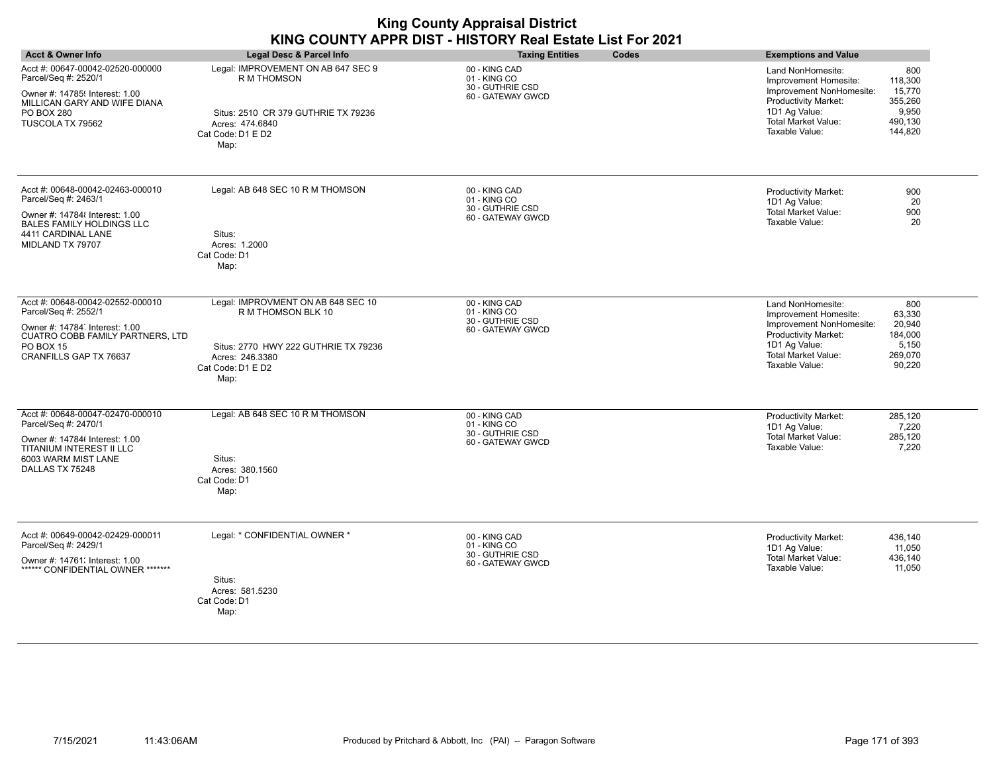| <b>Acct &amp; Owner Info</b>                                                                                                                                                | Legal Desc & Parcel Info                                                                                                                         | <b>Taxing Entities</b><br>Codes                                        | <b>Exemptions and Value</b>                                                                                                                                                                                                           |
|-----------------------------------------------------------------------------------------------------------------------------------------------------------------------------|--------------------------------------------------------------------------------------------------------------------------------------------------|------------------------------------------------------------------------|---------------------------------------------------------------------------------------------------------------------------------------------------------------------------------------------------------------------------------------|
| Acct #: 00647-00042-02520-000000<br>Parcel/Seq #: 2520/1<br>Owner #: 14785! Interest: 1.00<br>MILLICAN GARY AND WIFE DIANA<br>PO BOX 280<br>TUSCOLA TX 79562                | Legal: IMPROVEMENT ON AB 647 SEC 9<br>R M THOMSON<br>Situs: 2510 CR 379 GUTHRIE TX 79236<br>Acres: 474.6840<br>Cat Code: D1 E D2<br>Map:         | 00 - KING CAD<br>01 - KING CO<br>30 - GUTHRIE CSD<br>60 - GATEWAY GWCD | 800<br>Land NonHomesite:<br>Improvement Homesite:<br>118,300<br>15,770<br>Improvement NonHomesite:<br>Productivity Market:<br>355,260<br>1D1 Ag Value:<br>9,950<br><b>Total Market Value:</b><br>490,130<br>Taxable Value:<br>144,820 |
| Acct #: 00648-00042-02463-000010<br>Parcel/Seq #: 2463/1<br>Owner #: 147848 Interest: 1.00<br>BALES FAMILY HOLDINGS LLC<br>4411 CARDINAL LANE<br>MIDLAND TX 79707           | Legal: AB 648 SEC 10 R M THOMSON<br>Situs:<br>Acres: 1.2000<br>Cat Code: D1<br>Map:                                                              | 00 - KING CAD<br>01 - KING CO<br>30 - GUTHRIE CSD<br>60 - GATEWAY GWCD | <b>Productivity Market:</b><br>900<br>1D1 Ag Value:<br>20<br><b>Total Market Value:</b><br>900<br>Taxable Value:<br>20                                                                                                                |
| Acct #: 00648-00042-02552-000010<br>Parcel/Seq #: 2552/1<br>Owner #: 14784 Interest: 1.00<br>CUATRO COBB FAMILY PARTNERS, LTD<br><b>PO BOX 15</b><br>CRANFILLS GAP TX 76637 | Legal: IMPROVMENT ON AB 648 SEC 10<br>R M THOMSON BLK 10<br>Situs: 2770 HWY 222 GUTHRIE TX 79236<br>Acres: 246.3380<br>Cat Code: D1 E D2<br>Map: | 00 - KING CAD<br>01 - KING CO<br>30 - GUTHRIE CSD<br>60 - GATEWAY GWCD | 800<br>Land NonHomesite:<br>63,330<br>Improvement Homesite:<br>Improvement NonHomesite:<br>20,940<br>Productivity Market:<br>184,000<br>1D1 Ag Value:<br>5,150<br><b>Total Market Value:</b><br>269,070<br>Taxable Value:<br>90,220   |
| Acct #: 00648-00047-02470-000010<br>Parcel/Seq #: 2470/1<br>Owner #: 14784( Interest: 1.00<br>TITANIUM INTEREST II LLC<br>6003 WARM MIST LANE<br>DALLAS TX 75248            | Legal: AB 648 SEC 10 R M THOMSON<br>Situs:<br>Acres: 380.1560<br>Cat Code: D1<br>Map:                                                            | 00 - KING CAD<br>01 - KING CO<br>30 - GUTHRIE CSD<br>60 - GATEWAY GWCD | Productivity Market:<br>285,120<br>1D1 Ag Value:<br>7,220<br><b>Total Market Value:</b><br>285,120<br>Taxable Value:<br>7,220                                                                                                         |
| Acct #: 00649-00042-02429-000011<br>Parcel/Seq #: 2429/1<br>Owner #: 14761. Interest: 1.00<br>****** CONFIDENTIAL OWNER *******                                             | Legal: * CONFIDENTIAL OWNER *<br>Situs:<br>Acres: 581.5230<br>Cat Code: D1<br>Map:                                                               | 00 - KING CAD<br>01 - KING CO<br>30 - GUTHRIE CSD<br>60 - GATEWAY GWCD | 436,140<br><b>Productivity Market:</b><br>1D1 Ag Value:<br>11,050<br><b>Total Market Value:</b><br>436,140<br>Taxable Value:<br>11,050                                                                                                |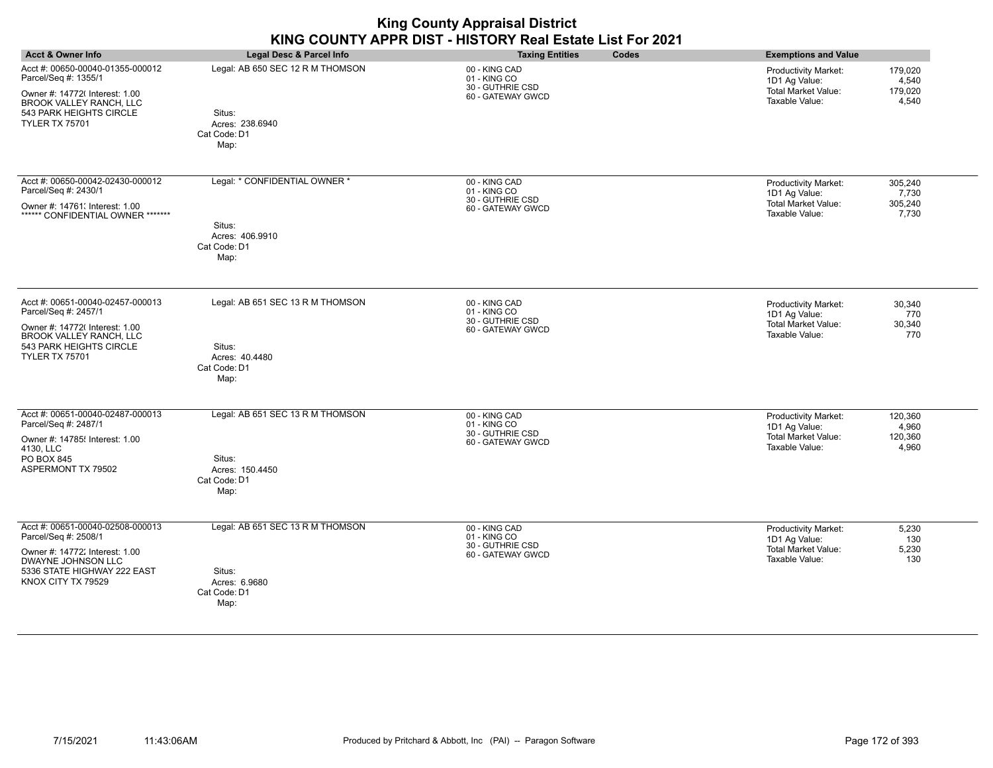|                                                                                                                                                                                  |                                                                                       | <b>King County Appraisal District</b><br>KING COUNTY APPR DIST - HISTORY Real Estate List For 2021 |                                                                                                                                      |
|----------------------------------------------------------------------------------------------------------------------------------------------------------------------------------|---------------------------------------------------------------------------------------|----------------------------------------------------------------------------------------------------|--------------------------------------------------------------------------------------------------------------------------------------|
| <b>Acct &amp; Owner Info</b>                                                                                                                                                     | <b>Legal Desc &amp; Parcel Info</b>                                                   | <b>Taxing Entities</b><br>Codes                                                                    | <b>Exemptions and Value</b>                                                                                                          |
| Acct #: 00650-00040-01355-000012<br>Parcel/Seq #: 1355/1<br>Owner #: 14772( Interest: 1.00<br><b>BROOK VALLEY RANCH, LLC</b><br>543 PARK HEIGHTS CIRCLE<br><b>TYLER TX 75701</b> | Legal: AB 650 SEC 12 R M THOMSON<br>Situs:<br>Acres: 238.6940<br>Cat Code: D1<br>Map: | 00 - KING CAD<br>01 - KING CO<br>30 - GUTHRIE CSD<br>60 - GATEWAY GWCD                             | <b>Productivity Market:</b><br>179,020<br>1D1 Ag Value:<br>4,540<br><b>Total Market Value:</b><br>179,020<br>Taxable Value:<br>4,540 |
| Acct #: 00650-00042-02430-000012<br>Parcel/Seq #: 2430/1<br>Owner #: 14761. Interest: 1.00<br>****** CONFIDENTIAL OWNER *******                                                  | Legal: * CONFIDENTIAL OWNER *<br>Situs:<br>Acres: 406.9910<br>Cat Code: D1<br>Map:    | 00 - KING CAD<br>01 - KING CO<br>30 - GUTHRIE CSD<br>60 - GATEWAY GWCD                             | 305,240<br><b>Productivity Market:</b><br>1D1 Ag Value:<br>7,730<br><b>Total Market Value:</b><br>305,240<br>Taxable Value:<br>7,730 |
| Acct #: 00651-00040-02457-000013<br>Parcel/Seq #: 2457/1<br>Owner #: 14772( Interest: 1.00<br><b>BROOK VALLEY RANCH, LLC</b><br>543 PARK HEIGHTS CIRCLE<br><b>TYLER TX 75701</b> | Legal: AB 651 SEC 13 R M THOMSON<br>Situs:<br>Acres: 40.4480<br>Cat Code: D1<br>Map:  | 00 - KING CAD<br>01 - KING CO<br>30 - GUTHRIE CSD<br>60 - GATEWAY GWCD                             | Productivity Market:<br>30,340<br>1D1 Ag Value:<br>770<br><b>Total Market Value:</b><br>30,340<br>Taxable Value:<br>770              |
| Acct #: 00651-00040-02487-000013<br>Parcel/Seq #: 2487/1<br>Owner #: 14785! Interest: 1.00<br>4130, LLC<br>PO BOX 845<br>ASPERMONT TX 79502                                      | Legal: AB 651 SEC 13 R M THOMSON<br>Situs:<br>Acres: 150.4450<br>Cat Code: D1<br>Map: | 00 - KING CAD<br>01 - KING CO<br>30 - GUTHRIE CSD<br>60 - GATEWAY GWCD                             | 120,360<br>Productivity Market:<br>4,960<br>1D1 Ag Value:<br><b>Total Market Value:</b><br>120,360<br>Taxable Value:<br>4.960        |
| Acct #: 00651-00040-02508-000013<br>Parcel/Seq #: 2508/1<br>Owner #: 14772; Interest: 1.00<br><b>DWAYNE JOHNSON LLC</b><br>5336 STATE HIGHWAY 222 EAST<br>KNOX CITY TX 79529     | Legal: AB 651 SEC 13 R M THOMSON<br>Situs:<br>Acres: 6.9680<br>Cat Code: D1<br>Map:   | 00 - KING CAD<br>01 - KING CO<br>30 - GUTHRIE CSD<br>60 - GATEWAY GWCD                             | <b>Productivity Market:</b><br>5,230<br>1D1 Ag Value:<br>130<br><b>Total Market Value:</b><br>5,230<br>Taxable Value:<br>130         |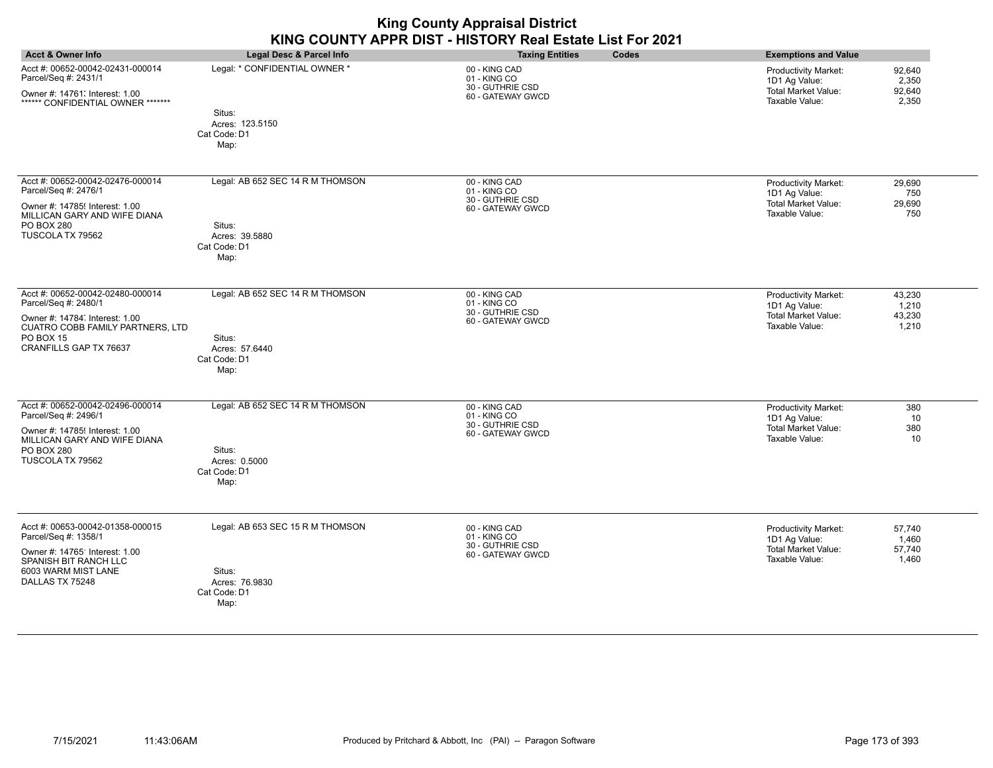|                                                                                                                                                                      |                                                                                      | <b>King County Appraisal District</b><br>KING COUNTY APPR DIST - HISTORY Real Estate List For 2021 |                                                                                                                             |
|----------------------------------------------------------------------------------------------------------------------------------------------------------------------|--------------------------------------------------------------------------------------|----------------------------------------------------------------------------------------------------|-----------------------------------------------------------------------------------------------------------------------------|
| <b>Acct &amp; Owner Info</b>                                                                                                                                         | Legal Desc & Parcel Info                                                             | <b>Taxing Entities</b><br>Codes                                                                    | <b>Exemptions and Value</b>                                                                                                 |
| Acct #: 00652-00042-02431-000014<br>Parcel/Seq #: 2431/1<br>Owner #: 14761; Interest: 1.00<br>****** CONFIDENTIAL OWNER *******                                      | Legal: * CONFIDENTIAL OWNER *                                                        | 00 - KING CAD<br>01 - KING CO<br>30 - GUTHRIE CSD<br>60 - GATEWAY GWCD                             | Productivity Market:<br>92,640<br>1D1 Ag Value:<br>2,350<br><b>Total Market Value:</b><br>92,640<br>Taxable Value:<br>2,350 |
|                                                                                                                                                                      | Situs:<br>Acres: 123.5150<br>Cat Code: D1<br>Map:                                    |                                                                                                    |                                                                                                                             |
| Acct #: 00652-00042-02476-000014<br>Parcel/Seq #: 2476/1<br>Owner #: 14785! Interest: 1.00<br>MILLICAN GARY AND WIFE DIANA                                           | Legal: AB 652 SEC 14 R M THOMSON                                                     | 00 - KING CAD<br>01 - KING CO<br>30 - GUTHRIE CSD<br>60 - GATEWAY GWCD                             | Productivity Market:<br>29,690<br>1D1 Ag Value:<br>750<br><b>Total Market Value:</b><br>29,690<br>Taxable Value:<br>750     |
| PO BOX 280<br>TUSCOLA TX 79562                                                                                                                                       | Situs:<br>Acres: 39.5880<br>Cat Code: D1<br>Map:                                     |                                                                                                    |                                                                                                                             |
| Acct #: 00652-00042-02480-000014<br>Parcel/Seq #: 2480/1<br>Owner #: 14784 Interest: 1.00<br>CUATRO COBB FAMILY PARTNERS, LTD<br>PO BOX 15<br>CRANFILLS GAP TX 76637 | Legal: AB 652 SEC 14 R M THOMSON<br>Situs:<br>Acres: 57.6440<br>Cat Code: D1<br>Map: | 00 - KING CAD<br>01 - KING CO<br>30 - GUTHRIE CSD<br>60 - GATEWAY GWCD                             | 43,230<br>Productivity Market:<br>1D1 Ag Value:<br>1,210<br><b>Total Market Value:</b><br>43,230<br>Taxable Value:<br>1,210 |
| Acct #: 00652-00042-02496-000014<br>Parcel/Seq #: 2496/1<br>Owner #: 14785! Interest: 1.00<br>MILLICAN GARY AND WIFE DIANA<br><b>PO BOX 280</b><br>TUSCOLA TX 79562  | Legal: AB 652 SEC 14 R M THOMSON<br>Situs:<br>Acres: 0.5000<br>Cat Code: D1<br>Map:  | 00 - KING CAD<br>01 - KING CO<br>30 - GUTHRIE CSD<br>60 - GATEWAY GWCD                             | Productivity Market:<br>380<br>1D1 Ag Value:<br>10<br><b>Total Market Value:</b><br>380<br>Taxable Value:<br>10             |
| Acct #: 00653-00042-01358-000015<br>Parcel/Seq #: 1358/1<br>Owner #: 14765' Interest: 1.00<br>SPANISH BIT RANCH LLC<br>6003 WARM MIST LANE<br>DALLAS TX 75248        | Legal: AB 653 SEC 15 R M THOMSON<br>Situs:<br>Acres: 76.9830<br>Cat Code: D1<br>Map: | 00 - KING CAD<br>01 - KING CO<br>30 - GUTHRIE CSD<br>60 - GATEWAY GWCD                             | 57,740<br>Productivity Market:<br>1D1 Ag Value:<br>1,460<br><b>Total Market Value:</b><br>57,740<br>Taxable Value:<br>1,460 |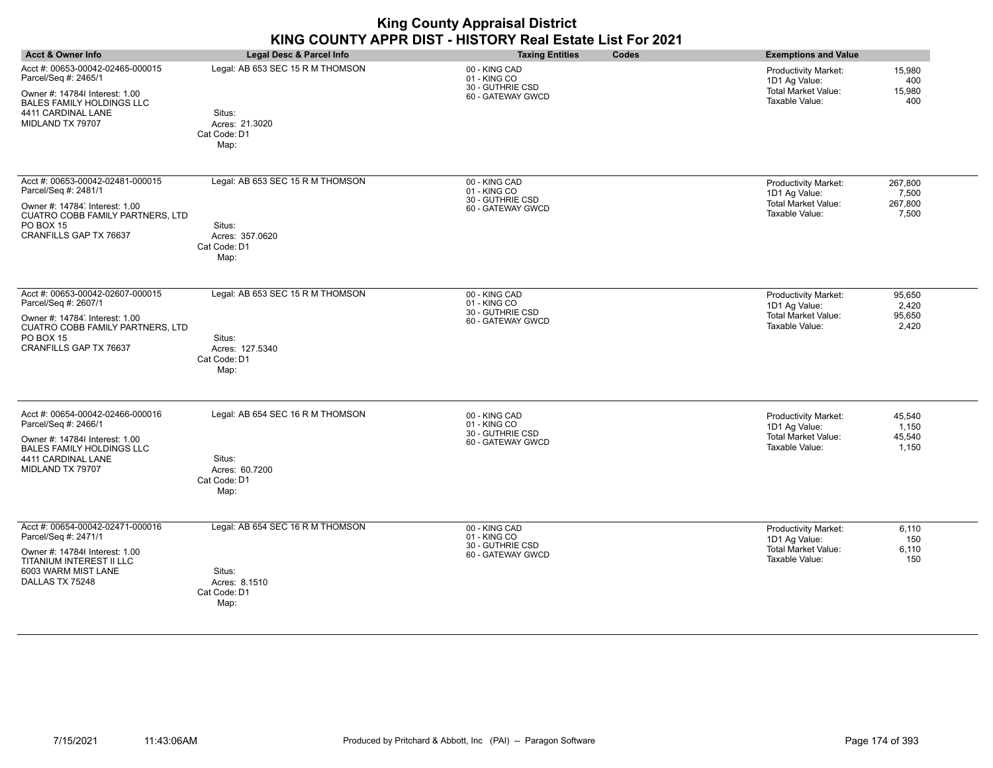| <b>Acct &amp; Owner Info</b>                                                                                                                                                       | Legal Desc & Parcel Info                                                              | <b>Taxing Entities</b><br>Codes                                        | <b>Exemptions and Value</b>                                                                                                        |
|------------------------------------------------------------------------------------------------------------------------------------------------------------------------------------|---------------------------------------------------------------------------------------|------------------------------------------------------------------------|------------------------------------------------------------------------------------------------------------------------------------|
| Acct #: 00653-00042-02465-000015<br>Parcel/Seq #: 2465/1<br>Owner #: 14784 Interest: 1.00<br><b>BALES FAMILY HOLDINGS LLC</b><br>4411 CARDINAL LANE<br>MIDLAND TX 79707            | Legal: AB 653 SEC 15 R M THOMSON<br>Situs:<br>Acres: 21.3020<br>Cat Code: D1<br>Map:  | 00 - KING CAD<br>01 - KING CO<br>30 - GUTHRIE CSD<br>60 - GATEWAY GWCD | 15,980<br>Productivity Market:<br>1D1 Ag Value:<br>400<br><b>Total Market Value:</b><br>15,980<br>Taxable Value:<br>400            |
| Acct #: 00653-00042-02481-000015<br>Parcel/Seq #: 2481/1<br>Owner #: 14784 Interest: 1.00<br>CUATRO COBB FAMILY PARTNERS, LTD<br>PO BOX 15<br>CRANFILLS GAP TX 76637               | Legal: AB 653 SEC 15 R M THOMSON<br>Situs:<br>Acres: 357.0620<br>Cat Code: D1<br>Map: | 00 - KING CAD<br>01 - KING CO<br>30 - GUTHRIE CSD<br>60 - GATEWAY GWCD | Productivity Market:<br>267,800<br>1D1 Ag Value:<br>7,500<br><b>Total Market Value:</b><br>267,800<br>Taxable Value:<br>7,500      |
| Acct #: 00653-00042-02607-000015<br>Parcel/Seq #: 2607/1<br>Owner #: 14784 Interest: 1.00<br>CUATRO COBB FAMILY PARTNERS, LTD<br><b>PO BOX 15</b><br><b>CRANFILLS GAP TX 76637</b> | Legal: AB 653 SEC 15 R M THOMSON<br>Situs:<br>Acres: 127.5340<br>Cat Code: D1<br>Map: | 00 - KING CAD<br>01 - KING CO<br>30 - GUTHRIE CSD<br>60 - GATEWAY GWCD | 95,650<br><b>Productivity Market:</b><br>1D1 Ag Value:<br>2,420<br><b>Total Market Value:</b><br>95,650<br>Taxable Value:<br>2,420 |
| Acct #: 00654-00042-02466-000016<br>Parcel/Seq #: 2466/1<br>Owner #: 14784 Interest: 1.00<br><b>BALES FAMILY HOLDINGS LLC</b><br>4411 CARDINAL LANE<br>MIDLAND TX 79707            | Legal: AB 654 SEC 16 R M THOMSON<br>Situs:<br>Acres: 60.7200<br>Cat Code: D1<br>Map:  | 00 - KING CAD<br>01 - KING CO<br>30 - GUTHRIE CSD<br>60 - GATEWAY GWCD | <b>Productivity Market:</b><br>45,540<br>1,150<br>1D1 Ag Value:<br><b>Total Market Value:</b><br>45,540<br>Taxable Value:<br>1,150 |
| Acct #: 00654-00042-02471-000016<br>Parcel/Seq #: 2471/1<br>Owner #: 14784( Interest: 1.00<br>TITANIUM INTEREST II LLC<br>6003 WARM MIST LANE<br>DALLAS TX 75248                   | Legal: AB 654 SEC 16 R M THOMSON<br>Situs:<br>Acres: 8.1510<br>Cat Code: D1<br>Map:   | 00 - KING CAD<br>01 - KING CO<br>30 - GUTHRIE CSD<br>60 - GATEWAY GWCD | <b>Productivity Market:</b><br>6,110<br>1D1 Ag Value:<br>150<br><b>Total Market Value:</b><br>6,110<br>Taxable Value:<br>150       |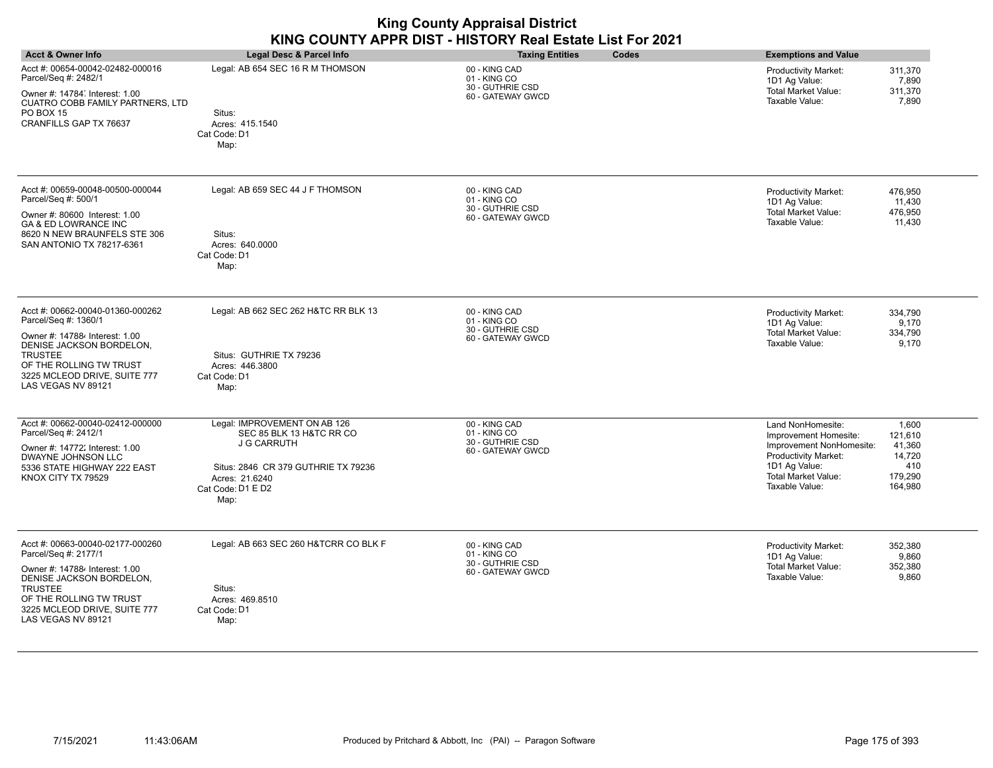| <b>Acct &amp; Owner Info</b>                                                                                                                                                                                              | <b>Legal Desc &amp; Parcel Info</b>                                                                                                                                  | <b>Taxing Entities</b><br><b>Codes</b>                                 | <b>Exemptions and Value</b>                                                                                                                                                                                                   |
|---------------------------------------------------------------------------------------------------------------------------------------------------------------------------------------------------------------------------|----------------------------------------------------------------------------------------------------------------------------------------------------------------------|------------------------------------------------------------------------|-------------------------------------------------------------------------------------------------------------------------------------------------------------------------------------------------------------------------------|
|                                                                                                                                                                                                                           |                                                                                                                                                                      |                                                                        |                                                                                                                                                                                                                               |
| Acct #: 00654-00042-02482-000016<br>Parcel/Seq #: 2482/1<br>Owner #: 14784, Interest: 1.00<br>CUATRO COBB FAMILY PARTNERS, LTD<br>PO BOX 15<br>CRANFILLS GAP TX 76637                                                     | Legal: AB 654 SEC 16 R M THOMSON<br>Situs:<br>Acres: 415.1540<br>Cat Code: D1<br>Map:                                                                                | 00 - KING CAD<br>01 - KING CO<br>30 - GUTHRIE CSD<br>60 - GATEWAY GWCD | 311,370<br><b>Productivity Market:</b><br>1D1 Ag Value:<br>7,890<br><b>Total Market Value:</b><br>311,370<br>Taxable Value:<br>7,890                                                                                          |
| Acct #: 00659-00048-00500-000044<br>Parcel/Seq #: 500/1<br>Owner #: 80600 Interest: 1.00<br>GA & ED LOWRANCE INC<br>8620 N NEW BRAUNFELS STE 306<br>SAN ANTONIO TX 78217-6361                                             | Legal: AB 659 SEC 44 J F THOMSON<br>Situs:<br>Acres: 640,0000<br>Cat Code: D1<br>Map:                                                                                | 00 - KING CAD<br>01 - KING CO<br>30 - GUTHRIE CSD<br>60 - GATEWAY GWCD | Productivity Market:<br>476,950<br>11,430<br>1D1 Ag Value:<br>Total Market Value:<br>476,950<br>Taxable Value:<br>11,430                                                                                                      |
| Acct #: 00662-00040-01360-000262<br>Parcel/Seq #: 1360/1<br>Owner #: 147884 Interest: 1.00<br>DENISE JACKSON BORDELON,<br>TRUSTEE<br>OF THE ROLLING TW TRUST<br>3225 MCLEOD DRIVE, SUITE 777<br>LAS VEGAS NV 89121        | Legal: AB 662 SEC 262 H&TC RR BLK 13<br>Situs: GUTHRIE TX 79236<br>Acres: 446.3800<br>Cat Code: D1<br>Map:                                                           | 00 - KING CAD<br>01 - KING CO<br>30 - GUTHRIE CSD<br>60 - GATEWAY GWCD | 334,790<br>Productivity Market:<br>1D1 Ag Value:<br>9,170<br><b>Total Market Value:</b><br>334,790<br>Taxable Value:<br>9,170                                                                                                 |
| Acct #: 00662-00040-02412-000000<br>Parcel/Seq #: 2412/1<br>Owner #: 14772; Interest: 1.00<br>DWAYNE JOHNSON LLC<br>5336 STATE HIGHWAY 222 EAST<br>KNOX CITY TX 79529                                                     | Legal: IMPROVEMENT ON AB 126<br>SEC 85 BLK 13 H&TC RR CO<br><b>J G CARRUTH</b><br>Situs: 2846 CR 379 GUTHRIE TX 79236<br>Acres: 21.6240<br>Cat Code: D1 E D2<br>Map: | 00 - KING CAD<br>01 - KING CO<br>30 - GUTHRIE CSD<br>60 - GATEWAY GWCD | Land NonHomesite:<br>1,600<br>Improvement Homesite:<br>121,610<br>Improvement NonHomesite:<br>41,360<br>Productivity Market:<br>14,720<br>1D1 Ag Value:<br>410<br>Total Market Value:<br>179,290<br>Taxable Value:<br>164,980 |
| Acct #: 00663-00040-02177-000260<br>Parcel/Seq #: 2177/1<br>Owner #: 147884 Interest: 1.00<br>DENISE JACKSON BORDELON,<br><b>TRUSTEE</b><br>OF THE ROLLING TW TRUST<br>3225 MCLEOD DRIVE, SUITE 777<br>LAS VEGAS NV 89121 | Legal: AB 663 SEC 260 H&TCRR CO BLK F<br>Situs:<br>Acres: 469.8510<br>Cat Code: D1<br>Map:                                                                           | 00 - KING CAD<br>01 - KING CO<br>30 - GUTHRIE CSD<br>60 - GATEWAY GWCD | 352,380<br><b>Productivity Market:</b><br>1D1 Ag Value:<br>9,860<br><b>Total Market Value:</b><br>352,380<br>Taxable Value:<br>9,860                                                                                          |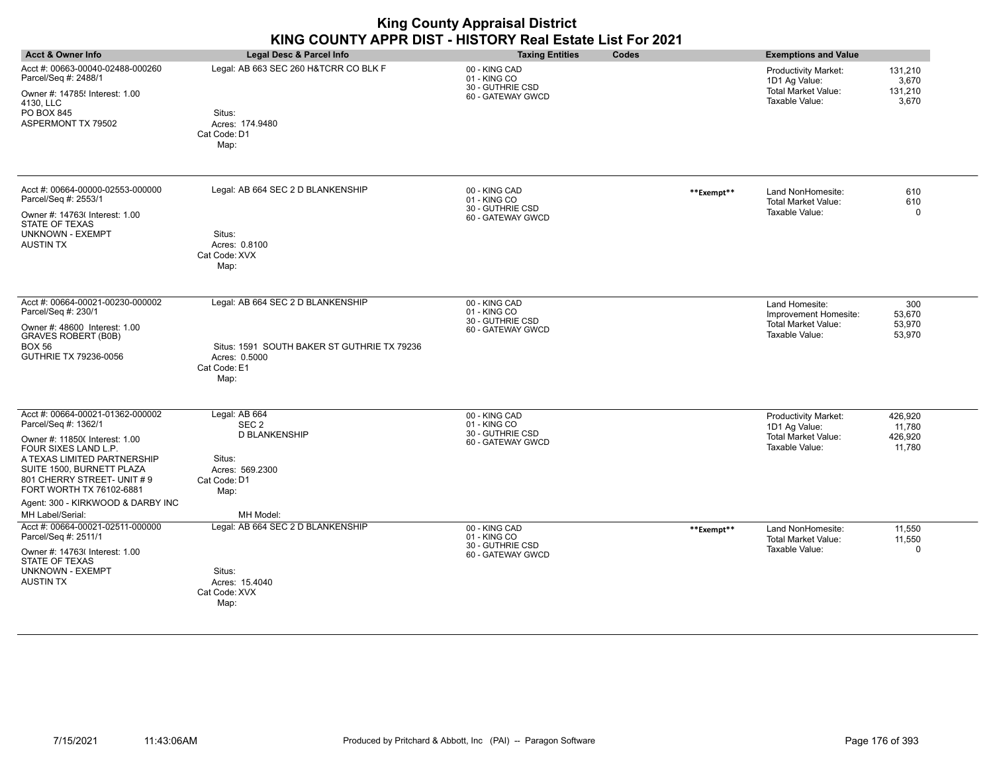| <b>Acct &amp; Owner Info</b>                                                                                                                                                                                                             | Legal Desc & Parcel Info                                                                                                  | <b>Taxing Entities</b>                                                 | Codes      | <b>Exemptions and Value</b>                                                                  |                                        |
|------------------------------------------------------------------------------------------------------------------------------------------------------------------------------------------------------------------------------------------|---------------------------------------------------------------------------------------------------------------------------|------------------------------------------------------------------------|------------|----------------------------------------------------------------------------------------------|----------------------------------------|
| Acct #: 00663-00040-02488-000260<br>Parcel/Seq #: 2488/1<br>Owner #: 14785! Interest: 1.00<br>4130, LLC<br>PO BOX 845<br>ASPERMONT TX 79502                                                                                              | Legal: AB 663 SEC 260 H&TCRR CO BLK F<br>Situs:<br>Acres: 174.9480<br>Cat Code: D1<br>Map:                                | 00 - KING CAD<br>01 - KING CO<br>30 - GUTHRIE CSD<br>60 - GATEWAY GWCD |            | <b>Productivity Market:</b><br>1D1 Ag Value:<br>Total Market Value:<br>Taxable Value:        | 131,210<br>3,670<br>131,210<br>3,670   |
| Acct #: 00664-00000-02553-000000<br>Parcel/Seq #: 2553/1<br>Owner #: 14763( Interest: 1.00<br><b>STATE OF TEXAS</b><br><b>UNKNOWN - EXEMPT</b><br><b>AUSTIN TX</b>                                                                       | Legal: AB 664 SEC 2 D BLANKENSHIP<br>Situs:<br>Acres: 0.8100<br>Cat Code: XVX<br>Map:                                     | 00 - KING CAD<br>01 - KING CO<br>30 - GUTHRIE CSD<br>60 - GATEWAY GWCD | **Exempt** | Land NonHomesite:<br><b>Total Market Value:</b><br>Taxable Value:                            | 610<br>610<br>0                        |
| Acct #: 00664-00021-00230-000002<br>Parcel/Seq #: 230/1<br>Owner #: 48600 Interest: 1.00<br><b>GRAVES ROBERT (B0B)</b><br>BOX 56<br>GUTHRIE TX 79236-0056                                                                                | Legal: AB 664 SEC 2 D BLANKENSHIP<br>Situs: 1591 SOUTH BAKER ST GUTHRIE TX 79236<br>Acres: 0.5000<br>Cat Code: E1<br>Map: | 00 - KING CAD<br>01 - KING CO<br>30 - GUTHRIE CSD<br>60 - GATEWAY GWCD |            | Land Homesite:<br>Improvement Homesite:<br><b>Total Market Value:</b><br>Taxable Value:      | 300<br>53,670<br>53,970<br>53,970      |
| Acct #: 00664-00021-01362-000002<br>Parcel/Seq #: 1362/1<br>Owner #: 11850( Interest: 1.00<br>FOUR SIXES LAND L.P.<br>A TEXAS LIMITED PARTNERSHIP<br>SUITE 1500, BURNETT PLAZA<br>801 CHERRY STREET- UNIT #9<br>FORT WORTH TX 76102-6881 | Legal: AB 664<br>SEC <sub>2</sub><br><b>D BLANKENSHIP</b><br>Situs:<br>Acres: 569.2300<br>Cat Code: D1<br>Map:            | 00 - KING CAD<br>01 - KING CO<br>30 - GUTHRIE CSD<br>60 - GATEWAY GWCD |            | <b>Productivity Market:</b><br>1D1 Ag Value:<br><b>Total Market Value:</b><br>Taxable Value: | 426,920<br>11,780<br>426,920<br>11,780 |
| Agent: 300 - KIRKWOOD & DARBY INC<br>MH Label/Serial:<br>Acct #: 00664-00021-02511-000000<br>Parcel/Seq #: 2511/1<br>Owner #: 14763( Interest: 1.00<br><b>STATE OF TEXAS</b><br><b>UNKNOWN - EXEMPT</b><br><b>AUSTIN TX</b>              | MH Model:<br>Legal: AB 664 SEC 2 D BLANKENSHIP<br>Situs:<br>Acres: 15.4040<br>Cat Code: XVX<br>Map:                       | 00 - KING CAD<br>01 - KING CO<br>30 - GUTHRIE CSD<br>60 - GATEWAY GWCD | **Exempt** | Land NonHomesite:<br>Total Market Value:<br>Taxable Value:                                   | 11,550<br>11,550<br>$\mathbf 0$        |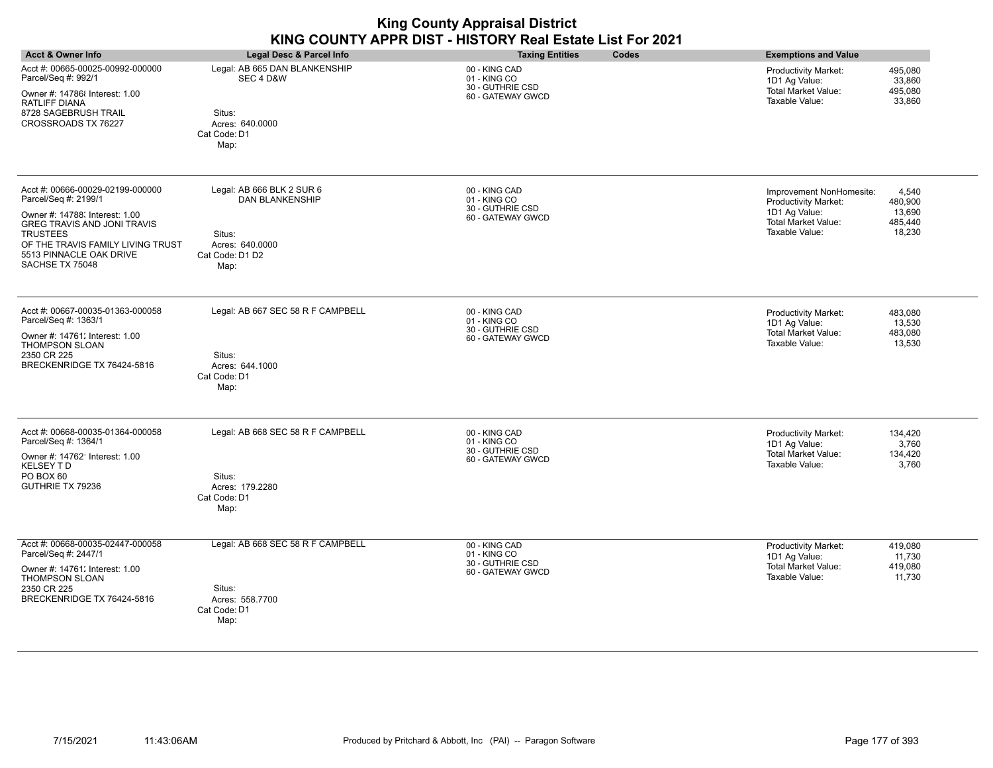| <b>Acct &amp; Owner Info</b>                                                                                                                                                                                             | Legal Desc & Parcel Info                                                                                    | <b>Taxing Entities</b><br>Codes                                        | <b>Exemptions and Value</b>                                                                                                                                   |
|--------------------------------------------------------------------------------------------------------------------------------------------------------------------------------------------------------------------------|-------------------------------------------------------------------------------------------------------------|------------------------------------------------------------------------|---------------------------------------------------------------------------------------------------------------------------------------------------------------|
| Acct #: 00665-00025-00992-000000<br>Parcel/Seq #: 992/1<br>Owner #: 14786 Interest: 1.00<br>RATLIFF DIANA<br>8728 SAGEBRUSH TRAIL<br>CROSSROADS TX 76227                                                                 | Legal: AB 665 DAN BLANKENSHIP<br>SEC 4 D&W<br>Situs:<br>Acres: 640.0000<br>Cat Code: D1<br>Map:             | 00 - KING CAD<br>01 - KING CO<br>30 - GUTHRIE CSD<br>60 - GATEWAY GWCD | 495,080<br>Productivity Market:<br>1D1 Ag Value:<br>33,860<br>Total Market Value:<br>495,080<br>Taxable Value:<br>33,860                                      |
| Acct #: 00666-00029-02199-000000<br>Parcel/Seq #: 2199/1<br>Owner #: 14788; Interest: 1.00<br>GREG TRAVIS AND JONI TRAVIS<br>TRUSTEES<br>OF THE TRAVIS FAMILY LIVING TRUST<br>5513 PINNACLE OAK DRIVE<br>SACHSE TX 75048 | Legal: AB 666 BLK 2 SUR 6<br><b>DAN BLANKENSHIP</b><br>Situs:<br>Acres: 640.0000<br>Cat Code: D1 D2<br>Map: | 00 - KING CAD<br>01 - KING CO<br>30 - GUTHRIE CSD<br>60 - GATEWAY GWCD | Improvement NonHomesite:<br>4,540<br>480,900<br>Productivity Market:<br>1D1 Ag Value:<br>13,690<br>Total Market Value:<br>485,440<br>Taxable Value:<br>18,230 |
| Acct #: 00667-00035-01363-000058<br>Parcel/Seq #: 1363/1<br>Owner #: 14761; Interest: 1.00<br>THOMPSON SLOAN<br>2350 CR 225<br>BRECKENRIDGE TX 76424-5816                                                                | Legal: AB 667 SEC 58 R F CAMPBELL<br>Situs:<br>Acres: 644.1000<br>Cat Code: D1<br>Map:                      | 00 - KING CAD<br>01 - KING CO<br>30 - GUTHRIE CSD<br>60 - GATEWAY GWCD | Productivity Market:<br>483,080<br>1D1 Ag Value:<br>13,530<br><b>Total Market Value:</b><br>483,080<br>Taxable Value:<br>13,530                               |
| Acct #: 00668-00035-01364-000058<br>Parcel/Seq #: 1364/1<br>Owner #: 14762' Interest: 1.00<br>KELSEY T D<br>PO BOX 60<br>GUTHRIE TX 79236                                                                                | Legal: AB 668 SEC 58 R F CAMPBELL<br>Situs:<br>Acres: 179.2280<br>Cat Code: D1<br>Map:                      | 00 - KING CAD<br>01 - KING CO<br>30 - GUTHRIE CSD<br>60 - GATEWAY GWCD | Productivity Market:<br>134,420<br>3,760<br>1D1 Ag Value:<br><b>Total Market Value:</b><br>134,420<br>Taxable Value:<br>3,760                                 |
| Acct #: 00668-00035-02447-000058<br>Parcel/Seq #: 2447/1<br>Owner #: 14761: Interest: 1.00<br>THOMPSON SLOAN<br>2350 CR 225<br>BRECKENRIDGE TX 76424-5816                                                                | Legal: AB 668 SEC 58 R F CAMPBELL<br>Situs:<br>Acres: 558.7700<br>Cat Code: D1<br>Map:                      | 00 - KING CAD<br>01 - KING CO<br>30 - GUTHRIE CSD<br>60 - GATEWAY GWCD | <b>Productivity Market:</b><br>419,080<br>1D1 Ag Value:<br>11,730<br><b>Total Market Value:</b><br>419,080<br>Taxable Value:<br>11,730                        |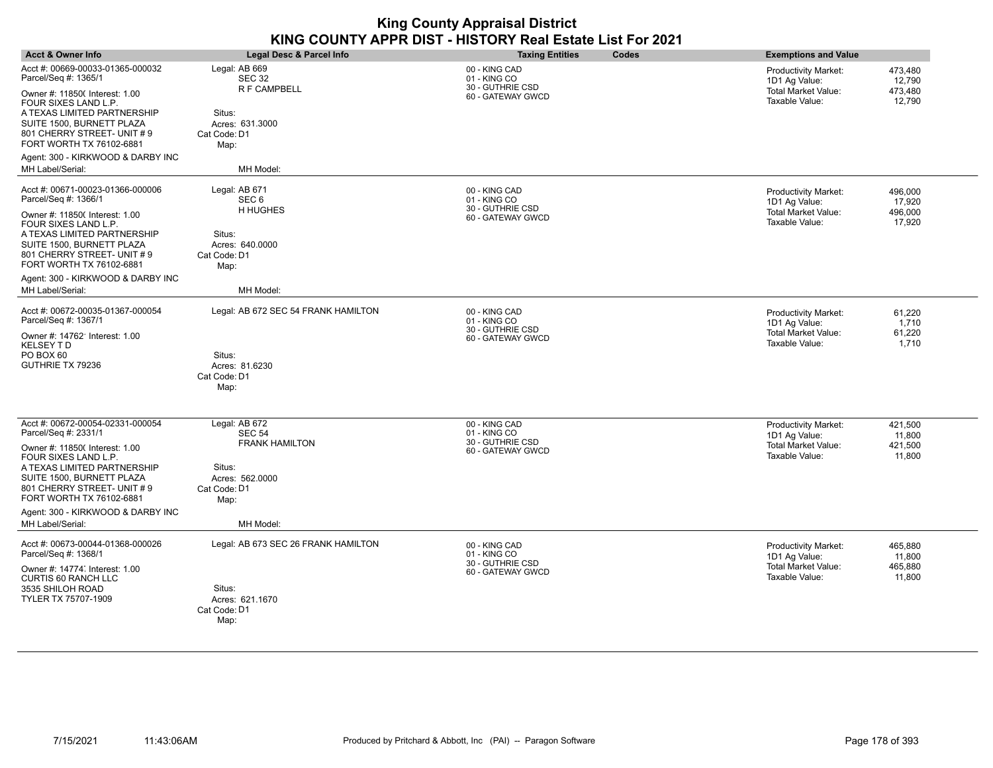| <b>Acct &amp; Owner Info</b>                                                                                                                | Legal Desc & Parcel Info                          | <b>Taxing Entities</b><br><b>Codes</b>                                 | <b>Exemptions and Value</b>                                                                  |
|---------------------------------------------------------------------------------------------------------------------------------------------|---------------------------------------------------|------------------------------------------------------------------------|----------------------------------------------------------------------------------------------|
| Acct #: 00669-00033-01365-000032<br>Parcel/Seq #: 1365/1<br>Owner #: 11850( Interest: 1.00                                                  | Legal: AB 669<br><b>SEC 32</b><br>R F CAMPBELL    | 00 - KING CAD<br>01 - KING CO<br>30 - GUTHRIE CSD<br>60 - GATEWAY GWCD | 473,480<br>Productivity Market:<br>12,790<br>1D1 Ag Value:<br>Total Market Value:<br>473,480 |
| FOUR SIXES LAND L.P.<br>A TEXAS LIMITED PARTNERSHIP<br>SUITE 1500, BURNETT PLAZA<br>801 CHERRY STREET- UNIT # 9<br>FORT WORTH TX 76102-6881 | Situs:<br>Acres: 631.3000<br>Cat Code: D1<br>Map: |                                                                        | Taxable Value:<br>12,790                                                                     |
| Agent: 300 - KIRKWOOD & DARBY INC                                                                                                           |                                                   |                                                                        |                                                                                              |
| MH Label/Serial:                                                                                                                            | MH Model:                                         |                                                                        |                                                                                              |
| Acct #: 00671-00023-01366-000006<br>Parcel/Seq #: 1366/1                                                                                    | Legal: AB 671<br>SEC <sub>6</sub>                 | 00 - KING CAD<br>01 - KING CO<br>30 - GUTHRIE CSD                      | <b>Productivity Market:</b><br>496,000<br>1D1 Ag Value:<br>17,920                            |
| Owner #: 11850( Interest: 1.00<br>FOUR SIXES LAND L.P.                                                                                      | H HUGHES                                          | 60 - GATEWAY GWCD                                                      | Total Market Value:<br>496,000<br>Taxable Value:<br>17,920                                   |
| A TEXAS LIMITED PARTNERSHIP<br>SUITE 1500, BURNETT PLAZA<br>801 CHERRY STREET- UNIT # 9<br>FORT WORTH TX 76102-6881                         | Situs:<br>Acres: 640.0000<br>Cat Code: D1<br>Map: |                                                                        |                                                                                              |
| Agent: 300 - KIRKWOOD & DARBY INC<br>MH Label/Serial:                                                                                       | MH Model:                                         |                                                                        |                                                                                              |
| Acct #: 00672-00035-01367-000054<br>Parcel/Seq #: 1367/1                                                                                    | Legal: AB 672 SEC 54 FRANK HAMILTON               | 00 - KING CAD<br>01 - KING CO                                          | 61,220<br><b>Productivity Market:</b><br>1D1 Ag Value:<br>1,710                              |
| Owner #: 14762' Interest: 1.00<br><b>KELSEY TD</b>                                                                                          |                                                   | 30 - GUTHRIE CSD<br>60 - GATEWAY GWCD                                  | <b>Total Market Value:</b><br>61,220<br>Taxable Value:<br>1,710                              |
| PO BOX 60<br>GUTHRIE TX 79236                                                                                                               | Situs:<br>Acres: 81.6230<br>Cat Code: D1<br>Map:  |                                                                        |                                                                                              |
| Acct #: 00672-00054-02331-000054                                                                                                            | Legal: AB 672                                     | 00 - KING CAD                                                          | 421,500<br><b>Productivity Market:</b>                                                       |
| Parcel/Seq #: 2331/1<br>Owner #: 11850( Interest: 1.00                                                                                      | <b>SEC 54</b><br><b>FRANK HAMILTON</b>            | 01 - KING CO<br>30 - GUTHRIE CSD<br>60 - GATEWAY GWCD                  | 11,800<br>1D1 Ag Value:<br><b>Total Market Value:</b><br>421,500                             |
| FOUR SIXES LAND L.P.<br>A TEXAS LIMITED PARTNERSHIP                                                                                         | Situs:                                            |                                                                        | Taxable Value:<br>11,800                                                                     |
| SUITE 1500, BURNETT PLAZA<br>801 CHERRY STREET- UNIT #9<br>FORT WORTH TX 76102-6881                                                         | Acres: 562.0000<br>Cat Code: D1<br>Map:           |                                                                        |                                                                                              |
| Agent: 300 - KIRKWOOD & DARBY INC                                                                                                           |                                                   |                                                                        |                                                                                              |
| <b>MH Label/Serial:</b>                                                                                                                     | MH Model:                                         |                                                                        |                                                                                              |
| Acct #: 00673-00044-01368-000026<br>Parcel/Seq #: 1368/1                                                                                    | Legal: AB 673 SEC 26 FRANK HAMILTON               | 00 - KING CAD<br>01 - KING CO                                          | <b>Productivity Market:</b><br>465,880<br>1D1 Ag Value:<br>11,800                            |
| Owner #: 14774: Interest: 1.00<br><b>CURTIS 60 RANCH LLC</b>                                                                                |                                                   | 30 - GUTHRIE CSD<br>60 - GATEWAY GWCD                                  | <b>Total Market Value:</b><br>465,880<br>Taxable Value:<br>11,800                            |
| 3535 SHILOH ROAD<br>TYLER TX 75707-1909                                                                                                     | Situs:<br>Acres: 621.1670<br>Cat Code: D1<br>Map: |                                                                        |                                                                                              |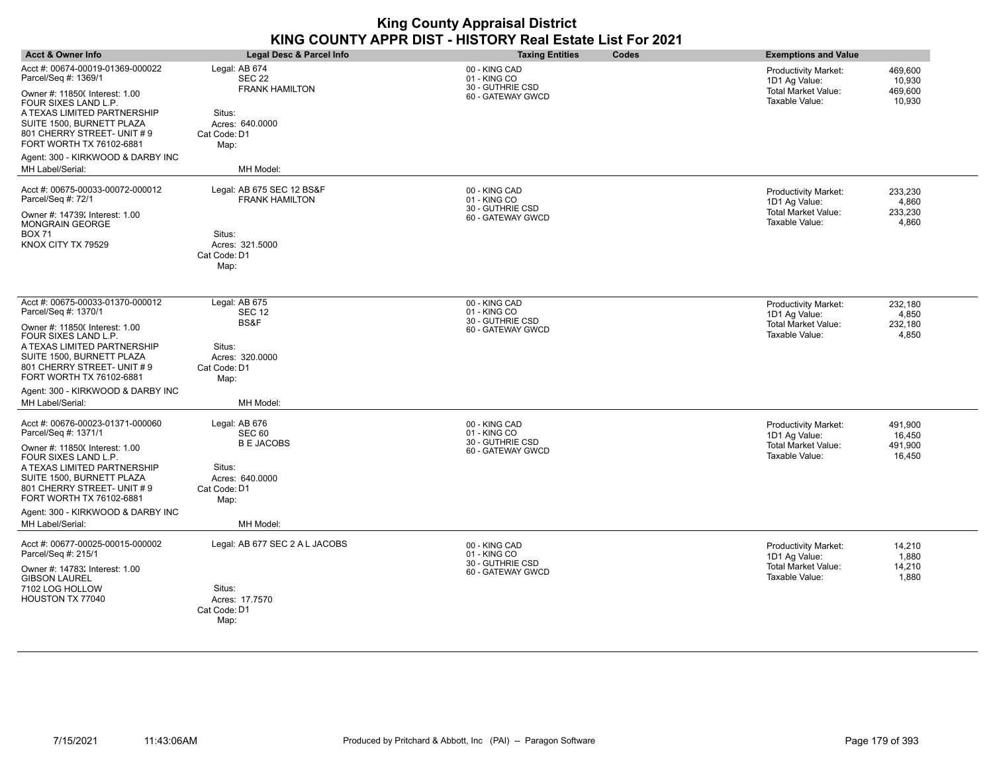| <b>Acct &amp; Owner Info</b>                                                                                        | Legal Desc & Parcel Info                           | <b>Taxing Entities</b><br>Codes       | <b>Exemptions and Value</b>                                                                |
|---------------------------------------------------------------------------------------------------------------------|----------------------------------------------------|---------------------------------------|--------------------------------------------------------------------------------------------|
| Acct #: 00674-00019-01369-000022<br>Parcel/Seq #: 1369/1                                                            | Legal: AB 674<br><b>SEC 22</b>                     | 00 - KING CAD<br>01 - KING CO         | <b>Productivity Market:</b><br>469,600<br>1D1 Ag Value:<br>10,930                          |
| Owner #: 11850( Interest: 1.00<br>FOUR SIXES LAND L.P.                                                              | <b>FRANK HAMILTON</b>                              | 30 - GUTHRIE CSD<br>60 - GATEWAY GWCD | Total Market Value:<br>469,600<br>Taxable Value:<br>10,930                                 |
| A TEXAS LIMITED PARTNERSHIP<br>SUITE 1500, BURNETT PLAZA<br>801 CHERRY STREET- UNIT # 9<br>FORT WORTH TX 76102-6881 | Situs:<br>Acres: 640,0000<br>Cat Code: D1<br>Map:  |                                       |                                                                                            |
| Agent: 300 - KIRKWOOD & DARBY INC<br>MH Label/Serial:                                                               | MH Model:                                          |                                       |                                                                                            |
| Acct #: 00675-00033-00072-000012<br>Parcel/Seq #: 72/1                                                              | Legal: AB 675 SEC 12 BS&F<br><b>FRANK HAMILTON</b> | 00 - KING CAD<br>01 - KING CO         | 233,230<br><b>Productivity Market:</b><br>4,860<br>1D1 Ag Value:                           |
| Owner #: 14739; Interest: 1.00<br>MONGRAIN GEORGE                                                                   |                                                    | 30 - GUTHRIE CSD<br>60 - GATEWAY GWCD | Total Market Value:<br>233,230<br>Taxable Value:<br>4,860                                  |
| BOX 71<br>KNOX CITY TX 79529                                                                                        | Situs:<br>Acres: 321.5000<br>Cat Code: D1<br>Map:  |                                       |                                                                                            |
| Acct #: 00675-00033-01370-000012<br>Parcel/Seq #: 1370/1                                                            | Legal: AB 675<br><b>SEC 12</b>                     | 00 - KING CAD<br>01 - KING CO         | <b>Productivity Market:</b><br>232,180                                                     |
| Owner #: 11850( Interest: 1.00<br>FOUR SIXES LAND L.P.                                                              | BS&F                                               | 30 - GUTHRIE CSD<br>60 - GATEWAY GWCD | 1D1 Ag Value:<br>4,850<br><b>Total Market Value:</b><br>232,180<br>Taxable Value:<br>4,850 |
| A TEXAS LIMITED PARTNERSHIP<br>SUITE 1500, BURNETT PLAZA<br>801 CHERRY STREET- UNIT # 9<br>FORT WORTH TX 76102-6881 | Situs:<br>Acres: 320,0000<br>Cat Code: D1<br>Map:  |                                       |                                                                                            |
| Agent: 300 - KIRKWOOD & DARBY INC                                                                                   |                                                    |                                       |                                                                                            |
| MH Label/Serial:                                                                                                    | MH Model:                                          |                                       |                                                                                            |
| Acct #: 00676-00023-01371-000060<br>Parcel/Seq #: 1371/1                                                            | Legal: AB 676<br><b>SEC 60</b>                     | 00 - KING CAD<br>01 - KING CO         | <b>Productivity Market:</b><br>491,900<br>1D1 Ag Value:<br>16,450                          |
| Owner #: 11850( Interest: 1.00<br>FOUR SIXES LAND L.P.                                                              | <b>B E JACOBS</b>                                  | 30 - GUTHRIE CSD<br>60 - GATEWAY GWCD | 491,900<br>Total Market Value:<br>Taxable Value:<br>16,450                                 |
| A TEXAS LIMITED PARTNERSHIP<br>SUITE 1500, BURNETT PLAZA                                                            | Situs:<br>Acres: 640,0000                          |                                       |                                                                                            |
| 801 CHERRY STREET- UNIT # 9<br>FORT WORTH TX 76102-6881                                                             | Cat Code: D1<br>Map:                               |                                       |                                                                                            |
| Agent: 300 - KIRKWOOD & DARBY INC                                                                                   |                                                    |                                       |                                                                                            |
| MH Label/Serial:                                                                                                    | MH Model:                                          |                                       |                                                                                            |
| Acct #: 00677-00025-00015-000002<br>Parcel/Seq #: 215/1                                                             | Legal: AB 677 SEC 2 A L JACOBS                     | 00 - KING CAD<br>01 - KING CO         | 14,210<br><b>Productivity Market:</b><br>1,880<br>1D1 Ag Value:                            |
| Owner #: 14783' Interest: 1.00<br>GIBSON LAUREL                                                                     |                                                    | 30 - GUTHRIE CSD<br>60 - GATEWAY GWCD | Total Market Value:<br>14,210<br>Taxable Value:<br>1,880                                   |
| 7102 LOG HOLLOW<br>HOUSTON TX 77040                                                                                 | Situs:<br>Acres: 17.7570<br>Cat Code: D1           |                                       |                                                                                            |
|                                                                                                                     | Map:                                               |                                       |                                                                                            |

÷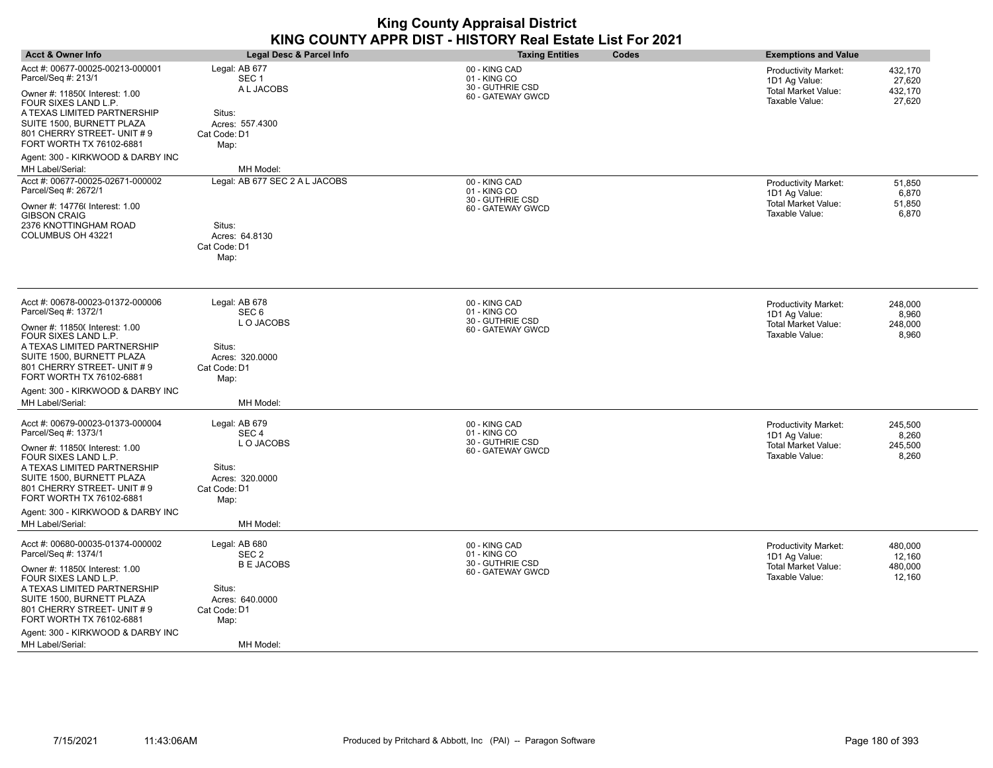| <b>Acct &amp; Owner Info</b>                                                                                                                                                                                                                                                                       | Legal Desc & Parcel Info                                                                                                 | <b>Taxing Entities</b>                                                 | <b>Codes</b> | <b>Exemptions and Value</b>                                                                  |                                        |
|----------------------------------------------------------------------------------------------------------------------------------------------------------------------------------------------------------------------------------------------------------------------------------------------------|--------------------------------------------------------------------------------------------------------------------------|------------------------------------------------------------------------|--------------|----------------------------------------------------------------------------------------------|----------------------------------------|
| Acct #: 00677-00025-00213-000001<br>Parcel/Seq #: 213/1<br>Owner #: 11850( Interest: 1.00<br>FOUR SIXES LAND L.P.<br>A TEXAS LIMITED PARTNERSHIP<br>SUITE 1500, BURNETT PLAZA<br>801 CHERRY STREET- UNIT # 9<br>FORT WORTH TX 76102-6881<br>Agent: 300 - KIRKWOOD & DARBY INC                      | Legal: AB 677<br>SEC <sub>1</sub><br>A L JACOBS<br>Situs:<br>Acres: 557.4300<br>Cat Code: D1<br>Map:                     | 00 - KING CAD<br>01 - KING CO<br>30 - GUTHRIE CSD<br>60 - GATEWAY GWCD |              | <b>Productivity Market:</b><br>1D1 Ag Value:<br>Total Market Value:<br>Taxable Value:        | 432,170<br>27,620<br>432,170<br>27,620 |
| MH Label/Serial:                                                                                                                                                                                                                                                                                   | MH Model:                                                                                                                |                                                                        |              |                                                                                              |                                        |
| Acct #: 00677-00025-02671-000002<br>Parcel/Seq #: 2672/1<br>Owner #: 14776(Interest: 1.00<br><b>GIBSON CRAIG</b><br>2376 KNOTTINGHAM ROAD<br>COLUMBUS OH 43221                                                                                                                                     | Legal: AB 677 SEC 2 A L JACOBS<br>Situs:<br>Acres: 64.8130<br>Cat Code: D1<br>Map:                                       | 00 - KING CAD<br>01 - KING CO<br>30 - GUTHRIE CSD<br>60 - GATEWAY GWCD |              | <b>Productivity Market:</b><br>1D1 Ag Value:<br>Total Market Value:<br>Taxable Value:        | 51,850<br>6,870<br>51,850<br>6,870     |
| Acct #: 00678-00023-01372-000006<br>Parcel/Seq #: 1372/1<br>Owner #: 11850( Interest: 1.00<br>FOUR SIXES LAND L.P.<br>A TEXAS LIMITED PARTNERSHIP<br>SUITE 1500, BURNETT PLAZA<br>801 CHERRY STREET- UNIT # 9<br>FORT WORTH TX 76102-6881<br>Agent: 300 - KIRKWOOD & DARBY INC<br>MH Label/Serial: | Legal: AB 678<br>SEC <sub>6</sub><br>LO JACOBS<br>Situs:<br>Acres: 320.0000<br>Cat Code: D1<br>Map:<br>MH Model:         | 00 - KING CAD<br>01 - KING CO<br>30 - GUTHRIE CSD<br>60 - GATEWAY GWCD |              | <b>Productivity Market:</b><br>1D1 Ag Value:<br>Total Market Value:<br>Taxable Value:        | 248,000<br>8,960<br>248,000<br>8,960   |
| Acct #: 00679-00023-01373-000004<br>Parcel/Seq #: 1373/1<br>Owner #: 11850( Interest: 1.00<br>FOUR SIXES LAND L.P.<br>A TEXAS LIMITED PARTNERSHIP<br>SUITE 1500, BURNETT PLAZA<br>801 CHERRY STREET- UNIT # 9<br>FORT WORTH TX 76102-6881<br>Agent: 300 - KIRKWOOD & DARBY INC<br>MH Label/Serial: | Legal: AB 679<br>SEC <sub>4</sub><br>LO JACOBS<br>Situs:<br>Acres: 320.0000<br>Cat Code: D1<br>Map:<br>MH Model:         | 00 - KING CAD<br>01 - KING CO<br>30 - GUTHRIE CSD<br>60 - GATEWAY GWCD |              | <b>Productivity Market:</b><br>1D1 Ag Value:<br><b>Total Market Value:</b><br>Taxable Value: | 245,500<br>8,260<br>245,500<br>8,260   |
| Acct #: 00680-00035-01374-000002<br>Parcel/Seq #: 1374/1<br>Owner #: 11850( Interest: 1.00<br>FOUR SIXES LAND L.P.<br>A TEXAS LIMITED PARTNERSHIP<br>SUITE 1500, BURNETT PLAZA<br>801 CHERRY STREET- UNIT # 9<br>FORT WORTH TX 76102-6881<br>Agent: 300 - KIRKWOOD & DARBY INC<br>MH Label/Serial: | Legal: AB 680<br>SEC <sub>2</sub><br><b>B E JACOBS</b><br>Situs:<br>Acres: 640.0000<br>Cat Code: D1<br>Map:<br>MH Model: | 00 - KING CAD<br>01 - KING CO<br>30 - GUTHRIE CSD<br>60 - GATEWAY GWCD |              | <b>Productivity Market:</b><br>1D1 Ag Value:<br><b>Total Market Value:</b><br>Taxable Value: | 480,000<br>12,160<br>480,000<br>12,160 |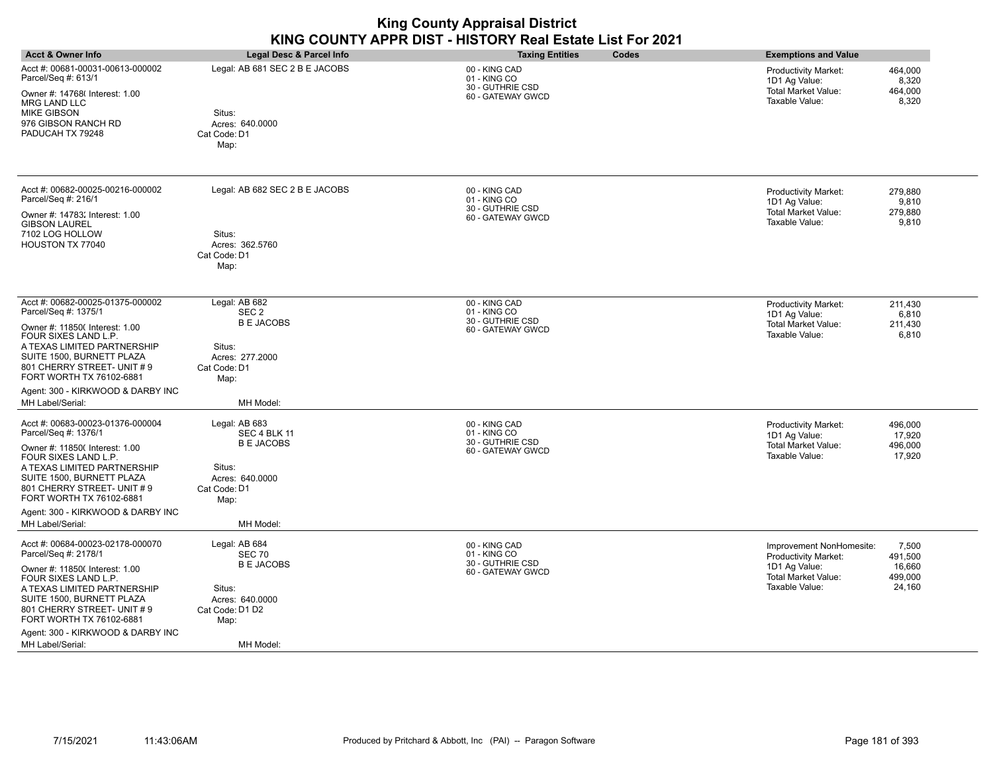| <b>Acct &amp; Owner Info</b>                                                                                                                                                                                                                                                                      | Legal Desc & Parcel Info                                                                                                 | <b>Taxing Entities</b><br>Codes                                        | <b>Exemptions and Value</b>                                                                                                                                                 |
|---------------------------------------------------------------------------------------------------------------------------------------------------------------------------------------------------------------------------------------------------------------------------------------------------|--------------------------------------------------------------------------------------------------------------------------|------------------------------------------------------------------------|-----------------------------------------------------------------------------------------------------------------------------------------------------------------------------|
| Acct #: 00681-00031-00613-000002<br>Parcel/Seq #: 613/1<br>Owner #: 14768( Interest: 1.00<br><b>MRG LAND LLC</b><br><b>MIKE GIBSON</b><br>976 GIBSON RANCH RD<br>PADUCAH TX 79248                                                                                                                 | Legal: AB 681 SEC 2 B E JACOBS<br>Situs:<br>Acres: 640.0000<br>Cat Code: D1<br>Map:                                      | 00 - KING CAD<br>01 - KING CO<br>30 - GUTHRIE CSD<br>60 - GATEWAY GWCD | 464,000<br><b>Productivity Market:</b><br>8,320<br>1D1 Ag Value:<br><b>Total Market Value:</b><br>464,000<br>Taxable Value:<br>8,320                                        |
| Acct #: 00682-00025-00216-000002<br>Parcel/Seq #: 216/1<br>Owner #: 14783; Interest: 1.00<br><b>GIBSON LAUREL</b><br>7102 LOG HOLLOW<br>HOUSTON TX 77040                                                                                                                                          | Legal: AB 682 SEC 2 B E JACOBS<br>Situs:<br>Acres: 362.5760<br>Cat Code: D1<br>Map:                                      | 00 - KING CAD<br>01 - KING CO<br>30 - GUTHRIE CSD<br>60 - GATEWAY GWCD | Productivity Market:<br>279,880<br>1D1 Ag Value:<br>9,810<br><b>Total Market Value:</b><br>279,880<br>Taxable Value:<br>9,810                                               |
| Acct #: 00682-00025-01375-000002<br>Parcel/Seq #: 1375/1<br>Owner #: 11850( Interest: 1.00<br>FOUR SIXES LAND L.P.<br>A TEXAS LIMITED PARTNERSHIP<br>SUITE 1500, BURNETT PLAZA<br>801 CHERRY STREET- UNIT #9<br>FORT WORTH TX 76102-6881<br>Agent: 300 - KIRKWOOD & DARBY INC<br>MH Label/Serial: | Legal: AB 682<br>SEC <sub>2</sub><br><b>BE JACOBS</b><br>Situs:<br>Acres: 277.2000<br>Cat Code: D1<br>Map:<br>MH Model:  | 00 - KING CAD<br>01 - KING CO<br>30 - GUTHRIE CSD<br>60 - GATEWAY GWCD | 211,430<br><b>Productivity Market:</b><br>1D1 Ag Value:<br>6,810<br>Total Market Value:<br>211,430<br>Taxable Value:<br>6,810                                               |
| Acct #: 00683-00023-01376-000004<br>Parcel/Seq #: 1376/1<br>Owner #: 118500 Interest: 1.00<br>FOUR SIXES LAND L.P.<br>A TEXAS LIMITED PARTNERSHIP<br>SUITE 1500, BURNETT PLAZA<br>801 CHERRY STREET- UNIT #9<br>FORT WORTH TX 76102-6881<br>Agent: 300 - KIRKWOOD & DARBY INC<br>MH Label/Serial: | Legal: AB 683<br>SEC 4 BLK 11<br><b>B E JACOBS</b><br>Situs:<br>Acres: 640,0000<br>Cat Code: D1<br>Map:<br>MH Model:     | 00 - KING CAD<br>01 - KING CO<br>30 - GUTHRIE CSD<br>60 - GATEWAY GWCD | 496.000<br><b>Productivity Market:</b><br>1D1 Ag Value:<br>17,920<br><b>Total Market Value:</b><br>496,000<br>Taxable Value:<br>17,920                                      |
| Acct #: 00684-00023-02178-000070<br>Parcel/Seq #: 2178/1<br>Owner #: 11850( Interest: 1.00<br>FOUR SIXES LAND L.P.<br>A TEXAS LIMITED PARTNERSHIP<br>SUITE 1500, BURNETT PLAZA<br>801 CHERRY STREET- UNIT #9<br>FORT WORTH TX 76102-6881<br>Agent: 300 - KIRKWOOD & DARBY INC<br>MH Label/Serial: | Legal: AB 684<br><b>SEC 70</b><br><b>B E JACOBS</b><br>Situs:<br>Acres: 640.0000<br>Cat Code: D1 D2<br>Map:<br>MH Model: | 00 - KING CAD<br>01 - KING CO<br>30 - GUTHRIE CSD<br>60 - GATEWAY GWCD | 7,500<br>Improvement NonHomesite:<br><b>Productivity Market:</b><br>491,500<br>1D1 Ag Value:<br>16,660<br><b>Total Market Value:</b><br>499,000<br>Taxable Value:<br>24,160 |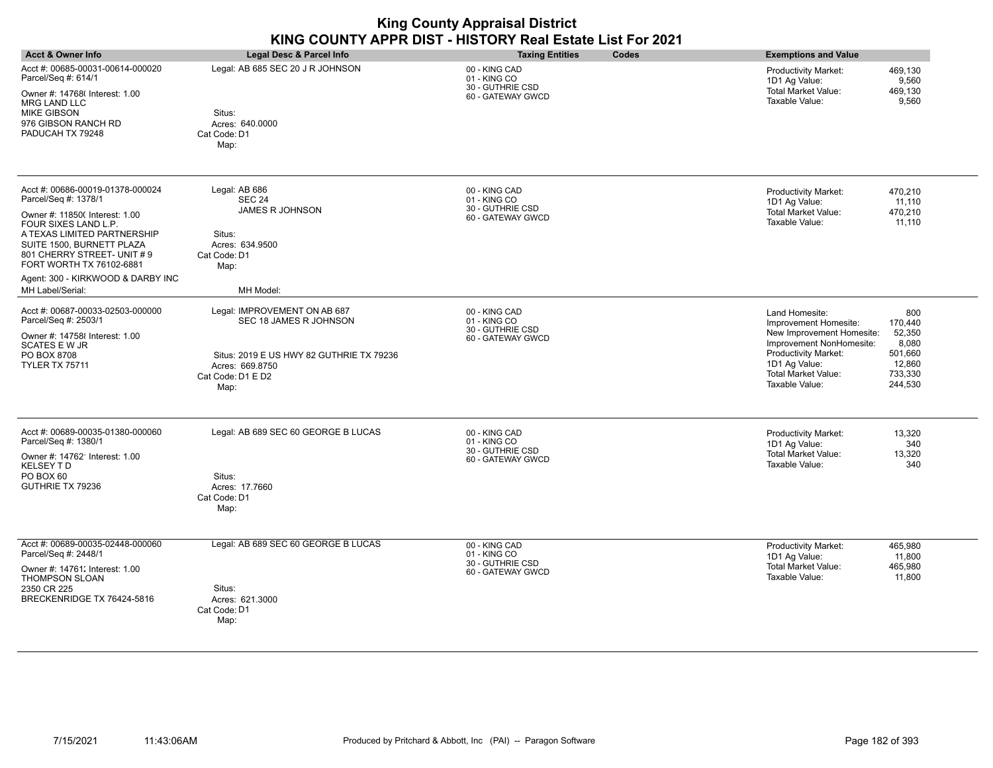| <b>Acct &amp; Owner Info</b>                                                                                                                                                                                                                                                                      | Legal Desc & Parcel Info                                                                                                                           | <b>Taxing Entities</b><br>Codes                                        | <b>Exemptions and Value</b>                                                                                                                                                                                                                                               |
|---------------------------------------------------------------------------------------------------------------------------------------------------------------------------------------------------------------------------------------------------------------------------------------------------|----------------------------------------------------------------------------------------------------------------------------------------------------|------------------------------------------------------------------------|---------------------------------------------------------------------------------------------------------------------------------------------------------------------------------------------------------------------------------------------------------------------------|
| Acct #: 00685-00031-00614-000020<br>Parcel/Seq #: 614/1<br>Owner #: 14768( Interest: 1.00<br><b>MRG LAND LLC</b><br><b>MIKE GIBSON</b><br>976 GIBSON RANCH RD<br>PADUCAH TX 79248                                                                                                                 | Legal: AB 685 SEC 20 J R JOHNSON<br>Situs:<br>Acres: 640.0000<br>Cat Code: D1<br>Map:                                                              | 00 - KING CAD<br>01 - KING CO<br>30 - GUTHRIE CSD<br>60 - GATEWAY GWCD | 469,130<br><b>Productivity Market:</b><br>1D1 Ag Value:<br>9,560<br><b>Total Market Value:</b><br>469,130<br>Taxable Value:<br>9,560                                                                                                                                      |
| Acct #: 00686-00019-01378-000024<br>Parcel/Seq #: 1378/1<br>Owner #: 118500 Interest: 1.00<br>FOUR SIXES LAND L.P.<br>A TEXAS LIMITED PARTNERSHIP<br>SUITE 1500, BURNETT PLAZA<br>801 CHERRY STREET- UNIT #9<br>FORT WORTH TX 76102-6881<br>Agent: 300 - KIRKWOOD & DARBY INC<br>MH Label/Serial: | Legal: AB 686<br><b>SEC 24</b><br>JAMES R JOHNSON<br>Situs:<br>Acres: 634.9500<br>Cat Code: D1<br>Map:<br>MH Model:                                | 00 - KING CAD<br>01 - KING CO<br>30 - GUTHRIE CSD<br>60 - GATEWAY GWCD | 470,210<br><b>Productivity Market:</b><br>1D1 Ag Value:<br>11,110<br><b>Total Market Value:</b><br>470,210<br>Taxable Value:<br>11,110                                                                                                                                    |
| Acct #: 00687-00033-02503-000000<br>Parcel/Seq #: 2503/1<br>Owner #: 14758 Interest: 1.00<br><b>SCATES E W JR</b><br>PO BOX 8708<br><b>TYLER TX 75711</b>                                                                                                                                         | Legal: IMPROVEMENT ON AB 687<br>SEC 18 JAMES R JOHNSON<br>Situs: 2019 E US HWY 82 GUTHRIE TX 79236<br>Acres: 669.8750<br>Cat Code: D1 E D2<br>Map: | 00 - KING CAD<br>01 - KING CO<br>30 - GUTHRIE CSD<br>60 - GATEWAY GWCD | 800<br>Land Homesite:<br>170,440<br>Improvement Homesite:<br>52,350<br>New Improvement Homesite:<br>Improvement NonHomesite:<br>8,080<br>501,660<br>Productivity Market:<br>1D1 Ag Value:<br>12,860<br><b>Total Market Value:</b><br>733,330<br>Taxable Value:<br>244,530 |
| Acct #: 00689-00035-01380-000060<br>Parcel/Seq #: 1380/1<br>Owner #: 14762' Interest: 1.00<br><b>KELSEY TD</b><br>PO BOX 60<br>GUTHRIE TX 79236                                                                                                                                                   | Legal: AB 689 SEC 60 GEORGE B LUCAS<br>Situs:<br>Acres: 17.7660<br>Cat Code: D1<br>Map:                                                            | 00 - KING CAD<br>01 - KING CO<br>30 - GUTHRIE CSD<br>60 - GATEWAY GWCD | Productivity Market:<br>13,320<br>1D1 Ag Value:<br>340<br><b>Total Market Value:</b><br>13,320<br>Taxable Value:<br>340                                                                                                                                                   |
| Acct #: 00689-00035-02448-000060<br>Parcel/Seq #: 2448/1<br>Owner #: 14761. Interest: 1.00<br><b>THOMPSON SLOAN</b><br>2350 CR 225<br>BRECKENRIDGE TX 76424-5816                                                                                                                                  | Legal: AB 689 SEC 60 GEORGE B LUCAS<br>Situs:<br>Acres: 621.3000<br>Cat Code: D1<br>Map:                                                           | 00 - KING CAD<br>01 - KING CO<br>30 - GUTHRIE CSD<br>60 - GATEWAY GWCD | Productivity Market:<br>465,980<br>1D1 Ag Value:<br>11,800<br><b>Total Market Value:</b><br>465.980<br>Taxable Value:<br>11,800                                                                                                                                           |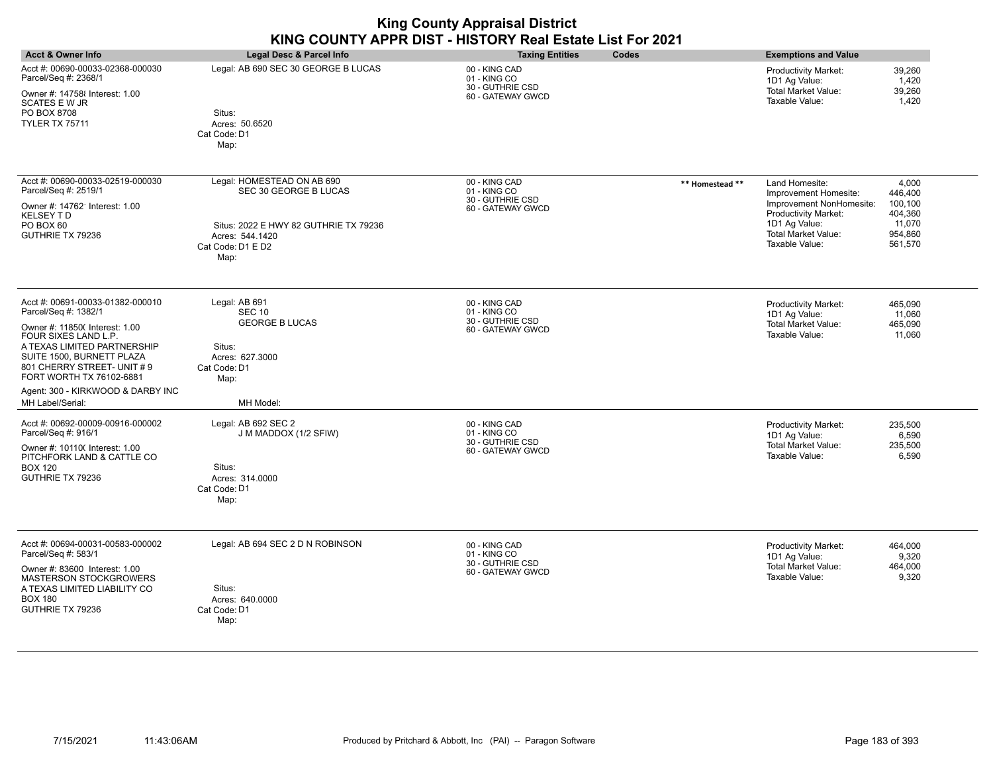| <b>Acct &amp; Owner Info</b>                                                                                                                                                                                                                                                                      | <b>Legal Desc &amp; Parcel Info</b>                                                                                                          | <b>Taxing Entities</b><br>Codes                                        |                 | <b>Exemptions and Value</b>                                                                                                                                         |                                                                        |
|---------------------------------------------------------------------------------------------------------------------------------------------------------------------------------------------------------------------------------------------------------------------------------------------------|----------------------------------------------------------------------------------------------------------------------------------------------|------------------------------------------------------------------------|-----------------|---------------------------------------------------------------------------------------------------------------------------------------------------------------------|------------------------------------------------------------------------|
| Acct #: 00690-00033-02368-000030<br>Parcel/Seq #: 2368/1<br>Owner #: 14758 Interest: 1.00<br><b>SCATES E W JR</b><br>PO BOX 8708<br><b>TYLER TX 75711</b>                                                                                                                                         | Legal: AB 690 SEC 30 GEORGE B LUCAS<br>Situs:<br>Acres: 50.6520<br>Cat Code: D1<br>Map:                                                      | 00 - KING CAD<br>01 - KING CO<br>30 - GUTHRIE CSD<br>60 - GATEWAY GWCD |                 | Productivity Market:<br>1D1 Ag Value:<br><b>Total Market Value:</b><br>Taxable Value:                                                                               | 39,260<br>1,420<br>39,260<br>1,420                                     |
| Acct #: 00690-00033-02519-000030<br>Parcel/Seq #: 2519/1<br>Owner #: 14762' Interest: 1.00<br>KELSEY T D<br>PO BOX 60<br>GUTHRIE TX 79236                                                                                                                                                         | Legal: HOMESTEAD ON AB 690<br>SEC 30 GEORGE B LUCAS<br>Situs: 2022 E HWY 82 GUTHRIE TX 79236<br>Acres: 544.1420<br>Cat Code: D1 E D2<br>Map: | 00 - KING CAD<br>01 - KING CO<br>30 - GUTHRIE CSD<br>60 - GATEWAY GWCD | ** Homestead ** | Land Homesite:<br>Improvement Homesite:<br>Improvement NonHomesite:<br><b>Productivity Market:</b><br>1D1 Ag Value:<br><b>Total Market Value:</b><br>Taxable Value: | 4,000<br>446,400<br>100,100<br>404,360<br>11,070<br>954,860<br>561,570 |
| Acct #: 00691-00033-01382-000010<br>Parcel/Seq #: 1382/1<br>Owner #: 11850( Interest: 1.00<br>FOUR SIXES LAND L.P.<br>A TEXAS LIMITED PARTNERSHIP<br>SUITE 1500. BURNETT PLAZA<br>801 CHERRY STREET- UNIT #9<br>FORT WORTH TX 76102-6881<br>Agent: 300 - KIRKWOOD & DARBY INC<br>MH Label/Serial: | Legal: AB 691<br><b>SEC 10</b><br><b>GEORGE B LUCAS</b><br>Situs:<br>Acres: 627.3000<br>Cat Code: D1<br>Map:<br>MH Model:                    | 00 - KING CAD<br>01 - KING CO<br>30 - GUTHRIE CSD<br>60 - GATEWAY GWCD |                 | Productivity Market:<br>1D1 Ag Value:<br><b>Total Market Value:</b><br>Taxable Value:                                                                               | 465,090<br>11,060<br>465,090<br>11,060                                 |
| Acct #: 00692-00009-00916-000002<br>Parcel/Seq #: 916/1<br>Owner #: 10110( Interest: 1.00<br>PITCHFORK LAND & CATTLE CO<br><b>BOX 120</b><br>GUTHRIE TX 79236                                                                                                                                     | Legal: AB 692 SEC 2<br>J M MADDOX (1/2 SFIW)<br>Situs:<br>Acres: 314.0000<br>Cat Code: D1<br>Map:                                            | 00 - KING CAD<br>01 - KING CO<br>30 - GUTHRIE CSD<br>60 - GATEWAY GWCD |                 | Productivity Market:<br>1D1 Ag Value:<br><b>Total Market Value:</b><br>Taxable Value:                                                                               | 235,500<br>6,590<br>235,500<br>6,590                                   |
| Acct #: 00694-00031-00583-000002<br>Parcel/Seq #: 583/1<br>Owner #: 83600 Interest: 1.00<br><b>MASTERSON STOCKGROWERS</b><br>A TEXAS LIMITED LIABILITY CO<br><b>BOX 180</b><br>GUTHRIE TX 79236                                                                                                   | Legal: AB 694 SEC 2 D N ROBINSON<br>Situs:<br>Acres: 640.0000<br>Cat Code: D1<br>Map:                                                        | 00 - KING CAD<br>01 - KING CO<br>30 - GUTHRIE CSD<br>60 - GATEWAY GWCD |                 | Productivity Market:<br>1D1 Ag Value:<br><b>Total Market Value:</b><br>Taxable Value:                                                                               | 464,000<br>9,320<br>464,000<br>9,320                                   |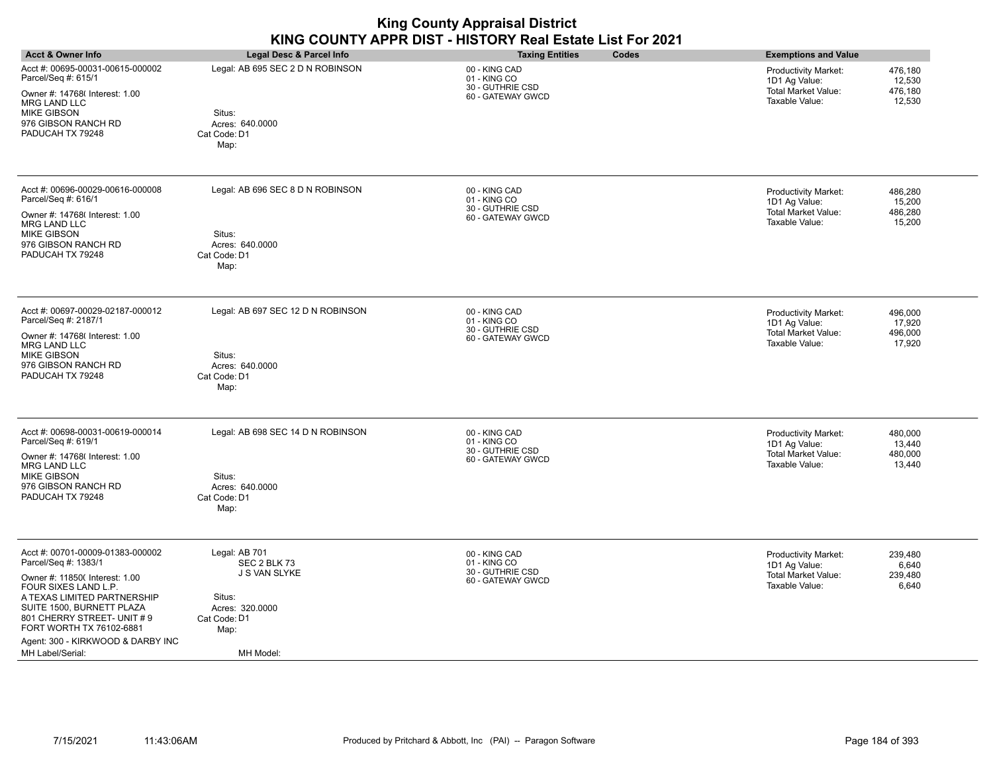| <b>Acct &amp; Owner Info</b>                                                                                                                                                                                                                                                                      | <b>Legal Desc &amp; Parcel Info</b>                                                                              | <b>Taxing Entities</b><br>Codes                                        | <b>Exemptions and Value</b>                                                                                                            |
|---------------------------------------------------------------------------------------------------------------------------------------------------------------------------------------------------------------------------------------------------------------------------------------------------|------------------------------------------------------------------------------------------------------------------|------------------------------------------------------------------------|----------------------------------------------------------------------------------------------------------------------------------------|
| Acct #: 00695-00031-00615-000002<br>Parcel/Seq #: 615/1<br>Owner #: 14768( Interest: 1.00<br><b>MRG LAND LLC</b><br><b>MIKE GIBSON</b><br>976 GIBSON RANCH RD<br>PADUCAH TX 79248                                                                                                                 | Legal: AB 695 SEC 2 D N ROBINSON<br>Situs:<br>Acres: 640.0000<br>Cat Code: D1<br>Map:                            | 00 - KING CAD<br>01 - KING CO<br>30 - GUTHRIE CSD<br>60 - GATEWAY GWCD | 476,180<br><b>Productivity Market:</b><br>1D1 Ag Value:<br>12,530<br>Total Market Value:<br>476,180<br>Taxable Value:<br>12,530        |
| Acct #: 00696-00029-00616-000008<br>Parcel/Seq #: 616/1<br>Owner #: 14768( Interest: 1.00<br><b>MRG LAND LLC</b><br><b>MIKE GIBSON</b><br>976 GIBSON RANCH RD<br>PADUCAH TX 79248                                                                                                                 | Legal: AB 696 SEC 8 D N ROBINSON<br>Situs:<br>Acres: 640,0000<br>Cat Code: D1<br>Map:                            | 00 - KING CAD<br>01 - KING CO<br>30 - GUTHRIE CSD<br>60 - GATEWAY GWCD | <b>Productivity Market:</b><br>486,280<br>15,200<br>1D1 Ag Value:<br>486,280<br><b>Total Market Value:</b><br>Taxable Value:<br>15,200 |
| Acct #: 00697-00029-02187-000012<br>Parcel/Seq #: 2187/1<br>Owner #: 14768( Interest: 1.00<br><b>MRG LAND LLC</b><br><b>MIKE GIBSON</b><br>976 GIBSON RANCH RD<br>PADUCAH TX 79248                                                                                                                | Legal: AB 697 SEC 12 D N ROBINSON<br>Situs:<br>Acres: 640.0000<br>Cat Code: D1<br>Map:                           | 00 - KING CAD<br>01 - KING CO<br>30 - GUTHRIE CSD<br>60 - GATEWAY GWCD | <b>Productivity Market:</b><br>496,000<br>1D1 Ag Value:<br>17,920<br>496,000<br>Total Market Value:<br>Taxable Value:<br>17,920        |
| Acct #: 00698-00031-00619-000014<br>Parcel/Seq #: 619/1<br>Owner #: 14768( Interest: 1.00<br><b>MRG LAND LLC</b><br><b>MIKE GIBSON</b><br>976 GIBSON RANCH RD<br>PADUCAH TX 79248                                                                                                                 | Legal: AB 698 SEC 14 D N ROBINSON<br>Situs:<br>Acres: 640.0000<br>Cat Code: D1<br>Map:                           | 00 - KING CAD<br>01 - KING CO<br>30 - GUTHRIE CSD<br>60 - GATEWAY GWCD | 480,000<br><b>Productivity Market:</b><br>13,440<br>1D1 Ag Value:<br>Total Market Value:<br>480,000<br>Taxable Value:<br>13,440        |
| Acct #: 00701-00009-01383-000002<br>Parcel/Seq #: 1383/1<br>Owner #: 11850( Interest: 1.00<br>FOUR SIXES LAND L.P.<br>A TEXAS LIMITED PARTNERSHIP<br>SUITE 1500, BURNETT PLAZA<br>801 CHERRY STREET- UNIT #9<br>FORT WORTH TX 76102-6881<br>Agent: 300 - KIRKWOOD & DARBY INC<br>MH Label/Serial: | Legal: AB 701<br>SEC 2 BLK 73<br>J S VAN SLYKE<br>Situs:<br>Acres: 320.0000<br>Cat Code: D1<br>Map:<br>MH Model: | 00 - KING CAD<br>01 - KING CO<br>30 - GUTHRIE CSD<br>60 - GATEWAY GWCD | 239.480<br><b>Productivity Market:</b><br>1D1 Ag Value:<br>6,640<br><b>Total Market Value:</b><br>239,480<br>Taxable Value:<br>6,640   |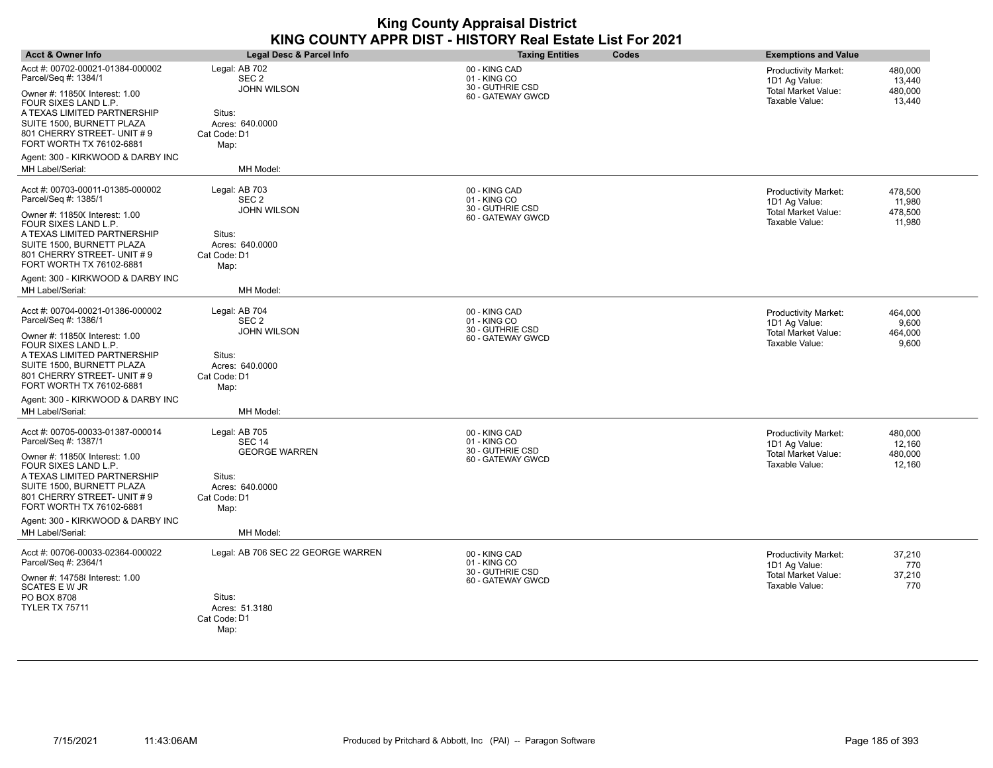| <b>Acct &amp; Owner Info</b>                                                                                                                                                                                                              | Legal Desc & Parcel Info                                                                                     | <b>Taxing Entities</b><br>Codes                                        | <b>Exemptions and Value</b>                                                                                                     |
|-------------------------------------------------------------------------------------------------------------------------------------------------------------------------------------------------------------------------------------------|--------------------------------------------------------------------------------------------------------------|------------------------------------------------------------------------|---------------------------------------------------------------------------------------------------------------------------------|
| Acct #: 00702-00021-01384-000002<br>Parcel/Seq #: 1384/1<br>Owner #: 11850( Interest: 1.00<br>FOUR SIXES LAND L.P.<br>A TEXAS LIMITED PARTNERSHIP<br>SUITE 1500, BURNETT PLAZA<br>801 CHERRY STREET- UNIT # 9<br>FORT WORTH TX 76102-6881 | Legal: AB 702<br>SEC <sub>2</sub><br><b>JOHN WILSON</b><br>Situs:<br>Acres: 640.0000<br>Cat Code: D1<br>Map: | 00 - KING CAD<br>01 - KING CO<br>30 - GUTHRIE CSD<br>60 - GATEWAY GWCD | <b>Productivity Market:</b><br>480,000<br>1D1 Ag Value:<br>13,440<br>Total Market Value:<br>480,000<br>Taxable Value:<br>13,440 |
| Agent: 300 - KIRKWOOD & DARBY INC                                                                                                                                                                                                         |                                                                                                              |                                                                        |                                                                                                                                 |
| MH Label/Serial:                                                                                                                                                                                                                          | MH Model:                                                                                                    |                                                                        |                                                                                                                                 |
| Acct #: 00703-00011-01385-000002<br>Parcel/Seq #: 1385/1<br>Owner #: 11850( Interest: 1.00                                                                                                                                                | Legal: AB 703<br>SEC <sub>2</sub><br><b>JOHN WILSON</b>                                                      | 00 - KING CAD<br>01 - KING CO<br>30 - GUTHRIE CSD                      | <b>Productivity Market:</b><br>478,500<br>1D1 Ag Value:<br>11,980<br>Total Market Value:<br>478,500                             |
| FOUR SIXES LAND L.P.<br>A TEXAS LIMITED PARTNERSHIP<br>SUITE 1500, BURNETT PLAZA<br>801 CHERRY STREET- UNIT # 9<br>FORT WORTH TX 76102-6881                                                                                               | Situs:<br>Acres: 640.0000<br>Cat Code: D1<br>Map:                                                            | 60 - GATEWAY GWCD                                                      | Taxable Value:<br>11,980                                                                                                        |
| Agent: 300 - KIRKWOOD & DARBY INC<br>MH Label/Serial:                                                                                                                                                                                     | MH Model:                                                                                                    |                                                                        |                                                                                                                                 |
| Acct #: 00704-00021-01386-000002<br>Parcel/Seq #: 1386/1                                                                                                                                                                                  | Legal: AB 704<br>SEC <sub>2</sub><br><b>JOHN WILSON</b>                                                      | 00 - KING CAD<br>01 - KING CO<br>30 - GUTHRIE CSD                      | 464,000<br><b>Productivity Market:</b><br>9,600<br>1D1 Ag Value:                                                                |
| Owner #: 11850( Interest: 1.00<br>FOUR SIXES LAND L.P.<br>A TEXAS LIMITED PARTNERSHIP<br>SUITE 1500, BURNETT PLAZA                                                                                                                        | Situs:<br>Acres: 640.0000                                                                                    | 60 - GATEWAY GWCD                                                      | Total Market Value:<br>464,000<br>Taxable Value:<br>9,600                                                                       |
| 801 CHERRY STREET- UNIT # 9<br>FORT WORTH TX 76102-6881<br>Agent: 300 - KIRKWOOD & DARBY INC                                                                                                                                              | Cat Code: D1<br>Map:                                                                                         |                                                                        |                                                                                                                                 |
| MH Label/Serial:                                                                                                                                                                                                                          | MH Model:                                                                                                    |                                                                        |                                                                                                                                 |
| Acct #: 00705-00033-01387-000014<br>Parcel/Seq #: 1387/1                                                                                                                                                                                  | Legal: AB 705<br><b>SEC 14</b><br><b>GEORGE WARREN</b>                                                       | 00 - KING CAD<br>01 - KING CO<br>30 - GUTHRIE CSD                      | <b>Productivity Market:</b><br>480,000<br>12,160<br>1D1 Ag Value:<br>480,000<br>Total Market Value:                             |
| Owner #: 11850( Interest: 1.00<br>FOUR SIXES LAND L.P.                                                                                                                                                                                    |                                                                                                              | 60 - GATEWAY GWCD                                                      | Taxable Value:<br>12,160                                                                                                        |
| A TEXAS LIMITED PARTNERSHIP<br>SUITE 1500, BURNETT PLAZA<br>801 CHERRY STREET- UNIT # 9<br>FORT WORTH TX 76102-6881                                                                                                                       | Situs:<br>Acres: 640.0000<br>Cat Code: D1<br>Map:                                                            |                                                                        |                                                                                                                                 |
| Agent: 300 - KIRKWOOD & DARBY INC                                                                                                                                                                                                         |                                                                                                              |                                                                        |                                                                                                                                 |
| MH Label/Serial:                                                                                                                                                                                                                          | MH Model:                                                                                                    |                                                                        |                                                                                                                                 |
| Acct #: 00706-00033-02364-000022<br>Parcel/Seq #: 2364/1                                                                                                                                                                                  | Legal: AB 706 SEC 22 GEORGE WARREN                                                                           | 00 - KING CAD<br>01 - KING CO<br>30 - GUTHRIE CSD                      | Productivity Market:<br>37,210<br>1D1 Ag Value:<br>770                                                                          |
| Owner #: 14758 {Interest: 1.00<br>SCATES E W JR<br>PO BOX 8708<br><b>TYLER TX 75711</b>                                                                                                                                                   | Situs:<br>Acres: 51.3180<br>Cat Code: D1<br>Map:                                                             | 60 - GATEWAY GWCD                                                      | Total Market Value:<br>37,210<br>Taxable Value:<br>770                                                                          |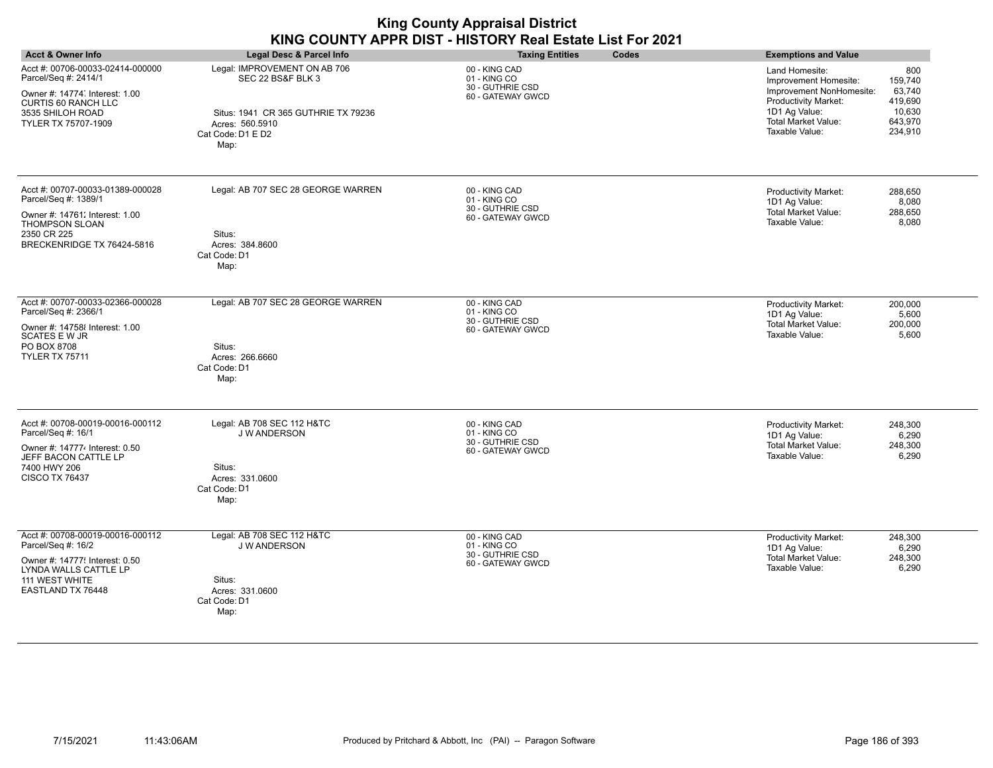| <b>Acct &amp; Owner Info</b>                                                                                                                                       | <b>Legal Desc &amp; Parcel Info</b>                                                                                                      | <b>Taxing Entities</b><br>Codes                                        | <b>Exemptions and Value</b>                                                                                                                                                                                                         |
|--------------------------------------------------------------------------------------------------------------------------------------------------------------------|------------------------------------------------------------------------------------------------------------------------------------------|------------------------------------------------------------------------|-------------------------------------------------------------------------------------------------------------------------------------------------------------------------------------------------------------------------------------|
| Acct #: 00706-00033-02414-000000<br>Parcel/Seq #: 2414/1<br>Owner #: 14774 Interest: 1.00<br><b>CURTIS 60 RANCH LLC</b><br>3535 SHILOH ROAD<br>TYLER TX 75707-1909 | Legal: IMPROVEMENT ON AB 706<br>SEC 22 BS&F BLK 3<br>Situs: 1941 CR 365 GUTHRIE TX 79236<br>Acres: 560.5910<br>Cat Code: D1 E D2<br>Map: | 00 - KING CAD<br>01 - KING CO<br>30 - GUTHRIE CSD<br>60 - GATEWAY GWCD | 800<br>Land Homesite:<br>159,740<br>Improvement Homesite:<br>63,740<br>Improvement NonHomesite:<br><b>Productivity Market:</b><br>419,690<br>1D1 Ag Value:<br>10,630<br>Total Market Value:<br>643,970<br>Taxable Value:<br>234,910 |
| Acct #: 00707-00033-01389-000028<br>Parcel/Seq #: 1389/1<br>Owner #: 14761; Interest: 1.00<br><b>THOMPSON SLOAN</b><br>2350 CR 225<br>BRECKENRIDGE TX 76424-5816   | Legal: AB 707 SEC 28 GEORGE WARREN<br>Situs:<br>Acres: 384.8600<br>Cat Code: D1<br>Map:                                                  | 00 - KING CAD<br>01 - KING CO<br>30 - GUTHRIE CSD<br>60 - GATEWAY GWCD | 288,650<br><b>Productivity Market:</b><br>1D1 Ag Value:<br>8,080<br>288,650<br><b>Total Market Value:</b><br>Taxable Value:<br>8,080                                                                                                |
| Acct #: 00707-00033-02366-000028<br>Parcel/Seq #: 2366/1<br>Owner #: 14758 Interest: 1.00<br><b>SCATES E W JR</b><br>PO BOX 8708<br><b>TYLER TX 75711</b>          | Legal: AB 707 SEC 28 GEORGE WARREN<br>Situs:<br>Acres: 266.6660<br>Cat Code: D1<br>Map:                                                  | 00 - KING CAD<br>01 - KING CO<br>30 - GUTHRIE CSD<br>60 - GATEWAY GWCD | 200,000<br><b>Productivity Market:</b><br>1D1 Ag Value:<br>5,600<br><b>Total Market Value:</b><br>200,000<br>Taxable Value:<br>5,600                                                                                                |
| Acct #: 00708-00019-00016-000112<br>Parcel/Seq #: 16/1<br>Owner #: 147774 Interest: 0.50<br>JEFF BACON CATTLE LP<br>7400 HWY 206<br><b>CISCO TX 76437</b>          | Legal: AB 708 SEC 112 H&TC<br><b>J W ANDERSON</b><br>Situs:<br>Acres: 331.0600<br>Cat Code: D1<br>Map:                                   | 00 - KING CAD<br>01 - KING CO<br>30 - GUTHRIE CSD<br>60 - GATEWAY GWCD | 248,300<br><b>Productivity Market:</b><br>1D1 Ag Value:<br>6,290<br><b>Total Market Value:</b><br>248,300<br>Taxable Value:<br>6,290                                                                                                |
| Acct #: 00708-00019-00016-000112<br>Parcel/Seq #: 16/2<br>Owner #: 14777! Interest: 0.50<br>LYNDA WALLS CATTLE LP<br>111 WEST WHITE<br>EASTLAND TX 76448           | Legal: AB 708 SEC 112 H&TC<br><b>J W ANDERSON</b><br>Situs:<br>Acres: 331.0600<br>Cat Code: D1<br>Map:                                   | 00 - KING CAD<br>01 - KING CO<br>30 - GUTHRIE CSD<br>60 - GATEWAY GWCD | <b>Productivity Market:</b><br>248,300<br>1D1 Ag Value:<br>6,290<br>Total Market Value:<br>248,300<br>Taxable Value:<br>6,290                                                                                                       |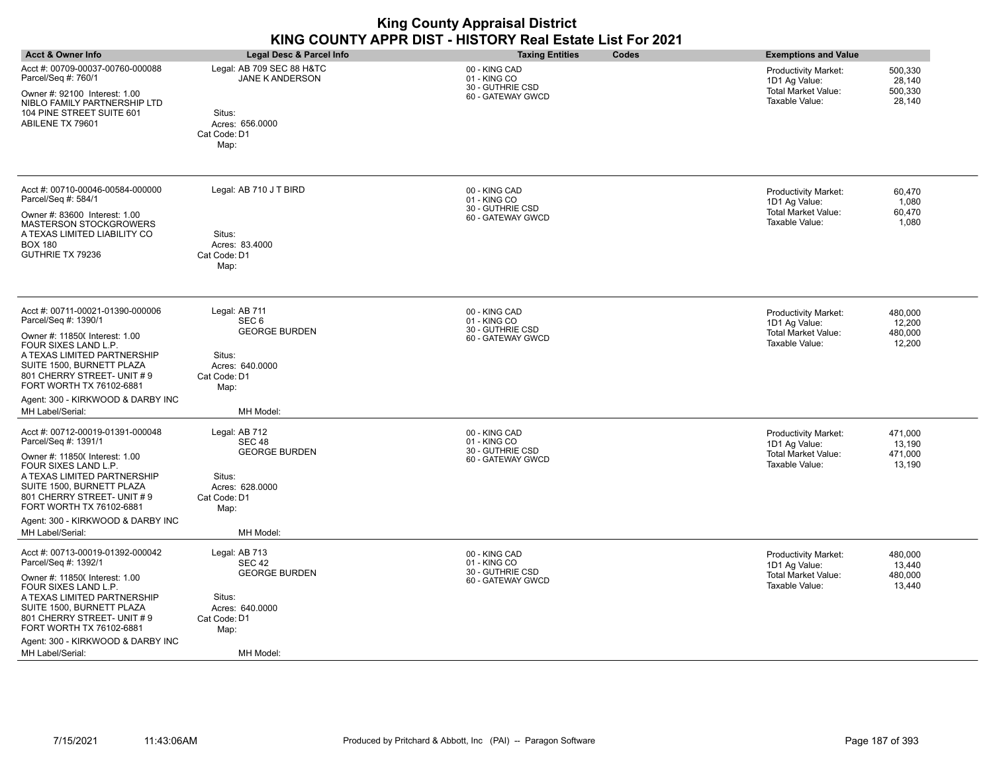| <b>King County Appraisal District</b><br>KING COUNTY APPR DIST - HISTORY Real Estate List For 2021                                                                                                                                                                                                |                                                                                                                             |                                                                        |                                                                                                                                        |  |
|---------------------------------------------------------------------------------------------------------------------------------------------------------------------------------------------------------------------------------------------------------------------------------------------------|-----------------------------------------------------------------------------------------------------------------------------|------------------------------------------------------------------------|----------------------------------------------------------------------------------------------------------------------------------------|--|
| <b>Acct &amp; Owner Info</b>                                                                                                                                                                                                                                                                      | <b>Legal Desc &amp; Parcel Info</b>                                                                                         | <b>Taxing Entities</b><br>Codes                                        | <b>Exemptions and Value</b>                                                                                                            |  |
| Acct #: 00709-00037-00760-000088<br>Parcel/Seq #: 760/1<br>Owner #: 92100 Interest: 1.00<br>NIBLO FAMILY PARTNERSHIP LTD<br>104 PINE STREET SUITE 601<br>ABILENE TX 79601                                                                                                                         | Legal: AB 709 SEC 88 H&TC<br>JANE K ANDERSON<br>Situs:<br>Acres: 656.0000<br>Cat Code: D1<br>Map:                           | 00 - KING CAD<br>01 - KING CO<br>30 - GUTHRIE CSD<br>60 - GATEWAY GWCD | 500,330<br><b>Productivity Market:</b><br>1D1 Ag Value:<br>28,140<br><b>Total Market Value:</b><br>500,330<br>Taxable Value:<br>28,140 |  |
| Acct #: 00710-00046-00584-000000<br>Parcel/Seq #: 584/1<br>Owner #: 83600 Interest: 1.00<br><b>MASTERSON STOCKGROWERS</b><br>A TEXAS LIMITED LIABILITY CO<br><b>BOX 180</b><br>GUTHRIE TX 79236                                                                                                   | Legal: AB 710 J T BIRD<br>Situs:<br>Acres: 83.4000<br>Cat Code: D1<br>Map:                                                  | 00 - KING CAD<br>01 - KING CO<br>30 - GUTHRIE CSD<br>60 - GATEWAY GWCD | 60,470<br><b>Productivity Market:</b><br>1D1 Ag Value:<br>1,080<br><b>Total Market Value:</b><br>60,470<br>Taxable Value:<br>1,080     |  |
| Acct #: 00711-00021-01390-000006<br>Parcel/Seq #: 1390/1<br>Owner #: 11850( Interest: 1.00<br>FOUR SIXES LAND L.P.<br>A TEXAS LIMITED PARTNERSHIP<br>SUITE 1500, BURNETT PLAZA<br>801 CHERRY STREET- UNIT #9<br>FORT WORTH TX 76102-6881<br>Agent: 300 - KIRKWOOD & DARBY INC<br>MH Label/Serial: | Legal: AB 711<br>SEC <sub>6</sub><br><b>GEORGE BURDEN</b><br>Situs:<br>Acres: 640.0000<br>Cat Code: D1<br>Map:<br>MH Model: | 00 - KING CAD<br>01 - KING CO<br>30 - GUTHRIE CSD<br>60 - GATEWAY GWCD | Productivity Market:<br>480.000<br>1D1 Ag Value:<br>12,200<br>Total Market Value:<br>480,000<br>Taxable Value:<br>12,200               |  |
| Acct #: 00712-00019-01391-000048<br>Parcel/Seq #: 1391/1<br>Owner #: 11850( Interest: 1.00<br>FOUR SIXES LAND L.P.<br>A TEXAS LIMITED PARTNERSHIP<br>SUITE 1500, BURNETT PLAZA<br>801 CHERRY STREET- UNIT #9<br>FORT WORTH TX 76102-6881<br>Agent: 300 - KIRKWOOD & DARBY INC<br>MH Label/Serial: | Legal: AB 712<br><b>SEC 48</b><br><b>GEORGE BURDEN</b><br>Situs:<br>Acres: 628.0000<br>Cat Code: D1<br>Map:<br>MH Model:    | 00 - KING CAD<br>01 - KING CO<br>30 - GUTHRIE CSD<br>60 - GATEWAY GWCD | Productivity Market:<br>471,000<br>13,190<br>1D1 Ag Value:<br><b>Total Market Value:</b><br>471,000<br>Taxable Value:<br>13,190        |  |
| Acct #: 00713-00019-01392-000042<br>Parcel/Seq #: 1392/1<br>Owner #: 11850( Interest: 1.00<br>FOUR SIXES LAND L.P.<br>A TEXAS LIMITED PARTNERSHIP<br>SUITE 1500, BURNETT PLAZA<br>801 CHERRY STREET- UNIT #9<br>FORT WORTH TX 76102-6881<br>Agent: 300 - KIRKWOOD & DARBY INC<br>MH Label/Serial: | Legal: AB 713<br><b>SEC 42</b><br><b>GEORGE BURDEN</b><br>Situs:<br>Acres: 640.0000<br>Cat Code: D1<br>Map:<br>MH Model:    | 00 - KING CAD<br>01 - KING CO<br>30 - GUTHRIE CSD<br>60 - GATEWAY GWCD | 480.000<br>Productivity Market:<br>1D1 Ag Value:<br>13,440<br><b>Total Market Value:</b><br>480,000<br>Taxable Value:<br>13,440        |  |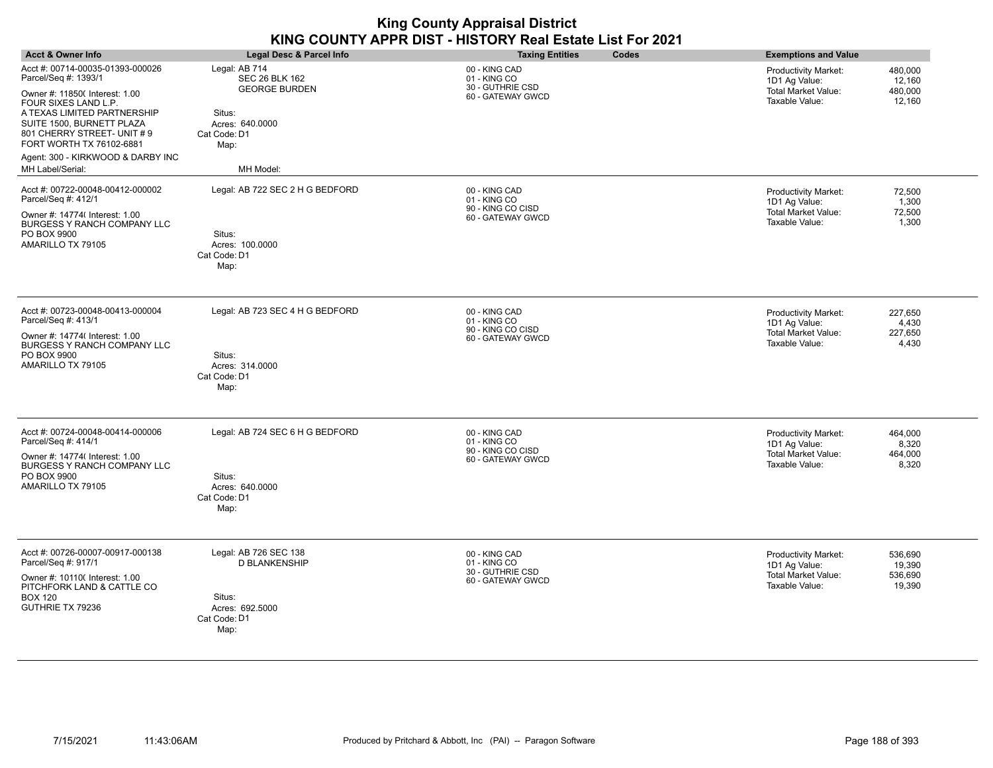|                              | <b>King County Appraisal District</b><br>KING COUNTY APPR DIST - HISTORY Real Estate List For 2021 |                 |       |                             |
|------------------------------|----------------------------------------------------------------------------------------------------|-----------------|-------|-----------------------------|
| <b>Acct &amp; Owner Info</b> | <b>Legal Desc &amp; Parcel Info</b>                                                                | Taxing Entities | Codes | <b>Exemptions and Value</b> |
|                              |                                                                                                    |                 |       |                             |

| ACCT & OWNER INTO                                                                                                                                                                                                                                                                                 | Legal Desc & Parcel Info                                                                                                         | raxing Entitles<br>codes                                                | <b>Exemptions and value</b>                                                                                                            |
|---------------------------------------------------------------------------------------------------------------------------------------------------------------------------------------------------------------------------------------------------------------------------------------------------|----------------------------------------------------------------------------------------------------------------------------------|-------------------------------------------------------------------------|----------------------------------------------------------------------------------------------------------------------------------------|
| Acct #: 00714-00035-01393-000026<br>Parcel/Seq #: 1393/1<br>Owner #: 11850( Interest: 1.00<br>FOUR SIXES LAND L.P.<br>A TEXAS LIMITED PARTNERSHIP<br>SUITE 1500, BURNETT PLAZA<br>801 CHERRY STREET- UNIT #9<br>FORT WORTH TX 76102-6881<br>Agent: 300 - KIRKWOOD & DARBY INC<br>MH Label/Serial: | Legal: AB 714<br><b>SEC 26 BLK 162</b><br><b>GEORGE BURDEN</b><br>Situs:<br>Acres: 640,0000<br>Cat Code: D1<br>Map:<br>MH Model: | 00 - KING CAD<br>01 - KING CO<br>30 - GUTHRIE CSD<br>60 - GATEWAY GWCD  | <b>Productivity Market:</b><br>480.000<br>1D1 Ag Value:<br>12,160<br><b>Total Market Value:</b><br>480,000<br>Taxable Value:<br>12,160 |
| Acct #: 00722-00048-00412-000002<br>Parcel/Seq #: 412/1<br>Owner #: 14774( Interest: 1.00<br>BURGESS Y RANCH COMPANY LLC<br>PO BOX 9900<br>AMARILLO TX 79105                                                                                                                                      | Legal: AB 722 SEC 2 H G BEDFORD<br>Situs:<br>Acres: 100.0000<br>Cat Code: D1<br>Map:                                             | 00 - KING CAD<br>01 - KING CO<br>90 - KING CO CISD<br>60 - GATEWAY GWCD | 72,500<br>Productivity Market:<br>1D1 Ag Value:<br>1,300<br><b>Total Market Value:</b><br>72,500<br>1,300<br>Taxable Value:            |
| Acct #: 00723-00048-00413-000004<br>Parcel/Seq #: 413/1<br>Owner #: 14774( Interest: 1.00<br>BURGESS Y RANCH COMPANY LLC<br>PO BOX 9900<br>AMARILLO TX 79105                                                                                                                                      | Legal: AB 723 SEC 4 H G BEDFORD<br>Situs:<br>Acres: 314,0000<br>Cat Code: D1<br>Map:                                             | 00 - KING CAD<br>01 - KING CO<br>90 - KING CO CISD<br>60 - GATEWAY GWCD | Productivity Market:<br>227,650<br>1D1 Ag Value:<br>4,430<br>Total Market Value:<br>227,650<br>Taxable Value:<br>4,430                 |
| Acct #: 00724-00048-00414-000006<br>Parcel/Seq #: 414/1<br>Owner #: 14774( Interest: 1.00<br><b>BURGESS Y RANCH COMPANY LLC</b><br>PO BOX 9900<br>AMARILLO TX 79105                                                                                                                               | Legal: AB 724 SEC 6 H G BEDFORD<br>Situs:<br>Acres: 640,0000<br>Cat Code: D1<br>Map:                                             | 00 - KING CAD<br>01 - KING CO<br>90 - KING CO CISD<br>60 - GATEWAY GWCD | 464,000<br><b>Productivity Market:</b><br>1D1 Ag Value:<br>8,320<br>Total Market Value:<br>464,000<br>Taxable Value:<br>8,320          |
| Acct #: 00726-00007-00917-000138<br>Parcel/Seq #: 917/1<br>Owner #: 10110( Interest: 1.00<br>PITCHFORK LAND & CATTLE CO<br><b>BOX 120</b><br>GUTHRIE TX 79236                                                                                                                                     | Legal: AB 726 SEC 138<br><b>D BLANKENSHIP</b><br>Situs:<br>Acres: 692.5000<br>Cat Code: D1<br>Map:                               | 00 - KING CAD<br>01 - KING CO<br>30 - GUTHRIE CSD<br>60 - GATEWAY GWCD  | 536,690<br>Productivity Market:<br>19,390<br>1D1 Ag Value:<br><b>Total Market Value:</b><br>536,690<br>Taxable Value:<br>19,390        |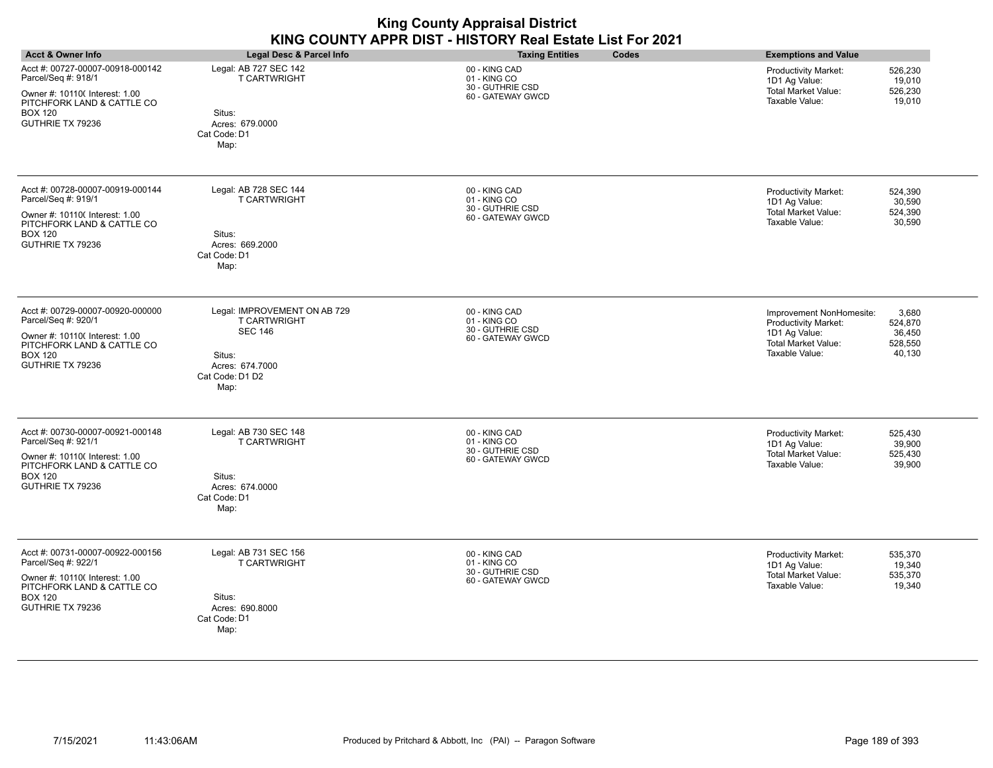| <b>King County Appraisal District</b><br>KING COUNTY APPR DIST - HISTORY Real Estate List For 2021                                                            |                                                                                                                               |                                                                        |                                                                                                                                                                      |  |
|---------------------------------------------------------------------------------------------------------------------------------------------------------------|-------------------------------------------------------------------------------------------------------------------------------|------------------------------------------------------------------------|----------------------------------------------------------------------------------------------------------------------------------------------------------------------|--|
| <b>Acct &amp; Owner Info</b>                                                                                                                                  | <b>Legal Desc &amp; Parcel Info</b>                                                                                           | <b>Taxing Entities</b><br>Codes                                        | <b>Exemptions and Value</b>                                                                                                                                          |  |
| Acct #: 00727-00007-00918-000142<br>Parcel/Seq #: 918/1<br>Owner #: 10110( Interest: 1.00<br>PITCHFORK LAND & CATTLE CO<br><b>BOX 120</b><br>GUTHRIE TX 79236 | Legal: AB 727 SEC 142<br><b>T CARTWRIGHT</b><br>Situs:<br>Acres: 679.0000<br>Cat Code: D1<br>Map:                             | 00 - KING CAD<br>01 - KING CO<br>30 - GUTHRIE CSD<br>60 - GATEWAY GWCD | 526,230<br><b>Productivity Market:</b><br>1D1 Ag Value:<br>19,010<br>Total Market Value:<br>526,230<br>Taxable Value:<br>19,010                                      |  |
| Acct #: 00728-00007-00919-000144<br>Parcel/Seq #: 919/1<br>Owner #: 10110( Interest: 1.00<br>PITCHFORK LAND & CATTLE CO<br><b>BOX 120</b><br>GUTHRIE TX 79236 | Legal: AB 728 SEC 144<br><b>T CARTWRIGHT</b><br>Situs:<br>Acres: 669.2000<br>Cat Code: D1<br>Map:                             | 00 - KING CAD<br>01 - KING CO<br>30 - GUTHRIE CSD<br>60 - GATEWAY GWCD | <b>Productivity Market:</b><br>524,390<br>1D1 Ag Value:<br>30,590<br><b>Total Market Value:</b><br>524,390<br>Taxable Value:<br>30,590                               |  |
| Acct #: 00729-00007-00920-000000<br>Parcel/Seq #: 920/1<br>Owner #: 10110( Interest: 1.00<br>PITCHFORK LAND & CATTLE CO<br><b>BOX 120</b><br>GUTHRIE TX 79236 | Legal: IMPROVEMENT ON AB 729<br><b>T CARTWRIGHT</b><br><b>SEC 146</b><br>Situs:<br>Acres: 674.7000<br>Cat Code: D1 D2<br>Map: | 00 - KING CAD<br>01 - KING CO<br>30 - GUTHRIE CSD<br>60 - GATEWAY GWCD | 3,680<br>Improvement NonHomesite:<br>Productivity Market:<br>524,870<br>1D1 Ag Value:<br>36,450<br><b>Total Market Value:</b><br>528,550<br>Taxable Value:<br>40,130 |  |
| Acct #: 00730-00007-00921-000148<br>Parcel/Seq #: 921/1<br>Owner #: 10110( Interest: 1.00<br>PITCHFORK LAND & CATTLE CO<br><b>BOX 120</b><br>GUTHRIE TX 79236 | Legal: AB 730 SEC 148<br><b>T CARTWRIGHT</b><br>Situs:<br>Acres: 674.0000<br>Cat Code: D1<br>Map:                             | 00 - KING CAD<br>01 - KING CO<br>30 - GUTHRIE CSD<br>60 - GATEWAY GWCD | Productivity Market:<br>525,430<br>1D1 Ag Value:<br>39,900<br>Total Market Value:<br>525,430<br>Taxable Value:<br>39,900                                             |  |
| Acct #: 00731-00007-00922-000156<br>Parcel/Seq #: 922/1<br>Owner #: 10110( Interest: 1.00<br>PITCHFORK LAND & CATTLE CO<br><b>BOX 120</b><br>GUTHRIE TX 79236 | Legal: AB 731 SEC 156<br><b>T CARTWRIGHT</b><br>Situs:<br>Acres: 690.8000<br>Cat Code: D1<br>Map:                             | 00 - KING CAD<br>01 - KING CO<br>30 - GUTHRIE CSD<br>60 - GATEWAY GWCD | 535.370<br>Productivity Market:<br>19,340<br>1D1 Ag Value:<br><b>Total Market Value:</b><br>535,370<br>Taxable Value:<br>19,340                                      |  |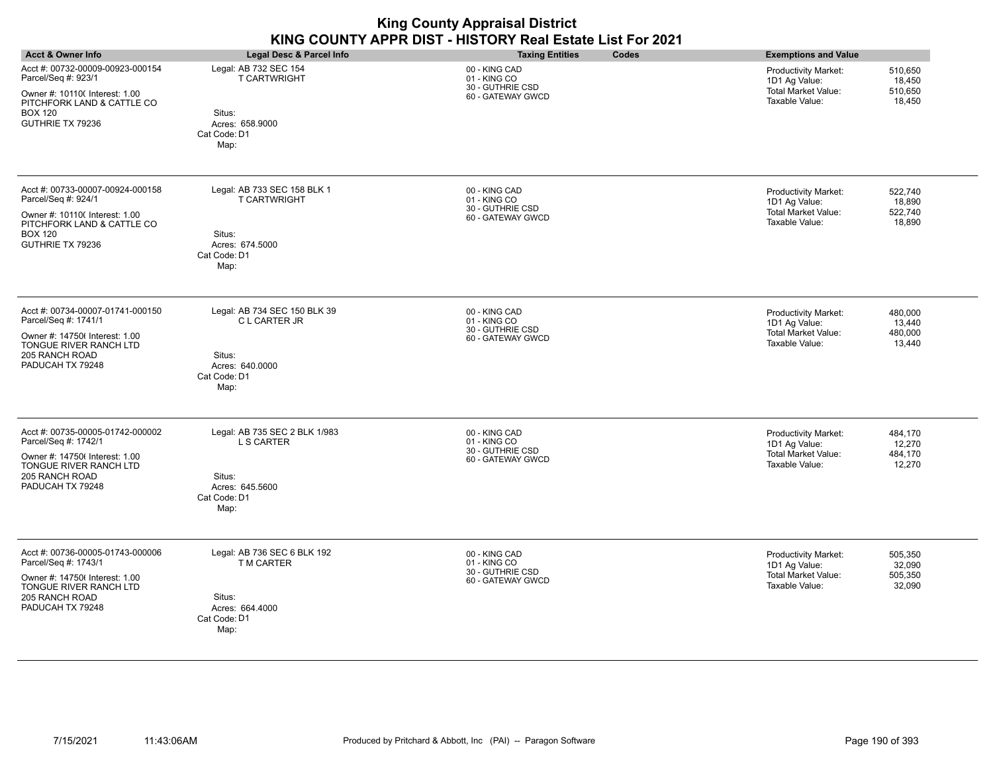| <b>King County Appraisal District</b><br>KING COUNTY APPR DIST - HISTORY Real Estate List For 2021                                                            |                                                                                                         |                                                                        |                                                                                                                                 |
|---------------------------------------------------------------------------------------------------------------------------------------------------------------|---------------------------------------------------------------------------------------------------------|------------------------------------------------------------------------|---------------------------------------------------------------------------------------------------------------------------------|
| <b>Acct &amp; Owner Info</b>                                                                                                                                  | <b>Legal Desc &amp; Parcel Info</b>                                                                     | <b>Taxing Entities</b><br>Codes                                        | <b>Exemptions and Value</b>                                                                                                     |
| Acct #: 00732-00009-00923-000154<br>Parcel/Seq #: 923/1<br>Owner #: 10110( Interest: 1.00<br>PITCHFORK LAND & CATTLE CO<br><b>BOX 120</b><br>GUTHRIE TX 79236 | Legal: AB 732 SEC 154<br><b>T CARTWRIGHT</b><br>Situs:<br>Acres: 658.9000<br>Cat Code: D1<br>Map:       | 00 - KING CAD<br>01 - KING CO<br>30 - GUTHRIE CSD<br>60 - GATEWAY GWCD | 510,650<br><b>Productivity Market:</b><br>1D1 Ag Value:<br>18,450<br>Total Market Value:<br>510,650<br>Taxable Value:<br>18,450 |
| Acct #: 00733-00007-00924-000158<br>Parcel/Seq #: 924/1<br>Owner #: 101100 Interest: 1.00<br>PITCHFORK LAND & CATTLE CO<br><b>BOX 120</b><br>GUTHRIE TX 79236 | Legal: AB 733 SEC 158 BLK 1<br><b>T CARTWRIGHT</b><br>Situs:<br>Acres: 674.5000<br>Cat Code: D1<br>Map: | 00 - KING CAD<br>01 - KING CO<br>30 - GUTHRIE CSD<br>60 - GATEWAY GWCD | <b>Productivity Market:</b><br>522,740<br>1D1 Ag Value:<br>18,890<br>522,740<br>Total Market Value:<br>Taxable Value:<br>18,890 |
| Acct #: 00734-00007-01741-000150<br>Parcel/Seq #: 1741/1<br>Owner #: 147506 Interest: 1.00<br>TONGUE RIVER RANCH LTD<br>205 RANCH ROAD<br>PADUCAH TX 79248    | Legal: AB 734 SEC 150 BLK 39<br>C L CARTER JR<br>Situs:<br>Acres: 640.0000<br>Cat Code: D1<br>Map:      | 00 - KING CAD<br>01 - KING CO<br>30 - GUTHRIE CSD<br>60 - GATEWAY GWCD | Productivity Market:<br>480,000<br>1D1 Ag Value:<br>13,440<br><b>Total Market Value:</b><br>480,000<br>Taxable Value:<br>13,440 |
| Acct #: 00735-00005-01742-000002<br>Parcel/Seq #: 1742/1<br>Owner #: 147506 Interest: 1.00<br>TONGUE RIVER RANCH LTD<br>205 RANCH ROAD<br>PADUCAH TX 79248    | Legal: AB 735 SEC 2 BLK 1/983<br>L S CARTER<br>Situs:<br>Acres: 645.5600<br>Cat Code: D1<br>Map:        | 00 - KING CAD<br>01 - KING CO<br>30 - GUTHRIE CSD<br>60 - GATEWAY GWCD | Productivity Market:<br>484,170<br>1D1 Ag Value:<br>12,270<br>Total Market Value:<br>484,170<br>Taxable Value:<br>12,270        |
| Acct #: 00736-00005-01743-000006<br>Parcel/Seq #: 1743/1<br>Owner #: 147506 Interest: 1.00<br>TONGUE RIVER RANCH LTD<br>205 RANCH ROAD<br>PADUCAH TX 79248    | Legal: AB 736 SEC 6 BLK 192<br>T M CARTER<br>Situs:<br>Acres: 664.4000<br>Cat Code: D1<br>Map:          | 00 - KING CAD<br>01 - KING CO<br>30 - GUTHRIE CSD<br>60 - GATEWAY GWCD | 505.350<br>Productivity Market:<br>1D1 Ag Value:<br>32,090<br><b>Total Market Value:</b><br>505,350<br>Taxable Value:<br>32,090 |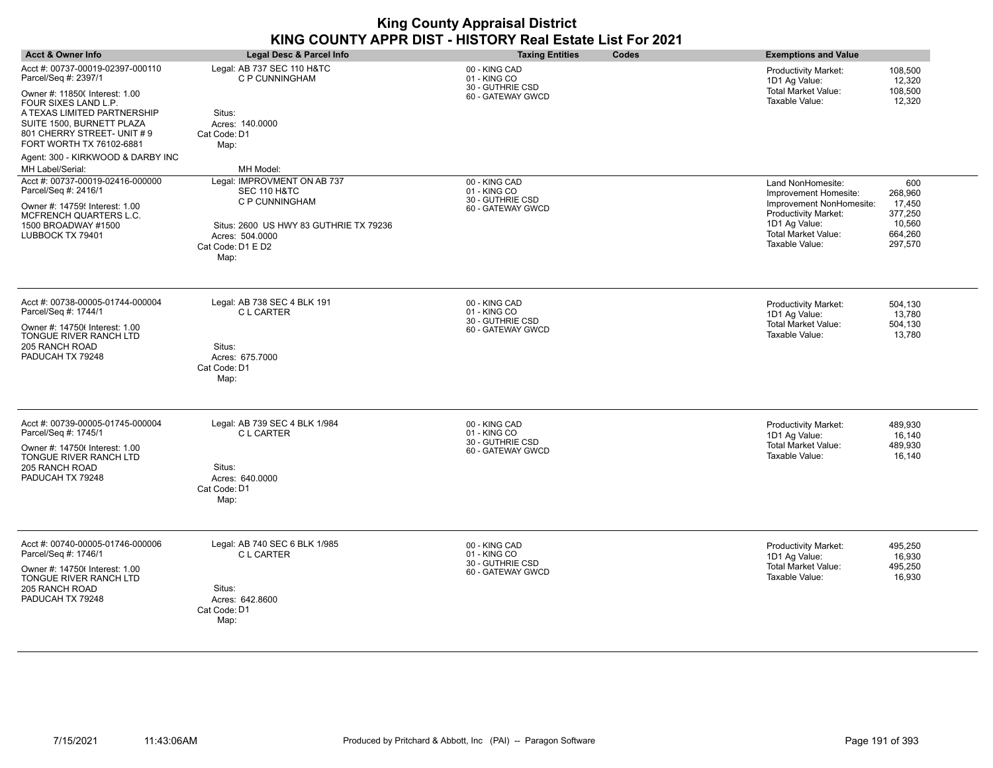| <b>Acct &amp; Owner Info</b>                                                                                                                                                                                                             | Legal Desc & Parcel Info                                                                                                                                           | <b>Taxing Entities</b><br>Codes                                        | <b>Exemptions and Value</b>                                                                                                                                                                                                                   |
|------------------------------------------------------------------------------------------------------------------------------------------------------------------------------------------------------------------------------------------|--------------------------------------------------------------------------------------------------------------------------------------------------------------------|------------------------------------------------------------------------|-----------------------------------------------------------------------------------------------------------------------------------------------------------------------------------------------------------------------------------------------|
| Acct #: 00737-00019-02397-000110<br>Parcel/Seq #: 2397/1<br>Owner #: 11850( Interest: 1.00<br>FOUR SIXES LAND L.P.<br>A TEXAS LIMITED PARTNERSHIP<br>SUITE 1500, BURNETT PLAZA<br>801 CHERRY STREET- UNIT #9<br>FORT WORTH TX 76102-6881 | Legal: AB 737 SEC 110 H&TC<br>C P CUNNINGHAM<br>Situs:<br>Acres: 140.0000<br>Cat Code: D1<br>Map:                                                                  | 00 - KING CAD<br>01 - KING CO<br>30 - GUTHRIE CSD<br>60 - GATEWAY GWCD | <b>Productivity Market:</b><br>108,500<br>1D1 Ag Value:<br>12,320<br>Total Market Value:<br>108,500<br>Taxable Value:<br>12,320                                                                                                               |
| Agent: 300 - KIRKWOOD & DARBY INC<br>MH Label/Serial:                                                                                                                                                                                    | MH Model:                                                                                                                                                          |                                                                        |                                                                                                                                                                                                                                               |
| Acct #: 00737-00019-02416-000000<br>Parcel/Seq #: 2416/1<br>Owner #: 14759! Interest: 1.00<br>MCFRENCH QUARTERS L.C.<br>1500 BROADWAY #1500<br>LUBBOCK TX 79401                                                                          | Legal: IMPROVMENT ON AB 737<br><b>SEC 110 H&amp;TC</b><br>C P CUNNINGHAM<br>Situs: 2600 US HWY 83 GUTHRIE TX 79236<br>Acres: 504.0000<br>Cat Code: D1 E D2<br>Map: | 00 - KING CAD<br>01 - KING CO<br>30 - GUTHRIE CSD<br>60 - GATEWAY GWCD | Land NonHomesite:<br>600<br>268,960<br>Improvement Homesite:<br>Improvement NonHomesite:<br>17,450<br>377,250<br><b>Productivity Market:</b><br>1D1 Ag Value:<br>10,560<br><b>Total Market Value:</b><br>664,260<br>Taxable Value:<br>297,570 |
| Acct #: 00738-00005-01744-000004<br>Parcel/Seq #: 1744/1<br>Owner #: 14750( Interest: 1.00<br>TONGUE RIVER RANCH LTD<br>205 RANCH ROAD<br>PADUCAH TX 79248                                                                               | Legal: AB 738 SEC 4 BLK 191<br><b>CL CARTER</b><br>Situs:<br>Acres: 675.7000<br>Cat Code: D1<br>Map:                                                               | 00 - KING CAD<br>01 - KING CO<br>30 - GUTHRIE CSD<br>60 - GATEWAY GWCD | Productivity Market:<br>504,130<br>13,780<br>1D1 Ag Value:<br><b>Total Market Value:</b><br>504,130<br>Taxable Value:<br>13,780                                                                                                               |
| Acct #: 00739-00005-01745-000004<br>Parcel/Seq #: 1745/1<br>Owner #: 14750( Interest: 1.00<br>TONGUE RIVER RANCH LTD<br>205 RANCH ROAD<br>PADUCAH TX 79248                                                                               | Legal: AB 739 SEC 4 BLK 1/984<br><b>CL CARTER</b><br>Situs:<br>Acres: 640.0000<br>Cat Code: D1<br>Map:                                                             | 00 - KING CAD<br>01 - KING CO<br>30 - GUTHRIE CSD<br>60 - GATEWAY GWCD | Productivity Market:<br>489,930<br>1D1 Ag Value:<br>16,140<br><b>Total Market Value:</b><br>489,930<br>Taxable Value:<br>16,140                                                                                                               |
| Acct #: 00740-00005-01746-000006<br>Parcel/Seq #: 1746/1<br>Owner #: 14750 (Interest: 1.00<br>TONGUE RIVER RANCH LTD<br>205 RANCH ROAD<br>PADUCAH TX 79248                                                                               | Legal: AB 740 SEC 6 BLK 1/985<br><b>CL CARTER</b><br>Situs:<br>Acres: 642.8600<br>Cat Code: D1<br>Map:                                                             | 00 - KING CAD<br>01 - KING CO<br>30 - GUTHRIE CSD<br>60 - GATEWAY GWCD | Productivity Market:<br>495,250<br>1D1 Ag Value:<br>16,930<br><b>Total Market Value:</b><br>495,250<br>Taxable Value:<br>16,930                                                                                                               |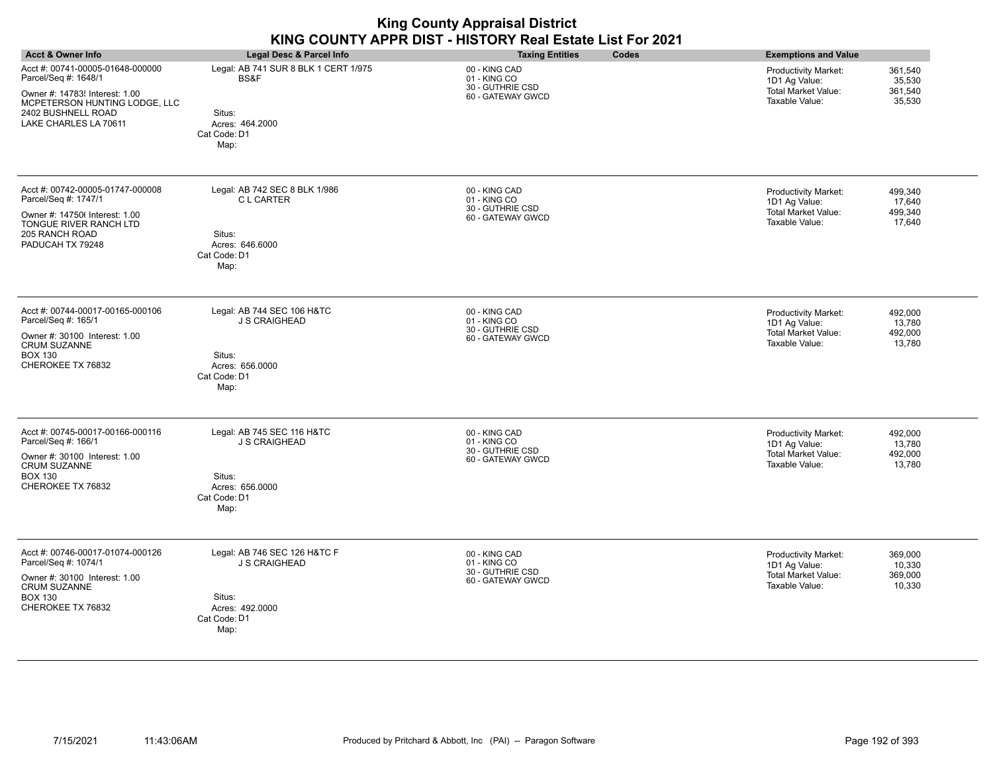| <b>King County Appraisal District</b><br>KING COUNTY APPR DIST - HISTORY Real Estate List For 2021                          |                                                      |                                                                        |                                                                                                                                        |  |
|-----------------------------------------------------------------------------------------------------------------------------|------------------------------------------------------|------------------------------------------------------------------------|----------------------------------------------------------------------------------------------------------------------------------------|--|
| <b>Acct &amp; Owner Info</b>                                                                                                | <b>Legal Desc &amp; Parcel Info</b>                  | <b>Taxing Entities</b><br>Codes                                        | <b>Exemptions and Value</b>                                                                                                            |  |
| Acct #: 00741-00005-01648-000000<br>Parcel/Seq #: 1648/1<br>Owner #: 14783! Interest: 1.00<br>MCPETERSON HUNTING LODGE, LLC | Legal: AB 741 SUR 8 BLK 1 CERT 1/975<br>BS&F         | 00 - KING CAD<br>01 - KING CO<br>30 - GUTHRIE CSD<br>60 - GATEWAY GWCD | 361.540<br><b>Productivity Market:</b><br>35,530<br>1D1 Ag Value:<br><b>Total Market Value:</b><br>361,540<br>Taxable Value:<br>35,530 |  |
| 2402 BUSHNELL ROAD<br>LAKE CHARLES LA 70611                                                                                 | Situs:<br>Acres: 464.2000<br>Cat Code: D1<br>Map:    |                                                                        |                                                                                                                                        |  |
| Acct #: 00742-00005-01747-000008<br>Parcel/Seq #: 1747/1                                                                    | Legal: AB 742 SEC 8 BLK 1/986<br><b>CLCARTER</b>     | 00 - KING CAD<br>01 - KING CO<br>30 - GUTHRIE CSD                      | 499.340<br>Productivity Market:<br>1D1 Ag Value:<br>17,640                                                                             |  |
| Owner #: 14750 (Interest: 1.00<br>TONGUE RIVER RANCH LTD                                                                    |                                                      | 60 - GATEWAY GWCD                                                      | <b>Total Market Value:</b><br>499.340<br>Taxable Value:<br>17,640                                                                      |  |
| 205 RANCH ROAD<br>PADUCAH TX 79248                                                                                          | Situs:<br>Acres: 646.6000<br>Cat Code: D1<br>Map:    |                                                                        |                                                                                                                                        |  |
| Acct #: 00744-00017-00165-000106<br>Parcel/Seq #: 165/1                                                                     | Legal: AB 744 SEC 106 H&TC<br><b>J S CRAIGHEAD</b>   | 00 - KING CAD<br>01 - KING CO                                          | Productivity Market:<br>492.000<br>13,780<br>1D1 Ag Value:                                                                             |  |
| Owner #: 30100 Interest: 1.00<br><b>CRUM SUZANNE</b><br><b>BOX 130</b>                                                      | Situs:                                               | 30 - GUTHRIE CSD<br>60 - GATEWAY GWCD                                  | <b>Total Market Value:</b><br>492.000<br>Taxable Value:<br>13,780                                                                      |  |
| CHEROKEE TX 76832                                                                                                           | Acres: 656.0000<br>Cat Code: D1<br>Map:              |                                                                        |                                                                                                                                        |  |
| Acct #: 00745-00017-00166-000116<br>Parcel/Seq #: 166/1                                                                     | Legal: AB 745 SEC 116 H&TC<br><b>J S CRAIGHEAD</b>   | 00 - KING CAD<br>01 - KING CO                                          | Productivity Market:<br>492,000<br>1D1 Ag Value:<br>13,780                                                                             |  |
| Owner #: 30100 Interest: 1.00<br><b>CRUM SUZANNE</b>                                                                        |                                                      | 30 - GUTHRIE CSD<br>60 - GATEWAY GWCD                                  | <b>Total Market Value:</b><br>492,000<br>Taxable Value:<br>13,780                                                                      |  |
| <b>BOX 130</b><br>CHEROKEE TX 76832                                                                                         | Situs:<br>Acres: 656.0000<br>Cat Code: D1<br>Map:    |                                                                        |                                                                                                                                        |  |
| Acct #: 00746-00017-01074-000126<br>Parcel/Seq #: 1074/1                                                                    | Legal: AB 746 SEC 126 H&TC F<br><b>J S CRAIGHEAD</b> | 00 - KING CAD<br>01 - KING CO                                          | 369.000<br>Productivity Market:<br>10,330<br>1D1 Ag Value:                                                                             |  |
| Owner #: 30100 Interest: 1.00<br><b>CRUM SUZANNE</b>                                                                        |                                                      | 30 - GUTHRIE CSD<br>60 - GATEWAY GWCD                                  | <b>Total Market Value:</b><br>369,000<br>Taxable Value:<br>10,330                                                                      |  |
| <b>BOX 130</b><br>CHEROKEE TX 76832                                                                                         | Situs:<br>Acres: 492,0000                            |                                                                        |                                                                                                                                        |  |
|                                                                                                                             | Cat Code: D1<br>Map:                                 |                                                                        |                                                                                                                                        |  |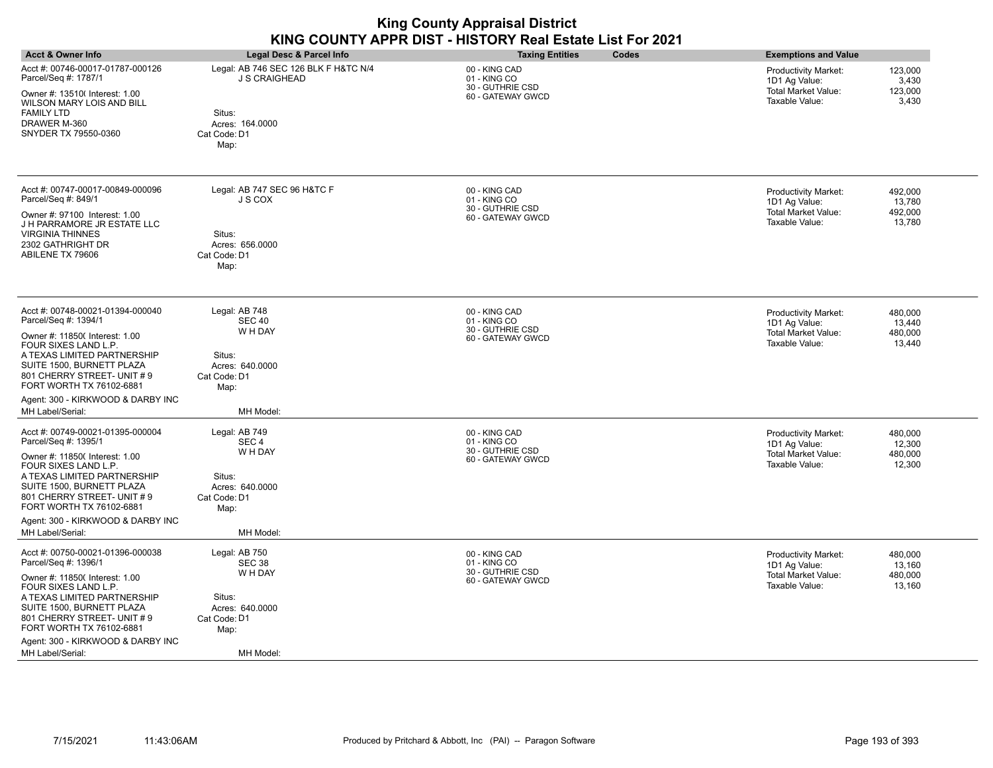| <b>Acct &amp; Owner Info</b>                                                                                                                                                                                                                                                                      | Legal Desc & Parcel Info                                                                                       | Codes<br><b>Taxing Entities</b>                                        | <b>Exemptions and Value</b>                                                                                                            |
|---------------------------------------------------------------------------------------------------------------------------------------------------------------------------------------------------------------------------------------------------------------------------------------------------|----------------------------------------------------------------------------------------------------------------|------------------------------------------------------------------------|----------------------------------------------------------------------------------------------------------------------------------------|
| Acct #: 00746-00017-01787-000126<br>Parcel/Seq #: 1787/1<br>Owner #: 13510( Interest: 1.00<br><b>WILSON MARY LOIS AND BILL</b><br><b>FAMILY LTD</b><br>DRAWER M-360<br>SNYDER TX 79550-0360                                                                                                       | Legal: AB 746 SEC 126 BLK F H&TC N/4<br>J S CRAIGHEAD<br>Situs:<br>Acres: 164.0000<br>Cat Code: D1<br>Map:     | 00 - KING CAD<br>01 - KING CO<br>30 - GUTHRIE CSD<br>60 - GATEWAY GWCD | 123,000<br><b>Productivity Market:</b><br>1D1 Ag Value:<br>3,430<br>123,000<br>Total Market Value:<br>Taxable Value:<br>3,430          |
| Acct #: 00747-00017-00849-000096<br>Parcel/Seq #: 849/1<br>Owner #: 97100 Interest: 1.00<br>J H PARRAMORE JR ESTATE LLC<br><b>VIRGINIA THINNES</b><br>2302 GATHRIGHT DR<br>ABILENE TX 79606                                                                                                       | Legal: AB 747 SEC 96 H&TC F<br>J S COX<br>Situs:<br>Acres: 656,0000<br>Cat Code: D1<br>Map:                    | 00 - KING CAD<br>01 - KING CO<br>30 - GUTHRIE CSD<br>60 - GATEWAY GWCD | 492,000<br>Productivity Market:<br>13,780<br>1D1 Ag Value:<br><b>Total Market Value:</b><br>492.000<br>Taxable Value:<br>13,780        |
| Acct #: 00748-00021-01394-000040<br>Parcel/Seq #: 1394/1<br>Owner #: 11850( Interest: 1.00<br>FOUR SIXES LAND L.P.<br>A TEXAS LIMITED PARTNERSHIP<br>SUITE 1500, BURNETT PLAZA<br>801 CHERRY STREET- UNIT #9<br>FORT WORTH TX 76102-6881<br>Agent: 300 - KIRKWOOD & DARBY INC<br>MH Label/Serial: | Legal: AB 748<br><b>SEC 40</b><br>W H DAY<br>Situs:<br>Acres: 640,0000<br>Cat Code: D1<br>Map:<br>MH Model:    | 00 - KING CAD<br>01 - KING CO<br>30 - GUTHRIE CSD<br>60 - GATEWAY GWCD | 480.000<br><b>Productivity Market:</b><br>1D1 Ag Value:<br>13,440<br>480,000<br>Total Market Value:<br>Taxable Value:<br>13,440        |
| Acct #: 00749-00021-01395-000004<br>Parcel/Seq #: 1395/1<br>Owner #: 11850( Interest: 1.00<br>FOUR SIXES LAND L.P.<br>A TEXAS LIMITED PARTNERSHIP<br>SUITE 1500, BURNETT PLAZA<br>801 CHERRY STREET- UNIT #9<br>FORT WORTH TX 76102-6881<br>Agent: 300 - KIRKWOOD & DARBY INC<br>MH Label/Serial: | Legal: AB 749<br>SEC <sub>4</sub><br>W H DAY<br>Situs:<br>Acres: 640.0000<br>Cat Code: D1<br>Map:<br>MH Model: | 00 - KING CAD<br>01 - KING CO<br>30 - GUTHRIE CSD<br>60 - GATEWAY GWCD | Productivity Market:<br>480,000<br>1D1 Ag Value:<br>12,300<br><b>Total Market Value:</b><br>480,000<br>Taxable Value:<br>12,300        |
| Acct #: 00750-00021-01396-000038<br>Parcel/Seq #: 1396/1<br>Owner #: 11850( Interest: 1.00<br>FOUR SIXES LAND L.P.<br>A TEXAS LIMITED PARTNERSHIP<br>SUITE 1500, BURNETT PLAZA<br>801 CHERRY STREET- UNIT #9<br>FORT WORTH TX 76102-6881<br>Agent: 300 - KIRKWOOD & DARBY INC<br>MH Label/Serial: | Legal: AB 750<br><b>SEC 38</b><br>W H DAY<br>Situs:<br>Acres: 640,0000<br>Cat Code: D1<br>Map:<br>MH Model:    | 00 - KING CAD<br>01 - KING CO<br>30 - GUTHRIE CSD<br>60 - GATEWAY GWCD | <b>Productivity Market:</b><br>480,000<br>13,160<br>1D1 Ag Value:<br><b>Total Market Value:</b><br>480,000<br>Taxable Value:<br>13,160 |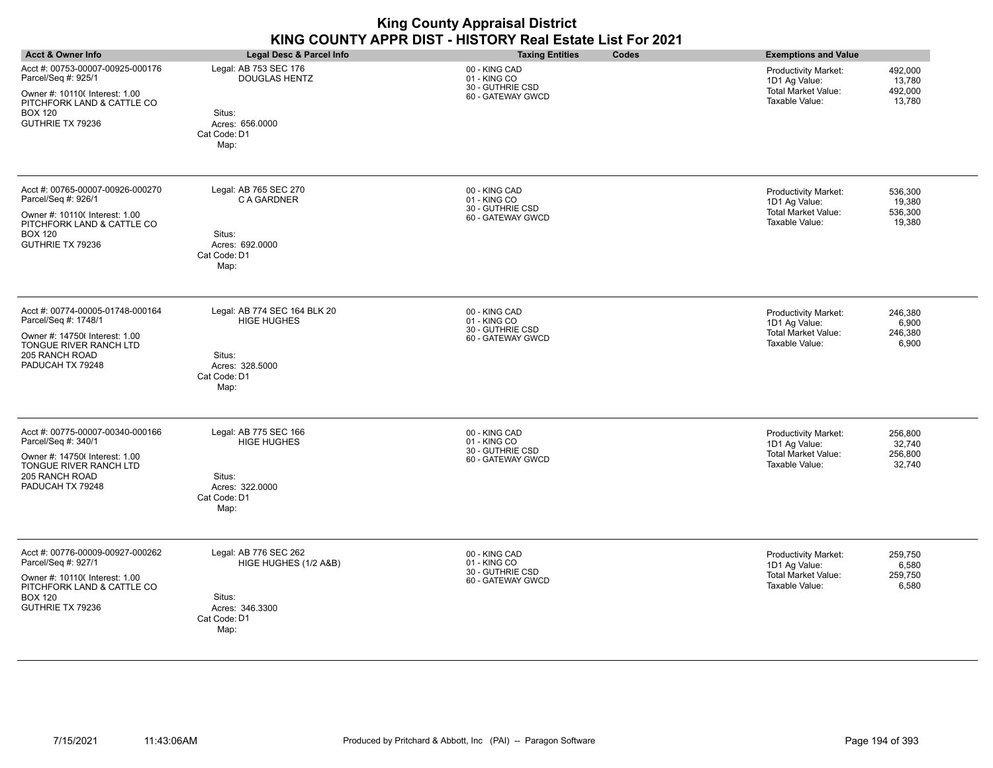| <b>King County Appraisal District</b><br>KING COUNTY APPR DIST - HISTORY Real Estate List For 2021                                                            |                                                                                                         |                                                                        |                                                                                                                                        |  |
|---------------------------------------------------------------------------------------------------------------------------------------------------------------|---------------------------------------------------------------------------------------------------------|------------------------------------------------------------------------|----------------------------------------------------------------------------------------------------------------------------------------|--|
| <b>Acct &amp; Owner Info</b>                                                                                                                                  | Legal Desc & Parcel Info                                                                                | <b>Taxing Entities</b><br>Codes                                        | <b>Exemptions and Value</b>                                                                                                            |  |
| Acct #: 00753-00007-00925-000176<br>Parcel/Seq #: 925/1<br>Owner #: 10110( Interest: 1.00<br>PITCHFORK LAND & CATTLE CO<br><b>BOX 120</b><br>GUTHRIE TX 79236 | Legal: AB 753 SEC 176<br><b>DOUGLAS HENTZ</b><br>Situs:<br>Acres: 656.0000<br>Cat Code: D1<br>Map:      | 00 - KING CAD<br>01 - KING CO<br>30 - GUTHRIE CSD<br>60 - GATEWAY GWCD | <b>Productivity Market:</b><br>492,000<br>1D1 Ag Value:<br>13,780<br><b>Total Market Value:</b><br>492,000<br>Taxable Value:<br>13,780 |  |
| Acct #: 00765-00007-00926-000270<br>Parcel/Seq #: 926/1<br>Owner #: 10110( Interest: 1.00<br>PITCHFORK LAND & CATTLE CO<br><b>BOX 120</b><br>GUTHRIE TX 79236 | Legal: AB 765 SEC 270<br>C A GARDNER<br>Situs:<br>Acres: 692.0000<br>Cat Code: D1<br>Map:               | 00 - KING CAD<br>01 - KING CO<br>30 - GUTHRIE CSD<br>60 - GATEWAY GWCD | 536,300<br>Productivity Market:<br>1D1 Ag Value:<br>19,380<br>Total Market Value:<br>536,300<br>Taxable Value:<br>19,380               |  |
| Acct #: 00774-00005-01748-000164<br>Parcel/Seq #: 1748/1<br>Owner #: 147506 Interest: 1.00<br>TONGUE RIVER RANCH LTD<br>205 RANCH ROAD<br>PADUCAH TX 79248    | Legal: AB 774 SEC 164 BLK 20<br><b>HIGE HUGHES</b><br>Situs:<br>Acres: 328.5000<br>Cat Code: D1<br>Map: | 00 - KING CAD<br>01 - KING CO<br>30 - GUTHRIE CSD<br>60 - GATEWAY GWCD | Productivity Market:<br>246,380<br>1D1 Ag Value:<br>6,900<br><b>Total Market Value:</b><br>246,380<br>Taxable Value:<br>6.900          |  |
| Acct #: 00775-00007-00340-000166<br>Parcel/Seq #: 340/1<br>Owner #: 147506 Interest: 1.00<br>TONGUE RIVER RANCH LTD<br>205 RANCH ROAD<br>PADUCAH TX 79248     | Legal: AB 775 SEC 166<br><b>HIGE HUGHES</b><br>Situs:<br>Acres: 322.0000<br>Cat Code: D1<br>Map:        | 00 - KING CAD<br>01 - KING CO<br>30 - GUTHRIE CSD<br>60 - GATEWAY GWCD | Productivity Market:<br>256,800<br>1D1 Ag Value:<br>32,740<br>Total Market Value:<br>256,800<br>Taxable Value:<br>32,740               |  |
| Acct #: 00776-00009-00927-000262<br>Parcel/Seq #: 927/1<br>Owner #: 10110( Interest: 1.00<br>PITCHFORK LAND & CATTLE CO<br><b>BOX 120</b><br>GUTHRIE TX 79236 | Legal: AB 776 SEC 262<br>HIGE HUGHES (1/2 A&B)<br>Situs:<br>Acres: 346.3300<br>Cat Code: D1<br>Map:     | 00 - KING CAD<br>01 - KING CO<br>30 - GUTHRIE CSD<br>60 - GATEWAY GWCD | Productivity Market:<br>259,750<br>1D1 Ag Value:<br>6,580<br>Total Market Value:<br>259,750<br>Taxable Value:<br>6,580                 |  |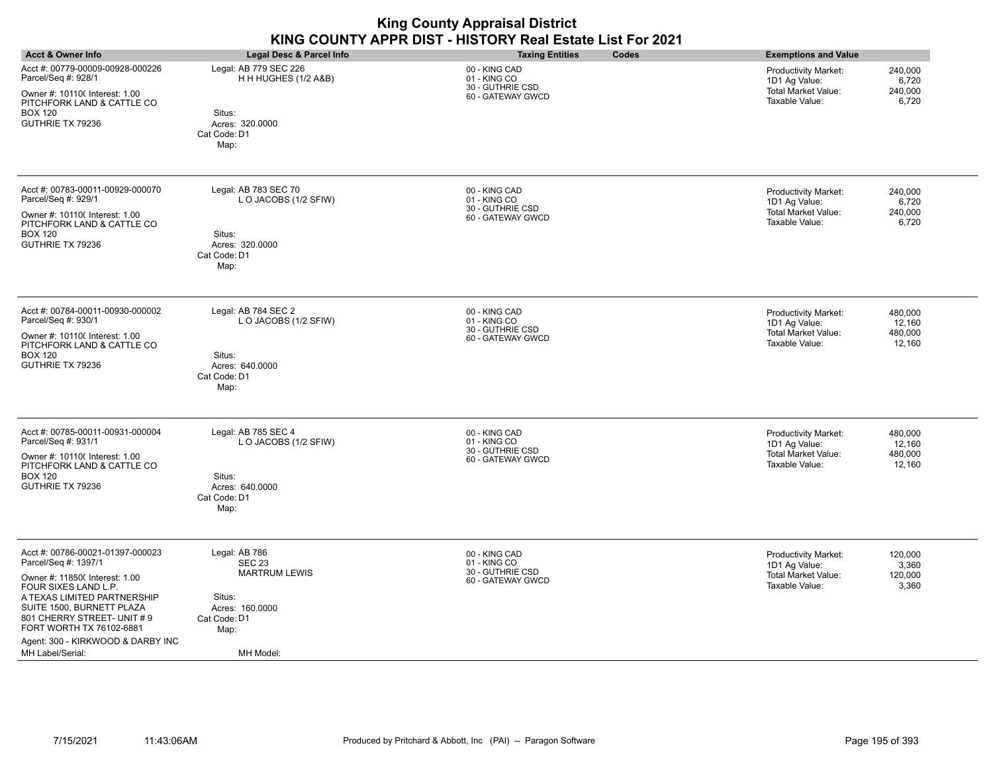| <b>King County Appraisal District</b><br>KING COUNTY APPR DIST - HISTORY Real Estate List For 2021                                                                                                                                                                                                |                                                                                                                          |                                                                        |                                                                                                                                 |  |
|---------------------------------------------------------------------------------------------------------------------------------------------------------------------------------------------------------------------------------------------------------------------------------------------------|--------------------------------------------------------------------------------------------------------------------------|------------------------------------------------------------------------|---------------------------------------------------------------------------------------------------------------------------------|--|
| <b>Acct &amp; Owner Info</b>                                                                                                                                                                                                                                                                      | <b>Legal Desc &amp; Parcel Info</b>                                                                                      | <b>Taxing Entities</b><br>Codes                                        | <b>Exemptions and Value</b>                                                                                                     |  |
| Acct #: 00779-00009-00928-000226<br>Parcel/Seq #: 928/1<br>Owner #: 10110( Interest: 1.00<br>PITCHFORK LAND & CATTLE CO<br><b>BOX 120</b><br>GUTHRIE TX 79236                                                                                                                                     | Legal: AB 779 SEC 226<br>H H HUGHES (1/2 A&B)<br>Situs:<br>Acres: 320.0000<br>Cat Code: D1<br>Map:                       | 00 - KING CAD<br>01 - KING CO<br>30 - GUTHRIE CSD<br>60 - GATEWAY GWCD | 240,000<br>Productivity Market:<br>1D1 Ag Value:<br>6,720<br><b>Total Market Value:</b><br>240,000<br>Taxable Value:<br>6,720   |  |
| Acct #: 00783-00011-00929-000070<br>Parcel/Seq #: 929/1<br>Owner #: 10110( Interest: 1.00<br>PITCHFORK LAND & CATTLE CO<br><b>BOX 120</b><br>GUTHRIE TX 79236                                                                                                                                     | Legal: AB 783 SEC 70<br>L O JACOBS (1/2 SFIW)<br>Situs:<br>Acres: 320.0000<br>Cat Code: D1<br>Map:                       | 00 - KING CAD<br>01 - KING CO<br>30 - GUTHRIE CSD<br>60 - GATEWAY GWCD | 240,000<br>Productivity Market:<br>1D1 Ag Value:<br>6,720<br><b>Total Market Value:</b><br>240,000<br>Taxable Value:<br>6,720   |  |
| Acct #: 00784-00011-00930-000002<br>Parcel/Seq #: 930/1<br>Owner #: 10110( Interest: 1.00<br>PITCHFORK LAND & CATTLE CO<br><b>BOX 120</b><br>GUTHRIE TX 79236                                                                                                                                     | Legal: AB 784 SEC 2<br>L O JACOBS (1/2 SFIW)<br>Situs:<br>Acres: 640.0000<br>Cat Code: D1<br>Map:                        | 00 - KING CAD<br>01 - KING CO<br>30 - GUTHRIE CSD<br>60 - GATEWAY GWCD | 480,000<br>Productivity Market:<br>1D1 Ag Value:<br>12,160<br><b>Total Market Value:</b><br>480,000<br>Taxable Value:<br>12,160 |  |
| Acct #: 00785-00011-00931-000004<br>Parcel/Seq #: 931/1<br>Owner #: 10110( Interest: 1.00<br>PITCHFORK LAND & CATTLE CO<br><b>BOX 120</b><br>GUTHRIE TX 79236                                                                                                                                     | Legal: AB 785 SEC 4<br>L O JACOBS (1/2 SFIW)<br>Situs:<br>Acres: 640.0000<br>Cat Code: D1<br>Map:                        | 00 - KING CAD<br>01 - KING CO<br>30 - GUTHRIE CSD<br>60 - GATEWAY GWCD | Productivity Market:<br>480,000<br>1D1 Ag Value:<br>12,160<br><b>Total Market Value:</b><br>480.000<br>Taxable Value:<br>12,160 |  |
| Acct #: 00786-00021-01397-000023<br>Parcel/Seq #: 1397/1<br>Owner #: 11850( Interest: 1.00<br>FOUR SIXES LAND L.P.<br>A TEXAS LIMITED PARTNERSHIP<br>SUITE 1500, BURNETT PLAZA<br>801 CHERRY STREET- UNIT #9<br>FORT WORTH TX 76102-6881<br>Agent: 300 - KIRKWOOD & DARBY INC<br>MH Label/Serial: | Legal: AB 786<br><b>SEC 23</b><br><b>MARTRUM LEWIS</b><br>Situs:<br>Acres: 160.0000<br>Cat Code: D1<br>Map:<br>MH Model: | 00 - KING CAD<br>01 - KING CO<br>30 - GUTHRIE CSD<br>60 - GATEWAY GWCD | Productivity Market:<br>120,000<br>1D1 Ag Value:<br>3,360<br><b>Total Market Value:</b><br>120,000<br>Taxable Value:<br>3,360   |  |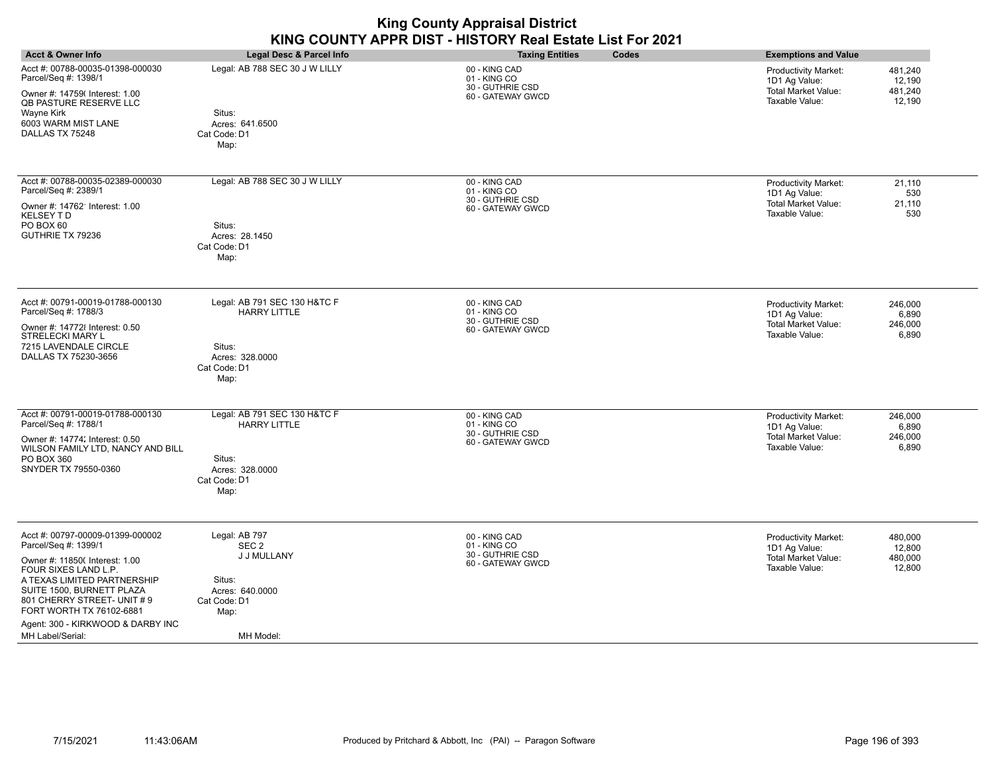| <b>King County Appraisal District</b><br>KING COUNTY APPR DIST - HISTORY Real Estate List For 2021                                                                                                                                                                                                |                                                                                                                    |                                                                        |                                                                                                                                 |  |
|---------------------------------------------------------------------------------------------------------------------------------------------------------------------------------------------------------------------------------------------------------------------------------------------------|--------------------------------------------------------------------------------------------------------------------|------------------------------------------------------------------------|---------------------------------------------------------------------------------------------------------------------------------|--|
| <b>Acct &amp; Owner Info</b>                                                                                                                                                                                                                                                                      | <b>Legal Desc &amp; Parcel Info</b>                                                                                | <b>Taxing Entities</b><br>Codes                                        | <b>Exemptions and Value</b>                                                                                                     |  |
| Acct #: 00788-00035-01398-000030<br>Parcel/Seq #: 1398/1<br>Owner #: 14759( Interest: 1.00<br><b>QB PASTURE RESERVE LLC</b><br>Wayne Kirk<br>6003 WARM MIST LANE<br>DALLAS TX 75248                                                                                                               | Legal: AB 788 SEC 30 J W LILLY<br>Situs:<br>Acres: 641.6500<br>Cat Code: D1<br>Map:                                | 00 - KING CAD<br>01 - KING CO<br>30 - GUTHRIE CSD<br>60 - GATEWAY GWCD | 481,240<br><b>Productivity Market:</b><br>1D1 Ag Value:<br>12,190<br>Total Market Value:<br>481,240<br>Taxable Value:<br>12,190 |  |
| Acct #: 00788-00035-02389-000030<br>Parcel/Seq #: 2389/1<br>Owner #: 14762' Interest: 1.00<br><b>KELSEY TD</b><br>PO BOX 60<br>GUTHRIE TX 79236                                                                                                                                                   | Legal: AB 788 SEC 30 J W LILLY<br>Situs:<br>Acres: 28.1450<br>Cat Code: D1<br>Map:                                 | 00 - KING CAD<br>01 - KING CO<br>30 - GUTHRIE CSD<br>60 - GATEWAY GWCD | Productivity Market:<br>21,110<br>1D1 Ag Value:<br>530<br>Total Market Value:<br>21,110<br>Taxable Value:<br>530                |  |
| Acct #: 00791-00019-01788-000130<br>Parcel/Seq #: 1788/3<br>Owner #: 147728 Interest: 0.50<br>STRELECKI MARY L<br>7215 LAVENDALE CIRCLE<br>DALLAS TX 75230-3656                                                                                                                                   | Legal: AB 791 SEC 130 H&TC F<br><b>HARRY LITTLE</b><br>Situs:<br>Acres: 328.0000<br>Cat Code: D1<br>Map:           | 00 - KING CAD<br>01 - KING CO<br>30 - GUTHRIE CSD<br>60 - GATEWAY GWCD | Productivity Market:<br>246,000<br>1D1 Ag Value:<br>6,890<br><b>Total Market Value:</b><br>246,000<br>Taxable Value:<br>6,890   |  |
| Acct #: 00791-00019-01788-000130<br>Parcel/Seq #: 1788/1<br>Owner #: 14774; Interest: 0.50<br>WILSON FAMILY LTD, NANCY AND BILL<br>PO BOX 360<br>SNYDER TX 79550-0360                                                                                                                             | Legal: AB 791 SEC 130 H&TC F<br><b>HARRY LITTLE</b><br>Situs:<br>Acres: 328.0000<br>Cat Code: D1<br>Map:           | 00 - KING CAD<br>01 - KING CO<br>30 - GUTHRIE CSD<br>60 - GATEWAY GWCD | Productivity Market:<br>246,000<br>1D1 Ag Value:<br>6,890<br><b>Total Market Value:</b><br>246,000<br>Taxable Value:<br>6,890   |  |
| Acct #: 00797-00009-01399-000002<br>Parcel/Seq #: 1399/1<br>Owner #: 11850( Interest: 1.00<br>FOUR SIXES LAND L.P.<br>A TEXAS LIMITED PARTNERSHIP<br>SUITE 1500, BURNETT PLAZA<br>801 CHERRY STREET- UNIT #9<br>FORT WORTH TX 76102-6881<br>Agent: 300 - KIRKWOOD & DARBY INC<br>MH Label/Serial: | Legal: AB 797<br>SEC <sub>2</sub><br>J J MULLANY<br>Situs:<br>Acres: 640,0000<br>Cat Code: D1<br>Map:<br>MH Model: | 00 - KING CAD<br>01 - KING CO<br>30 - GUTHRIE CSD<br>60 - GATEWAY GWCD | 480,000<br>Productivity Market:<br>1D1 Ag Value:<br>12,800<br>Total Market Value:<br>480,000<br>Taxable Value:<br>12,800        |  |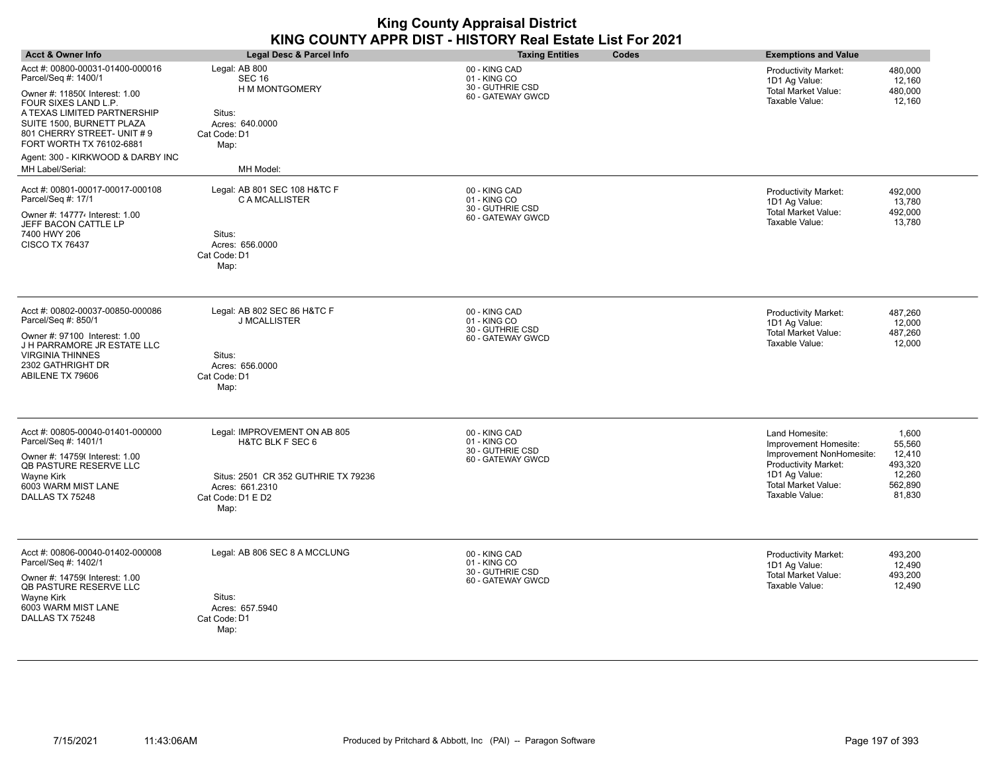| <b>Acct &amp; Owner Info</b>                                                                                                                                                                                                                                                                              | Legal Desc & Parcel Info                                                                                                                | <b>Taxing Entities</b><br>Codes                                        | <b>Exemptions and Value</b>                                                                                                                                                                                                                |
|-----------------------------------------------------------------------------------------------------------------------------------------------------------------------------------------------------------------------------------------------------------------------------------------------------------|-----------------------------------------------------------------------------------------------------------------------------------------|------------------------------------------------------------------------|--------------------------------------------------------------------------------------------------------------------------------------------------------------------------------------------------------------------------------------------|
| Acct #: 00800-00031-01400-000016<br>Parcel/Seq #: 1400/1<br>Owner #: 11850( Interest: 1.00<br>FOUR SIXES LAND L.P.<br>A TEXAS LIMITED PARTNERSHIP<br>SUITE 1500, BURNETT PLAZA<br>801 CHERRY STREET- UNIT # 9<br>FORT WORTH TX 76102-6881<br>Agent: 300 - KIRKWOOD & DARBY INC<br><b>MH Label/Serial:</b> | Legal: AB 800<br><b>SEC 16</b><br><b>H M MONTGOMERY</b><br>Situs:<br>Acres: 640.0000<br>Cat Code: D1<br>Map:<br>MH Model:               | 00 - KING CAD<br>01 - KING CO<br>30 - GUTHRIE CSD<br>60 - GATEWAY GWCD | <b>Productivity Market:</b><br>480,000<br>1D1 Ag Value:<br>12,160<br>480,000<br>Total Market Value:<br>Taxable Value:<br>12,160                                                                                                            |
| Acct #: 00801-00017-00017-000108<br>Parcel/Seq #: 17/1<br>Owner #: 147774 Interest: 1.00<br>JEFF BACON CATTLE LP<br>7400 HWY 206<br><b>CISCO TX 76437</b>                                                                                                                                                 | Legal: AB 801 SEC 108 H&TC F<br>C A MCALLISTER<br>Situs:<br>Acres: 656,0000<br>Cat Code: D1<br>Map:                                     | 00 - KING CAD<br>01 - KING CO<br>30 - GUTHRIE CSD<br>60 - GATEWAY GWCD | 492,000<br><b>Productivity Market:</b><br>1D1 Ag Value:<br>13,780<br><b>Total Market Value:</b><br>492,000<br>Taxable Value:<br>13,780                                                                                                     |
| Acct #: 00802-00037-00850-000086<br>Parcel/Seq #: 850/1<br>Owner #: 97100 Interest: 1.00<br>J H PARRAMORE JR ESTATE LLC<br><b>VIRGINIA THINNES</b><br>2302 GATHRIGHT DR<br>ABILENE TX 79606                                                                                                               | Legal: AB 802 SEC 86 H&TC F<br><b>J MCALLISTER</b><br>Situs:<br>Acres: 656.0000<br>Cat Code: D1<br>Map:                                 | 00 - KING CAD<br>01 - KING CO<br>30 - GUTHRIE CSD<br>60 - GATEWAY GWCD | 487,260<br><b>Productivity Market:</b><br>1D1 Ag Value:<br>12,000<br>Total Market Value:<br>487,260<br>Taxable Value:<br>12,000                                                                                                            |
| Acct #: 00805-00040-01401-000000<br>Parcel/Seq #: 1401/1<br>Owner #: 14759( Interest: 1.00<br>QB PASTURE RESERVE LLC<br>Wayne Kirk<br>6003 WARM MIST LANE<br>DALLAS TX 75248                                                                                                                              | Legal: IMPROVEMENT ON AB 805<br>H&TC BLK F SEC 6<br>Situs: 2501 CR 352 GUTHRIE TX 79236<br>Acres: 661.2310<br>Cat Code: D1 E D2<br>Map: | 00 - KING CAD<br>01 - KING CO<br>30 - GUTHRIE CSD<br>60 - GATEWAY GWCD | Land Homesite:<br>1,600<br>55,560<br>Improvement Homesite:<br>Improvement NonHomesite:<br>12,410<br><b>Productivity Market:</b><br>493,320<br>12,260<br>1D1 Ag Value:<br>562,890<br><b>Total Market Value:</b><br>Taxable Value:<br>81,830 |
| Acct #: 00806-00040-01402-000008<br>Parcel/Seq #: 1402/1<br>Owner #: 14759(Interest: 1.00<br>QB PASTURE RESERVE LLC<br>Wayne Kirk<br>6003 WARM MIST LANE<br>DALLAS TX 75248                                                                                                                               | Legal: AB 806 SEC 8 A MCCLUNG<br>Situs:<br>Acres: 657.5940<br>Cat Code: D1<br>Map:                                                      | 00 - KING CAD<br>01 - KING CO<br>30 - GUTHRIE CSD<br>60 - GATEWAY GWCD | 493,200<br><b>Productivity Market:</b><br>1D1 Ag Value:<br>12,490<br>493,200<br>Total Market Value:<br>12,490<br>Taxable Value:                                                                                                            |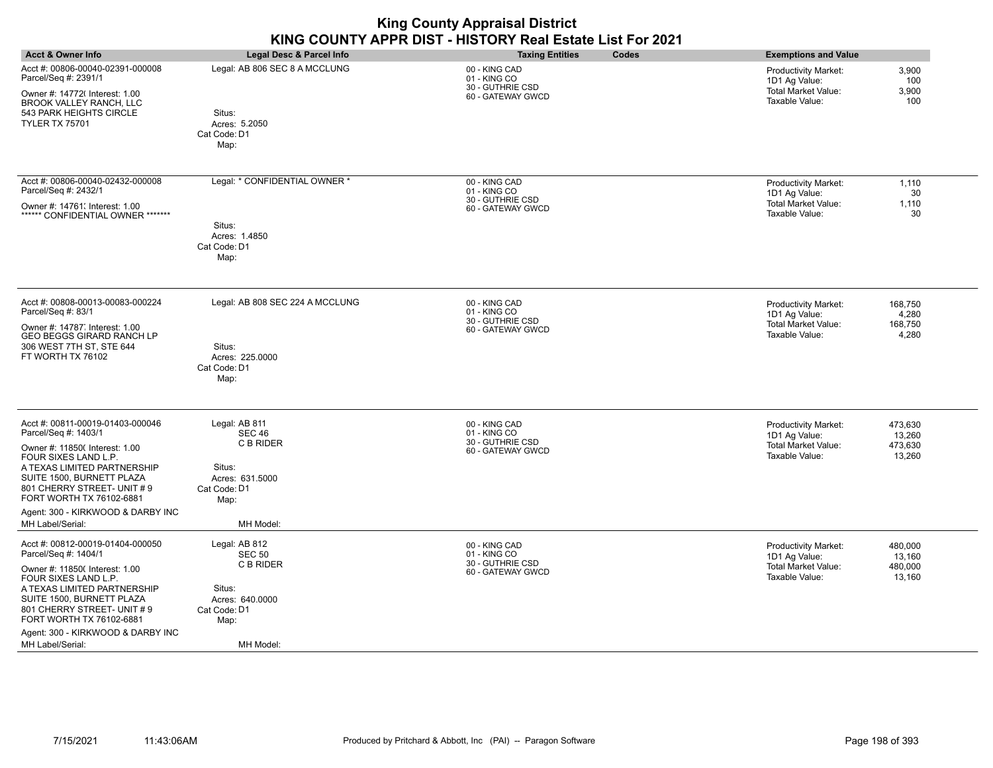| <b>King County Appraisal District</b><br>KING COUNTY APPR DIST - HISTORY Real Estate List For 2021                                                                                                                                                                                                |                                                                                                                   |                                                                        |                                                                                                                                        |  |
|---------------------------------------------------------------------------------------------------------------------------------------------------------------------------------------------------------------------------------------------------------------------------------------------------|-------------------------------------------------------------------------------------------------------------------|------------------------------------------------------------------------|----------------------------------------------------------------------------------------------------------------------------------------|--|
| <b>Acct &amp; Owner Info</b>                                                                                                                                                                                                                                                                      | <b>Legal Desc &amp; Parcel Info</b>                                                                               | <b>Taxing Entities</b><br>Codes                                        | <b>Exemptions and Value</b>                                                                                                            |  |
| Acct #: 00806-00040-02391-000008<br>Parcel/Seq #: 2391/1<br>Owner #: 14772( Interest: 1.00<br><b>BROOK VALLEY RANCH, LLC</b><br>543 PARK HEIGHTS CIRCLE<br><b>TYLER TX 75701</b>                                                                                                                  | Legal: AB 806 SEC 8 A MCCLUNG<br>Situs:<br>Acres: 5.2050                                                          | 00 - KING CAD<br>01 - KING CO<br>30 - GUTHRIE CSD<br>60 - GATEWAY GWCD | 3,900<br>Productivity Market:<br>1D1 Ag Value:<br>100<br><b>Total Market Value:</b><br>3,900<br>Taxable Value:<br>100                  |  |
| Acct #: 00806-00040-02432-000008<br>Parcel/Seq #: 2432/1<br>Owner #: 14761. Interest: 1.00<br>****** CONFIDENTIAL OWNER *******                                                                                                                                                                   | Cat Code: D1<br>Map:<br>Legal: * CONFIDENTIAL OWNER *<br>Situs:<br>Acres: 1.4850                                  | 00 - KING CAD<br>01 - KING CO<br>30 - GUTHRIE CSD<br>60 - GATEWAY GWCD | 1,110<br>Productivity Market:<br>1D1 Ag Value:<br>30<br><b>Total Market Value:</b><br>1,110<br>Taxable Value:<br>30                    |  |
| Acct #: 00808-00013-00083-000224<br>Parcel/Seq #: 83/1<br>Owner #: 14787, Interest: 1.00<br><b>GEO BEGGS GIRARD RANCH LP</b><br>306 WEST 7TH ST. STE 644<br>FT WORTH TX 76102                                                                                                                     | Cat Code: D1<br>Map:<br>Legal: AB 808 SEC 224 A MCCLUNG<br>Situs:<br>Acres: 225.0000<br>Cat Code: D1<br>Map:      | 00 - KING CAD<br>01 - KING CO<br>30 - GUTHRIE CSD<br>60 - GATEWAY GWCD | Productivity Market:<br>168.750<br>4,280<br>1D1 Ag Value:<br>Total Market Value:<br>168,750<br>Taxable Value:<br>4,280                 |  |
| Acct #: 00811-00019-01403-000046<br>Parcel/Seq #: 1403/1<br>Owner #: 11850( Interest: 1.00<br>FOUR SIXES LAND L.P.<br>A TEXAS LIMITED PARTNERSHIP<br>SUITE 1500, BURNETT PLAZA<br>801 CHERRY STREET- UNIT #9<br>FORT WORTH TX 76102-6881<br>Agent: 300 - KIRKWOOD & DARBY INC<br>MH Label/Serial: | Legal: AB 811<br>SEC <sub>46</sub><br>C B RIDER<br>Situs:<br>Acres: 631.5000<br>Cat Code: D1<br>Map:<br>MH Model: | 00 - KING CAD<br>01 - KING CO<br>30 - GUTHRIE CSD<br>60 - GATEWAY GWCD | 473.630<br><b>Productivity Market:</b><br>1D1 Ag Value:<br>13,260<br><b>Total Market Value:</b><br>473,630<br>Taxable Value:<br>13,260 |  |
| Acct #: 00812-00019-01404-000050<br>Parcel/Seq #: 1404/1<br>Owner #: 11850( Interest: 1.00<br>FOUR SIXES LAND L.P.<br>A TEXAS LIMITED PARTNERSHIP<br>SUITE 1500, BURNETT PLAZA<br>801 CHERRY STREET- UNIT #9<br>FORT WORTH TX 76102-6881<br>Agent: 300 - KIRKWOOD & DARBY INC<br>MH Label/Serial: | Legal: AB 812<br><b>SEC 50</b><br>C B RIDER<br>Situs:<br>Acres: 640.0000<br>Cat Code: D1<br>Map:<br>MH Model:     | 00 - KING CAD<br>01 - KING CO<br>30 - GUTHRIE CSD<br>60 - GATEWAY GWCD | 480,000<br>Productivity Market:<br>1D1 Ag Value:<br>13,160<br><b>Total Market Value:</b><br>480,000<br>Taxable Value:<br>13,160        |  |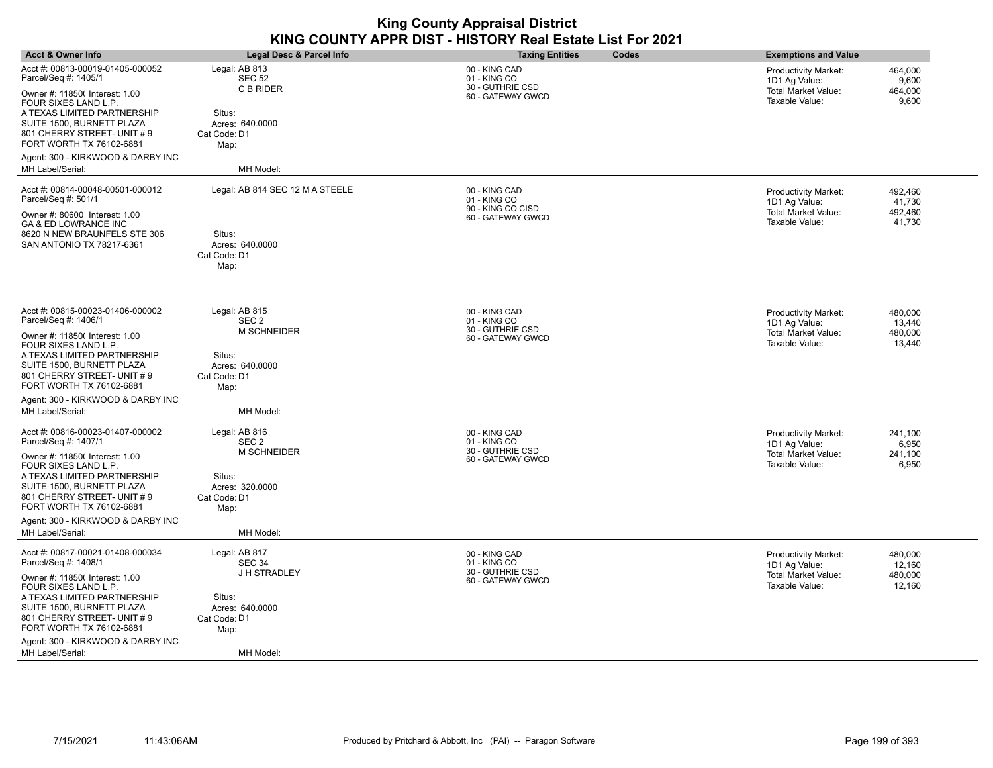|                                                                                                                                                                              |                                                                         | <b>King County Appraisal District</b><br>KING COUNTY APPR DIST - HISTORY Real Estate List For 2021 |                                                                   |
|------------------------------------------------------------------------------------------------------------------------------------------------------------------------------|-------------------------------------------------------------------------|----------------------------------------------------------------------------------------------------|-------------------------------------------------------------------|
| <b>Acct &amp; Owner Info</b>                                                                                                                                                 | <b>Legal Desc &amp; Parcel Info</b>                                     | <b>Taxing Entities</b><br>Codes                                                                    | <b>Exemptions and Value</b>                                       |
| Acct #: 00813-00019-01405-000052<br>Parcel/Seq #: 1405/1                                                                                                                     | Legal: AB 813<br><b>SEC 52</b>                                          | 00 - KING CAD<br>01 - KING CO                                                                      | 464,000<br><b>Productivity Market:</b><br>1D1 Ag Value:<br>9,600  |
| Owner #: 11850( Interest: 1.00<br>FOUR SIXES LAND L.P.<br>A TEXAS LIMITED PARTNERSHIP<br>SUITE 1500. BURNETT PLAZA<br>801 CHERRY STREET- UNIT #9<br>FORT WORTH TX 76102-6881 | C B RIDER<br>Situs:<br>Acres: 640.0000<br>Cat Code: D1<br>Map:          | 30 - GUTHRIE CSD<br>60 - GATEWAY GWCD                                                              | <b>Total Market Value:</b><br>464,000<br>Taxable Value:<br>9,600  |
| Agent: 300 - KIRKWOOD & DARBY INC<br>MH Label/Serial:                                                                                                                        | MH Model:                                                               |                                                                                                    |                                                                   |
| Acct #: 00814-00048-00501-000012<br>Parcel/Seq #: 501/1                                                                                                                      | Legal: AB 814 SEC 12 M A STEELE                                         | 00 - KING CAD<br>01 - KING CO                                                                      | 492,460<br>Productivity Market:<br>1D1 Ag Value:<br>41,730        |
| Owner #: 80600 Interest: 1.00<br>GA & ED LOWRANCE INC<br>8620 N NEW BRAUNFELS STE 306<br>SAN ANTONIO TX 78217-6361                                                           | Situs:<br>Acres: 640.0000<br>Cat Code: D1<br>Map:                       | 90 - KING CO CISD<br>60 - GATEWAY GWCD                                                             | Total Market Value:<br>492,460<br>Taxable Value:<br>41.730        |
| Acct #: 00815-00023-01406-000002<br>Parcel/Seq #: 1406/1                                                                                                                     | Legal: AB 815<br>SEC <sub>2</sub>                                       | 00 - KING CAD<br>01 - KING CO                                                                      | <b>Productivity Market:</b><br>480.000<br>13,440<br>1D1 Ag Value: |
| Owner #: 11850( Interest: 1.00<br>FOUR SIXES LAND L.P.<br>A TEXAS LIMITED PARTNERSHIP<br>SUITE 1500, BURNETT PLAZA<br>801 CHERRY STREET- UNIT #9<br>FORT WORTH TX 76102-6881 | <b>M SCHNEIDER</b><br>Situs:<br>Acres: 640.0000<br>Cat Code: D1<br>Map: | 30 - GUTHRIE CSD<br>60 - GATEWAY GWCD                                                              | Total Market Value:<br>480,000<br>Taxable Value:<br>13,440        |
| Agent: 300 - KIRKWOOD & DARBY INC<br>MH Label/Serial:                                                                                                                        | MH Model:                                                               |                                                                                                    |                                                                   |
| Acct #: 00816-00023-01407-000002<br>Parcel/Seq #: 1407/1                                                                                                                     | Legal: AB 816<br>SEC <sub>2</sub>                                       | 00 - KING CAD<br>01 - KING CO                                                                      | <b>Productivity Market:</b><br>241,100<br>1D1 Ag Value:<br>6,950  |
| Owner #: 11850( Interest: 1.00<br>FOUR SIXES LAND L.P.<br>A TEXAS LIMITED PARTNERSHIP<br>SUITE 1500. BURNETT PLAZA<br>801 CHERRY STREET- UNIT #9<br>FORT WORTH TX 76102-6881 | <b>M SCHNEIDER</b><br>Situs:<br>Acres: 320,0000<br>Cat Code: D1<br>Map: | 30 - GUTHRIE CSD<br>60 - GATEWAY GWCD                                                              | <b>Total Market Value:</b><br>241,100<br>Taxable Value:<br>6,950  |
| Agent: 300 - KIRKWOOD & DARBY INC<br>MH Label/Serial:                                                                                                                        | MH Model:                                                               |                                                                                                    |                                                                   |
| Acct #: 00817-00021-01408-000034<br>Parcel/Seq #: 1408/1                                                                                                                     | Legal: AB 817<br><b>SEC 34</b>                                          | 00 - KING CAD<br>01 - KING CO                                                                      | 480,000<br>Productivity Market:<br>1D1 Ag Value:<br>12,160        |
| Owner #: 11850( Interest: 1.00<br>FOUR SIXES LAND L.P.<br>A TEXAS LIMITED PARTNERSHIP<br>SUITE 1500, BURNETT PLAZA<br>801 CHERRY STREET- UNIT #9<br>FORT WORTH TX 76102-6881 | J H STRADLEY<br>Situs:<br>Acres: 640.0000<br>Cat Code: D1<br>Map:       | 30 - GUTHRIE CSD<br>60 - GATEWAY GWCD                                                              | Total Market Value:<br>480,000<br>Taxable Value:<br>12,160        |
| Agent: 300 - KIRKWOOD & DARBY INC<br>MH Label/Serial:                                                                                                                        | MH Model:                                                               |                                                                                                    |                                                                   |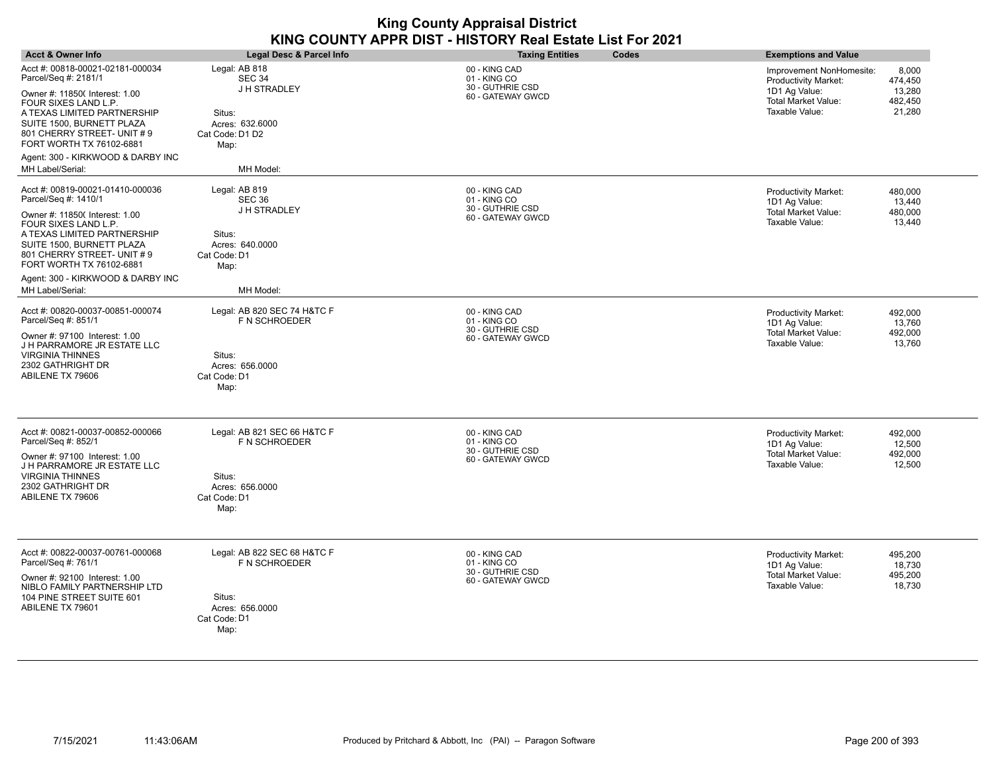| <b>Acct &amp; Owner Info</b>                                                                                                                                                  | Legal Desc & Parcel Info                                                 | <b>Taxing Entities</b><br>Codes                                        | <b>Exemptions and Value</b>                                                                                       |                                                 |
|-------------------------------------------------------------------------------------------------------------------------------------------------------------------------------|--------------------------------------------------------------------------|------------------------------------------------------------------------|-------------------------------------------------------------------------------------------------------------------|-------------------------------------------------|
| Acct #: 00818-00021-02181-000034<br>Parcel/Seq #: 2181/1<br>Owner #: 11850( Interest: 1.00<br>FOUR SIXES LAND L.P.<br>A TEXAS LIMITED PARTNERSHIP                             | Legal: AB 818<br><b>SEC 34</b><br><b>JH STRADLEY</b><br>Situs:           | 00 - KING CAD<br>01 - KING CO<br>30 - GUTHRIE CSD<br>60 - GATEWAY GWCD | Improvement NonHomesite:<br><b>Productivity Market:</b><br>1D1 Ag Value:<br>Total Market Value:<br>Taxable Value: | 8,000<br>474,450<br>13,280<br>482,450<br>21,280 |
| SUITE 1500, BURNETT PLAZA<br>801 CHERRY STREET- UNIT # 9<br>FORT WORTH TX 76102-6881<br>Agent: 300 - KIRKWOOD & DARBY INC                                                     | Acres: 632,6000<br>Cat Code: D1 D2<br>Map:                               |                                                                        |                                                                                                                   |                                                 |
| MH Label/Serial:                                                                                                                                                              | MH Model:                                                                |                                                                        |                                                                                                                   |                                                 |
| Acct #: 00819-00021-01410-000036<br>Parcel/Seq #: 1410/1                                                                                                                      | Legal: AB 819<br>SEC 36                                                  | 00 - KING CAD<br>01 - KING CO<br>30 - GUTHRIE CSD                      | <b>Productivity Market:</b><br>1D1 Ag Value:                                                                      | 480,000<br>13,440                               |
| Owner #: 11850( Interest: 1.00<br>FOUR SIXES LAND L.P.<br>A TEXAS LIMITED PARTNERSHIP<br>SUITE 1500, BURNETT PLAZA<br>801 CHERRY STREET- UNIT # 9<br>FORT WORTH TX 76102-6881 | <b>J H STRADLEY</b><br>Situs:<br>Acres: 640.0000<br>Cat Code: D1<br>Map: | 60 - GATEWAY GWCD                                                      | <b>Total Market Value:</b><br>Taxable Value:                                                                      | 480,000<br>13,440                               |
| Agent: 300 - KIRKWOOD & DARBY INC<br>MH Label/Serial:                                                                                                                         | MH Model:                                                                |                                                                        |                                                                                                                   |                                                 |
| Acct #: 00820-00037-00851-000074<br>Parcel/Seq #: 851/1                                                                                                                       | Legal: AB 820 SEC 74 H&TC F<br>F N SCHROEDER                             | 00 - KING CAD<br>01 - KING CO<br>30 - GUTHRIE CSD                      | <b>Productivity Market:</b><br>1D1 Ag Value:                                                                      | 492,000<br>13,760                               |
| Owner #: 97100 Interest: 1.00<br>J H PARRAMORE JR ESTATE LLC<br>VIRGINIA THINNES<br>2302 GATHRIGHT DR<br>ABILENE TX 79606                                                     | Situs:<br>Acres: 656.0000<br>Cat Code: D1<br>Map:                        | 60 - GATEWAY GWCD                                                      | Total Market Value:<br>Taxable Value:                                                                             | 492,000<br>13,760                               |
| Acct #: 00821-00037-00852-000066<br>Parcel/Seq #: 852/1<br>Owner #: 97100 Interest: 1.00                                                                                      | Legal: AB 821 SEC 66 H&TC F<br>F N SCHROEDER                             | 00 - KING CAD<br>01 - KING CO<br>30 - GUTHRIE CSD<br>60 - GATEWAY GWCD | <b>Productivity Market:</b><br>1D1 Ag Value:<br><b>Total Market Value:</b><br>Taxable Value:                      | 492,000<br>12,500<br>492,000<br>12,500          |
| J H PARRAMORE JR ESTATE LLC<br><b>VIRGINIA THINNES</b><br>2302 GATHRIGHT DR<br>ABILENE TX 79606                                                                               | Situs:<br>Acres: 656,0000<br>Cat Code: D1<br>Map:                        |                                                                        |                                                                                                                   |                                                 |
| Acct #: 00822-00037-00761-000068<br>Parcel/Seq #: 761/1                                                                                                                       | Legal: AB 822 SEC 68 H&TC F<br><b>F N SCHROEDER</b>                      | 00 - KING CAD<br>01 - KING CO<br>30 - GUTHRIE CSD                      | <b>Productivity Market:</b><br>1D1 Ag Value:                                                                      | 495,200<br>18,730                               |
| Owner #: 92100 Interest: 1.00<br>NIBLO FAMILY PARTNERSHIP LTD<br>104 PINE STREET SUITE 601<br>ABILENE TX 79601                                                                | Situs:<br>Acres: 656.0000<br>Cat Code: D1<br>Map:                        | 60 - GATEWAY GWCD                                                      | Total Market Value:<br>Taxable Value:                                                                             | 495,200<br>18,730                               |

÷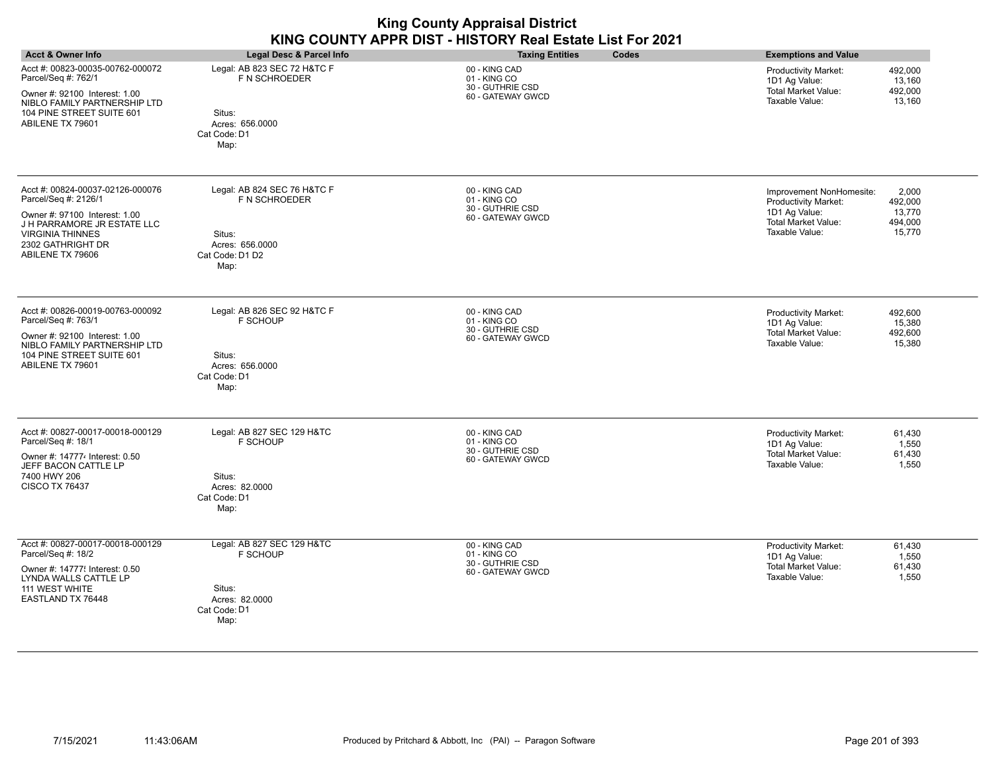| <b>King County Appraisal District</b><br>KING COUNTY APPR DIST - HISTORY Real Estate List For 2021                                                                                           |                                                                                                      |                                                                        |                                                                                                                                                                      |  |
|----------------------------------------------------------------------------------------------------------------------------------------------------------------------------------------------|------------------------------------------------------------------------------------------------------|------------------------------------------------------------------------|----------------------------------------------------------------------------------------------------------------------------------------------------------------------|--|
| <b>Acct &amp; Owner Info</b>                                                                                                                                                                 | Legal Desc & Parcel Info                                                                             | <b>Taxing Entities</b><br>Codes                                        | <b>Exemptions and Value</b>                                                                                                                                          |  |
| Acct #: 00823-00035-00762-000072<br>Parcel/Seq #: 762/1<br>Owner #: 92100 Interest: 1.00<br>NIBLO FAMILY PARTNERSHIP LTD<br>104 PINE STREET SUITE 601<br>ABILENE TX 79601                    | Legal: AB 823 SEC 72 H&TC F<br>F N SCHROEDER<br>Situs:<br>Acres: 656.0000<br>Cat Code: D1<br>Map:    | 00 - KING CAD<br>01 - KING CO<br>30 - GUTHRIE CSD<br>60 - GATEWAY GWCD | Productivity Market:<br>492.000<br>1D1 Ag Value:<br>13,160<br><b>Total Market Value:</b><br>492,000<br>Taxable Value:<br>13,160                                      |  |
| Acct #: 00824-00037-02126-000076<br>Parcel/Seq #: 2126/1<br>Owner #: 97100 Interest: 1.00<br>J H PARRAMORE JR ESTATE LLC<br><b>VIRGINIA THINNES</b><br>2302 GATHRIGHT DR<br>ABILENE TX 79606 | Legal: AB 824 SEC 76 H&TC F<br>F N SCHROEDER<br>Situs:<br>Acres: 656.0000<br>Cat Code: D1 D2<br>Map: | 00 - KING CAD<br>01 - KING CO<br>30 - GUTHRIE CSD<br>60 - GATEWAY GWCD | 2.000<br>Improvement NonHomesite:<br>Productivity Market:<br>492.000<br>1D1 Ag Value:<br>13.770<br><b>Total Market Value:</b><br>494,000<br>Taxable Value:<br>15,770 |  |
| Acct #: 00826-00019-00763-000092<br>Parcel/Seq #: 763/1<br>Owner #: 92100 Interest: 1.00<br>NIBLO FAMILY PARTNERSHIP LTD<br>104 PINE STREET SUITE 601<br>ABILENE TX 79601                    | Legal: AB 826 SEC 92 H&TC F<br><b>F SCHOUP</b><br>Situs:<br>Acres: 656.0000<br>Cat Code: D1<br>Map:  | 00 - KING CAD<br>01 - KING CO<br>30 - GUTHRIE CSD<br>60 - GATEWAY GWCD | Productivity Market:<br>492,600<br>1D1 Ag Value:<br>15,380<br><b>Total Market Value:</b><br>492,600<br>Taxable Value:<br>15,380                                      |  |
| Acct #: 00827-00017-00018-000129<br>Parcel/Seq #: 18/1<br>Owner #: 147774 Interest: 0.50<br>JEFF BACON CATTLE LP<br>7400 HWY 206<br><b>CISCO TX 76437</b>                                    | Legal: AB 827 SEC 129 H&TC<br>F SCHOUP<br>Situs:<br>Acres: 82.0000<br>Cat Code: D1<br>Map:           | 00 - KING CAD<br>01 - KING CO<br>30 - GUTHRIE CSD<br>60 - GATEWAY GWCD | Productivity Market:<br>61,430<br>1D1 Ag Value:<br>1,550<br><b>Total Market Value:</b><br>61,430<br>Taxable Value:<br>1,550                                          |  |
| Acct #: 00827-00017-00018-000129<br>Parcel/Seq #: 18/2<br>Owner #: 14777! Interest: 0.50<br>LYNDA WALLS CATTLE LP<br><b>111 WEST WHITE</b><br>EASTLAND TX 76448                              | Legal: AB 827 SEC 129 H&TC<br><b>F SCHOUP</b><br>Situs:<br>Acres: 82.0000<br>Cat Code: D1<br>Map:    | 00 - KING CAD<br>01 - KING CO<br>30 - GUTHRIE CSD<br>60 - GATEWAY GWCD | 61,430<br>Productivity Market:<br>1D1 Ag Value:<br>1,550<br><b>Total Market Value:</b><br>61,430<br>Taxable Value:<br>1,550                                          |  |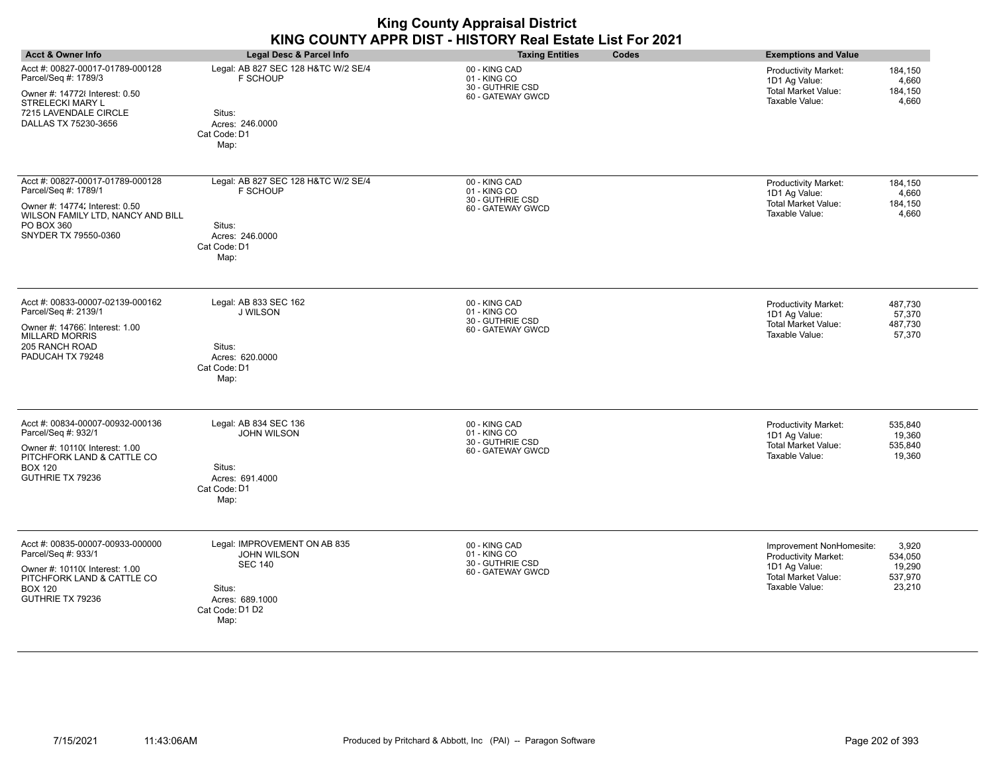| <b>Acct &amp; Owner Info</b>                                                                                                                                          | Legal Desc & Parcel Info                                                                                                     | <b>Taxing Entities</b><br>Codes                                        | <b>Exemptions and Value</b>                                                                                                                                          |
|-----------------------------------------------------------------------------------------------------------------------------------------------------------------------|------------------------------------------------------------------------------------------------------------------------------|------------------------------------------------------------------------|----------------------------------------------------------------------------------------------------------------------------------------------------------------------|
| Acct #: 00827-00017-01789-000128<br>Parcel/Seq #: 1789/3<br>Owner #: 147728 Interest: 0.50<br>STRELECKI MARY L<br>7215 LAVENDALE CIRCLE<br>DALLAS TX 75230-3656       | Legal: AB 827 SEC 128 H&TC W/2 SE/4<br>F SCHOUP<br>Situs:<br>Acres: 246.0000<br>Cat Code: D1<br>Map:                         | 00 - KING CAD<br>01 - KING CO<br>30 - GUTHRIE CSD<br>60 - GATEWAY GWCD | Productivity Market:<br>184,150<br>1D1 Ag Value:<br>4,660<br><b>Total Market Value:</b><br>184,150<br>Taxable Value:<br>4,660                                        |
| Acct #: 00827-00017-01789-000128<br>Parcel/Seq #: 1789/1<br>Owner #: 14774; Interest: 0.50<br>WILSON FAMILY LTD, NANCY AND BILL<br>PO BOX 360<br>SNYDER TX 79550-0360 | Legal: AB 827 SEC 128 H&TC W/2 SE/4<br><b>F SCHOUP</b><br>Situs:<br>Acres: 246.0000<br>Cat Code: D1<br>Map:                  | 00 - KING CAD<br>01 - KING CO<br>30 - GUTHRIE CSD<br>60 - GATEWAY GWCD | Productivity Market:<br>184,150<br>1D1 Ag Value:<br>4,660<br><b>Total Market Value:</b><br>184,150<br>Taxable Value:<br>4,660                                        |
| Acct #: 00833-00007-02139-000162<br>Parcel/Seq #: 2139/1<br>Owner #: 14766. Interest: 1.00<br><b>MILLARD MORRIS</b><br>205 RANCH ROAD<br>PADUCAH TX 79248             | Legal: AB 833 SEC 162<br><b>J WILSON</b><br>Situs:<br>Acres: 620,0000<br>Cat Code: D1<br>Map:                                | 00 - KING CAD<br>01 - KING CO<br>30 - GUTHRIE CSD<br>60 - GATEWAY GWCD | Productivity Market:<br>487,730<br>1D1 Ag Value:<br>57,370<br><b>Total Market Value:</b><br>487,730<br>Taxable Value:<br>57,370                                      |
| Acct #: 00834-00007-00932-000136<br>Parcel/Seq #: 932/1<br>Owner #: 10110( Interest: 1.00<br>PITCHFORK LAND & CATTLE CO<br><b>BOX 120</b><br>GUTHRIE TX 79236         | Legal: AB 834 SEC 136<br><b>JOHN WILSON</b><br>Situs:<br>Acres: 691.4000<br>Cat Code: D1<br>Map:                             | 00 - KING CAD<br>01 - KING CO<br>30 - GUTHRIE CSD<br>60 - GATEWAY GWCD | Productivity Market:<br>535,840<br>1D1 Ag Value:<br>19,360<br>Total Market Value:<br>535,840<br>Taxable Value:<br>19,360                                             |
| Acct #: 00835-00007-00933-000000<br>Parcel/Seq #: 933/1<br>Owner #: 10110( Interest: 1.00<br>PITCHFORK LAND & CATTLE CO<br><b>BOX 120</b><br>GUTHRIE TX 79236         | Legal: IMPROVEMENT ON AB 835<br><b>JOHN WILSON</b><br><b>SEC 140</b><br>Situs:<br>Acres: 689.1000<br>Cat Code: D1 D2<br>Map: | 00 - KING CAD<br>01 - KING CO<br>30 - GUTHRIE CSD<br>60 - GATEWAY GWCD | Improvement NonHomesite:<br>3,920<br>Productivity Market:<br>534,050<br>1D1 Ag Value:<br>19,290<br><b>Total Market Value:</b><br>537,970<br>Taxable Value:<br>23,210 |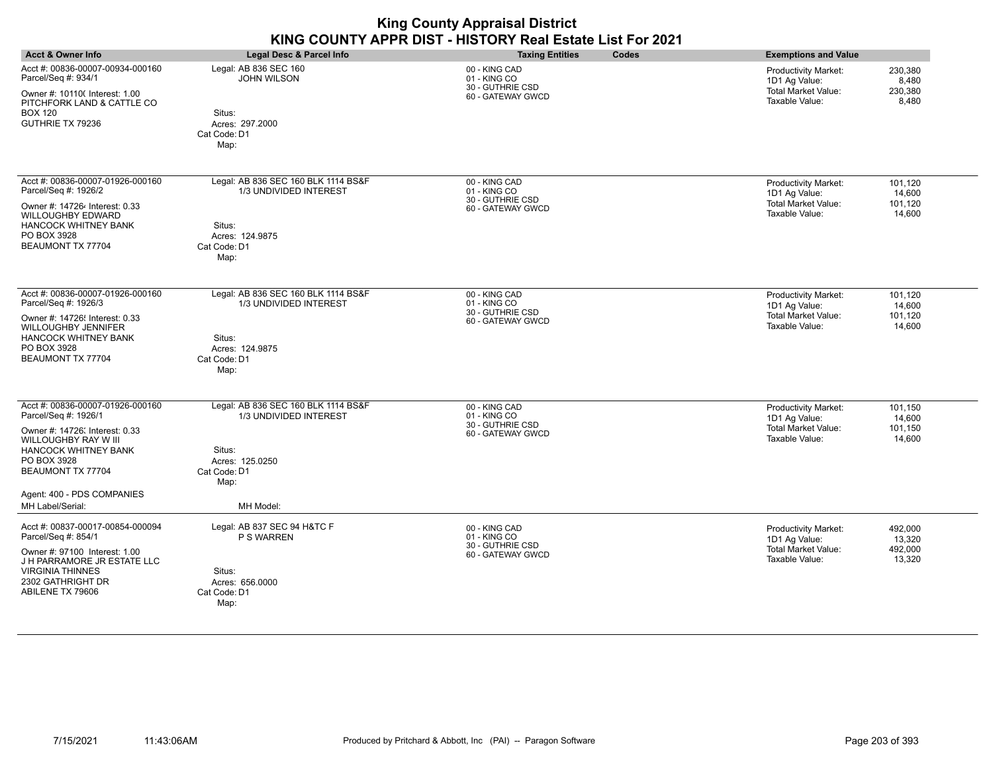| <b>King County Appraisal District</b><br>KING COUNTY APPR DIST - HISTORY Real Estate List For 2021                                                                                                                  |                                                                                                                    |                                                                        |                                                                                                                                        |  |
|---------------------------------------------------------------------------------------------------------------------------------------------------------------------------------------------------------------------|--------------------------------------------------------------------------------------------------------------------|------------------------------------------------------------------------|----------------------------------------------------------------------------------------------------------------------------------------|--|
| <b>Acct &amp; Owner Info</b>                                                                                                                                                                                        | Legal Desc & Parcel Info                                                                                           | <b>Taxing Entities</b><br>Codes                                        | <b>Exemptions and Value</b>                                                                                                            |  |
| Acct #: 00836-00007-00934-000160<br>Parcel/Seq #: 934/1<br>Owner #: 101100 Interest: 1.00<br>PITCHFORK LAND & CATTLE CO<br><b>BOX 120</b><br>GUTHRIE TX 79236                                                       | Legal: AB 836 SEC 160<br><b>JOHN WILSON</b><br>Situs:<br>Acres: 297.2000<br>Cat Code: D1<br>Map:                   | 00 - KING CAD<br>01 - KING CO<br>30 - GUTHRIE CSD<br>60 - GATEWAY GWCD | 230,380<br><b>Productivity Market:</b><br>1D1 Ag Value:<br>8.480<br><b>Total Market Value:</b><br>230,380<br>Taxable Value:<br>8,480   |  |
| Acct #: 00836-00007-01926-000160<br>Parcel/Seq #: 1926/2<br>Owner #: 147264 Interest: 0.33<br><b>WILLOUGHBY EDWARD</b><br><b>HANCOCK WHITNEY BANK</b><br>PO BOX 3928<br>BEAUMONT TX 77704                           | Legal: AB 836 SEC 160 BLK 1114 BS&F<br>1/3 UNDIVIDED INTEREST<br>Situs:<br>Acres: 124.9875<br>Cat Code: D1<br>Map: | 00 - KING CAD<br>01 - KING CO<br>30 - GUTHRIE CSD<br>60 - GATEWAY GWCD | Productivity Market:<br>101.120<br>14,600<br>1D1 Ag Value:<br><b>Total Market Value:</b><br>101,120<br>Taxable Value:<br>14,600        |  |
| Acct #: 00836-00007-01926-000160<br>Parcel/Seq #: 1926/3<br>Owner #: 14726! Interest: 0.33<br><b>WILLOUGHBY JENNIFER</b><br><b>HANCOCK WHITNEY BANK</b><br>PO BOX 3928<br>BEAUMONT TX 77704                         | Legal: AB 836 SEC 160 BLK 1114 BS&F<br>1/3 UNDIVIDED INTEREST<br>Situs:<br>Acres: 124.9875<br>Cat Code: D1<br>Map: | 00 - KING CAD<br>01 - KING CO<br>30 - GUTHRIE CSD<br>60 - GATEWAY GWCD | Productivity Market:<br>101,120<br>1D1 Ag Value:<br>14,600<br><b>Total Market Value:</b><br>101,120<br>Taxable Value:<br>14,600        |  |
| Acct #: 00836-00007-01926-000160<br>Parcel/Seq #: 1926/1<br>Owner #: 14726; Interest: 0.33<br>WILLOUGHBY RAY W III<br><b>HANCOCK WHITNEY BANK</b><br>PO BOX 3928<br>BEAUMONT TX 77704<br>Agent: 400 - PDS COMPANIES | Legal: AB 836 SEC 160 BLK 1114 BS&F<br>1/3 UNDIVIDED INTEREST<br>Situs:<br>Acres: 125.0250<br>Cat Code: D1<br>Map: | 00 - KING CAD<br>01 - KING CO<br>30 - GUTHRIE CSD<br>60 - GATEWAY GWCD | <b>Productivity Market:</b><br>101,150<br>1D1 Ag Value:<br>14,600<br><b>Total Market Value:</b><br>101,150<br>Taxable Value:<br>14,600 |  |
| MH Label/Serial:                                                                                                                                                                                                    | MH Model:                                                                                                          |                                                                        |                                                                                                                                        |  |
| Acct #: 00837-00017-00854-000094<br>Parcel/Seq #: 854/1<br>Owner #: 97100 Interest: 1.00<br>J H PARRAMORE JR ESTATE LLC<br><b>VIRGINIA THINNES</b><br>2302 GATHRIGHT DR<br>ABILENE TX 79606                         | Legal: AB 837 SEC 94 H&TC F<br>P S WARREN<br>Situs:<br>Acres: 656.0000<br>Cat Code: D1<br>Map:                     | 00 - KING CAD<br>01 - KING CO<br>30 - GUTHRIE CSD<br>60 - GATEWAY GWCD | 492.000<br><b>Productivity Market:</b><br>1D1 Ag Value:<br>13,320<br><b>Total Market Value:</b><br>492,000<br>Taxable Value:<br>13.320 |  |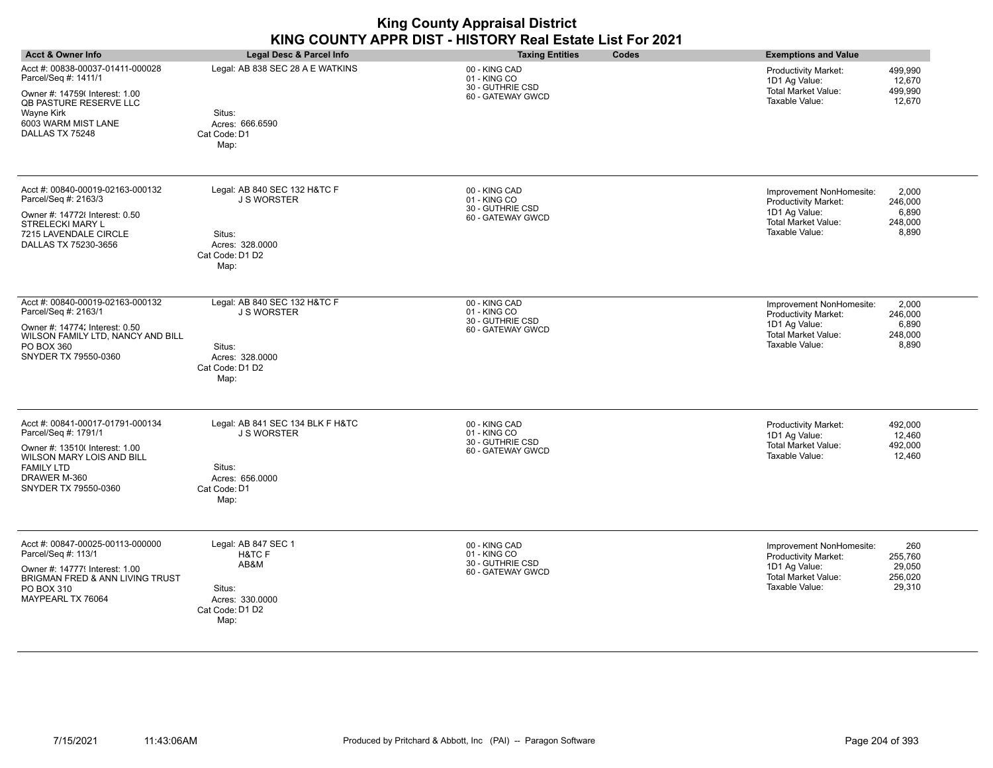| <b>Acct &amp; Owner Info</b>                                                        | Legal Desc & Parcel Info                               | <b>Taxing Entities</b><br>Codes       | <b>Exemptions and Value</b>                                                                |  |
|-------------------------------------------------------------------------------------|--------------------------------------------------------|---------------------------------------|--------------------------------------------------------------------------------------------|--|
| Acct #: 00838-00037-01411-000028<br>Parcel/Seq #: 1411/1                            | Legal: AB 838 SEC 28 A E WATKINS                       | 00 - KING CAD<br>01 - KING CO         | <b>Productivity Market:</b><br>499,990<br>1D1 Ag Value:<br>12,670                          |  |
| Owner #: 14759(Interest: 1.00<br><b>QB PASTURE RESERVE LLC</b><br><b>Wayne Kirk</b> | Situs:                                                 | 30 - GUTHRIE CSD<br>60 - GATEWAY GWCD | <b>Total Market Value:</b><br>499,990<br>Taxable Value:<br>12,670                          |  |
| 6003 WARM MIST LANE<br>DALLAS TX 75248                                              | Acres: 666.6590<br>Cat Code: D1<br>Map:                |                                       |                                                                                            |  |
| Acct #: 00840-00019-02163-000132<br>Parcel/Seq #: 2163/3                            | Legal: AB 840 SEC 132 H&TC F<br><b>J S WORSTER</b>     | 00 - KING CAD<br>01 - KING CO         | 2,000<br>Improvement NonHomesite:<br><b>Productivity Market:</b><br>246,000                |  |
| Owner #: 147728 Interest: 0.50<br>STRELECKI MARY L                                  |                                                        | 30 - GUTHRIE CSD<br>60 - GATEWAY GWCD | 1D1 Ag Value:<br>6,890<br><b>Total Market Value:</b><br>248,000                            |  |
| 7215 LAVENDALE CIRCLE<br>DALLAS TX 75230-3656                                       | Situs:<br>Acres: 328,0000<br>Cat Code: D1 D2<br>Map:   |                                       | 8,890<br>Taxable Value:                                                                    |  |
| Acct #: 00840-00019-02163-000132<br>Parcel/Seq #: 2163/1                            | Legal: AB 840 SEC 132 H&TC F<br><b>J S WORSTER</b>     | 00 - KING CAD<br>01 - KING CO         | 2,000<br>Improvement NonHomesite:<br><b>Productivity Market:</b><br>246,000                |  |
| Owner #: 14774; Interest: 0.50<br>WILSON FAMILY LTD, NANCY AND BILL<br>PO BOX 360   | Situs:                                                 | 30 - GUTHRIE CSD<br>60 - GATEWAY GWCD | 1D1 Ag Value:<br>6,890<br><b>Total Market Value:</b><br>248,000<br>Taxable Value:<br>8,890 |  |
| SNYDER TX 79550-0360                                                                | Acres: 328.0000<br>Cat Code: D1 D2<br>Map:             |                                       |                                                                                            |  |
| Acct #: 00841-00017-01791-000134<br>Parcel/Seq #: 1791/1                            | Legal: AB 841 SEC 134 BLK F H&TC<br><b>J S WORSTER</b> | 00 - KING CAD<br>01 - KING CO         | <b>Productivity Market:</b><br>492.000<br>1D1 Ag Value:<br>12,460                          |  |
| Owner #: 13510( Interest: 1.00<br>WILSON MARY LOIS AND BILL                         |                                                        | 30 - GUTHRIE CSD<br>60 - GATEWAY GWCD | <b>Total Market Value:</b><br>492,000<br>Taxable Value:<br>12,460                          |  |
| <b>FAMILY LTD</b><br>DRAWER M-360                                                   | Situs:                                                 |                                       |                                                                                            |  |
| SNYDER TX 79550-0360                                                                | Acres: 656.0000<br>Cat Code: D1<br>Map:                |                                       |                                                                                            |  |
| Acct #: 00847-00025-00113-000000                                                    | Legal: AB 847 SEC 1                                    | 00 - KING CAD<br>01 - KING CO         | 260<br>Improvement NonHomesite:<br>255,760                                                 |  |
| Owner #: 14777! Interest: 1.00                                                      | AB&M                                                   | 30 - GUTHRIE CSD<br>60 - GATEWAY GWCD | 1D1 Ag Value:<br>29,050<br>256,020                                                         |  |
| PO BOX 310<br>MAYPEARL TX 76064                                                     | Situs:<br>Acres: 330.0000<br>Cat Code: D1 D2           |                                       | Taxable Value:<br>29,310                                                                   |  |
| Parcel/Seq #: 113/1<br>BRIGMAN FRED & ANN LIVING TRUST                              | H&TC F<br>Map:                                         |                                       | <b>Productivity Market:</b><br><b>Total Market Value:</b>                                  |  |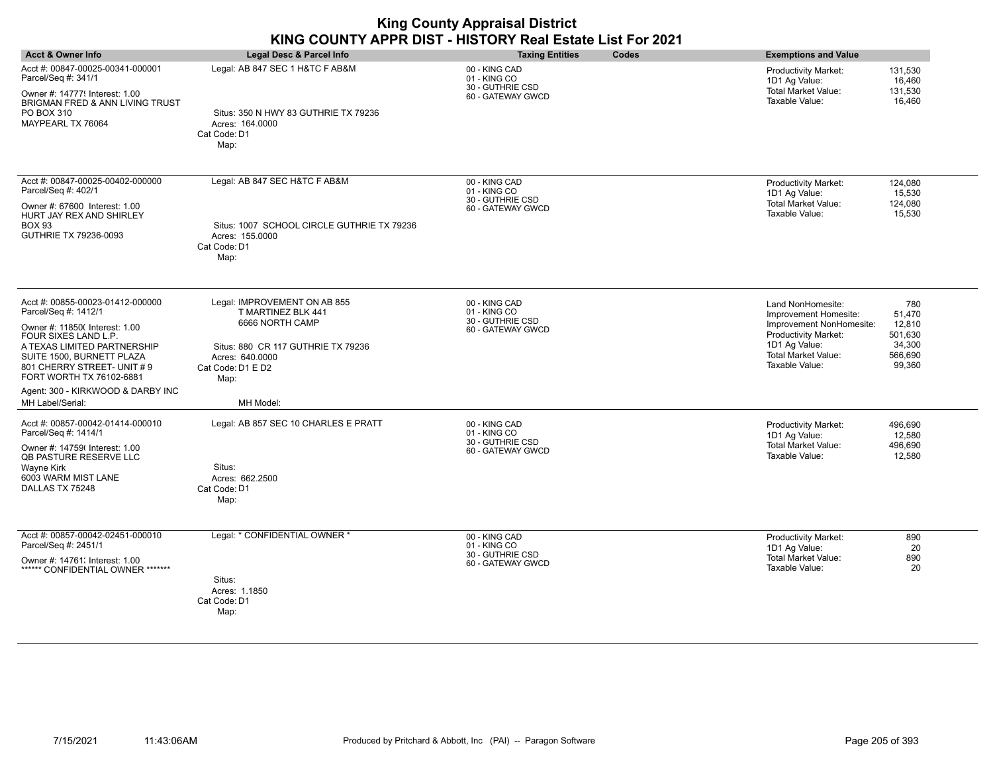| <b>Acct &amp; Owner Info</b>                                                                                                                                                                                                                                                                      | Legal Desc & Parcel Info                                                                                                                                                 | <b>Taxing Entities</b><br>Codes                                        | <b>Exemptions and Value</b>                                                                                                                                                                                                          |
|---------------------------------------------------------------------------------------------------------------------------------------------------------------------------------------------------------------------------------------------------------------------------------------------------|--------------------------------------------------------------------------------------------------------------------------------------------------------------------------|------------------------------------------------------------------------|--------------------------------------------------------------------------------------------------------------------------------------------------------------------------------------------------------------------------------------|
| Acct #: 00847-00025-00341-000001<br>Parcel/Seq #: 341/1<br>Owner #: 14777! Interest: 1.00<br><b>BRIGMAN FRED &amp; ANN LIVING TRUST</b><br>PO BOX 310<br>MAYPEARL TX 76064                                                                                                                        | Legal: AB 847 SEC 1 H&TC F AB&M<br>Situs: 350 N HWY 83 GUTHRIE TX 79236<br>Acres: 164.0000<br>Cat Code: D1<br>Map:                                                       | 00 - KING CAD<br>01 - KING CO<br>30 - GUTHRIE CSD<br>60 - GATEWAY GWCD | Productivity Market:<br>131,530<br>1D1 Ag Value:<br>16,460<br><b>Total Market Value:</b><br>131,530<br>Taxable Value:<br>16,460                                                                                                      |
| Acct #: 00847-00025-00402-000000<br>Parcel/Seq #: 402/1<br>Owner #: 67600 Interest: 1.00<br>HURT JAY REX AND SHIRLEY<br><b>BOX 93</b><br>GUTHRIE TX 79236-0093                                                                                                                                    | Legal: AB 847 SEC H&TC F AB&M<br>Situs: 1007 SCHOOL CIRCLE GUTHRIE TX 79236<br>Acres: 155.0000<br>Cat Code: D1<br>Map:                                                   | 00 - KING CAD<br>01 - KING CO<br>30 - GUTHRIE CSD<br>60 - GATEWAY GWCD | 124,080<br><b>Productivity Market:</b><br>1D1 Ag Value:<br>15,530<br>Total Market Value:<br>124,080<br>Taxable Value:<br>15,530                                                                                                      |
| Acct #: 00855-00023-01412-000000<br>Parcel/Seq #: 1412/1<br>Owner #: 11850( Interest: 1.00<br>FOUR SIXES LAND L.P.<br>A TEXAS LIMITED PARTNERSHIP<br>SUITE 1500, BURNETT PLAZA<br>801 CHERRY STREET- UNIT #9<br>FORT WORTH TX 76102-6881<br>Agent: 300 - KIRKWOOD & DARBY INC<br>MH Label/Serial: | Legal: IMPROVEMENT ON AB 855<br>T MARTINEZ BLK 441<br>6666 NORTH CAMP<br>Situs: 880 CR 117 GUTHRIE TX 79236<br>Acres: 640.0000<br>Cat Code: D1 E D2<br>Map:<br>MH Model: | 00 - KING CAD<br>01 - KING CO<br>30 - GUTHRIE CSD<br>60 - GATEWAY GWCD | Land NonHomesite:<br>780<br>51,470<br>Improvement Homesite:<br>Improvement NonHomesite:<br>12,810<br>Productivity Market:<br>501,630<br>1D1 Ag Value:<br>34,300<br><b>Total Market Value:</b><br>566,690<br>Taxable Value:<br>99,360 |
| Acct #: 00857-00042-01414-000010<br>Parcel/Seq #: 1414/1<br>Owner #: 14759( Interest: 1.00<br>QB PASTURE RESERVE LLC<br>Wayne Kirk<br>6003 WARM MIST LANE<br>DALLAS TX 75248                                                                                                                      | Legal: AB 857 SEC 10 CHARLES E PRATT<br>Situs:<br>Acres: 662.2500<br>Cat Code: D1<br>Map:                                                                                | 00 - KING CAD<br>01 - KING CO<br>30 - GUTHRIE CSD<br>60 - GATEWAY GWCD | Productivity Market:<br>496,690<br>1D1 Ag Value:<br>12,580<br><b>Total Market Value:</b><br>496,690<br>Taxable Value:<br>12,580                                                                                                      |
| Acct #: 00857-00042-02451-000010<br>Parcel/Seq #: 2451/1<br>Owner #: 14761. Interest: 1.00<br>****** CONFIDENTIAL OWNER *******                                                                                                                                                                   | Legal: * CONFIDENTIAL OWNER *<br>Situs:<br>Acres: 1.1850<br>Cat Code: D1<br>Map:                                                                                         | 00 - KING CAD<br>01 - KING CO<br>30 - GUTHRIE CSD<br>60 - GATEWAY GWCD | Productivity Market:<br>890<br>1D1 Ag Value:<br>20<br>Total Market Value:<br>890<br>Taxable Value:<br>20                                                                                                                             |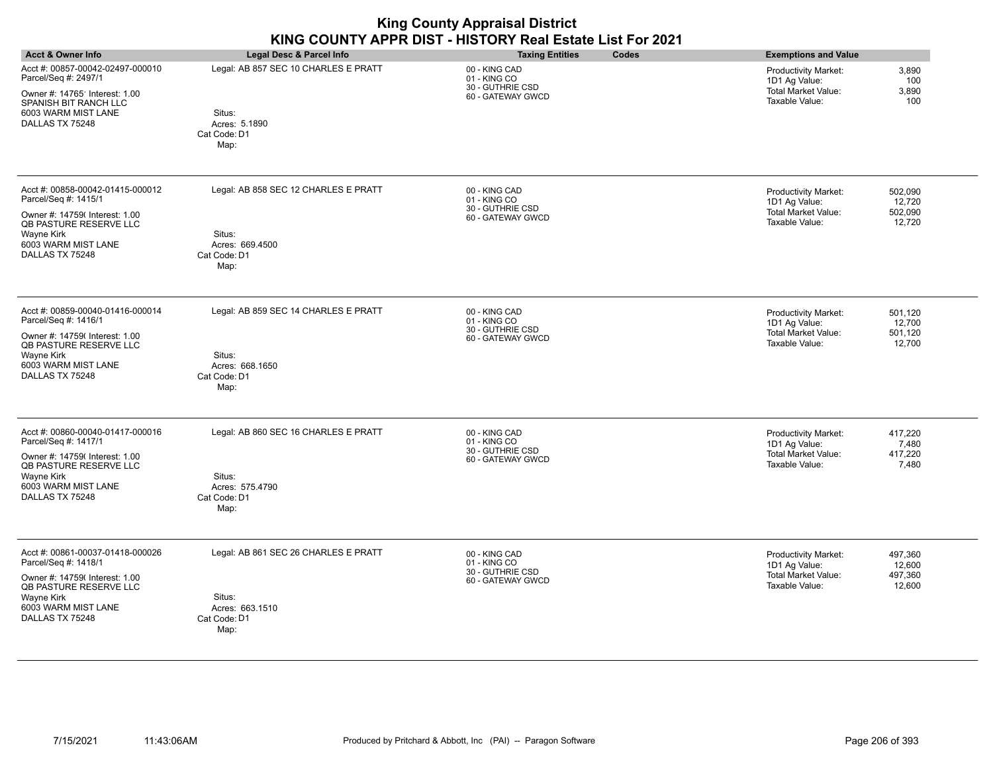| <b>Acct &amp; Owner Info</b>                                                                                                                                                 | Legal Desc & Parcel Info                                                                  | <b>Taxing Entities</b><br>Codes                                        | <b>Exemptions and Value</b>                                                                                                     |
|------------------------------------------------------------------------------------------------------------------------------------------------------------------------------|-------------------------------------------------------------------------------------------|------------------------------------------------------------------------|---------------------------------------------------------------------------------------------------------------------------------|
| Acct #: 00857-00042-02497-000010<br>Parcel/Seq #: 2497/1<br>Owner #: 14765' Interest: 1.00<br>SPANISH BIT RANCH LLC<br>6003 WARM MIST LANE<br>DALLAS TX 75248                | Legal: AB 857 SEC 10 CHARLES E PRATT<br>Situs:<br>Acres: 5.1890<br>Cat Code: D1<br>Map:   | 00 - KING CAD<br>01 - KING CO<br>30 - GUTHRIE CSD<br>60 - GATEWAY GWCD | 3,890<br>Productivity Market:<br>1D1 Ag Value:<br>100<br>Total Market Value:<br>3,890<br>Taxable Value:<br>100                  |
| Acct #: 00858-00042-01415-000012<br>Parcel/Seq #: 1415/1<br>Owner #: 14759( Interest: 1.00<br>QB PASTURE RESERVE LLC<br>Wayne Kirk<br>6003 WARM MIST LANE<br>DALLAS TX 75248 | Legal: AB 858 SEC 12 CHARLES E PRATT<br>Situs:<br>Acres: 669.4500<br>Cat Code: D1<br>Map: | 00 - KING CAD<br>01 - KING CO<br>30 - GUTHRIE CSD<br>60 - GATEWAY GWCD | 502,090<br>Productivity Market:<br>1D1 Ag Value:<br>12,720<br><b>Total Market Value:</b><br>502,090<br>Taxable Value:<br>12,720 |
| Acct #: 00859-00040-01416-000014<br>Parcel/Seq #: 1416/1<br>Owner #: 14759( Interest: 1.00<br>QB PASTURE RESERVE LLC<br>Wayne Kirk<br>6003 WARM MIST LANE<br>DALLAS TX 75248 | Legal: AB 859 SEC 14 CHARLES E PRATT<br>Situs:<br>Acres: 668.1650<br>Cat Code: D1<br>Map: | 00 - KING CAD<br>01 - KING CO<br>30 - GUTHRIE CSD<br>60 - GATEWAY GWCD | Productivity Market:<br>501,120<br>1D1 Ag Value:<br>12,700<br>Total Market Value:<br>501,120<br>12,700<br>Taxable Value:        |
| Acct #: 00860-00040-01417-000016<br>Parcel/Seq #: 1417/1<br>Owner #: 14759( Interest: 1.00<br>QB PASTURE RESERVE LLC<br>Wayne Kirk<br>6003 WARM MIST LANE<br>DALLAS TX 75248 | Legal: AB 860 SEC 16 CHARLES E PRATT<br>Situs:<br>Acres: 575.4790<br>Cat Code: D1<br>Map: | 00 - KING CAD<br>01 - KING CO<br>30 - GUTHRIE CSD<br>60 - GATEWAY GWCD | Productivity Market:<br>417,220<br>1D1 Ag Value:<br>7,480<br><b>Total Market Value:</b><br>417,220<br>Taxable Value:<br>7,480   |
| Acct #: 00861-00037-01418-000026<br>Parcel/Seq #: 1418/1<br>Owner #: 14759( Interest: 1.00<br>QB PASTURE RESERVE LLC<br>Wayne Kirk<br>6003 WARM MIST LANE<br>DALLAS TX 75248 | Legal: AB 861 SEC 26 CHARLES E PRATT<br>Situs:<br>Acres: 663.1510<br>Cat Code: D1<br>Map: | 00 - KING CAD<br>01 - KING CO<br>30 - GUTHRIE CSD<br>60 - GATEWAY GWCD | Productivity Market:<br>497,360<br>1D1 Ag Value:<br>12,600<br><b>Total Market Value:</b><br>497,360<br>Taxable Value:<br>12,600 |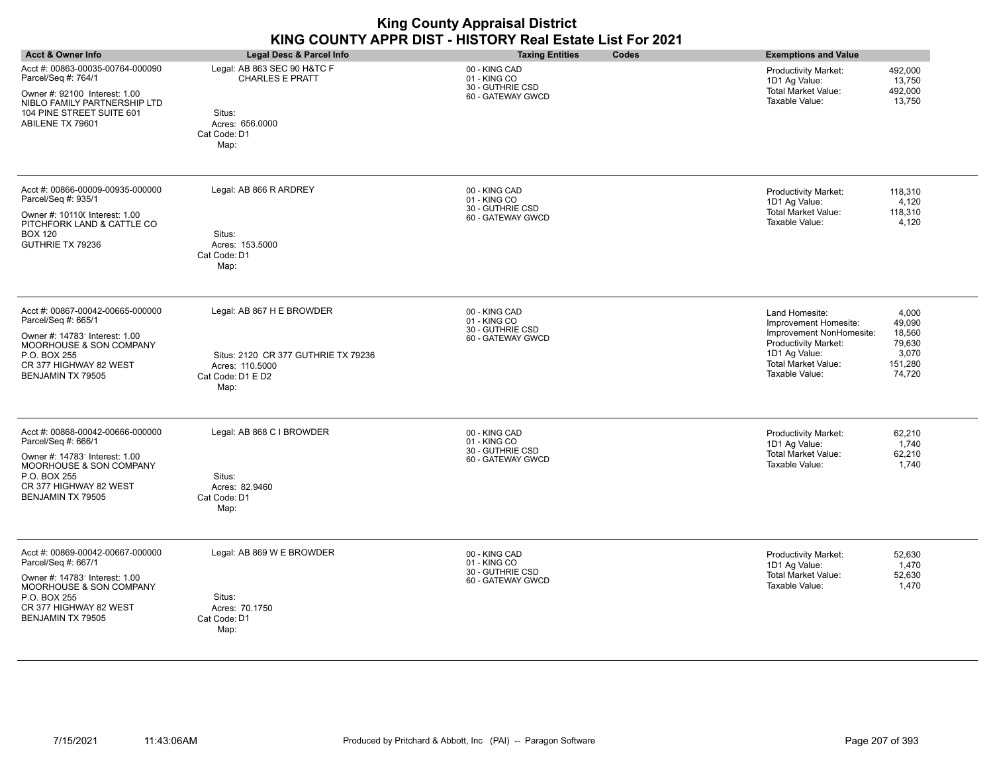|                                                                                                                                                                                     |                                                                                                                  | <b>King County Appraisal District</b><br>KING COUNTY APPR DIST - HISTORY Real Estate List For 2021 |                                                                                                                                                                                                                            |
|-------------------------------------------------------------------------------------------------------------------------------------------------------------------------------------|------------------------------------------------------------------------------------------------------------------|----------------------------------------------------------------------------------------------------|----------------------------------------------------------------------------------------------------------------------------------------------------------------------------------------------------------------------------|
| <b>Acct &amp; Owner Info</b>                                                                                                                                                        | <b>Legal Desc &amp; Parcel Info</b>                                                                              | <b>Taxing Entities</b><br>Codes                                                                    | <b>Exemptions and Value</b>                                                                                                                                                                                                |
| Acct #: 00863-00035-00764-000090<br>Parcel/Seq #: 764/1<br>Owner #: 92100 Interest: 1.00<br>NIBLO FAMILY PARTNERSHIP LTD<br>104 PINE STREET SUITE 601<br>ABILENE TX 79601           | Legal: AB 863 SEC 90 H&TC F<br><b>CHARLES E PRATT</b><br>Situs:<br>Acres: 656,0000<br>Cat Code: D1<br>Map:       | 00 - KING CAD<br>01 - KING CO<br>30 - GUTHRIE CSD<br>60 - GATEWAY GWCD                             | 492,000<br><b>Productivity Market:</b><br>1D1 Ag Value:<br>13,750<br><b>Total Market Value:</b><br>492,000<br>13,750<br>Taxable Value:                                                                                     |
| Acct #: 00866-00009-00935-000000<br>Parcel/Seq #: 935/1<br>Owner #: 10110( Interest: 1.00<br>PITCHFORK LAND & CATTLE CO<br><b>BOX 120</b><br>GUTHRIE TX 79236                       | Legal: AB 866 R ARDREY<br>Situs:<br>Acres: 153.5000<br>Cat Code: D1<br>Map:                                      | 00 - KING CAD<br>01 - KING CO<br>30 - GUTHRIE CSD<br>60 - GATEWAY GWCD                             | 118.310<br>Productivity Market:<br>1D1 Ag Value:<br>4.120<br><b>Total Market Value:</b><br>118.310<br>Taxable Value:<br>4,120                                                                                              |
| Acct #: 00867-00042-00665-000000<br>Parcel/Seq #: 665/1<br>Owner #: 14783' Interest: 1.00<br>MOORHOUSE & SON COMPANY<br>P.O. BOX 255<br>CR 377 HIGHWAY 82 WEST<br>BENJAMIN TX 79505 | Legal: AB 867 H E BROWDER<br>Situs: 2120 CR 377 GUTHRIE TX 79236<br>Acres: 110.5000<br>Cat Code: D1 E D2<br>Map: | 00 - KING CAD<br>01 - KING CO<br>30 - GUTHRIE CSD<br>60 - GATEWAY GWCD                             | 4,000<br>Land Homesite:<br>49,090<br>Improvement Homesite:<br>18,560<br>Improvement NonHomesite:<br>Productivity Market:<br>79,630<br>1D1 Ag Value:<br>3,070<br>Total Market Value:<br>151,280<br>Taxable Value:<br>74,720 |
| Acct #: 00868-00042-00666-000000<br>Parcel/Seq #: 666/1<br>Owner #: 14783' Interest: 1.00<br>MOORHOUSE & SON COMPANY<br>P.O. BOX 255<br>CR 377 HIGHWAY 82 WEST<br>BENJAMIN TX 79505 | Legal: AB 868 C I BROWDER<br>Situs:<br>Acres: 82,9460<br>Cat Code: D1<br>Map:                                    | 00 - KING CAD<br>01 - KING CO<br>30 - GUTHRIE CSD<br>60 - GATEWAY GWCD                             | <b>Productivity Market:</b><br>62,210<br>1D1 Ag Value:<br>1,740<br>Total Market Value:<br>62,210<br>Taxable Value:<br>1,740                                                                                                |
| Acct #: 00869-00042-00667-000000<br>Parcel/Seq #: 667/1<br>Owner #: 14783' Interest: 1.00<br>MOORHOUSE & SON COMPANY<br>P.O. BOX 255<br>CR 377 HIGHWAY 82 WEST<br>BENJAMIN TX 79505 | Legal: AB 869 W E BROWDER<br>Situs:<br>Acres: 70.1750<br>Cat Code: D1<br>Map:                                    | 00 - KING CAD<br>01 - KING CO<br>30 - GUTHRIE CSD<br>60 - GATEWAY GWCD                             | Productivity Market:<br>52,630<br>1D1 Ag Value:<br>1,470<br><b>Total Market Value:</b><br>52,630<br>Taxable Value:<br>1,470                                                                                                |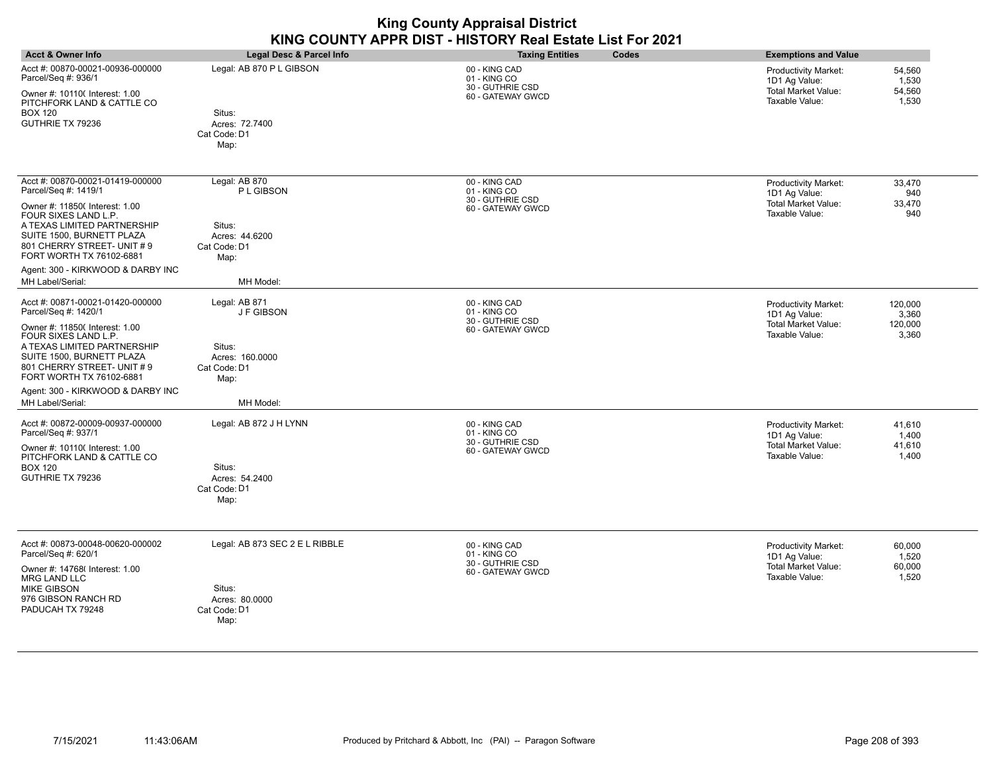| <b>Acct &amp; Owner Info</b>                                                                                                                                                                                                                                                                      | Legal Desc & Parcel Info                                                                      | <b>Taxing Entities</b><br>Codes                                        | <b>Exemptions and Value</b>                                                                                                        |
|---------------------------------------------------------------------------------------------------------------------------------------------------------------------------------------------------------------------------------------------------------------------------------------------------|-----------------------------------------------------------------------------------------------|------------------------------------------------------------------------|------------------------------------------------------------------------------------------------------------------------------------|
| Acct #: 00870-00021-00936-000000<br>Parcel/Seq #: 936/1<br>Owner #: 10110( Interest: 1.00<br>PITCHFORK LAND & CATTLE CO<br><b>BOX 120</b><br>GUTHRIE TX 79236                                                                                                                                     | Legal: AB 870 P L GIBSON<br>Situs:<br>Acres: 72.7400<br>Cat Code: D1<br>Map:                  | 00 - KING CAD<br>01 - KING CO<br>30 - GUTHRIE CSD<br>60 - GATEWAY GWCD | 54,560<br>Productivity Market:<br>1,530<br>1D1 Ag Value:<br><b>Total Market Value:</b><br>54,560<br>Taxable Value:<br>1,530        |
| Acct #: 00870-00021-01419-000000<br>Parcel/Seq #: 1419/1<br>Owner #: 11850( Interest: 1.00<br>FOUR SIXES LAND L.P.<br>A TEXAS LIMITED PARTNERSHIP<br>SUITE 1500, BURNETT PLAZA<br>801 CHERRY STREET- UNIT #9<br>FORT WORTH TX 76102-6881<br>Agent: 300 - KIRKWOOD & DARBY INC<br>MH Label/Serial: | Legal: AB 870<br>P L GIBSON<br>Situs:<br>Acres: 44.6200<br>Cat Code: D1<br>Map:<br>MH Model:  | 00 - KING CAD<br>01 - KING CO<br>30 - GUTHRIE CSD<br>60 - GATEWAY GWCD | 33,470<br><b>Productivity Market:</b><br>1D1 Ag Value:<br>940<br>Total Market Value:<br>33,470<br>Taxable Value:<br>940            |
| Acct #: 00871-00021-01420-000000<br>Parcel/Seq #: 1420/1<br>Owner #: 11850( Interest: 1.00<br>FOUR SIXES LAND L.P.<br>A TEXAS LIMITED PARTNERSHIP<br>SUITE 1500, BURNETT PLAZA<br>801 CHERRY STREET- UNIT #9<br>FORT WORTH TX 76102-6881<br>Agent: 300 - KIRKWOOD & DARBY INC<br>MH Label/Serial: | Legal: AB 871<br>J F GIBSON<br>Situs:<br>Acres: 160.0000<br>Cat Code: D1<br>Map:<br>MH Model: | 00 - KING CAD<br>01 - KING CO<br>30 - GUTHRIE CSD<br>60 - GATEWAY GWCD | 120,000<br><b>Productivity Market:</b><br>1D1 Ag Value:<br>3,360<br>120,000<br>Total Market Value:<br>Taxable Value:<br>3,360      |
| Acct #: 00872-00009-00937-000000<br>Parcel/Seq #: 937/1<br>Owner #: 10110( Interest: 1.00<br>PITCHFORK LAND & CATTLE CO<br><b>BOX 120</b><br>GUTHRIE TX 79236                                                                                                                                     | Legal: AB 872 J H LYNN<br>Situs:<br>Acres: 54.2400<br>Cat Code: D1<br>Map:                    | 00 - KING CAD<br>01 - KING CO<br>30 - GUTHRIE CSD<br>60 - GATEWAY GWCD | <b>Productivity Market:</b><br>41,610<br>1D1 Ag Value:<br>1,400<br>Total Market Value:<br>41,610<br>Taxable Value:<br>1,400        |
| Acct #: 00873-00048-00620-000002<br>Parcel/Seq #: 620/1<br>Owner #: 14768( Interest: 1.00<br><b>MRG LAND LLC</b><br>MIKE GIBSON<br>976 GIBSON RANCH RD<br>PADUCAH TX 79248                                                                                                                        | Legal: AB 873 SEC 2 E L RIBBLE<br>Situs:<br>Acres: 80.0000<br>Cat Code: D1<br>Map:            | 00 - KING CAD<br>01 - KING CO<br>30 - GUTHRIE CSD<br>60 - GATEWAY GWCD | 60,000<br><b>Productivity Market:</b><br>1D1 Ag Value:<br>1,520<br><b>Total Market Value:</b><br>60,000<br>Taxable Value:<br>1,520 |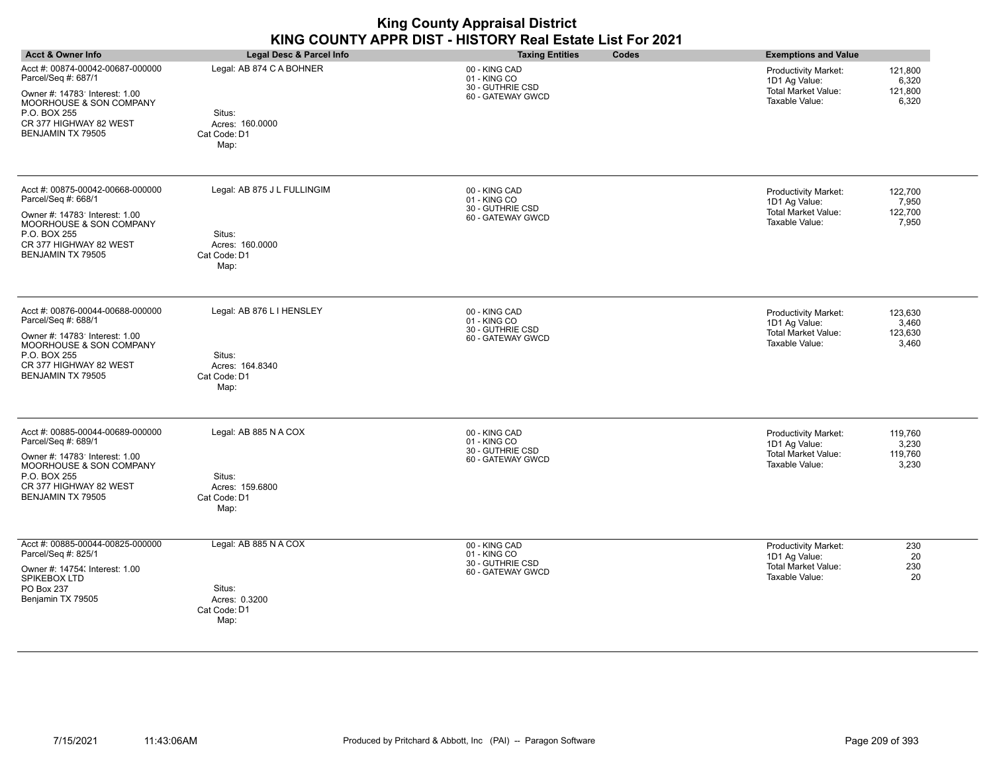| <b>Acct &amp; Owner Info</b>                                                                                                                                                                   | Legal Desc & Parcel Info                                                         | <b>Taxing Entities</b><br>Codes                                        | <b>Exemptions and Value</b>                                                                                                          |
|------------------------------------------------------------------------------------------------------------------------------------------------------------------------------------------------|----------------------------------------------------------------------------------|------------------------------------------------------------------------|--------------------------------------------------------------------------------------------------------------------------------------|
| Acct #: 00874-00042-00687-000000<br>Parcel/Seq #: 687/1<br>Owner #: 14783' Interest: 1.00<br><b>MOORHOUSE &amp; SON COMPANY</b><br>P.O. BOX 255<br>CR 377 HIGHWAY 82 WEST<br>BENJAMIN TX 79505 | Legal: AB 874 C A BOHNER<br>Situs:<br>Acres: 160.0000<br>Cat Code: D1<br>Map:    | 00 - KING CAD<br>01 - KING CO<br>30 - GUTHRIE CSD<br>60 - GATEWAY GWCD | <b>Productivity Market:</b><br>121,800<br>6,320<br>1D1 Ag Value:<br><b>Total Market Value:</b><br>121,800<br>6,320<br>Taxable Value: |
| Acct #: 00875-00042-00668-000000<br>Parcel/Seq #: 668/1<br>Owner #: 14783' Interest: 1.00<br>MOORHOUSE & SON COMPANY<br>P.O. BOX 255<br>CR 377 HIGHWAY 82 WEST<br>BENJAMIN TX 79505            | Legal: AB 875 J L FULLINGIM<br>Situs:<br>Acres: 160.0000<br>Cat Code: D1<br>Map: | 00 - KING CAD<br>01 - KING CO<br>30 - GUTHRIE CSD<br>60 - GATEWAY GWCD | 122,700<br>Productivity Market:<br>7,950<br>1D1 Ag Value:<br>122,700<br>Total Market Value:<br>Taxable Value:<br>7,950               |
| Acct #: 00876-00044-00688-000000<br>Parcel/Seq #: 688/1<br>Owner #: 14783' Interest: 1.00<br>MOORHOUSE & SON COMPANY<br>P.O. BOX 255<br>CR 377 HIGHWAY 82 WEST<br>BENJAMIN TX 79505            | Legal: AB 876 L I HENSLEY<br>Situs:<br>Acres: 164.8340<br>Cat Code: D1<br>Map:   | 00 - KING CAD<br>01 - KING CO<br>30 - GUTHRIE CSD<br>60 - GATEWAY GWCD | Productivity Market:<br>123,630<br>1D1 Ag Value:<br>3,460<br>Total Market Value:<br>123,630<br>Taxable Value:<br>3,460               |
| Acct #: 00885-00044-00689-000000<br>Parcel/Seq #: 689/1<br>Owner #: 14783' Interest: 1.00<br>MOORHOUSE & SON COMPANY<br>P.O. BOX 255<br>CR 377 HIGHWAY 82 WEST<br>BENJAMIN TX 79505            | Legal: AB 885 N A COX<br>Situs:<br>Acres: 159.6800<br>Cat Code: D1<br>Map:       | 00 - KING CAD<br>01 - KING CO<br>30 - GUTHRIE CSD<br>60 - GATEWAY GWCD | Productivity Market:<br>119,760<br>1D1 Ag Value:<br>3,230<br><b>Total Market Value:</b><br>119,760<br>Taxable Value:<br>3,230        |
| Acct #: 00885-00044-00825-000000<br>Parcel/Seq #: 825/1<br>Owner #: 14754; Interest: 1.00<br>SPIKEBOX LTD<br>PO Box 237<br>Benjamin TX 79505                                                   | Legal: AB 885 N A COX<br>Situs:<br>Acres: 0.3200<br>Cat Code: D1<br>Map:         | 00 - KING CAD<br>01 - KING CO<br>30 - GUTHRIE CSD<br>60 - GATEWAY GWCD | 230<br><b>Productivity Market:</b><br>1D1 Ag Value:<br>20<br>Total Market Value:<br>230<br>Taxable Value:<br>20                      |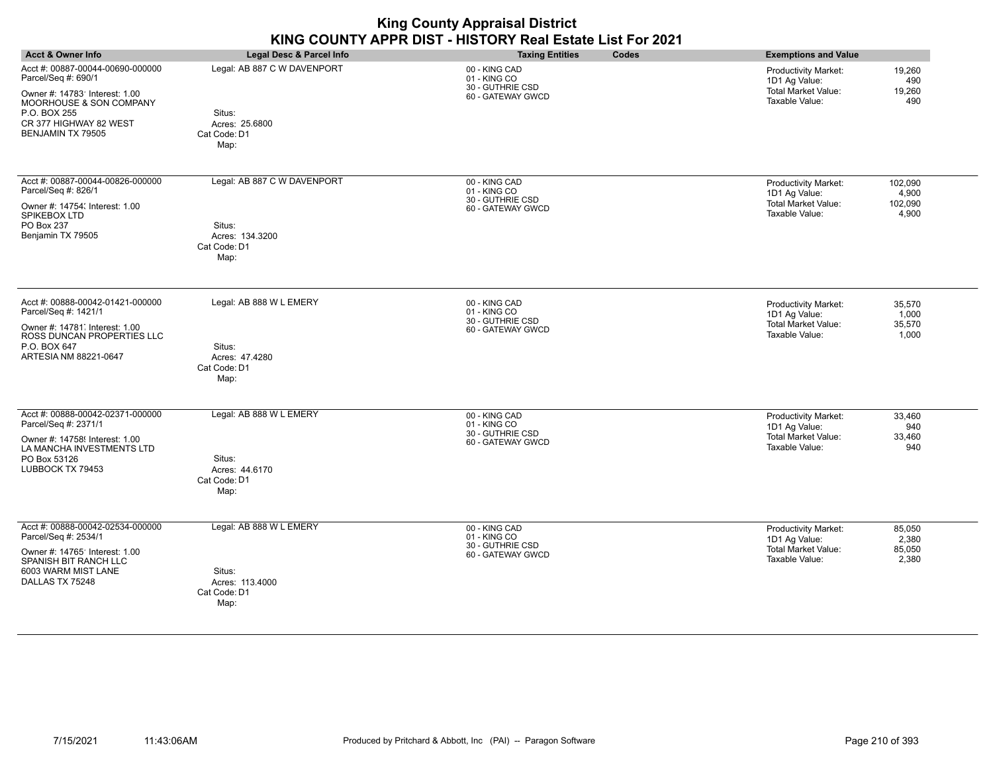|                                                                                                                                                                                     |                                                                                  | <b>King County Appraisal District</b><br>KING COUNTY APPR DIST - HISTORY Real Estate List For 2021 |                                                                                                                               |
|-------------------------------------------------------------------------------------------------------------------------------------------------------------------------------------|----------------------------------------------------------------------------------|----------------------------------------------------------------------------------------------------|-------------------------------------------------------------------------------------------------------------------------------|
| <b>Acct &amp; Owner Info</b>                                                                                                                                                        | <b>Legal Desc &amp; Parcel Info</b>                                              | <b>Taxing Entities</b><br>Codes                                                                    | <b>Exemptions and Value</b>                                                                                                   |
| Acct #: 00887-00044-00690-000000<br>Parcel/Seq #: 690/1<br>Owner #: 14783' Interest: 1.00<br>MOORHOUSE & SON COMPANY<br>P.O. BOX 255<br>CR 377 HIGHWAY 82 WEST<br>BENJAMIN TX 79505 | Legal: AB 887 C W DAVENPORT<br>Situs:<br>Acres: 25.6800<br>Cat Code: D1<br>Map:  | 00 - KING CAD<br>01 - KING CO<br>30 - GUTHRIE CSD<br>60 - GATEWAY GWCD                             | 19,260<br>Productivity Market:<br>1D1 Ag Value:<br>490<br><b>Total Market Value:</b><br>19,260<br>Taxable Value:<br>490       |
| Acct #: 00887-00044-00826-000000<br>Parcel/Seq #: 826/1<br>Owner #: 14754; Interest: 1.00<br>SPIKEBOX LTD<br>PO Box 237<br>Benjamin TX 79505                                        | Legal: AB 887 C W DAVENPORT<br>Situs:<br>Acres: 134.3200<br>Cat Code: D1<br>Map: | 00 - KING CAD<br>01 - KING CO<br>30 - GUTHRIE CSD<br>60 - GATEWAY GWCD                             | Productivity Market:<br>102,090<br>1D1 Ag Value:<br>4,900<br><b>Total Market Value:</b><br>102,090<br>Taxable Value:<br>4,900 |
| Acct #: 00888-00042-01421-000000<br>Parcel/Seq #: 1421/1<br>Owner #: 14781 Interest: 1.00<br>ROSS DUNCAN PROPERTIES LLC<br>P.O. BOX 647<br>ARTESIA NM 88221-0647                    | Legal: AB 888 W L EMERY<br>Situs:<br>Acres: 47,4280<br>Cat Code: D1<br>Map:      | 00 - KING CAD<br>01 - KING CO<br>30 - GUTHRIE CSD<br>60 - GATEWAY GWCD                             | 35,570<br>Productivity Market:<br>1D1 Ag Value:<br>1,000<br><b>Total Market Value:</b><br>35,570<br>Taxable Value:<br>1,000   |
| Acct #: 00888-00042-02371-000000<br>Parcel/Seq #: 2371/1<br>Owner #: 14758! Interest: 1.00<br>LA MANCHA INVESTMENTS LTD<br>PO Box 53126<br>LUBBOCK TX 79453                         | Legal: AB 888 W L EMERY<br>Situs:<br>Acres: 44.6170<br>Cat Code: D1<br>Map:      | 00 - KING CAD<br>01 - KING CO<br>30 - GUTHRIE CSD<br>60 - GATEWAY GWCD                             | 33,460<br>Productivity Market:<br>1D1 Ag Value:<br>940<br><b>Total Market Value:</b><br>33,460<br>Taxable Value:<br>940       |
| Acct #: 00888-00042-02534-000000<br>Parcel/Seq #: 2534/1<br>Owner #: 14765' Interest: 1.00<br>SPANISH BIT RANCH LLC<br>6003 WARM MIST LANE<br>DALLAS TX 75248                       | Legal: AB 888 W L EMERY<br>Situs:<br>Acres: 113.4000<br>Cat Code: D1<br>Map:     | 00 - KING CAD<br>01 - KING CO<br>30 - GUTHRIE CSD<br>60 - GATEWAY GWCD                             | Productivity Market:<br>85,050<br>1D1 Ag Value:<br>2,380<br><b>Total Market Value:</b><br>85,050<br>Taxable Value:<br>2,380   |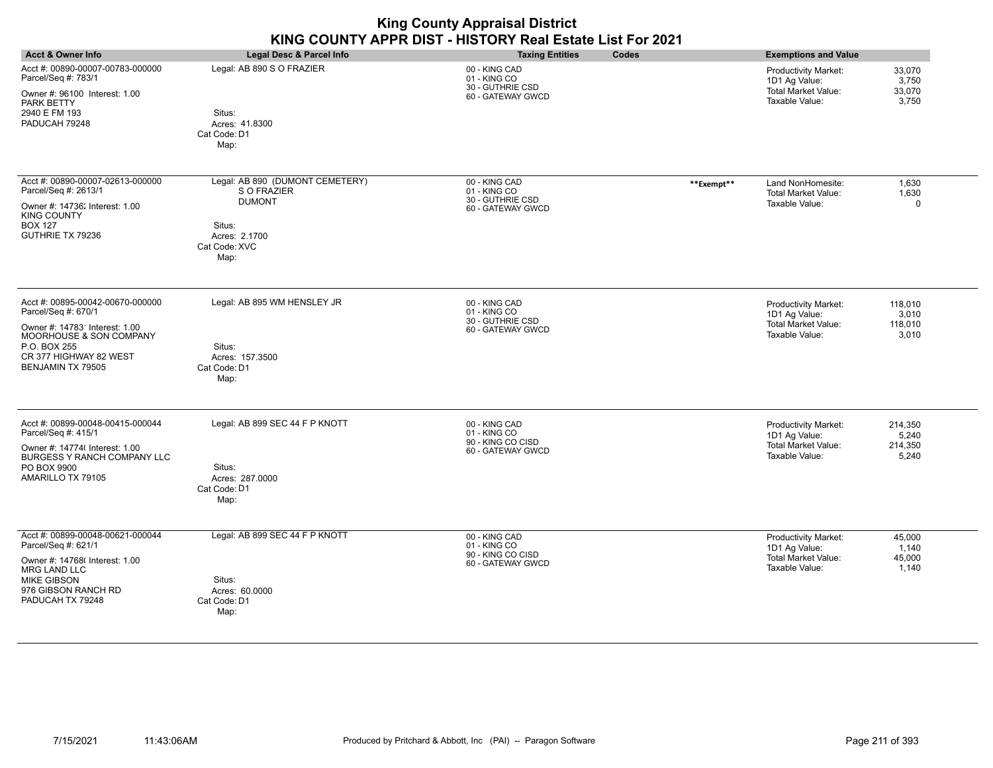| <b>Acct &amp; Owner Info</b>                                                                                                                                                                   | Legal Desc & Parcel Info                                                                                            | Codes<br><b>Taxing Entities</b>                                         |            | <b>Exemptions and Value</b>                                                                  |                                      |
|------------------------------------------------------------------------------------------------------------------------------------------------------------------------------------------------|---------------------------------------------------------------------------------------------------------------------|-------------------------------------------------------------------------|------------|----------------------------------------------------------------------------------------------|--------------------------------------|
| Acct #: 00890-00007-00783-000000<br>Parcel/Seq #: 783/1<br>Owner #: 96100 Interest: 1.00<br>PARK BETTY<br>2940 E FM 193<br>PADUCAH 79248                                                       | Legal: AB 890 S O FRAZIER<br>Situs:<br>Acres: 41.8300<br>Cat Code: D1<br>Map:                                       | 00 - KING CAD<br>01 - KING CO<br>30 - GUTHRIE CSD<br>60 - GATEWAY GWCD  |            | Productivity Market:<br>1D1 Ag Value:<br><b>Total Market Value:</b><br>Taxable Value:        | 33,070<br>3,750<br>33,070<br>3,750   |
| Acct #: 00890-00007-02613-000000<br>Parcel/Seq #: 2613/1<br>Owner #: 14736; Interest: 1.00<br><b>KING COUNTY</b><br><b>BOX 127</b><br>GUTHRIE TX 79236                                         | Legal: AB 890 (DUMONT CEMETERY)<br>S O FRAZIER<br><b>DUMONT</b><br>Situs:<br>Acres: 2.1700<br>Cat Code: XVC<br>Map: | 00 - KING CAD<br>01 - KING CO<br>30 - GUTHRIE CSD<br>60 - GATEWAY GWCD  | **Exempt** | Land NonHomesite:<br>Total Market Value:<br>Taxable Value:                                   | 1,630<br>1,630<br>$\mathbf 0$        |
| Acct #: 00895-00042-00670-000000<br>Parcel/Seq #: 670/1<br>Owner #: 14783' Interest: 1.00<br><b>MOORHOUSE &amp; SON COMPANY</b><br>P.O. BOX 255<br>CR 377 HIGHWAY 82 WEST<br>BENJAMIN TX 79505 | Legal: AB 895 WM HENSLEY JR<br>Situs:<br>Acres: 157.3500<br>Cat Code: D1<br>Map:                                    | 00 - KING CAD<br>01 - KING CO<br>30 - GUTHRIE CSD<br>60 - GATEWAY GWCD  |            | Productivity Market:<br>1D1 Ag Value:<br><b>Total Market Value:</b><br>Taxable Value:        | 118,010<br>3,010<br>118,010<br>3,010 |
| Acct #: 00899-00048-00415-000044<br>Parcel/Seq #: 415/1<br>Owner #: 14774( Interest: 1.00<br>BURGESS Y RANCH COMPANY LLC<br>PO BOX 9900<br>AMARILLO TX 79105                                   | Legal: AB 899 SEC 44 F P KNOTT<br>Situs:<br>Acres: 287.0000<br>Cat Code: D1<br>Map:                                 | 00 - KING CAD<br>01 - KING CO<br>90 - KING CO CISD<br>60 - GATEWAY GWCD |            | Productivity Market:<br>1D1 Ag Value:<br>Total Market Value:<br>Taxable Value:               | 214,350<br>5,240<br>214,350<br>5,240 |
| Acct #: 00899-00048-00621-000044<br>Parcel/Seq #: 621/1<br>Owner #: 14768( Interest: 1.00<br>MRG LAND LLC<br>MIKE GIBSON<br>976 GIBSON RANCH RD<br>PADUCAH TX 79248                            | Legal: AB 899 SEC 44 F P KNOTT<br>Situs:<br>Acres: 60.0000<br>Cat Code: D1<br>Map:                                  | 00 - KING CAD<br>01 - KING CO<br>90 - KING CO CISD<br>60 - GATEWAY GWCD |            | <b>Productivity Market:</b><br>1D1 Ag Value:<br><b>Total Market Value:</b><br>Taxable Value: | 45,000<br>1,140<br>45,000<br>1,140   |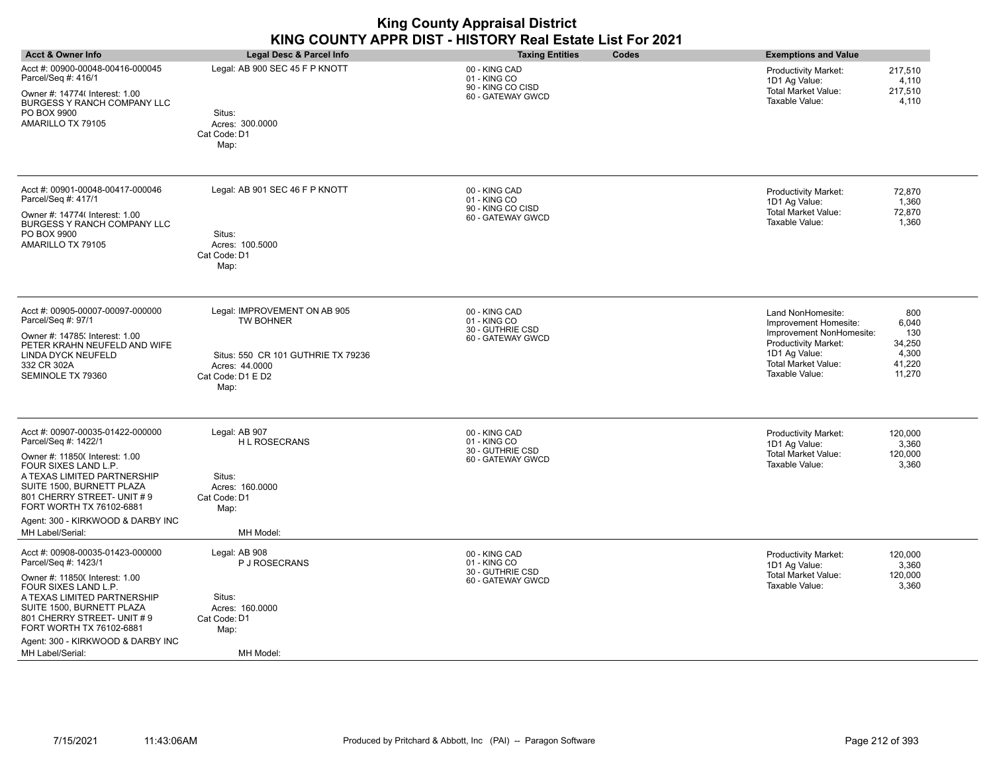|                                                                                                                                                                                                                                                                                                   |                                                                                                                                       | <b>King County Appraisal District</b><br>KING COUNTY APPR DIST - HISTORY Real Estate List For 2021 |                                                                                                                                                                                                                               |
|---------------------------------------------------------------------------------------------------------------------------------------------------------------------------------------------------------------------------------------------------------------------------------------------------|---------------------------------------------------------------------------------------------------------------------------------------|----------------------------------------------------------------------------------------------------|-------------------------------------------------------------------------------------------------------------------------------------------------------------------------------------------------------------------------------|
| <b>Acct &amp; Owner Info</b>                                                                                                                                                                                                                                                                      | <b>Legal Desc &amp; Parcel Info</b>                                                                                                   | <b>Taxing Entities</b><br>Codes                                                                    | <b>Exemptions and Value</b>                                                                                                                                                                                                   |
| Acct #: 00900-00048-00416-000045<br>Parcel/Seq #: 416/1<br>Owner #: 14774( Interest: 1.00<br><b>BURGESS Y RANCH COMPANY LLC</b><br>PO BOX 9900<br>AMARILLO TX 79105                                                                                                                               | Legal: AB 900 SEC 45 F P KNOTT<br>Situs:<br>Acres: 300.0000<br>Cat Code: D1<br>Map:                                                   | 00 - KING CAD<br>01 - KING CO<br>90 - KING CO CISD<br>60 - GATEWAY GWCD                            | 217,510<br><b>Productivity Market:</b><br>1D1 Ag Value:<br>4.110<br>Total Market Value:<br>217,510<br>Taxable Value:<br>4,110                                                                                                 |
| Acct #: 00901-00048-00417-000046<br>Parcel/Seq #: 417/1<br>Owner #: 14774( Interest: 1.00<br>BURGESS Y RANCH COMPANY LLC<br>PO BOX 9900<br>AMARILLO TX 79105                                                                                                                                      | Legal: AB 901 SEC 46 F P KNOTT<br>Situs:<br>Acres: 100.5000<br>Cat Code: D1<br>Map:                                                   | 00 - KING CAD<br>01 - KING CO<br>90 - KING CO CISD<br>60 - GATEWAY GWCD                            | 72,870<br>Productivity Market:<br>1D1 Ag Value:<br>1,360<br><b>Total Market Value:</b><br>72,870<br>Taxable Value:<br>1,360                                                                                                   |
| Acct #: 00905-00007-00097-000000<br>Parcel/Seq #: 97/1<br>Owner #: 14785; Interest: 1.00<br>PETER KRAHN NEUFELD AND WIFE<br>LINDA DYCK NEUFELD<br>332 CR 302A<br>SEMINOLE TX 79360                                                                                                                | Legal: IMPROVEMENT ON AB 905<br><b>TW BOHNER</b><br>Situs: 550 CR 101 GUTHRIE TX 79236<br>Acres: 44,0000<br>Cat Code: D1 E D2<br>Map: | 00 - KING CAD<br>01 - KING CO<br>30 - GUTHRIE CSD<br>60 - GATEWAY GWCD                             | Land NonHomesite:<br>800<br>6,040<br>Improvement Homesite:<br>130<br>Improvement NonHomesite:<br>Productivity Market:<br>34,250<br>1D1 Ag Value:<br>4,300<br><b>Total Market Value:</b><br>41,220<br>Taxable Value:<br>11,270 |
| Acct #: 00907-00035-01422-000000<br>Parcel/Seq #: 1422/1<br>Owner #: 11850( Interest: 1.00<br>FOUR SIXES LAND L.P.<br>A TEXAS LIMITED PARTNERSHIP<br>SUITE 1500, BURNETT PLAZA<br>801 CHERRY STREET- UNIT #9<br>FORT WORTH TX 76102-6881<br>Agent: 300 - KIRKWOOD & DARBY INC<br>MH Label/Serial: | Legal: AB 907<br><b>HL ROSECRANS</b><br>Situs:<br>Acres: 160.0000<br>Cat Code: D1<br>Map:<br>MH Model:                                | 00 - KING CAD<br>01 - KING CO<br>30 - GUTHRIE CSD<br>60 - GATEWAY GWCD                             | Productivity Market:<br>120,000<br>3,360<br>1D1 Ag Value:<br><b>Total Market Value:</b><br>120,000<br>Taxable Value:<br>3,360                                                                                                 |
| Acct #: 00908-00035-01423-000000<br>Parcel/Seq #: 1423/1<br>Owner #: 11850( Interest: 1.00<br>FOUR SIXES LAND L.P.<br>A TEXAS LIMITED PARTNERSHIP<br>SUITE 1500, BURNETT PLAZA<br>801 CHERRY STREET- UNIT #9<br>FORT WORTH TX 76102-6881<br>Agent: 300 - KIRKWOOD & DARBY INC<br>MH Label/Serial: | Legal: AB 908<br>P J ROSECRANS<br>Situs:<br>Acres: 160.0000<br>Cat Code: D1<br>Map:<br>MH Model:                                      | 00 - KING CAD<br>01 - KING CO<br>30 - GUTHRIE CSD<br>60 - GATEWAY GWCD                             | Productivity Market:<br>120,000<br>1D1 Ag Value:<br>3,360<br><b>Total Market Value:</b><br>120,000<br>Taxable Value:<br>3,360                                                                                                 |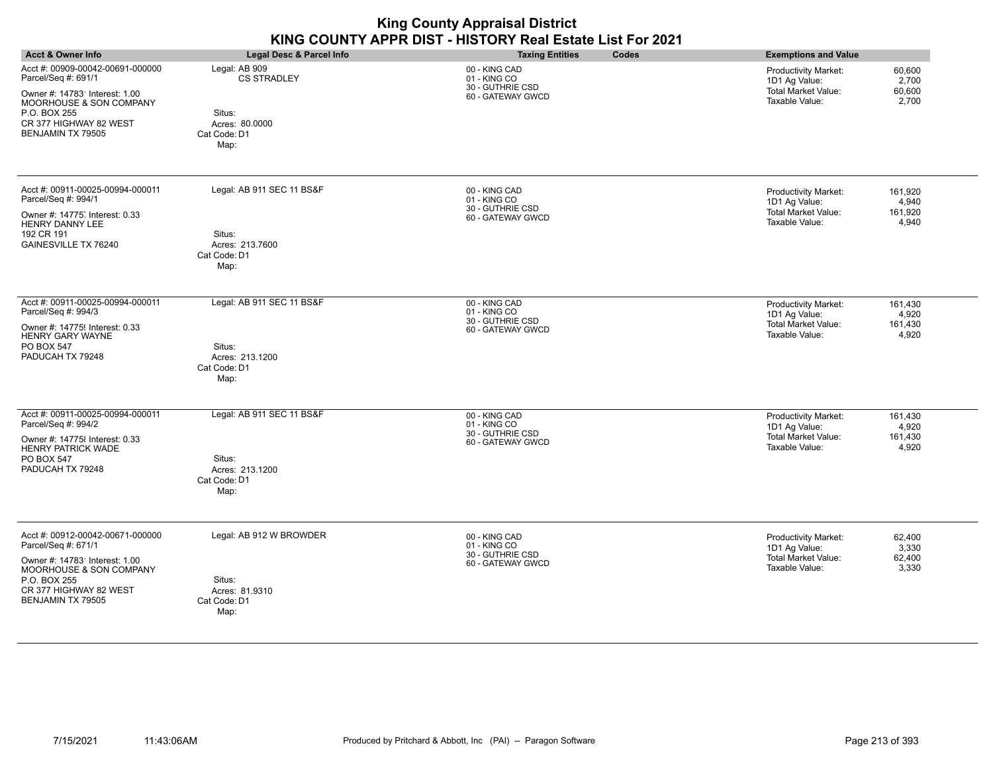|                                                                                                                                                                                     |                                                                                         | <b>King County Appraisal District</b><br>KING COUNTY APPR DIST - HISTORY Real Estate List For 2021 |                                                                                                                               |
|-------------------------------------------------------------------------------------------------------------------------------------------------------------------------------------|-----------------------------------------------------------------------------------------|----------------------------------------------------------------------------------------------------|-------------------------------------------------------------------------------------------------------------------------------|
| <b>Acct &amp; Owner Info</b>                                                                                                                                                        | Legal Desc & Parcel Info                                                                | <b>Taxing Entities</b><br>Codes                                                                    | <b>Exemptions and Value</b>                                                                                                   |
| Acct #: 00909-00042-00691-000000<br>Parcel/Seq #: 691/1<br>Owner #: 14783' Interest: 1.00<br>MOORHOUSE & SON COMPANY<br>P.O. BOX 255<br>CR 377 HIGHWAY 82 WEST<br>BENJAMIN TX 79505 | Legal: AB 909<br><b>CS STRADLEY</b><br>Situs:<br>Acres: 80,0000<br>Cat Code: D1<br>Map: | 00 - KING CAD<br>01 - KING CO<br>30 - GUTHRIE CSD<br>60 - GATEWAY GWCD                             | Productivity Market:<br>60,600<br>1D1 Ag Value:<br>2,700<br>Total Market Value:<br>60,600<br>Taxable Value:<br>2,700          |
| Acct #: 00911-00025-00994-000011<br>Parcel/Seq #: 994/1<br>Owner #: 14775, Interest: 0.33<br>HENRY DANNY LEE<br>192 CR 191<br>GAINESVILLE TX 76240                                  | Legal: AB 911 SEC 11 BS&F<br>Situs:<br>Acres: 213.7600<br>Cat Code: D1<br>Map:          | 00 - KING CAD<br>01 - KING CO<br>30 - GUTHRIE CSD<br>60 - GATEWAY GWCD                             | Productivity Market:<br>161,920<br>1D1 Ag Value:<br>4,940<br><b>Total Market Value:</b><br>161,920<br>Taxable Value:<br>4,940 |
| Acct #: 00911-00025-00994-000011<br>Parcel/Seq #: 994/3<br>Owner #: 14775! Interest: 0.33<br>HENRY GARY WAYNE<br><b>PO BOX 547</b><br>PADUCAH TX 79248                              | Legal: AB 911 SEC 11 BS&F<br>Situs:<br>Acres: 213.1200<br>Cat Code: D1<br>Map:          | 00 - KING CAD<br>01 - KING CO<br>30 - GUTHRIE CSD<br>60 - GATEWAY GWCD                             | Productivity Market:<br>161,430<br>1D1 Ag Value:<br>4,920<br><b>Total Market Value:</b><br>161,430<br>Taxable Value:<br>4,920 |
| Acct #: 00911-00025-00994-000011<br>Parcel/Seq #: 994/2<br>Owner #: 14775 {Interest: 0.33<br>HENRY PATRICK WADE<br>PO BOX 547<br>PADUCAH TX 79248                                   | Legal: AB 911 SEC 11 BS&F<br>Situs:<br>Acres: 213.1200<br>Cat Code: D1<br>Map:          | 00 - KING CAD<br>01 - KING CO<br>30 - GUTHRIE CSD<br>60 - GATEWAY GWCD                             | Productivity Market:<br>161,430<br>1D1 Ag Value:<br>4,920<br><b>Total Market Value:</b><br>161,430<br>Taxable Value:<br>4,920 |
| Acct #: 00912-00042-00671-000000<br>Parcel/Seq #: 671/1<br>Owner #: 14783' Interest: 1.00<br>MOORHOUSE & SON COMPANY<br>P.O. BOX 255<br>CR 377 HIGHWAY 82 WEST<br>BENJAMIN TX 79505 | Legal: AB 912 W BROWDER<br>Situs:<br>Acres: 81.9310<br>Cat Code: D1<br>Map:             | 00 - KING CAD<br>01 - KING CO<br>30 - GUTHRIE CSD<br>60 - GATEWAY GWCD                             | Productivity Market:<br>62,400<br>3,330<br>1D1 Ag Value:<br><b>Total Market Value:</b><br>62,400<br>Taxable Value:<br>3,330   |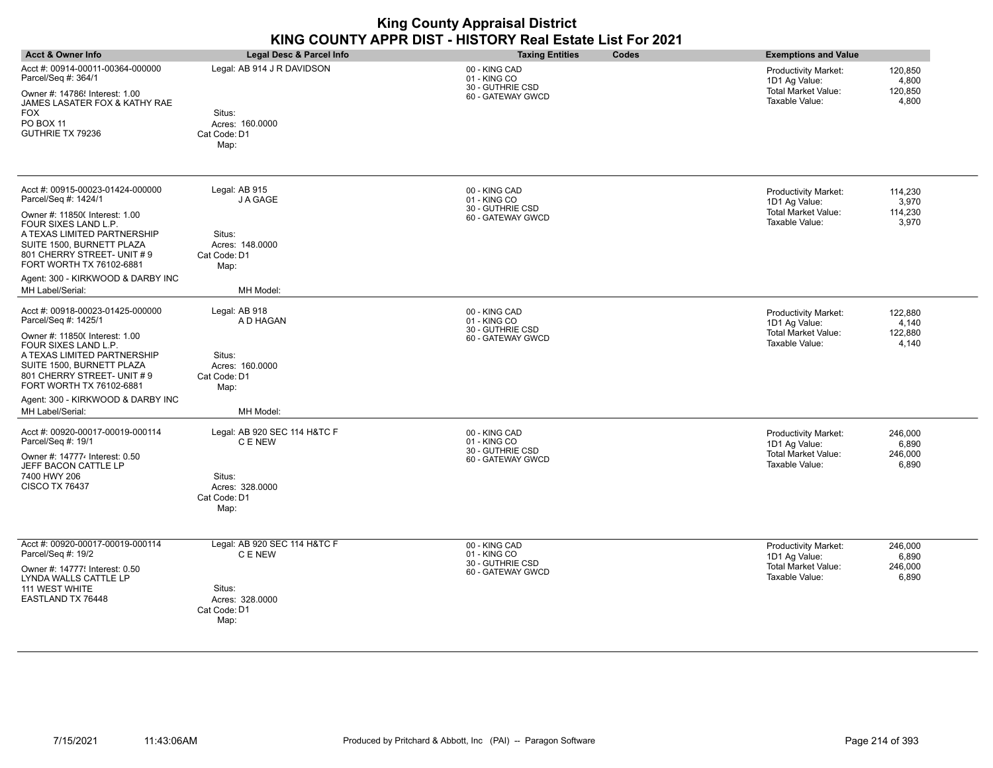| <b>Acct &amp; Owner Info</b>                                                                                                                                                                                                                                                                      | Legal Desc & Parcel Info                                                                          | <b>Taxing Entities</b><br>Codes                                        | <b>Exemptions and Value</b>                                                                                                          |
|---------------------------------------------------------------------------------------------------------------------------------------------------------------------------------------------------------------------------------------------------------------------------------------------------|---------------------------------------------------------------------------------------------------|------------------------------------------------------------------------|--------------------------------------------------------------------------------------------------------------------------------------|
| Acct #: 00914-00011-00364-000000<br>Parcel/Seq #: 364/1<br>Owner #: 14786! Interest: 1.00<br>JAMES LASATER FOX & KATHY RAE<br><b>FOX</b><br>PO BOX 11<br>GUTHRIE TX 79236                                                                                                                         | Legal: AB 914 J R DAVIDSON<br>Situs:<br>Acres: 160.0000<br>Cat Code: D1<br>Map:                   | 00 - KING CAD<br>01 - KING CO<br>30 - GUTHRIE CSD<br>60 - GATEWAY GWCD | 120,850<br><b>Productivity Market:</b><br>1D1 Ag Value:<br>4,800<br><b>Total Market Value:</b><br>120,850<br>Taxable Value:<br>4,800 |
| Acct #: 00915-00023-01424-000000<br>Parcel/Seq #: 1424/1<br>Owner #: 11850( Interest: 1.00<br>FOUR SIXES LAND L.P.<br>A TEXAS LIMITED PARTNERSHIP<br>SUITE 1500, BURNETT PLAZA<br>801 CHERRY STREET- UNIT #9<br>FORT WORTH TX 76102-6881<br>Agent: 300 - KIRKWOOD & DARBY INC<br>MH Label/Serial: | Legal: AB 915<br><b>JA GAGE</b><br>Situs:<br>Acres: 148.0000<br>Cat Code: D1<br>Map:<br>MH Model: | 00 - KING CAD<br>01 - KING CO<br>30 - GUTHRIE CSD<br>60 - GATEWAY GWCD | <b>Productivity Market:</b><br>114,230<br>1D1 Ag Value:<br>3,970<br><b>Total Market Value:</b><br>114,230<br>Taxable Value:<br>3,970 |
| Acct #: 00918-00023-01425-000000<br>Parcel/Seq #: 1425/1<br>Owner #: 11850( Interest: 1.00<br>FOUR SIXES LAND L.P.<br>A TEXAS LIMITED PARTNERSHIP<br>SUITE 1500, BURNETT PLAZA<br>801 CHERRY STREET- UNIT #9<br>FORT WORTH TX 76102-6881<br>Agent: 300 - KIRKWOOD & DARBY INC<br>MH Label/Serial: | Legal: AB 918<br>A D HAGAN<br>Situs:<br>Acres: 160,0000<br>Cat Code: D1<br>Map:<br>MH Model:      | 00 - KING CAD<br>01 - KING CO<br>30 - GUTHRIE CSD<br>60 - GATEWAY GWCD | 122,880<br>Productivity Market:<br>1D1 Ag Value:<br>4,140<br><b>Total Market Value:</b><br>122,880<br>Taxable Value:<br>4,140        |
| Acct #: 00920-00017-00019-000114<br>Parcel/Seq #: 19/1<br>Owner #: 147774 Interest: 0.50<br>JEFF BACON CATTLE LP<br>7400 HWY 206<br><b>CISCO TX 76437</b>                                                                                                                                         | Legal: AB 920 SEC 114 H&TC F<br>C E NEW<br>Situs:<br>Acres: 328.0000<br>Cat Code: D1<br>Map:      | 00 - KING CAD<br>01 - KING CO<br>30 - GUTHRIE CSD<br>60 - GATEWAY GWCD | 246,000<br>Productivity Market:<br>1D1 Ag Value:<br>6,890<br><b>Total Market Value:</b><br>246,000<br>Taxable Value:<br>6,890        |
| Acct #: 00920-00017-00019-000114<br>Parcel/Seq #: 19/2<br>Owner #: 14777! Interest: 0.50<br>LYNDA WALLS CATTLE LP<br>111 WEST WHITE<br>EASTLAND TX 76448                                                                                                                                          | Legal: AB 920 SEC 114 H&TC F<br>C E NEW<br>Situs:<br>Acres: 328.0000<br>Cat Code: D1<br>Map:      | 00 - KING CAD<br>01 - KING CO<br>30 - GUTHRIE CSD<br>60 - GATEWAY GWCD | 246,000<br><b>Productivity Market:</b><br>1D1 Ag Value:<br>6,890<br><b>Total Market Value:</b><br>246,000<br>Taxable Value:<br>6,890 |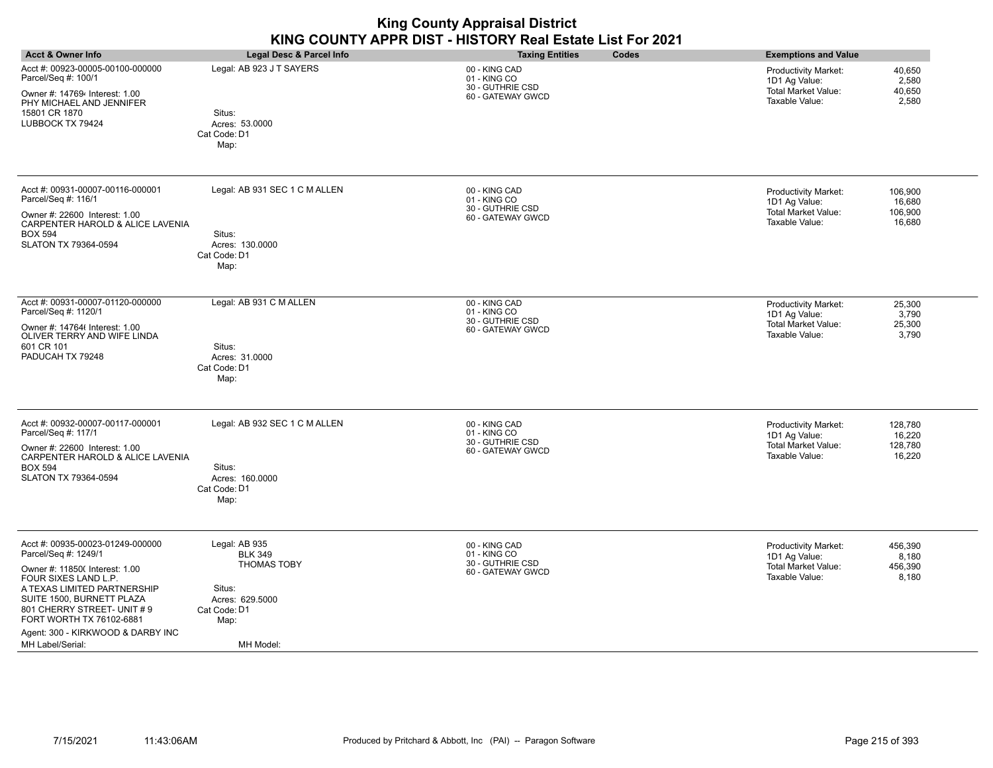| <b>Acct &amp; Owner Info</b>                                                                                                                                                                                                                                                                      | Legal Desc & Parcel Info                                                                                                | <b>Taxing Entities</b><br>Codes                                        | <b>Exemptions and Value</b>                                                                                                            |
|---------------------------------------------------------------------------------------------------------------------------------------------------------------------------------------------------------------------------------------------------------------------------------------------------|-------------------------------------------------------------------------------------------------------------------------|------------------------------------------------------------------------|----------------------------------------------------------------------------------------------------------------------------------------|
| Acct #: 00923-00005-00100-000000<br>Parcel/Seq #: 100/1<br>Owner #: 147694 Interest: 1.00<br>PHY MICHAEL AND JENNIFER<br>15801 CR 1870<br>LUBBOCK TX 79424                                                                                                                                        | Legal: AB 923 J T SAYERS<br>Situs:<br>Acres: 53.0000<br>Cat Code: D1<br>Map:                                            | 00 - KING CAD<br>01 - KING CO<br>30 - GUTHRIE CSD<br>60 - GATEWAY GWCD | 40,650<br><b>Productivity Market:</b><br>1D1 Ag Value:<br>2,580<br>40,650<br>Total Market Value:<br>2,580<br>Taxable Value:            |
| Acct #: 00931-00007-00116-000001<br>Parcel/Seq #: 116/1<br>Owner #: 22600 Interest: 1.00<br>CARPENTER HAROLD & ALICE LAVENIA<br><b>BOX 594</b><br>SLATON TX 79364-0594                                                                                                                            | Legal: AB 931 SEC 1 C M ALLEN<br>Situs:<br>Acres: 130,0000<br>Cat Code: D1<br>Map:                                      | 00 - KING CAD<br>01 - KING CO<br>30 - GUTHRIE CSD<br>60 - GATEWAY GWCD | 106,900<br>Productivity Market:<br>1D1 Ag Value:<br>16,680<br>Total Market Value:<br>106,900<br>16,680<br>Taxable Value:               |
| Acct #: 00931-00007-01120-000000<br>Parcel/Seq #: 1120/1<br>Owner #: 14764( Interest: 1.00<br>OLIVER TERRY AND WIFE LINDA<br>601 CR 101<br>PADUCAH TX 79248                                                                                                                                       | Legal: AB 931 C M ALLEN<br>Situs:<br>Acres: 31.0000<br>Cat Code: D1<br>Map:                                             | 00 - KING CAD<br>01 - KING CO<br>30 - GUTHRIE CSD<br>60 - GATEWAY GWCD | <b>Productivity Market:</b><br>25,300<br>3,790<br>1D1 Ag Value:<br><b>Total Market Value:</b><br>25,300<br>Taxable Value:<br>3,790     |
| Acct #: 00932-00007-00117-000001<br>Parcel/Seq #: 117/1<br>Owner #: 22600 Interest: 1.00<br>CARPENTER HAROLD & ALICE LAVENIA<br><b>BOX 594</b><br>SLATON TX 79364-0594                                                                                                                            | Legal: AB 932 SEC 1 C M ALLEN<br>Situs:<br>Acres: 160.0000<br>Cat Code: D1<br>Map:                                      | 00 - KING CAD<br>01 - KING CO<br>30 - GUTHRIE CSD<br>60 - GATEWAY GWCD | <b>Productivity Market:</b><br>128,780<br>1D1 Ag Value:<br>16,220<br><b>Total Market Value:</b><br>128,780<br>Taxable Value:<br>16,220 |
| Acct #: 00935-00023-01249-000000<br>Parcel/Seq #: 1249/1<br>Owner #: 11850( Interest: 1.00<br>FOUR SIXES LAND L.P.<br>A TEXAS LIMITED PARTNERSHIP<br>SUITE 1500, BURNETT PLAZA<br>801 CHERRY STREET- UNIT #9<br>FORT WORTH TX 76102-6881<br>Agent: 300 - KIRKWOOD & DARBY INC<br>MH Label/Serial: | Legal: AB 935<br><b>BLK 349</b><br><b>THOMAS TOBY</b><br>Situs:<br>Acres: 629.5000<br>Cat Code: D1<br>Map:<br>MH Model: | 00 - KING CAD<br>01 - KING CO<br>30 - GUTHRIE CSD<br>60 - GATEWAY GWCD | Productivity Market:<br>456,390<br>1D1 Ag Value:<br>8,180<br><b>Total Market Value:</b><br>456,390<br>Taxable Value:<br>8,180          |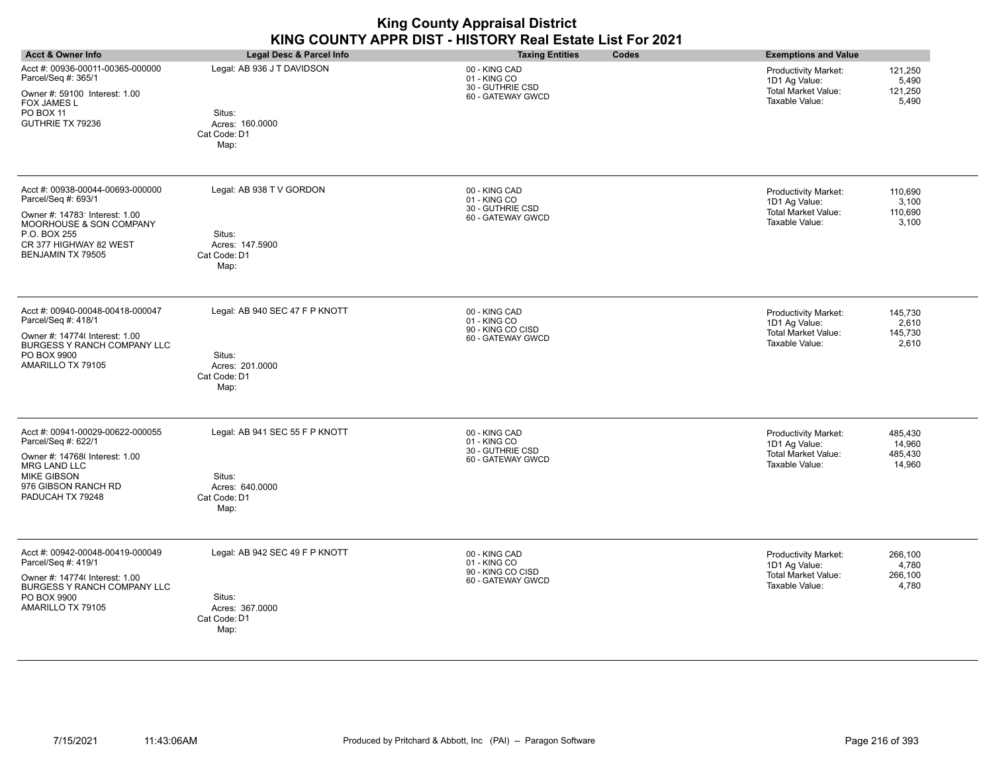| <b>Acct &amp; Owner Info</b>                                                                                                                                                        | Legal Desc & Parcel Info                                                            | <b>Taxing Entities</b><br>Codes                                         | <b>Exemptions and Value</b>                                                                                                          |
|-------------------------------------------------------------------------------------------------------------------------------------------------------------------------------------|-------------------------------------------------------------------------------------|-------------------------------------------------------------------------|--------------------------------------------------------------------------------------------------------------------------------------|
| Acct #: 00936-00011-00365-000000<br>Parcel/Seq #: 365/1<br>Owner #: 59100 Interest: 1.00<br>FOX JAMES L<br>PO BOX 11<br>GUTHRIE TX 79236                                            | Legal: AB 936 J T DAVIDSON<br>Situs:<br>Acres: 160.0000<br>Cat Code: D1<br>Map:     | 00 - KING CAD<br>01 - KING CO<br>30 - GUTHRIE CSD<br>60 - GATEWAY GWCD  | Productivity Market:<br>121,250<br>1D1 Ag Value:<br>5,490<br>Total Market Value:<br>121,250<br>Taxable Value:<br>5,490               |
| Acct #: 00938-00044-00693-000000<br>Parcel/Seq #: 693/1<br>Owner #: 14783' Interest: 1.00<br>MOORHOUSE & SON COMPANY<br>P.O. BOX 255<br>CR 377 HIGHWAY 82 WEST<br>BENJAMIN TX 79505 | Legal: AB 938 T V GORDON<br>Situs:<br>Acres: 147,5900<br>Cat Code: D1<br>Map:       | 00 - KING CAD<br>01 - KING CO<br>30 - GUTHRIE CSD<br>60 - GATEWAY GWCD  | Productivity Market:<br>110,690<br>1D1 Ag Value:<br>3,100<br><b>Total Market Value:</b><br>110,690<br>Taxable Value:<br>3,100        |
| Acct #: 00940-00048-00418-000047<br>Parcel/Seq #: 418/1<br>Owner #: 14774( Interest: 1.00<br>BURGESS Y RANCH COMPANY LLC<br>PO BOX 9900<br>AMARILLO TX 79105                        | Legal: AB 940 SEC 47 F P KNOTT<br>Situs:<br>Acres: 201.0000<br>Cat Code: D1<br>Map: | 00 - KING CAD<br>01 - KING CO<br>90 - KING CO CISD<br>60 - GATEWAY GWCD | 145,730<br><b>Productivity Market:</b><br>1D1 Ag Value:<br>2,610<br><b>Total Market Value:</b><br>145,730<br>Taxable Value:<br>2,610 |
| Acct #: 00941-00029-00622-000055<br>Parcel/Seq #: 622/1<br>Owner #: 14768( Interest: 1.00<br><b>MRG LAND LLC</b><br><b>MIKE GIBSON</b><br>976 GIBSON RANCH RD<br>PADUCAH TX 79248   | Legal: AB 941 SEC 55 F P KNOTT<br>Situs:<br>Acres: 640.0000<br>Cat Code: D1<br>Map: | 00 - KING CAD<br>01 - KING CO<br>30 - GUTHRIE CSD<br>60 - GATEWAY GWCD  | Productivity Market:<br>485,430<br>1D1 Ag Value:<br>14,960<br><b>Total Market Value:</b><br>485,430<br>Taxable Value:<br>14,960      |
| Acct #: 00942-00048-00419-000049<br>Parcel/Seq #: 419/1<br>Owner #: 14774( Interest: 1.00<br>BURGESS Y RANCH COMPANY LLC<br>PO BOX 9900<br>AMARILLO TX 79105                        | Legal: AB 942 SEC 49 F P KNOTT<br>Situs:<br>Acres: 367.0000<br>Cat Code: D1<br>Map: | 00 - KING CAD<br>01 - KING CO<br>90 - KING CO CISD<br>60 - GATEWAY GWCD | Productivity Market:<br>266.100<br>1D1 Ag Value:<br>4,780<br><b>Total Market Value:</b><br>266,100<br>Taxable Value:<br>4,780        |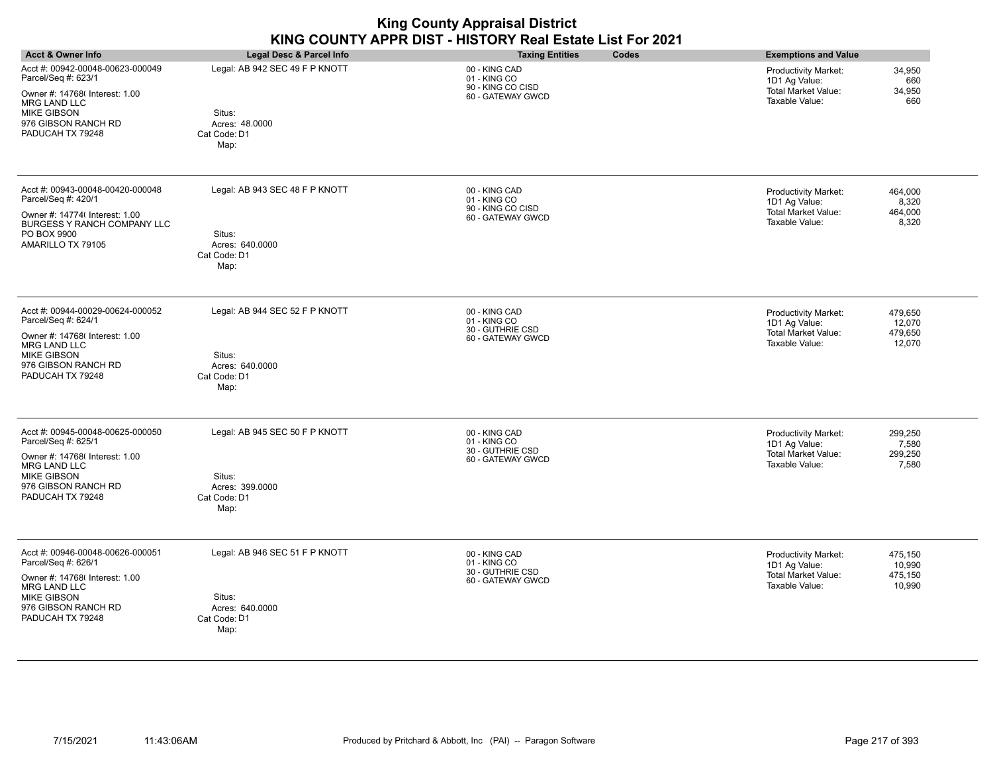| <b>Acct &amp; Owner Info</b>                                                                                                                                                      | Legal Desc & Parcel Info                                                            | <b>Taxing Entities</b><br>Codes                                         | <b>Exemptions and Value</b>                                                                                                          |
|-----------------------------------------------------------------------------------------------------------------------------------------------------------------------------------|-------------------------------------------------------------------------------------|-------------------------------------------------------------------------|--------------------------------------------------------------------------------------------------------------------------------------|
| Acct #: 00942-00048-00623-000049<br>Parcel/Seq #: 623/1<br>Owner #: 14768(Interest: 1.00<br><b>MRG LAND LLC</b><br><b>MIKE GIBSON</b><br>976 GIBSON RANCH RD<br>PADUCAH TX 79248  | Legal: AB 942 SEC 49 F P KNOTT<br>Situs:<br>Acres: 48.0000<br>Cat Code: D1<br>Map:  | 00 - KING CAD<br>01 - KING CO<br>90 - KING CO CISD<br>60 - GATEWAY GWCD | Productivity Market:<br>34,950<br>1D1 Ag Value:<br>660<br><b>Total Market Value:</b><br>34,950<br>660<br>Taxable Value:              |
| Acct #: 00943-00048-00420-000048<br>Parcel/Seq #: 420/1<br>Owner #: 14774( Interest: 1.00<br>BURGESS Y RANCH COMPANY LLC<br>PO BOX 9900<br>AMARILLO TX 79105                      | Legal: AB 943 SEC 48 F P KNOTT<br>Situs:<br>Acres: 640.0000<br>Cat Code: D1<br>Map: | 00 - KING CAD<br>01 - KING CO<br>90 - KING CO CISD<br>60 - GATEWAY GWCD | Productivity Market:<br>464,000<br>1D1 Ag Value:<br>8,320<br><b>Total Market Value:</b><br>464,000<br>Taxable Value:<br>8,320        |
| Acct #: 00944-00029-00624-000052<br>Parcel/Seq #: 624/1<br>Owner #: 14768( Interest: 1.00<br><b>MRG LAND LLC</b><br><b>MIKE GIBSON</b><br>976 GIBSON RANCH RD<br>PADUCAH TX 79248 | Legal: AB 944 SEC 52 F P KNOTT<br>Situs:<br>Acres: 640.0000<br>Cat Code: D1<br>Map: | 00 - KING CAD<br>01 - KING CO<br>30 - GUTHRIE CSD<br>60 - GATEWAY GWCD  | 479,650<br>Productivity Market:<br>1D1 Ag Value:<br>12,070<br>Total Market Value:<br>479,650<br>Taxable Value:<br>12,070             |
| Acct #: 00945-00048-00625-000050<br>Parcel/Seq #: 625/1<br>Owner #: 14768(Interest: 1.00<br>MRG LAND LLC<br><b>MIKE GIBSON</b><br>976 GIBSON RANCH RD<br>PADUCAH TX 79248         | Legal: AB 945 SEC 50 F P KNOTT<br>Situs:<br>Acres: 399.0000<br>Cat Code: D1<br>Map: | 00 - KING CAD<br>01 - KING CO<br>30 - GUTHRIE CSD<br>60 - GATEWAY GWCD  | <b>Productivity Market:</b><br>299,250<br>1D1 Ag Value:<br>7,580<br><b>Total Market Value:</b><br>299,250<br>Taxable Value:<br>7,580 |
| Acct #: 00946-00048-00626-000051<br>Parcel/Seq #: 626/1<br>Owner #: 14768( Interest: 1.00<br><b>MRG LAND LLC</b><br><b>MIKE GIBSON</b><br>976 GIBSON RANCH RD<br>PADUCAH TX 79248 | Legal: AB 946 SEC 51 F P KNOTT<br>Situs:<br>Acres: 640.0000<br>Cat Code: D1<br>Map: | 00 - KING CAD<br>01 - KING CO<br>30 - GUTHRIE CSD<br>60 - GATEWAY GWCD  | Productivity Market:<br>475,150<br>1D1 Ag Value:<br>10,990<br>Total Market Value:<br>475,150<br>Taxable Value:<br>10,990             |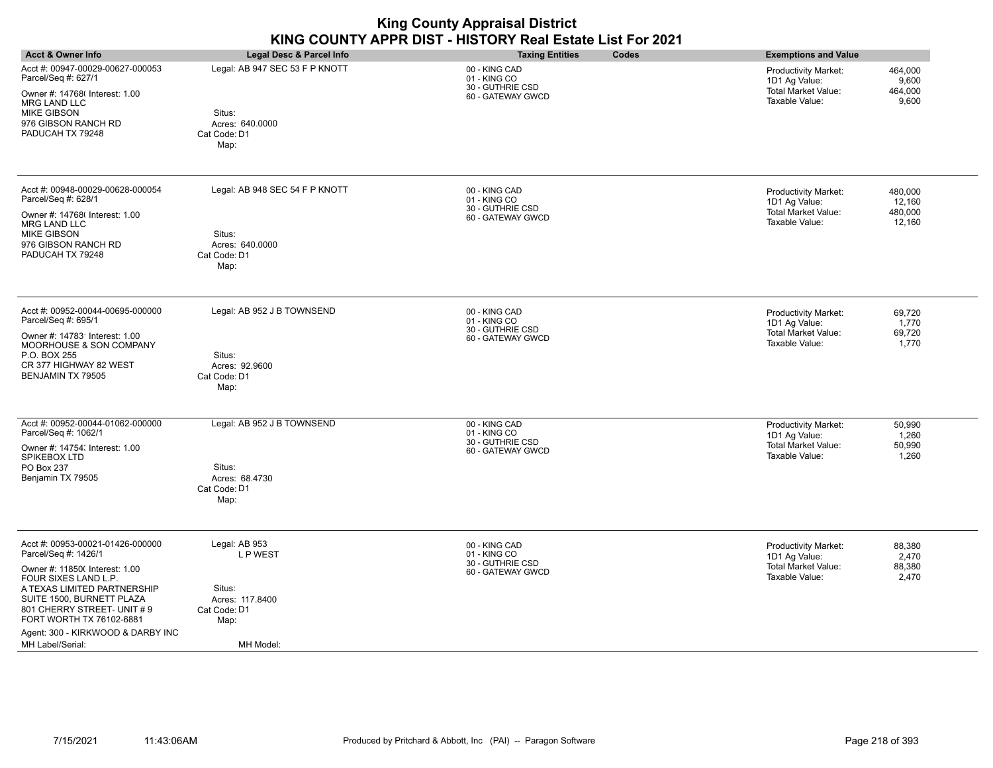| <b>Acct &amp; Owner Info</b>                                                                                                                                                                                                                                                                      | <b>Legal Desc &amp; Parcel Info</b>                                                         | <b>Taxing Entities</b><br>Codes                                        | <b>Exemptions and Value</b>                                                                                                        |
|---------------------------------------------------------------------------------------------------------------------------------------------------------------------------------------------------------------------------------------------------------------------------------------------------|---------------------------------------------------------------------------------------------|------------------------------------------------------------------------|------------------------------------------------------------------------------------------------------------------------------------|
| Acct #: 00947-00029-00627-000053<br>Parcel/Seq #: 627/1<br>Owner #: 14768( Interest: 1.00<br><b>MRG LAND LLC</b><br><b>MIKE GIBSON</b><br>976 GIBSON RANCH RD<br>PADUCAH TX 79248                                                                                                                 | Legal: AB 947 SEC 53 F P KNOTT<br>Situs:<br>Acres: 640.0000<br>Cat Code: D1<br>Map:         | 00 - KING CAD<br>01 - KING CO<br>30 - GUTHRIE CSD<br>60 - GATEWAY GWCD | 464,000<br>Productivity Market:<br>9,600<br>1D1 Ag Value:<br>464,000<br>Total Market Value:<br>9,600<br>Taxable Value:             |
| Acct #: 00948-00029-00628-000054<br>Parcel/Seq #: 628/1<br>Owner #: 14768(Interest: 1.00<br><b>MRG LAND LLC</b><br><b>MIKE GIBSON</b><br>976 GIBSON RANCH RD<br>PADUCAH TX 79248                                                                                                                  | Legal: AB 948 SEC 54 F P KNOTT<br>Situs:<br>Acres: 640.0000<br>Cat Code: D1<br>Map:         | 00 - KING CAD<br>01 - KING CO<br>30 - GUTHRIE CSD<br>60 - GATEWAY GWCD | 480,000<br><b>Productivity Market:</b><br>1D1 Ag Value:<br>12,160<br>480,000<br>Total Market Value:<br>Taxable Value:<br>12,160    |
| Acct #: 00952-00044-00695-000000<br>Parcel/Seq #: 695/1<br>Owner #: 14783' Interest: 1.00<br>MOORHOUSE & SON COMPANY<br>P.O. BOX 255<br>CR 377 HIGHWAY 82 WEST<br>BENJAMIN TX 79505                                                                                                               | Legal: AB 952 J B TOWNSEND<br>Situs:<br>Acres: 92.9600<br>Cat Code: D1<br>Map:              | 00 - KING CAD<br>01 - KING CO<br>30 - GUTHRIE CSD<br>60 - GATEWAY GWCD | <b>Productivity Market:</b><br>69,720<br>1D1 Ag Value:<br>1,770<br>Total Market Value:<br>69,720<br>Taxable Value:<br>1,770        |
| Acct #: 00952-00044-01062-000000<br>Parcel/Seq #: 1062/1<br>Owner #: 14754; Interest: 1.00<br>SPIKEBOX LTD<br>PO Box 237<br>Benjamin TX 79505                                                                                                                                                     | Legal: AB 952 J B TOWNSEND<br>Situs:<br>Acres: 68.4730<br>Cat Code: D1<br>Map:              | 00 - KING CAD<br>01 - KING CO<br>30 - GUTHRIE CSD<br>60 - GATEWAY GWCD | 50,990<br><b>Productivity Market:</b><br>1,260<br>1D1 Ag Value:<br><b>Total Market Value:</b><br>50,990<br>Taxable Value:<br>1,260 |
| Acct #: 00953-00021-01426-000000<br>Parcel/Seq #: 1426/1<br>Owner #: 11850( Interest: 1.00<br>FOUR SIXES LAND L.P.<br>A TEXAS LIMITED PARTNERSHIP<br>SUITE 1500, BURNETT PLAZA<br>801 CHERRY STREET- UNIT #9<br>FORT WORTH TX 76102-6881<br>Agent: 300 - KIRKWOOD & DARBY INC<br>MH Label/Serial: | Legal: AB 953<br>L P WEST<br>Situs:<br>Acres: 117.8400<br>Cat Code: D1<br>Map:<br>MH Model: | 00 - KING CAD<br>01 - KING CO<br>30 - GUTHRIE CSD<br>60 - GATEWAY GWCD | 88,380<br><b>Productivity Market:</b><br>2,470<br>1D1 Ag Value:<br>88,380<br><b>Total Market Value:</b><br>Taxable Value:<br>2,470 |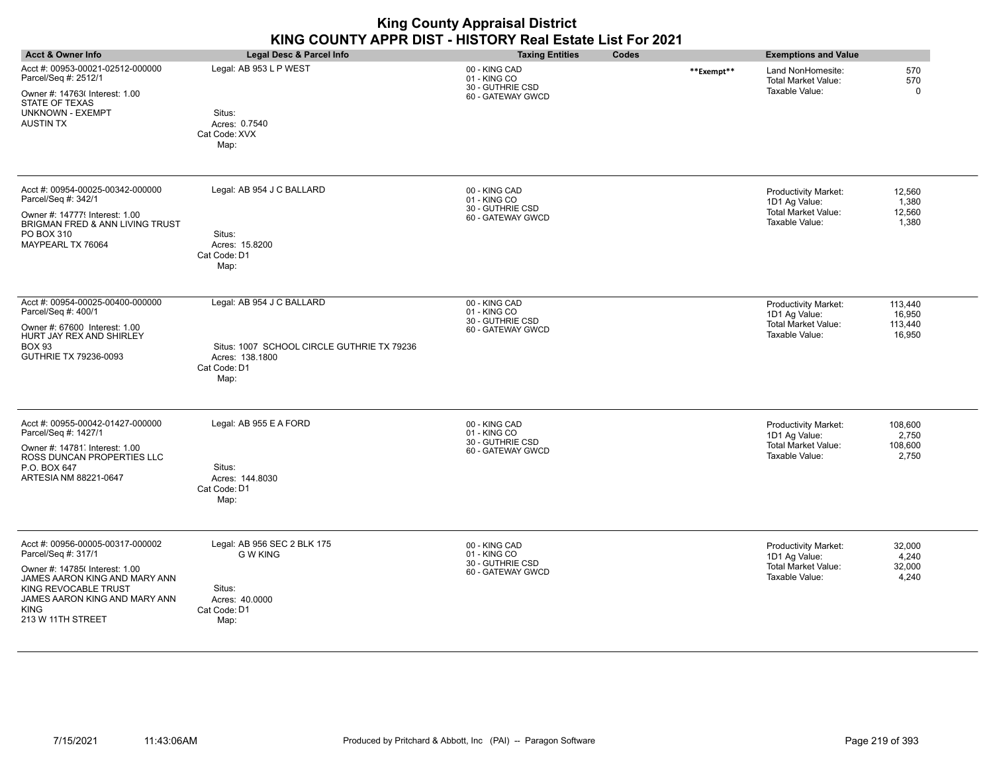| <b>Acct &amp; Owner Info</b>                                                                                                                                                                                     | <b>Legal Desc &amp; Parcel Info</b>                                                                                | <b>Taxing Entities</b>                                                 | Codes      | <b>Exemptions and Value</b>                                                                                                        |
|------------------------------------------------------------------------------------------------------------------------------------------------------------------------------------------------------------------|--------------------------------------------------------------------------------------------------------------------|------------------------------------------------------------------------|------------|------------------------------------------------------------------------------------------------------------------------------------|
| Acct #: 00953-00021-02512-000000<br>Parcel/Seq #: 2512/1<br>Owner #: 14763( Interest: 1.00<br>STATE OF TEXAS<br>UNKNOWN - EXEMPT<br>AUSTIN TX                                                                    | Legal: AB 953 L P WEST<br>Situs:<br>Acres: 0.7540<br>Cat Code: XVX<br>Map:                                         | 00 - KING CAD<br>01 - KING CO<br>30 - GUTHRIE CSD<br>60 - GATEWAY GWCD | **Exempt** | 570<br>Land NonHomesite:<br>570<br><b>Total Market Value:</b><br>Taxable Value:<br>$\Omega$                                        |
| Acct #: 00954-00025-00342-000000<br>Parcel/Seq #: 342/1<br>Owner #: 14777! Interest: 1.00<br>BRIGMAN FRED & ANN LIVING TRUST<br>PO BOX 310<br>MAYPEARL TX 76064                                                  | Legal: AB 954 J C BALLARD<br>Situs:<br>Acres: 15.8200<br>Cat Code: D1<br>Map:                                      | 00 - KING CAD<br>01 - KING CO<br>30 - GUTHRIE CSD<br>60 - GATEWAY GWCD |            | 12,560<br><b>Productivity Market:</b><br>1D1 Ag Value:<br>1,380<br><b>Total Market Value:</b><br>12,560<br>Taxable Value:<br>1,380 |
| Acct #: 00954-00025-00400-000000<br>Parcel/Seq #: 400/1<br>Owner #: 67600 Interest: 1.00<br>HURT JAY REX AND SHIRLEY<br><b>BOX 93</b><br>GUTHRIE TX 79236-0093                                                   | Legal: AB 954 J C BALLARD<br>Situs: 1007 SCHOOL CIRCLE GUTHRIE TX 79236<br>Acres: 138.1800<br>Cat Code: D1<br>Map: | 00 - KING CAD<br>01 - KING CO<br>30 - GUTHRIE CSD<br>60 - GATEWAY GWCD |            | 113,440<br><b>Productivity Market:</b><br>16,950<br>1D1 Ag Value:<br>Total Market Value:<br>113,440<br>Taxable Value:<br>16,950    |
| Acct #: 00955-00042-01427-000000<br>Parcel/Seq #: 1427/1<br>Owner #: 14781 Interest: 1.00<br>ROSS DUNCAN PROPERTIES LLC<br>P.O. BOX 647<br>ARTESIA NM 88221-0647                                                 | Legal: AB 955 E A FORD<br>Situs:<br>Acres: 144.8030<br>Cat Code: D1<br>Map:                                        | 00 - KING CAD<br>01 - KING CO<br>30 - GUTHRIE CSD<br>60 - GATEWAY GWCD |            | Productivity Market:<br>108,600<br>1D1 Ag Value:<br>2,750<br><b>Total Market Value:</b><br>108,600<br>Taxable Value:<br>2,750      |
| Acct #: 00956-00005-00317-000002<br>Parcel/Seq #: 317/1<br>Owner #: 14785( Interest: 1.00<br>JAMES AARON KING AND MARY ANN<br>KING REVOCABLE TRUST<br>JAMES AARON KING AND MARY ANN<br>KING<br>213 W 11TH STREET | Legal: AB 956 SEC 2 BLK 175<br><b>G W KING</b><br>Situs:<br>Acres: 40.0000<br>Cat Code: D1<br>Map:                 | 00 - KING CAD<br>01 - KING CO<br>30 - GUTHRIE CSD<br>60 - GATEWAY GWCD |            | 32,000<br><b>Productivity Market:</b><br>1D1 Ag Value:<br>4,240<br>Total Market Value:<br>32,000<br>Taxable Value:<br>4,240        |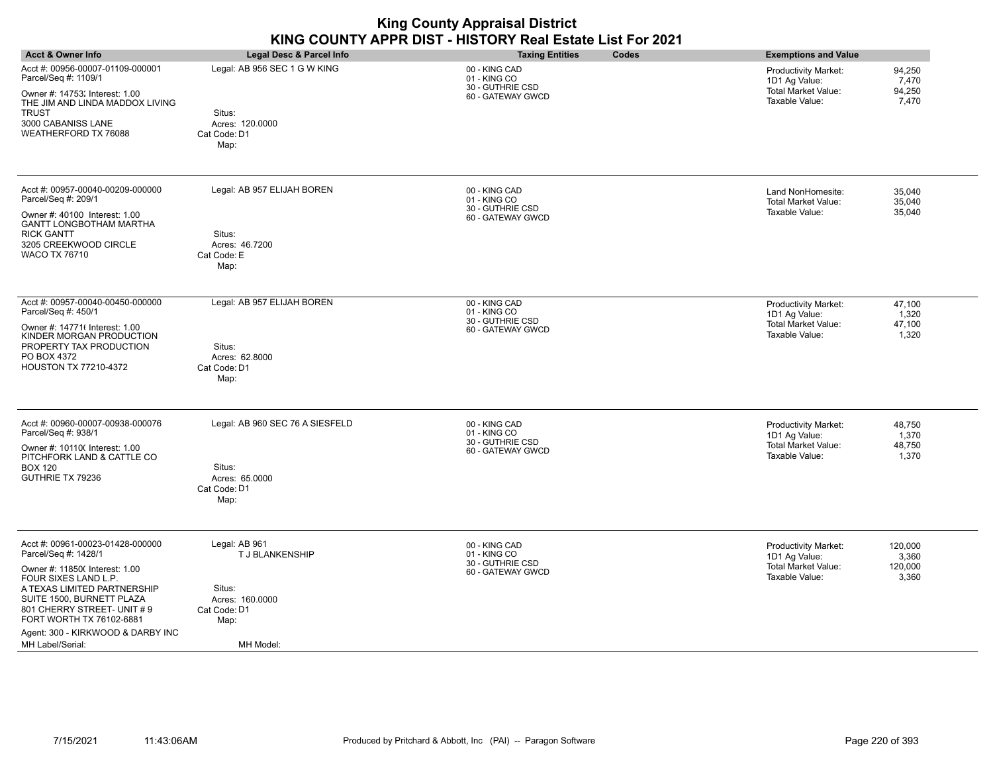| <b>Acct &amp; Owner Info</b>                                                                                                                                                                                                                                                                      | Legal Desc & Parcel Info                                                                           | <b>Taxing Entities</b><br>Codes                                        | <b>Exemptions and Value</b>                                                                                                          |
|---------------------------------------------------------------------------------------------------------------------------------------------------------------------------------------------------------------------------------------------------------------------------------------------------|----------------------------------------------------------------------------------------------------|------------------------------------------------------------------------|--------------------------------------------------------------------------------------------------------------------------------------|
| Acct #: 00956-00007-01109-000001<br>Parcel/Seq #: 1109/1<br>Owner #: 14753; Interest: 1.00<br>THE JIM AND LINDA MADDOX LIVING<br><b>TRUST</b><br>3000 CABANISS LANE<br><b>WEATHERFORD TX 76088</b>                                                                                                | Legal: AB 956 SEC 1 G W KING<br>Situs:<br>Acres: 120.0000<br>Cat Code: D1<br>Map:                  | 00 - KING CAD<br>01 - KING CO<br>30 - GUTHRIE CSD<br>60 - GATEWAY GWCD | 94,250<br><b>Productivity Market:</b><br>1D1 Ag Value:<br>7,470<br>Total Market Value:<br>94,250<br>Taxable Value:<br>7,470          |
| Acct #: 00957-00040-00209-000000<br>Parcel/Seq #: 209/1<br>Owner #: 40100 Interest: 1.00<br><b>GANTT LONGBOTHAM MARTHA</b><br><b>RICK GANTT</b><br>3205 CREEKWOOD CIRCLE<br>WACO TX 76710                                                                                                         | Legal: AB 957 ELIJAH BOREN<br>Situs:<br>Acres: 46.7200<br>Cat Code: E<br>Map:                      | 00 - KING CAD<br>01 - KING CO<br>30 - GUTHRIE CSD<br>60 - GATEWAY GWCD | 35,040<br>Land NonHomesite:<br><b>Total Market Value:</b><br>35,040<br>Taxable Value:<br>35,040                                      |
| Acct #: 00957-00040-00450-000000<br>Parcel/Seq #: 450/1<br>Owner #: 14771( Interest: 1.00<br>KINDER MORGAN PRODUCTION<br>PROPERTY TAX PRODUCTION<br>PO BOX 4372<br>HOUSTON TX 77210-4372                                                                                                          | Legal: AB 957 ELIJAH BOREN<br>Situs:<br>Acres: 62.8000<br>Cat Code: D1<br>Map:                     | 00 - KING CAD<br>01 - KING CO<br>30 - GUTHRIE CSD<br>60 - GATEWAY GWCD | Productivity Market:<br>47,100<br>1,320<br>1D1 Ag Value:<br><b>Total Market Value:</b><br>47,100<br>1,320<br>Taxable Value:          |
| Acct #: 00960-00007-00938-000076<br>Parcel/Seq #: 938/1<br>Owner #: 10110( Interest: 1.00<br>PITCHFORK LAND & CATTLE CO<br><b>BOX 120</b><br>GUTHRIE TX 79236                                                                                                                                     | Legal: AB 960 SEC 76 A SIESFELD<br>Situs:<br>Acres: 65.0000<br>Cat Code: D1<br>Map:                | 00 - KING CAD<br>01 - KING CO<br>30 - GUTHRIE CSD<br>60 - GATEWAY GWCD | Productivity Market:<br>48,750<br>1D1 Ag Value:<br>1,370<br><b>Total Market Value:</b><br>48,750<br>Taxable Value:<br>1,370          |
| Acct #: 00961-00023-01428-000000<br>Parcel/Seq #: 1428/1<br>Owner #: 11850( Interest: 1.00<br>FOUR SIXES LAND L.P.<br>A TEXAS LIMITED PARTNERSHIP<br>SUITE 1500, BURNETT PLAZA<br>801 CHERRY STREET- UNIT #9<br>FORT WORTH TX 76102-6881<br>Agent: 300 - KIRKWOOD & DARBY INC<br>MH Label/Serial: | Legal: AB 961<br>T J BLANKENSHIP<br>Situs:<br>Acres: 160.0000<br>Cat Code: D1<br>Map:<br>MH Model: | 00 - KING CAD<br>01 - KING CO<br>30 - GUTHRIE CSD<br>60 - GATEWAY GWCD | <b>Productivity Market:</b><br>120,000<br>3,360<br>1D1 Ag Value:<br>120,000<br><b>Total Market Value:</b><br>Taxable Value:<br>3,360 |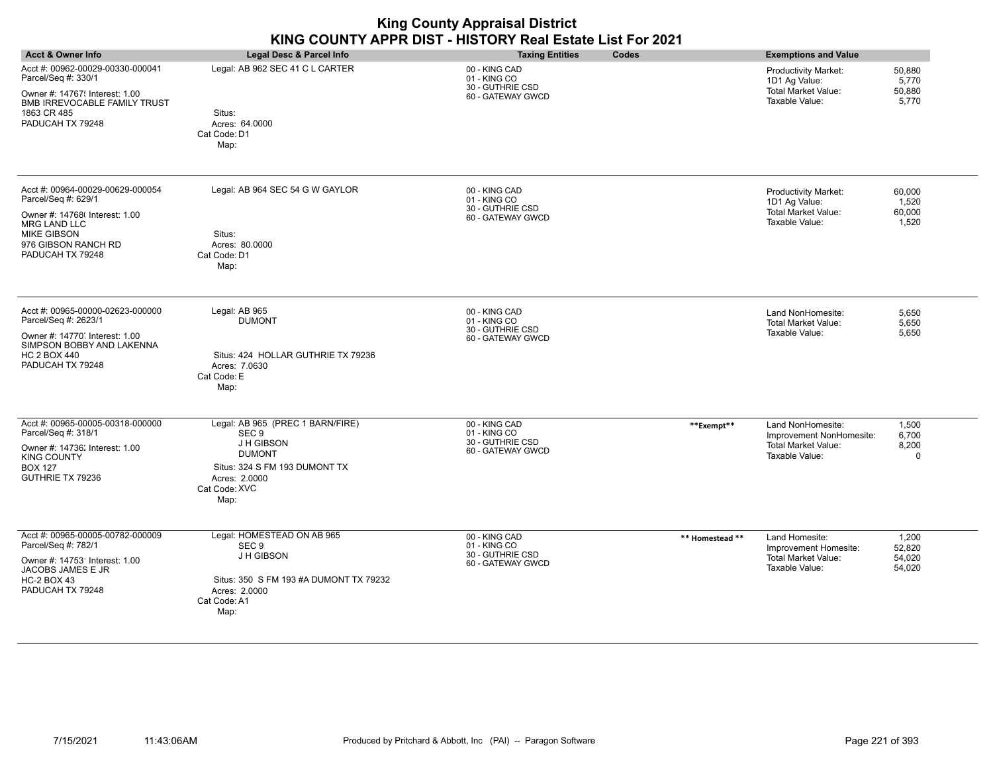|                                                                                                                                                                                  |                                                                                                                                                                       | <b>King County Appraisal District</b><br>KING COUNTY APPR DIST - HISTORY Real Estate List For 2021 |                 |                                                                                              |                                     |
|----------------------------------------------------------------------------------------------------------------------------------------------------------------------------------|-----------------------------------------------------------------------------------------------------------------------------------------------------------------------|----------------------------------------------------------------------------------------------------|-----------------|----------------------------------------------------------------------------------------------|-------------------------------------|
| <b>Acct &amp; Owner Info</b>                                                                                                                                                     | <b>Legal Desc &amp; Parcel Info</b>                                                                                                                                   | <b>Taxing Entities</b>                                                                             | Codes           | <b>Exemptions and Value</b>                                                                  |                                     |
| Acct #: 00962-00029-00330-000041<br>Parcel/Seq #: 330/1<br>Owner #: 14767! Interest: 1.00<br>BMB IRREVOCABLE FAMILY TRUST<br>1863 CR 485<br>PADUCAH TX 79248                     | Legal: AB 962 SEC 41 C L CARTER<br>Situs:<br>Acres: 64.0000<br>Cat Code: D1<br>Map:                                                                                   | 00 - KING CAD<br>01 - KING CO<br>30 - GUTHRIE CSD<br>60 - GATEWAY GWCD                             |                 | <b>Productivity Market:</b><br>1D1 Ag Value:<br><b>Total Market Value:</b><br>Taxable Value: | 50,880<br>5,770<br>50,880<br>5,770  |
| Acct #: 00964-00029-00629-000054<br>Parcel/Seq #: 629/1<br>Owner #: 14768(Interest: 1.00<br><b>MRG LAND LLC</b><br><b>MIKE GIBSON</b><br>976 GIBSON RANCH RD<br>PADUCAH TX 79248 | Legal: AB 964 SEC 54 G W GAYLOR<br>Situs:<br>Acres: 80,0000<br>Cat Code: D1<br>Map:                                                                                   | 00 - KING CAD<br>01 - KING CO<br>30 - GUTHRIE CSD<br>60 - GATEWAY GWCD                             |                 | <b>Productivity Market:</b><br>1D1 Ag Value:<br><b>Total Market Value:</b><br>Taxable Value: | 60,000<br>1,520<br>60,000<br>1,520  |
| Acct #: 00965-00000-02623-000000<br>Parcel/Seq #: 2623/1<br>Owner #: 14770, Interest: 1.00<br>SIMPSON BOBBY AND LAKENNA<br><b>HC 2 BOX 440</b><br>PADUCAH TX 79248               | Legal: AB 965<br><b>DUMONT</b><br>Situs: 424 HOLLAR GUTHRIE TX 79236<br>Acres: 7.0630<br>Cat Code: E<br>Map:                                                          | 00 - KING CAD<br>01 - KING CO<br>30 - GUTHRIE CSD<br>60 - GATEWAY GWCD                             |                 | Land NonHomesite:<br><b>Total Market Value:</b><br>Taxable Value:                            | 5,650<br>5,650<br>5,650             |
| Acct #: 00965-00005-00318-000000<br>Parcel/Seq #: 318/1<br>Owner #: 14736; Interest: 1.00<br><b>KING COUNTY</b><br><b>BOX 127</b><br>GUTHRIE TX 79236                            | Legal: AB 965 (PREC 1 BARN/FIRE)<br>SEC <sub>9</sub><br><b>J H GIBSON</b><br><b>DUMONT</b><br>Situs: 324 S FM 193 DUMONT TX<br>Acres: 2.0000<br>Cat Code: XVC<br>Map: | 00 - KING CAD<br>01 - KING CO<br>30 - GUTHRIE CSD<br>60 - GATEWAY GWCD                             | **Exempt**      | Land NonHomesite:<br>Improvement NonHomesite:<br>Total Market Value:<br>Taxable Value:       | 1,500<br>6.700<br>8,200<br>$\Omega$ |
| Acct #: 00965-00005-00782-000009<br>Parcel/Seq #: 782/1<br>Owner #: 14753' Interest: 1.00<br>JACOBS JAMES E JR<br><b>HC-2 BOX 43</b><br>PADUCAH TX 79248                         | Legal: HOMESTEAD ON AB 965<br>SEC <sub>9</sub><br><b>J H GIBSON</b><br>Situs: 350 S FM 193 #A DUMONT TX 79232<br>Acres: 2.0000<br>Cat Code: A1<br>Map:                | 00 - KING CAD<br>01 - KING CO<br>30 - GUTHRIE CSD<br>60 - GATEWAY GWCD                             | ** Homestead ** | Land Homesite:<br>Improvement Homesite:<br><b>Total Market Value:</b><br>Taxable Value:      | 1,200<br>52,820<br>54,020<br>54,020 |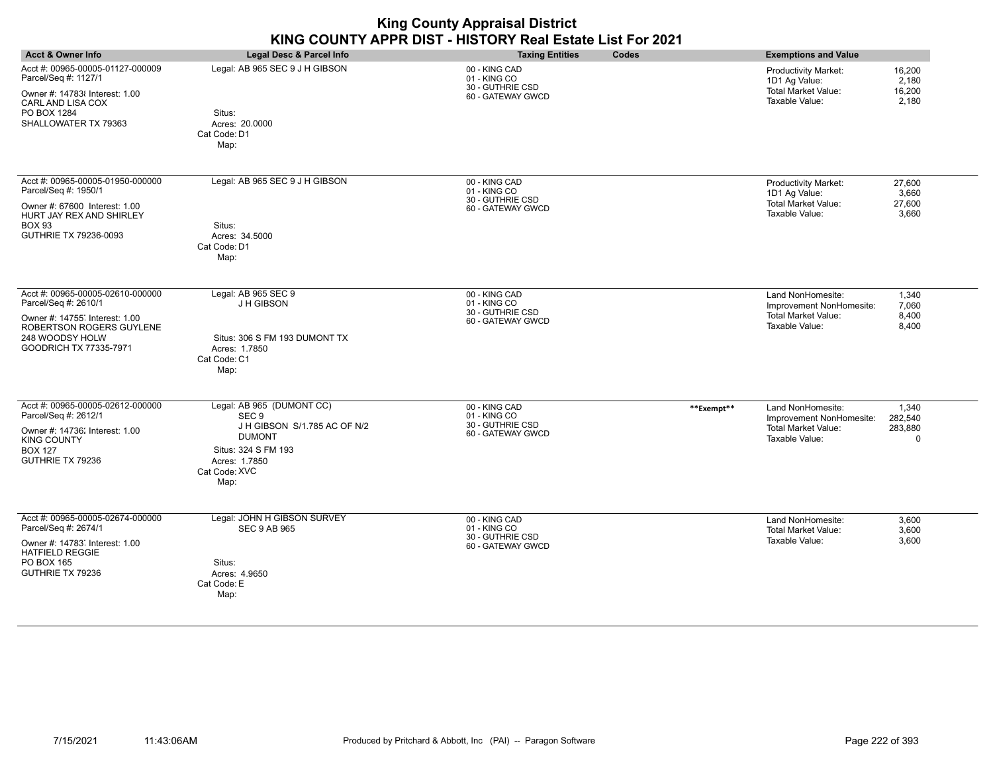|                                                                                                                                                                     |                                                                                                                                                                 | <b>King County Appraisal District</b><br>KING COUNTY APPR DIST - HISTORY Real Estate List For 2021 |            |                                                                                               |                                         |
|---------------------------------------------------------------------------------------------------------------------------------------------------------------------|-----------------------------------------------------------------------------------------------------------------------------------------------------------------|----------------------------------------------------------------------------------------------------|------------|-----------------------------------------------------------------------------------------------|-----------------------------------------|
| <b>Acct &amp; Owner Info</b>                                                                                                                                        | Legal Desc & Parcel Info                                                                                                                                        | Codes<br><b>Taxing Entities</b>                                                                    |            | <b>Exemptions and Value</b>                                                                   |                                         |
| Acct #: 00965-00005-01127-000009<br>Parcel/Seq #: 1127/1<br>Owner #: 14783 Interest: 1.00<br>CARL AND LISA COX<br>PO BOX 1284<br>SHALLOWATER TX 79363               | Legal: AB 965 SEC 9 J H GIBSON<br>Situs:<br>Acres: 20.0000<br>Cat Code: D1<br>Map:                                                                              | 00 - KING CAD<br>01 - KING CO<br>30 - GUTHRIE CSD<br>60 - GATEWAY GWCD                             |            | Productivity Market:<br>1D1 Ag Value:<br><b>Total Market Value:</b><br>Taxable Value:         | 16,200<br>2.180<br>16,200<br>2,180      |
| Acct #: 00965-00005-01950-000000<br>Parcel/Seq #: 1950/1<br>Owner #: 67600 Interest: 1.00<br>HURT JAY REX AND SHIRLEY<br><b>BOX 93</b><br>GUTHRIE TX 79236-0093     | Legal: AB 965 SEC 9 J H GIBSON<br>Situs:<br>Acres: 34.5000<br>Cat Code: D1<br>Map:                                                                              | 00 - KING CAD<br>01 - KING CO<br>30 - GUTHRIE CSD<br>60 - GATEWAY GWCD                             |            | Productivity Market:<br>1D1 Ag Value:<br><b>Total Market Value:</b><br>Taxable Value:         | 27.600<br>3,660<br>27,600<br>3,660      |
| Acct #: 00965-00005-02610-000000<br>Parcel/Seq #: 2610/1<br>Owner #: 14755, Interest: 1.00<br>ROBERTSON ROGERS GUYLENE<br>248 WOODSY HOLW<br>GOODRICH TX 77335-7971 | Legal: AB 965 SEC 9<br>J H GIBSON<br>Situs: 306 S FM 193 DUMONT TX<br>Acres: 1.7850<br>Cat Code: C1<br>Map:                                                     | 00 - KING CAD<br>01 - KING CO<br>30 - GUTHRIE CSD<br>60 - GATEWAY GWCD                             |            | Land NonHomesite:<br>Improvement NonHomesite:<br><b>Total Market Value:</b><br>Taxable Value: | 1,340<br>7.060<br>8.400<br>8,400        |
| Acct #: 00965-00005-02612-000000<br>Parcel/Seq #: 2612/1<br>Owner #: 14736; Interest: 1.00<br><b>KING COUNTY</b><br><b>BOX 127</b><br>GUTHRIE TX 79236              | Legal: AB 965 (DUMONT CC)<br>SEC <sub>9</sub><br>J H GIBSON S/1.785 AC OF N/2<br><b>DUMONT</b><br>Situs: 324 S FM 193<br>Acres: 1.7850<br>Cat Code: XVC<br>Map: | 00 - KING CAD<br>01 - KING CO<br>30 - GUTHRIE CSD<br>60 - GATEWAY GWCD                             | **Exempt** | Land NonHomesite:<br>Improvement NonHomesite:<br><b>Total Market Value:</b><br>Taxable Value: | 1,340<br>282,540<br>283,880<br>$\Omega$ |
| Acct #: 00965-00005-02674-000000<br>Parcel/Seq #: 2674/1<br>Owner #: 14783, Interest: 1.00<br><b>HATFIELD REGGIE</b><br>PO BOX 165<br>GUTHRIE TX 79236              | Legal: JOHN H GIBSON SURVEY<br><b>SEC 9 AB 965</b><br>Situs:<br>Acres: 4.9650<br>Cat Code: E<br>Map:                                                            | 00 - KING CAD<br>01 - KING CO<br>30 - GUTHRIE CSD<br>60 - GATEWAY GWCD                             |            | Land NonHomesite:<br><b>Total Market Value:</b><br>Taxable Value:                             | 3,600<br>3,600<br>3,600                 |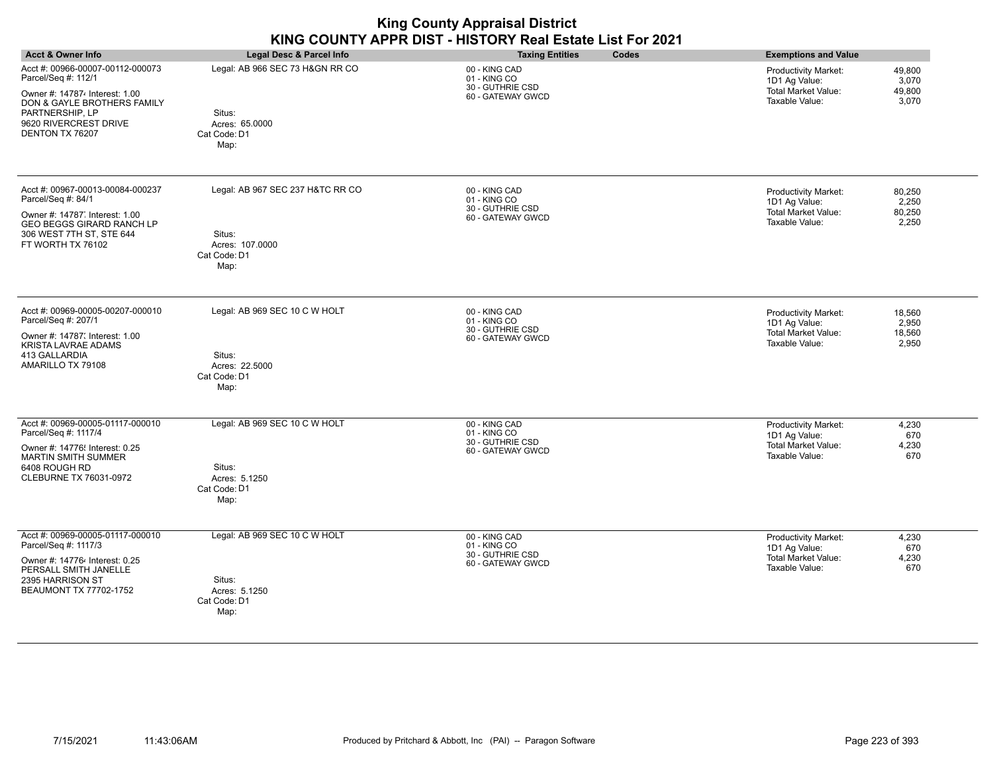| <b>Acct &amp; Owner Info</b>                                                                                       | Legal Desc & Parcel Info                          | <b>Taxing Entities</b><br>Codes                                        | <b>Exemptions and Value</b>                                                                             |
|--------------------------------------------------------------------------------------------------------------------|---------------------------------------------------|------------------------------------------------------------------------|---------------------------------------------------------------------------------------------------------|
| Acct #: 00966-00007-00112-000073<br>Parcel/Seq #: 112/1<br>Owner #: 147874 Interest: 1.00                          | Legal: AB 966 SEC 73 H&GN RR CO                   | 00 - KING CAD<br>01 - KING CO<br>30 - GUTHRIE CSD<br>60 - GATEWAY GWCD | 49,800<br><b>Productivity Market:</b><br>1D1 Ag Value:<br>3,070<br><b>Total Market Value:</b><br>49,800 |
| DON & GAYLE BROTHERS FAMILY<br>PARTNERSHIP, LP<br>9620 RIVERCREST DRIVE<br>DENTON TX 76207                         | Situs:<br>Acres: 65.0000<br>Cat Code: D1<br>Map:  |                                                                        | Taxable Value:<br>3,070                                                                                 |
| Acct #: 00967-00013-00084-000237<br>Parcel/Seq #: 84/1                                                             | Legal: AB 967 SEC 237 H&TC RR CO                  | 00 - KING CAD<br>01 - KING CO                                          | 80,250<br><b>Productivity Market:</b><br>2,250<br>1D1 Ag Value:                                         |
| Owner #: 14787 Interest: 1.00<br><b>GEO BEGGS GIRARD RANCH LP</b><br>306 WEST 7TH ST, STE 644<br>FT WORTH TX 76102 | Situs:<br>Acres: 107.0000<br>Cat Code: D1<br>Map: | 30 - GUTHRIE CSD<br>60 - GATEWAY GWCD                                  | <b>Total Market Value:</b><br>80,250<br>Taxable Value:<br>2,250                                         |
| Acct #: 00969-00005-00207-000010<br>Parcel/Seq #: 207/1                                                            | Legal: AB 969 SEC 10 C W HOLT                     | 00 - KING CAD<br>01 - KING CO                                          | Productivity Market:<br>18,560<br>1D1 Ag Value:<br>2,950                                                |
| Owner #: 14787; Interest: 1.00<br><b>KRISTA LAVRAE ADAMS</b><br>413 GALLARDIA<br>AMARILLO TX 79108                 | Situs:<br>Acres: 22.5000<br>Cat Code: D1<br>Map:  | 30 - GUTHRIE CSD<br>60 - GATEWAY GWCD                                  | <b>Total Market Value:</b><br>18,560<br>Taxable Value:<br>2,950                                         |
| Acct #: 00969-00005-01117-000010<br>Parcel/Seq #: 1117/4                                                           | Legal: AB 969 SEC 10 C W HOLT                     | 00 - KING CAD<br>01 - KING CO<br>30 - GUTHRIE CSD                      | <b>Productivity Market:</b><br>4,230<br>1D1 Ag Value:<br>670                                            |
| Owner #: 14776! Interest: 0.25<br>MARTIN SMITH SUMMER<br>6408 ROUGH RD<br>CLEBURNE TX 76031-0972                   | Situs:<br>Acres: 5.1250<br>Cat Code: D1<br>Map:   | 60 - GATEWAY GWCD                                                      | <b>Total Market Value:</b><br>4,230<br>Taxable Value:<br>670                                            |
| Acct #: 00969-00005-01117-000010<br>Parcel/Seq #: 1117/3                                                           | Legal: AB 969 SEC 10 C W HOLT                     | 00 - KING CAD<br>01 - KING CO<br>30 - GUTHRIE CSD                      | <b>Productivity Market:</b><br>4,230<br>1D1 Ag Value:<br>670                                            |
| Owner #: 147764 Interest: 0.25<br>PERSALL SMITH JANELLE<br>2395 HARRISON ST<br>BEAUMONT TX 77702-1752              | Situs:<br>Acres: 5.1250<br>Cat Code: D1<br>Map:   | 60 - GATEWAY GWCD                                                      | <b>Total Market Value:</b><br>4,230<br>Taxable Value:<br>670                                            |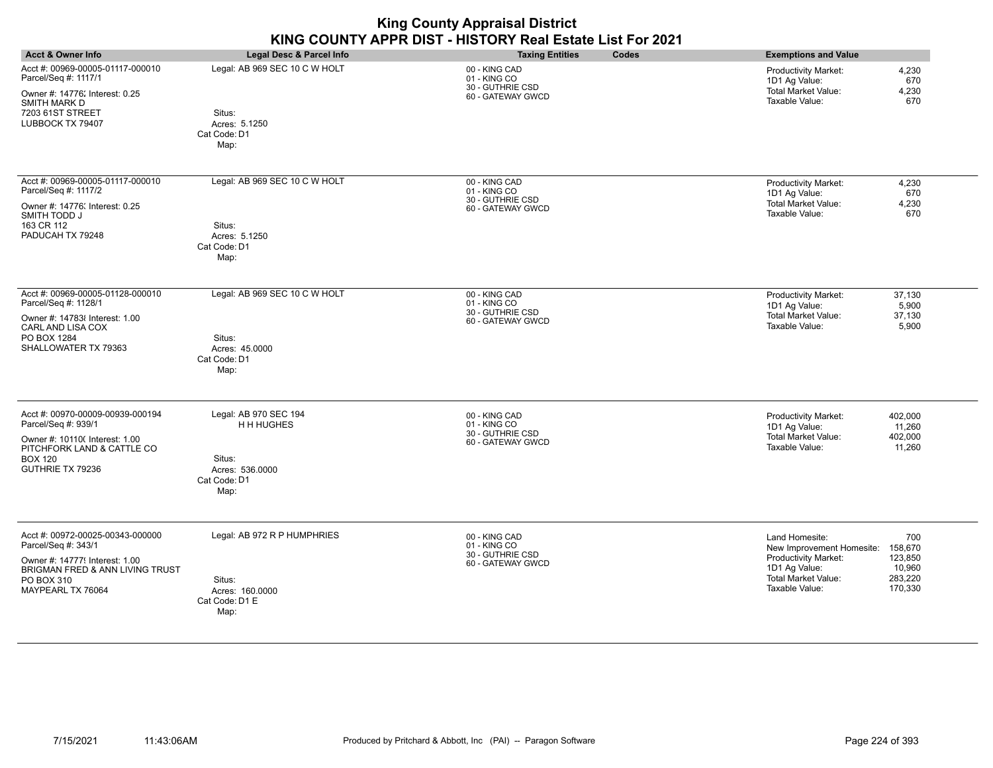|                                                                                                                                                                 |                                                                                          | <b>King County Appraisal District</b><br>KING COUNTY APPR DIST - HISTORY Real Estate List For 2021 |                                                                                                                                                                                                          |
|-----------------------------------------------------------------------------------------------------------------------------------------------------------------|------------------------------------------------------------------------------------------|----------------------------------------------------------------------------------------------------|----------------------------------------------------------------------------------------------------------------------------------------------------------------------------------------------------------|
| <b>Acct &amp; Owner Info</b>                                                                                                                                    | Legal Desc & Parcel Info                                                                 | <b>Taxing Entities</b><br>Codes                                                                    | <b>Exemptions and Value</b>                                                                                                                                                                              |
| Acct #: 00969-00005-01117-000010<br>Parcel/Seq #: 1117/1<br>Owner #: 14776; Interest: 0.25<br>SMITH MARK D<br>7203 61ST STREET<br>LUBBOCK TX 79407              | Legal: AB 969 SEC 10 C W HOLT<br>Situs:<br>Acres: 5.1250<br>Cat Code: D1<br>Map:         | 00 - KING CAD<br>01 - KING CO<br>30 - GUTHRIE CSD<br>60 - GATEWAY GWCD                             | Productivity Market:<br>4,230<br>1D1 Ag Value:<br>670<br><b>Total Market Value:</b><br>4,230<br>Taxable Value:<br>670                                                                                    |
| Acct #: 00969-00005-01117-000010<br>Parcel/Seq #: 1117/2<br>Owner #: 14776; Interest: 0.25<br>SMITH TODD J<br>163 CR 112<br>PADUCAH TX 79248                    | Legal: AB 969 SEC 10 C W HOLT<br>Situs:<br>Acres: 5.1250<br>Cat Code: D1<br>Map:         | 00 - KING CAD<br>01 - KING CO<br>30 - GUTHRIE CSD<br>60 - GATEWAY GWCD                             | Productivity Market:<br>4,230<br>1D1 Ag Value:<br>670<br><b>Total Market Value:</b><br>4,230<br>Taxable Value:<br>670                                                                                    |
| Acct #: 00969-00005-01128-000010<br>Parcel/Seq #: 1128/1<br>Owner #: 14783 Interest: 1.00<br>CARL AND LISA COX<br>PO BOX 1284<br>SHALLOWATER TX 79363           | Legal: AB 969 SEC 10 C W HOLT<br>Situs:<br>Acres: 45.0000<br>Cat Code: D1<br>Map:        | 00 - KING CAD<br>01 - KING CO<br>30 - GUTHRIE CSD<br>60 - GATEWAY GWCD                             | Productivity Market:<br>37,130<br>1D1 Ag Value:<br>5,900<br>Total Market Value:<br>37,130<br>Taxable Value:<br>5,900                                                                                     |
| Acct #: 00970-00009-00939-000194<br>Parcel/Seq #: 939/1<br>Owner #: 10110( Interest: 1.00<br>PITCHFORK LAND & CATTLE CO<br><b>BOX 120</b><br>GUTHRIE TX 79236   | Legal: AB 970 SEC 194<br>H H HUGHES<br>Situs:<br>Acres: 536,0000<br>Cat Code: D1<br>Map: | 00 - KING CAD<br>01 - KING CO<br>30 - GUTHRIE CSD<br>60 - GATEWAY GWCD                             | 402,000<br>Productivity Market:<br>1D1 Ag Value:<br>11,260<br><b>Total Market Value:</b><br>402,000<br>Taxable Value:<br>11,260                                                                          |
| Acct #: 00972-00025-00343-000000<br>Parcel/Seq #: 343/1<br>Owner #: 14777! Interest: 1.00<br>BRIGMAN FRED & ANN LIVING TRUST<br>PO BOX 310<br>MAYPEARL TX 76064 | Legal: AB 972 R P HUMPHRIES<br>Situs:<br>Acres: 160.0000<br>Cat Code: D1 E<br>Map:       | 00 - KING CAD<br>01 - KING CO<br>30 - GUTHRIE CSD<br>60 - GATEWAY GWCD                             | Land Homesite:<br>700<br>158,670<br>New Improvement Homesite:<br><b>Productivity Market:</b><br>123.850<br>10,960<br>1D1 Ag Value:<br><b>Total Market Value:</b><br>283,220<br>Taxable Value:<br>170,330 |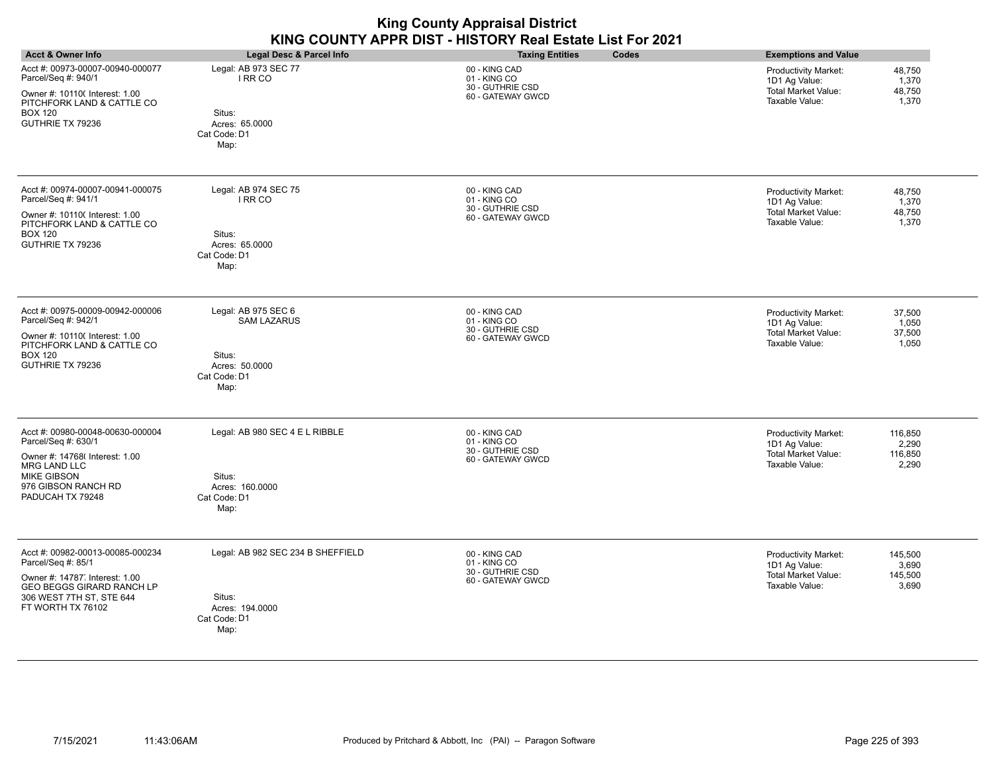|                                                                                                                                                                                   |                                                                                               | <b>King County Appraisal District</b><br>KING COUNTY APPR DIST - HISTORY Real Estate List For 2021 |                                                                                                                                    |
|-----------------------------------------------------------------------------------------------------------------------------------------------------------------------------------|-----------------------------------------------------------------------------------------------|----------------------------------------------------------------------------------------------------|------------------------------------------------------------------------------------------------------------------------------------|
| <b>Acct &amp; Owner Info</b>                                                                                                                                                      | <b>Legal Desc &amp; Parcel Info</b>                                                           | <b>Taxing Entities</b><br>Codes                                                                    | <b>Exemptions and Value</b>                                                                                                        |
| Acct #: 00973-00007-00940-000077<br>Parcel/Seq #: 940/1<br>Owner #: 101100 Interest: 1.00<br>PITCHFORK LAND & CATTLE CO<br><b>BOX 120</b><br>GUTHRIE TX 79236                     | Legal: AB 973 SEC 77<br>I RR CO<br>Situs:<br>Acres: 65.0000<br>Cat Code: D1<br>Map:           | 00 - KING CAD<br>01 - KING CO<br>30 - GUTHRIE CSD<br>60 - GATEWAY GWCD                             | 48,750<br><b>Productivity Market:</b><br>1D1 Ag Value:<br>1,370<br><b>Total Market Value:</b><br>48,750<br>Taxable Value:<br>1,370 |
| Acct #: 00974-00007-00941-000075<br>Parcel/Seq #: 941/1<br>Owner #: 10110( Interest: 1.00<br>PITCHFORK LAND & CATTLE CO<br><b>BOX 120</b><br>GUTHRIE TX 79236                     | Legal: AB 974 SEC 75<br>I RR CO<br>Situs:<br>Acres: 65.0000<br>Cat Code: D1<br>Map:           | 00 - KING CAD<br>01 - KING CO<br>30 - GUTHRIE CSD<br>60 - GATEWAY GWCD                             | 48.750<br><b>Productivity Market:</b><br>1D1 Ag Value:<br>1,370<br><b>Total Market Value:</b><br>48,750<br>Taxable Value:<br>1,370 |
| Acct #: 00975-00009-00942-000006<br>Parcel/Seq #: 942/1<br>Owner #: 10110( Interest: 1.00<br>PITCHFORK LAND & CATTLE CO<br><b>BOX 120</b><br>GUTHRIE TX 79236                     | Legal: AB 975 SEC 6<br><b>SAM LAZARUS</b><br>Situs:<br>Acres: 50.0000<br>Cat Code: D1<br>Map: | 00 - KING CAD<br>01 - KING CO<br>30 - GUTHRIE CSD<br>60 - GATEWAY GWCD                             | <b>Productivity Market:</b><br>37,500<br>1D1 Ag Value:<br>1,050<br><b>Total Market Value:</b><br>37,500<br>Taxable Value:<br>1,050 |
| Acct #: 00980-00048-00630-000004<br>Parcel/Seq #: 630/1<br>Owner #: 14768( Interest: 1.00<br><b>MRG LAND LLC</b><br><b>MIKE GIBSON</b><br>976 GIBSON RANCH RD<br>PADUCAH TX 79248 | Legal: AB 980 SEC 4 E L RIBBLE<br>Situs:<br>Acres: 160,0000<br>Cat Code: D1<br>Map:           | 00 - KING CAD<br>01 - KING CO<br>30 - GUTHRIE CSD<br>60 - GATEWAY GWCD                             | Productivity Market:<br>116,850<br>1D1 Ag Value:<br>2,290<br>Total Market Value:<br>116,850<br>2,290<br>Taxable Value:             |
| Acct #: 00982-00013-00085-000234<br>Parcel/Seq #: 85/1<br>Owner #: 14787 Interest: 1.00<br><b>GEO BEGGS GIRARD RANCH LP</b><br>306 WEST 7TH ST, STE 644<br>FT WORTH TX 76102      | Legal: AB 982 SEC 234 B SHEFFIELD<br>Situs:<br>Acres: 194.0000<br>Cat Code: D1<br>Map:        | 00 - KING CAD<br>01 - KING CO<br>30 - GUTHRIE CSD<br>60 - GATEWAY GWCD                             | <b>Productivity Market:</b><br>145,500<br>1D1 Ag Value:<br>3,690<br>Total Market Value:<br>145,500<br>Taxable Value:<br>3,690      |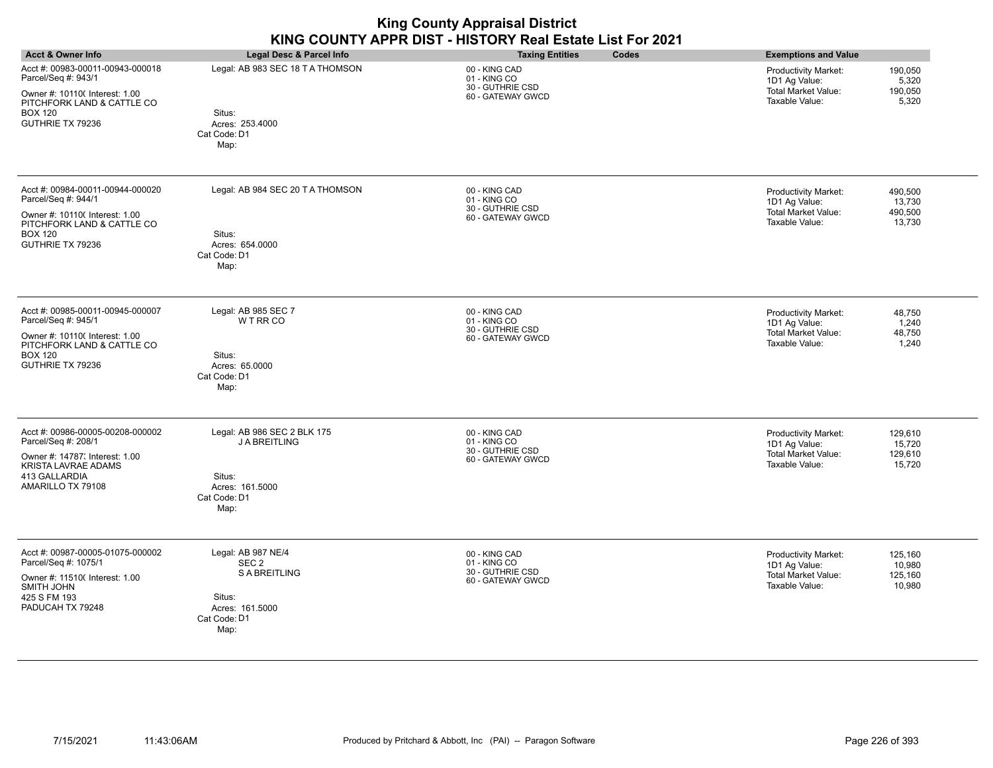|                                                                                                                                                               | ומוסטט טוווו                                                                                                        | .ouuv<br>ັ                                                             |                                                                                                                                 |
|---------------------------------------------------------------------------------------------------------------------------------------------------------------|---------------------------------------------------------------------------------------------------------------------|------------------------------------------------------------------------|---------------------------------------------------------------------------------------------------------------------------------|
| <b>Acct &amp; Owner Info</b>                                                                                                                                  | Legal Desc & Parcel Info                                                                                            | <b>Taxing Entities</b><br>Codes                                        | <b>Exemptions and Value</b>                                                                                                     |
| Acct #: 00983-00011-00943-000018<br>Parcel/Seq #: 943/1<br>Owner #: 10110( Interest: 1.00<br>PITCHFORK LAND & CATTLE CO<br><b>BOX 120</b><br>GUTHRIE TX 79236 | Legal: AB 983 SEC 18 T A THOMSON<br>Situs:<br>Acres: 253.4000<br>Cat Code: D1<br>Map:                               | 00 - KING CAD<br>01 - KING CO<br>30 - GUTHRIE CSD<br>60 - GATEWAY GWCD | Productivity Market:<br>190,050<br>1D1 Ag Value:<br>5,320<br><b>Total Market Value:</b><br>190,050<br>5,320<br>Taxable Value:   |
| Acct #: 00984-00011-00944-000020<br>Parcel/Seq #: 944/1<br>Owner #: 10110( Interest: 1.00<br>PITCHFORK LAND & CATTLE CO<br><b>BOX 120</b><br>GUTHRIE TX 79236 | Legal: AB 984 SEC 20 TA THOMSON<br>Situs:<br>Acres: 654.0000<br>Cat Code: D1<br>Map:                                | 00 - KING CAD<br>01 - KING CO<br>30 - GUTHRIE CSD<br>60 - GATEWAY GWCD | Productivity Market:<br>490,500<br>1D1 Ag Value:<br>13,730<br><b>Total Market Value:</b><br>490,500<br>Taxable Value:<br>13,730 |
| Acct #: 00985-00011-00945-000007<br>Parcel/Seq #: 945/1<br>Owner #: 10110( Interest: 1.00<br>PITCHFORK LAND & CATTLE CO<br><b>BOX 120</b><br>GUTHRIE TX 79236 | Legal: AB 985 SEC 7<br><b>WTRRCO</b><br>Situs:<br>Acres: 65.0000<br>Cat Code: D1<br>Map:                            | 00 - KING CAD<br>01 - KING CO<br>30 - GUTHRIE CSD<br>60 - GATEWAY GWCD | Productivity Market:<br>48,750<br>1D1 Ag Value:<br>1,240<br><b>Total Market Value:</b><br>48,750<br>Taxable Value:<br>1,240     |
| Acct #: 00986-00005-00208-000002<br>Parcel/Seq #: 208/1<br>Owner #: 14787; Interest: 1.00<br>KRISTA LAVRAE ADAMS<br>413 GALLARDIA<br>AMARILLO TX 79108        | Legal: AB 986 SEC 2 BLK 175<br><b>JABREITLING</b><br>Situs:<br>Acres: 161.5000<br>Cat Code: D1<br>Map:              | 00 - KING CAD<br>01 - KING CO<br>30 - GUTHRIE CSD<br>60 - GATEWAY GWCD | 129,610<br>Productivity Market:<br>1D1 Ag Value:<br>15,720<br><b>Total Market Value:</b><br>129,610<br>Taxable Value:<br>15,720 |
| Acct #: 00987-00005-01075-000002<br>Parcel/Seq #: 1075/1<br>Owner #: 11510( Interest: 1.00<br>SMITH JOHN<br>425 S FM 193<br>PADUCAH TX 79248                  | Legal: AB 987 NE/4<br>SEC <sub>2</sub><br><b>S A BREITLING</b><br>Situs:<br>Acres: 161.5000<br>Cat Code: D1<br>Map: | 00 - KING CAD<br>01 - KING CO<br>30 - GUTHRIE CSD<br>60 - GATEWAY GWCD | Productivity Market:<br>125,160<br>1D1 Ag Value:<br>10,980<br><b>Total Market Value:</b><br>125,160<br>Taxable Value:<br>10,980 |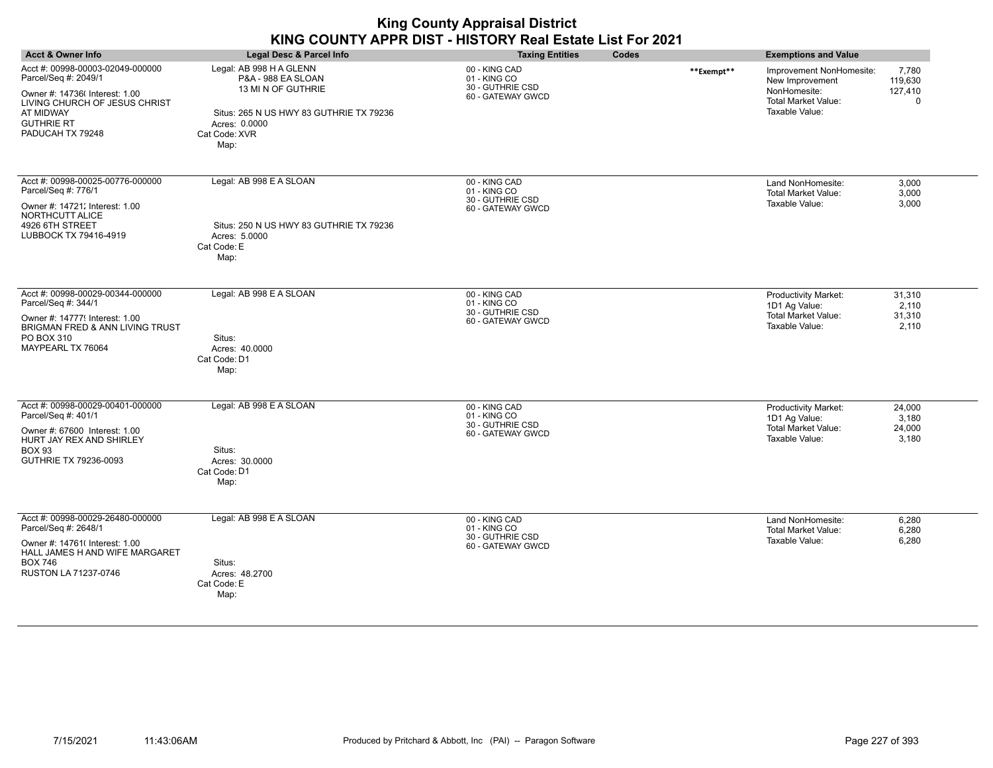|                                                                                                                                                                                  |                                                                                                                                                          | <b>King County Appraisal District</b><br>KING COUNTY APPR DIST - HISTORY Real Estate List For 2021 |            |                                                                                                             |                                         |
|----------------------------------------------------------------------------------------------------------------------------------------------------------------------------------|----------------------------------------------------------------------------------------------------------------------------------------------------------|----------------------------------------------------------------------------------------------------|------------|-------------------------------------------------------------------------------------------------------------|-----------------------------------------|
| <b>Acct &amp; Owner Info</b>                                                                                                                                                     | <b>Legal Desc &amp; Parcel Info</b>                                                                                                                      | <b>Taxing Entities</b>                                                                             | Codes      | <b>Exemptions and Value</b>                                                                                 |                                         |
| Acct #: 00998-00003-02049-000000<br>Parcel/Seq #: 2049/1<br>Owner #: 14736(Interest: 1.00<br>LIVING CHURCH OF JESUS CHRIST<br>AT MIDWAY<br><b>GUTHRIE RT</b><br>PADUCAH TX 79248 | Legal: AB 998 H A GLENN<br>P&A - 988 EA SLOAN<br>13 MI N OF GUTHRIE<br>Situs: 265 N US HWY 83 GUTHRIE TX 79236<br>Acres: 0.0000<br>Cat Code: XVR<br>Map: | 00 - KING CAD<br>01 - KING CO<br>30 - GUTHRIE CSD<br>60 - GATEWAY GWCD                             | **Exempt** | Improvement NonHomesite:<br>New Improvement<br>NonHomesite:<br><b>Total Market Value:</b><br>Taxable Value: | 7,780<br>119.630<br>127,410<br>$\Omega$ |
| Acct #: 00998-00025-00776-000000<br>Parcel/Seq #: 776/1<br>Owner #: 14721; Interest: 1.00<br>NORTHCUTT ALICE<br>4926 6TH STREET<br>LUBBOCK TX 79416-4919                         | Legal: AB 998 E A SLOAN<br>Situs: 250 N US HWY 83 GUTHRIE TX 79236<br>Acres: 5.0000<br>Cat Code: E<br>Map:                                               | 00 - KING CAD<br>01 - KING CO<br>30 - GUTHRIE CSD<br>60 - GATEWAY GWCD                             |            | Land NonHomesite:<br>Total Market Value:<br>Taxable Value:                                                  | 3,000<br>3,000<br>3,000                 |
| Acct #: 00998-00029-00344-000000<br>Parcel/Seq #: 344/1<br>Owner #: 14777! Interest: 1.00<br>BRIGMAN FRED & ANN LIVING TRUST<br>PO BOX 310<br>MAYPEARL TX 76064                  | Legal: AB 998 E A SLOAN<br>Situs:<br>Acres: 40,0000<br>Cat Code: D1<br>Map:                                                                              | 00 - KING CAD<br>01 - KING CO<br>30 - GUTHRIE CSD<br>60 - GATEWAY GWCD                             |            | <b>Productivity Market:</b><br>1D1 Ag Value:<br><b>Total Market Value:</b><br>Taxable Value:                | 31,310<br>2,110<br>31,310<br>2,110      |
| Acct #: 00998-00029-00401-000000<br>Parcel/Seq #: 401/1<br>Owner #: 67600 Interest: 1.00<br>HURT JAY REX AND SHIRLEY<br><b>BOX 93</b><br>GUTHRIE TX 79236-0093                   | Legal: AB 998 E A SLOAN<br>Situs:<br>Acres: 30,0000<br>Cat Code: D1<br>Map:                                                                              | 00 - KING CAD<br>01 - KING CO<br>30 - GUTHRIE CSD<br>60 - GATEWAY GWCD                             |            | Productivity Market:<br>1D1 Ag Value:<br><b>Total Market Value:</b><br>Taxable Value:                       | 24,000<br>3.180<br>24,000<br>3.180      |
| Acct #: 00998-00029-26480-000000<br>Parcel/Seq #: 2648/1<br>Owner #: 14761( Interest: 1.00<br>HALL JAMES H AND WIFE MARGARET<br><b>BOX 746</b><br>RUSTON LA 71237-0746           | Legal: AB 998 E A SLOAN<br>Situs:<br>Acres: 48.2700<br>Cat Code: E<br>Map:                                                                               | 00 - KING CAD<br>01 - KING CO<br>30 - GUTHRIE CSD<br>60 - GATEWAY GWCD                             |            | Land NonHomesite:<br><b>Total Market Value:</b><br>Taxable Value:                                           | 6,280<br>6,280<br>6,280                 |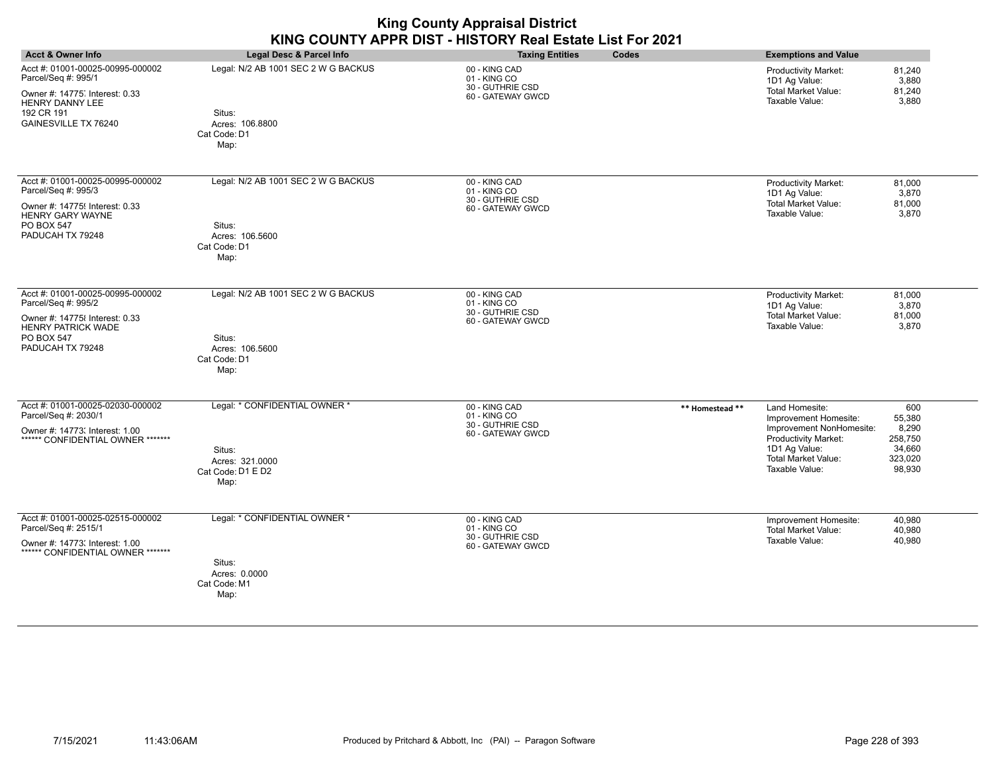| <b>Acct &amp; Owner Info</b>                                                                                                                             | Legal Desc & Parcel Info                                                                 | <b>Taxing Entities</b><br>Codes                                        |                 | <b>Exemptions and Value</b>                                                                                                                                         |                                                                  |
|----------------------------------------------------------------------------------------------------------------------------------------------------------|------------------------------------------------------------------------------------------|------------------------------------------------------------------------|-----------------|---------------------------------------------------------------------------------------------------------------------------------------------------------------------|------------------------------------------------------------------|
| Acct #: 01001-00025-00995-000002<br>Parcel/Seq #: 995/1<br>Owner #: 14775: Interest: 0.33<br>HENRY DANNY LEE<br>192 CR 191<br>GAINESVILLE TX 76240       | Legal: N/2 AB 1001 SEC 2 W G BACKUS<br>Situs:<br>Acres: 106.8800<br>Cat Code: D1<br>Map: | 00 - KING CAD<br>01 - KING CO<br>30 - GUTHRIE CSD<br>60 - GATEWAY GWCD |                 | <b>Productivity Market:</b><br>1D1 Ag Value:<br>Total Market Value:<br>Taxable Value:                                                                               | 81,240<br>3,880<br>81,240<br>3,880                               |
| Acct #: 01001-00025-00995-000002<br>Parcel/Seq #: 995/3<br>Owner #: 14775 !Interest: 0.33<br><b>HENRY GARY WAYNE</b><br>PO BOX 547<br>PADUCAH TX 79248   | Legal: N/2 AB 1001 SEC 2 W G BACKUS<br>Situs:<br>Acres: 106.5600<br>Cat Code: D1<br>Map: | 00 - KING CAD<br>01 - KING CO<br>30 - GUTHRIE CSD<br>60 - GATEWAY GWCD |                 | Productivity Market:<br>1D1 Ag Value:<br>Total Market Value:<br>Taxable Value:                                                                                      | 81,000<br>3,870<br>81,000<br>3,870                               |
| Acct #: 01001-00025-00995-000002<br>Parcel/Seq #: 995/2<br>Owner #: 14775 {Interest: 0.33<br>HENRY PATRICK WADE<br><b>PO BOX 547</b><br>PADUCAH TX 79248 | Legal: N/2 AB 1001 SEC 2 W G BACKUS<br>Situs:<br>Acres: 106.5600<br>Cat Code: D1<br>Map: | 00 - KING CAD<br>01 - KING CO<br>30 - GUTHRIE CSD<br>60 - GATEWAY GWCD |                 | Productivity Market:<br>1D1 Ag Value:<br>Total Market Value:<br>Taxable Value:                                                                                      | 81,000<br>3,870<br>81,000<br>3,870                               |
| Acct #: 01001-00025-02030-000002<br>Parcel/Seq #: 2030/1<br>Owner #: 14773; Interest: 1.00<br>****** CONFIDENTIAL OWNER *******                          | Legal: * CONFIDENTIAL OWNER *<br>Situs:<br>Acres: 321.0000<br>Cat Code: D1 E D2<br>Map:  | 00 - KING CAD<br>01 - KING CO<br>30 - GUTHRIE CSD<br>60 - GATEWAY GWCD | ** Homestead ** | Land Homesite:<br>Improvement Homesite:<br>Improvement NonHomesite:<br><b>Productivity Market:</b><br>1D1 Ag Value:<br><b>Total Market Value:</b><br>Taxable Value: | 600<br>55,380<br>8,290<br>258,750<br>34,660<br>323,020<br>98,930 |
| Acct #: 01001-00025-02515-000002<br>Parcel/Seq #: 2515/1<br>Owner #: 14773; Interest: 1.00<br>****** CONFIDENTIAL OWNER *******                          | Legal: * CONFIDENTIAL OWNER *<br>Situs:<br>Acres: 0.0000<br>Cat Code: M1<br>Map:         | 00 - KING CAD<br>01 - KING CO<br>30 - GUTHRIE CSD<br>60 - GATEWAY GWCD |                 | Improvement Homesite:<br><b>Total Market Value:</b><br>Taxable Value:                                                                                               | 40,980<br>40,980<br>40,980                                       |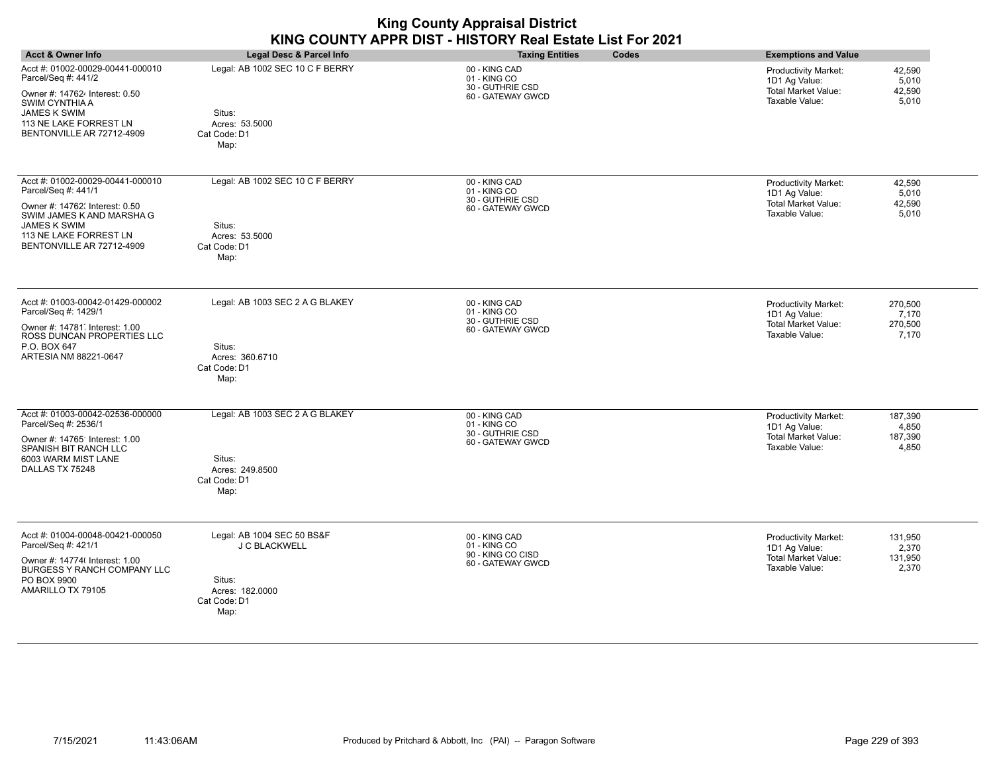| <b>Acct &amp; Owner Info</b>                                                                                                                                                                         | Legal Desc & Parcel Info                                                                         | <b>Taxing Entities</b><br>Codes                                         | <b>Exemptions and Value</b>                                                                                                          |
|------------------------------------------------------------------------------------------------------------------------------------------------------------------------------------------------------|--------------------------------------------------------------------------------------------------|-------------------------------------------------------------------------|--------------------------------------------------------------------------------------------------------------------------------------|
| Acct #: 01002-00029-00441-000010<br>Parcel/Seq #: 441/2<br>Owner #: 147624 Interest: 0.50<br><b>SWIM CYNTHIAA</b><br><b>JAMES K SWIM</b><br>113 NE LAKE FORREST LN<br>BENTONVILLE AR 72712-4909      | Legal: AB 1002 SEC 10 C F BERRY<br>Situs:<br>Acres: 53.5000<br>Cat Code: D1<br>Map:              | 00 - KING CAD<br>01 - KING CO<br>30 - GUTHRIE CSD<br>60 - GATEWAY GWCD  | 42,590<br>Productivity Market:<br>1D1 Ag Value:<br>5,010<br><b>Total Market Value:</b><br>42,590<br>Taxable Value:<br>5,010          |
| Acct #: 01002-00029-00441-000010<br>Parcel/Seq #: 441/1<br>Owner #: 14762. Interest: 0.50<br>SWIM JAMES K AND MARSHA G<br><b>JAMES K SWIM</b><br>113 NE LAKE FORREST LN<br>BENTONVILLE AR 72712-4909 | Legal: AB 1002 SEC 10 C F BERRY<br>Situs:<br>Acres: 53.5000<br>Cat Code: D1<br>Map:              | 00 - KING CAD<br>01 - KING CO<br>30 - GUTHRIE CSD<br>60 - GATEWAY GWCD  | Productivity Market:<br>42,590<br>1D1 Ag Value:<br>5,010<br><b>Total Market Value:</b><br>42,590<br>Taxable Value:<br>5,010          |
| Acct #: 01003-00042-01429-000002<br>Parcel/Seq #: 1429/1<br>Owner #: 14781 Interest: 1.00<br>ROSS DUNCAN PROPERTIES LLC<br>P.O. BOX 647<br>ARTESIA NM 88221-0647                                     | Legal: AB 1003 SEC 2 A G BLAKEY<br>Situs:<br>Acres: 360.6710<br>Cat Code: D1<br>Map:             | 00 - KING CAD<br>01 - KING CO<br>30 - GUTHRIE CSD<br>60 - GATEWAY GWCD  | Productivity Market:<br>270,500<br>1D1 Ag Value:<br>7,170<br><b>Total Market Value:</b><br>270,500<br>Taxable Value:<br>7,170        |
| Acct #: 01003-00042-02536-000000<br>Parcel/Seq #: 2536/1<br>Owner #: 14765' Interest: 1.00<br>SPANISH BIT RANCH LLC<br>6003 WARM MIST LANE<br>DALLAS TX 75248                                        | Legal: AB 1003 SEC 2 A G BLAKEY<br>Situs:<br>Acres: 249.8500<br>Cat Code: D1<br>Map:             | 00 - KING CAD<br>01 - KING CO<br>30 - GUTHRIE CSD<br>60 - GATEWAY GWCD  | <b>Productivity Market:</b><br>187,390<br>1D1 Ag Value:<br>4,850<br><b>Total Market Value:</b><br>187,390<br>Taxable Value:<br>4,850 |
| Acct #: 01004-00048-00421-000050<br>Parcel/Seq #: 421/1<br>Owner #: 14774( Interest: 1.00<br>BURGESS Y RANCH COMPANY LLC<br>PO BOX 9900<br>AMARILLO TX 79105                                         | Legal: AB 1004 SEC 50 BS&F<br>J C BLACKWELL<br>Situs:<br>Acres: 182.0000<br>Cat Code: D1<br>Map: | 00 - KING CAD<br>01 - KING CO<br>90 - KING CO CISD<br>60 - GATEWAY GWCD | Productivity Market:<br>131,950<br>2,370<br>1D1 Ag Value:<br><b>Total Market Value:</b><br>131,950<br>Taxable Value:<br>2,370        |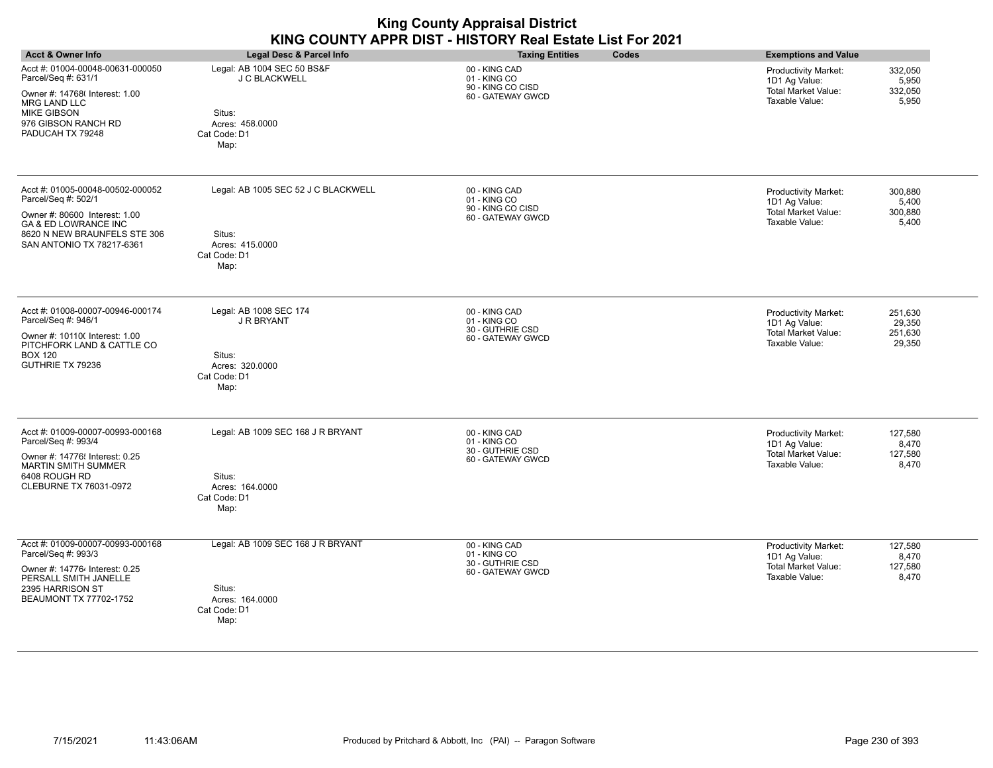|                                                                                                                                                                                   |                                                                                                  | <b>King County Appraisal District</b><br>KING COUNTY APPR DIST - HISTORY Real Estate List For 2021 |                                                                                              |                                        |
|-----------------------------------------------------------------------------------------------------------------------------------------------------------------------------------|--------------------------------------------------------------------------------------------------|----------------------------------------------------------------------------------------------------|----------------------------------------------------------------------------------------------|----------------------------------------|
| <b>Acct &amp; Owner Info</b>                                                                                                                                                      | Legal Desc & Parcel Info                                                                         | Codes<br><b>Taxing Entities</b>                                                                    | <b>Exemptions and Value</b>                                                                  |                                        |
| Acct #: 01004-00048-00631-000050<br>Parcel/Seq #: 631/1<br>Owner #: 14768( Interest: 1.00<br><b>MRG LAND LLC</b><br><b>MIKE GIBSON</b><br>976 GIBSON RANCH RD<br>PADUCAH TX 79248 | Legal: AB 1004 SEC 50 BS&F<br>J C BLACKWELL<br>Situs:<br>Acres: 458,0000<br>Cat Code: D1<br>Map: | 00 - KING CAD<br>01 - KING CO<br>90 - KING CO CISD<br>60 - GATEWAY GWCD                            | <b>Productivity Market:</b><br>1D1 Ag Value:<br><b>Total Market Value:</b><br>Taxable Value: | 332,050<br>5,950<br>332,050<br>5,950   |
| Acct #: 01005-00048-00502-000052<br>Parcel/Seq #: 502/1<br>Owner #: 80600 Interest: 1.00<br>GA & ED LOWRANCE INC<br>8620 N NEW BRAUNFELS STE 306<br>SAN ANTONIO TX 78217-6361     | Legal: AB 1005 SEC 52 J C BLACKWELL<br>Situs:<br>Acres: 415.0000<br>Cat Code: D1<br>Map:         | 00 - KING CAD<br>01 - KING CO<br>90 - KING CO CISD<br>60 - GATEWAY GWCD                            | <b>Productivity Market:</b><br>1D1 Ag Value:<br><b>Total Market Value:</b><br>Taxable Value: | 300,880<br>5,400<br>300,880<br>5,400   |
| Acct #: 01008-00007-00946-000174<br>Parcel/Seq #: 946/1<br>Owner #: 10110( Interest: 1.00<br>PITCHFORK LAND & CATTLE CO<br><b>BOX 120</b><br>GUTHRIE TX 79236                     | Legal: AB 1008 SEC 174<br>J R BRYANT<br>Situs:<br>Acres: 320.0000<br>Cat Code: D1<br>Map:        | 00 - KING CAD<br>01 - KING CO<br>30 - GUTHRIE CSD<br>60 - GATEWAY GWCD                             | <b>Productivity Market:</b><br>1D1 Ag Value:<br>Total Market Value:<br>Taxable Value:        | 251,630<br>29,350<br>251,630<br>29,350 |
| Acct #: 01009-00007-00993-000168<br>Parcel/Seq #: 993/4<br>Owner #: 14776! Interest: 0.25<br>MARTIN SMITH SUMMER<br>6408 ROUGH RD<br>CLEBURNE TX 76031-0972                       | Legal: AB 1009 SEC 168 J R BRYANT<br>Situs:<br>Acres: 164.0000<br>Cat Code: D1<br>Map:           | 00 - KING CAD<br>01 - KING CO<br>30 - GUTHRIE CSD<br>60 - GATEWAY GWCD                             | Productivity Market:<br>1D1 Ag Value:<br><b>Total Market Value:</b><br>Taxable Value:        | 127,580<br>8,470<br>127,580<br>8,470   |
| Acct #: 01009-00007-00993-000168<br>Parcel/Seq #: 993/3<br>Owner #: 147764 Interest: 0.25<br>PERSALL SMITH JANELLE<br>2395 HARRISON ST<br>BEAUMONT TX 77702-1752                  | Legal: AB 1009 SEC 168 J R BRYANT<br>Situs:<br>Acres: 164.0000<br>Cat Code: D1<br>Map:           | 00 - KING CAD<br>01 - KING CO<br>30 - GUTHRIE CSD<br>60 - GATEWAY GWCD                             | Productivity Market:<br>1D1 Ag Value:<br><b>Total Market Value:</b><br>Taxable Value:        | 127,580<br>8.470<br>127,580<br>8,470   |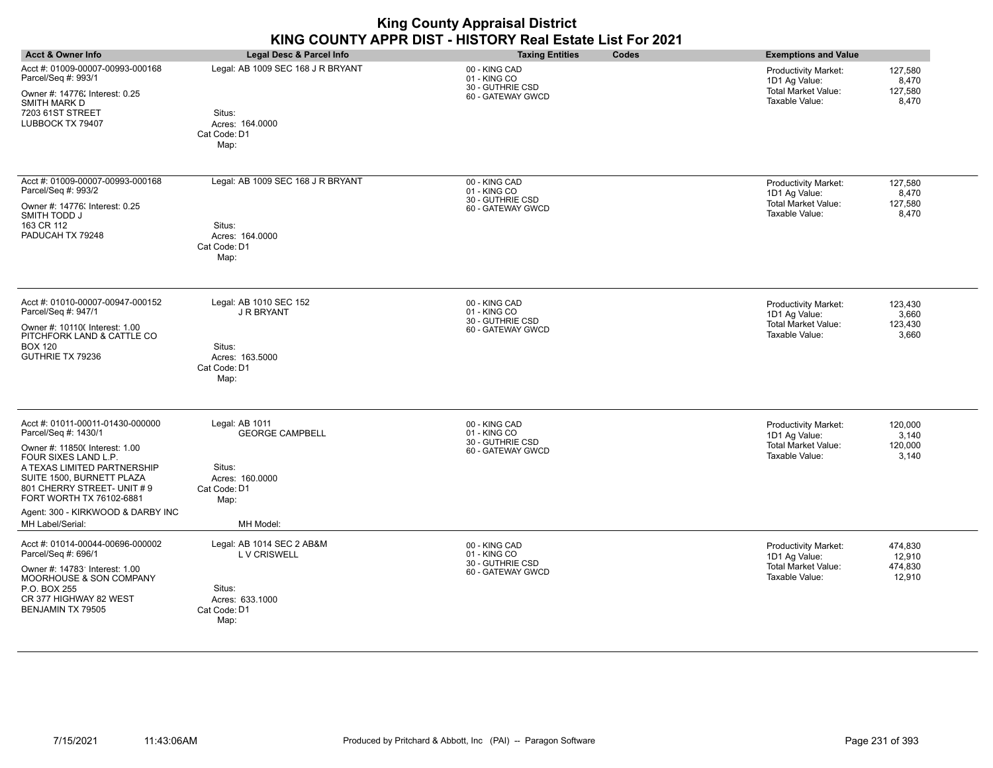| <b>Acct &amp; Owner Info</b>                                                                                                                                                                                                                                                                      | <b>Legal Desc &amp; Parcel Info</b>                                                                        | Codes<br><b>Taxing Entities</b>                                        | <b>Exemptions and Value</b>                                                                                                          |
|---------------------------------------------------------------------------------------------------------------------------------------------------------------------------------------------------------------------------------------------------------------------------------------------------|------------------------------------------------------------------------------------------------------------|------------------------------------------------------------------------|--------------------------------------------------------------------------------------------------------------------------------------|
| Acct #: 01009-00007-00993-000168<br>Parcel/Seq #: 993/1<br>Owner #: 14776; Interest: 0.25<br><b>SMITH MARK D</b><br>7203 61ST STREET<br>LUBBOCK TX 79407                                                                                                                                          | Legal: AB 1009 SEC 168 J R BRYANT<br>Situs:<br>Acres: 164.0000<br>Cat Code: D1<br>Map:                     | 00 - KING CAD<br>01 - KING CO<br>30 - GUTHRIE CSD<br>60 - GATEWAY GWCD | 127,580<br>Productivity Market:<br>1D1 Ag Value:<br>8,470<br><b>Total Market Value:</b><br>127,580<br>Taxable Value:<br>8,470        |
| Acct #: 01009-00007-00993-000168<br>Parcel/Seq #: 993/2<br>Owner #: 14776; Interest: 0.25<br>SMITH TODD J<br>163 CR 112<br>PADUCAH TX 79248                                                                                                                                                       | Legal: AB 1009 SEC 168 J R BRYANT<br>Situs:<br>Acres: 164.0000<br>Cat Code: D1<br>Map:                     | 00 - KING CAD<br>01 - KING CO<br>30 - GUTHRIE CSD<br>60 - GATEWAY GWCD | 127,580<br><b>Productivity Market:</b><br>1D1 Ag Value:<br>8,470<br><b>Total Market Value:</b><br>127,580<br>Taxable Value:<br>8,470 |
| Acct #: 01010-00007-00947-000152<br>Parcel/Seq #: 947/1<br>Owner #: 10110( Interest: 1.00<br>PITCHFORK LAND & CATTLE CO<br><b>BOX 120</b><br>GUTHRIE TX 79236                                                                                                                                     | Legal: AB 1010 SEC 152<br>J R BRYANT<br>Situs:<br>Acres: 163.5000<br>Cat Code: D1<br>Map:                  | 00 - KING CAD<br>01 - KING CO<br>30 - GUTHRIE CSD<br>60 - GATEWAY GWCD | Productivity Market:<br>123,430<br>3,660<br>1D1 Ag Value:<br>123,430<br>Total Market Value:<br>Taxable Value:<br>3,660               |
| Acct #: 01011-00011-01430-000000<br>Parcel/Seq #: 1430/1<br>Owner #: 11850( Interest: 1.00<br>FOUR SIXES LAND L.P.<br>A TEXAS LIMITED PARTNERSHIP<br>SUITE 1500, BURNETT PLAZA<br>801 CHERRY STREET- UNIT #9<br>FORT WORTH TX 76102-6881<br>Agent: 300 - KIRKWOOD & DARBY INC<br>MH Label/Serial: | Legal: AB 1011<br><b>GEORGE CAMPBELL</b><br>Situs:<br>Acres: 160,0000<br>Cat Code: D1<br>Map:<br>MH Model: | 00 - KING CAD<br>01 - KING CO<br>30 - GUTHRIE CSD<br>60 - GATEWAY GWCD | Productivity Market:<br>120,000<br>1D1 Ag Value:<br>3,140<br>Total Market Value:<br>120,000<br>Taxable Value:<br>3,140               |
| Acct #: 01014-00044-00696-000002<br>Parcel/Seq #: 696/1<br>Owner #: 14783' Interest: 1.00<br><b>MOORHOUSE &amp; SON COMPANY</b><br>P.O. BOX 255<br>CR 377 HIGHWAY 82 WEST<br>BENJAMIN TX 79505                                                                                                    | Legal: AB 1014 SEC 2 AB&M<br>L V CRISWELL<br>Situs:<br>Acres: 633.1000<br>Cat Code: D1<br>Map:             | 00 - KING CAD<br>01 - KING CO<br>30 - GUTHRIE CSD<br>60 - GATEWAY GWCD | Productivity Market:<br>474,830<br>1D1 Ag Value:<br>12,910<br>474,830<br>Total Market Value:<br>Taxable Value:<br>12,910             |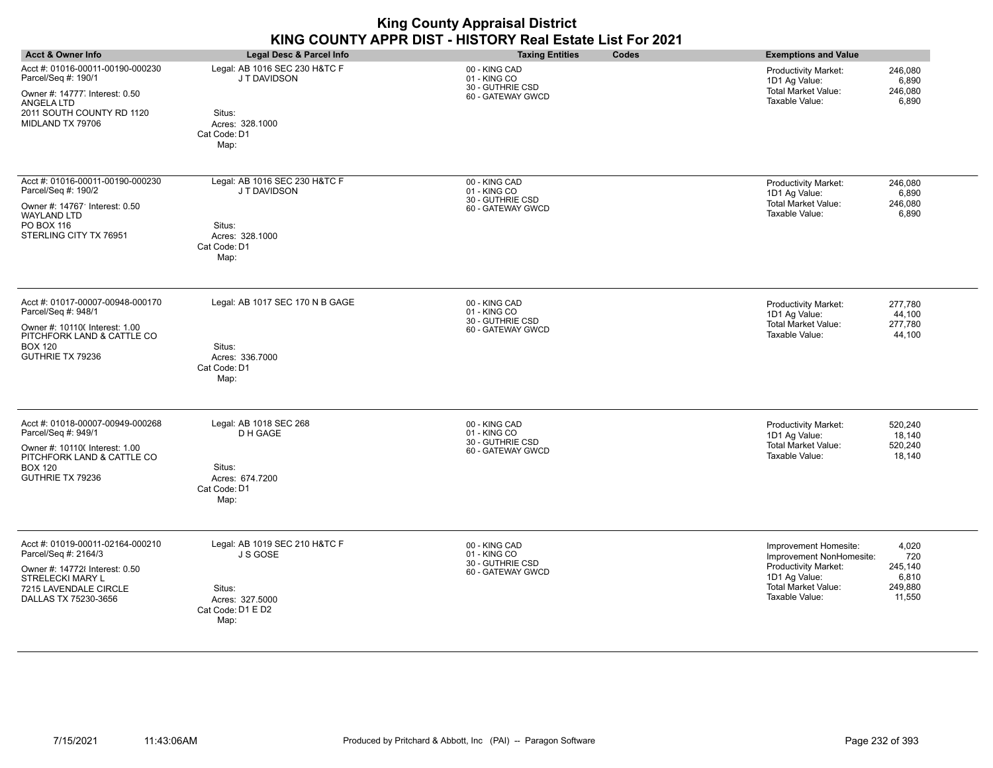|                                                                                                                                                                 |                                                                                                     | <b>King County Appraisal District</b><br>KING COUNTY APPR DIST - HISTORY Real Estate List For 2021 |                                                                                                                                                                                                     |
|-----------------------------------------------------------------------------------------------------------------------------------------------------------------|-----------------------------------------------------------------------------------------------------|----------------------------------------------------------------------------------------------------|-----------------------------------------------------------------------------------------------------------------------------------------------------------------------------------------------------|
| <b>Acct &amp; Owner Info</b>                                                                                                                                    | <b>Legal Desc &amp; Parcel Info</b>                                                                 | <b>Taxing Entities</b><br>Codes                                                                    | <b>Exemptions and Value</b>                                                                                                                                                                         |
| Acct #: 01016-00011-00190-000230<br>Parcel/Seq #: 190/1<br>Owner #: 14777 Interest: 0.50<br><b>ANGELA LTD</b><br>2011 SOUTH COUNTY RD 1120<br>MIDLAND TX 79706  | Legal: AB 1016 SEC 230 H&TC F<br>J T DAVIDSON<br>Situs:<br>Acres: 328.1000<br>Cat Code: D1<br>Map:  | 00 - KING CAD<br>01 - KING CO<br>30 - GUTHRIE CSD<br>60 - GATEWAY GWCD                             | Productivity Market:<br>246,080<br>1D1 Ag Value:<br>6,890<br>Total Market Value:<br>246,080<br>Taxable Value:<br>6.890                                                                              |
| Acct #: 01016-00011-00190-000230<br>Parcel/Seq #: 190/2<br>Owner #: 14767' Interest: 0.50<br><b>WAYLAND LTD</b><br>PO BOX 116<br>STERLING CITY TX 76951         | Legal: AB 1016 SEC 230 H&TC F<br>JT DAVIDSON<br>Situs:<br>Acres: 328.1000<br>Cat Code: D1<br>Map:   | 00 - KING CAD<br>01 - KING CO<br>30 - GUTHRIE CSD<br>60 - GATEWAY GWCD                             | 246,080<br><b>Productivity Market:</b><br>1D1 Ag Value:<br>6,890<br><b>Total Market Value:</b><br>246,080<br>Taxable Value:<br>6,890                                                                |
| Acct #: 01017-00007-00948-000170<br>Parcel/Seq #: 948/1<br>Owner #: 10110( Interest: 1.00<br>PITCHFORK LAND & CATTLE CO<br><b>BOX 120</b><br>GUTHRIE TX 79236   | Legal: AB 1017 SEC 170 N B GAGE<br>Situs:<br>Acres: 336.7000<br>Cat Code: D1<br>Map:                | 00 - KING CAD<br>01 - KING CO<br>30 - GUTHRIE CSD<br>60 - GATEWAY GWCD                             | Productivity Market:<br>277,780<br>1D1 Ag Value:<br>44,100<br><b>Total Market Value:</b><br>277,780<br>Taxable Value:<br>44.100                                                                     |
| Acct #: 01018-00007-00949-000268<br>Parcel/Seq #: 949/1<br>Owner #: 10110( Interest: 1.00<br>PITCHFORK LAND & CATTLE CO<br><b>BOX 120</b><br>GUTHRIE TX 79236   | Legal: AB 1018 SEC 268<br>D H GAGE<br>Situs:<br>Acres: 674.7200<br>Cat Code: D1<br>Map:             | 00 - KING CAD<br>01 - KING CO<br>30 - GUTHRIE CSD<br>60 - GATEWAY GWCD                             | Productivity Market:<br>520.240<br>1D1 Ag Value:<br>18.140<br><b>Total Market Value:</b><br>520,240<br>Taxable Value:<br>18,140                                                                     |
| Acct #: 01019-00011-02164-000210<br>Parcel/Seq #: 2164/3<br>Owner #: 147728 Interest: 0.50<br>STRELECKI MARY L<br>7215 LAVENDALE CIRCLE<br>DALLAS TX 75230-3656 | Legal: AB 1019 SEC 210 H&TC F<br>J S GOSE<br>Situs:<br>Acres: 327.5000<br>Cat Code: D1 E D2<br>Map: | 00 - KING CAD<br>01 - KING CO<br>30 - GUTHRIE CSD<br>60 - GATEWAY GWCD                             | 4,020<br>Improvement Homesite:<br>Improvement NonHomesite:<br>720<br>Productivity Market:<br>245,140<br>1D1 Ag Value:<br>6,810<br><b>Total Market Value:</b><br>249,880<br>Taxable Value:<br>11,550 |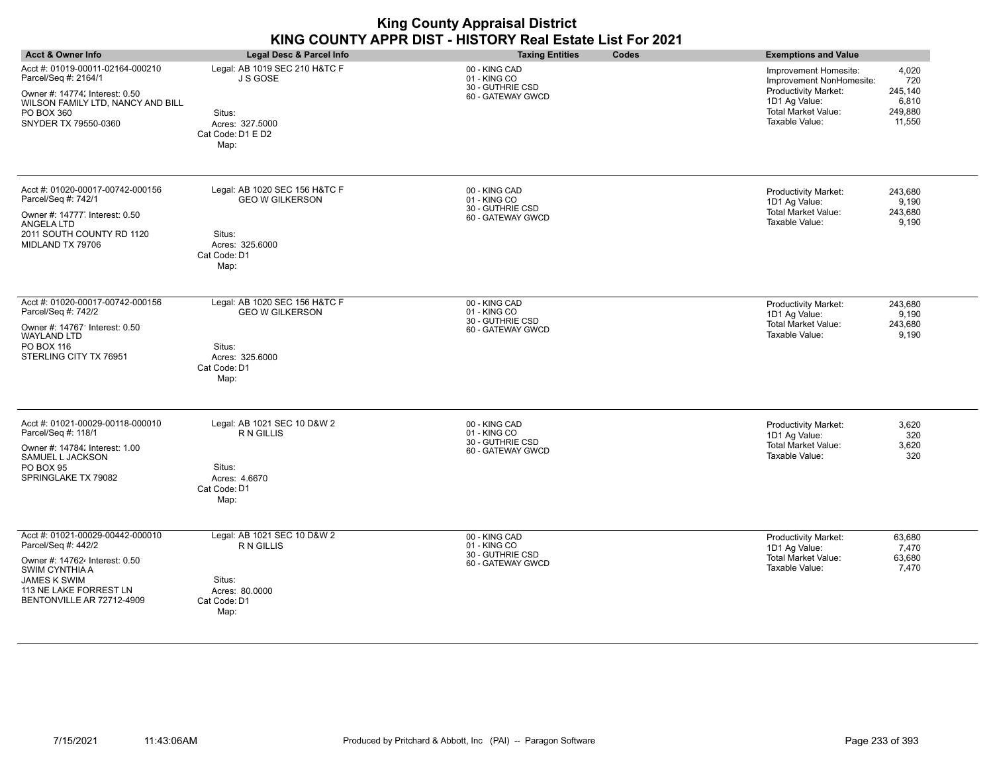|                                                                                                                                                                                           |                                                                                                              | <b>King County Appraisal District</b><br>KING COUNTY APPR DIST - HISTORY Real Estate List For 2021 |                                                                                                                                                                                                            |
|-------------------------------------------------------------------------------------------------------------------------------------------------------------------------------------------|--------------------------------------------------------------------------------------------------------------|----------------------------------------------------------------------------------------------------|------------------------------------------------------------------------------------------------------------------------------------------------------------------------------------------------------------|
| <b>Acct &amp; Owner Info</b>                                                                                                                                                              | <b>Legal Desc &amp; Parcel Info</b>                                                                          | Codes<br><b>Taxing Entities</b>                                                                    | <b>Exemptions and Value</b>                                                                                                                                                                                |
| Acct #: 01019-00011-02164-000210<br>Parcel/Seq #: 2164/1<br>Owner #: 14774; Interest: 0.50<br>WILSON FAMILY LTD, NANCY AND BILL<br>PO BOX 360<br>SNYDER TX 79550-0360                     | Legal: AB 1019 SEC 210 H&TC F<br>J S GOSE<br>Situs:<br>Acres: 327.5000<br>Cat Code: D1 E D2<br>Map:          | 00 - KING CAD<br>01 - KING CO<br>30 - GUTHRIE CSD<br>60 - GATEWAY GWCD                             | 4,020<br>Improvement Homesite:<br>Improvement NonHomesite:<br>720<br><b>Productivity Market:</b><br>245,140<br>1D1 Ag Value:<br>6,810<br><b>Total Market Value:</b><br>249,880<br>Taxable Value:<br>11,550 |
| Acct #: 01020-00017-00742-000156<br>Parcel/Seq #: 742/1<br>Owner #: 14777, Interest: 0.50<br>ANGELA LTD<br>2011 SOUTH COUNTY RD 1120<br>MIDLAND TX 79706                                  | Legal: AB 1020 SEC 156 H&TC F<br><b>GEO W GILKERSON</b><br>Situs:<br>Acres: 325.6000<br>Cat Code: D1<br>Map: | 00 - KING CAD<br>01 - KING CO<br>30 - GUTHRIE CSD<br>60 - GATEWAY GWCD                             | Productivity Market:<br>243,680<br>9,190<br>1D1 Ag Value:<br><b>Total Market Value:</b><br>243,680<br>Taxable Value:<br>9,190                                                                              |
| Acct #: 01020-00017-00742-000156<br>Parcel/Seq #: 742/2<br>Owner #: 14767' Interest: 0.50<br><b>WAYLAND LTD</b><br>PO BOX 116<br>STERLING CITY TX 76951                                   | Legal: AB 1020 SEC 156 H&TC F<br><b>GEO W GILKERSON</b><br>Situs:<br>Acres: 325.6000<br>Cat Code: D1<br>Map: | 00 - KING CAD<br>01 - KING CO<br>30 - GUTHRIE CSD<br>60 - GATEWAY GWCD                             | <b>Productivity Market:</b><br>243,680<br>1D1 Ag Value:<br>9,190<br><b>Total Market Value:</b><br>243,680<br>Taxable Value:<br>9,190                                                                       |
| Acct #: 01021-00029-00118-000010<br>Parcel/Seq #: 118/1<br>Owner #: 14784; Interest: 1.00<br>SAMUEL L JACKSON<br><b>PO BOX 95</b><br>SPRINGLAKE TX 79082                                  | Legal: AB 1021 SEC 10 D&W 2<br>R N GILLIS<br>Situs:<br>Acres: 4.6670<br>Cat Code: D1<br>Map:                 | 00 - KING CAD<br>01 - KING CO<br>30 - GUTHRIE CSD<br>60 - GATEWAY GWCD                             | Productivity Market:<br>3,620<br>1D1 Ag Value:<br>320<br><b>Total Market Value:</b><br>3,620<br>Taxable Value:<br>320                                                                                      |
| Acct #: 01021-00029-00442-000010<br>Parcel/Seq #: 442/2<br>Owner #: 147624 Interest: 0.50<br>SWIM CYNTHIA A<br><b>JAMES K SWIM</b><br>113 NE LAKE FORREST LN<br>BENTONVILLE AR 72712-4909 | Legal: AB 1021 SEC 10 D&W 2<br>R N GILLIS<br>Situs:<br>Acres: 80.0000<br>Cat Code: D1<br>Map:                | 00 - KING CAD<br>01 - KING CO<br>30 - GUTHRIE CSD<br>60 - GATEWAY GWCD                             | 63,680<br><b>Productivity Market:</b><br>1D1 Ag Value:<br>7.470<br><b>Total Market Value:</b><br>63,680<br>Taxable Value:<br>7,470                                                                         |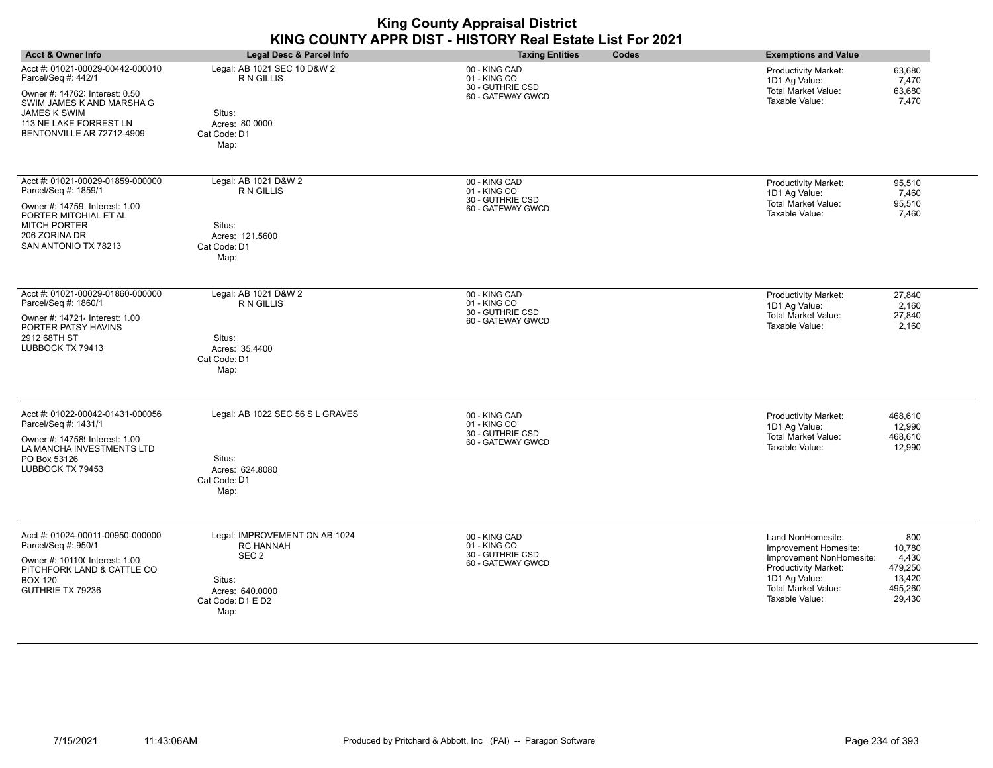|                                                                                                                                                                         |                                                                       | <b>King County Appraisal District</b><br>KING COUNTY APPR DIST - HISTORY Real Estate List For 2021 |                                                                                                                                                 |
|-------------------------------------------------------------------------------------------------------------------------------------------------------------------------|-----------------------------------------------------------------------|----------------------------------------------------------------------------------------------------|-------------------------------------------------------------------------------------------------------------------------------------------------|
| <b>Acct &amp; Owner Info</b>                                                                                                                                            | Legal Desc & Parcel Info                                              | <b>Taxing Entities</b><br>Codes                                                                    | <b>Exemptions and Value</b>                                                                                                                     |
| Acct #: 01021-00029-00442-000010<br>Parcel/Seq #: 442/1<br>Owner #: 14762; Interest: 0.50<br>SWIM JAMES K AND MARSHA G<br><b>JAMES K SWIM</b><br>113 NE LAKE FORREST LN | Legal: AB 1021 SEC 10 D&W 2<br>R N GILLIS<br>Situs:<br>Acres: 80.0000 | 00 - KING CAD<br>01 - KING CO<br>30 - GUTHRIE CSD<br>60 - GATEWAY GWCD                             | Productivity Market:<br>63,680<br>1D1 Ag Value:<br>7,470<br>Total Market Value:<br>63.680<br>Taxable Value:<br>7,470                            |
| BENTONVILLE AR 72712-4909                                                                                                                                               | Cat Code: D1<br>Map:                                                  |                                                                                                    |                                                                                                                                                 |
| Acct #: 01021-00029-01859-000000<br>Parcel/Seq #: 1859/1                                                                                                                | Legal: AB 1021 D&W 2<br>R N GILLIS                                    | 00 - KING CAD<br>01 - KING CO<br>30 - GUTHRIE CSD                                                  | 95,510<br><b>Productivity Market:</b><br>1D1 Ag Value:<br>7,460<br><b>Total Market Value:</b><br>95,510                                         |
| Owner #: 14759' Interest: 1.00<br>PORTER MITCHIAL ET AL<br>MITCH PORTER<br>206 ZORINA DR                                                                                | Situs:<br>Acres: 121.5600                                             | 60 - GATEWAY GWCD                                                                                  | Taxable Value:<br>7.460                                                                                                                         |
| SAN ANTONIO TX 78213                                                                                                                                                    | Cat Code: D1<br>Map:                                                  |                                                                                                    |                                                                                                                                                 |
| Acct #: 01021-00029-01860-000000<br>Parcel/Seq #: 1860/1                                                                                                                | Legal: AB 1021 D&W 2<br>R N GILLIS                                    | 00 - KING CAD<br>01 - KING CO<br>30 - GUTHRIE CSD                                                  | Productivity Market:<br>27,840<br>2,160<br>1D1 Ag Value:                                                                                        |
| Owner #: 147214 Interest: 1.00<br>PORTER PATSY HAVINS<br>2912 68TH ST<br>LUBBOCK TX 79413                                                                               | Situs:<br>Acres: 35.4400<br>Cat Code: D1<br>Map:                      | 60 - GATEWAY GWCD                                                                                  | <b>Total Market Value:</b><br>27,840<br>Taxable Value:<br>2,160                                                                                 |
| Acct #: 01022-00042-01431-000056<br>Parcel/Seq #: 1431/1                                                                                                                | Legal: AB 1022 SEC 56 S L GRAVES                                      | 00 - KING CAD<br>01 - KING CO                                                                      | Productivity Market:<br>468,610<br>1D1 Ag Value:<br>12,990                                                                                      |
| Owner #: 14758! Interest: 1.00<br>LA MANCHA INVESTMENTS LTD<br>PO Box 53126<br>LUBBOCK TX 79453                                                                         | Situs:<br>Acres: 624.8080<br>Cat Code: D1<br>Map:                     | 30 - GUTHRIE CSD<br>60 - GATEWAY GWCD                                                              | <b>Total Market Value:</b><br>468,610<br>Taxable Value:<br>12,990                                                                               |
| Acct #: 01024-00011-00950-000000<br>Parcel/Seq #: 950/1                                                                                                                 | Legal: IMPROVEMENT ON AB 1024<br><b>RC HANNAH</b>                     | 00 - KING CAD<br>01 - KING CO                                                                      | 800<br>Land NonHomesite:<br>10,780<br>Improvement Homesite:                                                                                     |
| Owner #: 10110( Interest: 1.00<br>PITCHFORK LAND & CATTLE CO<br><b>BOX 120</b><br>GUTHRIE TX 79236                                                                      | SEC <sub>2</sub><br>Situs:<br>Acres: 640.0000                         | 30 - GUTHRIE CSD<br>60 - GATEWAY GWCD                                                              | Improvement NonHomesite:<br>4,430<br><b>Productivity Market:</b><br>479,250<br>1D1 Ag Value:<br>13,420<br><b>Total Market Value:</b><br>495,260 |
|                                                                                                                                                                         | Cat Code: D1 E D2<br>Map:                                             |                                                                                                    | Taxable Value:<br>29,430                                                                                                                        |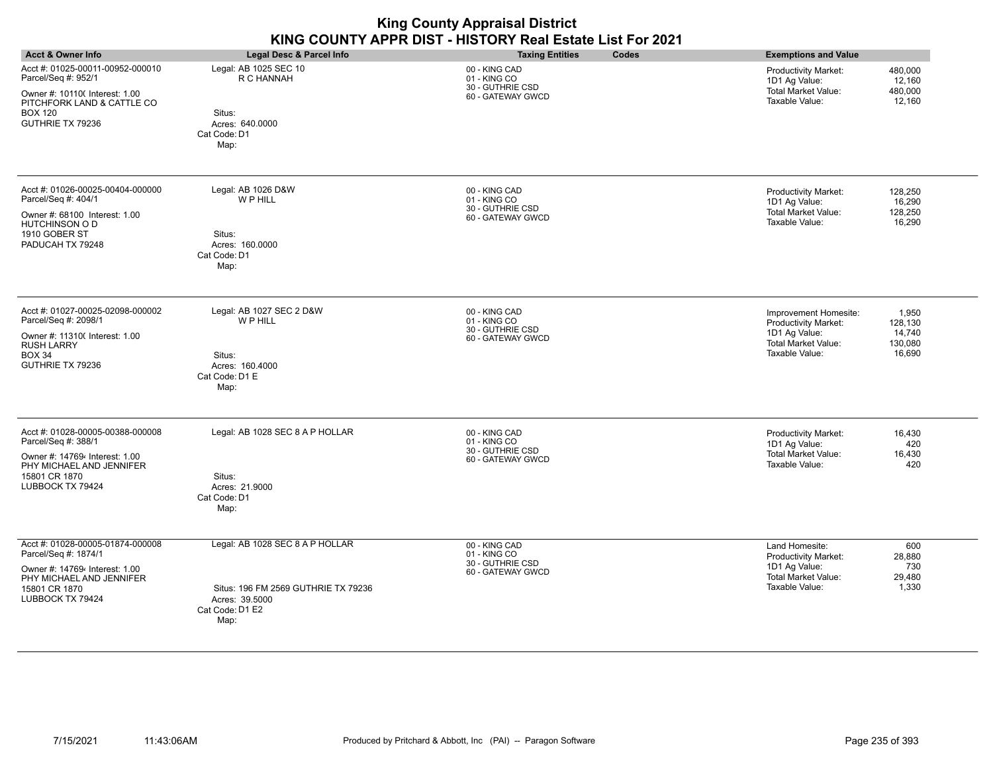|                                                                                                                                                               |                                                                                                                     | <b>King County Appraisal District</b><br>KING COUNTY APPR DIST - HISTORY Real Estate List For 2021 |                                                                                                                                                                          |
|---------------------------------------------------------------------------------------------------------------------------------------------------------------|---------------------------------------------------------------------------------------------------------------------|----------------------------------------------------------------------------------------------------|--------------------------------------------------------------------------------------------------------------------------------------------------------------------------|
| <b>Acct &amp; Owner Info</b>                                                                                                                                  | Legal Desc & Parcel Info                                                                                            | Codes<br><b>Taxing Entities</b>                                                                    | <b>Exemptions and Value</b>                                                                                                                                              |
| Acct #: 01025-00011-00952-000010<br>Parcel/Seq #: 952/1<br>Owner #: 10110( Interest: 1.00<br>PITCHFORK LAND & CATTLE CO<br><b>BOX 120</b><br>GUTHRIE TX 79236 | Legal: AB 1025 SEC 10<br>R C HANNAH<br>Situs:<br>Acres: 640.0000<br>Cat Code: D1<br>Map:                            | 00 - KING CAD<br>01 - KING CO<br>30 - GUTHRIE CSD<br>60 - GATEWAY GWCD                             | Productivity Market:<br>480,000<br>1D1 Ag Value:<br>12,160<br>Total Market Value:<br>480,000<br>Taxable Value:<br>12,160                                                 |
| Acct #: 01026-00025-00404-000000<br>Parcel/Seq #: 404/1<br>Owner #: 68100 Interest: 1.00<br><b>HUTCHINSON O D</b><br>1910 GOBER ST<br>PADUCAH TX 79248        | Legal: AB 1026 D&W<br>W P HILL<br>Situs:<br>Acres: 160,0000<br>Cat Code: D1<br>Map:                                 | 00 - KING CAD<br>01 - KING CO<br>30 - GUTHRIE CSD<br>60 - GATEWAY GWCD                             | <b>Productivity Market:</b><br>128,250<br>16,290<br>1D1 Ag Value:<br><b>Total Market Value:</b><br>128,250<br>Taxable Value:<br>16,290                                   |
| Acct #: 01027-00025-02098-000002<br>Parcel/Seq #: 2098/1<br>Owner #: 11310( Interest: 1.00<br><b>RUSH LARRY</b><br><b>BOX 34</b><br>GUTHRIE TX 79236          | Legal: AB 1027 SEC 2 D&W<br>W P HILL<br>Situs:<br>Acres: 160.4000<br>Cat Code: D1 E<br>Map:                         | 00 - KING CAD<br>01 - KING CO<br>30 - GUTHRIE CSD<br>60 - GATEWAY GWCD                             | 1,950<br>Improvement Homesite:<br><b>Productivity Market:</b><br>128.130<br>1D1 Ag Value:<br>14,740<br><b>Total Market Value:</b><br>130,080<br>Taxable Value:<br>16,690 |
| Acct #: 01028-00005-00388-000008<br>Parcel/Seq #: 388/1<br>Owner #: 147694 Interest: 1.00<br>PHY MICHAEL AND JENNIFER<br>15801 CR 1870<br>LUBBOCK TX 79424    | Legal: AB 1028 SEC 8 A P HOLLAR<br>Situs:<br>Acres: 21.9000<br>Cat Code: D1<br>Map:                                 | 00 - KING CAD<br>01 - KING CO<br>30 - GUTHRIE CSD<br>60 - GATEWAY GWCD                             | <b>Productivity Market:</b><br>16,430<br>1D1 Ag Value:<br>420<br><b>Total Market Value:</b><br>16,430<br>Taxable Value:<br>420                                           |
| Acct #: 01028-00005-01874-000008<br>Parcel/Seq #: 1874/1<br>Owner #: 147694 Interest: 1.00<br>PHY MICHAEL AND JENNIFER<br>15801 CR 1870<br>LUBBOCK TX 79424   | Legal: AB 1028 SEC 8 A P HOLLAR<br>Situs: 196 FM 2569 GUTHRIE TX 79236<br>Acres: 39.5000<br>Cat Code: D1 E2<br>Map: | 00 - KING CAD<br>01 - KING CO<br>30 - GUTHRIE CSD<br>60 - GATEWAY GWCD                             | Land Homesite:<br>600<br><b>Productivity Market:</b><br>28,880<br>1D1 Ag Value:<br>730<br><b>Total Market Value:</b><br>29,480<br>Taxable Value:<br>1,330                |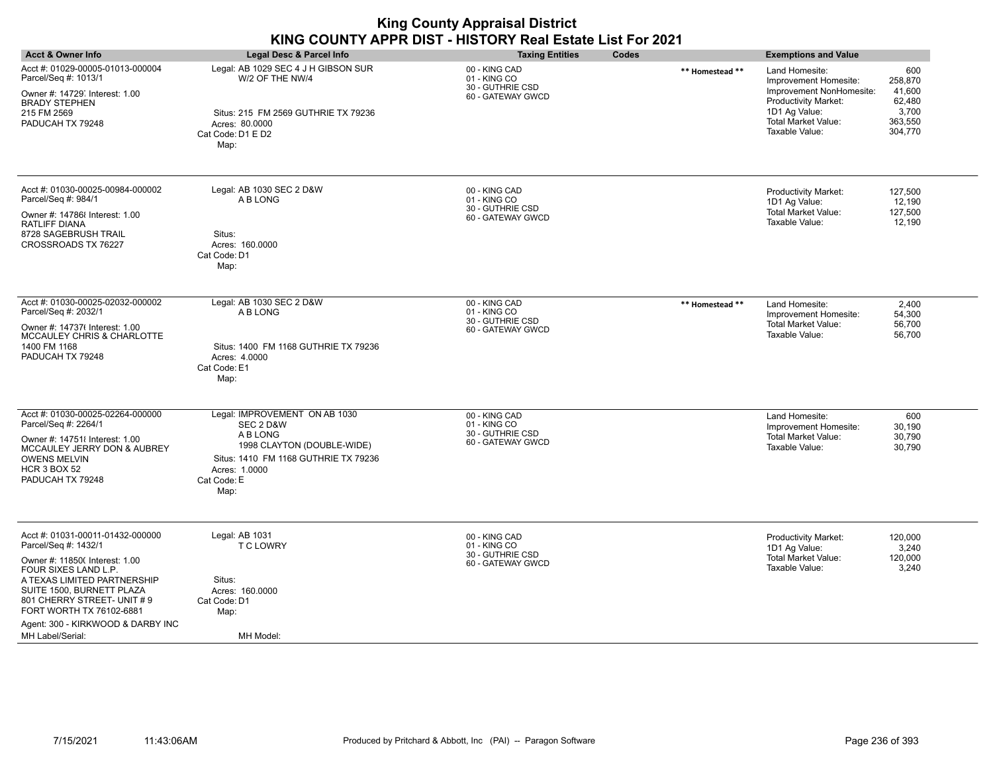| <b>Acct &amp; Owner Info</b>                                                                                                                                                                                                                                                                      | <b>Legal Desc &amp; Parcel Info</b>                                                                                                                                  | <b>Taxing Entities</b>                                                 | Codes           | <b>Exemptions and Value</b>                                                                                                                                         |                                                                   |
|---------------------------------------------------------------------------------------------------------------------------------------------------------------------------------------------------------------------------------------------------------------------------------------------------|----------------------------------------------------------------------------------------------------------------------------------------------------------------------|------------------------------------------------------------------------|-----------------|---------------------------------------------------------------------------------------------------------------------------------------------------------------------|-------------------------------------------------------------------|
| Acct #: 01029-00005-01013-000004<br>Parcel/Seq #: 1013/1<br>Owner #: 14729, Interest: 1.00<br><b>BRADY STEPHEN</b><br>215 FM 2569<br>PADUCAH TX 79248                                                                                                                                             | Legal: AB 1029 SEC 4 J H GIBSON SUR<br>W/2 OF THE NW/4<br>Situs: 215 FM 2569 GUTHRIE TX 79236<br>Acres: 80,0000<br>Cat Code: D1 E D2<br>Map:                         | 00 - KING CAD<br>01 - KING CO<br>30 - GUTHRIE CSD<br>60 - GATEWAY GWCD | ** Homestead ** | Land Homesite:<br>Improvement Homesite:<br>Improvement NonHomesite:<br><b>Productivity Market:</b><br>1D1 Ag Value:<br><b>Total Market Value:</b><br>Taxable Value: | 600<br>258,870<br>41,600<br>62,480<br>3,700<br>363,550<br>304,770 |
| Acct #: 01030-00025-00984-000002<br>Parcel/Seq #: 984/1<br>Owner #: 14786 Interest: 1.00<br>RATLIFF DIANA<br>8728 SAGEBRUSH TRAIL<br>CROSSROADS TX 76227                                                                                                                                          | Legal: AB 1030 SEC 2 D&W<br>A B LONG<br>Situs:<br>Acres: 160.0000<br>Cat Code: D1<br>Map:                                                                            | 00 - KING CAD<br>01 - KING CO<br>30 - GUTHRIE CSD<br>60 - GATEWAY GWCD |                 | Productivity Market:<br>1D1 Ag Value:<br><b>Total Market Value:</b><br>Taxable Value:                                                                               | 127,500<br>12,190<br>127,500<br>12,190                            |
| Acct #: 01030-00025-02032-000002<br>Parcel/Seq #: 2032/1<br>Owner #: 14737( Interest: 1.00<br>MCCAULEY CHRIS & CHARLOTTE<br>1400 FM 1168<br>PADUCAH TX 79248                                                                                                                                      | Legal: AB 1030 SEC 2 D&W<br>A B LONG<br>Situs: 1400 FM 1168 GUTHRIE TX 79236<br>Acres: 4.0000<br>Cat Code: E1<br>Map:                                                | 00 - KING CAD<br>01 - KING CO<br>30 - GUTHRIE CSD<br>60 - GATEWAY GWCD | ** Homestead ** | Land Homesite:<br>Improvement Homesite:<br><b>Total Market Value:</b><br>Taxable Value:                                                                             | 2,400<br>54,300<br>56,700<br>56,700                               |
| Acct #: 01030-00025-02264-000000<br>Parcel/Seq #: 2264/1<br>Owner #: 147518 Interest: 1.00<br><b>MCCAULEY JERRY DON &amp; AUBREY</b><br><b>OWENS MELVIN</b><br><b>HCR 3 BOX 52</b><br>PADUCAH TX 79248                                                                                            | Legal: IMPROVEMENT ON AB 1030<br>SEC 2 D&W<br>A B LONG<br>1998 CLAYTON (DOUBLE-WIDE)<br>Situs: 1410 FM 1168 GUTHRIE TX 79236<br>Acres: 1.0000<br>Cat Code: E<br>Map: | 00 - KING CAD<br>01 - KING CO<br>30 - GUTHRIE CSD<br>60 - GATEWAY GWCD |                 | Land Homesite:<br>Improvement Homesite:<br><b>Total Market Value:</b><br>Taxable Value:                                                                             | 600<br>30,190<br>30,790<br>30,790                                 |
| Acct #: 01031-00011-01432-000000<br>Parcel/Seq #: 1432/1<br>Owner #: 11850( Interest: 1.00<br>FOUR SIXES LAND L.P.<br>A TEXAS LIMITED PARTNERSHIP<br>SUITE 1500, BURNETT PLAZA<br>801 CHERRY STREET- UNIT #9<br>FORT WORTH TX 76102-6881<br>Agent: 300 - KIRKWOOD & DARBY INC<br>MH Label/Serial: | Legal: AB 1031<br><b>TC LOWRY</b><br>Situs:<br>Acres: 160.0000<br>Cat Code: D1<br>Map:<br>MH Model:                                                                  | 00 - KING CAD<br>01 - KING CO<br>30 - GUTHRIE CSD<br>60 - GATEWAY GWCD |                 | Productivity Market:<br>1D1 Ag Value:<br><b>Total Market Value:</b><br>Taxable Value:                                                                               | 120,000<br>3,240<br>120,000<br>3,240                              |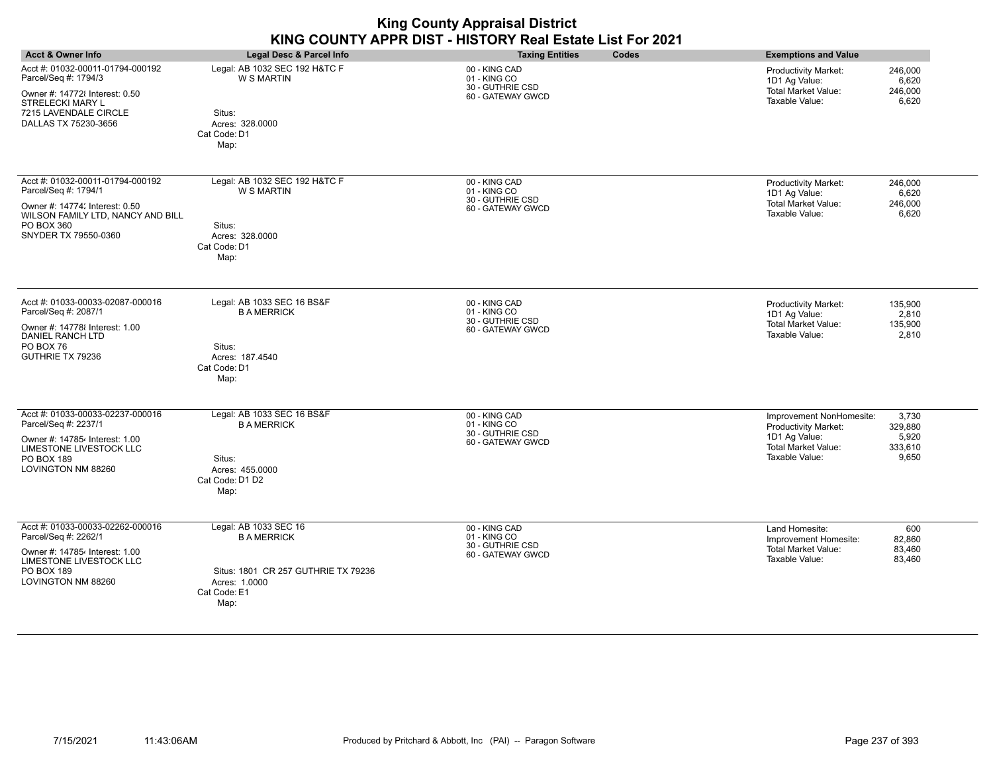|                                                                                                                                                                        |                                                                                                                             | <b>King County Appraisal District</b><br>KING COUNTY APPR DIST - HISTORY Real Estate List For 2021 |                                                                                                                                                             |
|------------------------------------------------------------------------------------------------------------------------------------------------------------------------|-----------------------------------------------------------------------------------------------------------------------------|----------------------------------------------------------------------------------------------------|-------------------------------------------------------------------------------------------------------------------------------------------------------------|
| <b>Acct &amp; Owner Info</b>                                                                                                                                           | Legal Desc & Parcel Info                                                                                                    | <b>Taxing Entities</b><br>Codes                                                                    | <b>Exemptions and Value</b>                                                                                                                                 |
| Acct #: 01032-00011-01794-000192<br>Parcel/Seq #: 1794/3<br>Owner #: 147728 Interest: 0.50<br><b>STRELECKI MARY L</b><br>7215 LAVENDALE CIRCLE<br>DALLAS TX 75230-3656 | Legal: AB 1032 SEC 192 H&TC F<br><b>W S MARTIN</b><br>Situs:<br>Acres: 328,0000<br>Cat Code: D1<br>Map:                     | 00 - KING CAD<br>01 - KING CO<br>30 - GUTHRIE CSD<br>60 - GATEWAY GWCD                             | Productivity Market:<br>246,000<br>1D1 Ag Value:<br>6,620<br><b>Total Market Value:</b><br>246,000<br>Taxable Value:<br>6,620                               |
| Acct #: 01032-00011-01794-000192<br>Parcel/Seq #: 1794/1<br>Owner #: 14774; Interest: 0.50<br>WILSON FAMILY LTD, NANCY AND BILL<br>PO BOX 360<br>SNYDER TX 79550-0360  | Legal: AB 1032 SEC 192 H&TC F<br><b>W S MARTIN</b><br>Situs:<br>Acres: 328,0000<br>Cat Code: D1<br>Map:                     | 00 - KING CAD<br>01 - KING CO<br>30 - GUTHRIE CSD<br>60 - GATEWAY GWCD                             | Productivity Market:<br>246,000<br>1D1 Ag Value:<br>6.620<br><b>Total Market Value:</b><br>246,000<br>6,620<br>Taxable Value:                               |
| Acct #: 01033-00033-02087-000016<br>Parcel/Seq #: 2087/1<br>Owner #: 14778 Interest: 1.00<br><b>DANIEL RANCH LTD</b><br>PO BOX 76<br>GUTHRIE TX 79236                  | Legal: AB 1033 SEC 16 BS&F<br><b>B A MERRICK</b><br>Situs:<br>Acres: 187.4540<br>Cat Code: D1<br>Map:                       | 00 - KING CAD<br>01 - KING CO<br>30 - GUTHRIE CSD<br>60 - GATEWAY GWCD                             | Productivity Market:<br>135,900<br>1D1 Ag Value:<br>2,810<br>Total Market Value:<br>135,900<br>Taxable Value:<br>2,810                                      |
| Acct #: 01033-00033-02237-000016<br>Parcel/Seq #: 2237/1<br>Owner #: 147854 Interest: 1.00<br><b>LIMESTONE LIVESTOCK LLC</b><br>PO BOX 189<br>LOVINGTON NM 88260       | Legal: AB 1033 SEC 16 BS&F<br><b>B A MERRICK</b><br>Situs:<br>Acres: 455.0000<br>Cat Code: D1 D2<br>Map:                    | 00 - KING CAD<br>01 - KING CO<br>30 - GUTHRIE CSD<br>60 - GATEWAY GWCD                             | Improvement NonHomesite:<br>3,730<br>Productivity Market:<br>329,880<br>1D1 Ag Value:<br>5,920<br>Total Market Value:<br>333,610<br>Taxable Value:<br>9,650 |
| Acct #: 01033-00033-02262-000016<br>Parcel/Seq #: 2262/1<br>Owner #: 147854 Interest: 1.00<br><b>LIMESTONE LIVESTOCK LLC</b><br>PO BOX 189<br>LOVINGTON NM 88260       | Legal: AB 1033 SEC 16<br><b>B A MERRICK</b><br>Situs: 1801 CR 257 GUTHRIE TX 79236<br>Acres: 1.0000<br>Cat Code: E1<br>Map: | 00 - KING CAD<br>01 - KING CO<br>30 - GUTHRIE CSD<br>60 - GATEWAY GWCD                             | Land Homesite:<br>600<br>Improvement Homesite:<br>82,860<br><b>Total Market Value:</b><br>83,460<br>Taxable Value:<br>83,460                                |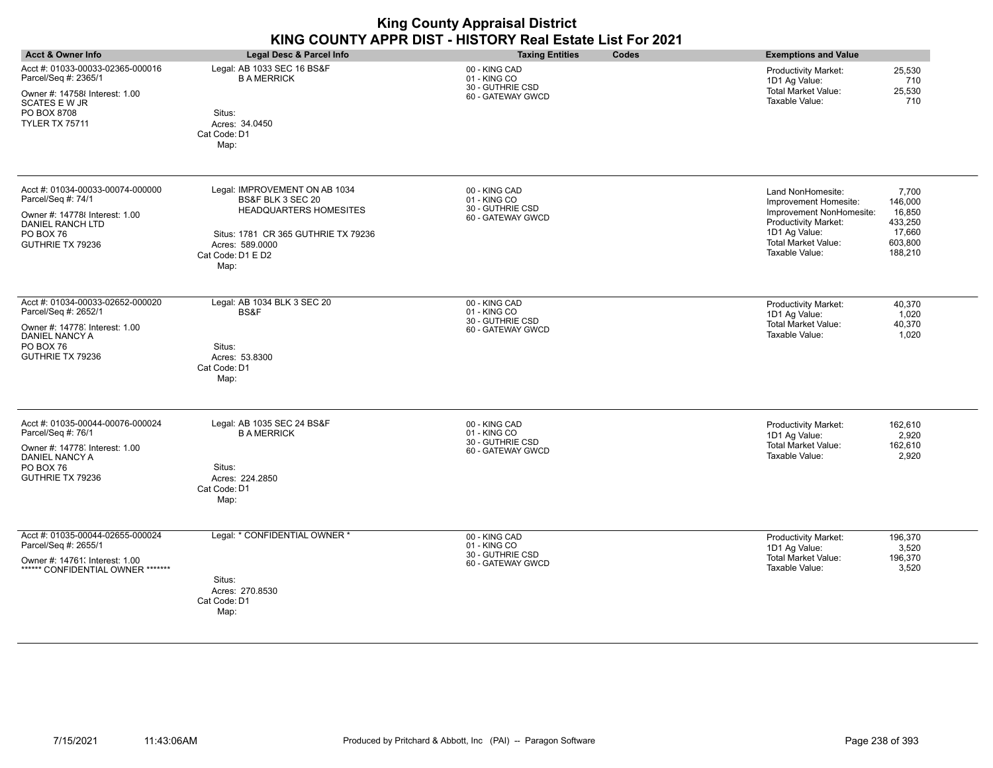|                                                                                                                                                           |                                                                                                                                                                            | <b>King County Appraisal District</b><br>KING COUNTY APPR DIST - HISTORY Real Estate List For 2021 |                                                                                                                                                                                                                                                 |
|-----------------------------------------------------------------------------------------------------------------------------------------------------------|----------------------------------------------------------------------------------------------------------------------------------------------------------------------------|----------------------------------------------------------------------------------------------------|-------------------------------------------------------------------------------------------------------------------------------------------------------------------------------------------------------------------------------------------------|
| <b>Acct &amp; Owner Info</b>                                                                                                                              | Legal Desc & Parcel Info                                                                                                                                                   | <b>Taxing Entities</b><br>Codes                                                                    | <b>Exemptions and Value</b>                                                                                                                                                                                                                     |
| Acct #: 01033-00033-02365-000016<br>Parcel/Seq #: 2365/1<br>Owner #: 14758 Interest: 1.00<br><b>SCATES E W JR</b><br>PO BOX 8708<br><b>TYLER TX 75711</b> | Legal: AB 1033 SEC 16 BS&F<br><b>B A MERRICK</b><br>Situs:<br>Acres: 34.0450<br>Cat Code: D1<br>Map:                                                                       | 00 - KING CAD<br>01 - KING CO<br>30 - GUTHRIE CSD<br>60 - GATEWAY GWCD                             | <b>Productivity Market:</b><br>25,530<br>1D1 Ag Value:<br>710<br>Total Market Value:<br>25,530<br>Taxable Value:<br>710                                                                                                                         |
| Acct #: 01034-00033-00074-000000<br>Parcel/Seq #: 74/1<br>Owner #: 14778 Interest: 1.00<br><b>DANIEL RANCH LTD</b><br>PO BOX 76<br>GUTHRIE TX 79236       | Legal: IMPROVEMENT ON AB 1034<br>BS&F BLK 3 SEC 20<br><b>HEADQUARTERS HOMESITES</b><br>Situs: 1781 CR 365 GUTHRIE TX 79236<br>Acres: 589.0000<br>Cat Code: D1 E D2<br>Map: | 00 - KING CAD<br>01 - KING CO<br>30 - GUTHRIE CSD<br>60 - GATEWAY GWCD                             | 7,700<br>Land NonHomesite:<br>146,000<br>Improvement Homesite:<br>Improvement NonHomesite:<br>16,850<br><b>Productivity Market:</b><br>433,250<br>1D1 Ag Value:<br>17,660<br><b>Total Market Value:</b><br>603,800<br>Taxable Value:<br>188,210 |
| Acct #: 01034-00033-02652-000020<br>Parcel/Seq #: 2652/1<br>Owner #: 14778, Interest: 1.00<br>DANIEL NANCY A<br>PO BOX 76<br>GUTHRIE TX 79236             | Legal: AB 1034 BLK 3 SEC 20<br>BS&F<br>Situs:<br>Acres: 53.8300<br>Cat Code: D1<br>Map:                                                                                    | 00 - KING CAD<br>01 - KING CO<br>30 - GUTHRIE CSD<br>60 - GATEWAY GWCD                             | 40,370<br><b>Productivity Market:</b><br>1D1 Ag Value:<br>1,020<br><b>Total Market Value:</b><br>40,370<br>Taxable Value:<br>1,020                                                                                                              |
| Acct #: 01035-00044-00076-000024<br>Parcel/Seq #: 76/1<br>Owner #: 14778, Interest: 1.00<br><b>DANIEL NANCY A</b><br>PO BOX 76<br>GUTHRIE TX 79236        | Legal: AB 1035 SEC 24 BS&F<br><b>B A MERRICK</b><br>Situs:<br>Acres: 224.2850<br>Cat Code: D1<br>Map:                                                                      | 00 - KING CAD<br>01 - KING CO<br>30 - GUTHRIE CSD<br>60 - GATEWAY GWCD                             | 162,610<br><b>Productivity Market:</b><br>1D1 Ag Value:<br>2,920<br>Total Market Value:<br>162,610<br>Taxable Value:<br>2,920                                                                                                                   |
| Acct #: 01035-00044-02655-000024<br>Parcel/Seq #: 2655/1<br>Owner #: 14761; Interest: 1.00<br>****** CONFIDENTIAL OWNER *******                           | Legal: * CONFIDENTIAL OWNER *<br>Situs:<br>Acres: 270.8530<br>Cat Code: D1<br>Map:                                                                                         | 00 - KING CAD<br>01 - KING CO<br>30 - GUTHRIE CSD<br>60 - GATEWAY GWCD                             | <b>Productivity Market:</b><br>196,370<br>1D1 Ag Value:<br>3,520<br><b>Total Market Value:</b><br>196,370<br>3,520<br>Taxable Value:                                                                                                            |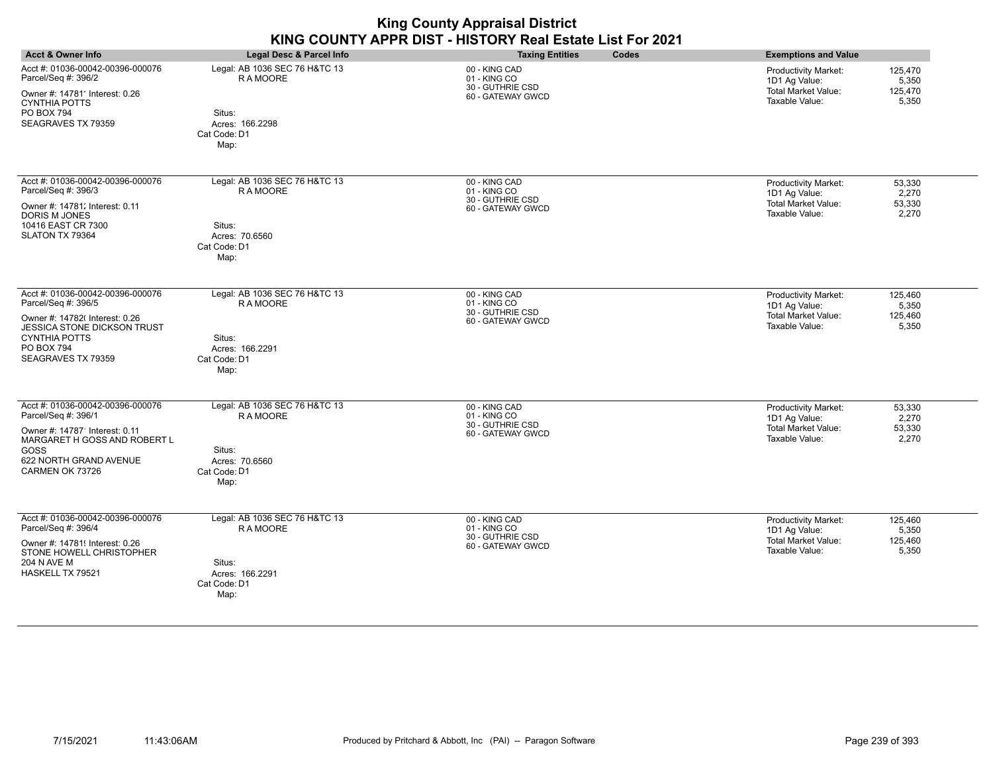|                                                                                                                                                                                                    |                                                                                                      | <b>King County Appraisal District</b><br>KING COUNTY APPR DIST - HISTORY Real Estate List For 2021 |                                                                                                                                      |
|----------------------------------------------------------------------------------------------------------------------------------------------------------------------------------------------------|------------------------------------------------------------------------------------------------------|----------------------------------------------------------------------------------------------------|--------------------------------------------------------------------------------------------------------------------------------------|
| <b>Acct &amp; Owner Info</b>                                                                                                                                                                       | <b>Legal Desc &amp; Parcel Info</b>                                                                  | Codes<br><b>Taxing Entities</b>                                                                    | <b>Exemptions and Value</b>                                                                                                          |
| Acct #: 01036-00042-00396-000076<br>Parcel/Seq #: 396/2<br>Owner #: 147811 Interest: 0.26<br><b>CYNTHIA POTTS</b><br><b>PO BOX 794</b><br>SEAGRAVES TX 79359                                       | Legal: AB 1036 SEC 76 H&TC 13<br>R A MOORE<br>Situs:<br>Acres: 166.2298<br>Cat Code: D1<br>Map:      | 00 - KING CAD<br>01 - KING CO<br>30 - GUTHRIE CSD<br>60 - GATEWAY GWCD                             | <b>Productivity Market:</b><br>125,470<br>1D1 Ag Value:<br>5,350<br><b>Total Market Value:</b><br>125,470<br>Taxable Value:<br>5,350 |
| Acct #: 01036-00042-00396-000076<br>Parcel/Seq #: 396/3<br>Owner #: 14781; Interest: 0.11<br>DORIS M JONES<br>10416 EAST CR 7300<br>SLATON TX 79364                                                | Legal: AB 1036 SEC 76 H&TC 13<br>R A MOORE<br>Situs:<br>Acres: 70.6560<br>Cat Code: D1<br>Map:       | 00 - KING CAD<br>01 - KING CO<br>30 - GUTHRIE CSD<br>60 - GATEWAY GWCD                             | Productivity Market:<br>53,330<br>1D1 Ag Value:<br>2,270<br><b>Total Market Value:</b><br>53,330<br>Taxable Value:<br>2,270          |
| Acct #: 01036-00042-00396-000076<br>Parcel/Seq #: 396/5<br>Owner #: 14782( Interest: 0.26<br><b>JESSICA STONE DICKSON TRUST</b><br><b>CYNTHIA POTTS</b><br><b>PO BOX 794</b><br>SEAGRAVES TX 79359 | Legal: AB 1036 SEC 76 H&TC 13<br><b>RAMOORE</b><br>Situs:<br>Acres: 166.2291<br>Cat Code: D1<br>Map: | 00 - KING CAD<br>01 - KING CO<br>30 - GUTHRIE CSD<br>60 - GATEWAY GWCD                             | <b>Productivity Market:</b><br>125,460<br>1D1 Ag Value:<br>5.350<br><b>Total Market Value:</b><br>125.460<br>Taxable Value:<br>5,350 |
| Acct #: 01036-00042-00396-000076<br>Parcel/Seq #: 396/1<br>Owner #: 14787 Interest: 0.11<br>MARGARET H GOSS AND ROBERT L<br>GOSS<br>622 NORTH GRAND AVENUE<br>CARMEN OK 73726                      | Legal: AB 1036 SEC 76 H&TC 13<br>R A MOORE<br>Situs:<br>Acres: 70.6560<br>Cat Code: D1<br>Map:       | 00 - KING CAD<br>01 - KING CO<br>30 - GUTHRIE CSD<br>60 - GATEWAY GWCD                             | <b>Productivity Market:</b><br>53,330<br>1D1 Ag Value:<br>2,270<br>Total Market Value:<br>53,330<br>Taxable Value:<br>2,270          |
| Acct #: 01036-00042-00396-000076<br>Parcel/Seq #: 396/4<br>Owner #: 14781! Interest: 0.26<br>STONE HOWELL CHRISTOPHER<br>204 N AVE M<br>HASKELL TX 79521                                           | Legal: AB 1036 SEC 76 H&TC 13<br>R A MOORE<br>Situs:<br>Acres: 166.2291<br>Cat Code: D1<br>Map:      | 00 - KING CAD<br>01 - KING CO<br>30 - GUTHRIE CSD<br>60 - GATEWAY GWCD                             | <b>Productivity Market:</b><br>125,460<br>1D1 Ag Value:<br>5,350<br>Total Market Value:<br>125,460<br>Taxable Value:<br>5,350        |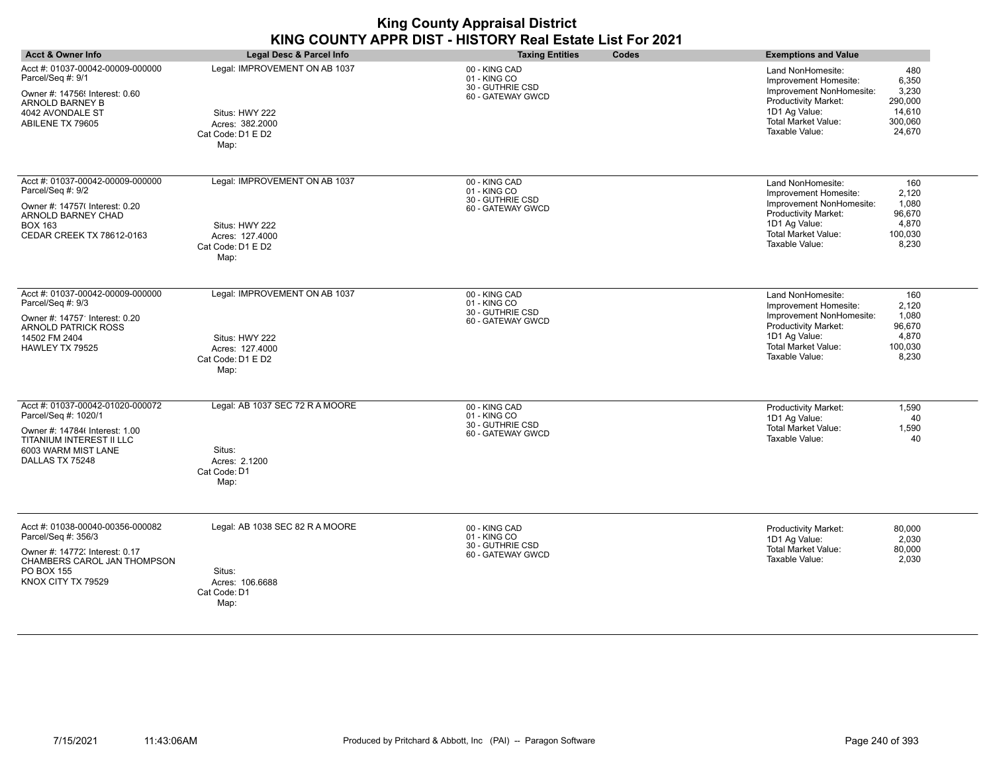| <b>Acct &amp; Owner Info</b>                                                                                                                                     | Legal Desc & Parcel Info                                                                        | <b>Taxing Entities</b><br>Codes                                        | <b>Exemptions and Value</b>                                                                                                                                                                                                               |
|------------------------------------------------------------------------------------------------------------------------------------------------------------------|-------------------------------------------------------------------------------------------------|------------------------------------------------------------------------|-------------------------------------------------------------------------------------------------------------------------------------------------------------------------------------------------------------------------------------------|
| Acct #: 01037-00042-00009-000000<br>Parcel/Seq #: 9/1<br>Owner #: 14756! Interest: 0.60<br>ARNOLD BARNEY B<br>4042 AVONDALE ST<br>ABILENE TX 79605               | Legal: IMPROVEMENT ON AB 1037<br>Situs: HWY 222<br>Acres: 382.2000<br>Cat Code: D1 E D2<br>Map: | 00 - KING CAD<br>01 - KING CO<br>30 - GUTHRIE CSD<br>60 - GATEWAY GWCD | 480<br>Land NonHomesite:<br>6,350<br>Improvement Homesite:<br>3,230<br>Improvement NonHomesite:<br><b>Productivity Market:</b><br>290,000<br>1D1 Ag Value:<br>14,610<br><b>Total Market Value:</b><br>300,060<br>Taxable Value:<br>24,670 |
| Acct #: 01037-00042-00009-000000<br>Parcel/Seq #: 9/2<br>Owner #: 14757( Interest: 0.20<br>ARNOLD BARNEY CHAD<br><b>BOX 163</b><br>CEDAR CREEK TX 78612-0163     | Legal: IMPROVEMENT ON AB 1037<br>Situs: HWY 222<br>Acres: 127.4000<br>Cat Code: D1 E D2<br>Map: | 00 - KING CAD<br>01 - KING CO<br>30 - GUTHRIE CSD<br>60 - GATEWAY GWCD | Land NonHomesite:<br>160<br>2,120<br>Improvement Homesite:<br>Improvement NonHomesite:<br>1,080<br>96,670<br>Productivity Market:<br>1D1 Ag Value:<br>4,870<br><b>Total Market Value:</b><br>100,030<br>Taxable Value:<br>8,230           |
| Acct #: 01037-00042-00009-000000<br>Parcel/Seq #: 9/3<br>Owner #: 14757 Interest: 0.20<br><b>ARNOLD PATRICK ROSS</b><br>14502 FM 2404<br>HAWLEY TX 79525         | Legal: IMPROVEMENT ON AB 1037<br>Situs: HWY 222<br>Acres: 127.4000<br>Cat Code: D1 E D2<br>Map: | 00 - KING CAD<br>01 - KING CO<br>30 - GUTHRIE CSD<br>60 - GATEWAY GWCD | Land NonHomesite:<br>160<br>2,120<br>Improvement Homesite:<br>Improvement NonHomesite:<br>1,080<br>Productivity Market:<br>96,670<br>1D1 Ag Value:<br>4,870<br><b>Total Market Value:</b><br>100,030<br>Taxable Value:<br>8,230           |
| Acct #: 01037-00042-01020-000072<br>Parcel/Seq #: 1020/1<br>Owner #: 14784( Interest: 1.00<br>TITANIUM INTEREST II LLC<br>6003 WARM MIST LANE<br>DALLAS TX 75248 | Legal: AB 1037 SEC 72 R A MOORE<br>Situs:<br>Acres: 2.1200<br>Cat Code: D1<br>Map:              | 00 - KING CAD<br>01 - KING CO<br>30 - GUTHRIE CSD<br>60 - GATEWAY GWCD | Productivity Market:<br>1,590<br>1D1 Ag Value:<br>40<br><b>Total Market Value:</b><br>1,590<br>Taxable Value:<br>40                                                                                                                       |
| Acct #: 01038-00040-00356-000082<br>Parcel/Seq #: 356/3<br>Owner #: 14772; Interest: 0.17<br>CHAMBERS CAROL JAN THOMPSON<br>PO BOX 155<br>KNOX CITY TX 79529     | Legal: AB 1038 SEC 82 R A MOORE<br>Situs:<br>Acres: 106.6688<br>Cat Code: D1<br>Map:            | 00 - KING CAD<br>01 - KING CO<br>30 - GUTHRIE CSD<br>60 - GATEWAY GWCD | 80,000<br>Productivity Market:<br>1D1 Ag Value:<br>2,030<br><b>Total Market Value:</b><br>80,000<br>Taxable Value:<br>2,030                                                                                                               |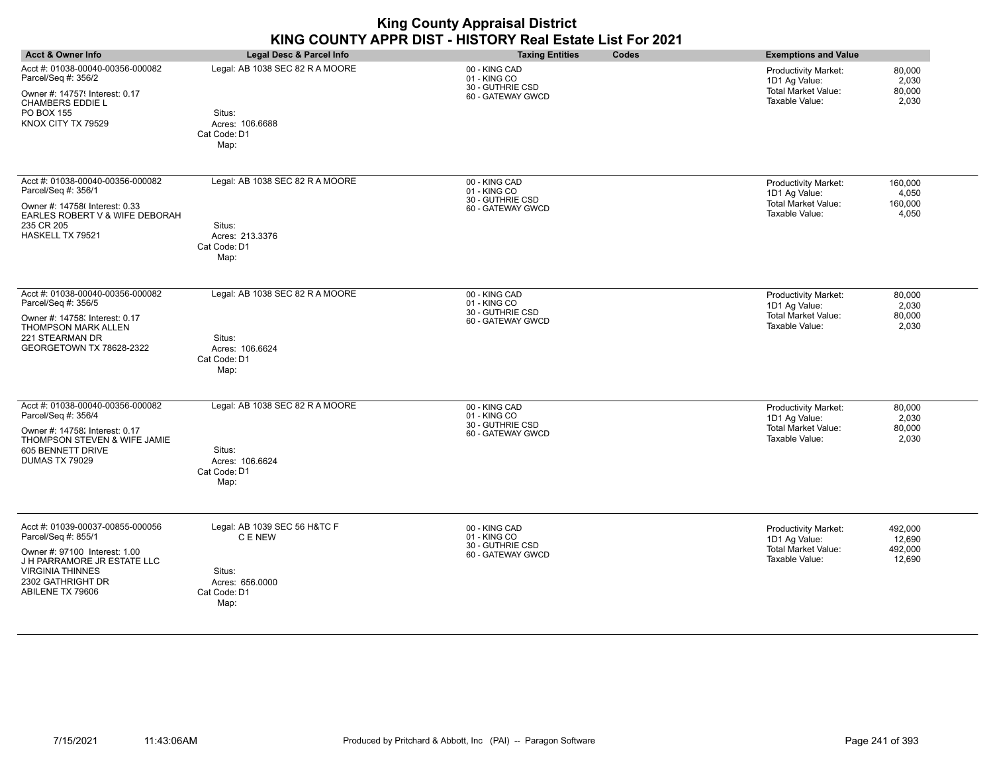| <b>Acct &amp; Owner Info</b>                                                                                                                                                                | <b>Legal Desc &amp; Parcel Info</b>                                                          | Codes<br><b>Taxing Entities</b>                                        | <b>Exemptions and Value</b>                                                                                                        |
|---------------------------------------------------------------------------------------------------------------------------------------------------------------------------------------------|----------------------------------------------------------------------------------------------|------------------------------------------------------------------------|------------------------------------------------------------------------------------------------------------------------------------|
| Acct #: 01038-00040-00356-000082<br>Parcel/Seq #: 356/2<br>Owner #: 14757! Interest: 0.17<br>CHAMBERS EDDIE L<br>PO BOX 155<br>KNOX CITY TX 79529                                           | Legal: AB 1038 SEC 82 R A MOORE<br>Situs:<br>Acres: 106.6688<br>Cat Code: D1<br>Map:         | 00 - KING CAD<br>01 - KING CO<br>30 - GUTHRIE CSD<br>60 - GATEWAY GWCD | Productivity Market:<br>80,000<br>1D1 Ag Value:<br>2,030<br>80,000<br><b>Total Market Value:</b><br>Taxable Value:<br>2,030        |
| Acct #: 01038-00040-00356-000082<br>Parcel/Seq #: 356/1<br>Owner #: 14758( Interest: 0.33<br>EARLES ROBERT V & WIFE DEBORAH<br>235 CR 205<br>HASKELL TX 79521                               | Legal: AB 1038 SEC 82 R A MOORE<br>Situs:<br>Acres: 213.3376<br>Cat Code: D1<br>Map:         | 00 - KING CAD<br>01 - KING CO<br>30 - GUTHRIE CSD<br>60 - GATEWAY GWCD | 160,000<br>Productivity Market:<br>1D1 Ag Value:<br>4,050<br><b>Total Market Value:</b><br>160,000<br>Taxable Value:<br>4,050      |
| Acct #: 01038-00040-00356-000082<br>Parcel/Seq #: 356/5<br>Owner #: 14758; Interest: 0.17<br>THOMPSON MARK ALLEN<br>221 STEARMAN DR<br>GEORGETOWN TX 78628-2322                             | Legal: AB 1038 SEC 82 R A MOORE<br>Situs:<br>Acres: 106.6624<br>Cat Code: D1<br>Map:         | 00 - KING CAD<br>01 - KING CO<br>30 - GUTHRIE CSD<br>60 - GATEWAY GWCD | <b>Productivity Market:</b><br>80,000<br>2,030<br>1D1 Ag Value:<br>80,000<br><b>Total Market Value:</b><br>Taxable Value:<br>2,030 |
| Acct #: 01038-00040-00356-000082<br>Parcel/Seq #: 356/4<br>Owner #: 14758; Interest: 0.17<br>THOMPSON STEVEN & WIFE JAMIE<br>605 BENNETT DRIVE<br>DUMAS TX 79029                            | Legal: AB 1038 SEC 82 R A MOORE<br>Situs:<br>Acres: 106.6624<br>Cat Code: D1<br>Map:         | 00 - KING CAD<br>01 - KING CO<br>30 - GUTHRIE CSD<br>60 - GATEWAY GWCD | Productivity Market:<br>80,000<br>1D1 Ag Value:<br>2,030<br>80,000<br><b>Total Market Value:</b><br>Taxable Value:<br>2,030        |
| Acct #: 01039-00037-00855-000056<br>Parcel/Seq #: 855/1<br>Owner #: 97100 Interest: 1.00<br>J H PARRAMORE JR ESTATE LLC<br><b>VIRGINIA THINNES</b><br>2302 GATHRIGHT DR<br>ABILENE TX 79606 | Legal: AB 1039 SEC 56 H&TC F<br>C E NEW<br>Situs:<br>Acres: 656.0000<br>Cat Code: D1<br>Map: | 00 - KING CAD<br>01 - KING CO<br>30 - GUTHRIE CSD<br>60 - GATEWAY GWCD | Productivity Market:<br>492,000<br>12,690<br>1D1 Ag Value:<br>Total Market Value:<br>492,000<br>Taxable Value:<br>12,690           |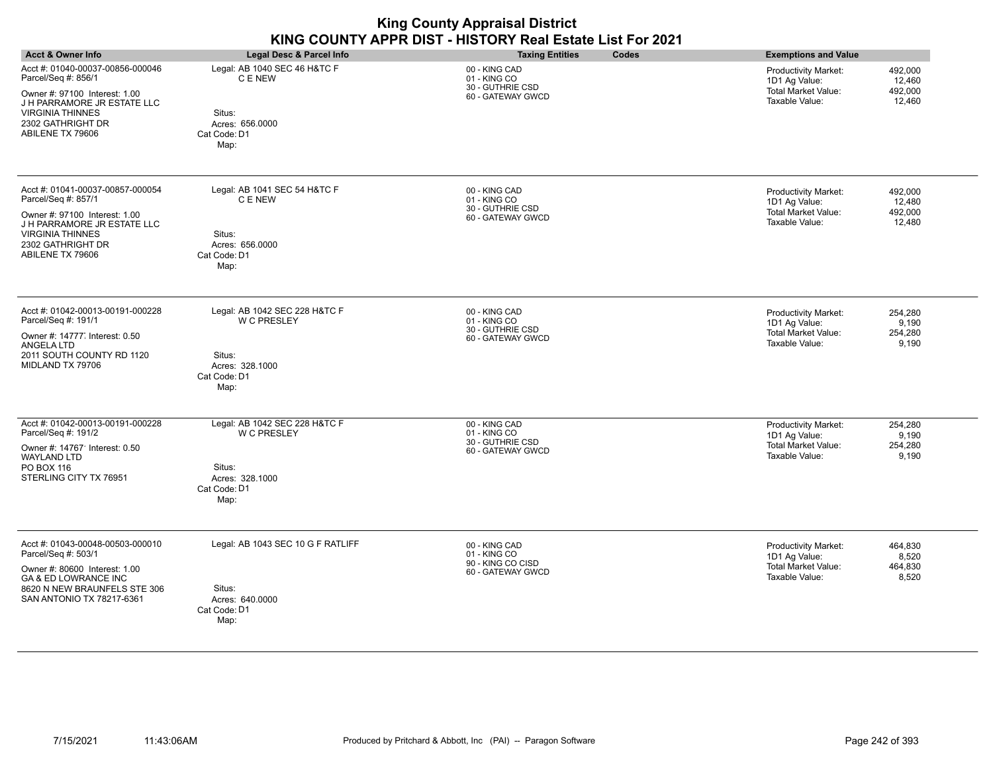| <b>King County Appraisal District</b><br>KING COUNTY APPR DIST - HISTORY Real Estate List For 2021                                                                            |                                                                                        |                                                                         |                                                                                                                               |  |
|-------------------------------------------------------------------------------------------------------------------------------------------------------------------------------|----------------------------------------------------------------------------------------|-------------------------------------------------------------------------|-------------------------------------------------------------------------------------------------------------------------------|--|
| <b>Acct &amp; Owner Info</b>                                                                                                                                                  | Legal Desc & Parcel Info                                                               | <b>Taxing Entities</b><br>Codes                                         | <b>Exemptions and Value</b>                                                                                                   |  |
| Acct #: 01040-00037-00856-000046<br>Parcel/Seq #: 856/1                                                                                                                       | Legal: AB 1040 SEC 46 H&TC F<br>C E NEW                                                | 00 - KING CAD<br>01 - KING CO<br>30 - GUTHRIE CSD                       | Productivity Market:<br>492,000<br>1D1 Ag Value:<br>12,460<br><b>Total Market Value:</b><br>492,000                           |  |
| Owner #: 97100 Interest: 1.00<br>J H PARRAMORE JR ESTATE LLC<br><b>VIRGINIA THINNES</b><br>2302 GATHRIGHT DR<br>ABILENE TX 79606                                              | Situs:<br>Acres: 656.0000<br>Cat Code: D1<br>Map:                                      | 60 - GATEWAY GWCD                                                       | Taxable Value:<br>12,460                                                                                                      |  |
| Acct #: 01041-00037-00857-000054<br>Parcel/Seq #: 857/1                                                                                                                       | Legal: AB 1041 SEC 54 H&TC F<br>C E NEW                                                | 00 - KING CAD<br>01 - KING CO                                           | Productivity Market:<br>492.000<br>12,480<br>1D1 Ag Value:                                                                    |  |
| Owner #: 97100 Interest: 1.00<br>J H PARRAMORE JR ESTATE LLC<br><b>VIRGINIA THINNES</b><br>2302 GATHRIGHT DR<br>ABILENE TX 79606                                              | Situs:<br>Acres: 656,0000<br>Cat Code: D1<br>Map:                                      | 30 - GUTHRIE CSD<br>60 - GATEWAY GWCD                                   | <b>Total Market Value:</b><br>492,000<br>Taxable Value:<br>12,480                                                             |  |
| Acct #: 01042-00013-00191-000228<br>Parcel/Seq #: 191/1                                                                                                                       | Legal: AB 1042 SEC 228 H&TC F<br>W C PRESLEY                                           | 00 - KING CAD<br>01 - KING CO                                           | Productivity Market:<br>254,280<br>1D1 Ag Value:<br>9,190                                                                     |  |
| Owner #: 14777 Interest: 0.50<br><b>ANGELA LTD</b><br>2011 SOUTH COUNTY RD 1120<br>MIDLAND TX 79706                                                                           | Situs:<br>Acres: 328.1000<br>Cat Code: D1<br>Map:                                      | 30 - GUTHRIE CSD<br>60 - GATEWAY GWCD                                   | <b>Total Market Value:</b><br>254,280<br>Taxable Value:<br>9,190                                                              |  |
| Acct #: 01042-00013-00191-000228<br>Parcel/Seq #: 191/2                                                                                                                       | Legal: AB 1042 SEC 228 H&TC F<br><b>W C PRESLEY</b>                                    | 00 - KING CAD<br>01 - KING CO                                           | Productivity Market:<br>254,280<br>1D1 Ag Value:<br>9,190                                                                     |  |
| Owner #: 14767' Interest: 0.50<br><b>WAYLAND LTD</b><br>PO BOX 116<br>STERLING CITY TX 76951                                                                                  | Situs:<br>Acres: 328.1000<br>Cat Code: D1<br>Map:                                      | 30 - GUTHRIE CSD<br>60 - GATEWAY GWCD                                   | <b>Total Market Value:</b><br>254,280<br>Taxable Value:<br>9,190                                                              |  |
| Acct #: 01043-00048-00503-000010<br>Parcel/Seq #: 503/1<br>Owner #: 80600 Interest: 1.00<br>GA & ED LOWRANCE INC<br>8620 N NEW BRAUNFELS STE 306<br>SAN ANTONIO TX 78217-6361 | Legal: AB 1043 SEC 10 G F RATLIFF<br>Situs:<br>Acres: 640.0000<br>Cat Code: D1<br>Map: | 00 - KING CAD<br>01 - KING CO<br>90 - KING CO CISD<br>60 - GATEWAY GWCD | Productivity Market:<br>464,830<br>1D1 Ag Value:<br>8,520<br><b>Total Market Value:</b><br>464,830<br>Taxable Value:<br>8,520 |  |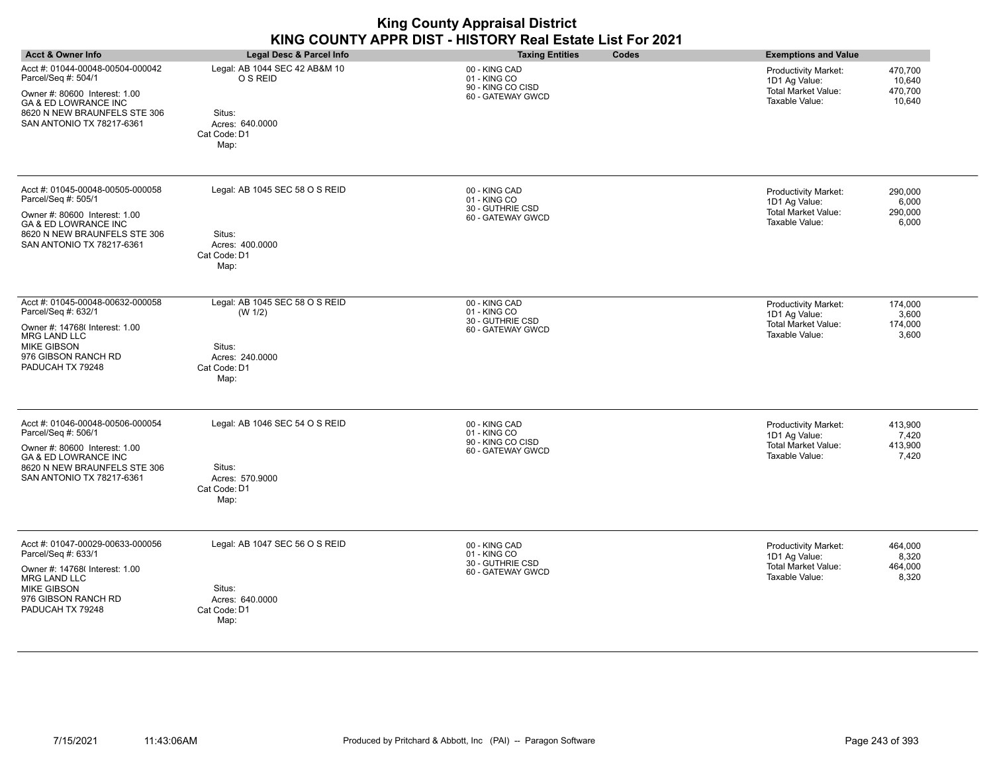| <b>King County Appraisal District</b><br>KING COUNTY APPR DIST - HISTORY Real Estate List For 2021                                                                                       |                                                                                                |                                                                         |                                                                                                                                        |  |
|------------------------------------------------------------------------------------------------------------------------------------------------------------------------------------------|------------------------------------------------------------------------------------------------|-------------------------------------------------------------------------|----------------------------------------------------------------------------------------------------------------------------------------|--|
| <b>Acct &amp; Owner Info</b>                                                                                                                                                             | Legal Desc & Parcel Info                                                                       | <b>Taxing Entities</b><br>Codes                                         | <b>Exemptions and Value</b>                                                                                                            |  |
| Acct #: 01044-00048-00504-000042<br>Parcel/Seq #: 504/1<br>Owner #: 80600 Interest: 1.00<br><b>GA &amp; ED LOWRANCE INC</b><br>8620 N NEW BRAUNFELS STE 306<br>SAN ANTONIO TX 78217-6361 | Legal: AB 1044 SEC 42 AB&M 10<br>O S REID<br>Situs:<br>Acres: 640.0000<br>Cat Code: D1<br>Map: | 00 - KING CAD<br>01 - KING CO<br>90 - KING CO CISD<br>60 - GATEWAY GWCD | <b>Productivity Market:</b><br>470,700<br>1D1 Ag Value:<br>10,640<br><b>Total Market Value:</b><br>470,700<br>Taxable Value:<br>10,640 |  |
| Acct #: 01045-00048-00505-000058<br>Parcel/Seq #: 505/1<br>Owner #: 80600 Interest: 1.00<br><b>GA &amp; ED LOWRANCE INC</b><br>8620 N NEW BRAUNFELS STE 306<br>SAN ANTONIO TX 78217-6361 | Legal: AB 1045 SEC 58 O S REID<br>Situs:<br>Acres: 400.0000<br>Cat Code: D1<br>Map:            | 00 - KING CAD<br>01 - KING CO<br>30 - GUTHRIE CSD<br>60 - GATEWAY GWCD  | <b>Productivity Market:</b><br>290.000<br>6,000<br>1D1 Ag Value:<br><b>Total Market Value:</b><br>290.000<br>Taxable Value:<br>6,000   |  |
| Acct #: 01045-00048-00632-000058<br>Parcel/Seq #: 632/1<br>Owner #: 14768( Interest: 1.00<br><b>MRG LAND LLC</b><br><b>MIKE GIBSON</b><br>976 GIBSON RANCH RD<br>PADUCAH TX 79248        | Legal: AB 1045 SEC 58 O S REID<br>(W 1/2)<br>Situs:<br>Acres: 240.0000<br>Cat Code: D1<br>Map: | 00 - KING CAD<br>01 - KING CO<br>30 - GUTHRIE CSD<br>60 - GATEWAY GWCD  | 174,000<br>Productivity Market:<br>1D1 Ag Value:<br>3,600<br>Total Market Value:<br>174,000<br>Taxable Value:<br>3,600                 |  |
| Acct #: 01046-00048-00506-000054<br>Parcel/Seq #: 506/1<br>Owner #: 80600 Interest: 1.00<br>GA & ED LOWRANCE INC<br>8620 N NEW BRAUNFELS STE 306<br>SAN ANTONIO TX 78217-6361            | Legal: AB 1046 SEC 54 O S REID<br>Situs:<br>Acres: 570.9000<br>Cat Code: D1<br>Map:            | 00 - KING CAD<br>01 - KING CO<br>90 - KING CO CISD<br>60 - GATEWAY GWCD | <b>Productivity Market:</b><br>413,900<br>1D1 Ag Value:<br>7,420<br><b>Total Market Value:</b><br>413,900<br>Taxable Value:<br>7,420   |  |
| Acct #: 01047-00029-00633-000056<br>Parcel/Seq #: 633/1<br>Owner #: 14768( Interest: 1.00<br>MRG LAND LLC<br><b>MIKE GIBSON</b><br>976 GIBSON RANCH RD<br>PADUCAH TX 79248               | Legal: AB 1047 SEC 56 O S REID<br>Situs:<br>Acres: 640.0000<br>Cat Code: D1<br>Map:            | 00 - KING CAD<br>01 - KING CO<br>30 - GUTHRIE CSD<br>60 - GATEWAY GWCD  | 464.000<br><b>Productivity Market:</b><br>1D1 Ag Value:<br>8,320<br><b>Total Market Value:</b><br>464,000<br>Taxable Value:<br>8,320   |  |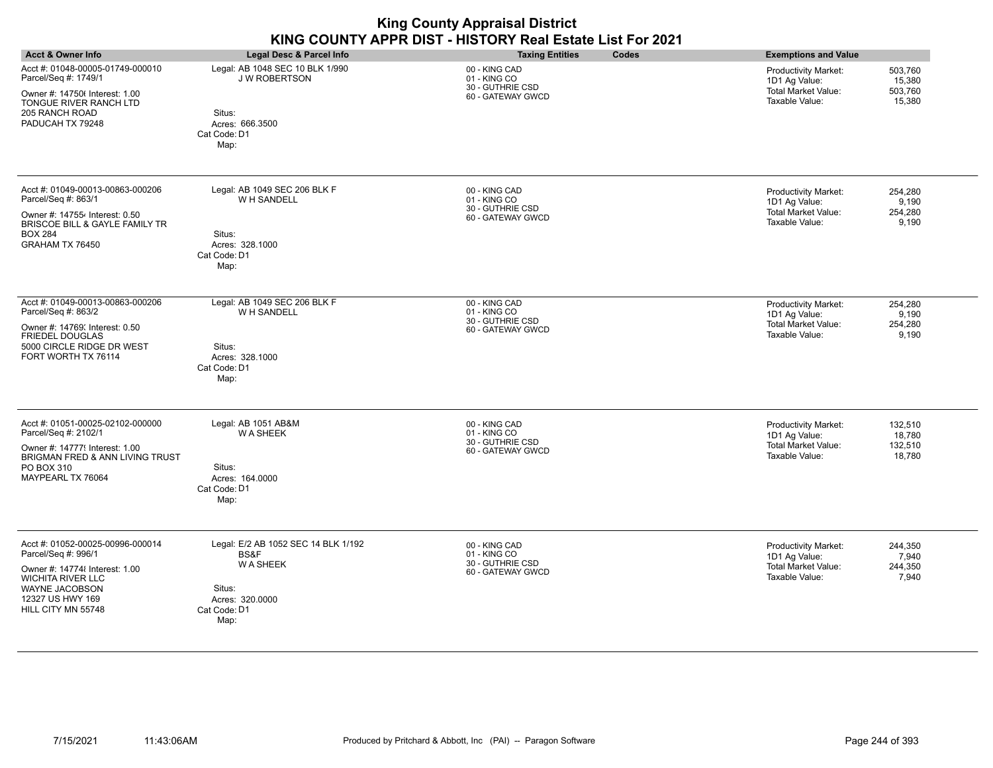| <b>King County Appraisal District</b><br>KING COUNTY APPR DIST - HISTORY Real Estate List For 2021                                                                                |                                                                                                                     |                                                                        |                                                                                                                               |  |
|-----------------------------------------------------------------------------------------------------------------------------------------------------------------------------------|---------------------------------------------------------------------------------------------------------------------|------------------------------------------------------------------------|-------------------------------------------------------------------------------------------------------------------------------|--|
| <b>Acct &amp; Owner Info</b>                                                                                                                                                      | <b>Legal Desc &amp; Parcel Info</b>                                                                                 | Codes<br><b>Taxing Entities</b>                                        | <b>Exemptions and Value</b>                                                                                                   |  |
| Acct #: 01048-00005-01749-000010<br>Parcel/Seq #: 1749/1<br>Owner #: 147506 Interest: 1.00<br>TONGUE RIVER RANCH LTD<br>205 RANCH ROAD<br>PADUCAH TX 79248                        | Legal: AB 1048 SEC 10 BLK 1/990<br><b>J W ROBERTSON</b><br>Situs:<br>Acres: 666.3500                                | 00 - KING CAD<br>01 - KING CO<br>30 - GUTHRIE CSD<br>60 - GATEWAY GWCD | Productivity Market:<br>503.760<br>1D1 Ag Value:<br>15,380<br>Total Market Value:<br>503.760<br>Taxable Value:<br>15,380      |  |
| Acct #: 01049-00013-00863-000206                                                                                                                                                  | Cat Code: D1<br>Map:<br>Legal: AB 1049 SEC 206 BLK F                                                                | 00 - KING CAD                                                          | Productivity Market:<br>254,280                                                                                               |  |
| Parcel/Seq #: 863/1<br>Owner #: 147554 Interest: 0.50<br>BRISCOE BILL & GAYLE FAMILY TR<br><b>BOX 284</b><br>GRAHAM TX 76450                                                      | W H SANDELL<br>Situs:<br>Acres: 328.1000<br>Cat Code: D1<br>Map:                                                    | 01 - KING CO<br>30 - GUTHRIE CSD<br>60 - GATEWAY GWCD                  | 1D1 Ag Value:<br>9,190<br>Total Market Value:<br>254,280<br>Taxable Value:<br>9,190                                           |  |
| Acct #: 01049-00013-00863-000206<br>Parcel/Seq #: 863/2<br>Owner #: 14769; Interest: 0.50<br><b>FRIEDEL DOUGLAS</b><br>5000 CIRCLE RIDGE DR WEST<br>FORT WORTH TX 76114           | Legal: AB 1049 SEC 206 BLK F<br>W H SANDELL<br>Situs:<br>Acres: 328.1000<br>Cat Code: D1<br>Map:                    | 00 - KING CAD<br>01 - KING CO<br>30 - GUTHRIE CSD<br>60 - GATEWAY GWCD | Productivity Market:<br>254,280<br>1D1 Ag Value:<br>9,190<br><b>Total Market Value:</b><br>254.280<br>Taxable Value:<br>9,190 |  |
| Acct #: 01051-00025-02102-000000<br>Parcel/Seq #: 2102/1<br>Owner #: 14777! Interest: 1.00<br><b>BRIGMAN FRED &amp; ANN LIVING TRUST</b><br>PO BOX 310<br>MAYPEARL TX 76064       | Legal: AB 1051 AB&M<br><b>WA SHEEK</b><br>Situs:<br>Acres: 164.0000<br>Cat Code: D1<br>Map:                         | 00 - KING CAD<br>01 - KING CO<br>30 - GUTHRIE CSD<br>60 - GATEWAY GWCD | Productivity Market:<br>132,510<br>1D1 Ag Value:<br>18,780<br>Total Market Value:<br>132,510<br>Taxable Value:<br>18,780      |  |
| Acct #: 01052-00025-00996-000014<br>Parcel/Seq #: 996/1<br>Owner #: 147748 Interest: 1.00<br><b>WICHITA RIVER LLC</b><br>WAYNE JACOBSON<br>12327 US HWY 169<br>HILL CITY MN 55748 | Legal: E/2 AB 1052 SEC 14 BLK 1/192<br>BS&F<br><b>WA SHEEK</b><br>Situs:<br>Acres: 320.0000<br>Cat Code: D1<br>Map: | 00 - KING CAD<br>01 - KING CO<br>30 - GUTHRIE CSD<br>60 - GATEWAY GWCD | 244.350<br>Productivity Market:<br>7,940<br>1D1 Ag Value:<br><b>Total Market Value:</b><br>244,350<br>Taxable Value:<br>7,940 |  |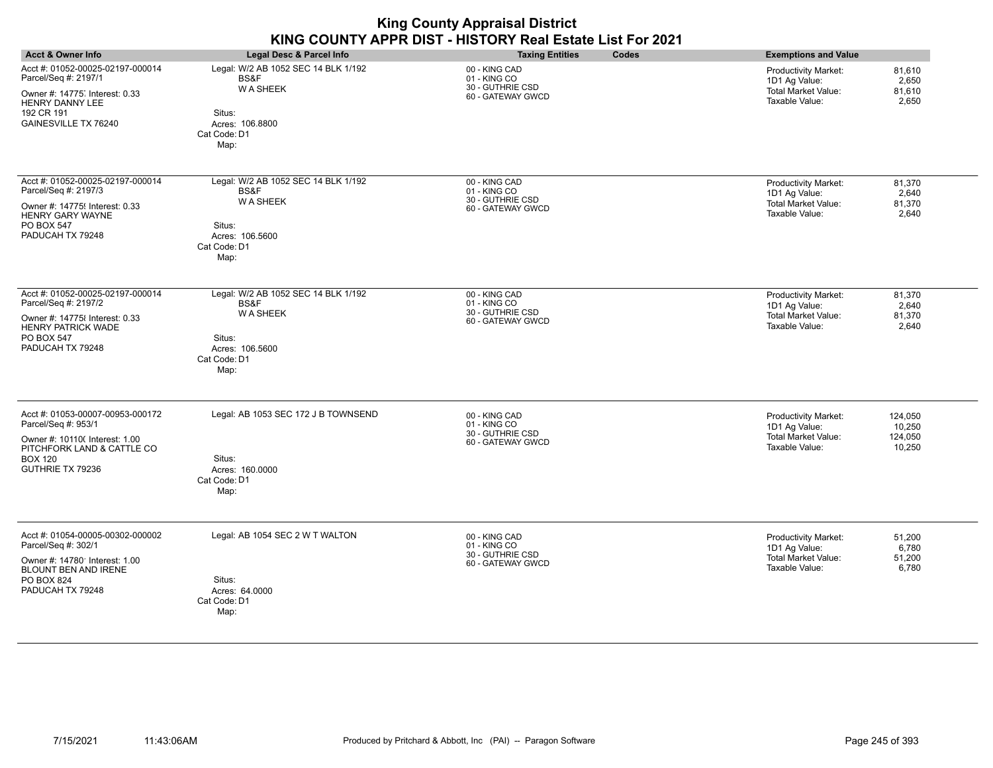| <b>King County Appraisal District</b><br>KING COUNTY APPR DIST - HISTORY Real Estate List For 2021                                                               |                                                                                                                     |                                                                        |                                                                                                                                    |  |
|------------------------------------------------------------------------------------------------------------------------------------------------------------------|---------------------------------------------------------------------------------------------------------------------|------------------------------------------------------------------------|------------------------------------------------------------------------------------------------------------------------------------|--|
| <b>Acct &amp; Owner Info</b>                                                                                                                                     | <b>Legal Desc &amp; Parcel Info</b>                                                                                 | <b>Taxing Entities</b><br><b>Codes</b>                                 | <b>Exemptions and Value</b>                                                                                                        |  |
| Acct #: 01052-00025-02197-000014<br>Parcel/Seq #: 2197/1<br>Owner #: 14775, Interest: 0.33<br><b>HENRY DANNY LEE</b><br>192 CR 191<br>GAINESVILLE TX 76240       | Legal: W/2 AB 1052 SEC 14 BLK 1/192<br>BS&F<br><b>WASHEEK</b><br>Situs:<br>Acres: 106.8800<br>Cat Code: D1<br>Map:  | 00 - KING CAD<br>01 - KING CO<br>30 - GUTHRIE CSD<br>60 - GATEWAY GWCD | <b>Productivity Market:</b><br>81,610<br>1D1 Ag Value:<br>2.650<br><b>Total Market Value:</b><br>81.610<br>2,650<br>Taxable Value: |  |
| Acct #: 01052-00025-02197-000014<br>Parcel/Seq #: 2197/3<br>Owner #: 14775! Interest: 0.33<br><b>HENRY GARY WAYNE</b><br><b>PO BOX 547</b><br>PADUCAH TX 79248   | Legal: W/2 AB 1052 SEC 14 BLK 1/192<br>BS&F<br><b>WA SHEEK</b><br>Situs:<br>Acres: 106.5600<br>Cat Code: D1<br>Map: | 00 - KING CAD<br>01 - KING CO<br>30 - GUTHRIE CSD<br>60 - GATEWAY GWCD | <b>Productivity Market:</b><br>81,370<br>1D1 Ag Value:<br>2.640<br><b>Total Market Value:</b><br>81,370<br>Taxable Value:<br>2,640 |  |
| Acct #: 01052-00025-02197-000014<br>Parcel/Seq #: 2197/2<br>Owner #: 14775 {Interest: 0.33<br><b>HENRY PATRICK WADE</b><br><b>PO BOX 547</b><br>PADUCAH TX 79248 | Legal: W/2 AB 1052 SEC 14 BLK 1/192<br>BS&F<br><b>WA SHEEK</b><br>Situs:<br>Acres: 106.5600<br>Cat Code: D1<br>Map: | 00 - KING CAD<br>01 - KING CO<br>30 - GUTHRIE CSD<br>60 - GATEWAY GWCD | Productivity Market:<br>81,370<br>1D1 Ag Value:<br>2,640<br><b>Total Market Value:</b><br>81,370<br>Taxable Value:<br>2.640        |  |
| Acct #: 01053-00007-00953-000172<br>Parcel/Seq #: 953/1<br>Owner #: 10110( Interest: 1.00<br>PITCHFORK LAND & CATTLE CO<br><b>BOX 120</b><br>GUTHRIE TX 79236    | Legal: AB 1053 SEC 172 J B TOWNSEND<br>Situs:<br>Acres: 160.0000<br>Cat Code: D1<br>Map:                            | 00 - KING CAD<br>01 - KING CO<br>30 - GUTHRIE CSD<br>60 - GATEWAY GWCD | Productivity Market:<br>124,050<br>10,250<br>1D1 Ag Value:<br><b>Total Market Value:</b><br>124,050<br>Taxable Value:<br>10,250    |  |
| Acct #: 01054-00005-00302-000002<br>Parcel/Seq #: 302/1<br>Owner #: 14780' Interest: 1.00<br>BLOUNT BEN AND IRENE<br>PO BOX 824<br>PADUCAH TX 79248              | Legal: AB 1054 SEC 2 W T WALTON<br>Situs:<br>Acres: 64,0000<br>Cat Code: D1<br>Map:                                 | 00 - KING CAD<br>01 - KING CO<br>30 - GUTHRIE CSD<br>60 - GATEWAY GWCD | 51,200<br>Productivity Market:<br>1D1 Ag Value:<br>6,780<br><b>Total Market Value:</b><br>51,200<br>Taxable Value:<br>6,780        |  |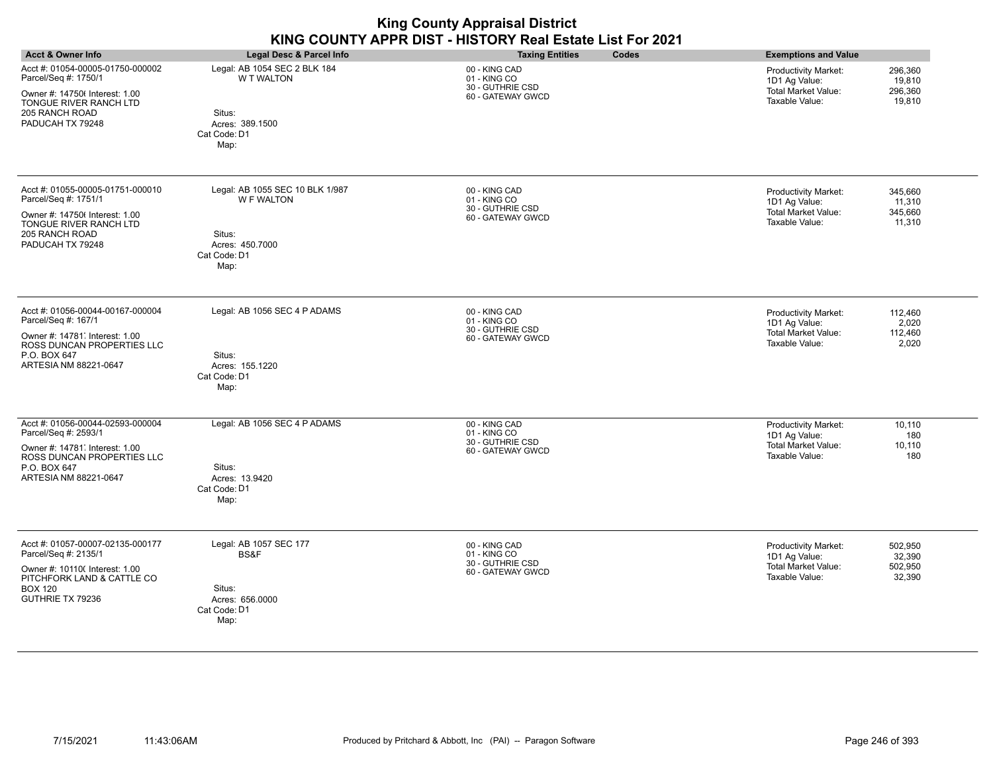| <b>King County Appraisal District</b><br>KING COUNTY APPR DIST - HISTORY Real Estate List For 2021                                                               |                                                                                                           |                                                                        |                                                                                                                                        |  |
|------------------------------------------------------------------------------------------------------------------------------------------------------------------|-----------------------------------------------------------------------------------------------------------|------------------------------------------------------------------------|----------------------------------------------------------------------------------------------------------------------------------------|--|
| <b>Acct &amp; Owner Info</b>                                                                                                                                     | <b>Legal Desc &amp; Parcel Info</b>                                                                       | Codes<br><b>Taxing Entities</b>                                        | <b>Exemptions and Value</b>                                                                                                            |  |
| Acct #: 01054-00005-01750-000002<br>Parcel/Seq #: 1750/1<br>Owner #: 147506 Interest: 1.00<br>TONGUE RIVER RANCH LTD<br>205 RANCH ROAD<br>PADUCAH TX 79248       | Legal: AB 1054 SEC 2 BLK 184<br><b>W T WALTON</b><br>Situs:<br>Acres: 389.1500<br>Cat Code: D1<br>Map:    | 00 - KING CAD<br>01 - KING CO<br>30 - GUTHRIE CSD<br>60 - GATEWAY GWCD | <b>Productivity Market:</b><br>296,360<br>1D1 Ag Value:<br>19,810<br><b>Total Market Value:</b><br>296.360<br>Taxable Value:<br>19,810 |  |
| Acct #: 01055-00005-01751-000010<br>Parcel/Seq #: 1751/1<br>Owner #: 147506 Interest: 1.00<br>TONGUE RIVER RANCH LTD<br>205 RANCH ROAD<br>PADUCAH TX 79248       | Legal: AB 1055 SEC 10 BLK 1/987<br><b>W F WALTON</b><br>Situs:<br>Acres: 450.7000<br>Cat Code: D1<br>Map: | 00 - KING CAD<br>01 - KING CO<br>30 - GUTHRIE CSD<br>60 - GATEWAY GWCD | Productivity Market:<br>345,660<br>1D1 Ag Value:<br>11,310<br><b>Total Market Value:</b><br>345,660<br>Taxable Value:<br>11,310        |  |
| Acct #: 01056-00044-00167-000004<br>Parcel/Seq #: 167/1<br>Owner #: 14781 Interest: 1.00<br>ROSS DUNCAN PROPERTIES LLC<br>P.O. BOX 647<br>ARTESIA NM 88221-0647  | Legal: AB 1056 SEC 4 P ADAMS<br>Situs:<br>Acres: 155.1220<br>Cat Code: D1<br>Map:                         | 00 - KING CAD<br>01 - KING CO<br>30 - GUTHRIE CSD<br>60 - GATEWAY GWCD | Productivity Market:<br>112,460<br>1D1 Ag Value:<br>2,020<br><b>Total Market Value:</b><br>112,460<br>Taxable Value:<br>2,020          |  |
| Acct #: 01056-00044-02593-000004<br>Parcel/Seq #: 2593/1<br>Owner #: 14781 Interest: 1.00<br>ROSS DUNCAN PROPERTIES LLC<br>P.O. BOX 647<br>ARTESIA NM 88221-0647 | Legal: AB 1056 SEC 4 P ADAMS<br>Situs:<br>Acres: 13.9420<br>Cat Code: D1<br>Map:                          | 00 - KING CAD<br>01 - KING CO<br>30 - GUTHRIE CSD<br>60 - GATEWAY GWCD | <b>Productivity Market:</b><br>10,110<br>1D1 Ag Value:<br>180<br><b>Total Market Value:</b><br>10,110<br>Taxable Value:<br>180         |  |
| Acct #: 01057-00007-02135-000177<br>Parcel/Seq #: 2135/1<br>Owner #: 10110( Interest: 1.00<br>PITCHFORK LAND & CATTLE CO<br><b>BOX 120</b><br>GUTHRIE TX 79236   | Legal: AB 1057 SEC 177<br>BS&F<br>Situs:<br>Acres: 656.0000<br>Cat Code: D1<br>Map:                       | 00 - KING CAD<br>01 - KING CO<br>30 - GUTHRIE CSD<br>60 - GATEWAY GWCD | <b>Productivity Market:</b><br>502,950<br>1D1 Ag Value:<br>32,390<br><b>Total Market Value:</b><br>502,950<br>Taxable Value:<br>32,390 |  |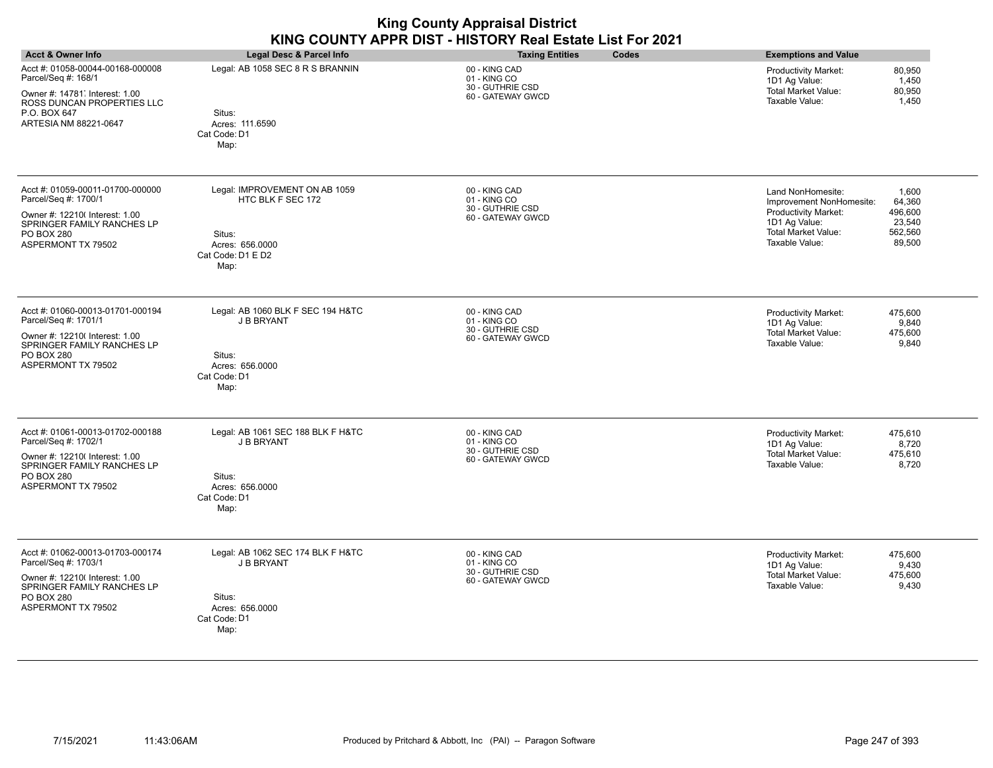| <b>Acct &amp; Owner Info</b>                                                                                                                                               | <b>Legal Desc &amp; Parcel Info</b>                                                                          | <b>Taxing Entities</b><br>Codes                                        | <b>Exemptions and Value</b>                                                                                                                                                                                |
|----------------------------------------------------------------------------------------------------------------------------------------------------------------------------|--------------------------------------------------------------------------------------------------------------|------------------------------------------------------------------------|------------------------------------------------------------------------------------------------------------------------------------------------------------------------------------------------------------|
| Acct #: 01058-00044-00168-000008<br>Parcel/Seq #: 168/1<br>Owner #: 14781, Interest: 1.00<br>ROSS DUNCAN PROPERTIES LLC<br>P.O. BOX 647<br>ARTESIA NM 88221-0647           | Legal: AB 1058 SEC 8 R S BRANNIN<br>Situs:<br>Acres: 111.6590<br>Cat Code: D1<br>Map:                        | 00 - KING CAD<br>01 - KING CO<br>30 - GUTHRIE CSD<br>60 - GATEWAY GWCD | 80,950<br>Productivity Market:<br>1D1 Ag Value:<br>1,450<br><b>Total Market Value:</b><br>80,950<br>Taxable Value:<br>1,450                                                                                |
| Acct #: 01059-00011-01700-000000<br>Parcel/Seq #: 1700/1<br>Owner #: 12210( Interest: 1.00<br>SPRINGER FAMILY RANCHES LP<br><b>PO BOX 280</b><br><b>ASPERMONT TX 79502</b> | Legal: IMPROVEMENT ON AB 1059<br>HTC BLK F SEC 172<br>Situs:<br>Acres: 656.0000<br>Cat Code: D1 E D2<br>Map: | 00 - KING CAD<br>01 - KING CO<br>30 - GUTHRIE CSD<br>60 - GATEWAY GWCD | Land NonHomesite:<br>1,600<br>64,360<br>Improvement NonHomesite:<br>496,600<br><b>Productivity Market:</b><br>1D1 Ag Value:<br>23,540<br><b>Total Market Value:</b><br>562,560<br>Taxable Value:<br>89,500 |
| Acct #: 01060-00013-01701-000194<br>Parcel/Seq #: 1701/1<br>Owner #: 12210( Interest: 1.00<br>SPRINGER FAMILY RANCHES LP<br>PO BOX 280<br>ASPERMONT TX 79502               | Legal: AB 1060 BLK F SEC 194 H&TC<br>J B BRYANT<br>Situs:<br>Acres: 656.0000<br>Cat Code: D1<br>Map:         | 00 - KING CAD<br>01 - KING CO<br>30 - GUTHRIE CSD<br>60 - GATEWAY GWCD | Productivity Market:<br>475,600<br>1D1 Ag Value:<br>9,840<br><b>Total Market Value:</b><br>475,600<br>Taxable Value:<br>9,840                                                                              |
| Acct #: 01061-00013-01702-000188<br>Parcel/Seq #: 1702/1<br>Owner #: 12210( Interest: 1.00<br>SPRINGER FAMILY RANCHES LP<br>PO BOX 280<br>ASPERMONT TX 79502               | Legal: AB 1061 SEC 188 BLK F H&TC<br><b>J B BRYANT</b><br>Situs:<br>Acres: 656.0000<br>Cat Code: D1<br>Map:  | 00 - KING CAD<br>01 - KING CO<br>30 - GUTHRIE CSD<br>60 - GATEWAY GWCD | <b>Productivity Market:</b><br>475.610<br>8,720<br>1D1 Ag Value:<br><b>Total Market Value:</b><br>475,610<br>Taxable Value:<br>8,720                                                                       |
| Acct #: 01062-00013-01703-000174<br>Parcel/Seq #: 1703/1<br>Owner #: 12210( Interest: 1.00<br>SPRINGER FAMILY RANCHES LP<br><b>PO BOX 280</b><br>ASPERMONT TX 79502        | Legal: AB 1062 SEC 174 BLK F H&TC<br>J B BRYANT<br>Situs:<br>Acres: 656.0000<br>Cat Code: D1<br>Map:         | 00 - KING CAD<br>01 - KING CO<br>30 - GUTHRIE CSD<br>60 - GATEWAY GWCD | <b>Productivity Market:</b><br>475,600<br>1D1 Ag Value:<br>9,430<br><b>Total Market Value:</b><br>475,600<br>Taxable Value:<br>9,430                                                                       |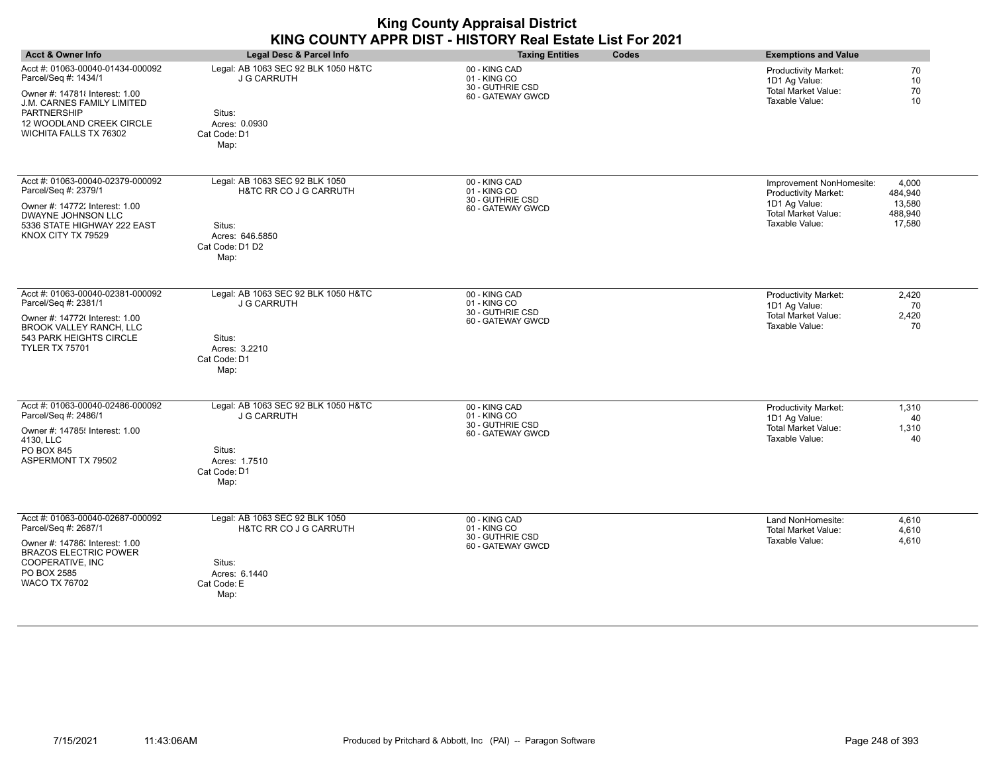| <b>Acct &amp; Owner Info</b>                                                                                                                                                                         | Legal Desc & Parcel Info                                                                                         | <b>Taxing Entities</b><br>Codes                                        | <b>Exemptions and Value</b>                                                                                                                                          |
|------------------------------------------------------------------------------------------------------------------------------------------------------------------------------------------------------|------------------------------------------------------------------------------------------------------------------|------------------------------------------------------------------------|----------------------------------------------------------------------------------------------------------------------------------------------------------------------|
| Acct #: 01063-00040-01434-000092<br>Parcel/Seq #: 1434/1<br>Owner #: 147818 Interest: 1.00<br>J.M. CARNES FAMILY LIMITED<br><b>PARTNERSHIP</b><br>12 WOODLAND CREEK CIRCLE<br>WICHITA FALLS TX 76302 | Legal: AB 1063 SEC 92 BLK 1050 H&TC<br><b>J G CARRUTH</b><br>Situs:<br>Acres: 0.0930<br>Cat Code: D1<br>Map:     | 00 - KING CAD<br>01 - KING CO<br>30 - GUTHRIE CSD<br>60 - GATEWAY GWCD | Productivity Market:<br>70<br>1D1 Ag Value:<br>10<br><b>Total Market Value:</b><br>70<br>Taxable Value:<br>10                                                        |
| Acct #: 01063-00040-02379-000092<br>Parcel/Seq #: 2379/1<br>Owner #: 14772; Interest: 1.00<br>DWAYNE JOHNSON LLC<br>5336 STATE HIGHWAY 222 EAST<br>KNOX CITY TX 79529                                | Legal: AB 1063 SEC 92 BLK 1050<br>H&TC RR CO J G CARRUTH<br>Situs:<br>Acres: 646.5850<br>Cat Code: D1 D2<br>Map: | 00 - KING CAD<br>01 - KING CO<br>30 - GUTHRIE CSD<br>60 - GATEWAY GWCD | Improvement NonHomesite:<br>4,000<br>Productivity Market:<br>484.940<br>1D1 Ag Value:<br>13,580<br><b>Total Market Value:</b><br>488,940<br>Taxable Value:<br>17,580 |
| Acct #: 01063-00040-02381-000092<br>Parcel/Seq #: 2381/1<br>Owner #: 14772( Interest: 1.00<br><b>BROOK VALLEY RANCH, LLC</b><br>543 PARK HEIGHTS CIRCLE<br><b>TYLER TX 75701</b>                     | Legal: AB 1063 SEC 92 BLK 1050 H&TC<br><b>J G CARRUTH</b><br>Situs:<br>Acres: 3.2210<br>Cat Code: D1<br>Map:     | 00 - KING CAD<br>01 - KING CO<br>30 - GUTHRIE CSD<br>60 - GATEWAY GWCD | Productivity Market:<br>2,420<br>1D1 Ag Value:<br>70<br><b>Total Market Value:</b><br>2,420<br>Taxable Value:<br>70                                                  |
| Acct #: 01063-00040-02486-000092<br>Parcel/Seq #: 2486/1<br>Owner #: 14785! Interest: 1.00<br>4130, LLC<br>PO BOX 845<br>ASPERMONT TX 79502                                                          | Legal: AB 1063 SEC 92 BLK 1050 H&TC<br><b>J G CARRUTH</b><br>Situs:<br>Acres: 1.7510<br>Cat Code: D1<br>Map:     | 00 - KING CAD<br>01 - KING CO<br>30 - GUTHRIE CSD<br>60 - GATEWAY GWCD | Productivity Market:<br>1,310<br>1D1 Ag Value:<br>40<br><b>Total Market Value:</b><br>1,310<br>Taxable Value:<br>40                                                  |
| Acct #: 01063-00040-02687-000092<br>Parcel/Seq #: 2687/1<br>Owner #: 14786; Interest: 1.00<br><b>BRAZOS ELECTRIC POWER</b><br>COOPERATIVE, INC<br>PO BOX 2585<br><b>WACO TX 76702</b>                | Legal: AB 1063 SEC 92 BLK 1050<br>H&TC RR CO J G CARRUTH<br>Situs:<br>Acres: 6.1440<br>Cat Code: E<br>Map:       | 00 - KING CAD<br>01 - KING CO<br>30 - GUTHRIE CSD<br>60 - GATEWAY GWCD | Land NonHomesite:<br>4,610<br><b>Total Market Value:</b><br>4,610<br>Taxable Value:<br>4,610                                                                         |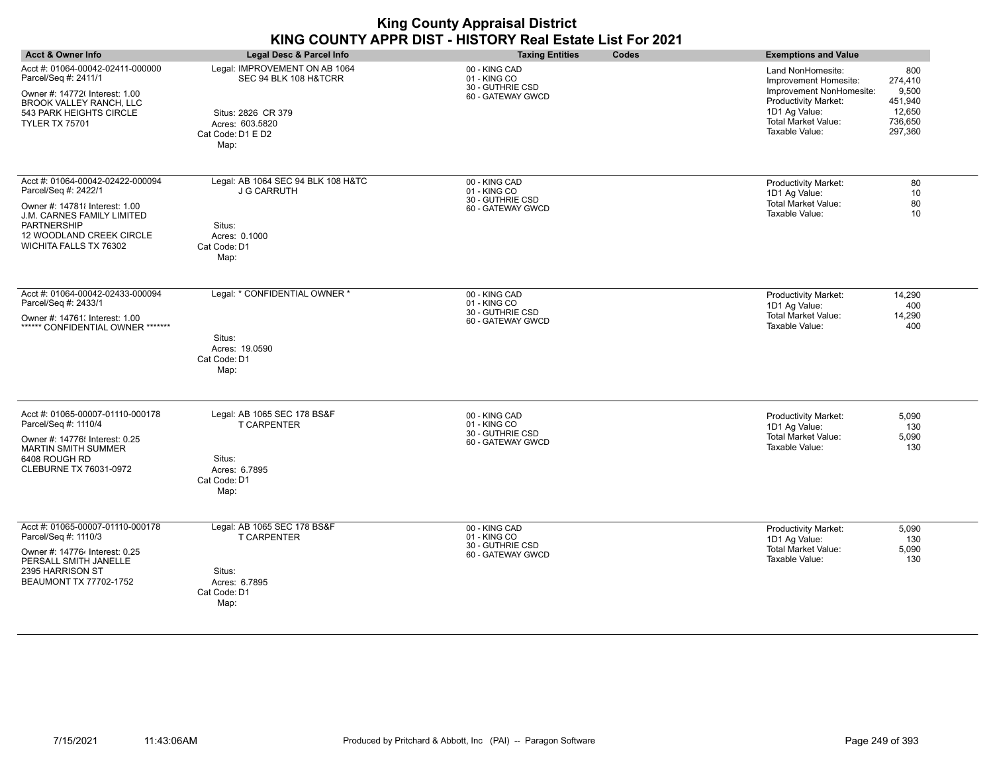| <b>Acct &amp; Owner Info</b>                                                                                                                                                                         | Legal Desc & Parcel Info                                                                                                     | <b>Taxing Entities</b><br>Codes                                        | <b>Exemptions and Value</b>                                                                                                                                                                                                                  |
|------------------------------------------------------------------------------------------------------------------------------------------------------------------------------------------------------|------------------------------------------------------------------------------------------------------------------------------|------------------------------------------------------------------------|----------------------------------------------------------------------------------------------------------------------------------------------------------------------------------------------------------------------------------------------|
| Acct #: 01064-00042-02411-000000<br>Parcel/Seq #: 2411/1<br>Owner #: 14772( Interest: 1.00<br><b>BROOK VALLEY RANCH, LLC</b><br>543 PARK HEIGHTS CIRCLE<br><b>TYLER TX 75701</b>                     | Legal: IMPROVEMENT ON AB 1064<br>SEC 94 BLK 108 H&TCRR<br>Situs: 2826 CR 379<br>Acres: 603.5820<br>Cat Code: D1 E D2<br>Map: | 00 - KING CAD<br>01 - KING CO<br>30 - GUTHRIE CSD<br>60 - GATEWAY GWCD | 800<br>Land NonHomesite:<br>274,410<br>Improvement Homesite:<br>9,500<br>Improvement NonHomesite:<br><b>Productivity Market:</b><br>451,940<br>1D1 Ag Value:<br>12,650<br><b>Total Market Value:</b><br>736,650<br>Taxable Value:<br>297,360 |
| Acct #: 01064-00042-02422-000094<br>Parcel/Seq #: 2422/1<br>Owner #: 147818 Interest: 1.00<br>J.M. CARNES FAMILY LIMITED<br><b>PARTNERSHIP</b><br>12 WOODLAND CREEK CIRCLE<br>WICHITA FALLS TX 76302 | Legal: AB 1064 SEC 94 BLK 108 H&TC<br><b>J G CARRUTH</b><br>Situs:<br>Acres: 0.1000<br>Cat Code: D1<br>Map:                  | 00 - KING CAD<br>01 - KING CO<br>30 - GUTHRIE CSD<br>60 - GATEWAY GWCD | Productivity Market:<br>80<br>1D1 Ag Value:<br>10<br><b>Total Market Value:</b><br>80<br>Taxable Value:<br>10                                                                                                                                |
| Acct #: 01064-00042-02433-000094<br>Parcel/Seq #: 2433/1<br>Owner #: 14761; Interest: 1.00<br>****** CONFIDENTIAL OWNER *******                                                                      | Legal: * CONFIDENTIAL OWNER *<br>Situs:<br>Acres: 19.0590<br>Cat Code: D1<br>Map:                                            | 00 - KING CAD<br>01 - KING CO<br>30 - GUTHRIE CSD<br>60 - GATEWAY GWCD | 14,290<br><b>Productivity Market:</b><br>400<br>1D1 Ag Value:<br>Total Market Value:<br>14,290<br>Taxable Value:<br>400                                                                                                                      |
| Acct #: 01065-00007-01110-000178<br>Parcel/Seq #: 1110/4<br>Owner #: 14776! Interest: 0.25<br><b>MARTIN SMITH SUMMER</b><br>6408 ROUGH RD<br>CLEBURNE TX 76031-0972                                  | Legal: AB 1065 SEC 178 BS&F<br><b>T CARPENTER</b><br>Situs:<br>Acres: 6.7895<br>Cat Code: D1<br>Map:                         | 00 - KING CAD<br>01 - KING CO<br>30 - GUTHRIE CSD<br>60 - GATEWAY GWCD | Productivity Market:<br>5,090<br>1D1 Ag Value:<br>130<br><b>Total Market Value:</b><br>5,090<br>Taxable Value:<br>130                                                                                                                        |
| Acct #: 01065-00007-01110-000178<br>Parcel/Seq #: 1110/3<br>Owner #: 147764 Interest: 0.25<br>PERSALL SMITH JANELLE<br>2395 HARRISON ST<br>BEAUMONT TX 77702-1752                                    | Legal: AB 1065 SEC 178 BS&F<br><b>T CARPENTER</b><br>Situs:<br>Acres: 6.7895<br>Cat Code: D1<br>Map:                         | 00 - KING CAD<br>01 - KING CO<br>30 - GUTHRIE CSD<br>60 - GATEWAY GWCD | <b>Productivity Market:</b><br>5,090<br>1D1 Ag Value:<br>130<br><b>Total Market Value:</b><br>5,090<br>Taxable Value:<br>130                                                                                                                 |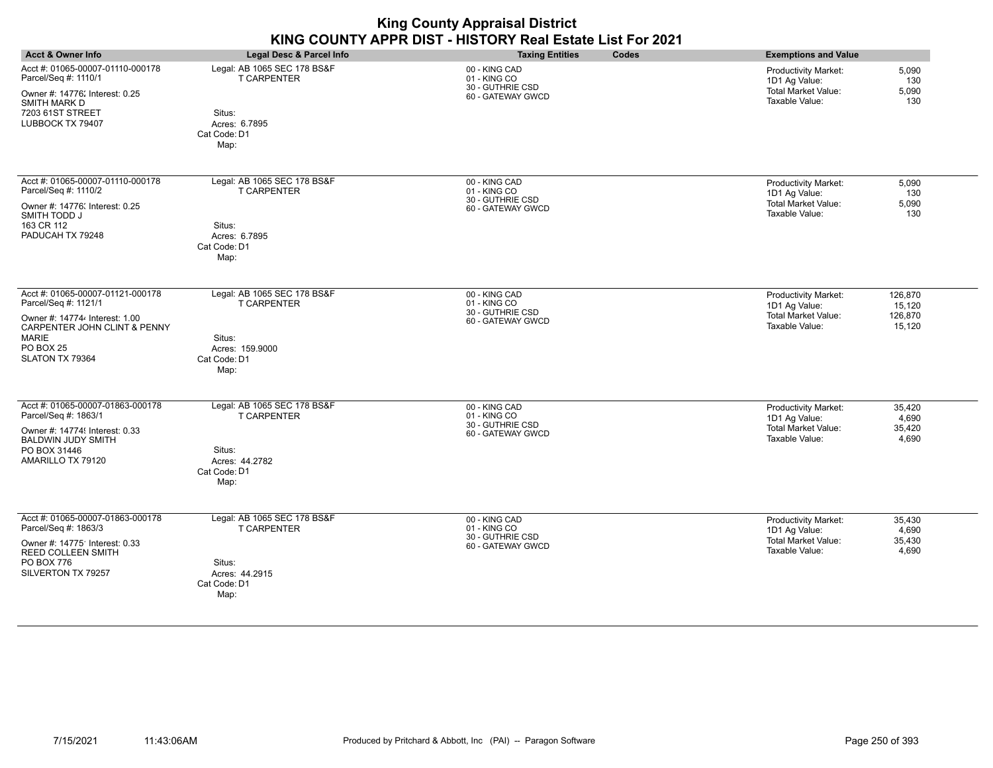| <b>King County Appraisal District</b><br>KING COUNTY APPR DIST - HISTORY Real Estate List For 2021                                                                         |                                                                                                        |                                                                        |                                                                                                                                    |  |
|----------------------------------------------------------------------------------------------------------------------------------------------------------------------------|--------------------------------------------------------------------------------------------------------|------------------------------------------------------------------------|------------------------------------------------------------------------------------------------------------------------------------|--|
| <b>Acct &amp; Owner Info</b>                                                                                                                                               | Legal Desc & Parcel Info                                                                               | <b>Taxing Entities</b><br><b>Codes</b>                                 | <b>Exemptions and Value</b>                                                                                                        |  |
| Acct #: 01065-00007-01110-000178<br>Parcel/Seq #: 1110/1<br>Owner #: 14776; Interest: 0.25<br>SMITH MARK D<br>7203 61ST STREET<br>LUBBOCK TX 79407                         | Legal: AB 1065 SEC 178 BS&F<br><b>T CARPENTER</b><br>Situs:<br>Acres: 6.7895<br>Cat Code: D1<br>Map:   | 00 - KING CAD<br>01 - KING CO<br>30 - GUTHRIE CSD<br>60 - GATEWAY GWCD | <b>Productivity Market:</b><br>5,090<br>1D1 Ag Value:<br>130<br><b>Total Market Value:</b><br>5.090<br>Taxable Value:<br>130       |  |
| Acct #: 01065-00007-01110-000178<br>Parcel/Seq #: 1110/2<br>Owner #: 14776; Interest: 0.25<br>SMITH TODD J<br>163 CR 112<br>PADUCAH TX 79248                               | Legal: AB 1065 SEC 178 BS&F<br><b>T CARPENTER</b><br>Situs:<br>Acres: 6.7895<br>Cat Code: D1<br>Map:   | 00 - KING CAD<br>01 - KING CO<br>30 - GUTHRIE CSD<br>60 - GATEWAY GWCD | <b>Productivity Market:</b><br>5.090<br>1D1 Ag Value:<br>130<br>Total Market Value:<br>5,090<br>Taxable Value:<br>130              |  |
| Acct #: 01065-00007-01121-000178<br>Parcel/Seq #: 1121/1<br>Owner #: 147744 Interest: 1.00<br>CARPENTER JOHN CLINT & PENNY<br><b>MARIE</b><br>PO BOX 25<br>SLATON TX 79364 | Legal: AB 1065 SEC 178 BS&F<br><b>T CARPENTER</b><br>Situs:<br>Acres: 159.9000<br>Cat Code: D1<br>Map: | 00 - KING CAD<br>01 - KING CO<br>30 - GUTHRIE CSD<br>60 - GATEWAY GWCD | <b>Productivity Market:</b><br>126,870<br>1D1 Ag Value:<br>15,120<br>Total Market Value:<br>126,870<br>Taxable Value:<br>15,120    |  |
| Acct #: 01065-00007-01863-000178<br>Parcel/Seq #: 1863/1<br>Owner #: 14774! Interest: 0.33<br><b>BALDWIN JUDY SMITH</b><br>PO BOX 31446<br>AMARILLO TX 79120               | Legal: AB 1065 SEC 178 BS&F<br><b>T CARPENTER</b><br>Situs:<br>Acres: 44.2782<br>Cat Code: D1<br>Map:  | 00 - KING CAD<br>01 - KING CO<br>30 - GUTHRIE CSD<br>60 - GATEWAY GWCD | <b>Productivity Market:</b><br>35,420<br>1D1 Ag Value:<br>4,690<br><b>Total Market Value:</b><br>35,420<br>Taxable Value:<br>4,690 |  |
| Acct #: 01065-00007-01863-000178<br>Parcel/Seq #: 1863/3<br>Owner #: 14775' Interest: 0.33<br><b>REED COLLEEN SMITH</b><br><b>PO BOX 776</b><br>SILVERTON TX 79257         | Legal: AB 1065 SEC 178 BS&F<br><b>T CARPENTER</b><br>Situs:<br>Acres: 44.2915<br>Cat Code: D1<br>Map:  | 00 - KING CAD<br>01 - KING CO<br>30 - GUTHRIE CSD<br>60 - GATEWAY GWCD | <b>Productivity Market:</b><br>35,430<br>1D1 Ag Value:<br>4,690<br><b>Total Market Value:</b><br>35,430<br>Taxable Value:<br>4,690 |  |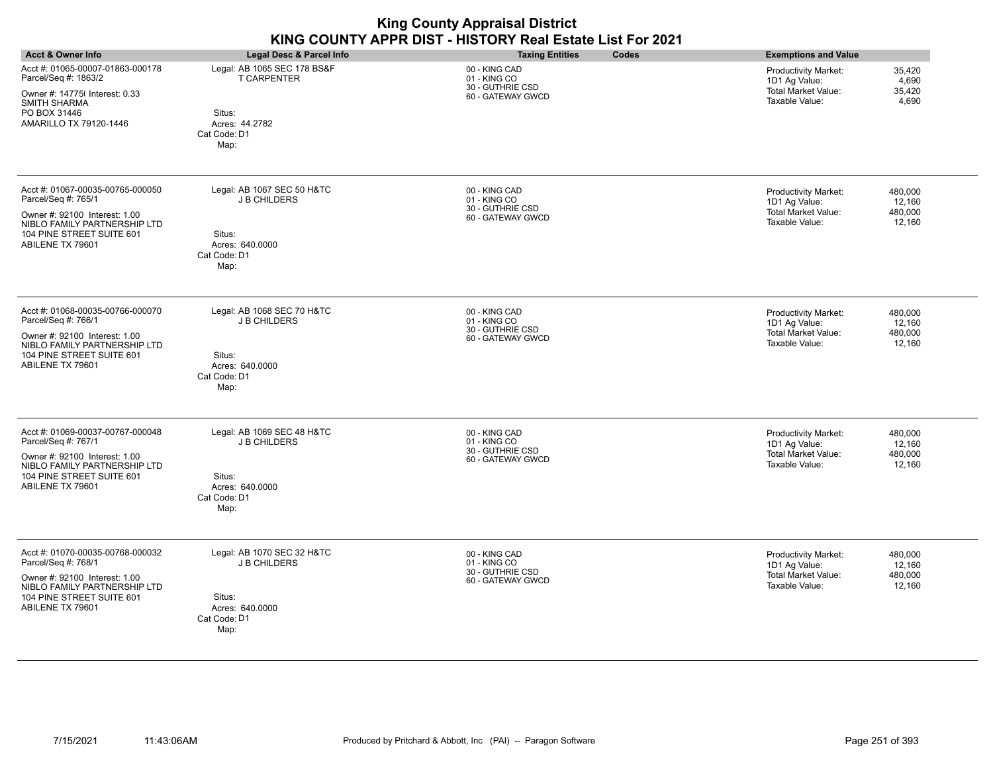| <b>Acct &amp; Owner Info</b>                                                                                                                                              | Legal Desc & Parcel Info                                                                               | <b>Taxing Entities</b><br>Codes                                        | <b>Exemptions and Value</b>                                                                                                            |
|---------------------------------------------------------------------------------------------------------------------------------------------------------------------------|--------------------------------------------------------------------------------------------------------|------------------------------------------------------------------------|----------------------------------------------------------------------------------------------------------------------------------------|
| Acct #: 01065-00007-01863-000178<br>Parcel/Seq #: 1863/2<br>Owner #: 14775( Interest: 0.33<br>SMITH SHARMA<br>PO BOX 31446<br>AMARILLO TX 79120-1446                      | Legal: AB 1065 SEC 178 BS&F<br><b>T CARPENTER</b><br>Situs:<br>Acres: 44.2782<br>Cat Code: D1<br>Map:  | 00 - KING CAD<br>01 - KING CO<br>30 - GUTHRIE CSD<br>60 - GATEWAY GWCD | 35,420<br><b>Productivity Market:</b><br>1D1 Ag Value:<br>4,690<br><b>Total Market Value:</b><br>35,420<br>Taxable Value:<br>4,690     |
| Acct #: 01067-00035-00765-000050<br>Parcel/Seq #: 765/1<br>Owner #: 92100 Interest: 1.00<br>NIBLO FAMILY PARTNERSHIP LTD<br>104 PINE STREET SUITE 601<br>ABILENE TX 79601 | Legal: AB 1067 SEC 50 H&TC<br><b>J B CHILDERS</b><br>Situs:<br>Acres: 640.0000<br>Cat Code: D1<br>Map: | 00 - KING CAD<br>01 - KING CO<br>30 - GUTHRIE CSD<br>60 - GATEWAY GWCD | Productivity Market:<br>480,000<br>1D1 Ag Value:<br>12,160<br><b>Total Market Value:</b><br>480,000<br>Taxable Value:<br>12,160        |
| Acct #: 01068-00035-00766-000070<br>Parcel/Seq #: 766/1<br>Owner #: 92100 Interest: 1.00<br>NIBLO FAMILY PARTNERSHIP LTD<br>104 PINE STREET SUITE 601<br>ABILENE TX 79601 | Legal: AB 1068 SEC 70 H&TC<br><b>J B CHILDERS</b><br>Situs:<br>Acres: 640.0000<br>Cat Code: D1<br>Map: | 00 - KING CAD<br>01 - KING CO<br>30 - GUTHRIE CSD<br>60 - GATEWAY GWCD | 480,000<br>Productivity Market:<br>1D1 Ag Value:<br>12,160<br><b>Total Market Value:</b><br>480,000<br>Taxable Value:<br>12,160        |
| Acct #: 01069-00037-00767-000048<br>Parcel/Seq #: 767/1<br>Owner #: 92100 Interest: 1.00<br>NIBLO FAMILY PARTNERSHIP LTD<br>104 PINE STREET SUITE 601<br>ABILENE TX 79601 | Legal: AB 1069 SEC 48 H&TC<br>J B CHILDERS<br>Situs:<br>Acres: 640.0000<br>Cat Code: D1<br>Map:        | 00 - KING CAD<br>01 - KING CO<br>30 - GUTHRIE CSD<br>60 - GATEWAY GWCD | <b>Productivity Market:</b><br>480,000<br>1D1 Ag Value:<br>12,160<br><b>Total Market Value:</b><br>480,000<br>Taxable Value:<br>12,160 |
| Acct #: 01070-00035-00768-000032<br>Parcel/Seq #: 768/1<br>Owner #: 92100 Interest: 1.00<br>NIBLO FAMILY PARTNERSHIP LTD<br>104 PINE STREET SUITE 601<br>ABILENE TX 79601 | Legal: AB 1070 SEC 32 H&TC<br><b>J B CHILDERS</b><br>Situs:<br>Acres: 640.0000<br>Cat Code: D1<br>Map: | 00 - KING CAD<br>01 - KING CO<br>30 - GUTHRIE CSD<br>60 - GATEWAY GWCD | 480,000<br><b>Productivity Market:</b><br>1D1 Ag Value:<br>12,160<br><b>Total Market Value:</b><br>480,000<br>Taxable Value:<br>12,160 |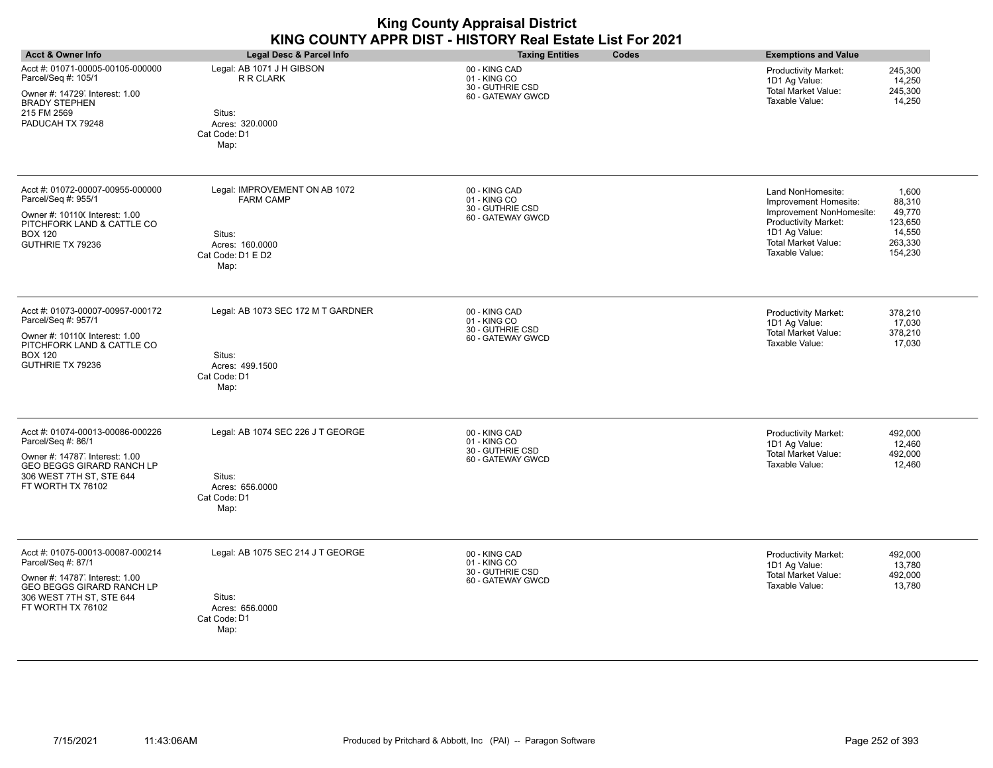| <b>King County Appraisal District</b><br>KING COUNTY APPR DIST - HISTORY Real Estate List For 2021                                                                           |                                                                                                             |                                                                        |                                                                                                                                                                                                                                         |  |
|------------------------------------------------------------------------------------------------------------------------------------------------------------------------------|-------------------------------------------------------------------------------------------------------------|------------------------------------------------------------------------|-----------------------------------------------------------------------------------------------------------------------------------------------------------------------------------------------------------------------------------------|--|
| <b>Acct &amp; Owner Info</b>                                                                                                                                                 | <b>Legal Desc &amp; Parcel Info</b>                                                                         | Codes<br><b>Taxing Entities</b>                                        | <b>Exemptions and Value</b>                                                                                                                                                                                                             |  |
| Acct #: 01071-00005-00105-000000<br>Parcel/Seq #: 105/1<br>Owner #: 14729, Interest: 1.00<br><b>BRADY STEPHEN</b><br>215 FM 2569<br>PADUCAH TX 79248                         | Legal: AB 1071 J H GIBSON<br>R R CLARK<br>Situs:<br>Acres: 320.0000<br>Cat Code: D1<br>Map:                 | 00 - KING CAD<br>01 - KING CO<br>30 - GUTHRIE CSD<br>60 - GATEWAY GWCD | 245,300<br>Productivity Market:<br>1D1 Ag Value:<br>14,250<br><b>Total Market Value:</b><br>245,300<br>Taxable Value:<br>14,250                                                                                                         |  |
| Acct #: 01072-00007-00955-000000<br>Parcel/Seq #: 955/1<br>Owner #: 10110( Interest: 1.00<br>PITCHFORK LAND & CATTLE CO<br><b>BOX 120</b><br>GUTHRIE TX 79236                | Legal: IMPROVEMENT ON AB 1072<br><b>FARM CAMP</b><br>Situs:<br>Acres: 160.0000<br>Cat Code: D1 E D2<br>Map: | 00 - KING CAD<br>01 - KING CO<br>30 - GUTHRIE CSD<br>60 - GATEWAY GWCD | Land NonHomesite:<br>1,600<br>Improvement Homesite:<br>88,310<br>49,770<br>Improvement NonHomesite:<br>Productivity Market:<br>123,650<br>1D1 Ag Value:<br>14,550<br><b>Total Market Value:</b><br>263,330<br>Taxable Value:<br>154,230 |  |
| Acct #: 01073-00007-00957-000172<br>Parcel/Seq #: 957/1<br>Owner #: 10110( Interest: 1.00<br>PITCHFORK LAND & CATTLE CO<br><b>BOX 120</b><br>GUTHRIE TX 79236                | Legal: AB 1073 SEC 172 M T GARDNER<br>Situs:<br>Acres: 499.1500<br>Cat Code: D1<br>Map:                     | 00 - KING CAD<br>01 - KING CO<br>30 - GUTHRIE CSD<br>60 - GATEWAY GWCD | 378,210<br>Productivity Market:<br>1D1 Ag Value:<br>17,030<br><b>Total Market Value:</b><br>378,210<br>Taxable Value:<br>17,030                                                                                                         |  |
| Acct #: 01074-00013-00086-000226<br>Parcel/Seq #: 86/1<br>Owner #: 14787 Interest: 1.00<br><b>GEO BEGGS GIRARD RANCH LP</b><br>306 WEST 7TH ST, STE 644<br>FT WORTH TX 76102 | Legal: AB 1074 SEC 226 J T GEORGE<br>Situs:<br>Acres: 656,0000<br>Cat Code: D1<br>Map:                      | 00 - KING CAD<br>01 - KING CO<br>30 - GUTHRIE CSD<br>60 - GATEWAY GWCD | Productivity Market:<br>492,000<br>1D1 Ag Value:<br>12,460<br><b>Total Market Value:</b><br>492,000<br>Taxable Value:<br>12,460                                                                                                         |  |
| Acct #: 01075-00013-00087-000214<br>Parcel/Seq #: 87/1<br>Owner #: 14787; Interest: 1.00<br>GEO BEGGS GIRARD RANCH LP<br>306 WEST 7TH ST, STE 644<br>FT WORTH TX 76102       | Legal: AB 1075 SEC 214 J T GEORGE<br>Situs:<br>Acres: 656.0000<br>Cat Code: D1<br>Map:                      | 00 - KING CAD<br>01 - KING CO<br>30 - GUTHRIE CSD<br>60 - GATEWAY GWCD | 492,000<br>Productivity Market:<br>1D1 Ag Value:<br>13,780<br>Total Market Value:<br>492,000<br>Taxable Value:<br>13,780                                                                                                                |  |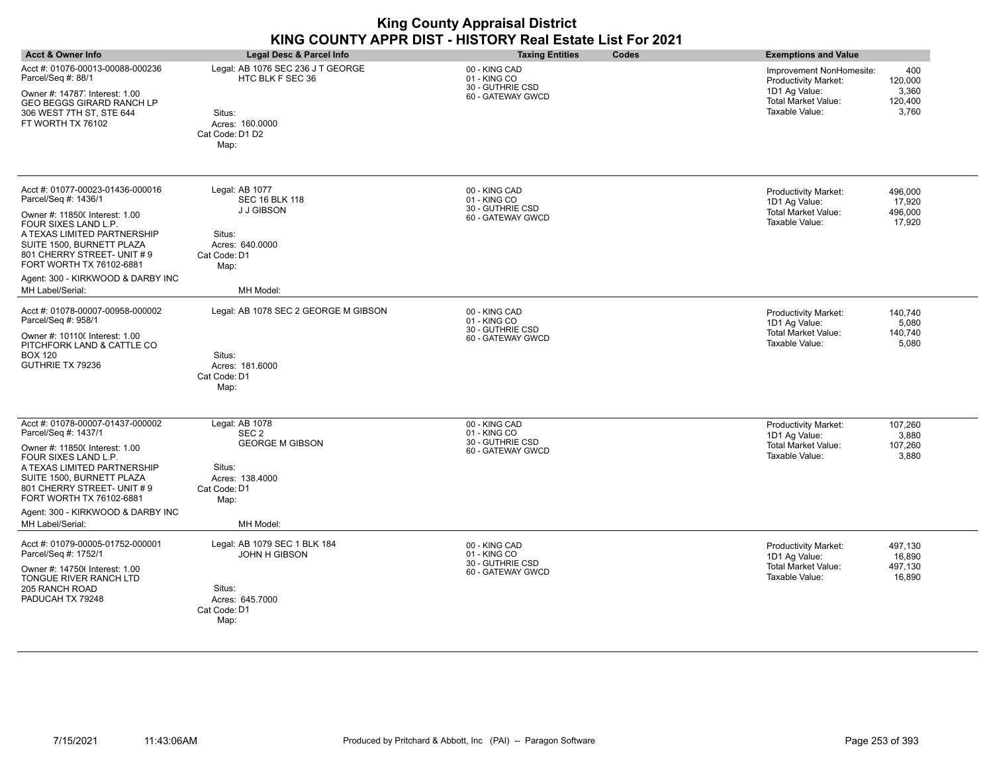|                                                                                                                                                                                                                                       |                                                                                          | <b>King County Appraisal District</b><br>KING COUNTY APPR DIST - HISTORY Real Estate List For 2021 |                                                                                                                                        |
|---------------------------------------------------------------------------------------------------------------------------------------------------------------------------------------------------------------------------------------|------------------------------------------------------------------------------------------|----------------------------------------------------------------------------------------------------|----------------------------------------------------------------------------------------------------------------------------------------|
| <b>Acct &amp; Owner Info</b>                                                                                                                                                                                                          | Legal Desc & Parcel Info                                                                 | Codes<br><b>Taxing Entities</b>                                                                    | <b>Exemptions and Value</b>                                                                                                            |
| Acct #: 01076-00013-00088-000236<br>Parcel/Seq #: 88/1                                                                                                                                                                                | Legal: AB 1076 SEC 236 J T GEORGE<br>HTC BLK F SEC 36                                    | 00 - KING CAD<br>01 - KING CO<br>30 - GUTHRIE CSD                                                  | 400<br>Improvement NonHomesite:<br>Productivity Market:<br>120,000                                                                     |
| Owner #: 14787, Interest: 1.00<br><b>GEO BEGGS GIRARD RANCH LP</b><br>306 WEST 7TH ST. STE 644<br>FT WORTH TX 76102                                                                                                                   | Situs:<br>Acres: 160,0000<br>Cat Code: D1 D2<br>Map:                                     | 60 - GATEWAY GWCD                                                                                  | 1D1 Ag Value:<br>3,360<br><b>Total Market Value:</b><br>120,400<br>Taxable Value:<br>3,760                                             |
| Acct #: 01077-00023-01436-000016<br>Parcel/Seq #: 1436/1<br>Owner #: 11850( Interest: 1.00<br>FOUR SIXES LAND L.P.                                                                                                                    | Legal: AB 1077<br><b>SEC 16 BLK 118</b><br>J J GIBSON                                    | 00 - KING CAD<br>01 - KING CO<br>30 - GUTHRIE CSD<br>60 - GATEWAY GWCD                             | <b>Productivity Market:</b><br>496,000<br>17,920<br>1D1 Ag Value:<br><b>Total Market Value:</b><br>496,000<br>Taxable Value:<br>17,920 |
| A TEXAS LIMITED PARTNERSHIP<br>SUITE 1500, BURNETT PLAZA<br>801 CHERRY STREET- UNIT #9<br>FORT WORTH TX 76102-6881                                                                                                                    | Situs:<br>Acres: 640.0000<br>Cat Code: D1<br>Map:                                        |                                                                                                    |                                                                                                                                        |
| Agent: 300 - KIRKWOOD & DARBY INC<br>MH Label/Serial:                                                                                                                                                                                 | MH Model:                                                                                |                                                                                                    |                                                                                                                                        |
| Acct #: 01078-00007-00958-000002<br>Parcel/Seq #: 958/1                                                                                                                                                                               | Legal: AB 1078 SEC 2 GEORGE M GIBSON                                                     | 00 - KING CAD<br>01 - KING CO                                                                      | Productivity Market:<br>140,740<br>5,080<br>1D1 Ag Value:                                                                              |
| Owner #: 10110( Interest: 1.00<br>PITCHFORK LAND & CATTLE CO<br><b>BOX 120</b><br>GUTHRIE TX 79236                                                                                                                                    | Situs:<br>Acres: 181.6000<br>Cat Code: D1<br>Map:                                        | 30 - GUTHRIE CSD<br>60 - GATEWAY GWCD                                                              | <b>Total Market Value:</b><br>140,740<br>Taxable Value:<br>5,080                                                                       |
| Acct #: 01078-00007-01437-000002<br>Parcel/Seq #: 1437/1                                                                                                                                                                              | Legal: AB 1078<br>SEC 2                                                                  | 00 - KING CAD<br>01 - KING CO                                                                      | 107.260<br><b>Productivity Market:</b><br>1D1 Ag Value:<br>3,880                                                                       |
| Owner #: 11850( Interest: 1.00<br>FOUR SIXES LAND L.P.<br>A TEXAS LIMITED PARTNERSHIP<br>SUITE 1500. BURNETT PLAZA<br>801 CHERRY STREET- UNIT #9<br>FORT WORTH TX 76102-6881<br>Agent: 300 - KIRKWOOD & DARBY INC<br>MH Label/Serial: | <b>GEORGE M GIBSON</b><br>Situs:<br>Acres: 138.4000<br>Cat Code: D1<br>Map:<br>MH Model: | 30 - GUTHRIE CSD<br>60 - GATEWAY GWCD                                                              | 107,260<br>Total Market Value:<br>Taxable Value:<br>3,880                                                                              |
|                                                                                                                                                                                                                                       |                                                                                          |                                                                                                    |                                                                                                                                        |
| Acct #: 01079-00005-01752-000001<br>Parcel/Seq #: 1752/1<br>Owner #: 14750( Interest: 1.00<br>TONGUE RIVER RANCH LTD<br>205 RANCH ROAD<br>PADUCAH TX 79248                                                                            | Legal: AB 1079 SEC 1 BLK 184<br><b>JOHN H GIBSON</b><br>Situs:<br>Acres: 645.7000        | 00 - KING CAD<br>01 - KING CO<br>30 - GUTHRIE CSD<br>60 - GATEWAY GWCD                             | Productivity Market:<br>497,130<br>1D1 Ag Value:<br>16,890<br><b>Total Market Value:</b><br>497,130<br>Taxable Value:<br>16,890        |
|                                                                                                                                                                                                                                       | Cat Code: D1<br>Map:                                                                     |                                                                                                    |                                                                                                                                        |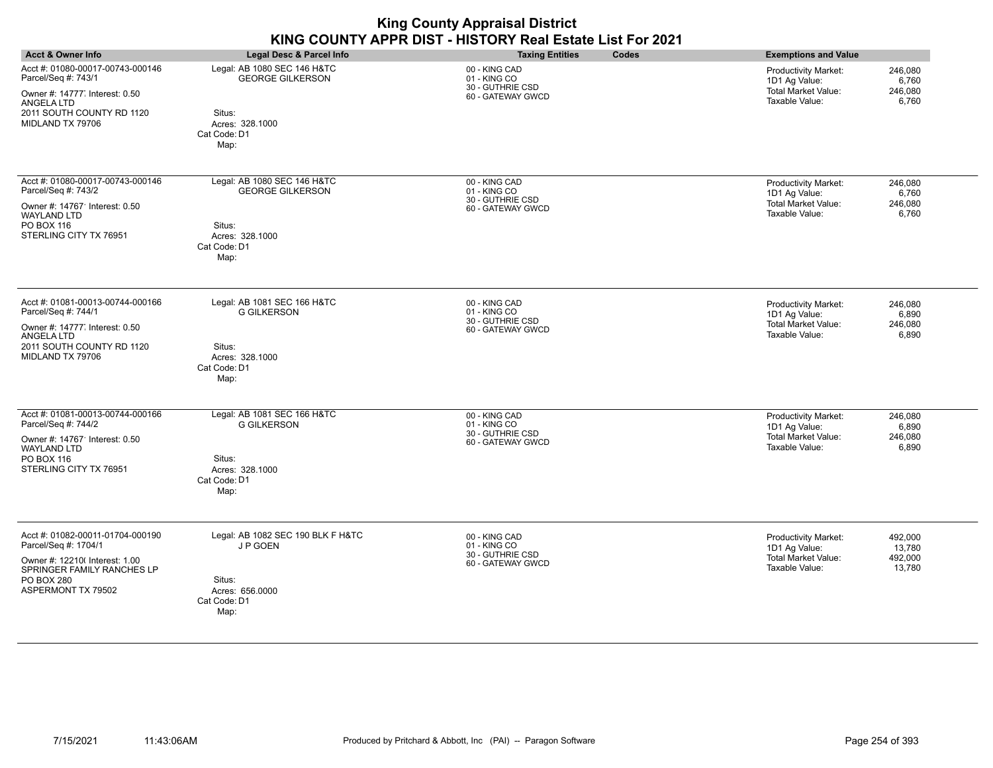| <b>Acct &amp; Owner Info</b>                                                                                                                                 | Legal Desc & Parcel Info                                                                                    | <b>Taxing Entities</b><br>Codes                                        | <b>Exemptions and Value</b>                                                                                                            |
|--------------------------------------------------------------------------------------------------------------------------------------------------------------|-------------------------------------------------------------------------------------------------------------|------------------------------------------------------------------------|----------------------------------------------------------------------------------------------------------------------------------------|
| Acct #: 01080-00017-00743-000146<br>Parcel/Seq #: 743/1<br>Owner #: 14777 Interest: 0.50<br>ANGELA LTD<br>2011 SOUTH COUNTY RD 1120<br>MIDLAND TX 79706      | Legal: AB 1080 SEC 146 H&TC<br><b>GEORGE GILKERSON</b><br>Situs:<br>Acres: 328.1000<br>Cat Code: D1<br>Map: | 00 - KING CAD<br>01 - KING CO<br>30 - GUTHRIE CSD<br>60 - GATEWAY GWCD | <b>Productivity Market:</b><br>246,080<br>1D1 Ag Value:<br>6,760<br><b>Total Market Value:</b><br>246,080<br>Taxable Value:<br>6,760   |
| Acct #: 01080-00017-00743-000146<br>Parcel/Seq #: 743/2<br>Owner #: 14767' Interest: 0.50<br>WAYLAND LTD<br>PO BOX 116<br>STERLING CITY TX 76951             | Legal: AB 1080 SEC 146 H&TC<br><b>GEORGE GILKERSON</b><br>Situs:<br>Acres: 328.1000<br>Cat Code: D1<br>Map: | 00 - KING CAD<br>01 - KING CO<br>30 - GUTHRIE CSD<br>60 - GATEWAY GWCD | 246,080<br><b>Productivity Market:</b><br>1D1 Ag Value:<br>6,760<br>Total Market Value:<br>246,080<br>Taxable Value:<br>6,760          |
| Acct #: 01081-00013-00744-000166<br>Parcel/Seq #: 744/1<br>Owner #: 14777 Interest: 0.50<br>ANGELA LTD<br>2011 SOUTH COUNTY RD 1120<br>MIDLAND TX 79706      | Legal: AB 1081 SEC 166 H&TC<br><b>G GILKERSON</b><br>Situs:<br>Acres: 328.1000<br>Cat Code: D1<br>Map:      | 00 - KING CAD<br>01 - KING CO<br>30 - GUTHRIE CSD<br>60 - GATEWAY GWCD | 246,080<br><b>Productivity Market:</b><br>1D1 Ag Value:<br>6,890<br><b>Total Market Value:</b><br>246,080<br>Taxable Value:<br>6,890   |
| Acct #: 01081-00013-00744-000166<br>Parcel/Seq #: 744/2<br>Owner #: 14767' Interest: 0.50<br><b>WAYLAND LTD</b><br>PO BOX 116<br>STERLING CITY TX 76951      | Legal: AB 1081 SEC 166 H&TC<br><b>G GILKERSON</b><br>Situs:<br>Acres: 328.1000<br>Cat Code: D1<br>Map:      | 00 - KING CAD<br>01 - KING CO<br>30 - GUTHRIE CSD<br>60 - GATEWAY GWCD | 246,080<br><b>Productivity Market:</b><br>1D1 Ag Value:<br>6,890<br><b>Total Market Value:</b><br>246,080<br>Taxable Value:<br>6,890   |
| Acct #: 01082-00011-01704-000190<br>Parcel/Seq #: 1704/1<br>Owner #: 12210( Interest: 1.00<br>SPRINGER FAMILY RANCHES LP<br>PO BOX 280<br>ASPERMONT TX 79502 | Legal: AB 1082 SEC 190 BLK F H&TC<br>J P GOEN<br>Situs:<br>Acres: 656.0000<br>Cat Code: D1<br>Map:          | 00 - KING CAD<br>01 - KING CO<br>30 - GUTHRIE CSD<br>60 - GATEWAY GWCD | <b>Productivity Market:</b><br>492,000<br>1D1 Ag Value:<br>13,780<br><b>Total Market Value:</b><br>492,000<br>Taxable Value:<br>13,780 |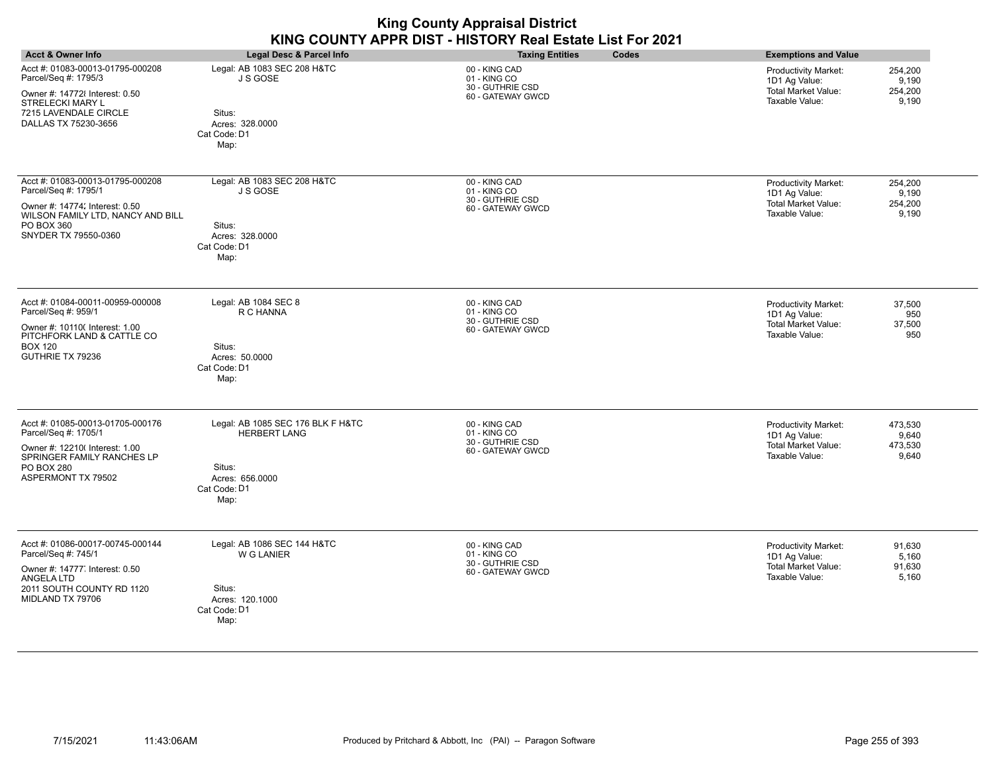|                                                                                                                                                                       |                                                                                                               | <b>King County Appraisal District</b><br>KING COUNTY APPR DIST - HISTORY Real Estate List For 2021 |                                                                                                                                |
|-----------------------------------------------------------------------------------------------------------------------------------------------------------------------|---------------------------------------------------------------------------------------------------------------|----------------------------------------------------------------------------------------------------|--------------------------------------------------------------------------------------------------------------------------------|
| <b>Acct &amp; Owner Info</b>                                                                                                                                          | Legal Desc & Parcel Info                                                                                      | Codes<br><b>Taxing Entities</b>                                                                    | <b>Exemptions and Value</b>                                                                                                    |
| Acct #: 01083-00013-01795-000208<br>Parcel/Seq #: 1795/3<br>Owner #: 147728 Interest: 0.50<br>STRELECKI MARY L<br>7215 LAVENDALE CIRCLE<br>DALLAS TX 75230-3656       | Legal: AB 1083 SEC 208 H&TC<br>J S GOSE<br>Situs:<br>Acres: 328.0000<br>Cat Code: D1<br>Map:                  | 00 - KING CAD<br>01 - KING CO<br>30 - GUTHRIE CSD<br>60 - GATEWAY GWCD                             | <b>Productivity Market:</b><br>254,200<br>9,190<br>1D1 Ag Value:<br>Total Market Value:<br>254,200<br>Taxable Value:<br>9,190  |
| Acct #: 01083-00013-01795-000208<br>Parcel/Seq #: 1795/1<br>Owner #: 14774; Interest: 0.50<br>WILSON FAMILY LTD, NANCY AND BILL<br>PO BOX 360<br>SNYDER TX 79550-0360 | Legal: AB 1083 SEC 208 H&TC<br>J S GOSE<br>Situs:<br>Acres: 328.0000<br>Cat Code: D1<br>Map:                  | 00 - KING CAD<br>01 - KING CO<br>30 - GUTHRIE CSD<br>60 - GATEWAY GWCD                             | 254,200<br><b>Productivity Market:</b><br>1D1 Ag Value:<br>9,190<br>Total Market Value:<br>254,200<br>Taxable Value:<br>9,190  |
| Acct #: 01084-00011-00959-000008<br>Parcel/Seq #: 959/1<br>Owner #: 10110( Interest: 1.00<br>PITCHFORK LAND & CATTLE CO<br><b>BOX 120</b><br>GUTHRIE TX 79236         | Legal: AB 1084 SEC 8<br>R C HANNA<br>Situs:<br>Acres: 50,0000<br>Cat Code: D1<br>Map:                         | 00 - KING CAD<br>01 - KING CO<br>30 - GUTHRIE CSD<br>60 - GATEWAY GWCD                             | 37,500<br><b>Productivity Market:</b><br>1D1 Ag Value:<br>950<br><b>Total Market Value:</b><br>37,500<br>Taxable Value:<br>950 |
| Acct #: 01085-00013-01705-000176<br>Parcel/Seq #: 1705/1<br>Owner #: 12210( Interest: 1.00<br>SPRINGER FAMILY RANCHES LP<br>PO BOX 280<br>ASPERMONT TX 79502          | Legal: AB 1085 SEC 176 BLK F H&TC<br><b>HERBERT LANG</b><br>Situs:<br>Acres: 656,0000<br>Cat Code: D1<br>Map: | 00 - KING CAD<br>01 - KING CO<br>30 - GUTHRIE CSD<br>60 - GATEWAY GWCD                             | 473.530<br>Productivity Market:<br>1D1 Ag Value:<br>9.640<br><b>Total Market Value:</b><br>473,530<br>Taxable Value:<br>9,640  |
| Acct #: 01086-00017-00745-000144<br>Parcel/Seq #: 745/1<br>Owner #: 14777, Interest: 0.50<br>ANGELA LTD<br>2011 SOUTH COUNTY RD 1120<br>MIDLAND TX 79706              | Legal: AB 1086 SEC 144 H&TC<br>W G LANIER<br>Situs:<br>Acres: 120.1000<br>Cat Code: D1<br>Map:                | 00 - KING CAD<br>01 - KING CO<br>30 - GUTHRIE CSD<br>60 - GATEWAY GWCD                             | Productivity Market:<br>91,630<br>1D1 Ag Value:<br>5,160<br><b>Total Market Value:</b><br>91,630<br>Taxable Value:<br>5,160    |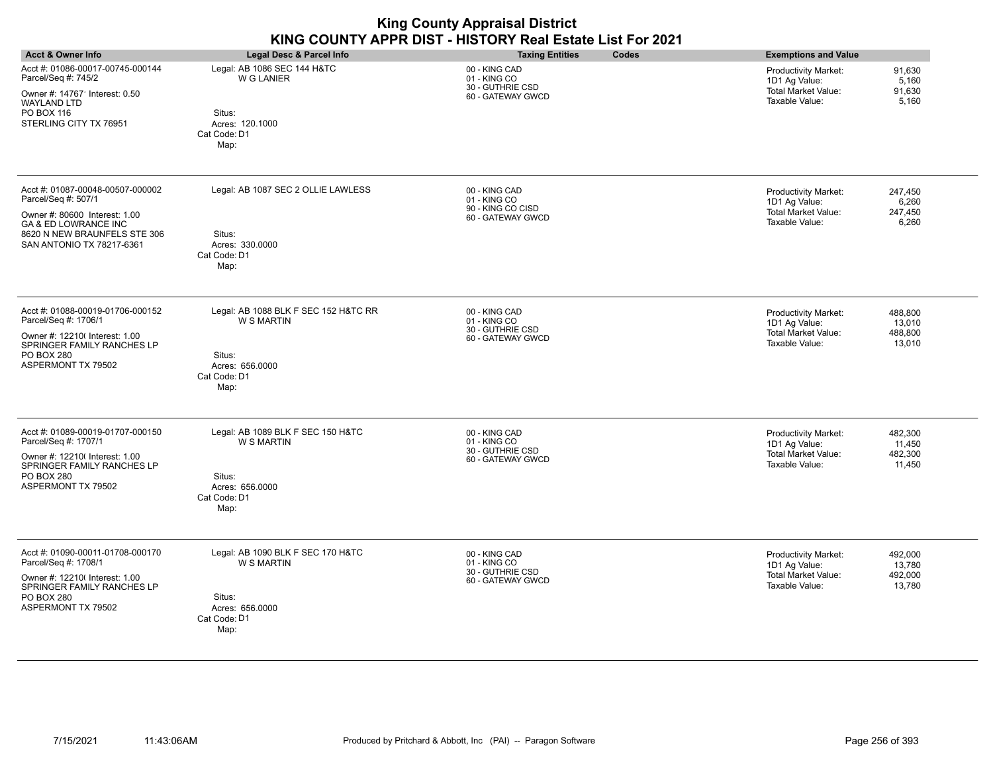| <b>Acct &amp; Owner Info</b>                                                                                                                                                             | Legal Desc & Parcel Info                                                                                       | <b>Taxing Entities</b><br>Codes                                         | <b>Exemptions and Value</b>                                                                                                     |
|------------------------------------------------------------------------------------------------------------------------------------------------------------------------------------------|----------------------------------------------------------------------------------------------------------------|-------------------------------------------------------------------------|---------------------------------------------------------------------------------------------------------------------------------|
| Acct #: 01086-00017-00745-000144<br>Parcel/Seq #: 745/2<br>Owner #: 14767' Interest: 0.50<br><b>WAYLAND LTD</b><br>PO BOX 116<br>STERLING CITY TX 76951                                  | Legal: AB 1086 SEC 144 H&TC<br><b>W G LANIER</b><br>Situs:<br>Acres: 120.1000<br>Cat Code: D1<br>Map:          | 00 - KING CAD<br>01 - KING CO<br>30 - GUTHRIE CSD<br>60 - GATEWAY GWCD  | <b>Productivity Market:</b><br>91,630<br>1D1 Ag Value:<br>5,160<br>91,630<br>Total Market Value:<br>Taxable Value:<br>5,160     |
| Acct #: 01087-00048-00507-000002<br>Parcel/Seq #: 507/1<br>Owner #: 80600 Interest: 1.00<br><b>GA &amp; ED LOWRANCE INC</b><br>8620 N NEW BRAUNFELS STE 306<br>SAN ANTONIO TX 78217-6361 | Legal: AB 1087 SEC 2 OLLIE LAWLESS<br>Situs:<br>Acres: 330.0000<br>Cat Code: D1<br>Map:                        | 00 - KING CAD<br>01 - KING CO<br>90 - KING CO CISD<br>60 - GATEWAY GWCD | 247,450<br>Productivity Market:<br>1D1 Ag Value:<br>6,260<br><b>Total Market Value:</b><br>247,450<br>Taxable Value:<br>6,260   |
| Acct #: 01088-00019-01706-000152<br>Parcel/Seq #: 1706/1<br>Owner #: 12210( Interest: 1.00<br>SPRINGER FAMILY RANCHES LP<br>PO BOX 280<br>ASPERMONT TX 79502                             | Legal: AB 1088 BLK F SEC 152 H&TC RR<br><b>W S MARTIN</b><br>Situs:<br>Acres: 656.0000<br>Cat Code: D1<br>Map: | 00 - KING CAD<br>01 - KING CO<br>30 - GUTHRIE CSD<br>60 - GATEWAY GWCD  | Productivity Market:<br>488,800<br>1D1 Ag Value:<br>13,010<br><b>Total Market Value:</b><br>488,800<br>Taxable Value:<br>13,010 |
| Acct #: 01089-00019-01707-000150<br>Parcel/Seq #: 1707/1<br>Owner #: 12210( Interest: 1.00<br>SPRINGER FAMILY RANCHES LP<br>PO BOX 280<br>ASPERMONT TX 79502                             | Legal: AB 1089 BLK F SEC 150 H&TC<br><b>W S MARTIN</b><br>Situs:<br>Acres: 656.0000<br>Cat Code: D1<br>Map:    | 00 - KING CAD<br>01 - KING CO<br>30 - GUTHRIE CSD<br>60 - GATEWAY GWCD  | Productivity Market:<br>482,300<br>11,450<br>1D1 Ag Value:<br>Total Market Value:<br>482,300<br>Taxable Value:<br>11,450        |
| Acct #: 01090-00011-01708-000170<br>Parcel/Seq #: 1708/1<br>Owner #: 12210( Interest: 1.00<br>SPRINGER FAMILY RANCHES LP<br>PO BOX 280<br>ASPERMONT TX 79502                             | Legal: AB 1090 BLK F SEC 170 H&TC<br><b>W S MARTIN</b><br>Situs:<br>Acres: 656.0000<br>Cat Code: D1<br>Map:    | 00 - KING CAD<br>01 - KING CO<br>30 - GUTHRIE CSD<br>60 - GATEWAY GWCD  | Productivity Market:<br>492,000<br>1D1 Ag Value:<br>13,780<br><b>Total Market Value:</b><br>492,000<br>13,780<br>Taxable Value: |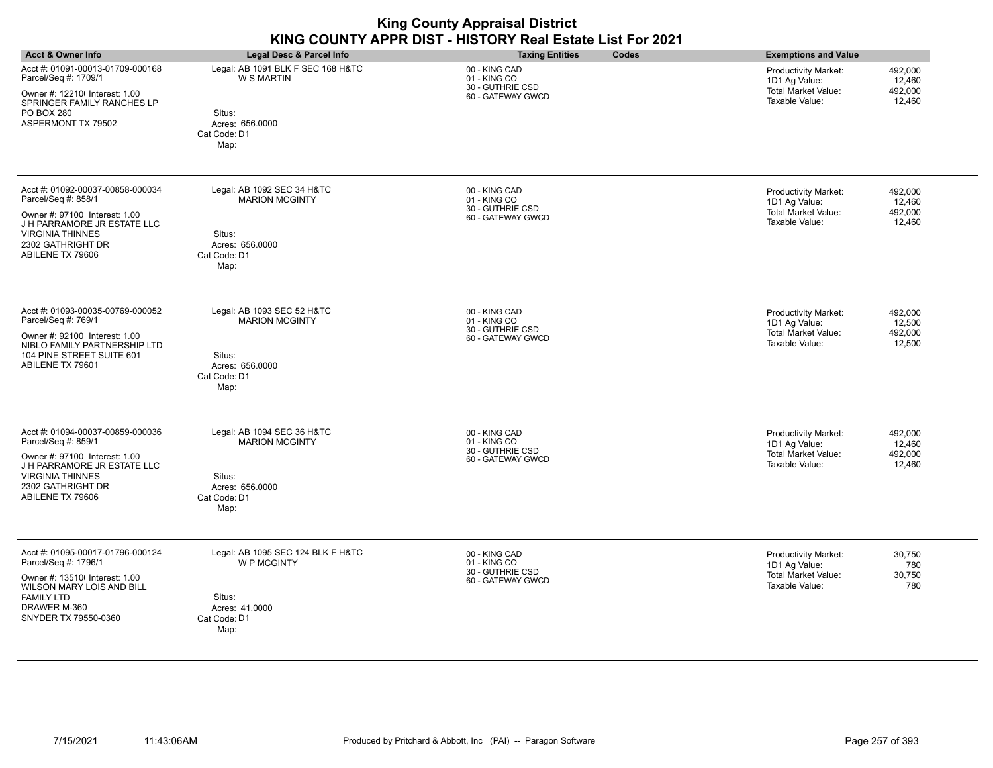| <b>King County Appraisal District</b><br>KING COUNTY APPR DIST - HISTORY Real Estate List For 2021                               |                                                        |                                                                        |                                                                                                            |
|----------------------------------------------------------------------------------------------------------------------------------|--------------------------------------------------------|------------------------------------------------------------------------|------------------------------------------------------------------------------------------------------------|
| <b>Acct &amp; Owner Info</b>                                                                                                     | <b>Legal Desc &amp; Parcel Info</b>                    | Codes<br><b>Taxing Entities</b>                                        | <b>Exemptions and Value</b>                                                                                |
| Acct #: 01091-00013-01709-000168<br>Parcel/Seq #: 1709/1<br>Owner #: 12210( Interest: 1.00                                       | Legal: AB 1091 BLK F SEC 168 H&TC<br><b>W S MARTIN</b> | 00 - KING CAD<br>01 - KING CO<br>30 - GUTHRIE CSD<br>60 - GATEWAY GWCD | 492.000<br><b>Productivity Market:</b><br>12.460<br>1D1 Ag Value:<br><b>Total Market Value:</b><br>492,000 |
| SPRINGER FAMILY RANCHES LP<br><b>PO BOX 280</b><br>ASPERMONT TX 79502                                                            | Situs:<br>Acres: 656.0000<br>Cat Code: D1<br>Map:      |                                                                        | Taxable Value:<br>12,460                                                                                   |
| Acct #: 01092-00037-00858-000034<br>Parcel/Seq #: 858/1                                                                          | Legal: AB 1092 SEC 34 H&TC<br><b>MARION MCGINTY</b>    | 00 - KING CAD<br>01 - KING CO                                          | 492,000<br>Productivity Market:<br>1D1 Ag Value:<br>12,460                                                 |
| Owner #: 97100 Interest: 1.00<br>J H PARRAMORE JR ESTATE LLC<br><b>VIRGINIA THINNES</b><br>2302 GATHRIGHT DR<br>ABILENE TX 79606 | Situs:<br>Acres: 656,0000<br>Cat Code: D1<br>Map:      | 30 - GUTHRIE CSD<br>60 - GATEWAY GWCD                                  | <b>Total Market Value:</b><br>492,000<br>Taxable Value:<br>12,460                                          |
| Acct #: 01093-00035-00769-000052<br>Parcel/Seq #: 769/1                                                                          | Legal: AB 1093 SEC 52 H&TC<br><b>MARION MCGINTY</b>    | 00 - KING CAD<br>01 - KING CO<br>30 - GUTHRIE CSD                      | <b>Productivity Market:</b><br>492.000<br>1D1 Ag Value:<br>12,500                                          |
| Owner #: 92100 Interest: 1.00<br>NIBLO FAMILY PARTNERSHIP LTD<br>104 PINE STREET SUITE 601<br>ABILENE TX 79601                   | Situs:<br>Acres: 656.0000<br>Cat Code: D1<br>Map:      | 60 - GATEWAY GWCD                                                      | Total Market Value:<br>492,000<br>Taxable Value:<br>12,500                                                 |
| Acct #: 01094-00037-00859-000036<br>Parcel/Seq #: 859/1                                                                          | Legal: AB 1094 SEC 36 H&TC<br><b>MARION MCGINTY</b>    | 00 - KING CAD<br>01 - KING CO                                          | Productivity Market:<br>492,000<br>1D1 Ag Value:<br>12,460                                                 |
| Owner #: 97100 Interest: 1.00<br>J H PARRAMORE JR ESTATE LLC<br><b>VIRGINIA THINNES</b><br>2302 GATHRIGHT DR<br>ABILENE TX 79606 | Situs:<br>Acres: 656.0000<br>Cat Code: D1<br>Map:      | 30 - GUTHRIE CSD<br>60 - GATEWAY GWCD                                  | <b>Total Market Value:</b><br>492,000<br>Taxable Value:<br>12,460                                          |
| Acct #: 01095-00017-01796-000124<br>Parcel/Seq #: 1796/1                                                                         | Legal: AB 1095 SEC 124 BLK F H&TC<br>W P MCGINTY       | 00 - KING CAD<br>01 - KING CO                                          | 30,750<br><b>Productivity Market:</b><br>1D1 Ag Value:<br>780                                              |
| Owner #: 13510( Interest: 1.00<br>WILSON MARY LOIS AND BILL<br><b>FAMILY LTD</b><br>DRAWER M-360<br>SNYDER TX 79550-0360         | Situs:<br>Acres: 41.0000<br>Cat Code: D1<br>Map:       | 30 - GUTHRIE CSD<br>60 - GATEWAY GWCD                                  | <b>Total Market Value:</b><br>30,750<br>Taxable Value:<br>780                                              |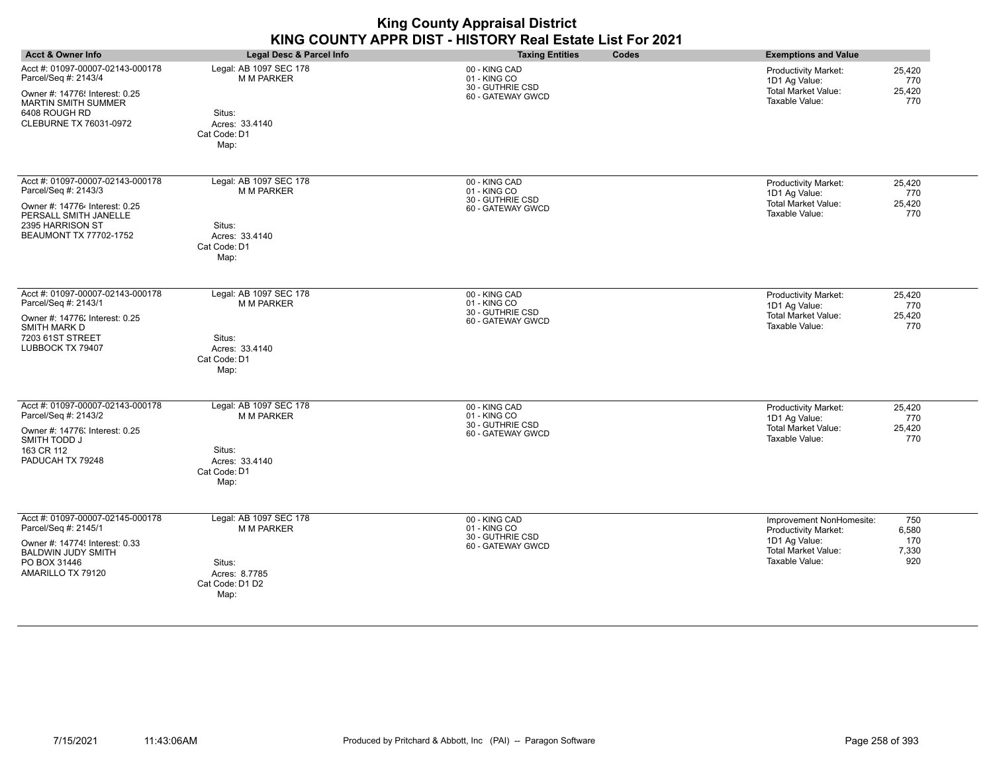| KING COUNTY APPR DIST - HISTORY Real Estate List For 2021                                             |                                                  |                                                   |                                                                                      |  |
|-------------------------------------------------------------------------------------------------------|--------------------------------------------------|---------------------------------------------------|--------------------------------------------------------------------------------------|--|
| <b>Acct &amp; Owner Info</b>                                                                          | Legal Desc & Parcel Info                         | <b>Taxing Entities</b><br>Codes                   | <b>Exemptions and Value</b>                                                          |  |
| Acct #: 01097-00007-02143-000178<br>Parcel/Seq #: 2143/4                                              | Legal: AB 1097 SEC 178<br><b>M M PARKER</b>      | 00 - KING CAD<br>01 - KING CO<br>30 - GUTHRIE CSD | 25,420<br>Productivity Market:<br>1D1 Ag Value:<br>770                               |  |
| Owner #: 14776! Interest: 0.25<br><b>MARTIN SMITH SUMMER</b><br>6408 ROUGH RD                         | Situs:                                           | 60 - GATEWAY GWCD                                 | <b>Total Market Value:</b><br>25,420<br>Taxable Value:<br>770                        |  |
| CLEBURNE TX 76031-0972                                                                                | Acres: 33.4140<br>Cat Code: D1<br>Map:           |                                                   |                                                                                      |  |
| Acct #: 01097-00007-02143-000178<br>Parcel/Seq #: 2143/3                                              | Legal: AB 1097 SEC 178<br><b>M M PARKER</b>      | 00 - KING CAD<br>01 - KING CO                     | Productivity Market:<br>25,420<br>1D1 Ag Value:<br>770                               |  |
| Owner #: 147764 Interest: 0.25<br>PERSALL SMITH JANELLE<br>2395 HARRISON ST<br>BEAUMONT TX 77702-1752 | Situs:<br>Acres: 33.4140<br>Cat Code: D1<br>Map: | 30 - GUTHRIE CSD<br>60 - GATEWAY GWCD             | <b>Total Market Value:</b><br>25,420<br>Taxable Value:<br>770                        |  |
| Acct #: 01097-00007-02143-000178<br>Parcel/Seq #: 2143/1                                              | Legal: AB 1097 SEC 178<br><b>M M PARKER</b>      | 00 - KING CAD<br>01 - KING CO                     | Productivity Market:<br>25,420<br>1D1 Ag Value:<br>770                               |  |
| Owner #: 14776; Interest: 0.25<br><b>SMITH MARK D</b>                                                 |                                                  | 30 - GUTHRIE CSD<br>60 - GATEWAY GWCD             | Total Market Value:<br>25,420<br>Taxable Value:<br>770                               |  |
| 7203 61ST STREET<br>LUBBOCK TX 79407                                                                  | Situs:<br>Acres: 33.4140<br>Cat Code: D1<br>Map: |                                                   |                                                                                      |  |
| Acct #: 01097-00007-02143-000178<br>Parcel/Seq #: 2143/2                                              | Legal: AB 1097 SEC 178<br><b>M M PARKER</b>      | 00 - KING CAD<br>01 - KING CO                     | 25,420<br>Productivity Market:<br>1D1 Ag Value:<br>770                               |  |
| Owner #: 14776: Interest: 0.25<br>SMITH TODD J                                                        |                                                  | 30 - GUTHRIE CSD<br>60 - GATEWAY GWCD             | <b>Total Market Value:</b><br>25,420<br>Taxable Value:<br>770                        |  |
| 163 CR 112<br>PADUCAH TX 79248                                                                        | Situs:<br>Acres: 33.4140<br>Cat Code: D1<br>Map: |                                                   |                                                                                      |  |
| Acct #: 01097-00007-02145-000178<br>Parcel/Seq #: 2145/1                                              | Legal: AB 1097 SEC 178<br><b>M M PARKER</b>      | 00 - KING CAD<br>01 - KING CO                     | 750<br>Improvement NonHomesite:<br>Productivity Market:<br>6,580                     |  |
| Owner #: 14774! Interest: 0.33<br><b>BALDWIN JUDY SMITH</b><br>PO BOX 31446                           | Situs:                                           | 30 - GUTHRIE CSD<br>60 - GATEWAY GWCD             | 1D1 Ag Value:<br>170<br><b>Total Market Value:</b><br>7,330<br>920<br>Taxable Value: |  |
| AMARILLO TX 79120                                                                                     | Acres: 8.7785<br>Cat Code: D1 D2<br>Map:         |                                                   |                                                                                      |  |

**King County Appraisal District**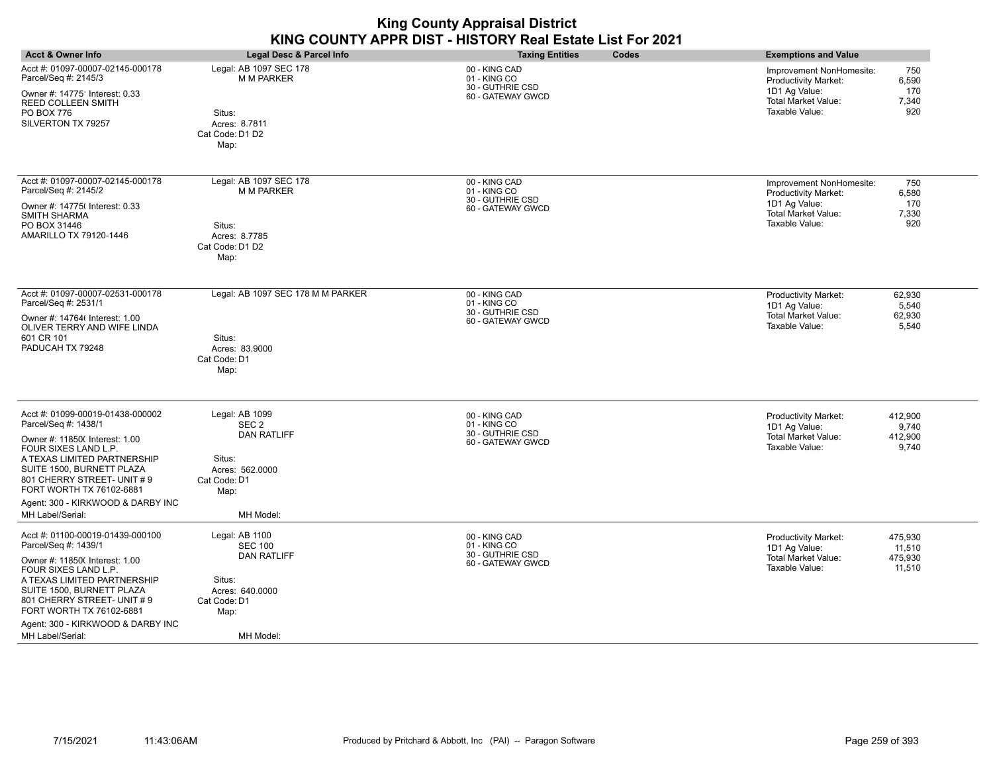|                                                                                                                                                                                                                                                                                                   | KING COUNTY APPR DIST - HISTORY Real Estate List For 2021                                                                |                                                                        |                                                                                                                                                                 |  |  |
|---------------------------------------------------------------------------------------------------------------------------------------------------------------------------------------------------------------------------------------------------------------------------------------------------|--------------------------------------------------------------------------------------------------------------------------|------------------------------------------------------------------------|-----------------------------------------------------------------------------------------------------------------------------------------------------------------|--|--|
| <b>Acct &amp; Owner Info</b>                                                                                                                                                                                                                                                                      | Legal Desc & Parcel Info                                                                                                 | <b>Taxing Entities</b><br>Codes                                        | <b>Exemptions and Value</b>                                                                                                                                     |  |  |
| Acct #: 01097-00007-02145-000178<br>Parcel/Seq #: 2145/3<br>Owner #: 14775' Interest: 0.33<br><b>REED COLLEEN SMITH</b><br><b>PO BOX 776</b><br>SILVERTON TX 79257                                                                                                                                | Legal: AB 1097 SEC 178<br><b>M M PARKER</b><br>Situs:<br>Acres: 8.7811<br>Cat Code: D1 D2<br>Map:                        | 00 - KING CAD<br>01 - KING CO<br>30 - GUTHRIE CSD<br>60 - GATEWAY GWCD | 750<br>Improvement NonHomesite:<br>6.590<br><b>Productivity Market:</b><br>1D1 Ag Value:<br>170<br><b>Total Market Value:</b><br>7,340<br>Taxable Value:<br>920 |  |  |
| Acct #: 01097-00007-02145-000178<br>Parcel/Seq #: 2145/2<br>Owner #: 14775( Interest: 0.33<br><b>SMITH SHARMA</b><br>PO BOX 31446<br>AMARILLO TX 79120-1446                                                                                                                                       | Legal: AB 1097 SEC 178<br><b>M M PARKER</b><br>Situs:<br>Acres: 8.7785<br>Cat Code: D1 D2<br>Map:                        | 00 - KING CAD<br>01 - KING CO<br>30 - GUTHRIE CSD<br>60 - GATEWAY GWCD | 750<br>Improvement NonHomesite:<br>Productivity Market:<br>6,580<br>1D1 Ag Value:<br>170<br>Total Market Value:<br>7,330<br>Taxable Value:<br>920               |  |  |
| Acct #: 01097-00007-02531-000178<br>Parcel/Seq #: 2531/1<br>Owner #: 14764( Interest: 1.00<br>OLIVER TERRY AND WIFE LINDA<br>601 CR 101<br>PADUCAH TX 79248                                                                                                                                       | Legal: AB 1097 SEC 178 M M PARKER<br>Situs:<br>Acres: 83.9000<br>Cat Code: D1<br>Map:                                    | 00 - KING CAD<br>01 - KING CO<br>30 - GUTHRIE CSD<br>60 - GATEWAY GWCD | <b>Productivity Market:</b><br>62,930<br>1D1 Ag Value:<br>5,540<br><b>Total Market Value:</b><br>62,930<br>Taxable Value:<br>5,540                              |  |  |
| Acct #: 01099-00019-01438-000002<br>Parcel/Seq #: 1438/1<br>Owner #: 11850( Interest: 1.00<br>FOUR SIXES LAND L.P.<br>A TEXAS LIMITED PARTNERSHIP<br>SUITE 1500, BURNETT PLAZA<br>801 CHERRY STREET- UNIT #9<br>FORT WORTH TX 76102-6881<br>Agent: 300 - KIRKWOOD & DARBY INC                     | Legal: AB 1099<br>SEC <sub>2</sub><br><b>DAN RATLIFF</b><br>Situs:<br>Acres: 562,0000<br>Cat Code: D1<br>Map:            | 00 - KING CAD<br>01 - KING CO<br>30 - GUTHRIE CSD<br>60 - GATEWAY GWCD | <b>Productivity Market:</b><br>412,900<br>1D1 Ag Value:<br>9,740<br>Total Market Value:<br>412,900<br>Taxable Value:<br>9,740                                   |  |  |
| MH Label/Serial:                                                                                                                                                                                                                                                                                  | MH Model:                                                                                                                |                                                                        |                                                                                                                                                                 |  |  |
| Acct #: 01100-00019-01439-000100<br>Parcel/Seq #: 1439/1<br>Owner #: 11850( Interest: 1.00<br>FOUR SIXES LAND L.P.<br>A TEXAS LIMITED PARTNERSHIP<br>SUITE 1500, BURNETT PLAZA<br>801 CHERRY STREET- UNIT #9<br>FORT WORTH TX 76102-6881<br>Agent: 300 - KIRKWOOD & DARBY INC<br>MH Label/Serial: | Legal: AB 1100<br><b>SEC 100</b><br><b>DAN RATLIFF</b><br>Situs:<br>Acres: 640.0000<br>Cat Code: D1<br>Map:<br>MH Model: | 00 - KING CAD<br>01 - KING CO<br>30 - GUTHRIE CSD<br>60 - GATEWAY GWCD | <b>Productivity Market:</b><br>475,930<br>1D1 Ag Value:<br>11,510<br>Total Market Value:<br>475,930<br>Taxable Value:<br>11,510                                 |  |  |

# **King County Appraisal District**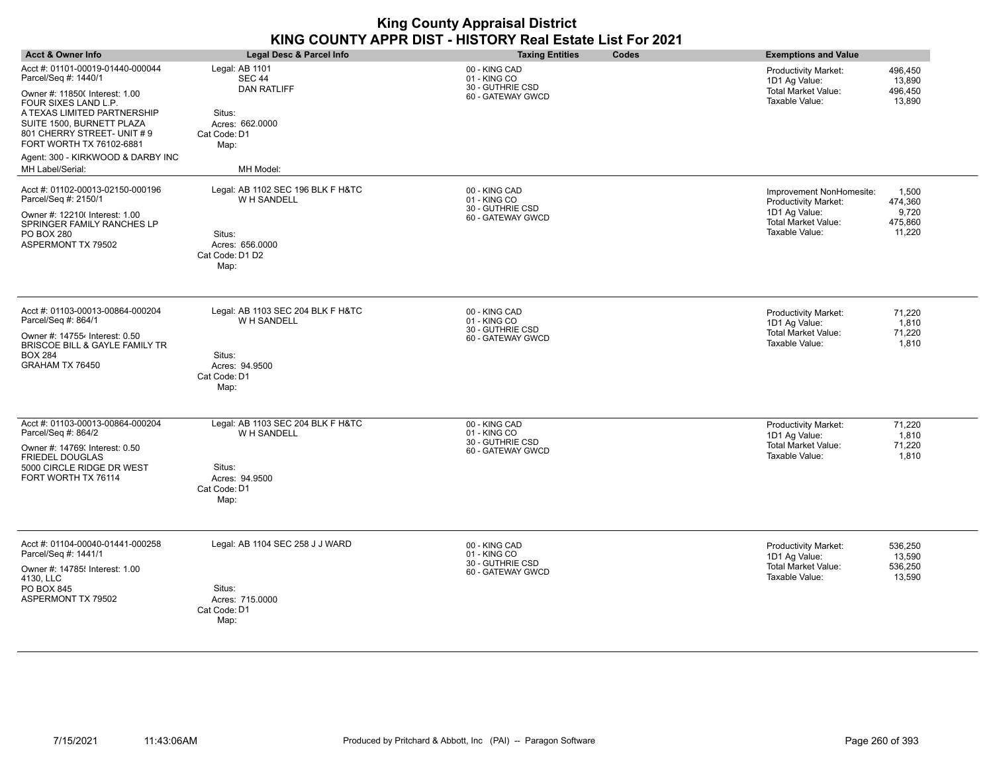| <b>Acct &amp; Owner Info</b>                                                                                                                                                 | Legal Desc & Parcel Info                                                                     | <b>Taxing Entities</b><br>Codes                                        | <b>Exemptions and Value</b>                                                                                                            |
|------------------------------------------------------------------------------------------------------------------------------------------------------------------------------|----------------------------------------------------------------------------------------------|------------------------------------------------------------------------|----------------------------------------------------------------------------------------------------------------------------------------|
| Acct #: 01101-00019-01440-000044<br>Parcel/Seq #: 1440/1                                                                                                                     | Legal: AB 1101<br><b>SEC 44</b>                                                              | 00 - KING CAD<br>01 - KING CO                                          | <b>Productivity Market:</b><br>496,450<br>13,890<br>1D1 Ag Value:                                                                      |
| Owner #: 11850( Interest: 1.00<br>FOUR SIXES LAND L.P.<br>A TEXAS LIMITED PARTNERSHIP<br>SUITE 1500, BURNETT PLAZA<br>801 CHERRY STREET- UNIT #9<br>FORT WORTH TX 76102-6881 | <b>DAN RATLIFF</b><br>Situs:<br>Acres: 662,0000<br>Cat Code: D1<br>Map:                      | 30 - GUTHRIE CSD<br>60 - GATEWAY GWCD                                  | <b>Total Market Value:</b><br>496,450<br>Taxable Value:<br>13,890                                                                      |
| Agent: 300 - KIRKWOOD & DARBY INC                                                                                                                                            |                                                                                              |                                                                        |                                                                                                                                        |
| MH Label/Serial:                                                                                                                                                             | MH Model:                                                                                    |                                                                        |                                                                                                                                        |
| Acct #: 01102-00013-02150-000196<br>Parcel/Seq #: 2150/1                                                                                                                     | Legal: AB 1102 SEC 196 BLK F H&TC<br>W H SANDELL                                             | 00 - KING CAD<br>01 - KING CO                                          | Improvement NonHomesite:<br>1,500<br>474,360<br>Productivity Market:                                                                   |
| Owner #: 12210( Interest: 1.00<br>SPRINGER FAMILY RANCHES LP<br>PO BOX 280<br>ASPERMONT TX 79502                                                                             | Situs:<br>Acres: 656.0000<br>Cat Code: D1 D2<br>Map:                                         | 30 - GUTHRIE CSD<br>60 - GATEWAY GWCD                                  | 1D1 Ag Value:<br>9,720<br><b>Total Market Value:</b><br>475,860<br>Taxable Value:<br>11,220                                            |
| Acct #: 01103-00013-00864-000204<br>Parcel/Seq #: 864/1<br>Owner #: 147554 Interest: 0.50                                                                                    | Legal: AB 1103 SEC 204 BLK F H&TC<br>W H SANDELL                                             | 00 - KING CAD<br>01 - KING CO<br>30 - GUTHRIE CSD                      | 71,220<br><b>Productivity Market:</b><br>1D1 Ag Value:<br>1,810<br>71,220<br><b>Total Market Value:</b>                                |
| BRISCOE BILL & GAYLE FAMILY TR<br><b>BOX 284</b><br>GRAHAM TX 76450                                                                                                          | Situs:<br>Acres: 94.9500<br>Cat Code: D1<br>Map:                                             | 60 - GATEWAY GWCD                                                      | Taxable Value:<br>1,810                                                                                                                |
| Acct #: 01103-00013-00864-000204<br>Parcel/Seq #: 864/2<br>Owner #: 14769; Interest: 0.50<br><b>FRIEDEL DOUGLAS</b><br>5000 CIRCLE RIDGE DR WEST<br>FORT WORTH TX 76114      | Legal: AB 1103 SEC 204 BLK F H&TC<br>W H SANDELL<br>Situs:<br>Acres: 94.9500<br>Cat Code: D1 | 00 - KING CAD<br>01 - KING CO<br>30 - GUTHRIE CSD<br>60 - GATEWAY GWCD | 71,220<br><b>Productivity Market:</b><br>1D1 Ag Value:<br>1,810<br><b>Total Market Value:</b><br>71,220<br>Taxable Value:<br>1,810     |
| Acct #: 01104-00040-01441-000258<br>Parcel/Seq #: 1441/1<br>Owner #: 14785! Interest: 1.00<br>4130. LLC<br>PO BOX 845<br>ASPERMONT TX 79502                                  | Map:<br>Legal: AB 1104 SEC 258 J J WARD<br>Situs:<br>Acres: 715.0000<br>Cat Code: D1<br>Map: | 00 - KING CAD<br>01 - KING CO<br>30 - GUTHRIE CSD<br>60 - GATEWAY GWCD | <b>Productivity Market:</b><br>536,250<br>1D1 Ag Value:<br>13,590<br>536,250<br><b>Total Market Value:</b><br>Taxable Value:<br>13,590 |

 $\overline{\phantom{a}}$ 

 $\overline{\phantom{a}}$ 

 $\overline{\phantom{a}}$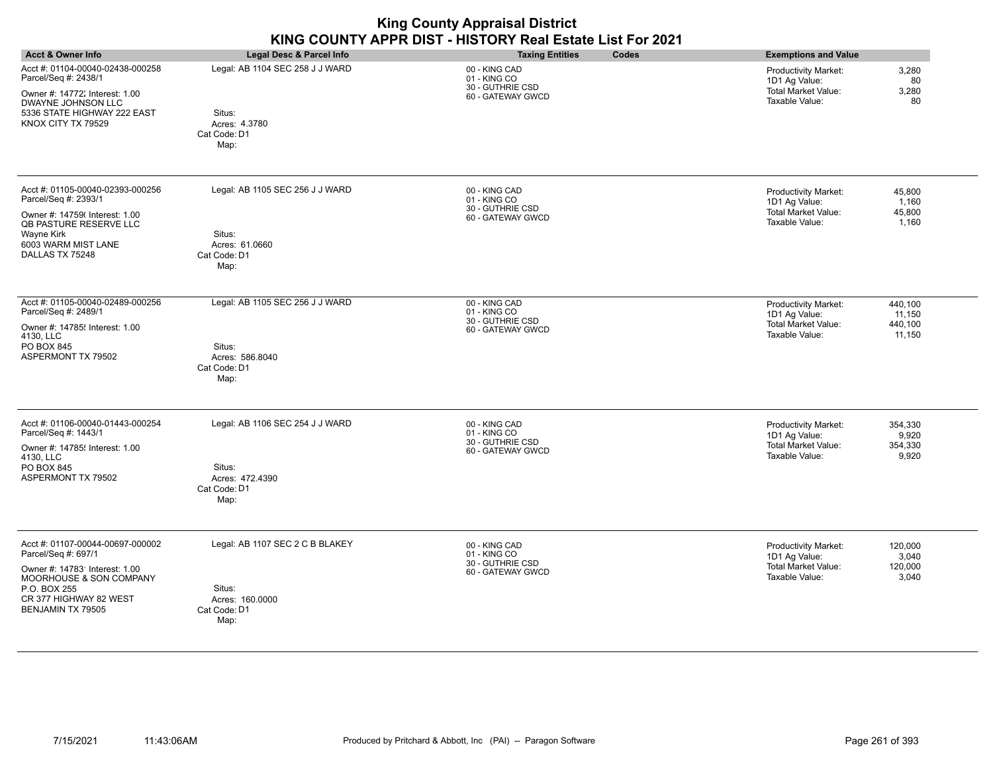| <b>King County Appraisal District</b><br>KING COUNTY APPR DIST - HISTORY Real Estate List For 2021                                                                                  |                                                                                      |                                                                        |                                                                                                                                        |
|-------------------------------------------------------------------------------------------------------------------------------------------------------------------------------------|--------------------------------------------------------------------------------------|------------------------------------------------------------------------|----------------------------------------------------------------------------------------------------------------------------------------|
| <b>Acct &amp; Owner Info</b>                                                                                                                                                        | <b>Legal Desc &amp; Parcel Info</b>                                                  | <b>Taxing Entities</b><br>Codes                                        | <b>Exemptions and Value</b>                                                                                                            |
| Acct #: 01104-00040-02438-000258<br>Parcel/Seq #: 2438/1<br>Owner #: 14772; Interest: 1.00<br><b>DWAYNE JOHNSON LLC</b><br>5336 STATE HIGHWAY 222 EAST<br>KNOX CITY TX 79529        | Legal: AB 1104 SEC 258 J J WARD<br>Situs:<br>Acres: 4.3780<br>Cat Code: D1<br>Map:   | 00 - KING CAD<br>01 - KING CO<br>30 - GUTHRIE CSD<br>60 - GATEWAY GWCD | 3,280<br><b>Productivity Market:</b><br>1D1 Ag Value:<br>80<br><b>Total Market Value:</b><br>3,280<br>Taxable Value:<br>80             |
| Acct #: 01105-00040-02393-000256<br>Parcel/Seq #: 2393/1<br>Owner #: 14759( Interest: 1.00<br><b>QB PASTURE RESERVE LLC</b><br>Wayne Kirk<br>6003 WARM MIST LANE<br>DALLAS TX 75248 | Legal: AB 1105 SEC 256 J J WARD<br>Situs:<br>Acres: 61.0660<br>Cat Code: D1<br>Map:  | 00 - KING CAD<br>01 - KING CO<br>30 - GUTHRIE CSD<br>60 - GATEWAY GWCD | <b>Productivity Market:</b><br>45,800<br>1D1 Ag Value:<br>1,160<br>Total Market Value:<br>45,800<br>Taxable Value:<br>1,160            |
| Acct #: 01105-00040-02489-000256<br>Parcel/Seq #: 2489/1<br>Owner #: 14785! Interest: 1.00<br>4130, LLC<br>PO BOX 845<br>ASPERMONT TX 79502                                         | Legal: AB 1105 SEC 256 J J WARD<br>Situs:<br>Acres: 586.8040<br>Cat Code: D1<br>Map: | 00 - KING CAD<br>01 - KING CO<br>30 - GUTHRIE CSD<br>60 - GATEWAY GWCD | <b>Productivity Market:</b><br>440,100<br>1D1 Ag Value:<br>11,150<br><b>Total Market Value:</b><br>440,100<br>Taxable Value:<br>11,150 |
| Acct #: 01106-00040-01443-000254<br>Parcel/Seq #: 1443/1<br>Owner #: 14785! Interest: 1.00<br>4130, LLC<br>PO BOX 845<br>ASPERMONT TX 79502                                         | Legal: AB 1106 SEC 254 J J WARD<br>Situs:<br>Acres: 472.4390<br>Cat Code: D1<br>Map: | 00 - KING CAD<br>01 - KING CO<br>30 - GUTHRIE CSD<br>60 - GATEWAY GWCD | Productivity Market:<br>354,330<br>1D1 Ag Value:<br>9,920<br><b>Total Market Value:</b><br>354,330<br>Taxable Value:<br>9,920          |
| Acct #: 01107-00044-00697-000002<br>Parcel/Seq #: 697/1<br>Owner #: 14783' Interest: 1.00<br>MOORHOUSE & SON COMPANY<br>P.O. BOX 255<br>CR 377 HIGHWAY 82 WEST                      | Legal: AB 1107 SEC 2 C B BLAKEY<br>Situs:<br>Acres: 160.0000                         | 00 - KING CAD<br>01 - KING CO<br>30 - GUTHRIE CSD<br>60 - GATEWAY GWCD | <b>Productivity Market:</b><br>120,000<br>1D1 Ag Value:<br>3,040<br><b>Total Market Value:</b><br>120,000<br>Taxable Value:<br>3,040   |

Cat Code: D1

Map:

BENJAMIN TX 79505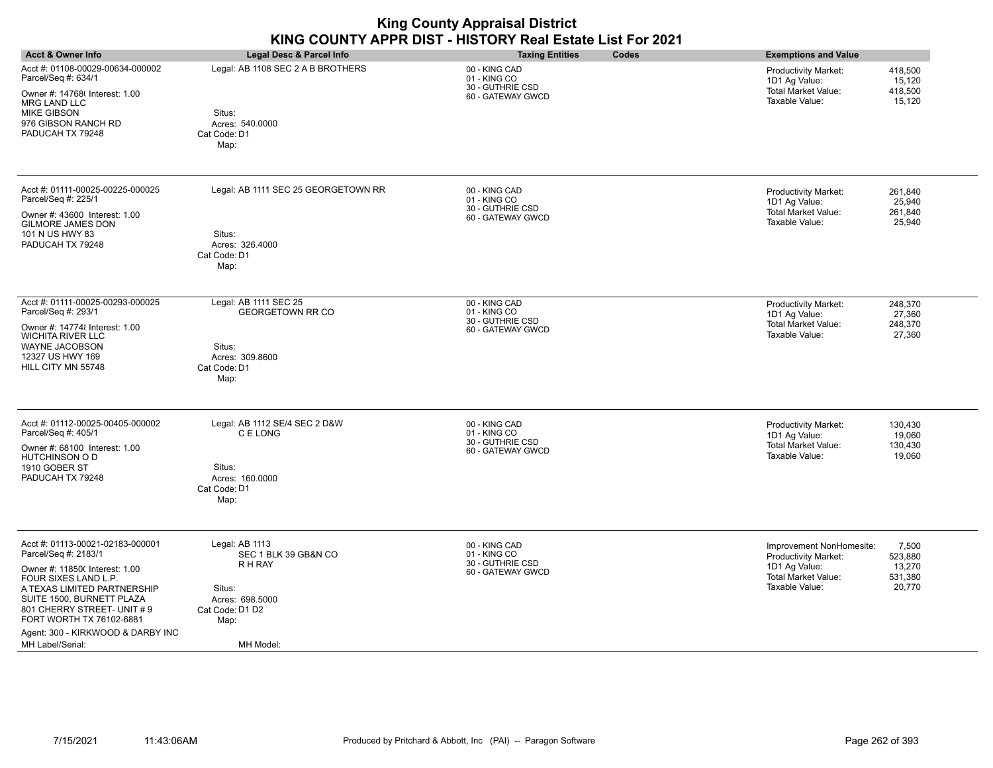| <b>Acct &amp; Owner Info</b>                                                                                                                                                                                                                                                                      | Legal Desc & Parcel Info                                                                                               | <b>Taxing Entities</b><br>Codes                                        | <b>Exemptions and Value</b>                                                                                                                                                 |
|---------------------------------------------------------------------------------------------------------------------------------------------------------------------------------------------------------------------------------------------------------------------------------------------------|------------------------------------------------------------------------------------------------------------------------|------------------------------------------------------------------------|-----------------------------------------------------------------------------------------------------------------------------------------------------------------------------|
| Acct #: 01108-00029-00634-000002<br>Parcel/Seq #: 634/1<br>Owner #: 14768( Interest: 1.00<br><b>MRG LAND LLC</b><br>MIKE GIBSON<br>976 GIBSON RANCH RD<br>PADUCAH TX 79248                                                                                                                        | Legal: AB 1108 SEC 2 A B BROTHERS<br>Situs:<br>Acres: 540.0000<br>Cat Code: D1<br>Map:                                 | 00 - KING CAD<br>01 - KING CO<br>30 - GUTHRIE CSD<br>60 - GATEWAY GWCD | <b>Productivity Market:</b><br>418,500<br>1D1 Ag Value:<br>15,120<br>Total Market Value:<br>418,500<br>Taxable Value:<br>15,120                                             |
| Acct #: 01111-00025-00225-000025<br>Parcel/Seq #: 225/1<br>Owner #: 43600 Interest: 1.00<br><b>GILMORE JAMES DON</b><br>101 N US HWY 83<br>PADUCAH TX 79248                                                                                                                                       | Legal: AB 1111 SEC 25 GEORGETOWN RR<br>Situs:<br>Acres: 326.4000<br>Cat Code: D1<br>Map:                               | 00 - KING CAD<br>01 - KING CO<br>30 - GUTHRIE CSD<br>60 - GATEWAY GWCD | 261,840<br>Productivity Market:<br>1D1 Ag Value:<br>25,940<br>Total Market Value:<br>261,840<br>Taxable Value:<br>25,940                                                    |
| Acct #: 01111-00025-00293-000025<br>Parcel/Seq #: 293/1<br>Owner #: 147748 Interest: 1.00<br>WICHITA RIVER LLC<br>WAYNE JACOBSON<br>12327 US HWY 169<br>HILL CITY MN 55748                                                                                                                        | Legal: AB 1111 SEC 25<br><b>GEORGETOWN RR CO</b><br>Situs:<br>Acres: 309.8600<br>Cat Code: D1<br>Map:                  | 00 - KING CAD<br>01 - KING CO<br>30 - GUTHRIE CSD<br>60 - GATEWAY GWCD | <b>Productivity Market:</b><br>248,370<br>1D1 Ag Value:<br>27,360<br><b>Total Market Value:</b><br>248,370<br>Taxable Value:<br>27,360                                      |
| Acct #: 01112-00025-00405-000002<br>Parcel/Seq #: 405/1<br>Owner #: 68100 Interest: 1.00<br>HUTCHINSON O D<br>1910 GOBER ST<br>PADUCAH TX 79248                                                                                                                                                   | Legal: AB 1112 SE/4 SEC 2 D&W<br>C E LONG<br>Situs:<br>Acres: 160.0000<br>Cat Code: D1<br>Map:                         | 00 - KING CAD<br>01 - KING CO<br>30 - GUTHRIE CSD<br>60 - GATEWAY GWCD | <b>Productivity Market:</b><br>130,430<br>19,060<br>1D1 Ag Value:<br>Total Market Value:<br>130,430<br>Taxable Value:<br>19,060                                             |
| Acct #: 01113-00021-02183-000001<br>Parcel/Seq #: 2183/1<br>Owner #: 11850( Interest: 1.00<br>FOUR SIXES LAND L.P.<br>A TEXAS LIMITED PARTNERSHIP<br>SUITE 1500, BURNETT PLAZA<br>801 CHERRY STREET- UNIT #9<br>FORT WORTH TX 76102-6881<br>Agent: 300 - KIRKWOOD & DARBY INC<br>MH Label/Serial: | Legal: AB 1113<br>SEC 1 BLK 39 GB&N CO<br>R H RAY<br>Situs:<br>Acres: 698.5000<br>Cat Code: D1 D2<br>Map:<br>MH Model: | 00 - KING CAD<br>01 - KING CO<br>30 - GUTHRIE CSD<br>60 - GATEWAY GWCD | 7,500<br>Improvement NonHomesite:<br>523,880<br><b>Productivity Market:</b><br>13,270<br>1D1 Ag Value:<br><b>Total Market Value:</b><br>531,380<br>Taxable Value:<br>20,770 |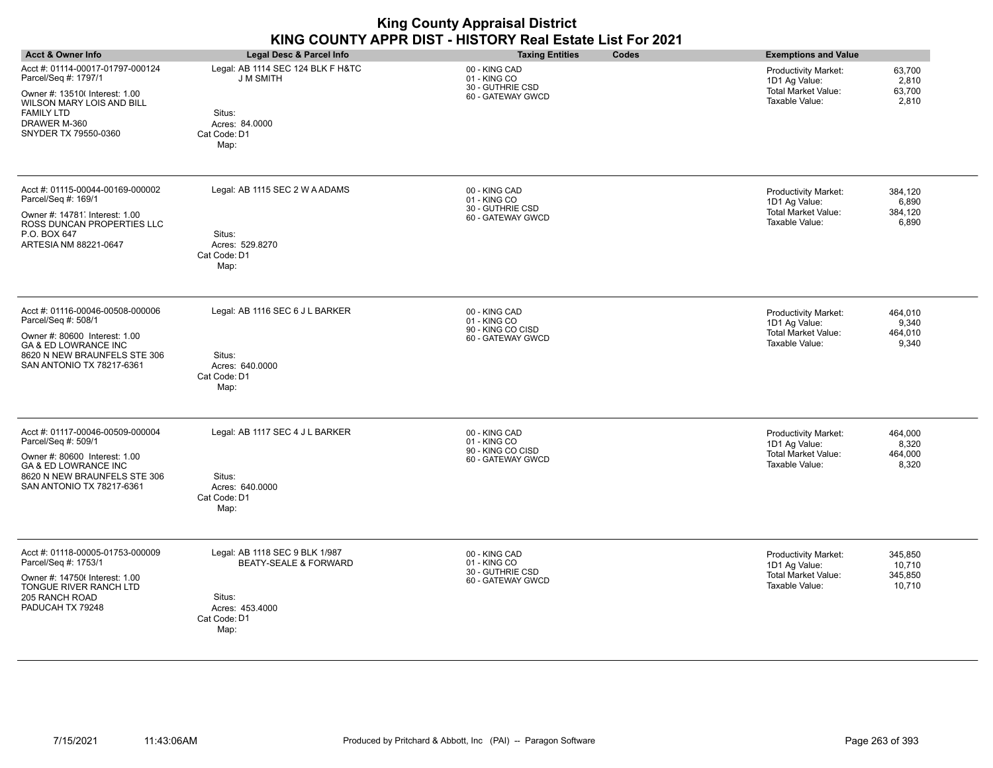| <b>Acct &amp; Owner Info</b>                                                                                                                                                             | Legal Desc & Parcel Info                                                                                                | <b>Taxing Entities</b><br>Codes                                         | <b>Exemptions and Value</b>                                                                                                            |
|------------------------------------------------------------------------------------------------------------------------------------------------------------------------------------------|-------------------------------------------------------------------------------------------------------------------------|-------------------------------------------------------------------------|----------------------------------------------------------------------------------------------------------------------------------------|
| Acct #: 01114-00017-01797-000124<br>Parcel/Seq #: 1797/1<br>Owner #: 13510( Interest: 1.00<br>WILSON MARY LOIS AND BILL<br><b>FAMILY LTD</b><br>DRAWER M-360<br>SNYDER TX 79550-0360     | Legal: AB 1114 SEC 124 BLK F H&TC<br><b>J M SMITH</b><br>Situs:<br>Acres: 84,0000<br>Cat Code: D1<br>Map:               | 00 - KING CAD<br>01 - KING CO<br>30 - GUTHRIE CSD<br>60 - GATEWAY GWCD  | <b>Productivity Market:</b><br>63,700<br>2,810<br>1D1 Ag Value:<br><b>Total Market Value:</b><br>63,700<br>Taxable Value:<br>2,810     |
| Acct #: 01115-00044-00169-000002<br>Parcel/Seq #: 169/1<br>Owner #: 14781 Interest: 1.00<br>ROSS DUNCAN PROPERTIES LLC<br>P.O. BOX 647<br>ARTESIA NM 88221-0647                          | Legal: AB 1115 SEC 2 W A ADAMS<br>Situs:<br>Acres: 529.8270<br>Cat Code: D1<br>Map:                                     | 00 - KING CAD<br>01 - KING CO<br>30 - GUTHRIE CSD<br>60 - GATEWAY GWCD  | 384,120<br>Productivity Market:<br>1D1 Ag Value:<br>6,890<br><b>Total Market Value:</b><br>384,120<br>Taxable Value:<br>6,890          |
| Acct #: 01116-00046-00508-000006<br>Parcel/Seq #: 508/1<br>Owner #: 80600 Interest: 1.00<br>GA & ED LOWRANCE INC<br>8620 N NEW BRAUNFELS STE 306<br>SAN ANTONIO TX 78217-6361            | Legal: AB 1116 SEC 6 J L BARKER<br>Situs:<br>Acres: 640.0000<br>Cat Code: D1<br>Map:                                    | 00 - KING CAD<br>01 - KING CO<br>90 - KING CO CISD<br>60 - GATEWAY GWCD | Productivity Market:<br>464,010<br>1D1 Ag Value:<br>9,340<br><b>Total Market Value:</b><br>464,010<br>9,340<br>Taxable Value:          |
| Acct #: 01117-00046-00509-000004<br>Parcel/Seq #: 509/1<br>Owner #: 80600 Interest: 1.00<br><b>GA &amp; ED LOWRANCE INC</b><br>8620 N NEW BRAUNFELS STE 306<br>SAN ANTONIO TX 78217-6361 | Legal: AB 1117 SEC 4 J L BARKER<br>Situs:<br>Acres: 640.0000<br>Cat Code: D1<br>Map:                                    | 00 - KING CAD<br>01 - KING CO<br>90 - KING CO CISD<br>60 - GATEWAY GWCD | 464,000<br><b>Productivity Market:</b><br>1D1 Ag Value:<br>8,320<br><b>Total Market Value:</b><br>464,000<br>Taxable Value:<br>8,320   |
| Acct #: 01118-00005-01753-000009<br>Parcel/Seq #: 1753/1<br>Owner #: 147506 Interest: 1.00<br>TONGUE RIVER RANCH LTD<br>205 RANCH ROAD<br>PADUCAH TX 79248                               | Legal: AB 1118 SEC 9 BLK 1/987<br><b>BEATY-SEALE &amp; FORWARD</b><br>Situs:<br>Acres: 453.4000<br>Cat Code: D1<br>Map: | 00 - KING CAD<br>01 - KING CO<br>30 - GUTHRIE CSD<br>60 - GATEWAY GWCD  | <b>Productivity Market:</b><br>345,850<br>10,710<br>1D1 Ag Value:<br><b>Total Market Value:</b><br>345,850<br>Taxable Value:<br>10,710 |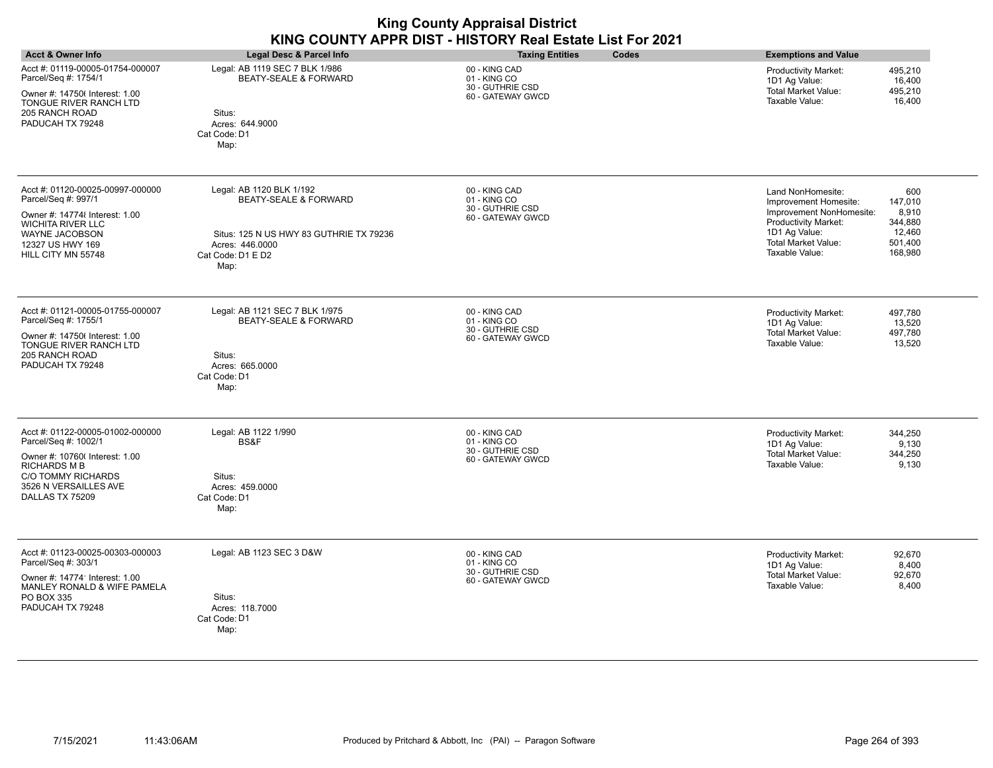| <b>Acct &amp; Owner Info</b>                                                                                                                                                        | Legal Desc & Parcel Info                                                                                                                                | <b>Taxing Entities</b><br>Codes                                        | <b>Exemptions and Value</b>                                                                                                                                                                                                    |
|-------------------------------------------------------------------------------------------------------------------------------------------------------------------------------------|---------------------------------------------------------------------------------------------------------------------------------------------------------|------------------------------------------------------------------------|--------------------------------------------------------------------------------------------------------------------------------------------------------------------------------------------------------------------------------|
| Acct #: 01119-00005-01754-000007<br>Parcel/Seq #: 1754/1<br>Owner #: 147506 Interest: 1.00<br>TONGUE RIVER RANCH LTD<br>205 RANCH ROAD<br>PADUCAH TX 79248                          | Legal: AB 1119 SEC 7 BLK 1/986<br><b>BEATY-SEALE &amp; FORWARD</b><br>Situs:<br>Acres: 644.9000<br>Cat Code: D1<br>Map:                                 | 00 - KING CAD<br>01 - KING CO<br>30 - GUTHRIE CSD<br>60 - GATEWAY GWCD | Productivity Market:<br>495,210<br>1D1 Ag Value:<br>16,400<br><b>Total Market Value:</b><br>495,210<br>Taxable Value:<br>16,400                                                                                                |
| Acct #: 01120-00025-00997-000000<br>Parcel/Seq #: 997/1<br>Owner #: 147748 Interest: 1.00<br><b>WICHITA RIVER LLC</b><br>WAYNE JACOBSON<br>12327 US HWY 169<br>HILL CITY MN 55748   | Legal: AB 1120 BLK 1/192<br><b>BEATY-SEALE &amp; FORWARD</b><br>Situs: 125 N US HWY 83 GUTHRIE TX 79236<br>Acres: 446.0000<br>Cat Code: D1 E D2<br>Map: | 00 - KING CAD<br>01 - KING CO<br>30 - GUTHRIE CSD<br>60 - GATEWAY GWCD | Land NonHomesite:<br>600<br>Improvement Homesite:<br>147,010<br>8,910<br>Improvement NonHomesite:<br>Productivity Market:<br>344,880<br>1D1 Ag Value:<br>12,460<br>Total Market Value:<br>501,400<br>Taxable Value:<br>168,980 |
| Acct #: 01121-00005-01755-000007<br>Parcel/Seq #: 1755/1<br>Owner #: 147506 Interest: 1.00<br>TONGUE RIVER RANCH LTD<br>205 RANCH ROAD<br>PADUCAH TX 79248                          | Legal: AB 1121 SEC 7 BLK 1/975<br><b>BEATY-SEALE &amp; FORWARD</b><br>Situs:<br>Acres: 665.0000<br>Cat Code: D1<br>Map:                                 | 00 - KING CAD<br>01 - KING CO<br>30 - GUTHRIE CSD<br>60 - GATEWAY GWCD | Productivity Market:<br>497,780<br>1D1 Ag Value:<br>13,520<br>Total Market Value:<br>497,780<br>Taxable Value:<br>13,520                                                                                                       |
| Acct #: 01122-00005-01002-000000<br>Parcel/Seq #: 1002/1<br>Owner #: 10760( Interest: 1.00<br><b>RICHARDS M B</b><br>C/O TOMMY RICHARDS<br>3526 N VERSAILLES AVE<br>DALLAS TX 75209 | Legal: AB 1122 1/990<br>BS&F<br>Situs:<br>Acres: 459.0000<br>Cat Code: D1<br>Map:                                                                       | 00 - KING CAD<br>01 - KING CO<br>30 - GUTHRIE CSD<br>60 - GATEWAY GWCD | Productivity Market:<br>344,250<br>1D1 Ag Value:<br>9,130<br><b>Total Market Value:</b><br>344,250<br>Taxable Value:<br>9,130                                                                                                  |
| Acct #: 01123-00025-00303-000003<br>Parcel/Seq #: 303/1<br>Owner #: 14774 Interest: 1.00<br>MANLEY RONALD & WIFE PAMELA<br>PO BOX 335<br>PADUCAH TX 79248                           | Legal: AB 1123 SEC 3 D&W<br>Situs:<br>Acres: 118.7000<br>Cat Code: D1<br>Map:                                                                           | 00 - KING CAD<br>01 - KING CO<br>30 - GUTHRIE CSD<br>60 - GATEWAY GWCD | 92,670<br>Productivity Market:<br>1D1 Ag Value:<br>8,400<br><b>Total Market Value:</b><br>92,670<br>Taxable Value:<br>8,400                                                                                                    |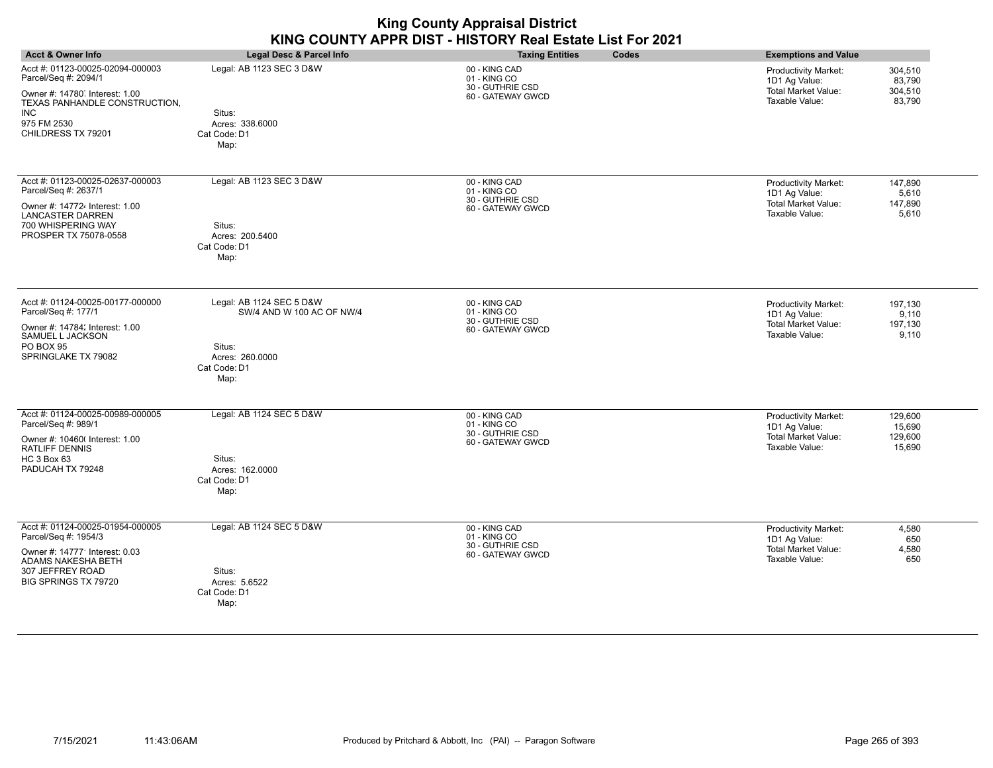|                                                                                                                             |                                                       | <b>King County Appraisal District</b><br>KING COUNTY APPR DIST - HISTORY Real Estate List For 2021 |                                                                                                                                 |
|-----------------------------------------------------------------------------------------------------------------------------|-------------------------------------------------------|----------------------------------------------------------------------------------------------------|---------------------------------------------------------------------------------------------------------------------------------|
| <b>Acct &amp; Owner Info</b>                                                                                                | <b>Legal Desc &amp; Parcel Info</b>                   | <b>Taxing Entities</b><br>Codes                                                                    | <b>Exemptions and Value</b>                                                                                                     |
| Acct #: 01123-00025-02094-000003<br>Parcel/Seq #: 2094/1<br>Owner #: 14780, Interest: 1.00<br>TEXAS PANHANDLE CONSTRUCTION, | Legal: AB 1123 SEC 3 D&W                              | 00 - KING CAD<br>01 - KING CO<br>30 - GUTHRIE CSD<br>60 - GATEWAY GWCD                             | 304,510<br>Productivity Market:<br>1D1 Ag Value:<br>83,790<br><b>Total Market Value:</b><br>304,510<br>Taxable Value:<br>83,790 |
| <b>INC</b><br>975 FM 2530<br>CHILDRESS TX 79201                                                                             | Situs:<br>Acres: 338,6000<br>Cat Code: D1<br>Map:     |                                                                                                    |                                                                                                                                 |
| Acct #: 01123-00025-02637-000003<br>Parcel/Seq #: 2637/1<br>Owner #: 147724 Interest: 1.00                                  | Legal: AB 1123 SEC 3 D&W                              | 00 - KING CAD<br>01 - KING CO<br>30 - GUTHRIE CSD<br>60 - GATEWAY GWCD                             | Productivity Market:<br>147.890<br>1D1 Ag Value:<br>5,610<br><b>Total Market Value:</b><br>147,890                              |
| <b>LANCASTER DARREN</b><br>700 WHISPERING WAY<br>PROSPER TX 75078-0558                                                      | Situs:<br>Acres: 200.5400<br>Cat Code: D1<br>Map:     |                                                                                                    | Taxable Value:<br>5,610                                                                                                         |
| Acct #: 01124-00025-00177-000000<br>Parcel/Seq #: 177/1                                                                     | Legal: AB 1124 SEC 5 D&W<br>SW/4 AND W 100 AC OF NW/4 | 00 - KING CAD<br>01 - KING CO                                                                      | 197.130<br>Productivity Market:<br>1D1 Ag Value:<br>9,110                                                                       |
| Owner #: 14784; Interest: 1.00<br>SAMUEL L JACKSON<br>PO BOX 95                                                             | Situs:                                                | 30 - GUTHRIE CSD<br>60 - GATEWAY GWCD                                                              | <b>Total Market Value:</b><br>197,130<br>Taxable Value:<br>9,110                                                                |
| SPRINGLAKE TX 79082                                                                                                         | Acres: 260,0000<br>Cat Code: D1<br>Map:               |                                                                                                    |                                                                                                                                 |
| Acct #: 01124-00025-00989-000005<br>Parcel/Seq #: 989/1                                                                     | Legal: AB 1124 SEC 5 D&W                              | 00 - KING CAD<br>01 - KING CO                                                                      | Productivity Market:<br>129,600<br>1D1 Ag Value:<br>15,690                                                                      |
| Owner #: 10460( Interest: 1.00<br><b>RATLIFF DENNIS</b>                                                                     |                                                       | 30 - GUTHRIE CSD<br>60 - GATEWAY GWCD                                                              | <b>Total Market Value:</b><br>129,600<br>Taxable Value:<br>15,690                                                               |
| <b>HC 3 Box 63</b><br>PADUCAH TX 79248                                                                                      | Situs:<br>Acres: 162.0000<br>Cat Code: D1<br>Map:     |                                                                                                    |                                                                                                                                 |
| Acct #: 01124-00025-01954-000005<br>Parcel/Seq #: 1954/3                                                                    | Legal: AB 1124 SEC 5 D&W                              | 00 - KING CAD<br>01 - KING CO                                                                      | Productivity Market:<br>4,580<br>1D1 Ag Value:<br>650                                                                           |
| Owner #: 14777' Interest: 0.03<br>ADAMS NAKESHA BETH                                                                        |                                                       | 30 - GUTHRIE CSD<br>60 - GATEWAY GWCD                                                              | <b>Total Market Value:</b><br>4,580<br>Taxable Value:<br>650                                                                    |
| 307 JEFFREY ROAD<br><b>BIG SPRINGS TX 79720</b>                                                                             | Situs:<br>Acres: 5.6522<br>Cat Code: D1<br>Map:       |                                                                                                    |                                                                                                                                 |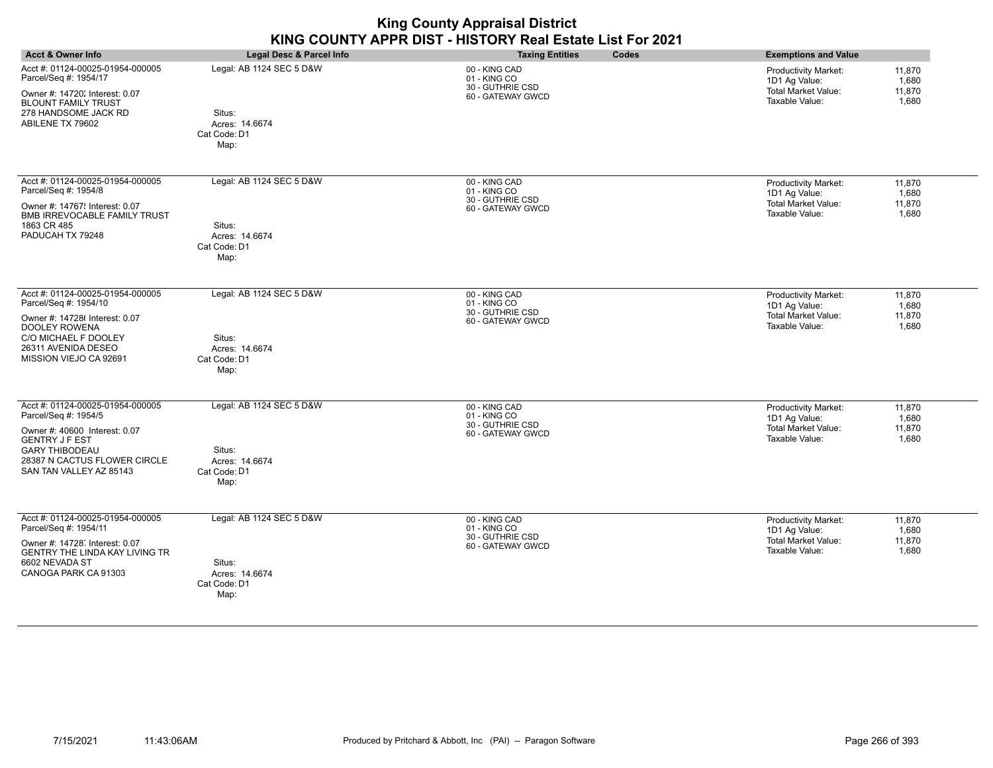|                                                                                                                                                                                                        |                                                                              | <b>King County Appraisal District</b><br>KING COUNTY APPR DIST - HISTORY Real Estate List For 2021 |                                                                                                                                    |
|--------------------------------------------------------------------------------------------------------------------------------------------------------------------------------------------------------|------------------------------------------------------------------------------|----------------------------------------------------------------------------------------------------|------------------------------------------------------------------------------------------------------------------------------------|
| <b>Acct &amp; Owner Info</b>                                                                                                                                                                           | Legal Desc & Parcel Info                                                     | <b>Taxing Entities</b><br>Codes                                                                    | <b>Exemptions and Value</b>                                                                                                        |
| Acct #: 01124-00025-01954-000005<br>Parcel/Seq #: 1954/17<br>Owner #: 14720; Interest: 0.07<br><b>BLOUNT FAMILY TRUST</b><br>278 HANDSOME JACK RD<br>ABILENE TX 79602                                  | Legal: AB 1124 SEC 5 D&W<br>Situs:<br>Acres: 14.6674<br>Cat Code: D1<br>Map: | 00 - KING CAD<br>01 - KING CO<br>30 - GUTHRIE CSD<br>60 - GATEWAY GWCD                             | <b>Productivity Market:</b><br>11,870<br>1D1 Ag Value:<br>1.680<br><b>Total Market Value:</b><br>11,870<br>Taxable Value:<br>1,680 |
| Acct #: 01124-00025-01954-000005<br>Parcel/Seq #: 1954/8<br>Owner #: 14767! Interest: 0.07<br>BMB IRREVOCABLE FAMILY TRUST<br>1863 CR 485<br>PADUCAH TX 79248                                          | Legal: AB 1124 SEC 5 D&W<br>Situs:<br>Acres: 14.6674<br>Cat Code: D1<br>Map: | 00 - KING CAD<br>01 - KING CO<br>30 - GUTHRIE CSD<br>60 - GATEWAY GWCD                             | <b>Productivity Market:</b><br>11,870<br>1D1 Ag Value:<br>1,680<br><b>Total Market Value:</b><br>11,870<br>Taxable Value:<br>1,680 |
| Acct #: 01124-00025-01954-000005<br>Parcel/Seq #: 1954/10<br>Owner #: 14728(Interest: 0.07<br><b>DOOLEY ROWENA</b><br>C/O MICHAEL F DOOLEY<br>26311 AVENIDA DESEO<br>MISSION VIEJO CA 92691            | Legal: AB 1124 SEC 5 D&W<br>Situs:<br>Acres: 14.6674<br>Cat Code: D1<br>Map: | 00 - KING CAD<br>01 - KING CO<br>30 - GUTHRIE CSD<br>60 - GATEWAY GWCD                             | <b>Productivity Market:</b><br>11,870<br>1D1 Ag Value:<br>1,680<br><b>Total Market Value:</b><br>11,870<br>Taxable Value:<br>1,680 |
| Acct #: 01124-00025-01954-000005<br>Parcel/Seq #: 1954/5<br>Owner #: 40600 Interest: 0.07<br><b>GENTRY J F EST</b><br><b>GARY THIBODEAU</b><br>28387 N CACTUS FLOWER CIRCLE<br>SAN TAN VALLEY AZ 85143 | Legal: AB 1124 SEC 5 D&W<br>Situs:<br>Acres: 14.6674<br>Cat Code: D1<br>Map: | 00 - KING CAD<br>01 - KING CO<br>30 - GUTHRIE CSD<br>60 - GATEWAY GWCD                             | 11,870<br><b>Productivity Market:</b><br>1D1 Ag Value:<br>1.680<br><b>Total Market Value:</b><br>11,870<br>Taxable Value:<br>1,680 |
| Acct #: 01124-00025-01954-000005<br>Parcel/Seq #: 1954/11<br>Owner #: 14728, Interest: 0.07<br>GENTRY THE LINDA KAY LIVING TR<br>6602 NEVADA ST<br>CANOGA PARK CA 91303                                | Legal: AB 1124 SEC 5 D&W<br>Situs:<br>Acres: 14.6674<br>Cat Code: D1<br>Map: | 00 - KING CAD<br>01 - KING CO<br>30 - GUTHRIE CSD<br>60 - GATEWAY GWCD                             | <b>Productivity Market:</b><br>11,870<br>1D1 Ag Value:<br>1,680<br><b>Total Market Value:</b><br>11,870<br>Taxable Value:<br>1.680 |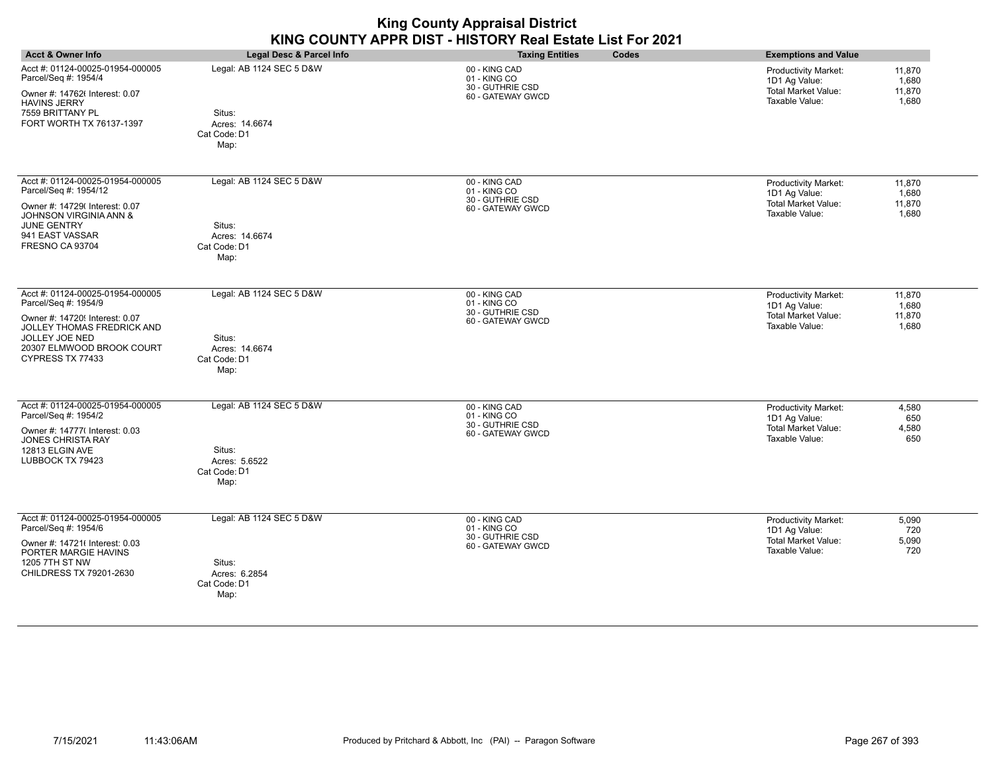| <b>Acct &amp; Owner Info</b>                                                                                                                                                                 | Legal Desc & Parcel Info                                                     | Codes<br><b>Taxing Entities</b>                                        | <b>Exemptions and Value</b>                                                                                                 |
|----------------------------------------------------------------------------------------------------------------------------------------------------------------------------------------------|------------------------------------------------------------------------------|------------------------------------------------------------------------|-----------------------------------------------------------------------------------------------------------------------------|
| Acct #: 01124-00025-01954-000005<br>Parcel/Seq #: 1954/4<br>Owner #: 147626 Interest: 0.07<br><b>HAVINS JERRY</b><br>7559 BRITTANY PL<br>FORT WORTH TX 76137-1397                            | Legal: AB 1124 SEC 5 D&W<br>Situs:<br>Acres: 14.6674<br>Cat Code: D1<br>Map: | 00 - KING CAD<br>01 - KING CO<br>30 - GUTHRIE CSD<br>60 - GATEWAY GWCD | 11,870<br>Productivity Market:<br>1D1 Ag Value:<br>1,680<br><b>Total Market Value:</b><br>11,870<br>Taxable Value:<br>1,680 |
| Acct #: 01124-00025-01954-000005<br>Parcel/Seq #: 1954/12<br>Owner #: 14729( Interest: 0.07<br><b>JOHNSON VIRGINIA ANN &amp;</b><br><b>JUNE GENTRY</b><br>941 EAST VASSAR<br>FRESNO CA 93704 | Legal: AB 1124 SEC 5 D&W<br>Situs:<br>Acres: 14.6674<br>Cat Code: D1<br>Map: | 00 - KING CAD<br>01 - KING CO<br>30 - GUTHRIE CSD<br>60 - GATEWAY GWCD | Productivity Market:<br>11,870<br>1D1 Ag Value:<br>1,680<br><b>Total Market Value:</b><br>11,870<br>Taxable Value:<br>1,680 |
| Acct #: 01124-00025-01954-000005<br>Parcel/Seq #: 1954/9<br>Owner #: 14720! Interest: 0.07<br>JOLLEY THOMAS FREDRICK AND<br>JOLLEY JOE NED<br>20307 ELMWOOD BROOK COURT<br>CYPRESS TX 77433  | Legal: AB 1124 SEC 5 D&W<br>Situs:<br>Acres: 14.6674<br>Cat Code: D1<br>Map: | 00 - KING CAD<br>01 - KING CO<br>30 - GUTHRIE CSD<br>60 - GATEWAY GWCD | 11,870<br>Productivity Market:<br>1D1 Ag Value:<br>1,680<br><b>Total Market Value:</b><br>11,870<br>Taxable Value:<br>1,680 |
| Acct #: 01124-00025-01954-000005<br>Parcel/Seq #: 1954/2<br>Owner #: 14777( Interest: 0.03<br>JONES CHRISTA RAY<br>12813 ELGIN AVE<br>LUBBOCK TX 79423                                       | Legal: AB 1124 SEC 5 D&W<br>Situs:<br>Acres: 5.6522<br>Cat Code: D1<br>Map:  | 00 - KING CAD<br>01 - KING CO<br>30 - GUTHRIE CSD<br>60 - GATEWAY GWCD | Productivity Market:<br>4,580<br>1D1 Ag Value:<br>650<br><b>Total Market Value:</b><br>4,580<br>Taxable Value:<br>650       |
| Acct #: 01124-00025-01954-000005<br>Parcel/Seq #: 1954/6<br>Owner #: 147216 Interest: 0.03<br>PORTER MARGIE HAVINS<br>1205 7TH ST NW<br>CHILDRESS TX 79201-2630                              | Legal: AB 1124 SEC 5 D&W<br>Situs:<br>Acres: 6.2854<br>Cat Code: D1<br>Map:  | 00 - KING CAD<br>01 - KING CO<br>30 - GUTHRIE CSD<br>60 - GATEWAY GWCD | Productivity Market:<br>5.090<br>1D1 Ag Value:<br>720<br><b>Total Market Value:</b><br>5,090<br>Taxable Value:<br>720       |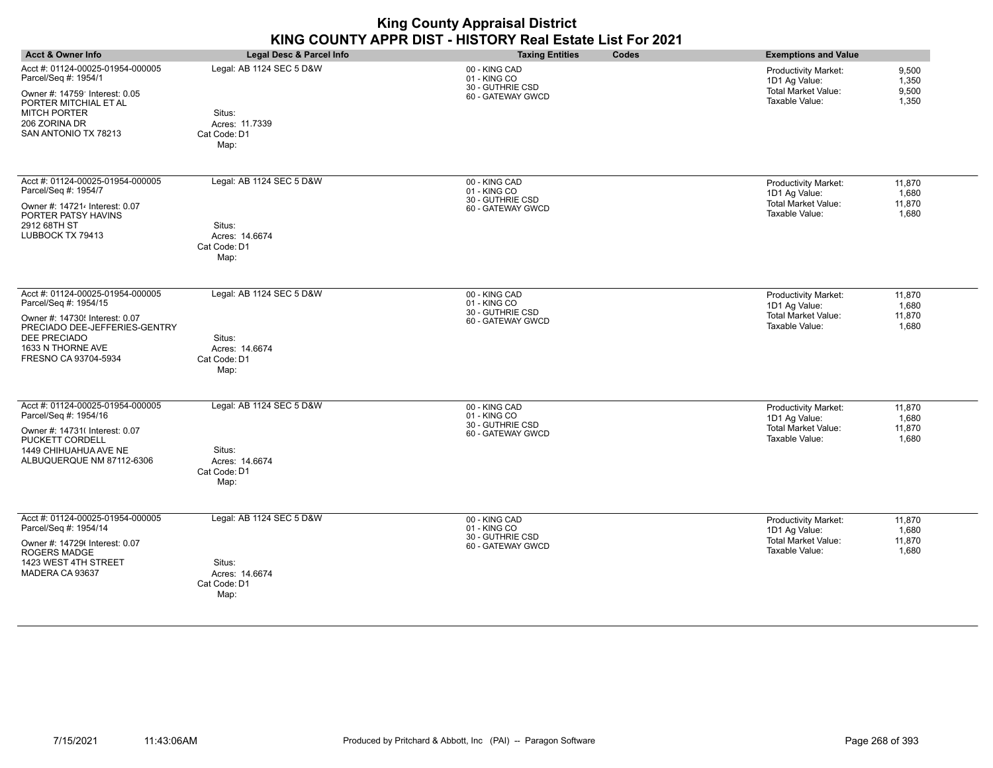| <b>Acct &amp; Owner Info</b>                                                                                                                                                                     | Legal Desc & Parcel Info                                                     | <b>Taxing Entities</b><br>Codes                                        | <b>Exemptions and Value</b>                                                                                                        |
|--------------------------------------------------------------------------------------------------------------------------------------------------------------------------------------------------|------------------------------------------------------------------------------|------------------------------------------------------------------------|------------------------------------------------------------------------------------------------------------------------------------|
| Acct #: 01124-00025-01954-000005<br>Parcel/Seq #: 1954/1<br>Owner #: 14759' Interest: 0.05<br>PORTER MITCHIAL ET AL<br><b>MITCH PORTER</b><br>206 ZORINA DR<br>SAN ANTONIO TX 78213              | Legal: AB 1124 SEC 5 D&W<br>Situs:<br>Acres: 11.7339<br>Cat Code: D1<br>Map: | 00 - KING CAD<br>01 - KING CO<br>30 - GUTHRIE CSD<br>60 - GATEWAY GWCD | 9,500<br><b>Productivity Market:</b><br>1D1 Ag Value:<br>1,350<br>Total Market Value:<br>9,500<br>Taxable Value:<br>1,350          |
| Acct #: 01124-00025-01954-000005<br>Parcel/Seq #: 1954/7<br>Owner #: 147214 Interest: 0.07<br>PORTER PATSY HAVINS<br>2912 68TH ST<br>LUBBOCK TX 79413                                            | Legal: AB 1124 SEC 5 D&W<br>Situs:<br>Acres: 14.6674<br>Cat Code: D1<br>Map: | 00 - KING CAD<br>01 - KING CO<br>30 - GUTHRIE CSD<br>60 - GATEWAY GWCD | <b>Productivity Market:</b><br>11,870<br>1,680<br>1D1 Ag Value:<br><b>Total Market Value:</b><br>11,870<br>Taxable Value:<br>1,680 |
| Acct #: 01124-00025-01954-000005<br>Parcel/Seq #: 1954/15<br>Owner #: 14730! Interest: 0.07<br>PRECIADO DEE-JEFFERIES-GENTRY<br><b>DEE PRECIADO</b><br>1633 N THORNE AVE<br>FRESNO CA 93704-5934 | Legal: AB 1124 SEC 5 D&W<br>Situs:<br>Acres: 14.6674<br>Cat Code: D1<br>Map: | 00 - KING CAD<br>01 - KING CO<br>30 - GUTHRIE CSD<br>60 - GATEWAY GWCD | 11,870<br><b>Productivity Market:</b><br>1D1 Ag Value:<br>1,680<br><b>Total Market Value:</b><br>11,870<br>Taxable Value:<br>1,680 |
| Acct #: 01124-00025-01954-000005<br>Parcel/Seq #: 1954/16<br>Owner #: 14731( Interest: 0.07<br>PUCKETT CORDELL<br>1449 CHIHUAHUA AVE NE<br>ALBUQUERQUE NM 87112-6306                             | Legal: AB 1124 SEC 5 D&W<br>Situs:<br>Acres: 14.6674<br>Cat Code: D1<br>Map: | 00 - KING CAD<br>01 - KING CO<br>30 - GUTHRIE CSD<br>60 - GATEWAY GWCD | 11,870<br><b>Productivity Market:</b><br>1D1 Ag Value:<br>1,680<br>Total Market Value:<br>11,870<br>Taxable Value:<br>1,680        |
| Acct #: 01124-00025-01954-000005<br>Parcel/Seq #: 1954/14<br>Owner #: 14729(Interest: 0.07<br>ROGERS MADGE<br>1423 WEST 4TH STREET<br>MADERA CA 93637                                            | Legal: AB 1124 SEC 5 D&W<br>Situs:<br>Acres: 14.6674<br>Cat Code: D1<br>Map: | 00 - KING CAD<br>01 - KING CO<br>30 - GUTHRIE CSD<br>60 - GATEWAY GWCD | <b>Productivity Market:</b><br>11,870<br>1D1 Ag Value:<br>1,680<br><b>Total Market Value:</b><br>11,870<br>Taxable Value:<br>1,680 |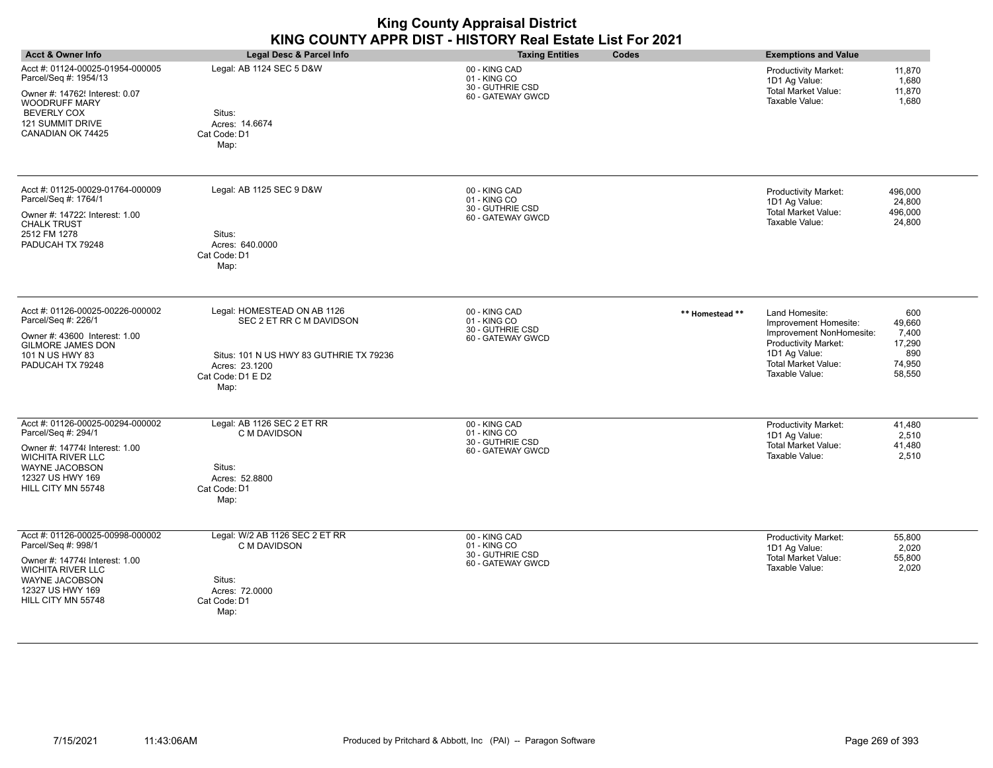| <b>Acct &amp; Owner Info</b>                                                                                                 | Legal Desc & Parcel Info                                                               | <b>Taxing Entities</b>                            | Codes           | <b>Exemptions and Value</b>                                                                                              |                                            |
|------------------------------------------------------------------------------------------------------------------------------|----------------------------------------------------------------------------------------|---------------------------------------------------|-----------------|--------------------------------------------------------------------------------------------------------------------------|--------------------------------------------|
| Acct #: 01124-00025-01954-000005<br>Parcel/Seq #: 1954/13                                                                    | Legal: AB 1124 SEC 5 D&W                                                               | 00 - KING CAD<br>01 - KING CO<br>30 - GUTHRIE CSD |                 | <b>Productivity Market:</b><br>1D1 Ag Value:                                                                             | 11,870<br>1,680                            |
| Owner #: 14762! Interest: 0.07<br><b>WOODRUFF MARY</b><br><b>BEVERLY COX</b><br><b>121 SUMMIT DRIVE</b><br>CANADIAN OK 74425 | Situs:<br>Acres: 14.6674<br>Cat Code: D1<br>Map:                                       | 60 - GATEWAY GWCD                                 |                 | <b>Total Market Value:</b><br>Taxable Value:                                                                             | 11,870<br>1,680                            |
| Acct #: 01125-00029-01764-000009<br>Parcel/Seq #: 1764/1                                                                     | Legal: AB 1125 SEC 9 D&W                                                               | 00 - KING CAD<br>01 - KING CO                     |                 | Productivity Market:<br>1D1 Ag Value:                                                                                    | 496.000<br>24,800                          |
| Owner #: 14722. Interest: 1.00<br><b>CHALK TRUST</b><br>2512 FM 1278<br>PADUCAH TX 79248                                     | Situs:<br>Acres: 640.0000<br>Cat Code: D1<br>Map:                                      | 30 - GUTHRIE CSD<br>60 - GATEWAY GWCD             |                 | Total Market Value:<br>Taxable Value:                                                                                    | 496,000<br>24,800                          |
| Acct #: 01126-00025-00226-000002<br>Parcel/Seq #: 226/1                                                                      | Legal: HOMESTEAD ON AB 1126<br>SEC 2 ET RR C M DAVIDSON                                | 00 - KING CAD<br>01 - KING CO                     | ** Homestead ** | Land Homesite:<br>Improvement Homesite:                                                                                  | 600<br>49,660                              |
| Owner #: 43600 Interest: 1.00<br><b>GILMORE JAMES DON</b><br>101 N US HWY 83<br>PADUCAH TX 79248                             | Situs: 101 N US HWY 83 GUTHRIE TX 79236<br>Acres: 23.1200<br>Cat Code: D1 E D2<br>Map: | 30 - GUTHRIE CSD<br>60 - GATEWAY GWCD             |                 | Improvement NonHomesite:<br><b>Productivity Market:</b><br>1D1 Ag Value:<br><b>Total Market Value:</b><br>Taxable Value: | 7,400<br>17,290<br>890<br>74,950<br>58,550 |
| Acct #: 01126-00025-00294-000002<br>Parcel/Seq #: 294/1                                                                      | Legal: AB 1126 SEC 2 ET RR<br>C M DAVIDSON                                             | 00 - KING CAD<br>01 - KING CO                     |                 | Productivity Market:                                                                                                     | 41,480                                     |
| Owner #: 147748 Interest: 1.00<br><b>WICHITA RIVER LLC</b><br>WAYNE JACOBSON<br>12327 US HWY 169<br>HILL CITY MN 55748       | Situs:<br>Acres: 52.8800<br>Cat Code: D1<br>Map:                                       | 30 - GUTHRIE CSD<br>60 - GATEWAY GWCD             |                 | 1D1 Ag Value:<br><b>Total Market Value:</b><br>Taxable Value:                                                            | 2,510<br>41,480<br>2,510                   |
| Acct #: 01126-00025-00998-000002<br>Parcel/Seq #: 998/1                                                                      | Legal: W/2 AB 1126 SEC 2 ET RR<br>C M DAVIDSON                                         | 00 - KING CAD<br>01 - KING CO                     |                 | <b>Productivity Market:</b><br>1D1 Ag Value:                                                                             | 55,800<br>2,020                            |
| Owner #: 147748 Interest: 1.00<br><b>WICHITA RIVER LLC</b><br>WAYNE JACOBSON<br>12327 US HWY 169<br>HILL CITY MN 55748       | Situs:<br>Acres: 72.0000<br>Cat Code: D1<br>Map:                                       | 30 - GUTHRIE CSD<br>60 - GATEWAY GWCD             |                 | Total Market Value:<br>Taxable Value:                                                                                    | 55,800<br>2,020                            |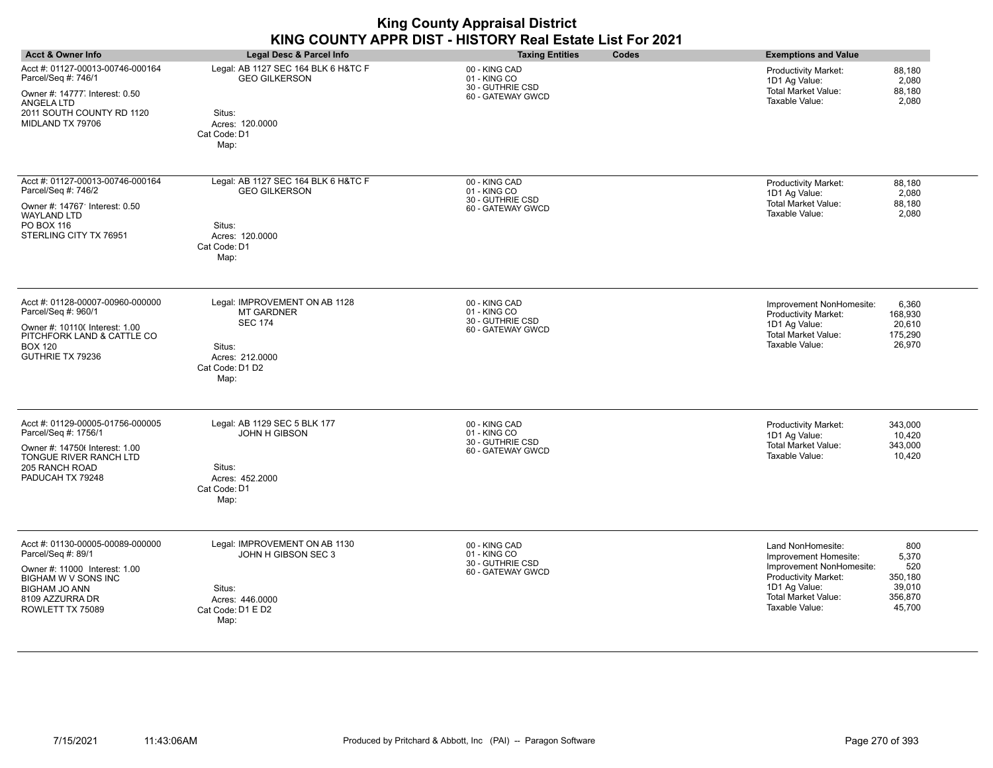| <b>Acct &amp; Owner Info</b>                                                                                                                                                  | <b>Legal Desc &amp; Parcel Info</b>                                                                                          | <b>Taxing Entities</b><br>Codes                                        | <b>Exemptions and Value</b>                                                                                                                                                                                                             |
|-------------------------------------------------------------------------------------------------------------------------------------------------------------------------------|------------------------------------------------------------------------------------------------------------------------------|------------------------------------------------------------------------|-----------------------------------------------------------------------------------------------------------------------------------------------------------------------------------------------------------------------------------------|
| Acct #: 01127-00013-00746-000164<br>Parcel/Seq #: 746/1<br>Owner #: 14777, Interest: 0.50<br>ANGELA LTD<br>2011 SOUTH COUNTY RD 1120<br>MIDLAND TX 79706                      | Legal: AB 1127 SEC 164 BLK 6 H&TC F<br><b>GEO GILKERSON</b><br>Situs:<br>Acres: 120.0000<br>Cat Code: D1<br>Map:             | 00 - KING CAD<br>01 - KING CO<br>30 - GUTHRIE CSD<br>60 - GATEWAY GWCD | <b>Productivity Market:</b><br>88,180<br>1D1 Ag Value:<br>2,080<br><b>Total Market Value:</b><br>88,180<br>Taxable Value:<br>2,080                                                                                                      |
| Acct #: 01127-00013-00746-000164<br>Parcel/Seq #: 746/2<br>Owner #: 14767' Interest: 0.50<br><b>WAYLAND LTD</b><br>PO BOX 116<br>STERLING CITY TX 76951                       | Legal: AB 1127 SEC 164 BLK 6 H&TC F<br><b>GEO GILKERSON</b><br>Situs:<br>Acres: 120.0000<br>Cat Code: D1<br>Map:             | 00 - KING CAD<br>01 - KING CO<br>30 - GUTHRIE CSD<br>60 - GATEWAY GWCD | <b>Productivity Market:</b><br>88,180<br>2,080<br>1D1 Ag Value:<br><b>Total Market Value:</b><br>88,180<br>Taxable Value:<br>2,080                                                                                                      |
| Acct #: 01128-00007-00960-000000<br>Parcel/Seq #: 960/1<br>Owner #: 10110( Interest: 1.00<br>PITCHFORK LAND & CATTLE CO<br><b>BOX 120</b><br>GUTHRIE TX 79236                 | Legal: IMPROVEMENT ON AB 1128<br><b>MT GARDNER</b><br><b>SEC 174</b><br>Situs:<br>Acres: 212,0000<br>Cat Code: D1 D2<br>Map: | 00 - KING CAD<br>01 - KING CO<br>30 - GUTHRIE CSD<br>60 - GATEWAY GWCD | 6,360<br>Improvement NonHomesite:<br><b>Productivity Market:</b><br>168,930<br>1D1 Ag Value:<br>20,610<br><b>Total Market Value:</b><br>175,290<br>Taxable Value:<br>26,970                                                             |
| Acct #: 01129-00005-01756-000005<br>Parcel/Seq #: 1756/1<br>Owner #: 147506 Interest: 1.00<br>TONGUE RIVER RANCH LTD<br>205 RANCH ROAD<br>PADUCAH TX 79248                    | Legal: AB 1129 SEC 5 BLK 177<br><b>JOHN H GIBSON</b><br>Situs:<br>Acres: 452.2000<br>Cat Code: D1<br>Map:                    | 00 - KING CAD<br>01 - KING CO<br>30 - GUTHRIE CSD<br>60 - GATEWAY GWCD | <b>Productivity Market:</b><br>343,000<br>10,420<br>1D1 Ag Value:<br>Total Market Value:<br>343,000<br>Taxable Value:<br>10,420                                                                                                         |
| Acct #: 01130-00005-00089-000000<br>Parcel/Seq #: 89/1<br>Owner #: 11000 Interest: 1.00<br>BIGHAM W V SONS INC<br><b>BIGHAM JO ANN</b><br>8109 AZZURRA DR<br>ROWLETT TX 75089 | Legal: IMPROVEMENT ON AB 1130<br>JOHN H GIBSON SEC 3<br>Situs:<br>Acres: 446,0000<br>Cat Code: D1 E D2<br>Map:               | 00 - KING CAD<br>01 - KING CO<br>30 - GUTHRIE CSD<br>60 - GATEWAY GWCD | 800<br>Land NonHomesite:<br>5,370<br>Improvement Homesite:<br>520<br>Improvement NonHomesite:<br><b>Productivity Market:</b><br>350,180<br>1D1 Ag Value:<br>39,010<br><b>Total Market Value:</b><br>356,870<br>Taxable Value:<br>45,700 |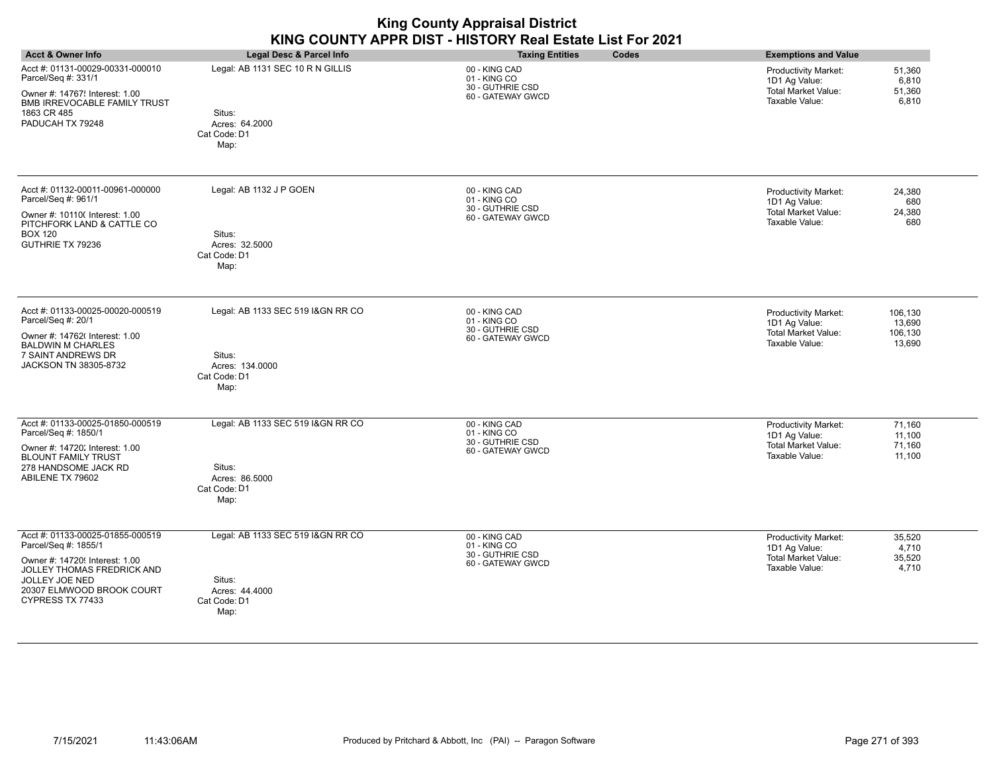|                                                                                                                                                                                             |                                                                                        | <b>King County Appraisal District</b><br>KING COUNTY APPR DIST - HISTORY Real Estate List For 2021 |                                                                                                                                 |
|---------------------------------------------------------------------------------------------------------------------------------------------------------------------------------------------|----------------------------------------------------------------------------------------|----------------------------------------------------------------------------------------------------|---------------------------------------------------------------------------------------------------------------------------------|
| <b>Acct &amp; Owner Info</b>                                                                                                                                                                | <b>Legal Desc &amp; Parcel Info</b>                                                    | <b>Taxing Entities</b><br>Codes                                                                    | <b>Exemptions and Value</b>                                                                                                     |
| Acct #: 01131-00029-00331-000010<br>Parcel/Seq #: 331/1<br>Owner #: 14767! Interest: 1.00<br>BMB IRREVOCABLE FAMILY TRUST<br>1863 CR 485<br>PADUCAH TX 79248                                | Legal: AB 1131 SEC 10 R N GILLIS<br>Situs:<br>Acres: 64.2000<br>Cat Code: D1<br>Map:   | 00 - KING CAD<br>01 - KING CO<br>30 - GUTHRIE CSD<br>60 - GATEWAY GWCD                             | Productivity Market:<br>51,360<br>1D1 Ag Value:<br>6,810<br><b>Total Market Value:</b><br>51,360<br>Taxable Value:<br>6,810     |
| Acct #: 01132-00011-00961-000000<br>Parcel/Seq #: 961/1<br>Owner #: 10110( Interest: 1.00<br>PITCHFORK LAND & CATTLE CO<br><b>BOX 120</b><br>GUTHRIE TX 79236                               | Legal: AB 1132 J P GOEN<br>Situs:<br>Acres: 32.5000<br>Cat Code: D1<br>Map:            | 00 - KING CAD<br>01 - KING CO<br>30 - GUTHRIE CSD<br>60 - GATEWAY GWCD                             | 24,380<br>Productivity Market:<br>680<br>1D1 Ag Value:<br><b>Total Market Value:</b><br>24,380<br>Taxable Value:<br>680         |
| Acct #: 01133-00025-00020-000519<br>Parcel/Seq #: 20/1<br>Owner #: 14762(Interest: 1.00<br><b>BALDWIN M CHARLES</b><br>7 SAINT ANDREWS DR<br>JACKSON TN 38305-8732                          | Legal: AB 1133 SEC 519 I&GN RR CO<br>Situs:<br>Acres: 134.0000<br>Cat Code: D1<br>Map: | 00 - KING CAD<br>01 - KING CO<br>30 - GUTHRIE CSD<br>60 - GATEWAY GWCD                             | Productivity Market:<br>106,130<br>1D1 Ag Value:<br>13,690<br><b>Total Market Value:</b><br>106,130<br>13,690<br>Taxable Value: |
| Acct #: 01133-00025-01850-000519<br>Parcel/Seq #: 1850/1<br>Owner #: 14720; Interest: 1.00<br><b>BLOUNT FAMILY TRUST</b><br>278 HANDSOME JACK RD<br>ABILENE TX 79602                        | Legal: AB 1133 SEC 519 I&GN RR CO<br>Situs:<br>Acres: 86.5000<br>Cat Code: D1<br>Map:  | 00 - KING CAD<br>01 - KING CO<br>30 - GUTHRIE CSD<br>60 - GATEWAY GWCD                             | Productivity Market:<br>71,160<br>1D1 Ag Value:<br>11,100<br><b>Total Market Value:</b><br>71,160<br>Taxable Value:<br>11,100   |
| Acct #: 01133-00025-01855-000519<br>Parcel/Seq #: 1855/1<br>Owner #: 147209 Interest: 1.00<br>JOLLEY THOMAS FREDRICK AND<br>JOLLEY JOE NED<br>20307 ELMWOOD BROOK COURT<br>CYPRESS TX 77433 | Legal: AB 1133 SEC 519 I&GN RR CO<br>Situs:<br>Acres: 44.4000<br>Cat Code: D1<br>Map:  | 00 - KING CAD<br>01 - KING CO<br>30 - GUTHRIE CSD<br>60 - GATEWAY GWCD                             | Productivity Market:<br>35,520<br>1D1 Ag Value:<br>4,710<br><b>Total Market Value:</b><br>35,520<br>Taxable Value:<br>4,710     |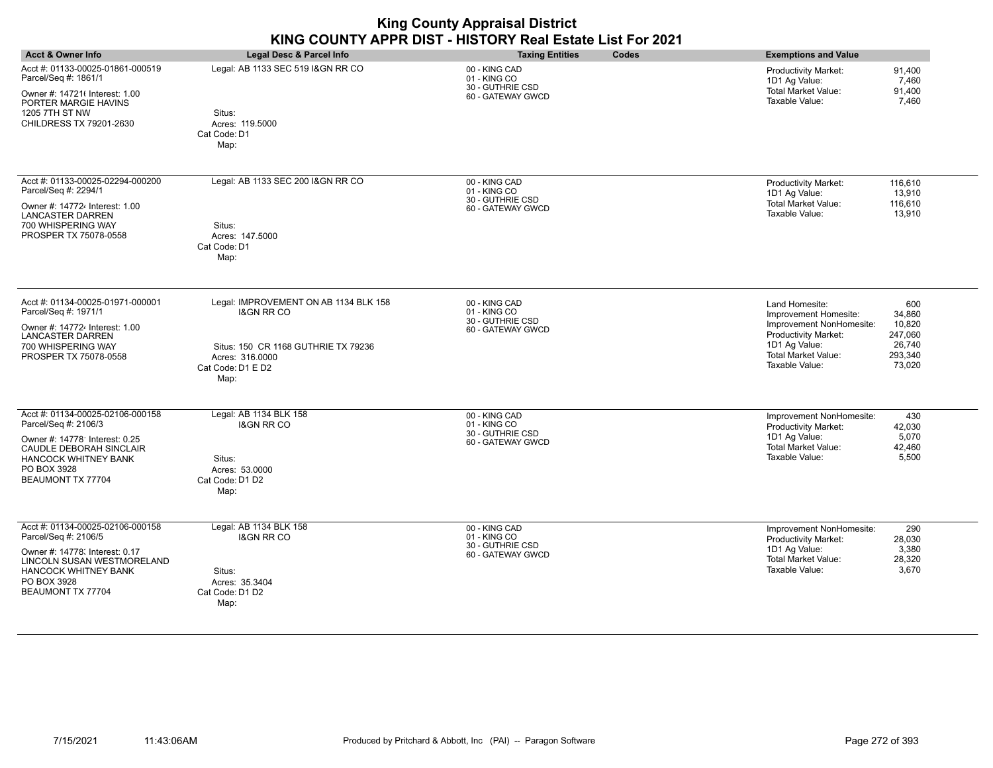| <b>Acct &amp; Owner Info</b>                                                                                                                                                                | Legal Desc & Parcel Info                                                                                                                              | <b>Taxing Entities</b><br>Codes                                        | <b>Exemptions and Value</b>                                                                                                                                                                                                              |
|---------------------------------------------------------------------------------------------------------------------------------------------------------------------------------------------|-------------------------------------------------------------------------------------------------------------------------------------------------------|------------------------------------------------------------------------|------------------------------------------------------------------------------------------------------------------------------------------------------------------------------------------------------------------------------------------|
| Acct #: 01133-00025-01861-000519<br>Parcel/Seq #: 1861/1<br>Owner #: 14721( Interest: 1.00<br>PORTER MARGIE HAVINS<br>1205 7TH ST NW<br>CHILDRESS TX 79201-2630                             | Legal: AB 1133 SEC 519 I&GN RR CO<br>Situs:<br>Acres: 119.5000<br>Cat Code: D1<br>Map:                                                                | 00 - KING CAD<br>01 - KING CO<br>30 - GUTHRIE CSD<br>60 - GATEWAY GWCD | 91,400<br>Productivity Market:<br>1D1 Ag Value:<br>7,460<br><b>Total Market Value:</b><br>91,400<br>Taxable Value:<br>7,460                                                                                                              |
| Acct #: 01133-00025-02294-000200<br>Parcel/Seq #: 2294/1<br>Owner #: 147724 Interest: 1.00<br><b>LANCASTER DARREN</b><br>700 WHISPERING WAY<br>PROSPER TX 75078-0558                        | Legal: AB 1133 SEC 200 I&GN RR CO<br>Situs:<br>Acres: 147.5000<br>Cat Code: D1<br>Map:                                                                | 00 - KING CAD<br>01 - KING CO<br>30 - GUTHRIE CSD<br>60 - GATEWAY GWCD | <b>Productivity Market:</b><br>116,610<br>1D1 Ag Value:<br>13,910<br>Total Market Value:<br>116,610<br>Taxable Value:<br>13,910                                                                                                          |
| Acct #: 01134-00025-01971-000001<br>Parcel/Seq #: 1971/1<br>Owner #: 147724 Interest: 1.00<br>LANCASTER DARREN<br>700 WHISPERING WAY<br>PROSPER TX 75078-0558                               | Legal: IMPROVEMENT ON AB 1134 BLK 158<br><b>I&amp;GN RR CO</b><br>Situs: 150 CR 1168 GUTHRIE TX 79236<br>Acres: 316,0000<br>Cat Code: D1 E D2<br>Map: | 00 - KING CAD<br>01 - KING CO<br>30 - GUTHRIE CSD<br>60 - GATEWAY GWCD | 600<br>Land Homesite:<br>34,860<br>Improvement Homesite:<br>Improvement NonHomesite:<br>10,820<br><b>Productivity Market:</b><br>247,060<br>1D1 Ag Value:<br>26,740<br><b>Total Market Value:</b><br>293,340<br>Taxable Value:<br>73,020 |
| Acct #: 01134-00025-02106-000158<br>Parcel/Seq #: 2106/3<br>Owner #: 14778' Interest: 0.25<br>CAUDLE DEBORAH SINCLAIR<br><b>HANCOCK WHITNEY BANK</b><br>PO BOX 3928<br>BEAUMONT TX 77704    | Legal: AB 1134 BLK 158<br><b>I&amp;GN RR CO</b><br>Situs:<br>Acres: 53,0000<br>Cat Code: D1 D2<br>Map:                                                | 00 - KING CAD<br>01 - KING CO<br>30 - GUTHRIE CSD<br>60 - GATEWAY GWCD | 430<br>Improvement NonHomesite:<br>Productivity Market:<br>42,030<br>1D1 Ag Value:<br>5,070<br>Total Market Value:<br>42,460<br>Taxable Value:<br>5,500                                                                                  |
| Acct #: 01134-00025-02106-000158<br>Parcel/Seq #: 2106/5<br>Owner #: 14778; Interest: 0.17<br>LINCOLN SUSAN WESTMORELAND<br><b>HANCOCK WHITNEY BANK</b><br>PO BOX 3928<br>BEAUMONT TX 77704 | Legal: AB 1134 BLK 158<br><b>I&amp;GN RR CO</b><br>Situs:<br>Acres: 35.3404<br>Cat Code: D1 D2<br>Map:                                                | 00 - KING CAD<br>01 - KING CO<br>30 - GUTHRIE CSD<br>60 - GATEWAY GWCD | 290<br>Improvement NonHomesite:<br>28,030<br><b>Productivity Market:</b><br>3,380<br>1D1 Ag Value:<br>Total Market Value:<br>28,320<br>Taxable Value:<br>3,670                                                                           |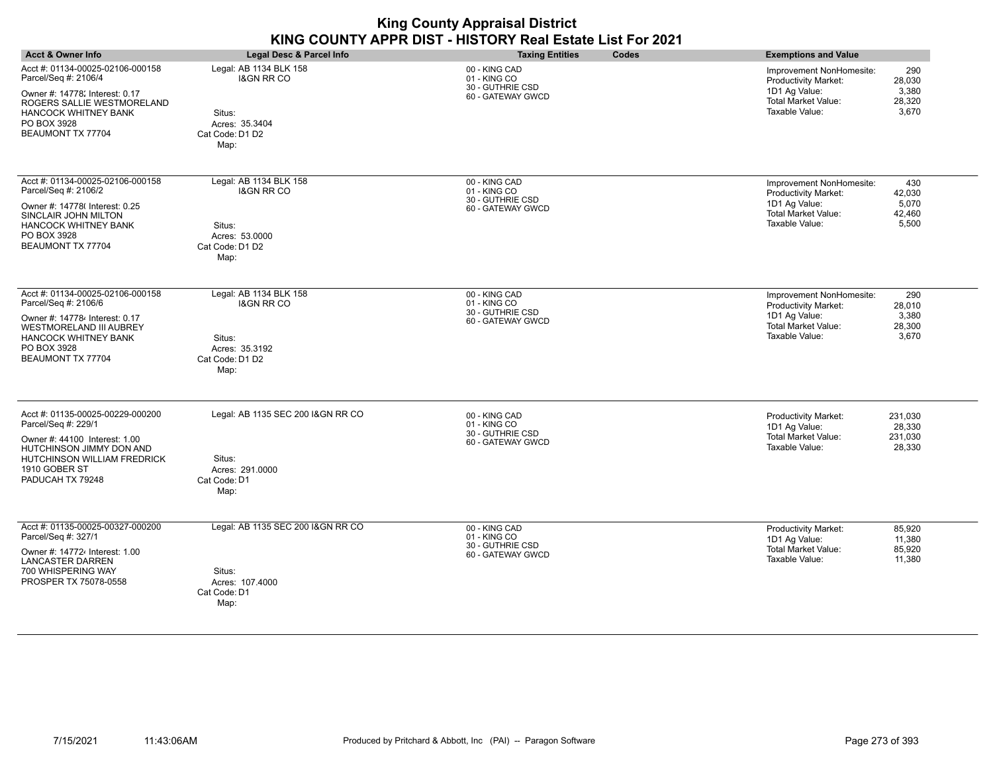|                                                                                                                                                                                          |                                                                                                        | <b>King County Appraisal District</b><br>KING COUNTY APPR DIST - HISTORY Real Estate List For 2021 |                                                                                                                                                                       |
|------------------------------------------------------------------------------------------------------------------------------------------------------------------------------------------|--------------------------------------------------------------------------------------------------------|----------------------------------------------------------------------------------------------------|-----------------------------------------------------------------------------------------------------------------------------------------------------------------------|
| <b>Acct &amp; Owner Info</b>                                                                                                                                                             | Legal Desc & Parcel Info                                                                               | <b>Taxing Entities</b><br>Codes                                                                    | <b>Exemptions and Value</b>                                                                                                                                           |
| Acct #: 01134-00025-02106-000158<br>Parcel/Seq #: 2106/4<br>Owner #: 14778; Interest: 0.17<br>ROGERS SALLIE WESTMORELAND<br>HANCOCK WHITNEY BANK<br>PO BOX 3928<br>BEAUMONT TX 77704     | Legal: AB 1134 BLK 158<br><b>I&amp;GN RR CO</b><br>Situs:<br>Acres: 35.3404<br>Cat Code: D1 D2<br>Map: | 00 - KING CAD<br>01 - KING CO<br>30 - GUTHRIE CSD<br>60 - GATEWAY GWCD                             | Improvement NonHomesite:<br>290<br><b>Productivity Market:</b><br>28.030<br>1D1 Ag Value:<br>3,380<br><b>Total Market Value:</b><br>28,320<br>Taxable Value:<br>3,670 |
| Acct #: 01134-00025-02106-000158<br>Parcel/Seq #: 2106/2<br>Owner #: 14778(Interest: 0.25<br>SINCLAIR JOHN MILTON<br><b>HANCOCK WHITNEY BANK</b><br>PO BOX 3928<br>BEAUMONT TX 77704     | Legal: AB 1134 BLK 158<br><b>I&amp;GN RR CO</b><br>Situs:<br>Acres: 53.0000<br>Cat Code: D1 D2<br>Map: | 00 - KING CAD<br>01 - KING CO<br>30 - GUTHRIE CSD<br>60 - GATEWAY GWCD                             | Improvement NonHomesite:<br>430<br><b>Productivity Market:</b><br>42,030<br>1D1 Ag Value:<br>5,070<br><b>Total Market Value:</b><br>42.460<br>Taxable Value:<br>5,500 |
| Acct #: 01134-00025-02106-000158<br>Parcel/Seq #: 2106/6<br>Owner #: 147784 Interest: 0.17<br>WESTMORELAND III AUBREY<br>HANCOCK WHITNEY BANK<br>PO BOX 3928<br>BEAUMONT TX 77704        | Legal: AB 1134 BLK 158<br><b>I&amp;GN RR CO</b><br>Situs:<br>Acres: 35.3192<br>Cat Code: D1 D2<br>Map: | 00 - KING CAD<br>01 - KING CO<br>30 - GUTHRIE CSD<br>60 - GATEWAY GWCD                             | 290<br>Improvement NonHomesite:<br><b>Productivity Market:</b><br>28,010<br>1D1 Ag Value:<br>3,380<br><b>Total Market Value:</b><br>28,300<br>Taxable Value:<br>3,670 |
| Acct #: 01135-00025-00229-000200<br>Parcel/Seq #: 229/1<br>Owner #: 44100 Interest: 1.00<br>HUTCHINSON JIMMY DON AND<br>HUTCHINSON WILLIAM FREDRICK<br>1910 GOBER ST<br>PADUCAH TX 79248 | Legal: AB 1135 SEC 200 I&GN RR CO<br>Situs:<br>Acres: 291.0000<br>Cat Code: D1<br>Map:                 | 00 - KING CAD<br>01 - KING CO<br>30 - GUTHRIE CSD<br>60 - GATEWAY GWCD                             | <b>Productivity Market:</b><br>231.030<br>28,330<br>1D1 Ag Value:<br><b>Total Market Value:</b><br>231,030<br>Taxable Value:<br>28,330                                |
| Acct #: 01135-00025-00327-000200<br>Parcel/Seq #: 327/1<br>Owner #: 147724 Interest: 1.00<br><b>LANCASTER DARREN</b><br>700 WHISPERING WAY<br>PROSPER TX 75078-0558                      | Legal: AB 1135 SEC 200 I&GN RR CO<br>Situs:<br>Acres: 107.4000<br>Cat Code: D1<br>Map:                 | 00 - KING CAD<br>01 - KING CO<br>30 - GUTHRIE CSD<br>60 - GATEWAY GWCD                             | <b>Productivity Market:</b><br>85,920<br>1D1 Ag Value:<br>11,380<br>Total Market Value:<br>85,920<br>Taxable Value:<br>11,380                                         |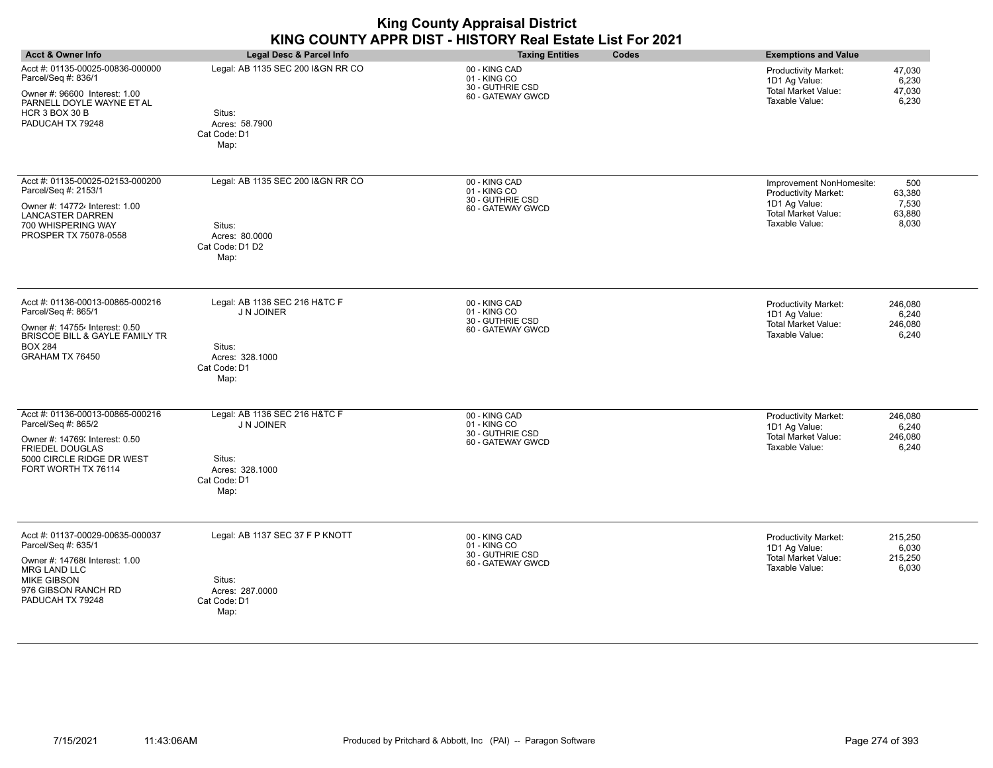| <b>Acct &amp; Owner Info</b>                                                                                                                                                      | Legal Desc & Parcel Info                                                                         | <b>Taxing Entities</b><br>Codes                                        | <b>Exemptions and Value</b>                                                                                                                                    |
|-----------------------------------------------------------------------------------------------------------------------------------------------------------------------------------|--------------------------------------------------------------------------------------------------|------------------------------------------------------------------------|----------------------------------------------------------------------------------------------------------------------------------------------------------------|
| Acct #: 01135-00025-00836-000000<br>Parcel/Seq #: 836/1<br>Owner #: 96600 Interest: 1.00<br>PARNELL DOYLE WAYNE ET AL<br>HCR 3 BOX 30 B<br>PADUCAH TX 79248                       | Legal: AB 1135 SEC 200 I&GN RR CO<br>Situs:<br>Acres: 58.7900<br>Cat Code: D1<br>Map:            | 00 - KING CAD<br>01 - KING CO<br>30 - GUTHRIE CSD<br>60 - GATEWAY GWCD | 47,030<br><b>Productivity Market:</b><br>1D1 Ag Value:<br>6,230<br><b>Total Market Value:</b><br>47,030<br>6,230<br>Taxable Value:                             |
| Acct #: 01135-00025-02153-000200<br>Parcel/Seq #: 2153/1<br>Owner #: 147724 Interest: 1.00<br>LANCASTER DARREN<br>700 WHISPERING WAY<br>PROSPER TX 75078-0558                     | Legal: AB 1135 SEC 200 I&GN RR CO<br>Situs:<br>Acres: 80,0000<br>Cat Code: D1 D2<br>Map:         | 00 - KING CAD<br>01 - KING CO<br>30 - GUTHRIE CSD<br>60 - GATEWAY GWCD | 500<br>Improvement NonHomesite:<br>Productivity Market:<br>63,380<br>1D1 Ag Value:<br>7,530<br><b>Total Market Value:</b><br>63,880<br>Taxable Value:<br>8,030 |
| Acct #: 01136-00013-00865-000216<br>Parcel/Seq #: 865/1<br>Owner #: 147554 Interest: 0.50<br><b>BRISCOE BILL &amp; GAYLE FAMILY TR</b><br><b>BOX 284</b><br>GRAHAM TX 76450       | Legal: AB 1136 SEC 216 H&TC F<br>J N JOINER<br>Situs:<br>Acres: 328.1000<br>Cat Code: D1<br>Map: | 00 - KING CAD<br>01 - KING CO<br>30 - GUTHRIE CSD<br>60 - GATEWAY GWCD | 246,080<br>Productivity Market:<br>1D1 Ag Value:<br>6,240<br><b>Total Market Value:</b><br>246,080<br>Taxable Value:<br>6,240                                  |
| Acct #: 01136-00013-00865-000216<br>Parcel/Seq #: 865/2<br>Owner #: 14769; Interest: 0.50<br><b>FRIEDEL DOUGLAS</b><br>5000 CIRCLE RIDGE DR WEST<br>FORT WORTH TX 76114           | Legal: AB 1136 SEC 216 H&TC F<br>J N JOINER<br>Situs:<br>Acres: 328.1000<br>Cat Code: D1<br>Map: | 00 - KING CAD<br>01 - KING CO<br>30 - GUTHRIE CSD<br>60 - GATEWAY GWCD | 246,080<br><b>Productivity Market:</b><br>1D1 Ag Value:<br>6,240<br>Total Market Value:<br>246,080<br>Taxable Value:<br>6,240                                  |
| Acct #: 01137-00029-00635-000037<br>Parcel/Seq #: 635/1<br>Owner #: 14768( Interest: 1.00<br><b>MRG LAND LLC</b><br><b>MIKE GIBSON</b><br>976 GIBSON RANCH RD<br>PADUCAH TX 79248 | Legal: AB 1137 SEC 37 F P KNOTT<br>Situs:<br>Acres: 287.0000<br>Cat Code: D1<br>Map:             | 00 - KING CAD<br>01 - KING CO<br>30 - GUTHRIE CSD<br>60 - GATEWAY GWCD | Productivity Market:<br>215,250<br>1D1 Ag Value:<br>6,030<br>Total Market Value:<br>215,250<br>Taxable Value:<br>6,030                                         |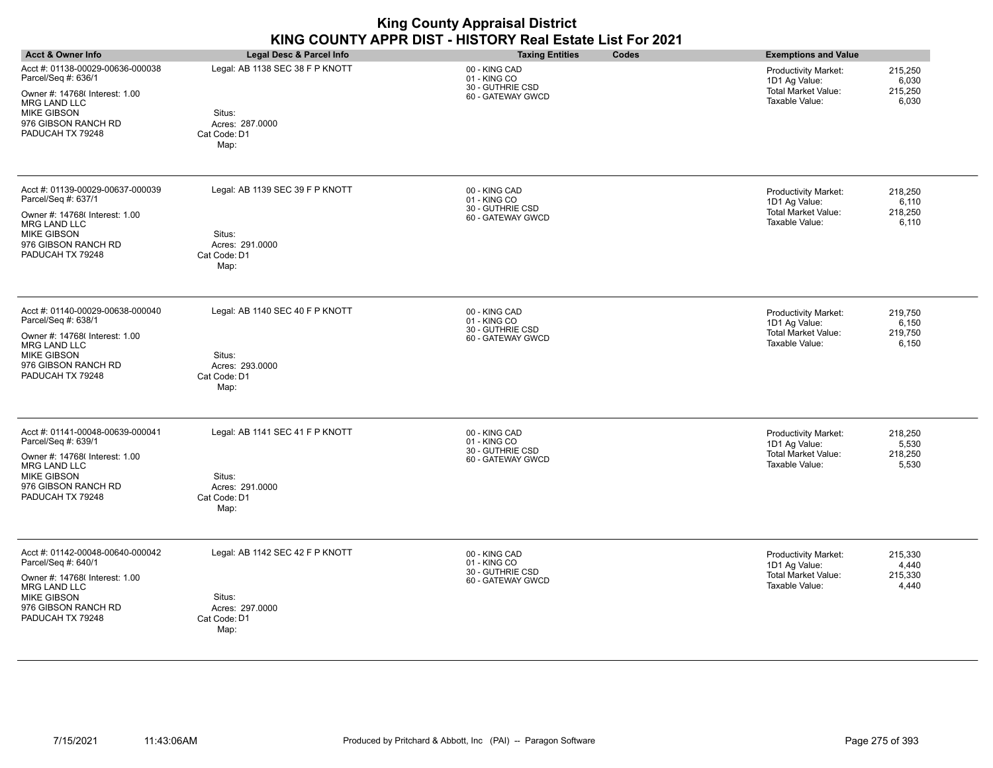| <b>Acct &amp; Owner Info</b>                                                                                                                                                      | Legal Desc & Parcel Info                                                             | <b>Taxing Entities</b><br>Codes                                        | <b>Exemptions and Value</b>                                                                                                   |
|-----------------------------------------------------------------------------------------------------------------------------------------------------------------------------------|--------------------------------------------------------------------------------------|------------------------------------------------------------------------|-------------------------------------------------------------------------------------------------------------------------------|
| Acct #: 01138-00029-00636-000038<br>Parcel/Seq #: 636/1<br>Owner #: 14768( Interest: 1.00<br>MRG LAND LLC<br><b>MIKE GIBSON</b><br>976 GIBSON RANCH RD<br>PADUCAH TX 79248        | Legal: AB 1138 SEC 38 F P KNOTT<br>Situs:<br>Acres: 287.0000<br>Cat Code: D1<br>Map: | 00 - KING CAD<br>01 - KING CO<br>30 - GUTHRIE CSD<br>60 - GATEWAY GWCD | 215,250<br>Productivity Market:<br>1D1 Ag Value:<br>6,030<br><b>Total Market Value:</b><br>215,250<br>Taxable Value:<br>6,030 |
| Acct #: 01139-00029-00637-000039<br>Parcel/Seq #: 637/1<br>Owner #: 14768( Interest: 1.00<br><b>MRG LAND LLC</b><br><b>MIKE GIBSON</b><br>976 GIBSON RANCH RD<br>PADUCAH TX 79248 | Legal: AB 1139 SEC 39 F P KNOTT<br>Situs:<br>Acres: 291.0000<br>Cat Code: D1<br>Map: | 00 - KING CAD<br>01 - KING CO<br>30 - GUTHRIE CSD<br>60 - GATEWAY GWCD | 218,250<br>Productivity Market:<br>6,110<br>1D1 Ag Value:<br><b>Total Market Value:</b><br>218,250<br>Taxable Value:<br>6,110 |
| Acct #: 01140-00029-00638-000040<br>Parcel/Seq #: 638/1<br>Owner #: 14768( Interest: 1.00<br><b>MRG LAND LLC</b><br><b>MIKE GIBSON</b><br>976 GIBSON RANCH RD<br>PADUCAH TX 79248 | Legal: AB 1140 SEC 40 F P KNOTT<br>Situs:<br>Acres: 293.0000<br>Cat Code: D1<br>Map: | 00 - KING CAD<br>01 - KING CO<br>30 - GUTHRIE CSD<br>60 - GATEWAY GWCD | 219,750<br>Productivity Market:<br>1D1 Ag Value:<br>6,150<br><b>Total Market Value:</b><br>219,750<br>Taxable Value:<br>6,150 |
| Acct #: 01141-00048-00639-000041<br>Parcel/Seq #: 639/1<br>Owner #: 14768(Interest: 1.00<br>MRG LAND LLC<br><b>MIKE GIBSON</b><br>976 GIBSON RANCH RD<br>PADUCAH TX 79248         | Legal: AB 1141 SEC 41 F P KNOTT<br>Situs:<br>Acres: 291.0000<br>Cat Code: D1<br>Map: | 00 - KING CAD<br>01 - KING CO<br>30 - GUTHRIE CSD<br>60 - GATEWAY GWCD | 218,250<br>Productivity Market:<br>1D1 Ag Value:<br>5,530<br>Total Market Value:<br>218,250<br>Taxable Value:<br>5,530        |
| Acct #: 01142-00048-00640-000042<br>Parcel/Seq #: 640/1<br>Owner #: 14768( Interest: 1.00<br><b>MRG LAND LLC</b><br><b>MIKE GIBSON</b><br>976 GIBSON RANCH RD<br>PADUCAH TX 79248 | Legal: AB 1142 SEC 42 F P KNOTT<br>Situs:<br>Acres: 297.0000<br>Cat Code: D1<br>Map: | 00 - KING CAD<br>01 - KING CO<br>30 - GUTHRIE CSD<br>60 - GATEWAY GWCD | Productivity Market:<br>215,330<br>1D1 Ag Value:<br>4,440<br><b>Total Market Value:</b><br>215,330<br>Taxable Value:<br>4,440 |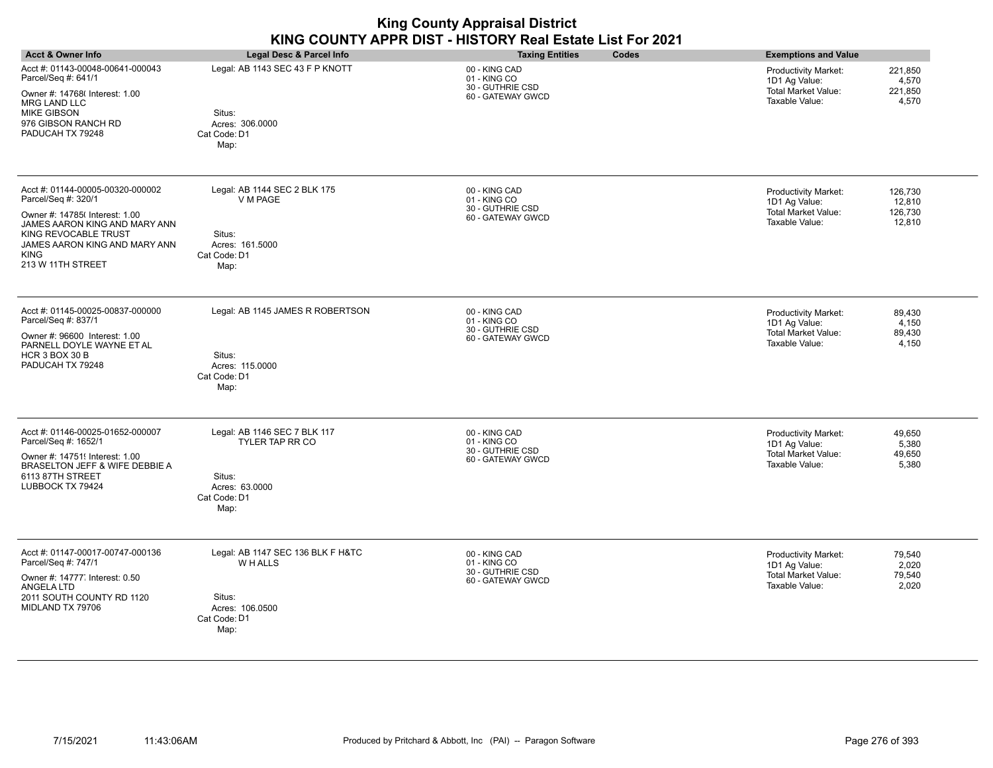| <b>Acct &amp; Owner Info</b>                                                                                                                                                                                            | Legal Desc & Parcel Info                                                                                   | <b>Taxing Entities</b><br>Codes                                        | <b>Exemptions and Value</b>                                                                                                            |
|-------------------------------------------------------------------------------------------------------------------------------------------------------------------------------------------------------------------------|------------------------------------------------------------------------------------------------------------|------------------------------------------------------------------------|----------------------------------------------------------------------------------------------------------------------------------------|
| Acct #: 01143-00048-00641-000043<br>Parcel/Seq #: 641/1<br>Owner #: 14768(Interest: 1.00<br><b>MRG LAND LLC</b><br><b>MIKE GIBSON</b><br>976 GIBSON RANCH RD<br>PADUCAH TX 79248                                        | Legal: AB 1143 SEC 43 F P KNOTT<br>Situs:<br>Acres: 306.0000<br>Cat Code: D1<br>Map:                       | 00 - KING CAD<br>01 - KING CO<br>30 - GUTHRIE CSD<br>60 - GATEWAY GWCD | Productivity Market:<br>221,850<br>1D1 Ag Value:<br>4,570<br><b>Total Market Value:</b><br>221,850<br>4,570<br>Taxable Value:          |
| Acct #: 01144-00005-00320-000002<br>Parcel/Seq #: 320/1<br>Owner #: 14785( Interest: 1.00<br>JAMES AARON KING AND MARY ANN<br>KING REVOCABLE TRUST<br>JAMES AARON KING AND MARY ANN<br><b>KING</b><br>213 W 11TH STREET | Legal: AB 1144 SEC 2 BLK 175<br>V M PAGE<br>Situs:<br>Acres: 161.5000<br>Cat Code: D1<br>Map:              | 00 - KING CAD<br>01 - KING CO<br>30 - GUTHRIE CSD<br>60 - GATEWAY GWCD | <b>Productivity Market:</b><br>126,730<br>1D1 Ag Value:<br>12,810<br><b>Total Market Value:</b><br>126,730<br>Taxable Value:<br>12,810 |
| Acct #: 01145-00025-00837-000000<br>Parcel/Seq #: 837/1<br>Owner #: 96600 Interest: 1.00<br>PARNELL DOYLE WAYNE ET AL<br>HCR 3 BOX 30 B<br>PADUCAH TX 79248                                                             | Legal: AB 1145 JAMES R ROBERTSON<br>Situs:<br>Acres: 115.0000<br>Cat Code: D1<br>Map:                      | 00 - KING CAD<br>01 - KING CO<br>30 - GUTHRIE CSD<br>60 - GATEWAY GWCD | Productivity Market:<br>89.430<br>1D1 Ag Value:<br>4,150<br><b>Total Market Value:</b><br>89.430<br>Taxable Value:<br>4,150            |
| Acct #: 01146-00025-01652-000007<br>Parcel/Seq #: 1652/1<br>Owner #: 14751! Interest: 1.00<br>BRASELTON JEFF & WIFE DEBBIE A<br>6113 87TH STREET<br>LUBBOCK TX 79424                                                    | Legal: AB 1146 SEC 7 BLK 117<br><b>TYLER TAP RR CO</b><br>Situs:<br>Acres: 63,0000<br>Cat Code: D1<br>Map: | 00 - KING CAD<br>01 - KING CO<br>30 - GUTHRIE CSD<br>60 - GATEWAY GWCD | Productivity Market:<br>49,650<br>1D1 Ag Value:<br>5,380<br><b>Total Market Value:</b><br>49,650<br>Taxable Value:<br>5,380            |
| Acct #: 01147-00017-00747-000136<br>Parcel/Seq #: 747/1<br>Owner #: 14777, Interest: 0.50<br>ANGELA LTD<br>2011 SOUTH COUNTY RD 1120<br>MIDLAND TX 79706                                                                | Legal: AB 1147 SEC 136 BLK F H&TC<br>W H ALLS<br>Situs:<br>Acres: 106.0500<br>Cat Code: D1<br>Map:         | 00 - KING CAD<br>01 - KING CO<br>30 - GUTHRIE CSD<br>60 - GATEWAY GWCD | 79,540<br>Productivity Market:<br>1D1 Ag Value:<br>2,020<br><b>Total Market Value:</b><br>79,540<br>2,020<br>Taxable Value:            |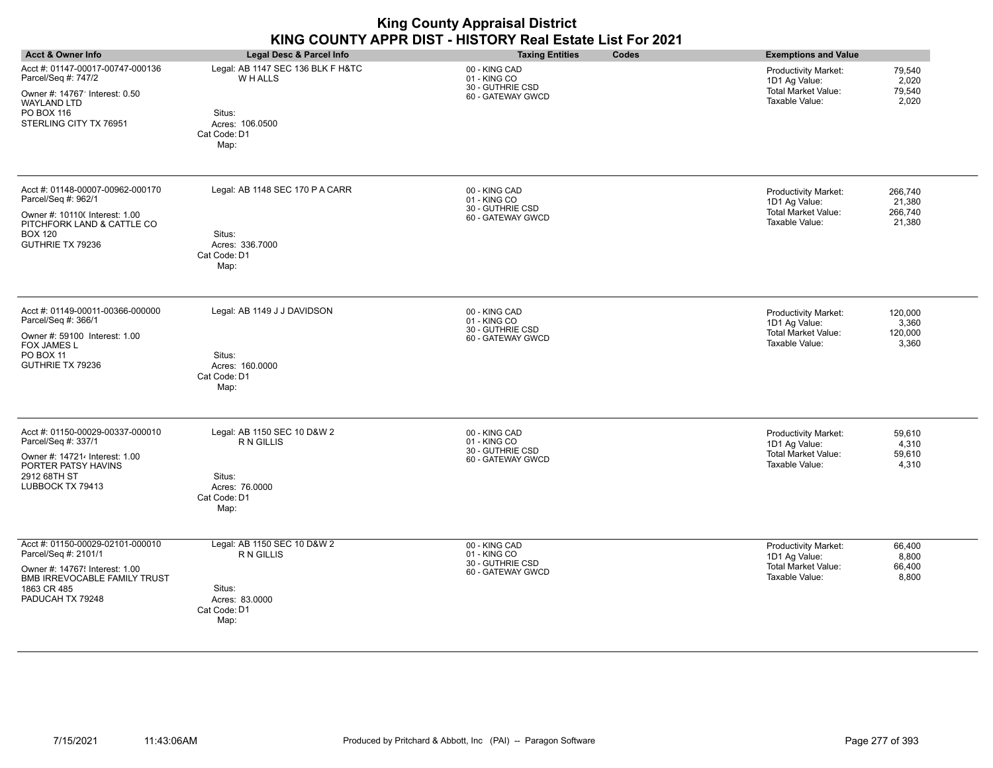| <b>Acct &amp; Owner Info</b>                                                                                                                                  | <b>Legal Desc &amp; Parcel Info</b>                                                           | <b>Taxing Entities</b><br>Codes                                        | <b>Exemptions and Value</b>                                                                                                        |
|---------------------------------------------------------------------------------------------------------------------------------------------------------------|-----------------------------------------------------------------------------------------------|------------------------------------------------------------------------|------------------------------------------------------------------------------------------------------------------------------------|
| Acct #: 01147-00017-00747-000136<br>Parcel/Seq #: 747/2                                                                                                       | Legal: AB 1147 SEC 136 BLK F H&TC<br>W H ALLS                                                 | 00 - KING CAD<br>01 - KING CO                                          | 79,540<br><b>Productivity Market:</b><br>1D1 Ag Value:<br>2,020                                                                    |
| Owner #: 14767' Interest: 0.50<br>WAYLAND LTD<br>PO BOX 116<br>STERLING CITY TX 76951                                                                         | Situs:<br>Acres: 106.0500<br>Cat Code: D1<br>Map:                                             | 30 - GUTHRIE CSD<br>60 - GATEWAY GWCD                                  | <b>Total Market Value:</b><br>79,540<br>Taxable Value:<br>2,020                                                                    |
| Acct #: 01148-00007-00962-000170<br>Parcel/Seq #: 962/1<br>Owner #: 10110( Interest: 1.00<br>PITCHFORK LAND & CATTLE CO<br><b>BOX 120</b><br>GUTHRIE TX 79236 | Legal: AB 1148 SEC 170 P A CARR<br>Situs:<br>Acres: 336.7000<br>Cat Code: D1<br>Map:          | 00 - KING CAD<br>01 - KING CO<br>30 - GUTHRIE CSD<br>60 - GATEWAY GWCD | <b>Productivity Market:</b><br>266,740<br>21,380<br>1D1 Ag Value:<br>Total Market Value:<br>266,740<br>Taxable Value:<br>21,380    |
| Acct #: 01149-00011-00366-000000<br>Parcel/Seq #: 366/1<br>Owner #: 59100 Interest: 1.00<br>FOX JAMES L<br><b>PO BOX 11</b><br>GUTHRIE TX 79236               | Legal: AB 1149 J J DAVIDSON<br>Situs:<br>Acres: 160.0000<br>Cat Code: D1<br>Map:              | 00 - KING CAD<br>01 - KING CO<br>30 - GUTHRIE CSD<br>60 - GATEWAY GWCD | 120,000<br>Productivity Market:<br>1D1 Ag Value:<br>3,360<br>120,000<br>Total Market Value:<br>Taxable Value:<br>3,360             |
| Acct #: 01150-00029-00337-000010<br>Parcel/Seq #: 337/1<br>Owner #: 147214 Interest: 1.00<br>PORTER PATSY HAVINS<br>2912 68TH ST<br>LUBBOCK TX 79413          | Legal: AB 1150 SEC 10 D&W 2<br>R N GILLIS<br>Situs:<br>Acres: 76.0000<br>Cat Code: D1<br>Map: | 00 - KING CAD<br>01 - KING CO<br>30 - GUTHRIE CSD<br>60 - GATEWAY GWCD | <b>Productivity Market:</b><br>59,610<br>1D1 Ag Value:<br>4,310<br><b>Total Market Value:</b><br>59,610<br>Taxable Value:<br>4,310 |
| Acct #: 01150-00029-02101-000010<br>Parcel/Seq #: 2101/1<br>Owner #: 14767! Interest: 1.00<br>BMB IRREVOCABLE FAMILY TRUST<br>1863 CR 485<br>PADUCAH TX 79248 | Legal: AB 1150 SEC 10 D&W 2<br>R N GILLIS<br>Situs:<br>Acres: 83.0000<br>Cat Code: D1<br>Map: | 00 - KING CAD<br>01 - KING CO<br>30 - GUTHRIE CSD<br>60 - GATEWAY GWCD | Productivity Market:<br>66,400<br>8,800<br>1D1 Ag Value:<br><b>Total Market Value:</b><br>66,400<br>Taxable Value:<br>8,800        |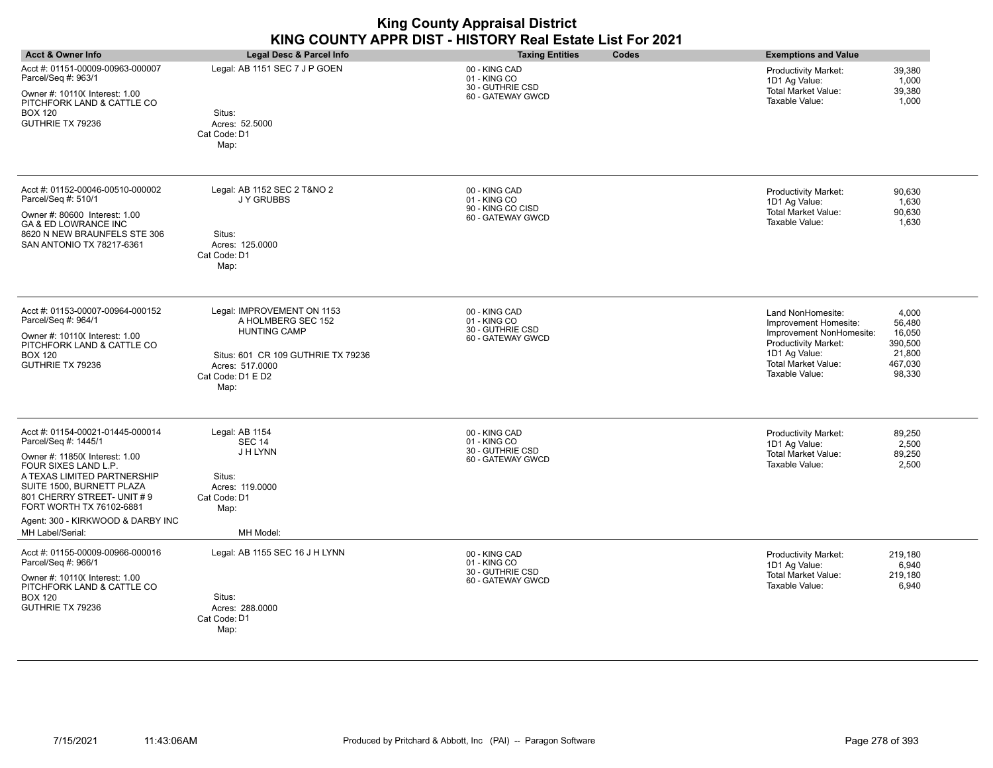| <b>Acct &amp; Owner Info</b>                                                                                                                                                                                                             | <b>Legal Desc &amp; Parcel Info</b>                                                                                                                           | <b>Taxing Entities</b><br>Codes                                         | <b>Exemptions and Value</b>                                                                                                                                                                                                                   |
|------------------------------------------------------------------------------------------------------------------------------------------------------------------------------------------------------------------------------------------|---------------------------------------------------------------------------------------------------------------------------------------------------------------|-------------------------------------------------------------------------|-----------------------------------------------------------------------------------------------------------------------------------------------------------------------------------------------------------------------------------------------|
| Acct #: 01151-00009-00963-000007<br>Parcel/Seq #: 963/1                                                                                                                                                                                  | Legal: AB 1151 SEC 7 J P GOEN                                                                                                                                 | 00 - KING CAD<br>01 - KING CO                                           | 39,380<br><b>Productivity Market:</b><br>1,000<br>1D1 Ag Value:                                                                                                                                                                               |
| Owner #: 10110( Interest: 1.00<br>PITCHFORK LAND & CATTLE CO<br><b>BOX 120</b><br>GUTHRIE TX 79236                                                                                                                                       | Situs:<br>Acres: 52,5000<br>Cat Code: D1<br>Map:                                                                                                              | 30 - GUTHRIE CSD<br>60 - GATEWAY GWCD                                   | <b>Total Market Value:</b><br>39,380<br>Taxable Value:<br>1,000                                                                                                                                                                               |
| Acct #: 01152-00046-00510-000002<br>Parcel/Seq #: 510/1<br>Owner #: 80600 Interest: 1.00<br><b>GA &amp; ED LOWRANCE INC</b><br>8620 N NEW BRAUNFELS STE 306<br>SAN ANTONIO TX 78217-6361                                                 | Legal: AB 1152 SEC 2 T&NO 2<br><b>JY GRUBBS</b><br>Situs:<br>Acres: 125.0000<br>Cat Code: D1<br>Map:                                                          | 00 - KING CAD<br>01 - KING CO<br>90 - KING CO CISD<br>60 - GATEWAY GWCD | 90,630<br><b>Productivity Market:</b><br>1D1 Ag Value:<br>1,630<br><b>Total Market Value:</b><br>90,630<br>Taxable Value:<br>1,630                                                                                                            |
| Acct #: 01153-00007-00964-000152<br>Parcel/Seq #: 964/1<br>Owner #: 10110( Interest: 1.00<br>PITCHFORK LAND & CATTLE CO<br><b>BOX 120</b><br>GUTHRIE TX 79236                                                                            | Legal: IMPROVEMENT ON 1153<br>A HOLMBERG SEC 152<br><b>HUNTING CAMP</b><br>Situs: 601 CR 109 GUTHRIE TX 79236<br>Acres: 517.0000<br>Cat Code: D1 E D2<br>Map: | 00 - KING CAD<br>01 - KING CO<br>30 - GUTHRIE CSD<br>60 - GATEWAY GWCD  | Land NonHomesite:<br>4,000<br>56,480<br>Improvement Homesite:<br>16,050<br>Improvement NonHomesite:<br><b>Productivity Market:</b><br>390,500<br>1D1 Ag Value:<br>21,800<br><b>Total Market Value:</b><br>467,030<br>Taxable Value:<br>98,330 |
| Acct #: 01154-00021-01445-000014<br>Parcel/Seq #: 1445/1<br>Owner #: 11850( Interest: 1.00<br>FOUR SIXES LAND L.P.<br>A TEXAS LIMITED PARTNERSHIP<br>SUITE 1500, BURNETT PLAZA<br>801 CHERRY STREET- UNIT #9<br>FORT WORTH TX 76102-6881 | Legal: AB 1154<br><b>SEC 14</b><br>J H LYNN<br>Situs:<br>Acres: 119.0000<br>Cat Code: D1<br>Map:                                                              | 00 - KING CAD<br>01 - KING CO<br>30 - GUTHRIE CSD<br>60 - GATEWAY GWCD  | 89,250<br><b>Productivity Market:</b><br>2,500<br>1D1 Ag Value:<br>89,250<br>Total Market Value:<br>Taxable Value:<br>2,500                                                                                                                   |
| Agent: 300 - KIRKWOOD & DARBY INC<br>MH Label/Serial:                                                                                                                                                                                    | MH Model:                                                                                                                                                     |                                                                         |                                                                                                                                                                                                                                               |
| Acct #: 01155-00009-00966-000016<br>Parcel/Seq #: 966/1<br>Owner #: 10110( Interest: 1.00<br>PITCHFORK LAND & CATTLE CO<br><b>BOX 120</b><br>GUTHRIE TX 79236                                                                            | Legal: AB 1155 SEC 16 J H LYNN<br>Situs:<br>Acres: 288.0000<br>Cat Code: D1<br>Map:                                                                           | 00 - KING CAD<br>01 - KING CO<br>30 - GUTHRIE CSD<br>60 - GATEWAY GWCD  | Productivity Market:<br>219,180<br>6,940<br>1D1 Ag Value:<br><b>Total Market Value:</b><br>219,180<br>Taxable Value:<br>6,940                                                                                                                 |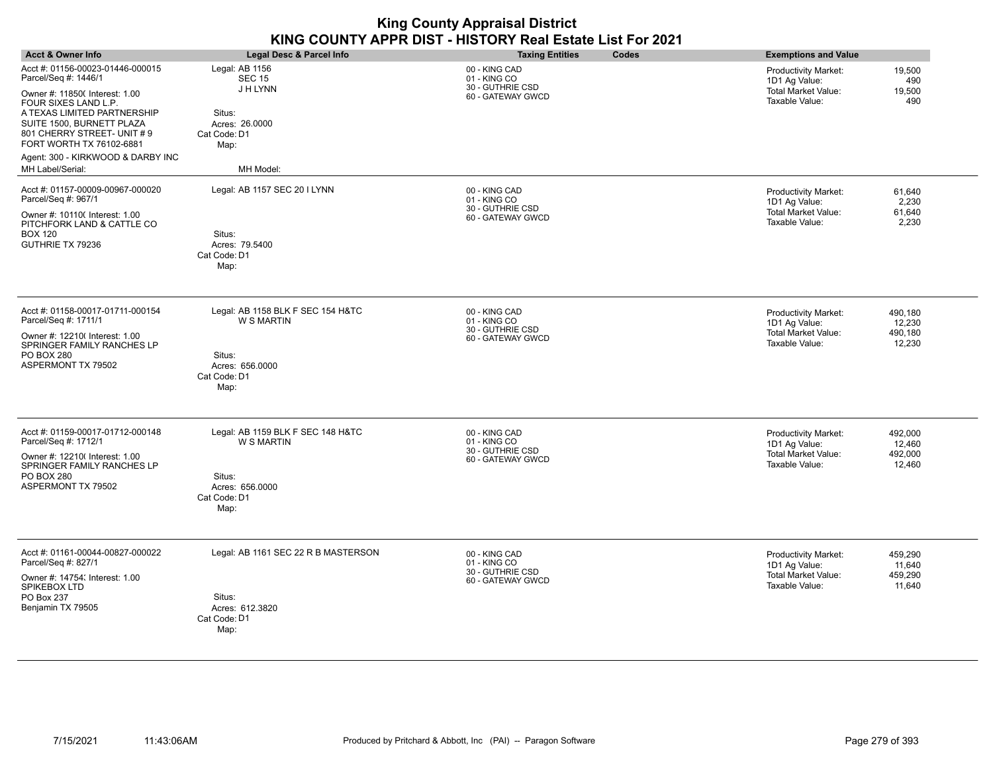|                                                                                                                                                                                                                                                                               |                                                                                                             | <b>King County Appraisal District</b><br>KING COUNTY APPR DIST - HISTORY Real Estate List For 2021 |                                                                                                                                        |
|-------------------------------------------------------------------------------------------------------------------------------------------------------------------------------------------------------------------------------------------------------------------------------|-------------------------------------------------------------------------------------------------------------|----------------------------------------------------------------------------------------------------|----------------------------------------------------------------------------------------------------------------------------------------|
| <b>Acct &amp; Owner Info</b>                                                                                                                                                                                                                                                  | <b>Legal Desc &amp; Parcel Info</b>                                                                         | <b>Taxing Entities</b><br>Codes                                                                    | <b>Exemptions and Value</b>                                                                                                            |
| Acct #: 01156-00023-01446-000015<br>Parcel/Seq #: 1446/1<br>Owner #: 11850( Interest: 1.00<br>FOUR SIXES LAND L.P.<br>A TEXAS LIMITED PARTNERSHIP<br>SUITE 1500, BURNETT PLAZA<br>801 CHERRY STREET- UNIT #9<br>FORT WORTH TX 76102-6881<br>Agent: 300 - KIRKWOOD & DARBY INC | Legal: AB 1156<br><b>SEC 15</b><br>J H LYNN<br>Situs:<br>Acres: 26.0000<br>Cat Code: D1<br>Map:             | 00 - KING CAD<br>01 - KING CO<br>30 - GUTHRIE CSD<br>60 - GATEWAY GWCD                             | 19,500<br><b>Productivity Market:</b><br>1D1 Ag Value:<br>490<br><b>Total Market Value:</b><br>19,500<br>490<br>Taxable Value:         |
| MH Label/Serial:                                                                                                                                                                                                                                                              | MH Model:                                                                                                   |                                                                                                    |                                                                                                                                        |
| Acct #: 01157-00009-00967-000020<br>Parcel/Seq #: 967/1<br>Owner #: 10110( Interest: 1.00<br>PITCHFORK LAND & CATTLE CO<br><b>BOX 120</b><br>GUTHRIE TX 79236                                                                                                                 | Legal: AB 1157 SEC 20 I LYNN<br>Situs:<br>Acres: 79.5400<br>Cat Code: D1<br>Map:                            | 00 - KING CAD<br>01 - KING CO<br>30 - GUTHRIE CSD<br>60 - GATEWAY GWCD                             | <b>Productivity Market:</b><br>61,640<br>2,230<br>1D1 Ag Value:<br><b>Total Market Value:</b><br>61,640<br>Taxable Value:<br>2,230     |
| Acct #: 01158-00017-01711-000154<br>Parcel/Seq #: 1711/1<br>Owner #: 12210( Interest: 1.00<br>SPRINGER FAMILY RANCHES LP<br><b>PO BOX 280</b><br>ASPERMONT TX 79502                                                                                                           | Legal: AB 1158 BLK F SEC 154 H&TC<br><b>W S MARTIN</b><br>Situs:<br>Acres: 656.0000<br>Cat Code: D1<br>Map: | 00 - KING CAD<br>01 - KING CO<br>30 - GUTHRIE CSD<br>60 - GATEWAY GWCD                             | <b>Productivity Market:</b><br>490,180<br>1D1 Ag Value:<br>12,230<br><b>Total Market Value:</b><br>490,180<br>Taxable Value:<br>12,230 |
| Acct #: 01159-00017-01712-000148<br>Parcel/Seq #: 1712/1<br>Owner #: 12210( Interest: 1.00<br>SPRINGER FAMILY RANCHES LP<br>PO BOX 280<br>ASPERMONT TX 79502                                                                                                                  | Legal: AB 1159 BLK F SEC 148 H&TC<br><b>W S MARTIN</b><br>Situs:<br>Acres: 656,0000<br>Cat Code: D1<br>Map: | 00 - KING CAD<br>01 - KING CO<br>30 - GUTHRIE CSD<br>60 - GATEWAY GWCD                             | <b>Productivity Market:</b><br>492,000<br>1D1 Ag Value:<br>12,460<br><b>Total Market Value:</b><br>492,000<br>Taxable Value:<br>12,460 |
| Acct #: 01161-00044-00827-000022<br>Parcel/Seq #: 827/1<br>Owner #: 14754; Interest: 1.00<br>SPIKEBOX LTD<br><b>PO Box 237</b><br>Benjamin TX 79505                                                                                                                           | Legal: AB 1161 SEC 22 R B MASTERSON<br>Situs:<br>Acres: 612.3820<br>Cat Code: D1<br>Map:                    | 00 - KING CAD<br>01 - KING CO<br>30 - GUTHRIE CSD<br>60 - GATEWAY GWCD                             | Productivity Market:<br>459.290<br>1D1 Ag Value:<br>11,640<br>Total Market Value:<br>459,290<br>Taxable Value:<br>11,640               |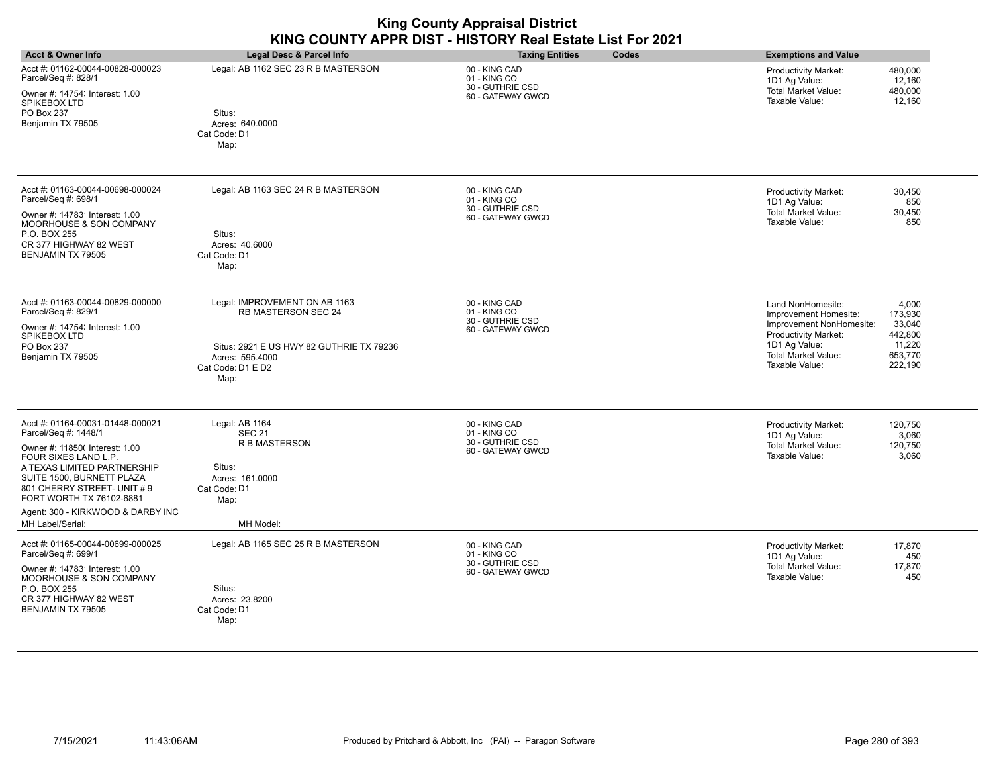| <b>Acct &amp; Owner Info</b><br><b>Taxing Entities</b><br>Legal Desc & Parcel Info<br>Codes<br><b>Exemptions and Value</b><br>Acct #: 01162-00044-00828-000023<br>Legal: AB 1162 SEC 23 R B MASTERSON<br>00 - KING CAD<br><b>Productivity Market:</b><br>Parcel/Seq #: 828/1<br>01 - KING CO<br>1D1 Ag Value:<br>30 - GUTHRIE CSD<br>Total Market Value:<br>Owner #: 14754; Interest: 1.00<br>60 - GATEWAY GWCD<br>Taxable Value:<br>SPIKEBOX LTD<br>PO Box 237<br>Situs:<br>Benjamin TX 79505<br>Acres: 640.0000<br>Cat Code: D1<br>Map:<br>Acct #: 01163-00044-00698-000024<br>Legal: AB 1163 SEC 24 R B MASTERSON<br>00 - KING CAD<br>Productivity Market:<br>Parcel/Seq #: 698/1<br>01 - KING CO<br>1D1 Ag Value:<br>30 - GUTHRIE CSD<br><b>Total Market Value:</b><br>Owner #: 14783' Interest: 1.00<br>60 - GATEWAY GWCD<br>Taxable Value:<br>MOORHOUSE & SON COMPANY<br>P.O. BOX 255<br>Situs:<br>CR 377 HIGHWAY 82 WEST<br>Acres: 40.6000<br>BENJAMIN TX 79505<br>Cat Code: D1<br>Map:<br>Acct #: 01163-00044-00829-000000<br>Legal: IMPROVEMENT ON AB 1163<br>00 - KING CAD<br>Land NonHomesite:<br>Parcel/Seq #: 829/1<br>01 - KING CO<br>RB MASTERSON SEC 24<br>Improvement Homesite:<br>30 - GUTHRIE CSD<br>Improvement NonHomesite:<br>Owner #: 14754; Interest: 1.00<br>60 - GATEWAY GWCD<br>Productivity Market:<br>SPIKEBOX LTD<br>1D1 Ag Value:<br>PO Box 237<br>Situs: 2921 E US HWY 82 GUTHRIE TX 79236<br><b>Total Market Value:</b><br>Benjamin TX 79505<br>Acres: 595.4000<br>Taxable Value:<br>Cat Code: D1 E D2<br>Map:<br>Acct #: 01164-00031-01448-000021<br>Legal: AB 1164<br>00 - KING CAD<br>Productivity Market:<br>Parcel/Seq #: 1448/1<br>01 - KING CO<br><b>SEC 21</b><br>1D1 Ag Value:<br>30 - GUTHRIE CSD<br>R B MASTERSON<br><b>Total Market Value:</b><br>Owner #: 11850( Interest: 1.00<br>60 - GATEWAY GWCD<br>Taxable Value:<br>FOUR SIXES LAND L.P.<br>A TEXAS LIMITED PARTNERSHIP<br>Situs:<br>SUITE 1500, BURNETT PLAZA<br>Acres: 161.0000<br>801 CHERRY STREET- UNIT #9<br>Cat Code: D1<br>FORT WORTH TX 76102-6881<br>Map:<br>Agent: 300 - KIRKWOOD & DARBY INC<br>MH Label/Serial:<br>MH Model:<br>Acct #: 01165-00044-00699-000025<br>Legal: AB 1165 SEC 25 R B MASTERSON<br>00 - KING CAD<br>Productivity Market:<br>Parcel/Seq #: 699/1<br>01 - KING CO<br>1D1 Ag Value:<br>30 - GUTHRIE CSD<br><b>Total Market Value:</b><br>Owner #: 14783' Interest: 1.00<br>60 - GATEWAY GWCD<br>Taxable Value:<br>MOORHOUSE & SON COMPANY |              |        |                              |
|---------------------------------------------------------------------------------------------------------------------------------------------------------------------------------------------------------------------------------------------------------------------------------------------------------------------------------------------------------------------------------------------------------------------------------------------------------------------------------------------------------------------------------------------------------------------------------------------------------------------------------------------------------------------------------------------------------------------------------------------------------------------------------------------------------------------------------------------------------------------------------------------------------------------------------------------------------------------------------------------------------------------------------------------------------------------------------------------------------------------------------------------------------------------------------------------------------------------------------------------------------------------------------------------------------------------------------------------------------------------------------------------------------------------------------------------------------------------------------------------------------------------------------------------------------------------------------------------------------------------------------------------------------------------------------------------------------------------------------------------------------------------------------------------------------------------------------------------------------------------------------------------------------------------------------------------------------------------------------------------------------------------------------------------------------------------------------------------------------------------------------------------------------------------------------------------------------------------------------------------------------------------------------------------------------------------------------------------------------------------------------------------------------------------------------------------------------------------------------|--------------|--------|------------------------------|
|                                                                                                                                                                                                                                                                                                                                                                                                                                                                                                                                                                                                                                                                                                                                                                                                                                                                                                                                                                                                                                                                                                                                                                                                                                                                                                                                                                                                                                                                                                                                                                                                                                                                                                                                                                                                                                                                                                                                                                                                                                                                                                                                                                                                                                                                                                                                                                                                                                                                                 |              |        |                              |
|                                                                                                                                                                                                                                                                                                                                                                                                                                                                                                                                                                                                                                                                                                                                                                                                                                                                                                                                                                                                                                                                                                                                                                                                                                                                                                                                                                                                                                                                                                                                                                                                                                                                                                                                                                                                                                                                                                                                                                                                                                                                                                                                                                                                                                                                                                                                                                                                                                                                                 |              |        | 480,000<br>12,160            |
|                                                                                                                                                                                                                                                                                                                                                                                                                                                                                                                                                                                                                                                                                                                                                                                                                                                                                                                                                                                                                                                                                                                                                                                                                                                                                                                                                                                                                                                                                                                                                                                                                                                                                                                                                                                                                                                                                                                                                                                                                                                                                                                                                                                                                                                                                                                                                                                                                                                                                 |              |        | 480,000<br>12,160            |
|                                                                                                                                                                                                                                                                                                                                                                                                                                                                                                                                                                                                                                                                                                                                                                                                                                                                                                                                                                                                                                                                                                                                                                                                                                                                                                                                                                                                                                                                                                                                                                                                                                                                                                                                                                                                                                                                                                                                                                                                                                                                                                                                                                                                                                                                                                                                                                                                                                                                                 |              |        |                              |
|                                                                                                                                                                                                                                                                                                                                                                                                                                                                                                                                                                                                                                                                                                                                                                                                                                                                                                                                                                                                                                                                                                                                                                                                                                                                                                                                                                                                                                                                                                                                                                                                                                                                                                                                                                                                                                                                                                                                                                                                                                                                                                                                                                                                                                                                                                                                                                                                                                                                                 |              |        | 30,450<br>850                |
|                                                                                                                                                                                                                                                                                                                                                                                                                                                                                                                                                                                                                                                                                                                                                                                                                                                                                                                                                                                                                                                                                                                                                                                                                                                                                                                                                                                                                                                                                                                                                                                                                                                                                                                                                                                                                                                                                                                                                                                                                                                                                                                                                                                                                                                                                                                                                                                                                                                                                 |              |        | 30,450<br>850                |
|                                                                                                                                                                                                                                                                                                                                                                                                                                                                                                                                                                                                                                                                                                                                                                                                                                                                                                                                                                                                                                                                                                                                                                                                                                                                                                                                                                                                                                                                                                                                                                                                                                                                                                                                                                                                                                                                                                                                                                                                                                                                                                                                                                                                                                                                                                                                                                                                                                                                                 |              |        |                              |
|                                                                                                                                                                                                                                                                                                                                                                                                                                                                                                                                                                                                                                                                                                                                                                                                                                                                                                                                                                                                                                                                                                                                                                                                                                                                                                                                                                                                                                                                                                                                                                                                                                                                                                                                                                                                                                                                                                                                                                                                                                                                                                                                                                                                                                                                                                                                                                                                                                                                                 |              |        | 4,000                        |
|                                                                                                                                                                                                                                                                                                                                                                                                                                                                                                                                                                                                                                                                                                                                                                                                                                                                                                                                                                                                                                                                                                                                                                                                                                                                                                                                                                                                                                                                                                                                                                                                                                                                                                                                                                                                                                                                                                                                                                                                                                                                                                                                                                                                                                                                                                                                                                                                                                                                                 |              |        | 173,930<br>33,040<br>442,800 |
|                                                                                                                                                                                                                                                                                                                                                                                                                                                                                                                                                                                                                                                                                                                                                                                                                                                                                                                                                                                                                                                                                                                                                                                                                                                                                                                                                                                                                                                                                                                                                                                                                                                                                                                                                                                                                                                                                                                                                                                                                                                                                                                                                                                                                                                                                                                                                                                                                                                                                 |              |        | 11,220<br>653,770<br>222,190 |
|                                                                                                                                                                                                                                                                                                                                                                                                                                                                                                                                                                                                                                                                                                                                                                                                                                                                                                                                                                                                                                                                                                                                                                                                                                                                                                                                                                                                                                                                                                                                                                                                                                                                                                                                                                                                                                                                                                                                                                                                                                                                                                                                                                                                                                                                                                                                                                                                                                                                                 |              |        | 120,750                      |
|                                                                                                                                                                                                                                                                                                                                                                                                                                                                                                                                                                                                                                                                                                                                                                                                                                                                                                                                                                                                                                                                                                                                                                                                                                                                                                                                                                                                                                                                                                                                                                                                                                                                                                                                                                                                                                                                                                                                                                                                                                                                                                                                                                                                                                                                                                                                                                                                                                                                                 |              |        | 3,060<br>120,750<br>3,060    |
|                                                                                                                                                                                                                                                                                                                                                                                                                                                                                                                                                                                                                                                                                                                                                                                                                                                                                                                                                                                                                                                                                                                                                                                                                                                                                                                                                                                                                                                                                                                                                                                                                                                                                                                                                                                                                                                                                                                                                                                                                                                                                                                                                                                                                                                                                                                                                                                                                                                                                 |              |        |                              |
|                                                                                                                                                                                                                                                                                                                                                                                                                                                                                                                                                                                                                                                                                                                                                                                                                                                                                                                                                                                                                                                                                                                                                                                                                                                                                                                                                                                                                                                                                                                                                                                                                                                                                                                                                                                                                                                                                                                                                                                                                                                                                                                                                                                                                                                                                                                                                                                                                                                                                 |              |        |                              |
|                                                                                                                                                                                                                                                                                                                                                                                                                                                                                                                                                                                                                                                                                                                                                                                                                                                                                                                                                                                                                                                                                                                                                                                                                                                                                                                                                                                                                                                                                                                                                                                                                                                                                                                                                                                                                                                                                                                                                                                                                                                                                                                                                                                                                                                                                                                                                                                                                                                                                 |              |        |                              |
|                                                                                                                                                                                                                                                                                                                                                                                                                                                                                                                                                                                                                                                                                                                                                                                                                                                                                                                                                                                                                                                                                                                                                                                                                                                                                                                                                                                                                                                                                                                                                                                                                                                                                                                                                                                                                                                                                                                                                                                                                                                                                                                                                                                                                                                                                                                                                                                                                                                                                 |              |        |                              |
|                                                                                                                                                                                                                                                                                                                                                                                                                                                                                                                                                                                                                                                                                                                                                                                                                                                                                                                                                                                                                                                                                                                                                                                                                                                                                                                                                                                                                                                                                                                                                                                                                                                                                                                                                                                                                                                                                                                                                                                                                                                                                                                                                                                                                                                                                                                                                                                                                                                                                 |              |        | 17,870<br>450                |
|                                                                                                                                                                                                                                                                                                                                                                                                                                                                                                                                                                                                                                                                                                                                                                                                                                                                                                                                                                                                                                                                                                                                                                                                                                                                                                                                                                                                                                                                                                                                                                                                                                                                                                                                                                                                                                                                                                                                                                                                                                                                                                                                                                                                                                                                                                                                                                                                                                                                                 |              |        | 17,870<br>450                |
| CR 377 HIGHWAY 82 WEST<br>Acres: 23.8200<br>BENJAMIN TX 79505<br>Cat Code: D1                                                                                                                                                                                                                                                                                                                                                                                                                                                                                                                                                                                                                                                                                                                                                                                                                                                                                                                                                                                                                                                                                                                                                                                                                                                                                                                                                                                                                                                                                                                                                                                                                                                                                                                                                                                                                                                                                                                                                                                                                                                                                                                                                                                                                                                                                                                                                                                                   | P.O. BOX 255 | Situs: |                              |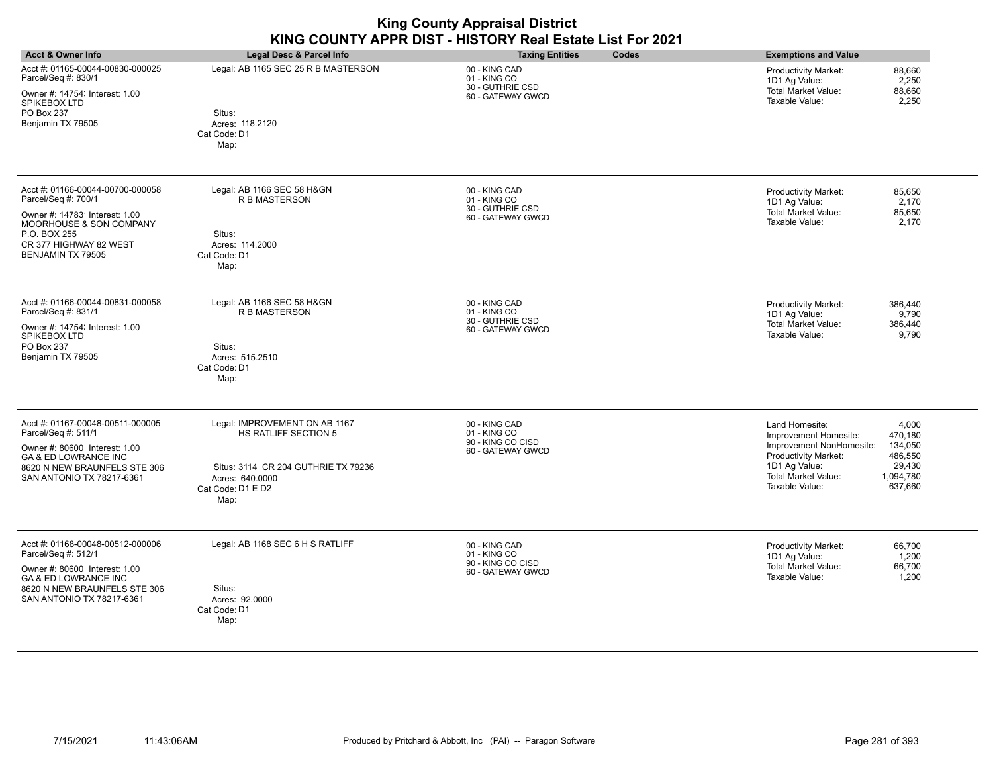| <b>Acct &amp; Owner Info</b>                                                                                                                                                             | Legal Desc & Parcel Info                                                                                                                            | <b>Taxing Entities</b><br>Codes                                         | <b>Exemptions and Value</b>                                                                                                                                                                                                                     |
|------------------------------------------------------------------------------------------------------------------------------------------------------------------------------------------|-----------------------------------------------------------------------------------------------------------------------------------------------------|-------------------------------------------------------------------------|-------------------------------------------------------------------------------------------------------------------------------------------------------------------------------------------------------------------------------------------------|
| Acct #: 01165-00044-00830-000025<br>Parcel/Seq #: 830/1<br>Owner #: 14754; Interest: 1.00<br>SPIKEBOX LTD<br>PO Box 237<br>Benjamin TX 79505                                             | Legal: AB 1165 SEC 25 R B MASTERSON<br>Situs:<br>Acres: 118.2120<br>Cat Code: D1<br>Map:                                                            | 00 - KING CAD<br>01 - KING CO<br>30 - GUTHRIE CSD<br>60 - GATEWAY GWCD  | 88,660<br><b>Productivity Market:</b><br>2,250<br>1D1 Ag Value:<br><b>Total Market Value:</b><br>88,660<br>Taxable Value:<br>2,250                                                                                                              |
| Acct #: 01166-00044-00700-000058<br>Parcel/Seq #: 700/1<br>Owner #: 14783' Interest: 1.00<br>MOORHOUSE & SON COMPANY<br>P.O. BOX 255<br>CR 377 HIGHWAY 82 WEST<br>BENJAMIN TX 79505      | Legal: AB 1166 SEC 58 H&GN<br>R B MASTERSON<br>Situs:<br>Acres: 114.2000<br>Cat Code: D1<br>Map:                                                    | 00 - KING CAD<br>01 - KING CO<br>30 - GUTHRIE CSD<br>60 - GATEWAY GWCD  | <b>Productivity Market:</b><br>85,650<br>2,170<br>1D1 Ag Value:<br><b>Total Market Value:</b><br>85,650<br>Taxable Value:<br>2,170                                                                                                              |
| Acct #: 01166-00044-00831-000058<br>Parcel/Seq #: 831/1<br>Owner #: 14754; Interest: 1.00<br>SPIKEBOX LTD<br>PO Box 237<br>Benjamin TX 79505                                             | Legal: AB 1166 SEC 58 H&GN<br>R B MASTERSON<br>Situs:<br>Acres: 515.2510<br>Cat Code: D1<br>Map:                                                    | 00 - KING CAD<br>01 - KING CO<br>30 - GUTHRIE CSD<br>60 - GATEWAY GWCD  | 386,440<br>Productivity Market:<br>1D1 Ag Value:<br>9,790<br><b>Total Market Value:</b><br>386,440<br>Taxable Value:<br>9,790                                                                                                                   |
| Acct #: 01167-00048-00511-000005<br>Parcel/Seq #: 511/1<br>Owner #: 80600 Interest: 1.00<br><b>GA &amp; ED LOWRANCE INC</b><br>8620 N NEW BRAUNFELS STE 306<br>SAN ANTONIO TX 78217-6361 | Legal: IMPROVEMENT ON AB 1167<br><b>HS RATLIFF SECTION 5</b><br>Situs: 3114 CR 204 GUTHRIE TX 79236<br>Acres: 640.0000<br>Cat Code: D1 E D2<br>Map: | 00 - KING CAD<br>01 - KING CO<br>90 - KING CO CISD<br>60 - GATEWAY GWCD | Land Homesite:<br>4,000<br>470,180<br>Improvement Homesite:<br>134,050<br>Improvement NonHomesite:<br><b>Productivity Market:</b><br>486,550<br>1D1 Ag Value:<br>29,430<br><b>Total Market Value:</b><br>1,094,780<br>Taxable Value:<br>637,660 |
| Acct #: 01168-00048-00512-000006<br>Parcel/Seq #: 512/1<br>Owner #: 80600 Interest: 1.00<br><b>GA &amp; ED LOWRANCE INC</b><br>8620 N NEW BRAUNFELS STE 306<br>SAN ANTONIO TX 78217-6361 | Legal: AB 1168 SEC 6 H S RATLIFF<br>Situs:<br>Acres: 92,0000<br>Cat Code: D1<br>Map:                                                                | 00 - KING CAD<br>01 - KING CO<br>90 - KING CO CISD<br>60 - GATEWAY GWCD | 66,700<br>Productivity Market:<br>1,200<br>1D1 Ag Value:<br><b>Total Market Value:</b><br>66,700<br>Taxable Value:<br>1,200                                                                                                                     |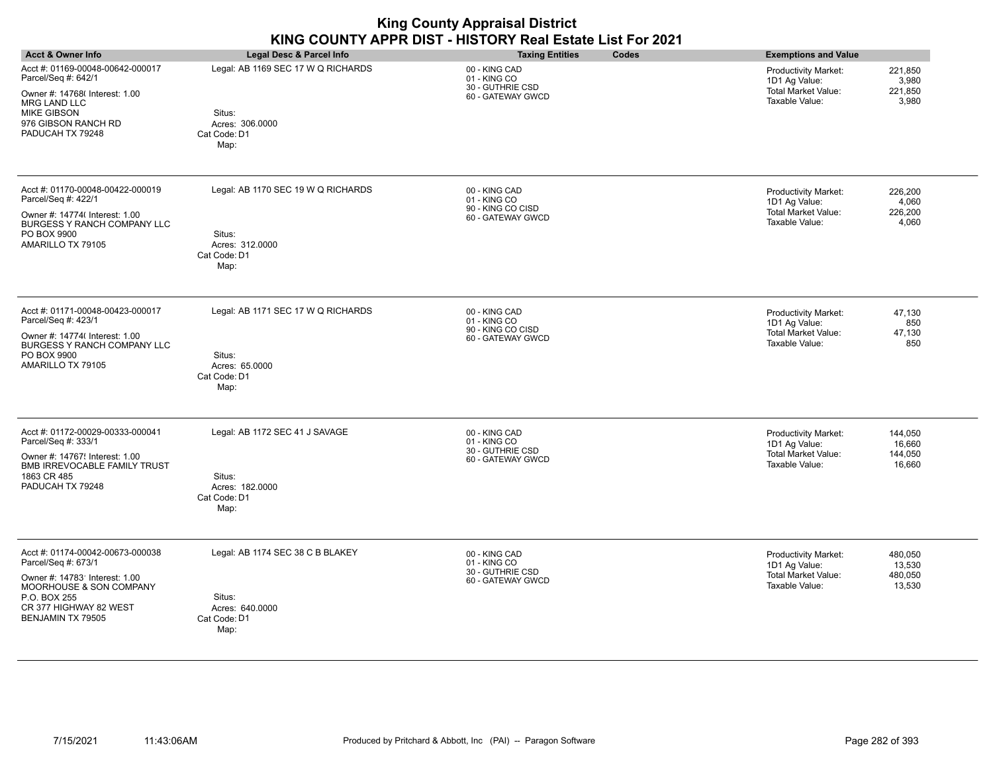| <b>Acct &amp; Owner Info</b>                                                                                                                                                        | Legal Desc & Parcel Info                                                                | <b>Taxing Entities</b><br>Codes                                         | <b>Exemptions and Value</b>                                                                                                            |
|-------------------------------------------------------------------------------------------------------------------------------------------------------------------------------------|-----------------------------------------------------------------------------------------|-------------------------------------------------------------------------|----------------------------------------------------------------------------------------------------------------------------------------|
| Acct #: 01169-00048-00642-000017<br>Parcel/Seq #: 642/1<br>Owner #: 14768( Interest: 1.00<br><b>MRG LAND LLC</b><br><b>MIKE GIBSON</b><br>976 GIBSON RANCH RD<br>PADUCAH TX 79248   | Legal: AB 1169 SEC 17 W Q RICHARDS<br>Situs:<br>Acres: 306.0000<br>Cat Code: D1<br>Map: | 00 - KING CAD<br>01 - KING CO<br>30 - GUTHRIE CSD<br>60 - GATEWAY GWCD  | Productivity Market:<br>221,850<br>3,980<br>1D1 Ag Value:<br><b>Total Market Value:</b><br>221,850<br>Taxable Value:<br>3,980          |
| Acct #: 01170-00048-00422-000019<br>Parcel/Seq #: 422/1<br>Owner #: 14774( Interest: 1.00<br>BURGESS Y RANCH COMPANY LLC<br>PO BOX 9900<br>AMARILLO TX 79105                        | Legal: AB 1170 SEC 19 W Q RICHARDS<br>Situs:<br>Acres: 312.0000<br>Cat Code: D1<br>Map: | 00 - KING CAD<br>01 - KING CO<br>90 - KING CO CISD<br>60 - GATEWAY GWCD | 226,200<br><b>Productivity Market:</b><br>1D1 Ag Value:<br>4,060<br><b>Total Market Value:</b><br>226,200<br>Taxable Value:<br>4,060   |
| Acct #: 01171-00048-00423-000017<br>Parcel/Seq #: 423/1<br>Owner #: 14774( Interest: 1.00<br>BURGESS Y RANCH COMPANY LLC<br>PO BOX 9900<br>AMARILLO TX 79105                        | Legal: AB 1171 SEC 17 W Q RICHARDS<br>Situs:<br>Acres: 65.0000<br>Cat Code: D1<br>Map:  | 00 - KING CAD<br>01 - KING CO<br>90 - KING CO CISD<br>60 - GATEWAY GWCD | <b>Productivity Market:</b><br>47,130<br>1D1 Ag Value:<br>850<br><b>Total Market Value:</b><br>47,130<br>Taxable Value:<br>850         |
| Acct #: 01172-00029-00333-000041<br>Parcel/Seq #: 333/1<br>Owner #: 14767! Interest: 1.00<br>BMB IRREVOCABLE FAMILY TRUST<br>1863 CR 485<br>PADUCAH TX 79248                        | Legal: AB 1172 SEC 41 J SAVAGE<br>Situs:<br>Acres: 182.0000<br>Cat Code: D1<br>Map:     | 00 - KING CAD<br>01 - KING CO<br>30 - GUTHRIE CSD<br>60 - GATEWAY GWCD  | <b>Productivity Market:</b><br>144,050<br>1D1 Ag Value:<br>16,660<br><b>Total Market Value:</b><br>144,050<br>16,660<br>Taxable Value: |
| Acct #: 01174-00042-00673-000038<br>Parcel/Seq #: 673/1<br>Owner #: 14783' Interest: 1.00<br>MOORHOUSE & SON COMPANY<br>P.O. BOX 255<br>CR 377 HIGHWAY 82 WEST<br>BENJAMIN TX 79505 | Legal: AB 1174 SEC 38 C B BLAKEY<br>Situs:<br>Acres: 640.0000<br>Cat Code: D1<br>Map:   | 00 - KING CAD<br>01 - KING CO<br>30 - GUTHRIE CSD<br>60 - GATEWAY GWCD  | <b>Productivity Market:</b><br>480,050<br>13,530<br>1D1 Ag Value:<br>Total Market Value:<br>480,050<br>Taxable Value:<br>13,530        |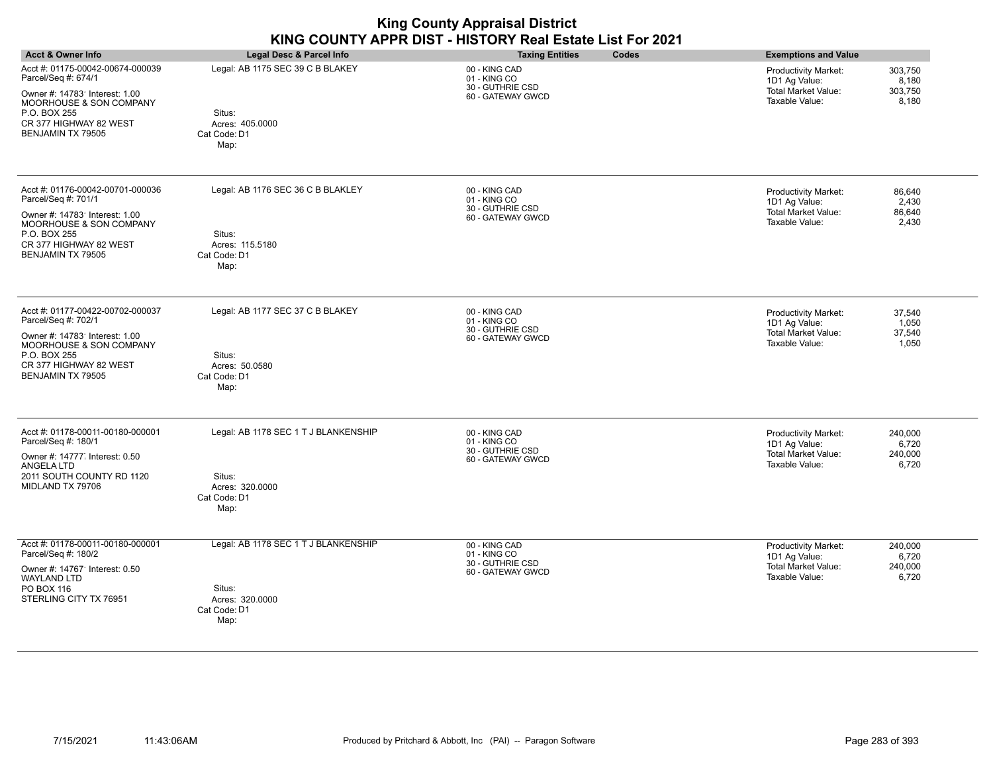| <b>Acct &amp; Owner Info</b>                                                                                                                                                        | Legal Desc & Parcel Info                                                                  | <b>Taxing Entities</b><br>Codes                                        | <b>Exemptions and Value</b>                                                                                                          |
|-------------------------------------------------------------------------------------------------------------------------------------------------------------------------------------|-------------------------------------------------------------------------------------------|------------------------------------------------------------------------|--------------------------------------------------------------------------------------------------------------------------------------|
| Acct #: 01175-00042-00674-000039<br>Parcel/Seq #: 674/1<br>Owner #: 14783' Interest: 1.00<br>MOORHOUSE & SON COMPANY<br>P.O. BOX 255<br>CR 377 HIGHWAY 82 WEST<br>BENJAMIN TX 79505 | Legal: AB 1175 SEC 39 C B BLAKEY<br>Situs:<br>Acres: 405.0000<br>Cat Code: D1<br>Map:     | 00 - KING CAD<br>01 - KING CO<br>30 - GUTHRIE CSD<br>60 - GATEWAY GWCD | 303,750<br><b>Productivity Market:</b><br>8,180<br>1D1 Ag Value:<br><b>Total Market Value:</b><br>303,750<br>Taxable Value:<br>8,180 |
| Acct #: 01176-00042-00701-000036<br>Parcel/Seq #: 701/1<br>Owner #: 14783' Interest: 1.00<br>MOORHOUSE & SON COMPANY<br>P.O. BOX 255<br>CR 377 HIGHWAY 82 WEST<br>BENJAMIN TX 79505 | Legal: AB 1176 SEC 36 C B BLAKLEY<br>Situs:<br>Acres: 115.5180<br>Cat Code: D1<br>Map:    | 00 - KING CAD<br>01 - KING CO<br>30 - GUTHRIE CSD<br>60 - GATEWAY GWCD | <b>Productivity Market:</b><br>86,640<br>1D1 Ag Value:<br>2,430<br>Total Market Value:<br>86,640<br>Taxable Value:<br>2,430          |
| Acct #: 01177-00422-00702-000037<br>Parcel/Seq #: 702/1<br>Owner #: 14783' Interest: 1.00<br>MOORHOUSE & SON COMPANY<br>P.O. BOX 255<br>CR 377 HIGHWAY 82 WEST<br>BENJAMIN TX 79505 | Legal: AB 1177 SEC 37 C B BLAKEY<br>Situs:<br>Acres: 50.0580<br>Cat Code: D1<br>Map:      | 00 - KING CAD<br>01 - KING CO<br>30 - GUTHRIE CSD<br>60 - GATEWAY GWCD | <b>Productivity Market:</b><br>37,540<br>1D1 Ag Value:<br>1,050<br><b>Total Market Value:</b><br>37,540<br>Taxable Value:<br>1,050   |
| Acct #: 01178-00011-00180-000001<br>Parcel/Seq #: 180/1<br>Owner #: 14777 Interest: 0.50<br>ANGELA LTD<br>2011 SOUTH COUNTY RD 1120<br>MIDLAND TX 79706                             | Legal: AB 1178 SEC 1 T J BLANKENSHIP<br>Situs:<br>Acres: 320,0000<br>Cat Code: D1<br>Map: | 00 - KING CAD<br>01 - KING CO<br>30 - GUTHRIE CSD<br>60 - GATEWAY GWCD | <b>Productivity Market:</b><br>240,000<br>1D1 Ag Value:<br>6,720<br><b>Total Market Value:</b><br>240,000<br>Taxable Value:<br>6,720 |
| Acct #: 01178-00011-00180-000001<br>Parcel/Seq #: 180/2<br>Owner #: 14767 Interest: 0.50<br><b>WAYLAND LTD</b><br>PO BOX 116<br>STERLING CITY TX 76951                              | Legal: AB 1178 SEC 1 T J BLANKENSHIP<br>Situs:<br>Acres: 320.0000<br>Cat Code: D1<br>Map: | 00 - KING CAD<br>01 - KING CO<br>30 - GUTHRIE CSD<br>60 - GATEWAY GWCD | <b>Productivity Market:</b><br>240,000<br>1D1 Ag Value:<br>6,720<br><b>Total Market Value:</b><br>240,000<br>Taxable Value:<br>6,720 |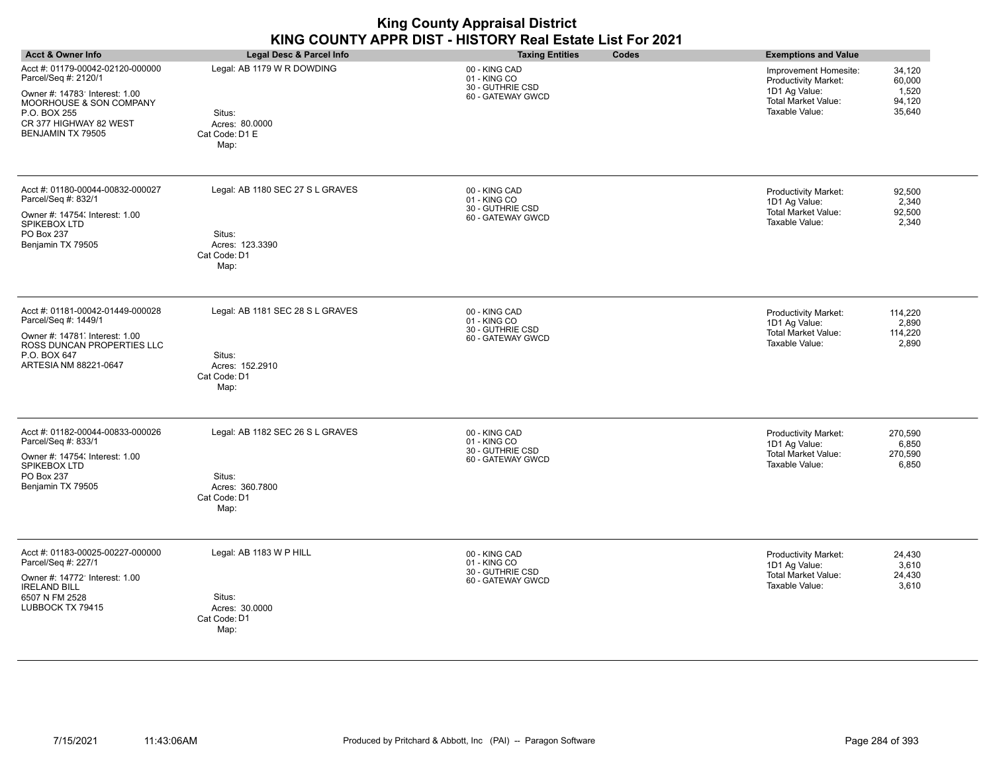| <b>Acct &amp; Owner Info</b>                                                                                                                                                         | Legal Desc & Parcel Info                                                              | <b>Taxing Entities</b><br>Codes                                        | <b>Exemptions and Value</b>                                                                                                                                     |
|--------------------------------------------------------------------------------------------------------------------------------------------------------------------------------------|---------------------------------------------------------------------------------------|------------------------------------------------------------------------|-----------------------------------------------------------------------------------------------------------------------------------------------------------------|
| Acct #: 01179-00042-02120-000000<br>Parcel/Seq #: 2120/1<br>Owner #: 14783' Interest: 1.00<br>MOORHOUSE & SON COMPANY<br>P.O. BOX 255<br>CR 377 HIGHWAY 82 WEST<br>BENJAMIN TX 79505 | Legal: AB 1179 W R DOWDING<br>Situs:<br>Acres: 80.0000<br>Cat Code: D1 E<br>Map:      | 00 - KING CAD<br>01 - KING CO<br>30 - GUTHRIE CSD<br>60 - GATEWAY GWCD | 34,120<br>Improvement Homesite:<br>60,000<br>Productivity Market:<br>1D1 Ag Value:<br>1,520<br><b>Total Market Value:</b><br>94,120<br>Taxable Value:<br>35,640 |
| Acct #: 01180-00044-00832-000027<br>Parcel/Seq #: 832/1<br>Owner #: 14754; Interest: 1.00<br>SPIKEBOX LTD<br>PO Box 237<br>Benjamin TX 79505                                         | Legal: AB 1180 SEC 27 S L GRAVES<br>Situs:<br>Acres: 123.3390<br>Cat Code: D1<br>Map: | 00 - KING CAD<br>01 - KING CO<br>30 - GUTHRIE CSD<br>60 - GATEWAY GWCD | 92,500<br>Productivity Market:<br>1D1 Ag Value:<br>2,340<br>Total Market Value:<br>92,500<br>Taxable Value:<br>2,340                                            |
| Acct #: 01181-00042-01449-000028<br>Parcel/Seq #: 1449/1<br>Owner #: 14781, Interest: 1.00<br>ROSS DUNCAN PROPERTIES LLC<br>P.O. BOX 647<br>ARTESIA NM 88221-0647                    | Legal: AB 1181 SEC 28 S L GRAVES<br>Situs:<br>Acres: 152.2910<br>Cat Code: D1<br>Map: | 00 - KING CAD<br>01 - KING CO<br>30 - GUTHRIE CSD<br>60 - GATEWAY GWCD | Productivity Market:<br>114,220<br>1D1 Ag Value:<br>2,890<br><b>Total Market Value:</b><br>114,220<br>Taxable Value:<br>2,890                                   |
| Acct #: 01182-00044-00833-000026<br>Parcel/Seq #: 833/1<br>Owner #: 14754; Interest: 1.00<br>SPIKEBOX LTD<br>PO Box 237<br>Benjamin TX 79505                                         | Legal: AB 1182 SEC 26 S L GRAVES<br>Situs:<br>Acres: 360.7800<br>Cat Code: D1<br>Map: | 00 - KING CAD<br>01 - KING CO<br>30 - GUTHRIE CSD<br>60 - GATEWAY GWCD | 270,590<br>Productivity Market:<br>1D1 Ag Value:<br>6,850<br><b>Total Market Value:</b><br>270,590<br>Taxable Value:<br>6,850                                   |
| Acct #: 01183-00025-00227-000000<br>Parcel/Seq #: 227/1<br>Owner #: 14772' Interest: 1.00<br><b>IRELAND BILL</b><br>6507 N FM 2528<br>LUBBOCK TX 79415                               | Legal: AB 1183 W P HILL<br>Situs:<br>Acres: 30.0000<br>Cat Code: D1<br>Map:           | 00 - KING CAD<br>01 - KING CO<br>30 - GUTHRIE CSD<br>60 - GATEWAY GWCD | Productivity Market:<br>24,430<br>3,610<br>1D1 Ag Value:<br>Total Market Value:<br>24,430<br>Taxable Value:<br>3,610                                            |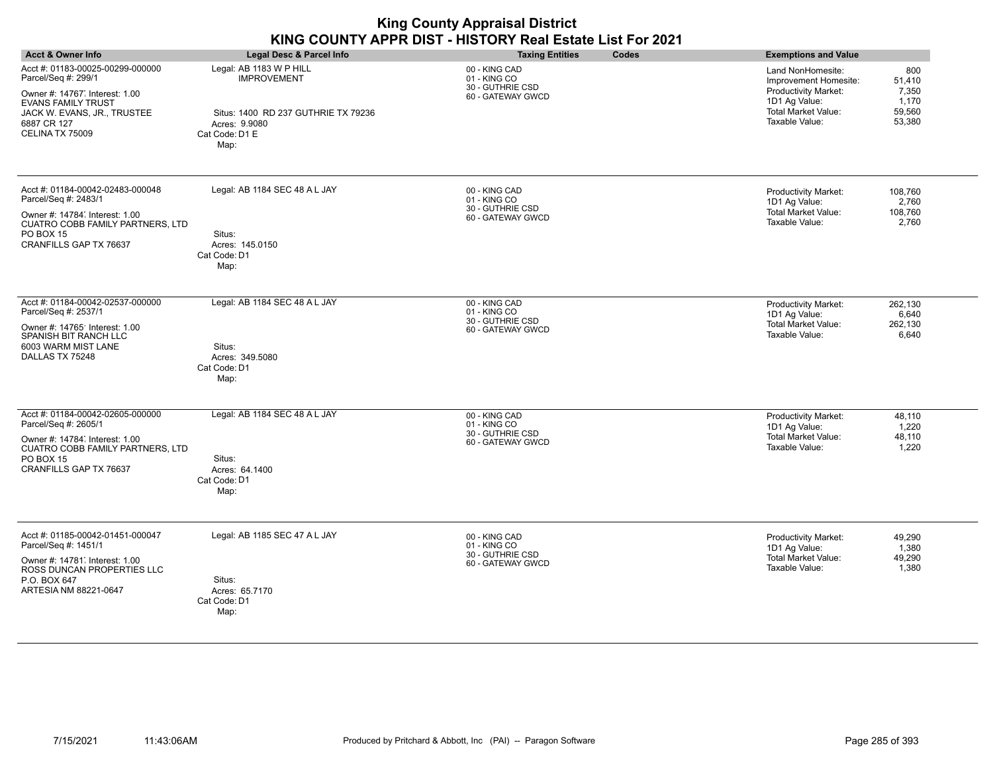| <b>Acct &amp; Owner Info</b>                                                                                                                                                           | Legal Desc & Parcel Info                                                                                                        | <b>Taxing Entities</b><br>Codes                                        | <b>Exemptions and Value</b>                                                                                                                                                                |
|----------------------------------------------------------------------------------------------------------------------------------------------------------------------------------------|---------------------------------------------------------------------------------------------------------------------------------|------------------------------------------------------------------------|--------------------------------------------------------------------------------------------------------------------------------------------------------------------------------------------|
| Acct #: 01183-00025-00299-000000<br>Parcel/Seq #: 299/1<br>Owner #: 14767 Interest: 1.00<br><b>EVANS FAMILY TRUST</b><br>JACK W. EVANS, JR., TRUSTEE<br>6887 CR 127<br>CELINA TX 75009 | Legal: AB 1183 W P HILL<br><b>IMPROVEMENT</b><br>Situs: 1400 RD 237 GUTHRIE TX 79236<br>Acres: 9.9080<br>Cat Code: D1 E<br>Map: | 00 - KING CAD<br>01 - KING CO<br>30 - GUTHRIE CSD<br>60 - GATEWAY GWCD | 800<br>Land NonHomesite:<br>Improvement Homesite:<br>51,410<br>Productivity Market:<br>7,350<br>1D1 Ag Value:<br>1,170<br><b>Total Market Value:</b><br>59,560<br>Taxable Value:<br>53,380 |
| Acct #: 01184-00042-02483-000048<br>Parcel/Seq #: 2483/1<br>Owner #: 14784 Interest: 1.00<br>CUATRO COBB FAMILY PARTNERS, LTD<br><b>PO BOX 15</b><br>CRANFILLS GAP TX 76637            | Legal: AB 1184 SEC 48 A L JAY<br>Situs:<br>Acres: 145.0150<br>Cat Code: D1<br>Map:                                              | 00 - KING CAD<br>01 - KING CO<br>30 - GUTHRIE CSD<br>60 - GATEWAY GWCD | Productivity Market:<br>108,760<br>1D1 Ag Value:<br>2,760<br><b>Total Market Value:</b><br>108,760<br>Taxable Value:<br>2,760                                                              |
| Acct #: 01184-00042-02537-000000<br>Parcel/Seq #: 2537/1<br>Owner #: 14765' Interest: 1.00<br>SPANISH BIT RANCH LLC<br>6003 WARM MIST LANE<br>DALLAS TX 75248                          | Legal: AB 1184 SEC 48 A L JAY<br>Situs:<br>Acres: 349.5080<br>Cat Code: D1<br>Map:                                              | 00 - KING CAD<br>01 - KING CO<br>30 - GUTHRIE CSD<br>60 - GATEWAY GWCD | 262,130<br>Productivity Market:<br>1D1 Ag Value:<br>6,640<br><b>Total Market Value:</b><br>262,130<br>Taxable Value:<br>6,640                                                              |
| Acct #: 01184-00042-02605-000000<br>Parcel/Seq #: 2605/1<br>Owner #: 14784 Interest: 1.00<br>CUATRO COBB FAMILY PARTNERS, LTD<br>PO BOX 15<br><b>CRANFILLS GAP TX 76637</b>            | Legal: AB 1184 SEC 48 A L JAY<br>Situs:<br>Acres: 64.1400<br>Cat Code: D1<br>Map:                                               | 00 - KING CAD<br>01 - KING CO<br>30 - GUTHRIE CSD<br>60 - GATEWAY GWCD | Productivity Market:<br>48,110<br>1D1 Ag Value:<br>1,220<br><b>Total Market Value:</b><br>48,110<br>Taxable Value:<br>1,220                                                                |
| Acct #: 01185-00042-01451-000047<br>Parcel/Seq #: 1451/1<br>Owner #: 14781 Interest: 1.00<br>ROSS DUNCAN PROPERTIES LLC<br>P.O. BOX 647<br>ARTESIA NM 88221-0647                       | Legal: AB 1185 SEC 47 A L JAY<br>Situs:<br>Acres: 65.7170<br>Cat Code: D1<br>Map:                                               | 00 - KING CAD<br>01 - KING CO<br>30 - GUTHRIE CSD<br>60 - GATEWAY GWCD | 49,290<br>Productivity Market:<br>1D1 Ag Value:<br>1,380<br><b>Total Market Value:</b><br>49,290<br>Taxable Value:<br>1,380                                                                |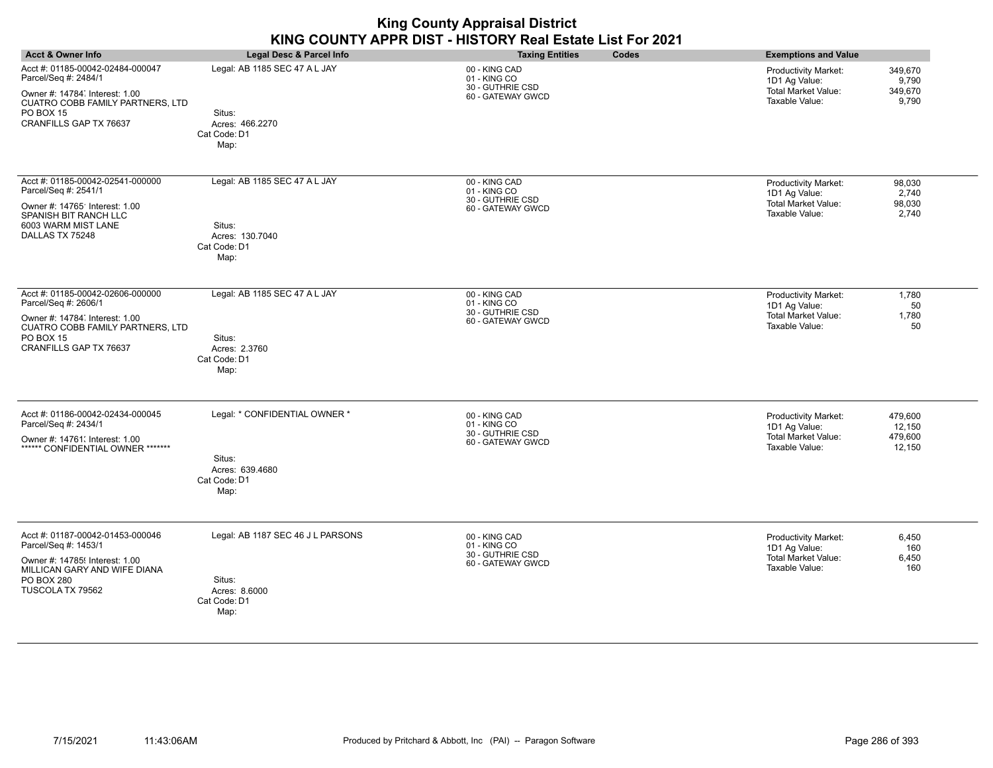|                                                                                                                                                                                     |                                                                                      | <b>King County Appraisal District</b><br>KING COUNTY APPR DIST - HISTORY Real Estate List For 2021 |                                                                                                                                        |
|-------------------------------------------------------------------------------------------------------------------------------------------------------------------------------------|--------------------------------------------------------------------------------------|----------------------------------------------------------------------------------------------------|----------------------------------------------------------------------------------------------------------------------------------------|
| <b>Acct &amp; Owner Info</b>                                                                                                                                                        | Legal Desc & Parcel Info                                                             | <b>Taxing Entities</b><br>Codes                                                                    | <b>Exemptions and Value</b>                                                                                                            |
| Acct #: 01185-00042-02484-000047<br>Parcel/Seq #: 2484/1<br>Owner #: 14784 Interest: 1.00<br>CUATRO COBB FAMILY PARTNERS, LTD<br><b>PO BOX 15</b><br>CRANFILLS GAP TX 76637         | Legal: AB 1185 SEC 47 A L JAY<br>Situs:<br>Acres: 466.2270<br>Cat Code: D1<br>Map:   | 00 - KING CAD<br>01 - KING CO<br>30 - GUTHRIE CSD<br>60 - GATEWAY GWCD                             | <b>Productivity Market:</b><br>349,670<br>1D1 Ag Value:<br>9,790<br>Total Market Value:<br>349,670<br>Taxable Value:<br>9,790          |
| Acct #: 01185-00042-02541-000000<br>Parcel/Seq #: 2541/1<br>Owner #: 14765' Interest: 1.00<br>SPANISH BIT RANCH LLC<br>6003 WARM MIST LANE<br>DALLAS TX 75248                       | Legal: AB 1185 SEC 47 A L JAY<br>Situs:<br>Acres: 130.7040<br>Cat Code: D1<br>Map:   | 00 - KING CAD<br>01 - KING CO<br>30 - GUTHRIE CSD<br>60 - GATEWAY GWCD                             | <b>Productivity Market:</b><br>98,030<br>1D1 Ag Value:<br>2,740<br><b>Total Market Value:</b><br>98,030<br>Taxable Value:<br>2,740     |
| Acct #: 01185-00042-02606-000000<br>Parcel/Seq #: 2606/1<br>Owner #: 14784, Interest: 1.00<br><b>CUATRO COBB FAMILY PARTNERS, LTD</b><br><b>PO BOX 15</b><br>CRANFILLS GAP TX 76637 | Legal: AB 1185 SEC 47 A L JAY<br>Situs:<br>Acres: 2.3760<br>Cat Code: D1<br>Map:     | 00 - KING CAD<br>01 - KING CO<br>30 - GUTHRIE CSD<br>60 - GATEWAY GWCD                             | <b>Productivity Market:</b><br>1,780<br>1D1 Ag Value:<br>50<br><b>Total Market Value:</b><br>1,780<br>Taxable Value:<br>50             |
| Acct #: 01186-00042-02434-000045<br>Parcel/Seq #: 2434/1<br>Owner #: 14761. Interest: 1.00<br>****** CONFIDENTIAL OWNER *******                                                     | Legal: * CONFIDENTIAL OWNER *<br>Situs:<br>Acres: 639.4680<br>Cat Code: D1<br>Map:   | 00 - KING CAD<br>01 - KING CO<br>30 - GUTHRIE CSD<br>60 - GATEWAY GWCD                             | <b>Productivity Market:</b><br>479,600<br>1D1 Ag Value:<br>12,150<br><b>Total Market Value:</b><br>479,600<br>Taxable Value:<br>12,150 |
| Acct #: 01187-00042-01453-000046<br>Parcel/Seq #: 1453/1<br>Owner #: 14785! Interest: 1.00<br>MILLICAN GARY AND WIFE DIANA<br>PO BOX 280<br>TUSCOLA TX 79562                        | Legal: AB 1187 SEC 46 J L PARSONS<br>Situs:<br>Acres: 8.6000<br>Cat Code: D1<br>Map: | 00 - KING CAD<br>01 - KING CO<br>30 - GUTHRIE CSD<br>60 - GATEWAY GWCD                             | 6,450<br><b>Productivity Market:</b><br>1D1 Ag Value:<br>160<br><b>Total Market Value:</b><br>6,450<br>Taxable Value:<br>160           |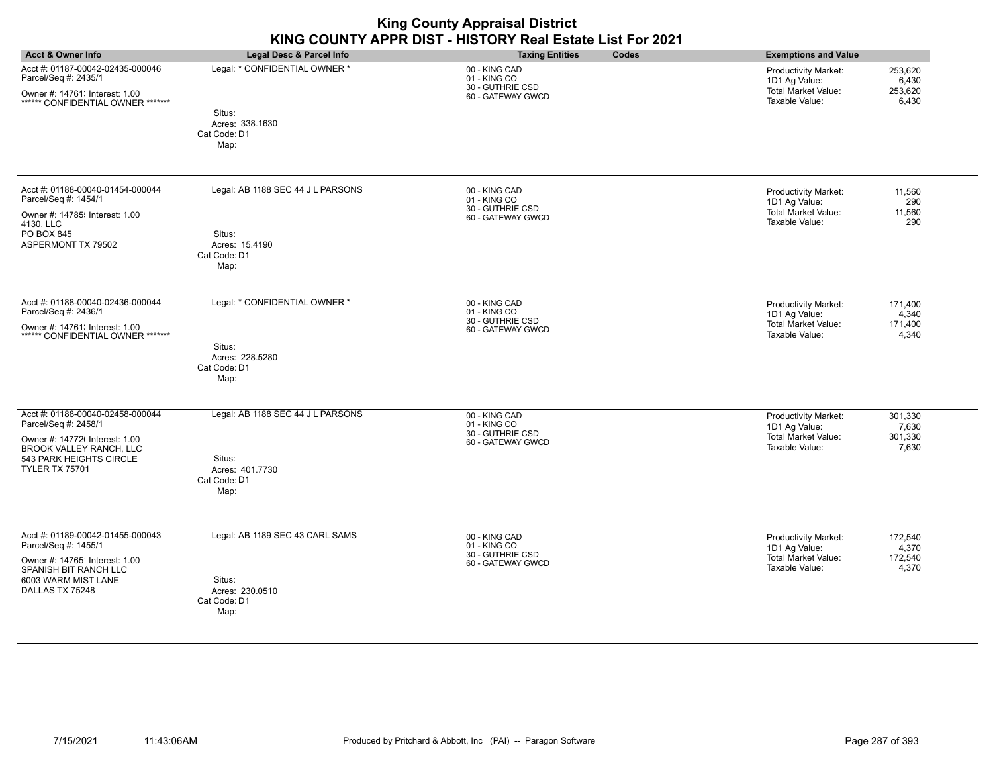|                                                                                                                                 |                                                   | <b>King County Appraisal District</b><br>KING COUNTY APPR DIST - HISTORY Real Estate List For 2021 |                                                                                                                               |
|---------------------------------------------------------------------------------------------------------------------------------|---------------------------------------------------|----------------------------------------------------------------------------------------------------|-------------------------------------------------------------------------------------------------------------------------------|
| <b>Acct &amp; Owner Info</b>                                                                                                    | Legal Desc & Parcel Info                          | <b>Taxing Entities</b><br>Codes                                                                    | <b>Exemptions and Value</b>                                                                                                   |
| Acct #: 01187-00042-02435-000046<br>Parcel/Seq #: 2435/1<br>Owner #: 14761; Interest: 1.00<br>****** CONFIDENTIAL OWNER ******* | Legal: * CONFIDENTIAL OWNER *<br>Situs:           | 00 - KING CAD<br>01 - KING CO<br>30 - GUTHRIE CSD<br>60 - GATEWAY GWCD                             | <b>Productivity Market:</b><br>253,620<br>1D1 Ag Value:<br>6,430<br>Total Market Value:<br>253,620<br>Taxable Value:<br>6,430 |
|                                                                                                                                 | Acres: 338.1630<br>Cat Code: D1<br>Map:           |                                                                                                    |                                                                                                                               |
| Acct #: 01188-00040-01454-000044<br>Parcel/Seq #: 1454/1                                                                        | Legal: AB 1188 SEC 44 J L PARSONS                 | 00 - KING CAD<br>01 - KING CO                                                                      | Productivity Market:<br>11,560<br>1D1 Ag Value:<br>290                                                                        |
| Owner #: 14785! Interest: 1.00<br>4130, LLC                                                                                     |                                                   | 30 - GUTHRIE CSD<br>60 - GATEWAY GWCD                                                              | Total Market Value:<br>11,560<br>Taxable Value:<br>290                                                                        |
| PO BOX 845<br>ASPERMONT TX 79502                                                                                                | Situs:<br>Acres: 15.4190<br>Cat Code: D1<br>Map:  |                                                                                                    |                                                                                                                               |
| Acct #: 01188-00040-02436-000044<br>Parcel/Seq #: 2436/1                                                                        | Legal: * CONFIDENTIAL OWNER *                     | 00 - KING CAD<br>01 - KING CO                                                                      | 171,400<br><b>Productivity Market:</b><br>1D1 Ag Value:<br>4,340                                                              |
| Owner #: 14761. Interest: 1.00<br>****** CONFIDENTIAL OWNER *******                                                             |                                                   | 30 - GUTHRIE CSD<br>60 - GATEWAY GWCD                                                              | <b>Total Market Value:</b><br>171,400<br>Taxable Value:<br>4,340                                                              |
|                                                                                                                                 | Situs:<br>Acres: 228.5280<br>Cat Code: D1<br>Map: |                                                                                                    |                                                                                                                               |
| Acct #: 01188-00040-02458-000044<br>Parcel/Seq #: 2458/1                                                                        | Legal: AB 1188 SEC 44 J L PARSONS                 | 00 - KING CAD<br>01 - KING CO                                                                      | 301,330<br><b>Productivity Market:</b>                                                                                        |
| Owner #: 14772( Interest: 1.00<br>BROOK VALLEY RANCH, LLC                                                                       |                                                   | 30 - GUTHRIE CSD<br>60 - GATEWAY GWCD                                                              | 1D1 Ag Value:<br>7,630<br><b>Total Market Value:</b><br>301,330<br>Taxable Value:<br>7,630                                    |
| 543 PARK HEIGHTS CIRCLE<br><b>TYLER TX 75701</b>                                                                                | Situs:<br>Acres: 401.7730<br>Cat Code: D1<br>Map: |                                                                                                    |                                                                                                                               |
| Acct #: 01189-00042-01455-000043<br>Parcel/Seq #: 1455/1                                                                        | Legal: AB 1189 SEC 43 CARL SAMS                   | 00 - KING CAD<br>01 - KING CO                                                                      | Productivity Market:<br>172.540<br>4,370<br>1D1 Ag Value:                                                                     |
| Owner #: 14765' Interest: 1.00<br>SPANISH BIT RANCH LLC                                                                         |                                                   | 30 - GUTHRIE CSD<br>60 - GATEWAY GWCD                                                              | <b>Total Market Value:</b><br>172,540<br>Taxable Value:<br>4,370                                                              |
| 6003 WARM MIST LANE<br>DALLAS TX 75248                                                                                          | Situs:<br>Acres: 230.0510<br>Cat Code: D1<br>Map: |                                                                                                    |                                                                                                                               |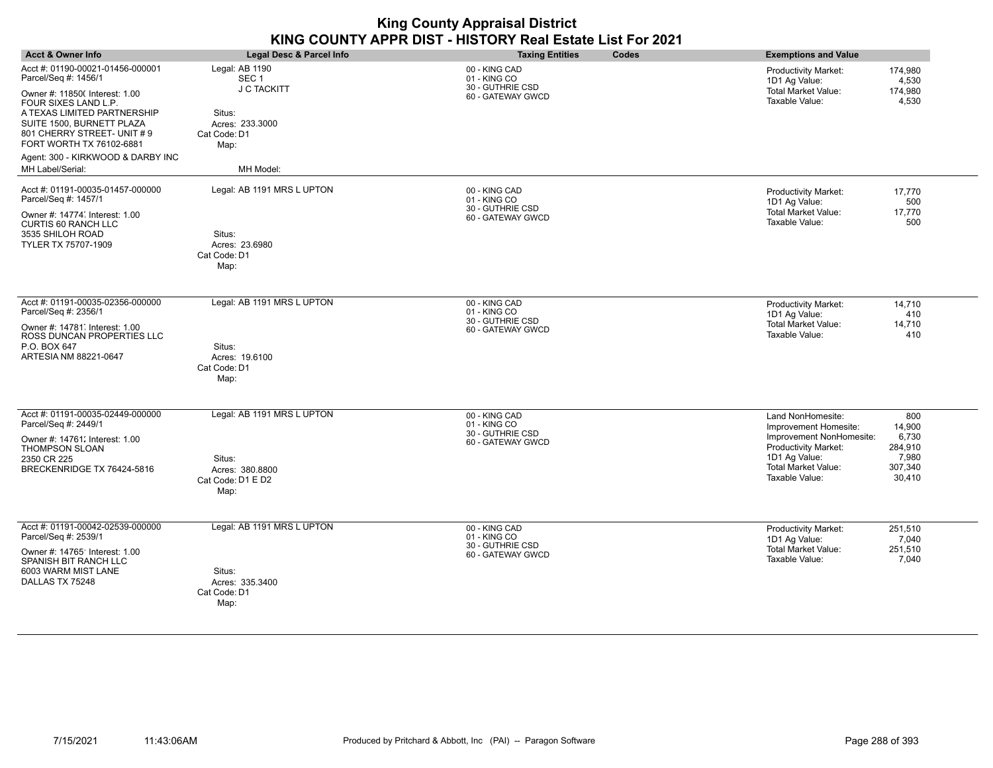|                                                                                                                                                                                                                                                                                                   |                                                                                                                     | <b>King County Appraisal District</b><br>KING COUNTY APPR DIST - HISTORY Real Estate List For 2021 |                                                                                                                                                                                                                                    |
|---------------------------------------------------------------------------------------------------------------------------------------------------------------------------------------------------------------------------------------------------------------------------------------------------|---------------------------------------------------------------------------------------------------------------------|----------------------------------------------------------------------------------------------------|------------------------------------------------------------------------------------------------------------------------------------------------------------------------------------------------------------------------------------|
| <b>Acct &amp; Owner Info</b>                                                                                                                                                                                                                                                                      | <b>Legal Desc &amp; Parcel Info</b>                                                                                 | Codes<br><b>Taxing Entities</b>                                                                    | <b>Exemptions and Value</b>                                                                                                                                                                                                        |
| Acct #: 01190-00021-01456-000001<br>Parcel/Seq #: 1456/1<br>Owner #: 11850( Interest: 1.00<br>FOUR SIXES LAND L.P.<br>A TEXAS LIMITED PARTNERSHIP<br>SUITE 1500, BURNETT PLAZA<br>801 CHERRY STREET- UNIT #9<br>FORT WORTH TX 76102-6881<br>Agent: 300 - KIRKWOOD & DARBY INC<br>MH Label/Serial: | Legal: AB 1190<br>SEC <sub>1</sub><br>J C TACKITT<br>Situs:<br>Acres: 233.3000<br>Cat Code: D1<br>Map:<br>MH Model: | 00 - KING CAD<br>01 - KING CO<br>30 - GUTHRIE CSD<br>60 - GATEWAY GWCD                             | <b>Productivity Market:</b><br>174,980<br>1D1 Ag Value:<br>4,530<br><b>Total Market Value:</b><br>174,980<br>Taxable Value:<br>4,530                                                                                               |
| Acct #: 01191-00035-01457-000000<br>Parcel/Seq #: 1457/1<br>Owner #: 14774, Interest: 1.00<br>CURTIS 60 RANCH LLC<br>3535 SHILOH ROAD<br>TYLER TX 75707-1909                                                                                                                                      | Legal: AB 1191 MRS L UPTON<br>Situs:<br>Acres: 23.6980<br>Cat Code: D1<br>Map:                                      | 00 - KING CAD<br>01 - KING CO<br>30 - GUTHRIE CSD<br>60 - GATEWAY GWCD                             | 17,770<br>Productivity Market:<br>500<br>1D1 Ag Value:<br><b>Total Market Value:</b><br>17,770<br>Taxable Value:<br>500                                                                                                            |
| Acct #: 01191-00035-02356-000000<br>Parcel/Seq #: 2356/1<br>Owner #: 14781 Interest: 1.00<br>ROSS DUNCAN PROPERTIES LLC<br>P.O. BOX 647<br>ARTESIA NM 88221-0647                                                                                                                                  | Legal: AB 1191 MRS L UPTON<br>Situs:<br>Acres: 19.6100<br>Cat Code: D1<br>Map:                                      | 00 - KING CAD<br>01 - KING CO<br>30 - GUTHRIE CSD<br>60 - GATEWAY GWCD                             | 14,710<br><b>Productivity Market:</b><br>1D1 Ag Value:<br>410<br><b>Total Market Value:</b><br>14,710<br>Taxable Value:<br>410                                                                                                     |
| Acct #: 01191-00035-02449-000000<br>Parcel/Seq #: 2449/1<br>Owner #: 14761; Interest: 1.00<br><b>THOMPSON SLOAN</b><br>2350 CR 225<br>BRECKENRIDGE TX 76424-5816                                                                                                                                  | Legal: AB 1191 MRS L UPTON<br>Situs:<br>Acres: 380.8800<br>Cat Code: D1 E D2<br>Map:                                | 00 - KING CAD<br>01 - KING CO<br>30 - GUTHRIE CSD<br>60 - GATEWAY GWCD                             | 800<br>Land NonHomesite:<br>14,900<br>Improvement Homesite:<br>Improvement NonHomesite:<br>6,730<br><b>Productivity Market:</b><br>284,910<br>1D1 Ag Value:<br>7,980<br>Total Market Value:<br>307,340<br>Taxable Value:<br>30,410 |
| Acct #: 01191-00042-02539-000000<br>Parcel/Seq #: 2539/1<br>Owner #: 14765' Interest: 1.00<br>SPANISH BIT RANCH LLC<br>6003 WARM MIST LANE<br>DALLAS TX 75248                                                                                                                                     | Legal: AB 1191 MRS L UPTON<br>Situs:<br>Acres: 335.3400<br>Cat Code: D1<br>Map:                                     | 00 - KING CAD<br>01 - KING CO<br>30 - GUTHRIE CSD<br>60 - GATEWAY GWCD                             | <b>Productivity Market:</b><br>251,510<br>1D1 Ag Value:<br>7,040<br><b>Total Market Value:</b><br>251,510<br>Taxable Value:<br>7,040                                                                                               |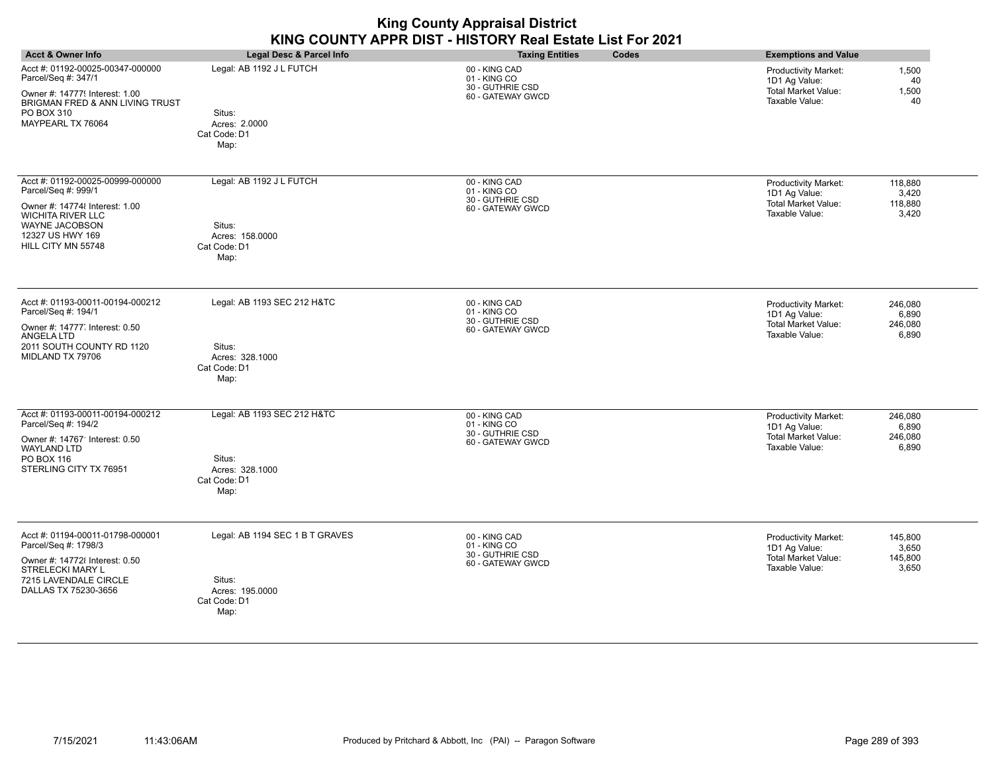| <b>King County Appraisal District</b><br>KING COUNTY APPR DIST - HISTORY Real Estate List For 2021                                                                                |                                                                                      |                                                                        |                                                                                                                               |
|-----------------------------------------------------------------------------------------------------------------------------------------------------------------------------------|--------------------------------------------------------------------------------------|------------------------------------------------------------------------|-------------------------------------------------------------------------------------------------------------------------------|
| <b>Acct &amp; Owner Info</b>                                                                                                                                                      | <b>Legal Desc &amp; Parcel Info</b>                                                  | <b>Taxing Entities</b><br><b>Codes</b>                                 | <b>Exemptions and Value</b>                                                                                                   |
| Acct #: 01192-00025-00347-000000<br>Parcel/Seq #: 347/1<br>Owner #: 14777! Interest: 1.00<br>BRIGMAN FRED & ANN LIVING TRUST<br>PO BOX 310<br>MAYPEARL TX 76064                   | Legal: AB 1192 J L FUTCH<br>Situs:<br>Acres: 2.0000<br>Cat Code: D1<br>Map:          | 00 - KING CAD<br>01 - KING CO<br>30 - GUTHRIE CSD<br>60 - GATEWAY GWCD | Productivity Market:<br>1,500<br>1D1 Ag Value:<br>40<br>Total Market Value:<br>1,500<br>Taxable Value:<br>40                  |
| Acct #: 01192-00025-00999-000000<br>Parcel/Seq #: 999/1<br>Owner #: 147748 Interest: 1.00<br><b>WICHITA RIVER LLC</b><br>WAYNE JACOBSON<br>12327 US HWY 169<br>HILL CITY MN 55748 | Legal: AB 1192 J L FUTCH<br>Situs:<br>Acres: 158.0000<br>Cat Code: D1<br>Map:        | 00 - KING CAD<br>01 - KING CO<br>30 - GUTHRIE CSD<br>60 - GATEWAY GWCD | Productivity Market:<br>118,880<br>1D1 Ag Value:<br>3.420<br><b>Total Market Value:</b><br>118,880<br>Taxable Value:<br>3,420 |
| Acct #: 01193-00011-00194-000212<br>Parcel/Seq #: 194/1<br>Owner #: 14777 Interest: 0.50<br>ANGELA LTD<br>2011 SOUTH COUNTY RD 1120<br>MIDLAND TX 79706                           | Legal: AB 1193 SEC 212 H&TC<br>Situs:<br>Acres: 328.1000<br>Cat Code: D1<br>Map:     | 00 - KING CAD<br>01 - KING CO<br>30 - GUTHRIE CSD<br>60 - GATEWAY GWCD | Productivity Market:<br>246,080<br>6,890<br>1D1 Ag Value:<br><b>Total Market Value:</b><br>246,080<br>Taxable Value:<br>6,890 |
| Acct #: 01193-00011-00194-000212<br>Parcel/Seq #: 194/2<br>Owner #: 14767 Interest: 0.50<br><b>WAYLAND LTD</b><br>PO BOX 116<br>STERLING CITY TX 76951                            | Legal: AB 1193 SEC 212 H&TC<br>Situs:<br>Acres: 328.1000<br>Cat Code: D1<br>Map:     | 00 - KING CAD<br>01 - KING CO<br>30 - GUTHRIE CSD<br>60 - GATEWAY GWCD | Productivity Market:<br>246,080<br>1D1 Ag Value:<br>6,890<br><b>Total Market Value:</b><br>246,080<br>Taxable Value:<br>6,890 |
| Acct #: 01194-00011-01798-000001<br>Parcel/Seq #: 1798/3<br>Owner #: 147728 Interest: 0.50<br>STRELECKI MARY L<br>7215 LAVENDALE CIRCLE<br>DALLAS TX 75230-3656                   | Legal: AB 1194 SEC 1 B T GRAVES<br>Situs:<br>Acres: 195.0000<br>Cat Code: D1<br>Map: | 00 - KING CAD<br>01 - KING CO<br>30 - GUTHRIE CSD<br>60 - GATEWAY GWCD | 145,800<br>Productivity Market:<br>1D1 Ag Value:<br>3,650<br><b>Total Market Value:</b><br>145,800<br>Taxable Value:<br>3,650 |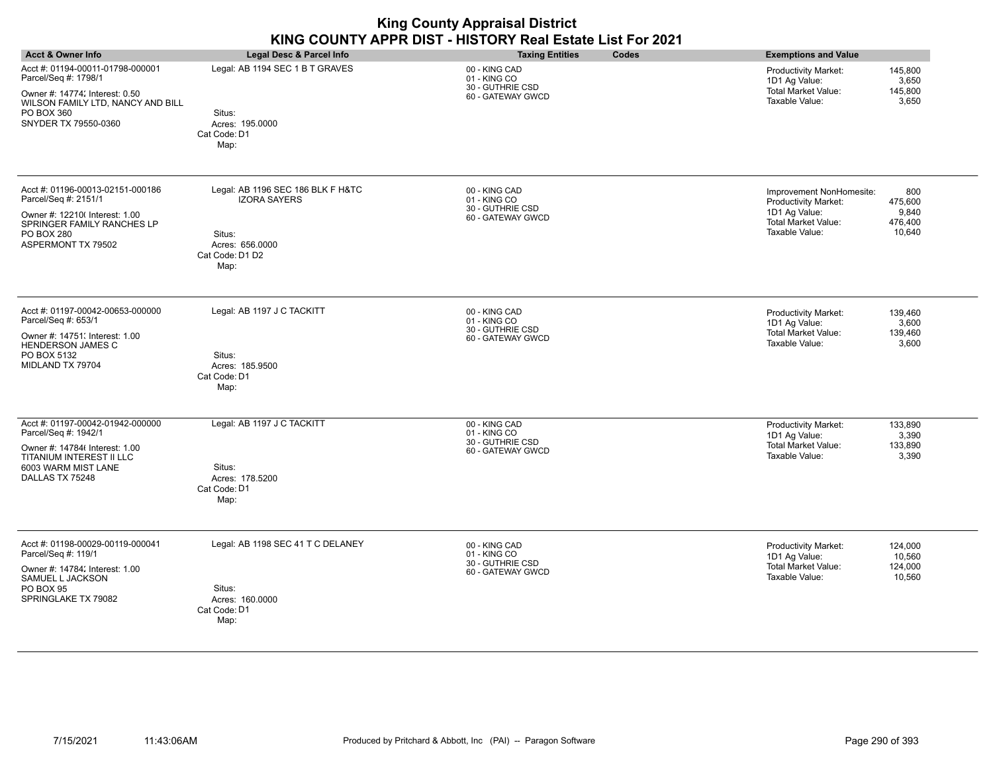| <b>Acct &amp; Owner Info</b>                                                                                                                                            | <b>Legal Desc &amp; Parcel Info</b>                                                                              | <b>Taxing Entities</b><br>Codes                                        | <b>Exemptions and Value</b>                                                                                                                                       |
|-------------------------------------------------------------------------------------------------------------------------------------------------------------------------|------------------------------------------------------------------------------------------------------------------|------------------------------------------------------------------------|-------------------------------------------------------------------------------------------------------------------------------------------------------------------|
| Acct #: 01194-00011-01798-000001<br>Parcel/Seq #: 1798/1<br>Owner #: 14774; Interest: 0.50<br>WILSON FAMILY LTD, NANCY AND BILL<br>PO BOX 360<br>SNYDER TX 79550-0360   | Legal: AB 1194 SEC 1 B T GRAVES<br>Situs:<br>Acres: 195.0000<br>Cat Code: D1<br>Map:                             | 00 - KING CAD<br>01 - KING CO<br>30 - GUTHRIE CSD<br>60 - GATEWAY GWCD | 145,800<br><b>Productivity Market:</b><br>3,650<br>1D1 Ag Value:<br><b>Total Market Value:</b><br>145,800<br>Taxable Value:<br>3,650                              |
| Acct #: 01196-00013-02151-000186<br>Parcel/Seq #: 2151/1<br>Owner #: 12210( Interest: 1.00<br>SPRINGER FAMILY RANCHES LP<br>PO BOX 280<br>ASPERMONT TX 79502            | Legal: AB 1196 SEC 186 BLK F H&TC<br><b>IZORA SAYERS</b><br>Situs:<br>Acres: 656.0000<br>Cat Code: D1 D2<br>Map: | 00 - KING CAD<br>01 - KING CO<br>30 - GUTHRIE CSD<br>60 - GATEWAY GWCD | 800<br>Improvement NonHomesite:<br>Productivity Market:<br>475,600<br>1D1 Ag Value:<br>9,840<br><b>Total Market Value:</b><br>476,400<br>Taxable Value:<br>10,640 |
| Acct #: 01197-00042-00653-000000<br>Parcel/Seq #: 653/1<br>Owner #: 14751; Interest: 1.00<br>HENDERSON JAMES C<br>PO BOX 5132<br>MIDLAND TX 79704                       | Legal: AB 1197 J C TACKITT<br>Situs:<br>Acres: 185.9500<br>Cat Code: D1<br>Map:                                  | 00 - KING CAD<br>01 - KING CO<br>30 - GUTHRIE CSD<br>60 - GATEWAY GWCD | <b>Productivity Market:</b><br>139,460<br>1D1 Ag Value:<br>3,600<br><b>Total Market Value:</b><br>139,460<br>Taxable Value:<br>3,600                              |
| Acct #: 01197-00042-01942-000000<br>Parcel/Seq #: 1942/1<br>Owner #: 14784( Interest: 1.00<br><b>TITANIUM INTEREST II LLC</b><br>6003 WARM MIST LANE<br>DALLAS TX 75248 | Legal: AB 1197 J C TACKITT<br>Situs:<br>Acres: 178.5200<br>Cat Code: D1<br>Map:                                  | 00 - KING CAD<br>01 - KING CO<br>30 - GUTHRIE CSD<br>60 - GATEWAY GWCD | <b>Productivity Market:</b><br>133,890<br>1D1 Ag Value:<br>3,390<br><b>Total Market Value:</b><br>133,890<br>Taxable Value:<br>3,390                              |
| Acct #: 01198-00029-00119-000041<br>Parcel/Seq #: 119/1<br>Owner #: 14784; Interest: 1.00<br>SAMUEL L JACKSON<br><b>PO BOX 95</b><br>SPRINGLAKE TX 79082                | Legal: AB 1198 SEC 41 T C DELANEY<br>Situs:<br>Acres: 160.0000<br>Cat Code: D1<br>Map:                           | 00 - KING CAD<br>01 - KING CO<br>30 - GUTHRIE CSD<br>60 - GATEWAY GWCD | 124,000<br><b>Productivity Market:</b><br>1D1 Ag Value:<br>10,560<br>Total Market Value:<br>124,000<br>Taxable Value:<br>10,560                                   |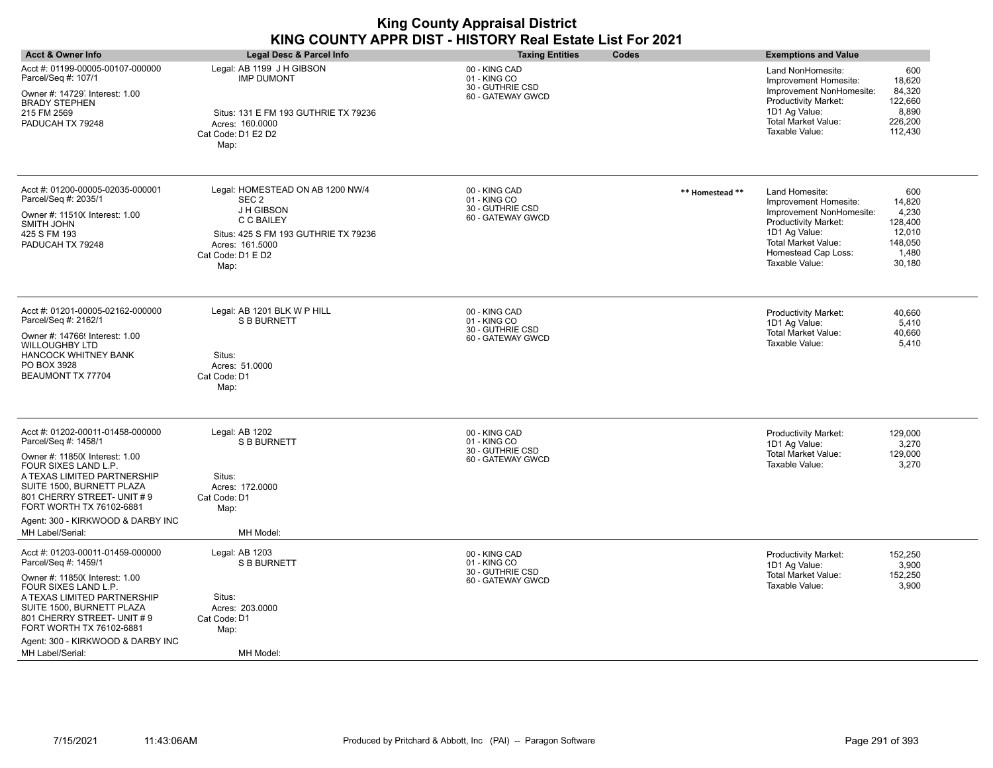| <b>Acct &amp; Owner Info</b>                                                                                                                                                                                                                                                                      | Legal Desc & Parcel Info                                                                                                                                                 | <b>Taxing Entities</b>                                                 | Codes           | <b>Exemptions and Value</b>                                                                                                                                                                                                                                      |
|---------------------------------------------------------------------------------------------------------------------------------------------------------------------------------------------------------------------------------------------------------------------------------------------------|--------------------------------------------------------------------------------------------------------------------------------------------------------------------------|------------------------------------------------------------------------|-----------------|------------------------------------------------------------------------------------------------------------------------------------------------------------------------------------------------------------------------------------------------------------------|
| Acct #: 01199-00005-00107-000000<br>Parcel/Seq #: 107/1<br>Owner #: 14729, Interest: 1.00<br><b>BRADY STEPHEN</b><br>215 FM 2569<br>PADUCAH TX 79248                                                                                                                                              | Legal: AB 1199 J H GIBSON<br><b>IMP DUMONT</b><br>Situs: 131 E FM 193 GUTHRIE TX 79236<br>Acres: 160.0000<br>Cat Code: D1 E2 D2<br>Map:                                  | 00 - KING CAD<br>01 - KING CO<br>30 - GUTHRIE CSD<br>60 - GATEWAY GWCD |                 | 600<br>Land NonHomesite:<br>18,620<br>Improvement Homesite:<br>Improvement NonHomesite:<br>84,320<br><b>Productivity Market:</b><br>122,660<br>1D1 Ag Value:<br>8,890<br><b>Total Market Value:</b><br>226,200<br>Taxable Value:<br>112,430                      |
| Acct #: 01200-00005-02035-000001<br>Parcel/Seq #: 2035/1<br>Owner #: 11510( Interest: 1.00<br>SMITH JOHN<br>425 S FM 193<br>PADUCAH TX 79248                                                                                                                                                      | Legal: HOMESTEAD ON AB 1200 NW/4<br>SEC <sub>2</sub><br>J H GIBSON<br>C C BAILEY<br>Situs: 425 S FM 193 GUTHRIE TX 79236<br>Acres: 161.5000<br>Cat Code: D1 E D2<br>Map: | 00 - KING CAD<br>01 - KING CO<br>30 - GUTHRIE CSD<br>60 - GATEWAY GWCD | ** Homestead ** | Land Homesite:<br>600<br>14,820<br>Improvement Homesite:<br>4,230<br>Improvement NonHomesite:<br>Productivity Market:<br>128,400<br>1D1 Ag Value:<br>12,010<br><b>Total Market Value:</b><br>148,050<br>Homestead Cap Loss:<br>1.480<br>Taxable Value:<br>30,180 |
| Acct #: 01201-00005-02162-000000<br>Parcel/Seq #: 2162/1<br>Owner #: 14766! Interest: 1.00<br><b>WILLOUGHBY LTD</b><br><b>HANCOCK WHITNEY BANK</b><br>PO BOX 3928<br>BEAUMONT TX 77704                                                                                                            | Legal: AB 1201 BLK W P HILL<br><b>S B BURNETT</b><br>Situs:<br>Acres: 51.0000<br>Cat Code: D1<br>Map:                                                                    | 00 - KING CAD<br>01 - KING CO<br>30 - GUTHRIE CSD<br>60 - GATEWAY GWCD |                 | 40,660<br><b>Productivity Market:</b><br>1D1 Ag Value:<br>5,410<br><b>Total Market Value:</b><br>40,660<br>Taxable Value:<br>5,410                                                                                                                               |
| Acct #: 01202-00011-01458-000000<br>Parcel/Seq #: 1458/1<br>Owner #: 11850( Interest: 1.00<br>FOUR SIXES LAND L.P.<br>A TEXAS LIMITED PARTNERSHIP<br>SUITE 1500. BURNETT PLAZA<br>801 CHERRY STREET- UNIT #9<br>FORT WORTH TX 76102-6881<br>Agent: 300 - KIRKWOOD & DARBY INC<br>MH Label/Serial: | Legal: AB 1202<br><b>S B BURNETT</b><br>Situs:<br>Acres: 172.0000<br>Cat Code: D1<br>Map:<br>MH Model:                                                                   | 00 - KING CAD<br>01 - KING CO<br>30 - GUTHRIE CSD<br>60 - GATEWAY GWCD |                 | 129.000<br><b>Productivity Market:</b><br>3,270<br>1D1 Ag Value:<br><b>Total Market Value:</b><br>129,000<br>3,270<br>Taxable Value:                                                                                                                             |
| Acct #: 01203-00011-01459-000000<br>Parcel/Seq #: 1459/1<br>Owner #: 11850( Interest: 1.00<br>FOUR SIXES LAND L.P.<br>A TEXAS LIMITED PARTNERSHIP<br>SUITE 1500, BURNETT PLAZA<br>801 CHERRY STREET- UNIT #9<br>FORT WORTH TX 76102-6881<br>Agent: 300 - KIRKWOOD & DARBY INC<br>MH Label/Serial: | Legal: AB 1203<br><b>S B BURNETT</b><br>Situs:<br>Acres: 203.0000<br>Cat Code: D1<br>Map:<br>MH Model:                                                                   | 00 - KING CAD<br>01 - KING CO<br>30 - GUTHRIE CSD<br>60 - GATEWAY GWCD |                 | 152,250<br>Productivity Market:<br>3,900<br>1D1 Ag Value:<br><b>Total Market Value:</b><br>152,250<br>3,900<br>Taxable Value:                                                                                                                                    |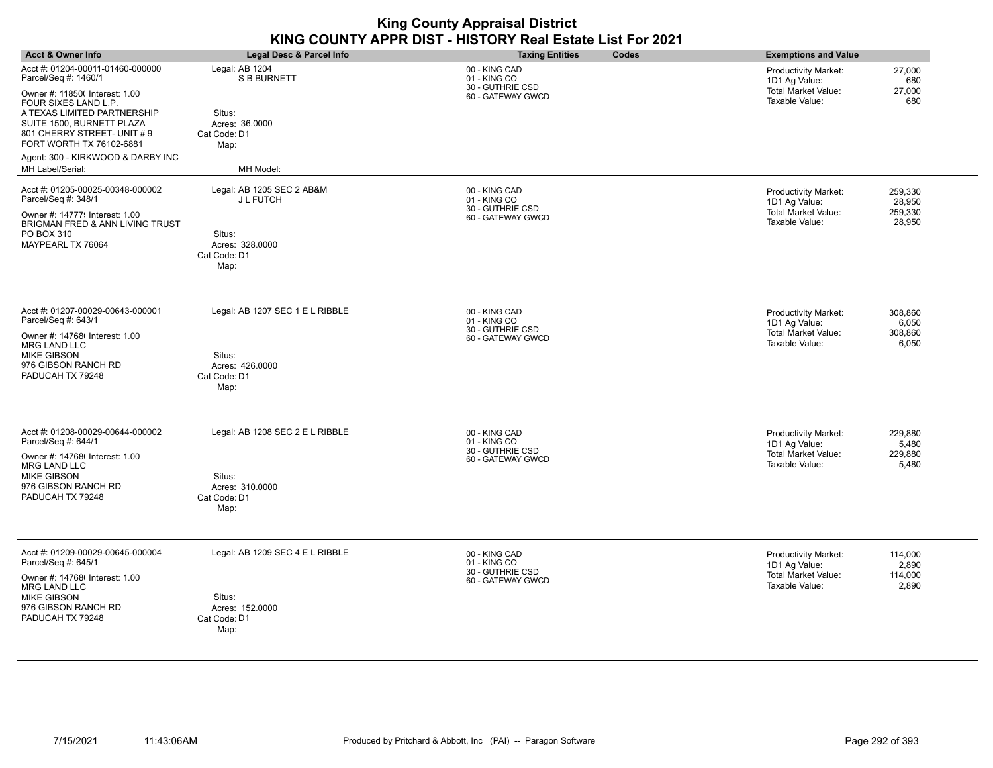| <b>Acct &amp; Owner Info</b>                                                                                                                                                                                                                                                                       | Legal Desc & Parcel Info                                                                              | <b>Taxing Entities</b><br>Codes                                        | <b>Exemptions and Value</b>                                                                                                          |
|----------------------------------------------------------------------------------------------------------------------------------------------------------------------------------------------------------------------------------------------------------------------------------------------------|-------------------------------------------------------------------------------------------------------|------------------------------------------------------------------------|--------------------------------------------------------------------------------------------------------------------------------------|
| Acct #: 01204-00011-01460-000000<br>Parcel/Seq #: 1460/1<br>Owner #: 11850( Interest: 1.00<br>FOUR SIXES LAND L.P.<br>A TEXAS LIMITED PARTNERSHIP<br>SUITE 1500, BURNETT PLAZA<br>801 CHERRY STREET- UNIT # 9<br>FORT WORTH TX 76102-6881<br>Agent: 300 - KIRKWOOD & DARBY INC<br>MH Label/Serial: | Legal: AB 1204<br><b>S B BURNETT</b><br>Situs:<br>Acres: 36.0000<br>Cat Code: D1<br>Map:<br>MH Model: | 00 - KING CAD<br>01 - KING CO<br>30 - GUTHRIE CSD<br>60 - GATEWAY GWCD | <b>Productivity Market:</b><br>27,000<br>680<br>1D1 Ag Value:<br>27,000<br>Total Market Value:<br>Taxable Value:<br>680              |
| Acct #: 01205-00025-00348-000002<br>Parcel/Seq #: 348/1<br>Owner #: 14777! Interest: 1.00<br>BRIGMAN FRED & ANN LIVING TRUST<br>PO BOX 310<br>MAYPEARL TX 76064                                                                                                                                    | Legal: AB 1205 SEC 2 AB&M<br><b>JLFUTCH</b><br>Situs:<br>Acres: 328.0000<br>Cat Code: D1<br>Map:      | 00 - KING CAD<br>01 - KING CO<br>30 - GUTHRIE CSD<br>60 - GATEWAY GWCD | 259,330<br><b>Productivity Market:</b><br>28,950<br>1D1 Ag Value:<br>259,330<br>Total Market Value:<br>Taxable Value:<br>28,950      |
| Acct #: 01207-00029-00643-000001<br>Parcel/Seq #: 643/1<br>Owner #: 14768( Interest: 1.00<br>MRG LAND LLC<br><b>MIKE GIBSON</b><br>976 GIBSON RANCH RD<br>PADUCAH TX 79248                                                                                                                         | Legal: AB 1207 SEC 1 E L RIBBLE<br>Situs:<br>Acres: 426.0000<br>Cat Code: D1<br>Map:                  | 00 - KING CAD<br>01 - KING CO<br>30 - GUTHRIE CSD<br>60 - GATEWAY GWCD | 308,860<br><b>Productivity Market:</b><br>6,050<br>1D1 Ag Value:<br><b>Total Market Value:</b><br>308,860<br>Taxable Value:<br>6,050 |
| Acct #: 01208-00029-00644-000002<br>Parcel/Seq #: 644/1<br>Owner #: 14768( Interest: 1.00<br>MRG LAND LLC<br><b>MIKE GIBSON</b><br>976 GIBSON RANCH RD<br>PADUCAH TX 79248                                                                                                                         | Legal: AB 1208 SEC 2 E L RIBBLE<br>Situs:<br>Acres: 310.0000<br>Cat Code: D1<br>Map:                  | 00 - KING CAD<br>01 - KING CO<br>30 - GUTHRIE CSD<br>60 - GATEWAY GWCD | <b>Productivity Market:</b><br>229,880<br>1D1 Ag Value:<br>5,480<br><b>Total Market Value:</b><br>229,880<br>Taxable Value:<br>5,480 |
| Acct #: 01209-00029-00645-000004<br>Parcel/Seq #: 645/1<br>Owner #: 14768( Interest: 1.00<br><b>MRG LAND LLC</b><br>MIKE GIBSON<br>976 GIBSON RANCH RD<br>PADUCAH TX 79248                                                                                                                         | Legal: AB 1209 SEC 4 E L RIBBLE<br>Situs:<br>Acres: 152.0000<br>Cat Code: D1<br>Map:                  | 00 - KING CAD<br>01 - KING CO<br>30 - GUTHRIE CSD<br>60 - GATEWAY GWCD | <b>Productivity Market:</b><br>114,000<br>1D1 Ag Value:<br>2,890<br>114,000<br>Total Market Value:<br>Taxable Value:<br>2,890        |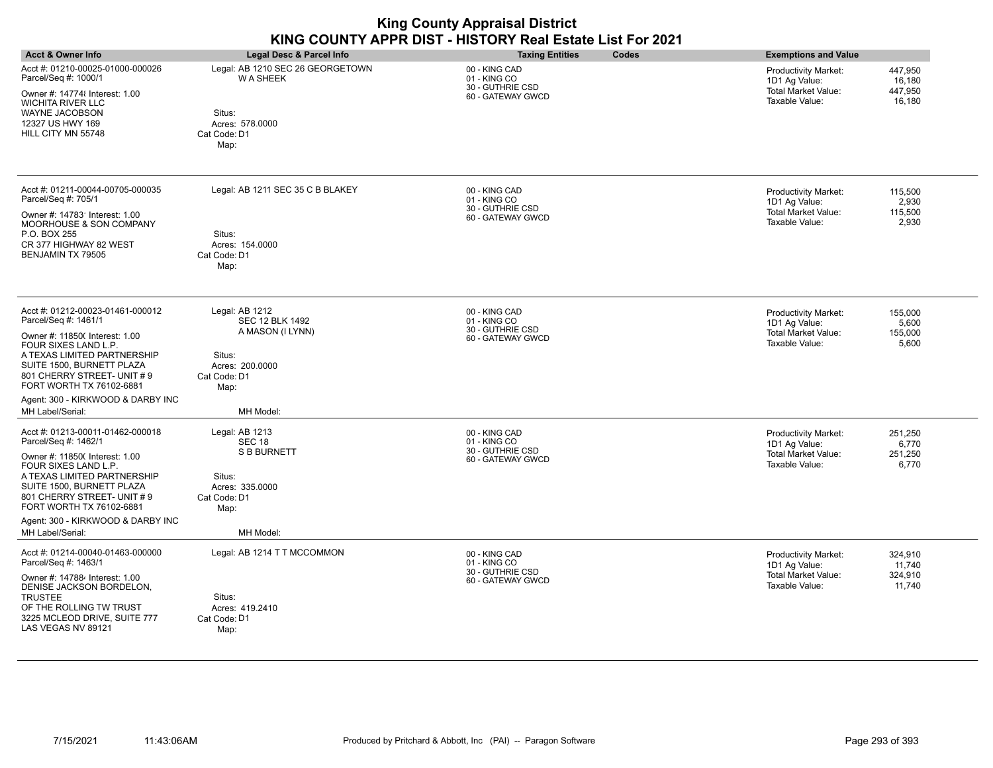| <b>Acct &amp; Owner Info</b>                                                                                                                                                                                                                                                                      | <b>Legal Desc &amp; Parcel Info</b>                                                                                            | <b>Taxing Entities</b><br><b>Codes</b>                                 | <b>Exemptions and Value</b>                                                                                                          |
|---------------------------------------------------------------------------------------------------------------------------------------------------------------------------------------------------------------------------------------------------------------------------------------------------|--------------------------------------------------------------------------------------------------------------------------------|------------------------------------------------------------------------|--------------------------------------------------------------------------------------------------------------------------------------|
| Acct #: 01210-00025-01000-000026<br>Parcel/Seq #: 1000/1<br>Owner #: 147748 Interest: 1.00<br><b>WICHITA RIVER LLC</b><br>WAYNE JACOBSON<br>12327 US HWY 169<br>HILL CITY MN 55748                                                                                                                | Legal: AB 1210 SEC 26 GEORGETOWN<br><b>WA SHEEK</b><br>Situs:<br>Acres: 578,0000<br>Cat Code: D1<br>Map:                       | 00 - KING CAD<br>01 - KING CO<br>30 - GUTHRIE CSD<br>60 - GATEWAY GWCD | Productivity Market:<br>447,950<br>1D1 Ag Value:<br>16,180<br>Total Market Value:<br>447,950<br>Taxable Value:<br>16,180             |
| Acct #: 01211-00044-00705-000035<br>Parcel/Seq #: 705/1<br>Owner #: 14783' Interest: 1.00<br>MOORHOUSE & SON COMPANY<br>P.O. BOX 255<br>CR 377 HIGHWAY 82 WEST<br>BENJAMIN TX 79505                                                                                                               | Legal: AB 1211 SEC 35 C B BLAKEY<br>Situs:<br>Acres: 154,0000<br>Cat Code: D1<br>Map:                                          | 00 - KING CAD<br>01 - KING CO<br>30 - GUTHRIE CSD<br>60 - GATEWAY GWCD | 115,500<br><b>Productivity Market:</b><br>2,930<br>1D1 Ag Value:<br><b>Total Market Value:</b><br>115,500<br>Taxable Value:<br>2,930 |
| Acct #: 01212-00023-01461-000012<br>Parcel/Seq #: 1461/1<br>Owner #: 11850( Interest: 1.00<br>FOUR SIXES LAND L.P.<br>A TEXAS LIMITED PARTNERSHIP<br>SUITE 1500, BURNETT PLAZA<br>801 CHERRY STREET- UNIT #9<br>FORT WORTH TX 76102-6881<br>Agent: 300 - KIRKWOOD & DARBY INC<br>MH Label/Serial: | Legal: AB 1212<br><b>SEC 12 BLK 1492</b><br>A MASON (I LYNN)<br>Situs:<br>Acres: 200.0000<br>Cat Code: D1<br>Map:<br>MH Model: | 00 - KING CAD<br>01 - KING CO<br>30 - GUTHRIE CSD<br>60 - GATEWAY GWCD | Productivity Market:<br>155,000<br>5,600<br>1D1 Ag Value:<br><b>Total Market Value:</b><br>155,000<br>Taxable Value:<br>5,600        |
| Acct #: 01213-00011-01462-000018<br>Parcel/Seq #: 1462/1<br>Owner #: 11850( Interest: 1.00<br>FOUR SIXES LAND L.P.<br>A TEXAS LIMITED PARTNERSHIP<br>SUITE 1500, BURNETT PLAZA<br>801 CHERRY STREET- UNIT #9<br>FORT WORTH TX 76102-6881<br>Agent: 300 - KIRKWOOD & DARBY INC                     | Legal: AB 1213<br>SEC <sub>18</sub><br><b>S B BURNETT</b><br>Situs:<br>Acres: 335.0000<br>Cat Code: D1<br>Map:                 | 00 - KING CAD<br>01 - KING CO<br>30 - GUTHRIE CSD<br>60 - GATEWAY GWCD | Productivity Market:<br>251,250<br>6,770<br>1D1 Ag Value:<br>Total Market Value:<br>251,250<br>Taxable Value:<br>6,770               |
| MH Label/Serial:<br>Acct #: 01214-00040-01463-000000<br>Parcel/Seq #: 1463/1<br>Owner #: 147884 Interest: 1.00<br>DENISE JACKSON BORDELON,<br>TRUSTEE<br>OF THE ROLLING TW TRUST<br>3225 MCLEOD DRIVE, SUITE 777<br>LAS VEGAS NV 89121                                                            | MH Model:<br>Legal: AB 1214 T T MCCOMMON<br>Situs:<br>Acres: 419.2410<br>Cat Code: D1<br>Map:                                  | 00 - KING CAD<br>01 - KING CO<br>30 - GUTHRIE CSD<br>60 - GATEWAY GWCD | 324,910<br><b>Productivity Market:</b><br>11,740<br>1D1 Ag Value:<br>Total Market Value:<br>324,910<br>Taxable Value:<br>11,740      |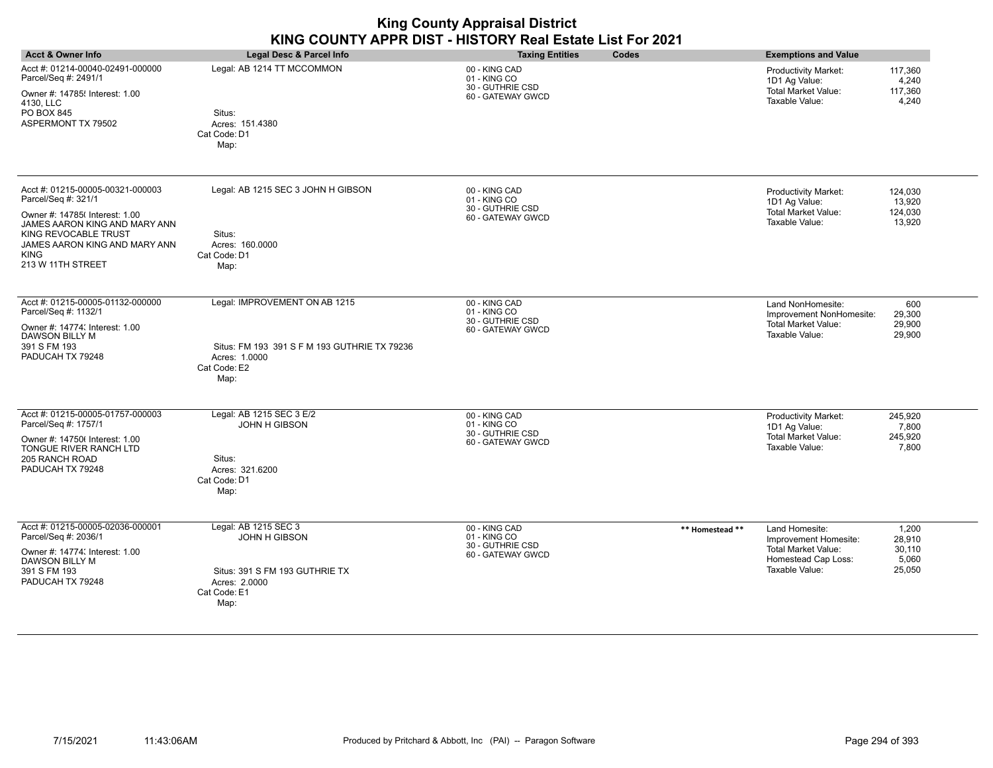| <b>Acct &amp; Owner Info</b>                                                                                                                                | Legal Desc & Parcel Info                          | <b>Taxing Entities</b><br>Codes                                        | <b>Exemptions and Value</b>                                                                                                          |
|-------------------------------------------------------------------------------------------------------------------------------------------------------------|---------------------------------------------------|------------------------------------------------------------------------|--------------------------------------------------------------------------------------------------------------------------------------|
| Acct #: 01214-00040-02491-000000<br>Parcel/Seq #: 2491/1<br>Owner #: 14785{ Interest: 1.00<br>4130, LLC                                                     | Legal: AB 1214 TT MCCOMMON                        | 00 - KING CAD<br>01 - KING CO<br>30 - GUTHRIE CSD<br>60 - GATEWAY GWCD | 117,360<br><b>Productivity Market:</b><br>4,240<br>1D1 Ag Value:<br><b>Total Market Value:</b><br>117,360<br>Taxable Value:<br>4,240 |
| PO BOX 845<br>ASPERMONT TX 79502                                                                                                                            | Situs:<br>Acres: 151.4380<br>Cat Code: D1<br>Map: |                                                                        |                                                                                                                                      |
| Acct #: 01215-00005-00321-000003<br>Parcel/Seq #: 321/1                                                                                                     | Legal: AB 1215 SEC 3 JOHN H GIBSON                | 00 - KING CAD<br>01 - KING CO<br>30 - GUTHRIE CSD                      | 124,030<br>Productivity Market:<br>1D1 Ag Value:<br>13,920                                                                           |
| Owner #: 14785(Interest: 1.00<br>JAMES AARON KING AND MARY ANN<br>KING REVOCABLE TRUST<br>JAMES AARON KING AND MARY ANN<br><b>KING</b><br>213 W 11TH STREET | Situs:<br>Acres: 160.0000<br>Cat Code: D1<br>Map: | 60 - GATEWAY GWCD                                                      | <b>Total Market Value:</b><br>124,030<br>Taxable Value:<br>13,920                                                                    |
| Acct #: 01215-00005-01132-000000<br>Parcel/Seq #: 1132/1                                                                                                    | Legal: IMPROVEMENT ON AB 1215                     | 00 - KING CAD<br>01 - KING CO                                          | Land NonHomesite:<br>600<br>Improvement NonHomesite:<br>29,300                                                                       |
| Owner #: 14774; Interest: 1.00<br>DAWSON BILLY M<br>391 S FM 193                                                                                            | Situs: FM 193 391 S F M 193 GUTHRIE TX 79236      | 30 - GUTHRIE CSD<br>60 - GATEWAY GWCD                                  | 29,900<br><b>Total Market Value:</b><br>Taxable Value:<br>29,900                                                                     |
| PADUCAH TX 79248                                                                                                                                            | Acres: 1.0000<br>Cat Code: E2<br>Map:             |                                                                        |                                                                                                                                      |
| Acct #: 01215-00005-01757-000003<br>Parcel/Seq #: 1757/1                                                                                                    | Legal: AB 1215 SEC 3 E/2<br><b>JOHN H GIBSON</b>  | 00 - KING CAD<br>01 - KING CO                                          | <b>Productivity Market:</b><br>245,920<br>1D1 Ag Value:<br>7,800                                                                     |
| Owner #: 147506 Interest: 1.00<br>TONGUE RIVER RANCH LTD                                                                                                    |                                                   | 30 - GUTHRIE CSD<br>60 - GATEWAY GWCD                                  | <b>Total Market Value:</b><br>245,920<br>Taxable Value:<br>7,800                                                                     |
| 205 RANCH ROAD<br>PADUCAH TX 79248                                                                                                                          | Situs:<br>Acres: 321.6200<br>Cat Code: D1<br>Map: |                                                                        |                                                                                                                                      |
| Acct #: 01215-00005-02036-000001<br>Parcel/Seq #: 2036/1                                                                                                    | Legal: AB 1215 SEC 3<br>JOHN H GIBSON             | 00 - KING CAD<br>01 - KING CO                                          | 1,200<br>Land Homesite:<br>** Homestead **<br>Improvement Homesite:<br>28,910                                                        |
| Owner #: 14774; Interest: 1.00<br>DAWSON BILLY M<br>391 S FM 193                                                                                            | Situs: 391 S FM 193 GUTHRIE TX                    | 30 - GUTHRIE CSD<br>60 - GATEWAY GWCD                                  | <b>Total Market Value:</b><br>30,110<br>5,060<br>Homestead Cap Loss:<br>Taxable Value:<br>25,050                                     |
| PADUCAH TX 79248                                                                                                                                            | Acres: 2.0000<br>Cat Code: E1                     |                                                                        |                                                                                                                                      |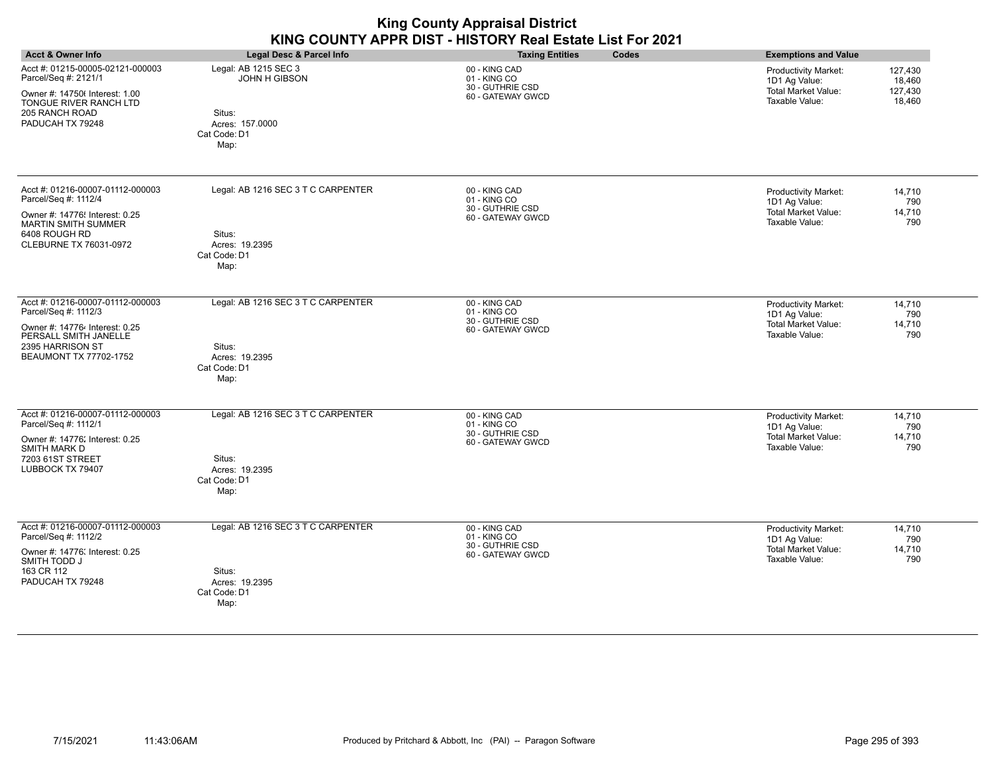| <b>King County Appraisal District</b><br>KING COUNTY APPR DIST - HISTORY Real Estate List For 2021                   |                                                   |                                                                        |                                                                                                                          |
|----------------------------------------------------------------------------------------------------------------------|---------------------------------------------------|------------------------------------------------------------------------|--------------------------------------------------------------------------------------------------------------------------|
| <b>Acct &amp; Owner Info</b>                                                                                         | <b>Legal Desc &amp; Parcel Info</b>               | Codes<br><b>Taxing Entities</b>                                        | <b>Exemptions and Value</b>                                                                                              |
| Acct #: 01215-00005-02121-000003<br>Parcel/Seq #: 2121/1<br>Owner #: 147506 Interest: 1.00<br>TONGUE RIVER RANCH LTD | Legal: AB 1215 SEC 3<br><b>JOHN H GIBSON</b>      | 00 - KING CAD<br>01 - KING CO<br>30 - GUTHRIE CSD<br>60 - GATEWAY GWCD | 127,430<br>Productivity Market:<br>18,460<br>1D1 Ag Value:<br>Total Market Value:<br>127,430<br>Taxable Value:<br>18,460 |
| 205 RANCH ROAD<br>PADUCAH TX 79248                                                                                   | Situs:<br>Acres: 157.0000<br>Cat Code: D1<br>Map: |                                                                        |                                                                                                                          |
| Acct #: 01216-00007-01112-000003<br>Parcel/Seq #: 1112/4                                                             | Legal: AB 1216 SEC 3 T C CARPENTER                | 00 - KING CAD<br>01 - KING CO                                          | 14,710<br>Productivity Market:<br>1D1 Ag Value:<br>790                                                                   |
| Owner #: 14776! Interest: 0.25<br><b>MARTIN SMITH SUMMER</b>                                                         |                                                   | 30 - GUTHRIE CSD<br>60 - GATEWAY GWCD                                  | Total Market Value:<br>14,710<br>Taxable Value:<br>790                                                                   |
| 6408 ROUGH RD<br>CLEBURNE TX 76031-0972                                                                              | Situs:<br>Acres: 19.2395<br>Cat Code: D1<br>Map:  |                                                                        |                                                                                                                          |
| Acct #: 01216-00007-01112-000003<br>Parcel/Seq #: 1112/3                                                             | Legal: AB 1216 SEC 3 T C CARPENTER                | 00 - KING CAD<br>01 - KING CO                                          | 14,710<br><b>Productivity Market:</b><br>1D1 Ag Value:<br>790                                                            |
| Owner #: 147764 Interest: 0.25<br>PERSALL SMITH JANELLE                                                              |                                                   | 30 - GUTHRIE CSD<br>60 - GATEWAY GWCD                                  | <b>Total Market Value:</b><br>14,710<br>Taxable Value:<br>790                                                            |
| 2395 HARRISON ST<br><b>BEAUMONT TX 77702-1752</b>                                                                    | Situs:<br>Acres: 19.2395<br>Cat Code: D1<br>Map:  |                                                                        |                                                                                                                          |
| Acct #: 01216-00007-01112-000003<br>Parcel/Seq #: 1112/1                                                             | Legal: AB 1216 SEC 3 T C CARPENTER                | 00 - KING CAD<br>01 - KING CO                                          | Productivity Market:<br>14,710<br>1D1 Ag Value:<br>790                                                                   |
| Owner #: 14776; Interest: 0.25<br>SMITH MARK D                                                                       |                                                   | 30 - GUTHRIE CSD<br>60 - GATEWAY GWCD                                  | <b>Total Market Value:</b><br>14,710<br>Taxable Value:<br>790                                                            |
| 7203 61ST STREET<br>LUBBOCK TX 79407                                                                                 | Situs:<br>Acres: 19.2395<br>Cat Code: D1<br>Map:  |                                                                        |                                                                                                                          |
| Acct #: 01216-00007-01112-000003<br>Parcel/Seq #: 1112/2                                                             | Legal: AB 1216 SEC 3 T C CARPENTER                | 00 - KING CAD<br>01 - KING CO                                          | Productivity Market:<br>14,710                                                                                           |
| Owner #: 14776; Interest: 0.25<br>SMITH TODD J                                                                       |                                                   | 30 - GUTHRIE CSD<br>60 - GATEWAY GWCD                                  | 1D1 Ag Value:<br>790<br><b>Total Market Value:</b><br>14,710<br>Taxable Value:<br>790                                    |
| 163 CR 112<br>PADUCAH TX 79248                                                                                       | Situs:<br>Acres: 19.2395                          |                                                                        |                                                                                                                          |
|                                                                                                                      | Cat Code: D1<br>Map:                              |                                                                        |                                                                                                                          |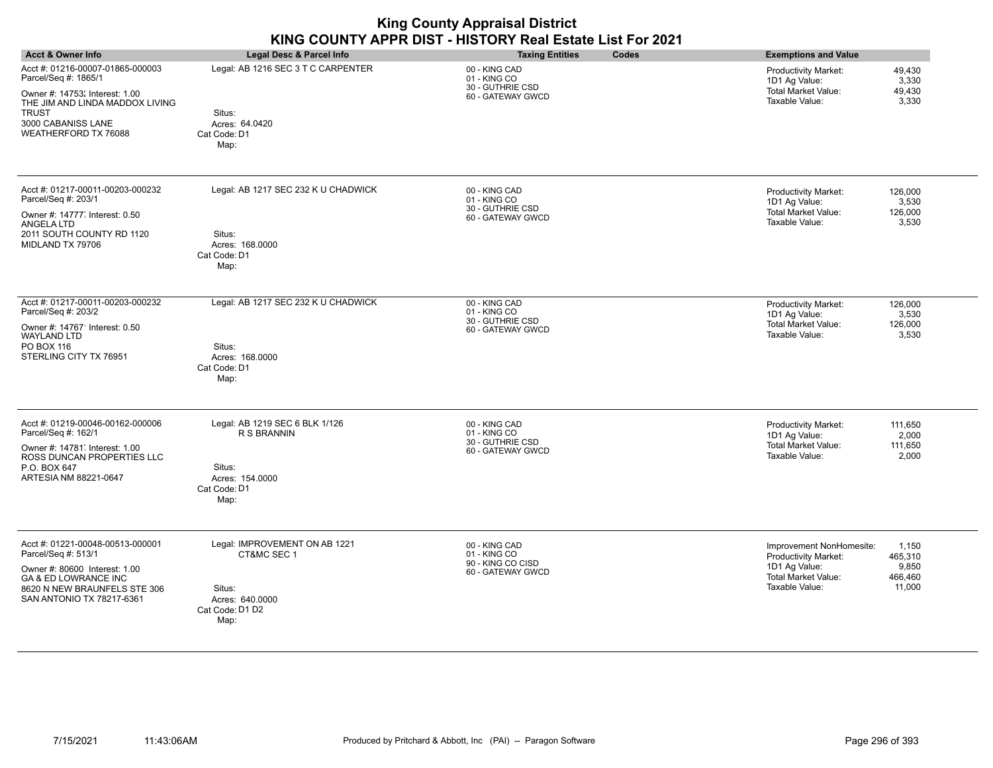| <b>Acct &amp; Owner Info</b>                                                                                                                                                             | Legal Desc & Parcel Info                                                                             | <b>Taxing Entities</b><br>Codes                                         | <b>Exemptions and Value</b>                                                                                                                                         |
|------------------------------------------------------------------------------------------------------------------------------------------------------------------------------------------|------------------------------------------------------------------------------------------------------|-------------------------------------------------------------------------|---------------------------------------------------------------------------------------------------------------------------------------------------------------------|
| Acct #: 01216-00007-01865-000003<br>Parcel/Seq #: 1865/1<br>Owner #: 14753; Interest: 1.00<br>THE JIM AND LINDA MADDOX LIVING<br>TRUST<br>3000 CABANISS LANE<br>WEATHERFORD TX 76088     | Legal: AB 1216 SEC 3 T C CARPENTER<br>Situs:<br>Acres: 64.0420<br>Cat Code: D1<br>Map:               | 00 - KING CAD<br>01 - KING CO<br>30 - GUTHRIE CSD<br>60 - GATEWAY GWCD  | 49,430<br><b>Productivity Market:</b><br>3,330<br>1D1 Ag Value:<br><b>Total Market Value:</b><br>49,430<br>Taxable Value:<br>3,330                                  |
| Acct #: 01217-00011-00203-000232<br>Parcel/Seq #: 203/1<br>Owner #: 14777, Interest: 0.50<br>ANGELA LTD<br>2011 SOUTH COUNTY RD 1120<br>MIDLAND TX 79706                                 | Legal: AB 1217 SEC 232 K U CHADWICK<br>Situs:<br>Acres: 168,0000<br>Cat Code: D1<br>Map:             | 00 - KING CAD<br>01 - KING CO<br>30 - GUTHRIE CSD<br>60 - GATEWAY GWCD  | Productivity Market:<br>126,000<br>1D1 Ag Value:<br>3,530<br><b>Total Market Value:</b><br>126,000<br>Taxable Value:<br>3,530                                       |
| Acct #: 01217-00011-00203-000232<br>Parcel/Seq #: 203/2<br>Owner #: 14767 Interest: 0.50<br><b>WAYLAND LTD</b><br>PO BOX 116<br>STERLING CITY TX 76951                                   | Legal: AB 1217 SEC 232 K U CHADWICK<br>Situs:<br>Acres: 168,0000<br>Cat Code: D1<br>Map:             | 00 - KING CAD<br>01 - KING CO<br>30 - GUTHRIE CSD<br>60 - GATEWAY GWCD  | Productivity Market:<br>126,000<br>1D1 Ag Value:<br>3,530<br><b>Total Market Value:</b><br>126,000<br>3,530<br>Taxable Value:                                       |
| Acct #: 01219-00046-00162-000006<br>Parcel/Seq #: 162/1<br>Owner #: 14781, Interest: 1.00<br>ROSS DUNCAN PROPERTIES LLC<br>P.O. BOX 647<br>ARTESIA NM 88221-0647                         | Legal: AB 1219 SEC 6 BLK 1/126<br>R S BRANNIN<br>Situs:<br>Acres: 154,0000<br>Cat Code: D1<br>Map:   | 00 - KING CAD<br>01 - KING CO<br>30 - GUTHRIE CSD<br>60 - GATEWAY GWCD  | Productivity Market:<br>111,650<br>1D1 Ag Value:<br>2,000<br><b>Total Market Value:</b><br>111,650<br>Taxable Value:<br>2,000                                       |
| Acct #: 01221-00048-00513-000001<br>Parcel/Seq #: 513/1<br>Owner #: 80600 Interest: 1.00<br><b>GA &amp; ED LOWRANCE INC</b><br>8620 N NEW BRAUNFELS STE 306<br>SAN ANTONIO TX 78217-6361 | Legal: IMPROVEMENT ON AB 1221<br>CT&MC SEC 1<br>Situs:<br>Acres: 640.0000<br>Cat Code: D1 D2<br>Map: | 00 - KING CAD<br>01 - KING CO<br>90 - KING CO CISD<br>60 - GATEWAY GWCD | Improvement NonHomesite:<br>1,150<br>Productivity Market:<br>465,310<br>1D1 Ag Value:<br>9,850<br><b>Total Market Value:</b><br>466,460<br>Taxable Value:<br>11,000 |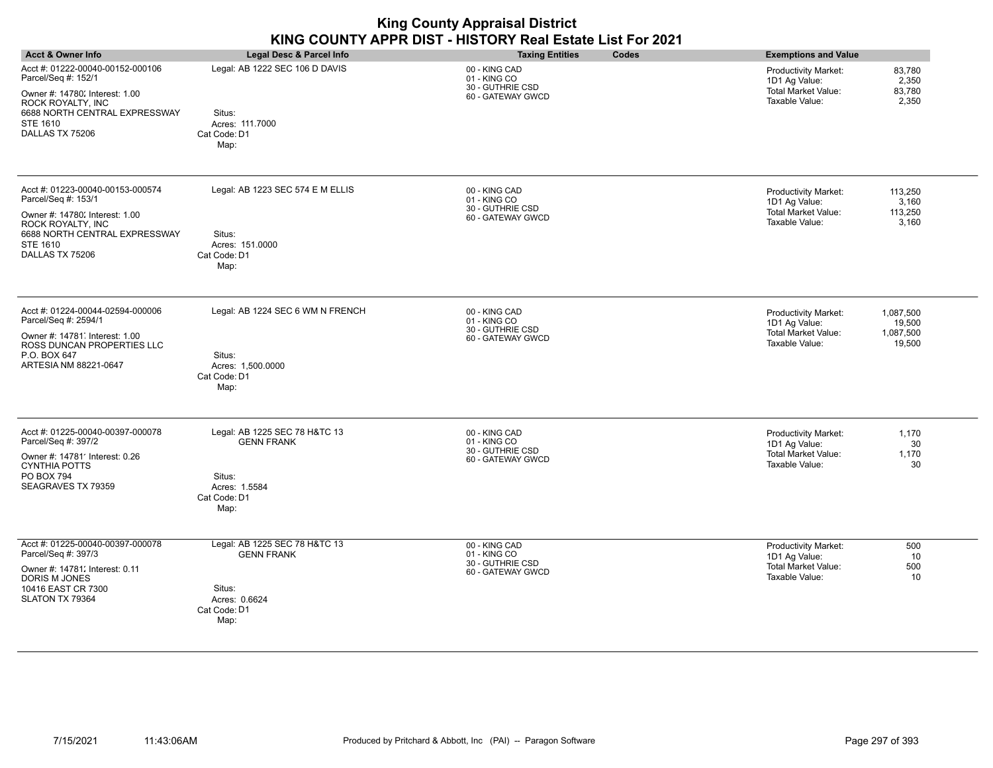| <b>Acct &amp; Owner Info</b>                                                                                                                                                          | <b>Legal Desc &amp; Parcel Info</b>                                                                   | <b>Taxing Entities</b><br>Codes                                        | <b>Exemptions and Value</b>                                                                                                          |
|---------------------------------------------------------------------------------------------------------------------------------------------------------------------------------------|-------------------------------------------------------------------------------------------------------|------------------------------------------------------------------------|--------------------------------------------------------------------------------------------------------------------------------------|
| Acct #: 01222-00040-00152-000106<br>Parcel/Seq #: 152/1<br>Owner #: 14780; Interest: 1.00<br>ROCK ROYALTY, INC<br>6688 NORTH CENTRAL EXPRESSWAY<br><b>STE 1610</b><br>DALLAS TX 75206 | Legal: AB 1222 SEC 106 D DAVIS<br>Situs:<br>Acres: 111.7000<br>Cat Code: D1<br>Map:                   | 00 - KING CAD<br>01 - KING CO<br>30 - GUTHRIE CSD<br>60 - GATEWAY GWCD | <b>Productivity Market:</b><br>83,780<br>1D1 Ag Value:<br>2,350<br><b>Total Market Value:</b><br>83,780<br>Taxable Value:<br>2,350   |
| Acct #: 01223-00040-00153-000574<br>Parcel/Seq #: 153/1<br>Owner #: 14780; Interest: 1.00<br>ROCK ROYALTY, INC<br>6688 NORTH CENTRAL EXPRESSWAY<br><b>STE 1610</b><br>DALLAS TX 75206 | Legal: AB 1223 SEC 574 E M ELLIS<br>Situs:<br>Acres: 151.0000<br>Cat Code: D1<br>Map:                 | 00 - KING CAD<br>01 - KING CO<br>30 - GUTHRIE CSD<br>60 - GATEWAY GWCD | 113,250<br><b>Productivity Market:</b><br>1D1 Ag Value:<br>3,160<br><b>Total Market Value:</b><br>113,250<br>Taxable Value:<br>3,160 |
| Acct #: 01224-00044-02594-000006<br>Parcel/Seq #: 2594/1<br>Owner #: 14781 Interest: 1.00<br>ROSS DUNCAN PROPERTIES LLC<br>P.O. BOX 647<br>ARTESIA NM 88221-0647                      | Legal: AB 1224 SEC 6 WM N FRENCH<br>Situs:<br>Acres: 1,500.0000<br>Cat Code: D1<br>Map:               | 00 - KING CAD<br>01 - KING CO<br>30 - GUTHRIE CSD<br>60 - GATEWAY GWCD | 1,087,500<br><b>Productivity Market:</b><br>1D1 Ag Value:<br>19,500<br>Total Market Value:<br>1,087,500<br>Taxable Value:<br>19,500  |
| Acct #: 01225-00040-00397-000078<br>Parcel/Seq #: 397/2<br>Owner #: 147811 Interest: 0.26<br><b>CYNTHIA POTTS</b><br>PO BOX 794<br>SEAGRAVES TX 79359                                 | Legal: AB 1225 SEC 78 H&TC 13<br><b>GENN FRANK</b><br>Situs:<br>Acres: 1.5584<br>Cat Code: D1<br>Map: | 00 - KING CAD<br>01 - KING CO<br>30 - GUTHRIE CSD<br>60 - GATEWAY GWCD | 1,170<br><b>Productivity Market:</b><br>1D1 Ag Value:<br>30<br><b>Total Market Value:</b><br>1,170<br>Taxable Value:<br>30           |
| Acct #: 01225-00040-00397-000078<br>Parcel/Seq #: 397/3<br>Owner #: 14781; Interest: 0.11<br>DORIS M JONES<br>10416 EAST CR 7300<br>SLATON TX 79364                                   | Legal: AB 1225 SEC 78 H&TC 13<br><b>GENN FRANK</b><br>Situs:<br>Acres: 0.6624<br>Cat Code: D1<br>Map: | 00 - KING CAD<br>01 - KING CO<br>30 - GUTHRIE CSD<br>60 - GATEWAY GWCD | Productivity Market:<br>500<br>1D1 Ag Value:<br>10<br><b>Total Market Value:</b><br>500<br>Taxable Value:<br>10                      |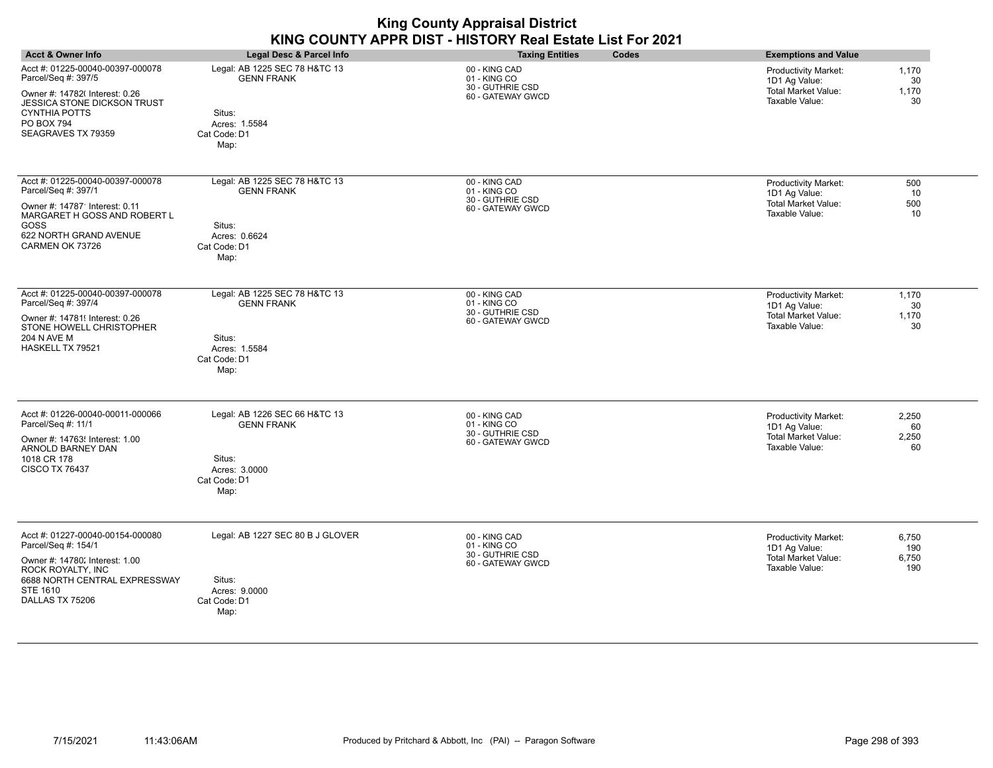| <b>King County Appraisal District</b><br>KING COUNTY APPR DIST - HISTORY Real Estate List For 2021                                                                                          |                                                                                                       |                                                                        |                                                                                                                              |
|---------------------------------------------------------------------------------------------------------------------------------------------------------------------------------------------|-------------------------------------------------------------------------------------------------------|------------------------------------------------------------------------|------------------------------------------------------------------------------------------------------------------------------|
| <b>Acct &amp; Owner Info</b>                                                                                                                                                                | <b>Legal Desc &amp; Parcel Info</b>                                                                   | <b>Taxing Entities</b><br>Codes                                        | <b>Exemptions and Value</b>                                                                                                  |
| Acct #: 01225-00040-00397-000078<br>Parcel/Seq #: 397/5<br>Owner #: 14782( Interest: 0.26<br>JESSICA STONE DICKSON TRUST<br><b>CYNTHIA POTTS</b><br><b>PO BOX 794</b><br>SEAGRAVES TX 79359 | Legal: AB 1225 SEC 78 H&TC 13<br><b>GENN FRANK</b><br>Situs:<br>Acres: 1.5584<br>Cat Code: D1<br>Map: | 00 - KING CAD<br>01 - KING CO<br>30 - GUTHRIE CSD<br>60 - GATEWAY GWCD | <b>Productivity Market:</b><br>1,170<br>1D1 Ag Value:<br>30<br><b>Total Market Value:</b><br>1.170<br>Taxable Value:<br>30   |
| Acct #: 01225-00040-00397-000078<br>Parcel/Seq #: 397/1<br>Owner #: 14787 Interest: 0.11<br>MARGARET H GOSS AND ROBERT L<br>GOSS<br>622 NORTH GRAND AVENUE<br>CARMEN OK 73726               | Legal: AB 1225 SEC 78 H&TC 13<br><b>GENN FRANK</b><br>Situs:<br>Acres: 0.6624<br>Cat Code: D1<br>Map: | 00 - KING CAD<br>01 - KING CO<br>30 - GUTHRIE CSD<br>60 - GATEWAY GWCD | <b>Productivity Market:</b><br>500<br>1D1 Ag Value:<br>10<br><b>Total Market Value:</b><br>500<br>Taxable Value:<br>10       |
| Acct #: 01225-00040-00397-000078<br>Parcel/Seq #: 397/4<br>Owner #: 147819 Interest: 0.26<br>STONE HOWELL CHRISTOPHER<br>204 N AVE M<br>HASKELL TX 79521                                    | Legal: AB 1225 SEC 78 H&TC 13<br><b>GENN FRANK</b><br>Situs:<br>Acres: 1.5584<br>Cat Code: D1<br>Map: | 00 - KING CAD<br>01 - KING CO<br>30 - GUTHRIE CSD<br>60 - GATEWAY GWCD | <b>Productivity Market:</b><br>1,170<br>1D1 Ag Value:<br>30<br><b>Total Market Value:</b><br>1,170<br>Taxable Value:<br>30   |
| Acct #: 01226-00040-00011-000066<br>Parcel/Seq #: 11/1<br>Owner #: 14763! Interest: 1.00<br>ARNOLD BARNEY DAN<br>1018 CR 178<br><b>CISCO TX 76437</b>                                       | Legal: AB 1226 SEC 66 H&TC 13<br><b>GENN FRANK</b><br>Situs:<br>Acres: 3.0000<br>Cat Code: D1<br>Map: | 00 - KING CAD<br>01 - KING CO<br>30 - GUTHRIE CSD<br>60 - GATEWAY GWCD | Productivity Market:<br>2,250<br>1D1 Ag Value:<br>60<br><b>Total Market Value:</b><br>2,250<br>Taxable Value:<br>60          |
| Acct #: 01227-00040-00154-000080<br>Parcel/Seq #: 154/1<br>Owner #: 14780; Interest: 1.00<br>ROCK ROYALTY, INC<br>6688 NORTH CENTRAL EXPRESSWAY<br><b>STE 1610</b><br>DALLAS TX 75206       | Legal: AB 1227 SEC 80 B J GLOVER<br>Situs:<br>Acres: 9.0000<br>Cat Code: D1<br>Map:                   | 00 - KING CAD<br>01 - KING CO<br>30 - GUTHRIE CSD<br>60 - GATEWAY GWCD | 6,750<br><b>Productivity Market:</b><br>1D1 Ag Value:<br>190<br><b>Total Market Value:</b><br>6,750<br>Taxable Value:<br>190 |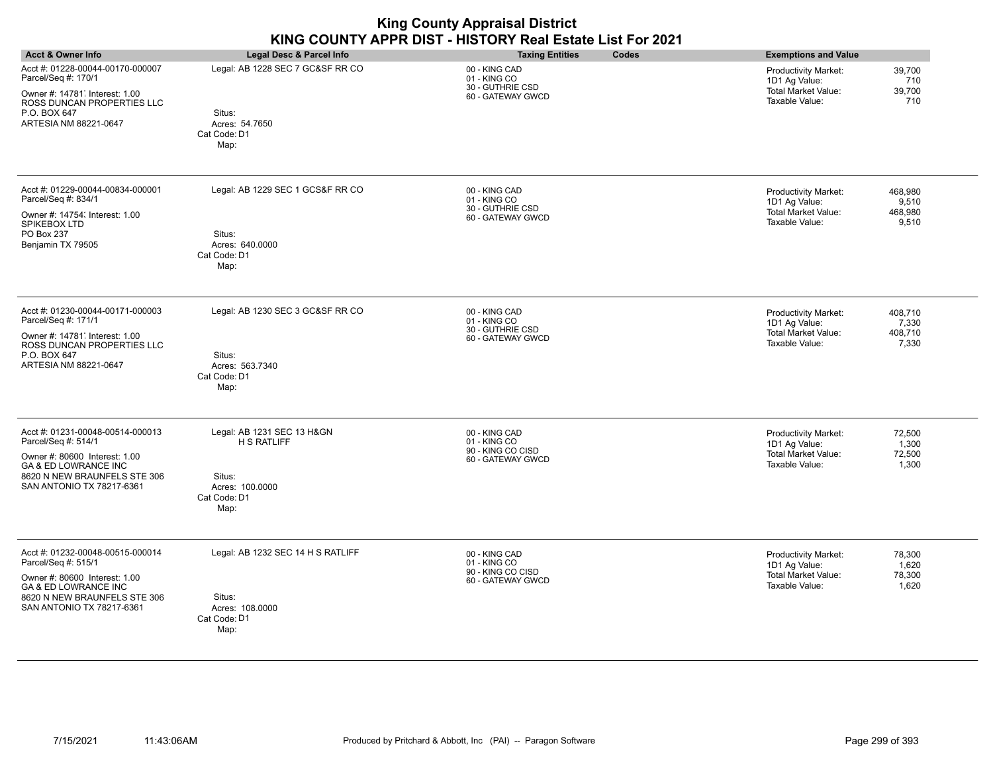| Acct & Owner Info                                                                                                                                                                        | Legal Desc & Parcel Info                                                                              | <b>Taxing Entities</b><br>Codes                                         | <b>Exemptions and Value</b>                                                                                                    |
|------------------------------------------------------------------------------------------------------------------------------------------------------------------------------------------|-------------------------------------------------------------------------------------------------------|-------------------------------------------------------------------------|--------------------------------------------------------------------------------------------------------------------------------|
| Acct #: 01228-00044-00170-000007<br>Parcel/Seq #: 170/1<br>Owner #: 14781, Interest: 1.00<br>ROSS DUNCAN PROPERTIES LLC<br>P.O. BOX 647<br>ARTESIA NM 88221-0647                         | Legal: AB 1228 SEC 7 GC&SF RR CO<br>Situs:<br>Acres: 54.7650<br>Cat Code: D1<br>Map:                  | 00 - KING CAD<br>01 - KING CO<br>30 - GUTHRIE CSD<br>60 - GATEWAY GWCD  | 39,700<br><b>Productivity Market:</b><br>1D1 Ag Value:<br>710<br><b>Total Market Value:</b><br>39,700<br>Taxable Value:<br>710 |
| Acct #: 01229-00044-00834-000001<br>Parcel/Seq #: 834/1<br>Owner #: 14754; Interest: 1.00<br>SPIKEBOX LTD<br>PO Box 237<br>Benjamin TX 79505                                             | Legal: AB 1229 SEC 1 GCS&F RR CO<br>Situs:<br>Acres: 640.0000<br>Cat Code: D1<br>Map:                 | 00 - KING CAD<br>01 - KING CO<br>30 - GUTHRIE CSD<br>60 - GATEWAY GWCD  | 468,980<br>Productivity Market:<br>1D1 Ag Value:<br>9,510<br><b>Total Market Value:</b><br>468,980<br>Taxable Value:<br>9,510  |
| Acct #: 01230-00044-00171-000003<br>Parcel/Seq #: 171/1<br>Owner #: 14781 Interest: 1.00<br>ROSS DUNCAN PROPERTIES LLC<br>P.O. BOX 647<br>ARTESIA NM 88221-0647                          | Legal: AB 1230 SEC 3 GC&SF RR CO<br>Situs:<br>Acres: 563.7340<br>Cat Code: D1<br>Map:                 | 00 - KING CAD<br>01 - KING CO<br>30 - GUTHRIE CSD<br>60 - GATEWAY GWCD  | Productivity Market:<br>408,710<br>1D1 Ag Value:<br>7,330<br><b>Total Market Value:</b><br>408,710<br>Taxable Value:<br>7,330  |
| Acct #: 01231-00048-00514-000013<br>Parcel/Seq #: 514/1<br>Owner #: 80600 Interest: 1.00<br><b>GA &amp; ED LOWRANCE INC</b><br>8620 N NEW BRAUNFELS STE 306<br>SAN ANTONIO TX 78217-6361 | Legal: AB 1231 SEC 13 H&GN<br><b>H S RATLIFF</b><br>Situs:<br>Acres: 100,0000<br>Cat Code: D1<br>Map: | 00 - KING CAD<br>01 - KING CO<br>90 - KING CO CISD<br>60 - GATEWAY GWCD | Productivity Market:<br>72,500<br>1,300<br>1D1 Ag Value:<br><b>Total Market Value:</b><br>72,500<br>Taxable Value:<br>1,300    |
| Acct #: 01232-00048-00515-000014<br>Parcel/Seq #: 515/1<br>Owner #: 80600 Interest: 1.00<br>GA & ED LOWRANCE INC<br>8620 N NEW BRAUNFELS STE 306<br>SAN ANTONIO TX 78217-6361            | Legal: AB 1232 SEC 14 H S RATLIFF<br>Situs:<br>Acres: 108.0000<br>Cat Code: D1<br>Map:                | 00 - KING CAD<br>01 - KING CO<br>90 - KING CO CISD<br>60 - GATEWAY GWCD | 78,300<br>Productivity Market:<br>1,620<br>1D1 Ag Value:<br><b>Total Market Value:</b><br>78,300<br>Taxable Value:<br>1,620    |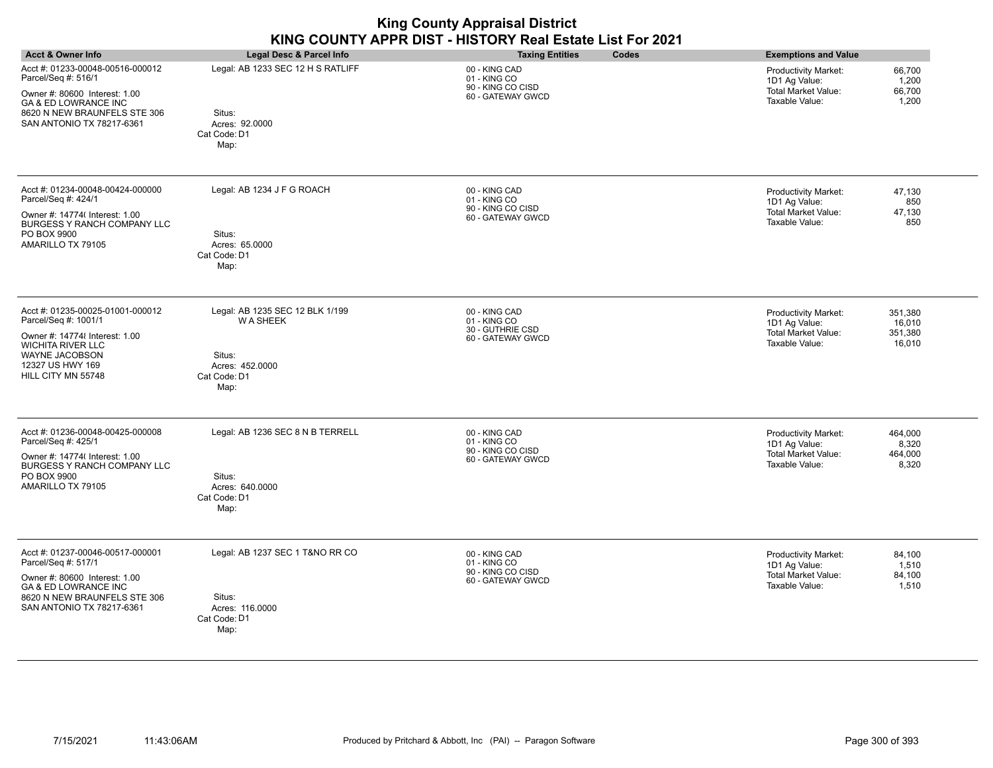| <b>King County Appraisal District</b>                     |                                 |  |
|-----------------------------------------------------------|---------------------------------|--|
| KING COUNTY APPR DIST - HISTORY Real Estate List For 2021 |                                 |  |
| Legal Desc & Parcel Info                                  | <b>Taxing Entities</b><br>Codes |  |

| <b>Acct &amp; Owner Info</b>                                                                                                                                                             | Legal Desc & Parcel Info                                                                                | <b>Taxing Entities</b>                                                  | Codes | <b>Exemptions and Value</b>                                                                  |                                        |
|------------------------------------------------------------------------------------------------------------------------------------------------------------------------------------------|---------------------------------------------------------------------------------------------------------|-------------------------------------------------------------------------|-------|----------------------------------------------------------------------------------------------|----------------------------------------|
| Acct #: 01233-00048-00516-000012<br>Parcel/Seq #: 516/1<br>Owner #: 80600 Interest: 1.00<br><b>GA &amp; ED LOWRANCE INC</b><br>8620 N NEW BRAUNFELS STE 306<br>SAN ANTONIO TX 78217-6361 | Legal: AB 1233 SEC 12 H S RATLIFF<br>Situs:<br>Acres: 92.0000<br>Cat Code: D1<br>Map:                   | 00 - KING CAD<br>01 - KING CO<br>90 - KING CO CISD<br>60 - GATEWAY GWCD |       | <b>Productivity Market:</b><br>1D1 Ag Value:<br><b>Total Market Value:</b><br>Taxable Value: | 66,700<br>1,200<br>66,700<br>1,200     |
| Acct #: 01234-00048-00424-000000<br>Parcel/Seq #: 424/1<br>Owner #: 14774( Interest: 1.00<br>BURGESS Y RANCH COMPANY LLC<br>PO BOX 9900<br>AMARILLO TX 79105                             | Legal: AB 1234 J F G ROACH<br>Situs:<br>Acres: 65,0000<br>Cat Code: D1<br>Map:                          | 00 - KING CAD<br>01 - KING CO<br>90 - KING CO CISD<br>60 - GATEWAY GWCD |       | <b>Productivity Market:</b><br>1D1 Ag Value:<br><b>Total Market Value:</b><br>Taxable Value: | 47,130<br>850<br>47,130<br>850         |
| Acct #: 01235-00025-01001-000012<br>Parcel/Seq #: 1001/1<br>Owner #: 147748 Interest: 1.00<br><b>WICHITA RIVER LLC</b><br>WAYNE JACOBSON<br>12327 US HWY 169<br>HILL CITY MN 55748       | Legal: AB 1235 SEC 12 BLK 1/199<br><b>WA SHEEK</b><br>Situs:<br>Acres: 452.0000<br>Cat Code: D1<br>Map: | 00 - KING CAD<br>01 - KING CO<br>30 - GUTHRIE CSD<br>60 - GATEWAY GWCD  |       | <b>Productivity Market:</b><br>1D1 Ag Value:<br>Total Market Value:<br>Taxable Value:        | 351,380<br>16,010<br>351,380<br>16,010 |
| Acct #: 01236-00048-00425-000008<br>Parcel/Seq #: 425/1<br>Owner #: 14774( Interest: 1.00<br>BURGESS Y RANCH COMPANY LLC<br>PO BOX 9900<br>AMARILLO TX 79105                             | Legal: AB 1236 SEC 8 N B TERRELL<br>Situs:<br>Acres: 640.0000<br>Cat Code: D1<br>Map:                   | 00 - KING CAD<br>01 - KING CO<br>90 - KING CO CISD<br>60 - GATEWAY GWCD |       | Productivity Market:<br>1D1 Ag Value:<br><b>Total Market Value:</b><br>Taxable Value:        | 464,000<br>8,320<br>464,000<br>8,320   |
| Acct #: 01237-00046-00517-000001<br>Parcel/Seq #: 517/1<br>Owner #: 80600 Interest: 1.00<br>GA & ED LOWRANCE INC<br>8620 N NEW BRAUNFELS STE 306<br>SAN ANTONIO TX 78217-6361            | Legal: AB 1237 SEC 1 T&NO RR CO<br>Situs:<br>Acres: 116.0000<br>Cat Code: D1<br>Map:                    | 00 - KING CAD<br>01 - KING CO<br>90 - KING CO CISD<br>60 - GATEWAY GWCD |       | Productivity Market:<br>1D1 Ag Value:<br><b>Total Market Value:</b><br>Taxable Value:        | 84,100<br>1,510<br>84,100<br>1,510     |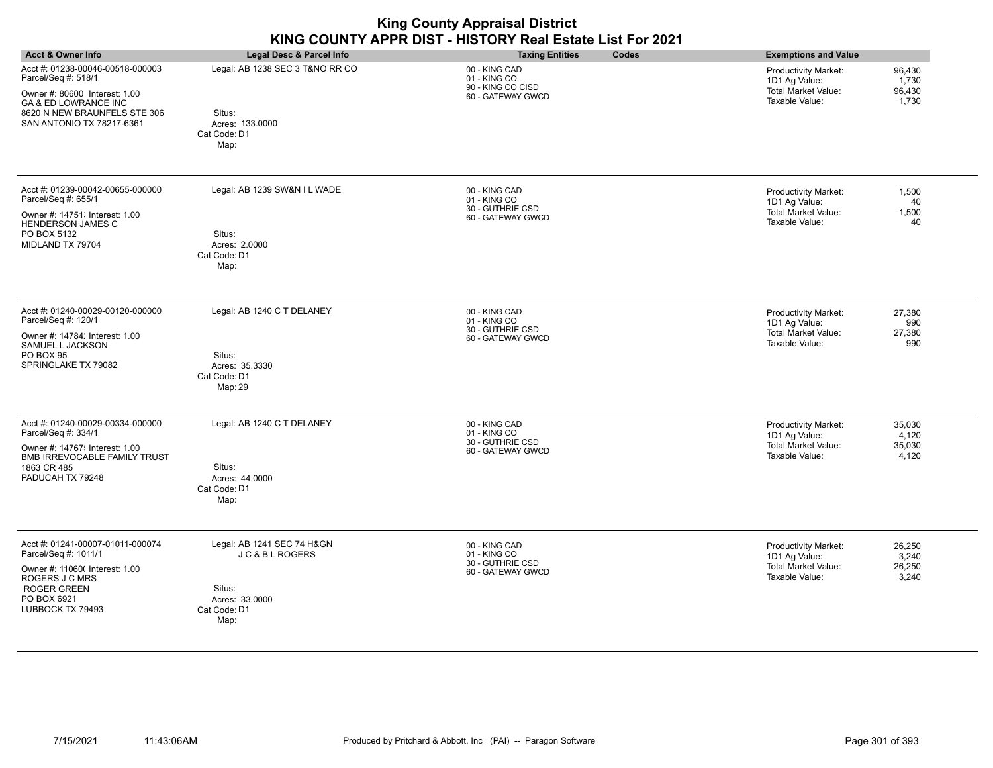|                                                                                                                                                   |                                                                                   | <b>King County Appraisal District</b><br>KING COUNTY APPR DIST - HISTORY Real Estate List For 2021 |                                                                                                                                |
|---------------------------------------------------------------------------------------------------------------------------------------------------|-----------------------------------------------------------------------------------|----------------------------------------------------------------------------------------------------|--------------------------------------------------------------------------------------------------------------------------------|
| <b>Acct &amp; Owner Info</b>                                                                                                                      | <b>Legal Desc &amp; Parcel Info</b>                                               | <b>Taxing Entities</b><br>Codes                                                                    | <b>Exemptions and Value</b>                                                                                                    |
| Acct #: 01238-00046-00518-000003<br>Parcel/Seq #: 518/1                                                                                           | Legal: AB 1238 SEC 3 T&NO RR CO                                                   | 00 - KING CAD<br>01 - KING CO                                                                      | 96.430<br><b>Productivity Market:</b><br>1D1 Ag Value:<br>1,730                                                                |
| Owner #: 80600 Interest: 1.00<br><b>GA &amp; ED LOWRANCE INC</b><br>8620 N NEW BRAUNFELS STE 306<br>SAN ANTONIO TX 78217-6361                     | Situs:<br>Acres: 133.0000<br>Cat Code: D1<br>Map:                                 | 90 - KING CO CISD<br>60 - GATEWAY GWCD                                                             | <b>Total Market Value:</b><br>96,430<br>Taxable Value:<br>1,730                                                                |
| Acct #: 01239-00042-00655-000000<br>Parcel/Seq #: 655/1                                                                                           | Legal: AB 1239 SW&N I L WADE                                                      | 00 - KING CAD<br>01 - KING CO                                                                      | <b>Productivity Market:</b><br>1,500<br>1D1 Ag Value:<br>40                                                                    |
| Owner #: 14751; Interest: 1.00<br>HENDERSON JAMES C<br>PO BOX 5132<br>MIDLAND TX 79704                                                            | Situs:<br>Acres: 2.0000<br>Cat Code: D1<br>Map:                                   | 30 - GUTHRIE CSD<br>60 - GATEWAY GWCD                                                              | <b>Total Market Value:</b><br>1,500<br>Taxable Value:<br>40                                                                    |
| Acct #: 01240-00029-00120-000000<br>Parcel/Seq #: 120/1<br>Owner #: 14784; Interest: 1.00<br>SAMUEL L JACKSON<br>PO BOX 95<br>SPRINGLAKE TX 79082 | Legal: AB 1240 C T DELANEY<br>Situs:<br>Acres: 35.3330<br>Cat Code: D1<br>Map: 29 | 00 - KING CAD<br>01 - KING CO<br>30 - GUTHRIE CSD<br>60 - GATEWAY GWCD                             | <b>Productivity Market:</b><br>27,380<br>1D1 Ag Value:<br>990<br><b>Total Market Value:</b><br>27,380<br>Taxable Value:<br>990 |
| Acct #: 01240-00029-00334-000000<br>Parcel/Seq #: 334/1                                                                                           | Legal: AB 1240 C T DELANEY                                                        | 00 - KING CAD<br>01 - KING CO                                                                      | 35,030<br><b>Productivity Market:</b><br>1D1 Ag Value:<br>4.120                                                                |
| Owner #: 14767! Interest: 1.00<br>BMB IRREVOCABLE FAMILY TRUST<br>1863 CR 485<br>PADUCAH TX 79248                                                 | Situs:<br>Acres: 44,0000<br>Cat Code: D1<br>Map:                                  | 30 - GUTHRIE CSD<br>60 - GATEWAY GWCD                                                              | <b>Total Market Value:</b><br>35,030<br>Taxable Value:<br>4,120                                                                |
| Acct #: 01241-00007-01011-000074<br>Parcel/Seq #: 1011/1                                                                                          | Legal: AB 1241 SEC 74 H&GN<br>JC&BLROGERS                                         | 00 - KING CAD<br>01 - KING CO<br>30 - GUTHRIE CSD                                                  | <b>Productivity Market:</b><br>26,250<br>1D1 Ag Value:<br>3,240                                                                |
| Owner #: 11060( Interest: 1.00<br>ROGERS J C MRS<br>ROGER GREEN<br>PO BOX 6921                                                                    | Situs:<br>Acres: 33,0000                                                          | 60 - GATEWAY GWCD                                                                                  | <b>Total Market Value:</b><br>26,250<br>Taxable Value:<br>3,240                                                                |
| LUBBOCK TX 79493                                                                                                                                  | Cat Code: D1                                                                      |                                                                                                    |                                                                                                                                |

Map: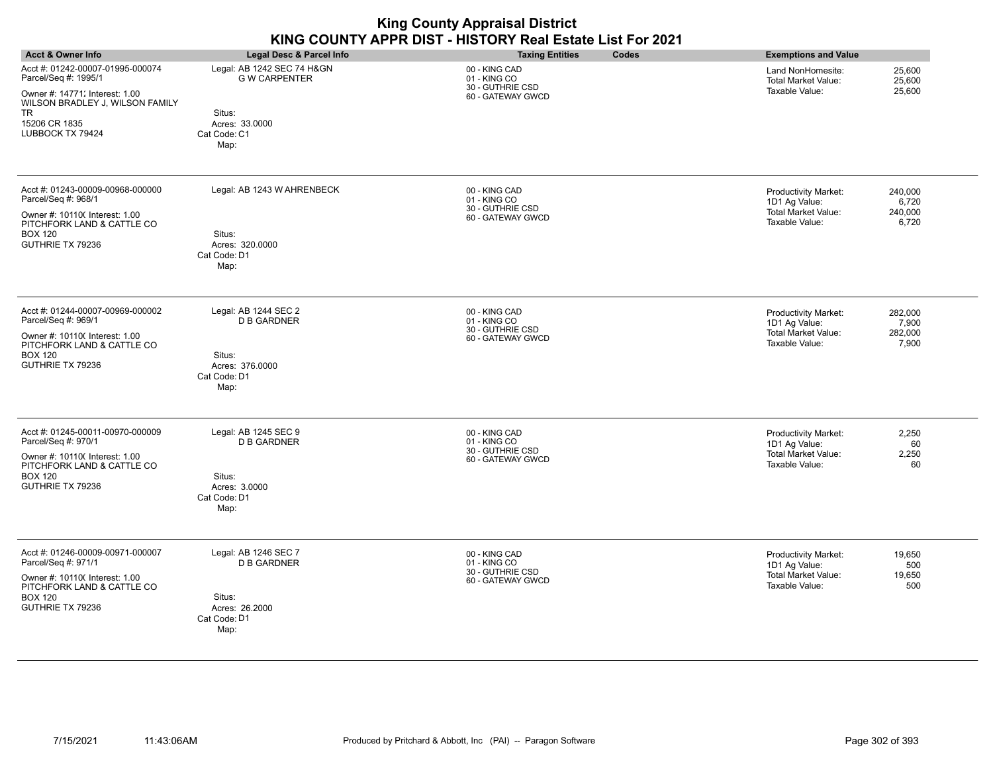|                                                                                                                                                               |                                                                                                 | <b>King County Appraisal District</b><br>KING COUNTY APPR DIST - HISTORY Real Estate List For 2021 |                                                                                                                               |
|---------------------------------------------------------------------------------------------------------------------------------------------------------------|-------------------------------------------------------------------------------------------------|----------------------------------------------------------------------------------------------------|-------------------------------------------------------------------------------------------------------------------------------|
| <b>Acct &amp; Owner Info</b>                                                                                                                                  | <b>Legal Desc &amp; Parcel Info</b>                                                             | <b>Taxing Entities</b><br>Codes                                                                    | <b>Exemptions and Value</b>                                                                                                   |
| Acct #: 01242-00007-01995-000074<br>Parcel/Seq #: 1995/1<br>Owner #: 14771; Interest: 1.00<br>WILSON BRADLEY J, WILSON FAMILY                                 | Legal: AB 1242 SEC 74 H&GN<br><b>G W CARPENTER</b>                                              | 00 - KING CAD<br>01 - KING CO<br>30 - GUTHRIE CSD<br>60 - GATEWAY GWCD                             | 25,600<br>Land NonHomesite:<br>25,600<br><b>Total Market Value:</b><br>Taxable Value:<br>25,600                               |
| TR<br>15206 CR 1835<br>LUBBOCK TX 79424                                                                                                                       | Situs:<br>Acres: 33.0000<br>Cat Code: C1<br>Map:                                                |                                                                                                    |                                                                                                                               |
| Acct #: 01243-00009-00968-000000<br>Parcel/Seq #: 968/1<br>Owner #: 10110( Interest: 1.00                                                                     | Legal: AB 1243 W AHRENBECK                                                                      | 00 - KING CAD<br>01 - KING CO<br>30 - GUTHRIE CSD<br>60 - GATEWAY GWCD                             | 240,000<br>Productivity Market:<br>1D1 Ag Value:<br>6,720<br><b>Total Market Value:</b><br>240,000<br>Taxable Value:<br>6,720 |
| PITCHFORK LAND & CATTLE CO<br><b>BOX 120</b><br>GUTHRIE TX 79236                                                                                              | Situs:<br>Acres: 320.0000<br>Cat Code: D1<br>Map:                                               |                                                                                                    |                                                                                                                               |
| Acct #: 01244-00007-00969-000002<br>Parcel/Seq #: 969/1<br>Owner #: 10110( Interest: 1.00<br>PITCHFORK LAND & CATTLE CO<br><b>BOX 120</b><br>GUTHRIE TX 79236 | Legal: AB 1244 SEC 2<br><b>D B GARDNER</b><br>Situs:<br>Acres: 376,0000<br>Cat Code: D1<br>Map: | 00 - KING CAD<br>01 - KING CO<br>30 - GUTHRIE CSD<br>60 - GATEWAY GWCD                             | Productivity Market:<br>282,000<br>1D1 Ag Value:<br>7,900<br><b>Total Market Value:</b><br>282,000<br>Taxable Value:<br>7,900 |
| Acct #: 01245-00011-00970-000009<br>Parcel/Seq #: 970/1<br>Owner #: 10110( Interest: 1.00<br>PITCHFORK LAND & CATTLE CO<br><b>BOX 120</b><br>GUTHRIE TX 79236 | Legal: AB 1245 SEC 9<br><b>D B GARDNER</b><br>Situs:<br>Acres: 3.0000<br>Cat Code: D1<br>Map:   | 00 - KING CAD<br>01 - KING CO<br>30 - GUTHRIE CSD<br>60 - GATEWAY GWCD                             | Productivity Market:<br>2,250<br>1D1 Ag Value:<br>60<br>2,250<br><b>Total Market Value:</b><br>Taxable Value:<br>60           |
| Acct #: 01246-00009-00971-000007<br>Parcel/Seq #: 971/1<br>Owner #: 10110( Interest: 1.00<br>PITCHFORK LAND & CATTLE CO<br><b>BOX 120</b><br>GUTHRIE TX 79236 | Legal: AB 1246 SEC 7<br><b>D B GARDNER</b><br>Situs:<br>Acres: 26.2000<br>Cat Code: D1<br>Map:  | 00 - KING CAD<br>01 - KING CO<br>30 - GUTHRIE CSD<br>60 - GATEWAY GWCD                             | Productivity Market:<br>19,650<br>1D1 Ag Value:<br>500<br><b>Total Market Value:</b><br>19,650<br>500<br>Taxable Value:       |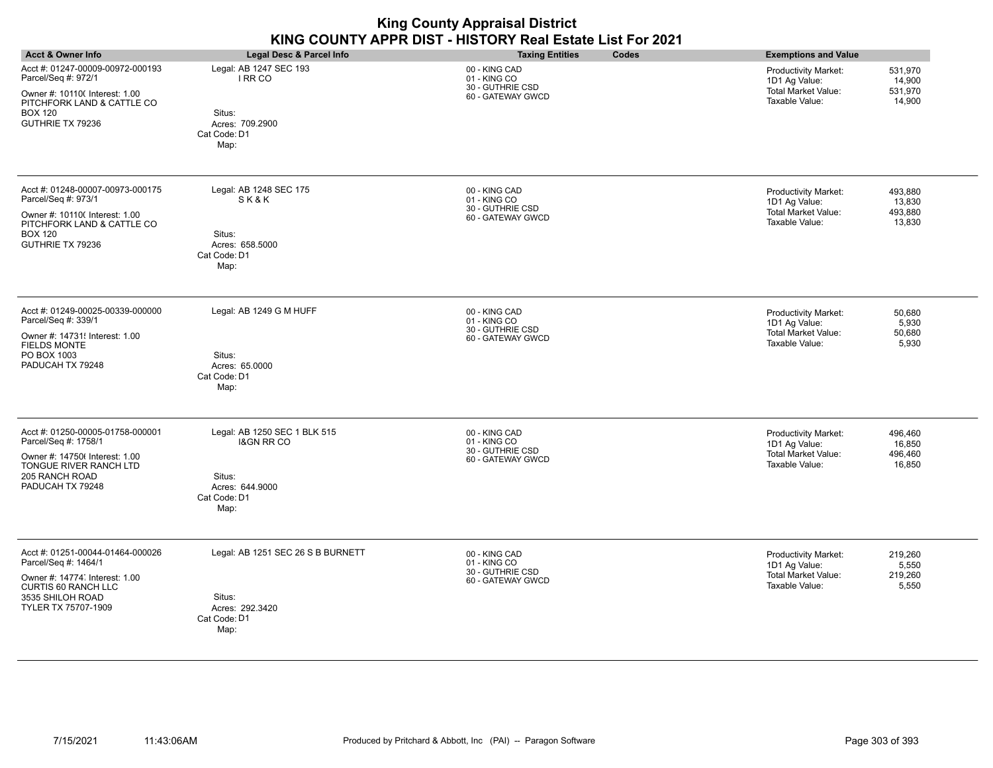|                                                                                                                                                               |                                                                                                            | <b>King County Appraisal District</b><br>KING COUNTY APPR DIST - HISTORY Real Estate List For 2021 |                                                                                                                                        |
|---------------------------------------------------------------------------------------------------------------------------------------------------------------|------------------------------------------------------------------------------------------------------------|----------------------------------------------------------------------------------------------------|----------------------------------------------------------------------------------------------------------------------------------------|
| <b>Acct &amp; Owner Info</b>                                                                                                                                  | Legal Desc & Parcel Info                                                                                   | <b>Codes</b><br><b>Taxing Entities</b>                                                             | <b>Exemptions and Value</b>                                                                                                            |
| Acct #: 01247-00009-00972-000193<br>Parcel/Seq #: 972/1<br>Owner #: 10110( Interest: 1.00<br>PITCHFORK LAND & CATTLE CO<br><b>BOX 120</b><br>GUTHRIE TX 79236 | Legal: AB 1247 SEC 193<br>I RR CO<br>Situs:<br>Acres: 709.2900<br>Cat Code: D1<br>Map:                     | 00 - KING CAD<br>01 - KING CO<br>30 - GUTHRIE CSD<br>60 - GATEWAY GWCD                             | <b>Productivity Market:</b><br>531.970<br>1D1 Ag Value:<br>14,900<br>Total Market Value:<br>531,970<br>Taxable Value:<br>14,900        |
| Acct #: 01248-00007-00973-000175<br>Parcel/Seq #: 973/1<br>Owner #: 10110( Interest: 1.00<br>PITCHFORK LAND & CATTLE CO<br><b>BOX 120</b><br>GUTHRIE TX 79236 | Legal: AB 1248 SEC 175<br><b>SK&amp;K</b><br>Situs:<br>Acres: 658.5000<br>Cat Code: D1<br>Map:             | 00 - KING CAD<br>01 - KING CO<br>30 - GUTHRIE CSD<br>60 - GATEWAY GWCD                             | <b>Productivity Market:</b><br>493,880<br>1D1 Ag Value:<br>13,830<br><b>Total Market Value:</b><br>493,880<br>Taxable Value:<br>13,830 |
| Acct #: 01249-00025-00339-000000<br>Parcel/Seq #: 339/1<br>Owner #: 14731! Interest: 1.00<br><b>FIELDS MONTE</b><br>PO BOX 1003<br>PADUCAH TX 79248           | Legal: AB 1249 G M HUFF<br>Situs:<br>Acres: 65.0000<br>Cat Code: D1<br>Map:                                | 00 - KING CAD<br>01 - KING CO<br>30 - GUTHRIE CSD<br>60 - GATEWAY GWCD                             | 50,680<br><b>Productivity Market:</b><br>1D1 Ag Value:<br>5,930<br><b>Total Market Value:</b><br>50,680<br>Taxable Value:<br>5,930     |
| Acct #: 01250-00005-01758-000001<br>Parcel/Seq #: 1758/1<br>Owner #: 147506 Interest: 1.00<br>TONGUE RIVER RANCH LTD<br>205 RANCH ROAD<br>PADUCAH TX 79248    | Legal: AB 1250 SEC 1 BLK 515<br><b>I&amp;GN RR CO</b><br>Situs:<br>Acres: 644.9000<br>Cat Code: D1<br>Map: | 00 - KING CAD<br>01 - KING CO<br>30 - GUTHRIE CSD<br>60 - GATEWAY GWCD                             | <b>Productivity Market:</b><br>496,460<br>1D1 Ag Value:<br>16,850<br><b>Total Market Value:</b><br>496,460<br>Taxable Value:<br>16,850 |
| Acct #: 01251-00044-01464-000026<br>Parcel/Seq #: 1464/1<br>Owner #: 14774: Interest: 1.00<br>CURTIS 60 RANCH LLC<br>3535 SHILOH ROAD<br>TYLER TX 75707-1909  | Legal: AB 1251 SEC 26 S B BURNETT<br>Situs:<br>Acres: 292.3420<br>Cat Code: D1<br>Map:                     | 00 - KING CAD<br>01 - KING CO<br>30 - GUTHRIE CSD<br>60 - GATEWAY GWCD                             | 219.260<br><b>Productivity Market:</b><br>1D1 Ag Value:<br>5,550<br>219,260<br><b>Total Market Value:</b><br>Taxable Value:<br>5,550   |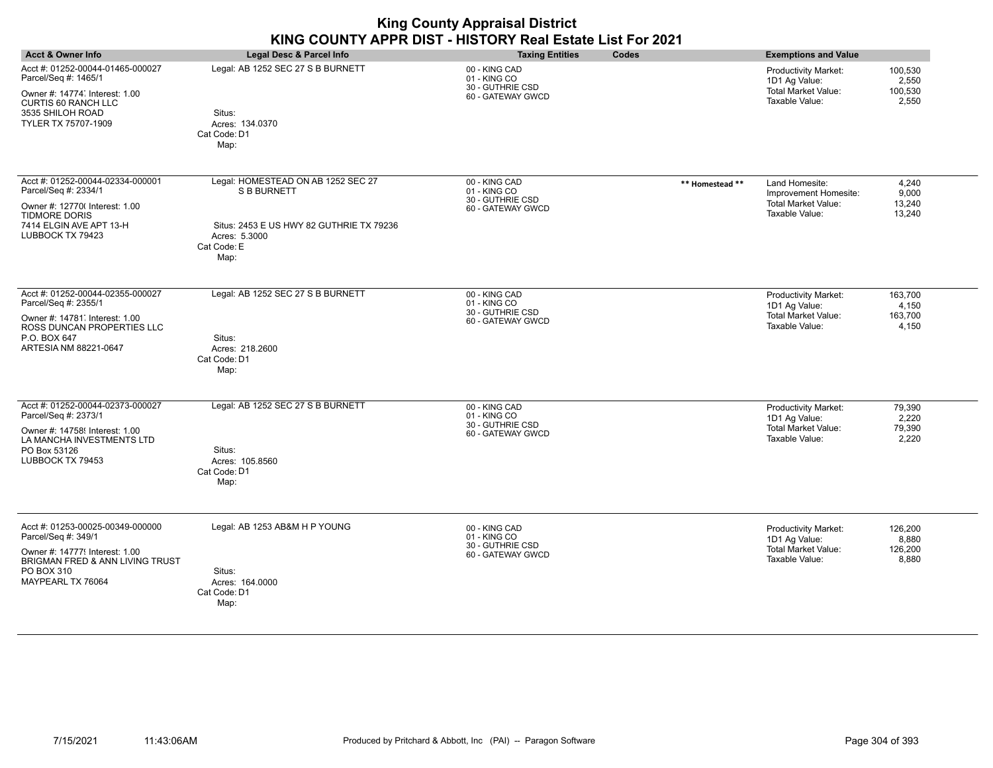| <b>Acct &amp; Owner Info</b>                                                                                                                                      | Legal Desc & Parcel Info                                                                                                                     | <b>Taxing Entities</b><br>Codes                                        |                 | <b>Exemptions and Value</b>                                                                  |                                      |
|-------------------------------------------------------------------------------------------------------------------------------------------------------------------|----------------------------------------------------------------------------------------------------------------------------------------------|------------------------------------------------------------------------|-----------------|----------------------------------------------------------------------------------------------|--------------------------------------|
| Acct #: 01252-00044-01465-000027<br>Parcel/Seq #: 1465/1<br>Owner #: 14774 Interest: 1.00<br>CURTIS 60 RANCH LLC<br>3535 SHILOH ROAD<br>TYLER TX 75707-1909       | Legal: AB 1252 SEC 27 S B BURNETT<br>Situs:<br>Acres: 134.0370<br>Cat Code: D1<br>Map:                                                       | 00 - KING CAD<br>01 - KING CO<br>30 - GUTHRIE CSD<br>60 - GATEWAY GWCD |                 | <b>Productivity Market:</b><br>1D1 Ag Value:<br><b>Total Market Value:</b><br>Taxable Value: | 100,530<br>2,550<br>100,530<br>2,550 |
| Acct #: 01252-00044-02334-000001<br>Parcel/Seq #: 2334/1<br>Owner #: 12770( Interest: 1.00<br>TIDMORE DORIS<br>7414 ELGIN AVE APT 13-H<br>LUBBOCK TX 79423        | Legal: HOMESTEAD ON AB 1252 SEC 27<br><b>S B BURNETT</b><br>Situs: 2453 E US HWY 82 GUTHRIE TX 79236<br>Acres: 5.3000<br>Cat Code: E<br>Map: | 00 - KING CAD<br>01 - KING CO<br>30 - GUTHRIE CSD<br>60 - GATEWAY GWCD | ** Homestead ** | Land Homesite:<br>Improvement Homesite:<br><b>Total Market Value:</b><br>Taxable Value:      | 4,240<br>9,000<br>13,240<br>13,240   |
| Acct #: 01252-00044-02355-000027<br>Parcel/Seq #: 2355/1<br>Owner #: 14781, Interest: 1.00<br>ROSS DUNCAN PROPERTIES LLC<br>P.O. BOX 647<br>ARTESIA NM 88221-0647 | Legal: AB 1252 SEC 27 S B BURNETT<br>Situs:<br>Acres: 218.2600<br>Cat Code: D1<br>Map:                                                       | 00 - KING CAD<br>01 - KING CO<br>30 - GUTHRIE CSD<br>60 - GATEWAY GWCD |                 | <b>Productivity Market:</b><br>1D1 Ag Value:<br><b>Total Market Value:</b><br>Taxable Value: | 163,700<br>4,150<br>163,700<br>4,150 |
| Acct #: 01252-00044-02373-000027<br>Parcel/Seq #: 2373/1<br>Owner #: 14758! Interest: 1.00<br>LA MANCHA INVESTMENTS LTD<br>PO Box 53126<br>LUBBOCK TX 79453       | Legal: AB 1252 SEC 27 S B BURNETT<br>Situs:<br>Acres: 105.8560<br>Cat Code: D1<br>Map:                                                       | 00 - KING CAD<br>01 - KING CO<br>30 - GUTHRIE CSD<br>60 - GATEWAY GWCD |                 | <b>Productivity Market:</b><br>1D1 Ag Value:<br><b>Total Market Value:</b><br>Taxable Value: | 79,390<br>2,220<br>79,390<br>2,220   |
| Acct #: 01253-00025-00349-000000<br>Parcel/Seq #: 349/1<br>Owner #: 14777! Interest: 1.00<br>BRIGMAN FRED & ANN LIVING TRUST<br>PO BOX 310<br>MAYPEARL TX 76064   | Legal: AB 1253 AB&M H P YOUNG<br>Situs:<br>Acres: 164,0000<br>Cat Code: D1<br>Map:                                                           | 00 - KING CAD<br>01 - KING CO<br>30 - GUTHRIE CSD<br>60 - GATEWAY GWCD |                 | <b>Productivity Market:</b><br>1D1 Ag Value:<br><b>Total Market Value:</b><br>Taxable Value: | 126,200<br>8,880<br>126,200<br>8,880 |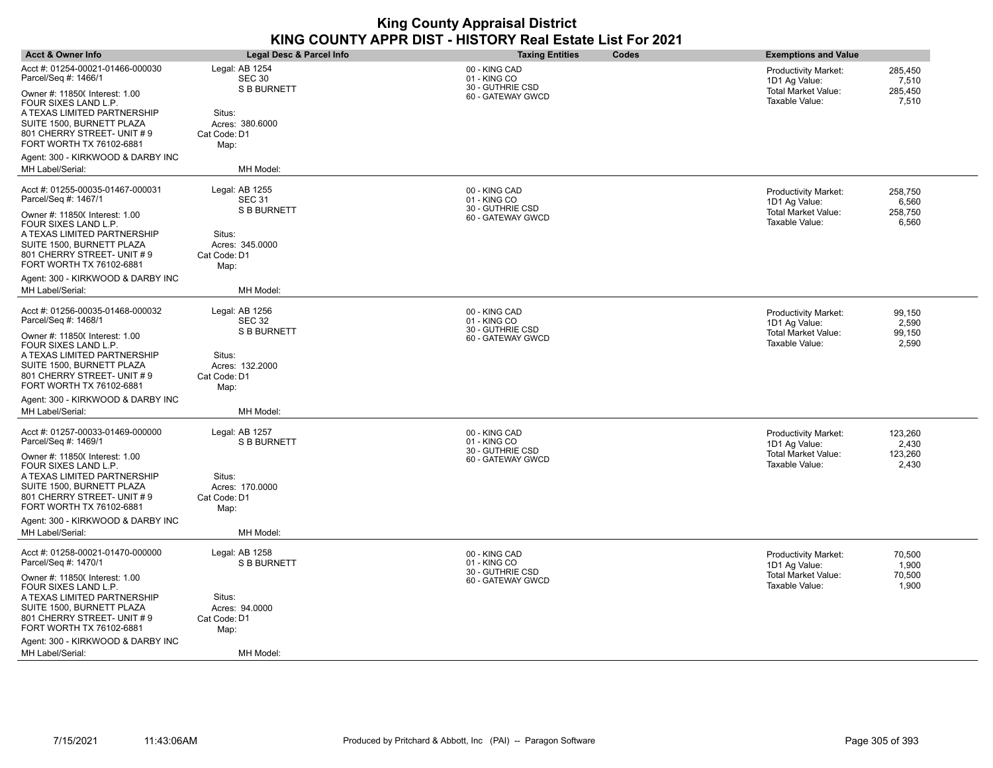| <b>Acct &amp; Owner Info</b>                                                                                                                                                                                                                                                                       | Legal Desc & Parcel Info                                                                                         | <b>Taxing Entities</b>                                                 | Codes | <b>Exemptions and Value</b>                                                           |                                      |
|----------------------------------------------------------------------------------------------------------------------------------------------------------------------------------------------------------------------------------------------------------------------------------------------------|------------------------------------------------------------------------------------------------------------------|------------------------------------------------------------------------|-------|---------------------------------------------------------------------------------------|--------------------------------------|
| Acct #: 01254-00021-01466-000030<br>Parcel/Seq #: 1466/1<br>Owner #: 11850( Interest: 1.00<br>FOUR SIXES LAND L.P.<br>A TEXAS LIMITED PARTNERSHIP<br>SUITE 1500, BURNETT PLAZA<br>801 CHERRY STREET- UNIT # 9<br>FORT WORTH TX 76102-6881<br>Agent: 300 - KIRKWOOD & DARBY INC                     | Legal: AB 1254<br><b>SEC 30</b><br><b>S B BURNETT</b><br>Situs:<br>Acres: 380.6000<br>Cat Code: D1<br>Map:       | 00 - KING CAD<br>01 - KING CO<br>30 - GUTHRIE CSD<br>60 - GATEWAY GWCD |       | <b>Productivity Market:</b><br>1D1 Ag Value:<br>Total Market Value:<br>Taxable Value: | 285,450<br>7,510<br>285,450<br>7,510 |
| MH Label/Serial:                                                                                                                                                                                                                                                                                   | MH Model:                                                                                                        |                                                                        |       |                                                                                       |                                      |
| Acct #: 01255-00035-01467-000031<br>Parcel/Seq #: 1467/1<br>Owner #: 11850( Interest: 1.00<br>FOUR SIXES LAND L.P.<br>A TEXAS LIMITED PARTNERSHIP<br>SUITE 1500, BURNETT PLAZA<br>801 CHERRY STREET- UNIT # 9<br>FORT WORTH TX 76102-6881                                                          | Legal: AB 1255<br><b>SEC 31</b><br><b>S B BURNETT</b><br>Situs:<br>Acres: 345.0000<br>Cat Code: D1<br>Map:       | 00 - KING CAD<br>01 - KING CO<br>30 - GUTHRIE CSD<br>60 - GATEWAY GWCD |       | Productivity Market:<br>1D1 Ag Value:<br><b>Total Market Value:</b><br>Taxable Value: | 258,750<br>6,560<br>258,750<br>6,560 |
| Agent: 300 - KIRKWOOD & DARBY INC<br>MH Label/Serial:                                                                                                                                                                                                                                              | MH Model:                                                                                                        |                                                                        |       |                                                                                       |                                      |
| Acct #: 01256-00035-01468-000032<br>Parcel/Seq #: 1468/1<br>Owner #: 11850( Interest: 1.00<br>FOUR SIXES LAND L.P.<br>A TEXAS LIMITED PARTNERSHIP<br>SUITE 1500, BURNETT PLAZA<br>801 CHERRY STREET- UNIT # 9<br>FORT WORTH TX 76102-6881<br>Agent: 300 - KIRKWOOD & DARBY INC<br>MH Label/Serial: | Legal: AB 1256<br>SEC 32<br><b>S B BURNETT</b><br>Situs:<br>Acres: 132.2000<br>Cat Code: D1<br>Map:<br>MH Model: | 00 - KING CAD<br>01 - KING CO<br>30 - GUTHRIE CSD<br>60 - GATEWAY GWCD |       | Productivity Market:<br>1D1 Ag Value:<br><b>Total Market Value:</b><br>Taxable Value: | 99,150<br>2,590<br>99,150<br>2,590   |
| Acct #: 01257-00033-01469-000000<br>Parcel/Seq #: 1469/1<br>Owner #: 11850( Interest: 1.00<br>FOUR SIXES LAND L.P.<br>A TEXAS LIMITED PARTNERSHIP<br>SUITE 1500, BURNETT PLAZA<br>801 CHERRY STREET- UNIT # 9<br>FORT WORTH TX 76102-6881<br>Agent: 300 - KIRKWOOD & DARBY INC<br>MH Label/Serial: | Legal: AB 1257<br><b>S B BURNETT</b><br>Situs:<br>Acres: 170.0000<br>Cat Code: D1<br>Map:<br>MH Model:           | 00 - KING CAD<br>01 - KING CO<br>30 - GUTHRIE CSD<br>60 - GATEWAY GWCD |       | <b>Productivity Market:</b><br>1D1 Ag Value:<br>Total Market Value:<br>Taxable Value: | 123,260<br>2,430<br>123,260<br>2,430 |
| Acct #: 01258-00021-01470-000000<br>Parcel/Seq #: 1470/1<br>Owner #: 11850( Interest: 1.00<br>FOUR SIXES LAND L.P.<br>A TEXAS LIMITED PARTNERSHIP<br>SUITE 1500, BURNETT PLAZA<br>801 CHERRY STREET- UNIT # 9<br>FORT WORTH TX 76102-6881<br>Agent: 300 - KIRKWOOD & DARBY INC<br>MH Label/Serial: | Legal: AB 1258<br><b>S B BURNETT</b><br>Situs:<br>Acres: 94.0000<br>Cat Code: D1<br>Map:<br>MH Model:            | 00 - KING CAD<br>01 - KING CO<br>30 - GUTHRIE CSD<br>60 - GATEWAY GWCD |       | <b>Productivity Market:</b><br>1D1 Ag Value:<br>Total Market Value:<br>Taxable Value: | 70,500<br>1,900<br>70,500<br>1,900   |

 $\overline{\phantom{a}}$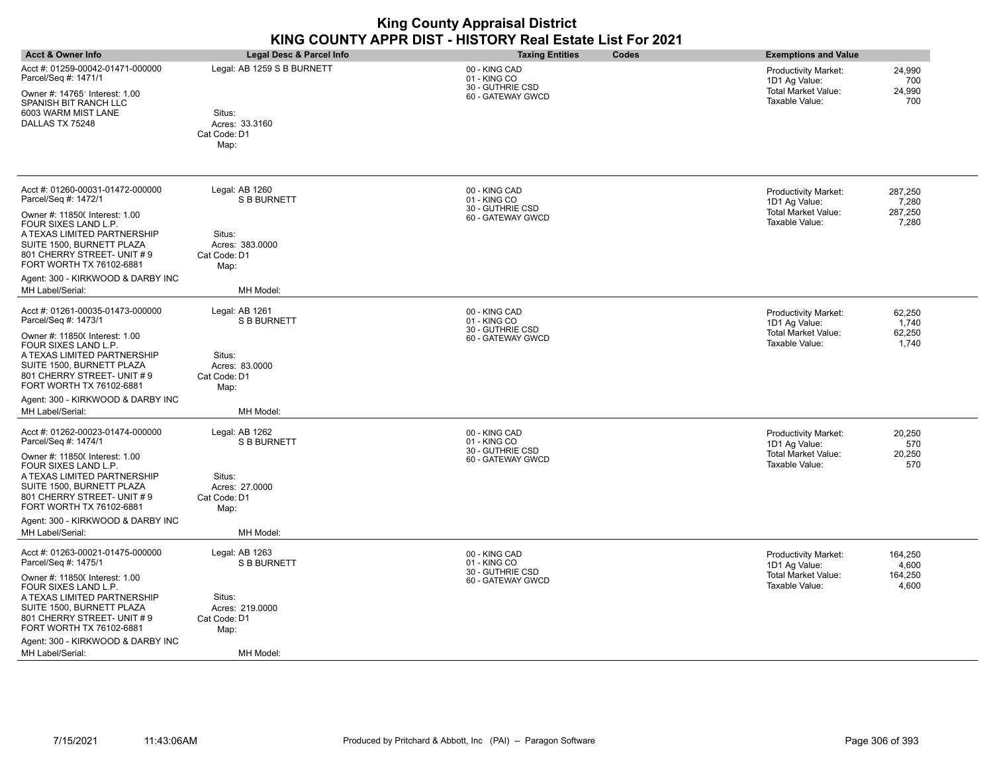| <b>Acct &amp; Owner Info</b>                                                                                                                                                                                                                                                                      | Legal Desc & Parcel Info                                                                               | <b>Taxing Entities</b><br>Codes                                        | <b>Exemptions and Value</b>                                                                                                   |
|---------------------------------------------------------------------------------------------------------------------------------------------------------------------------------------------------------------------------------------------------------------------------------------------------|--------------------------------------------------------------------------------------------------------|------------------------------------------------------------------------|-------------------------------------------------------------------------------------------------------------------------------|
| Acct #: 01259-00042-01471-000000<br>Parcel/Seq #: 1471/1<br>Owner #: 14765' Interest: 1.00<br>SPANISH BIT RANCH LLC<br>6003 WARM MIST LANE<br>DALLAS TX 75248                                                                                                                                     | Legal: AB 1259 S B BURNETT<br>Situs:<br>Acres: 33.3160<br>Cat Code: D1<br>Map:                         | 00 - KING CAD<br>01 - KING CO<br>30 - GUTHRIE CSD<br>60 - GATEWAY GWCD | Productivity Market:<br>24,990<br>1D1 Ag Value:<br>700<br>24,990<br><b>Total Market Value:</b><br>Taxable Value:<br>700       |
| Acct #: 01260-00031-01472-000000<br>Parcel/Seq #: 1472/1<br>Owner #: 11850( Interest: 1.00<br>FOUR SIXES LAND L.P.<br>A TEXAS LIMITED PARTNERSHIP<br>SUITE 1500, BURNETT PLAZA<br>801 CHERRY STREET- UNIT #9<br>FORT WORTH TX 76102-6881<br>Agent: 300 - KIRKWOOD & DARBY INC<br>MH Label/Serial: | Legal: AB 1260<br><b>S B BURNETT</b><br>Situs:<br>Acres: 383.0000<br>Cat Code: D1<br>Map:<br>MH Model: | 00 - KING CAD<br>01 - KING CO<br>30 - GUTHRIE CSD<br>60 - GATEWAY GWCD | 287,250<br>Productivity Market:<br>7,280<br>1D1 Ag Value:<br><b>Total Market Value:</b><br>287,250<br>Taxable Value:<br>7,280 |
| Acct #: 01261-00035-01473-000000<br>Parcel/Seq #: 1473/1<br>Owner #: 11850( Interest: 1.00<br>FOUR SIXES LAND L.P.<br>A TEXAS LIMITED PARTNERSHIP<br>SUITE 1500, BURNETT PLAZA<br>801 CHERRY STREET- UNIT #9<br>FORT WORTH TX 76102-6881<br>Agent: 300 - KIRKWOOD & DARBY INC<br>MH Label/Serial: | Legal: AB 1261<br><b>S B BURNETT</b><br>Situs:<br>Acres: 83.0000<br>Cat Code: D1<br>Map:<br>MH Model:  | 00 - KING CAD<br>01 - KING CO<br>30 - GUTHRIE CSD<br>60 - GATEWAY GWCD | 62,250<br>Productivity Market:<br>1D1 Ag Value:<br>1,740<br><b>Total Market Value:</b><br>62,250<br>Taxable Value:<br>1,740   |
| Acct #: 01262-00023-01474-000000<br>Parcel/Seq #: 1474/1<br>Owner #: 11850( Interest: 1.00<br>FOUR SIXES LAND L.P.<br>A TEXAS LIMITED PARTNERSHIP<br>SUITE 1500, BURNETT PLAZA<br>801 CHERRY STREET- UNIT #9<br>FORT WORTH TX 76102-6881<br>Agent: 300 - KIRKWOOD & DARBY INC<br>MH Label/Serial: | Legal: AB 1262<br>S B BURNETT<br>Situs:<br>Acres: 27.0000<br>Cat Code: D1<br>Map:<br>MH Model:         | 00 - KING CAD<br>01 - KING CO<br>30 - GUTHRIE CSD<br>60 - GATEWAY GWCD | 20,250<br>Productivity Market:<br>570<br>1D1 Ag Value:<br><b>Total Market Value:</b><br>20,250<br>Taxable Value:<br>570       |
| Acct #: 01263-00021-01475-000000<br>Parcel/Seq #: 1475/1<br>Owner #: 11850( Interest: 1.00<br>FOUR SIXES LAND L.P.<br>A TEXAS LIMITED PARTNERSHIP<br>SUITE 1500, BURNETT PLAZA<br>801 CHERRY STREET- UNIT #9<br>FORT WORTH TX 76102-6881<br>Agent: 300 - KIRKWOOD & DARBY INC<br>MH Label/Serial: | Legal: AB 1263<br><b>S B BURNETT</b><br>Situs:<br>Acres: 219.0000<br>Cat Code: D1<br>Map:<br>MH Model: | 00 - KING CAD<br>01 - KING CO<br>30 - GUTHRIE CSD<br>60 - GATEWAY GWCD | 164,250<br>Productivity Market:<br>1D1 Ag Value:<br>4,600<br><b>Total Market Value:</b><br>164,250<br>Taxable Value:<br>4,600 |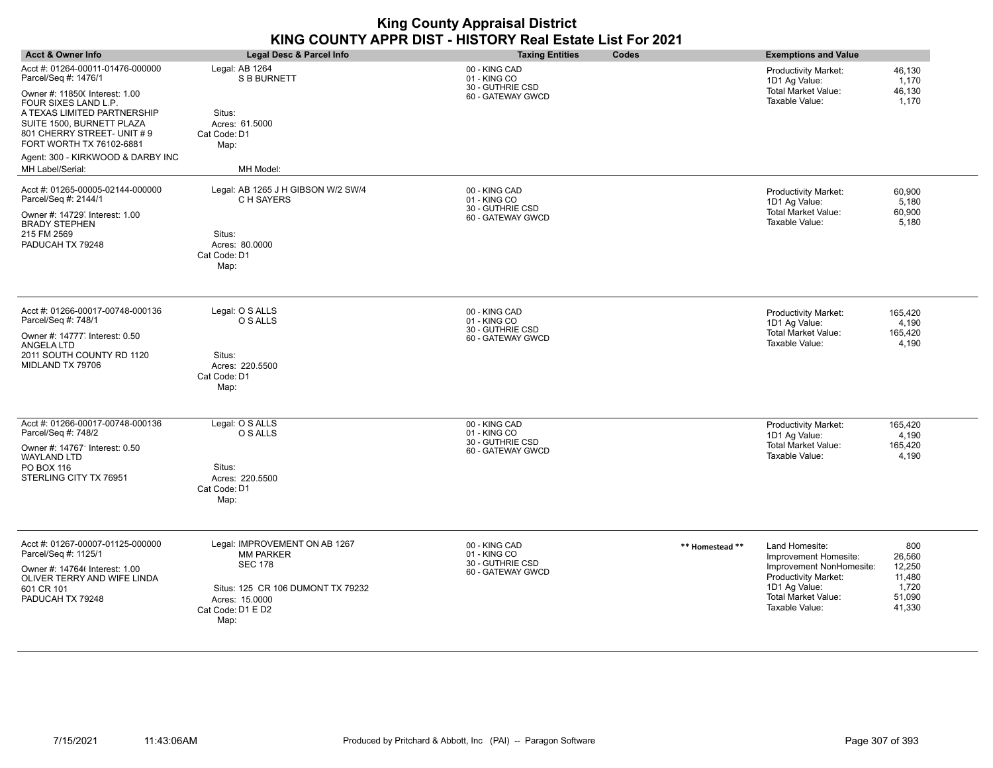| <b>Acct &amp; Owner Info</b>                                                                                                                                                                                                                                                                      | Legal Desc & Parcel Info                                                                                                                                | <b>Taxing Entities</b><br>Codes                                        | <b>Exemptions and Value</b>                                                                                                                                                                                                                       |
|---------------------------------------------------------------------------------------------------------------------------------------------------------------------------------------------------------------------------------------------------------------------------------------------------|---------------------------------------------------------------------------------------------------------------------------------------------------------|------------------------------------------------------------------------|---------------------------------------------------------------------------------------------------------------------------------------------------------------------------------------------------------------------------------------------------|
| Acct #: 01264-00011-01476-000000<br>Parcel/Seq #: 1476/1<br>Owner #: 118500 Interest: 1.00<br>FOUR SIXES LAND L.P.<br>A TEXAS LIMITED PARTNERSHIP<br>SUITE 1500, BURNETT PLAZA<br>801 CHERRY STREET- UNIT #9<br>FORT WORTH TX 76102-6881<br>Agent: 300 - KIRKWOOD & DARBY INC<br>MH Label/Serial: | Legal: AB 1264<br><b>S B BURNETT</b><br>Situs:<br>Acres: 61.5000<br>Cat Code: D1<br>Map:<br>MH Model:                                                   | 00 - KING CAD<br>01 - KING CO<br>30 - GUTHRIE CSD<br>60 - GATEWAY GWCD | 46,130<br><b>Productivity Market:</b><br>1D1 Ag Value:<br>1,170<br><b>Total Market Value:</b><br>46,130<br>Taxable Value:<br>1,170                                                                                                                |
| Acct #: 01265-00005-02144-000000<br>Parcel/Seq #: 2144/1<br>Owner #: 14729, Interest: 1.00<br><b>BRADY STEPHEN</b><br>215 FM 2569<br>PADUCAH TX 79248                                                                                                                                             | Legal: AB 1265 J H GIBSON W/2 SW/4<br>C H SAYERS<br>Situs:<br>Acres: 80.0000<br>Cat Code: D1<br>Map:                                                    | 00 - KING CAD<br>01 - KING CO<br>30 - GUTHRIE CSD<br>60 - GATEWAY GWCD | 60,900<br><b>Productivity Market:</b><br>1D1 Ag Value:<br>5,180<br><b>Total Market Value:</b><br>60,900<br>Taxable Value:<br>5,180                                                                                                                |
| Acct #: 01266-00017-00748-000136<br>Parcel/Seq #: 748/1<br>Owner #: 14777, Interest: 0.50<br>ANGELA LTD<br>2011 SOUTH COUNTY RD 1120<br>MIDLAND TX 79706                                                                                                                                          | Legal: O S ALLS<br>O S ALLS<br>Situs:<br>Acres: 220.5500<br>Cat Code: D1<br>Map:                                                                        | 00 - KING CAD<br>01 - KING CO<br>30 - GUTHRIE CSD<br>60 - GATEWAY GWCD | 165,420<br>Productivity Market:<br>1D1 Ag Value:<br>4,190<br><b>Total Market Value:</b><br>165,420<br>Taxable Value:<br>4,190                                                                                                                     |
| Acct #: 01266-00017-00748-000136<br>Parcel/Seq #: 748/2<br>Owner #: 14767 Interest: 0.50<br><b>WAYLAND LTD</b><br>PO BOX 116<br>STERLING CITY TX 76951                                                                                                                                            | Legal: O S ALLS<br>O S ALLS<br>Situs:<br>Acres: 220.5500<br>Cat Code: D1<br>Map:                                                                        | 00 - KING CAD<br>01 - KING CO<br>30 - GUTHRIE CSD<br>60 - GATEWAY GWCD | 165,420<br><b>Productivity Market:</b><br>4,190<br>1D1 Ag Value:<br><b>Total Market Value:</b><br>165,420<br>Taxable Value:<br>4,190                                                                                                              |
| Acct #: 01267-00007-01125-000000<br>Parcel/Seq #: 1125/1<br>Owner #: 14764( Interest: 1.00<br>OLIVER TERRY AND WIFE LINDA<br>601 CR 101<br>PADUCAH TX 79248                                                                                                                                       | Legal: IMPROVEMENT ON AB 1267<br><b>MM PARKER</b><br><b>SEC 178</b><br>Situs: 125 CR 106 DUMONT TX 79232<br>Acres: 15,0000<br>Cat Code: D1 E D2<br>Map: | 00 - KING CAD<br>01 - KING CO<br>30 - GUTHRIE CSD<br>60 - GATEWAY GWCD | 800<br>Land Homesite:<br>** Homestead **<br>Improvement Homesite:<br>26,560<br>12,250<br>Improvement NonHomesite:<br>Productivity Market:<br>11,480<br>1D1 Ag Value:<br>1,720<br><b>Total Market Value:</b><br>51,090<br>Taxable Value:<br>41,330 |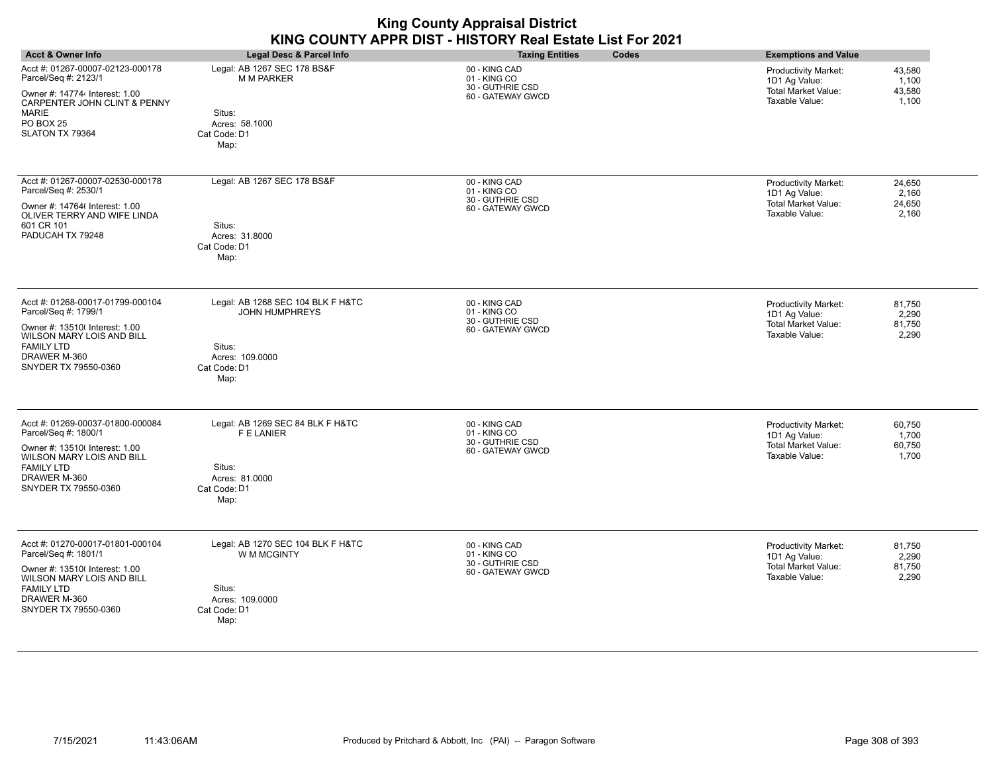|                                                                                                                                       |                                                            | <b>King County Appraisal District</b><br>KING COUNTY APPR DIST - HISTORY Real Estate List For 2021 |                                                                                                                                    |
|---------------------------------------------------------------------------------------------------------------------------------------|------------------------------------------------------------|----------------------------------------------------------------------------------------------------|------------------------------------------------------------------------------------------------------------------------------------|
| <b>Acct &amp; Owner Info</b>                                                                                                          | Legal Desc & Parcel Info                                   | <b>Taxing Entities</b><br>Codes                                                                    | <b>Exemptions and Value</b>                                                                                                        |
| Acct #: 01267-00007-02123-000178<br>Parcel/Seq #: 2123/1<br>Owner #: 147744 Interest: 1.00<br><b>CARPENTER JOHN CLINT &amp; PENNY</b> | Legal: AB 1267 SEC 178 BS&F<br><b>M M PARKER</b>           | 00 - KING CAD<br>01 - KING CO<br>30 - GUTHRIE CSD<br>60 - GATEWAY GWCD                             | 43,580<br><b>Productivity Market:</b><br>1D1 Ag Value:<br>1,100<br><b>Total Market Value:</b><br>43,580<br>Taxable Value:<br>1,100 |
| MARIE<br><b>PO BOX 25</b><br>SLATON TX 79364                                                                                          | Situs:<br>Acres: 58.1000<br>Cat Code: D1<br>Map:           |                                                                                                    |                                                                                                                                    |
| Acct #: 01267-00007-02530-000178<br>Parcel/Seq #: 2530/1                                                                              | Legal: AB 1267 SEC 178 BS&F                                | 00 - KING CAD<br>01 - KING CO<br>30 - GUTHRIE CSD                                                  | <b>Productivity Market:</b><br>24,650<br>1D1 Ag Value:<br>2,160                                                                    |
| Owner #: 14764( Interest: 1.00<br>OLIVER TERRY AND WIFE LINDA                                                                         |                                                            | 60 - GATEWAY GWCD                                                                                  | <b>Total Market Value:</b><br>24,650<br>Taxable Value:<br>2,160                                                                    |
| 601 CR 101<br>PADUCAH TX 79248                                                                                                        | Situs:<br>Acres: 31.8000<br>Cat Code: D1<br>Map:           |                                                                                                    |                                                                                                                                    |
| Acct #: 01268-00017-01799-000104<br>Parcel/Seq #: 1799/1                                                                              | Legal: AB 1268 SEC 104 BLK F H&TC<br><b>JOHN HUMPHREYS</b> | 00 - KING CAD<br>01 - KING CO<br>30 - GUTHRIE CSD                                                  | Productivity Market:<br>81,750<br>2,290<br>1D1 Ag Value:                                                                           |
| Owner #: 13510( Interest: 1.00<br>WILSON MARY LOIS AND BILL<br><b>FAMILY LTD</b><br>DRAWER M-360<br>SNYDER TX 79550-0360              | Situs:<br>Acres: 109.0000<br>Cat Code: D1<br>Map:          | 60 - GATEWAY GWCD                                                                                  | <b>Total Market Value:</b><br>81,750<br>Taxable Value:<br>2,290                                                                    |
| Acct #: 01269-00037-01800-000084<br>Parcel/Seq #: 1800/1                                                                              | Legal: AB 1269 SEC 84 BLK F H&TC<br>F E LANIER             | 00 - KING CAD<br>01 - KING CO                                                                      | 60,750<br><b>Productivity Market:</b><br>1D1 Ag Value:<br>1,700                                                                    |
| Owner #: 13510( Interest: 1.00<br>WILSON MARY LOIS AND BILL<br><b>FAMILY LTD</b>                                                      | Situs:                                                     | 30 - GUTHRIE CSD<br>60 - GATEWAY GWCD                                                              | <b>Total Market Value:</b><br>60,750<br>Taxable Value:<br>1,700                                                                    |
| DRAWER M-360<br>SNYDER TX 79550-0360                                                                                                  | Acres: 81.0000<br>Cat Code: D1<br>Map:                     |                                                                                                    |                                                                                                                                    |
| Acct #: 01270-00017-01801-000104<br>Parcel/Seq #: 1801/1                                                                              | Legal: AB 1270 SEC 104 BLK F H&TC<br>W M MCGINTY           | 00 - KING CAD<br>01 - KING CO<br>30 - GUTHRIE CSD                                                  | 81,750<br><b>Productivity Market:</b><br>1D1 Ag Value:<br>2,290                                                                    |
| Owner #: 13510( Interest: 1.00<br>WILSON MARY LOIS AND BILL<br><b>FAMILY LTD</b><br>DRAWER M-360                                      | Situs:<br>Acres: 109.0000                                  | 60 - GATEWAY GWCD                                                                                  | <b>Total Market Value:</b><br>81,750<br>Taxable Value:<br>2,290                                                                    |
| SNYDER TX 79550-0360                                                                                                                  | Cat Code: D1<br>Map:                                       |                                                                                                    |                                                                                                                                    |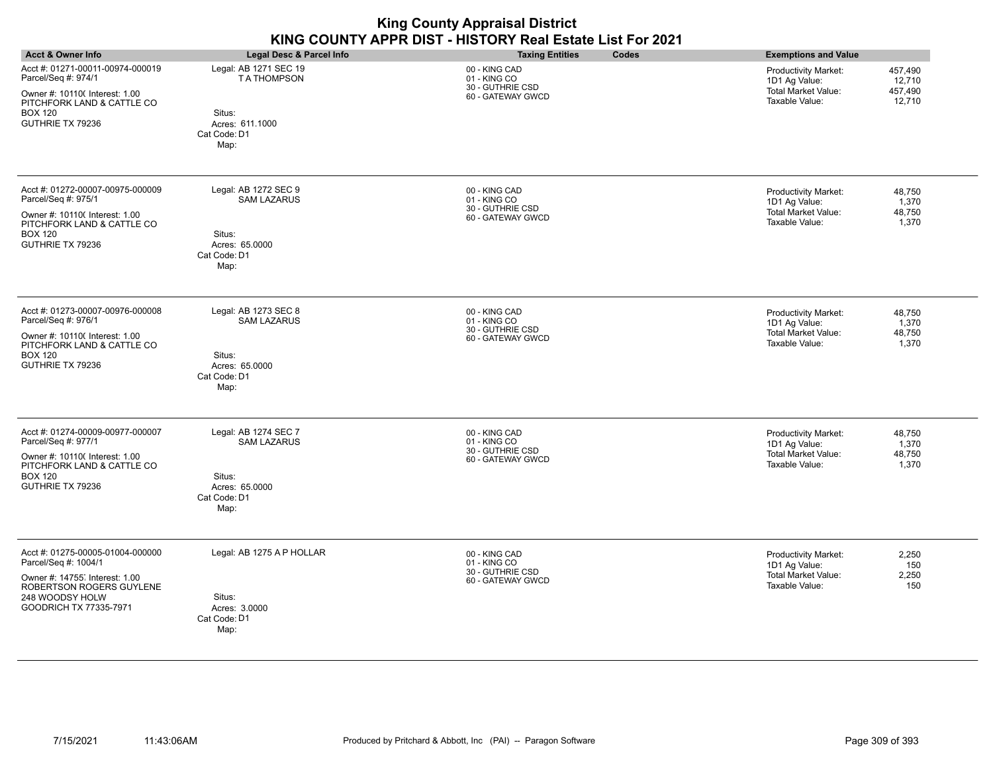|                                                                                                                                                                    |                                                                                                 | <b>King County Appraisal District</b><br>KING COUNTY APPR DIST - HISTORY Real Estate List For 2021 |                                                                                                                                        |
|--------------------------------------------------------------------------------------------------------------------------------------------------------------------|-------------------------------------------------------------------------------------------------|----------------------------------------------------------------------------------------------------|----------------------------------------------------------------------------------------------------------------------------------------|
| <b>Acct &amp; Owner Info</b>                                                                                                                                       | <b>Legal Desc &amp; Parcel Info</b>                                                             | <b>Taxing Entities</b><br>Codes                                                                    | <b>Exemptions and Value</b>                                                                                                            |
| Acct #: 01271-00011-00974-000019<br>Parcel/Seq #: 974/1<br>Owner #: 10110( Interest: 1.00<br>PITCHFORK LAND & CATTLE CO<br><b>BOX 120</b><br>GUTHRIE TX 79236      | Legal: AB 1271 SEC 19<br><b>TATHOMPSON</b><br>Situs:<br>Acres: 611.1000<br>Cat Code: D1<br>Map: | 00 - KING CAD<br>01 - KING CO<br>30 - GUTHRIE CSD<br>60 - GATEWAY GWCD                             | 457,490<br><b>Productivity Market:</b><br>1D1 Ag Value:<br>12,710<br><b>Total Market Value:</b><br>457,490<br>Taxable Value:<br>12,710 |
| Acct #: 01272-00007-00975-000009<br>Parcel/Seq #: 975/1<br>Owner #: 101100 Interest: 1.00<br>PITCHFORK LAND & CATTLE CO<br><b>BOX 120</b><br>GUTHRIE TX 79236      | Legal: AB 1272 SEC 9<br><b>SAM LAZARUS</b><br>Situs:<br>Acres: 65.0000<br>Cat Code: D1<br>Map:  | 00 - KING CAD<br>01 - KING CO<br>30 - GUTHRIE CSD<br>60 - GATEWAY GWCD                             | 48.750<br>Productivity Market:<br>1D1 Ag Value:<br>1,370<br><b>Total Market Value:</b><br>48,750<br>Taxable Value:<br>1,370            |
| Acct #: 01273-00007-00976-000008<br>Parcel/Seq #: 976/1<br>Owner #: 10110( Interest: 1.00<br>PITCHFORK LAND & CATTLE CO<br><b>BOX 120</b><br>GUTHRIE TX 79236      | Legal: AB 1273 SEC 8<br><b>SAM LAZARUS</b><br>Situs:<br>Acres: 65.0000<br>Cat Code: D1<br>Map:  | 00 - KING CAD<br>01 - KING CO<br>30 - GUTHRIE CSD<br>60 - GATEWAY GWCD                             | <b>Productivity Market:</b><br>48,750<br>1,370<br>1D1 Ag Value:<br><b>Total Market Value:</b><br>48,750<br>Taxable Value:<br>1,370     |
| Acct #: 01274-00009-00977-000007<br>Parcel/Seq #: 977/1<br>Owner #: 10110( Interest: 1.00<br>PITCHFORK LAND & CATTLE CO<br><b>BOX 120</b><br>GUTHRIE TX 79236      | Legal: AB 1274 SEC 7<br><b>SAM LAZARUS</b><br>Situs:<br>Acres: 65.0000<br>Cat Code: D1<br>Map:  | 00 - KING CAD<br>01 - KING CO<br>30 - GUTHRIE CSD<br>60 - GATEWAY GWCD                             | <b>Productivity Market:</b><br>48,750<br>1,370<br>1D1 Ag Value:<br><b>Total Market Value:</b><br>48,750<br>Taxable Value:<br>1,370     |
| Acct #: 01275-00005-01004-000000<br>Parcel/Seq #: 1004/1<br>Owner #: 14755 Interest: 1.00<br>ROBERTSON ROGERS GUYLENE<br>248 WOODSY HOLW<br>GOODRICH TX 77335-7971 | Legal: AB 1275 A P HOLLAR<br>Situs:<br>Acres: 3.0000<br>Cat Code: D1<br>Map:                    | 00 - KING CAD<br>01 - KING CO<br>30 - GUTHRIE CSD<br>60 - GATEWAY GWCD                             | <b>Productivity Market:</b><br>2,250<br>1D1 Ag Value:<br>150<br><b>Total Market Value:</b><br>2,250<br>Taxable Value:<br>150           |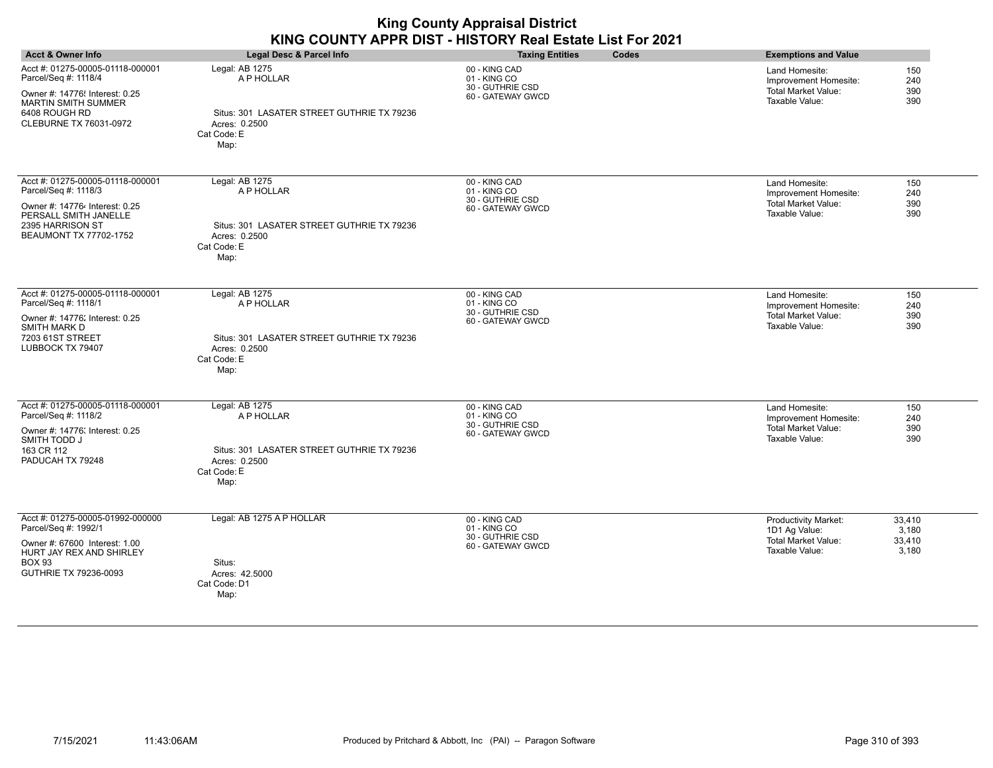| <b>Acct &amp; Owner Info</b>                                                                                                                                        | <b>Legal Desc &amp; Parcel Info</b>                                                                                | <b>Taxing Entities</b>                                                 | Codes | <b>Exemptions and Value</b>                                                                  |                                    |
|---------------------------------------------------------------------------------------------------------------------------------------------------------------------|--------------------------------------------------------------------------------------------------------------------|------------------------------------------------------------------------|-------|----------------------------------------------------------------------------------------------|------------------------------------|
| Acct #: 01275-00005-01118-000001<br>Parcel/Seq #: 1118/4<br>Owner #: 14776! Interest: 0.25<br><b>MARTIN SMITH SUMMER</b><br>6408 ROUGH RD<br>CLEBURNE TX 76031-0972 | Legal: AB 1275<br>A P HOLLAR<br>Situs: 301 LASATER STREET GUTHRIE TX 79236<br>Acres: 0.2500<br>Cat Code: E<br>Map: | 00 - KING CAD<br>01 - KING CO<br>30 - GUTHRIE CSD<br>60 - GATEWAY GWCD |       | Land Homesite:<br>Improvement Homesite:<br><b>Total Market Value:</b><br>Taxable Value:      | 150<br>240<br>390<br>390           |
| Acct #: 01275-00005-01118-000001<br>Parcel/Seq #: 1118/3<br>Owner #: 147764 Interest: 0.25<br>PERSALL SMITH JANELLE<br>2395 HARRISON ST<br>BEAUMONT TX 77702-1752   | Legal: AB 1275<br>A P HOLLAR<br>Situs: 301 LASATER STREET GUTHRIE TX 79236<br>Acres: 0.2500<br>Cat Code: E<br>Map: | 00 - KING CAD<br>01 - KING CO<br>30 - GUTHRIE CSD<br>60 - GATEWAY GWCD |       | Land Homesite:<br>Improvement Homesite:<br><b>Total Market Value:</b><br>Taxable Value:      | 150<br>240<br>390<br>390           |
| Acct #: 01275-00005-01118-000001<br>Parcel/Seq #: 1118/1<br>Owner #: 14776; Interest: 0.25<br>SMITH MARK D<br>7203 61ST STREET<br>LUBBOCK TX 79407                  | Legal: AB 1275<br>A P HOLLAR<br>Situs: 301 LASATER STREET GUTHRIE TX 79236<br>Acres: 0.2500<br>Cat Code: E<br>Map: | 00 - KING CAD<br>01 - KING CO<br>30 - GUTHRIE CSD<br>60 - GATEWAY GWCD |       | Land Homesite:<br>Improvement Homesite:<br><b>Total Market Value:</b><br>Taxable Value:      | 150<br>240<br>390<br>390           |
| Acct #: 01275-00005-01118-000001<br>Parcel/Seq #: 1118/2<br>Owner #: 14776; Interest: 0.25<br>SMITH TODD J<br>163 CR 112<br>PADUCAH TX 79248                        | Legal: AB 1275<br>A P HOLLAR<br>Situs: 301 LASATER STREET GUTHRIE TX 79236<br>Acres: 0.2500<br>Cat Code: E<br>Map: | 00 - KING CAD<br>01 - KING CO<br>30 - GUTHRIE CSD<br>60 - GATEWAY GWCD |       | Land Homesite:<br>Improvement Homesite:<br><b>Total Market Value:</b><br>Taxable Value:      | 150<br>240<br>390<br>390           |
| Acct #: 01275-00005-01992-000000<br>Parcel/Seq #: 1992/1<br>Owner #: 67600 Interest: 1.00<br>HURT JAY REX AND SHIRLEY<br><b>BOX 93</b><br>GUTHRIE TX 79236-0093     | Legal: AB 1275 A P HOLLAR<br>Situs:<br>Acres: 42,5000<br>Cat Code: D1<br>Map:                                      | 00 - KING CAD<br>01 - KING CO<br>30 - GUTHRIE CSD<br>60 - GATEWAY GWCD |       | <b>Productivity Market:</b><br>1D1 Ag Value:<br><b>Total Market Value:</b><br>Taxable Value: | 33,410<br>3,180<br>33,410<br>3,180 |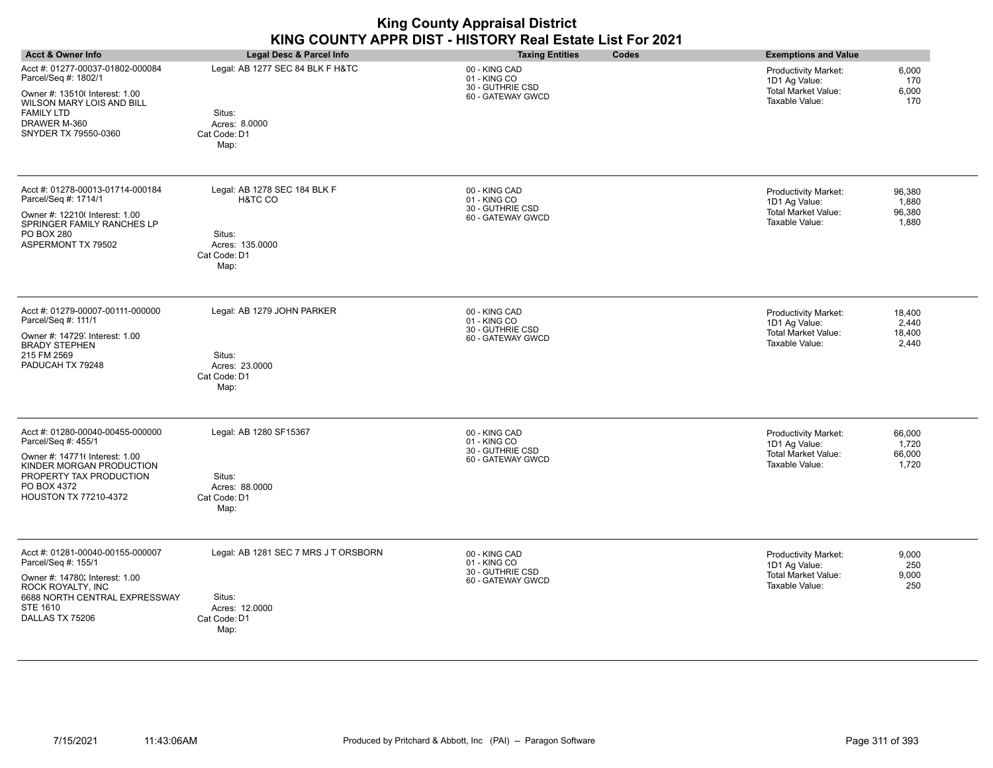| <b>Acct &amp; Owner Info</b>                                                                                                                                                                | Legal Desc & Parcel Info                                                                     | <b>Taxing Entities</b><br>Codes                                        | <b>Exemptions and Value</b>                                                                                                        |
|---------------------------------------------------------------------------------------------------------------------------------------------------------------------------------------------|----------------------------------------------------------------------------------------------|------------------------------------------------------------------------|------------------------------------------------------------------------------------------------------------------------------------|
| Acct #: 01277-00037-01802-000084<br>Parcel/Seq #: 1802/1<br>Owner #: 13510( Interest: 1.00<br><b>WILSON MARY LOIS AND BILL</b><br><b>FAMILY LTD</b><br>DRAWER M-360<br>SNYDER TX 79550-0360 | Legal: AB 1277 SEC 84 BLK F H&TC<br>Situs:<br>Acres: 8.0000<br>Cat Code: D1<br>Map:          | 00 - KING CAD<br>01 - KING CO<br>30 - GUTHRIE CSD<br>60 - GATEWAY GWCD | <b>Productivity Market:</b><br>6,000<br>1D1 Ag Value:<br>170<br><b>Total Market Value:</b><br>6,000<br>Taxable Value:<br>170       |
| Acct #: 01278-00013-01714-000184<br>Parcel/Seq #: 1714/1<br>Owner #: 12210( Interest: 1.00<br>SPRINGER FAMILY RANCHES LP<br>PO BOX 280<br>ASPERMONT TX 79502                                | Legal: AB 1278 SEC 184 BLK F<br>H&TC CO<br>Situs:<br>Acres: 135.0000<br>Cat Code: D1<br>Map: | 00 - KING CAD<br>01 - KING CO<br>30 - GUTHRIE CSD<br>60 - GATEWAY GWCD | 96,380<br>Productivity Market:<br>1D1 Ag Value:<br>1,880<br><b>Total Market Value:</b><br>96,380<br>Taxable Value:<br>1,880        |
| Acct #: 01279-00007-00111-000000<br>Parcel/Seq #: 111/1<br>Owner #: 14729 Interest: 1.00<br><b>BRADY STEPHEN</b><br>215 FM 2569<br>PADUCAH TX 79248                                         | Legal: AB 1279 JOHN PARKER<br>Situs:<br>Acres: 23.0000<br>Cat Code: D1<br>Map:               | 00 - KING CAD<br>01 - KING CO<br>30 - GUTHRIE CSD<br>60 - GATEWAY GWCD | 18,400<br>Productivity Market:<br>1D1 Ag Value:<br>2,440<br><b>Total Market Value:</b><br>18,400<br>Taxable Value:<br>2,440        |
| Acct #: 01280-00040-00455-000000<br>Parcel/Seq #: 455/1<br>Owner #: 14771( Interest: 1.00<br>KINDER MORGAN PRODUCTION<br>PROPERTY TAX PRODUCTION<br>PO BOX 4372<br>HOUSTON TX 77210-4372    | Legal: AB 1280 SF15367<br>Situs:<br>Acres: 88,0000<br>Cat Code: D1<br>Map:                   | 00 - KING CAD<br>01 - KING CO<br>30 - GUTHRIE CSD<br>60 - GATEWAY GWCD | <b>Productivity Market:</b><br>66,000<br>1D1 Ag Value:<br>1,720<br><b>Total Market Value:</b><br>66,000<br>Taxable Value:<br>1,720 |
| Acct #: 01281-00040-00155-000007<br>Parcel/Seq #: 155/1<br>Owner #: 14780; Interest: 1.00<br>ROCK ROYALTY, INC<br>6688 NORTH CENTRAL EXPRESSWAY<br><b>STE 1610</b><br>DALLAS TX 75206       | Legal: AB 1281 SEC 7 MRS J T ORSBORN<br>Situs:<br>Acres: 12.0000<br>Cat Code: D1<br>Map:     | 00 - KING CAD<br>01 - KING CO<br>30 - GUTHRIE CSD<br>60 - GATEWAY GWCD | <b>Productivity Market:</b><br>9,000<br>1D1 Ag Value:<br>250<br><b>Total Market Value:</b><br>9,000<br>Taxable Value:<br>250       |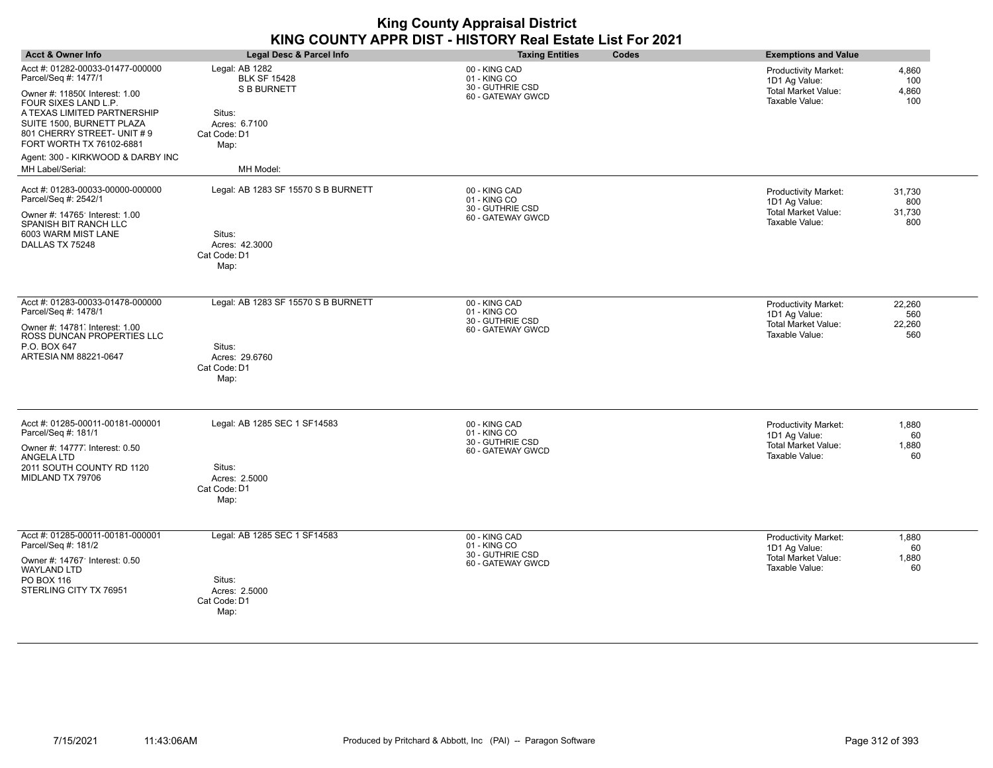|                                                                                                                                                   |                                                                       | <b>King County Appraisal District</b><br>KING COUNTY APPR DIST - HISTORY Real Estate List For 2021 |                                                                                                                                |
|---------------------------------------------------------------------------------------------------------------------------------------------------|-----------------------------------------------------------------------|----------------------------------------------------------------------------------------------------|--------------------------------------------------------------------------------------------------------------------------------|
| <b>Acct &amp; Owner Info</b>                                                                                                                      | <b>Legal Desc &amp; Parcel Info</b>                                   | Codes<br><b>Taxing Entities</b>                                                                    | <b>Exemptions and Value</b>                                                                                                    |
| Acct #: 01282-00033-01477-000000<br>Parcel/Seq #: 1477/1<br>Owner #: 11850( Interest: 1.00<br>FOUR SIXES LAND L.P.<br>A TEXAS LIMITED PARTNERSHIP | Legal: AB 1282<br><b>BLK SF 15428</b><br><b>S B BURNETT</b><br>Situs: | 00 - KING CAD<br>01 - KING CO<br>30 - GUTHRIE CSD<br>60 - GATEWAY GWCD                             | 4,860<br><b>Productivity Market:</b><br>1D1 Ag Value:<br>100<br><b>Total Market Value:</b><br>4,860<br>Taxable Value:<br>100   |
| SUITE 1500, BURNETT PLAZA<br>801 CHERRY STREET- UNIT #9<br>FORT WORTH TX 76102-6881<br>Agent: 300 - KIRKWOOD & DARBY INC                          | Acres: 6.7100<br>Cat Code: D1<br>Map:                                 |                                                                                                    |                                                                                                                                |
| MH Label/Serial:                                                                                                                                  | MH Model:                                                             |                                                                                                    |                                                                                                                                |
| Acct #: 01283-00033-00000-000000<br>Parcel/Seq #: 2542/1<br>Owner #: 14765' Interest: 1.00<br>SPANISH BIT RANCH LLC                               | Legal: AB 1283 SF 15570 S B BURNETT                                   | 00 - KING CAD<br>01 - KING CO<br>30 - GUTHRIE CSD<br>60 - GATEWAY GWCD                             | 31,730<br><b>Productivity Market:</b><br>800<br>1D1 Ag Value:<br><b>Total Market Value:</b><br>31,730<br>Taxable Value:<br>800 |
| 6003 WARM MIST LANE<br>DALLAS TX 75248                                                                                                            | Situs:<br>Acres: 42.3000<br>Cat Code: D1<br>Map:                      |                                                                                                    |                                                                                                                                |
| Acct #: 01283-00033-01478-000000<br>Parcel/Seq #: 1478/1                                                                                          | Legal: AB 1283 SF 15570 S B BURNETT                                   | 00 - KING CAD<br>01 - KING CO<br>30 - GUTHRIE CSD                                                  | <b>Productivity Market:</b><br>22.260<br>560<br>1D1 Ag Value:<br><b>Total Market Value:</b><br>22,260                          |
| Owner #: 14781 Interest: 1.00<br>ROSS DUNCAN PROPERTIES LLC<br>P.O. BOX 647<br>ARTESIA NM 88221-0647                                              | Situs:<br>Acres: 29.6760<br>Cat Code: D1<br>Map:                      | 60 - GATEWAY GWCD                                                                                  | Taxable Value:<br>560                                                                                                          |
| Acct #: 01285-00011-00181-000001<br>Parcel/Seq #: 181/1                                                                                           | Legal: AB 1285 SEC 1 SF14583                                          | 00 - KING CAD<br>01 - KING CO                                                                      | Productivity Market:<br>1,880<br>1D1 Ag Value:<br>60                                                                           |
| Owner #: 14777, Interest: 0.50                                                                                                                    |                                                                       | 30 - GUTHRIE CSD<br>60 - GATEWAY GWCD                                                              | <b>Total Market Value:</b><br>1,880<br>Taxable Value:<br>60                                                                    |
| <b>ANGELA LTD</b><br>2011 SOUTH COUNTY RD 1120<br>MIDLAND TX 79706                                                                                | Situs:<br>Acres: 2.5000<br>Cat Code: D1<br>Map:                       |                                                                                                    |                                                                                                                                |
| Acct #: 01285-00011-00181-000001<br>Parcel/Seq #: 181/2                                                                                           | Legal: AB 1285 SEC 1 SF14583                                          | 00 - KING CAD<br>01 - KING CO                                                                      | 1,880<br>Productivity Market:<br>1D1 Ag Value:<br>60                                                                           |
| Owner #: 14767' Interest: 0.50<br><b>WAYLAND LTD</b><br>PO BOX 116                                                                                | Situs:                                                                | 30 - GUTHRIE CSD<br>60 - GATEWAY GWCD                                                              | <b>Total Market Value:</b><br>1,880<br>Taxable Value:<br>60                                                                    |
| STERLING CITY TX 76951                                                                                                                            | Acres: 2.5000<br>Cat Code: D1<br>Map:                                 |                                                                                                    |                                                                                                                                |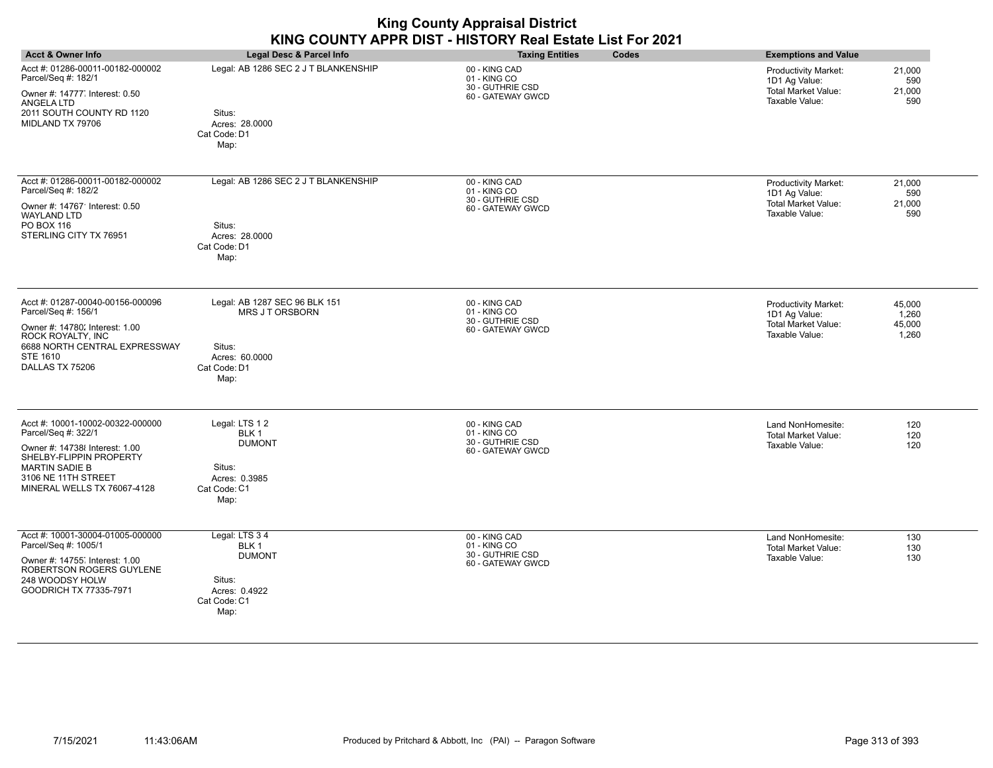| <b>Acct &amp; Owner Info</b>                                                                                                                                                                       | Legal Desc & Parcel Info                                                                              | <b>Taxing Entities</b><br>Codes                                        | <b>Exemptions and Value</b>                                                                                                        |
|----------------------------------------------------------------------------------------------------------------------------------------------------------------------------------------------------|-------------------------------------------------------------------------------------------------------|------------------------------------------------------------------------|------------------------------------------------------------------------------------------------------------------------------------|
| Acct #: 01286-00011-00182-000002<br>Parcel/Seq #: 182/1<br>Owner #: 14777. Interest: 0.50<br>ANGELA LTD<br>2011 SOUTH COUNTY RD 1120<br>MIDLAND TX 79706                                           | Legal: AB 1286 SEC 2 J T BLANKENSHIP<br>Situs:<br>Acres: 28.0000<br>Cat Code: D1<br>Map:              | 00 - KING CAD<br>01 - KING CO<br>30 - GUTHRIE CSD<br>60 - GATEWAY GWCD | 21,000<br><b>Productivity Market:</b><br>1D1 Ag Value:<br>590<br><b>Total Market Value:</b><br>21,000<br>Taxable Value:<br>590     |
| Acct #: 01286-00011-00182-000002<br>Parcel/Seq #: 182/2<br>Owner #: 14767' Interest: 0.50<br><b>WAYLAND LTD</b><br>PO BOX 116<br>STERLING CITY TX 76951                                            | Legal: AB 1286 SEC 2 J T BLANKENSHIP<br>Situs:<br>Acres: 28.0000<br>Cat Code: D1<br>Map:              | 00 - KING CAD<br>01 - KING CO<br>30 - GUTHRIE CSD<br>60 - GATEWAY GWCD | Productivity Market:<br>21,000<br>1D1 Ag Value:<br>590<br>21,000<br>Total Market Value:<br>Taxable Value:<br>590                   |
| Acct #: 01287-00040-00156-000096<br>Parcel/Seq #: 156/1<br>Owner #: 14780; Interest: 1.00<br>ROCK ROYALTY, INC<br>6688 NORTH CENTRAL EXPRESSWAY<br><b>STE 1610</b><br>DALLAS TX 75206              | Legal: AB 1287 SEC 96 BLK 151<br>MRS JT ORSBORN<br>Situs:<br>Acres: 60.0000<br>Cat Code: D1<br>Map:   | 00 - KING CAD<br>01 - KING CO<br>30 - GUTHRIE CSD<br>60 - GATEWAY GWCD | <b>Productivity Market:</b><br>45,000<br>1D1 Ag Value:<br>1,260<br><b>Total Market Value:</b><br>45,000<br>Taxable Value:<br>1,260 |
| Acct #: 10001-10002-00322-000000<br>Parcel/Seq #: 322/1<br>Owner #: 14738 Interest: 1.00<br>SHELBY-FLIPPIN PROPERTY<br><b>MARTIN SADIE B</b><br>3106 NE 11TH STREET<br>MINERAL WELLS TX 76067-4128 | Legal: LTS 12<br>BLK <sub>1</sub><br><b>DUMONT</b><br>Situs:<br>Acres: 0.3985<br>Cat Code: C1<br>Map: | 00 - KING CAD<br>01 - KING CO<br>30 - GUTHRIE CSD<br>60 - GATEWAY GWCD | 120<br>Land NonHomesite:<br>120<br>Total Market Value:<br>Taxable Value:<br>120                                                    |
| Acct #: 10001-30004-01005-000000<br>Parcel/Seq #: 1005/1<br>Owner #: 14755 Interest: 1.00<br>ROBERTSON ROGERS GUYLENE<br>248 WOODSY HOLW<br>GOODRICH TX 77335-7971                                 | Legal: LTS 3 4<br>BLK 1<br><b>DUMONT</b><br>Situs:<br>Acres: 0.4922<br>Cat Code: C1<br>Map:           | 00 - KING CAD<br>01 - KING CO<br>30 - GUTHRIE CSD<br>60 - GATEWAY GWCD | 130<br>Land NonHomesite:<br>Total Market Value:<br>130<br>Taxable Value:<br>130                                                    |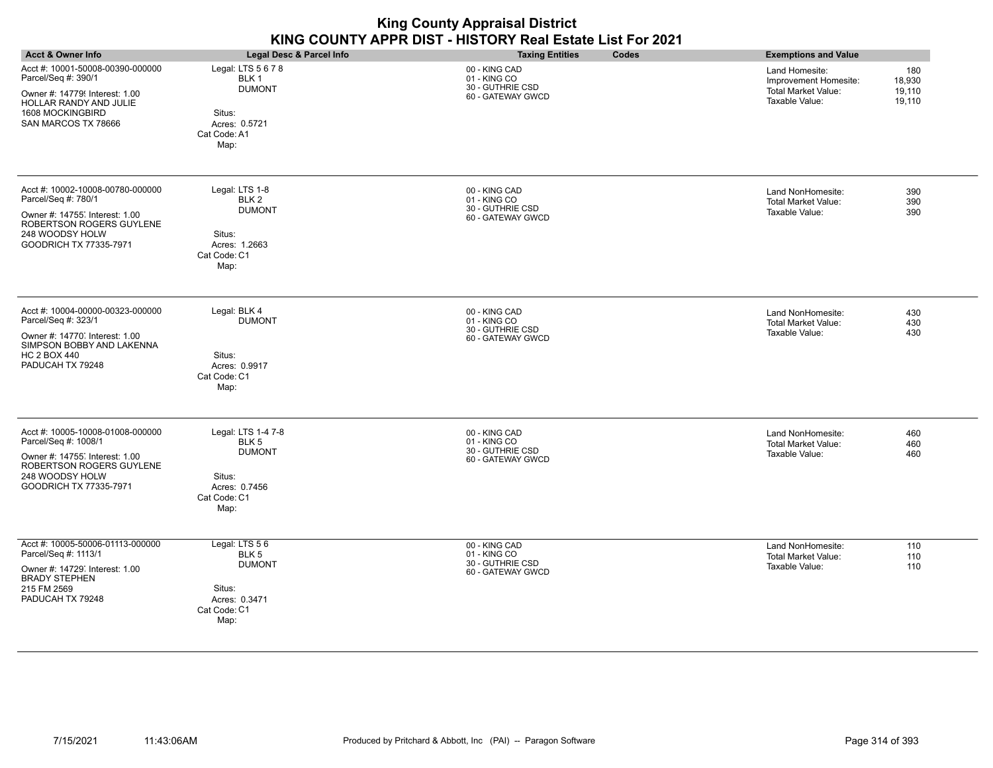|                                                                                                                                                                              |                                                                                                            | <b>King County Appraisal District</b><br>KING COUNTY APPR DIST - HISTORY Real Estate List For 2021 |                                                                                                                       |
|------------------------------------------------------------------------------------------------------------------------------------------------------------------------------|------------------------------------------------------------------------------------------------------------|----------------------------------------------------------------------------------------------------|-----------------------------------------------------------------------------------------------------------------------|
| <b>Acct &amp; Owner Info</b>                                                                                                                                                 | Legal Desc & Parcel Info                                                                                   | <b>Taxing Entities</b><br>Codes                                                                    | <b>Exemptions and Value</b>                                                                                           |
| Acct #: 10001-50008-00390-000000<br>Parcel/Seq #: 390/1<br>Owner #: 14779! Interest: 1.00<br><b>HOLLAR RANDY AND JULIE</b><br><b>1608 MOCKINGBIRD</b><br>SAN MARCOS TX 78666 | Legal: LTS 5 6 7 8<br>BLK 1<br><b>DUMONT</b><br>Situs:<br>Acres: 0.5721<br>Cat Code: A1<br>Map:            | 00 - KING CAD<br>01 - KING CO<br>30 - GUTHRIE CSD<br>60 - GATEWAY GWCD                             | 180<br>Land Homesite:<br>18,930<br>Improvement Homesite:<br>Total Market Value:<br>19,110<br>Taxable Value:<br>19,110 |
| Acct #: 10002-10008-00780-000000<br>Parcel/Seq #: 780/1<br>Owner #: 14755, Interest: 1.00<br>ROBERTSON ROGERS GUYLENE<br>248 WOODSY HOLW<br>GOODRICH TX 77335-7971           | Legal: LTS 1-8<br>BLK <sub>2</sub><br><b>DUMONT</b><br>Situs:<br>Acres: 1.2663<br>Cat Code: C1<br>Map:     | 00 - KING CAD<br>01 - KING CO<br>30 - GUTHRIE CSD<br>60 - GATEWAY GWCD                             | Land NonHomesite:<br>390<br>390<br><b>Total Market Value:</b><br>390<br>Taxable Value:                                |
| Acct #: 10004-00000-00323-000000<br>Parcel/Seq #: 323/1<br>Owner #: 14770, Interest: 1.00<br>SIMPSON BOBBY AND LAKENNA<br><b>HC 2 BOX 440</b><br>PADUCAH TX 79248            | Legal: BLK 4<br><b>DUMONT</b><br>Situs:<br>Acres: 0.9917<br>Cat Code: C1<br>Map:                           | 00 - KING CAD<br>01 - KING CO<br>30 - GUTHRIE CSD<br>60 - GATEWAY GWCD                             | 430<br>Land NonHomesite:<br>430<br><b>Total Market Value:</b><br>Taxable Value:<br>430                                |
| Acct #: 10005-10008-01008-000000<br>Parcel/Seq #: 1008/1<br>Owner #: 14755, Interest: 1.00<br>ROBERTSON ROGERS GUYLENE<br>248 WOODSY HOLW<br>GOODRICH TX 77335-7971          | Legal: LTS 1-4 7-8<br>BLK <sub>5</sub><br><b>DUMONT</b><br>Situs:<br>Acres: 0.7456<br>Cat Code: C1<br>Map: | 00 - KING CAD<br>01 - KING CO<br>30 - GUTHRIE CSD<br>60 - GATEWAY GWCD                             | 460<br>Land NonHomesite:<br><b>Total Market Value:</b><br>460<br>Taxable Value:<br>460                                |
| Acct #: 10005-50006-01113-000000<br>Parcel/Seq #: 1113/1<br>Owner #: 14729, Interest: 1.00<br><b>BRADY STEPHEN</b><br>215 FM 2569<br>PADUCAH TX 79248                        | Legal: LTS 56<br>BLK 5<br><b>DUMONT</b><br>Situs:<br>Acres: 0.3471<br>Cat Code: C1<br>Map:                 | 00 - KING CAD<br>01 - KING CO<br>30 - GUTHRIE CSD<br>60 - GATEWAY GWCD                             | Land NonHomesite:<br>110<br><b>Total Market Value:</b><br>110<br>Taxable Value:<br>110                                |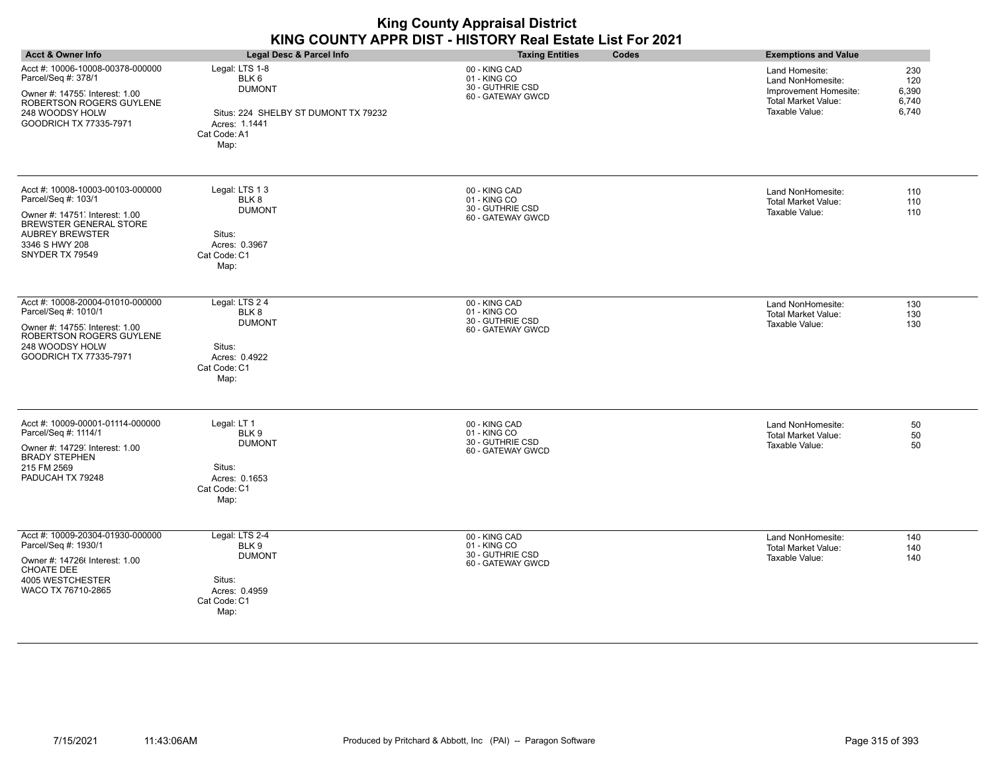| <b>Acct &amp; Owner Info</b>                                                                                                                                                       | <b>Legal Desc &amp; Parcel Info</b>                                                                                       | <b>Taxing Entities</b><br>Codes                                        | <b>Exemptions and Value</b>                                                                                                                           |
|------------------------------------------------------------------------------------------------------------------------------------------------------------------------------------|---------------------------------------------------------------------------------------------------------------------------|------------------------------------------------------------------------|-------------------------------------------------------------------------------------------------------------------------------------------------------|
| Acct #: 10006-10008-00378-000000<br>Parcel/Seq #: 378/1<br>Owner #: 14755, Interest: 1.00<br>ROBERTSON ROGERS GUYLENE<br>248 WOODSY HOLW<br>GOODRICH TX 77335-7971                 | Legal: LTS 1-8<br>BLK 6<br><b>DUMONT</b><br>Situs: 224 SHELBY ST DUMONT TX 79232<br>Acres: 1.1441<br>Cat Code: A1<br>Map: | 00 - KING CAD<br>01 - KING CO<br>30 - GUTHRIE CSD<br>60 - GATEWAY GWCD | 230<br>Land Homesite:<br>Land NonHomesite:<br>120<br>Improvement Homesite:<br>6,390<br>6,740<br><b>Total Market Value:</b><br>Taxable Value:<br>6,740 |
| Acct #: 10008-10003-00103-000000<br>Parcel/Seq #: 103/1<br>Owner #: 14751, Interest: 1.00<br>BREWSTER GENERAL STORE<br><b>AUBREY BREWSTER</b><br>3346 S HWY 208<br>SNYDER TX 79549 | Legal: LTS 13<br>BLK 8<br><b>DUMONT</b><br>Situs:<br>Acres: 0.3967<br>Cat Code: C1<br>Map:                                | 00 - KING CAD<br>01 - KING CO<br>30 - GUTHRIE CSD<br>60 - GATEWAY GWCD | Land NonHomesite:<br>110<br><b>Total Market Value:</b><br>110<br>Taxable Value:<br>110                                                                |
| Acct #: 10008-20004-01010-000000<br>Parcel/Seq #: 1010/1<br>Owner #: 14755, Interest: 1.00<br>ROBERTSON ROGERS GUYLENE<br>248 WOODSY HOLW<br>GOODRICH TX 77335-7971                | Legal: LTS 24<br>BLK 8<br><b>DUMONT</b><br>Situs:<br>Acres: 0.4922<br>Cat Code: C1<br>Map:                                | 00 - KING CAD<br>01 - KING CO<br>30 - GUTHRIE CSD<br>60 - GATEWAY GWCD | Land NonHomesite:<br>130<br>Total Market Value:<br>130<br>Taxable Value:<br>130                                                                       |
| Acct #: 10009-00001-01114-000000<br>Parcel/Seq #: 1114/1<br>Owner #: 14729 Interest: 1.00<br><b>BRADY STEPHEN</b><br>215 FM 2569<br>PADUCAH TX 79248                               | Legal: LT 1<br>BLK 9<br><b>DUMONT</b><br>Situs:<br>Acres: 0.1653<br>Cat Code: C1<br>Map:                                  | 00 - KING CAD<br>01 - KING CO<br>30 - GUTHRIE CSD<br>60 - GATEWAY GWCD | Land NonHomesite:<br>50<br><b>Total Market Value:</b><br>50<br>Taxable Value:<br>50                                                                   |
| Acct #: 10009-20304-01930-000000<br>Parcel/Seq #: 1930/1<br>Owner #: 14726( Interest: 1.00<br>CHOATE DEE<br>4005 WESTCHESTER<br>WACO TX 76710-2865                                 | Legal: LTS 2-4<br>BLK 9<br><b>DUMONT</b><br>Situs:<br>Acres: 0.4959<br>Cat Code: C1<br>Map:                               | 00 - KING CAD<br>01 - KING CO<br>30 - GUTHRIE CSD<br>60 - GATEWAY GWCD | Land NonHomesite:<br>140<br><b>Total Market Value:</b><br>140<br>Taxable Value:<br>140                                                                |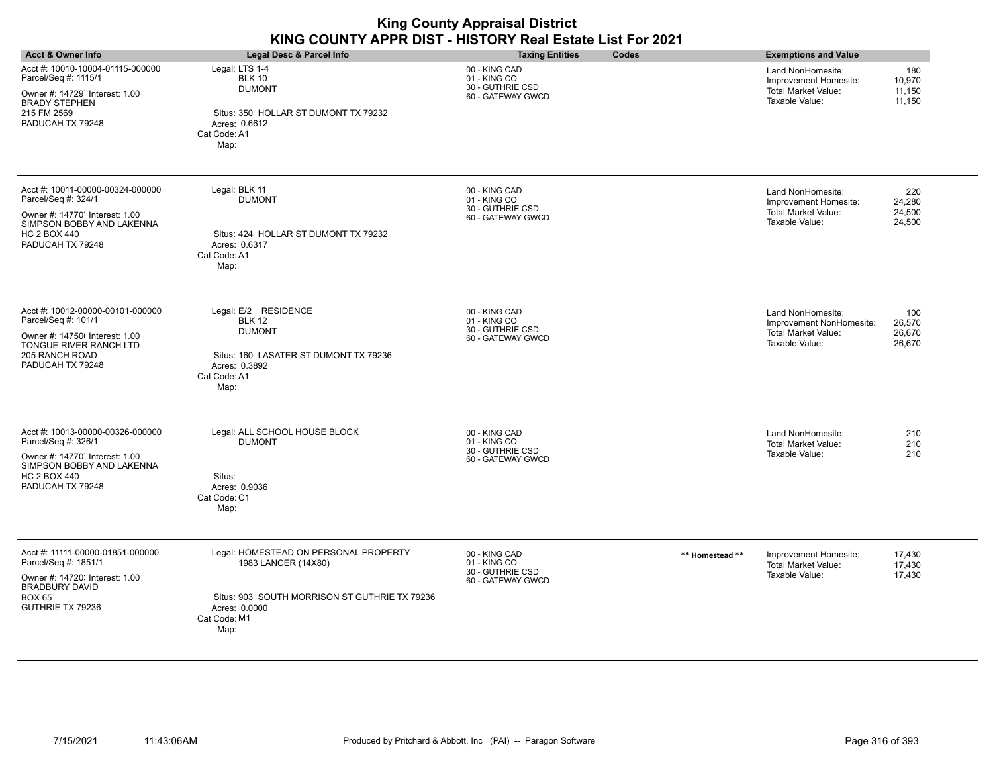|                                                                                                                                                                   | KING COUNTY APPR DIST - HISTORY Real Estate List For 2021                                                                                              | <b>King County Appraisal District</b>                                  |                 |                                                                                               |                                   |
|-------------------------------------------------------------------------------------------------------------------------------------------------------------------|--------------------------------------------------------------------------------------------------------------------------------------------------------|------------------------------------------------------------------------|-----------------|-----------------------------------------------------------------------------------------------|-----------------------------------|
| <b>Acct &amp; Owner Info</b>                                                                                                                                      | <b>Legal Desc &amp; Parcel Info</b>                                                                                                                    | <b>Taxing Entities</b>                                                 | Codes           | <b>Exemptions and Value</b>                                                                   |                                   |
| Acct #: 10010-10004-01115-000000<br>Parcel/Seq #: 1115/1<br>Owner #: 14729, Interest: 1.00<br><b>BRADY STEPHEN</b><br>215 FM 2569<br>PADUCAH TX 79248             | Legal: LTS 1-4<br><b>BLK 10</b><br><b>DUMONT</b><br>Situs: 350 HOLLAR ST DUMONT TX 79232<br>Acres: 0.6612<br>Cat Code: A1<br>Map:                      | 00 - KING CAD<br>01 - KING CO<br>30 - GUTHRIE CSD<br>60 - GATEWAY GWCD |                 | Land NonHomesite:<br>Improvement Homesite:<br><b>Total Market Value:</b><br>Taxable Value:    | 180<br>10,970<br>11,150<br>11,150 |
| Acct #: 10011-00000-00324-000000<br>Parcel/Seq #: 324/1<br>Owner #: 14770. Interest: 1.00<br>SIMPSON BOBBY AND LAKENNA<br><b>HC 2 BOX 440</b><br>PADUCAH TX 79248 | Legal: BLK 11<br><b>DUMONT</b><br>Situs: 424 HOLLAR ST DUMONT TX 79232<br>Acres: 0.6317<br>Cat Code: A1<br>Map:                                        | 00 - KING CAD<br>01 - KING CO<br>30 - GUTHRIE CSD<br>60 - GATEWAY GWCD |                 | Land NonHomesite:<br>Improvement Homesite:<br><b>Total Market Value:</b><br>Taxable Value:    | 220<br>24,280<br>24,500<br>24,500 |
| Acct #: 10012-00000-00101-000000<br>Parcel/Seq #: 101/1<br>Owner #: 147506 Interest: 1.00<br>TONGUE RIVER RANCH LTD<br>205 RANCH ROAD<br>PADUCAH TX 79248         | Legal: E/2 RESIDENCE<br><b>BLK 12</b><br><b>DUMONT</b><br>Situs: 160 LASATER ST DUMONT TX 79236<br>Acres: 0.3892<br>Cat Code: A1<br>Map:               | 00 - KING CAD<br>01 - KING CO<br>30 - GUTHRIE CSD<br>60 - GATEWAY GWCD |                 | Land NonHomesite:<br>Improvement NonHomesite:<br><b>Total Market Value:</b><br>Taxable Value: | 100<br>26,570<br>26,670<br>26,670 |
| Acct #: 10013-00000-00326-000000<br>Parcel/Seq #: 326/1<br>Owner #: 14770, Interest: 1.00<br>SIMPSON BOBBY AND LAKENNA<br><b>HC 2 BOX 440</b><br>PADUCAH TX 79248 | Legal: ALL SCHOOL HOUSE BLOCK<br><b>DUMONT</b><br>Situs:<br>Acres: 0.9036<br>Cat Code: C1<br>Map:                                                      | 00 - KING CAD<br>01 - KING CO<br>30 - GUTHRIE CSD<br>60 - GATEWAY GWCD |                 | Land NonHomesite:<br><b>Total Market Value:</b><br>Taxable Value:                             | 210<br>210<br>210                 |
| Acct #: 11111-00000-01851-000000<br>Parcel/Seq #: 1851/1<br>Owner #: 14720; Interest: 1.00<br><b>BRADBURY DAVID</b><br><b>BOX 65</b><br>GUTHRIE TX 79236          | Legal: HOMESTEAD ON PERSONAL PROPERTY<br>1983 LANCER (14X80)<br>Situs: 903 SOUTH MORRISON ST GUTHRIE TX 79236<br>Acres: 0.0000<br>Cat Code: M1<br>Map: | 00 - KING CAD<br>01 - KING CO<br>30 - GUTHRIE CSD<br>60 - GATEWAY GWCD | ** Homestead ** | Improvement Homesite:<br><b>Total Market Value:</b><br>Taxable Value:                         | 17,430<br>17,430<br>17,430        |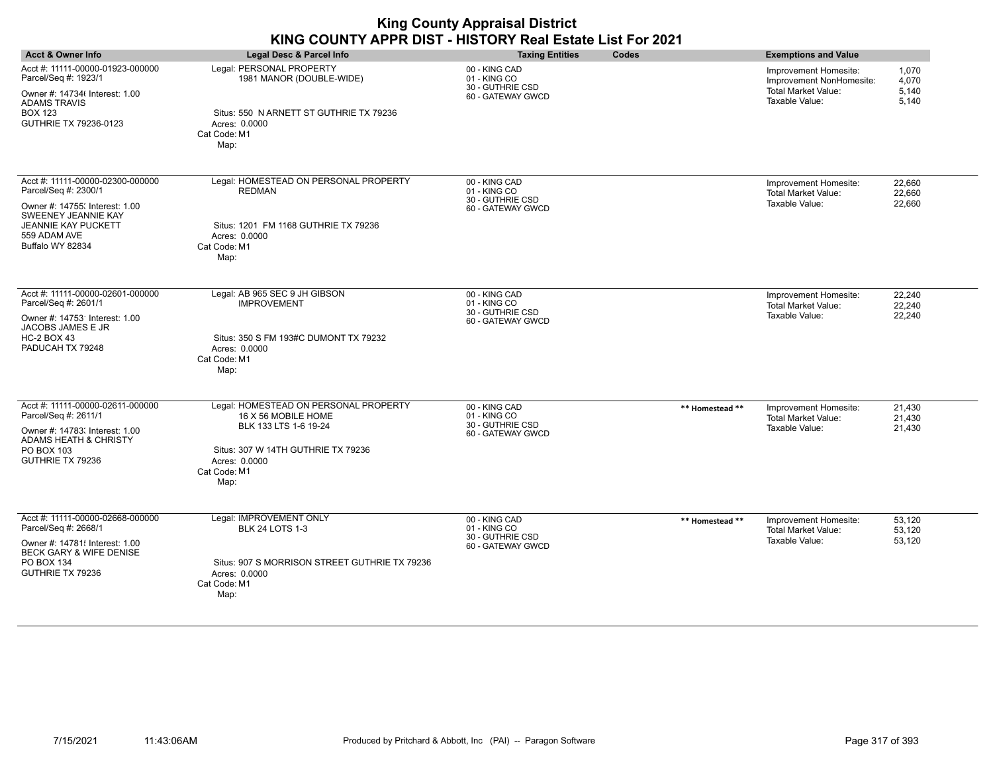| <b>Acct &amp; Owner Info</b>                                                                                                                                                        | Legal Desc & Parcel Info                                                                                                                                             | <b>Taxing Entities</b>                                                 | Codes           | <b>Exemptions and Value</b>                                                                       |                                  |
|-------------------------------------------------------------------------------------------------------------------------------------------------------------------------------------|----------------------------------------------------------------------------------------------------------------------------------------------------------------------|------------------------------------------------------------------------|-----------------|---------------------------------------------------------------------------------------------------|----------------------------------|
| Acct #: 11111-00000-01923-000000<br>Parcel/Seq #: 1923/1<br>Owner #: 147346 Interest: 1.00<br><b>ADAMS TRAVIS</b><br><b>BOX 123</b><br>GUTHRIE TX 79236-0123                        | Legal: PERSONAL PROPERTY<br>1981 MANOR (DOUBLE-WIDE)<br>Situs: 550 N ARNETT ST GUTHRIE TX 79236<br>Acres: 0.0000<br>Cat Code: M1<br>Map:                             | 00 - KING CAD<br>01 - KING CO<br>30 - GUTHRIE CSD<br>60 - GATEWAY GWCD |                 | Improvement Homesite:<br>Improvement NonHomesite:<br><b>Total Market Value:</b><br>Taxable Value: | 1,070<br>4,070<br>5,140<br>5.140 |
| Acct #: 11111-00000-02300-000000<br>Parcel/Seq #: 2300/1<br>Owner #: 14755; Interest: 1.00<br>SWEENEY JEANNIE KAY<br><b>JEANNIE KAY PUCKETT</b><br>559 ADAM AVE<br>Buffalo WY 82834 | Legal: HOMESTEAD ON PERSONAL PROPERTY<br><b>REDMAN</b><br>Situs: 1201 FM 1168 GUTHRIE TX 79236<br>Acres: 0.0000<br>Cat Code: M1<br>Map:                              | 00 - KING CAD<br>01 - KING CO<br>30 - GUTHRIE CSD<br>60 - GATEWAY GWCD |                 | Improvement Homesite:<br>Total Market Value:<br>Taxable Value:                                    | 22,660<br>22,660<br>22,660       |
| Acct #: 11111-00000-02601-000000<br>Parcel/Seq #: 2601/1<br>Owner #: 14753' Interest: 1.00<br>JACOBS JAMES E JR<br><b>HC-2 BOX 43</b><br>PADUCAH TX 79248                           | Legal: AB 965 SEC 9 JH GIBSON<br><b>IMPROVEMENT</b><br>Situs: 350 S FM 193#C DUMONT TX 79232<br>Acres: 0.0000<br>Cat Code: M1<br>Map:                                | 00 - KING CAD<br>01 - KING CO<br>30 - GUTHRIE CSD<br>60 - GATEWAY GWCD |                 | Improvement Homesite:<br><b>Total Market Value:</b><br>Taxable Value:                             | 22,240<br>22,240<br>22,240       |
| Acct #: 11111-00000-02611-000000<br>Parcel/Seq #: 2611/1<br>Owner #: 14783; Interest: 1.00<br><b>ADAMS HEATH &amp; CHRISTY</b><br>PO BOX 103<br>GUTHRIE TX 79236                    | Legal: HOMESTEAD ON PERSONAL PROPERTY<br>16 X 56 MOBILE HOME<br>BLK 133 LTS 1-6 19-24<br>Situs: 307 W 14TH GUTHRIE TX 79236<br>Acres: 0.0000<br>Cat Code: M1<br>Map: | 00 - KING CAD<br>01 - KING CO<br>30 - GUTHRIE CSD<br>60 - GATEWAY GWCD | ** Homestead ** | Improvement Homesite:<br><b>Total Market Value:</b><br>Taxable Value:                             | 21,430<br>21,430<br>21,430       |
| Acct #: 11111-00000-02668-000000<br>Parcel/Seq #: 2668/1<br>Owner #: 14781! Interest: 1.00<br><b>BECK GARY &amp; WIFE DENISE</b><br>PO BOX 134<br>GUTHRIE TX 79236                  | Legal: IMPROVEMENT ONLY<br><b>BLK 24 LOTS 1-3</b><br>Situs: 907 S MORRISON STREET GUTHRIE TX 79236<br>Acres: 0.0000<br>Cat Code: M1<br>Map:                          | 00 - KING CAD<br>01 - KING CO<br>30 - GUTHRIE CSD<br>60 - GATEWAY GWCD | ** Homestead ** | Improvement Homesite:<br><b>Total Market Value:</b><br>Taxable Value:                             | 53,120<br>53,120<br>53,120       |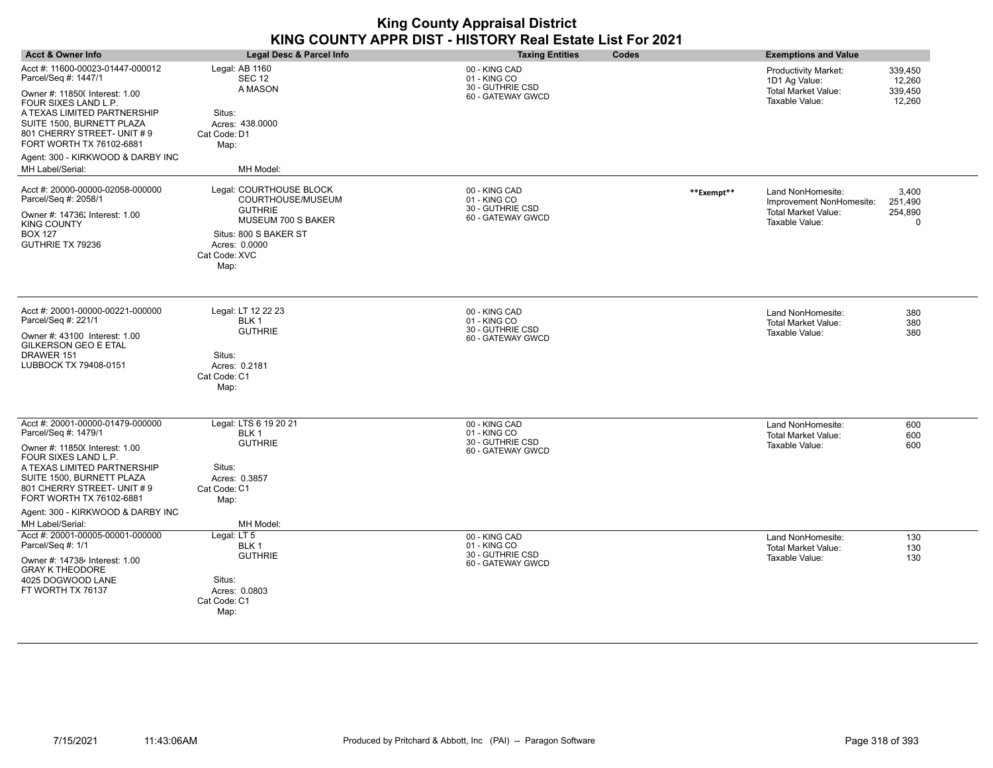| <b>Acct &amp; Owner Info</b>                                                                                                                      | Legal Desc & Parcel Info                                                                                                                                | <b>Taxing Entities</b><br>Codes                                        |            | <b>Exemptions and Value</b>                                                            |                                  |
|---------------------------------------------------------------------------------------------------------------------------------------------------|---------------------------------------------------------------------------------------------------------------------------------------------------------|------------------------------------------------------------------------|------------|----------------------------------------------------------------------------------------|----------------------------------|
| Acct #: 11600-00023-01447-000012<br>Parcel/Seq #: 1447/1                                                                                          | Legal: AB 1160<br><b>SEC 12</b>                                                                                                                         | 00 - KING CAD<br>01 - KING CO                                          |            | <b>Productivity Market:</b><br>1D1 Ag Value:                                           | 339,450<br>12,260                |
| Owner #: 11850( Interest: 1.00<br>FOUR SIXES LAND L.P.<br>A TEXAS LIMITED PARTNERSHIP<br>SUITE 1500, BURNETT PLAZA<br>801 CHERRY STREET- UNIT # 9 | A MASON<br>Situs:<br>Acres: 438,0000<br>Cat Code: D1                                                                                                    | 30 - GUTHRIE CSD<br>60 - GATEWAY GWCD                                  |            | Total Market Value:<br>Taxable Value:                                                  | 339,450<br>12,260                |
| FORT WORTH TX 76102-6881                                                                                                                          | Map:                                                                                                                                                    |                                                                        |            |                                                                                        |                                  |
| Agent: 300 - KIRKWOOD & DARBY INC<br>MH Label/Serial:                                                                                             | MH Model:                                                                                                                                               |                                                                        |            |                                                                                        |                                  |
|                                                                                                                                                   |                                                                                                                                                         |                                                                        |            |                                                                                        |                                  |
| Acct #: 20000-00000-02058-000000<br>Parcel/Seq #: 2058/1<br>Owner #: 14736; Interest: 1.00<br>KING COUNTY<br>BOX 127<br>GUTHRIE TX 79236          | Legal: COURTHOUSE BLOCK<br>COURTHOUSE/MUSEUM<br><b>GUTHRIE</b><br>MUSEUM 700 S BAKER<br>Situs: 800 S BAKER ST<br>Acres: 0.0000<br>Cat Code: XVC<br>Map: | 00 - KING CAD<br>01 - KING CO<br>30 - GUTHRIE CSD<br>60 - GATEWAY GWCD | **Exempt** | Land NonHomesite:<br>Improvement NonHomesite:<br>Total Market Value:<br>Taxable Value: | 3,400<br>251,490<br>254,890<br>0 |
| Acct #: 20001-00000-00221-000000<br>Parcel/Seq #: 221/1                                                                                           | Legal: LT 12 22 23<br>BLK 1                                                                                                                             | 00 - KING CAD<br>01 - KING CO                                          |            | Land NonHomesite:                                                                      | 380                              |
| Owner #: 43100 Interest: 1.00<br>GILKERSON GEO E ETAL                                                                                             | <b>GUTHRIE</b>                                                                                                                                          | 30 - GUTHRIE CSD<br>60 - GATEWAY GWCD                                  |            | Total Market Value:<br>Taxable Value:                                                  | 380<br>380                       |
| DRAWER 151<br>LUBBOCK TX 79408-0151                                                                                                               | Situs:<br>Acres: 0.2181<br>Cat Code: C1<br>Map:                                                                                                         |                                                                        |            |                                                                                        |                                  |
| Acct #: 20001-00000-01479-000000                                                                                                                  | Legal: LTS 6 19 20 21                                                                                                                                   | 00 - KING CAD                                                          |            | Land NonHomesite:                                                                      | 600                              |
| Parcel/Seq #: 1479/1                                                                                                                              | BLK 1                                                                                                                                                   | 01 - KING CO                                                           |            | <b>Total Market Value:</b>                                                             | 600                              |
| Owner #: 11850( Interest: 1.00<br>FOUR SIXES LAND L.P.                                                                                            | <b>GUTHRIE</b>                                                                                                                                          | 30 - GUTHRIE CSD<br>60 - GATEWAY GWCD                                  |            | Taxable Value:                                                                         | 600                              |
| A TEXAS LIMITED PARTNERSHIP<br>SUITE 1500, BURNETT PLAZA<br>801 CHERRY STREET- UNIT # 9                                                           | Situs:<br>Acres: 0.3857<br>Cat Code: C1                                                                                                                 |                                                                        |            |                                                                                        |                                  |
| FORT WORTH TX 76102-6881<br>Agent: 300 - KIRKWOOD & DARBY INC                                                                                     | Map:                                                                                                                                                    |                                                                        |            |                                                                                        |                                  |
| MH Label/Serial:                                                                                                                                  | MH Model:                                                                                                                                               |                                                                        |            |                                                                                        |                                  |
| Acct #: 20001-00005-00001-000000<br>Parcel/Seq #: 1/1                                                                                             | Legal: LT 5<br>BLK 1                                                                                                                                    | 00 - KING CAD<br>01 - KING CO<br>30 - GUTHRIE CSD                      |            | Land NonHomesite:<br><b>Total Market Value:</b>                                        | 130<br>130                       |
| Owner #: 147384 Interest: 1.00<br><b>GRAY K THEODORE</b>                                                                                          | <b>GUTHRIE</b>                                                                                                                                          | 60 - GATEWAY GWCD                                                      |            | Taxable Value:                                                                         | 130                              |
| 4025 DOGWOOD LANE<br>FT WORTH TX 76137                                                                                                            | Situs:<br>Acres: 0.0803<br>Cat Code: C1                                                                                                                 |                                                                        |            |                                                                                        |                                  |
|                                                                                                                                                   | Map:                                                                                                                                                    |                                                                        |            |                                                                                        |                                  |

 $\overline{\phantom{a}}$ 

 $\overline{\phantom{a}}$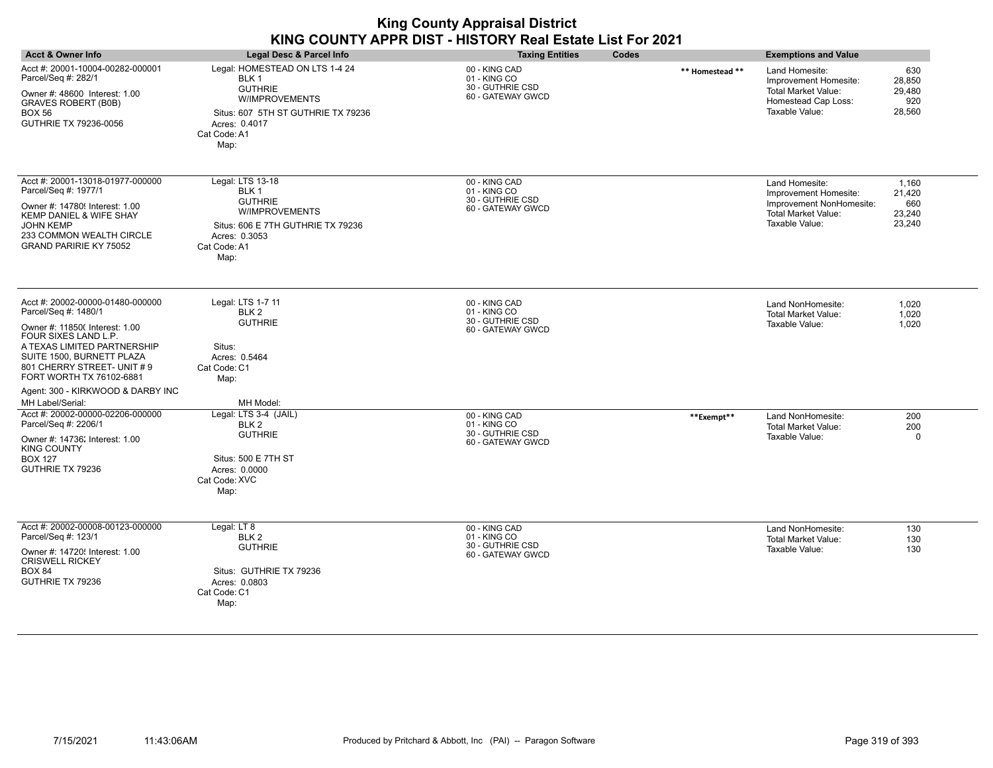| <b>Acct &amp; Owner Info</b>                                                                                                                                                                                                                                                  | <b>Legal Desc &amp; Parcel Info</b>                                                                                                                        | <b>Taxing Entities</b><br>Codes                                        |                 | <b>Exemptions and Value</b>                                                                                         |                                            |
|-------------------------------------------------------------------------------------------------------------------------------------------------------------------------------------------------------------------------------------------------------------------------------|------------------------------------------------------------------------------------------------------------------------------------------------------------|------------------------------------------------------------------------|-----------------|---------------------------------------------------------------------------------------------------------------------|--------------------------------------------|
| Acct #: 20001-10004-00282-000001<br>Parcel/Seq #: 282/1<br>Owner #: 48600 Interest: 1.00<br><b>GRAVES ROBERT (B0B)</b><br><b>BOX 56</b><br>GUTHRIE TX 79236-0056                                                                                                              | Legal: HOMESTEAD ON LTS 1-4 24<br>BLK 1<br><b>GUTHRIE</b><br>W/IMPROVEMENTS<br>Situs: 607 5TH ST GUTHRIE TX 79236<br>Acres: 0.4017<br>Cat Code: A1<br>Map: | 00 - KING CAD<br>01 - KING CO<br>30 - GUTHRIE CSD<br>60 - GATEWAY GWCD | ** Homestead ** | Land Homesite:<br>Improvement Homesite:<br><b>Total Market Value:</b><br>Homestead Cap Loss:<br>Taxable Value:      | 630<br>28,850<br>29,480<br>920<br>28,560   |
| Acct #: 20001-13018-01977-000000<br>Parcel/Seq #: 1977/1<br>Owner #: 14780! Interest: 1.00<br>KEMP DANIEL & WIFE SHAY<br><b>JOHN KEMP</b><br>233 COMMON WEALTH CIRCLE<br><b>GRAND PARIRIE KY 75052</b>                                                                        | Legal: LTS 13-18<br>BLK 1<br><b>GUTHRIE</b><br>W/IMPROVEMENTS<br>Situs: 606 E 7TH GUTHRIE TX 79236<br>Acres: 0.3053<br>Cat Code: A1<br>Map:                | 00 - KING CAD<br>01 - KING CO<br>30 - GUTHRIE CSD<br>60 - GATEWAY GWCD |                 | Land Homesite:<br>Improvement Homesite:<br>Improvement NonHomesite:<br><b>Total Market Value:</b><br>Taxable Value: | 1.160<br>21,420<br>660<br>23,240<br>23,240 |
| Acct #: 20002-00000-01480-000000<br>Parcel/Seq #: 1480/1<br>Owner #: 11850( Interest: 1.00<br>FOUR SIXES LAND L.P.<br>A TEXAS LIMITED PARTNERSHIP<br>SUITE 1500, BURNETT PLAZA<br>801 CHERRY STREET- UNIT #9<br>FORT WORTH TX 76102-6881<br>Agent: 300 - KIRKWOOD & DARBY INC | Legal: LTS 1-7 11<br>BLK <sub>2</sub><br><b>GUTHRIE</b><br>Situs:<br>Acres: 0.5464<br>Cat Code: C1<br>Map:                                                 | 00 - KING CAD<br>01 - KING CO<br>30 - GUTHRIE CSD<br>60 - GATEWAY GWCD |                 | Land NonHomesite:<br><b>Total Market Value:</b><br>Taxable Value:                                                   | 1.020<br>1,020<br>1,020                    |
| MH Label/Serial:<br>Acct #: 20002-00000-02206-000000<br>Parcel/Seq #: 2206/1<br>Owner #: 14736; Interest: 1.00<br><b>KING COUNTY</b><br><b>BOX 127</b><br>GUTHRIE TX 79236                                                                                                    | MH Model:<br>Legal: LTS 3-4 (JAIL)<br>BLK <sub>2</sub><br><b>GUTHRIE</b><br>Situs: 500 E 7TH ST<br>Acres: 0.0000<br>Cat Code: XVC<br>Map:                  | 00 - KING CAD<br>01 - KING CO<br>30 - GUTHRIE CSD<br>60 - GATEWAY GWCD | **Exempt**      | Land NonHomesite:<br><b>Total Market Value:</b><br>Taxable Value:                                                   | 200<br>200<br>$\mathbf 0$                  |
| Acct #: 20002-00008-00123-000000<br>Parcel/Seq #: 123/1<br>Owner #: 14720! Interest: 1.00<br><b>CRISWELL RICKEY</b><br><b>BOX 84</b><br>GUTHRIE TX 79236                                                                                                                      | Legal: LT 8<br>BLK <sub>2</sub><br><b>GUTHRIE</b><br>Situs: GUTHRIE TX 79236<br>Acres: 0.0803<br>Cat Code: C1<br>Map:                                      | 00 - KING CAD<br>01 - KING CO<br>30 - GUTHRIE CSD<br>60 - GATEWAY GWCD |                 | Land NonHomesite:<br><b>Total Market Value:</b><br>Taxable Value:                                                   | 130<br>130<br>130                          |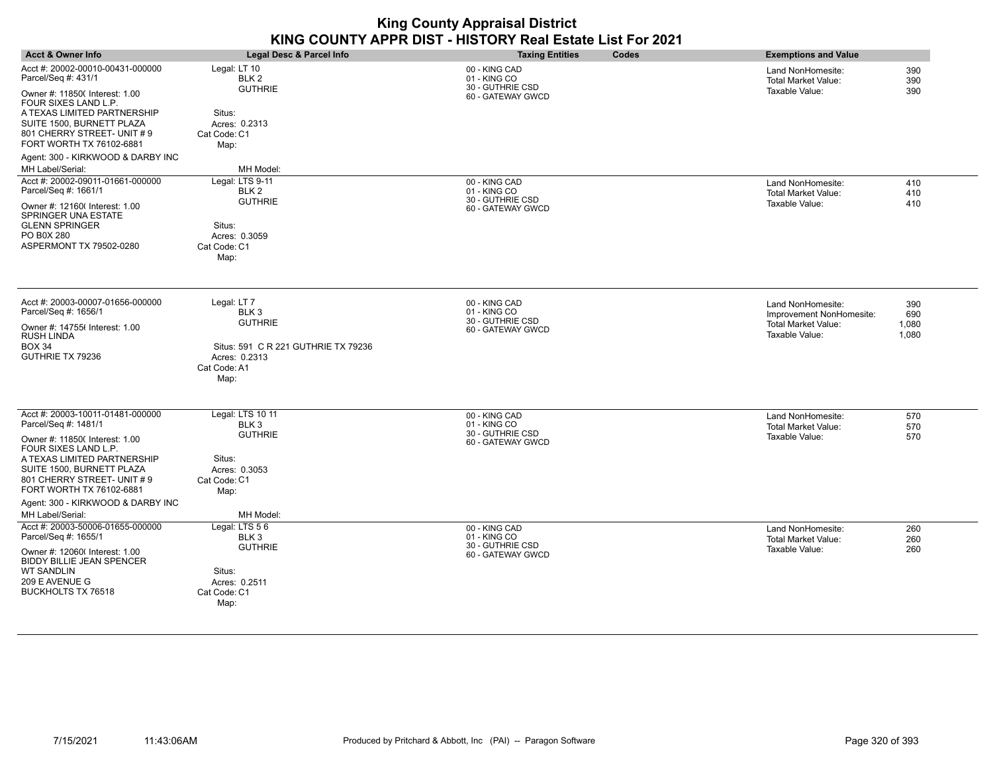| <b>Acct &amp; Owner Info</b>                                                         | Legal Desc & Parcel Info                             | <b>Taxing Entities</b><br>Codes       | <b>Exemptions and Value</b>                                    |
|--------------------------------------------------------------------------------------|------------------------------------------------------|---------------------------------------|----------------------------------------------------------------|
| Acct #: 20002-00010-00431-000000<br>Parcel/Seq #: 431/1                              | Legal: LT 10<br>BLK <sub>2</sub>                     | 00 - KING CAD<br>01 - KING CO         | 390<br>Land NonHomesite:<br>390<br><b>Total Market Value:</b>  |
| Owner #: 11850( Interest: 1.00<br>FOUR SIXES LAND L.P.                               | <b>GUTHRIE</b>                                       | 30 - GUTHRIE CSD<br>60 - GATEWAY GWCD | 390<br>Taxable Value:                                          |
| A TEXAS LIMITED PARTNERSHIP                                                          | Situs:                                               |                                       |                                                                |
| SUITE 1500, BURNETT PLAZA<br>801 CHERRY STREET- UNIT # 9<br>FORT WORTH TX 76102-6881 | Acres: 0.2313<br>Cat Code: C1<br>Map:                |                                       |                                                                |
| Agent: 300 - KIRKWOOD & DARBY INC                                                    |                                                      |                                       |                                                                |
| MH Label/Serial:                                                                     | MH Model:                                            |                                       |                                                                |
| Acct #: 20002-09011-01661-000000                                                     | Legal: LTS 9-11                                      | 00 - KING CAD                         | 410<br>Land NonHomesite:                                       |
| Parcel/Seq #: 1661/1                                                                 | BLK 2                                                | 01 - KING CO                          | Total Market Value:<br>410                                     |
| Owner #: 12160( Interest: 1.00<br>SPRINGER UNA ESTATE                                | <b>GUTHRIE</b>                                       | 30 - GUTHRIE CSD<br>60 - GATEWAY GWCD | Taxable Value:<br>410                                          |
| <b>GLENN SPRINGER</b>                                                                | Situs:                                               |                                       |                                                                |
| PO B0X 280                                                                           | Acres: 0.3059                                        |                                       |                                                                |
| ASPERMONT TX 79502-0280                                                              | Cat Code: C1<br>Map:                                 |                                       |                                                                |
|                                                                                      |                                                      |                                       |                                                                |
| Acct #: 20003-00007-01656-000000                                                     | Legal: LT 7                                          | 00 - KING CAD                         | 390<br>Land NonHomesite:                                       |
| Parcel/Seq #: 1656/1                                                                 | BLK 3<br><b>GUTHRIE</b>                              | 01 - KING CO<br>30 - GUTHRIE CSD      | Improvement NonHomesite:<br>690                                |
| Owner #: 14755( Interest: 1.00<br>RUSH LINDA                                         |                                                      | 60 - GATEWAY GWCD                     | <b>Total Market Value:</b><br>1,080<br>Taxable Value:<br>1,080 |
| <b>BOX 34</b><br>GUTHRIE TX 79236                                                    | Situs: 591 C R 221 GUTHRIE TX 79236<br>Acres: 0.2313 |                                       |                                                                |
|                                                                                      | Cat Code: A1                                         |                                       |                                                                |
|                                                                                      | Map:                                                 |                                       |                                                                |
| Acct #: 20003-10011-01481-000000                                                     | Legal: LTS 10 11                                     | 00 - KING CAD                         | 570<br>Land NonHomesite:                                       |
| Parcel/Seq #: 1481/1                                                                 | BLK 3<br><b>GUTHRIE</b>                              | 01 - KING CO<br>30 - GUTHRIE CSD      | Total Market Value:<br>570                                     |
| Owner #: 11850( Interest: 1.00<br>FOUR SIXES LAND L.P.                               |                                                      | 60 - GATEWAY GWCD                     | 570<br>Taxable Value:                                          |
| A TEXAS LIMITED PARTNERSHIP                                                          | Situs:                                               |                                       |                                                                |
| SUITE 1500, BURNETT PLAZA<br>801 CHERRY STREET- UNIT #9                              | Acres: 0.3053<br>Cat Code: C1                        |                                       |                                                                |
| FORT WORTH TX 76102-6881                                                             | Map:                                                 |                                       |                                                                |
| Agent: 300 - KIRKWOOD & DARBY INC                                                    |                                                      |                                       |                                                                |
| MH Label/Serial:                                                                     | MH Model:                                            |                                       |                                                                |
| Acct #: 20003-50006-01655-000000                                                     | Legal: LTS 56                                        | 00 - KING CAD                         | Land NonHomesite:<br>260                                       |
| Parcel/Seq #: 1655/1                                                                 | BLK 3<br><b>GUTHRIE</b>                              | 01 - KING CO<br>30 - GUTHRIE CSD      | 260<br>Total Market Value:                                     |
| Owner #: 12060( Interest: 1.00<br><b>BIDDY BILLIE JEAN SPENCER</b>                   |                                                      | 60 - GATEWAY GWCD                     | Taxable Value:<br>260                                          |
| WT SANDLIN                                                                           | Situs:                                               |                                       |                                                                |
| 209 E AVENUE G                                                                       | Acres: 0.2511                                        |                                       |                                                                |
| <b>BUCKHOLTS TX 76518</b>                                                            | Cat Code: C1                                         |                                       |                                                                |
|                                                                                      | Map:                                                 |                                       |                                                                |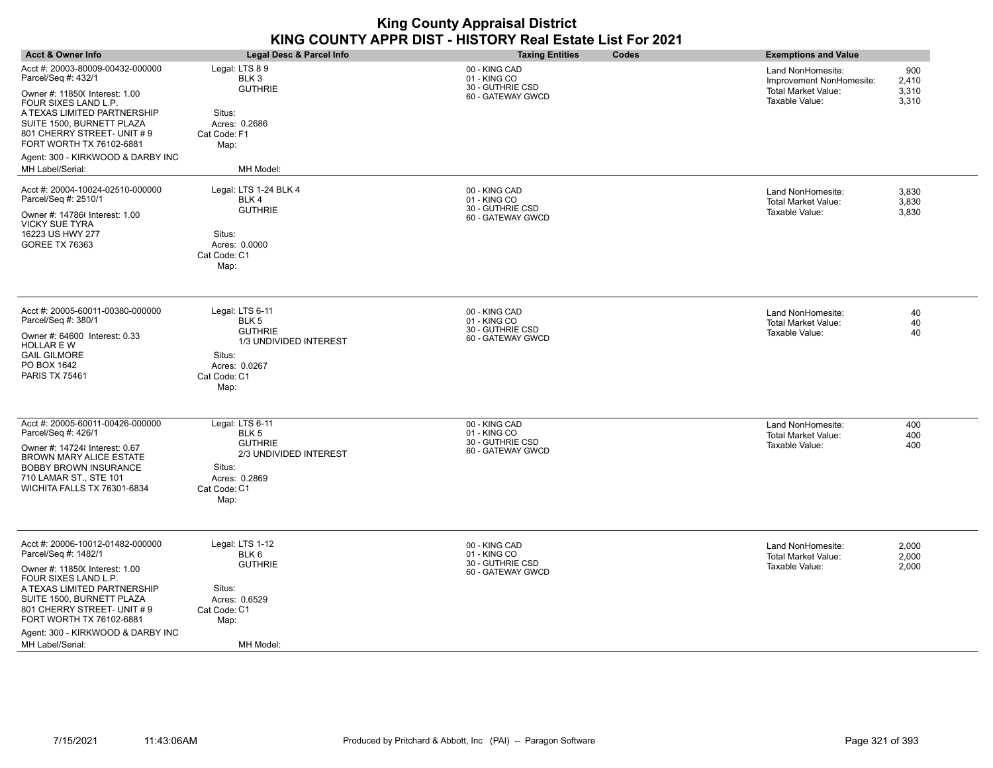| <b>Acct &amp; Owner Info</b>                                                                                                                                                                                                                                                                             | Legal Desc & Parcel Info                                                                                                | <b>Taxing Entities</b>                                                 | Codes | <b>Exemptions and Value</b>                                                            |                                |
|----------------------------------------------------------------------------------------------------------------------------------------------------------------------------------------------------------------------------------------------------------------------------------------------------------|-------------------------------------------------------------------------------------------------------------------------|------------------------------------------------------------------------|-------|----------------------------------------------------------------------------------------|--------------------------------|
| Acct #: 20003-80009-00432-000000<br>Parcel/Seq #: 432/1<br>Owner #: 11850( Interest: 1.00<br>FOUR SIXES LAND L.P.<br>A TEXAS LIMITED PARTNERSHIP<br>SUITE 1500, BURNETT PLAZA<br>801 CHERRY STREET- UNIT # 9<br>FORT WORTH TX 76102-6881<br>Agent: 300 - KIRKWOOD & DARBY INC<br><b>MH Label/Serial:</b> | Legal: LTS 89<br>BLK 3<br><b>GUTHRIE</b><br>Situs:<br>Acres: 0.2686<br>Cat Code: F1<br>Map:<br>MH Model:                | 00 - KING CAD<br>01 - KING CO<br>30 - GUTHRIE CSD<br>60 - GATEWAY GWCD |       | Land NonHomesite:<br>Improvement NonHomesite:<br>Total Market Value:<br>Taxable Value: | 900<br>2,410<br>3,310<br>3,310 |
| Acct #: 20004-10024-02510-000000<br>Parcel/Seq #: 2510/1<br>Owner #: 14786( Interest: 1.00<br>VICKY SUE TYRA<br>16223 US HWY 277<br><b>GOREE TX 76363</b>                                                                                                                                                | Legal: LTS 1-24 BLK 4<br>BLK4<br><b>GUTHRIE</b><br>Situs:<br>Acres: 0.0000<br>Cat Code: C1<br>Map:                      | 00 - KING CAD<br>01 - KING CO<br>30 - GUTHRIE CSD<br>60 - GATEWAY GWCD |       | Land NonHomesite:<br>Total Market Value:<br>Taxable Value:                             | 3,830<br>3,830<br>3,830        |
| Acct #: 20005-60011-00380-000000<br>Parcel/Seq #: 380/1<br>Owner #: 64600 Interest: 0.33<br>HOLLAR E W<br><b>GAIL GILMORE</b><br>PO BOX 1642<br><b>PARIS TX 75461</b>                                                                                                                                    | Legal: LTS 6-11<br>BLK 5<br><b>GUTHRIE</b><br>1/3 UNDIVIDED INTEREST<br>Situs:<br>Acres: 0.0267<br>Cat Code: C1<br>Map: | 00 - KING CAD<br>01 - KING CO<br>30 - GUTHRIE CSD<br>60 - GATEWAY GWCD |       | Land NonHomesite:<br>Total Market Value:<br>Taxable Value:                             | 40<br>40<br>40                 |
| Acct #: 20005-60011-00426-000000<br>Parcel/Seq #: 426/1<br>Owner #: 14724 { Interest: 0.67<br><b>BROWN MARY ALICE ESTATE</b><br>BOBBY BROWN INSURANCE<br>710 LAMAR ST., STE 101<br>WICHITA FALLS TX 76301-6834                                                                                           | Legal: LTS 6-11<br>BLK 5<br><b>GUTHRIE</b><br>2/3 UNDIVIDED INTEREST<br>Situs:<br>Acres: 0.2869<br>Cat Code: C1<br>Map: | 00 - KING CAD<br>01 - KING CO<br>30 - GUTHRIE CSD<br>60 - GATEWAY GWCD |       | Land NonHomesite:<br><b>Total Market Value:</b><br>Taxable Value:                      | 400<br>400<br>400              |
| Acct #: 20006-10012-01482-000000<br>Parcel/Seq #: 1482/1<br>Owner #: 11850( Interest: 1.00<br>FOUR SIXES LAND L.P.<br>A TEXAS LIMITED PARTNERSHIP<br>SUITE 1500, BURNETT PLAZA<br>801 CHERRY STREET- UNIT #9<br>FORT WORTH TX 76102-6881<br>Agent: 300 - KIRKWOOD & DARBY INC<br>MH Label/Serial:        | Legal: LTS 1-12<br>BLK 6<br><b>GUTHRIE</b><br>Situs:<br>Acres: 0.6529<br>Cat Code: C1<br>Map:<br>MH Model:              | 00 - KING CAD<br>01 - KING CO<br>30 - GUTHRIE CSD<br>60 - GATEWAY GWCD |       | Land NonHomesite:<br><b>Total Market Value:</b><br>Taxable Value:                      | 2,000<br>2,000<br>2,000        |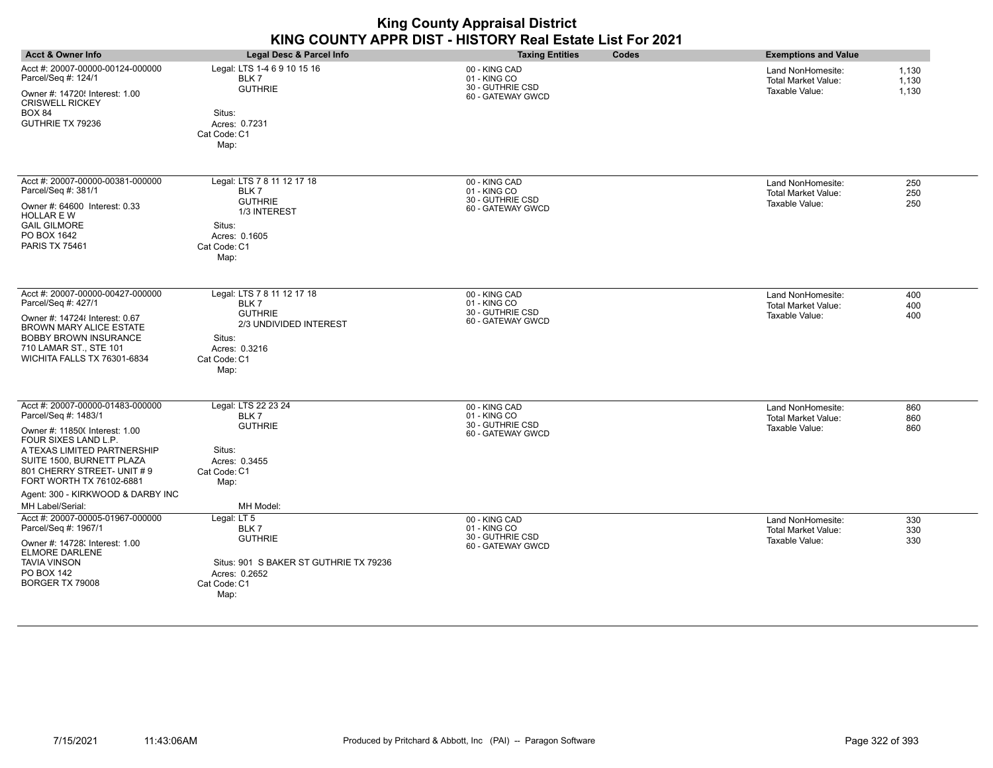|                                                                                                                                                                                                                                                                               |                                                                                                                                       | <b>King County Appraisal District</b><br>KING COUNTY APPR DIST - HISTORY Real Estate List For 2021 |       |                                                                   |                         |
|-------------------------------------------------------------------------------------------------------------------------------------------------------------------------------------------------------------------------------------------------------------------------------|---------------------------------------------------------------------------------------------------------------------------------------|----------------------------------------------------------------------------------------------------|-------|-------------------------------------------------------------------|-------------------------|
| <b>Acct &amp; Owner Info</b>                                                                                                                                                                                                                                                  | <b>Legal Desc &amp; Parcel Info</b>                                                                                                   | <b>Taxing Entities</b>                                                                             | Codes | <b>Exemptions and Value</b>                                       |                         |
| Acct #: 20007-00000-00124-000000<br>Parcel/Seq #: 124/1<br>Owner #: 14720! Interest: 1.00<br><b>CRISWELL RICKEY</b><br><b>BOX 84</b><br>GUTHRIE TX 79236                                                                                                                      | Legal: LTS 1-4 6 9 10 15 16<br>BLK 7<br><b>GUTHRIE</b><br>Situs:<br>Acres: 0.7231<br>Cat Code: C1<br>Map:                             | 00 - KING CAD<br>01 - KING CO<br>30 - GUTHRIE CSD<br>60 - GATEWAY GWCD                             |       | Land NonHomesite:<br>Total Market Value:<br>Taxable Value:        | 1,130<br>1,130<br>1,130 |
| Acct #: 20007-00000-00381-000000<br>Parcel/Seq #: 381/1<br>Owner #: 64600 Interest: 0.33<br><b>HOLLAR E W</b><br><b>GAIL GILMORE</b><br>PO BOX 1642<br><b>PARIS TX 75461</b>                                                                                                  | Legal: LTS 7 8 11 12 17 18<br>BLK7<br><b>GUTHRIE</b><br>1/3 INTEREST<br>Situs:<br>Acres: 0.1605<br>Cat Code: C1<br>Map:               | 00 - KING CAD<br>01 - KING CO<br>30 - GUTHRIE CSD<br>60 - GATEWAY GWCD                             |       | Land NonHomesite:<br><b>Total Market Value:</b><br>Taxable Value: | 250<br>250<br>250       |
| Acct #: 20007-00000-00427-000000<br>Parcel/Seq #: 427/1<br>Owner #: 147248 Interest: 0.67<br><b>BROWN MARY ALICE ESTATE</b><br><b>BOBBY BROWN INSURANCE</b><br>710 LAMAR ST., STE 101<br>WICHITA FALLS TX 76301-6834                                                          | Legal: LTS 7 8 11 12 17 18<br>BLK7<br><b>GUTHRIE</b><br>2/3 UNDIVIDED INTEREST<br>Situs:<br>Acres: 0.3216<br>Cat Code: C1<br>Map:     | 00 - KING CAD<br>01 - KING CO<br>30 - GUTHRIE CSD<br>60 - GATEWAY GWCD                             |       | Land NonHomesite:<br>Total Market Value:<br>Taxable Value:        | 400<br>400<br>400       |
| Acct #: 20007-00000-01483-000000<br>Parcel/Seq #: 1483/1<br>Owner #: 11850( Interest: 1.00<br>FOUR SIXES LAND L.P.<br>A TEXAS LIMITED PARTNERSHIP<br>SUITE 1500, BURNETT PLAZA<br>801 CHERRY STREET- UNIT #9<br>FORT WORTH TX 76102-6881<br>Agent: 300 - KIRKWOOD & DARBY INC | Legal: LTS 22 23 24<br>BLK7<br><b>GUTHRIE</b><br>Situs:<br>Acres: 0.3455<br>Cat Code: C1<br>Map:                                      | 00 - KING CAD<br>01 - KING CO<br>30 - GUTHRIE CSD<br>60 - GATEWAY GWCD                             |       | Land NonHomesite:<br>Total Market Value:<br>Taxable Value:        | 860<br>860<br>860       |
| MH Label/Serial:<br>Acct #: 20007-00005-01967-000000<br>Parcel/Seq #: 1967/1<br>Owner #: 14728; Interest: 1.00<br><b>ELMORE DARLENE</b><br><b>TAVIA VINSON</b><br>PO BOX 142<br>BORGER TX 79008                                                                               | MH Model:<br>Legal: LT 5<br>BLK7<br><b>GUTHRIE</b><br>Situs: 901 S BAKER ST GUTHRIE TX 79236<br>Acres: 0.2652<br>Cat Code: C1<br>Map: | 00 - KING CAD<br>01 - KING CO<br>30 - GUTHRIE CSD<br>60 - GATEWAY GWCD                             |       | Land NonHomesite:<br><b>Total Market Value:</b><br>Taxable Value: | 330<br>330<br>330       |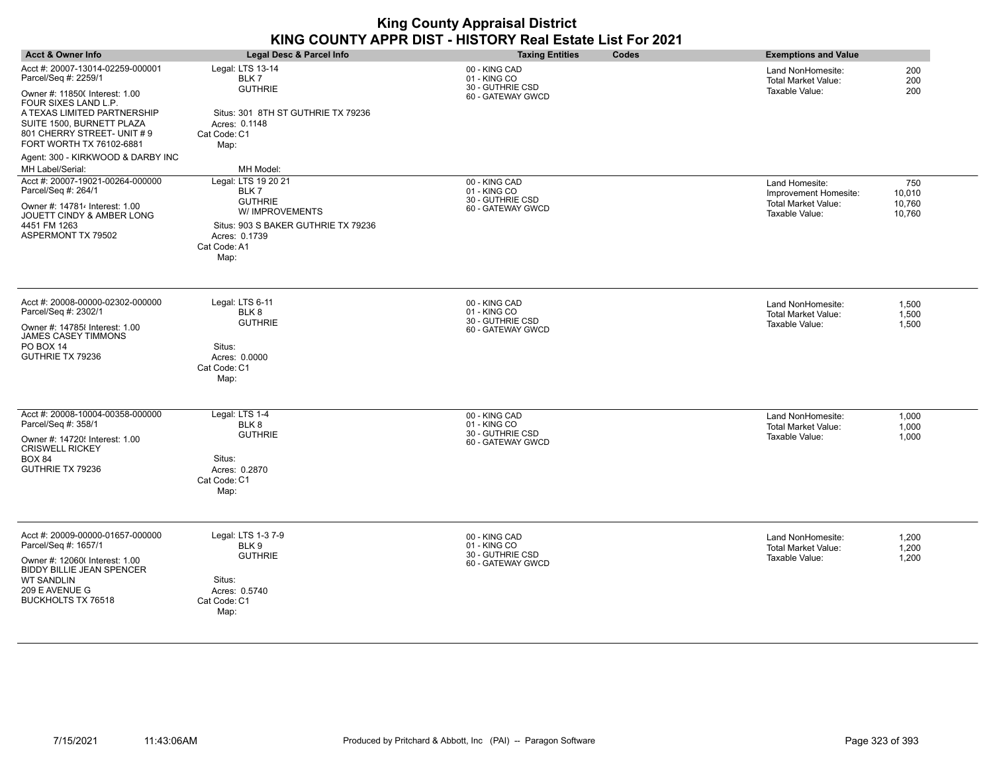| <b>Acct &amp; Owner Info</b>                                                                                                                                                                                                                                                  | <b>Legal Desc &amp; Parcel Info</b>                                                                                                               | <b>Taxing Entities</b><br>Codes                                        | <b>Exemptions and Value</b>                                                                                                  |
|-------------------------------------------------------------------------------------------------------------------------------------------------------------------------------------------------------------------------------------------------------------------------------|---------------------------------------------------------------------------------------------------------------------------------------------------|------------------------------------------------------------------------|------------------------------------------------------------------------------------------------------------------------------|
| Acct #: 20007-13014-02259-000001<br>Parcel/Seq #: 2259/1<br>Owner #: 11850( Interest: 1.00<br>FOUR SIXES LAND L.P.<br>A TEXAS LIMITED PARTNERSHIP<br>SUITE 1500, BURNETT PLAZA<br>801 CHERRY STREET- UNIT #9<br>FORT WORTH TX 76102-6881<br>Agent: 300 - KIRKWOOD & DARBY INC | Legal: LTS 13-14<br>BLK7<br><b>GUTHRIE</b><br>Situs: 301 8TH ST GUTHRIE TX 79236<br>Acres: 0.1148<br>Cat Code: C1<br>Map:                         | 00 - KING CAD<br>01 - KING CO<br>30 - GUTHRIE CSD<br>60 - GATEWAY GWCD | 200<br>Land NonHomesite:<br><b>Total Market Value:</b><br>200<br>Taxable Value:<br>200                                       |
| MH Label/Serial:                                                                                                                                                                                                                                                              | MH Model:                                                                                                                                         |                                                                        |                                                                                                                              |
| Acct #: 20007-19021-00264-000000<br>Parcel/Seq #: 264/1<br>Owner #: 147814 Interest: 1.00<br>JOUETT CINDY & AMBER LONG<br>4451 FM 1263<br>ASPERMONT TX 79502                                                                                                                  | Legal: LTS 19 20 21<br>BLK 7<br><b>GUTHRIE</b><br>W/ IMPROVEMENTS<br>Situs: 903 S BAKER GUTHRIE TX 79236<br>Acres: 0.1739<br>Cat Code: A1<br>Map: | 00 - KING CAD<br>01 - KING CO<br>30 - GUTHRIE CSD<br>60 - GATEWAY GWCD | 750<br>Land Homesite:<br>10,010<br>Improvement Homesite:<br><b>Total Market Value:</b><br>10,760<br>Taxable Value:<br>10,760 |
| Acct #: 20008-00000-02302-000000<br>Parcel/Seq #: 2302/1<br>Owner #: 14785 Interest: 1.00<br>JAMES CASEY TIMMONS<br><b>PO BOX 14</b><br>GUTHRIE TX 79236                                                                                                                      | Legal: LTS 6-11<br>BLK 8<br><b>GUTHRIE</b><br>Situs:<br>Acres: 0.0000<br>Cat Code: C1<br>Map:                                                     | 00 - KING CAD<br>01 - KING CO<br>30 - GUTHRIE CSD<br>60 - GATEWAY GWCD | 1,500<br>Land NonHomesite:<br>Total Market Value:<br>1,500<br>Taxable Value:<br>1,500                                        |
| Acct #: 20008-10004-00358-000000<br>Parcel/Seq #: 358/1<br>Owner #: 14720! Interest: 1.00<br><b>CRISWELL RICKEY</b><br><b>BOX 84</b><br>GUTHRIE TX 79236                                                                                                                      | Legal: LTS 1-4<br>BLK 8<br><b>GUTHRIE</b><br>Situs:<br>Acres: 0.2870<br>Cat Code: C1<br>Map:                                                      | 00 - KING CAD<br>01 - KING CO<br>30 - GUTHRIE CSD<br>60 - GATEWAY GWCD | Land NonHomesite:<br>1,000<br>1,000<br>Total Market Value:<br>Taxable Value:<br>1,000                                        |
| Acct #: 20009-00000-01657-000000<br>Parcel/Seq #: 1657/1<br>Owner #: 12060( Interest: 1.00<br><b>BIDDY BILLIE JEAN SPENCER</b><br><b>WT SANDLIN</b><br>209 E AVENUE G<br><b>BUCKHOLTS TX 76518</b>                                                                            | Legal: LTS 1-3 7-9<br>BLK 9<br><b>GUTHRIE</b><br>Situs:<br>Acres: 0.5740<br>Cat Code: C1<br>Map:                                                  | 00 - KING CAD<br>01 - KING CO<br>30 - GUTHRIE CSD<br>60 - GATEWAY GWCD | 1,200<br>Land NonHomesite:<br><b>Total Market Value:</b><br>1,200<br>Taxable Value:<br>1,200                                 |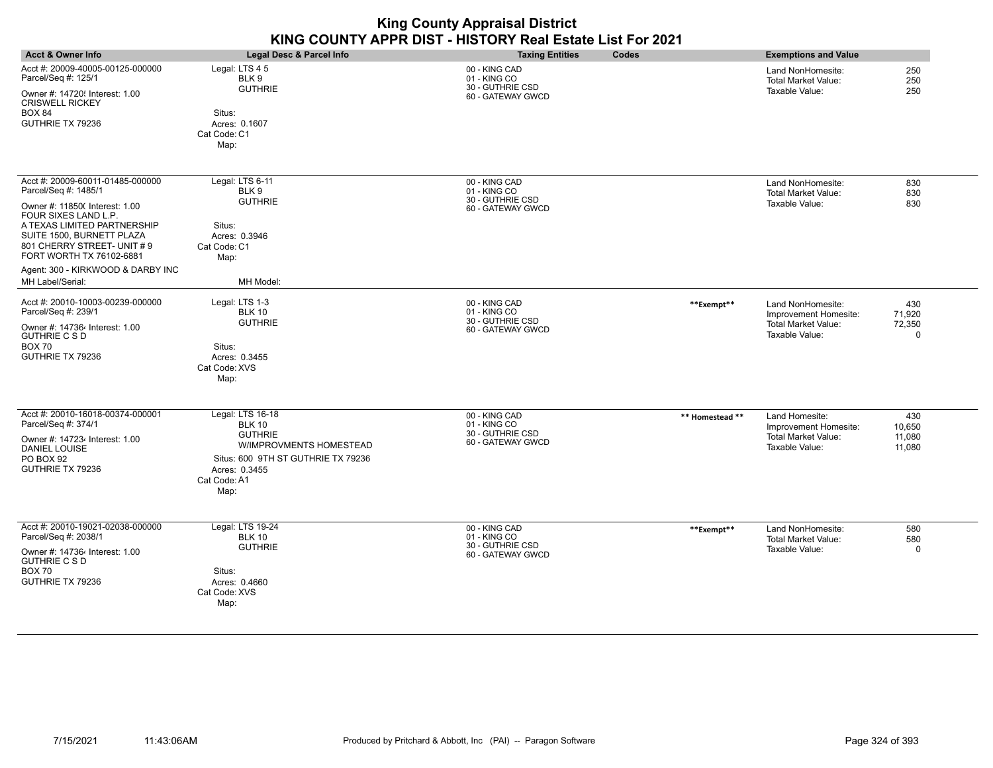| KING COUNTY APPR DIST - HISTORY Real Estate List For 2021                                                                                                                                                                                                                                          |                                                                                                                                                               |                                                                        |                 |                                                                                            |                                     |
|----------------------------------------------------------------------------------------------------------------------------------------------------------------------------------------------------------------------------------------------------------------------------------------------------|---------------------------------------------------------------------------------------------------------------------------------------------------------------|------------------------------------------------------------------------|-----------------|--------------------------------------------------------------------------------------------|-------------------------------------|
| <b>Acct &amp; Owner Info</b>                                                                                                                                                                                                                                                                       | <b>Legal Desc &amp; Parcel Info</b>                                                                                                                           | <b>Taxing Entities</b>                                                 | Codes           | <b>Exemptions and Value</b>                                                                |                                     |
| Acct #: 20009-40005-00125-000000<br>Parcel/Seq #: 125/1<br>Owner #: 14720! Interest: 1.00<br><b>CRISWELL RICKEY</b><br><b>BOX 84</b><br>GUTHRIE TX 79236                                                                                                                                           | Legal: LTS 4 5<br>BLK 9<br><b>GUTHRIE</b><br>Situs:<br>Acres: 0.1607<br>Cat Code: C1<br>Map:                                                                  | 00 - KING CAD<br>01 - KING CO<br>30 - GUTHRIE CSD<br>60 - GATEWAY GWCD |                 | Land NonHomesite:<br><b>Total Market Value:</b><br>Taxable Value:                          | 250<br>250<br>250                   |
| Acct #: 20009-60011-01485-000000<br>Parcel/Seq #: 1485/1<br>Owner #: 11850( Interest: 1.00<br>FOUR SIXES LAND L.P.<br>A TEXAS LIMITED PARTNERSHIP<br>SUITE 1500, BURNETT PLAZA<br>801 CHERRY STREET- UNIT # 9<br>FORT WORTH TX 76102-6881<br>Agent: 300 - KIRKWOOD & DARBY INC<br>MH Label/Serial: | Legal: LTS 6-11<br>BLK 9<br><b>GUTHRIE</b><br>Situs:<br>Acres: 0.3946<br>Cat Code: C1<br>Map:<br>MH Model:                                                    | 00 - KING CAD<br>01 - KING CO<br>30 - GUTHRIE CSD<br>60 - GATEWAY GWCD |                 | Land NonHomesite:<br><b>Total Market Value:</b><br>Taxable Value:                          | 830<br>830<br>830                   |
| Acct #: 20010-10003-00239-000000<br>Parcel/Seq #: 239/1<br>Owner #: 147364 Interest: 1.00<br><b>GUTHRIE C S D</b><br><b>BOX 70</b><br>GUTHRIE TX 79236                                                                                                                                             | Legal: LTS 1-3<br><b>BLK 10</b><br><b>GUTHRIE</b><br>Situs:<br>Acres: 0.3455<br>Cat Code: XVS<br>Map:                                                         | 00 - KING CAD<br>01 - KING CO<br>30 - GUTHRIE CSD<br>60 - GATEWAY GWCD | **Exempt**      | Land NonHomesite:<br>Improvement Homesite:<br><b>Total Market Value:</b><br>Taxable Value: | 430<br>71,920<br>72,350<br>$\Omega$ |
| Acct #: 20010-16018-00374-000001<br>Parcel/Seq #: 374/1<br>Owner #: 147234 Interest: 1.00<br>DANIEL LOUISE<br>PO BOX 92<br>GUTHRIE TX 79236                                                                                                                                                        | Legal: LTS 16-18<br><b>BLK 10</b><br><b>GUTHRIE</b><br>W/IMPROVMENTS HOMESTEAD<br>Situs: 600 9TH ST GUTHRIE TX 79236<br>Acres: 0.3455<br>Cat Code: A1<br>Map: | 00 - KING CAD<br>01 - KING CO<br>30 - GUTHRIE CSD<br>60 - GATEWAY GWCD | ** Homestead ** | Land Homesite:<br>Improvement Homesite:<br><b>Total Market Value:</b><br>Taxable Value:    | 430<br>10,650<br>11,080<br>11,080   |
| Acct #: 20010-19021-02038-000000<br>Parcel/Seq #: 2038/1<br>Owner #: 147364 Interest: 1.00<br>GUTHRIE C S D<br><b>BOX 70</b><br>GUTHRIE TX 79236                                                                                                                                                   | Legal: LTS 19-24<br><b>BLK 10</b><br><b>GUTHRIE</b><br>Situs:<br>Acres: 0.4660<br>Cat Code: XVS<br>Map:                                                       | 00 - KING CAD<br>01 - KING CO<br>30 - GUTHRIE CSD<br>60 - GATEWAY GWCD | **Exempt**      | Land NonHomesite:<br><b>Total Market Value:</b><br>Taxable Value:                          | 580<br>580<br>$\Omega$              |

**King County Appraisal District**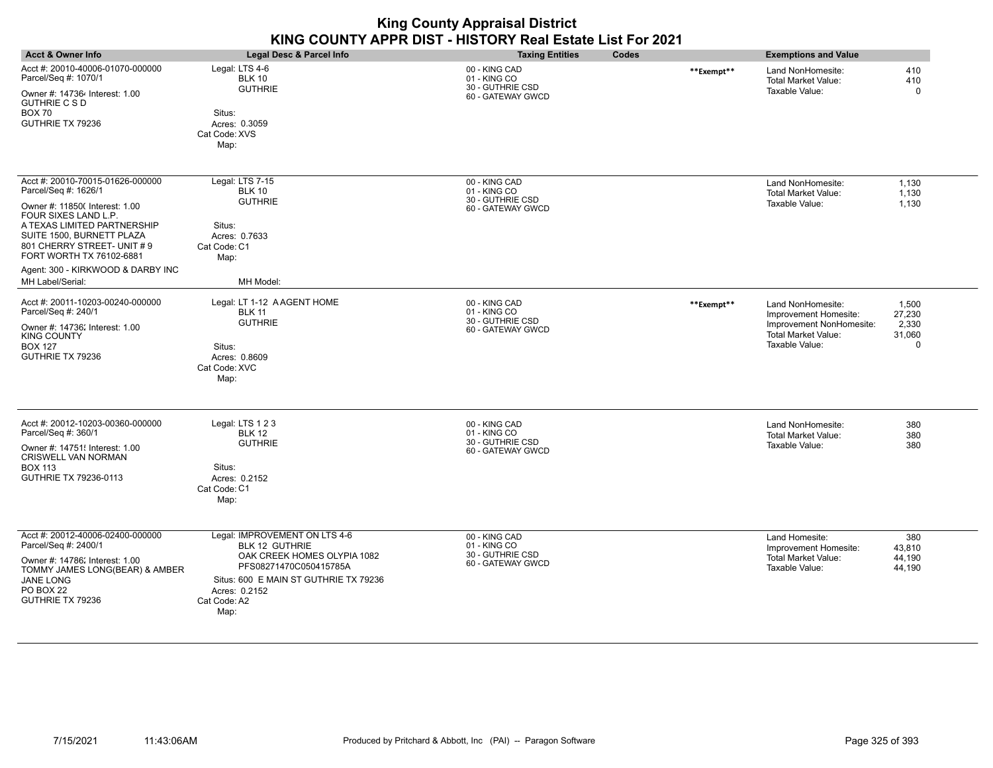| <b>King County Appraisal District</b><br>KING COUNTY APPR DIST - HISTORY Real Estate List For 2021                                                                                                                                                                                                       |                                                                                                                                                                                            |                                                                        |            |                                                                                                                        |                                         |  |  |
|----------------------------------------------------------------------------------------------------------------------------------------------------------------------------------------------------------------------------------------------------------------------------------------------------------|--------------------------------------------------------------------------------------------------------------------------------------------------------------------------------------------|------------------------------------------------------------------------|------------|------------------------------------------------------------------------------------------------------------------------|-----------------------------------------|--|--|
| <b>Acct &amp; Owner Info</b>                                                                                                                                                                                                                                                                             | Legal Desc & Parcel Info                                                                                                                                                                   | Codes<br><b>Taxing Entities</b>                                        |            | <b>Exemptions and Value</b>                                                                                            |                                         |  |  |
| Acct #: 20010-40006-01070-000000<br>Parcel/Seq #: 1070/1<br>Owner #: 147364 Interest: 1.00<br><b>GUTHRIE C S D</b><br><b>BOX 70</b><br>GUTHRIE TX 79236                                                                                                                                                  | Legal: LTS 4-6<br><b>BLK 10</b><br><b>GUTHRIE</b><br>Situs:<br>Acres: 0.3059<br>Cat Code: XVS<br>Map:                                                                                      | 00 - KING CAD<br>01 - KING CO<br>30 - GUTHRIE CSD<br>60 - GATEWAY GWCD | **Exempt** | Land NonHomesite:<br><b>Total Market Value:</b><br>Taxable Value:                                                      | 410<br>410<br>$\Omega$                  |  |  |
| Acct #: 20010-70015-01626-000000<br>Parcel/Seq #: 1626/1<br>Owner #: 11850( Interest: 1.00<br>FOUR SIXES LAND L.P.<br>A TEXAS LIMITED PARTNERSHIP<br>SUITE 1500, BURNETT PLAZA<br>801 CHERRY STREET- UNIT #9<br>FORT WORTH TX 76102-6881<br>Agent: 300 - KIRKWOOD & DARBY INC<br><b>MH Label/Serial:</b> | Legal: LTS 7-15<br><b>BLK 10</b><br><b>GUTHRIE</b><br>Situs:<br>Acres: 0.7633<br>Cat Code: C1<br>Map:<br>MH Model:                                                                         | 00 - KING CAD<br>01 - KING CO<br>30 - GUTHRIE CSD<br>60 - GATEWAY GWCD |            | Land NonHomesite:<br><b>Total Market Value:</b><br>Taxable Value:                                                      | 1,130<br>1,130<br>1,130                 |  |  |
| Acct #: 20011-10203-00240-000000<br>Parcel/Seq #: 240/1<br>Owner #: 14736; Interest: 1.00<br><b>KING COUNTY</b><br><b>BOX 127</b><br>GUTHRIE TX 79236                                                                                                                                                    | Legal: LT 1-12 AAGENT HOME<br><b>BLK 11</b><br><b>GUTHRIE</b><br>Situs:<br>Acres: 0.8609<br>Cat Code: XVC<br>Map:                                                                          | 00 - KING CAD<br>01 - KING CO<br>30 - GUTHRIE CSD<br>60 - GATEWAY GWCD | **Exempt** | Land NonHomesite:<br>Improvement Homesite:<br>Improvement NonHomesite:<br><b>Total Market Value:</b><br>Taxable Value: | 1,500<br>27,230<br>2,330<br>31,060<br>0 |  |  |
| Acct #: 20012-10203-00360-000000<br>Parcel/Seq #: 360/1<br>Owner #: 14751! Interest: 1.00<br>CRISWELL VAN NORMAN<br><b>BOX 113</b><br>GUTHRIE TX 79236-0113                                                                                                                                              | Legal: LTS 1 2 3<br><b>BLK 12</b><br><b>GUTHRIE</b><br>Situs:<br>Acres: 0.2152<br>Cat Code: C1<br>Map:                                                                                     | 00 - KING CAD<br>01 - KING CO<br>30 - GUTHRIE CSD<br>60 - GATEWAY GWCD |            | Land NonHomesite:<br><b>Total Market Value:</b><br>Taxable Value:                                                      | 380<br>380<br>380                       |  |  |
| Acct #: 20012-40006-02400-000000<br>Parcel/Seq #: 2400/1<br>Owner #: 14786; Interest: 1.00<br>TOMMY JAMES LONG(BEAR) & AMBER<br><b>JANE LONG</b><br><b>PO BOX 22</b><br>GUTHRIE TX 79236                                                                                                                 | Legal: IMPROVEMENT ON LTS 4-6<br>BLK 12 GUTHRIE<br>OAK CREEK HOMES OLYPIA 1082<br>PFS08271470C050415785A<br>Situs: 600 E MAIN ST GUTHRIE TX 79236<br>Acres: 0.2152<br>Cat Code: A2<br>Map: | 00 - KING CAD<br>01 - KING CO<br>30 - GUTHRIE CSD<br>60 - GATEWAY GWCD |            | Land Homesite:<br>Improvement Homesite:<br>Total Market Value:<br>Taxable Value:                                       | 380<br>43,810<br>44,190<br>44,190       |  |  |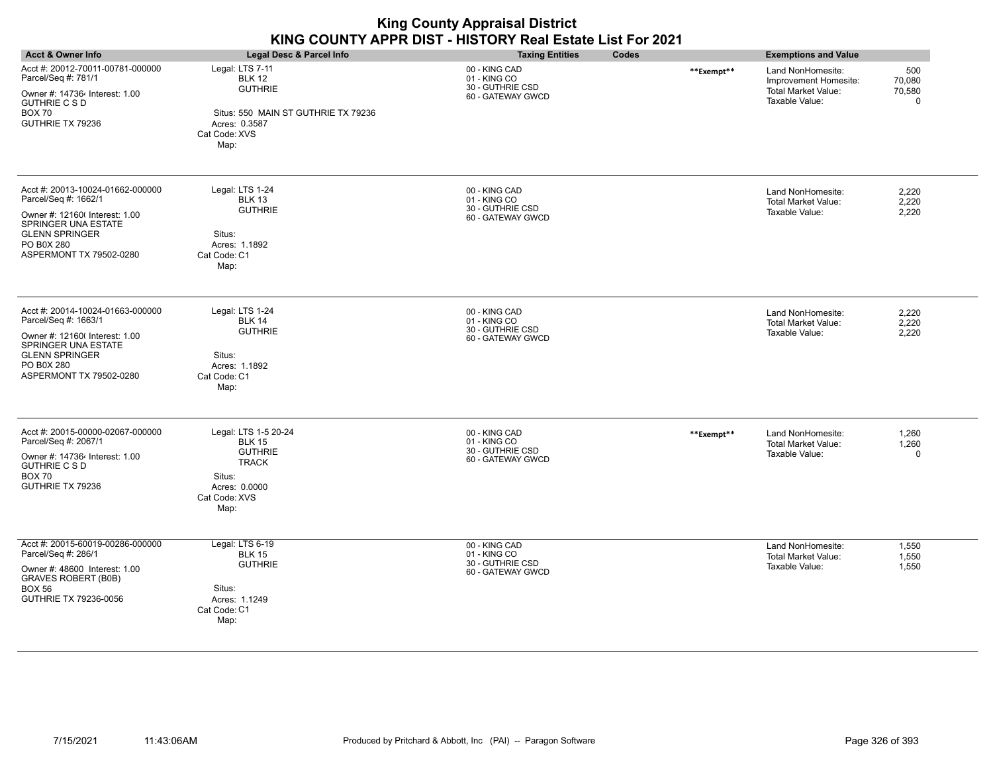| <b>Acct &amp; Owner Info</b>                                                                                                                                                               | Legal Desc & Parcel Info                                                                                                            | Codes<br><b>Taxing Entities</b>                                        |            | <b>Exemptions and Value</b>                                                                |                              |
|--------------------------------------------------------------------------------------------------------------------------------------------------------------------------------------------|-------------------------------------------------------------------------------------------------------------------------------------|------------------------------------------------------------------------|------------|--------------------------------------------------------------------------------------------|------------------------------|
| Acct #: 20012-70011-00781-000000<br>Parcel/Seq #: 781/1<br>Owner #: 147364 Interest: 1.00<br><b>GUTHRIE C S D</b><br><b>BOX 70</b><br>GUTHRIE TX 79236                                     | Legal: LTS 7-11<br><b>BLK 12</b><br><b>GUTHRIE</b><br>Situs: 550 MAIN ST GUTHRIE TX 79236<br>Acres: 0.3587<br>Cat Code: XVS<br>Map: | 00 - KING CAD<br>01 - KING CO<br>30 - GUTHRIE CSD<br>60 - GATEWAY GWCD | **Exempt** | Land NonHomesite:<br>Improvement Homesite:<br><b>Total Market Value:</b><br>Taxable Value: | 500<br>70,080<br>70,580<br>0 |
| Acct #: 20013-10024-01662-000000<br>Parcel/Seq #: 1662/1<br>Owner #: 12160( Interest: 1.00<br>SPRINGER UNA ESTATE<br><b>GLENN SPRINGER</b><br>PO B0X 280<br>ASPERMONT TX 79502-0280        | Legal: LTS 1-24<br><b>BLK 13</b><br><b>GUTHRIE</b><br>Situs:<br>Acres: 1.1892<br>Cat Code: C1<br>Map:                               | 00 - KING CAD<br>01 - KING CO<br>30 - GUTHRIE CSD<br>60 - GATEWAY GWCD |            | Land NonHomesite:<br><b>Total Market Value:</b><br>Taxable Value:                          | 2,220<br>2,220<br>2,220      |
| Acct #: 20014-10024-01663-000000<br>Parcel/Seq #: 1663/1<br>Owner #: 12160( Interest: 1.00<br><b>SPRINGER UNA ESTATE</b><br><b>GLENN SPRINGER</b><br>PO B0X 280<br>ASPERMONT TX 79502-0280 | Legal: LTS 1-24<br><b>BLK 14</b><br><b>GUTHRIE</b><br>Situs:<br>Acres: 1.1892<br>Cat Code: C1<br>Map:                               | 00 - KING CAD<br>01 - KING CO<br>30 - GUTHRIE CSD<br>60 - GATEWAY GWCD |            | Land NonHomesite:<br>Total Market Value:<br>Taxable Value:                                 | 2,220<br>2,220<br>2,220      |
| Acct #: 20015-00000-02067-000000<br>Parcel/Seq #: 2067/1<br>Owner #: 147364 Interest: 1.00<br><b>GUTHRIE C S D</b><br><b>BOX 70</b><br>GUTHRIE TX 79236                                    | Legal: LTS 1-5 20-24<br><b>BLK 15</b><br><b>GUTHRIE</b><br><b>TRACK</b><br>Situs:<br>Acres: 0.0000<br>Cat Code: XVS<br>Map:         | 00 - KING CAD<br>01 - KING CO<br>30 - GUTHRIE CSD<br>60 - GATEWAY GWCD | **Exempt** | Land NonHomesite:<br>Total Market Value:<br>Taxable Value:                                 | 1,260<br>1,260<br>0          |
| Acct #: 20015-60019-00286-000000<br>Parcel/Seq #: 286/1<br>Owner #: 48600 Interest: 1.00<br>GRAVES ROBERT (B0B)<br><b>BOX 56</b><br>GUTHRIE TX 79236-0056                                  | Legal: LTS 6-19<br><b>BLK 15</b><br><b>GUTHRIE</b><br>Situs:<br>Acres: 1.1249<br>Cat Code: C1<br>Map:                               | 00 - KING CAD<br>01 - KING CO<br>30 - GUTHRIE CSD<br>60 - GATEWAY GWCD |            | Land NonHomesite:<br>Total Market Value:<br>Taxable Value:                                 | 1,550<br>1,550<br>1,550      |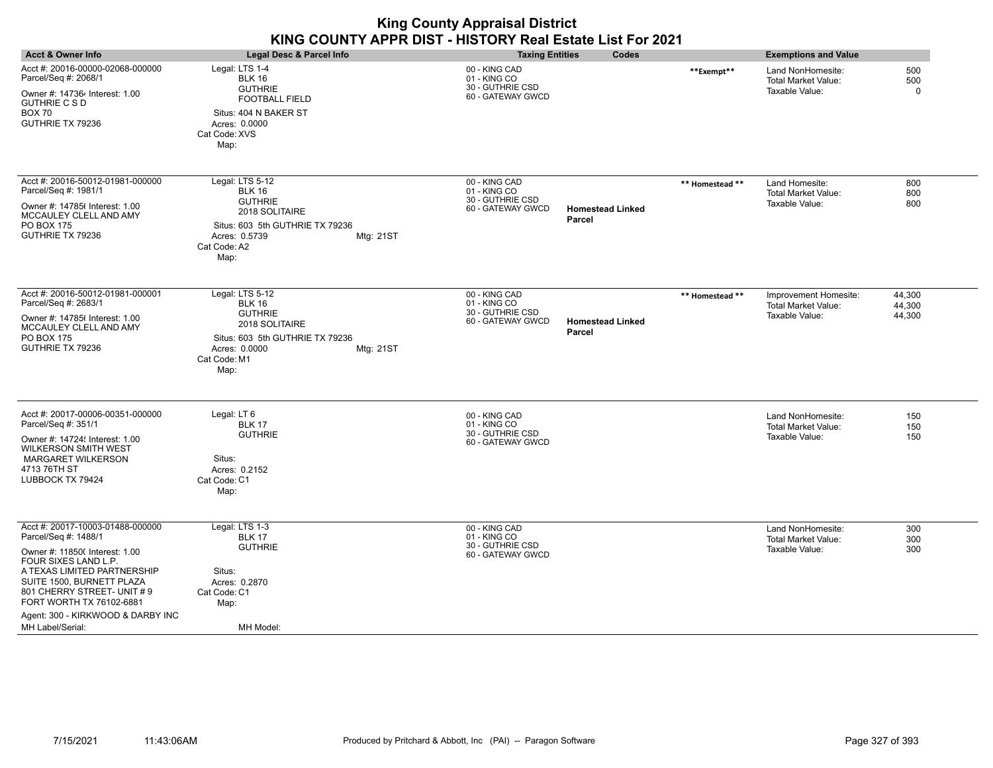| <b>Acct &amp; Owner Info</b>                                                                                                                                                                                                                                                                      | <b>Legal Desc &amp; Parcel Info</b>                                                                                                                           | Codes<br><b>Taxing Entities</b>                                                                             |                 | <b>Exemptions and Value</b>                                           |                            |
|---------------------------------------------------------------------------------------------------------------------------------------------------------------------------------------------------------------------------------------------------------------------------------------------------|---------------------------------------------------------------------------------------------------------------------------------------------------------------|-------------------------------------------------------------------------------------------------------------|-----------------|-----------------------------------------------------------------------|----------------------------|
| Acct #: 20016-00000-02068-000000<br>Parcel/Seq #: 2068/1<br>Owner #: 147364 Interest: 1.00<br><b>GUTHRIE C S D</b><br><b>BOX 70</b><br>GUTHRIE TX 79236                                                                                                                                           | Legal: LTS 1-4<br><b>BLK 16</b><br><b>GUTHRIE</b><br><b>FOOTBALL FIELD</b><br>Situs: 404 N BAKER ST<br>Acres: 0.0000<br>Cat Code: XVS<br>Map:                 | 00 - KING CAD<br>01 - KING CO<br>30 - GUTHRIE CSD<br>60 - GATEWAY GWCD                                      | **Exempt**      | Land NonHomesite:<br><b>Total Market Value:</b><br>Taxable Value:     | 500<br>500<br>0            |
| Acct #: 20016-50012-01981-000000<br>Parcel/Seq #: 1981/1<br>Owner #: 14785( Interest: 1.00<br>MCCAULEY CLELL AND AMY<br>PO BOX 175<br>GUTHRIE TX 79236                                                                                                                                            | Legal: LTS 5-12<br><b>BLK 16</b><br><b>GUTHRIE</b><br>2018 SOLITAIRE<br>Situs: 603 5th GUTHRIE TX 79236<br>Acres: 0.5739<br>Mtg: 21ST<br>Cat Code: A2<br>Map: | 00 - KING CAD<br>01 - KING CO<br>30 - GUTHRIE CSD<br>60 - GATEWAY GWCD<br><b>Homestead Linked</b><br>Parcel | ** Homestead ** | Land Homesite:<br><b>Total Market Value:</b><br>Taxable Value:        | 800<br>800<br>800          |
| Acct #: 20016-50012-01981-000001<br>Parcel/Seq #: 2683/1<br>Owner #: 14785( Interest: 1.00<br>MCCAULEY CLELL AND AMY<br>PO BOX 175<br>GUTHRIE TX 79236                                                                                                                                            | Legal: LTS 5-12<br><b>BLK 16</b><br><b>GUTHRIE</b><br>2018 SOLITAIRE<br>Situs: 603 5th GUTHRIE TX 79236<br>Acres: 0.0000<br>Mtg: 21ST<br>Cat Code: M1<br>Map: | 00 - KING CAD<br>01 - KING CO<br>30 - GUTHRIE CSD<br>60 - GATEWAY GWCD<br><b>Homestead Linked</b><br>Parcel | ** Homestead ** | Improvement Homesite:<br><b>Total Market Value:</b><br>Taxable Value: | 44,300<br>44,300<br>44,300 |
| Acct #: 20017-00006-00351-000000<br>Parcel/Seq #: 351/1<br>Owner #: 14724! Interest: 1.00<br><b>WILKERSON SMITH WEST</b><br><b>MARGARET WILKERSON</b><br>4713 76TH ST<br>LUBBOCK TX 79424                                                                                                         | Legal: LT 6<br><b>BLK 17</b><br><b>GUTHRIE</b><br>Situs:<br>Acres: 0.2152<br>Cat Code: C1<br>Map:                                                             | 00 - KING CAD<br>01 - KING CO<br>30 - GUTHRIE CSD<br>60 - GATEWAY GWCD                                      |                 | Land NonHomesite:<br><b>Total Market Value:</b><br>Taxable Value:     | 150<br>150<br>150          |
| Acct #: 20017-10003-01488-000000<br>Parcel/Seq #: 1488/1<br>Owner #: 11850( Interest: 1.00<br>FOUR SIXES LAND L.P.<br>A TEXAS LIMITED PARTNERSHIP<br>SUITE 1500, BURNETT PLAZA<br>801 CHERRY STREET- UNIT #9<br>FORT WORTH TX 76102-6881<br>Agent: 300 - KIRKWOOD & DARBY INC<br>MH Label/Serial: | Legal: LTS 1-3<br><b>BLK 17</b><br><b>GUTHRIE</b><br>Situs:<br>Acres: 0.2870<br>Cat Code: C1<br>Map:<br>MH Model:                                             | 00 - KING CAD<br>01 - KING CO<br>30 - GUTHRIE CSD<br>60 - GATEWAY GWCD                                      |                 | Land NonHomesite:<br><b>Total Market Value:</b><br>Taxable Value:     | 300<br>300<br>300          |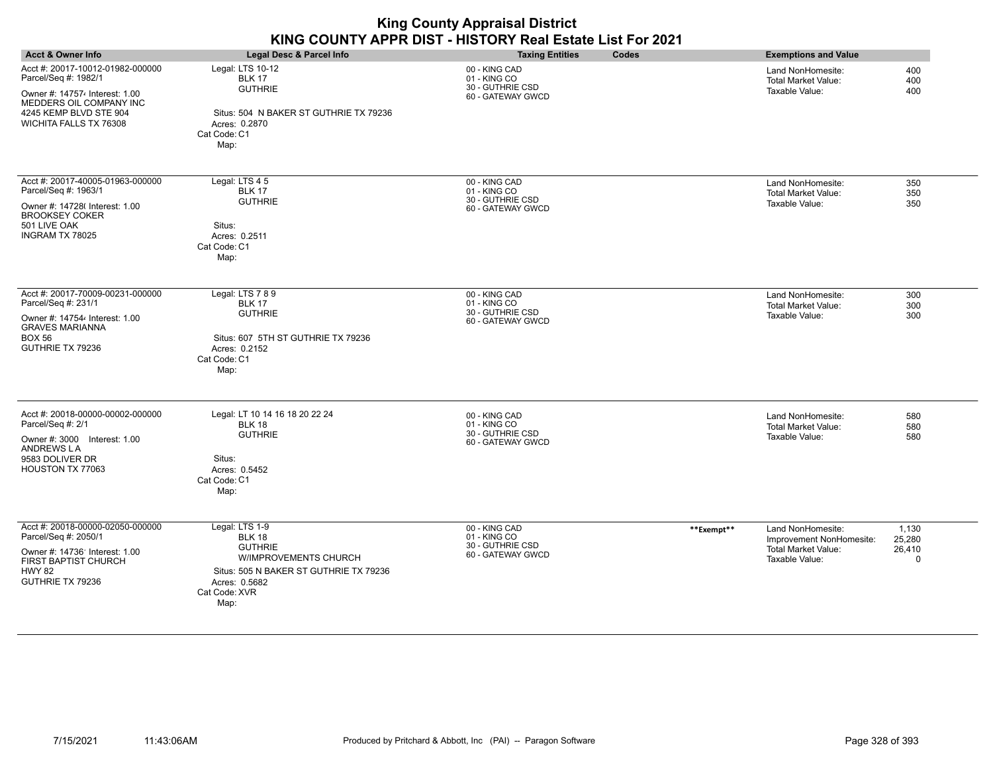| <b>Acct &amp; Owner Info</b>                                                                                                                                              | <b>Legal Desc &amp; Parcel Info</b>                                                                                                                            | <b>Taxing Entities</b><br>Codes                                        |            | <b>Exemptions and Value</b>                                                                   |                                          |
|---------------------------------------------------------------------------------------------------------------------------------------------------------------------------|----------------------------------------------------------------------------------------------------------------------------------------------------------------|------------------------------------------------------------------------|------------|-----------------------------------------------------------------------------------------------|------------------------------------------|
| Acct #: 20017-10012-01982-000000<br>Parcel/Seq #: 1982/1<br>Owner #: 147574 Interest: 1.00<br>MEDDERS OIL COMPANY INC<br>4245 KEMP BLVD STE 904<br>WICHITA FALLS TX 76308 | Legal: LTS 10-12<br><b>BLK 17</b><br><b>GUTHRIE</b><br>Situs: 504 N BAKER ST GUTHRIE TX 79236<br>Acres: 0.2870<br>Cat Code: C1<br>Map:                         | 00 - KING CAD<br>01 - KING CO<br>30 - GUTHRIE CSD<br>60 - GATEWAY GWCD |            | Land NonHomesite:<br><b>Total Market Value:</b><br>Taxable Value:                             | 400<br>400<br>400                        |
| Acct #: 20017-40005-01963-000000<br>Parcel/Seq #: 1963/1<br>Owner #: 14728( Interest: 1.00<br><b>BROOKSEY COKER</b><br>501 LIVE OAK<br>INGRAM TX 78025                    | Legal: LTS 4 5<br><b>BLK 17</b><br><b>GUTHRIE</b><br>Situs:<br>Acres: 0.2511<br>Cat Code: C1<br>Map:                                                           | 00 - KING CAD<br>01 - KING CO<br>30 - GUTHRIE CSD<br>60 - GATEWAY GWCD |            | Land NonHomesite:<br><b>Total Market Value:</b><br>Taxable Value:                             | 350<br>350<br>350                        |
| Acct #: 20017-70009-00231-000000<br>Parcel/Seq #: 231/1<br>Owner #: 147544 Interest: 1.00<br><b>GRAVES MARIANNA</b><br><b>BOX 56</b><br>GUTHRIE TX 79236                  | Legal: LTS 7 8 9<br><b>BLK 17</b><br><b>GUTHRIE</b><br>Situs: 607 5TH ST GUTHRIE TX 79236<br>Acres: 0.2152<br>Cat Code: C1<br>Map:                             | 00 - KING CAD<br>01 - KING CO<br>30 - GUTHRIE CSD<br>60 - GATEWAY GWCD |            | Land NonHomesite:<br><b>Total Market Value:</b><br>Taxable Value:                             | 300<br>300<br>300                        |
| Acct #: 20018-00000-00002-000000<br>Parcel/Seq #: 2/1<br>Owner #: 3000 Interest: 1.00<br>ANDREWS LA<br>9583 DOLIVER DR<br>HOUSTON TX 77063                                | Legal: LT 10 14 16 18 20 22 24<br><b>BLK 18</b><br><b>GUTHRIE</b><br>Situs:<br>Acres: 0.5452<br>Cat Code: C1<br>Map:                                           | 00 - KING CAD<br>01 - KING CO<br>30 - GUTHRIE CSD<br>60 - GATEWAY GWCD |            | Land NonHomesite:<br><b>Total Market Value:</b><br>Taxable Value:                             | 580<br>580<br>580                        |
| Acct #: 20018-00000-02050-000000<br>Parcel/Seq #: 2050/1<br>Owner #: 14736' Interest: 1.00<br>FIRST BAPTIST CHURCH<br><b>HWY 82</b><br>GUTHRIE TX 79236                   | Legal: LTS 1-9<br><b>BLK 18</b><br><b>GUTHRIE</b><br>W/IMPROVEMENTS CHURCH<br>Situs: 505 N BAKER ST GUTHRIE TX 79236<br>Acres: 0.5682<br>Cat Code: XVR<br>Map: | 00 - KING CAD<br>01 - KING CO<br>30 - GUTHRIE CSD<br>60 - GATEWAY GWCD | **Exempt** | Land NonHomesite:<br>Improvement NonHomesite:<br><b>Total Market Value:</b><br>Taxable Value: | 1,130<br>25,280<br>26,410<br>$\mathbf 0$ |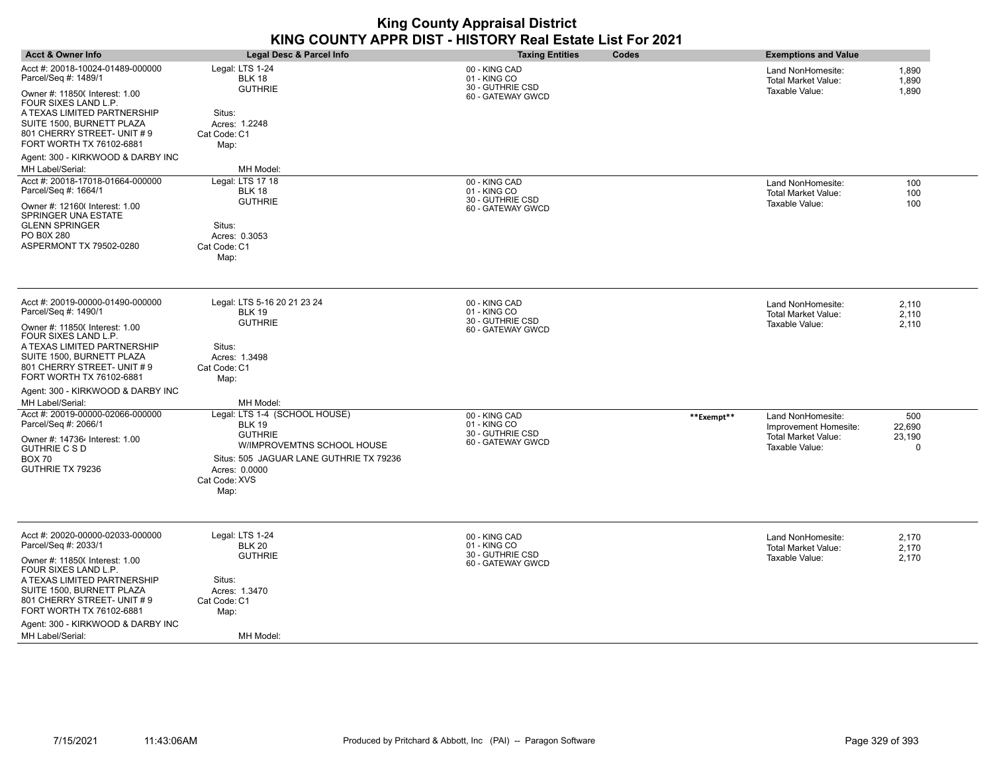| <b>Acct &amp; Owner Info</b>                                                                                                                                                 | Legal Desc & Parcel Info                                 | <b>Taxing Entities</b>                            | Codes      | <b>Exemptions and Value</b>                                |                         |
|------------------------------------------------------------------------------------------------------------------------------------------------------------------------------|----------------------------------------------------------|---------------------------------------------------|------------|------------------------------------------------------------|-------------------------|
| Acct #: 20018-10024-01489-000000<br>Parcel/Seq #: 1489/1                                                                                                                     | Legal: LTS 1-24<br><b>BLK 18</b><br><b>GUTHRIE</b>       | 00 - KING CAD<br>01 - KING CO<br>30 - GUTHRIE CSD |            | Land NonHomesite:<br>Total Market Value:<br>Taxable Value: | 1,890<br>1,890<br>1,890 |
| Owner #: 11850( Interest: 1.00<br>FOUR SIXES LAND L.P.<br>A TEXAS LIMITED PARTNERSHIP<br>SUITE 1500, BURNETT PLAZA<br>801 CHERRY STREET- UNIT #9<br>FORT WORTH TX 76102-6881 | Situs:<br>Acres: 1.2248<br>Cat Code: C1<br>Map:          | 60 - GATEWAY GWCD                                 |            |                                                            |                         |
| Agent: 300 - KIRKWOOD & DARBY INC                                                                                                                                            |                                                          |                                                   |            |                                                            |                         |
| MH Label/Serial:                                                                                                                                                             | MH Model:                                                |                                                   |            |                                                            |                         |
| Acct #: 20018-17018-01664-000000<br>Parcel/Seq #: 1664/1                                                                                                                     | Legal: LTS 17 18<br><b>BLK 18</b>                        | 00 - KING CAD<br>01 - KING CO                     |            | Land NonHomesite:<br><b>Total Market Value:</b>            | 100<br>100              |
| Owner #: 12160( Interest: 1.00<br>SPRINGER UNA ESTATE                                                                                                                        | <b>GUTHRIE</b>                                           | 30 - GUTHRIE CSD<br>60 - GATEWAY GWCD             |            | Taxable Value:                                             | 100                     |
| <b>GLENN SPRINGER</b>                                                                                                                                                        | Situs:                                                   |                                                   |            |                                                            |                         |
| PO B0X 280<br>ASPERMONT TX 79502-0280                                                                                                                                        | Acres: 0.3053<br>Cat Code: C1                            |                                                   |            |                                                            |                         |
|                                                                                                                                                                              | Map:                                                     |                                                   |            |                                                            |                         |
| Acct #: 20019-00000-01490-000000                                                                                                                                             | Legal: LTS 5-16 20 21 23 24                              | 00 - KING CAD                                     |            | Land NonHomesite:                                          | 2,110                   |
| Parcel/Seq #: 1490/1                                                                                                                                                         | <b>BLK 19</b><br><b>GUTHRIE</b>                          | 01 - KING CO<br>30 - GUTHRIE CSD                  |            | Total Market Value:<br>Taxable Value:                      | 2,110<br>2,110          |
| Owner #: 11850( Interest: 1.00<br>FOUR SIXES LAND L.P.                                                                                                                       |                                                          | 60 - GATEWAY GWCD                                 |            |                                                            |                         |
| A TEXAS LIMITED PARTNERSHIP                                                                                                                                                  | Situs:                                                   |                                                   |            |                                                            |                         |
| SUITE 1500, BURNETT PLAZA                                                                                                                                                    | Acres: 1.3498                                            |                                                   |            |                                                            |                         |
| 801 CHERRY STREET- UNIT # 9<br>FORT WORTH TX 76102-6881                                                                                                                      | Cat Code: C1<br>Map:                                     |                                                   |            |                                                            |                         |
| Agent: 300 - KIRKWOOD & DARBY INC                                                                                                                                            |                                                          |                                                   |            |                                                            |                         |
| MH Label/Serial:                                                                                                                                                             | MH Model:                                                |                                                   |            |                                                            |                         |
| Acct #: 20019-00000-02066-000000                                                                                                                                             | Legal: LTS 1-4 (SCHOOL HOUSE)                            | 00 - KING CAD                                     | **Exempt** | Land NonHomesite:                                          | 500                     |
| Parcel/Seq #: 2066/1                                                                                                                                                         | <b>BLK 19</b>                                            | 01 - KING CO                                      |            | Improvement Homesite:                                      | 22,690                  |
| Owner #: 147364 Interest: 1.00                                                                                                                                               | <b>GUTHRIE</b>                                           | 30 - GUTHRIE CSD<br>60 - GATEWAY GWCD             |            | Total Market Value:                                        | 23,190                  |
| <b>GUTHRIE C S D</b>                                                                                                                                                         | W/IMPROVEMTNS SCHOOL HOUSE                               |                                                   |            | Taxable Value:                                             | 0                       |
| <b>BOX 70</b><br>GUTHRIE TX 79236                                                                                                                                            | Situs: 505 JAGUAR LANE GUTHRIE TX 79236<br>Acres: 0.0000 |                                                   |            |                                                            |                         |
|                                                                                                                                                                              | Cat Code: XVS                                            |                                                   |            |                                                            |                         |
|                                                                                                                                                                              | Map:                                                     |                                                   |            |                                                            |                         |
| Acct #: 20020-00000-02033-000000                                                                                                                                             | Legal: LTS 1-24                                          | 00 - KING CAD                                     |            | Land NonHomesite:                                          | 2,170                   |
| Parcel/Seq #: 2033/1                                                                                                                                                         | <b>BLK 20</b>                                            | 01 - KING CO<br>30 - GUTHRIE CSD                  |            | Total Market Value:                                        | 2,170                   |
| Owner #: 11850( Interest: 1.00<br>FOUR SIXES LAND L.P.                                                                                                                       | <b>GUTHRIE</b>                                           | 60 - GATEWAY GWCD                                 |            | Taxable Value:                                             | 2,170                   |
| A TEXAS LIMITED PARTNERSHIP                                                                                                                                                  | Situs:                                                   |                                                   |            |                                                            |                         |
| SUITE 1500, BURNETT PLAZA                                                                                                                                                    | Acres: 1.3470                                            |                                                   |            |                                                            |                         |
| 801 CHERRY STREET- UNIT #9<br>FORT WORTH TX 76102-6881                                                                                                                       | Cat Code: C1                                             |                                                   |            |                                                            |                         |
| Agent: 300 - KIRKWOOD & DARBY INC                                                                                                                                            | Map:                                                     |                                                   |            |                                                            |                         |
| MH Label/Serial:                                                                                                                                                             | MH Model:                                                |                                                   |            |                                                            |                         |
|                                                                                                                                                                              |                                                          |                                                   |            |                                                            |                         |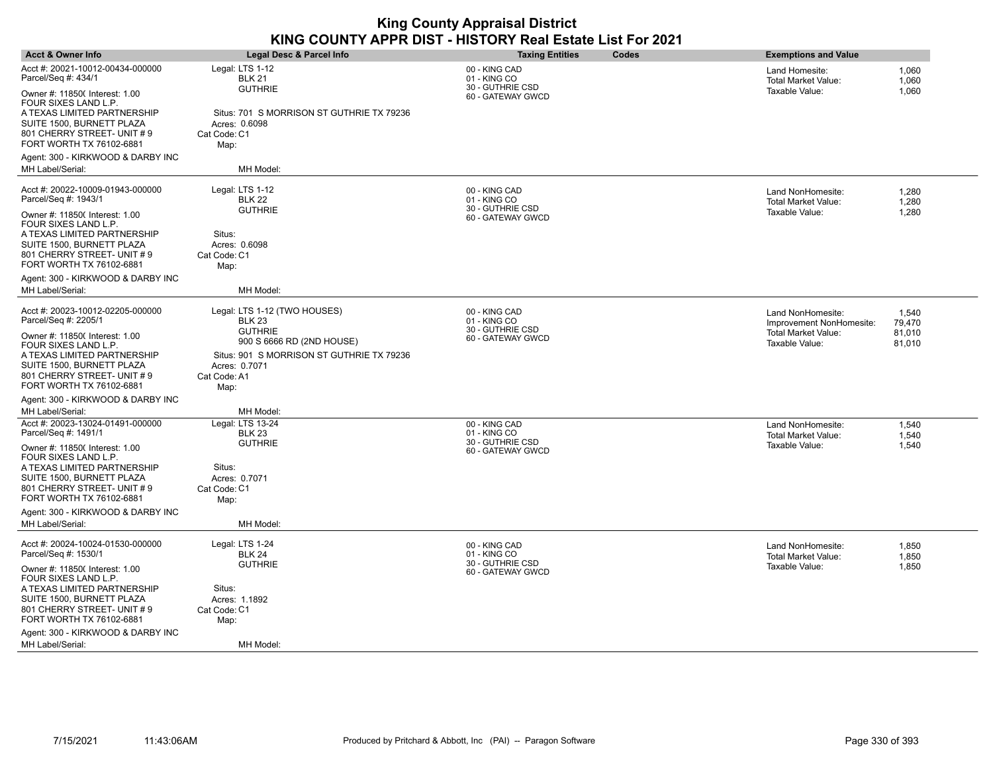| <b>Acct &amp; Owner Info</b>                                                            | <b>Legal Desc &amp; Parcel Info</b>                                        | <b>Taxing Entities</b>                | Codes | <b>Exemptions and Value</b>                   |                  |
|-----------------------------------------------------------------------------------------|----------------------------------------------------------------------------|---------------------------------------|-------|-----------------------------------------------|------------------|
| Acct #: 20021-10012-00434-000000<br>Parcel/Seq #: 434/1                                 | Legal: LTS 1-12<br><b>BLK 21</b>                                           | 00 - KING CAD<br>01 - KING CO         |       | Land Homesite:<br>Total Market Value:         | 1,060<br>1,060   |
| Owner #: 11850( Interest: 1.00<br>FOUR SIXES LAND L.P.                                  | <b>GUTHRIE</b>                                                             | 30 - GUTHRIE CSD<br>60 - GATEWAY GWCD |       | Taxable Value:                                | 1,060            |
| A TEXAS LIMITED PARTNERSHIP<br>SUITE 1500, BURNETT PLAZA<br>801 CHERRY STREET- UNIT # 9 | Situs: 701 S MORRISON ST GUTHRIE TX 79236<br>Acres: 0.6098<br>Cat Code: C1 |                                       |       |                                               |                  |
| FORT WORTH TX 76102-6881<br>Agent: 300 - KIRKWOOD & DARBY INC                           | Map:                                                                       |                                       |       |                                               |                  |
| MH Label/Serial:                                                                        | MH Model:                                                                  |                                       |       |                                               |                  |
| Acct #: 20022-10009-01943-000000                                                        | Legal: LTS 1-12                                                            | 00 - KING CAD                         |       | Land NonHomesite:                             | 1,280            |
| Parcel/Seq #: 1943/1                                                                    | <b>BLK 22</b>                                                              | 01 - KING CO                          |       | <b>Total Market Value:</b>                    | 1,280            |
| Owner #: 11850( Interest: 1.00<br>FOUR SIXES LAND L.P.                                  | <b>GUTHRIE</b>                                                             | 30 - GUTHRIE CSD<br>60 - GATEWAY GWCD |       | Taxable Value:                                | 1,280            |
| A TEXAS LIMITED PARTNERSHIP                                                             | Situs:                                                                     |                                       |       |                                               |                  |
| SUITE 1500, BURNETT PLAZA                                                               | Acres: 0.6098                                                              |                                       |       |                                               |                  |
| 801 CHERRY STREET- UNIT # 9<br>FORT WORTH TX 76102-6881                                 | Cat Code: C1                                                               |                                       |       |                                               |                  |
| Agent: 300 - KIRKWOOD & DARBY INC                                                       | Map:                                                                       |                                       |       |                                               |                  |
| MH Label/Serial:                                                                        | MH Model:                                                                  |                                       |       |                                               |                  |
|                                                                                         |                                                                            |                                       |       |                                               |                  |
| Acct #: 20023-10012-02205-000000<br>Parcel/Seq #: 2205/1                                | Legal: LTS 1-12 (TWO HOUSES)<br><b>BLK 23</b>                              | 00 - KING CAD<br>01 - KING CO         |       | Land NonHomesite:<br>Improvement NonHomesite: | 1,540<br>79,470  |
| Owner #: 11850( Interest: 1.00<br>FOUR SIXES LAND L.P.                                  | <b>GUTHRIE</b><br>900 S 6666 RD (2ND HOUSE)                                | 30 - GUTHRIE CSD<br>60 - GATEWAY GWCD |       | <b>Total Market Value:</b><br>Taxable Value:  | 81,010<br>81,010 |
| A TEXAS LIMITED PARTNERSHIP                                                             | Situs: 901 S MORRISON ST GUTHRIE TX 79236                                  |                                       |       |                                               |                  |
| SUITE 1500, BURNETT PLAZA                                                               | Acres: 0.7071                                                              |                                       |       |                                               |                  |
| 801 CHERRY STREET- UNIT # 9<br>FORT WORTH TX 76102-6881                                 | Cat Code: A1                                                               |                                       |       |                                               |                  |
| Agent: 300 - KIRKWOOD & DARBY INC                                                       | Map:                                                                       |                                       |       |                                               |                  |
| MH Label/Serial:                                                                        | MH Model:                                                                  |                                       |       |                                               |                  |
| Acct #: 20023-13024-01491-000000                                                        | Legal: LTS 13-24                                                           | 00 - KING CAD                         |       | Land NonHomesite:                             | 1,540            |
| Parcel/Seq #: 1491/1                                                                    | <b>BLK 23</b>                                                              | 01 - KING CO                          |       | <b>Total Market Value:</b>                    | 1,540            |
| Owner #: 11850( Interest: 1.00                                                          | <b>GUTHRIE</b>                                                             | 30 - GUTHRIE CSD<br>60 - GATEWAY GWCD |       | Taxable Value:                                | 1,540            |
| FOUR SIXES LAND L.P.<br>A TEXAS LIMITED PARTNERSHIP                                     | Situs:                                                                     |                                       |       |                                               |                  |
| SUITE 1500, BURNETT PLAZA                                                               | Acres: 0.7071                                                              |                                       |       |                                               |                  |
| 801 CHERRY STREET- UNIT # 9                                                             | Cat Code: C1                                                               |                                       |       |                                               |                  |
| FORT WORTH TX 76102-6881                                                                | Map:                                                                       |                                       |       |                                               |                  |
| Agent: 300 - KIRKWOOD & DARBY INC                                                       |                                                                            |                                       |       |                                               |                  |
| MH Label/Serial:                                                                        | MH Model:                                                                  |                                       |       |                                               |                  |
| Acct #: 20024-10024-01530-000000                                                        | Legal: LTS 1-24                                                            | 00 - KING CAD                         |       | Land NonHomesite:                             | 1.850            |
| Parcel/Seq #: 1530/1                                                                    | <b>BLK 24</b>                                                              | 01 - KING CO                          |       | <b>Total Market Value:</b>                    | 1,850            |
| Owner #: 11850( Interest: 1.00<br>FOUR SIXES LAND L.P.                                  | <b>GUTHRIE</b>                                                             | 30 - GUTHRIE CSD<br>60 - GATEWAY GWCD |       | Taxable Value:                                | 1,850            |
| A TEXAS LIMITED PARTNERSHIP                                                             | Situs:                                                                     |                                       |       |                                               |                  |
| SUITE 1500, BURNETT PLAZA                                                               | Acres: 1.1892                                                              |                                       |       |                                               |                  |
| 801 CHERRY STREET- UNIT # 9<br>FORT WORTH TX 76102-6881                                 | Cat Code: C1                                                               |                                       |       |                                               |                  |
| Agent: 300 - KIRKWOOD & DARBY INC                                                       | Map:                                                                       |                                       |       |                                               |                  |
| MH Label/Serial:                                                                        | MH Model:                                                                  |                                       |       |                                               |                  |
|                                                                                         |                                                                            |                                       |       |                                               |                  |

 $\overline{\phantom{a}}$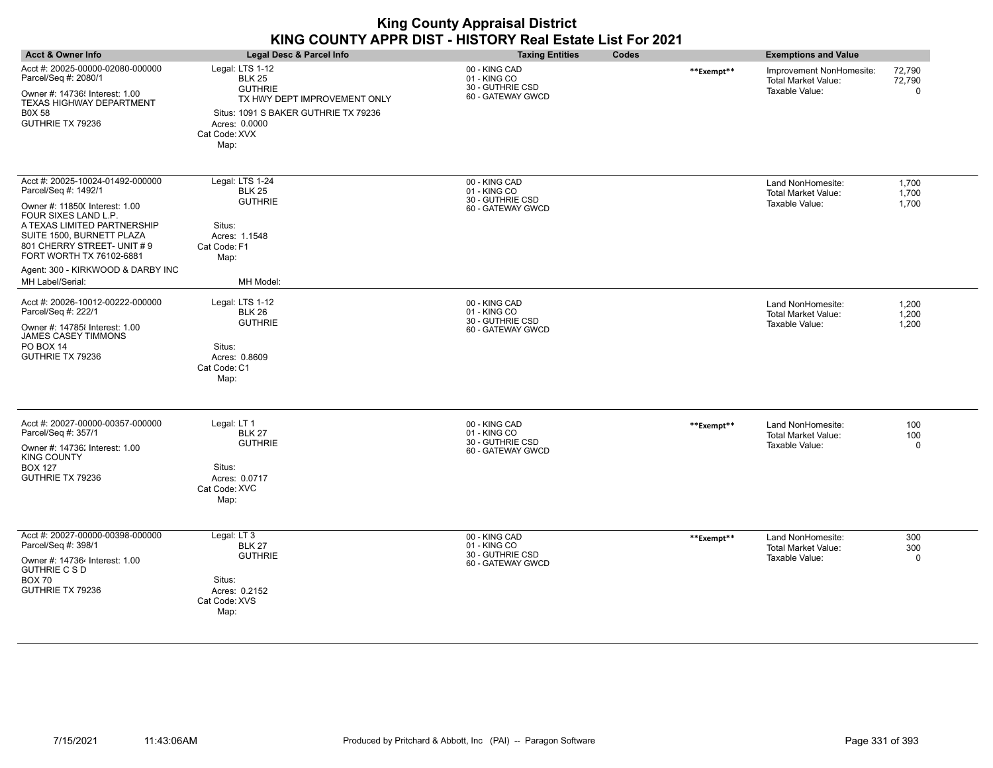| <b>Acct &amp; Owner Info</b>                                                                                                                                                                                                                                                                      | <b>Legal Desc &amp; Parcel Info</b>                                                                                                                                  | <b>Taxing Entities</b>                                                 | Codes      | <b>Exemptions and Value</b>                                              |                         |
|---------------------------------------------------------------------------------------------------------------------------------------------------------------------------------------------------------------------------------------------------------------------------------------------------|----------------------------------------------------------------------------------------------------------------------------------------------------------------------|------------------------------------------------------------------------|------------|--------------------------------------------------------------------------|-------------------------|
| Acct #: 20025-00000-02080-000000<br>Parcel/Seq #: 2080/1<br>Owner #: 14736! Interest: 1.00<br>TEXAS HIGHWAY DEPARTMENT<br><b>B0X 58</b><br>GUTHRIE TX 79236                                                                                                                                       | Legal: LTS 1-12<br><b>BLK 25</b><br><b>GUTHRIE</b><br>TX HWY DEPT IMPROVEMENT ONLY<br>Situs: 1091 S BAKER GUTHRIE TX 79236<br>Acres: 0.0000<br>Cat Code: XVX<br>Map: | 00 - KING CAD<br>01 - KING CO<br>30 - GUTHRIE CSD<br>60 - GATEWAY GWCD | **Exempt** | Improvement NonHomesite:<br><b>Total Market Value:</b><br>Taxable Value: | 72,790<br>72,790<br>0   |
| Acct #: 20025-10024-01492-000000<br>Parcel/Seq #: 1492/1<br>Owner #: 11850( Interest: 1.00<br>FOUR SIXES LAND L.P.<br>A TEXAS LIMITED PARTNERSHIP<br>SUITE 1500, BURNETT PLAZA<br>801 CHERRY STREET- UNIT #9<br>FORT WORTH TX 76102-6881<br>Agent: 300 - KIRKWOOD & DARBY INC<br>MH Label/Serial: | Legal: LTS 1-24<br><b>BLK 25</b><br><b>GUTHRIE</b><br>Situs:<br>Acres: 1.1548<br>Cat Code: F1<br>Map:<br>MH Model:                                                   | 00 - KING CAD<br>01 - KING CO<br>30 - GUTHRIE CSD<br>60 - GATEWAY GWCD |            | Land NonHomesite:<br><b>Total Market Value:</b><br>Taxable Value:        | 1,700<br>1,700<br>1,700 |
| Acct #: 20026-10012-00222-000000<br>Parcel/Seq #: 222/1<br>Owner #: 14785 { Interest: 1.00<br>JAMES CASEY TIMMONS<br><b>PO BOX 14</b><br>GUTHRIE TX 79236                                                                                                                                         | Legal: LTS 1-12<br><b>BLK 26</b><br><b>GUTHRIE</b><br>Situs:<br>Acres: 0.8609<br>Cat Code: C1<br>Map:                                                                | 00 - KING CAD<br>01 - KING CO<br>30 - GUTHRIE CSD<br>60 - GATEWAY GWCD |            | Land NonHomesite:<br>Total Market Value:<br>Taxable Value:               | 1,200<br>1,200<br>1,200 |
| Acct #: 20027-00000-00357-000000<br>Parcel/Seq #: 357/1<br>Owner #: 14736; Interest: 1.00<br><b>KING COUNTY</b><br><b>BOX 127</b><br>GUTHRIE TX 79236                                                                                                                                             | Legal: LT 1<br><b>BLK 27</b><br><b>GUTHRIE</b><br>Situs:<br>Acres: 0.0717<br>Cat Code: XVC<br>Map:                                                                   | 00 - KING CAD<br>01 - KING CO<br>30 - GUTHRIE CSD<br>60 - GATEWAY GWCD | **Exempt** | Land NonHomesite:<br><b>Total Market Value:</b><br>Taxable Value:        | 100<br>100<br>0         |
| Acct #: 20027-00000-00398-000000<br>Parcel/Seq #: 398/1<br>Owner #: 147364 Interest: 1.00<br><b>GUTHRIE C S D</b><br><b>BOX 70</b><br>GUTHRIE TX 79236                                                                                                                                            | Legal: LT 3<br><b>BLK 27</b><br><b>GUTHRIE</b><br>Situs:<br>Acres: 0.2152<br>Cat Code: XVS<br>Map:                                                                   | 00 - KING CAD<br>01 - KING CO<br>30 - GUTHRIE CSD<br>60 - GATEWAY GWCD | **Exempt** | Land NonHomesite:<br><b>Total Market Value:</b><br>Taxable Value:        | 300<br>300<br>0         |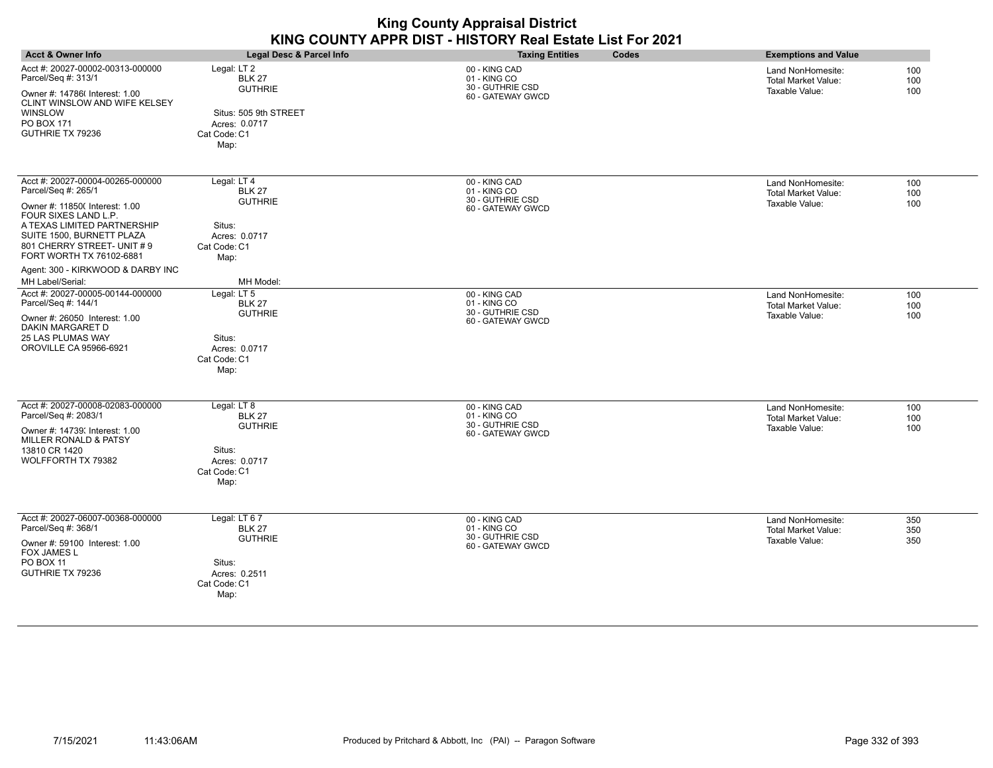| KING COUNTY APPR DIST - HISTORY Real Estate List For 2021                                                                                                                                                   |                                                                                                    |                                                                        |                                                                                        |  |  |  |  |
|-------------------------------------------------------------------------------------------------------------------------------------------------------------------------------------------------------------|----------------------------------------------------------------------------------------------------|------------------------------------------------------------------------|----------------------------------------------------------------------------------------|--|--|--|--|
| <b>Acct &amp; Owner Info</b>                                                                                                                                                                                | <b>Legal Desc &amp; Parcel Info</b>                                                                | <b>Taxing Entities</b><br>Codes                                        | <b>Exemptions and Value</b>                                                            |  |  |  |  |
| Acct #: 20027-00002-00313-000000<br>Parcel/Seq #: 313/1                                                                                                                                                     | Legal: LT 2<br><b>BLK 27</b>                                                                       | 00 - KING CAD<br>01 - KING CO                                          | 100<br>Land NonHomesite:<br><b>Total Market Value:</b><br>100                          |  |  |  |  |
| Owner #: 14786(Interest: 1.00<br>CLINT WINSLOW AND WIFE KELSEY<br>WINSLOW<br>PO BOX 171<br>GUTHRIE TX 79236                                                                                                 | <b>GUTHRIE</b><br>Situs: 505 9th STREET<br>Acres: 0.0717<br>Cat Code: C1<br>Map:                   | 30 - GUTHRIE CSD<br>60 - GATEWAY GWCD                                  | Taxable Value:<br>100                                                                  |  |  |  |  |
| Acct #: 20027-00004-00265-000000<br>Parcel/Seq #: 265/1<br>Owner #: 11850( Interest: 1.00<br>FOUR SIXES LAND L.P.<br>A TEXAS LIMITED PARTNERSHIP<br>SUITE 1500, BURNETT PLAZA<br>801 CHERRY STREET- UNIT #9 | Legal: LT 4<br><b>BLK 27</b><br><b>GUTHRIE</b><br>Situs:<br>Acres: 0.0717<br>Cat Code: C1          | 00 - KING CAD<br>01 - KING CO<br>30 - GUTHRIE CSD<br>60 - GATEWAY GWCD | Land NonHomesite:<br>100<br><b>Total Market Value:</b><br>100<br>Taxable Value:<br>100 |  |  |  |  |
| FORT WORTH TX 76102-6881<br>Agent: 300 - KIRKWOOD & DARBY INC<br>MH Label/Serial:                                                                                                                           | Map:<br>MH Model:                                                                                  |                                                                        |                                                                                        |  |  |  |  |
| Acct #: 20027-00005-00144-000000<br>Parcel/Seq #: 144/1<br>Owner #: 26050 Interest: 1.00<br>DAKIN MARGARET D<br>25 LAS PLUMAS WAY<br>OROVILLE CA 95966-6921                                                 | Legal: LT 5<br><b>BLK 27</b><br><b>GUTHRIE</b><br>Situs:<br>Acres: 0.0717<br>Cat Code: C1<br>Map:  | 00 - KING CAD<br>01 - KING CO<br>30 - GUTHRIE CSD<br>60 - GATEWAY GWCD | Land NonHomesite:<br>100<br><b>Total Market Value:</b><br>100<br>Taxable Value:<br>100 |  |  |  |  |
| Acct #: 20027-00008-02083-000000<br>Parcel/Seq #: 2083/1<br>Owner #: 14739; Interest: 1.00<br>MILLER RONALD & PATSY<br>13810 CR 1420<br>WOLFFORTH TX 79382                                                  | Legal: LT 8<br><b>BLK 27</b><br><b>GUTHRIE</b><br>Situs:<br>Acres: 0.0717<br>Cat Code: C1<br>Map:  | 00 - KING CAD<br>01 - KING CO<br>30 - GUTHRIE CSD<br>60 - GATEWAY GWCD | Land NonHomesite:<br>100<br><b>Total Market Value:</b><br>100<br>Taxable Value:<br>100 |  |  |  |  |
| Acct #: 20027-06007-00368-000000<br>Parcel/Seq #: 368/1<br>Owner #: 59100 Interest: 1.00<br>FOX JAMES L<br>PO BOX 11<br>GUTHRIE TX 79236                                                                    | Legal: LT 67<br><b>BLK 27</b><br><b>GUTHRIE</b><br>Situs:<br>Acres: 0.2511<br>Cat Code: C1<br>Map: | 00 - KING CAD<br>01 - KING CO<br>30 - GUTHRIE CSD<br>60 - GATEWAY GWCD | Land NonHomesite:<br>350<br><b>Total Market Value:</b><br>350<br>Taxable Value:<br>350 |  |  |  |  |

**King County Appraisal District**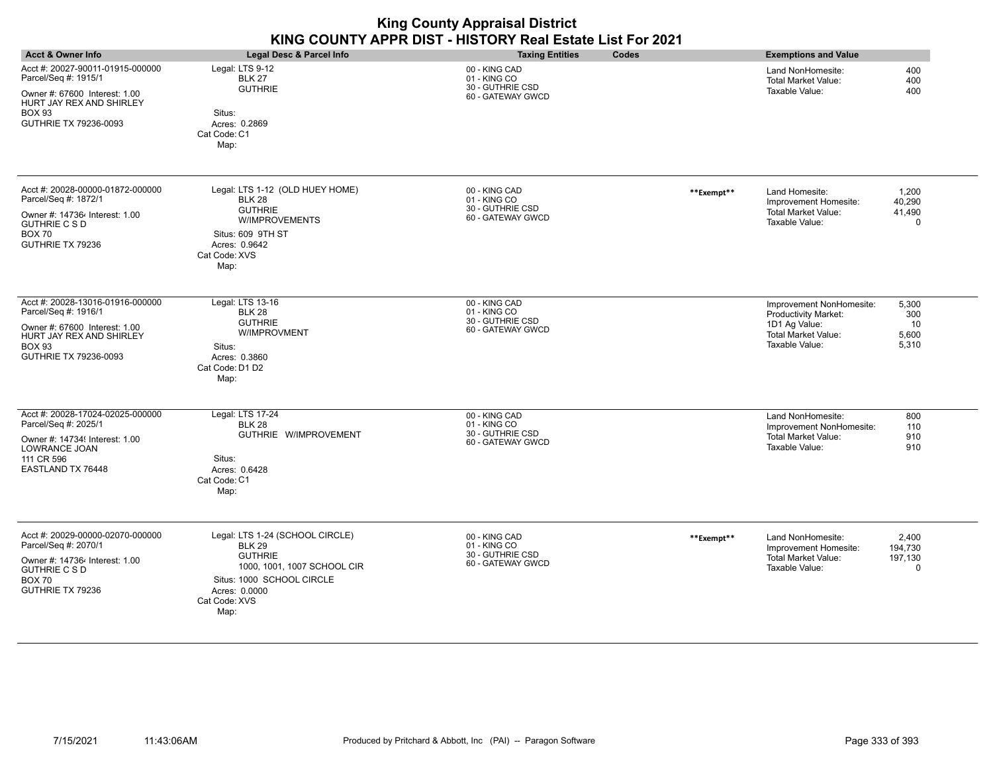| <b>King County Appraisal District</b><br>KING COUNTY APPR DIST - HISTORY Real Estate List For 2021                                                              |                                                                                                                                                                          |                                                                        |              |                                                                                                                   |                                          |  |
|-----------------------------------------------------------------------------------------------------------------------------------------------------------------|--------------------------------------------------------------------------------------------------------------------------------------------------------------------------|------------------------------------------------------------------------|--------------|-------------------------------------------------------------------------------------------------------------------|------------------------------------------|--|
| <b>Acct &amp; Owner Info</b>                                                                                                                                    | <b>Legal Desc &amp; Parcel Info</b>                                                                                                                                      | <b>Taxing Entities</b>                                                 | <b>Codes</b> | <b>Exemptions and Value</b>                                                                                       |                                          |  |
| Acct #: 20027-90011-01915-000000<br>Parcel/Seq #: 1915/1<br>Owner #: 67600 Interest: 1.00<br>HURT JAY REX AND SHIRLEY<br><b>BOX 93</b><br>GUTHRIE TX 79236-0093 | Legal: LTS 9-12<br><b>BLK 27</b><br><b>GUTHRIE</b><br>Situs:<br>Acres: 0.2869<br>Cat Code: C1<br>Map:                                                                    | 00 - KING CAD<br>01 - KING CO<br>30 - GUTHRIE CSD<br>60 - GATEWAY GWCD |              | Land NonHomesite:<br><b>Total Market Value:</b><br>Taxable Value:                                                 | 400<br>400<br>400                        |  |
| Acct #: 20028-00000-01872-000000<br>Parcel/Seq #: 1872/1<br>Owner #: 147364 Interest: 1.00<br><b>GUTHRIE C S D</b><br><b>BOX 70</b><br>GUTHRIE TX 79236         | Legal: LTS 1-12 (OLD HUEY HOME)<br><b>BLK 28</b><br><b>GUTHRIE</b><br><b>W/IMPROVEMENTS</b><br>Situs: 609 9TH ST<br>Acres: 0.9642<br>Cat Code: XVS<br>Map:               | 00 - KING CAD<br>01 - KING CO<br>30 - GUTHRIE CSD<br>60 - GATEWAY GWCD | **Exempt**   | Land Homesite:<br>Improvement Homesite:<br><b>Total Market Value:</b><br>Taxable Value:                           | 1.200<br>40,290<br>41,490<br>$\mathbf 0$ |  |
| Acct #: 20028-13016-01916-000000<br>Parcel/Seq #: 1916/1<br>Owner #: 67600 Interest: 1.00<br>HURT JAY REX AND SHIRLEY<br><b>BOX 93</b><br>GUTHRIE TX 79236-0093 | Legal: LTS 13-16<br><b>BLK 28</b><br><b>GUTHRIE</b><br>W/IMPROVMENT<br>Situs:<br>Acres: 0.3860<br>Cat Code: D1 D2<br>Map:                                                | 00 - KING CAD<br>01 - KING CO<br>30 - GUTHRIE CSD<br>60 - GATEWAY GWCD |              | Improvement NonHomesite:<br>Productivity Market:<br>1D1 Ag Value:<br><b>Total Market Value:</b><br>Taxable Value: | 5,300<br>300<br>10<br>5,600<br>5,310     |  |
| Acct #: 20028-17024-02025-000000<br>Parcel/Seq #: 2025/1<br>Owner #: 14734 Interest: 1.00<br>LOWRANCE JOAN<br>111 CR 596<br>EASTLAND TX 76448                   | Legal: LTS 17-24<br><b>BLK 28</b><br>GUTHRIE W/IMPROVEMENT<br>Situs:<br>Acres: 0.6428<br>Cat Code: C1<br>Map:                                                            | 00 - KING CAD<br>01 - KING CO<br>30 - GUTHRIE CSD<br>60 - GATEWAY GWCD |              | Land NonHomesite:<br>Improvement NonHomesite:<br><b>Total Market Value:</b><br>Taxable Value:                     | 800<br>110<br>910<br>910                 |  |
| Acct #: 20029-00000-02070-000000<br>Parcel/Seq #: 2070/1<br>Owner #: 147364 Interest: 1.00<br><b>GUTHRIE C S D</b><br><b>BOX 70</b><br>GUTHRIE TX 79236         | Legal: LTS 1-24 (SCHOOL CIRCLE)<br><b>BLK 29</b><br><b>GUTHRIE</b><br>1000, 1001, 1007 SCHOOL CIR<br>Situs: 1000 SCHOOL CIRCLE<br>Acres: 0.0000<br>Cat Code: XVS<br>Map: | 00 - KING CAD<br>01 - KING CO<br>30 - GUTHRIE CSD<br>60 - GATEWAY GWCD | **Exempt**   | Land NonHomesite:<br>Improvement Homesite:<br><b>Total Market Value:</b><br>Taxable Value:                        | 2,400<br>194.730<br>197,130<br>$\Omega$  |  |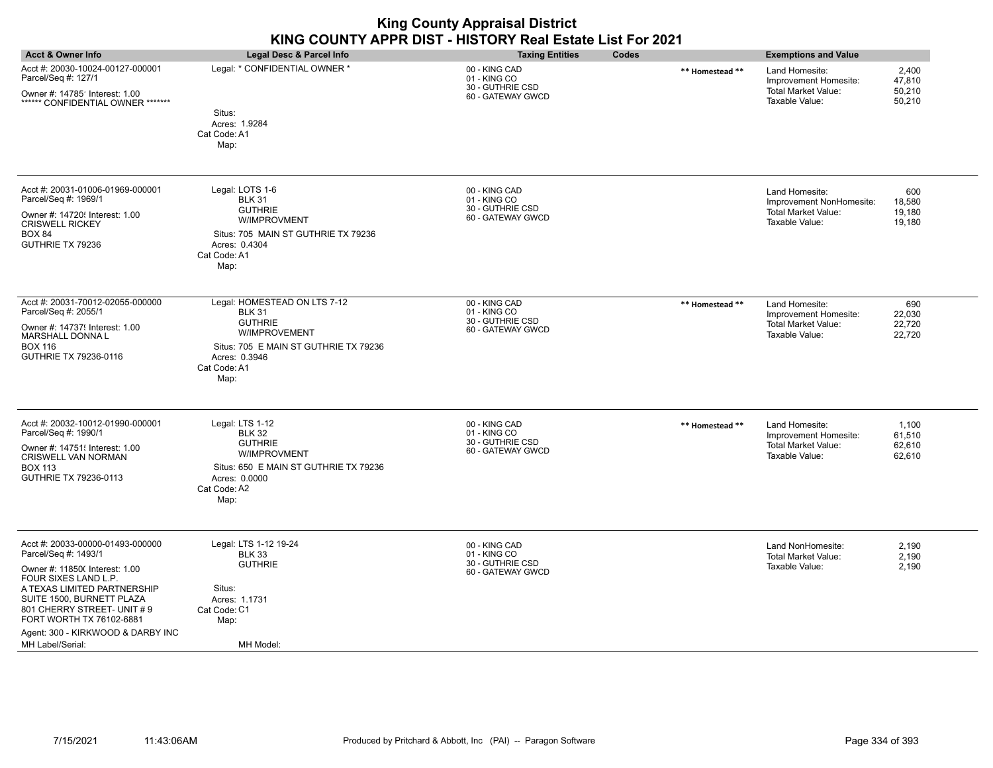| <b>Acct &amp; Owner Info</b>                                                                                                                                                                                                                                                                      | Legal Desc & Parcel Info                                                                                                                                           | <b>Taxing Entities</b><br>Codes                                        |                 | <b>Exemptions and Value</b>                                                                |                                     |
|---------------------------------------------------------------------------------------------------------------------------------------------------------------------------------------------------------------------------------------------------------------------------------------------------|--------------------------------------------------------------------------------------------------------------------------------------------------------------------|------------------------------------------------------------------------|-----------------|--------------------------------------------------------------------------------------------|-------------------------------------|
| Acct #: 20030-10024-00127-000001<br>Parcel/Seq #: 127/1<br>Owner #: 14785' Interest: 1.00<br>****** CONFIDENTIAL OWNER *******                                                                                                                                                                    | Legal: * CONFIDENTIAL OWNER *<br>Situs:<br>Acres: 1.9284<br>Cat Code: A1<br>Map:                                                                                   | 00 - KING CAD<br>01 - KING CO<br>30 - GUTHRIE CSD<br>60 - GATEWAY GWCD | ** Homestead ** | Land Homesite:<br>Improvement Homesite:<br>Total Market Value:<br>Taxable Value:           | 2,400<br>47,810<br>50,210<br>50,210 |
| Acct #: 20031-01006-01969-000001<br>Parcel/Seq #: 1969/1<br>Owner #: 14720! Interest: 1.00<br><b>CRISWELL RICKEY</b><br><b>BOX 84</b><br>GUTHRIE TX 79236                                                                                                                                         | Legal: LOTS 1-6<br><b>BLK 31</b><br><b>GUTHRIE</b><br>W/IMPROVMENT<br>Situs: 705 MAIN ST GUTHRIE TX 79236<br>Acres: 0.4304<br>Cat Code: A1<br>Map:                 | 00 - KING CAD<br>01 - KING CO<br>30 - GUTHRIE CSD<br>60 - GATEWAY GWCD |                 | Land Homesite:<br>Improvement NonHomesite:<br><b>Total Market Value:</b><br>Taxable Value: | 600<br>18,580<br>19,180<br>19,180   |
| Acct #: 20031-70012-02055-000000<br>Parcel/Seq #: 2055/1<br>Owner #: 14737! Interest: 1.00<br>MARSHALL DONNA L<br><b>BOX 116</b><br>GUTHRIE TX 79236-0116                                                                                                                                         | Legal: HOMESTEAD ON LTS 7-12<br><b>BLK 31</b><br><b>GUTHRIE</b><br>W/IMPROVEMENT<br>Situs: 705 E MAIN ST GUTHRIE TX 79236<br>Acres: 0.3946<br>Cat Code: A1<br>Map: | 00 - KING CAD<br>01 - KING CO<br>30 - GUTHRIE CSD<br>60 - GATEWAY GWCD | ** Homestead ** | Land Homesite:<br>Improvement Homesite:<br><b>Total Market Value:</b><br>Taxable Value:    | 690<br>22,030<br>22,720<br>22,720   |
| Acct #: 20032-10012-01990-000001<br>Parcel/Seq #: 1990/1<br>Owner #: 14751! Interest: 1.00<br>CRISWELL VAN NORMAN<br><b>BOX 113</b><br>GUTHRIE TX 79236-0113                                                                                                                                      | Legal: LTS 1-12<br><b>BLK 32</b><br><b>GUTHRIE</b><br>W/IMPROVMENT<br>Situs: 650 E MAIN ST GUTHRIE TX 79236<br>Acres: 0.0000<br>Cat Code: A2<br>Map:               | 00 - KING CAD<br>01 - KING CO<br>30 - GUTHRIE CSD<br>60 - GATEWAY GWCD | ** Homestead ** | Land Homesite:<br>Improvement Homesite:<br>Total Market Value:<br>Taxable Value:           | 1,100<br>61,510<br>62,610<br>62,610 |
| Acct #: 20033-00000-01493-000000<br>Parcel/Seq #: 1493/1<br>Owner #: 11850( Interest: 1.00<br>FOUR SIXES LAND L.P.<br>A TEXAS LIMITED PARTNERSHIP<br>SUITE 1500, BURNETT PLAZA<br>801 CHERRY STREET- UNIT #9<br>FORT WORTH TX 76102-6881<br>Agent: 300 - KIRKWOOD & DARBY INC<br>MH Label/Serial: | Legal: LTS 1-12 19-24<br><b>BLK 33</b><br><b>GUTHRIE</b><br>Situs:<br>Acres: 1.1731<br>Cat Code: C1<br>Map:<br>MH Model:                                           | 00 - KING CAD<br>01 - KING CO<br>30 - GUTHRIE CSD<br>60 - GATEWAY GWCD |                 | Land NonHomesite:<br><b>Total Market Value:</b><br>Taxable Value:                          | 2,190<br>2,190<br>2,190             |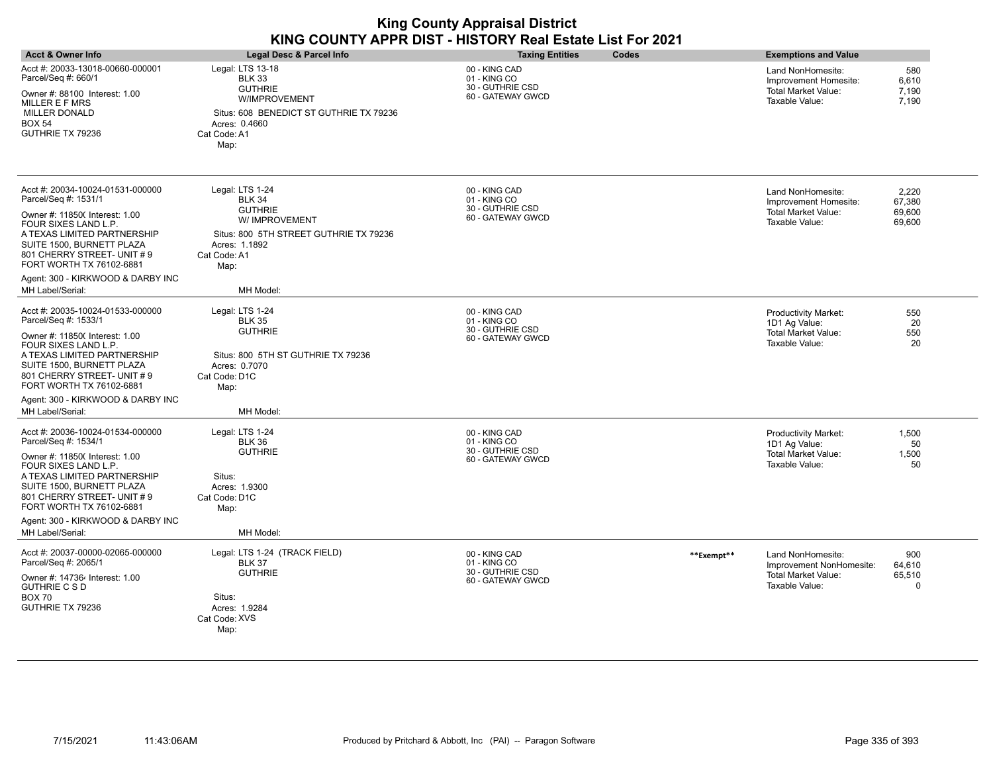| <b>Acct &amp; Owner Info</b>                                                                                                                                                                                                                                                                       | Legal Desc & Parcel Info                                                                                                                                             | <b>Taxing Entities</b><br>Codes                                        |            | <b>Exemptions and Value</b>                                                                  |                                     |
|----------------------------------------------------------------------------------------------------------------------------------------------------------------------------------------------------------------------------------------------------------------------------------------------------|----------------------------------------------------------------------------------------------------------------------------------------------------------------------|------------------------------------------------------------------------|------------|----------------------------------------------------------------------------------------------|-------------------------------------|
| Acct #: 20033-13018-00660-000001<br>Parcel/Seq #: 660/1<br>Owner #: 88100 Interest: 1.00<br>MILLER E F MRS<br><b>MILLER DONALD</b><br>BOX 54<br>GUTHRIE TX 79236                                                                                                                                   | Legal: LTS 13-18<br><b>BLK 33</b><br><b>GUTHRIE</b><br>W/IMPROVEMENT<br>Situs: 608 BENEDICT ST GUTHRIE TX 79236<br>Acres: 0.4660<br>Cat Code: A1<br>Map:             | 00 - KING CAD<br>01 - KING CO<br>30 - GUTHRIE CSD<br>60 - GATEWAY GWCD |            | Land NonHomesite:<br>Improvement Homesite:<br>Total Market Value:<br>Taxable Value:          | 580<br>6,610<br>7,190<br>7,190      |
| Acct #: 20034-10024-01531-000000<br>Parcel/Seq #: 1531/1<br>Owner #: 11850( Interest: 1.00<br>FOUR SIXES LAND L.P.<br>A TEXAS LIMITED PARTNERSHIP<br>SUITE 1500, BURNETT PLAZA<br>801 CHERRY STREET- UNIT # 9<br>FORT WORTH TX 76102-6881<br>Agent: 300 - KIRKWOOD & DARBY INC<br>MH Label/Serial: | Legal: LTS 1-24<br><b>BLK 34</b><br><b>GUTHRIE</b><br>W/ IMPROVEMENT<br>Situs: 800 5TH STREET GUTHRIE TX 79236<br>Acres: 1.1892<br>Cat Code: A1<br>Map:<br>MH Model: | 00 - KING CAD<br>01 - KING CO<br>30 - GUTHRIE CSD<br>60 - GATEWAY GWCD |            | Land NonHomesite:<br>Improvement Homesite:<br><b>Total Market Value:</b><br>Taxable Value:   | 2,220<br>67,380<br>69,600<br>69,600 |
| Acct #: 20035-10024-01533-000000<br>Parcel/Seq #: 1533/1<br>Owner #: 11850( Interest: 1.00<br>FOUR SIXES LAND L.P.<br>A TEXAS LIMITED PARTNERSHIP<br>SUITE 1500, BURNETT PLAZA<br>801 CHERRY STREET- UNIT # 9<br>FORT WORTH TX 76102-6881<br>Agent: 300 - KIRKWOOD & DARBY INC<br>MH Label/Serial: | Legal: LTS 1-24<br><b>BLK 35</b><br><b>GUTHRIE</b><br>Situs: 800 5TH ST GUTHRIE TX 79236<br>Acres: 0.7070<br>Cat Code: D1C<br>Map:<br>MH Model:                      | 00 - KING CAD<br>01 - KING CO<br>30 - GUTHRIE CSD<br>60 - GATEWAY GWCD |            | <b>Productivity Market:</b><br>1D1 Ag Value:<br><b>Total Market Value:</b><br>Taxable Value: | 550<br>20<br>550<br>20              |
| Acct #: 20036-10024-01534-000000<br>Parcel/Seq #: 1534/1<br>Owner #: 11850( Interest: 1.00<br>FOUR SIXES LAND L.P.<br>A TEXAS LIMITED PARTNERSHIP<br>SUITE 1500, BURNETT PLAZA<br>801 CHERRY STREET- UNIT # 9<br>FORT WORTH TX 76102-6881<br>Agent: 300 - KIRKWOOD & DARBY INC                     | Legal: LTS 1-24<br><b>BLK 36</b><br><b>GUTHRIE</b><br>Situs:<br>Acres: 1.9300<br>Cat Code: D1C<br>Map:                                                               | 00 - KING CAD<br>01 - KING CO<br>30 - GUTHRIE CSD<br>60 - GATEWAY GWCD |            | <b>Productivity Market:</b><br>1D1 Ag Value:<br><b>Total Market Value:</b><br>Taxable Value: | 1,500<br>50<br>1,500<br>50          |
| MH Label/Serial:<br>Acct #: 20037-00000-02065-000000<br>Parcel/Seq #: 2065/1<br>Owner #: 147364 Interest: 1.00<br>GUTHRIE C S D<br>BOX 70<br>GUTHRIE TX 79236                                                                                                                                      | MH Model:<br>Legal: LTS 1-24 (TRACK FIELD)<br><b>BLK 37</b><br><b>GUTHRIE</b><br>Situs:<br>Acres: 1.9284<br>Cat Code: XVS<br>Map:                                    | 00 - KING CAD<br>01 - KING CO<br>30 - GUTHRIE CSD<br>60 - GATEWAY GWCD | **Exempt** | Land NonHomesite:<br>Improvement NonHomesite:<br>Total Market Value:<br>Taxable Value:       | 900<br>64,610<br>65,510<br>0        |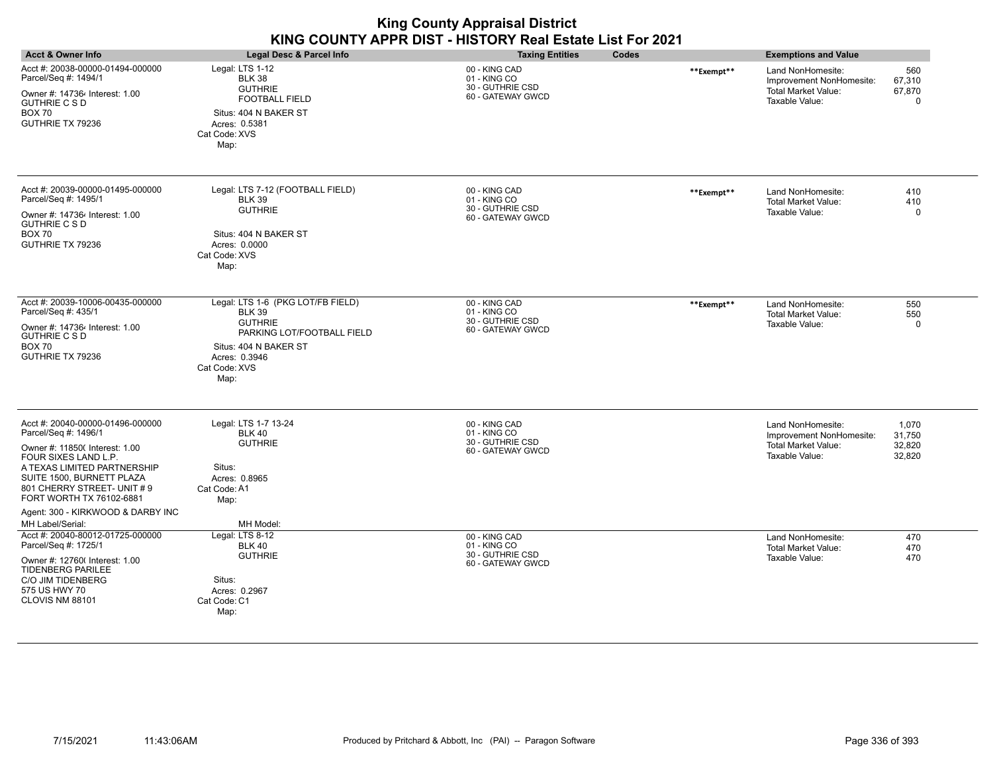| <b>King County Appraisal District</b><br>KING COUNTY APPR DIST - HISTORY Real Estate List For 2021                                                                            |                                                                                                                       |                                                                        |            |                                                                                        |                              |  |
|-------------------------------------------------------------------------------------------------------------------------------------------------------------------------------|-----------------------------------------------------------------------------------------------------------------------|------------------------------------------------------------------------|------------|----------------------------------------------------------------------------------------|------------------------------|--|
| <b>Acct &amp; Owner Info</b>                                                                                                                                                  | <b>Legal Desc &amp; Parcel Info</b>                                                                                   | Codes<br><b>Taxing Entities</b>                                        |            | <b>Exemptions and Value</b>                                                            |                              |  |
| Acct #: 20038-00000-01494-000000<br>Parcel/Seq #: 1494/1<br>Owner #: 147364 Interest: 1.00<br>GUTHRIE C S D<br>BOX 70<br>GUTHRIE TX 79236                                     | Legal: LTS 1-12<br><b>BLK 38</b><br><b>GUTHRIE</b><br><b>FOOTBALL FIELD</b><br>Situs: 404 N BAKER ST<br>Acres: 0.5381 | 00 - KING CAD<br>01 - KING CO<br>30 - GUTHRIE CSD<br>60 - GATEWAY GWCD | **Exempt** | Land NonHomesite:<br>Improvement NonHomesite:<br>Total Market Value:<br>Taxable Value: | 560<br>67,310<br>67,870<br>n |  |
|                                                                                                                                                                               | Cat Code: XVS<br>Map:                                                                                                 |                                                                        |            |                                                                                        |                              |  |
| Acct #: 20039-00000-01495-000000<br>Parcel/Seq #: 1495/1                                                                                                                      | Legal: LTS 7-12 (FOOTBALL FIELD)<br><b>BLK 39</b><br><b>GUTHRIE</b>                                                   | 00 - KING CAD<br>01 - KING CO<br>30 - GUTHRIE CSD                      | **Exempt** | Land NonHomesite:<br>Total Market Value:<br>Taxable Value:                             | 410<br>410<br>$\Omega$       |  |
| Owner #: 147364 Interest: 1.00<br>GUTHRIE C S D                                                                                                                               |                                                                                                                       | 60 - GATEWAY GWCD                                                      |            |                                                                                        |                              |  |
| <b>BOX 70</b>                                                                                                                                                                 | Situs: 404 N BAKER ST                                                                                                 |                                                                        |            |                                                                                        |                              |  |
| GUTHRIE TX 79236                                                                                                                                                              | Acres: 0.0000<br>Cat Code: XVS<br>Map:                                                                                |                                                                        |            |                                                                                        |                              |  |
| Acct #: 20039-10006-00435-000000<br>Parcel/Seq #: 435/1                                                                                                                       | Legal: LTS 1-6 (PKG LOT/FB FIELD)<br><b>BLK 39</b>                                                                    | 00 - KING CAD<br>01 - KING CO                                          | **Exempt** | Land NonHomesite:                                                                      | 550                          |  |
| Owner #: 147364 Interest: 1.00<br>GUTHRIE C S D                                                                                                                               | <b>GUTHRIE</b><br>PARKING LOT/FOOTBALL FIELD                                                                          | 30 - GUTHRIE CSD<br>60 - GATEWAY GWCD                                  |            | Total Market Value:<br>Taxable Value:                                                  | 550<br>$\Omega$              |  |
| <b>BOX 70</b><br>GUTHRIE TX 79236                                                                                                                                             | Situs: 404 N BAKER ST<br>Acres: 0.3946<br>Cat Code: XVS<br>Map:                                                       |                                                                        |            |                                                                                        |                              |  |
| Acct #: 20040-00000-01496-000000<br>Parcel/Seq #: 1496/1                                                                                                                      | Legal: LTS 1-7 13-24<br><b>BLK 40</b>                                                                                 | 00 - KING CAD<br>01 - KING CO                                          |            | Land NonHomesite:<br>Improvement NonHomesite:                                          | 1,070<br>31,750              |  |
| Owner #: 11850( Interest: 1.00<br>FOUR SIXES LAND L.P.<br>A TEXAS LIMITED PARTNERSHIP<br>SUITE 1500, BURNETT PLAZA<br>801 CHERRY STREET- UNIT # 9<br>FORT WORTH TX 76102-6881 | <b>GUTHRIE</b><br>Situs:<br>Acres: 0.8965<br>Cat Code: A1<br>Map:                                                     | 30 - GUTHRIE CSD<br>60 - GATEWAY GWCD                                  |            | Total Market Value:<br>Taxable Value:                                                  | 32,820<br>32,820             |  |
| Agent: 300 - KIRKWOOD & DARBY INC                                                                                                                                             |                                                                                                                       |                                                                        |            |                                                                                        |                              |  |
| MH Label/Serial:                                                                                                                                                              | MH Model:                                                                                                             |                                                                        |            |                                                                                        |                              |  |
| Acct #: 20040-80012-01725-000000<br>Parcel/Seq #: 1725/1                                                                                                                      | Legal: LTS 8-12<br>BLK 40<br><b>GUTHRIE</b>                                                                           | 00 - KING CAD<br>01 - KING CO<br>30 - GUTHRIE CSD                      |            | Land NonHomesite:<br>Total Market Value:                                               | 470<br>470                   |  |
| Owner #: 12760( Interest: 1.00<br>TIDENBERG PARILEE<br>C/O JIM TIDENBERG                                                                                                      | Situs:                                                                                                                | 60 - GATEWAY GWCD                                                      |            | Taxable Value:                                                                         | 470                          |  |
| 575 US HWY 70                                                                                                                                                                 | Acres: 0.2967                                                                                                         |                                                                        |            |                                                                                        |                              |  |
| CLOVIS NM 88101                                                                                                                                                               | Cat Code: C1                                                                                                          |                                                                        |            |                                                                                        |                              |  |
|                                                                                                                                                                               | Map:                                                                                                                  |                                                                        |            |                                                                                        |                              |  |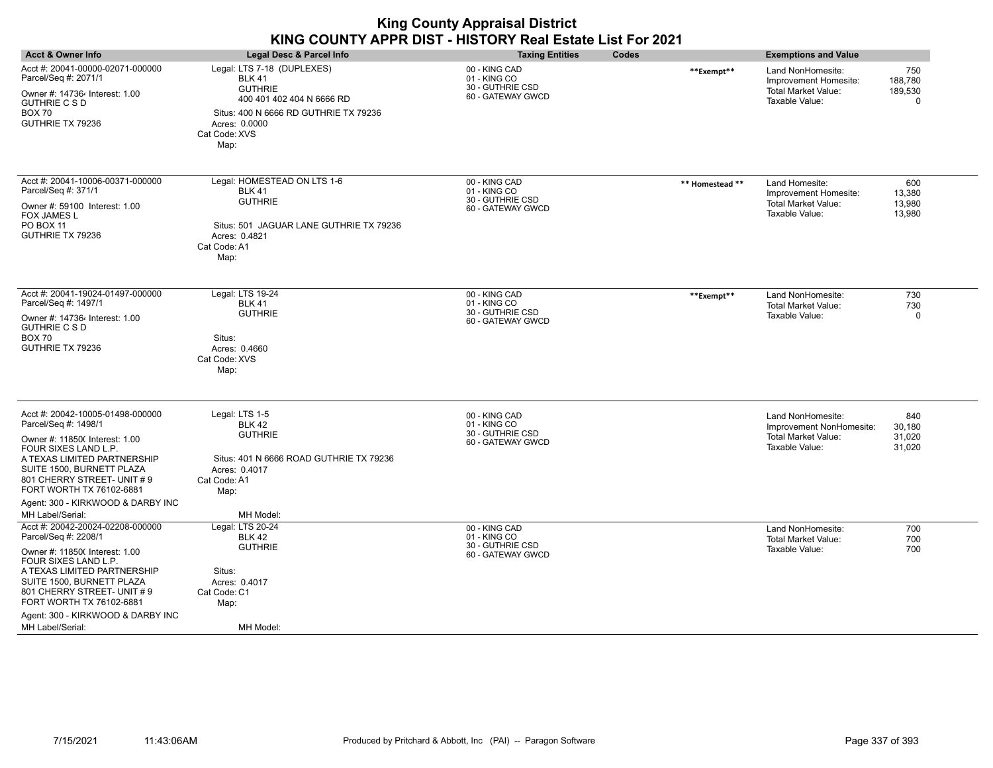| <b>Acct &amp; Owner Info</b>                                                                                                                                                                                                                                                                                          | Legal Desc & Parcel Info                                                                                                                                                      | <b>Taxing Entities</b>                                                 | Codes           | <b>Exemptions and Value</b>                                                                   |                                          |
|-----------------------------------------------------------------------------------------------------------------------------------------------------------------------------------------------------------------------------------------------------------------------------------------------------------------------|-------------------------------------------------------------------------------------------------------------------------------------------------------------------------------|------------------------------------------------------------------------|-----------------|-----------------------------------------------------------------------------------------------|------------------------------------------|
| Acct #: 20041-00000-02071-000000<br>Parcel/Seq #: 2071/1<br>Owner #: 147364 Interest: 1.00<br><b>GUTHRIE C S D</b><br><b>BOX 70</b><br>GUTHRIE TX 79236                                                                                                                                                               | Legal: LTS 7-18 (DUPLEXES)<br><b>BLK 41</b><br><b>GUTHRIE</b><br>400 401 402 404 N 6666 RD<br>Situs: 400 N 6666 RD GUTHRIE TX 79236<br>Acres: 0.0000<br>Cat Code: XVS<br>Map: | 00 - KING CAD<br>01 - KING CO<br>30 - GUTHRIE CSD<br>60 - GATEWAY GWCD | **Exempt**      | Land NonHomesite:<br>Improvement Homesite:<br><b>Total Market Value:</b><br>Taxable Value:    | 750<br>188,780<br>189,530<br>$\mathbf 0$ |
| Acct #: 20041-10006-00371-000000<br>Parcel/Seq #: 371/1<br>Owner #: 59100 Interest: 1.00<br>FOX JAMES L<br><b>PO BOX 11</b><br>GUTHRIE TX 79236                                                                                                                                                                       | Legal: HOMESTEAD ON LTS 1-6<br><b>BLK 41</b><br><b>GUTHRIE</b><br>Situs: 501 JAGUAR LANE GUTHRIE TX 79236<br>Acres: 0.4821<br>Cat Code: A1<br>Map:                            | 00 - KING CAD<br>01 - KING CO<br>30 - GUTHRIE CSD<br>60 - GATEWAY GWCD | ** Homestead ** | Land Homesite:<br>Improvement Homesite:<br><b>Total Market Value:</b><br>Taxable Value:       | 600<br>13,380<br>13,980<br>13,980        |
| Acct #: 20041-19024-01497-000000<br>Parcel/Seq #: 1497/1<br>Owner #: 147364 Interest: 1.00<br>GUTHRIE C S D<br><b>BOX 70</b><br>GUTHRIE TX 79236                                                                                                                                                                      | Legal: LTS 19-24<br><b>BLK 41</b><br><b>GUTHRIE</b><br>Situs:<br>Acres: 0.4660<br>Cat Code: XVS<br>Map:                                                                       | 00 - KING CAD<br>01 - KING CO<br>30 - GUTHRIE CSD<br>60 - GATEWAY GWCD | **Exempt**      | Land NonHomesite:<br><b>Total Market Value:</b><br>Taxable Value:                             | 730<br>730<br>$\mathbf 0$                |
| Acct #: 20042-10005-01498-000000<br>Parcel/Seq #: 1498/1<br>Owner #: 11850( Interest: 1.00<br>FOUR SIXES LAND L.P.<br>A TEXAS LIMITED PARTNERSHIP<br>SUITE 1500, BURNETT PLAZA<br>801 CHERRY STREET- UNIT #9<br>FORT WORTH TX 76102-6881<br>Agent: 300 - KIRKWOOD & DARBY INC                                         | Legal: LTS 1-5<br><b>BLK 42</b><br><b>GUTHRIE</b><br>Situs: 401 N 6666 ROAD GUTHRIE TX 79236<br>Acres: 0.4017<br>Cat Code: A1<br>Map:                                         | 00 - KING CAD<br>01 - KING CO<br>30 - GUTHRIE CSD<br>60 - GATEWAY GWCD |                 | Land NonHomesite:<br>Improvement NonHomesite:<br><b>Total Market Value:</b><br>Taxable Value: | 840<br>30,180<br>31,020<br>31,020        |
| MH Label/Serial:<br>Acct #: 20042-20024-02208-000000<br>Parcel/Seq #: 2208/1<br>Owner #: 11850( Interest: 1.00<br>FOUR SIXES LAND L.P.<br>A TEXAS LIMITED PARTNERSHIP<br>SUITE 1500, BURNETT PLAZA<br>801 CHERRY STREET- UNIT #9<br>FORT WORTH TX 76102-6881<br>Agent: 300 - KIRKWOOD & DARBY INC<br>MH Label/Serial: | MH Model:<br>Legal: LTS 20-24<br><b>BLK 42</b><br><b>GUTHRIE</b><br>Situs:<br>Acres: 0.4017<br>Cat Code: C1<br>Map:<br>MH Model:                                              | 00 - KING CAD<br>01 - KING CO<br>30 - GUTHRIE CSD<br>60 - GATEWAY GWCD |                 | Land NonHomesite:<br><b>Total Market Value:</b><br>Taxable Value:                             | 700<br>700<br>700                        |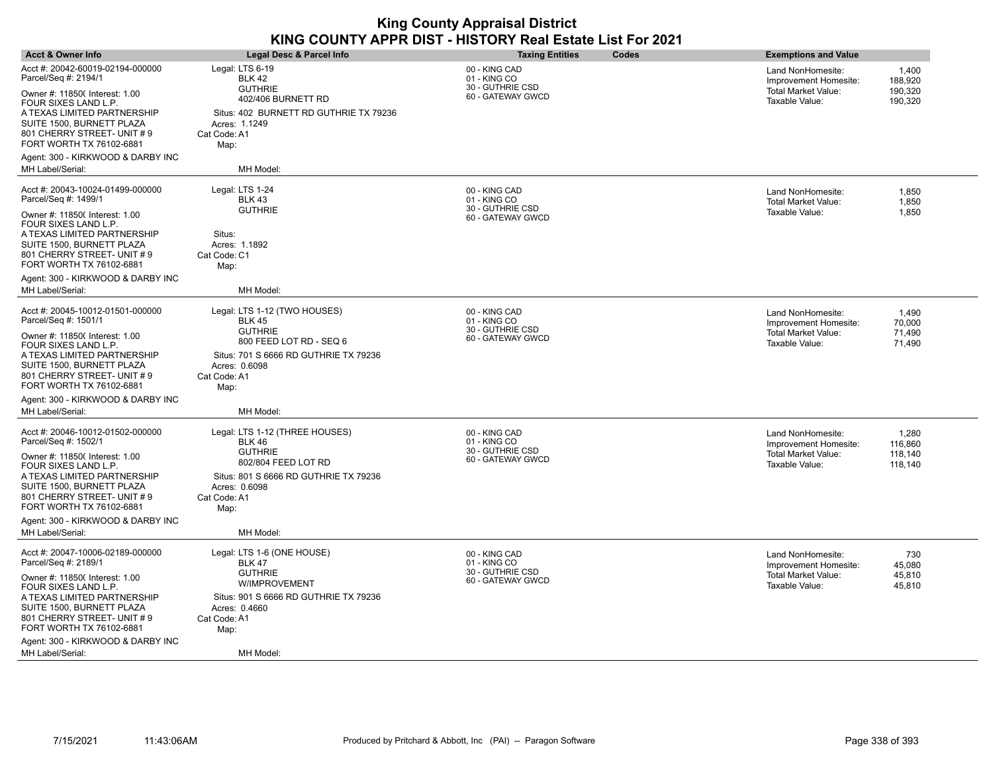| <b>Acct &amp; Owner Info</b>                                                                                                                                                                                                                                                                      | Legal Desc & Parcel Info                                                                                                                                                                  | <b>Taxing Entities</b><br>Codes                                        | <b>Exemptions and Value</b>                                                                                                          |
|---------------------------------------------------------------------------------------------------------------------------------------------------------------------------------------------------------------------------------------------------------------------------------------------------|-------------------------------------------------------------------------------------------------------------------------------------------------------------------------------------------|------------------------------------------------------------------------|--------------------------------------------------------------------------------------------------------------------------------------|
| Acct #: 20042-60019-02194-000000<br>Parcel/Seq #: 2194/1                                                                                                                                                                                                                                          | Legal: LTS 6-19<br><b>BLK 42</b>                                                                                                                                                          | 00 - KING CAD<br>01 - KING CO                                          | 1,400<br>Land NonHomesite:<br>188,920<br>Improvement Homesite:                                                                       |
| Owner #: 118500 Interest: 1.00<br>FOUR SIXES LAND L.P.<br>A TEXAS LIMITED PARTNERSHIP<br>SUITE 1500, BURNETT PLAZA<br>801 CHERRY STREET- UNIT #9<br>FORT WORTH TX 76102-6881                                                                                                                      | <b>GUTHRIE</b><br>402/406 BURNETT RD<br>Situs: 402 BURNETT RD GUTHRIE TX 79236<br>Acres: 1.1249<br>Cat Code: A1<br>Map:                                                                   | 30 - GUTHRIE CSD<br>60 - GATEWAY GWCD                                  | 190,320<br>Total Market Value:<br>190,320<br>Taxable Value:                                                                          |
| Agent: 300 - KIRKWOOD & DARBY INC<br>MH Label/Serial:                                                                                                                                                                                                                                             | MH Model:                                                                                                                                                                                 |                                                                        |                                                                                                                                      |
| Acct #: 20043-10024-01499-000000<br>Parcel/Seq #: 1499/1<br>Owner #: 11850( Interest: 1.00<br>FOUR SIXES LAND L.P.<br>A TEXAS LIMITED PARTNERSHIP<br>SUITE 1500, BURNETT PLAZA<br>801 CHERRY STREET- UNIT #9<br>FORT WORTH TX 76102-6881                                                          | Legal: LTS 1-24<br><b>BLK 43</b><br><b>GUTHRIE</b><br>Situs:<br>Acres: 1.1892<br>Cat Code: C1<br>Map:                                                                                     | 00 - KING CAD<br>01 - KING CO<br>30 - GUTHRIE CSD<br>60 - GATEWAY GWCD | Land NonHomesite:<br>1,850<br><b>Total Market Value:</b><br>1,850<br>1,850<br>Taxable Value:                                         |
| Agent: 300 - KIRKWOOD & DARBY INC<br>MH Label/Serial:                                                                                                                                                                                                                                             | MH Model:                                                                                                                                                                                 |                                                                        |                                                                                                                                      |
| Acct #: 20045-10012-01501-000000<br>Parcel/Seq #: 1501/1<br>Owner #: 11850( Interest: 1.00<br>FOUR SIXES LAND L.P.<br>A TEXAS LIMITED PARTNERSHIP<br>SUITE 1500. BURNETT PLAZA<br>801 CHERRY STREET- UNIT #9<br>FORT WORTH TX 76102-6881<br>Agent: 300 - KIRKWOOD & DARBY INC<br>MH Label/Serial: | Legal: LTS 1-12 (TWO HOUSES)<br><b>BLK 45</b><br><b>GUTHRIE</b><br>800 FEED LOT RD - SEQ 6<br>Situs: 701 S 6666 RD GUTHRIE TX 79236<br>Acres: 0.6098<br>Cat Code: A1<br>Map:<br>MH Model: | 00 - KING CAD<br>01 - KING CO<br>30 - GUTHRIE CSD<br>60 - GATEWAY GWCD | Land NonHomesite:<br>1,490<br>70,000<br>Improvement Homesite:<br><b>Total Market Value:</b><br>71,490<br>Taxable Value:<br>71,490    |
| Acct #: 20046-10012-01502-000000<br>Parcel/Seq #: 1502/1<br>Owner #: 11850( Interest: 1.00<br>FOUR SIXES LAND L.P.<br>A TEXAS LIMITED PARTNERSHIP<br>SUITE 1500, BURNETT PLAZA<br>801 CHERRY STREET- UNIT #9<br>FORT WORTH TX 76102-6881<br>Agent: 300 - KIRKWOOD & DARBY INC<br>MH Label/Serial: | Legal: LTS 1-12 (THREE HOUSES)<br><b>BLK 46</b><br><b>GUTHRIE</b><br>802/804 FEED LOT RD<br>Situs: 801 S 6666 RD GUTHRIE TX 79236<br>Acres: 0.6098<br>Cat Code: A1<br>Map:<br>MH Model:   | 00 - KING CAD<br>01 - KING CO<br>30 - GUTHRIE CSD<br>60 - GATEWAY GWCD | 1,280<br>Land NonHomesite:<br>116,860<br>Improvement Homesite:<br><b>Total Market Value:</b><br>118,140<br>Taxable Value:<br>118,140 |
| Acct #: 20047-10006-02189-000000<br>Parcel/Seq #: 2189/1<br>Owner #: 11850( Interest: 1.00<br>FOUR SIXES LAND L.P.<br>A TEXAS LIMITED PARTNERSHIP<br>SUITE 1500, BURNETT PLAZA<br>801 CHERRY STREET- UNIT #9<br>FORT WORTH TX 76102-6881<br>Agent: 300 - KIRKWOOD & DARBY INC<br>MH Label/Serial: | Legal: LTS 1-6 (ONE HOUSE)<br><b>BLK 47</b><br><b>GUTHRIE</b><br>W/IMPROVEMENT<br>Situs: 901 S 6666 RD GUTHRIE TX 79236<br>Acres: 0.4660<br>Cat Code: A1<br>Map:<br>MH Model:             | 00 - KING CAD<br>01 - KING CO<br>30 - GUTHRIE CSD<br>60 - GATEWAY GWCD | 730<br>Land NonHomesite:<br>45,080<br>Improvement Homesite:<br><b>Total Market Value:</b><br>45,810<br>Taxable Value:<br>45,810      |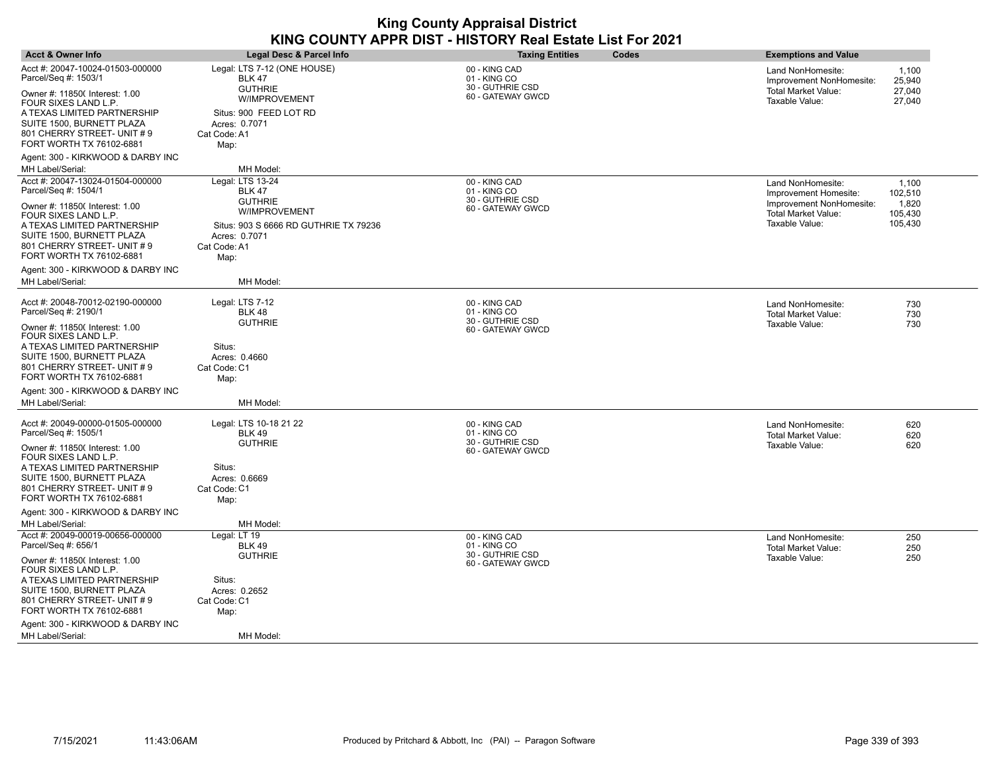| <b>Acct &amp; Owner Info</b>                                                                                                                                                                                                                                                                       | Legal Desc & Parcel Info                                                                                                                                                   | <b>Taxing Entities</b>                                                 | Codes | <b>Exemptions and Value</b>                                                                                     |                                                 |
|----------------------------------------------------------------------------------------------------------------------------------------------------------------------------------------------------------------------------------------------------------------------------------------------------|----------------------------------------------------------------------------------------------------------------------------------------------------------------------------|------------------------------------------------------------------------|-------|-----------------------------------------------------------------------------------------------------------------|-------------------------------------------------|
| Acct #: 20047-10024-01503-000000<br>Parcel/Seq #: 1503/1<br>Owner #: 11850( Interest: 1.00<br>FOUR SIXES LAND L.P.<br>A TEXAS LIMITED PARTNERSHIP<br>SUITE 1500, BURNETT PLAZA<br>801 CHERRY STREET- UNIT # 9<br>FORT WORTH TX 76102-6881                                                          | Legal: LTS 7-12 (ONE HOUSE)<br><b>BLK 47</b><br><b>GUTHRIE</b><br>W/IMPROVEMENT<br>Situs: 900 FEED LOT RD<br>Acres: 0.7071<br>Cat Code: A1<br>Map:                         | 00 - KING CAD<br>01 - KING CO<br>30 - GUTHRIE CSD<br>60 - GATEWAY GWCD |       | Land NonHomesite:<br>Improvement NonHomesite:<br>Total Market Value:<br>Taxable Value:                          | 1,100<br>25,940<br>27,040<br>27,040             |
| Agent: 300 - KIRKWOOD & DARBY INC<br>MH Label/Serial:                                                                                                                                                                                                                                              | MH Model:                                                                                                                                                                  |                                                                        |       |                                                                                                                 |                                                 |
| Acct #: 20047-13024-01504-000000<br>Parcel/Seq #: 1504/1<br>Owner #: 11850( Interest: 1.00<br>FOUR SIXES LAND L.P.<br>A TEXAS LIMITED PARTNERSHIP<br>SUITE 1500, BURNETT PLAZA<br>801 CHERRY STREET- UNIT # 9<br>FORT WORTH TX 76102-6881<br>Agent: 300 - KIRKWOOD & DARBY INC<br>MH Label/Serial: | Legal: LTS 13-24<br><b>BLK 47</b><br><b>GUTHRIE</b><br><b>W/IMPROVEMENT</b><br>Situs: 903 S 6666 RD GUTHRIE TX 79236<br>Acres: 0.7071<br>Cat Code: A1<br>Map:<br>MH Model: | 00 - KING CAD<br>01 - KING CO<br>30 - GUTHRIE CSD<br>60 - GATEWAY GWCD |       | Land NonHomesite:<br>Improvement Homesite:<br>Improvement NonHomesite:<br>Total Market Value:<br>Taxable Value: | 1,100<br>102,510<br>1,820<br>105,430<br>105,430 |
| Acct #: 20048-70012-02190-000000<br>Parcel/Seq #: 2190/1<br>Owner #: 11850( Interest: 1.00<br>FOUR SIXES LAND L.P.<br>A TEXAS LIMITED PARTNERSHIP<br>SUITE 1500, BURNETT PLAZA<br>801 CHERRY STREET- UNIT # 9<br>FORT WORTH TX 76102-6881<br>Agent: 300 - KIRKWOOD & DARBY INC<br>MH Label/Serial: | Legal: LTS 7-12<br>BLK 48<br><b>GUTHRIE</b><br>Situs:<br>Acres: 0.4660<br>Cat Code: C1<br>Map:<br>MH Model:                                                                | 00 - KING CAD<br>01 - KING CO<br>30 - GUTHRIE CSD<br>60 - GATEWAY GWCD |       | Land NonHomesite:<br>Total Market Value:<br>Taxable Value:                                                      | 730<br>730<br>730                               |
| Acct #: 20049-00000-01505-000000<br>Parcel/Seq #: 1505/1<br>Owner #: 11850( Interest: 1.00<br>FOUR SIXES LAND L.P.<br>A TEXAS LIMITED PARTNERSHIP<br>SUITE 1500, BURNETT PLAZA<br>801 CHERRY STREET- UNIT # 9<br>FORT WORTH TX 76102-6881<br>Agent: 300 - KIRKWOOD & DARBY INC<br>MH Label/Serial: | Legal: LTS 10-18 21 22<br><b>BLK 49</b><br><b>GUTHRIE</b><br>Situs:<br>Acres: 0.6669<br>Cat Code: C1<br>Map:<br>MH Model:                                                  | 00 - KING CAD<br>01 - KING CO<br>30 - GUTHRIE CSD<br>60 - GATEWAY GWCD |       | Land NonHomesite:<br><b>Total Market Value:</b><br>Taxable Value:                                               | 620<br>620<br>620                               |
| Acct #: 20049-00019-00656-000000<br>Parcel/Seq #: 656/1<br>Owner #: 11850( Interest: 1.00<br>FOUR SIXES LAND L.P.<br>A TEXAS LIMITED PARTNERSHIP<br>SUITE 1500, BURNETT PLAZA<br>801 CHERRY STREET- UNIT # 9<br>FORT WORTH TX 76102-6881<br>Agent: 300 - KIRKWOOD & DARBY INC<br>MH Label/Serial:  | Legal: LT 19<br><b>BLK 49</b><br><b>GUTHRIE</b><br>Situs:<br>Acres: 0.2652<br>Cat Code: C1<br>Map:<br>MH Model:                                                            | 00 - KING CAD<br>01 - KING CO<br>30 - GUTHRIE CSD<br>60 - GATEWAY GWCD |       | Land NonHomesite:<br><b>Total Market Value:</b><br>Taxable Value:                                               | 250<br>250<br>250                               |

 $\overline{\phantom{a}}$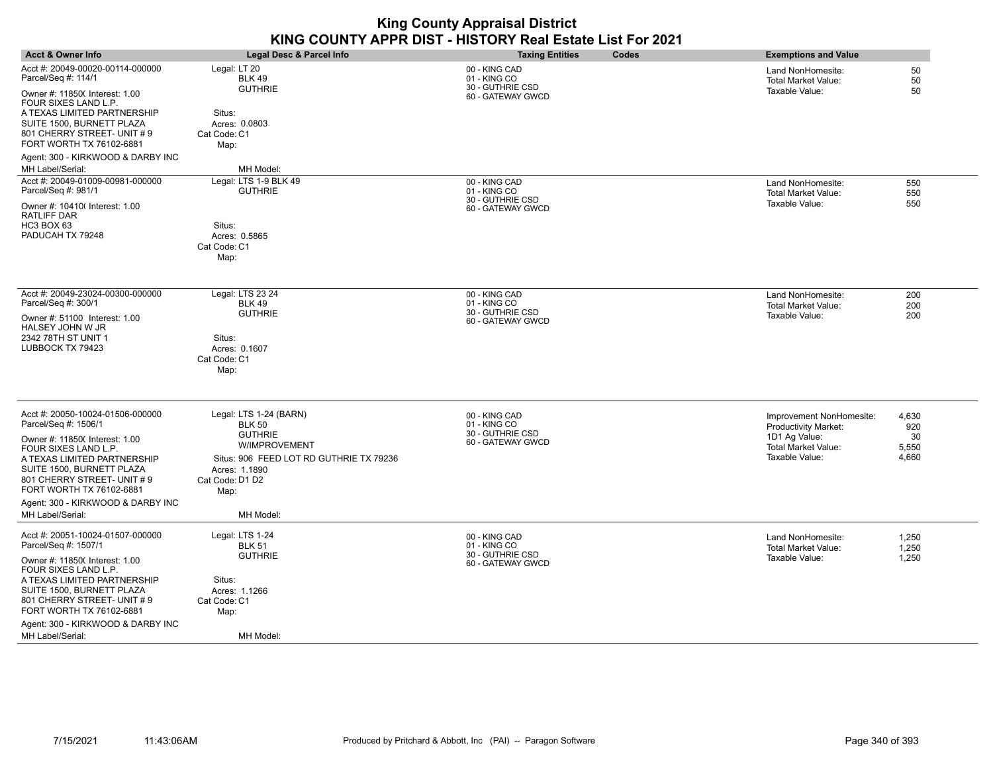| <b>Acct &amp; Owner Info</b>                                                                                                                                                  | <b>Legal Desc &amp; Parcel Info</b>                               | Codes<br><b>Taxing Entities</b>                       | <b>Exemptions and Value</b>                                   |
|-------------------------------------------------------------------------------------------------------------------------------------------------------------------------------|-------------------------------------------------------------------|-------------------------------------------------------|---------------------------------------------------------------|
| Acct #: 20049-00020-00114-000000<br>Parcel/Seq #: 114/1                                                                                                                       | Legal: LT 20<br><b>BLK 49</b>                                     | 00 - KING CAD<br>01 - KING CO                         | Land NonHomesite:<br>50<br>50<br>Total Market Value:          |
| Owner #: 11850( Interest: 1.00<br>FOUR SIXES LAND L.P.<br>A TEXAS LIMITED PARTNERSHIP<br>SUITE 1500, BURNETT PLAZA<br>801 CHERRY STREET- UNIT # 9<br>FORT WORTH TX 76102-6881 | <b>GUTHRIE</b><br>Situs:<br>Acres: 0.0803<br>Cat Code: C1<br>Map: | 30 - GUTHRIE CSD<br>60 - GATEWAY GWCD                 | Taxable Value:<br>50                                          |
| Agent: 300 - KIRKWOOD & DARBY INC                                                                                                                                             |                                                                   |                                                       |                                                               |
| MH Label/Serial:                                                                                                                                                              | MH Model:                                                         |                                                       |                                                               |
| Acct #: 20049-01009-00981-000000<br>Parcel/Seq #: 981/1                                                                                                                       | Legal: LTS 1-9 BLK 49<br><b>GUTHRIE</b>                           | 00 - KING CAD<br>01 - KING CO                         | Land NonHomesite:<br>550<br><b>Total Market Value:</b><br>550 |
| Owner #: 10410( Interest: 1.00<br>RATLIFF DAR<br>HC3 BOX 63<br>PADUCAH TX 79248                                                                                               | Situs:<br>Acres: 0.5865<br>Cat Code: C1<br>Map:                   | 30 - GUTHRIE CSD<br>60 - GATEWAY GWCD                 | Taxable Value:<br>550                                         |
| Acct #: 20049-23024-00300-000000<br>Parcel/Seq #: 300/1                                                                                                                       | Legal: LTS 23 24<br><b>BLK 49</b>                                 | 00 - KING CAD<br>01 - KING CO                         | Land NonHomesite:<br>200                                      |
| Owner #: 51100 Interest: 1.00<br>HALSEY JOHN W JR<br>2342 78TH ST UNIT 1                                                                                                      | <b>GUTHRIE</b><br>Situs:                                          | 30 - GUTHRIE CSD<br>60 - GATEWAY GWCD                 | <b>Total Market Value:</b><br>200<br>Taxable Value:<br>200    |
| LUBBOCK TX 79423                                                                                                                                                              | Acres: 0.1607<br>Cat Code: C1<br>Map:                             |                                                       |                                                               |
| Acct #: 20050-10024-01506-000000                                                                                                                                              | Legal: LTS 1-24 (BARN)                                            | 00 - KING CAD                                         | 4,630<br>Improvement NonHomesite:                             |
| Parcel/Seq #: 1506/1<br>Owner #: 11850( Interest: 1.00                                                                                                                        | <b>BLK 50</b><br><b>GUTHRIE</b>                                   | 01 - KING CO<br>30 - GUTHRIE CSD<br>60 - GATEWAY GWCD | 920<br><b>Productivity Market:</b><br>1D1 Ag Value:<br>30     |
| FOUR SIXES LAND L.P.                                                                                                                                                          | W/IMPROVEMENT                                                     |                                                       | <b>Total Market Value:</b><br>5,550<br>Taxable Value:         |
| A TEXAS LIMITED PARTNERSHIP<br>SUITE 1500, BURNETT PLAZA                                                                                                                      | Situs: 906 FEED LOT RD GUTHRIE TX 79236<br>Acres: 1.1890          |                                                       | 4,660                                                         |
| 801 CHERRY STREET- UNIT # 9<br>FORT WORTH TX 76102-6881                                                                                                                       | Cat Code: D1 D2<br>Map:                                           |                                                       |                                                               |
| Agent: 300 - KIRKWOOD & DARBY INC                                                                                                                                             |                                                                   |                                                       |                                                               |
| <b>MH Label/Serial:</b>                                                                                                                                                       | MH Model:                                                         |                                                       |                                                               |
| Acct #: 20051-10024-01507-000000<br>Parcel/Seq #: 1507/1                                                                                                                      | Legal: LTS 1-24                                                   | 00 - KING CAD                                         | Land NonHomesite:<br>1,250                                    |
| Owner #: 11850( Interest: 1.00                                                                                                                                                | <b>BLK 51</b><br><b>GUTHRIE</b>                                   | 01 - KING CO<br>30 - GUTHRIE CSD                      | 1,250<br>Total Market Value:<br>1,250<br>Taxable Value:       |
| FOUR SIXES LAND L.P.                                                                                                                                                          |                                                                   | 60 - GATEWAY GWCD                                     |                                                               |
| A TEXAS LIMITED PARTNERSHIP                                                                                                                                                   | Situs:                                                            |                                                       |                                                               |
| SUITE 1500, BURNETT PLAZA<br>801 CHERRY STREET- UNIT #9                                                                                                                       | Acres: 1.1266<br>Cat Code: C1                                     |                                                       |                                                               |
| FORT WORTH TX 76102-6881                                                                                                                                                      | Map:                                                              |                                                       |                                                               |
| Agent: 300 - KIRKWOOD & DARBY INC                                                                                                                                             |                                                                   |                                                       |                                                               |
| MH Label/Serial:                                                                                                                                                              | MH Model:                                                         |                                                       |                                                               |
|                                                                                                                                                                               |                                                                   |                                                       |                                                               |

 $\overline{\phantom{a}}$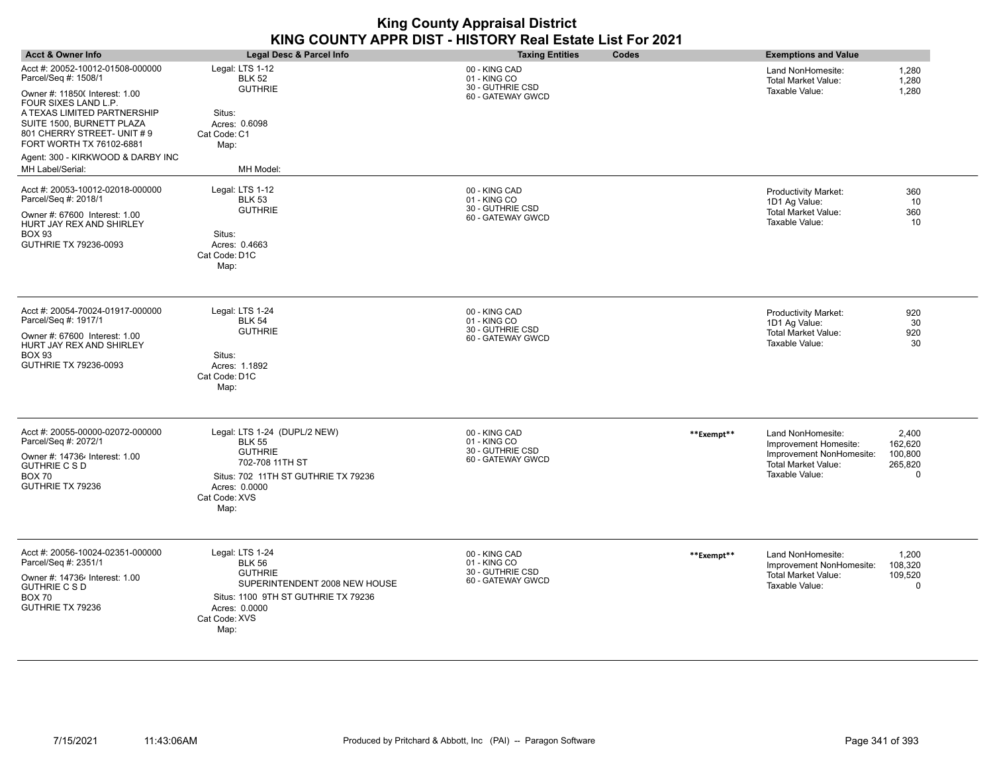| <b>Acct &amp; Owner Info</b>                                                                                                                                                                                                                                                  | <b>Legal Desc &amp; Parcel Info</b>                                                                                                                                  | <b>Taxing Entities</b>                                                 | Codes      | <b>Exemptions and Value</b>                                                                                     |                                                        |
|-------------------------------------------------------------------------------------------------------------------------------------------------------------------------------------------------------------------------------------------------------------------------------|----------------------------------------------------------------------------------------------------------------------------------------------------------------------|------------------------------------------------------------------------|------------|-----------------------------------------------------------------------------------------------------------------|--------------------------------------------------------|
| Acct #: 20052-10012-01508-000000<br>Parcel/Seq #: 1508/1<br>Owner #: 11850( Interest: 1.00<br>FOUR SIXES LAND L.P.<br>A TEXAS LIMITED PARTNERSHIP<br>SUITE 1500, BURNETT PLAZA<br>801 CHERRY STREET- UNIT #9<br>FORT WORTH TX 76102-6881<br>Agent: 300 - KIRKWOOD & DARBY INC | Legal: LTS 1-12<br><b>BLK 52</b><br><b>GUTHRIE</b><br>Situs:<br>Acres: 0.6098<br>Cat Code: C1<br>Map:                                                                | 00 - KING CAD<br>01 - KING CO<br>30 - GUTHRIE CSD<br>60 - GATEWAY GWCD |            | Land NonHomesite:<br>Total Market Value:<br>Taxable Value:                                                      | 1,280<br>1,280<br>1,280                                |
| MH Label/Serial:<br>Acct #: 20053-10012-02018-000000<br>Parcel/Seq #: 2018/1<br>Owner #: 67600 Interest: 1.00<br>HURT JAY REX AND SHIRLEY<br><b>BOX 93</b><br>GUTHRIE TX 79236-0093                                                                                           | MH Model:<br>Legal: LTS 1-12<br><b>BLK 53</b><br><b>GUTHRIE</b><br>Situs:<br>Acres: 0.4663<br>Cat Code: D1C<br>Map:                                                  | 00 - KING CAD<br>01 - KING CO<br>30 - GUTHRIE CSD<br>60 - GATEWAY GWCD |            | <b>Productivity Market:</b><br>1D1 Ag Value:<br><b>Total Market Value:</b><br>Taxable Value:                    | 360<br>10<br>360<br>10                                 |
| Acct #: 20054-70024-01917-000000<br>Parcel/Seq #: 1917/1<br>Owner #: 67600 Interest: 1.00<br>HURT JAY REX AND SHIRLEY<br><b>BOX 93</b><br>GUTHRIE TX 79236-0093                                                                                                               | Legal: LTS 1-24<br><b>BLK 54</b><br><b>GUTHRIE</b><br>Situs:<br>Acres: 1.1892<br>Cat Code: D1C<br>Map:                                                               | 00 - KING CAD<br>01 - KING CO<br>30 - GUTHRIE CSD<br>60 - GATEWAY GWCD |            | <b>Productivity Market:</b><br>1D1 Ag Value:<br><b>Total Market Value:</b><br>Taxable Value:                    | 920<br>30<br>920<br>30                                 |
| Acct #: 20055-00000-02072-000000<br>Parcel/Seq #: 2072/1<br>Owner #: 147364 Interest: 1.00<br><b>GUTHRIE C S D</b><br><b>BOX 70</b><br>GUTHRIE TX 79236                                                                                                                       | Legal: LTS 1-24 (DUPL/2 NEW)<br><b>BLK 55</b><br><b>GUTHRIE</b><br>702-708 11TH ST<br>Situs: 702 11TH ST GUTHRIE TX 79236<br>Acres: 0.0000<br>Cat Code: XVS<br>Map:  | 00 - KING CAD<br>01 - KING CO<br>30 - GUTHRIE CSD<br>60 - GATEWAY GWCD | **Exempt** | Land NonHomesite:<br>Improvement Homesite:<br>Improvement NonHomesite:<br>Total Market Value:<br>Taxable Value: | 2,400<br>162,620<br>100,800<br>265,820<br>$\mathbf{0}$ |
| Acct #: 20056-10024-02351-000000<br>Parcel/Seq #: 2351/1<br>Owner #: 147364 Interest: 1.00<br><b>GUTHRIE C S D</b><br><b>BOX 70</b><br>GUTHRIE TX 79236                                                                                                                       | Legal: LTS 1-24<br><b>BLK 56</b><br><b>GUTHRIE</b><br>SUPERINTENDENT 2008 NEW HOUSE<br>Situs: 1100 9TH ST GUTHRIE TX 79236<br>Acres: 0.0000<br>Cat Code: XVS<br>Map: | 00 - KING CAD<br>01 - KING CO<br>30 - GUTHRIE CSD<br>60 - GATEWAY GWCD | **Exempt** | Land NonHomesite:<br>Improvement NonHomesite:<br><b>Total Market Value:</b><br>Taxable Value:                   | 1,200<br>108,320<br>109,520<br>0                       |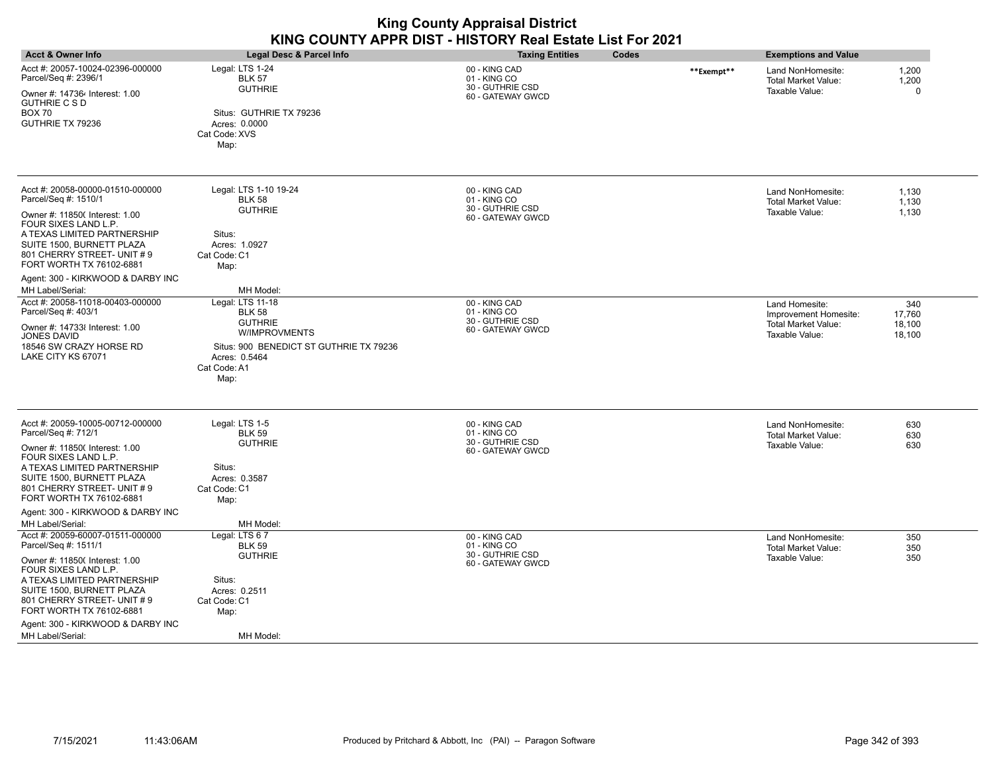| <b>King County Appraisal District</b><br>KING COUNTY APPR DIST - HISTORY Real Estate List For 2021                                                                                                                                                                                                |                                                                                                                                                          |                                                                        |            |                                                                                         |                                   |
|---------------------------------------------------------------------------------------------------------------------------------------------------------------------------------------------------------------------------------------------------------------------------------------------------|----------------------------------------------------------------------------------------------------------------------------------------------------------|------------------------------------------------------------------------|------------|-----------------------------------------------------------------------------------------|-----------------------------------|
| <b>Acct &amp; Owner Info</b>                                                                                                                                                                                                                                                                      | <b>Legal Desc &amp; Parcel Info</b>                                                                                                                      | <b>Taxing Entities</b><br>Codes                                        |            | <b>Exemptions and Value</b>                                                             |                                   |
| Acct #: 20057-10024-02396-000000<br>Parcel/Seq #: 2396/1<br>Owner #: 147364 Interest: 1.00<br><b>GUTHRIE C S D</b><br><b>BOX 70</b><br>GUTHRIE TX 79236                                                                                                                                           | Legal: LTS 1-24<br><b>BLK 57</b><br><b>GUTHRIE</b><br>Situs: GUTHRIE TX 79236<br>Acres: 0.0000<br>Cat Code: XVS<br>Map:                                  | 00 - KING CAD<br>01 - KING CO<br>30 - GUTHRIE CSD<br>60 - GATEWAY GWCD | **Exempt** | Land NonHomesite:<br><b>Total Market Value:</b><br>Taxable Value:                       | 1,200<br>1,200<br>$\Omega$        |
| Acct #: 20058-00000-01510-000000<br>Parcel/Seq #: 1510/1<br>Owner #: 118500 Interest: 1.00<br>FOUR SIXES LAND L.P.<br>A TEXAS LIMITED PARTNERSHIP<br>SUITE 1500, BURNETT PLAZA<br>801 CHERRY STREET- UNIT #9<br>FORT WORTH TX 76102-6881<br>Agent: 300 - KIRKWOOD & DARBY INC<br>MH Label/Serial: | Legal: LTS 1-10 19-24<br><b>BLK 58</b><br><b>GUTHRIE</b><br>Situs:<br>Acres: 1.0927<br>Cat Code: C1<br>Map:<br>MH Model:                                 | 00 - KING CAD<br>01 - KING CO<br>30 - GUTHRIE CSD<br>60 - GATEWAY GWCD |            | Land NonHomesite:<br><b>Total Market Value:</b><br>Taxable Value:                       | 1,130<br>1,130<br>1,130           |
| Acct #: 20058-11018-00403-000000<br>Parcel/Seq #: 403/1<br>Owner #: 147338 Interest: 1.00<br><b>JONES DAVID</b><br>18546 SW CRAZY HORSE RD<br>LAKE CITY KS 67071                                                                                                                                  | Legal: LTS 11-18<br><b>BLK 58</b><br><b>GUTHRIE</b><br>W/IMPROVMENTS<br>Situs: 900 BENEDICT ST GUTHRIE TX 79236<br>Acres: 0.5464<br>Cat Code: A1<br>Map: | 00 - KING CAD<br>01 - KING CO<br>30 - GUTHRIE CSD<br>60 - GATEWAY GWCD |            | Land Homesite:<br>Improvement Homesite:<br><b>Total Market Value:</b><br>Taxable Value: | 340<br>17,760<br>18,100<br>18,100 |
| Acct #: 20059-10005-00712-000000<br>Parcel/Seq #: 712/1<br>Owner #: 11850( Interest: 1.00<br>FOUR SIXES LAND L.P.<br>A TEXAS LIMITED PARTNERSHIP<br>SUITE 1500, BURNETT PLAZA<br>801 CHERRY STREET- UNIT #9<br>FORT WORTH TX 76102-6881                                                           | Legal: LTS 1-5<br><b>BLK 59</b><br><b>GUTHRIE</b><br>Situs:<br>Acres: 0.3587<br>Cat Code: C1<br>Map:                                                     | 00 - KING CAD<br>01 - KING CO<br>30 - GUTHRIE CSD<br>60 - GATEWAY GWCD |            | Land NonHomesite:<br><b>Total Market Value:</b><br>Taxable Value:                       | 630<br>630<br>630                 |
| Agent: 300 - KIRKWOOD & DARBY INC                                                                                                                                                                                                                                                                 |                                                                                                                                                          |                                                                        |            |                                                                                         |                                   |
| MH Label/Serial:<br>Acct #: 20059-60007-01511-000000                                                                                                                                                                                                                                              | MH Model:<br>Legal: LTS 67                                                                                                                               | 00 - KING CAD                                                          |            |                                                                                         |                                   |
| Parcel/Seq #: 1511/1<br>Owner #: 11850( Interest: 1.00<br>FOUR SIXES LAND L.P.<br>A TEXAS LIMITED PARTNERSHIP<br>SUITE 1500, BURNETT PLAZA<br>801 CHERRY STREET- UNIT #9<br>FORT WORTH TX 76102-6881<br>Agent: 300 - KIRKWOOD & DARBY INC                                                         | <b>BLK 59</b><br><b>GUTHRIE</b><br>Situs:<br>Acres: 0.2511<br>Cat Code: C1<br>Map:                                                                       | 01 - KING CO<br>30 - GUTHRIE CSD<br>60 - GATEWAY GWCD                  |            | Land NonHomesite:<br><b>Total Market Value:</b><br>Taxable Value:                       | 350<br>350<br>350                 |
| MH Label/Serial:                                                                                                                                                                                                                                                                                  | MH Model:                                                                                                                                                |                                                                        |            |                                                                                         |                                   |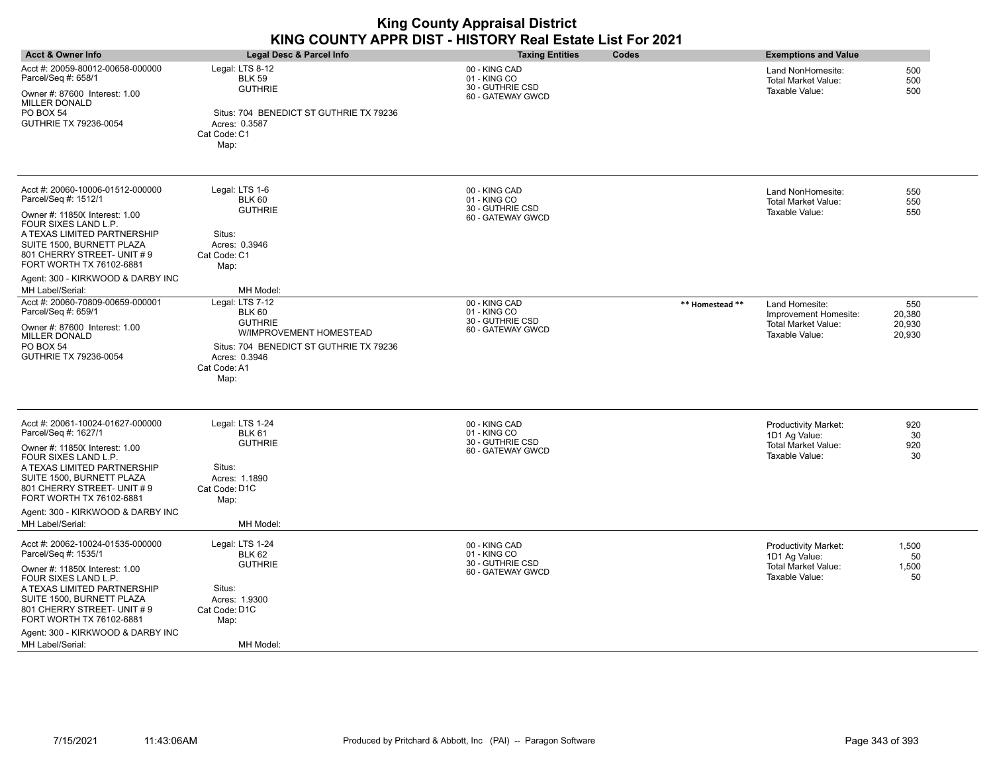| <b>Acct &amp; Owner Info</b>                                                                                                                                                                                                                                                                       | Legal Desc & Parcel Info                                                                                                                                          | <b>Taxing Entities</b>                                                 | <b>Codes</b>    | <b>Exemptions and Value</b>                                                                  |                                   |
|----------------------------------------------------------------------------------------------------------------------------------------------------------------------------------------------------------------------------------------------------------------------------------------------------|-------------------------------------------------------------------------------------------------------------------------------------------------------------------|------------------------------------------------------------------------|-----------------|----------------------------------------------------------------------------------------------|-----------------------------------|
| Acct #: 20059-80012-00658-000000<br>Parcel/Seq #: 658/1<br>Owner #: 87600 Interest: 1.00<br><b>MILLER DONALD</b><br>PO BOX 54<br>GUTHRIE TX 79236-0054                                                                                                                                             | Legal: LTS 8-12<br><b>BLK 59</b><br><b>GUTHRIE</b><br>Situs: 704 BENEDICT ST GUTHRIE TX 79236<br>Acres: 0.3587<br>Cat Code: C1<br>Map:                            | 00 - KING CAD<br>01 - KING CO<br>30 - GUTHRIE CSD<br>60 - GATEWAY GWCD |                 | Land NonHomesite:<br><b>Total Market Value:</b><br>Taxable Value:                            | 500<br>500<br>500                 |
| Acct #: 20060-10006-01512-000000<br>Parcel/Seq #: 1512/1<br>Owner #: 11850( Interest: 1.00<br>FOUR SIXES LAND L.P.<br>A TEXAS LIMITED PARTNERSHIP<br>SUITE 1500, BURNETT PLAZA<br>801 CHERRY STREET- UNIT # 9<br>FORT WORTH TX 76102-6881<br>Agent: 300 - KIRKWOOD & DARBY INC<br>MH Label/Serial: | Legal: LTS 1-6<br><b>BLK 60</b><br><b>GUTHRIE</b><br>Situs:<br>Acres: 0.3946<br>Cat Code: C1<br>Map:<br>MH Model:                                                 | 00 - KING CAD<br>01 - KING CO<br>30 - GUTHRIE CSD<br>60 - GATEWAY GWCD |                 | Land NonHomesite:<br>Total Market Value:<br>Taxable Value:                                   | 550<br>550<br>550                 |
| Acct #: 20060-70809-00659-000001<br>Parcel/Seq #: 659/1<br>Owner #: 87600 Interest: 1.00<br><b>MILLER DONALD</b><br><b>PO BOX 54</b><br>GUTHRIE TX 79236-0054                                                                                                                                      | Legal: LTS 7-12<br><b>BLK 60</b><br><b>GUTHRIE</b><br>W/IMPROVEMENT HOMESTEAD<br>Situs: 704 BENEDICT ST GUTHRIE TX 79236<br>Acres: 0.3946<br>Cat Code: A1<br>Map: | 00 - KING CAD<br>01 - KING CO<br>30 - GUTHRIE CSD<br>60 - GATEWAY GWCD | ** Homestead ** | Land Homesite:<br>Improvement Homesite:<br><b>Total Market Value:</b><br>Taxable Value:      | 550<br>20,380<br>20,930<br>20,930 |
| Acct #: 20061-10024-01627-000000<br>Parcel/Seq #: 1627/1<br>Owner #: 11850( Interest: 1.00<br>FOUR SIXES LAND L.P.<br>A TEXAS LIMITED PARTNERSHIP<br>SUITE 1500, BURNETT PLAZA<br>801 CHERRY STREET- UNIT # 9<br>FORT WORTH TX 76102-6881<br>Agent: 300 - KIRKWOOD & DARBY INC<br>MH Label/Serial: | Legal: LTS 1-24<br><b>BLK 61</b><br><b>GUTHRIE</b><br>Situs:<br>Acres: 1.1890<br>Cat Code: D1C<br>Map:<br>MH Model:                                               | 00 - KING CAD<br>01 - KING CO<br>30 - GUTHRIE CSD<br>60 - GATEWAY GWCD |                 | <b>Productivity Market:</b><br>1D1 Ag Value:<br><b>Total Market Value:</b><br>Taxable Value: | 920<br>30<br>920<br>30            |
| Acct #: 20062-10024-01535-000000<br>Parcel/Seq #: 1535/1<br>Owner #: 11850( Interest: 1.00<br>FOUR SIXES LAND L.P.<br>A TEXAS LIMITED PARTNERSHIP<br>SUITE 1500, BURNETT PLAZA<br>801 CHERRY STREET- UNIT #9<br>FORT WORTH TX 76102-6881<br>Agent: 300 - KIRKWOOD & DARBY INC<br>MH Label/Serial:  | Legal: LTS 1-24<br><b>BLK 62</b><br><b>GUTHRIE</b><br>Situs:<br>Acres: 1.9300<br>Cat Code: D1C<br>Map:<br>MH Model:                                               | 00 - KING CAD<br>01 - KING CO<br>30 - GUTHRIE CSD<br>60 - GATEWAY GWCD |                 | <b>Productivity Market:</b><br>1D1 Ag Value:<br><b>Total Market Value:</b><br>Taxable Value: | 1,500<br>50<br>1,500<br>50        |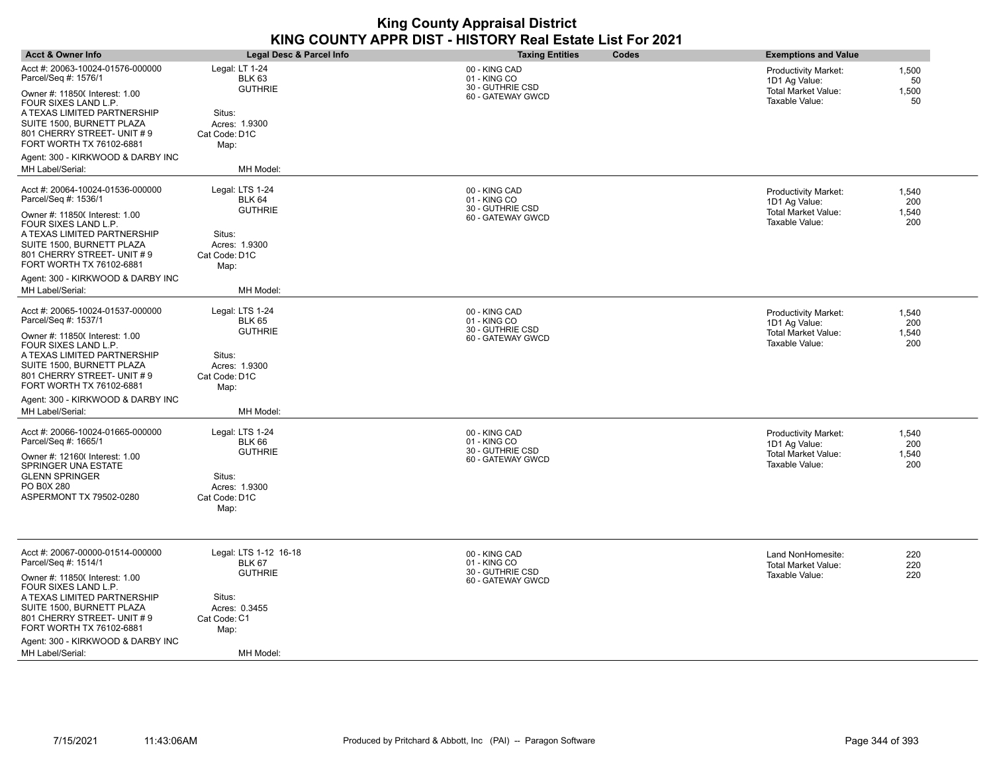| <b>Acct &amp; Owner Info</b>                                                                                                                                                                                                                                                                       | Legal Desc & Parcel Info                                                                                                 | <b>Taxing Entities</b><br>Codes                                        | <b>Exemptions and Value</b>                                                                                                  |
|----------------------------------------------------------------------------------------------------------------------------------------------------------------------------------------------------------------------------------------------------------------------------------------------------|--------------------------------------------------------------------------------------------------------------------------|------------------------------------------------------------------------|------------------------------------------------------------------------------------------------------------------------------|
| Acct #: 20063-10024-01576-000000<br>Parcel/Seq #: 1576/1<br>Owner #: 11850( Interest: 1.00<br>FOUR SIXES LAND L.P.<br>A TEXAS LIMITED PARTNERSHIP<br>SUITE 1500, BURNETT PLAZA<br>801 CHERRY STREET- UNIT # 9<br>FORT WORTH TX 76102-6881<br>Agent: 300 - KIRKWOOD & DARBY INC                     | Legal: LT 1-24<br><b>BLK 63</b><br><b>GUTHRIE</b><br>Situs:<br>Acres: 1.9300<br>Cat Code: D1C<br>Map:                    | 00 - KING CAD<br>01 - KING CO<br>30 - GUTHRIE CSD<br>60 - GATEWAY GWCD | <b>Productivity Market:</b><br>1,500<br>1D1 Ag Value:<br>50<br>Total Market Value:<br>1,500<br>Taxable Value:<br>50          |
| MH Label/Serial:                                                                                                                                                                                                                                                                                   | MH Model:                                                                                                                |                                                                        |                                                                                                                              |
| Acct #: 20064-10024-01536-000000<br>Parcel/Seq #: 1536/1<br>Owner #: 11850( Interest: 1.00<br>FOUR SIXES LAND L.P.<br>A TEXAS LIMITED PARTNERSHIP<br>SUITE 1500, BURNETT PLAZA<br>801 CHERRY STREET- UNIT # 9<br>FORT WORTH TX 76102-6881<br>Agent: 300 - KIRKWOOD & DARBY INC<br>MH Label/Serial: | Legal: LTS 1-24<br><b>BLK 64</b><br><b>GUTHRIE</b><br>Situs:<br>Acres: 1.9300<br>Cat Code: D1C<br>Map:<br>MH Model:      | 00 - KING CAD<br>01 - KING CO<br>30 - GUTHRIE CSD<br>60 - GATEWAY GWCD | 1,540<br><b>Productivity Market:</b><br>1D1 Ag Value:<br>200<br><b>Total Market Value:</b><br>1,540<br>Taxable Value:<br>200 |
| Acct #: 20065-10024-01537-000000<br>Parcel/Seq #: 1537/1<br>Owner #: 11850( Interest: 1.00<br>FOUR SIXES LAND L.P.<br>A TEXAS LIMITED PARTNERSHIP<br>SUITE 1500, BURNETT PLAZA<br>801 CHERRY STREET- UNIT # 9<br>FORT WORTH TX 76102-6881<br>Agent: 300 - KIRKWOOD & DARBY INC<br>MH Label/Serial: | Legal: LTS 1-24<br><b>BLK 65</b><br><b>GUTHRIE</b><br>Situs:<br>Acres: 1.9300<br>Cat Code: D1C<br>Map:<br>MH Model:      | 00 - KING CAD<br>01 - KING CO<br>30 - GUTHRIE CSD<br>60 - GATEWAY GWCD | <b>Productivity Market:</b><br>1,540<br>1D1 Ag Value:<br>200<br><b>Total Market Value:</b><br>1,540<br>Taxable Value:<br>200 |
| Acct #: 20066-10024-01665-000000<br>Parcel/Seq #: 1665/1<br>Owner #: 12160( Interest: 1.00<br>SPRINGER UNA ESTATE<br>GLENN SPRINGER<br>PO B0X 280<br>ASPERMONT TX 79502-0280                                                                                                                       | Legal: LTS 1-24<br><b>BLK 66</b><br><b>GUTHRIE</b><br>Situs:<br>Acres: 1.9300<br>Cat Code: D1C<br>Map:                   | 00 - KING CAD<br>01 - KING CO<br>30 - GUTHRIE CSD<br>60 - GATEWAY GWCD | 1,540<br><b>Productivity Market:</b><br>1D1 Ag Value:<br>200<br>Total Market Value:<br>1,540<br>Taxable Value:<br>200        |
| Acct #: 20067-00000-01514-000000<br>Parcel/Seq #: 1514/1<br>Owner #: 11850( Interest: 1.00<br>FOUR SIXES LAND L.P.<br>A TEXAS LIMITED PARTNERSHIP<br>SUITE 1500, BURNETT PLAZA<br>801 CHERRY STREET- UNIT # 9<br>FORT WORTH TX 76102-6881<br>Agent: 300 - KIRKWOOD & DARBY INC<br>MH Label/Serial: | Legal: LTS 1-12 16-18<br><b>BLK 67</b><br><b>GUTHRIE</b><br>Situs:<br>Acres: 0.3455<br>Cat Code: C1<br>Map:<br>MH Model: | 00 - KING CAD<br>01 - KING CO<br>30 - GUTHRIE CSD<br>60 - GATEWAY GWCD | Land NonHomesite:<br>220<br><b>Total Market Value:</b><br>220<br>Taxable Value:<br>220                                       |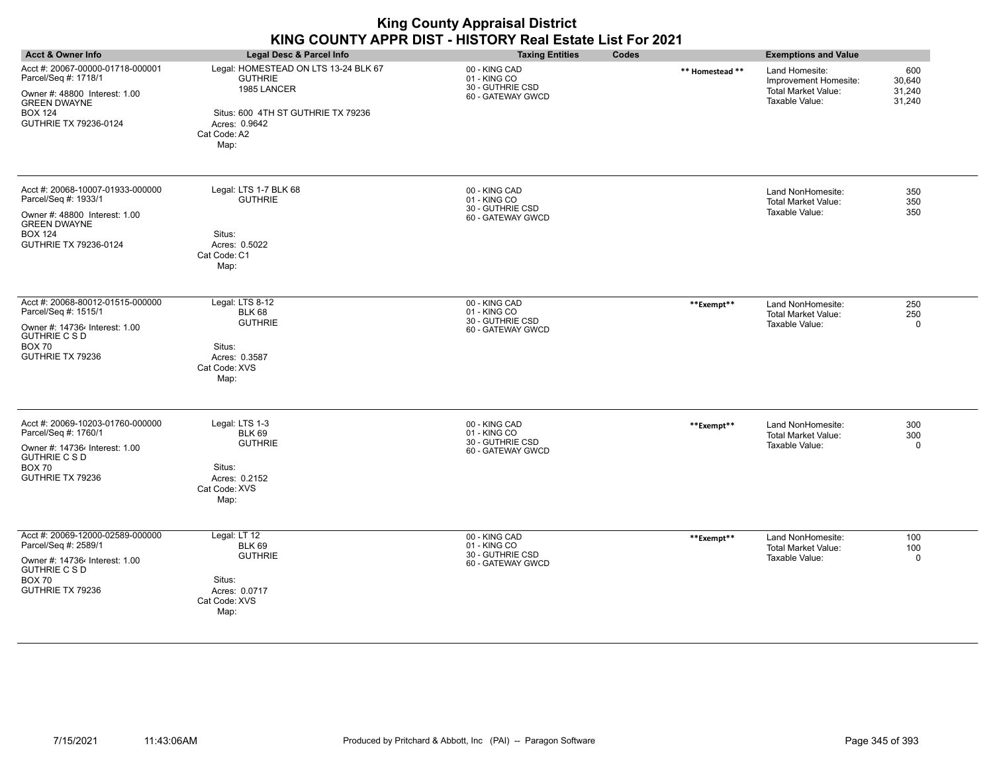| <b>Acct &amp; Owner Info</b>                                                                                                                                | <b>Legal Desc &amp; Parcel Info</b>                                                                                                                  | <b>Taxing Entities</b>                                                 | Codes           | <b>Exemptions and Value</b>                                                             |                                   |
|-------------------------------------------------------------------------------------------------------------------------------------------------------------|------------------------------------------------------------------------------------------------------------------------------------------------------|------------------------------------------------------------------------|-----------------|-----------------------------------------------------------------------------------------|-----------------------------------|
| Acct #: 20067-00000-01718-000001<br>Parcel/Seq #: 1718/1<br>Owner #: 48800 Interest: 1.00<br><b>GREEN DWAYNE</b><br><b>BOX 124</b><br>GUTHRIE TX 79236-0124 | Legal: HOMESTEAD ON LTS 13-24 BLK 67<br><b>GUTHRIE</b><br>1985 LANCER<br>Situs: 600 4TH ST GUTHRIE TX 79236<br>Acres: 0.9642<br>Cat Code: A2<br>Map: | 00 - KING CAD<br>01 - KING CO<br>30 - GUTHRIE CSD<br>60 - GATEWAY GWCD | ** Homestead ** | Land Homesite:<br>Improvement Homesite:<br><b>Total Market Value:</b><br>Taxable Value: | 600<br>30,640<br>31,240<br>31,240 |
| Acct #: 20068-10007-01933-000000<br>Parcel/Seq #: 1933/1<br>Owner #: 48800 Interest: 1.00<br><b>GREEN DWAYNE</b><br><b>BOX 124</b><br>GUTHRIE TX 79236-0124 | Legal: LTS 1-7 BLK 68<br><b>GUTHRIE</b><br>Situs:<br>Acres: 0.5022<br>Cat Code: C1<br>Map:                                                           | 00 - KING CAD<br>01 - KING CO<br>30 - GUTHRIE CSD<br>60 - GATEWAY GWCD |                 | Land NonHomesite:<br><b>Total Market Value:</b><br>Taxable Value:                       | 350<br>350<br>350                 |
| Acct #: 20068-80012-01515-000000<br>Parcel/Seq #: 1515/1<br>Owner #: 147364 Interest: 1.00<br><b>GUTHRIE C S D</b><br><b>BOX 70</b><br>GUTHRIE TX 79236     | Legal: LTS 8-12<br><b>BLK 68</b><br><b>GUTHRIE</b><br>Situs:<br>Acres: 0.3587<br>Cat Code: XVS<br>Map:                                               | 00 - KING CAD<br>01 - KING CO<br>30 - GUTHRIE CSD<br>60 - GATEWAY GWCD | **Exempt**      | Land NonHomesite:<br><b>Total Market Value:</b><br>Taxable Value:                       | 250<br>250<br>$\Omega$            |
| Acct #: 20069-10203-01760-000000<br>Parcel/Seq #: 1760/1<br>Owner #: 147364 Interest: 1.00<br>GUTHRIE C S D<br><b>BOX 70</b><br>GUTHRIE TX 79236            | Legal: LTS 1-3<br><b>BLK 69</b><br><b>GUTHRIE</b><br>Situs:<br>Acres: 0.2152<br>Cat Code: XVS<br>Map:                                                | 00 - KING CAD<br>01 - KING CO<br>30 - GUTHRIE CSD<br>60 - GATEWAY GWCD | **Exempt**      | Land NonHomesite:<br>Total Market Value:<br>Taxable Value:                              | 300<br>300<br>$\Omega$            |
| Acct #: 20069-12000-02589-000000<br>Parcel/Seq #: 2589/1<br>Owner #: 147364 Interest: 1.00<br><b>GUTHRIE C S D</b><br><b>BOX 70</b><br>GUTHRIE TX 79236     | Legal: LT 12<br><b>BLK 69</b><br><b>GUTHRIE</b><br>Situs:<br>Acres: 0.0717<br>Cat Code: XVS<br>Map:                                                  | 00 - KING CAD<br>01 - KING CO<br>30 - GUTHRIE CSD<br>60 - GATEWAY GWCD | **Exempt**      | Land NonHomesite:<br>Total Market Value:<br>Taxable Value:                              | 100<br>100<br>$\mathbf{0}$        |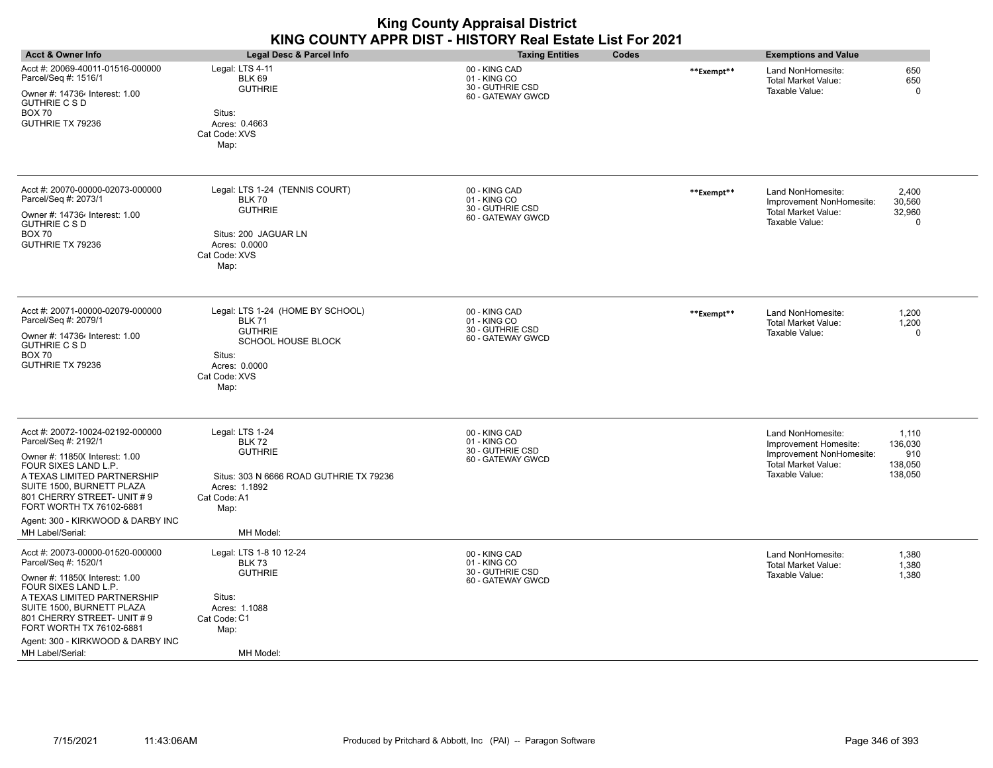| <b>King County Appraisal District</b><br>KING COUNTY APPR DIST - HISTORY Real Estate List For 2021                                                                                                                                                                                                |                                                                                                                                                     |                                                                        |            |                                                                                                                        |                                               |
|---------------------------------------------------------------------------------------------------------------------------------------------------------------------------------------------------------------------------------------------------------------------------------------------------|-----------------------------------------------------------------------------------------------------------------------------------------------------|------------------------------------------------------------------------|------------|------------------------------------------------------------------------------------------------------------------------|-----------------------------------------------|
| <b>Acct &amp; Owner Info</b>                                                                                                                                                                                                                                                                      | <b>Legal Desc &amp; Parcel Info</b>                                                                                                                 | <b>Taxing Entities</b><br>Codes                                        |            | <b>Exemptions and Value</b>                                                                                            |                                               |
| Acct #: 20069-40011-01516-000000<br>Parcel/Seq #: 1516/1<br>Owner #: 147364 Interest: 1.00<br><b>GUTHRIE C S D</b><br><b>BOX 70</b><br>GUTHRIE TX 79236                                                                                                                                           | Legal: LTS 4-11<br><b>BLK 69</b><br><b>GUTHRIE</b><br>Situs:<br>Acres: 0.4663<br>Cat Code: XVS<br>Map:                                              | 00 - KING CAD<br>01 - KING CO<br>30 - GUTHRIE CSD<br>60 - GATEWAY GWCD | **Exempt** | Land NonHomesite:<br><b>Total Market Value:</b><br>Taxable Value:                                                      | 650<br>650<br>$\Omega$                        |
| Acct #: 20070-00000-02073-000000<br>Parcel/Seq #: 2073/1<br>Owner #: 147364 Interest: 1.00<br><b>GUTHRIE C S D</b><br><b>BOX 70</b><br>GUTHRIE TX 79236                                                                                                                                           | Legal: LTS 1-24 (TENNIS COURT)<br><b>BLK 70</b><br><b>GUTHRIE</b><br>Situs: 200 JAGUAR LN<br>Acres: 0.0000<br>Cat Code: XVS<br>Map:                 | 00 - KING CAD<br>01 - KING CO<br>30 - GUTHRIE CSD<br>60 - GATEWAY GWCD | **Exempt** | Land NonHomesite:<br>Improvement NonHomesite:<br><b>Total Market Value:</b><br>Taxable Value:                          | 2,400<br>30,560<br>32,960<br>$\Omega$         |
| Acct #: 20071-00000-02079-000000<br>Parcel/Seq #: 2079/1<br>Owner #: 147364 Interest: 1.00<br><b>GUTHRIE C S D</b><br><b>BOX 70</b><br>GUTHRIE TX 79236                                                                                                                                           | Legal: LTS 1-24 (HOME BY SCHOOL)<br><b>BLK 71</b><br><b>GUTHRIE</b><br>SCHOOL HOUSE BLOCK<br>Situs:<br>Acres: 0.0000<br>Cat Code: XVS<br>Map:       | 00 - KING CAD<br>01 - KING CO<br>30 - GUTHRIE CSD<br>60 - GATEWAY GWCD | **Exempt** | Land NonHomesite:<br><b>Total Market Value:</b><br>Taxable Value:                                                      | 1,200<br>1,200<br>$\mathbf 0$                 |
| Acct #: 20072-10024-02192-000000<br>Parcel/Seq #: 2192/1<br>Owner #: 11850( Interest: 1.00<br>FOUR SIXES LAND L.P.<br>A TEXAS LIMITED PARTNERSHIP<br>SUITE 1500, BURNETT PLAZA<br>801 CHERRY STREET- UNIT #9<br>FORT WORTH TX 76102-6881<br>Agent: 300 - KIRKWOOD & DARBY INC<br>MH Label/Serial: | Legal: LTS 1-24<br><b>BLK 72</b><br><b>GUTHRIE</b><br>Situs: 303 N 6666 ROAD GUTHRIE TX 79236<br>Acres: 1.1892<br>Cat Code: A1<br>Map:<br>MH Model: | 00 - KING CAD<br>01 - KING CO<br>30 - GUTHRIE CSD<br>60 - GATEWAY GWCD |            | Land NonHomesite:<br>Improvement Homesite:<br>Improvement NonHomesite:<br><b>Total Market Value:</b><br>Taxable Value: | 1,110<br>136,030<br>910<br>138,050<br>138,050 |
| Acct #: 20073-00000-01520-000000<br>Parcel/Seq #: 1520/1<br>Owner #: 11850( Interest: 1.00<br>FOUR SIXES LAND L.P.<br>A TEXAS LIMITED PARTNERSHIP<br>SUITE 1500, BURNETT PLAZA<br>801 CHERRY STREET- UNIT #9<br>FORT WORTH TX 76102-6881<br>Agent: 300 - KIRKWOOD & DARBY INC<br>MH Label/Serial: | Legal: LTS 1-8 10 12-24<br><b>BLK 73</b><br><b>GUTHRIE</b><br>Situs:<br>Acres: 1.1088<br>Cat Code: C1<br>Map:<br>MH Model:                          | 00 - KING CAD<br>01 - KING CO<br>30 - GUTHRIE CSD<br>60 - GATEWAY GWCD |            | Land NonHomesite:<br>Total Market Value:<br>Taxable Value:                                                             | 1.380<br>1,380<br>1,380                       |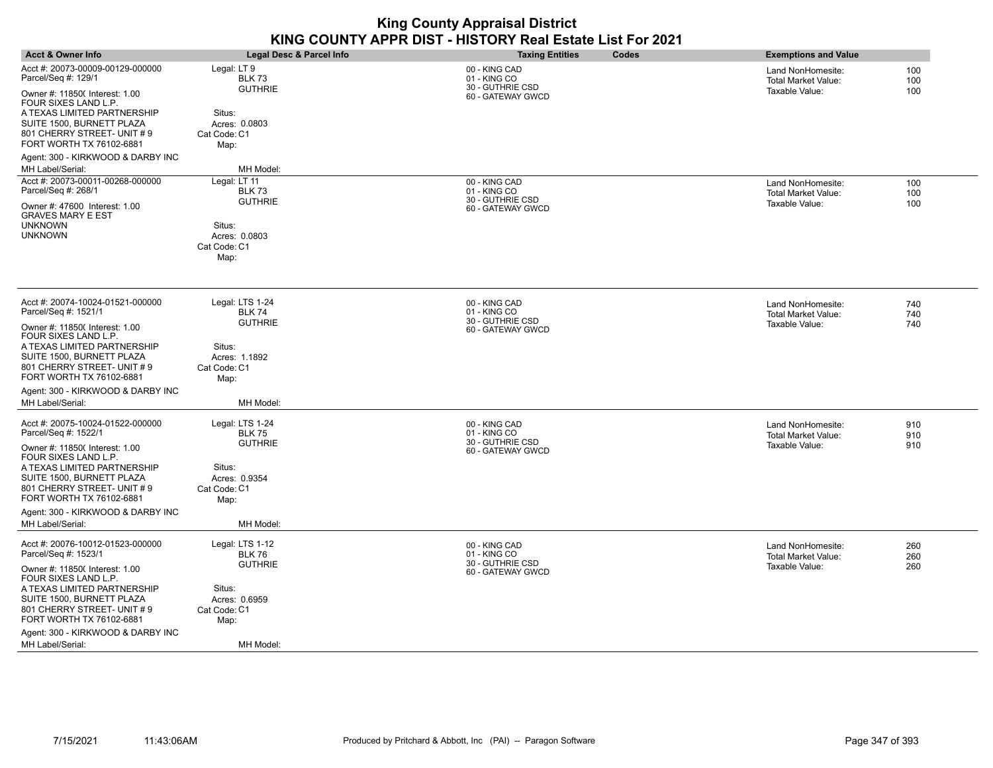| <b>Acct &amp; Owner Info</b>                                                                                                                | Legal Desc & Parcel Info                                  | <b>Taxing Entities</b><br>Codes                                        | <b>Exemptions and Value</b>                                                            |
|---------------------------------------------------------------------------------------------------------------------------------------------|-----------------------------------------------------------|------------------------------------------------------------------------|----------------------------------------------------------------------------------------|
| Acct #: 20073-00009-00129-000000<br>Parcel/Seq #: 129/1<br>Owner #: 11850( Interest: 1.00                                                   | Legal: LT 9<br><b>BLK 73</b><br><b>GUTHRIE</b>            | 00 - KING CAD<br>01 - KING CO<br>30 - GUTHRIE CSD                      | 100<br>Land NonHomesite:<br>Total Market Value:<br>100<br>Taxable Value:<br>100        |
| FOUR SIXES LAND L.P.<br>A TEXAS LIMITED PARTNERSHIP<br>SUITE 1500, BURNETT PLAZA<br>801 CHERRY STREET- UNIT # 9<br>FORT WORTH TX 76102-6881 | Situs:<br>Acres: 0.0803<br>Cat Code: C1<br>Map:           | 60 - GATEWAY GWCD                                                      |                                                                                        |
| Agent: 300 - KIRKWOOD & DARBY INC<br>MH Label/Serial:                                                                                       | MH Model:                                                 |                                                                        |                                                                                        |
| Acct #: 20073-00011-00268-000000<br>Parcel/Seq #: 268/1<br>Owner #: 47600 Interest: 1.00<br>GRAVES MARY E EST                               | Legal: LT 11<br><b>BLK 73</b><br><b>GUTHRIE</b><br>Situs: | 00 - KING CAD<br>01 - KING CO<br>30 - GUTHRIE CSD<br>60 - GATEWAY GWCD | 100<br>Land NonHomesite:<br>100<br><b>Total Market Value:</b><br>Taxable Value:<br>100 |
| <b>UNKNOWN</b><br><b>UNKNOWN</b>                                                                                                            | Acres: 0.0803<br>Cat Code: C1<br>Map:                     |                                                                        |                                                                                        |
| Acct #: 20074-10024-01521-000000<br>Parcel/Seq #: 1521/1                                                                                    | Legal: LTS 1-24<br><b>BLK 74</b>                          | 00 - KING CAD<br>01 - KING CO                                          | Land NonHomesite:<br>740<br><b>Total Market Value:</b><br>740                          |
| Owner #: 11850( Interest: 1.00<br>FOUR SIXES LAND L.P.<br>A TEXAS LIMITED PARTNERSHIP                                                       | <b>GUTHRIE</b><br>Situs:                                  | 30 - GUTHRIE CSD<br>60 - GATEWAY GWCD                                  | Taxable Value:<br>740                                                                  |
| SUITE 1500, BURNETT PLAZA<br>801 CHERRY STREET- UNIT # 9<br>FORT WORTH TX 76102-6881                                                        | Acres: 1.1892<br>Cat Code: C1<br>Map:                     |                                                                        |                                                                                        |
| Agent: 300 - KIRKWOOD & DARBY INC<br>MH Label/Serial:                                                                                       | MH Model:                                                 |                                                                        |                                                                                        |
| Acct #: 20075-10024-01522-000000<br>Parcel/Seq #: 1522/1                                                                                    | Legal: LTS 1-24<br><b>BLK 75</b><br><b>GUTHRIE</b>        | 00 - KING CAD<br>01 - KING CO<br>30 - GUTHRIE CSD                      | Land NonHomesite:<br>910<br><b>Total Market Value:</b><br>910                          |
| Owner #: 11850( Interest: 1.00<br>FOUR SIXES LAND L.P.<br>A TEXAS LIMITED PARTNERSHIP                                                       | Situs:                                                    | 60 - GATEWAY GWCD                                                      | Taxable Value:<br>910                                                                  |
| SUITE 1500, BURNETT PLAZA<br>801 CHERRY STREET- UNIT # 9<br>FORT WORTH TX 76102-6881                                                        | Acres: 0.9354<br>Cat Code: C1<br>Map:                     |                                                                        |                                                                                        |
| Agent: 300 - KIRKWOOD & DARBY INC<br>MH Label/Serial:                                                                                       | MH Model:                                                 |                                                                        |                                                                                        |
| Acct #: 20076-10012-01523-000000<br>Parcel/Seq #: 1523/1                                                                                    | Legal: LTS 1-12<br><b>BLK 76</b>                          | 00 - KING CAD<br>01 - KING CO                                          | Land NonHomesite:<br>260<br><b>Total Market Value:</b><br>260                          |
| Owner #: 11850( Interest: 1.00<br>FOUR SIXES LAND L.P.                                                                                      | <b>GUTHRIE</b>                                            | 30 - GUTHRIE CSD<br>60 - GATEWAY GWCD                                  | Taxable Value:<br>260                                                                  |
| A TEXAS LIMITED PARTNERSHIP<br>SUITE 1500, BURNETT PLAZA<br>801 CHERRY STREET- UNIT # 9<br>FORT WORTH TX 76102-6881                         | Situs:<br>Acres: 0.6959<br>Cat Code: C1<br>Map:           |                                                                        |                                                                                        |
| Agent: 300 - KIRKWOOD & DARBY INC<br><b>MH Label/Serial:</b>                                                                                | MH Model:                                                 |                                                                        |                                                                                        |

÷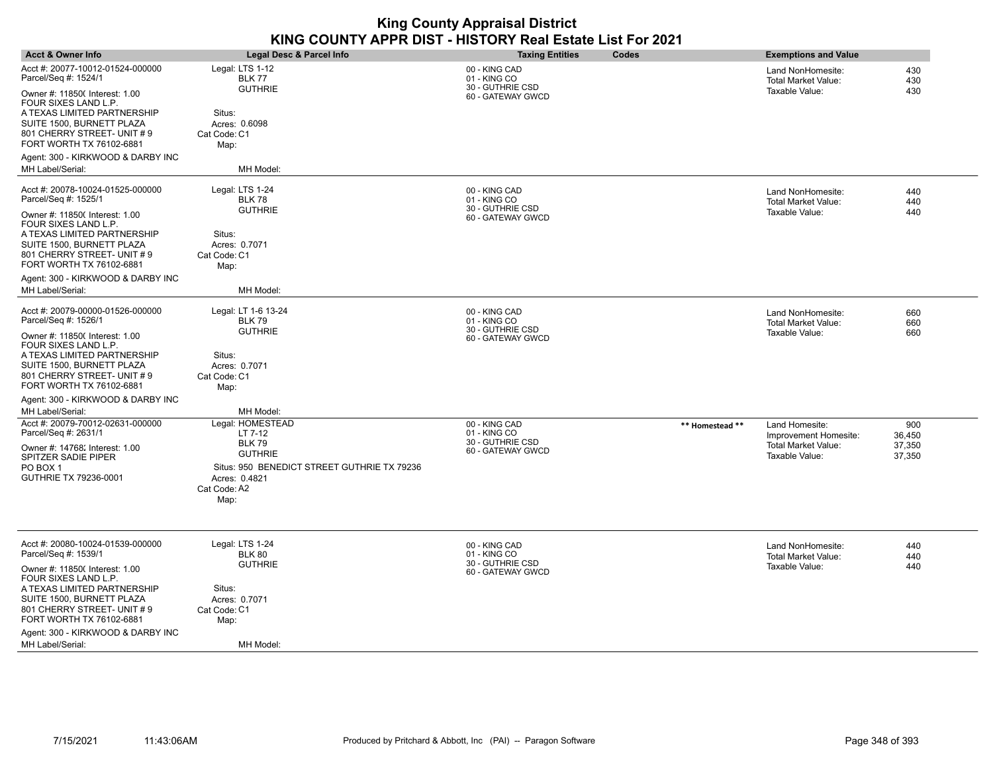| <b>Acct &amp; Owner Info</b>                             | Legal Desc & Parcel Info                           | <b>Taxing Entities</b>                            | Codes           | <b>Exemptions and Value</b>                     |            |
|----------------------------------------------------------|----------------------------------------------------|---------------------------------------------------|-----------------|-------------------------------------------------|------------|
| Acct #: 20077-10012-01524-000000<br>Parcel/Seq #: 1524/1 | Legal: LTS 1-12<br><b>BLK 77</b><br><b>GUTHRIE</b> | 00 - KING CAD<br>01 - KING CO<br>30 - GUTHRIE CSD |                 | Land NonHomesite:<br><b>Total Market Value:</b> | 430<br>430 |
| Owner #: 11850( Interest: 1.00<br>FOUR SIXES LAND L.P.   |                                                    | 60 - GATEWAY GWCD                                 |                 | Taxable Value:                                  | 430        |
| A TEXAS LIMITED PARTNERSHIP<br>SUITE 1500, BURNETT PLAZA | Situs:<br>Acres: 0.6098                            |                                                   |                 |                                                 |            |
| 801 CHERRY STREET- UNIT # 9                              | Cat Code: C1                                       |                                                   |                 |                                                 |            |
| FORT WORTH TX 76102-6881                                 | Map:                                               |                                                   |                 |                                                 |            |
| Agent: 300 - KIRKWOOD & DARBY INC                        |                                                    |                                                   |                 |                                                 |            |
| MH Label/Serial:                                         | MH Model:                                          |                                                   |                 |                                                 |            |
| Acct #: 20078-10024-01525-000000                         | Legal: LTS 1-24                                    | 00 - KING CAD                                     |                 | Land NonHomesite:                               | 440        |
| Parcel/Seq #: 1525/1                                     | <b>BLK 78</b>                                      | 01 - KING CO<br>30 - GUTHRIE CSD                  |                 | Total Market Value:                             | 440        |
| Owner #: 11850( Interest: 1.00                           | <b>GUTHRIE</b>                                     | 60 - GATEWAY GWCD                                 |                 | Taxable Value:                                  | 440        |
| FOUR SIXES LAND L.P.<br>A TEXAS LIMITED PARTNERSHIP      | Situs:                                             |                                                   |                 |                                                 |            |
| SUITE 1500, BURNETT PLAZA                                | Acres: 0.7071                                      |                                                   |                 |                                                 |            |
| 801 CHERRY STREET- UNIT # 9                              | Cat Code: C1                                       |                                                   |                 |                                                 |            |
| FORT WORTH TX 76102-6881                                 | Map:                                               |                                                   |                 |                                                 |            |
| Agent: 300 - KIRKWOOD & DARBY INC<br>MH Label/Serial:    | MH Model:                                          |                                                   |                 |                                                 |            |
|                                                          |                                                    |                                                   |                 |                                                 |            |
| Acct #: 20079-00000-01526-000000                         | Legal: LT 1-6 13-24                                | 00 - KING CAD                                     |                 | Land NonHomesite:                               | 660        |
| Parcel/Seq #: 1526/1                                     | <b>BLK 79</b><br><b>GUTHRIE</b>                    | 01 - KING CO<br>30 - GUTHRIE CSD                  |                 | <b>Total Market Value:</b><br>Taxable Value:    | 660        |
| Owner #: 11850( Interest: 1.00<br>FOUR SIXES LAND L.P.   |                                                    | 60 - GATEWAY GWCD                                 |                 |                                                 | 660        |
| A TEXAS LIMITED PARTNERSHIP                              | Situs:                                             |                                                   |                 |                                                 |            |
| SUITE 1500, BURNETT PLAZA                                | Acres: 0.7071                                      |                                                   |                 |                                                 |            |
| 801 CHERRY STREET- UNIT # 9<br>FORT WORTH TX 76102-6881  | Cat Code: C1                                       |                                                   |                 |                                                 |            |
| Agent: 300 - KIRKWOOD & DARBY INC                        | Map:                                               |                                                   |                 |                                                 |            |
| MH Label/Serial:                                         | MH Model:                                          |                                                   |                 |                                                 |            |
| Acct #: 20079-70012-02631-000000                         | Legal: HOMESTEAD                                   | 00 - KING CAD                                     | ** Homestead ** | Land Homesite:                                  | 900        |
| Parcel/Seq #: 2631/1                                     | LT 7-12                                            | 01 - KING CO                                      |                 | Improvement Homesite:                           | 36,450     |
| Owner #: 14768; Interest: 1.00                           | <b>BLK 79</b><br><b>GUTHRIE</b>                    | 30 - GUTHRIE CSD<br>60 - GATEWAY GWCD             |                 | Total Market Value:                             | 37,350     |
| SPITZER SADIE PIPER<br>PO BOX 1                          | Situs: 950 BENEDICT STREET GUTHRIE TX 79236        |                                                   |                 | Taxable Value:                                  | 37,350     |
| GUTHRIE TX 79236-0001                                    | Acres: 0.4821                                      |                                                   |                 |                                                 |            |
|                                                          | Cat Code: A2                                       |                                                   |                 |                                                 |            |
|                                                          | Map:                                               |                                                   |                 |                                                 |            |
| Acct #: 20080-10024-01539-000000                         | Legal: LTS 1-24                                    | 00 - KING CAD                                     |                 | Land NonHomesite:                               | 440        |
| Parcel/Seq #: 1539/1                                     | <b>BLK 80</b>                                      | 01 - KING CO                                      |                 | <b>Total Market Value:</b>                      | 440        |
| Owner #: 11850( Interest: 1.00                           | <b>GUTHRIE</b>                                     | 30 - GUTHRIE CSD<br>60 - GATEWAY GWCD             |                 | Taxable Value:                                  | 440        |
| FOUR SIXES LAND L.P.                                     |                                                    |                                                   |                 |                                                 |            |
| A TEXAS LIMITED PARTNERSHIP<br>SUITE 1500, BURNETT PLAZA | Situs:<br>Acres: 0.7071                            |                                                   |                 |                                                 |            |
| 801 CHERRY STREET- UNIT # 9                              | Cat Code: C1                                       |                                                   |                 |                                                 |            |
| FORT WORTH TX 76102-6881                                 | Map:                                               |                                                   |                 |                                                 |            |
| Agent: 300 - KIRKWOOD & DARBY INC                        |                                                    |                                                   |                 |                                                 |            |
| MH Label/Serial:                                         | MH Model:                                          |                                                   |                 |                                                 |            |

 $\overline{\phantom{a}}$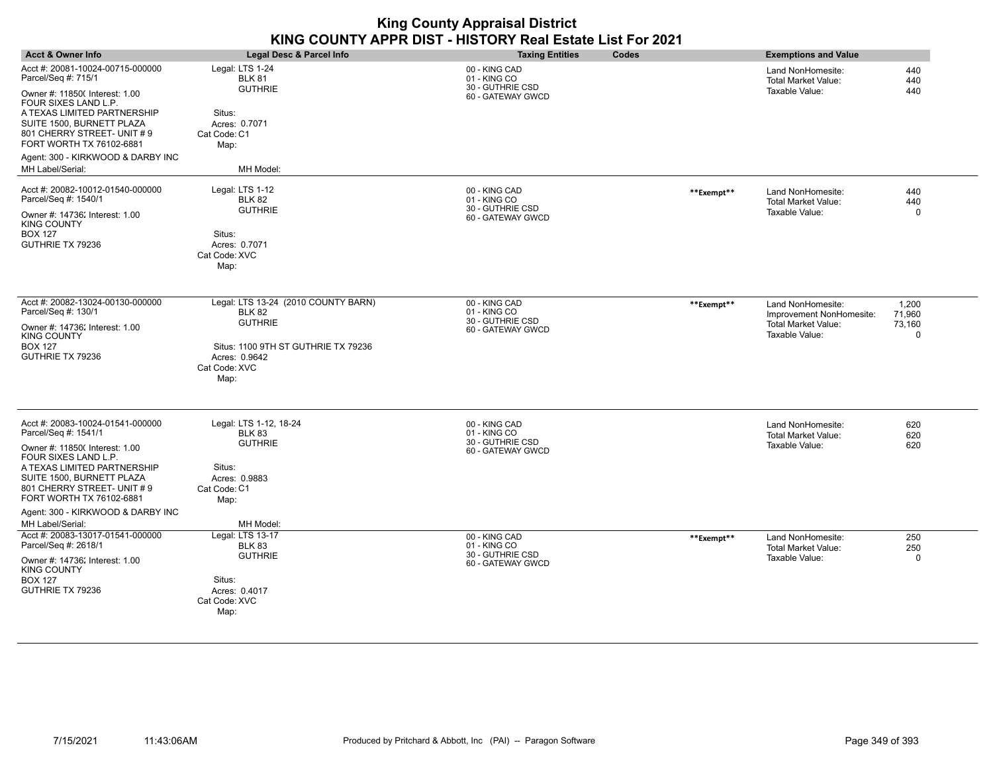| <b>Acct &amp; Owner Info</b>                                                                                                                                                                                                                                                   | <b>Legal Desc &amp; Parcel Info</b>                                                                                                                     | <b>Taxing Entities</b><br>Codes                                        |            | <b>Exemptions and Value</b>                                                                   |                                |
|--------------------------------------------------------------------------------------------------------------------------------------------------------------------------------------------------------------------------------------------------------------------------------|---------------------------------------------------------------------------------------------------------------------------------------------------------|------------------------------------------------------------------------|------------|-----------------------------------------------------------------------------------------------|--------------------------------|
| Acct #: 20081-10024-00715-000000<br>Parcel/Seq #: 715/1                                                                                                                                                                                                                        | Legal: LTS 1-24<br><b>BLK 81</b>                                                                                                                        | 00 - KING CAD<br>01 - KING CO                                          |            | Land NonHomesite:<br><b>Total Market Value:</b>                                               | 440<br>440                     |
| Owner #: 11850( Interest: 1.00<br>FOUR SIXES LAND L.P.<br>A TEXAS LIMITED PARTNERSHIP<br>SUITE 1500, BURNETT PLAZA<br>801 CHERRY STREET- UNIT # 9<br>FORT WORTH TX 76102-6881                                                                                                  | <b>GUTHRIE</b><br>Situs:<br>Acres: 0.7071<br>Cat Code: C1<br>Map:                                                                                       | 30 - GUTHRIE CSD<br>60 - GATEWAY GWCD                                  |            | Taxable Value:                                                                                | 440                            |
| Agent: 300 - KIRKWOOD & DARBY INC                                                                                                                                                                                                                                              |                                                                                                                                                         |                                                                        |            |                                                                                               |                                |
| MH Label/Serial:                                                                                                                                                                                                                                                               | MH Model:                                                                                                                                               |                                                                        |            |                                                                                               |                                |
| Acct #: 20082-10012-01540-000000<br>Parcel/Seq #: 1540/1<br>Owner #: 14736: Interest: 1.00<br>KING COUNTY<br>BOX 127<br>GUTHRIE TX 79236                                                                                                                                       | Legal: LTS 1-12<br><b>BLK 82</b><br><b>GUTHRIE</b><br>Situs:<br>Acres: 0.7071<br>Cat Code: XVC<br>Map:                                                  | 00 - KING CAD<br>01 - KING CO<br>30 - GUTHRIE CSD<br>60 - GATEWAY GWCD | **Exempt** | Land NonHomesite:<br>Total Market Value:<br>Taxable Value:                                    | 440<br>440<br>$\Omega$         |
| Acct #: 20082-13024-00130-000000<br>Parcel/Seq #: 130/1<br>Owner #: 14736; Interest: 1.00<br>KING COUNTY<br>BOX 127<br>GUTHRIE TX 79236                                                                                                                                        | Legal: LTS 13-24 (2010 COUNTY BARN)<br><b>BLK 82</b><br><b>GUTHRIE</b><br>Situs: 1100 9TH ST GUTHRIE TX 79236<br>Acres: 0.9642<br>Cat Code: XVC<br>Map: | 00 - KING CAD<br>01 - KING CO<br>30 - GUTHRIE CSD<br>60 - GATEWAY GWCD | **Exempt** | Land NonHomesite:<br>Improvement NonHomesite:<br><b>Total Market Value:</b><br>Taxable Value: | 1,200<br>71,960<br>73,160<br>0 |
| Acct #: 20083-10024-01541-000000<br>Parcel/Seq #: 1541/1<br>Owner #: 11850( Interest: 1.00<br>FOUR SIXES LAND L.P.<br>A TEXAS LIMITED PARTNERSHIP<br>SUITE 1500, BURNETT PLAZA<br>801 CHERRY STREET- UNIT # 9<br>FORT WORTH TX 76102-6881<br>Agent: 300 - KIRKWOOD & DARBY INC | Legal: LTS 1-12, 18-24<br><b>BLK 83</b><br><b>GUTHRIE</b><br>Situs:<br>Acres: 0.9883<br>Cat Code: C1<br>Map:                                            | 00 - KING CAD<br>01 - KING CO<br>30 - GUTHRIE CSD<br>60 - GATEWAY GWCD |            | Land NonHomesite:<br><b>Total Market Value:</b><br>Taxable Value:                             | 620<br>620<br>620              |
| MH Label/Serial:<br>Acct #: 20083-13017-01541-000000<br>Parcel/Seq #: 2618/1<br>Owner #: 14736; Interest: 1.00<br>KING COUNTY<br>BOX 127<br>GUTHRIE TX 79236                                                                                                                   | MH Model:<br>Legal: LTS 13-17<br>BLK 83<br><b>GUTHRIE</b><br>Situs:<br>Acres: 0.4017<br>Cat Code: XVC<br>Map:                                           | 00 - KING CAD<br>01 - KING CO<br>30 - GUTHRIE CSD<br>60 - GATEWAY GWCD | **Exempt** | Land NonHomesite:<br>Total Market Value:<br>Taxable Value:                                    | 250<br>250<br>0                |

 $\overline{\phantom{a}}$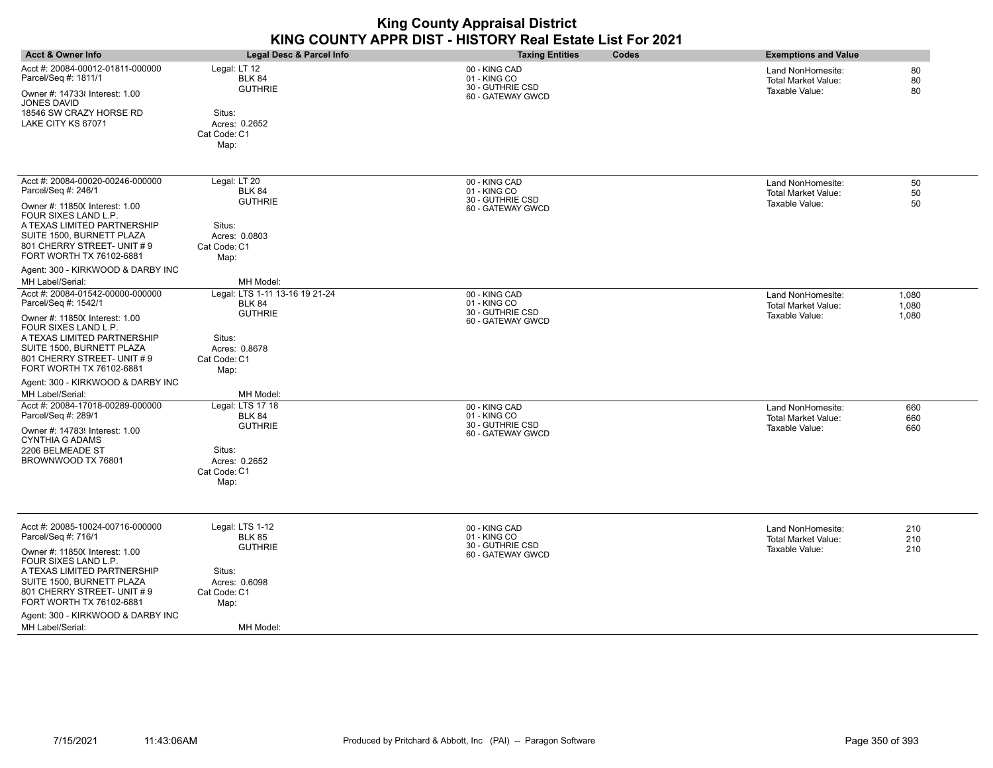|                                                                                                                                                                                                                                                                                                   | KING COUNTY APPR DIST - HISTORY Real Estate List For 2021                                                                         |                                                                        |                                                                                        |  |  |  |
|---------------------------------------------------------------------------------------------------------------------------------------------------------------------------------------------------------------------------------------------------------------------------------------------------|-----------------------------------------------------------------------------------------------------------------------------------|------------------------------------------------------------------------|----------------------------------------------------------------------------------------|--|--|--|
| <b>Acct &amp; Owner Info</b>                                                                                                                                                                                                                                                                      | Legal Desc & Parcel Info                                                                                                          | <b>Taxing Entities</b><br>Codes                                        | <b>Exemptions and Value</b>                                                            |  |  |  |
| Acct #: 20084-00012-01811-000000<br>Parcel/Seq #: 1811/1<br>Owner #: 14733 Interest: 1.00<br><b>JONES DAVID</b><br>18546 SW CRAZY HORSE RD<br>LAKE CITY KS 67071                                                                                                                                  | Legal: LT 12<br><b>BLK 84</b><br><b>GUTHRIE</b><br>Situs:<br>Acres: 0.2652<br>Cat Code: C1<br>Map:                                | 00 - KING CAD<br>01 - KING CO<br>30 - GUTHRIE CSD<br>60 - GATEWAY GWCD | 80<br>Land NonHomesite:<br>80<br><b>Total Market Value:</b><br>Taxable Value:<br>80    |  |  |  |
| Acct #: 20084-00020-00246-000000<br>Parcel/Seq #: 246/1<br>Owner #: 11850( Interest: 1.00<br>FOUR SIXES LAND L.P.<br>A TEXAS LIMITED PARTNERSHIP<br>SUITE 1500, BURNETT PLAZA<br>801 CHERRY STREET- UNIT #9<br>FORT WORTH TX 76102-6881<br>Agent: 300 - KIRKWOOD & DARBY INC<br>MH Label/Serial:  | Legal: LT 20<br><b>BLK 84</b><br><b>GUTHRIE</b><br>Situs:<br>Acres: 0.0803<br>Cat Code: C1<br>Map:<br>MH Model:                   | 00 - KING CAD<br>01 - KING CO<br>30 - GUTHRIE CSD<br>60 - GATEWAY GWCD | Land NonHomesite:<br>50<br><b>Total Market Value:</b><br>50<br>Taxable Value:<br>50    |  |  |  |
| Acct #: 20084-01542-00000-000000<br>Parcel/Seq #: 1542/1<br>Owner #: 11850( Interest: 1.00<br>FOUR SIXES LAND L.P.<br>A TEXAS LIMITED PARTNERSHIP<br>SUITE 1500, BURNETT PLAZA<br>801 CHERRY STREET- UNIT #9<br>FORT WORTH TX 76102-6881<br>Agent: 300 - KIRKWOOD & DARBY INC<br>MH Label/Serial: | Legal: LTS 1-11 13-16 19 21-24<br><b>BLK 84</b><br><b>GUTHRIE</b><br>Situs:<br>Acres: 0.8678<br>Cat Code: C1<br>Map:<br>MH Model: | 00 - KING CAD<br>01 - KING CO<br>30 - GUTHRIE CSD<br>60 - GATEWAY GWCD | Land NonHomesite:<br>1,080<br>Total Market Value:<br>1,080<br>Taxable Value:<br>1,080  |  |  |  |
| Acct #: 20084-17018-00289-000000<br>Parcel/Seq #: 289/1<br>Owner #: 147839 Interest: 1.00<br><b>CYNTHIA G ADAMS</b><br>2206 BELMEADE ST<br>BROWNWOOD TX 76801                                                                                                                                     | Legal: LTS 17 18<br><b>BLK 84</b><br><b>GUTHRIE</b><br>Situs:<br>Acres: 0.2652<br>Cat Code: C1<br>Map:                            | 00 - KING CAD<br>01 - KING CO<br>30 - GUTHRIE CSD<br>60 - GATEWAY GWCD | Land NonHomesite:<br>660<br>660<br><b>Total Market Value:</b><br>Taxable Value:<br>660 |  |  |  |
| Acct #: 20085-10024-00716-000000<br>Parcel/Seq #: 716/1<br>Owner #: 11850( Interest: 1.00<br>FOUR SIXES LAND L.P.<br>A TEXAS LIMITED PARTNERSHIP<br>SUITE 1500, BURNETT PLAZA<br>801 CHERRY STREET- UNIT #9<br>FORT WORTH TX 76102-6881<br>Agent: 300 - KIRKWOOD & DARBY INC<br>MH Label/Serial:  | Legal: LTS 1-12<br><b>BLK 85</b><br><b>GUTHRIE</b><br>Situs:<br>Acres: 0.6098<br>Cat Code: C1<br>Map:<br>MH Model:                | 00 - KING CAD<br>01 - KING CO<br>30 - GUTHRIE CSD<br>60 - GATEWAY GWCD | 210<br>Land NonHomesite:<br><b>Total Market Value:</b><br>210<br>Taxable Value:<br>210 |  |  |  |

**King County Appraisal District**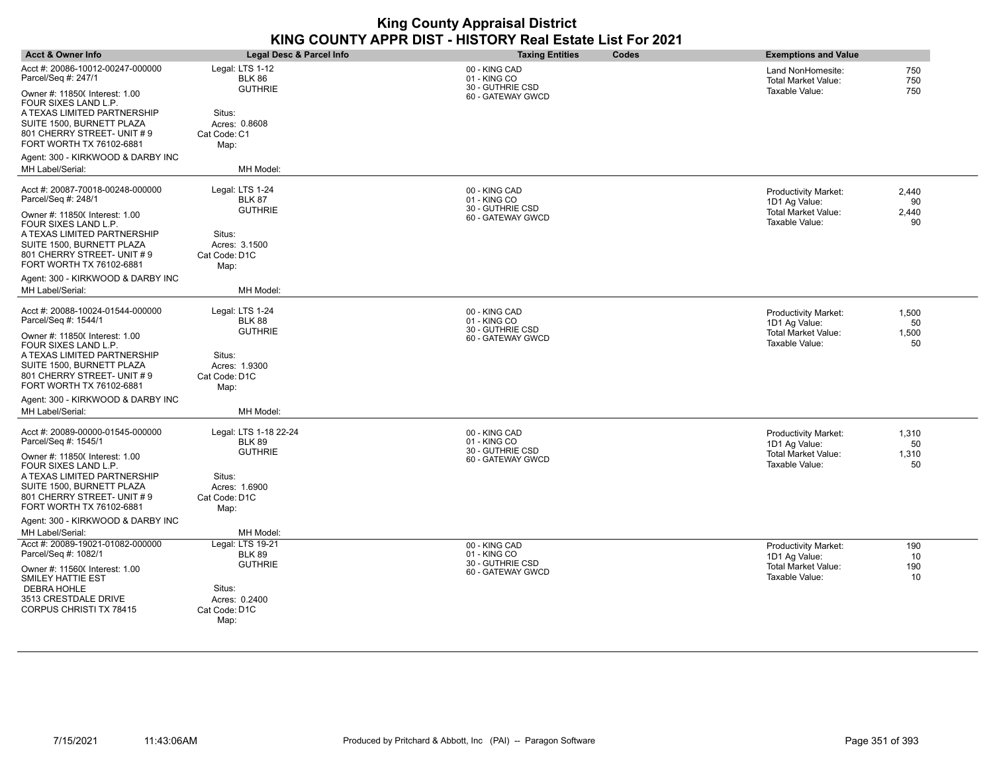| <b>Acct &amp; Owner Info</b>                                                                                                                                                  | Legal Desc & Parcel Info                           | <b>Taxing Entities</b><br><b>Codes</b>            | <b>Exemptions and Value</b>                                   |
|-------------------------------------------------------------------------------------------------------------------------------------------------------------------------------|----------------------------------------------------|---------------------------------------------------|---------------------------------------------------------------|
| Acct #: 20086-10012-00247-000000<br>Parcel/Seq #: 247/1                                                                                                                       | Legal: LTS 1-12<br><b>BLK 86</b><br><b>GUTHRIE</b> | 00 - KING CAD<br>01 - KING CO<br>30 - GUTHRIE CSD | 750<br>Land NonHomesite:<br><b>Total Market Value:</b><br>750 |
| Owner #: 11850( Interest: 1.00<br>FOUR SIXES LAND L.P.<br>A TEXAS LIMITED PARTNERSHIP<br>SUITE 1500, BURNETT PLAZA<br>801 CHERRY STREET- UNIT # 9<br>FORT WORTH TX 76102-6881 | Situs:<br>Acres: 0.8608<br>Cat Code: C1<br>Map:    | 60 - GATEWAY GWCD                                 | 750<br>Taxable Value:                                         |
| Agent: 300 - KIRKWOOD & DARBY INC                                                                                                                                             |                                                    |                                                   |                                                               |
| MH Label/Serial:                                                                                                                                                              | MH Model:                                          |                                                   |                                                               |
| Acct #: 20087-70018-00248-000000<br>Parcel/Seq #: 248/1                                                                                                                       | Legal: LTS 1-24<br><b>BLK 87</b><br><b>GUTHRIE</b> | 00 - KING CAD<br>01 - KING CO<br>30 - GUTHRIE CSD | 2,440<br><b>Productivity Market:</b><br>1D1 Ag Value:<br>90   |
| Owner #: 11850( Interest: 1.00<br>FOUR SIXES LAND L.P.<br>A TEXAS LIMITED PARTNERSHIP<br>SUITE 1500, BURNETT PLAZA<br>801 CHERRY STREET- UNIT # 9<br>FORT WORTH TX 76102-6881 | Situs:<br>Acres: 3.1500<br>Cat Code: D1C<br>Map:   | 60 - GATEWAY GWCD                                 | <b>Total Market Value:</b><br>2,440<br>Taxable Value:<br>90   |
| Agent: 300 - KIRKWOOD & DARBY INC<br>MH Label/Serial:                                                                                                                         | MH Model:                                          |                                                   |                                                               |
| Acct #: 20088-10024-01544-000000<br>Parcel/Seq #: 1544/1                                                                                                                      | Legal: LTS 1-24<br>BLK 88                          | 00 - KING CAD<br>01 - KING CO                     | 1,500<br><b>Productivity Market:</b><br>1D1 Ag Value:<br>50   |
| Owner #: 11850( Interest: 1.00<br>FOUR SIXES LAND L.P.<br>A TEXAS LIMITED PARTNERSHIP                                                                                         | <b>GUTHRIE</b><br>Situs:                           | 30 - GUTHRIE CSD<br>60 - GATEWAY GWCD             | Total Market Value:<br>1,500<br>Taxable Value:<br>50          |
| SUITE 1500, BURNETT PLAZA<br>801 CHERRY STREET- UNIT # 9<br>FORT WORTH TX 76102-6881                                                                                          | Acres: 1.9300<br>Cat Code: D1C<br>Map:             |                                                   |                                                               |
| Agent: 300 - KIRKWOOD & DARBY INC<br>MH Label/Serial:                                                                                                                         | MH Model:                                          |                                                   |                                                               |
| Acct #: 20089-00000-01545-000000<br>Parcel/Seq #: 1545/1                                                                                                                      | Legal: LTS 1-18 22-24<br><b>BLK 89</b>             | 00 - KING CAD<br>01 - KING CO                     | <b>Productivity Market:</b><br>1,310<br>1D1 Ag Value:<br>50   |
| Owner #: 11850( Interest: 1.00<br>FOUR SIXES LAND L.P.                                                                                                                        | <b>GUTHRIE</b>                                     | 30 - GUTHRIE CSD<br>60 - GATEWAY GWCD             | <b>Total Market Value:</b><br>1,310<br>Taxable Value:<br>50   |
| A TEXAS LIMITED PARTNERSHIP<br>SUITE 1500, BURNETT PLAZA<br>801 CHERRY STREET- UNIT # 9<br>FORT WORTH TX 76102-6881                                                           | Situs:<br>Acres: 1.6900<br>Cat Code: D1C<br>Map:   |                                                   |                                                               |
| Agent: 300 - KIRKWOOD & DARBY INC                                                                                                                                             |                                                    |                                                   |                                                               |
| MH Label/Serial:<br>Acct #: 20089-19021-01082-000000                                                                                                                          | MH Model:<br>Legal: LTS 19-21                      | 00 - KING CAD                                     |                                                               |
| Parcel/Seq #: 1082/1                                                                                                                                                          | <b>BLK 89</b><br><b>GUTHRIE</b>                    | 01 - KING CO<br>30 - GUTHRIE CSD                  | 190<br><b>Productivity Market:</b><br>1D1 Ag Value:<br>10     |
| Owner #: 11560( Interest: 1.00<br>SMILEY HATTIE EST<br><b>DEBRA HOHLE</b><br>3513 CRESTDALE DRIVE                                                                             | Situs:<br>Acres: 0.2400                            | 60 - GATEWAY GWCD                                 | <b>Total Market Value:</b><br>190<br>Taxable Value:<br>10     |
| CORPUS CHRISTI TX 78415                                                                                                                                                       | Cat Code: D1C<br>Map:                              |                                                   |                                                               |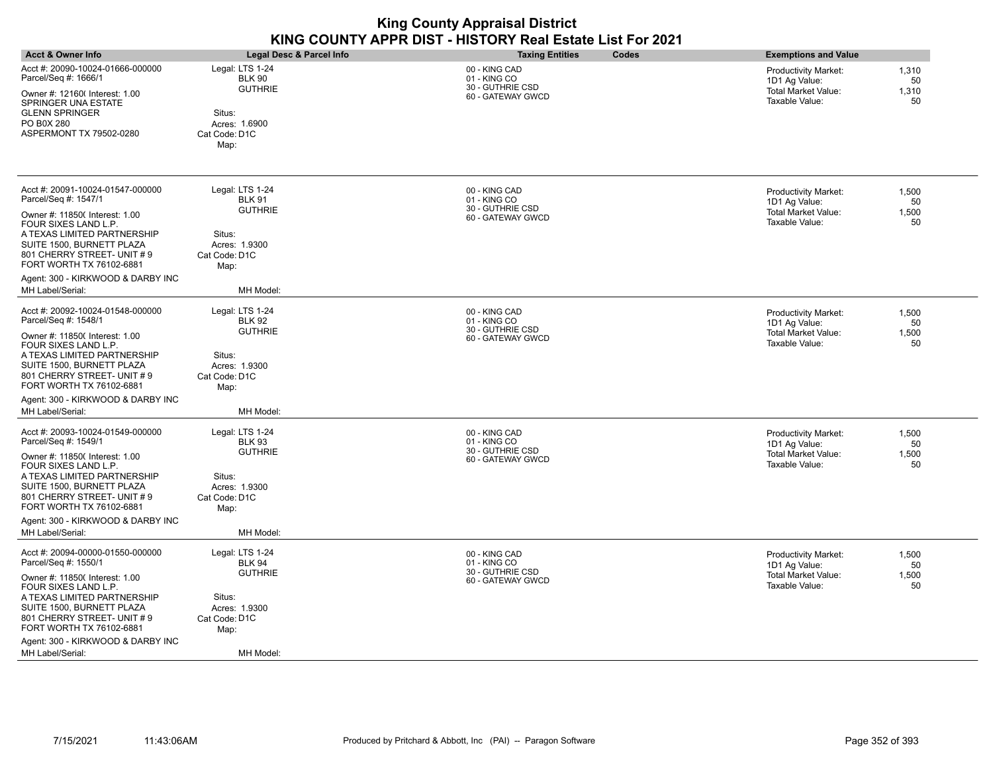| <b>Acct &amp; Owner Info</b>                                                                                                                                                                                                                                                                       | <b>Legal Desc &amp; Parcel Info</b>                                                                                 | Codes<br><b>Taxing Entities</b>                                        | <b>Exemptions and Value</b>                                                                                                |
|----------------------------------------------------------------------------------------------------------------------------------------------------------------------------------------------------------------------------------------------------------------------------------------------------|---------------------------------------------------------------------------------------------------------------------|------------------------------------------------------------------------|----------------------------------------------------------------------------------------------------------------------------|
| Acct #: 20090-10024-01666-000000<br>Parcel/Seq #: 1666/1<br>Owner #: 12160( Interest: 1.00<br>SPRINGER UNA ESTATE<br><b>GLENN SPRINGER</b><br>PO B0X 280<br>ASPERMONT TX 79502-0280                                                                                                                | Legal: LTS 1-24<br><b>BLK 90</b><br><b>GUTHRIE</b><br>Situs:<br>Acres: 1.6900<br>Cat Code: D1C<br>Map:              | 00 - KING CAD<br>01 - KING CO<br>30 - GUTHRIE CSD<br>60 - GATEWAY GWCD | <b>Productivity Market:</b><br>1,310<br>1D1 Ag Value:<br>50<br>Total Market Value:<br>1,310<br>Taxable Value:<br>50        |
| Acct #: 20091-10024-01547-000000<br>Parcel/Seq #: 1547/1<br>Owner #: 11850( Interest: 1.00<br>FOUR SIXES LAND L.P.<br>A TEXAS LIMITED PARTNERSHIP<br>SUITE 1500, BURNETT PLAZA<br>801 CHERRY STREET- UNIT # 9<br>FORT WORTH TX 76102-6881<br>Agent: 300 - KIRKWOOD & DARBY INC<br>MH Label/Serial: | Legal: LTS 1-24<br><b>BLK 91</b><br><b>GUTHRIE</b><br>Situs:<br>Acres: 1.9300<br>Cat Code: D1C<br>Map:<br>MH Model: | 00 - KING CAD<br>01 - KING CO<br>30 - GUTHRIE CSD<br>60 - GATEWAY GWCD | <b>Productivity Market:</b><br>1,500<br>1D1 Ag Value:<br>50<br>Total Market Value:<br>1,500<br>Taxable Value:<br>50        |
| Acct #: 20092-10024-01548-000000<br>Parcel/Seq #: 1548/1<br>Owner #: 11850( Interest: 1.00<br>FOUR SIXES LAND L.P.<br>A TEXAS LIMITED PARTNERSHIP<br>SUITE 1500, BURNETT PLAZA<br>801 CHERRY STREET- UNIT # 9<br>FORT WORTH TX 76102-6881<br>Agent: 300 - KIRKWOOD & DARBY INC<br>MH Label/Serial: | Legal: LTS 1-24<br><b>BLK 92</b><br><b>GUTHRIE</b><br>Situs:<br>Acres: 1.9300<br>Cat Code: D1C<br>Map:<br>MH Model: | 00 - KING CAD<br>01 - KING CO<br>30 - GUTHRIE CSD<br>60 - GATEWAY GWCD | <b>Productivity Market:</b><br>1,500<br>1D1 Ag Value:<br>50<br><b>Total Market Value:</b><br>1,500<br>Taxable Value:<br>50 |
| Acct #: 20093-10024-01549-000000<br>Parcel/Seq #: 1549/1<br>Owner #: 11850( Interest: 1.00<br>FOUR SIXES LAND L.P.<br>A TEXAS LIMITED PARTNERSHIP<br>SUITE 1500, BURNETT PLAZA<br>801 CHERRY STREET- UNIT # 9<br>FORT WORTH TX 76102-6881<br>Agent: 300 - KIRKWOOD & DARBY INC<br>MH Label/Serial: | Legal: LTS 1-24<br><b>BLK 93</b><br><b>GUTHRIE</b><br>Situs:<br>Acres: 1.9300<br>Cat Code: D1C<br>Map:<br>MH Model: | 00 - KING CAD<br>01 - KING CO<br>30 - GUTHRIE CSD<br>60 - GATEWAY GWCD | 1,500<br><b>Productivity Market:</b><br>1D1 Ag Value:<br>50<br><b>Total Market Value:</b><br>1,500<br>Taxable Value:<br>50 |
| Acct #: 20094-00000-01550-000000<br>Parcel/Seq #: 1550/1<br>Owner #: 11850( Interest: 1.00<br>FOUR SIXES LAND L.P.<br>A TEXAS LIMITED PARTNERSHIP<br>SUITE 1500, BURNETT PLAZA<br>801 CHERRY STREET- UNIT # 9<br>FORT WORTH TX 76102-6881<br>Agent: 300 - KIRKWOOD & DARBY INC<br>MH Label/Serial: | Legal: LTS 1-24<br><b>BLK 94</b><br><b>GUTHRIE</b><br>Situs:<br>Acres: 1.9300<br>Cat Code: D1C<br>Map:<br>MH Model: | 00 - KING CAD<br>01 - KING CO<br>30 - GUTHRIE CSD<br>60 - GATEWAY GWCD | 1,500<br><b>Productivity Market:</b><br>1D1 Ag Value:<br>50<br><b>Total Market Value:</b><br>1,500<br>Taxable Value:<br>50 |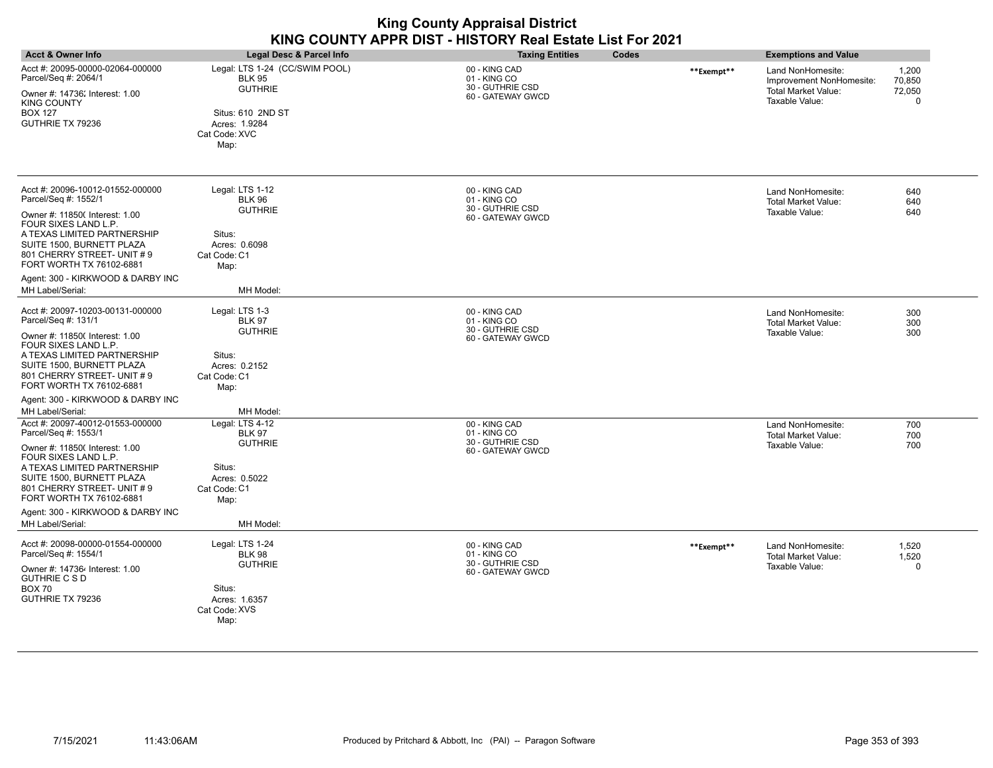|                                                                                                                                                                                                                                                                                                                       |                                                                                                                                  | <b>King County Appraisal District</b><br>KING COUNTY APPR DIST - HISTORY Real Estate List For 2021 |            |                                                                                        |                                          |
|-----------------------------------------------------------------------------------------------------------------------------------------------------------------------------------------------------------------------------------------------------------------------------------------------------------------------|----------------------------------------------------------------------------------------------------------------------------------|----------------------------------------------------------------------------------------------------|------------|----------------------------------------------------------------------------------------|------------------------------------------|
| <b>Acct &amp; Owner Info</b>                                                                                                                                                                                                                                                                                          | Legal Desc & Parcel Info                                                                                                         | <b>Taxing Entities</b><br>Codes                                                                    |            | <b>Exemptions and Value</b>                                                            |                                          |
| Acct #: 20095-00000-02064-000000<br>Parcel/Seq #: 2064/1<br>Owner #: 14736; Interest: 1.00<br><b>KING COUNTY</b><br><b>BOX 127</b><br>GUTHRIE TX 79236                                                                                                                                                                | Legal: LTS 1-24 (CC/SWIM POOL)<br><b>BLK 95</b><br><b>GUTHRIE</b><br>Situs: 610 2ND ST<br>Acres: 1.9284<br>Cat Code: XVC<br>Map: | 00 - KING CAD<br>01 - KING CO<br>30 - GUTHRIE CSD<br>60 - GATEWAY GWCD                             | **Exempt** | Land NonHomesite:<br>Improvement NonHomesite:<br>Total Market Value:<br>Taxable Value: | 1,200<br>70.850<br>72,050<br>$\mathbf 0$ |
| Acct #: 20096-10012-01552-000000<br>Parcel/Seq #: 1552/1<br>Owner #: 11850( Interest: 1.00<br>FOUR SIXES LAND L.P.<br>A TEXAS LIMITED PARTNERSHIP<br>SUITE 1500, BURNETT PLAZA<br>801 CHERRY STREET- UNIT #9<br>FORT WORTH TX 76102-6881<br>Agent: 300 - KIRKWOOD & DARBY INC<br>MH Label/Serial:                     | Legal: LTS 1-12<br><b>BLK 96</b><br><b>GUTHRIE</b><br>Situs:<br>Acres: 0.6098<br>Cat Code: C1<br>Map:                            | 00 - KING CAD<br>01 - KING CO<br>30 - GUTHRIE CSD<br>60 - GATEWAY GWCD                             |            | Land NonHomesite:<br><b>Total Market Value:</b><br>Taxable Value:                      | 640<br>640<br>640                        |
| Acct #: 20097-10203-00131-000000<br>Parcel/Seq #: 131/1<br>Owner #: 11850( Interest: 1.00<br>FOUR SIXES LAND L.P.<br>A TEXAS LIMITED PARTNERSHIP<br>SUITE 1500, BURNETT PLAZA<br>801 CHERRY STREET- UNIT #9<br>FORT WORTH TX 76102-6881<br>Agent: 300 - KIRKWOOD & DARBY INC                                          | MH Model:<br>Legal: LTS 1-3<br><b>BLK 97</b><br><b>GUTHRIE</b><br>Situs:<br>Acres: 0.2152<br>Cat Code: C1<br>Map:                | 00 - KING CAD<br>01 - KING CO<br>30 - GUTHRIE CSD<br>60 - GATEWAY GWCD                             |            | Land NonHomesite:<br><b>Total Market Value:</b><br>Taxable Value:                      | 300<br>300<br>300                        |
| MH Label/Serial:<br>Acct #: 20097-40012-01553-000000<br>Parcel/Seq #: 1553/1<br>Owner #: 11850( Interest: 1.00<br>FOUR SIXES LAND L.P.<br>A TEXAS LIMITED PARTNERSHIP<br>SUITE 1500, BURNETT PLAZA<br>801 CHERRY STREET- UNIT #9<br>FORT WORTH TX 76102-6881<br>Agent: 300 - KIRKWOOD & DARBY INC<br>MH Label/Serial: | MH Model:<br>Legal: LTS 4-12<br><b>BLK 97</b><br><b>GUTHRIE</b><br>Situs:<br>Acres: 0.5022<br>Cat Code: C1<br>Map:<br>MH Model:  | 00 - KING CAD<br>01 - KING CO<br>30 - GUTHRIE CSD<br>60 - GATEWAY GWCD                             |            | Land NonHomesite:<br><b>Total Market Value:</b><br>Taxable Value:                      | 700<br>700<br>700                        |
| Acct #: 20098-00000-01554-000000<br>Parcel/Seq #: 1554/1<br>Owner #: 147364 Interest: 1.00<br><b>GUTHRIE C S D</b><br><b>BOX 70</b><br>GUTHRIE TX 79236                                                                                                                                                               | Legal: LTS 1-24<br><b>BLK 98</b><br><b>GUTHRIE</b><br>Situs:<br>Acres: 1.6357<br>Cat Code: XVS<br>Map:                           | 00 - KING CAD<br>01 - KING CO<br>30 - GUTHRIE CSD<br>60 - GATEWAY GWCD                             | **Exempt** | Land NonHomesite:<br><b>Total Market Value:</b><br>Taxable Value:                      | 1,520<br>1,520<br>$\mathbf 0$            |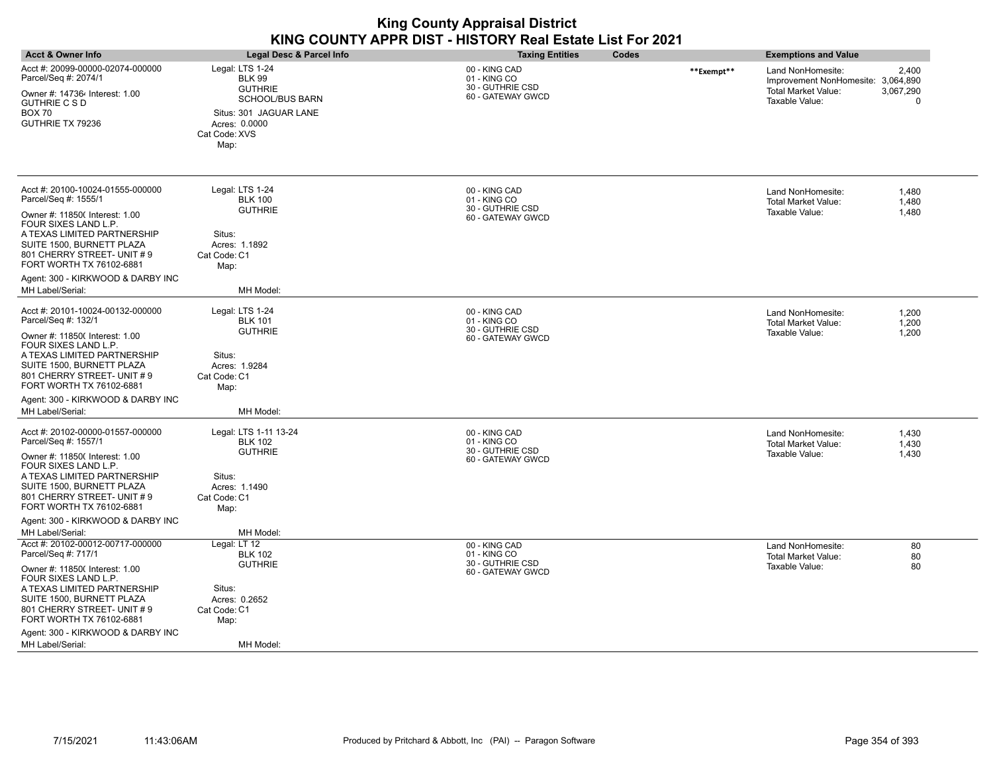| <b>Acct &amp; Owner Info</b>                                                                                                                                                                                                                                                                                         | <b>Legal Desc &amp; Parcel Info</b>                                                                                                              | <b>Taxing Entities</b>                                                 | Codes      | <b>Exemptions and Value</b>                                                                                                        |
|----------------------------------------------------------------------------------------------------------------------------------------------------------------------------------------------------------------------------------------------------------------------------------------------------------------------|--------------------------------------------------------------------------------------------------------------------------------------------------|------------------------------------------------------------------------|------------|------------------------------------------------------------------------------------------------------------------------------------|
| Acct #: 20099-00000-02074-000000<br>Parcel/Seq #: 2074/1<br>Owner #: 147364 Interest: 1.00<br><b>GUTHRIE C S D</b><br><b>BOX 70</b><br>GUTHRIE TX 79236                                                                                                                                                              | Legal: LTS 1-24<br><b>BLK 99</b><br><b>GUTHRIE</b><br><b>SCHOOL/BUS BARN</b><br>Situs: 301 JAGUAR LANE<br>Acres: 0.0000<br>Cat Code: XVS<br>Map: | 00 - KING CAD<br>01 - KING CO<br>30 - GUTHRIE CSD<br>60 - GATEWAY GWCD | **Exempt** | 2,400<br>Land NonHomesite:<br>Improvement NonHomesite: 3,064,890<br><b>Total Market Value:</b><br>3,067,290<br>Taxable Value:<br>0 |
| Acct #: 20100-10024-01555-000000<br>Parcel/Seq #: 1555/1<br>Owner #: 11850( Interest: 1.00<br>FOUR SIXES LAND L.P.<br>A TEXAS LIMITED PARTNERSHIP<br>SUITE 1500, BURNETT PLAZA<br>801 CHERRY STREET- UNIT #9<br>FORT WORTH TX 76102-6881<br>Agent: 300 - KIRKWOOD & DARBY INC<br>MH Label/Serial:                    | Legal: LTS 1-24<br><b>BLK 100</b><br><b>GUTHRIE</b><br>Situs:<br>Acres: 1.1892<br>Cat Code: C1<br>Map:<br>MH Model:                              | 00 - KING CAD<br>01 - KING CO<br>30 - GUTHRIE CSD<br>60 - GATEWAY GWCD |            | Land NonHomesite:<br>1,480<br><b>Total Market Value:</b><br>1,480<br>Taxable Value:<br>1,480                                       |
| Acct #: 20101-10024-00132-000000<br>Parcel/Seq #: 132/1<br>Owner #: 11850( Interest: 1.00<br>FOUR SIXES LAND L.P.<br>A TEXAS LIMITED PARTNERSHIP<br>SUITE 1500, BURNETT PLAZA<br>801 CHERRY STREET- UNIT #9<br>FORT WORTH TX 76102-6881<br>Agent: 300 - KIRKWOOD & DARBY INC<br>MH Label/Serial:                     | Legal: LTS 1-24<br><b>BLK 101</b><br><b>GUTHRIE</b><br>Situs:<br>Acres: 1.9284<br>Cat Code: C1<br>Map:<br>MH Model:                              | 00 - KING CAD<br>01 - KING CO<br>30 - GUTHRIE CSD<br>60 - GATEWAY GWCD |            | Land NonHomesite:<br>1,200<br>1,200<br>Total Market Value:<br>Taxable Value:<br>1,200                                              |
| Acct #: 20102-00000-01557-000000<br>Parcel/Seq #: 1557/1<br>Owner #: 11850( Interest: 1.00<br>FOUR SIXES LAND L.P.<br>A TEXAS LIMITED PARTNERSHIP<br>SUITE 1500, BURNETT PLAZA<br>801 CHERRY STREET- UNIT #9<br>FORT WORTH TX 76102-6881<br>Agent: 300 - KIRKWOOD & DARBY INC                                        | Legal: LTS 1-11 13-24<br><b>BLK 102</b><br><b>GUTHRIE</b><br>Situs:<br>Acres: 1.1490<br>Cat Code: C1<br>Map:<br>MH Model:                        | 00 - KING CAD<br>01 - KING CO<br>30 - GUTHRIE CSD<br>60 - GATEWAY GWCD |            | Land NonHomesite:<br>1,430<br><b>Total Market Value:</b><br>1,430<br>Taxable Value:<br>1,430                                       |
| MH Label/Serial:<br>Acct #: 20102-00012-00717-000000<br>Parcel/Seq #: 717/1<br>Owner #: 11850( Interest: 1.00<br>FOUR SIXES LAND L.P.<br>A TEXAS LIMITED PARTNERSHIP<br>SUITE 1500, BURNETT PLAZA<br>801 CHERRY STREET- UNIT #9<br>FORT WORTH TX 76102-6881<br>Agent: 300 - KIRKWOOD & DARBY INC<br>MH Label/Serial: | Legal: LT 12<br><b>BLK 102</b><br><b>GUTHRIE</b><br>Situs:<br>Acres: 0.2652<br>Cat Code: C1<br>Map:<br>MH Model:                                 | 00 - KING CAD<br>01 - KING CO<br>30 - GUTHRIE CSD<br>60 - GATEWAY GWCD |            | 80<br>Land NonHomesite:<br>80<br>Total Market Value:<br>80<br>Taxable Value:                                                       |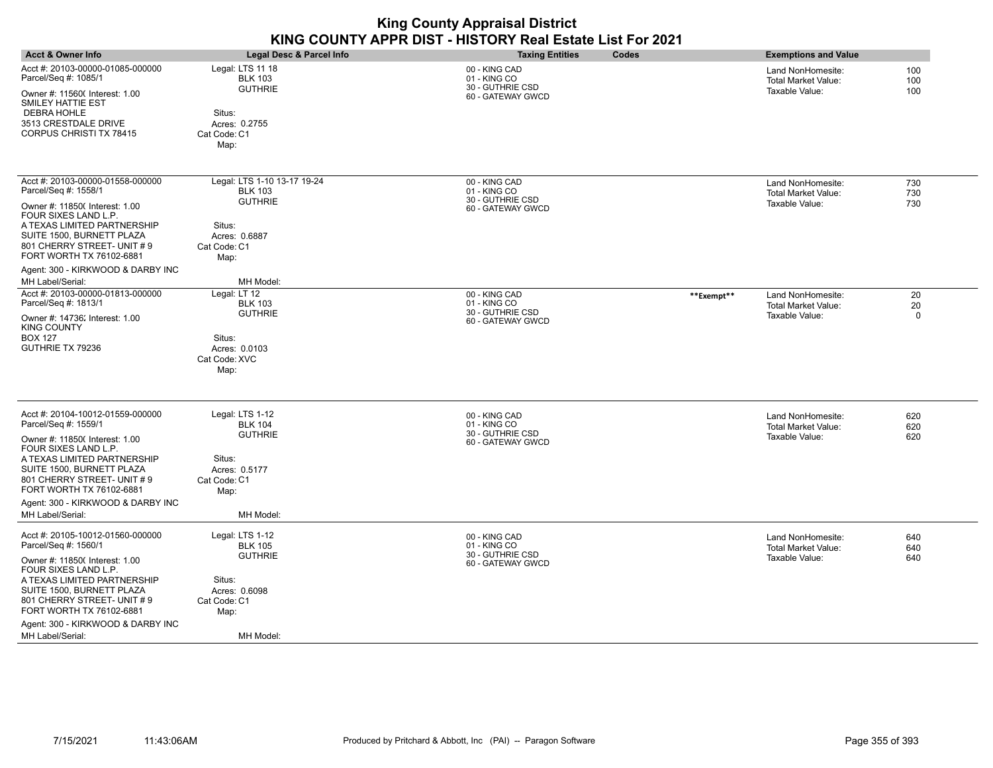| <b>King County Appraisal District</b><br>KING COUNTY APPR DIST - HISTORY Real Estate List For 2021                                                                                                                                                                                                |                                                                                                                                 |                                                                        |            |                                                                   |                         |
|---------------------------------------------------------------------------------------------------------------------------------------------------------------------------------------------------------------------------------------------------------------------------------------------------|---------------------------------------------------------------------------------------------------------------------------------|------------------------------------------------------------------------|------------|-------------------------------------------------------------------|-------------------------|
| <b>Acct &amp; Owner Info</b>                                                                                                                                                                                                                                                                      | <b>Legal Desc &amp; Parcel Info</b>                                                                                             | Codes<br><b>Taxing Entities</b>                                        |            | <b>Exemptions and Value</b>                                       |                         |
| Acct #: 20103-00000-01085-000000<br>Parcel/Seq #: 1085/1<br>Owner #: 11560( Interest: 1.00<br>SMILEY HATTIE EST<br>DEBRA HOHLE<br>3513 CRESTDALE DRIVE<br><b>CORPUS CHRISTI TX 78415</b>                                                                                                          | Legal: LTS 11 18<br><b>BLK 103</b><br><b>GUTHRIE</b><br>Situs:<br>Acres: 0.2755<br>Cat Code: C1<br>Map:                         | 00 - KING CAD<br>01 - KING CO<br>30 - GUTHRIE CSD<br>60 - GATEWAY GWCD |            | Land NonHomesite:<br><b>Total Market Value:</b><br>Taxable Value: | 100<br>100<br>100       |
| Acct #: 20103-00000-01558-000000<br>Parcel/Seq #: 1558/1<br>Owner #: 11850( Interest: 1.00<br>FOUR SIXES LAND L.P.<br>A TEXAS LIMITED PARTNERSHIP<br>SUITE 1500, BURNETT PLAZA<br>801 CHERRY STREET- UNIT #9<br>FORT WORTH TX 76102-6881<br>Agent: 300 - KIRKWOOD & DARBY INC<br>MH Label/Serial: | Legal: LTS 1-10 13-17 19-24<br><b>BLK 103</b><br><b>GUTHRIE</b><br>Situs:<br>Acres: 0.6887<br>Cat Code: C1<br>Map:<br>MH Model: | 00 - KING CAD<br>01 - KING CO<br>30 - GUTHRIE CSD<br>60 - GATEWAY GWCD |            | Land NonHomesite:<br><b>Total Market Value:</b><br>Taxable Value: | 730<br>730<br>730       |
| Acct #: 20103-00000-01813-000000<br>Parcel/Seq #: 1813/1<br>Owner #: 14736; Interest: 1.00<br><b>KING COUNTY</b><br><b>BOX 127</b><br>GUTHRIE TX 79236                                                                                                                                            | Legal: LT 12<br><b>BLK 103</b><br><b>GUTHRIE</b><br>Situs:<br>Acres: 0.0103<br>Cat Code: XVC<br>Map:                            | 00 - KING CAD<br>01 - KING CO<br>30 - GUTHRIE CSD<br>60 - GATEWAY GWCD | **Exempt** | Land NonHomesite:<br>Total Market Value:<br>Taxable Value:        | 20<br>20<br>$\mathbf 0$ |
| Acct #: 20104-10012-01559-000000<br>Parcel/Seq #: 1559/1<br>Owner #: 11850( Interest: 1.00<br>FOUR SIXES LAND L.P.<br>A TEXAS LIMITED PARTNERSHIP<br>SUITE 1500, BURNETT PLAZA<br>801 CHERRY STREET- UNIT #9<br>FORT WORTH TX 76102-6881<br>Agent: 300 - KIRKWOOD & DARBY INC<br>MH Label/Serial: | Legal: LTS 1-12<br><b>BLK 104</b><br><b>GUTHRIE</b><br>Situs:<br>Acres: 0.5177<br>Cat Code: C1<br>Map:<br>MH Model:             | 00 - KING CAD<br>01 - KING CO<br>30 - GUTHRIE CSD<br>60 - GATEWAY GWCD |            | Land NonHomesite:<br>Total Market Value:<br>Taxable Value:        | 620<br>620<br>620       |
| Acct #: 20105-10012-01560-000000<br>Parcel/Seq #: 1560/1<br>Owner #: 11850( Interest: 1.00<br>FOUR SIXES LAND L.P.<br>A TEXAS LIMITED PARTNERSHIP<br>SUITE 1500, BURNETT PLAZA<br>801 CHERRY STREET- UNIT #9<br>FORT WORTH TX 76102-6881<br>Agent: 300 - KIRKWOOD & DARBY INC<br>MH Label/Serial: | Legal: LTS 1-12<br><b>BLK 105</b><br><b>GUTHRIE</b><br>Situs:<br>Acres: 0.6098<br>Cat Code: C1<br>Map:<br>MH Model:             | 00 - KING CAD<br>01 - KING CO<br>30 - GUTHRIE CSD<br>60 - GATEWAY GWCD |            | Land NonHomesite:<br>Total Market Value:<br>Taxable Value:        | 640<br>640<br>640       |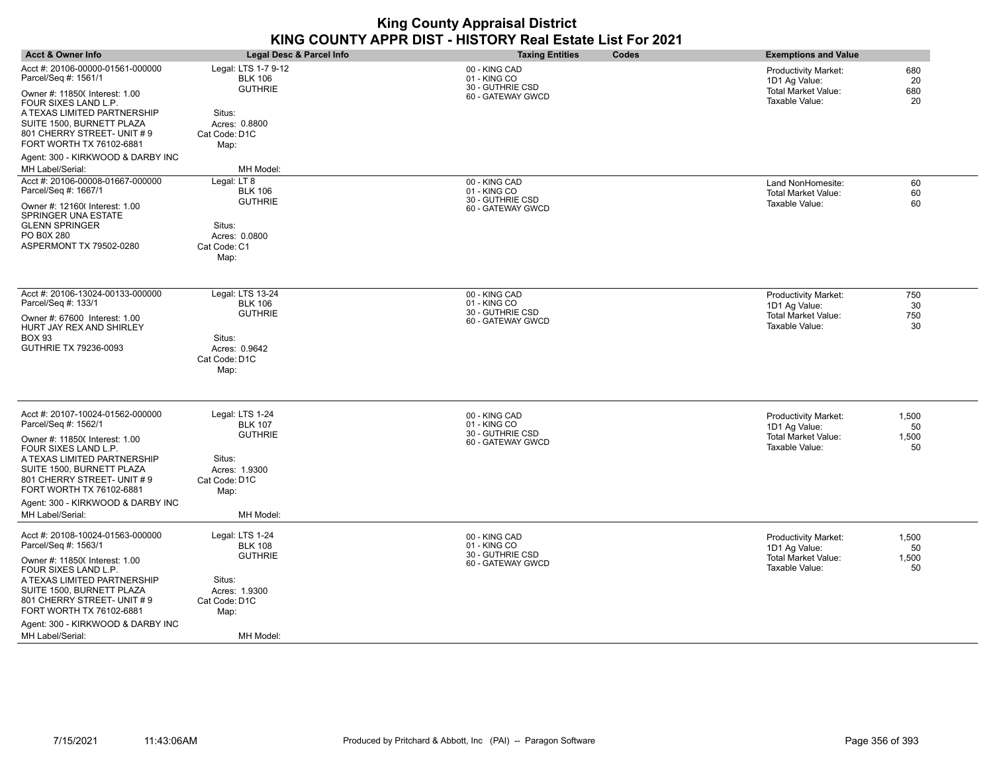| <b>Acct &amp; Owner Info</b>                                                                                                                                                                                                                                                                       | <b>Legal Desc &amp; Parcel Info</b>                                                                                  | <b>Taxing Entities</b>                                                 | Codes | <b>Exemptions and Value</b>                                                                  |                            |
|----------------------------------------------------------------------------------------------------------------------------------------------------------------------------------------------------------------------------------------------------------------------------------------------------|----------------------------------------------------------------------------------------------------------------------|------------------------------------------------------------------------|-------|----------------------------------------------------------------------------------------------|----------------------------|
| Acct #: 20106-00000-01561-000000<br>Parcel/Seq #: 1561/1<br>Owner #: 11850( Interest: 1.00<br>FOUR SIXES LAND L.P.<br>A TEXAS LIMITED PARTNERSHIP<br>SUITE 1500, BURNETT PLAZA<br>801 CHERRY STREET- UNIT # 9<br>FORT WORTH TX 76102-6881<br>Agent: 300 - KIRKWOOD & DARBY INC                     | Legal: LTS 1-7 9-12<br><b>BLK 106</b><br><b>GUTHRIE</b><br>Situs:<br>Acres: 0.8800<br>Cat Code: D1C<br>Map:          | 00 - KING CAD<br>01 - KING CO<br>30 - GUTHRIE CSD<br>60 - GATEWAY GWCD |       | <b>Productivity Market:</b><br>1D1 Ag Value:<br><b>Total Market Value:</b><br>Taxable Value: | 680<br>20<br>680<br>20     |
| MH Label/Serial:<br>Acct #: 20106-00008-01667-000000                                                                                                                                                                                                                                               | MH Model:<br>Legal: LT 8                                                                                             | 00 - KING CAD                                                          |       |                                                                                              |                            |
| Parcel/Seq #: 1667/1<br>Owner #: 12160( Interest: 1.00<br>SPRINGER UNA ESTATE<br><b>GLENN SPRINGER</b><br>PO B0X 280<br>ASPERMONT TX 79502-0280                                                                                                                                                    | <b>BLK 106</b><br><b>GUTHRIE</b><br>Situs:<br>Acres: 0.0800<br>Cat Code: C1<br>Map:                                  | 01 - KING CO<br>30 - GUTHRIE CSD<br>60 - GATEWAY GWCD                  |       | Land NonHomesite:<br>Total Market Value:<br>Taxable Value:                                   | 60<br>60<br>60             |
| Acct #: 20106-13024-00133-000000<br>Parcel/Seq #: 133/1<br>Owner #: 67600 Interest: 1.00<br>HURT JAY REX AND SHIRLEY<br>BOX 93<br>GUTHRIE TX 79236-0093                                                                                                                                            | Legal: LTS 13-24<br><b>BLK 106</b><br><b>GUTHRIE</b><br>Situs:<br>Acres: 0.9642<br>Cat Code: D1C<br>Map:             | 00 - KING CAD<br>01 - KING CO<br>30 - GUTHRIE CSD<br>60 - GATEWAY GWCD |       | <b>Productivity Market:</b><br>1D1 Ag Value:<br><b>Total Market Value:</b><br>Taxable Value: | 750<br>30<br>750<br>30     |
| Acct #: 20107-10024-01562-000000<br>Parcel/Seq #: 1562/1<br>Owner #: 11850( Interest: 1.00<br>FOUR SIXES LAND L.P.<br>A TEXAS LIMITED PARTNERSHIP<br>SUITE 1500, BURNETT PLAZA<br>801 CHERRY STREET- UNIT # 9<br>FORT WORTH TX 76102-6881<br>Agent: 300 - KIRKWOOD & DARBY INC<br>MH Label/Serial: | Legal: LTS 1-24<br><b>BLK 107</b><br><b>GUTHRIE</b><br>Situs:<br>Acres: 1.9300<br>Cat Code: D1C<br>Map:<br>MH Model: | 00 - KING CAD<br>01 - KING CO<br>30 - GUTHRIE CSD<br>60 - GATEWAY GWCD |       | <b>Productivity Market:</b><br>1D1 Ag Value:<br><b>Total Market Value:</b><br>Taxable Value: | 1,500<br>50<br>1,500<br>50 |
| Acct #: 20108-10024-01563-000000<br>Parcel/Seq #: 1563/1<br>Owner #: 11850( Interest: 1.00<br>FOUR SIXES LAND L.P.<br>A TEXAS LIMITED PARTNERSHIP<br>SUITE 1500, BURNETT PLAZA<br>801 CHERRY STREET- UNIT # 9<br>FORT WORTH TX 76102-6881<br>Agent: 300 - KIRKWOOD & DARBY INC<br>MH Label/Serial: | Legal: LTS 1-24<br><b>BLK 108</b><br><b>GUTHRIE</b><br>Situs:<br>Acres: 1.9300<br>Cat Code: D1C<br>Map:<br>MH Model: | 00 - KING CAD<br>01 - KING CO<br>30 - GUTHRIE CSD<br>60 - GATEWAY GWCD |       | <b>Productivity Market:</b><br>1D1 Ag Value:<br>Total Market Value:<br>Taxable Value:        | 1,500<br>50<br>1,500<br>50 |

 $\overline{\phantom{a}}$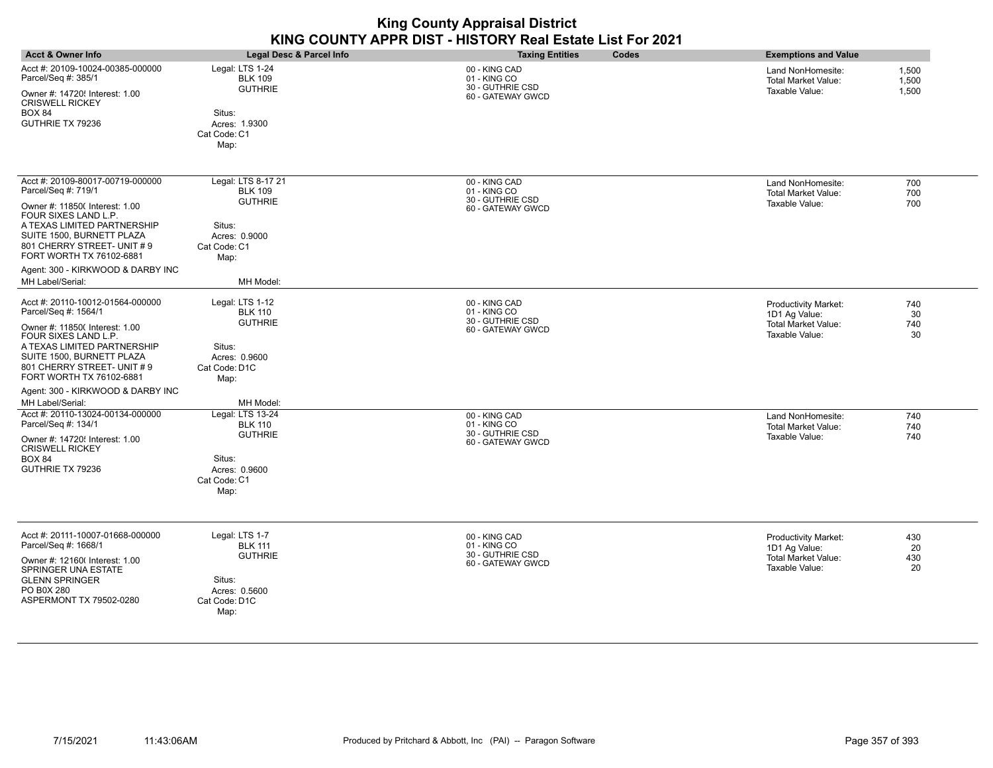|                                                                                                                                                                                                                                                                              |                                                                                                                      | <b>King County Appraisal District</b><br>KING COUNTY APPR DIST - HISTORY Real Estate List For 2021 |                                                                                                                 |  |
|------------------------------------------------------------------------------------------------------------------------------------------------------------------------------------------------------------------------------------------------------------------------------|----------------------------------------------------------------------------------------------------------------------|----------------------------------------------------------------------------------------------------|-----------------------------------------------------------------------------------------------------------------|--|
| <b>Acct &amp; Owner Info</b>                                                                                                                                                                                                                                                 | Legal Desc & Parcel Info                                                                                             | <b>Taxing Entities</b><br>Codes                                                                    | <b>Exemptions and Value</b>                                                                                     |  |
| Acct #: 20109-10024-00385-000000<br>Parcel/Seq #: 385/1<br>Owner #: 14720! Interest: 1.00<br><b>CRISWELL RICKEY</b><br><b>BOX 84</b><br>GUTHRIE TX 79236                                                                                                                     | Legal: LTS 1-24<br><b>BLK 109</b><br><b>GUTHRIE</b><br>Situs:<br>Acres: 1.9300<br>Cat Code: C1<br>Map:               | 00 - KING CAD<br>01 - KING CO<br>30 - GUTHRIE CSD<br>60 - GATEWAY GWCD                             | 1,500<br>Land NonHomesite:<br>Total Market Value:<br>1,500<br>Taxable Value:<br>1,500                           |  |
| Acct #: 20109-80017-00719-000000<br>Parcel/Seq #: 719/1<br>Owner #: 11850( Interest: 1.00<br>FOUR SIXES LAND L.P.<br>A TEXAS LIMITED PARTNERSHIP<br>SUITE 1500, BURNETT PLAZA<br>801 CHERRY STREET- UNIT #9<br>FORT WORTH TX 76102-6881<br>Agent: 300 - KIRKWOOD & DARBY INC | Legal: LTS 8-17 21<br><b>BLK 109</b><br><b>GUTHRIE</b><br>Situs:<br>Acres: 0.9000<br>Cat Code: C1<br>Map:            | 00 - KING CAD<br>01 - KING CO<br>30 - GUTHRIE CSD<br>60 - GATEWAY GWCD                             | Land NonHomesite:<br>700<br>700<br><b>Total Market Value:</b><br>700<br>Taxable Value:                          |  |
| MH Label/Serial:                                                                                                                                                                                                                                                             | MH Model:                                                                                                            |                                                                                                    |                                                                                                                 |  |
| Acct #: 20110-10012-01564-000000<br>Parcel/Seq #: 1564/1<br>Owner #: 11850( Interest: 1.00<br>FOUR SIXES LAND L.P.<br>A TEXAS LIMITED PARTNERSHIP<br>SUITE 1500, BURNETT PLAZA<br>801 CHERRY STREET- UNIT #9<br>FORT WORTH TX 76102-6881                                     | Legal: LTS 1-12<br><b>BLK 110</b><br><b>GUTHRIE</b><br>Situs:<br>Acres: 0.9600<br>Cat Code: D1C<br>Map:              | 00 - KING CAD<br>01 - KING CO<br>30 - GUTHRIE CSD<br>60 - GATEWAY GWCD                             | 740<br>Productivity Market:<br>1D1 Ag Value:<br>30<br><b>Total Market Value:</b><br>740<br>Taxable Value:<br>30 |  |
| Agent: 300 - KIRKWOOD & DARBY INC                                                                                                                                                                                                                                            |                                                                                                                      |                                                                                                    |                                                                                                                 |  |
| MH Label/Serial:<br>Acct #: 20110-13024-00134-000000<br>Parcel/Seq #: 134/1<br>Owner #: 14720{ Interest: 1.00<br><b>CRISWELL RICKEY</b><br><b>BOX 84</b><br>GUTHRIE TX 79236                                                                                                 | MH Model:<br>Legal: LTS 13-24<br><b>BLK 110</b><br><b>GUTHRIE</b><br>Situs:<br>Acres: 0.9600<br>Cat Code: C1<br>Map: | 00 - KING CAD<br>01 - KING CO<br>30 - GUTHRIE CSD<br>60 - GATEWAY GWCD                             | 740<br>Land NonHomesite:<br><b>Total Market Value:</b><br>740<br>Taxable Value:<br>740                          |  |
| Acct #: 20111-10007-01668-000000<br>Parcel/Seq #: 1668/1<br>Owner #: 12160( Interest: 1.00<br>SPRINGER UNA ESTATE<br><b>GLENN SPRINGER</b><br>PO B0X 280<br>ASPERMONT TX 79502-0280                                                                                          | Legal: LTS 1-7<br><b>BLK 111</b><br><b>GUTHRIE</b><br>Situs:<br>Acres: 0.5600<br>Cat Code: D1C<br>Map:               | 00 - KING CAD<br>01 - KING CO<br>30 - GUTHRIE CSD<br>60 - GATEWAY GWCD                             | Productivity Market:<br>430<br>20<br>1D1 Ag Value:<br><b>Total Market Value:</b><br>430<br>Taxable Value:<br>20 |  |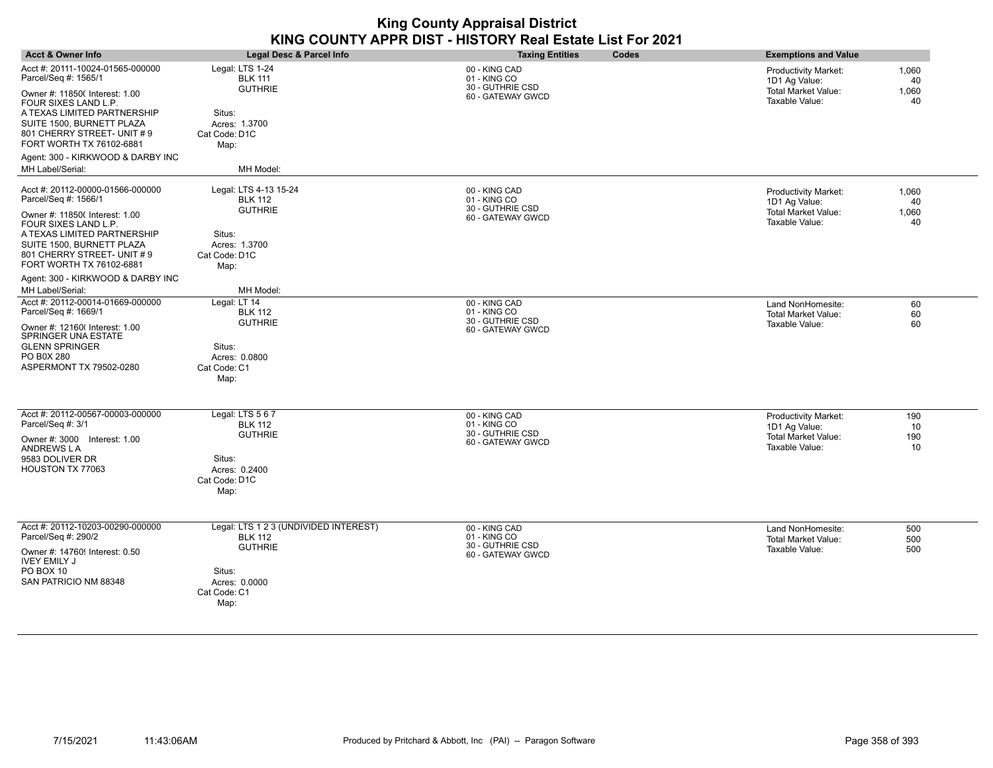| <b>Acct &amp; Owner Info</b>                             | Legal Desc & Parcel Info                | <b>Taxing Entities</b><br>Codes                   | <b>Exemptions and Value</b>                                 |
|----------------------------------------------------------|-----------------------------------------|---------------------------------------------------|-------------------------------------------------------------|
| Acct #: 20111-10024-01565-000000<br>Parcel/Seq #: 1565/1 | Legal: LTS 1-24<br><b>BLK 111</b>       | 00 - KING CAD<br>01 - KING CO                     | 1,060<br><b>Productivity Market:</b><br>1D1 Ag Value:<br>40 |
| Owner #: 11850( Interest: 1.00<br>FOUR SIXES LAND L.P.   | <b>GUTHRIE</b>                          | 30 - GUTHRIE CSD<br>60 - GATEWAY GWCD             | <b>Total Market Value:</b><br>1,060<br>Taxable Value:<br>40 |
| A TEXAS LIMITED PARTNERSHIP<br>SUITE 1500, BURNETT PLAZA | Situs:<br>Acres: 1.3700                 |                                                   |                                                             |
| 801 CHERRY STREET- UNIT # 9<br>FORT WORTH TX 76102-6881  | Cat Code: D1C<br>Map:                   |                                                   |                                                             |
| Agent: 300 - KIRKWOOD & DARBY INC<br>MH Label/Serial:    |                                         |                                                   |                                                             |
|                                                          | MH Model:                               |                                                   |                                                             |
| Acct #: 20112-00000-01566-000000<br>Parcel/Seq #: 1566/1 | Legal: LTS 4-13 15-24<br><b>BLK 112</b> | 00 - KING CAD<br>01 - KING CO<br>30 - GUTHRIE CSD | Productivity Market:<br>1,060<br>1D1 Ag Value:<br>40        |
| Owner #: 11850( Interest: 1.00<br>FOUR SIXES LAND L.P.   | <b>GUTHRIE</b>                          | 60 - GATEWAY GWCD                                 | <b>Total Market Value:</b><br>1,060<br>Taxable Value:<br>40 |
| A TEXAS LIMITED PARTNERSHIP<br>SUITE 1500, BURNETT PLAZA | Situs:<br>Acres: 1.3700                 |                                                   |                                                             |
| 801 CHERRY STREET- UNIT # 9<br>FORT WORTH TX 76102-6881  | Cat Code: D1C<br>Map:                   |                                                   |                                                             |
| Agent: 300 - KIRKWOOD & DARBY INC                        |                                         |                                                   |                                                             |
| MH Label/Serial:                                         | MH Model:                               |                                                   |                                                             |
| Acct #: 20112-00014-01669-000000<br>Parcel/Seq #: 1669/1 | Legal: LT 14<br><b>BLK 112</b>          | 00 - KING CAD<br>01 - KING CO                     | Land NonHomesite:<br>60<br>Total Market Value:<br>60        |
| Owner #: 12160( Interest: 1.00<br>SPRINGER UNA ESTATE    | <b>GUTHRIE</b>                          | 30 - GUTHRIE CSD<br>60 - GATEWAY GWCD             | Taxable Value:<br>60                                        |
| <b>GLENN SPRINGER</b>                                    | Situs:                                  |                                                   |                                                             |
| PO B0X 280<br>ASPERMONT TX 79502-0280                    | Acres: 0.0800<br>Cat Code: C1           |                                                   |                                                             |
|                                                          | Map:                                    |                                                   |                                                             |
| Acct #: 20112-00567-00003-000000                         | Legal: LTS 5 6 7                        | 00 - KING CAD                                     | 190<br><b>Productivity Market:</b>                          |
| Parcel/Seq #: 3/1                                        | <b>BLK 112</b>                          | 01 - KING CO<br>30 - GUTHRIE CSD                  | 1D1 Ag Value:<br>10                                         |
| Owner #: 3000 Interest: 1.00                             | <b>GUTHRIE</b>                          | 60 - GATEWAY GWCD                                 | Total Market Value:<br>190<br>Taxable Value:<br>10          |
| ANDREWS LA<br>9583 DOLIVER DR                            | Situs:                                  |                                                   |                                                             |
| <b>HOUSTON TX 77063</b>                                  | Acres: 0.2400                           |                                                   |                                                             |
|                                                          | Cat Code: D1C<br>Map:                   |                                                   |                                                             |
| Acct #: 20112-10203-00290-000000                         | Legal: LTS 1 2 3 (UNDIVIDED INTEREST)   |                                                   |                                                             |
| Parcel/Seq #: 290/2                                      | <b>BLK 112</b>                          | 00 - KING CAD<br>01 - KING CO                     | Land NonHomesite:<br>500<br>Total Market Value:<br>500      |
| Owner #: 147609 Interest: 0.50<br>IVEY EMILY J           | <b>GUTHRIE</b>                          | 30 - GUTHRIE CSD<br>60 - GATEWAY GWCD             | Taxable Value:<br>500                                       |
| <b>PO BOX 10</b>                                         | Situs:                                  |                                                   |                                                             |
| SAN PATRICIO NM 88348                                    | Acres: 0.0000<br>Cat Code: C1           |                                                   |                                                             |
|                                                          | Map:                                    |                                                   |                                                             |
|                                                          |                                         |                                                   |                                                             |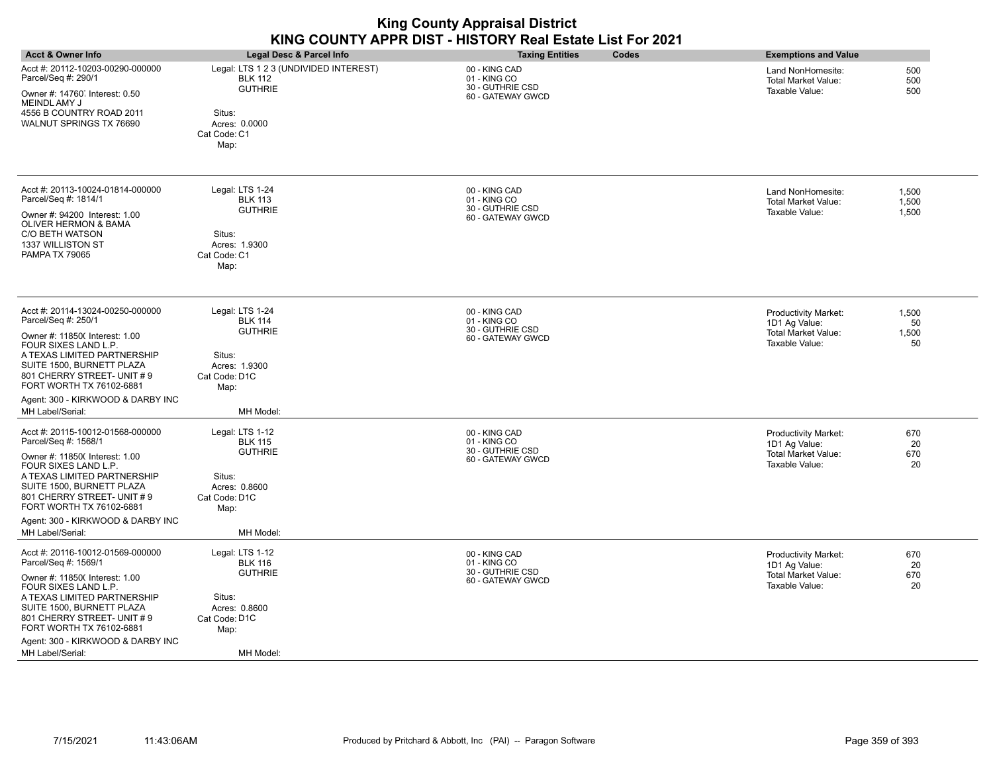| <b>King County Appraisal District</b><br>KING COUNTY APPR DIST - HISTORY Real Estate List For 2021                                                                                                                                                                                                                     |                                                                                                                                   |                                                                        |                                                                                                                     |  |
|------------------------------------------------------------------------------------------------------------------------------------------------------------------------------------------------------------------------------------------------------------------------------------------------------------------------|-----------------------------------------------------------------------------------------------------------------------------------|------------------------------------------------------------------------|---------------------------------------------------------------------------------------------------------------------|--|
| <b>Acct &amp; Owner Info</b>                                                                                                                                                                                                                                                                                           | <b>Legal Desc &amp; Parcel Info</b>                                                                                               | <b>Taxing Entities</b><br>Codes                                        | <b>Exemptions and Value</b>                                                                                         |  |
| Acct #: 20112-10203-00290-000000<br>Parcel/Seq #: 290/1<br>Owner #: 14760, Interest: 0.50<br>MEINDL AMY J<br>4556 B COUNTRY ROAD 2011<br>WALNUT SPRINGS TX 76690                                                                                                                                                       | Legal: LTS 1 2 3 (UNDIVIDED INTEREST)<br><b>BLK 112</b><br><b>GUTHRIE</b><br>Situs:<br>Acres: 0.0000<br>Cat Code: C1<br>Map:      | 00 - KING CAD<br>01 - KING CO<br>30 - GUTHRIE CSD<br>60 - GATEWAY GWCD | 500<br>Land NonHomesite:<br>500<br><b>Total Market Value:</b><br>500<br>Taxable Value:                              |  |
| Acct #: 20113-10024-01814-000000<br>Parcel/Seq #: 1814/1<br>Owner #: 94200 Interest: 1.00<br>OLIVER HERMON & BAMA<br>C/O BETH WATSON<br>1337 WILLISTON ST<br><b>PAMPA TX 79065</b>                                                                                                                                     | Legal: LTS 1-24<br><b>BLK 113</b><br><b>GUTHRIE</b><br>Situs:<br>Acres: 1.9300<br>Cat Code: C1<br>Map:                            | 00 - KING CAD<br>01 - KING CO<br>30 - GUTHRIE CSD<br>60 - GATEWAY GWCD | Land NonHomesite:<br>1,500<br>1,500<br><b>Total Market Value:</b><br>Taxable Value:<br>1,500                        |  |
| Acct #: 20114-13024-00250-000000<br>Parcel/Seq #: 250/1<br>Owner #: 11850( Interest: 1.00<br>FOUR SIXES LAND L.P.<br>A TEXAS LIMITED PARTNERSHIP<br>SUITE 1500, BURNETT PLAZA<br>801 CHERRY STREET- UNIT # 9<br>FORT WORTH TX 76102-6881<br>Agent: 300 - KIRKWOOD & DARBY INC<br>MH Label/Serial:                      | Legal: LTS 1-24<br><b>BLK 114</b><br><b>GUTHRIE</b><br>Situs:<br>Acres: 1.9300<br>Cat Code: D1C<br>Map:<br>MH Model:              | 00 - KING CAD<br>01 - KING CO<br>30 - GUTHRIE CSD<br>60 - GATEWAY GWCD | Productivity Market:<br>1,500<br>1D1 Ag Value:<br>50<br><b>Total Market Value:</b><br>1,500<br>Taxable Value:<br>50 |  |
| Acct #: 20115-10012-01568-000000<br>Parcel/Seq #: 1568/1<br>Owner #: 11850( Interest: 1.00<br>FOUR SIXES LAND L.P.<br>A TEXAS LIMITED PARTNERSHIP<br>SUITE 1500, BURNETT PLAZA<br>801 CHERRY STREET- UNIT # 9<br>FORT WORTH TX 76102-6881<br>Agent: 300 - KIRKWOOD & DARBY INC                                         | Legal: LTS 1-12<br><b>BLK 115</b><br><b>GUTHRIE</b><br>Situs:<br>Acres: 0.8600<br>Cat Code: D1C<br>Map:                           | 00 - KING CAD<br>01 - KING CO<br>30 - GUTHRIE CSD<br>60 - GATEWAY GWCD | Productivity Market:<br>670<br>1D1 Ag Value:<br>20<br><b>Total Market Value:</b><br>670<br>Taxable Value:<br>20     |  |
| MH Label/Serial:<br>Acct #: 20116-10012-01569-000000<br>Parcel/Seq #: 1569/1<br>Owner #: 11850( Interest: 1.00<br>FOUR SIXES LAND L.P.<br>A TEXAS LIMITED PARTNERSHIP<br>SUITE 1500, BURNETT PLAZA<br>801 CHERRY STREET- UNIT # 9<br>FORT WORTH TX 76102-6881<br>Agent: 300 - KIRKWOOD & DARBY INC<br>MH Label/Serial: | MH Model:<br>Legal: LTS 1-12<br><b>BLK 116</b><br><b>GUTHRIE</b><br>Situs:<br>Acres: 0.8600<br>Cat Code: D1C<br>Map:<br>MH Model: | 00 - KING CAD<br>01 - KING CO<br>30 - GUTHRIE CSD<br>60 - GATEWAY GWCD | 670<br>Productivity Market:<br>1D1 Ag Value:<br>20<br><b>Total Market Value:</b><br>670<br>Taxable Value:<br>20     |  |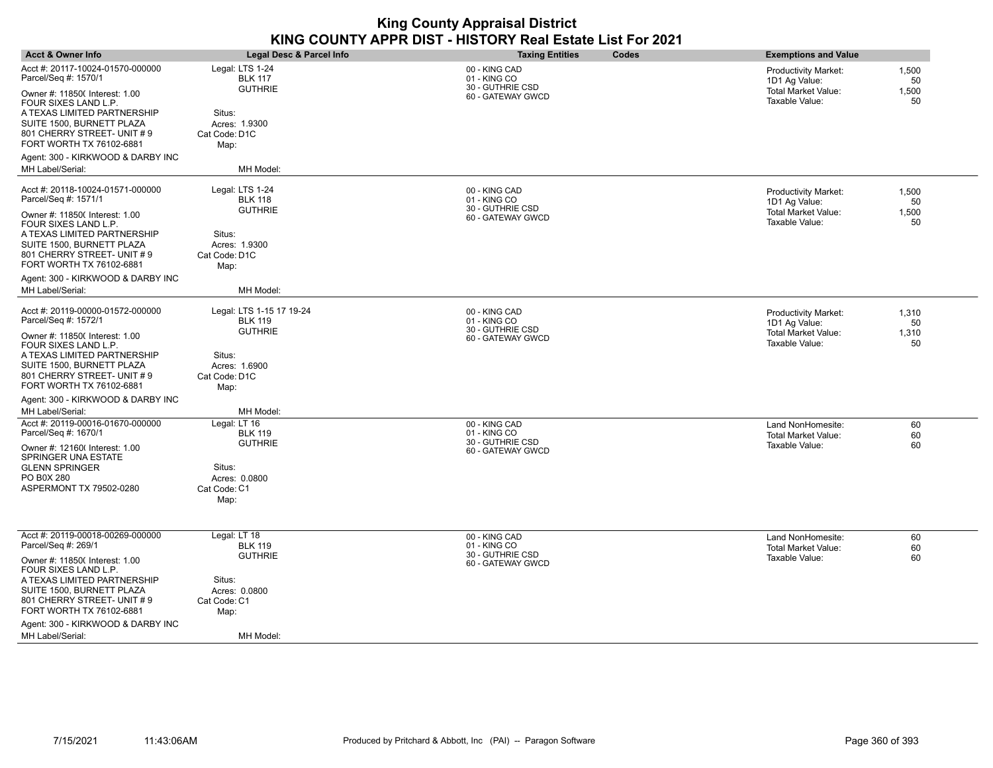| <b>Acct &amp; Owner Info</b>                                                                                                                                                     | Legal Desc & Parcel Info                                           | <b>Taxing Entities</b><br>Codes                                        | <b>Exemptions and Value</b>                                                |                      |
|----------------------------------------------------------------------------------------------------------------------------------------------------------------------------------|--------------------------------------------------------------------|------------------------------------------------------------------------|----------------------------------------------------------------------------|----------------------|
| Acct #: 20117-10024-01570-000000<br>Parcel/Seq #: 1570/1<br>Owner #: 11850( Interest: 1.00                                                                                       | Legal: LTS 1-24<br><b>BLK 117</b><br><b>GUTHRIE</b>                | 00 - KING CAD<br>01 - KING CO<br>30 - GUTHRIE CSD                      | <b>Productivity Market:</b><br>1D1 Ag Value:<br><b>Total Market Value:</b> | 1,500<br>50<br>1,500 |
| FOUR SIXES LAND L.P.<br>A TEXAS LIMITED PARTNERSHIP<br>SUITE 1500, BURNETT PLAZA<br>801 CHERRY STREET- UNIT # 9<br>FORT WORTH TX 76102-6881                                      | Situs:<br>Acres: 1.9300<br>Cat Code: D1C<br>Map:                   | 60 - GATEWAY GWCD                                                      | Taxable Value:                                                             | 50                   |
| Agent: 300 - KIRKWOOD & DARBY INC<br>MH Label/Serial:                                                                                                                            | MH Model:                                                          |                                                                        |                                                                            |                      |
| Acct #: 20118-10024-01571-000000<br>Parcel/Seq #: 1571/1<br>Owner #: 11850( Interest: 1.00                                                                                       | Legal: LTS 1-24<br><b>BLK 118</b><br><b>GUTHRIE</b>                | 00 - KING CAD<br>01 - KING CO<br>30 - GUTHRIE CSD<br>60 - GATEWAY GWCD | <b>Productivity Market:</b><br>1D1 Ag Value:<br>Total Market Value:        | 1,500<br>50<br>1,500 |
| FOUR SIXES LAND L.P.<br>A TEXAS LIMITED PARTNERSHIP<br>SUITE 1500, BURNETT PLAZA<br>801 CHERRY STREET- UNIT # 9<br>FORT WORTH TX 76102-6881<br>Agent: 300 - KIRKWOOD & DARBY INC | Situs:<br>Acres: 1.9300<br>Cat Code: D1C<br>Map:                   |                                                                        | Taxable Value:                                                             | 50                   |
| MH Label/Serial:                                                                                                                                                                 | MH Model:                                                          |                                                                        |                                                                            |                      |
| Acct #: 20119-00000-01572-000000<br>Parcel/Seq #: 1572/1                                                                                                                         | Legal: LTS 1-15 17 19-24<br><b>BLK 119</b>                         | 00 - KING CAD<br>01 - KING CO<br>30 - GUTHRIE CSD                      | Productivity Market:<br>1D1 Ag Value:                                      | 1,310<br>50          |
| Owner #: 11850( Interest: 1.00<br>FOUR SIXES LAND L.P.<br>A TEXAS LIMITED PARTNERSHIP<br>SUITE 1500, BURNETT PLAZA<br>801 CHERRY STREET- UNIT # 9<br>FORT WORTH TX 76102-6881    | <b>GUTHRIE</b><br>Situs:<br>Acres: 1.6900<br>Cat Code: D1C<br>Map: | 60 - GATEWAY GWCD                                                      | Total Market Value:<br>Taxable Value:                                      | 1,310<br>50          |
| Agent: 300 - KIRKWOOD & DARBY INC                                                                                                                                                |                                                                    |                                                                        |                                                                            |                      |
| MH Label/Serial:<br>Acct #: 20119-00016-01670-000000<br>Parcel/Seq #: 1670/1                                                                                                     | MH Model:<br>Legal: LT 16<br><b>BLK 119</b>                        | 00 - KING CAD<br>01 - KING CO                                          | Land NonHomesite:<br>Total Market Value:                                   | 60<br>60             |
| Owner #: 12160( Interest: 1.00<br>SPRINGER UNA ESTATE<br>GLENN SPRINGER                                                                                                          | <b>GUTHRIE</b><br>Situs:                                           | 30 - GUTHRIE CSD<br>60 - GATEWAY GWCD                                  | Taxable Value:                                                             | 60                   |
| PO B0X 280<br>ASPERMONT TX 79502-0280                                                                                                                                            | Acres: 0.0800<br>Cat Code: C1<br>Map:                              |                                                                        |                                                                            |                      |
| Acct #: 20119-00018-00269-000000<br>Parcel/Seq #: 269/1                                                                                                                          | Legal: LT 18<br><b>BLK 119</b>                                     | 00 - KING CAD<br>01 - KING CO                                          | Land NonHomesite:<br>Total Market Value:                                   | 60<br>60             |
| Owner #: 11850( Interest: 1.00<br>FOUR SIXES LAND L.P.<br>A TEXAS LIMITED PARTNERSHIP<br>SUITE 1500, BURNETT PLAZA                                                               | <b>GUTHRIE</b><br>Situs:<br>Acres: 0.0800                          | 30 - GUTHRIE CSD<br>60 - GATEWAY GWCD                                  | Taxable Value:                                                             | 60                   |
| 801 CHERRY STREET- UNIT # 9<br>FORT WORTH TX 76102-6881                                                                                                                          | Cat Code: C1<br>Map:                                               |                                                                        |                                                                            |                      |
| Agent: 300 - KIRKWOOD & DARBY INC<br>MH Label/Serial:                                                                                                                            | MH Model:                                                          |                                                                        |                                                                            |                      |

÷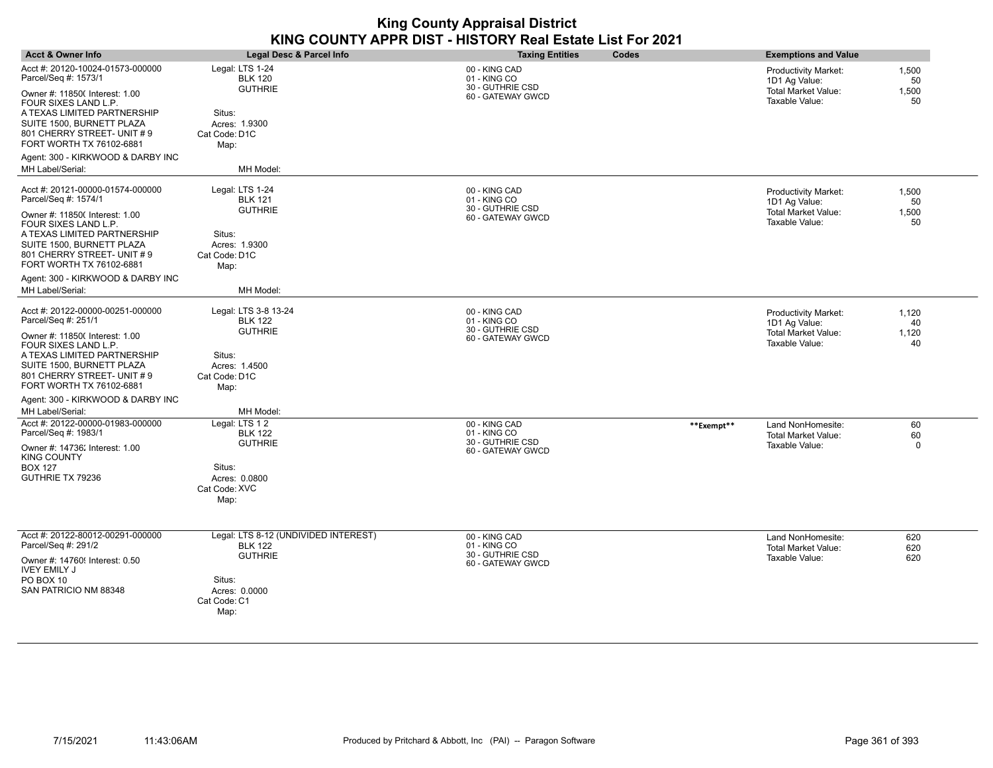| Acct & Owner Info                                                                                                                          | Legal Desc & Parcel Info                            | Codes<br><b>Taxing Entities</b>                                        |            | <b>Exemptions and Value</b>                                  |                      |
|--------------------------------------------------------------------------------------------------------------------------------------------|-----------------------------------------------------|------------------------------------------------------------------------|------------|--------------------------------------------------------------|----------------------|
| Acct #: 20120-10024-01573-000000<br>Parcel/Seq #: 1573/1<br>Owner #: 11850( Interest: 1.00                                                 | Legal: LTS 1-24<br><b>BLK 120</b><br><b>GUTHRIE</b> | 00 - KING CAD<br>01 - KING CO<br>30 - GUTHRIE CSD<br>60 - GATEWAY GWCD |            | Productivity Market:<br>1D1 Ag Value:<br>Total Market Value: | 1,500<br>50<br>1,500 |
| FOUR SIXES LAND L.P.<br>A TEXAS LIMITED PARTNERSHIP<br>SUITE 1500, BURNETT PLAZA<br>801 CHERRY STREET- UNIT #9<br>FORT WORTH TX 76102-6881 | Situs:<br>Acres: 1.9300<br>Cat Code: D1C<br>Map:    |                                                                        |            | Taxable Value:                                               | 50                   |
| Agent: 300 - KIRKWOOD & DARBY INC<br>MH Label/Serial:                                                                                      | MH Model:                                           |                                                                        |            |                                                              |                      |
| Acct #: 20121-00000-01574-000000<br>Parcel/Seq #: 1574/1                                                                                   | Legal: LTS 1-24<br><b>BLK 121</b>                   | 00 - KING CAD<br>01 - KING CO                                          |            | <b>Productivity Market:</b><br>1D1 Ag Value:                 | 1,500<br>50          |
| Owner #: 11850( Interest: 1.00<br>FOUR SIXES LAND L.P.                                                                                     | <b>GUTHRIE</b>                                      | 30 - GUTHRIE CSD<br>60 - GATEWAY GWCD                                  |            | <b>Total Market Value:</b><br>Taxable Value:                 | 1,500<br>50          |
| A TEXAS LIMITED PARTNERSHIP<br>SUITE 1500, BURNETT PLAZA<br>801 CHERRY STREET- UNIT #9<br>FORT WORTH TX 76102-6881                         | Situs:<br>Acres: 1.9300<br>Cat Code: D1C<br>Map:    |                                                                        |            |                                                              |                      |
| Agent: 300 - KIRKWOOD & DARBY INC<br>MH Label/Serial:                                                                                      | MH Model:                                           |                                                                        |            |                                                              |                      |
| Acct #: 20122-00000-00251-000000<br>Parcel/Seq #: 251/1                                                                                    | Legal: LTS 3-8 13-24<br><b>BLK 122</b>              | 00 - KING CAD<br>01 - KING CO                                          |            | <b>Productivity Market:</b><br>1D1 Ag Value:                 | 1,120<br>40          |
| Owner #: 11850( Interest: 1.00<br>FOUR SIXES LAND L.P.                                                                                     | <b>GUTHRIE</b>                                      | 30 - GUTHRIE CSD<br>60 - GATEWAY GWCD                                  |            | <b>Total Market Value:</b><br>Taxable Value:                 | 1,120<br>40          |
| A TEXAS LIMITED PARTNERSHIP<br>SUITE 1500, BURNETT PLAZA<br>801 CHERRY STREET- UNIT #9<br>FORT WORTH TX 76102-6881                         | Situs:<br>Acres: 1.4500<br>Cat Code: D1C<br>Map:    |                                                                        |            |                                                              |                      |
| Agent: 300 - KIRKWOOD & DARBY INC                                                                                                          |                                                     |                                                                        |            |                                                              |                      |
| MH Label/Serial:                                                                                                                           | MH Model:                                           |                                                                        |            |                                                              |                      |
| Acct #: 20122-00000-01983-000000<br>Parcel/Seq #: 1983/1                                                                                   | Legal: LTS 12<br><b>BLK 122</b>                     | 00 - KING CAD<br>01 - KING CO<br>30 - GUTHRIE CSD                      | **Exempt** | Land NonHomesite:<br>Total Market Value:                     | 60<br>60             |
| Owner #: 14736; Interest: 1.00<br><b>KING COUNTY</b><br><b>BOX 127</b>                                                                     | <b>GUTHRIE</b><br>Situs:                            | 60 - GATEWAY GWCD                                                      |            | Taxable Value:                                               | 0                    |
| GUTHRIE TX 79236                                                                                                                           | Acres: 0.0800<br>Cat Code: XVC<br>Map:              |                                                                        |            |                                                              |                      |
| Acct #: 20122-80012-00291-000000                                                                                                           | Legal: LTS 8-12 (UNDIVIDED INTEREST)                | 00 - KING CAD                                                          |            | Land NonHomesite:                                            | 620                  |
| Parcel/Seq #: 291/2<br>Owner #: 14760! Interest: 0.50<br><b>IVEY EMILY J</b>                                                               | <b>BLK 122</b><br><b>GUTHRIE</b>                    | 01 - KING CO<br>30 - GUTHRIE CSD<br>60 - GATEWAY GWCD                  |            | <b>Total Market Value:</b><br>Taxable Value:                 | 620<br>620           |
| PO BOX 10<br>SAN PATRICIO NM 88348                                                                                                         | Situs:<br>Acres: 0.0000                             |                                                                        |            |                                                              |                      |
|                                                                                                                                            | Cat Code: C1<br>Map:                                |                                                                        |            |                                                              |                      |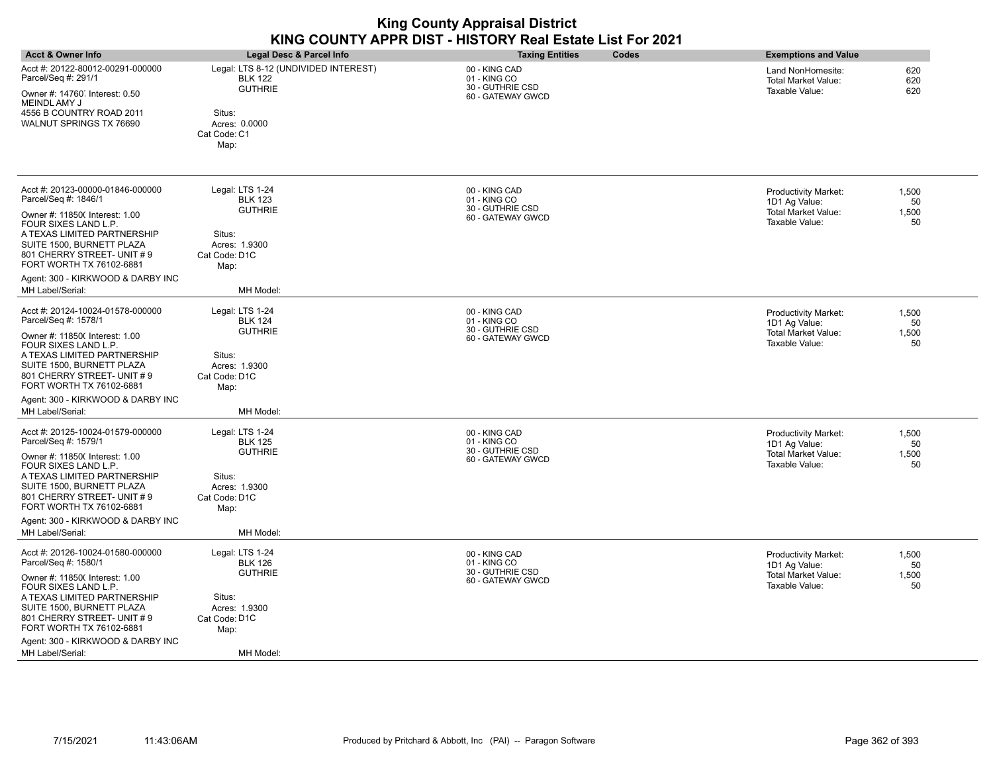| <b>King County Appraisal District</b><br>KING COUNTY APPR DIST - HISTORY Real Estate List For 2021                                                                                                                                                                                                                                                         |                                                                                                                                   |                                                                        |                                                                                                                     |
|------------------------------------------------------------------------------------------------------------------------------------------------------------------------------------------------------------------------------------------------------------------------------------------------------------------------------------------------------------|-----------------------------------------------------------------------------------------------------------------------------------|------------------------------------------------------------------------|---------------------------------------------------------------------------------------------------------------------|
| <b>Acct &amp; Owner Info</b>                                                                                                                                                                                                                                                                                                                               | <b>Legal Desc &amp; Parcel Info</b>                                                                                               | <b>Taxing Entities</b><br>Codes                                        | <b>Exemptions and Value</b>                                                                                         |
| Acct #: 20122-80012-00291-000000<br>Parcel/Seq #: 291/1<br>Owner #: 14760, Interest: 0.50<br>MEINDL AMY J<br>4556 B COUNTRY ROAD 2011<br>WALNUT SPRINGS TX 76690                                                                                                                                                                                           | Legal: LTS 8-12 (UNDIVIDED INTEREST)<br><b>BLK 122</b><br><b>GUTHRIE</b><br>Situs:<br>Acres: 0.0000<br>Cat Code: C1<br>Map:       | 00 - KING CAD<br>01 - KING CO<br>30 - GUTHRIE CSD<br>60 - GATEWAY GWCD | Land NonHomesite:<br>620<br><b>Total Market Value:</b><br>620<br>620<br>Taxable Value:                              |
| Acct #: 20123-00000-01846-000000<br>Parcel/Seq #: 1846/1<br>Owner #: 11850( Interest: 1.00<br>FOUR SIXES LAND L.P.<br>A TEXAS LIMITED PARTNERSHIP<br>SUITE 1500, BURNETT PLAZA<br>801 CHERRY STREET- UNIT #9<br>FORT WORTH TX 76102-6881<br>Agent: 300 - KIRKWOOD & DARBY INC<br>MH Label/Serial:                                                          | Legal: LTS 1-24<br><b>BLK 123</b><br><b>GUTHRIE</b><br>Situs:<br>Acres: 1.9300<br>Cat Code: D1C<br>Map:<br>MH Model:              | 00 - KING CAD<br>01 - KING CO<br>30 - GUTHRIE CSD<br>60 - GATEWAY GWCD | 1,500<br>Productivity Market:<br>1D1 Ag Value:<br>50<br><b>Total Market Value:</b><br>1,500<br>Taxable Value:<br>50 |
| Acct #: 20124-10024-01578-000000<br>Parcel/Seq #: 1578/1<br>Owner #: 11850( Interest: 1.00<br>FOUR SIXES LAND L.P.<br>A TEXAS LIMITED PARTNERSHIP<br>SUITE 1500, BURNETT PLAZA<br>801 CHERRY STREET- UNIT #9<br>FORT WORTH TX 76102-6881<br>Agent: 300 - KIRKWOOD & DARBY INC<br>MH Label/Serial:                                                          | Legal: LTS 1-24<br><b>BLK 124</b><br><b>GUTHRIE</b><br>Situs:<br>Acres: 1.9300<br>Cat Code: D1C<br>Map:<br>MH Model:              | 00 - KING CAD<br>01 - KING CO<br>30 - GUTHRIE CSD<br>60 - GATEWAY GWCD | Productivity Market:<br>1,500<br>1D1 Ag Value:<br>50<br><b>Total Market Value:</b><br>1,500<br>Taxable Value:<br>50 |
| Acct #: 20125-10024-01579-000000<br>Parcel/Seq #: 1579/1<br>Owner #: 11850( Interest: 1.00<br>FOUR SIXES LAND L.P.<br>A TEXAS LIMITED PARTNERSHIP<br>SUITE 1500. BURNETT PLAZA<br>801 CHERRY STREET- UNIT #9<br>FORT WORTH TX 76102-6881                                                                                                                   | Legal: LTS 1-24<br><b>BLK 125</b><br><b>GUTHRIE</b><br>Situs:<br>Acres: 1.9300<br>Cat Code: D1C<br>Map:                           | 00 - KING CAD<br>01 - KING CO<br>30 - GUTHRIE CSD<br>60 - GATEWAY GWCD | Productivity Market:<br>1,500<br>1D1 Ag Value:<br>50<br><b>Total Market Value:</b><br>1,500<br>Taxable Value:<br>50 |
| Agent: 300 - KIRKWOOD & DARBY INC<br>MH Label/Serial:<br>Acct #: 20126-10024-01580-000000<br>Parcel/Seq #: 1580/1<br>Owner #: 11850( Interest: 1.00<br>FOUR SIXES LAND L.P.<br>A TEXAS LIMITED PARTNERSHIP<br>SUITE 1500, BURNETT PLAZA<br>801 CHERRY STREET- UNIT #9<br>FORT WORTH TX 76102-6881<br>Agent: 300 - KIRKWOOD & DARBY INC<br>MH Label/Serial: | MH Model:<br>Legal: LTS 1-24<br><b>BLK 126</b><br><b>GUTHRIE</b><br>Situs:<br>Acres: 1.9300<br>Cat Code: D1C<br>Map:<br>MH Model: | 00 - KING CAD<br>01 - KING CO<br>30 - GUTHRIE CSD<br>60 - GATEWAY GWCD | Productivity Market:<br>1,500<br>1D1 Ag Value:<br>50<br>Total Market Value:<br>1,500<br>Taxable Value:<br>50        |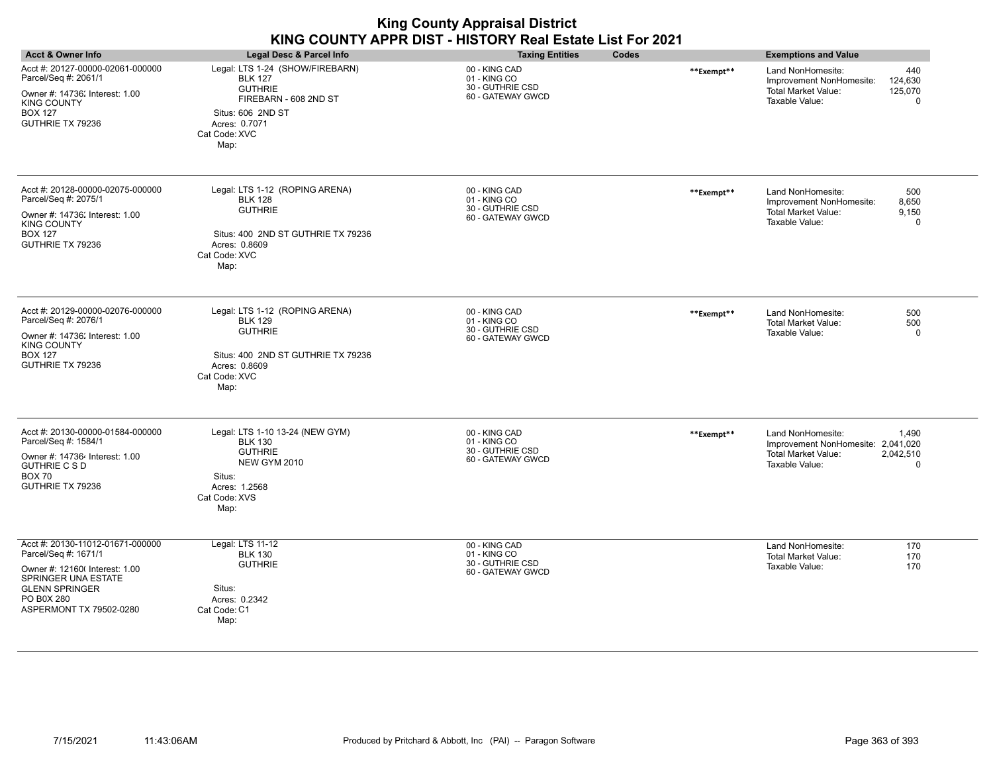| <b>King County Appraisal District</b><br>KING COUNTY APPR DIST - HISTORY Real Estate List For 2021                                                                                  |                                                                                                                                                             |                                                                        |            |                                                                                                         |                                       |
|-------------------------------------------------------------------------------------------------------------------------------------------------------------------------------------|-------------------------------------------------------------------------------------------------------------------------------------------------------------|------------------------------------------------------------------------|------------|---------------------------------------------------------------------------------------------------------|---------------------------------------|
| <b>Acct &amp; Owner Info</b>                                                                                                                                                        | <b>Legal Desc &amp; Parcel Info</b>                                                                                                                         | <b>Taxing Entities</b>                                                 | Codes      | <b>Exemptions and Value</b>                                                                             |                                       |
| Acct #: 20127-00000-02061-000000<br>Parcel/Seq #: 2061/1<br>Owner #: 14736; Interest: 1.00<br><b>KING COUNTY</b><br><b>BOX 127</b><br>GUTHRIE TX 79236                              | Legal: LTS 1-24 (SHOW/FIREBARN)<br><b>BLK 127</b><br><b>GUTHRIE</b><br>FIREBARN - 608 2ND ST<br>Situs: 606 2ND ST<br>Acres: 0.7071<br>Cat Code: XVC<br>Map: | 00 - KING CAD<br>01 - KING CO<br>30 - GUTHRIE CSD<br>60 - GATEWAY GWCD | **Exempt** | Land NonHomesite:<br>Improvement NonHomesite:<br><b>Total Market Value:</b><br>Taxable Value:           | 440<br>124,630<br>125,070<br>$\Omega$ |
| Acct #: 20128-00000-02075-000000<br>Parcel/Seq #: 2075/1<br>Owner #: 14736; Interest: 1.00<br><b>KING COUNTY</b><br><b>BOX 127</b><br>GUTHRIE TX 79236                              | Legal: LTS 1-12 (ROPING ARENA)<br><b>BLK 128</b><br><b>GUTHRIE</b><br>Situs: 400 2ND ST GUTHRIE TX 79236<br>Acres: 0.8609<br>Cat Code: XVC<br>Map:          | 00 - KING CAD<br>01 - KING CO<br>30 - GUTHRIE CSD<br>60 - GATEWAY GWCD | **Exempt** | Land NonHomesite:<br>Improvement NonHomesite:<br><b>Total Market Value:</b><br>Taxable Value:           | 500<br>8.650<br>9,150<br>0            |
| Acct #: 20129-00000-02076-000000<br>Parcel/Seq #: 2076/1<br>Owner #: 14736; Interest: 1.00<br><b>KING COUNTY</b><br><b>BOX 127</b><br>GUTHRIE TX 79236                              | Legal: LTS 1-12 (ROPING ARENA)<br><b>BLK 129</b><br><b>GUTHRIE</b><br>Situs: 400 2ND ST GUTHRIE TX 79236<br>Acres: 0.8609<br>Cat Code: XVC<br>Map:          | 00 - KING CAD<br>01 - KING CO<br>30 - GUTHRIE CSD<br>60 - GATEWAY GWCD | **Exempt** | Land NonHomesite:<br>Total Market Value:<br>Taxable Value:                                              | 500<br>500<br>$\Omega$                |
| Acct #: 20130-00000-01584-000000<br>Parcel/Seq #: 1584/1<br>Owner #: 147364 Interest: 1.00<br><b>GUTHRIE C S D</b><br><b>BOX 70</b><br>GUTHRIE TX 79236                             | Legal: LTS 1-10 13-24 (NEW GYM)<br><b>BLK 130</b><br><b>GUTHRIE</b><br><b>NEW GYM 2010</b><br>Situs:<br>Acres: 1.2568<br>Cat Code: XVS<br>Map:              | 00 - KING CAD<br>01 - KING CO<br>30 - GUTHRIE CSD<br>60 - GATEWAY GWCD | **Exempt** | Land NonHomesite:<br>Improvement NonHomesite: 2,041,020<br><b>Total Market Value:</b><br>Taxable Value: | 1.490<br>2,042,510<br>0               |
| Acct #: 20130-11012-01671-000000<br>Parcel/Seq #: 1671/1<br>Owner #: 12160( Interest: 1.00<br>SPRINGER UNA ESTATE<br><b>GLENN SPRINGER</b><br>PO B0X 280<br>ASPERMONT TX 79502-0280 | Legal: LTS 11-12<br><b>BLK 130</b><br><b>GUTHRIE</b><br>Situs:<br>Acres: 0.2342<br>Cat Code: C1<br>Map:                                                     | 00 - KING CAD<br>01 - KING CO<br>30 - GUTHRIE CSD<br>60 - GATEWAY GWCD |            | Land NonHomesite:<br><b>Total Market Value:</b><br>Taxable Value:                                       | 170<br>170<br>170                     |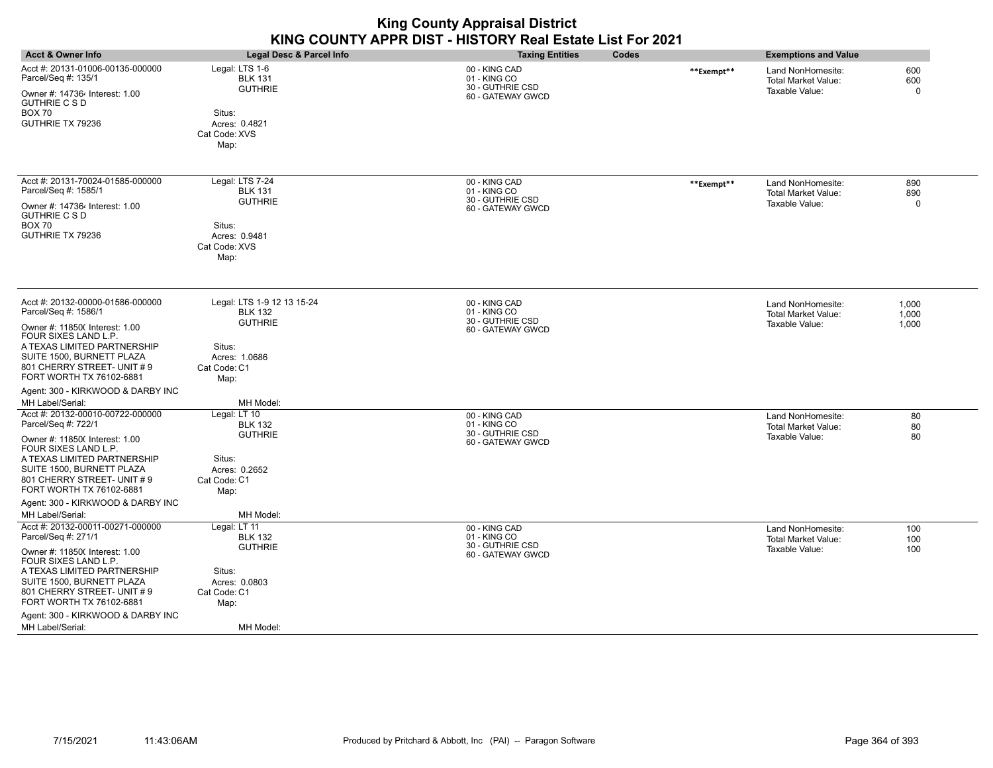|                                                                                                                                                                                                                                                                               |                                                                                                                   | <b>King County Appraisal District</b><br>KING COUNTY APPR DIST - HISTORY Real Estate List For 2021 |            |                                                                   |                           |
|-------------------------------------------------------------------------------------------------------------------------------------------------------------------------------------------------------------------------------------------------------------------------------|-------------------------------------------------------------------------------------------------------------------|----------------------------------------------------------------------------------------------------|------------|-------------------------------------------------------------------|---------------------------|
| <b>Acct &amp; Owner Info</b>                                                                                                                                                                                                                                                  | <b>Legal Desc &amp; Parcel Info</b>                                                                               | Codes<br><b>Taxing Entities</b>                                                                    |            | <b>Exemptions and Value</b>                                       |                           |
| Acct #: 20131-01006-00135-000000<br>Parcel/Seq #: 135/1<br>Owner #: 147364 Interest: 1.00<br><b>GUTHRIE C S D</b><br><b>BOX 70</b><br>GUTHRIE TX 79236                                                                                                                        | Legal: LTS 1-6<br><b>BLK 131</b><br><b>GUTHRIE</b><br>Situs:<br>Acres: 0.4821<br>Cat Code: XVS<br>Map:            | 00 - KING CAD<br>01 - KING CO<br>30 - GUTHRIE CSD<br>60 - GATEWAY GWCD                             | **Exempt** | Land NonHomesite:<br><b>Total Market Value:</b><br>Taxable Value: | 600<br>600<br>$\Omega$    |
| Acct #: 20131-70024-01585-000000<br>Parcel/Seq #: 1585/1<br>Owner #: 147364 Interest: 1.00<br><b>GUTHRIE C S D</b><br><b>BOX 70</b><br>GUTHRIE TX 79236                                                                                                                       | Legal: LTS 7-24<br><b>BLK 131</b><br><b>GUTHRIE</b><br>Situs:<br>Acres: 0.9481<br>Cat Code: XVS<br>Map:           | 00 - KING CAD<br>01 - KING CO<br>30 - GUTHRIE CSD<br>60 - GATEWAY GWCD                             | **Exempt** | Land NonHomesite:<br><b>Total Market Value:</b><br>Taxable Value: | 890<br>890<br>$\mathbf 0$ |
| Acct #: 20132-00000-01586-000000<br>Parcel/Seq #: 1586/1<br>Owner #: 11850( Interest: 1.00<br>FOUR SIXES LAND L.P.<br>A TEXAS LIMITED PARTNERSHIP<br>SUITE 1500. BURNETT PLAZA<br>801 CHERRY STREET- UNIT #9<br>FORT WORTH TX 76102-6881<br>Agent: 300 - KIRKWOOD & DARBY INC | Legal: LTS 1-9 12 13 15-24<br><b>BLK 132</b><br><b>GUTHRIE</b><br>Situs:<br>Acres: 1.0686<br>Cat Code: C1<br>Map: | 00 - KING CAD<br>01 - KING CO<br>30 - GUTHRIE CSD<br>60 - GATEWAY GWCD                             |            | Land NonHomesite:<br><b>Total Market Value:</b><br>Taxable Value: | 1,000<br>1,000<br>1,000   |
| MH Label/Serial:                                                                                                                                                                                                                                                              | MH Model:                                                                                                         |                                                                                                    |            |                                                                   |                           |
| Acct #: 20132-00010-00722-000000<br>Parcel/Seq #: 722/1<br>Owner #: 11850( Interest: 1.00<br>FOUR SIXES LAND L.P.<br>A TEXAS LIMITED PARTNERSHIP<br>SUITE 1500, BURNETT PLAZA<br>801 CHERRY STREET- UNIT #9<br>FORT WORTH TX 76102-6881                                       | Legal: LT 10<br><b>BLK 132</b><br><b>GUTHRIE</b><br>Situs:<br>Acres: 0.2652<br>Cat Code: C1<br>Map:               | 00 - KING CAD<br>01 - KING CO<br>30 - GUTHRIE CSD<br>60 - GATEWAY GWCD                             |            | Land NonHomesite:<br>Total Market Value:<br>Taxable Value:        | 80<br>80<br>80            |
| Agent: 300 - KIRKWOOD & DARBY INC                                                                                                                                                                                                                                             |                                                                                                                   |                                                                                                    |            |                                                                   |                           |
| MH Label/Serial:                                                                                                                                                                                                                                                              | MH Model:                                                                                                         |                                                                                                    |            |                                                                   |                           |
| Acct #: 20132-00011-00271-000000<br>Parcel/Seq #: 271/1<br>Owner #: 11850( Interest: 1.00<br>FOUR SIXES LAND L.P.<br>A TEXAS LIMITED PARTNERSHIP<br>SUITE 1500, BURNETT PLAZA<br>801 CHERRY STREET- UNIT #9<br>FORT WORTH TX 76102-6881                                       | Legal: LT 11<br><b>BLK 132</b><br><b>GUTHRIE</b><br>Situs:<br>Acres: 0.0803<br>Cat Code: C1<br>Map:               | 00 - KING CAD<br>01 - KING CO<br>30 - GUTHRIE CSD<br>60 - GATEWAY GWCD                             |            | Land NonHomesite:<br>Total Market Value:<br>Taxable Value:        | 100<br>100<br>100         |
| Agent: 300 - KIRKWOOD & DARBY INC<br>MH Label/Serial:                                                                                                                                                                                                                         | MH Model:                                                                                                         |                                                                                                    |            |                                                                   |                           |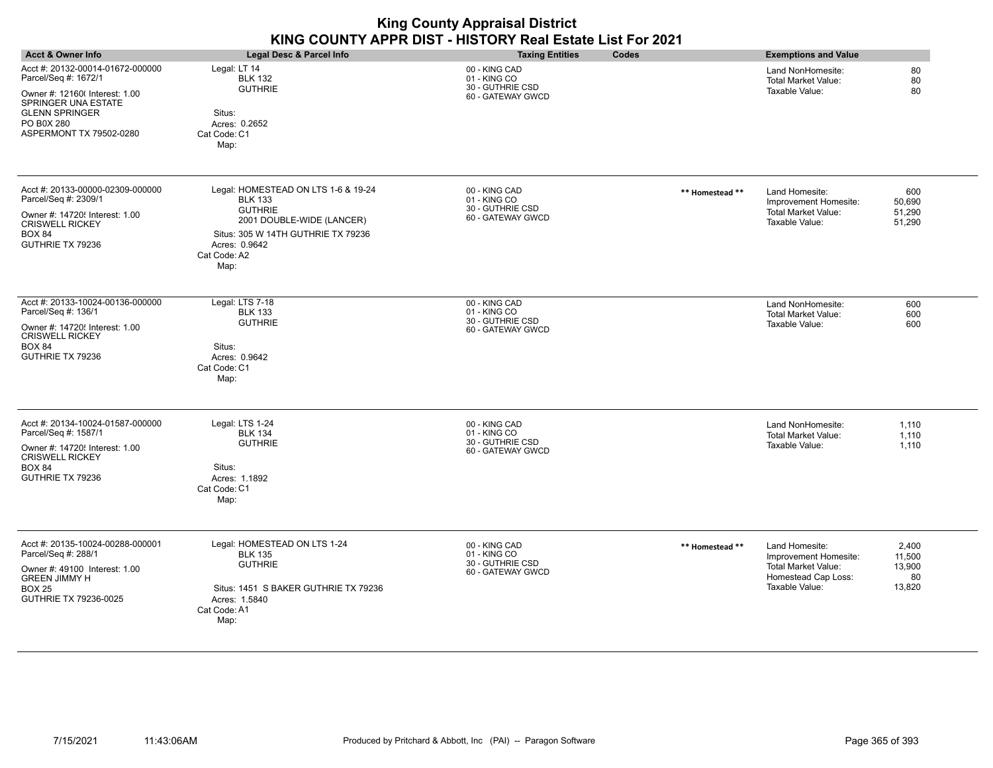|                                                                                                                                                                                     |                                                                                                                                                                                     | <b>King County Appraisal District</b><br>KING COUNTY APPR DIST - HISTORY Real Estate List For 2021 |                 |                                                                                                         |                                           |
|-------------------------------------------------------------------------------------------------------------------------------------------------------------------------------------|-------------------------------------------------------------------------------------------------------------------------------------------------------------------------------------|----------------------------------------------------------------------------------------------------|-----------------|---------------------------------------------------------------------------------------------------------|-------------------------------------------|
| <b>Acct &amp; Owner Info</b>                                                                                                                                                        | <b>Legal Desc &amp; Parcel Info</b>                                                                                                                                                 | <b>Taxing Entities</b>                                                                             | Codes           | <b>Exemptions and Value</b>                                                                             |                                           |
| Acct #: 20132-00014-01672-000000<br>Parcel/Seq #: 1672/1<br>Owner #: 12160( Interest: 1.00<br>SPRINGER UNA ESTATE<br><b>GLENN SPRINGER</b><br>PO B0X 280<br>ASPERMONT TX 79502-0280 | Legal: LT 14<br><b>BLK 132</b><br><b>GUTHRIE</b><br>Situs:<br>Acres: 0.2652<br>Cat Code: C1<br>Map:                                                                                 | 00 - KING CAD<br>01 - KING CO<br>30 - GUTHRIE CSD<br>60 - GATEWAY GWCD                             |                 | Land NonHomesite:<br><b>Total Market Value:</b><br>Taxable Value:                                       | 80<br>80<br>80                            |
| Acct #: 20133-00000-02309-000000<br>Parcel/Seq #: 2309/1<br>Owner #: 14720{ Interest: 1.00<br><b>CRISWELL RICKEY</b><br><b>BOX 84</b><br>GUTHRIE TX 79236                           | Legal: HOMESTEAD ON LTS 1-6 & 19-24<br><b>BLK 133</b><br><b>GUTHRIE</b><br>2001 DOUBLE-WIDE (LANCER)<br>Situs: 305 W 14TH GUTHRIE TX 79236<br>Acres: 0.9642<br>Cat Code: A2<br>Map: | 00 - KING CAD<br>01 - KING CO<br>30 - GUTHRIE CSD<br>60 - GATEWAY GWCD                             | ** Homestead ** | Land Homesite:<br>Improvement Homesite:<br><b>Total Market Value:</b><br>Taxable Value:                 | 600<br>50,690<br>51,290<br>51,290         |
| Acct #: 20133-10024-00136-000000<br>Parcel/Seq #: 136/1<br>Owner #: 14720! Interest: 1.00<br><b>CRISWELL RICKEY</b><br><b>BOX 84</b><br>GUTHRIE TX 79236                            | Legal: LTS 7-18<br><b>BLK 133</b><br><b>GUTHRIE</b><br>Situs:<br>Acres: 0.9642<br>Cat Code: C1<br>Map:                                                                              | 00 - KING CAD<br>01 - KING CO<br>30 - GUTHRIE CSD<br>60 - GATEWAY GWCD                             |                 | Land NonHomesite:<br><b>Total Market Value:</b><br>Taxable Value:                                       | 600<br>600<br>600                         |
| Acct #: 20134-10024-01587-000000<br>Parcel/Seq #: 1587/1<br>Owner #: 14720! Interest: 1.00<br><b>CRISWELL RICKEY</b><br><b>BOX 84</b><br>GUTHRIE TX 79236                           | Legal: LTS 1-24<br><b>BLK 134</b><br><b>GUTHRIE</b><br>Situs:<br>Acres: 1.1892<br>Cat Code: C1<br>Map:                                                                              | 00 - KING CAD<br>01 - KING CO<br>30 - GUTHRIE CSD<br>60 - GATEWAY GWCD                             |                 | Land NonHomesite:<br><b>Total Market Value:</b><br>Taxable Value:                                       | 1.110<br>1,110<br>1,110                   |
| Acct #: 20135-10024-00288-000001<br>Parcel/Seq #: 288/1<br>Owner #: 49100 Interest: 1.00<br><b>GREEN JIMMY H</b><br><b>BOX 25</b><br>GUTHRIE TX 79236-0025                          | Legal: HOMESTEAD ON LTS 1-24<br><b>BLK 135</b><br><b>GUTHRIE</b><br>Situs: 1451 S BAKER GUTHRIE TX 79236<br>Acres: 1.5840<br>Cat Code: A1<br>Map:                                   | 00 - KING CAD<br>01 - KING CO<br>30 - GUTHRIE CSD<br>60 - GATEWAY GWCD                             | ** Homestead ** | Land Homesite:<br>Improvement Homesite:<br>Total Market Value:<br>Homestead Cap Loss:<br>Taxable Value: | 2,400<br>11,500<br>13,900<br>80<br>13,820 |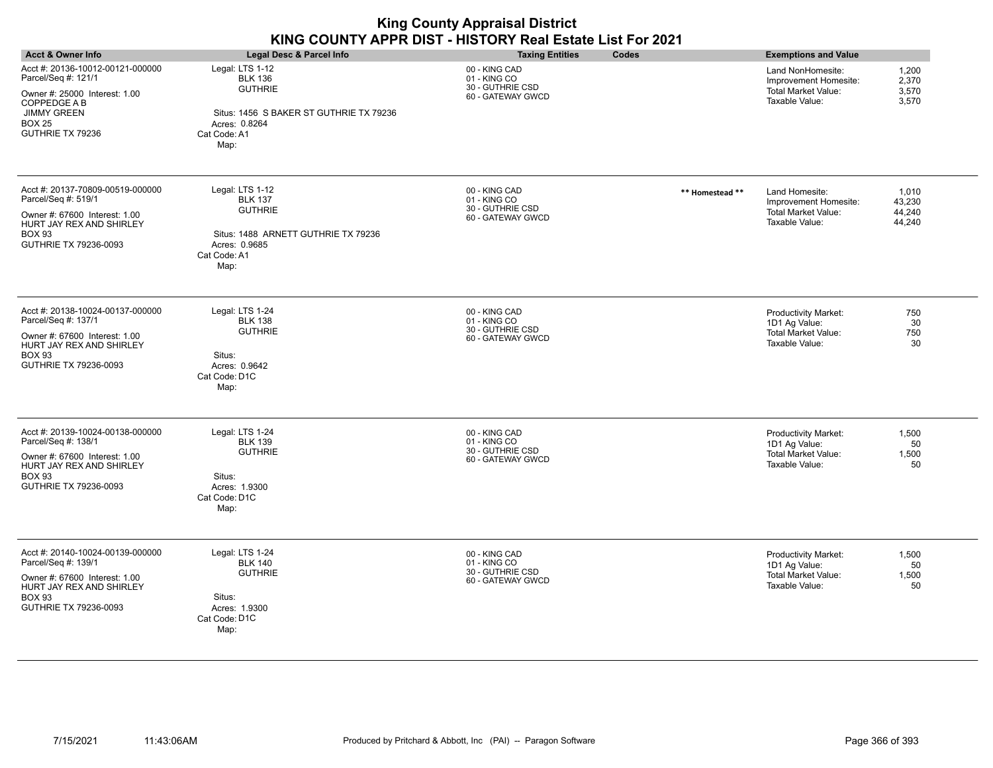| <b>Acct &amp; Owner Info</b>                                                                                                                                        | <b>Legal Desc &amp; Parcel Info</b>                                                                                                     | <b>Taxing Entities</b>                                                 | <b>Codes</b>    | <b>Exemptions and Value</b>                                                                  |                                     |
|---------------------------------------------------------------------------------------------------------------------------------------------------------------------|-----------------------------------------------------------------------------------------------------------------------------------------|------------------------------------------------------------------------|-----------------|----------------------------------------------------------------------------------------------|-------------------------------------|
| Acct #: 20136-10012-00121-000000<br>Parcel/Seq #: 121/1<br>Owner #: 25000 Interest: 1.00<br>COPPEDGE A B<br><b>JIMMY GREEN</b><br><b>BOX 25</b><br>GUTHRIE TX 79236 | Legal: LTS 1-12<br><b>BLK 136</b><br><b>GUTHRIE</b><br>Situs: 1456 S BAKER ST GUTHRIE TX 79236<br>Acres: 0.8264<br>Cat Code: A1<br>Map: | 00 - KING CAD<br>01 - KING CO<br>30 - GUTHRIE CSD<br>60 - GATEWAY GWCD |                 | Land NonHomesite:<br>Improvement Homesite:<br><b>Total Market Value:</b><br>Taxable Value:   | 1,200<br>2,370<br>3,570<br>3,570    |
| Acct #: 20137-70809-00519-000000<br>Parcel/Seq #: 519/1<br>Owner #: 67600 Interest: 1.00<br>HURT JAY REX AND SHIRLEY<br><b>BOX 93</b><br>GUTHRIE TX 79236-0093      | Legal: LTS 1-12<br><b>BLK 137</b><br><b>GUTHRIE</b><br>Situs: 1488 ARNETT GUTHRIE TX 79236<br>Acres: 0.9685<br>Cat Code: A1<br>Map:     | 00 - KING CAD<br>01 - KING CO<br>30 - GUTHRIE CSD<br>60 - GATEWAY GWCD | ** Homestead ** | Land Homesite:<br>Improvement Homesite:<br><b>Total Market Value:</b><br>Taxable Value:      | 1,010<br>43,230<br>44,240<br>44,240 |
| Acct #: 20138-10024-00137-000000<br>Parcel/Seq #: 137/1<br>Owner #: 67600 Interest: 1.00<br>HURT JAY REX AND SHIRLEY<br><b>BOX 93</b><br>GUTHRIE TX 79236-0093      | Legal: LTS 1-24<br><b>BLK 138</b><br><b>GUTHRIE</b><br>Situs:<br>Acres: 0.9642<br>Cat Code: D1C<br>Map:                                 | 00 - KING CAD<br>01 - KING CO<br>30 - GUTHRIE CSD<br>60 - GATEWAY GWCD |                 | <b>Productivity Market:</b><br>1D1 Ag Value:<br><b>Total Market Value:</b><br>Taxable Value: | 750<br>30<br>750<br>30              |
| Acct #: 20139-10024-00138-000000<br>Parcel/Seq #: 138/1<br>Owner #: 67600 Interest: 1.00<br>HURT JAY REX AND SHIRLEY<br><b>BOX 93</b><br>GUTHRIE TX 79236-0093      | Legal: LTS 1-24<br><b>BLK 139</b><br><b>GUTHRIE</b><br>Situs:<br>Acres: 1.9300<br>Cat Code: D1C<br>Map:                                 | 00 - KING CAD<br>01 - KING CO<br>30 - GUTHRIE CSD<br>60 - GATEWAY GWCD |                 | Productivity Market:<br>1D1 Ag Value:<br><b>Total Market Value:</b><br>Taxable Value:        | 1,500<br>50<br>1,500<br>50          |
| Acct #: 20140-10024-00139-000000<br>Parcel/Seq #: 139/1<br>Owner #: 67600 Interest: 1.00<br>HURT JAY REX AND SHIRLEY<br><b>BOX 93</b><br>GUTHRIE TX 79236-0093      | Legal: LTS 1-24<br><b>BLK 140</b><br><b>GUTHRIE</b><br>Situs:<br>Acres: 1.9300<br>Cat Code: D1C<br>Map:                                 | 00 - KING CAD<br>01 - KING CO<br>30 - GUTHRIE CSD<br>60 - GATEWAY GWCD |                 | <b>Productivity Market:</b><br>1D1 Ag Value:<br><b>Total Market Value:</b><br>Taxable Value: | 1,500<br>50<br>1,500<br>50          |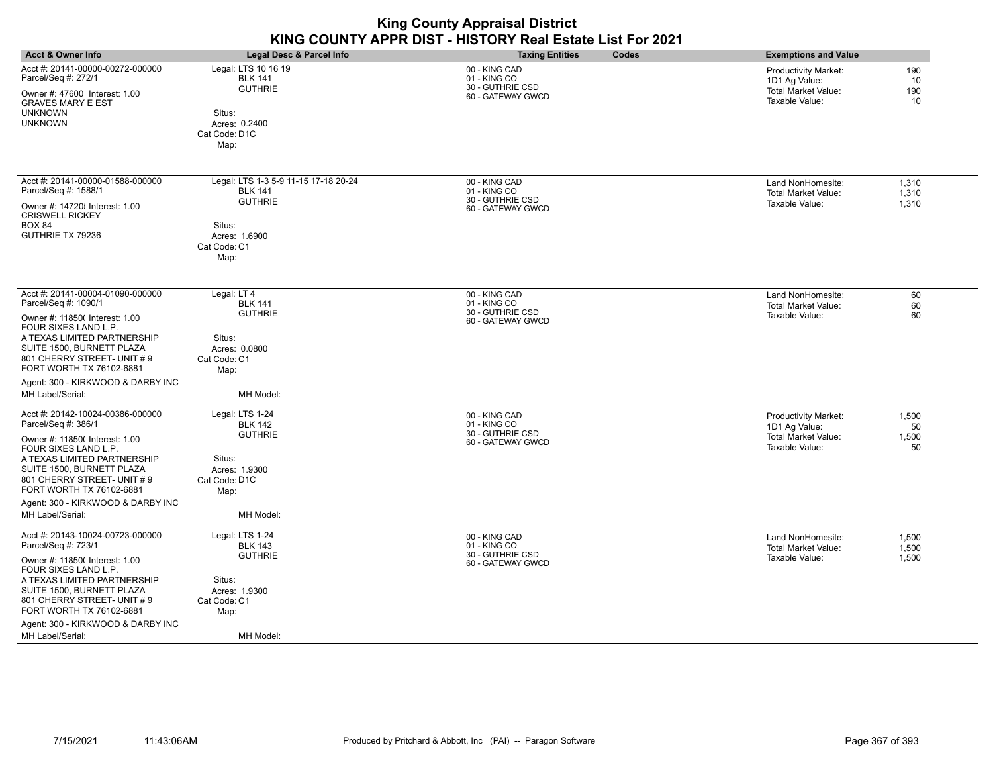| <b>King County Appraisal District</b><br>KING COUNTY APPR DIST - HISTORY Real Estate List For 2021                                                                                                                                                                                                |                                                                                                                             |                                                                        |                                                                                                                     |
|---------------------------------------------------------------------------------------------------------------------------------------------------------------------------------------------------------------------------------------------------------------------------------------------------|-----------------------------------------------------------------------------------------------------------------------------|------------------------------------------------------------------------|---------------------------------------------------------------------------------------------------------------------|
| <b>Acct &amp; Owner Info</b>                                                                                                                                                                                                                                                                      | <b>Legal Desc &amp; Parcel Info</b>                                                                                         | <b>Taxing Entities</b><br>Codes                                        | <b>Exemptions and Value</b>                                                                                         |
| Acct #: 20141-00000-00272-000000<br>Parcel/Seq #: 272/1<br>Owner #: 47600 Interest: 1.00<br><b>GRAVES MARY E EST</b><br><b>UNKNOWN</b><br><b>UNKNOWN</b>                                                                                                                                          | Legal: LTS 10 16 19<br><b>BLK 141</b><br><b>GUTHRIE</b><br>Situs:<br>Acres: 0.2400<br>Cat Code: D1C<br>Map:                 | 00 - KING CAD<br>01 - KING CO<br>30 - GUTHRIE CSD<br>60 - GATEWAY GWCD | <b>Productivity Market:</b><br>190<br>1D1 Ag Value:<br>10<br>Total Market Value:<br>190<br>Taxable Value:<br>10     |
| Acct #: 20141-00000-01588-000000<br>Parcel/Seq #: 1588/1<br>Owner #: 14720! Interest: 1.00<br><b>CRISWELL RICKEY</b><br><b>BOX 84</b><br>GUTHRIE TX 79236                                                                                                                                         | Legal: LTS 1-3 5-9 11-15 17-18 20-24<br><b>BLK 141</b><br><b>GUTHRIE</b><br>Situs:<br>Acres: 1.6900<br>Cat Code: C1<br>Map: | 00 - KING CAD<br>01 - KING CO<br>30 - GUTHRIE CSD<br>60 - GATEWAY GWCD | 1,310<br>Land NonHomesite:<br>Total Market Value:<br>1,310<br>Taxable Value:<br>1,310                               |
| Acct #: 20141-00004-01090-000000<br>Parcel/Seq #: 1090/1<br>Owner #: 11850( Interest: 1.00<br>FOUR SIXES LAND L.P.<br>A TEXAS LIMITED PARTNERSHIP<br>SUITE 1500, BURNETT PLAZA<br>801 CHERRY STREET- UNIT #9<br>FORT WORTH TX 76102-6881<br>Agent: 300 - KIRKWOOD & DARBY INC<br>MH Label/Serial: | Legal: LT 4<br><b>BLK 141</b><br><b>GUTHRIE</b><br>Situs:<br>Acres: 0.0800<br>Cat Code: C1<br>Map:<br>MH Model:             | 00 - KING CAD<br>01 - KING CO<br>30 - GUTHRIE CSD<br>60 - GATEWAY GWCD | 60<br>Land NonHomesite:<br>60<br>Total Market Value:<br>Taxable Value:<br>60                                        |
| Acct #: 20142-10024-00386-000000<br>Parcel/Seq #: 386/1<br>Owner #: 11850( Interest: 1.00<br>FOUR SIXES LAND L.P.<br>A TEXAS LIMITED PARTNERSHIP<br>SUITE 1500, BURNETT PLAZA<br>801 CHERRY STREET- UNIT #9<br>FORT WORTH TX 76102-6881<br>Agent: 300 - KIRKWOOD & DARBY INC<br>MH Label/Serial:  | Legal: LTS 1-24<br><b>BLK 142</b><br><b>GUTHRIE</b><br>Situs:<br>Acres: 1.9300<br>Cat Code: D1C<br>Map:<br>MH Model:        | 00 - KING CAD<br>01 - KING CO<br>30 - GUTHRIE CSD<br>60 - GATEWAY GWCD | Productivity Market:<br>1,500<br>1D1 Ag Value:<br>50<br><b>Total Market Value:</b><br>1,500<br>Taxable Value:<br>50 |
| Acct #: 20143-10024-00723-000000<br>Parcel/Seq #: 723/1<br>Owner #: 11850( Interest: 1.00<br>FOUR SIXES LAND L.P.<br>A TEXAS LIMITED PARTNERSHIP<br>SUITE 1500, BURNETT PLAZA<br>801 CHERRY STREET- UNIT #9<br>FORT WORTH TX 76102-6881<br>Agent: 300 - KIRKWOOD & DARBY INC<br>MH Label/Serial:  | Legal: LTS 1-24<br><b>BLK 143</b><br><b>GUTHRIE</b><br>Situs:<br>Acres: 1.9300<br>Cat Code: C1<br>Map:<br>MH Model:         | 00 - KING CAD<br>01 - KING CO<br>30 - GUTHRIE CSD<br>60 - GATEWAY GWCD | 1,500<br>Land NonHomesite:<br>1,500<br><b>Total Market Value:</b><br>Taxable Value:<br>1,500                        |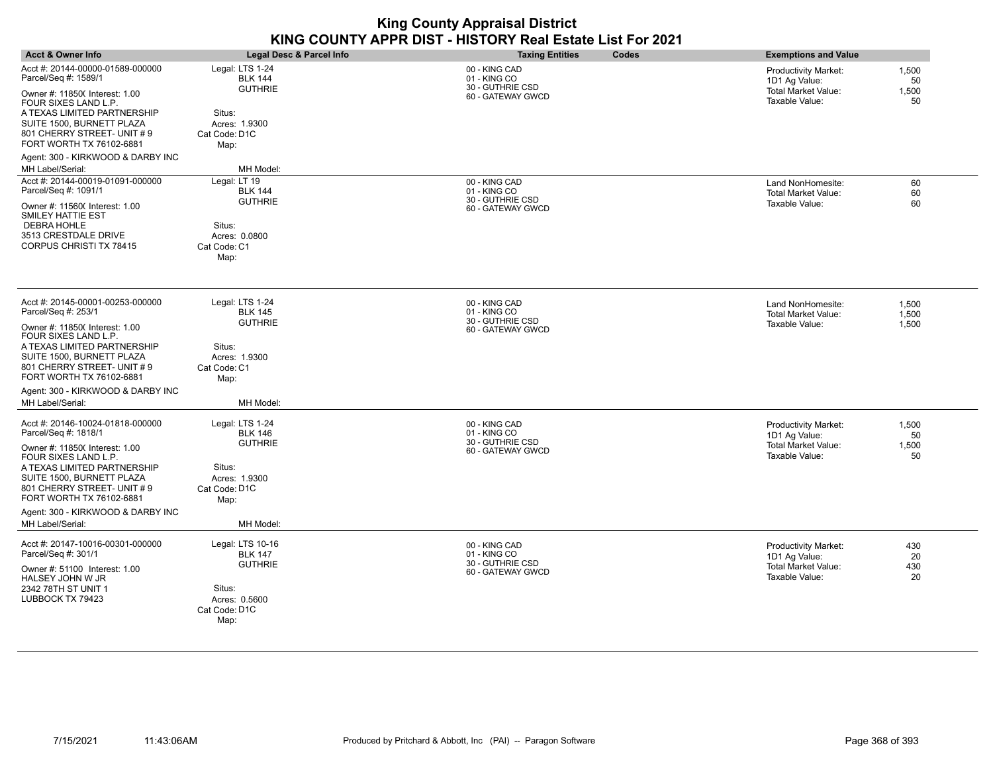| <b>Acct &amp; Owner Info</b>                                                                                                                                                                                                                                                                             | <b>Legal Desc &amp; Parcel Info</b>                                                                                  | Codes<br><b>Taxing Entities</b>                                        | <b>Exemptions and Value</b>                                                                                                |
|----------------------------------------------------------------------------------------------------------------------------------------------------------------------------------------------------------------------------------------------------------------------------------------------------------|----------------------------------------------------------------------------------------------------------------------|------------------------------------------------------------------------|----------------------------------------------------------------------------------------------------------------------------|
| Acct #: 20144-00000-01589-000000<br>Parcel/Seq #: 1589/1<br>Owner #: 11850( Interest: 1.00<br>FOUR SIXES LAND L.P.<br>A TEXAS LIMITED PARTNERSHIP<br>SUITE 1500, BURNETT PLAZA<br>801 CHERRY STREET- UNIT # 9<br>FORT WORTH TX 76102-6881                                                                | Legal: LTS 1-24<br><b>BLK 144</b><br><b>GUTHRIE</b><br>Situs:<br>Acres: 1.9300<br>Cat Code: D1C<br>Map:              | 00 - KING CAD<br>01 - KING CO<br>30 - GUTHRIE CSD<br>60 - GATEWAY GWCD | <b>Productivity Market:</b><br>1,500<br>1D1 Ag Value:<br>50<br>Total Market Value:<br>1,500<br>Taxable Value:<br>50        |
| Agent: 300 - KIRKWOOD & DARBY INC<br>MH Label/Serial:                                                                                                                                                                                                                                                    | MH Model:                                                                                                            |                                                                        |                                                                                                                            |
| Acct #: 20144-00019-01091-000000<br>Parcel/Seq #: 1091/1<br>Owner #: 11560( Interest: 1.00<br>SMILEY HATTIE EST<br><b>DEBRA HOHLE</b><br>3513 CRESTDALE DRIVE<br>CORPUS CHRISTI TX 78415                                                                                                                 | Legal: LT 19<br><b>BLK 144</b><br><b>GUTHRIE</b><br>Situs:<br>Acres: 0.0800<br>Cat Code: C1<br>Map:                  | 00 - KING CAD<br>01 - KING CO<br>30 - GUTHRIE CSD<br>60 - GATEWAY GWCD | 60<br>Land NonHomesite:<br>Total Market Value:<br>60<br>Taxable Value:<br>60                                               |
| Acct #: 20145-00001-00253-000000<br>Parcel/Seq #: 253/1<br>Owner #: 11850( Interest: 1.00<br>FOUR SIXES LAND L.P.<br>A TEXAS LIMITED PARTNERSHIP<br>SUITE 1500, BURNETT PLAZA<br>801 CHERRY STREET- UNIT # 9<br>FORT WORTH TX 76102-6881<br>Agent: 300 - KIRKWOOD & DARBY INC<br><b>MH Label/Serial:</b> | Legal: LTS 1-24<br><b>BLK 145</b><br><b>GUTHRIE</b><br>Situs:<br>Acres: 1.9300<br>Cat Code: C1<br>Map:<br>MH Model:  | 00 - KING CAD<br>01 - KING CO<br>30 - GUTHRIE CSD<br>60 - GATEWAY GWCD | Land NonHomesite:<br>1,500<br>1,500<br>Total Market Value:<br>Taxable Value:<br>1,500                                      |
| Acct #: 20146-10024-01818-000000<br>Parcel/Seq #: 1818/1<br>Owner #: 11850( Interest: 1.00<br>FOUR SIXES LAND L.P.<br>A TEXAS LIMITED PARTNERSHIP<br>SUITE 1500, BURNETT PLAZA<br>801 CHERRY STREET- UNIT # 9<br>FORT WORTH TX 76102-6881<br>Agent: 300 - KIRKWOOD & DARBY INC<br>MH Label/Serial:       | Legal: LTS 1-24<br><b>BLK 146</b><br><b>GUTHRIE</b><br>Situs:<br>Acres: 1.9300<br>Cat Code: D1C<br>Map:<br>MH Model: | 00 - KING CAD<br>01 - KING CO<br>30 - GUTHRIE CSD<br>60 - GATEWAY GWCD | 1,500<br><b>Productivity Market:</b><br>1D1 Ag Value:<br>50<br><b>Total Market Value:</b><br>1,500<br>Taxable Value:<br>50 |
| Acct #: 20147-10016-00301-000000<br>Parcel/Seq #: 301/1<br>Owner #: 51100 Interest: 1.00<br>HALSEY JOHN W JR<br>2342 78TH ST UNIT 1<br>LUBBOCK TX 79423                                                                                                                                                  | Legal: LTS 10-16<br><b>BLK 147</b><br><b>GUTHRIE</b><br>Situs:<br>Acres: 0.5600<br>Cat Code: D1C<br>Map:             | 00 - KING CAD<br>01 - KING CO<br>30 - GUTHRIE CSD<br>60 - GATEWAY GWCD | <b>Productivity Market:</b><br>430<br>20<br>1D1 Ag Value:<br><b>Total Market Value:</b><br>430<br>Taxable Value:<br>20     |

÷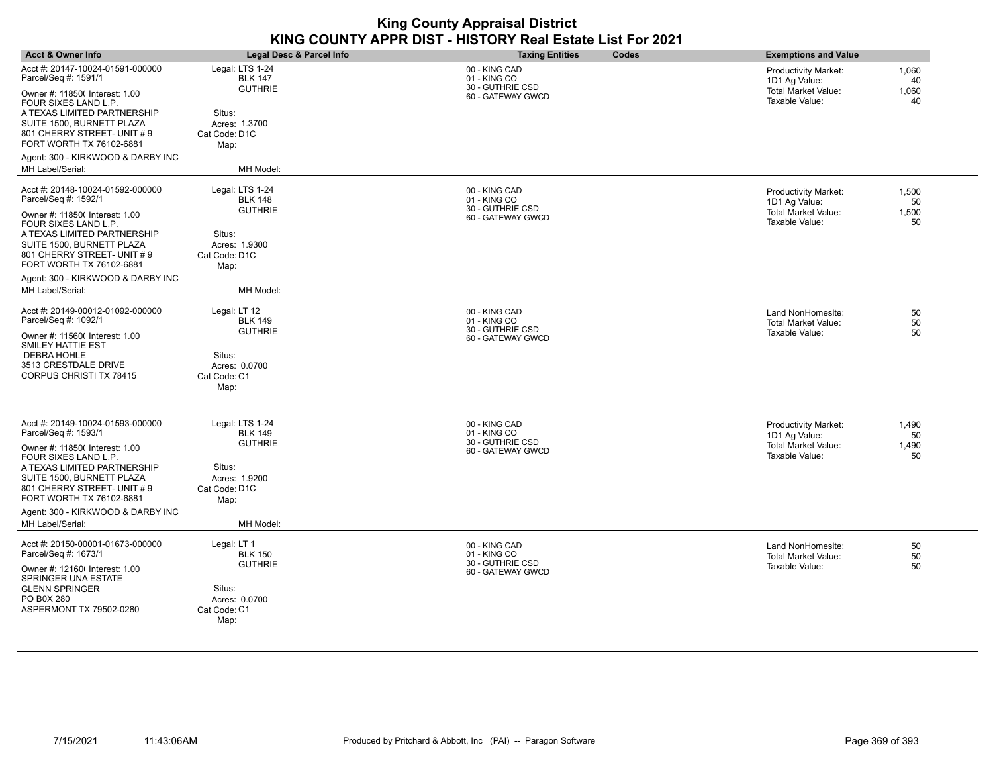| Legal Desc & Parcel Info                                                                                | <b>Taxing Entities</b>                                                 | Codes | <b>Exemptions and Value</b>                                                                  |                            |
|---------------------------------------------------------------------------------------------------------|------------------------------------------------------------------------|-------|----------------------------------------------------------------------------------------------|----------------------------|
| Legal: LTS 1-24<br><b>BLK 147</b><br><b>GUTHRIE</b><br>Situs:<br>Acres: 1.3700<br>Cat Code: D1C<br>Map: | 00 - KING CAD<br>01 - KING CO<br>30 - GUTHRIE CSD<br>60 - GATEWAY GWCD |       | <b>Productivity Market:</b><br>1D1 Ag Value:<br>Total Market Value:<br>Taxable Value:        | 1,060<br>40<br>1,060<br>40 |
| MH Model:                                                                                               |                                                                        |       |                                                                                              |                            |
| Legal: LTS 1-24<br><b>BLK 148</b><br><b>GUTHRIE</b><br>Situs:<br>Acres: 1.9300<br>Cat Code: D1C<br>Map: | 00 - KING CAD<br>01 - KING CO<br>30 - GUTHRIE CSD<br>60 - GATEWAY GWCD |       | <b>Productivity Market:</b><br>1D1 Ag Value:<br><b>Total Market Value:</b><br>Taxable Value: | 1,500<br>50<br>1,500<br>50 |
| MH Model:                                                                                               |                                                                        |       |                                                                                              |                            |
| Legal: LT 12<br><b>BLK 149</b><br><b>GUTHRIE</b><br>Situs:<br>Acres: 0.0700<br>Cat Code: C1<br>Map:     | 00 - KING CAD<br>01 - KING CO<br>30 - GUTHRIE CSD<br>60 - GATEWAY GWCD |       | Land NonHomesite:<br>Total Market Value:<br>Taxable Value:                                   | 50<br>50<br>50             |
| Legal: LTS 1-24<br><b>BLK 149</b><br><b>GUTHRIE</b><br>Situs:<br>Acres: 1.9200<br>Cat Code: D1C<br>Map: | 00 - KING CAD<br>01 - KING CO<br>30 - GUTHRIE CSD<br>60 - GATEWAY GWCD |       | <b>Productivity Market:</b><br>1D1 Ag Value:<br><b>Total Market Value:</b><br>Taxable Value: | 1,490<br>50<br>1,490<br>50 |
|                                                                                                         |                                                                        |       |                                                                                              |                            |
| Legal: LT 1<br><b>BLK 150</b><br><b>GUTHRIE</b><br>Situs:<br>Acres: 0.0700                              | 00 - KING CAD<br>01 - KING CO<br>30 - GUTHRIE CSD<br>60 - GATEWAY GWCD |       | Land NonHomesite:<br>Total Market Value:<br>Taxable Value:                                   | 50<br>50<br>50             |
|                                                                                                         | MH Model:                                                              |       | Cat Code: C1                                                                                 |                            |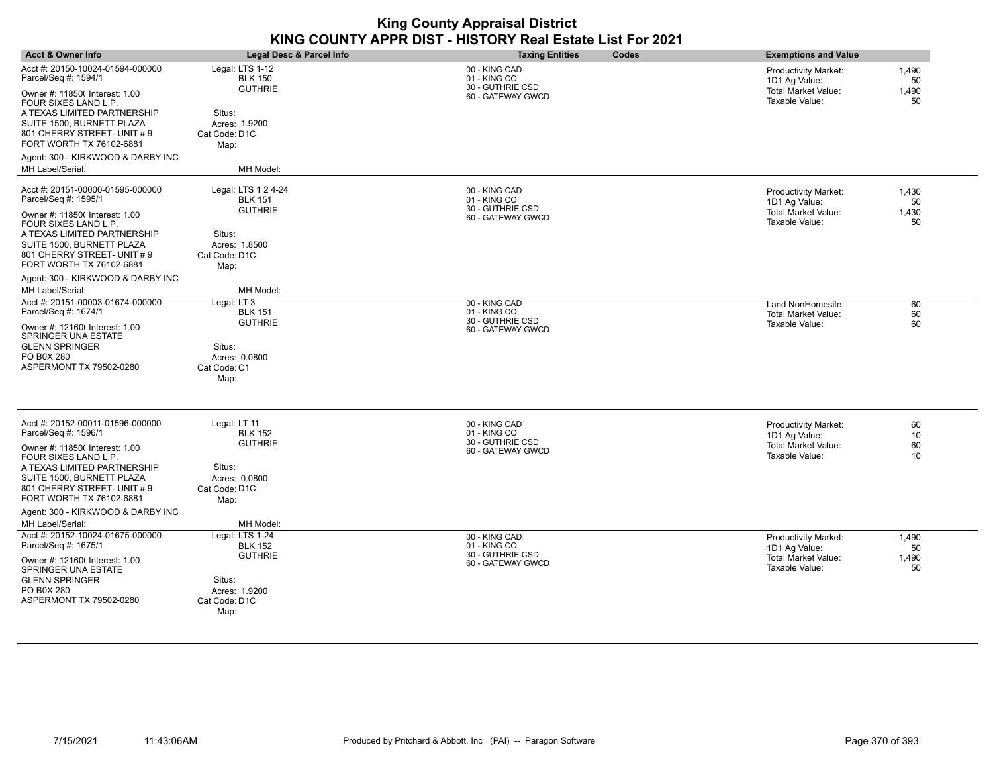|                                                                                                                                                                               | Legal Desc & Parcel Info                                           | <b>Taxing Entities</b><br>Codes                   | <b>Exemptions and Value</b>                                                                 |
|-------------------------------------------------------------------------------------------------------------------------------------------------------------------------------|--------------------------------------------------------------------|---------------------------------------------------|---------------------------------------------------------------------------------------------|
| Acct #: 20150-10024-01594-000000<br>Parcel/Seq #: 1594/1                                                                                                                      | Legal: LTS 1-12<br><b>BLK 150</b>                                  | 00 - KING CAD<br>01 - KING CO                     | Productivity Market:<br>1,490<br>1D1 Ag Value:<br>50                                        |
| Owner #: 11850( Interest: 1.00<br>FOUR SIXES LAND L.P.<br>A TEXAS LIMITED PARTNERSHIP<br>SUITE 1500, BURNETT PLAZA<br>801 CHERRY STREET- UNIT # 9<br>FORT WORTH TX 76102-6881 | <b>GUTHRIE</b><br>Situs:<br>Acres: 1.9200<br>Cat Code: D1C<br>Map: | 30 - GUTHRIE CSD<br>60 - GATEWAY GWCD             | Total Market Value:<br>1,490<br>Taxable Value:<br>50                                        |
| Agent: 300 - KIRKWOOD & DARBY INC                                                                                                                                             |                                                                    |                                                   |                                                                                             |
| MH Label/Serial:                                                                                                                                                              | MH Model:                                                          |                                                   |                                                                                             |
| Acct #: 20151-00000-01595-000000<br>Parcel/Seq #: 1595/1                                                                                                                      | Legal: LTS 1 2 4-24<br><b>BLK 151</b>                              | 00 - KING CAD<br>01 - KING CO                     | <b>Productivity Market:</b><br>1,430<br>1D1 Ag Value:<br>50                                 |
| Owner #: 11850( Interest: 1.00<br>FOUR SIXES LAND L.P.                                                                                                                        | <b>GUTHRIE</b>                                                     | 30 - GUTHRIE CSD<br>60 - GATEWAY GWCD             | <b>Total Market Value:</b><br>1,430<br>Taxable Value:<br>50                                 |
| A TEXAS LIMITED PARTNERSHIP<br>SUITE 1500, BURNETT PLAZA<br>801 CHERRY STREET- UNIT # 9<br>FORT WORTH TX 76102-6881                                                           | Situs:<br>Acres: 1.8500<br>Cat Code: D1C<br>Map:                   |                                                   |                                                                                             |
| Agent: 300 - KIRKWOOD & DARBY INC                                                                                                                                             |                                                                    |                                                   |                                                                                             |
| MH Label/Serial:<br>Acct #: 20151-00003-01674-000000<br>Parcel/Seq #: 1674/1                                                                                                  | MH Model:<br>Legal: LT 3<br><b>BLK 151</b>                         | 00 - KING CAD<br>01 - KING CO                     | Land NonHomesite:<br>60<br>Total Market Value:<br>60                                        |
| Owner #: 12160( Interest: 1.00<br>SPRINGER UNA ESTATE<br>GLENN SPRINGER                                                                                                       | <b>GUTHRIE</b><br>Situs:                                           | 30 - GUTHRIE CSD<br>60 - GATEWAY GWCD             | Taxable Value:<br>60                                                                        |
| PO B0X 280<br>ASPERMONT TX 79502-0280                                                                                                                                         | Acres: 0.0800<br>Cat Code: C1<br>Map:                              |                                                   |                                                                                             |
| Acct #: 20152-00011-01596-000000                                                                                                                                              | Legal: LT 11                                                       | 00 - KING CAD                                     | <b>Productivity Market:</b><br>60                                                           |
| Parcel/Seq #: 1596/1                                                                                                                                                          | <b>BLK 152</b>                                                     | 01 - KING CO                                      | 1D1 Ag Value:<br>10                                                                         |
| Owner #: 11850( Interest: 1.00<br>FOUR SIXES LAND L.P.                                                                                                                        | <b>GUTHRIE</b>                                                     | 30 - GUTHRIE CSD<br>60 - GATEWAY GWCD             | <b>Total Market Value:</b><br>60<br>Taxable Value:<br>10                                    |
| A TEXAS LIMITED PARTNERSHIP<br>SUITE 1500, BURNETT PLAZA<br>801 CHERRY STREET- UNIT # 9<br>FORT WORTH TX 76102-6881                                                           | Situs:<br>Acres: 0.0800<br>Cat Code: D1C<br>Map:                   |                                                   |                                                                                             |
| Agent: 300 - KIRKWOOD & DARBY INC                                                                                                                                             |                                                                    |                                                   |                                                                                             |
| MH Label/Serial:                                                                                                                                                              | MH Model:                                                          |                                                   |                                                                                             |
| Acct #: 20152-10024-01675-000000<br>Parcel/Seq #: 1675/1                                                                                                                      | Legal: LTS 1-24<br><b>BLK 152</b><br><b>GUTHRIE</b>                | 00 - KING CAD<br>01 - KING CO<br>30 - GUTHRIE CSD | <b>Productivity Market:</b><br>1,490<br>1D1 Ag Value:<br>50<br>Total Market Value:<br>1,490 |
|                                                                                                                                                                               |                                                                    | 60 - GATEWAY GWCD                                 | Taxable Value:<br>50                                                                        |
| Owner #: 12160( Interest: 1.00<br>SPRINGER UNA ESTATE                                                                                                                         |                                                                    |                                                   |                                                                                             |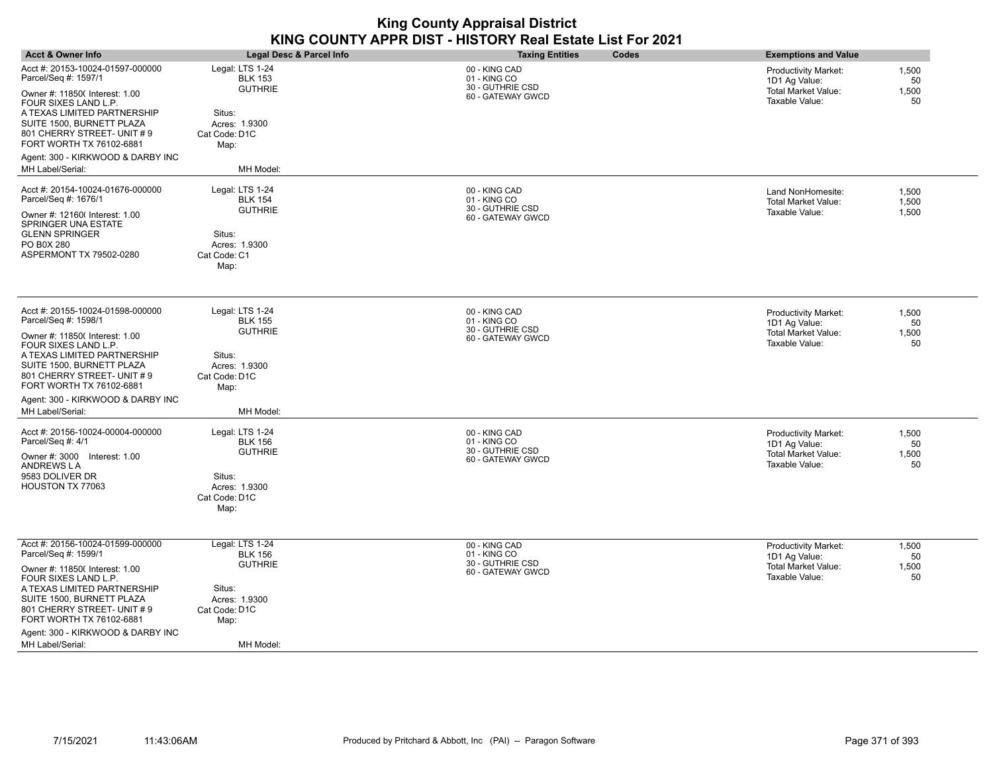| <b>Acct &amp; Owner Info</b>                                                                                                                                                                                                                                                                       | Legal Desc & Parcel Info                                                                                             | <b>Taxing Entities</b>                                                 | Codes | <b>Exemptions and Value</b>                                                                  |                            |
|----------------------------------------------------------------------------------------------------------------------------------------------------------------------------------------------------------------------------------------------------------------------------------------------------|----------------------------------------------------------------------------------------------------------------------|------------------------------------------------------------------------|-------|----------------------------------------------------------------------------------------------|----------------------------|
| Acct #: 20153-10024-01597-000000<br>Parcel/Seq #: 1597/1<br>Owner #: 11850( Interest: 1.00<br>FOUR SIXES LAND L.P.<br>A TEXAS LIMITED PARTNERSHIP<br>SUITE 1500, BURNETT PLAZA<br>801 CHERRY STREET- UNIT # 9<br>FORT WORTH TX 76102-6881<br>Agent: 300 - KIRKWOOD & DARBY INC<br>MH Label/Serial: | Legal: LTS 1-24<br><b>BLK 153</b><br><b>GUTHRIE</b><br>Situs:<br>Acres: 1.9300<br>Cat Code: D1C<br>Map:<br>MH Model: | 00 - KING CAD<br>01 - KING CO<br>30 - GUTHRIE CSD<br>60 - GATEWAY GWCD |       | <b>Productivity Market:</b><br>1D1 Ag Value:<br><b>Total Market Value:</b><br>Taxable Value: | 1,500<br>50<br>1,500<br>50 |
| Acct #: 20154-10024-01676-000000<br>Parcel/Seq #: 1676/1<br>Owner #: 12160( Interest: 1.00<br>SPRINGER UNA ESTATE<br>GLENN SPRINGER<br>PO B0X 280<br>ASPERMONT TX 79502-0280                                                                                                                       | Legal: LTS 1-24<br><b>BLK 154</b><br><b>GUTHRIE</b><br>Situs:<br>Acres: 1.9300<br>Cat Code: C1<br>Map:               | 00 - KING CAD<br>01 - KING CO<br>30 - GUTHRIE CSD<br>60 - GATEWAY GWCD |       | Land NonHomesite:<br>Total Market Value:<br>Taxable Value:                                   | 1,500<br>1,500<br>1,500    |
| Acct #: 20155-10024-01598-000000<br>Parcel/Seq #: 1598/1<br>Owner #: 11850( Interest: 1.00<br>FOUR SIXES LAND L.P.<br>A TEXAS LIMITED PARTNERSHIP<br>SUITE 1500, BURNETT PLAZA<br>801 CHERRY STREET- UNIT # 9<br>FORT WORTH TX 76102-6881<br>Agent: 300 - KIRKWOOD & DARBY INC<br>MH Label/Serial: | Legal: LTS 1-24<br><b>BLK 155</b><br><b>GUTHRIE</b><br>Situs:<br>Acres: 1.9300<br>Cat Code: D1C<br>Map:<br>MH Model: | 00 - KING CAD<br>01 - KING CO<br>30 - GUTHRIE CSD<br>60 - GATEWAY GWCD |       | <b>Productivity Market:</b><br>1D1 Ag Value:<br><b>Total Market Value:</b><br>Taxable Value: | 1,500<br>50<br>1,500<br>50 |
| Acct #: 20156-10024-00004-000000<br>Parcel/Seq #: 4/1<br>Owner #: 3000 Interest: 1.00<br>ANDREWS L A<br>9583 DOLIVER DR<br>HOUSTON TX 77063                                                                                                                                                        | Legal: LTS 1-24<br><b>BLK 156</b><br><b>GUTHRIE</b><br>Situs:<br>Acres: 1.9300<br>Cat Code: D1C<br>Map:              | 00 - KING CAD<br>01 - KING CO<br>30 - GUTHRIE CSD<br>60 - GATEWAY GWCD |       | Productivity Market:<br>1D1 Ag Value:<br><b>Total Market Value:</b><br>Taxable Value:        | 1,500<br>50<br>1,500<br>50 |
| Acct #: 20156-10024-01599-000000<br>Parcel/Seq #: 1599/1<br>Owner #: 11850( Interest: 1.00<br>FOUR SIXES LAND L.P.<br>A TEXAS LIMITED PARTNERSHIP<br>SUITE 1500, BURNETT PLAZA<br>801 CHERRY STREET- UNIT # 9<br>FORT WORTH TX 76102-6881<br>Agent: 300 - KIRKWOOD & DARBY INC<br>MH Label/Serial: | Legal: LTS 1-24<br><b>BLK 156</b><br><b>GUTHRIE</b><br>Situs:<br>Acres: 1.9300<br>Cat Code: D1C<br>Map:<br>MH Model: | 00 - KING CAD<br>01 - KING CO<br>30 - GUTHRIE CSD<br>60 - GATEWAY GWCD |       | <b>Productivity Market:</b><br>1D1 Ag Value:<br><b>Total Market Value:</b><br>Taxable Value: | 1,500<br>50<br>1,500<br>50 |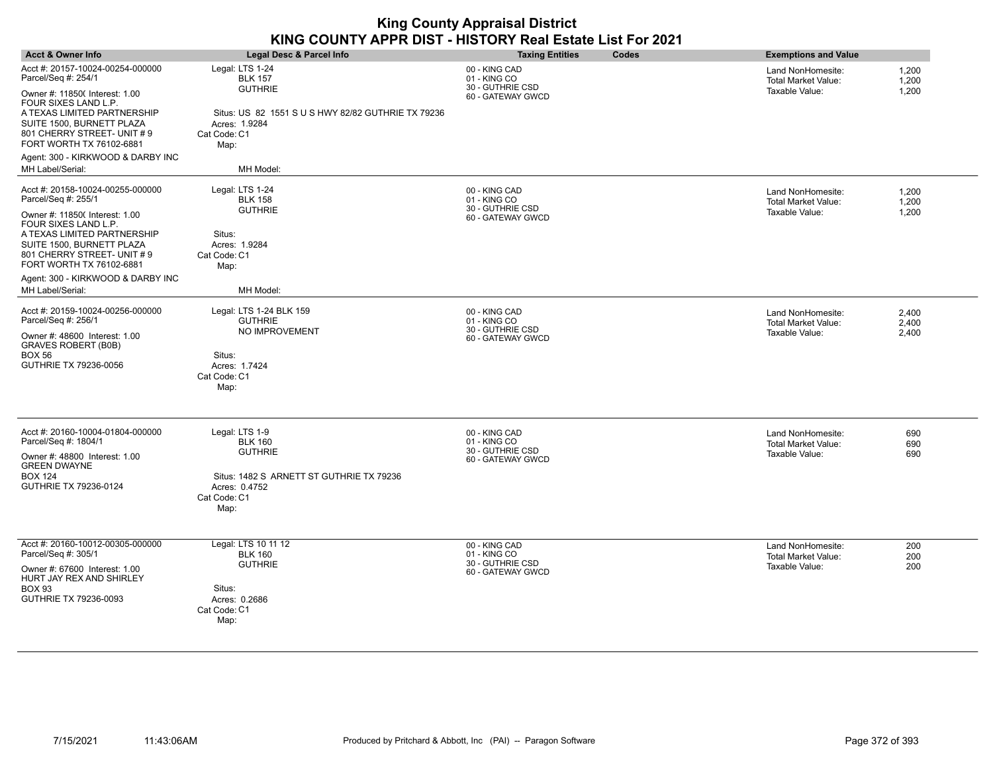| <b>Acct &amp; Owner Info</b>                                                                                                                                                                                                             | <b>Legal Desc &amp; Parcel Info</b>                                                                                                     | <b>Taxing Entities</b>                                                 | Codes | <b>Exemptions and Value</b>                                       |                         |
|------------------------------------------------------------------------------------------------------------------------------------------------------------------------------------------------------------------------------------------|-----------------------------------------------------------------------------------------------------------------------------------------|------------------------------------------------------------------------|-------|-------------------------------------------------------------------|-------------------------|
| Acct #: 20157-10024-00254-000000<br>Parcel/Seq #: 254/1                                                                                                                                                                                  | Legal: LTS 1-24<br><b>BLK 157</b><br><b>GUTHRIE</b>                                                                                     | 00 - KING CAD<br>01 - KING CO<br>30 - GUTHRIE CSD                      |       | Land NonHomesite:<br><b>Total Market Value:</b><br>Taxable Value: | 1,200<br>1,200<br>1,200 |
| Owner #: 11850( Interest: 1.00<br>FOUR SIXES LAND L.P.<br>A TEXAS LIMITED PARTNERSHIP<br>SUITE 1500, BURNETT PLAZA<br>801 CHERRY STREET- UNIT # 9<br>FORT WORTH TX 76102-6881                                                            | Situs: US 82 1551 S U S HWY 82/82 GUTHRIE TX 79236<br>Acres: 1.9284<br>Cat Code: C1<br>Map:                                             | 60 - GATEWAY GWCD                                                      |       |                                                                   |                         |
| Agent: 300 - KIRKWOOD & DARBY INC<br>MH Label/Serial:                                                                                                                                                                                    | MH Model:                                                                                                                               |                                                                        |       |                                                                   |                         |
| Acct #: 20158-10024-00255-000000<br>Parcel/Seq #: 255/1<br>Owner #: 11850( Interest: 1.00<br>FOUR SIXES LAND L.P.<br>A TEXAS LIMITED PARTNERSHIP<br>SUITE 1500, BURNETT PLAZA<br>801 CHERRY STREET- UNIT # 9<br>FORT WORTH TX 76102-6881 | Legal: LTS 1-24<br><b>BLK 158</b><br><b>GUTHRIE</b><br>Situs:<br>Acres: 1.9284<br>Cat Code: C1<br>Map:                                  | 00 - KING CAD<br>01 - KING CO<br>30 - GUTHRIE CSD<br>60 - GATEWAY GWCD |       | Land NonHomesite:<br>Total Market Value:<br>Taxable Value:        | 1,200<br>1,200<br>1,200 |
| Agent: 300 - KIRKWOOD & DARBY INC<br>MH Label/Serial:                                                                                                                                                                                    | MH Model:                                                                                                                               |                                                                        |       |                                                                   |                         |
| Acct #: 20159-10024-00256-000000<br>Parcel/Seq #: 256/1<br>Owner #: 48600 Interest: 1.00<br>GRAVES ROBERT (B0B)<br>BOX 56<br>GUTHRIE TX 79236-0056                                                                                       | Legal: LTS 1-24 BLK 159<br><b>GUTHRIE</b><br>NO IMPROVEMENT<br>Situs:<br>Acres: 1.7424<br>Cat Code: C1<br>Map:                          | 00 - KING CAD<br>01 - KING CO<br>30 - GUTHRIE CSD<br>60 - GATEWAY GWCD |       | Land NonHomesite:<br>Total Market Value:<br>Taxable Value:        | 2,400<br>2,400<br>2,400 |
| Acct #: 20160-10004-01804-000000<br>Parcel/Seq #: 1804/1<br>Owner #: 48800 Interest: 1.00<br>GREEN DWAYNE<br>BOX 124<br>GUTHRIE TX 79236-0124                                                                                            | Legal: LTS 1-9<br><b>BLK 160</b><br><b>GUTHRIE</b><br>Situs: 1482 S ARNETT ST GUTHRIE TX 79236<br>Acres: 0.4752<br>Cat Code: C1<br>Map: | 00 - KING CAD<br>01 - KING CO<br>30 - GUTHRIE CSD<br>60 - GATEWAY GWCD |       | Land NonHomesite:<br><b>Total Market Value:</b><br>Taxable Value: | 690<br>690<br>690       |
| Acct #: 20160-10012-00305-000000<br>Parcel/Seq #: 305/1<br>Owner #: 67600 Interest: 1.00<br>HURT JAY REX AND SHIRLEY<br>BOX 93<br>GUTHRIE TX 79236-0093                                                                                  | Legal: LTS 10 11 12<br><b>BLK 160</b><br><b>GUTHRIE</b><br>Situs:<br>Acres: 0.2686<br>Cat Code: C1<br>Map:                              | 00 - KING CAD<br>01 - KING CO<br>30 - GUTHRIE CSD<br>60 - GATEWAY GWCD |       | Land NonHomesite:<br>Total Market Value:<br>Taxable Value:        | 200<br>200<br>200       |

 $\overline{\phantom{a}}$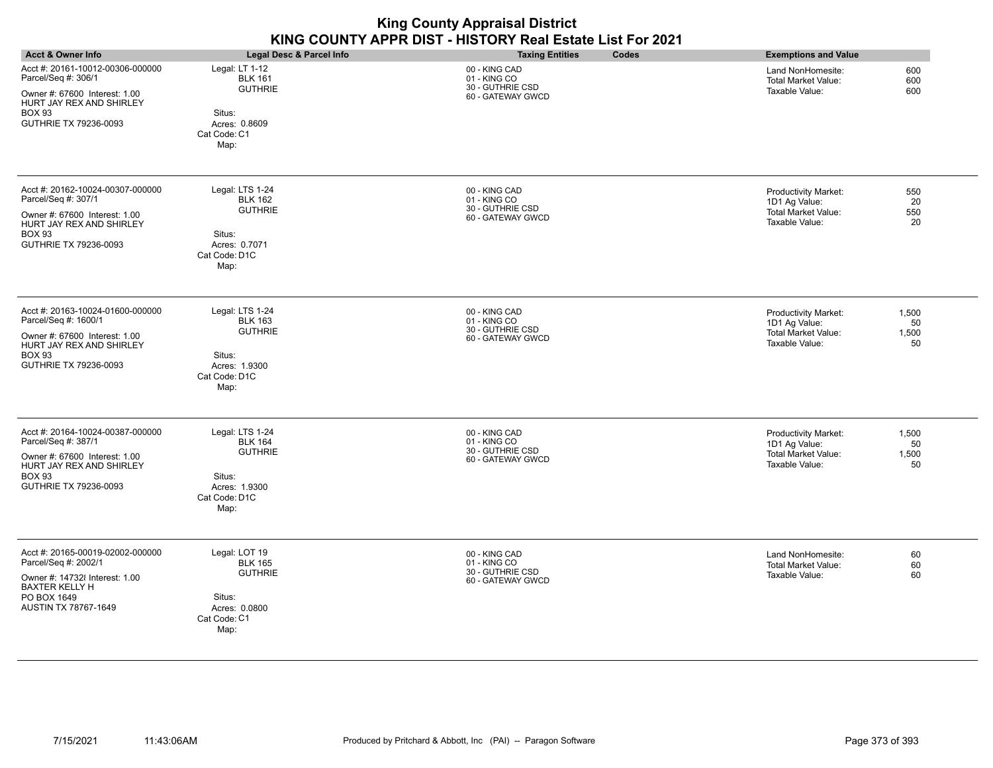| <b>King County Appraisal District</b><br>KING COUNTY APPR DIST - HISTORY Real Estate List For 2021                                                              |                                                                                                         |                                                                        |                                                                                                                            |  |
|-----------------------------------------------------------------------------------------------------------------------------------------------------------------|---------------------------------------------------------------------------------------------------------|------------------------------------------------------------------------|----------------------------------------------------------------------------------------------------------------------------|--|
| <b>Acct &amp; Owner Info</b>                                                                                                                                    | Legal Desc & Parcel Info                                                                                | <b>Taxing Entities</b><br>Codes                                        | <b>Exemptions and Value</b>                                                                                                |  |
| Acct #: 20161-10012-00306-000000<br>Parcel/Seq #: 306/1<br>Owner #: 67600 Interest: 1.00<br>HURT JAY REX AND SHIRLEY<br><b>BOX 93</b><br>GUTHRIE TX 79236-0093  | Legal: LT 1-12<br><b>BLK 161</b><br><b>GUTHRIE</b><br>Situs:<br>Acres: 0.8609<br>Cat Code: C1<br>Map:   | 00 - KING CAD<br>01 - KING CO<br>30 - GUTHRIE CSD<br>60 - GATEWAY GWCD | 600<br>Land NonHomesite:<br><b>Total Market Value:</b><br>600<br>Taxable Value:<br>600                                     |  |
| Acct #: 20162-10024-00307-000000<br>Parcel/Seq #: 307/1<br>Owner #: 67600 Interest: 1.00<br>HURT JAY REX AND SHIRLEY<br><b>BOX 93</b><br>GUTHRIE TX 79236-0093  | Legal: LTS 1-24<br><b>BLK 162</b><br><b>GUTHRIE</b><br>Situs:<br>Acres: 0.7071<br>Cat Code: D1C<br>Map: | 00 - KING CAD<br>01 - KING CO<br>30 - GUTHRIE CSD<br>60 - GATEWAY GWCD | <b>Productivity Market:</b><br>550<br>1D1 Ag Value:<br>20<br>Total Market Value:<br>550<br>Taxable Value:<br>20            |  |
| Acct #: 20163-10024-01600-000000<br>Parcel/Seq #: 1600/1<br>Owner #: 67600 Interest: 1.00<br>HURT JAY REX AND SHIRLEY<br><b>BOX 93</b><br>GUTHRIE TX 79236-0093 | Legal: LTS 1-24<br><b>BLK 163</b><br><b>GUTHRIE</b><br>Situs:<br>Acres: 1.9300<br>Cat Code: D1C<br>Map: | 00 - KING CAD<br>01 - KING CO<br>30 - GUTHRIE CSD<br>60 - GATEWAY GWCD | <b>Productivity Market:</b><br>1,500<br>1D1 Ag Value:<br>50<br><b>Total Market Value:</b><br>1,500<br>Taxable Value:<br>50 |  |
| Acct #: 20164-10024-00387-000000<br>Parcel/Seq #: 387/1<br>Owner #: 67600 Interest: 1.00<br>HURT JAY REX AND SHIRLEY<br><b>BOX 93</b><br>GUTHRIE TX 79236-0093  | Legal: LTS 1-24<br><b>BLK 164</b><br><b>GUTHRIE</b><br>Situs:<br>Acres: 1.9300<br>Cat Code: D1C<br>Map: | 00 - KING CAD<br>01 - KING CO<br>30 - GUTHRIE CSD<br>60 - GATEWAY GWCD | 1,500<br>Productivity Market:<br>1D1 Ag Value:<br>50<br><b>Total Market Value:</b><br>1,500<br>Taxable Value:<br>50        |  |
| Acct #: 20165-00019-02002-000000<br>Parcel/Seq #: 2002/1<br>Owner #: 147328 Interest: 1.00<br><b>BAXTER KELLY H</b><br>PO BOX 1649<br>AUSTIN TX 78767-1649      | Legal: LOT 19<br><b>BLK 165</b><br><b>GUTHRIE</b><br>Situs:<br>Acres: 0.0800<br>Cat Code: C1<br>Map:    | 00 - KING CAD<br>01 - KING CO<br>30 - GUTHRIE CSD<br>60 - GATEWAY GWCD | 60<br>Land NonHomesite:<br>60<br>Total Market Value:<br>60<br>Taxable Value:                                               |  |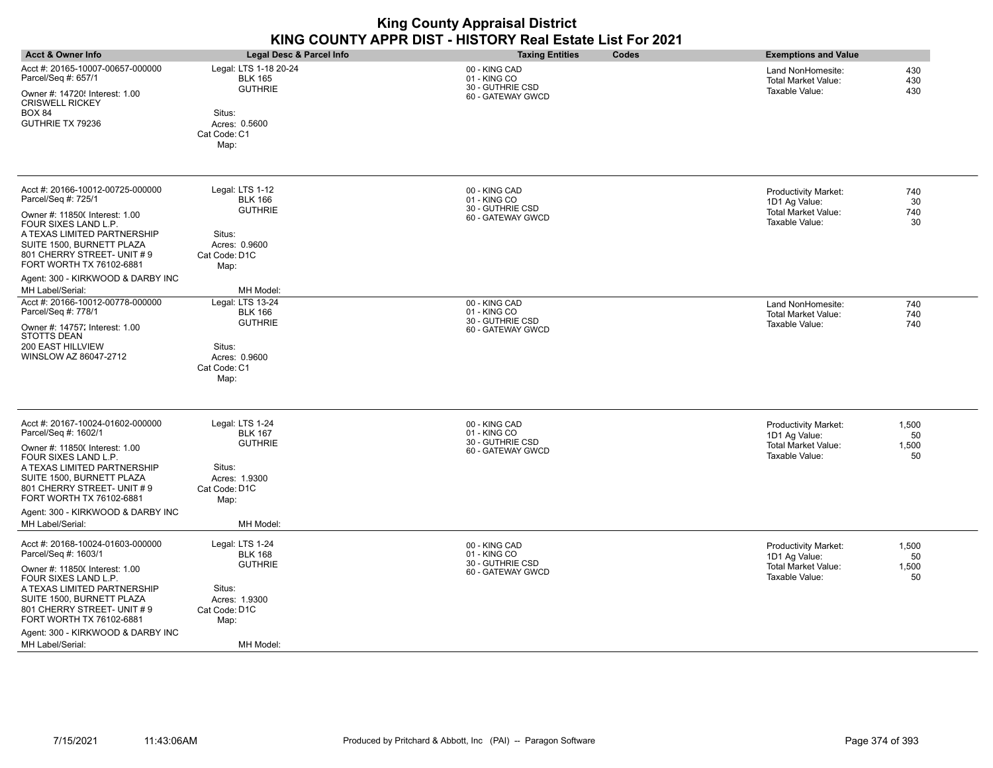|                                                                                                                                                                                                                                                                                                   |                                                                                                                      | <b>King County Appraisal District</b><br>KING COUNTY APPR DIST - HISTORY Real Estate List For 2021 |                                                                                                                            |
|---------------------------------------------------------------------------------------------------------------------------------------------------------------------------------------------------------------------------------------------------------------------------------------------------|----------------------------------------------------------------------------------------------------------------------|----------------------------------------------------------------------------------------------------|----------------------------------------------------------------------------------------------------------------------------|
| <b>Acct &amp; Owner Info</b>                                                                                                                                                                                                                                                                      | <b>Legal Desc &amp; Parcel Info</b>                                                                                  | Codes<br><b>Taxing Entities</b>                                                                    | <b>Exemptions and Value</b>                                                                                                |
| Acct #: 20165-10007-00657-000000<br>Parcel/Seq #: 657/1<br>Owner #: 14720! Interest: 1.00<br><b>CRISWELL RICKEY</b><br><b>BOX 84</b><br>GUTHRIE TX 79236                                                                                                                                          | Legal: LTS 1-18 20-24<br><b>BLK 165</b><br><b>GUTHRIE</b><br>Situs:<br>Acres: 0.5600<br>Cat Code: C1<br>Map:         | 00 - KING CAD<br>01 - KING CO<br>30 - GUTHRIE CSD<br>60 - GATEWAY GWCD                             | 430<br>Land NonHomesite:<br><b>Total Market Value:</b><br>430<br>Taxable Value:<br>430                                     |
| Acct #: 20166-10012-00725-000000<br>Parcel/Seq #: 725/1<br>Owner #: 11850( Interest: 1.00<br>FOUR SIXES LAND L.P.<br>A TEXAS LIMITED PARTNERSHIP<br>SUITE 1500. BURNETT PLAZA<br>801 CHERRY STREET- UNIT #9<br>FORT WORTH TX 76102-6881<br>Agent: 300 - KIRKWOOD & DARBY INC                      | Legal: LTS 1-12<br><b>BLK 166</b><br><b>GUTHRIE</b><br>Situs:<br>Acres: 0.9600<br>Cat Code: D1C<br>Map:              | 00 - KING CAD<br>01 - KING CO<br>30 - GUTHRIE CSD<br>60 - GATEWAY GWCD                             | <b>Productivity Market:</b><br>740<br>1D1 Ag Value:<br>30<br>Total Market Value:<br>740<br>Taxable Value:<br>30            |
| MH Label/Serial:<br>Acct #: 20166-10012-00778-000000<br>Parcel/Seq #: 778/1<br>Owner #: 14757, Interest: 1.00<br><b>STOTTS DEAN</b><br>200 EAST HILLVIEW<br>WINSLOW AZ 86047-2712                                                                                                                 | MH Model:<br>Legal: LTS 13-24<br><b>BLK 166</b><br><b>GUTHRIE</b><br>Situs:<br>Acres: 0.9600<br>Cat Code: C1<br>Map: | 00 - KING CAD<br>01 - KING CO<br>30 - GUTHRIE CSD<br>60 - GATEWAY GWCD                             | Land NonHomesite:<br>740<br>Total Market Value:<br>740<br>Taxable Value:<br>740                                            |
| Acct #: 20167-10024-01602-000000<br>Parcel/Seq #: 1602/1<br>Owner #: 11850( Interest: 1.00<br>FOUR SIXES LAND L.P.<br>A TEXAS LIMITED PARTNERSHIP<br>SUITE 1500, BURNETT PLAZA<br>801 CHERRY STREET- UNIT #9<br>FORT WORTH TX 76102-6881<br>Agent: 300 - KIRKWOOD & DARBY INC<br>MH Label/Serial: | Legal: LTS 1-24<br><b>BLK 167</b><br><b>GUTHRIE</b><br>Situs:<br>Acres: 1.9300<br>Cat Code: D1C<br>Map:<br>MH Model: | 00 - KING CAD<br>01 - KING CO<br>30 - GUTHRIE CSD<br>60 - GATEWAY GWCD                             | Productivity Market:<br>1,500<br>1D1 Ag Value:<br>50<br>Total Market Value:<br>1,500<br>Taxable Value:<br>50               |
| Acct #: 20168-10024-01603-000000<br>Parcel/Seq #: 1603/1<br>Owner #: 11850( Interest: 1.00<br>FOUR SIXES LAND L.P.<br>A TEXAS LIMITED PARTNERSHIP<br>SUITE 1500, BURNETT PLAZA<br>801 CHERRY STREET- UNIT #9<br>FORT WORTH TX 76102-6881<br>Agent: 300 - KIRKWOOD & DARBY INC<br>MH Label/Serial: | Legal: LTS 1-24<br><b>BLK 168</b><br><b>GUTHRIE</b><br>Situs:<br>Acres: 1.9300<br>Cat Code: D1C<br>Map:<br>MH Model: | 00 - KING CAD<br>01 - KING CO<br>30 - GUTHRIE CSD<br>60 - GATEWAY GWCD                             | 1,500<br><b>Productivity Market:</b><br>1D1 Ag Value:<br>50<br><b>Total Market Value:</b><br>1,500<br>Taxable Value:<br>50 |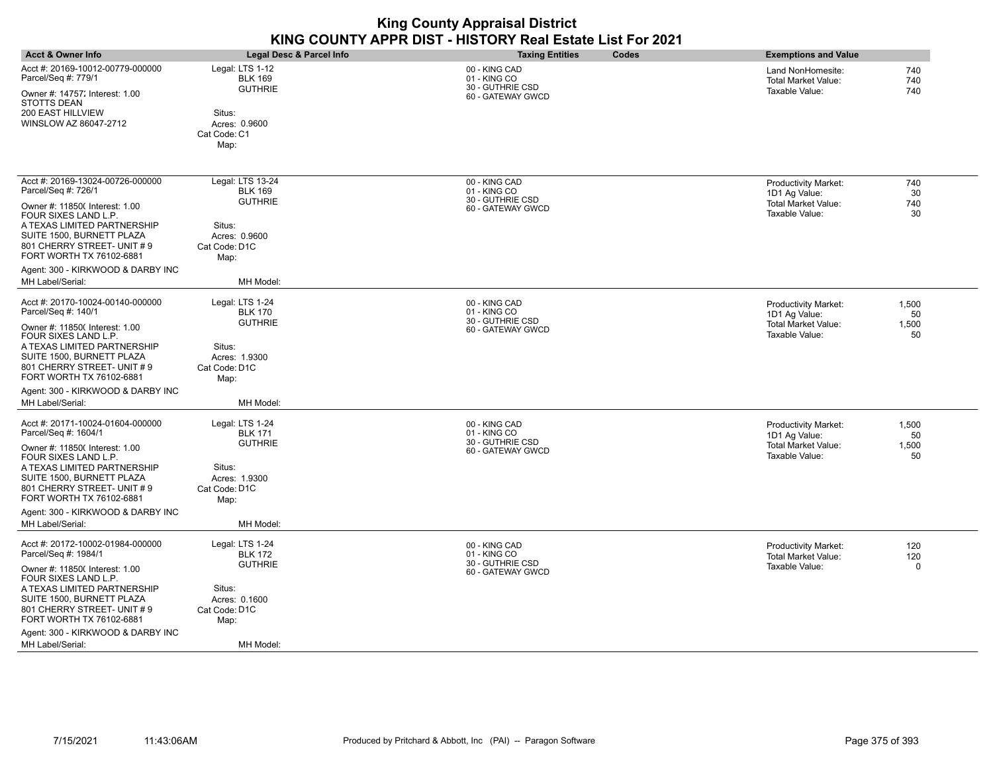|                                                                                                                                                                                                                                                                                                   |                                                                                                                       | <b>King County Appraisal District</b><br>KING COUNTY APPR DIST - HISTORY Real Estate List For 2021 |                                                                                                                            |
|---------------------------------------------------------------------------------------------------------------------------------------------------------------------------------------------------------------------------------------------------------------------------------------------------|-----------------------------------------------------------------------------------------------------------------------|----------------------------------------------------------------------------------------------------|----------------------------------------------------------------------------------------------------------------------------|
| <b>Acct &amp; Owner Info</b>                                                                                                                                                                                                                                                                      | <b>Legal Desc &amp; Parcel Info</b>                                                                                   | <b>Taxing Entities</b><br>Codes                                                                    | <b>Exemptions and Value</b>                                                                                                |
| Acct #: 20169-10012-00779-000000<br>Parcel/Seq #: 779/1<br>Owner #: 14757; Interest: 1.00<br><b>STOTTS DEAN</b><br>200 EAST HILLVIEW<br>WINSLOW AZ 86047-2712                                                                                                                                     | Legal: LTS 1-12<br><b>BLK 169</b><br><b>GUTHRIE</b><br>Situs:<br>Acres: 0.9600<br>Cat Code: C1<br>Map:                | 00 - KING CAD<br>01 - KING CO<br>30 - GUTHRIE CSD<br>60 - GATEWAY GWCD                             | 740<br>Land NonHomesite:<br><b>Total Market Value:</b><br>740<br>Taxable Value:<br>740                                     |
| Acct #: 20169-13024-00726-000000<br>Parcel/Seq #: 726/1<br>Owner #: 11850( Interest: 1.00<br>FOUR SIXES LAND L.P.<br>A TEXAS LIMITED PARTNERSHIP<br>SUITE 1500, BURNETT PLAZA<br>801 CHERRY STREET- UNIT #9<br>FORT WORTH TX 76102-6881<br>Agent: 300 - KIRKWOOD & DARBY INC<br>MH Label/Serial:  | Legal: LTS 13-24<br><b>BLK 169</b><br><b>GUTHRIE</b><br>Situs:<br>Acres: 0.9600<br>Cat Code: D1C<br>Map:<br>MH Model: | 00 - KING CAD<br>01 - KING CO<br>30 - GUTHRIE CSD<br>60 - GATEWAY GWCD                             | <b>Productivity Market:</b><br>740<br>1D1 Ag Value:<br>30<br><b>Total Market Value:</b><br>740<br>Taxable Value:<br>30     |
| Acct #: 20170-10024-00140-000000<br>Parcel/Seq #: 140/1<br>Owner #: 11850( Interest: 1.00<br>FOUR SIXES LAND L.P.<br>A TEXAS LIMITED PARTNERSHIP<br>SUITE 1500, BURNETT PLAZA<br>801 CHERRY STREET- UNIT #9<br>FORT WORTH TX 76102-6881<br>Agent: 300 - KIRKWOOD & DARBY INC<br>MH Label/Serial:  | Legal: LTS 1-24<br><b>BLK 170</b><br><b>GUTHRIE</b><br>Situs:<br>Acres: 1.9300<br>Cat Code: D1C<br>Map:<br>MH Model:  | 00 - KING CAD<br>01 - KING CO<br>30 - GUTHRIE CSD<br>60 - GATEWAY GWCD                             | 1,500<br><b>Productivity Market:</b><br>1D1 Ag Value:<br>50<br>1,500<br><b>Total Market Value:</b><br>Taxable Value:<br>50 |
| Acct #: 20171-10024-01604-000000<br>Parcel/Seq #: 1604/1<br>Owner #: 11850( Interest: 1.00<br>FOUR SIXES LAND L.P.<br>A TEXAS LIMITED PARTNERSHIP<br>SUITE 1500, BURNETT PLAZA<br>801 CHERRY STREET- UNIT #9<br>FORT WORTH TX 76102-6881<br>Agent: 300 - KIRKWOOD & DARBY INC<br>MH Label/Serial: | Legal: LTS 1-24<br><b>BLK 171</b><br><b>GUTHRIE</b><br>Situs:<br>Acres: 1.9300<br>Cat Code: D1C<br>Map:<br>MH Model:  | 00 - KING CAD<br>01 - KING CO<br>30 - GUTHRIE CSD<br>60 - GATEWAY GWCD                             | 1,500<br><b>Productivity Market:</b><br>1D1 Ag Value:<br>50<br><b>Total Market Value:</b><br>1,500<br>Taxable Value:<br>50 |
| Acct #: 20172-10002-01984-000000<br>Parcel/Seq #: 1984/1<br>Owner #: 11850( Interest: 1.00<br>FOUR SIXES LAND L.P.<br>A TEXAS LIMITED PARTNERSHIP<br>SUITE 1500. BURNETT PLAZA<br>801 CHERRY STREET- UNIT #9<br>FORT WORTH TX 76102-6881<br>Agent: 300 - KIRKWOOD & DARBY INC<br>MH Label/Serial: | Legal: LTS 1-24<br><b>BLK 172</b><br><b>GUTHRIE</b><br>Situs:<br>Acres: 0.1600<br>Cat Code: D1C<br>Map:<br>MH Model:  | 00 - KING CAD<br>01 - KING CO<br>30 - GUTHRIE CSD<br>60 - GATEWAY GWCD                             | 120<br><b>Productivity Market:</b><br><b>Total Market Value:</b><br>120<br>Taxable Value:<br>$\mathbf 0$                   |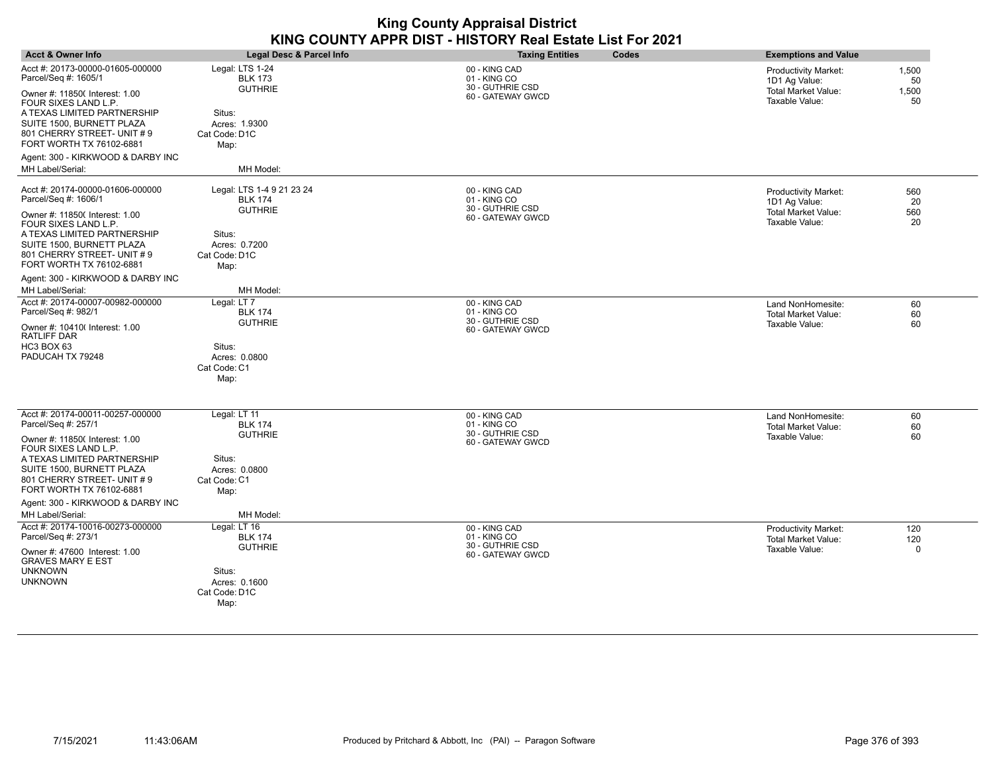| <b>Acct &amp; Owner Info</b>                                                         | Legal Desc & Parcel Info                    | <b>Taxing Entities</b><br>Codes                   | <b>Exemptions and Value</b>                                             |
|--------------------------------------------------------------------------------------|---------------------------------------------|---------------------------------------------------|-------------------------------------------------------------------------|
| Acct #: 20173-00000-01605-000000<br>Parcel/Seq #: 1605/1                             | Legal: LTS 1-24<br><b>BLK 173</b>           | 00 - KING CAD<br>01 - KING CO                     | 1,500<br><b>Productivity Market:</b><br>1D1 Ag Value:<br>50             |
| Owner #: 11850( Interest: 1.00<br>FOUR SIXES LAND L.P.                               | <b>GUTHRIE</b>                              | 30 - GUTHRIE CSD<br>60 - GATEWAY GWCD             | <b>Total Market Value:</b><br>1,500<br>Taxable Value:<br>50             |
| A TEXAS LIMITED PARTNERSHIP<br>SUITE 1500, BURNETT PLAZA                             | Situs:<br>Acres: 1.9300                     |                                                   |                                                                         |
| 801 CHERRY STREET- UNIT # 9                                                          | Cat Code: D1C                               |                                                   |                                                                         |
| FORT WORTH TX 76102-6881<br>Agent: 300 - KIRKWOOD & DARBY INC                        | Map:                                        |                                                   |                                                                         |
| MH Label/Serial:                                                                     | MH Model:                                   |                                                   |                                                                         |
| Acct #: 20174-00000-01606-000000<br>Parcel/Seq #: 1606/1                             | Legal: LTS 1-4 9 21 23 24<br><b>BLK 174</b> | 00 - KING CAD<br>01 - KING CO                     | <b>Productivity Market:</b><br>560<br>1D1 Ag Value:<br>20               |
| Owner #: 11850( Interest: 1.00<br>FOUR SIXES LAND L.P.                               | <b>GUTHRIE</b>                              | 30 - GUTHRIE CSD<br>60 - GATEWAY GWCD             | <b>Total Market Value:</b><br>560<br>Taxable Value:<br>20               |
| A TEXAS LIMITED PARTNERSHIP                                                          | Situs:                                      |                                                   |                                                                         |
| SUITE 1500, BURNETT PLAZA<br>801 CHERRY STREET- UNIT # 9<br>FORT WORTH TX 76102-6881 | Acres: 0.7200<br>Cat Code: D1C<br>Map:      |                                                   |                                                                         |
| Agent: 300 - KIRKWOOD & DARBY INC                                                    |                                             |                                                   |                                                                         |
| MH Label/Serial:                                                                     | MH Model:                                   |                                                   |                                                                         |
| Acct #: 20174-00007-00982-000000<br>Parcel/Seq #: 982/1                              | Legal: LT 7<br><b>BLK 174</b>               | 00 - KING CAD<br>01 - KING CO                     | Land NonHomesite:<br>60<br>Total Market Value:<br>60                    |
| Owner #: 10410( Interest: 1.00<br>RATLIFF DAR                                        | <b>GUTHRIE</b>                              | 30 - GUTHRIE CSD<br>60 - GATEWAY GWCD             | Taxable Value:<br>60                                                    |
| HC3 BOX 63                                                                           | Situs:                                      |                                                   |                                                                         |
| PADUCAH TX 79248                                                                     | Acres: 0.0800<br>Cat Code: C1<br>Map:       |                                                   |                                                                         |
|                                                                                      |                                             |                                                   |                                                                         |
| Acct #: 20174-00011-00257-000000<br>Parcel/Seq #: 257/1                              | Legal: LT 11<br><b>BLK 174</b>              | 00 - KING CAD<br>01 - KING CO<br>30 - GUTHRIE CSD | Land NonHomesite:<br>60<br><b>Total Market Value:</b><br>60             |
| Owner #: 11850( Interest: 1.00<br>FOUR SIXES LAND L.P.                               | <b>GUTHRIE</b>                              | 60 - GATEWAY GWCD                                 | Taxable Value:<br>60                                                    |
| A TEXAS LIMITED PARTNERSHIP<br>SUITE 1500, BURNETT PLAZA                             | Situs:<br>Acres: 0.0800                     |                                                   |                                                                         |
| 801 CHERRY STREET- UNIT # 9<br>FORT WORTH TX 76102-6881                              | Cat Code: C1<br>Map:                        |                                                   |                                                                         |
| Agent: 300 - KIRKWOOD & DARBY INC                                                    |                                             |                                                   |                                                                         |
| MH Label/Serial:                                                                     | MH Model:                                   |                                                   |                                                                         |
| Acct #: 20174-10016-00273-000000<br>Parcel/Seq #: 273/1                              | Legal: LT 16<br><b>BLK 174</b>              | 00 - KING CAD<br>01 - KING CO                     | <b>Productivity Market:</b><br>120<br><b>Total Market Value:</b><br>120 |
| Owner #: 47600 Interest: 1.00<br>GRAVES MARY E EST                                   | <b>GUTHRIE</b>                              | 30 - GUTHRIE CSD<br>60 - GATEWAY GWCD             | Taxable Value:<br>$\mathbf 0$                                           |
| unknown                                                                              | Situs:                                      |                                                   |                                                                         |
| <b>UNKNOWN</b>                                                                       | Acres: 0.1600<br>Cat Code: D1C              |                                                   |                                                                         |
|                                                                                      | Map:                                        |                                                   |                                                                         |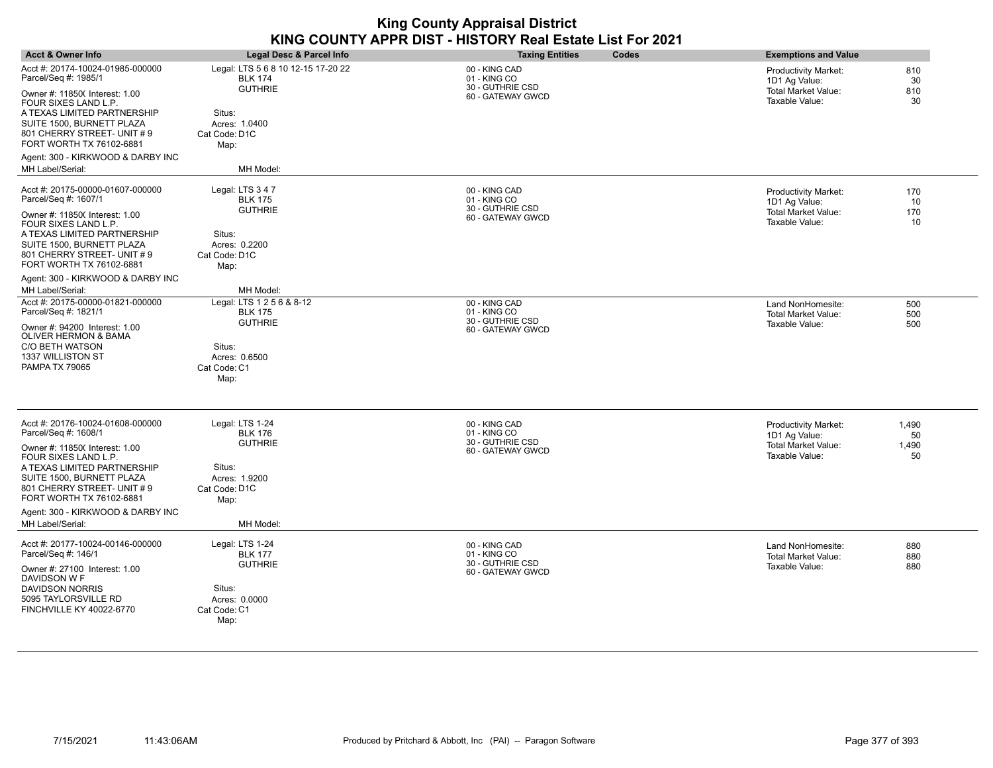| <b>Acct &amp; Owner Info</b>                                                                                                                                                                                                              | Legal Desc & Parcel Info                                                                                                   | <b>Taxing Entities</b><br>Codes                                        | <b>Exemptions and Value</b>                                                                                            |
|-------------------------------------------------------------------------------------------------------------------------------------------------------------------------------------------------------------------------------------------|----------------------------------------------------------------------------------------------------------------------------|------------------------------------------------------------------------|------------------------------------------------------------------------------------------------------------------------|
| Acct #: 20174-10024-01985-000000<br>Parcel/Seq #: 1985/1<br>Owner #: 11850( Interest: 1.00<br>FOUR SIXES LAND L.P.<br>A TEXAS LIMITED PARTNERSHIP<br>SUITE 1500, BURNETT PLAZA<br>801 CHERRY STREET- UNIT # 9<br>FORT WORTH TX 76102-6881 | Legal: LTS 5 6 8 10 12-15 17-20 22<br><b>BLK 174</b><br><b>GUTHRIE</b><br>Situs:<br>Acres: 1.0400<br>Cat Code: D1C<br>Map: | 00 - KING CAD<br>01 - KING CO<br>30 - GUTHRIE CSD<br>60 - GATEWAY GWCD | 810<br><b>Productivity Market:</b><br>1D1 Ag Value:<br>30<br>Total Market Value:<br>810<br>Taxable Value:<br>30        |
| Agent: 300 - KIRKWOOD & DARBY INC<br>MH Label/Serial:                                                                                                                                                                                     | MH Model:                                                                                                                  |                                                                        |                                                                                                                        |
| Acct #: 20175-00000-01607-000000<br>Parcel/Seq #: 1607/1<br>Owner #: 11850( Interest: 1.00<br>FOUR SIXES LAND L.P.<br>A TEXAS LIMITED PARTNERSHIP<br>SUITE 1500, BURNETT PLAZA<br>801 CHERRY STREET- UNIT # 9<br>FORT WORTH TX 76102-6881 | Legal: LTS 3 4 7<br><b>BLK 175</b><br><b>GUTHRIE</b><br>Situs:<br>Acres: 0.2200<br>Cat Code: D1C<br>Map:                   | 00 - KING CAD<br>01 - KING CO<br>30 - GUTHRIE CSD<br>60 - GATEWAY GWCD | <b>Productivity Market:</b><br>170<br>1D1 Ag Value:<br>10<br><b>Total Market Value:</b><br>170<br>Taxable Value:<br>10 |
| Agent: 300 - KIRKWOOD & DARBY INC<br>MH Label/Serial:                                                                                                                                                                                     | MH Model:                                                                                                                  |                                                                        |                                                                                                                        |
| Acct #: 20175-00000-01821-000000<br>Parcel/Seq #: 1821/1                                                                                                                                                                                  | Legal: LTS 1 2 5 6 & 8-12<br><b>BLK 175</b>                                                                                | 00 - KING CAD<br>01 - KING CO                                          | 500<br>Land NonHomesite:<br>Total Market Value:<br>500                                                                 |
| Owner #: 94200 Interest: 1.00<br>OLIVER HERMON & BAMA<br>C/O BETH WATSON<br><b>1337 WILLISTON ST</b><br>PAMPA TX 79065                                                                                                                    | <b>GUTHRIE</b><br>Situs:<br>Acres: 0.6500<br>Cat Code: C1<br>Map:                                                          | 30 - GUTHRIE CSD<br>60 - GATEWAY GWCD                                  | Taxable Value:<br>500                                                                                                  |
| Acct #: 20176-10024-01608-000000<br>Parcel/Seq #: 1608/1                                                                                                                                                                                  | Legal: LTS 1-24<br><b>BLK 176</b>                                                                                          | 00 - KING CAD<br>01 - KING CO<br>30 - GUTHRIE CSD                      | <b>Productivity Market:</b><br>1,490<br>1D1 Ag Value:<br>50                                                            |
| Owner #: 11850( Interest: 1.00<br>FOUR SIXES LAND L.P.<br>A TEXAS LIMITED PARTNERSHIP<br>SUITE 1500, BURNETT PLAZA<br>801 CHERRY STREET- UNIT # 9<br>FORT WORTH TX 76102-6881                                                             | <b>GUTHRIE</b><br>Situs:<br>Acres: 1.9200<br>Cat Code: D1C<br>Map:                                                         | 60 - GATEWAY GWCD                                                      | Total Market Value:<br>1,490<br>Taxable Value:<br>50                                                                   |
| Agent: 300 - KIRKWOOD & DARBY INC                                                                                                                                                                                                         |                                                                                                                            |                                                                        |                                                                                                                        |
| MH Label/Serial:                                                                                                                                                                                                                          | MH Model:                                                                                                                  |                                                                        |                                                                                                                        |
| Acct #: 20177-10024-00146-000000<br>Parcel/Seq #: 146/1<br>Owner #: 27100 Interest: 1.00<br>DAVIDSON W F                                                                                                                                  | Legal: LTS 1-24<br><b>BLK 177</b><br><b>GUTHRIE</b>                                                                        | 00 - KING CAD<br>01 - KING CO<br>30 - GUTHRIE CSD<br>60 - GATEWAY GWCD | 880<br>Land NonHomesite:<br>Total Market Value:<br>880<br>Taxable Value:<br>880                                        |
| DAVIDSON NORRIS<br>5095 TAYLORSVILLE RD<br>FINCHVILLE KY 40022-6770                                                                                                                                                                       | Situs:<br>Acres: 0.0000<br>Cat Code: C1<br>Map:                                                                            |                                                                        |                                                                                                                        |

÷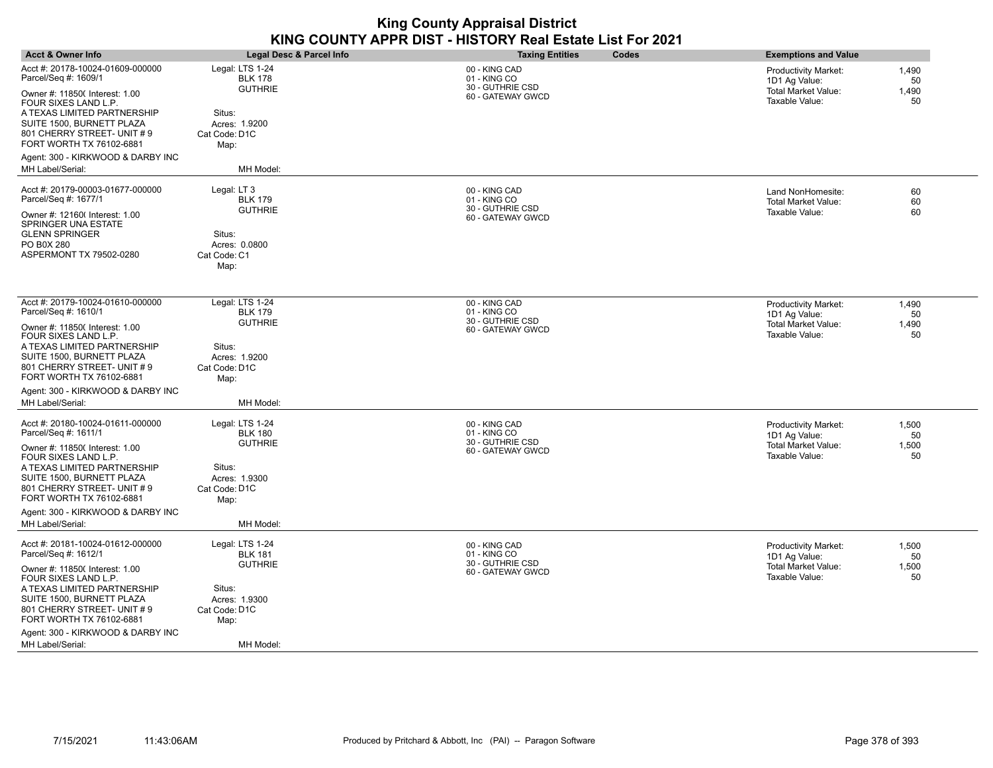| <b>Acct &amp; Owner Info</b>                                                                                                                                                   | Legal Desc & Parcel Info                                                       | <b>Taxing Entities</b>                                                 | Codes | <b>Exemptions and Value</b>                                                    |                            |
|--------------------------------------------------------------------------------------------------------------------------------------------------------------------------------|--------------------------------------------------------------------------------|------------------------------------------------------------------------|-------|--------------------------------------------------------------------------------|----------------------------|
| Acct #: 20178-10024-01609-000000<br>Parcel/Seq #: 1609/1<br>Owner #: 11850( Interest: 1.00<br>FOUR SIXES LAND L.P.<br>A TEXAS LIMITED PARTNERSHIP<br>SUITE 1500, BURNETT PLAZA | Legal: LTS 1-24<br><b>BLK 178</b><br><b>GUTHRIE</b><br>Situs:<br>Acres: 1.9200 | 00 - KING CAD<br>01 - KING CO<br>30 - GUTHRIE CSD<br>60 - GATEWAY GWCD |       | Productivity Market:<br>1D1 Ag Value:<br>Total Market Value:<br>Taxable Value: | 1,490<br>50<br>1,490<br>50 |
| 801 CHERRY STREET- UNIT # 9<br>FORT WORTH TX 76102-6881<br>Agent: 300 - KIRKWOOD & DARBY INC                                                                                   | Cat Code: D1C<br>Map:                                                          |                                                                        |       |                                                                                |                            |
| MH Label/Serial:                                                                                                                                                               | MH Model:                                                                      |                                                                        |       |                                                                                |                            |
| Acct #: 20179-00003-01677-000000<br>Parcel/Seq #: 1677/1                                                                                                                       | Legal: LT 3<br><b>BLK 179</b><br><b>GUTHRIE</b>                                | 00 - KING CAD<br>01 - KING CO<br>30 - GUTHRIE CSD                      |       | Land NonHomesite:<br>Total Market Value:                                       | 60<br>60                   |
| Owner #: 12160( Interest: 1.00<br>SPRINGER UNA ESTATE                                                                                                                          |                                                                                | 60 - GATEWAY GWCD                                                      |       | Taxable Value:                                                                 | 60                         |
| <b>GLENN SPRINGER</b><br>PO B0X 280<br>ASPERMONT TX 79502-0280                                                                                                                 | Situs:<br>Acres: 0.0800<br>Cat Code: C1<br>Map:                                |                                                                        |       |                                                                                |                            |
|                                                                                                                                                                                |                                                                                |                                                                        |       |                                                                                |                            |
| Acct #: 20179-10024-01610-000000<br>Parcel/Seq #: 1610/1                                                                                                                       | Legal: LTS 1-24<br><b>BLK 179</b>                                              | 00 - KING CAD<br>01 - KING CO                                          |       | <b>Productivity Market:</b><br>1D1 Ag Value:                                   | 1,490<br>50                |
| Owner #: 11850( Interest: 1.00<br>FOUR SIXES LAND L.P.                                                                                                                         | <b>GUTHRIE</b>                                                                 | 30 - GUTHRIE CSD<br>60 - GATEWAY GWCD                                  |       | Total Market Value:<br>Taxable Value:                                          | 1,490<br>50                |
| A TEXAS LIMITED PARTNERSHIP<br>SUITE 1500, BURNETT PLAZA<br>801 CHERRY STREET- UNIT # 9<br>FORT WORTH TX 76102-6881                                                            | Situs:<br>Acres: 1.9200<br>Cat Code: D1C<br>Map:                               |                                                                        |       |                                                                                |                            |
| Agent: 300 - KIRKWOOD & DARBY INC<br>MH Label/Serial:                                                                                                                          | MH Model:                                                                      |                                                                        |       |                                                                                |                            |
| Acct #: 20180-10024-01611-000000<br>Parcel/Seq #: 1611/1                                                                                                                       | Legal: LTS 1-24<br><b>BLK 180</b>                                              | 00 - KING CAD<br>01 - KING CO                                          |       | Productivity Market:<br>1D1 Ag Value:                                          | 1,500<br>50                |
| Owner #: 11850( Interest: 1.00<br>FOUR SIXES LAND L.P.                                                                                                                         | <b>GUTHRIE</b>                                                                 | 30 - GUTHRIE CSD<br>60 - GATEWAY GWCD                                  |       | <b>Total Market Value:</b><br>Taxable Value:                                   | 1,500<br>50                |
| A TEXAS LIMITED PARTNERSHIP<br>SUITE 1500, BURNETT PLAZA<br>801 CHERRY STREET- UNIT # 9<br>FORT WORTH TX 76102-6881                                                            | Situs:<br>Acres: 1.9300<br>Cat Code: D1C<br>Map:                               |                                                                        |       |                                                                                |                            |
| Agent: 300 - KIRKWOOD & DARBY INC<br>MH Label/Serial:                                                                                                                          | MH Model:                                                                      |                                                                        |       |                                                                                |                            |
| Acct #: 20181-10024-01612-000000<br>Parcel/Seq #: 1612/1                                                                                                                       | Legal: LTS 1-24<br><b>BLK 181</b>                                              | 00 - KING CAD<br>01 - KING CO                                          |       | <b>Productivity Market:</b><br>1D1 Ag Value:                                   | 1,500<br>50                |
| Owner #: 11850( Interest: 1.00<br>FOUR SIXES LAND L.P.                                                                                                                         | <b>GUTHRIE</b>                                                                 | 30 - GUTHRIE CSD<br>60 - GATEWAY GWCD                                  |       | <b>Total Market Value:</b><br>Taxable Value:                                   | 1,500<br>50                |
| A TEXAS LIMITED PARTNERSHIP<br>SUITE 1500, BURNETT PLAZA<br>801 CHERRY STREET- UNIT # 9<br>FORT WORTH TX 76102-6881                                                            | Situs:<br>Acres: 1.9300<br>Cat Code: D1C<br>Map:                               |                                                                        |       |                                                                                |                            |
| Agent: 300 - KIRKWOOD & DARBY INC                                                                                                                                              |                                                                                |                                                                        |       |                                                                                |                            |
| MH Label/Serial:                                                                                                                                                               | MH Model:                                                                      |                                                                        |       |                                                                                |                            |

 $\overline{\phantom{a}}$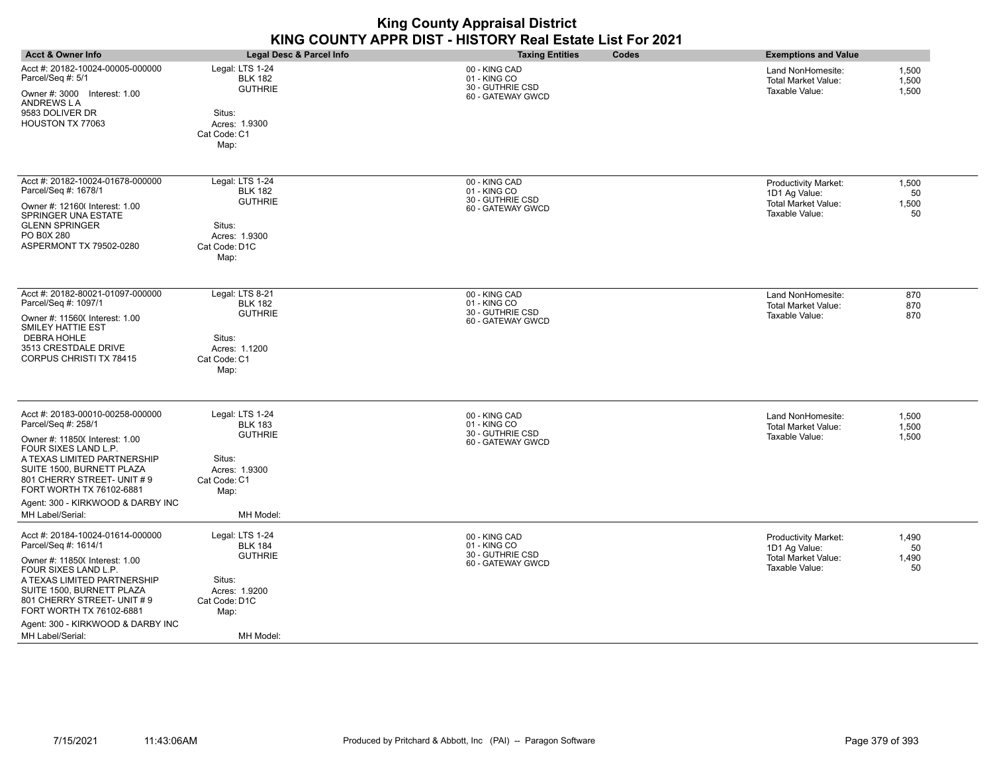|                                                                                                                                                                                                                                                                                                   |                                                                                                                      | <b>King County Appraisal District</b><br>KING COUNTY APPR DIST - HISTORY Real Estate List For 2021 |                                                                                                                     |  |
|---------------------------------------------------------------------------------------------------------------------------------------------------------------------------------------------------------------------------------------------------------------------------------------------------|----------------------------------------------------------------------------------------------------------------------|----------------------------------------------------------------------------------------------------|---------------------------------------------------------------------------------------------------------------------|--|
| <b>Acct &amp; Owner Info</b>                                                                                                                                                                                                                                                                      | Legal Desc & Parcel Info                                                                                             | <b>Taxing Entities</b><br>Codes                                                                    | <b>Exemptions and Value</b>                                                                                         |  |
| Acct #: 20182-10024-00005-000000<br>Parcel/Seq #: 5/1<br>Owner #: 3000 Interest: 1.00<br>ANDREWS LA<br>9583 DOLIVER DR<br>HOUSTON TX 77063                                                                                                                                                        | Legal: LTS 1-24<br><b>BLK 182</b><br><b>GUTHRIE</b><br>Situs:<br>Acres: 1.9300<br>Cat Code: C1<br>Map:               | 00 - KING CAD<br>01 - KING CO<br>30 - GUTHRIE CSD<br>60 - GATEWAY GWCD                             | 1.500<br>Land NonHomesite:<br>1,500<br><b>Total Market Value:</b><br>1,500<br>Taxable Value:                        |  |
| Acct #: 20182-10024-01678-000000<br>Parcel/Seq #: 1678/1<br>Owner #: 12160( Interest: 1.00<br>SPRINGER UNA ESTATE<br><b>GLENN SPRINGER</b><br>PO B0X 280<br>ASPERMONT TX 79502-0280                                                                                                               | Legal: LTS 1-24<br><b>BLK 182</b><br><b>GUTHRIE</b><br>Situs:<br>Acres: 1.9300<br>Cat Code: D1C<br>Map:              | 00 - KING CAD<br>01 - KING CO<br>30 - GUTHRIE CSD<br>60 - GATEWAY GWCD                             | Productivity Market:<br>1,500<br>1D1 Ag Value:<br>50<br><b>Total Market Value:</b><br>1,500<br>Taxable Value:<br>50 |  |
| Acct #: 20182-80021-01097-000000<br>Parcel/Seq #: 1097/1<br>Owner #: 11560( Interest: 1.00<br><b>SMILEY HATTIE EST</b><br><b>DEBRA HOHLE</b><br>3513 CRESTDALE DRIVE<br><b>CORPUS CHRISTI TX 78415</b>                                                                                            | Legal: LTS 8-21<br><b>BLK 182</b><br><b>GUTHRIE</b><br>Situs:<br>Acres: 1.1200<br>Cat Code: C1<br>Map:               | 00 - KING CAD<br>01 - KING CO<br>30 - GUTHRIE CSD<br>60 - GATEWAY GWCD                             | Land NonHomesite:<br>870<br>Total Market Value:<br>870<br>870<br>Taxable Value:                                     |  |
| Acct #: 20183-00010-00258-000000<br>Parcel/Seq #: 258/1<br>Owner #: 11850( Interest: 1.00<br>FOUR SIXES LAND L.P.<br>A TEXAS LIMITED PARTNERSHIP<br>SUITE 1500, BURNETT PLAZA<br>801 CHERRY STREET- UNIT #9<br>FORT WORTH TX 76102-6881<br>Agent: 300 - KIRKWOOD & DARBY INC<br>MH Label/Serial:  | Legal: LTS 1-24<br><b>BLK 183</b><br><b>GUTHRIE</b><br>Situs:<br>Acres: 1.9300<br>Cat Code: C1<br>Map:<br>MH Model:  | 00 - KING CAD<br>01 - KING CO<br>30 - GUTHRIE CSD<br>60 - GATEWAY GWCD                             | Land NonHomesite:<br>1,500<br><b>Total Market Value:</b><br>1,500<br>Taxable Value:<br>1,500                        |  |
| Acct #: 20184-10024-01614-000000<br>Parcel/Seq #: 1614/1<br>Owner #: 11850( Interest: 1.00<br>FOUR SIXES LAND L.P.<br>A TEXAS LIMITED PARTNERSHIP<br>SUITE 1500, BURNETT PLAZA<br>801 CHERRY STREET- UNIT #9<br>FORT WORTH TX 76102-6881<br>Agent: 300 - KIRKWOOD & DARBY INC<br>MH Label/Serial: | Legal: LTS 1-24<br><b>BLK 184</b><br><b>GUTHRIE</b><br>Situs:<br>Acres: 1.9200<br>Cat Code: D1C<br>Map:<br>MH Model: | 00 - KING CAD<br>01 - KING CO<br>30 - GUTHRIE CSD<br>60 - GATEWAY GWCD                             | Productivity Market:<br>1,490<br>1D1 Ag Value:<br>50<br><b>Total Market Value:</b><br>1,490<br>Taxable Value:<br>50 |  |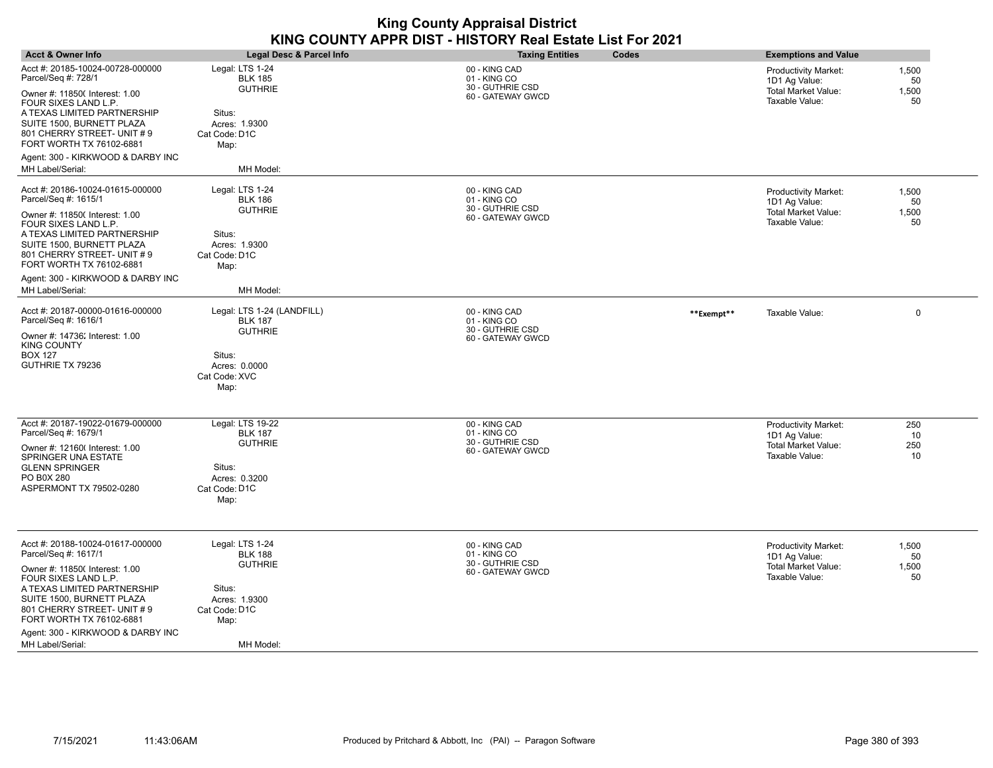| <b>Acct &amp; Owner Info</b>                                                                                                                                                                                                                                                  | Legal Desc & Parcel Info                                                                                           | <b>Taxing Entities</b>                                                 | Codes      | <b>Exemptions and Value</b>                                                                  |                            |
|-------------------------------------------------------------------------------------------------------------------------------------------------------------------------------------------------------------------------------------------------------------------------------|--------------------------------------------------------------------------------------------------------------------|------------------------------------------------------------------------|------------|----------------------------------------------------------------------------------------------|----------------------------|
| Acct #: 20185-10024-00728-000000<br>Parcel/Seq #: 728/1<br>Owner #: 11850( Interest: 1.00<br>FOUR SIXES LAND L.P.<br>A TEXAS LIMITED PARTNERSHIP<br>SUITE 1500, BURNETT PLAZA<br>801 CHERRY STREET- UNIT # 9<br>FORT WORTH TX 76102-6881<br>Agent: 300 - KIRKWOOD & DARBY INC | Legal: LTS 1-24<br><b>BLK 185</b><br><b>GUTHRIE</b><br>Situs:<br>Acres: 1.9300<br>Cat Code: D1C<br>Map:            | 00 - KING CAD<br>01 - KING CO<br>30 - GUTHRIE CSD<br>60 - GATEWAY GWCD |            | <b>Productivity Market:</b><br>1D1 Ag Value:<br><b>Total Market Value:</b><br>Taxable Value: | 1,500<br>50<br>1,500<br>50 |
| MH Label/Serial:                                                                                                                                                                                                                                                              | MH Model:                                                                                                          |                                                                        |            |                                                                                              |                            |
| Acct #: 20186-10024-01615-000000<br>Parcel/Seq #: 1615/1<br>Owner #: 11850( Interest: 1.00<br>FOUR SIXES LAND L.P.<br>A TEXAS LIMITED PARTNERSHIP<br>SUITE 1500, BURNETT PLAZA<br>801 CHERRY STREET- UNIT # 9<br>FORT WORTH TX 76102-6881                                     | Legal: LTS 1-24<br><b>BLK 186</b><br><b>GUTHRIE</b><br>Situs:<br>Acres: 1.9300<br>Cat Code: D1C<br>Map:            | 00 - KING CAD<br>01 - KING CO<br>30 - GUTHRIE CSD<br>60 - GATEWAY GWCD |            | <b>Productivity Market:</b><br>1D1 Ag Value:<br><b>Total Market Value:</b><br>Taxable Value: | 1,500<br>50<br>1,500<br>50 |
| Agent: 300 - KIRKWOOD & DARBY INC<br>MH Label/Serial:                                                                                                                                                                                                                         | MH Model:                                                                                                          |                                                                        |            |                                                                                              |                            |
| Acct #: 20187-00000-01616-000000<br>Parcel/Seq #: 1616/1<br>Owner #: 14736; Interest: 1.00<br>KING COUNTY<br>BOX 127<br>GUTHRIE TX 79236                                                                                                                                      | Legal: LTS 1-24 (LANDFILL)<br><b>BLK 187</b><br><b>GUTHRIE</b><br>Situs:<br>Acres: 0.0000<br>Cat Code: XVC<br>Map: | 00 - KING CAD<br>01 - KING CO<br>30 - GUTHRIE CSD<br>60 - GATEWAY GWCD | **Exempt** | Taxable Value:                                                                               | 0                          |
| Acct #: 20187-19022-01679-000000<br>Parcel/Seq #: 1679/1<br>Owner #: 12160( Interest: 1.00<br>SPRINGER UNA ESTATE<br><b>GLENN SPRINGER</b><br>PO B0X 280<br>ASPERMONT TX 79502-0280                                                                                           | Legal: LTS 19-22<br><b>BLK 187</b><br><b>GUTHRIE</b><br>Situs:<br>Acres: 0.3200<br>Cat Code: D1C<br>Map:           | 00 - KING CAD<br>01 - KING CO<br>30 - GUTHRIE CSD<br>60 - GATEWAY GWCD |            | <b>Productivity Market:</b><br>1D1 Ag Value:<br><b>Total Market Value:</b><br>Taxable Value: | 250<br>10<br>250<br>10     |
| Acct #: 20188-10024-01617-000000<br>Parcel/Seq #: 1617/1<br>Owner #: 11850( Interest: 1.00<br>FOUR SIXES LAND L.P.<br>A TEXAS LIMITED PARTNERSHIP<br>SUITE 1500, BURNETT PLAZA<br>801 CHERRY STREET- UNIT # 9<br>FORT WORTH TX 76102-6881                                     | Legal: LTS 1-24<br><b>BLK 188</b><br><b>GUTHRIE</b><br>Situs:<br>Acres: 1.9300<br>Cat Code: D1C<br>Map:            | 00 - KING CAD<br>01 - KING CO<br>30 - GUTHRIE CSD<br>60 - GATEWAY GWCD |            | <b>Productivity Market:</b><br>1D1 Ag Value:<br><b>Total Market Value:</b><br>Taxable Value: | 1,500<br>50<br>1,500<br>50 |

 $\overline{\phantom{a}}$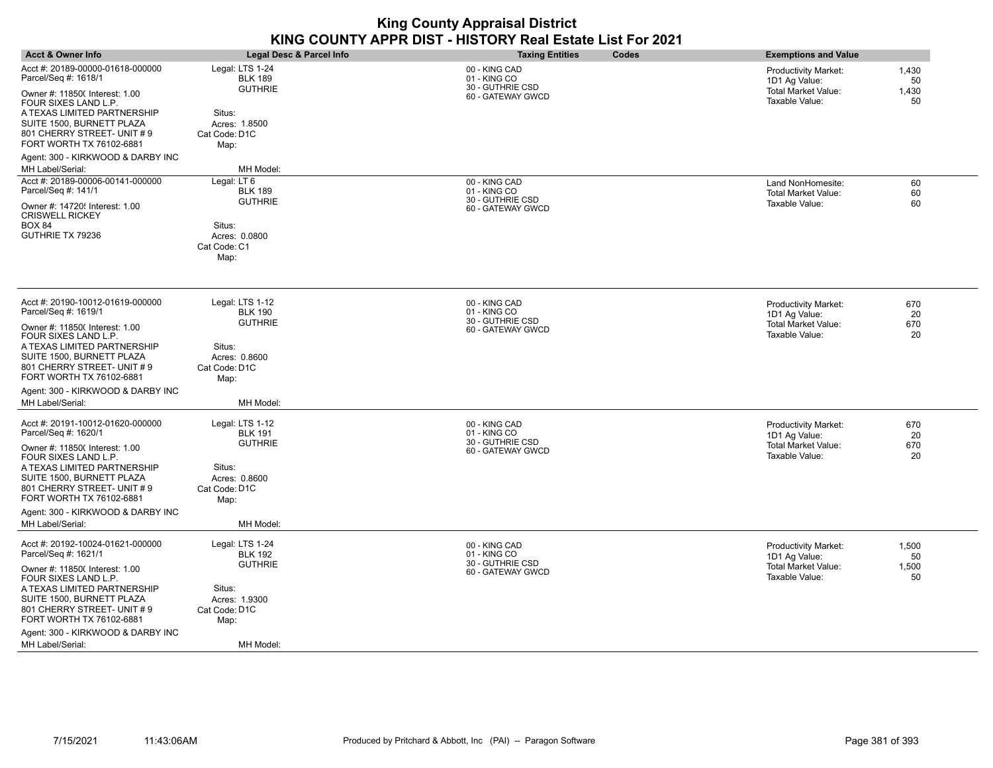| <b>Acct &amp; Owner Info</b>                                                                                                                                                                                                                                                                       | Legal Desc & Parcel Info                                                                                             | <b>Taxing Entities</b>                                                 | Codes | <b>Exemptions and Value</b>                                                                  |                            |
|----------------------------------------------------------------------------------------------------------------------------------------------------------------------------------------------------------------------------------------------------------------------------------------------------|----------------------------------------------------------------------------------------------------------------------|------------------------------------------------------------------------|-------|----------------------------------------------------------------------------------------------|----------------------------|
| Acct #: 20189-00000-01618-000000<br>Parcel/Seq #: 1618/1<br>Owner #: 11850( Interest: 1.00<br>FOUR SIXES LAND L.P.<br>A TEXAS LIMITED PARTNERSHIP<br>SUITE 1500, BURNETT PLAZA<br>801 CHERRY STREET- UNIT # 9<br>FORT WORTH TX 76102-6881                                                          | Legal: LTS 1-24<br><b>BLK 189</b><br><b>GUTHRIE</b><br>Situs:<br>Acres: 1.8500<br>Cat Code: D1C<br>Map:              | 00 - KING CAD<br>01 - KING CO<br>30 - GUTHRIE CSD<br>60 - GATEWAY GWCD |       | <b>Productivity Market:</b><br>1D1 Ag Value:<br><b>Total Market Value:</b><br>Taxable Value: | 1,430<br>50<br>1,430<br>50 |
| Agent: 300 - KIRKWOOD & DARBY INC<br>MH Label/Serial:                                                                                                                                                                                                                                              | MH Model:                                                                                                            |                                                                        |       |                                                                                              |                            |
| Acct #: 20189-00006-00141-000000<br>Parcel/Seq #: 141/1<br>Owner #: 14720! Interest: 1.00<br>CRISWELL RICKEY<br>BOX 84<br>GUTHRIE TX 79236                                                                                                                                                         | Legal: LT 6<br><b>BLK 189</b><br><b>GUTHRIE</b><br>Situs:<br>Acres: 0.0800<br>Cat Code: C1<br>Map:                   | 00 - KING CAD<br>01 - KING CO<br>30 - GUTHRIE CSD<br>60 - GATEWAY GWCD |       | Land NonHomesite:<br>Total Market Value:<br>Taxable Value:                                   | 60<br>60<br>60             |
| Acct #: 20190-10012-01619-000000<br>Parcel/Seq #: 1619/1<br>Owner #: 11850( Interest: 1.00<br>FOUR SIXES LAND L.P.<br>A TEXAS LIMITED PARTNERSHIP<br>SUITE 1500, BURNETT PLAZA<br>801 CHERRY STREET- UNIT # 9<br>FORT WORTH TX 76102-6881<br>Agent: 300 - KIRKWOOD & DARBY INC<br>MH Label/Serial: | Legal: LTS 1-12<br><b>BLK 190</b><br><b>GUTHRIE</b><br>Situs:<br>Acres: 0.8600<br>Cat Code: D1C<br>Map:<br>MH Model: | 00 - KING CAD<br>01 - KING CO<br>30 - GUTHRIE CSD<br>60 - GATEWAY GWCD |       | <b>Productivity Market:</b><br>1D1 Ag Value:<br><b>Total Market Value:</b><br>Taxable Value: | 670<br>20<br>670<br>20     |
| Acct #: 20191-10012-01620-000000<br>Parcel/Seq #: 1620/1<br>Owner #: 11850( Interest: 1.00<br>FOUR SIXES LAND L.P.<br>A TEXAS LIMITED PARTNERSHIP<br>SUITE 1500, BURNETT PLAZA<br>801 CHERRY STREET- UNIT # 9<br>FORT WORTH TX 76102-6881<br>Agent: 300 - KIRKWOOD & DARBY INC<br>MH Label/Serial: | Legal: LTS 1-12<br><b>BLK 191</b><br><b>GUTHRIE</b><br>Situs:<br>Acres: 0.8600<br>Cat Code: D1C<br>Map:<br>MH Model: | 00 - KING CAD<br>01 - KING CO<br>30 - GUTHRIE CSD<br>60 - GATEWAY GWCD |       | <b>Productivity Market:</b><br>1D1 Ag Value:<br>Total Market Value:<br>Taxable Value:        | 670<br>20<br>670<br>20     |
| Acct #: 20192-10024-01621-000000<br>Parcel/Seq #: 1621/1<br>Owner #: 11850( Interest: 1.00<br>FOUR SIXES LAND L.P.<br>A TEXAS LIMITED PARTNERSHIP<br>SUITE 1500, BURNETT PLAZA<br>801 CHERRY STREET- UNIT # 9<br>FORT WORTH TX 76102-6881<br>Agent: 300 - KIRKWOOD & DARBY INC<br>MH Label/Serial: | Legal: LTS 1-24<br><b>BLK 192</b><br><b>GUTHRIE</b><br>Situs:<br>Acres: 1.9300<br>Cat Code: D1C<br>Map:<br>MH Model: | 00 - KING CAD<br>01 - KING CO<br>30 - GUTHRIE CSD<br>60 - GATEWAY GWCD |       | <b>Productivity Market:</b><br>1D1 Ag Value:<br><b>Total Market Value:</b><br>Taxable Value: | 1,500<br>50<br>1,500<br>50 |

÷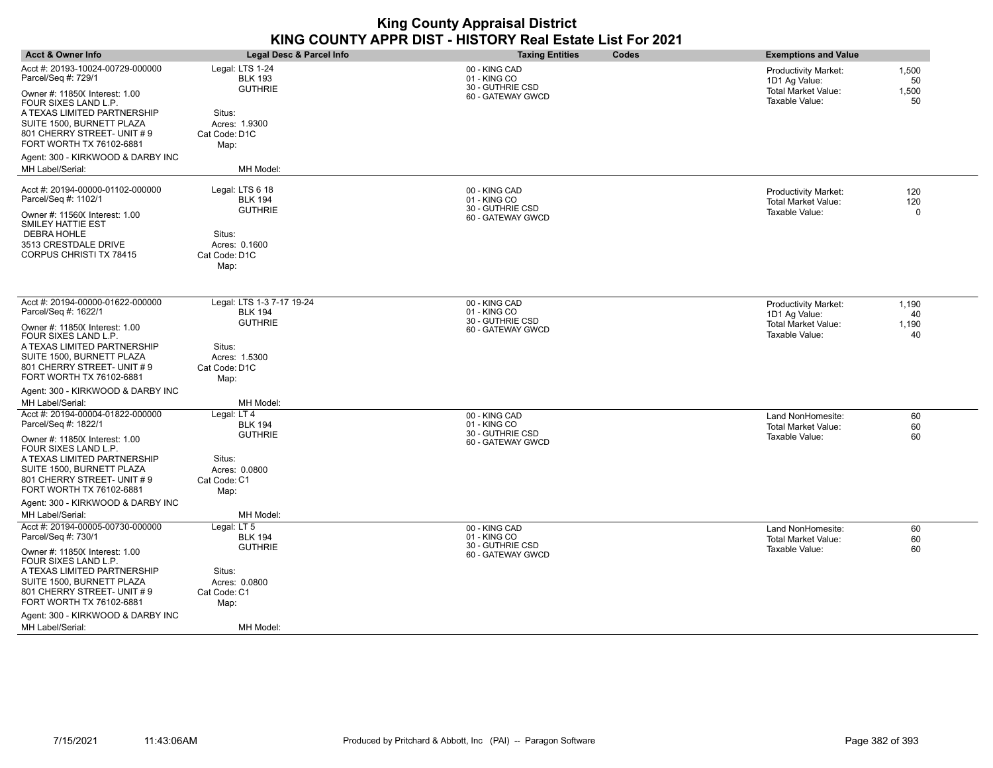| <b>Acct &amp; Owner Info</b>                                                                                                                                                                                                              | <b>Legal Desc &amp; Parcel Info</b>                                                                               | <b>Taxing Entities</b>                                                 | Codes | <b>Exemptions and Value</b>                                                                  |                            |
|-------------------------------------------------------------------------------------------------------------------------------------------------------------------------------------------------------------------------------------------|-------------------------------------------------------------------------------------------------------------------|------------------------------------------------------------------------|-------|----------------------------------------------------------------------------------------------|----------------------------|
| Acct #: 20193-10024-00729-000000<br>Parcel/Seq #: 729/1<br>Owner #: 11850( Interest: 1.00<br>FOUR SIXES LAND L.P.<br>A TEXAS LIMITED PARTNERSHIP<br>SUITE 1500, BURNETT PLAZA<br>801 CHERRY STREET- UNIT # 9<br>FORT WORTH TX 76102-6881  | Legal: LTS 1-24<br><b>BLK 193</b><br><b>GUTHRIE</b><br>Situs:<br>Acres: 1.9300<br>Cat Code: D1C<br>Map:           | 00 - KING CAD<br>01 - KING CO<br>30 - GUTHRIE CSD<br>60 - GATEWAY GWCD |       | <b>Productivity Market:</b><br>1D1 Ag Value:<br><b>Total Market Value:</b><br>Taxable Value: | 1,500<br>50<br>1,500<br>50 |
| Agent: 300 - KIRKWOOD & DARBY INC<br>MH Label/Serial:                                                                                                                                                                                     | MH Model:                                                                                                         |                                                                        |       |                                                                                              |                            |
| Acct #: 20194-00000-01102-000000<br>Parcel/Seq #: 1102/1<br>Owner #: 11560( Interest: 1.00<br>SMILEY HATTIE EST<br><b>DEBRA HOHLE</b><br>3513 CRESTDALE DRIVE<br>CORPUS CHRISTI TX 78415                                                  | Legal: LTS 6 18<br><b>BLK 194</b><br><b>GUTHRIE</b><br>Situs:<br>Acres: 0.1600<br>Cat Code: D1C<br>Map:           | 00 - KING CAD<br>01 - KING CO<br>30 - GUTHRIE CSD<br>60 - GATEWAY GWCD |       | <b>Productivity Market:</b><br><b>Total Market Value:</b><br>Taxable Value:                  | 120<br>120<br>0            |
| Acct #: 20194-00000-01622-000000<br>Parcel/Seq #: 1622/1<br>Owner #: 11850( Interest: 1.00<br>FOUR SIXES LAND L.P.<br>A TEXAS LIMITED PARTNERSHIP<br>SUITE 1500, BURNETT PLAZA<br>801 CHERRY STREET- UNIT # 9<br>FORT WORTH TX 76102-6881 | Legal: LTS 1-3 7-17 19-24<br><b>BLK 194</b><br><b>GUTHRIE</b><br>Situs:<br>Acres: 1.5300<br>Cat Code: D1C<br>Map: | 00 - KING CAD<br>01 - KING CO<br>30 - GUTHRIE CSD<br>60 - GATEWAY GWCD |       | <b>Productivity Market:</b><br>1D1 Ag Value:<br><b>Total Market Value:</b><br>Taxable Value: | 1,190<br>40<br>1,190<br>40 |
| Agent: 300 - KIRKWOOD & DARBY INC<br>MH Label/Serial:<br>Acct #: 20194-00004-01822-000000                                                                                                                                                 | MH Model:<br>Legal: LT 4                                                                                          | 00 - KING CAD                                                          |       | Land NonHomesite:                                                                            | 60                         |
| Parcel/Seq #: 1822/1<br>Owner #: 11850( Interest: 1.00<br>FOUR SIXES LAND L.P.<br>A TEXAS LIMITED PARTNERSHIP<br>SUITE 1500, BURNETT PLAZA<br>801 CHERRY STREET- UNIT # 9<br>FORT WORTH TX 76102-6881                                     | <b>BLK 194</b><br><b>GUTHRIE</b><br>Situs:<br>Acres: 0.0800<br>Cat Code: C1<br>Map:                               | 01 - KING CO<br>30 - GUTHRIE CSD<br>60 - GATEWAY GWCD                  |       | Total Market Value:<br>Taxable Value:                                                        | 60<br>60                   |
| Agent: 300 - KIRKWOOD & DARBY INC                                                                                                                                                                                                         |                                                                                                                   |                                                                        |       |                                                                                              |                            |
| MH Label/Serial:<br>Acct #: 20194-00005-00730-000000<br>Parcel/Seq #: 730/1<br>Owner #: 11850( Interest: 1.00<br>FOUR SIXES LAND L.P.                                                                                                     | MH Model:<br>Legal: LT 5<br><b>BLK 194</b><br><b>GUTHRIE</b>                                                      | 00 - KING CAD<br>01 - KING CO<br>30 - GUTHRIE CSD<br>60 - GATEWAY GWCD |       | Land NonHomesite:<br><b>Total Market Value:</b><br>Taxable Value:                            | 60<br>60<br>60             |
| A TEXAS LIMITED PARTNERSHIP<br>SUITE 1500, BURNETT PLAZA<br>801 CHERRY STREET- UNIT # 9<br>FORT WORTH TX 76102-6881                                                                                                                       | Situs:<br>Acres: 0.0800<br>Cat Code: C1<br>Map:                                                                   |                                                                        |       |                                                                                              |                            |
| Agent: 300 - KIRKWOOD & DARBY INC<br>MH Label/Serial:                                                                                                                                                                                     | MH Model:                                                                                                         |                                                                        |       |                                                                                              |                            |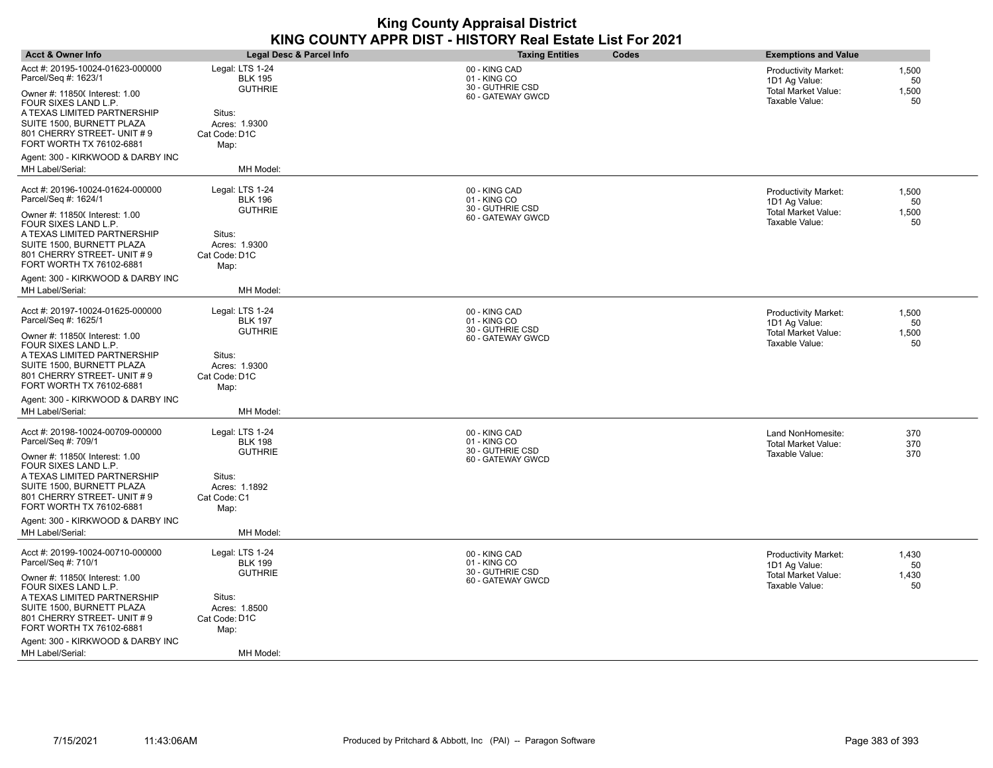| <b>Acct &amp; Owner Info</b>                             | Legal Desc & Parcel Info                            | <b>Taxing Entities</b>                            | Codes | <b>Exemptions and Value</b>                  |             |
|----------------------------------------------------------|-----------------------------------------------------|---------------------------------------------------|-------|----------------------------------------------|-------------|
| Acct #: 20195-10024-01623-000000<br>Parcel/Seq #: 1623/1 | Legal: LTS 1-24<br><b>BLK 195</b><br><b>GUTHRIE</b> | 00 - KING CAD<br>01 - KING CO<br>30 - GUTHRIE CSD |       | <b>Productivity Market:</b><br>1D1 Ag Value: | 1,500<br>50 |
| Owner #: 11850( Interest: 1.00<br>FOUR SIXES LAND L.P.   |                                                     | 60 - GATEWAY GWCD                                 |       | Total Market Value:<br>Taxable Value:        | 1,500<br>50 |
| A TEXAS LIMITED PARTNERSHIP<br>SUITE 1500, BURNETT PLAZA | Situs:                                              |                                                   |       |                                              |             |
| 801 CHERRY STREET- UNIT # 9                              | Acres: 1.9300<br>Cat Code: D1C                      |                                                   |       |                                              |             |
| FORT WORTH TX 76102-6881                                 | Map:                                                |                                                   |       |                                              |             |
| Agent: 300 - KIRKWOOD & DARBY INC                        |                                                     |                                                   |       |                                              |             |
| MH Label/Serial:                                         | MH Model:                                           |                                                   |       |                                              |             |
| Acct #: 20196-10024-01624-000000                         | Legal: LTS 1-24                                     |                                                   |       |                                              |             |
| Parcel/Seq #: 1624/1                                     | <b>BLK 196</b>                                      | 00 - KING CAD<br>01 - KING CO                     |       | <b>Productivity Market:</b><br>1D1 Ag Value: | 1,500<br>50 |
| Owner #: 11850( Interest: 1.00                           | <b>GUTHRIE</b>                                      | 30 - GUTHRIE CSD                                  |       | Total Market Value:                          | 1,500       |
| FOUR SIXES LAND L.P.                                     |                                                     | 60 - GATEWAY GWCD                                 |       | Taxable Value:                               | 50          |
| A TEXAS LIMITED PARTNERSHIP                              | Situs:                                              |                                                   |       |                                              |             |
| SUITE 1500, BURNETT PLAZA                                | Acres: 1.9300                                       |                                                   |       |                                              |             |
| 801 CHERRY STREET- UNIT # 9<br>FORT WORTH TX 76102-6881  | Cat Code: D1C                                       |                                                   |       |                                              |             |
|                                                          | Map:                                                |                                                   |       |                                              |             |
| Agent: 300 - KIRKWOOD & DARBY INC                        |                                                     |                                                   |       |                                              |             |
| MH Label/Serial:                                         | MH Model:                                           |                                                   |       |                                              |             |
| Acct #: 20197-10024-01625-000000                         | Legal: LTS 1-24                                     | 00 - KING CAD                                     |       | Productivity Market:                         | 1,500       |
| Parcel/Seq #: 1625/1                                     | <b>BLK 197</b>                                      | 01 - KING CO                                      |       | 1D1 Ag Value:                                | 50          |
| Owner #: 11850( Interest: 1.00                           | <b>GUTHRIE</b>                                      | 30 - GUTHRIE CSD<br>60 - GATEWAY GWCD             |       | Total Market Value:                          | 1,500       |
| FOUR SIXES LAND L.P.                                     |                                                     |                                                   |       | Taxable Value:                               | 50          |
| A TEXAS LIMITED PARTNERSHIP<br>SUITE 1500, BURNETT PLAZA | Situs:<br>Acres: 1.9300                             |                                                   |       |                                              |             |
| 801 CHERRY STREET- UNIT # 9                              | Cat Code: D1C                                       |                                                   |       |                                              |             |
| FORT WORTH TX 76102-6881                                 | Map:                                                |                                                   |       |                                              |             |
| Agent: 300 - KIRKWOOD & DARBY INC                        |                                                     |                                                   |       |                                              |             |
| MH Label/Serial:                                         | MH Model:                                           |                                                   |       |                                              |             |
| Acct #: 20198-10024-00709-000000                         | Legal: LTS 1-24                                     | 00 - KING CAD                                     |       |                                              |             |
| Parcel/Seq #: 709/1                                      | <b>BLK 198</b>                                      | 01 - KING CO                                      |       | Land NonHomesite:<br>Total Market Value:     | 370<br>370  |
| Owner #: 11850( Interest: 1.00                           | <b>GUTHRIE</b>                                      | 30 - GUTHRIE CSD                                  |       | Taxable Value:                               | 370         |
| FOUR SIXES LAND L.P.                                     |                                                     | 60 - GATEWAY GWCD                                 |       |                                              |             |
| A TEXAS LIMITED PARTNERSHIP                              | Situs:                                              |                                                   |       |                                              |             |
| SUITE 1500, BURNETT PLAZA                                | Acres: 1.1892                                       |                                                   |       |                                              |             |
| 801 CHERRY STREET- UNIT # 9                              | Cat Code: C1                                        |                                                   |       |                                              |             |
| FORT WORTH TX 76102-6881                                 | Map:                                                |                                                   |       |                                              |             |
| Agent: 300 - KIRKWOOD & DARBY INC<br>MH Label/Serial:    | MH Model:                                           |                                                   |       |                                              |             |
|                                                          |                                                     |                                                   |       |                                              |             |
| Acct #: 20199-10024-00710-000000                         | Legal: LTS 1-24                                     | 00 - KING CAD                                     |       | <b>Productivity Market:</b>                  | 1,430       |
| Parcel/Seq #: 710/1                                      | <b>BLK 199</b>                                      | 01 - KING CO<br>30 - GUTHRIE CSD                  |       | 1D1 Ag Value:                                | 50          |
| Owner #: 11850( Interest: 1.00                           | <b>GUTHRIE</b>                                      | 60 - GATEWAY GWCD                                 |       | <b>Total Market Value:</b>                   | 1,430       |
| FOUR SIXES LAND L.P.                                     |                                                     |                                                   |       | Taxable Value:                               | 50          |
| A TEXAS LIMITED PARTNERSHIP<br>SUITE 1500, BURNETT PLAZA | Situs:                                              |                                                   |       |                                              |             |
| 801 CHERRY STREET- UNIT # 9                              | Acres: 1.8500<br>Cat Code: D1C                      |                                                   |       |                                              |             |
| FORT WORTH TX 76102-6881                                 | Map:                                                |                                                   |       |                                              |             |
| Agent: 300 - KIRKWOOD & DARBY INC                        |                                                     |                                                   |       |                                              |             |
| MH Label/Serial:                                         | MH Model:                                           |                                                   |       |                                              |             |
|                                                          |                                                     |                                                   |       |                                              |             |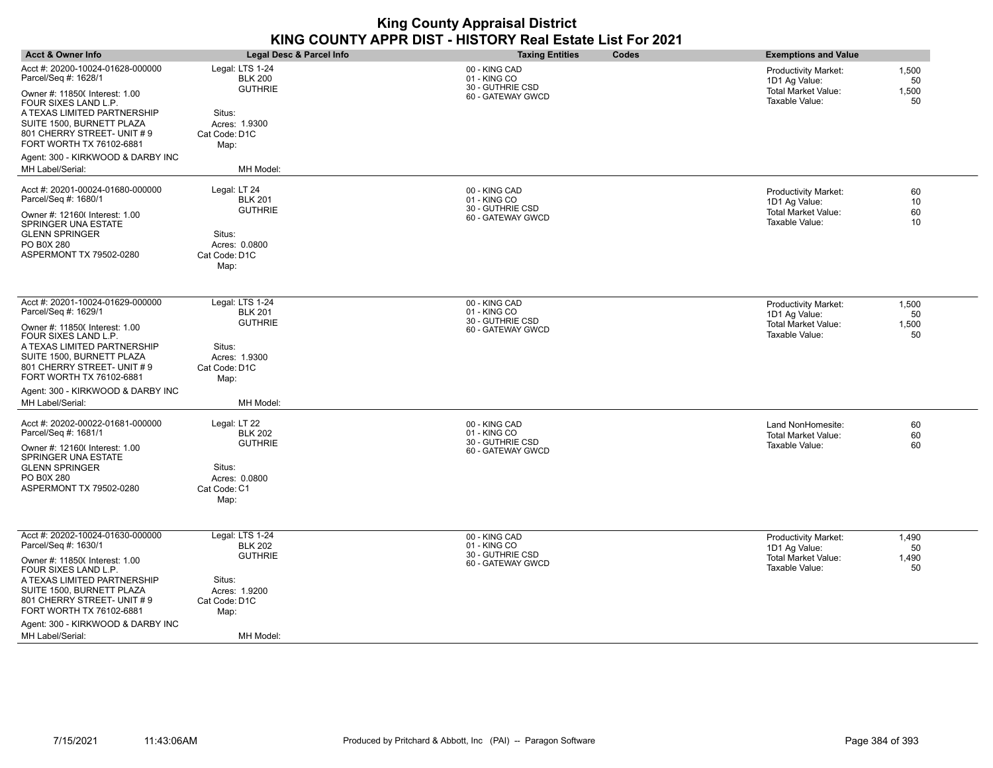| <b>Acct &amp; Owner Info</b>                                                                                                                                                 | <b>Legal Desc &amp; Parcel Info</b>                 | <b>Taxing Entities</b>                                                 | Codes | <b>Exemptions and Value</b>                                                                  |                            |
|------------------------------------------------------------------------------------------------------------------------------------------------------------------------------|-----------------------------------------------------|------------------------------------------------------------------------|-------|----------------------------------------------------------------------------------------------|----------------------------|
| Acct #: 20200-10024-01628-000000<br>Parcel/Seq #: 1628/1<br>Owner #: 11850( Interest: 1.00<br>FOUR SIXES LAND L.P.                                                           | Legal: LTS 1-24<br><b>BLK 200</b><br><b>GUTHRIE</b> | 00 - KING CAD<br>01 - KING CO<br>30 - GUTHRIE CSD<br>60 - GATEWAY GWCD |       | <b>Productivity Market:</b><br>1D1 Ag Value:<br><b>Total Market Value:</b><br>Taxable Value: | 1,500<br>50<br>1,500<br>50 |
| A TEXAS LIMITED PARTNERSHIP<br>SUITE 1500, BURNETT PLAZA<br>801 CHERRY STREET- UNIT # 9<br>FORT WORTH TX 76102-6881                                                          | Situs:<br>Acres: 1.9300<br>Cat Code: D1C<br>Map:    |                                                                        |       |                                                                                              |                            |
| Agent: 300 - KIRKWOOD & DARBY INC<br>MH Label/Serial:                                                                                                                        | MH Model:                                           |                                                                        |       |                                                                                              |                            |
| Acct #: 20201-00024-01680-000000<br>Parcel/Seq #: 1680/1<br>Owner #: 12160( Interest: 1.00                                                                                   | Legal: LT 24<br><b>BLK 201</b><br><b>GUTHRIE</b>    | 00 - KING CAD<br>01 - KING CO<br>30 - GUTHRIE CSD<br>60 - GATEWAY GWCD |       | <b>Productivity Market:</b><br>1D1 Ag Value:<br><b>Total Market Value:</b>                   | 60<br>10<br>60             |
| SPRINGER UNA ESTATE<br><b>GLENN SPRINGER</b><br>PO B0X 280<br>ASPERMONT TX 79502-0280                                                                                        | Situs:<br>Acres: 0.0800<br>Cat Code: D1C<br>Map:    |                                                                        |       | Taxable Value:                                                                               | 10                         |
| Acct #: 20201-10024-01629-000000<br>Parcel/Seq #: 1629/1                                                                                                                     | Legal: LTS 1-24<br><b>BLK 201</b><br><b>GUTHRIE</b> | 00 - KING CAD<br>01 - KING CO<br>30 - GUTHRIE CSD                      |       | <b>Productivity Market:</b><br>1D1 Ag Value:                                                 | 1,500<br>50                |
| Owner #: 11850( Interest: 1.00<br>FOUR SIXES LAND L.P.<br>A TEXAS LIMITED PARTNERSHIP<br>SUITE 1500, BURNETT PLAZA<br>801 CHERRY STREET- UNIT #9<br>FORT WORTH TX 76102-6881 | Situs:<br>Acres: 1.9300<br>Cat Code: D1C            | 60 - GATEWAY GWCD                                                      |       | Total Market Value:<br>Taxable Value:                                                        | 1,500<br>50                |
| Agent: 300 - KIRKWOOD & DARBY INC<br>MH Label/Serial:                                                                                                                        | Map:<br>MH Model:                                   |                                                                        |       |                                                                                              |                            |
| Acct #: 20202-00022-01681-000000<br>Parcel/Seq #: 1681/1<br>Owner #: 12160( Interest: 1.00                                                                                   | Legal: LT 22<br><b>BLK 202</b><br><b>GUTHRIE</b>    | 00 - KING CAD<br>01 - KING CO<br>30 - GUTHRIE CSD<br>60 - GATEWAY GWCD |       | Land NonHomesite:<br><b>Total Market Value:</b><br>Taxable Value:                            | 60<br>60<br>60             |
| SPRINGER UNA ESTATE<br><b>GLENN SPRINGER</b><br>PO B0X 280<br>ASPERMONT TX 79502-0280                                                                                        | Situs:<br>Acres: 0.0800<br>Cat Code: C1<br>Map:     |                                                                        |       |                                                                                              |                            |
| Acct #: 20202-10024-01630-000000                                                                                                                                             | Legal: LTS 1-24                                     | 00 - KING CAD                                                          |       | <b>Productivity Market:</b>                                                                  | 1,490                      |
| Parcel/Seq #: 1630/1<br>Owner #: 11850( Interest: 1.00<br>FOUR SIXES LAND L.P.                                                                                               | <b>BLK 202</b><br><b>GUTHRIE</b>                    | 01 - KING CO<br>30 - GUTHRIE CSD<br>60 - GATEWAY GWCD                  |       | 1D1 Ag Value:<br><b>Total Market Value:</b><br>Taxable Value:                                | 50<br>1,490<br>50          |
| A TEXAS LIMITED PARTNERSHIP<br>SUITE 1500, BURNETT PLAZA<br>801 CHERRY STREET- UNIT #9<br>FORT WORTH TX 76102-6881                                                           | Situs:<br>Acres: 1.9200<br>Cat Code: D1C<br>Map:    |                                                                        |       |                                                                                              |                            |
| Agent: 300 - KIRKWOOD & DARBY INC<br>MH Label/Serial:                                                                                                                        | MH Model:                                           |                                                                        |       |                                                                                              |                            |

 $\overline{\phantom{a}}$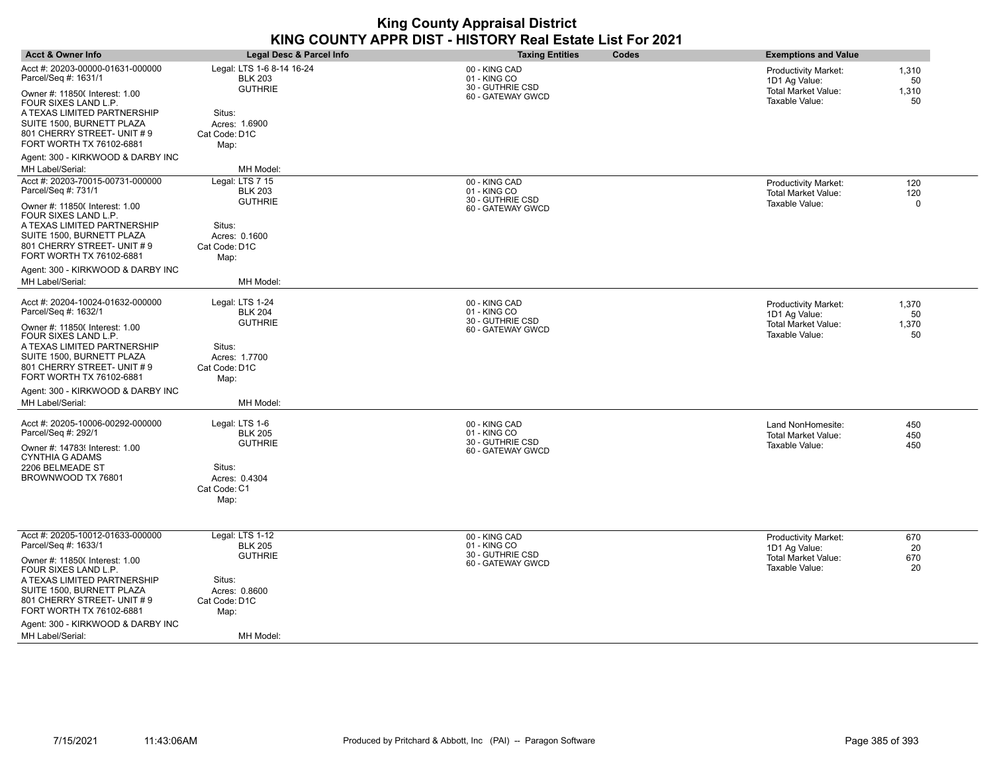| <b>Acct &amp; Owner Info</b>                                                                                                                | Legal Desc & Parcel Info                                      | <b>Taxing Entities</b>                                                 | Codes | <b>Exemptions and Value</b>                                                |                      |
|---------------------------------------------------------------------------------------------------------------------------------------------|---------------------------------------------------------------|------------------------------------------------------------------------|-------|----------------------------------------------------------------------------|----------------------|
| Acct #: 20203-00000-01631-000000<br>Parcel/Seq #: 1631/1<br>Owner #: 11850( Interest: 1.00                                                  | Legal: LTS 1-6 8-14 16-24<br><b>BLK 203</b><br><b>GUTHRIE</b> | 00 - KING CAD<br>01 - KING CO<br>30 - GUTHRIE CSD<br>60 - GATEWAY GWCD |       | <b>Productivity Market:</b><br>1D1 Ag Value:<br><b>Total Market Value:</b> | 1,310<br>50<br>1,310 |
| FOUR SIXES LAND L.P.<br>A TEXAS LIMITED PARTNERSHIP<br>SUITE 1500, BURNETT PLAZA<br>801 CHERRY STREET- UNIT # 9<br>FORT WORTH TX 76102-6881 | Situs:<br>Acres: 1.6900<br>Cat Code: D1C<br>Map:              |                                                                        |       | Taxable Value:                                                             | 50                   |
| Agent: 300 - KIRKWOOD & DARBY INC                                                                                                           |                                                               |                                                                        |       |                                                                            |                      |
| MH Label/Serial:                                                                                                                            | MH Model:                                                     |                                                                        |       |                                                                            |                      |
| Acct #: 20203-70015-00731-000000<br>Parcel/Seq #: 731/1                                                                                     | Legal: LTS 7 15<br><b>BLK 203</b><br><b>GUTHRIE</b>           | 00 - KING CAD<br>01 - KING CO<br>30 - GUTHRIE CSD                      |       | <b>Productivity Market:</b><br><b>Total Market Value:</b>                  | 120<br>120           |
| Owner #: 11850( Interest: 1.00<br>FOUR SIXES LAND L.P.<br>A TEXAS LIMITED PARTNERSHIP                                                       | Situs:                                                        | 60 - GATEWAY GWCD                                                      |       | Taxable Value:                                                             | $\Omega$             |
| SUITE 1500, BURNETT PLAZA<br>801 CHERRY STREET- UNIT # 9<br>FORT WORTH TX 76102-6881                                                        | Acres: 0.1600<br>Cat Code: D1C<br>Map:                        |                                                                        |       |                                                                            |                      |
| Agent: 300 - KIRKWOOD & DARBY INC                                                                                                           |                                                               |                                                                        |       |                                                                            |                      |
| MH Label/Serial:                                                                                                                            | MH Model:                                                     |                                                                        |       |                                                                            |                      |
| Acct #: 20204-10024-01632-000000<br>Parcel/Seq #: 1632/1                                                                                    | Legal: LTS 1-24<br><b>BLK 204</b>                             | 00 - KING CAD<br>01 - KING CO<br>30 - GUTHRIE CSD                      |       | Productivity Market:<br>1D1 Ag Value:                                      | 1,370<br>50          |
| Owner #: 11850( Interest: 1.00<br>FOUR SIXES LAND L.P.<br>A TEXAS LIMITED PARTNERSHIP                                                       | <b>GUTHRIE</b><br>Situs:                                      | 60 - GATEWAY GWCD                                                      |       | Total Market Value:<br>Taxable Value:                                      | 1,370<br>50          |
| SUITE 1500, BURNETT PLAZA<br>801 CHERRY STREET- UNIT #9<br>FORT WORTH TX 76102-6881                                                         | Acres: 1.7700<br>Cat Code: D1C<br>Map:                        |                                                                        |       |                                                                            |                      |
| Agent: 300 - KIRKWOOD & DARBY INC                                                                                                           |                                                               |                                                                        |       |                                                                            |                      |
| MH Label/Serial:                                                                                                                            | MH Model:                                                     |                                                                        |       |                                                                            |                      |
| Acct #: 20205-10006-00292-000000<br>Parcel/Seq #: 292/1                                                                                     | Legal: LTS 1-6<br><b>BLK 205</b><br><b>GUTHRIE</b>            | 00 - KING CAD<br>01 - KING CO<br>30 - GUTHRIE CSD                      |       | Land NonHomesite:<br><b>Total Market Value:</b>                            | 450<br>450           |
| Owner #: 147839 Interest: 1.00<br><b>CYNTHIA G ADAMS</b>                                                                                    |                                                               | 60 - GATEWAY GWCD                                                      |       | Taxable Value:                                                             | 450                  |
| 2206 BELMEADE ST<br>BROWNWOOD TX 76801                                                                                                      | Situs:<br>Acres: 0.4304<br>Cat Code: C1<br>Map:               |                                                                        |       |                                                                            |                      |
|                                                                                                                                             |                                                               |                                                                        |       |                                                                            |                      |
| Acct #: 20205-10012-01633-000000<br>Parcel/Seq #: 1633/1                                                                                    | Legal: LTS 1-12<br><b>BLK 205</b>                             | 00 - KING CAD<br>01 - KING CO<br>30 - GUTHRIE CSD                      |       | <b>Productivity Market:</b><br>1D1 Ag Value:                               | 670<br>20            |
| Owner #: 11850( Interest: 1.00<br>FOUR SIXES LAND L.P.                                                                                      | <b>GUTHRIE</b>                                                | 60 - GATEWAY GWCD                                                      |       | <b>Total Market Value:</b><br>Taxable Value:                               | 670<br>20            |
| A TEXAS LIMITED PARTNERSHIP                                                                                                                 | Situs:                                                        |                                                                        |       |                                                                            |                      |
| SUITE 1500, BURNETT PLAZA<br>801 CHERRY STREET- UNIT #9                                                                                     | Acres: 0.8600<br>Cat Code: D1C                                |                                                                        |       |                                                                            |                      |
| FORT WORTH TX 76102-6881                                                                                                                    | Map:                                                          |                                                                        |       |                                                                            |                      |
| Agent: 300 - KIRKWOOD & DARBY INC                                                                                                           |                                                               |                                                                        |       |                                                                            |                      |
| MH Label/Serial:                                                                                                                            | MH Model:                                                     |                                                                        |       |                                                                            |                      |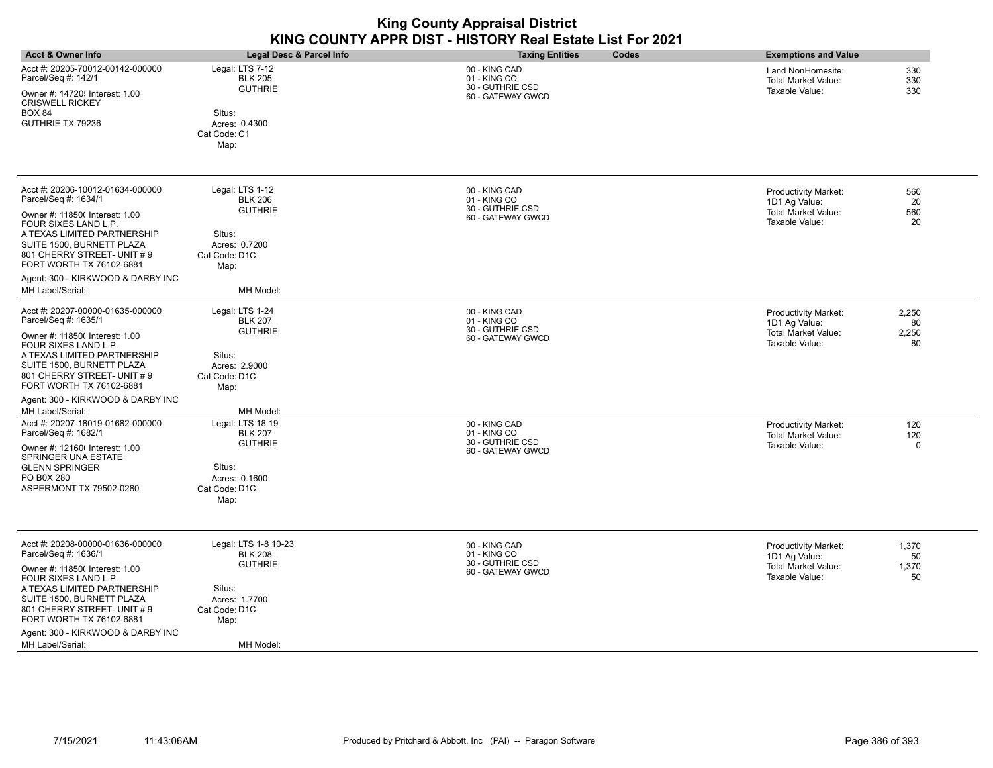|                                                                                           |                                                     | <b>King County Appraisal District</b>                                  |       |                                                            |
|-------------------------------------------------------------------------------------------|-----------------------------------------------------|------------------------------------------------------------------------|-------|------------------------------------------------------------|
|                                                                                           |                                                     | KING COUNTY APPR DIST - HISTORY Real Estate List For 2021              |       |                                                            |
| <b>Acct &amp; Owner Info</b>                                                              | Legal Desc & Parcel Info                            | <b>Taxing Entities</b>                                                 | Codes | <b>Exemptions and Value</b>                                |
| Acct #: 20205-70012-00142-000000<br>Parcel/Seg #: 142/1<br>Owner #: 14720 !Interest: 1.00 | Legal: LTS 7-12<br><b>BLK 205</b><br><b>GUTHRIE</b> | 00 - KING CAD<br>01 - KING CO<br>30 - GUTHRIE CSD<br>60 - GATEWAY GWCD |       | Land NonHomesite:<br>Total Market Value:<br>Taxable Value: |

|                                                                                                                                                                                                                                          | Map:                                                                                                                  |                                                                        |                                                                                       |                            |
|------------------------------------------------------------------------------------------------------------------------------------------------------------------------------------------------------------------------------------------|-----------------------------------------------------------------------------------------------------------------------|------------------------------------------------------------------------|---------------------------------------------------------------------------------------|----------------------------|
|                                                                                                                                                                                                                                          |                                                                                                                       |                                                                        |                                                                                       |                            |
| Acct #: 20206-10012-01634-000000<br>Parcel/Seq #: 1634/1                                                                                                                                                                                 | Legal: LTS 1-12<br><b>BLK 206</b>                                                                                     | 00 - KING CAD<br>01 - KING CO                                          | <b>Productivity Market:</b><br>1D1 Ag Value:                                          | 560<br>20                  |
| Owner #: 11850( Interest: 1.00<br>FOUR SIXES LAND L.P.<br>A TEXAS LIMITED PARTNERSHIP<br>SUITE 1500, BURNETT PLAZA<br>801 CHERRY STREET- UNIT #9<br>FORT WORTH TX 76102-6881                                                             | <b>GUTHRIE</b><br>Situs:<br>Acres: 0.7200<br>Cat Code: D1C<br>Map:                                                    | 30 - GUTHRIE CSD<br>60 - GATEWAY GWCD                                  | Total Market Value:<br>Taxable Value:                                                 | 560<br>20                  |
| Agent: 300 - KIRKWOOD & DARBY INC<br>MH Label/Serial:                                                                                                                                                                                    | MH Model:                                                                                                             |                                                                        |                                                                                       |                            |
| Acct #: 20207-00000-01635-000000<br>Parcel/Seq #: 1635/1<br>Owner #: 11850( Interest: 1.00                                                                                                                                               | Legal: LTS 1-24<br><b>BLK 207</b><br><b>GUTHRIE</b>                                                                   | 00 - KING CAD<br>01 - KING CO<br>30 - GUTHRIE CSD<br>60 - GATEWAY GWCD | <b>Productivity Market:</b><br>1D1 Ag Value:<br><b>Total Market Value:</b>            | 2,250<br>80<br>2,250       |
| FOUR SIXES LAND L.P.<br>A TEXAS LIMITED PARTNERSHIP<br>SUITE 1500, BURNETT PLAZA<br>801 CHERRY STREET- UNIT #9<br>FORT WORTH TX 76102-6881                                                                                               | Situs:<br>Acres: 2.9000<br>Cat Code: D1C<br>Map:                                                                      |                                                                        | Taxable Value:                                                                        | 80                         |
| Agent: 300 - KIRKWOOD & DARBY INC                                                                                                                                                                                                        |                                                                                                                       |                                                                        |                                                                                       |                            |
| MH Label/Serial:<br>Acct #: 20207-18019-01682-000000<br>Parcel/Seq #: 1682/1<br>Owner #: 12160( Interest: 1.00<br><b>SPRINGER UNA ESTATE</b><br><b>GLENN SPRINGER</b><br>PO B0X 280<br>ASPERMONT TX 79502-0280                           | MH Model:<br>Legal: LTS 18 19<br><b>BLK 207</b><br><b>GUTHRIE</b><br>Situs:<br>Acres: 0.1600<br>Cat Code: D1C<br>Map: | 00 - KING CAD<br>01 - KING CO<br>30 - GUTHRIE CSD<br>60 - GATEWAY GWCD | <b>Productivity Market:</b><br><b>Total Market Value:</b><br>Taxable Value:           | 120<br>120<br>$\mathbf 0$  |
| Acct #: 20208-00000-01636-000000<br>Parcel/Seq #: 1636/1<br>Owner #: 11850( Interest: 1.00<br>FOUR SIXES LAND L.P.<br>A TEXAS LIMITED PARTNERSHIP<br>SUITE 1500, BURNETT PLAZA<br>801 CHERRY STREET- UNIT #9<br>FORT WORTH TX 76102-6881 | Legal: LTS 1-8 10-23<br><b>BLK 208</b><br><b>GUTHRIE</b><br>Situs:<br>Acres: 1.7700<br>Cat Code: D1C<br>Map:          | 00 - KING CAD<br>01 - KING CO<br>30 - GUTHRIE CSD<br>60 - GATEWAY GWCD | <b>Productivity Market:</b><br>1D1 Ag Value:<br>Total Market Value:<br>Taxable Value: | 1,370<br>50<br>1,370<br>50 |
| Agent: 300 - KIRKWOOD & DARBY INC<br>MH Label/Serial:                                                                                                                                                                                    | MH Model:                                                                                                             |                                                                        |                                                                                       |                            |

Owner #: 14720{ Interest: 1.00<br>CRISWELL RICKEY

Acres: 0.4300 Cat Code: C1 Situs:

GUTHRIE TX 79236

BOX 84

330 330 330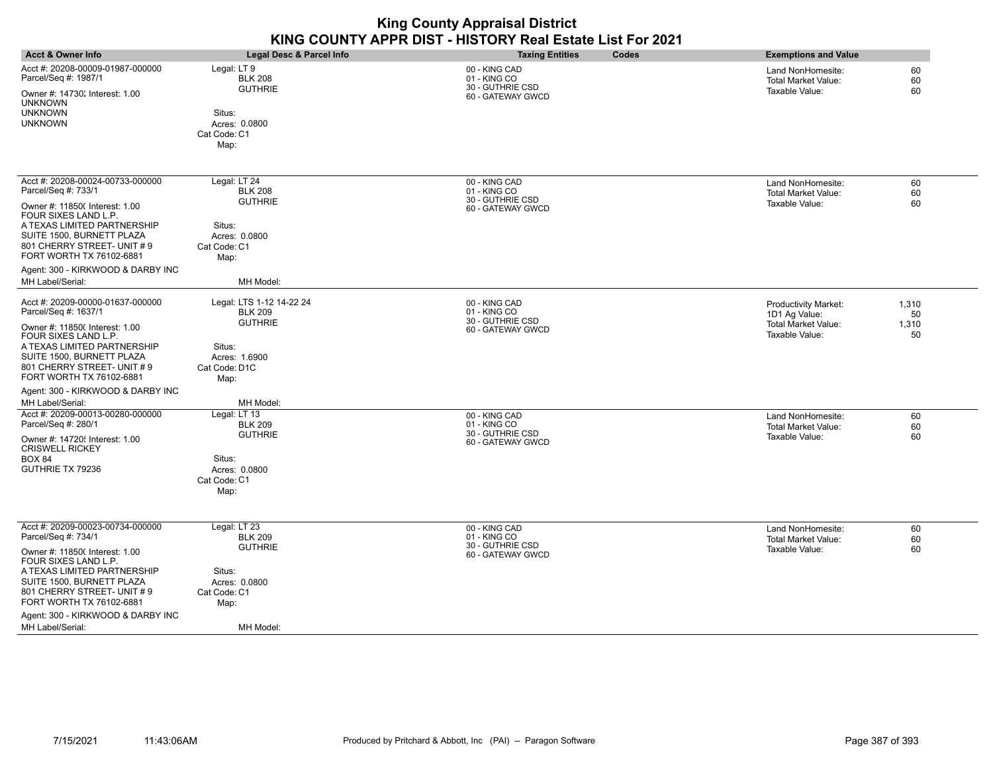|                                                                                                                                                                                                                                                                                                    |                                                                                                                               | KING COUNTY APPR DIST - HISTORY Real Estate List For 2021              |                                                                                                                     |
|----------------------------------------------------------------------------------------------------------------------------------------------------------------------------------------------------------------------------------------------------------------------------------------------------|-------------------------------------------------------------------------------------------------------------------------------|------------------------------------------------------------------------|---------------------------------------------------------------------------------------------------------------------|
| <b>Acct &amp; Owner Info</b>                                                                                                                                                                                                                                                                       | Legal Desc & Parcel Info                                                                                                      | <b>Taxing Entities</b><br>Codes                                        | <b>Exemptions and Value</b>                                                                                         |
| Acct #: 20208-00009-01987-000000<br>Parcel/Seq #: 1987/1<br>Owner #: 14730; Interest: 1.00<br>unknown<br><b>UNKNOWN</b><br><b>UNKNOWN</b>                                                                                                                                                          | Legal: LT 9<br><b>BLK 208</b><br><b>GUTHRIE</b><br>Situs:<br>Acres: 0.0800<br>Cat Code: C1<br>Map:                            | 00 - KING CAD<br>01 - KING CO<br>30 - GUTHRIE CSD<br>60 - GATEWAY GWCD | Land NonHomesite:<br>60<br><b>Total Market Value:</b><br>60<br>Taxable Value:<br>60                                 |
| Acct #: 20208-00024-00733-000000<br>Parcel/Seq #: 733/1<br>Owner #: 11850( Interest: 1.00<br>FOUR SIXES LAND L.P.<br>A TEXAS LIMITED PARTNERSHIP<br>SUITE 1500, BURNETT PLAZA<br>801 CHERRY STREET- UNIT # 9<br>FORT WORTH TX 76102-6881<br>Agent: 300 - KIRKWOOD & DARBY INC<br>MH Label/Serial:  | Legal: LT 24<br><b>BLK 208</b><br><b>GUTHRIE</b><br>Situs:<br>Acres: 0.0800<br>Cat Code: C1<br>Map:<br>MH Model:              | 00 - KING CAD<br>01 - KING CO<br>30 - GUTHRIE CSD<br>60 - GATEWAY GWCD | Land NonHomesite:<br>60<br>Total Market Value:<br>60<br>Taxable Value:<br>60                                        |
| Acct #: 20209-00000-01637-000000<br>Parcel/Seq #: 1637/1<br>Owner #: 11850( Interest: 1.00<br>FOUR SIXES LAND L.P.<br>A TEXAS LIMITED PARTNERSHIP<br>SUITE 1500, BURNETT PLAZA<br>801 CHERRY STREET- UNIT # 9<br>FORT WORTH TX 76102-6881<br>Agent: 300 - KIRKWOOD & DARBY INC<br>MH Label/Serial: | Legal: LTS 1-12 14-22 24<br><b>BLK 209</b><br><b>GUTHRIE</b><br>Situs:<br>Acres: 1.6900<br>Cat Code: D1C<br>Map:<br>MH Model: | 00 - KING CAD<br>01 - KING CO<br>30 - GUTHRIE CSD<br>60 - GATEWAY GWCD | <b>Productivity Market:</b><br>1,310<br>1D1 Ag Value:<br>50<br>Total Market Value:<br>1,310<br>Taxable Value:<br>50 |
| Acct #: 20209-00013-00280-000000<br>Parcel/Seq #: 280/1<br>Owner #: 14720{ Interest: 1.00<br><b>CRISWELL RICKEY</b><br><b>BOX 84</b><br>GUTHRIE TX 79236                                                                                                                                           | Legal: LT 13<br><b>BLK 209</b><br><b>GUTHRIE</b><br>Situs:<br>Acres: 0.0800<br>Cat Code: C1<br>Map:                           | 00 - KING CAD<br>01 - KING CO<br>30 - GUTHRIE CSD<br>60 - GATEWAY GWCD | Land NonHomesite:<br>60<br><b>Total Market Value:</b><br>60<br>Taxable Value:<br>60                                 |
| Acct #: 20209-00023-00734-000000<br>Parcel/Seq #: 734/1<br>Owner #: 11850( Interest: 1.00<br>FOUR SIXES LAND L.P.<br>A TEXAS LIMITED PARTNERSHIP<br>SUITE 1500, BURNETT PLAZA<br>801 CHERRY STREET- UNIT # 9<br>FORT WORTH TX 76102-6881<br>Agent: 300 - KIRKWOOD & DARBY INC                      | Legal: LT 23<br><b>BLK 209</b><br><b>GUTHRIE</b><br>Situs:<br>Acres: 0.0800<br>Cat Code: C1<br>Map:                           | 00 - KING CAD<br>01 - KING CO<br>30 - GUTHRIE CSD<br>60 - GATEWAY GWCD | Land NonHomesite:<br>60<br>Total Market Value:<br>60<br>Taxable Value:<br>60                                        |

**King County Appraisal District**

MH Label/Serial: White and the MH Model: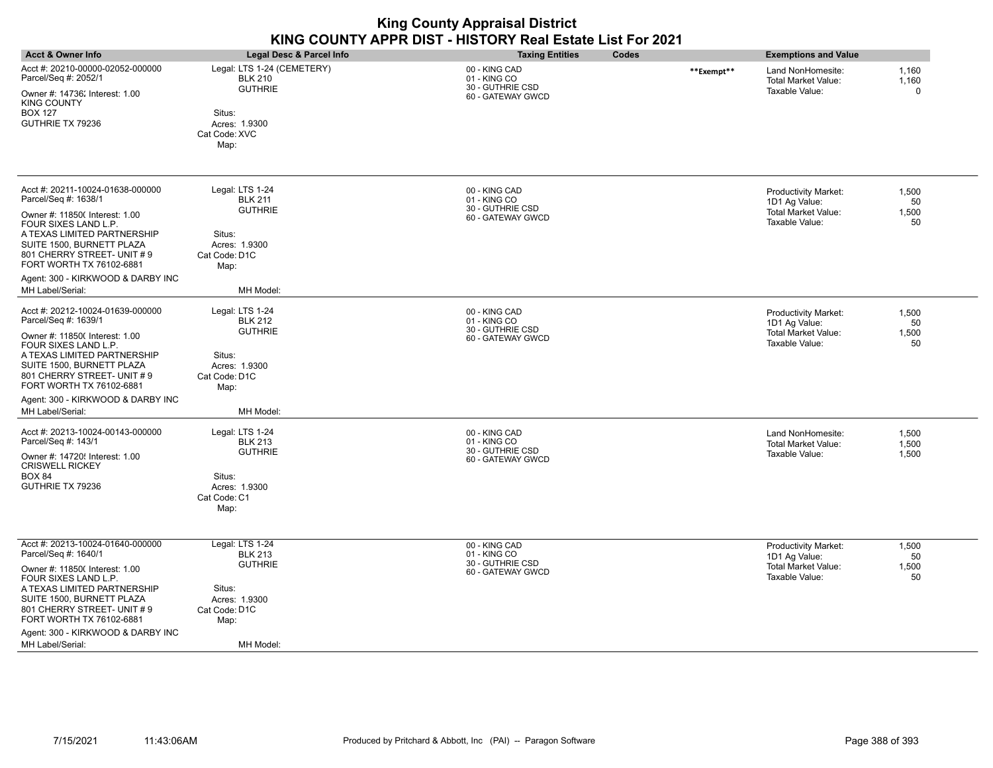| <b>King County Appraisal District</b><br>KING COUNTY APPR DIST - HISTORY Real Estate List For 2021                                                                                                                                                                                                |                                                                                                                      |                                                                        |            |                                                                                              |                            |
|---------------------------------------------------------------------------------------------------------------------------------------------------------------------------------------------------------------------------------------------------------------------------------------------------|----------------------------------------------------------------------------------------------------------------------|------------------------------------------------------------------------|------------|----------------------------------------------------------------------------------------------|----------------------------|
| <b>Acct &amp; Owner Info</b>                                                                                                                                                                                                                                                                      | Legal Desc & Parcel Info                                                                                             | <b>Taxing Entities</b><br>Codes                                        |            | <b>Exemptions and Value</b>                                                                  |                            |
| Acct #: 20210-00000-02052-000000<br>Parcel/Seq #: 2052/1<br>Owner #: 14736; Interest: 1.00<br><b>KING COUNTY</b><br><b>BOX 127</b><br>GUTHRIE TX 79236                                                                                                                                            | Legal: LTS 1-24 (CEMETERY)<br><b>BLK 210</b><br><b>GUTHRIE</b><br>Situs:<br>Acres: 1.9300<br>Cat Code: XVC<br>Map:   | 00 - KING CAD<br>01 - KING CO<br>30 - GUTHRIE CSD<br>60 - GATEWAY GWCD | **Exempt** | Land NonHomesite:<br>Total Market Value:<br>Taxable Value:                                   | 1,160<br>1,160<br>$\Omega$ |
| Acct #: 20211-10024-01638-000000<br>Parcel/Seq #: 1638/1<br>Owner #: 11850( Interest: 1.00<br>FOUR SIXES LAND L.P.<br>A TEXAS LIMITED PARTNERSHIP<br>SUITE 1500, BURNETT PLAZA<br>801 CHERRY STREET- UNIT #9<br>FORT WORTH TX 76102-6881<br>Agent: 300 - KIRKWOOD & DARBY INC<br>MH Label/Serial: | Legal: LTS 1-24<br><b>BLK 211</b><br><b>GUTHRIE</b><br>Situs:<br>Acres: 1.9300<br>Cat Code: D1C<br>Map:<br>MH Model: | 00 - KING CAD<br>01 - KING CO<br>30 - GUTHRIE CSD<br>60 - GATEWAY GWCD |            | <b>Productivity Market:</b><br>1D1 Ag Value:<br><b>Total Market Value:</b><br>Taxable Value: | 1,500<br>50<br>1,500<br>50 |
| Acct #: 20212-10024-01639-000000<br>Parcel/Seq #: 1639/1<br>Owner #: 11850( Interest: 1.00<br>FOUR SIXES LAND L.P.<br>A TEXAS LIMITED PARTNERSHIP<br>SUITE 1500, BURNETT PLAZA<br>801 CHERRY STREET- UNIT #9<br>FORT WORTH TX 76102-6881<br>Agent: 300 - KIRKWOOD & DARBY INC<br>MH Label/Serial: | Legal: LTS 1-24<br><b>BLK 212</b><br><b>GUTHRIE</b><br>Situs:<br>Acres: 1.9300<br>Cat Code: D1C<br>Map:<br>MH Model: | 00 - KING CAD<br>01 - KING CO<br>30 - GUTHRIE CSD<br>60 - GATEWAY GWCD |            | <b>Productivity Market:</b><br>1D1 Ag Value:<br>Total Market Value:<br>Taxable Value:        | 1,500<br>50<br>1,500<br>50 |
| Acct #: 20213-10024-00143-000000<br>Parcel/Seq #: 143/1<br>Owner #: 14720{ Interest: 1.00<br><b>CRISWELL RICKEY</b><br><b>BOX 84</b><br>GUTHRIE TX 79236                                                                                                                                          | Legal: LTS 1-24<br><b>BLK 213</b><br><b>GUTHRIE</b><br>Situs:<br>Acres: 1.9300<br>Cat Code: C1<br>Map:               | 00 - KING CAD<br>01 - KING CO<br>30 - GUTHRIE CSD<br>60 - GATEWAY GWCD |            | Land NonHomesite:<br><b>Total Market Value:</b><br>Taxable Value:                            | 1,500<br>1,500<br>1,500    |
| Acct #: 20213-10024-01640-000000<br>Parcel/Seq #: 1640/1<br>Owner #: 11850( Interest: 1.00<br>FOUR SIXES LAND L.P.<br>A TEXAS LIMITED PARTNERSHIP<br>SUITE 1500, BURNETT PLAZA<br>801 CHERRY STREET- UNIT #9<br>FORT WORTH TX 76102-6881<br>Agent: 300 - KIRKWOOD & DARBY INC<br>MH Label/Serial: | Legal: LTS 1-24<br><b>BLK 213</b><br><b>GUTHRIE</b><br>Situs:<br>Acres: 1.9300<br>Cat Code: D1C<br>Map:<br>MH Model: | 00 - KING CAD<br>01 - KING CO<br>30 - GUTHRIE CSD<br>60 - GATEWAY GWCD |            | <b>Productivity Market:</b><br>1D1 Ag Value:<br><b>Total Market Value:</b><br>Taxable Value: | 1,500<br>50<br>1,500<br>50 |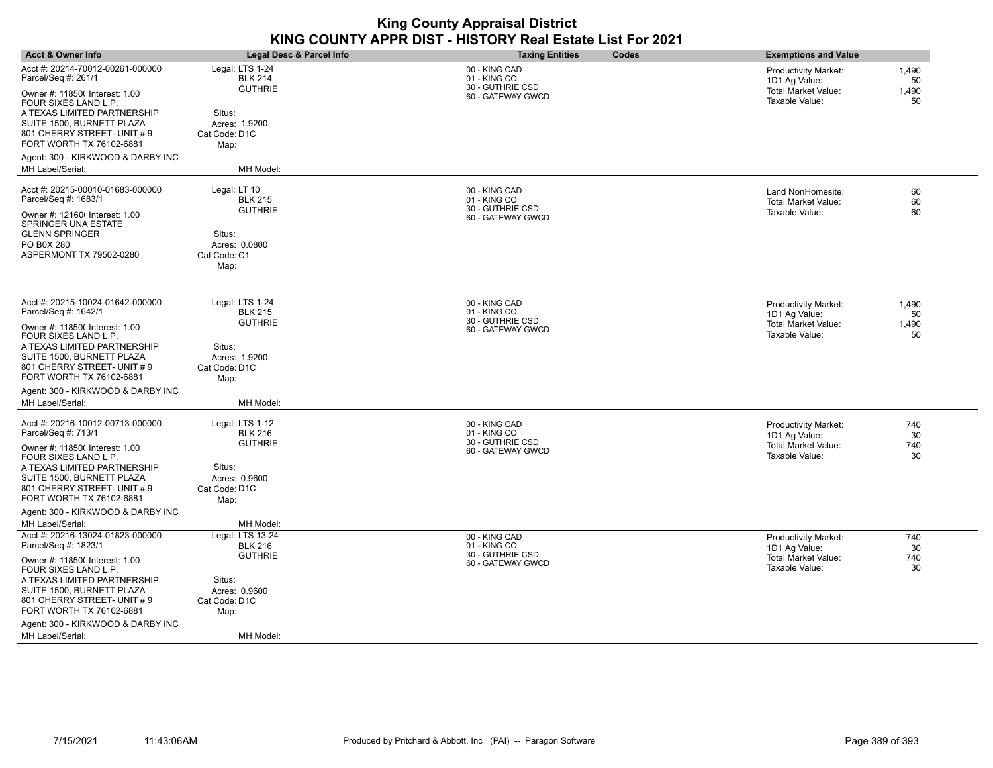| <b>Acct &amp; Owner Info</b>                                                                                                                                                  | Legal Desc & Parcel Info                                           | <b>Taxing Entities</b><br>Codes                                        | <b>Exemptions and Value</b>                                                                                                |
|-------------------------------------------------------------------------------------------------------------------------------------------------------------------------------|--------------------------------------------------------------------|------------------------------------------------------------------------|----------------------------------------------------------------------------------------------------------------------------|
| Acct #: 20214-70012-00261-000000<br>Parcel/Seq #: 261/1<br>Owner #: 11850( Interest: 1.00<br>FOUR SIXES LAND L.P.                                                             | Legal: LTS 1-24<br><b>BLK 214</b><br><b>GUTHRIE</b>                | 00 - KING CAD<br>01 - KING CO<br>30 - GUTHRIE CSD<br>60 - GATEWAY GWCD | <b>Productivity Market:</b><br>1,490<br>1D1 Ag Value:<br>50<br><b>Total Market Value:</b><br>1,490<br>Taxable Value:<br>50 |
| A TEXAS LIMITED PARTNERSHIP<br>SUITE 1500, BURNETT PLAZA<br>801 CHERRY STREET- UNIT # 9<br>FORT WORTH TX 76102-6881                                                           | Situs:<br>Acres: 1.9200<br>Cat Code: D1C<br>Map:                   |                                                                        |                                                                                                                            |
| Agent: 300 - KIRKWOOD & DARBY INC<br>MH Label/Serial:                                                                                                                         | MH Model:                                                          |                                                                        |                                                                                                                            |
| Acct #: 20215-00010-01683-000000<br>Parcel/Seq #: 1683/1<br>Owner #: 12160( Interest: 1.00<br>SPRINGER UNA ESTATE                                                             | Legal: LT 10<br><b>BLK 215</b><br><b>GUTHRIE</b>                   | 00 - KING CAD<br>01 - KING CO<br>30 - GUTHRIE CSD<br>60 - GATEWAY GWCD | Land NonHomesite:<br>60<br>60<br>Total Market Value:<br>Taxable Value:<br>60                                               |
| GLENN SPRINGER<br>PO B0X 280<br>ASPERMONT TX 79502-0280                                                                                                                       | Situs:<br>Acres: 0.0800<br>Cat Code: C1<br>Map:                    |                                                                        |                                                                                                                            |
| Acct #: 20215-10024-01642-000000<br>Parcel/Seq #: 1642/1                                                                                                                      | Legal: LTS 1-24<br><b>BLK 215</b><br><b>GUTHRIE</b>                | 00 - KING CAD<br>01 - KING CO<br>30 - GUTHRIE CSD                      | 1,490<br>Productivity Market:<br>1D1 Ag Value:<br>50                                                                       |
| Owner #: 11850( Interest: 1.00<br>FOUR SIXES LAND L.P.<br>A TEXAS LIMITED PARTNERSHIP<br>SUITE 1500, BURNETT PLAZA<br>801 CHERRY STREET- UNIT # 9<br>FORT WORTH TX 76102-6881 | Situs:<br>Acres: 1.9200<br>Cat Code: D1C<br>Map:                   | 60 - GATEWAY GWCD                                                      | Total Market Value:<br>1,490<br>Taxable Value:<br>50                                                                       |
| Agent: 300 - KIRKWOOD & DARBY INC<br>MH Label/Serial:                                                                                                                         | MH Model:                                                          |                                                                        |                                                                                                                            |
| Acct #: 20216-10012-00713-000000<br>Parcel/Seq #: 713/1<br>Owner #: 11850( Interest: 1.00                                                                                     | Legal: LTS 1-12<br><b>BLK 216</b><br><b>GUTHRIE</b>                | 00 - KING CAD<br>01 - KING CO<br>30 - GUTHRIE CSD<br>60 - GATEWAY GWCD | <b>Productivity Market:</b><br>740<br>1D1 Ag Value:<br>30<br><b>Total Market Value:</b><br>740<br>Taxable Value:<br>30     |
| FOUR SIXES LAND L.P.<br>A TEXAS LIMITED PARTNERSHIP<br>SUITE 1500, BURNETT PLAZA<br>801 CHERRY STREET- UNIT # 9<br>FORT WORTH TX 76102-6881                                   | Situs:<br>Acres: 0.9600<br>Cat Code: D1C<br>Map:                   |                                                                        |                                                                                                                            |
| Agent: 300 - KIRKWOOD & DARBY INC<br>MH Label/Serial:                                                                                                                         | MH Model:                                                          |                                                                        |                                                                                                                            |
| Acct #: 20216-13024-01823-000000<br>Parcel/Seq #: 1823/1                                                                                                                      | Legal: LTS 13-24<br><b>BLK 216</b>                                 | 00 - KING CAD<br>01 - KING CO<br>30 - GUTHRIE CSD                      | <b>Productivity Market:</b><br>740<br>1D1 Ag Value:<br>30                                                                  |
| Owner #: 11850( Interest: 1.00<br>FOUR SIXES LAND L.P.<br>A TEXAS LIMITED PARTNERSHIP<br>SUITE 1500, BURNETT PLAZA<br>801 CHERRY STREET- UNIT # 9<br>FORT WORTH TX 76102-6881 | <b>GUTHRIE</b><br>Situs:<br>Acres: 0.9600<br>Cat Code: D1C<br>Map: | 60 - GATEWAY GWCD                                                      | <b>Total Market Value:</b><br>740<br>Taxable Value:<br>30                                                                  |
| Agent: 300 - KIRKWOOD & DARBY INC<br>MH Label/Serial:                                                                                                                         | MH Model:                                                          |                                                                        |                                                                                                                            |

 $\overline{\phantom{a}}$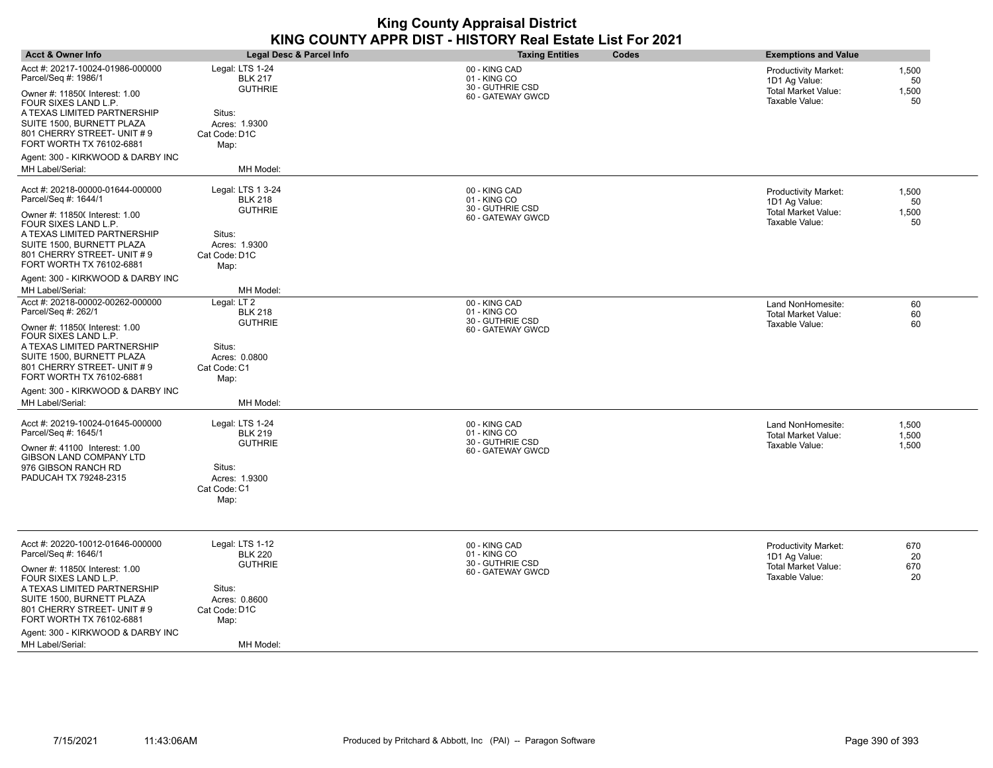| <b>Acct &amp; Owner Info</b>                                                                                                                                                                                                                                                   | Legal Desc & Parcel Info                                                                                | <b>Taxing Entities</b>                                                 | Codes | <b>Exemptions and Value</b>                                                                  |                            |
|--------------------------------------------------------------------------------------------------------------------------------------------------------------------------------------------------------------------------------------------------------------------------------|---------------------------------------------------------------------------------------------------------|------------------------------------------------------------------------|-------|----------------------------------------------------------------------------------------------|----------------------------|
| Acct #: 20217-10024-01986-000000<br>Parcel/Seq #: 1986/1<br>Owner #: 11850( Interest: 1.00<br>FOUR SIXES LAND L.P.<br>A TEXAS LIMITED PARTNERSHIP<br>SUITE 1500, BURNETT PLAZA<br>801 CHERRY STREET- UNIT # 9<br>FORT WORTH TX 76102-6881<br>Agent: 300 - KIRKWOOD & DARBY INC | Legal: LTS 1-24<br><b>BLK 217</b><br><b>GUTHRIE</b><br>Situs:<br>Acres: 1.9300<br>Cat Code: D1C<br>Map: | 00 - KING CAD<br>01 - KING CO<br>30 - GUTHRIE CSD<br>60 - GATEWAY GWCD |       | <b>Productivity Market:</b><br>1D1 Ag Value:<br><b>Total Market Value:</b><br>Taxable Value: | 1,500<br>50<br>1,500<br>50 |
| MH Label/Serial:                                                                                                                                                                                                                                                               | MH Model:                                                                                               |                                                                        |       |                                                                                              |                            |
| Acct #: 20218-00000-01644-000000<br>Parcel/Seq #: 1644/1<br>Owner #: 11850( Interest: 1.00<br>FOUR SIXES LAND L.P.                                                                                                                                                             | Legal: LTS 1 3-24<br><b>BLK 218</b><br><b>GUTHRIE</b>                                                   | 00 - KING CAD<br>01 - KING CO<br>30 - GUTHRIE CSD<br>60 - GATEWAY GWCD |       | <b>Productivity Market:</b><br>1D1 Ag Value:<br><b>Total Market Value:</b><br>Taxable Value: | 1,500<br>50<br>1,500<br>50 |
| A TEXAS LIMITED PARTNERSHIP<br>SUITE 1500, BURNETT PLAZA<br>801 CHERRY STREET- UNIT # 9<br>FORT WORTH TX 76102-6881                                                                                                                                                            | Situs:<br>Acres: 1.9300<br>Cat Code: D1C<br>Map:                                                        |                                                                        |       |                                                                                              |                            |
| Agent: 300 - KIRKWOOD & DARBY INC<br>MH Label/Serial:                                                                                                                                                                                                                          | MH Model:                                                                                               |                                                                        |       |                                                                                              |                            |
| Acct #: 20218-00002-00262-000000<br>Parcel/Seq #: 262/1                                                                                                                                                                                                                        | Legal: LT <sub>2</sub><br><b>BLK 218</b>                                                                | 00 - KING CAD<br>01 - KING CO                                          |       | Land NonHomesite:<br>Total Market Value:                                                     | 60<br>60                   |
| Owner #: 11850( Interest: 1.00<br>FOUR SIXES LAND L.P.<br>A TEXAS LIMITED PARTNERSHIP<br>SUITE 1500, BURNETT PLAZA<br>801 CHERRY STREET- UNIT # 9<br>FORT WORTH TX 76102-6881                                                                                                  | <b>GUTHRIE</b><br>Situs:<br>Acres: 0.0800<br>Cat Code: C1<br>Map:                                       | 30 - GUTHRIE CSD<br>60 - GATEWAY GWCD                                  |       | Taxable Value:                                                                               | 60                         |
| Agent: 300 - KIRKWOOD & DARBY INC<br>MH Label/Serial:                                                                                                                                                                                                                          | MH Model:                                                                                               |                                                                        |       |                                                                                              |                            |
| Acct #: 20219-10024-01645-000000<br>Parcel/Seq #: 1645/1<br>Owner #: 41100 Interest: 1.00<br><b>GIBSON LAND COMPANY LTD</b><br>976 GIBSON RANCH RD<br>PADUCAH TX 79248-2315                                                                                                    | Legal: LTS 1-24<br><b>BLK 219</b><br><b>GUTHRIE</b><br>Situs:<br>Acres: 1.9300<br>Cat Code: C1<br>Map:  | 00 - KING CAD<br>01 - KING CO<br>30 - GUTHRIE CSD<br>60 - GATEWAY GWCD |       | Land NonHomesite:<br>Total Market Value:<br>Taxable Value:                                   | 1,500<br>1,500<br>1,500    |
| Acct #: 20220-10012-01646-000000<br>Parcel/Seq #: 1646/1<br>Owner #: 11850( Interest: 1.00<br>FOUR SIXES LAND L.P.<br>A TEXAS LIMITED PARTNERSHIP<br>SUITE 1500, BURNETT PLAZA<br>801 CHERRY STREET- UNIT #9<br>FORT WORTH TX 76102-6881<br>Agent: 300 - KIRKWOOD & DARBY INC  | Legal: LTS 1-12<br><b>BLK 220</b><br><b>GUTHRIE</b><br>Situs:<br>Acres: 0.8600<br>Cat Code: D1C<br>Map: | 00 - KING CAD<br>01 - KING CO<br>30 - GUTHRIE CSD<br>60 - GATEWAY GWCD |       | <b>Productivity Market:</b><br>1D1 Ag Value:<br><b>Total Market Value:</b><br>Taxable Value: | 670<br>20<br>670<br>20     |
| <b>MH Label/Serial:</b>                                                                                                                                                                                                                                                        | MH Model:                                                                                               |                                                                        |       |                                                                                              |                            |
|                                                                                                                                                                                                                                                                                |                                                                                                         |                                                                        |       |                                                                                              |                            |

 $\overline{\phantom{a}}$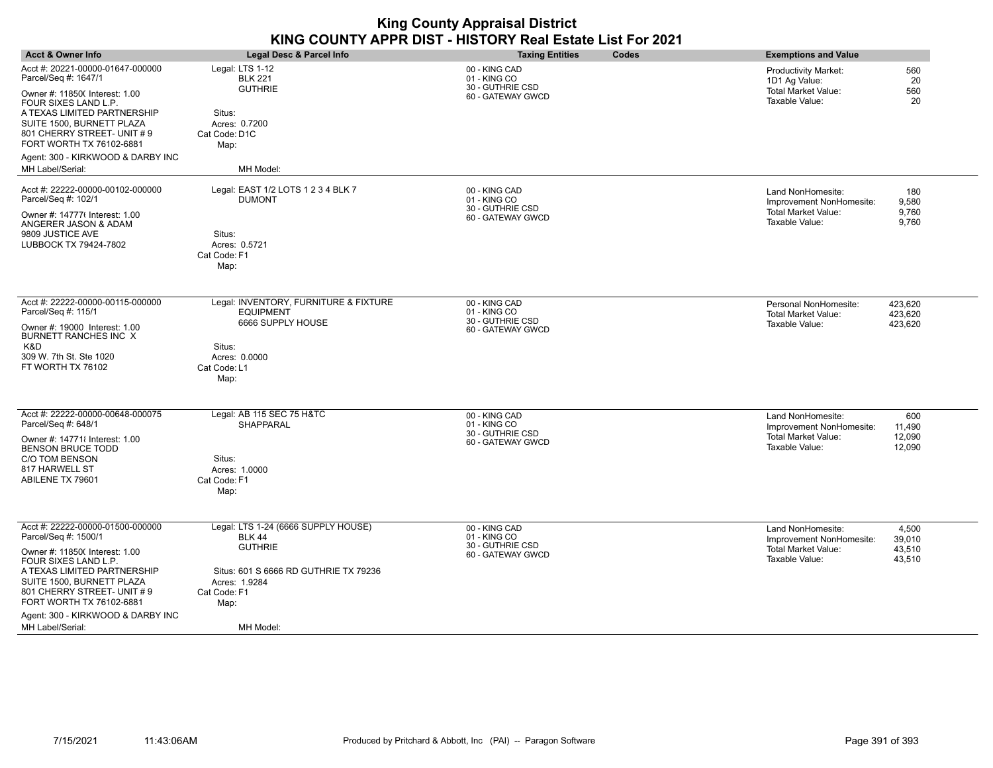| <b>King County Appraisal District</b><br>KING COUNTY APPR DIST - HISTORY Real Estate List For 2021                                                                                                                                                                                                |                                                                                                                                                          |                                                                        |                                                                                                                                      |  |
|---------------------------------------------------------------------------------------------------------------------------------------------------------------------------------------------------------------------------------------------------------------------------------------------------|----------------------------------------------------------------------------------------------------------------------------------------------------------|------------------------------------------------------------------------|--------------------------------------------------------------------------------------------------------------------------------------|--|
| <b>Acct &amp; Owner Info</b>                                                                                                                                                                                                                                                                      | <b>Legal Desc &amp; Parcel Info</b>                                                                                                                      | <b>Taxing Entities</b><br>Codes                                        | <b>Exemptions and Value</b>                                                                                                          |  |
| Acct #: 20221-00000-01647-000000<br>Parcel/Seq #: 1647/1<br>Owner #: 11850( Interest: 1.00<br>FOUR SIXES LAND L.P.<br>A TEXAS LIMITED PARTNERSHIP<br>SUITE 1500, BURNETT PLAZA<br>801 CHERRY STREET- UNIT #9<br>FORT WORTH TX 76102-6881<br>Agent: 300 - KIRKWOOD & DARBY INC<br>MH Label/Serial: | Legal: LTS 1-12<br><b>BLK 221</b><br><b>GUTHRIE</b><br>Situs:<br>Acres: 0.7200<br>Cat Code: D1C<br>Map:<br>MH Model:                                     | 00 - KING CAD<br>01 - KING CO<br>30 - GUTHRIE CSD<br>60 - GATEWAY GWCD | <b>Productivity Market:</b><br>560<br>1D1 Ag Value:<br>20<br><b>Total Market Value:</b><br>560<br>Taxable Value:<br>20               |  |
| Acct #: 22222-00000-00102-000000<br>Parcel/Seq #: 102/1<br>Owner #: 14777(Interest: 1.00<br>ANGERER JASON & ADAM<br>9809 JUSTICE AVE<br>LUBBOCK TX 79424-7802                                                                                                                                     | Legal: EAST 1/2 LOTS 1 2 3 4 BLK 7<br><b>DUMONT</b><br>Situs:<br>Acres: 0.5721<br>Cat Code: F1<br>Map:                                                   | 00 - KING CAD<br>01 - KING CO<br>30 - GUTHRIE CSD<br>60 - GATEWAY GWCD | Land NonHomesite:<br>180<br>9,580<br>Improvement NonHomesite:<br>Total Market Value:<br>9,760<br>9,760<br>Taxable Value:             |  |
| Acct #: 22222-00000-00115-000000<br>Parcel/Seq #: 115/1<br>Owner #: 19000 Interest: 1.00<br>BURNETT RANCHES INC X<br>K&D<br>309 W. 7th St. Ste 1020<br>FT WORTH TX 76102                                                                                                                          | Legal: INVENTORY, FURNITURE & FIXTURE<br><b>EQUIPMENT</b><br>6666 SUPPLY HOUSE<br>Situs:<br>Acres: 0.0000<br>Cat Code: L1<br>Map:                        | 00 - KING CAD<br>01 - KING CO<br>30 - GUTHRIE CSD<br>60 - GATEWAY GWCD | 423.620<br>Personal NonHomesite:<br><b>Total Market Value:</b><br>423,620<br>Taxable Value:<br>423,620                               |  |
| Acct #: 22222-00000-00648-000075<br>Parcel/Seq #: 648/1<br>Owner #: 147718 Interest: 1.00<br><b>BENSON BRUCE TODD</b><br><b>C/O TOM BENSON</b><br>817 HARWELL ST<br>ABILENE TX 79601                                                                                                              | Legal: AB 115 SEC 75 H&TC<br><b>SHAPPARAL</b><br>Situs:<br>Acres: 1.0000<br>Cat Code: F1<br>Map:                                                         | 00 - KING CAD<br>01 - KING CO<br>30 - GUTHRIE CSD<br>60 - GATEWAY GWCD | Land NonHomesite:<br>600<br>11,490<br>Improvement NonHomesite:<br><b>Total Market Value:</b><br>12,090<br>12,090<br>Taxable Value:   |  |
| Acct #: 22222-00000-01500-000000<br>Parcel/Seq #: 1500/1<br>Owner #: 11850( Interest: 1.00<br>FOUR SIXES LAND L.P.<br>A TEXAS LIMITED PARTNERSHIP<br>SUITE 1500, BURNETT PLAZA<br>801 CHERRY STREET- UNIT #9<br>FORT WORTH TX 76102-6881<br>Agent: 300 - KIRKWOOD & DARBY INC                     | Legal: LTS 1-24 (6666 SUPPLY HOUSE)<br><b>BLK 44</b><br><b>GUTHRIE</b><br>Situs: 601 S 6666 RD GUTHRIE TX 79236<br>Acres: 1.9284<br>Cat Code: F1<br>Map: | 00 - KING CAD<br>01 - KING CO<br>30 - GUTHRIE CSD<br>60 - GATEWAY GWCD | 4,500<br>Land NonHomesite:<br>Improvement NonHomesite:<br>39,010<br><b>Total Market Value:</b><br>43,510<br>Taxable Value:<br>43,510 |  |

MH Label/Serial: White the MH Model: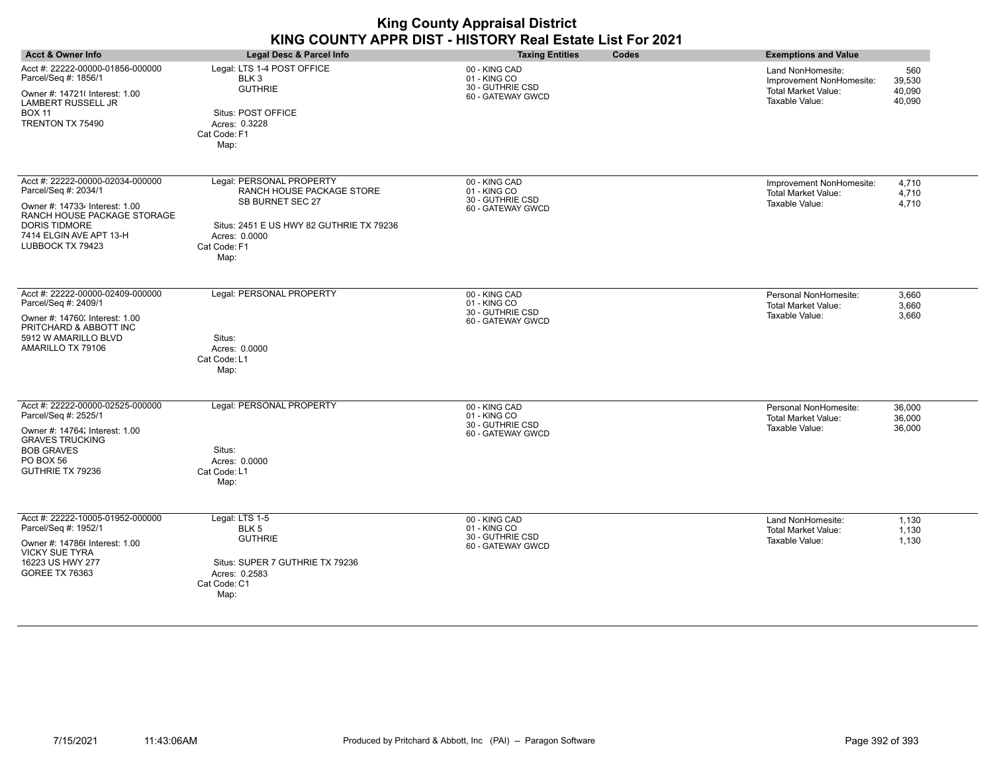| <b>King County Appraisal District</b><br>KING COUNTY APPR DIST - HISTORY Real Estate List For 2021                                                                                               |                                                                                                                                                                |                                                                        |                                                                                                                             |  |
|--------------------------------------------------------------------------------------------------------------------------------------------------------------------------------------------------|----------------------------------------------------------------------------------------------------------------------------------------------------------------|------------------------------------------------------------------------|-----------------------------------------------------------------------------------------------------------------------------|--|
| <b>Acct &amp; Owner Info</b>                                                                                                                                                                     | <b>Legal Desc &amp; Parcel Info</b>                                                                                                                            | <b>Taxing Entities</b><br>Codes                                        | <b>Exemptions and Value</b>                                                                                                 |  |
| Acct #: 22222-00000-01856-000000<br>Parcel/Seq #: 1856/1<br>Owner #: 14721( Interest: 1.00<br>LAMBERT RUSSELL JR<br><b>BOX 11</b><br>TRENTON TX 75490                                            | Legal: LTS 1-4 POST OFFICE<br>BLK 3<br><b>GUTHRIE</b><br>Situs: POST OFFICE<br>Acres: 0.3228<br>Cat Code: F1<br>Map:                                           | 00 - KING CAD<br>01 - KING CO<br>30 - GUTHRIE CSD<br>60 - GATEWAY GWCD | 560<br>Land NonHomesite:<br>Improvement NonHomesite:<br>39,530<br>Total Market Value:<br>40,090<br>40,090<br>Taxable Value: |  |
| Acct #: 22222-00000-02034-000000<br>Parcel/Seq #: 2034/1<br>Owner #: 147334 Interest: 1.00<br>RANCH HOUSE PACKAGE STORAGE<br><b>DORIS TIDMORE</b><br>7414 ELGIN AVE APT 13-H<br>LUBBOCK TX 79423 | Legal: PERSONAL PROPERTY<br>RANCH HOUSE PACKAGE STORE<br>SB BURNET SEC 27<br>Situs: 2451 E US HWY 82 GUTHRIE TX 79236<br>Acres: 0.0000<br>Cat Code: F1<br>Map: | 00 - KING CAD<br>01 - KING CO<br>30 - GUTHRIE CSD<br>60 - GATEWAY GWCD | 4,710<br>Improvement NonHomesite:<br><b>Total Market Value:</b><br>4,710<br>Taxable Value:<br>4,710                         |  |
| Acct #: 22222-00000-02409-000000<br>Parcel/Seq #: 2409/1<br>Owner #: 14760; Interest: 1.00<br>PRITCHARD & ABBOTT INC<br>5912 W AMARILLO BLVD<br>AMARILLO TX 79106                                | Legal: PERSONAL PROPERTY<br>Situs:<br>Acres: 0.0000<br>Cat Code: L1<br>Map:                                                                                    | 00 - KING CAD<br>01 - KING CO<br>30 - GUTHRIE CSD<br>60 - GATEWAY GWCD | Personal NonHomesite:<br>3,660<br><b>Total Market Value:</b><br>3,660<br>Taxable Value:<br>3,660                            |  |
| Acct #: 22222-00000-02525-000000<br>Parcel/Seq #: 2525/1<br>Owner #: 14764; Interest: 1.00<br><b>GRAVES TRUCKING</b><br><b>BOB GRAVES</b><br>PO BOX 56<br>GUTHRIE TX 79236                       | Legal: PERSONAL PROPERTY<br>Situs:<br>Acres: 0.0000<br>Cat Code: L1<br>Map:                                                                                    | 00 - KING CAD<br>01 - KING CO<br>30 - GUTHRIE CSD<br>60 - GATEWAY GWCD | Personal NonHomesite:<br>36.000<br>36,000<br><b>Total Market Value:</b><br>Taxable Value:<br>36.000                         |  |
| Acct #: 22222-10005-01952-000000<br>Parcel/Seq #: 1952/1<br>Owner #: 14786( Interest: 1.00<br><b>VICKY SUE TYRA</b><br>16223 US HWY 277<br><b>GOREE TX 76363</b>                                 | Legal: LTS 1-5<br>BLK <sub>5</sub><br><b>GUTHRIE</b><br>Situs: SUPER 7 GUTHRIE TX 79236<br>Acres: 0.2583<br>Cat Code: C1<br>Map:                               | 00 - KING CAD<br>01 - KING CO<br>30 - GUTHRIE CSD<br>60 - GATEWAY GWCD | Land NonHomesite:<br>1,130<br><b>Total Market Value:</b><br>1,130<br>Taxable Value:<br>1,130                                |  |